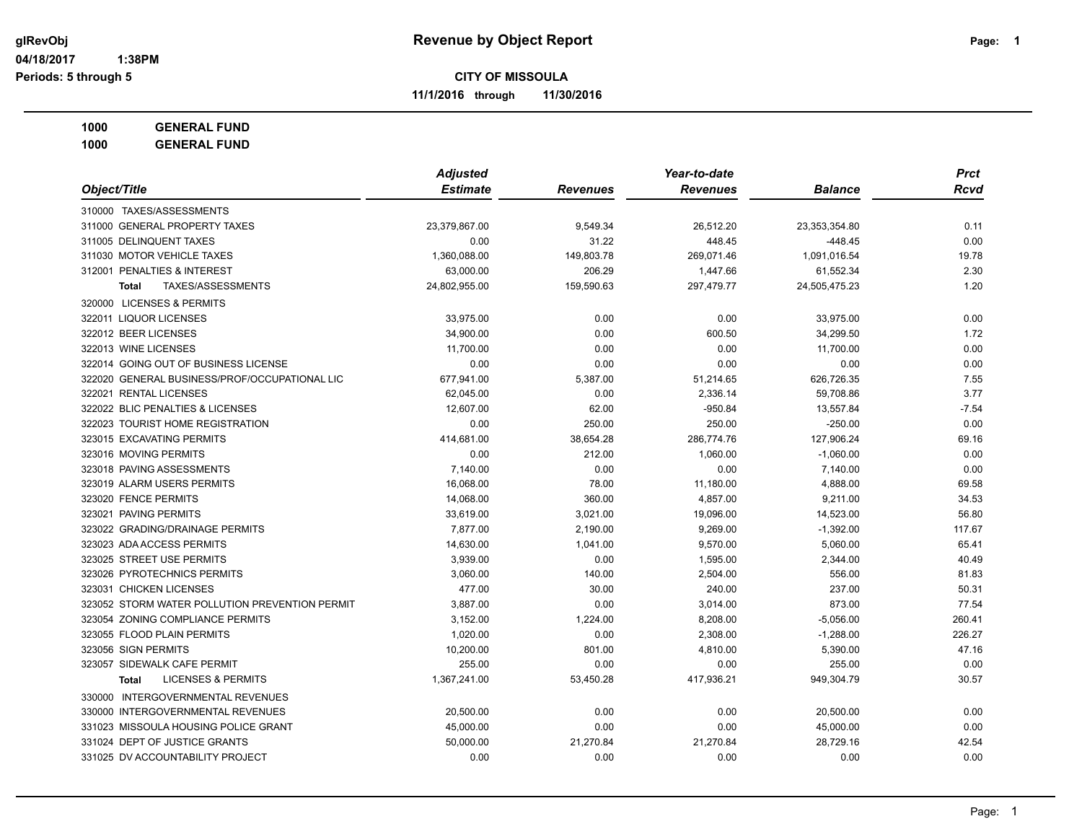**1000 GENERAL FUND**

|                                                | <b>Adjusted</b> |                 | Year-to-date    |                | <b>Prct</b> |
|------------------------------------------------|-----------------|-----------------|-----------------|----------------|-------------|
| Object/Title                                   | <b>Estimate</b> | <b>Revenues</b> | <b>Revenues</b> | <b>Balance</b> | <b>Rcvd</b> |
| 310000 TAXES/ASSESSMENTS                       |                 |                 |                 |                |             |
| 311000 GENERAL PROPERTY TAXES                  | 23,379,867.00   | 9,549.34        | 26,512.20       | 23,353,354.80  | 0.11        |
| 311005 DELINQUENT TAXES                        | 0.00            | 31.22           | 448.45          | $-448.45$      | 0.00        |
| 311030 MOTOR VEHICLE TAXES                     | 1,360,088.00    | 149,803.78      | 269,071.46      | 1,091,016.54   | 19.78       |
| 312001 PENALTIES & INTEREST                    | 63,000.00       | 206.29          | 1,447.66        | 61,552.34      | 2.30        |
| TAXES/ASSESSMENTS<br><b>Total</b>              | 24,802,955.00   | 159,590.63      | 297,479.77      | 24,505,475.23  | 1.20        |
| 320000 LICENSES & PERMITS                      |                 |                 |                 |                |             |
| 322011 LIQUOR LICENSES                         | 33,975.00       | 0.00            | 0.00            | 33,975.00      | 0.00        |
| 322012 BEER LICENSES                           | 34,900.00       | 0.00            | 600.50          | 34,299.50      | 1.72        |
| 322013 WINE LICENSES                           | 11,700.00       | 0.00            | 0.00            | 11,700.00      | 0.00        |
| 322014 GOING OUT OF BUSINESS LICENSE           | 0.00            | 0.00            | 0.00            | 0.00           | 0.00        |
| 322020 GENERAL BUSINESS/PROF/OCCUPATIONAL LIC  | 677,941.00      | 5,387.00        | 51,214.65       | 626,726.35     | 7.55        |
| 322021 RENTAL LICENSES                         | 62,045.00       | 0.00            | 2,336.14        | 59,708.86      | 3.77        |
| 322022 BLIC PENALTIES & LICENSES               | 12,607.00       | 62.00           | $-950.84$       | 13,557.84      | $-7.54$     |
| 322023 TOURIST HOME REGISTRATION               | 0.00            | 250.00          | 250.00          | $-250.00$      | 0.00        |
| 323015 EXCAVATING PERMITS                      | 414,681.00      | 38,654.28       | 286,774.76      | 127,906.24     | 69.16       |
| 323016 MOVING PERMITS                          | 0.00            | 212.00          | 1,060.00        | $-1,060.00$    | 0.00        |
| 323018 PAVING ASSESSMENTS                      | 7,140.00        | 0.00            | 0.00            | 7,140.00       | 0.00        |
| 323019 ALARM USERS PERMITS                     | 16,068.00       | 78.00           | 11,180.00       | 4,888.00       | 69.58       |
| 323020 FENCE PERMITS                           | 14,068.00       | 360.00          | 4,857.00        | 9,211.00       | 34.53       |
| 323021 PAVING PERMITS                          | 33,619.00       | 3,021.00        | 19,096.00       | 14,523.00      | 56.80       |
| 323022 GRADING/DRAINAGE PERMITS                | 7,877.00        | 2,190.00        | 9,269.00        | $-1,392.00$    | 117.67      |
| 323023 ADA ACCESS PERMITS                      | 14,630.00       | 1,041.00        | 9,570.00        | 5,060.00       | 65.41       |
| 323025 STREET USE PERMITS                      | 3,939.00        | 0.00            | 1,595.00        | 2,344.00       | 40.49       |
| 323026 PYROTECHNICS PERMITS                    | 3,060.00        | 140.00          | 2,504.00        | 556.00         | 81.83       |
| 323031 CHICKEN LICENSES                        | 477.00          | 30.00           | 240.00          | 237.00         | 50.31       |
| 323052 STORM WATER POLLUTION PREVENTION PERMIT | 3,887.00        | 0.00            | 3,014.00        | 873.00         | 77.54       |
| 323054 ZONING COMPLIANCE PERMITS               | 3,152.00        | 1,224.00        | 8,208.00        | $-5,056.00$    | 260.41      |
| 323055 FLOOD PLAIN PERMITS                     | 1,020.00        | 0.00            | 2,308.00        | $-1,288.00$    | 226.27      |
| 323056 SIGN PERMITS                            | 10,200.00       | 801.00          | 4,810.00        | 5,390.00       | 47.16       |
| 323057 SIDEWALK CAFE PERMIT                    | 255.00          | 0.00            | 0.00            | 255.00         | 0.00        |
| <b>LICENSES &amp; PERMITS</b><br><b>Total</b>  | 1,367,241.00    | 53,450.28       | 417,936.21      | 949,304.79     | 30.57       |
| 330000 INTERGOVERNMENTAL REVENUES              |                 |                 |                 |                |             |
| 330000 INTERGOVERNMENTAL REVENUES              | 20,500.00       | 0.00            | 0.00            | 20,500.00      | 0.00        |
| 331023 MISSOULA HOUSING POLICE GRANT           | 45,000.00       | 0.00            | 0.00            | 45,000.00      | 0.00        |
| 331024 DEPT OF JUSTICE GRANTS                  | 50,000.00       | 21,270.84       | 21,270.84       | 28,729.16      | 42.54       |
| 331025 DV ACCOUNTABILITY PROJECT               | 0.00            | 0.00            | 0.00            | 0.00           | 0.00        |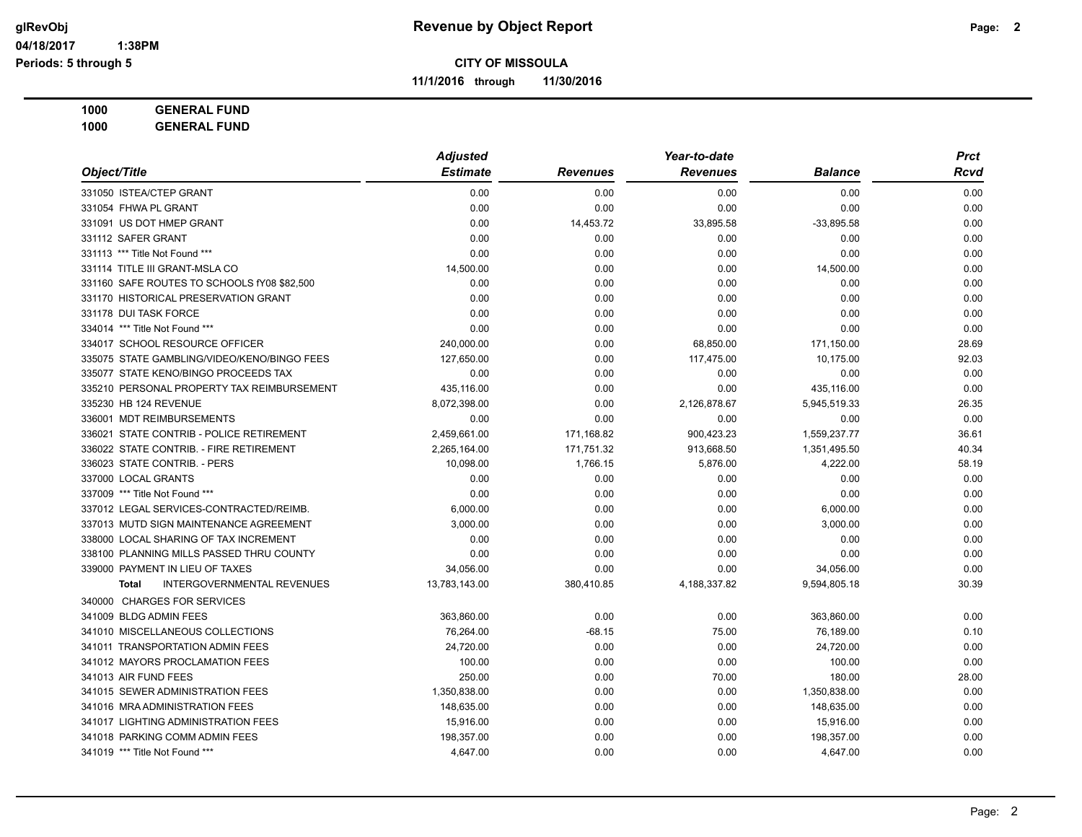|                                                   | <b>Adjusted</b> |                 | Year-to-date    |                | <b>Prct</b> |
|---------------------------------------------------|-----------------|-----------------|-----------------|----------------|-------------|
| Object/Title                                      | <b>Estimate</b> | <b>Revenues</b> | <b>Revenues</b> | <b>Balance</b> | <b>Rcvd</b> |
| 331050 ISTEA/CTEP GRANT                           | 0.00            | 0.00            | 0.00            | 0.00           | 0.00        |
| 331054 FHWA PL GRANT                              | 0.00            | 0.00            | 0.00            | 0.00           | 0.00        |
| 331091 US DOT HMEP GRANT                          | 0.00            | 14,453.72       | 33,895.58       | $-33,895.58$   | 0.00        |
| 331112 SAFER GRANT                                | 0.00            | 0.00            | 0.00            | 0.00           | 0.00        |
| 331113 *** Title Not Found ***                    | 0.00            | 0.00            | 0.00            | 0.00           | 0.00        |
| 331114 TITLE III GRANT-MSLA CO                    | 14,500.00       | 0.00            | 0.00            | 14,500.00      | 0.00        |
| 331160 SAFE ROUTES TO SCHOOLS fY08 \$82,500       | 0.00            | 0.00            | 0.00            | 0.00           | 0.00        |
| 331170 HISTORICAL PRESERVATION GRANT              | 0.00            | 0.00            | 0.00            | 0.00           | 0.00        |
| 331178 DUI TASK FORCE                             | 0.00            | 0.00            | 0.00            | 0.00           | 0.00        |
| 334014 *** Title Not Found ***                    | 0.00            | 0.00            | 0.00            | 0.00           | 0.00        |
| 334017 SCHOOL RESOURCE OFFICER                    | 240,000.00      | 0.00            | 68,850.00       | 171,150.00     | 28.69       |
| 335075 STATE GAMBLING/VIDEO/KENO/BINGO FEES       | 127,650.00      | 0.00            | 117,475.00      | 10,175.00      | 92.03       |
| 335077 STATE KENO/BINGO PROCEEDS TAX              | 0.00            | 0.00            | 0.00            | 0.00           | 0.00        |
| 335210 PERSONAL PROPERTY TAX REIMBURSEMENT        | 435,116.00      | 0.00            | 0.00            | 435,116.00     | 0.00        |
| 335230 HB 124 REVENUE                             | 8,072,398.00    | 0.00            | 2,126,878.67    | 5,945,519.33   | 26.35       |
| 336001 MDT REIMBURSEMENTS                         | 0.00            | 0.00            | 0.00            | 0.00           | 0.00        |
| 336021 STATE CONTRIB - POLICE RETIREMENT          | 2,459,661.00    | 171,168.82      | 900,423.23      | 1,559,237.77   | 36.61       |
| 336022 STATE CONTRIB. - FIRE RETIREMENT           | 2,265,164.00    | 171,751.32      | 913,668.50      | 1,351,495.50   | 40.34       |
| 336023 STATE CONTRIB. - PERS                      | 10.098.00       | 1,766.15        | 5,876.00        | 4,222.00       | 58.19       |
| 337000 LOCAL GRANTS                               | 0.00            | 0.00            | 0.00            | 0.00           | 0.00        |
| 337009 *** Title Not Found ***                    | 0.00            | 0.00            | 0.00            | 0.00           | 0.00        |
| 337012 LEGAL SERVICES-CONTRACTED/REIMB.           | 6,000.00        | 0.00            | 0.00            | 6,000.00       | 0.00        |
| 337013 MUTD SIGN MAINTENANCE AGREEMENT            | 3,000.00        | 0.00            | 0.00            | 3,000.00       | 0.00        |
| 338000 LOCAL SHARING OF TAX INCREMENT             | 0.00            | 0.00            | 0.00            | 0.00           | 0.00        |
| 338100 PLANNING MILLS PASSED THRU COUNTY          | 0.00            | 0.00            | 0.00            | 0.00           | 0.00        |
| 339000 PAYMENT IN LIEU OF TAXES                   | 34,056.00       | 0.00            | 0.00            | 34,056.00      | 0.00        |
| <b>INTERGOVERNMENTAL REVENUES</b><br><b>Total</b> | 13,783,143.00   | 380,410.85      | 4,188,337.82    | 9,594,805.18   | 30.39       |
| 340000 CHARGES FOR SERVICES                       |                 |                 |                 |                |             |
| 341009 BLDG ADMIN FEES                            | 363.860.00      | 0.00            | 0.00            | 363.860.00     | 0.00        |
| 341010 MISCELLANEOUS COLLECTIONS                  | 76.264.00       | $-68.15$        | 75.00           | 76,189.00      | 0.10        |
| 341011 TRANSPORTATION ADMIN FEES                  | 24,720.00       | 0.00            | 0.00            | 24,720.00      | 0.00        |
| 341012 MAYORS PROCLAMATION FEES                   | 100.00          | 0.00            | 0.00            | 100.00         | 0.00        |
| 341013 AIR FUND FEES                              | 250.00          | 0.00            | 70.00           | 180.00         | 28.00       |
| 341015 SEWER ADMINISTRATION FEES                  | 1,350,838.00    | 0.00            | 0.00            | 1,350,838.00   | 0.00        |
| 341016 MRA ADMINISTRATION FEES                    | 148,635.00      | 0.00            | 0.00            | 148,635.00     | 0.00        |
| 341017 LIGHTING ADMINISTRATION FEES               | 15,916.00       | 0.00            | 0.00            | 15,916.00      | 0.00        |
| 341018 PARKING COMM ADMIN FEES                    | 198,357.00      | 0.00            | 0.00            | 198,357.00     | 0.00        |
| 341019 *** Title Not Found ***                    | 4,647.00        | 0.00            | 0.00            | 4,647.00       | 0.00        |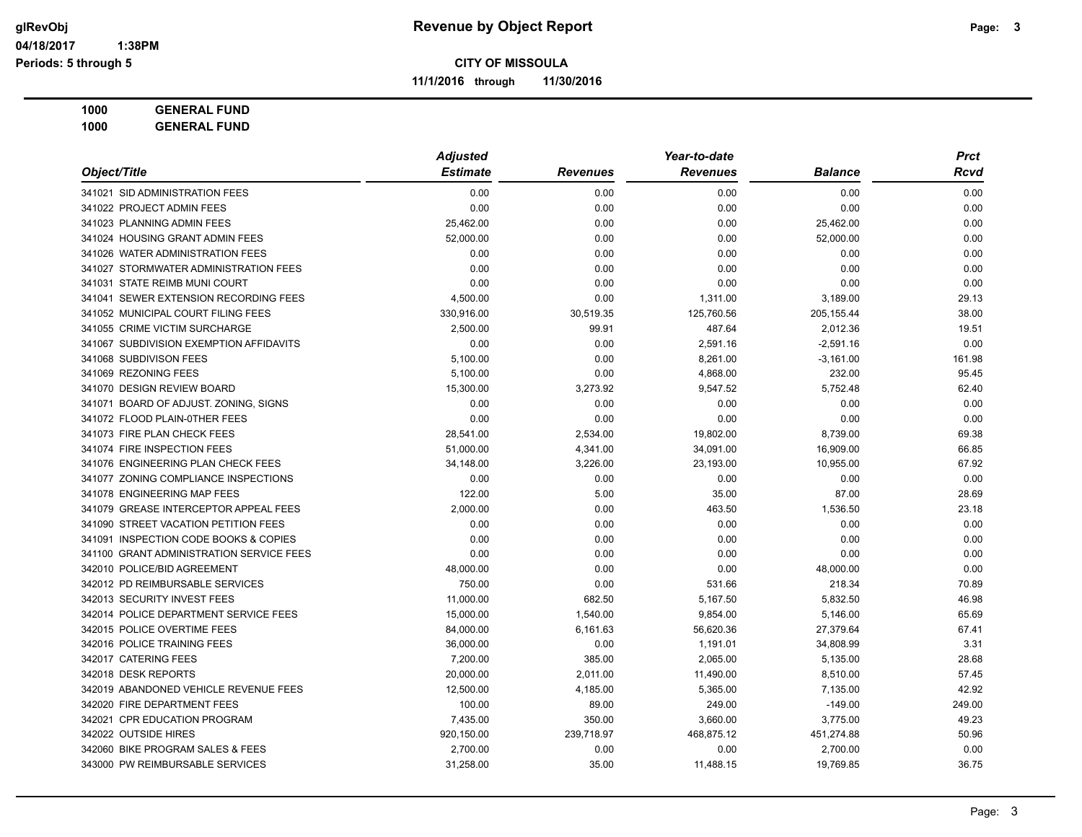| Object/Title                             | <b>Adjusted</b> |                 | Year-to-date    |                | <b>Prct</b> |
|------------------------------------------|-----------------|-----------------|-----------------|----------------|-------------|
|                                          | <b>Estimate</b> | <b>Revenues</b> | <b>Revenues</b> | <b>Balance</b> | <b>Rcvd</b> |
| 341021 SID ADMINISTRATION FEES           | 0.00            | 0.00            | 0.00            | 0.00           | 0.00        |
| 341022 PROJECT ADMIN FEES                | 0.00            | 0.00            | 0.00            | 0.00           | 0.00        |
| 341023 PLANNING ADMIN FEES               | 25,462.00       | 0.00            | 0.00            | 25,462.00      | 0.00        |
| 341024 HOUSING GRANT ADMIN FEES          | 52,000.00       | 0.00            | 0.00            | 52,000.00      | 0.00        |
| 341026 WATER ADMINISTRATION FEES         | 0.00            | 0.00            | 0.00            | 0.00           | 0.00        |
| 341027 STORMWATER ADMINISTRATION FEES    | 0.00            | 0.00            | 0.00            | 0.00           | 0.00        |
| 341031 STATE REIMB MUNI COURT            | 0.00            | 0.00            | 0.00            | 0.00           | 0.00        |
| 341041 SEWER EXTENSION RECORDING FEES    | 4,500.00        | 0.00            | 1,311.00        | 3,189.00       | 29.13       |
| 341052 MUNICIPAL COURT FILING FEES       | 330,916.00      | 30,519.35       | 125,760.56      | 205, 155.44    | 38.00       |
| 341055 CRIME VICTIM SURCHARGE            | 2,500.00        | 99.91           | 487.64          | 2,012.36       | 19.51       |
| 341067 SUBDIVISION EXEMPTION AFFIDAVITS  | 0.00            | 0.00            | 2,591.16        | $-2,591.16$    | 0.00        |
| 341068 SUBDIVISON FEES                   | 5,100.00        | 0.00            | 8,261.00        | $-3,161.00$    | 161.98      |
| 341069 REZONING FEES                     | 5,100.00        | 0.00            | 4,868.00        | 232.00         | 95.45       |
| 341070 DESIGN REVIEW BOARD               | 15,300.00       | 3,273.92        | 9,547.52        | 5,752.48       | 62.40       |
| 341071 BOARD OF ADJUST. ZONING, SIGNS    | 0.00            | 0.00            | 0.00            | 0.00           | 0.00        |
| 341072 FLOOD PLAIN-0THER FEES            | 0.00            | 0.00            | 0.00            | 0.00           | 0.00        |
| 341073 FIRE PLAN CHECK FEES              | 28,541.00       | 2,534.00        | 19,802.00       | 8,739.00       | 69.38       |
| 341074 FIRE INSPECTION FEES              | 51,000.00       | 4,341.00        | 34,091.00       | 16,909.00      | 66.85       |
| 341076 ENGINEERING PLAN CHECK FEES       | 34,148.00       | 3,226.00        | 23,193.00       | 10,955.00      | 67.92       |
| 341077 ZONING COMPLIANCE INSPECTIONS     | 0.00            | 0.00            | 0.00            | 0.00           | 0.00        |
| 341078 ENGINEERING MAP FEES              | 122.00          | 5.00            | 35.00           | 87.00          | 28.69       |
| 341079 GREASE INTERCEPTOR APPEAL FEES    | 2,000.00        | 0.00            | 463.50          | 1,536.50       | 23.18       |
| 341090 STREET VACATION PETITION FEES     | 0.00            | 0.00            | 0.00            | 0.00           | 0.00        |
| 341091 INSPECTION CODE BOOKS & COPIES    | 0.00            | 0.00            | 0.00            | 0.00           | 0.00        |
| 341100 GRANT ADMINISTRATION SERVICE FEES | 0.00            | 0.00            | 0.00            | 0.00           | 0.00        |
| 342010 POLICE/BID AGREEMENT              | 48,000.00       | 0.00            | 0.00            | 48,000.00      | 0.00        |
| 342012 PD REIMBURSABLE SERVICES          | 750.00          | 0.00            | 531.66          | 218.34         | 70.89       |
| 342013 SECURITY INVEST FEES              | 11,000.00       | 682.50          | 5,167.50        | 5,832.50       | 46.98       |
| 342014 POLICE DEPARTMENT SERVICE FEES    | 15,000.00       | 1,540.00        | 9,854.00        | 5,146.00       | 65.69       |
| 342015 POLICE OVERTIME FEES              | 84,000.00       | 6,161.63        | 56,620.36       | 27,379.64      | 67.41       |
| 342016 POLICE TRAINING FEES              | 36,000.00       | 0.00            | 1,191.01        | 34,808.99      | 3.31        |
| 342017 CATERING FEES                     | 7,200.00        | 385.00          | 2,065.00        | 5,135.00       | 28.68       |
| 342018 DESK REPORTS                      | 20,000.00       | 2,011.00        | 11,490.00       | 8,510.00       | 57.45       |
| 342019 ABANDONED VEHICLE REVENUE FEES    | 12,500.00       | 4,185.00        | 5,365.00        | 7,135.00       | 42.92       |
| 342020 FIRE DEPARTMENT FEES              | 100.00          | 89.00           | 249.00          | $-149.00$      | 249.00      |
| 342021 CPR EDUCATION PROGRAM             | 7,435.00        | 350.00          | 3,660.00        | 3,775.00       | 49.23       |
| 342022 OUTSIDE HIRES                     | 920,150.00      | 239,718.97      | 468,875.12      | 451,274.88     | 50.96       |
| 342060 BIKE PROGRAM SALES & FEES         | 2,700.00        | 0.00            | 0.00            | 2,700.00       | 0.00        |
| 343000 PW REIMBURSABLE SERVICES          | 31,258.00       | 35.00           | 11,488.15       | 19,769.85      | 36.75       |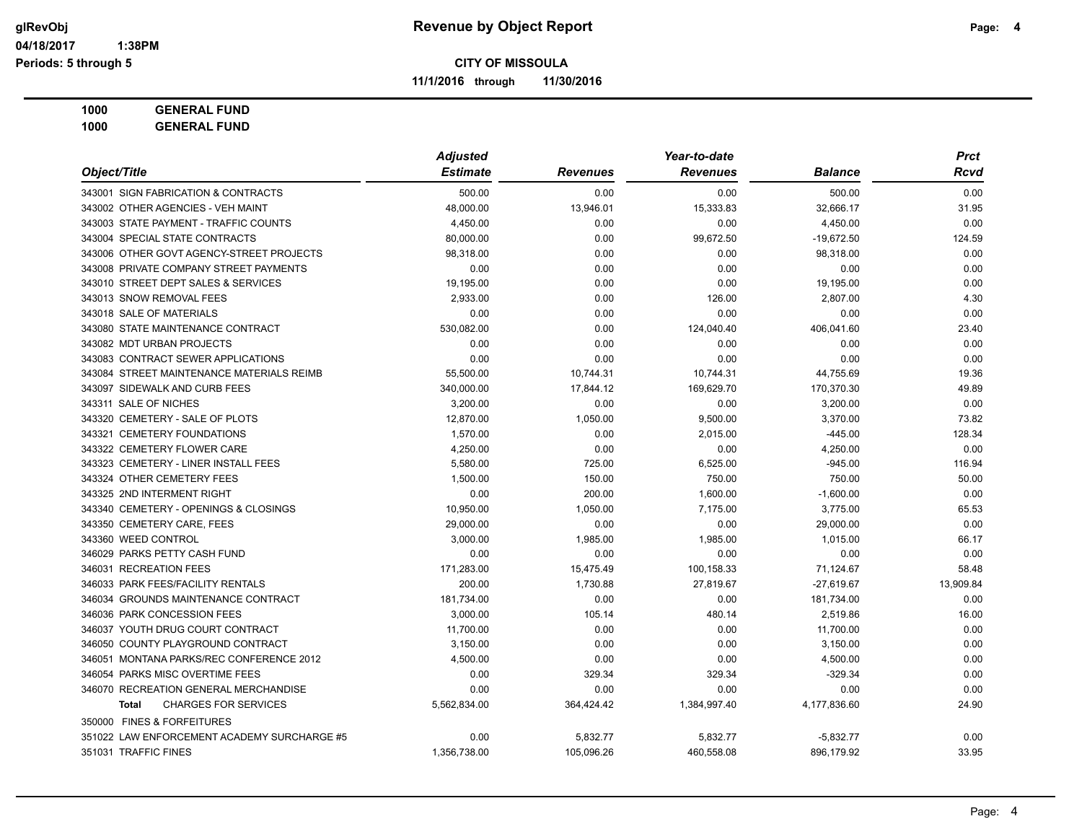| Object/Title<br><b>Estimate</b><br><b>Balance</b><br><b>Rcvd</b><br><b>Revenues</b><br><b>Revenues</b><br>500.00<br>0.00<br>0.00<br>500.00<br>0.00<br>343001 SIGN FABRICATION & CONTRACTS<br>48,000.00<br>13,946.01<br>15,333.83<br>31.95<br>343002 OTHER AGENCIES - VEH MAINT<br>32,666.17<br>0.00<br>0.00<br>343003 STATE PAYMENT - TRAFFIC COUNTS<br>4,450.00<br>0.00<br>4,450.00<br>343004 SPECIAL STATE CONTRACTS<br>80,000.00<br>0.00<br>99,672.50<br>$-19,672.50$<br>124.59<br>343006 OTHER GOVT AGENCY-STREET PROJECTS<br>0.00<br>0.00<br>0.00<br>98,318.00<br>98,318.00<br>343008 PRIVATE COMPANY STREET PAYMENTS<br>0.00<br>0.00<br>0.00<br>0.00<br>0.00<br>343010 STREET DEPT SALES & SERVICES<br>19,195.00<br>0.00<br>0.00<br>19,195.00<br>0.00<br>343013 SNOW REMOVAL FEES<br>2,807.00<br>2,933.00<br>0.00<br>126.00<br>4.30<br>343018 SALE OF MATERIALS<br>0.00<br>0.00<br>0.00<br>0.00<br>0.00<br>343080 STATE MAINTENANCE CONTRACT<br>530,082.00<br>0.00<br>124,040.40<br>406,041.60<br>23.40<br>343082 MDT URBAN PROJECTS<br>0.00<br>0.00<br>0.00<br>0.00<br>0.00<br>343083 CONTRACT SEWER APPLICATIONS<br>0.00<br>0.00<br>0.00<br>0.00<br>0.00<br>343084 STREET MAINTENANCE MATERIALS REIMB<br>55,500.00<br>10,744.31<br>10,744.31<br>44,755.69<br>19.36<br>343097 SIDEWALK AND CURB FEES<br>340,000.00<br>169,629.70<br>17,844.12<br>170,370.30<br>49.89<br>343311 SALE OF NICHES<br>0.00<br>0.00<br>0.00<br>3,200.00<br>3,200.00<br>343320 CEMETERY - SALE OF PLOTS<br>12,870.00<br>9,500.00<br>73.82<br>1,050.00<br>3,370.00<br>343321 CEMETERY FOUNDATIONS<br>1,570.00<br>0.00<br>2,015.00<br>$-445.00$<br>128.34<br>343322 CEMETERY FLOWER CARE<br>4,250.00<br>0.00<br>0.00<br>4,250.00<br>0.00<br>343323 CEMETERY - LINER INSTALL FEES<br>5,580.00<br>725.00<br>6,525.00<br>116.94<br>$-945.00$<br>343324 OTHER CEMETERY FEES<br>1,500.00<br>150.00<br>750.00<br>750.00<br>50.00<br>343325 2ND INTERMENT RIGHT<br>0.00<br>200.00<br>1,600.00<br>0.00<br>$-1,600.00$<br>343340 CEMETERY - OPENINGS & CLOSINGS<br>10,950.00<br>1,050.00<br>7,175.00<br>3,775.00<br>65.53<br>343350 CEMETERY CARE, FEES<br>29,000.00<br>0.00<br>0.00<br>29,000.00<br>0.00<br>343360 WEED CONTROL<br>1,985.00<br>3,000.00<br>1,985.00<br>1,015.00<br>66.17<br>346029 PARKS PETTY CASH FUND<br>0.00<br>0.00<br>0.00<br>0.00<br>0.00<br>346031 RECREATION FEES<br>171,283.00<br>15,475.49<br>100,158.33<br>71,124.67<br>58.48<br>346033 PARK FEES/FACILITY RENTALS<br>200.00<br>1,730.88<br>27,819.67<br>$-27,619.67$<br>13,909.84<br>181,734.00<br>0.00<br>346034 GROUNDS MAINTENANCE CONTRACT<br>0.00<br>181,734.00<br>0.00<br>346036 PARK CONCESSION FEES<br>3,000.00<br>105.14<br>2,519.86<br>480.14<br>16.00<br>346037 YOUTH DRUG COURT CONTRACT<br>11,700.00<br>0.00<br>0.00<br>11,700.00<br>0.00<br>346050 COUNTY PLAYGROUND CONTRACT<br>3,150.00<br>0.00<br>0.00<br>3,150.00<br>0.00<br>346051 MONTANA PARKS/REC CONFERENCE 2012<br>4,500.00<br>4,500.00<br>0.00<br>0.00<br>0.00<br>346054 PARKS MISC OVERTIME FEES<br>0.00<br>329.34<br>329.34<br>$-329.34$<br>0.00<br>0.00<br>0.00<br>0.00<br>0.00<br>346070 RECREATION GENERAL MERCHANDISE<br>0.00<br><b>CHARGES FOR SERVICES</b><br>5,562,834.00<br>364,424.42<br>1,384,997.40<br>4,177,836.60<br>24.90<br>Total<br>350000 FINES & FORFEITURES<br>351022 LAW ENFORCEMENT ACADEMY SURCHARGE #5<br>0.00<br>5,832.77<br>5,832.77<br>$-5,832.77$<br>0.00 |                      | <b>Adjusted</b> |            | Year-to-date |            | <b>Prct</b> |
|--------------------------------------------------------------------------------------------------------------------------------------------------------------------------------------------------------------------------------------------------------------------------------------------------------------------------------------------------------------------------------------------------------------------------------------------------------------------------------------------------------------------------------------------------------------------------------------------------------------------------------------------------------------------------------------------------------------------------------------------------------------------------------------------------------------------------------------------------------------------------------------------------------------------------------------------------------------------------------------------------------------------------------------------------------------------------------------------------------------------------------------------------------------------------------------------------------------------------------------------------------------------------------------------------------------------------------------------------------------------------------------------------------------------------------------------------------------------------------------------------------------------------------------------------------------------------------------------------------------------------------------------------------------------------------------------------------------------------------------------------------------------------------------------------------------------------------------------------------------------------------------------------------------------------------------------------------------------------------------------------------------------------------------------------------------------------------------------------------------------------------------------------------------------------------------------------------------------------------------------------------------------------------------------------------------------------------------------------------------------------------------------------------------------------------------------------------------------------------------------------------------------------------------------------------------------------------------------------------------------------------------------------------------------------------------------------------------------------------------------------------------------------------------------------------------------------------------------------------------------------------------------------------------------------------------------------------------------------------------------------------------------------------------------------------------------------------------------------------------------------------------------------------------------------------------------------------------------------------------------------------------------------------------------------------------------------------------------------------------------------------------------------------------------|----------------------|-----------------|------------|--------------|------------|-------------|
|                                                                                                                                                                                                                                                                                                                                                                                                                                                                                                                                                                                                                                                                                                                                                                                                                                                                                                                                                                                                                                                                                                                                                                                                                                                                                                                                                                                                                                                                                                                                                                                                                                                                                                                                                                                                                                                                                                                                                                                                                                                                                                                                                                                                                                                                                                                                                                                                                                                                                                                                                                                                                                                                                                                                                                                                                                                                                                                                                                                                                                                                                                                                                                                                                                                                                                                                                                                                                    |                      |                 |            |              |            |             |
|                                                                                                                                                                                                                                                                                                                                                                                                                                                                                                                                                                                                                                                                                                                                                                                                                                                                                                                                                                                                                                                                                                                                                                                                                                                                                                                                                                                                                                                                                                                                                                                                                                                                                                                                                                                                                                                                                                                                                                                                                                                                                                                                                                                                                                                                                                                                                                                                                                                                                                                                                                                                                                                                                                                                                                                                                                                                                                                                                                                                                                                                                                                                                                                                                                                                                                                                                                                                                    |                      |                 |            |              |            |             |
|                                                                                                                                                                                                                                                                                                                                                                                                                                                                                                                                                                                                                                                                                                                                                                                                                                                                                                                                                                                                                                                                                                                                                                                                                                                                                                                                                                                                                                                                                                                                                                                                                                                                                                                                                                                                                                                                                                                                                                                                                                                                                                                                                                                                                                                                                                                                                                                                                                                                                                                                                                                                                                                                                                                                                                                                                                                                                                                                                                                                                                                                                                                                                                                                                                                                                                                                                                                                                    |                      |                 |            |              |            |             |
|                                                                                                                                                                                                                                                                                                                                                                                                                                                                                                                                                                                                                                                                                                                                                                                                                                                                                                                                                                                                                                                                                                                                                                                                                                                                                                                                                                                                                                                                                                                                                                                                                                                                                                                                                                                                                                                                                                                                                                                                                                                                                                                                                                                                                                                                                                                                                                                                                                                                                                                                                                                                                                                                                                                                                                                                                                                                                                                                                                                                                                                                                                                                                                                                                                                                                                                                                                                                                    |                      |                 |            |              |            |             |
|                                                                                                                                                                                                                                                                                                                                                                                                                                                                                                                                                                                                                                                                                                                                                                                                                                                                                                                                                                                                                                                                                                                                                                                                                                                                                                                                                                                                                                                                                                                                                                                                                                                                                                                                                                                                                                                                                                                                                                                                                                                                                                                                                                                                                                                                                                                                                                                                                                                                                                                                                                                                                                                                                                                                                                                                                                                                                                                                                                                                                                                                                                                                                                                                                                                                                                                                                                                                                    |                      |                 |            |              |            |             |
|                                                                                                                                                                                                                                                                                                                                                                                                                                                                                                                                                                                                                                                                                                                                                                                                                                                                                                                                                                                                                                                                                                                                                                                                                                                                                                                                                                                                                                                                                                                                                                                                                                                                                                                                                                                                                                                                                                                                                                                                                                                                                                                                                                                                                                                                                                                                                                                                                                                                                                                                                                                                                                                                                                                                                                                                                                                                                                                                                                                                                                                                                                                                                                                                                                                                                                                                                                                                                    |                      |                 |            |              |            |             |
|                                                                                                                                                                                                                                                                                                                                                                                                                                                                                                                                                                                                                                                                                                                                                                                                                                                                                                                                                                                                                                                                                                                                                                                                                                                                                                                                                                                                                                                                                                                                                                                                                                                                                                                                                                                                                                                                                                                                                                                                                                                                                                                                                                                                                                                                                                                                                                                                                                                                                                                                                                                                                                                                                                                                                                                                                                                                                                                                                                                                                                                                                                                                                                                                                                                                                                                                                                                                                    |                      |                 |            |              |            |             |
|                                                                                                                                                                                                                                                                                                                                                                                                                                                                                                                                                                                                                                                                                                                                                                                                                                                                                                                                                                                                                                                                                                                                                                                                                                                                                                                                                                                                                                                                                                                                                                                                                                                                                                                                                                                                                                                                                                                                                                                                                                                                                                                                                                                                                                                                                                                                                                                                                                                                                                                                                                                                                                                                                                                                                                                                                                                                                                                                                                                                                                                                                                                                                                                                                                                                                                                                                                                                                    |                      |                 |            |              |            |             |
|                                                                                                                                                                                                                                                                                                                                                                                                                                                                                                                                                                                                                                                                                                                                                                                                                                                                                                                                                                                                                                                                                                                                                                                                                                                                                                                                                                                                                                                                                                                                                                                                                                                                                                                                                                                                                                                                                                                                                                                                                                                                                                                                                                                                                                                                                                                                                                                                                                                                                                                                                                                                                                                                                                                                                                                                                                                                                                                                                                                                                                                                                                                                                                                                                                                                                                                                                                                                                    |                      |                 |            |              |            |             |
|                                                                                                                                                                                                                                                                                                                                                                                                                                                                                                                                                                                                                                                                                                                                                                                                                                                                                                                                                                                                                                                                                                                                                                                                                                                                                                                                                                                                                                                                                                                                                                                                                                                                                                                                                                                                                                                                                                                                                                                                                                                                                                                                                                                                                                                                                                                                                                                                                                                                                                                                                                                                                                                                                                                                                                                                                                                                                                                                                                                                                                                                                                                                                                                                                                                                                                                                                                                                                    |                      |                 |            |              |            |             |
|                                                                                                                                                                                                                                                                                                                                                                                                                                                                                                                                                                                                                                                                                                                                                                                                                                                                                                                                                                                                                                                                                                                                                                                                                                                                                                                                                                                                                                                                                                                                                                                                                                                                                                                                                                                                                                                                                                                                                                                                                                                                                                                                                                                                                                                                                                                                                                                                                                                                                                                                                                                                                                                                                                                                                                                                                                                                                                                                                                                                                                                                                                                                                                                                                                                                                                                                                                                                                    |                      |                 |            |              |            |             |
|                                                                                                                                                                                                                                                                                                                                                                                                                                                                                                                                                                                                                                                                                                                                                                                                                                                                                                                                                                                                                                                                                                                                                                                                                                                                                                                                                                                                                                                                                                                                                                                                                                                                                                                                                                                                                                                                                                                                                                                                                                                                                                                                                                                                                                                                                                                                                                                                                                                                                                                                                                                                                                                                                                                                                                                                                                                                                                                                                                                                                                                                                                                                                                                                                                                                                                                                                                                                                    |                      |                 |            |              |            |             |
|                                                                                                                                                                                                                                                                                                                                                                                                                                                                                                                                                                                                                                                                                                                                                                                                                                                                                                                                                                                                                                                                                                                                                                                                                                                                                                                                                                                                                                                                                                                                                                                                                                                                                                                                                                                                                                                                                                                                                                                                                                                                                                                                                                                                                                                                                                                                                                                                                                                                                                                                                                                                                                                                                                                                                                                                                                                                                                                                                                                                                                                                                                                                                                                                                                                                                                                                                                                                                    |                      |                 |            |              |            |             |
|                                                                                                                                                                                                                                                                                                                                                                                                                                                                                                                                                                                                                                                                                                                                                                                                                                                                                                                                                                                                                                                                                                                                                                                                                                                                                                                                                                                                                                                                                                                                                                                                                                                                                                                                                                                                                                                                                                                                                                                                                                                                                                                                                                                                                                                                                                                                                                                                                                                                                                                                                                                                                                                                                                                                                                                                                                                                                                                                                                                                                                                                                                                                                                                                                                                                                                                                                                                                                    |                      |                 |            |              |            |             |
|                                                                                                                                                                                                                                                                                                                                                                                                                                                                                                                                                                                                                                                                                                                                                                                                                                                                                                                                                                                                                                                                                                                                                                                                                                                                                                                                                                                                                                                                                                                                                                                                                                                                                                                                                                                                                                                                                                                                                                                                                                                                                                                                                                                                                                                                                                                                                                                                                                                                                                                                                                                                                                                                                                                                                                                                                                                                                                                                                                                                                                                                                                                                                                                                                                                                                                                                                                                                                    |                      |                 |            |              |            |             |
|                                                                                                                                                                                                                                                                                                                                                                                                                                                                                                                                                                                                                                                                                                                                                                                                                                                                                                                                                                                                                                                                                                                                                                                                                                                                                                                                                                                                                                                                                                                                                                                                                                                                                                                                                                                                                                                                                                                                                                                                                                                                                                                                                                                                                                                                                                                                                                                                                                                                                                                                                                                                                                                                                                                                                                                                                                                                                                                                                                                                                                                                                                                                                                                                                                                                                                                                                                                                                    |                      |                 |            |              |            |             |
|                                                                                                                                                                                                                                                                                                                                                                                                                                                                                                                                                                                                                                                                                                                                                                                                                                                                                                                                                                                                                                                                                                                                                                                                                                                                                                                                                                                                                                                                                                                                                                                                                                                                                                                                                                                                                                                                                                                                                                                                                                                                                                                                                                                                                                                                                                                                                                                                                                                                                                                                                                                                                                                                                                                                                                                                                                                                                                                                                                                                                                                                                                                                                                                                                                                                                                                                                                                                                    |                      |                 |            |              |            |             |
|                                                                                                                                                                                                                                                                                                                                                                                                                                                                                                                                                                                                                                                                                                                                                                                                                                                                                                                                                                                                                                                                                                                                                                                                                                                                                                                                                                                                                                                                                                                                                                                                                                                                                                                                                                                                                                                                                                                                                                                                                                                                                                                                                                                                                                                                                                                                                                                                                                                                                                                                                                                                                                                                                                                                                                                                                                                                                                                                                                                                                                                                                                                                                                                                                                                                                                                                                                                                                    |                      |                 |            |              |            |             |
|                                                                                                                                                                                                                                                                                                                                                                                                                                                                                                                                                                                                                                                                                                                                                                                                                                                                                                                                                                                                                                                                                                                                                                                                                                                                                                                                                                                                                                                                                                                                                                                                                                                                                                                                                                                                                                                                                                                                                                                                                                                                                                                                                                                                                                                                                                                                                                                                                                                                                                                                                                                                                                                                                                                                                                                                                                                                                                                                                                                                                                                                                                                                                                                                                                                                                                                                                                                                                    |                      |                 |            |              |            |             |
|                                                                                                                                                                                                                                                                                                                                                                                                                                                                                                                                                                                                                                                                                                                                                                                                                                                                                                                                                                                                                                                                                                                                                                                                                                                                                                                                                                                                                                                                                                                                                                                                                                                                                                                                                                                                                                                                                                                                                                                                                                                                                                                                                                                                                                                                                                                                                                                                                                                                                                                                                                                                                                                                                                                                                                                                                                                                                                                                                                                                                                                                                                                                                                                                                                                                                                                                                                                                                    |                      |                 |            |              |            |             |
|                                                                                                                                                                                                                                                                                                                                                                                                                                                                                                                                                                                                                                                                                                                                                                                                                                                                                                                                                                                                                                                                                                                                                                                                                                                                                                                                                                                                                                                                                                                                                                                                                                                                                                                                                                                                                                                                                                                                                                                                                                                                                                                                                                                                                                                                                                                                                                                                                                                                                                                                                                                                                                                                                                                                                                                                                                                                                                                                                                                                                                                                                                                                                                                                                                                                                                                                                                                                                    |                      |                 |            |              |            |             |
|                                                                                                                                                                                                                                                                                                                                                                                                                                                                                                                                                                                                                                                                                                                                                                                                                                                                                                                                                                                                                                                                                                                                                                                                                                                                                                                                                                                                                                                                                                                                                                                                                                                                                                                                                                                                                                                                                                                                                                                                                                                                                                                                                                                                                                                                                                                                                                                                                                                                                                                                                                                                                                                                                                                                                                                                                                                                                                                                                                                                                                                                                                                                                                                                                                                                                                                                                                                                                    |                      |                 |            |              |            |             |
|                                                                                                                                                                                                                                                                                                                                                                                                                                                                                                                                                                                                                                                                                                                                                                                                                                                                                                                                                                                                                                                                                                                                                                                                                                                                                                                                                                                                                                                                                                                                                                                                                                                                                                                                                                                                                                                                                                                                                                                                                                                                                                                                                                                                                                                                                                                                                                                                                                                                                                                                                                                                                                                                                                                                                                                                                                                                                                                                                                                                                                                                                                                                                                                                                                                                                                                                                                                                                    |                      |                 |            |              |            |             |
|                                                                                                                                                                                                                                                                                                                                                                                                                                                                                                                                                                                                                                                                                                                                                                                                                                                                                                                                                                                                                                                                                                                                                                                                                                                                                                                                                                                                                                                                                                                                                                                                                                                                                                                                                                                                                                                                                                                                                                                                                                                                                                                                                                                                                                                                                                                                                                                                                                                                                                                                                                                                                                                                                                                                                                                                                                                                                                                                                                                                                                                                                                                                                                                                                                                                                                                                                                                                                    |                      |                 |            |              |            |             |
|                                                                                                                                                                                                                                                                                                                                                                                                                                                                                                                                                                                                                                                                                                                                                                                                                                                                                                                                                                                                                                                                                                                                                                                                                                                                                                                                                                                                                                                                                                                                                                                                                                                                                                                                                                                                                                                                                                                                                                                                                                                                                                                                                                                                                                                                                                                                                                                                                                                                                                                                                                                                                                                                                                                                                                                                                                                                                                                                                                                                                                                                                                                                                                                                                                                                                                                                                                                                                    |                      |                 |            |              |            |             |
|                                                                                                                                                                                                                                                                                                                                                                                                                                                                                                                                                                                                                                                                                                                                                                                                                                                                                                                                                                                                                                                                                                                                                                                                                                                                                                                                                                                                                                                                                                                                                                                                                                                                                                                                                                                                                                                                                                                                                                                                                                                                                                                                                                                                                                                                                                                                                                                                                                                                                                                                                                                                                                                                                                                                                                                                                                                                                                                                                                                                                                                                                                                                                                                                                                                                                                                                                                                                                    |                      |                 |            |              |            |             |
|                                                                                                                                                                                                                                                                                                                                                                                                                                                                                                                                                                                                                                                                                                                                                                                                                                                                                                                                                                                                                                                                                                                                                                                                                                                                                                                                                                                                                                                                                                                                                                                                                                                                                                                                                                                                                                                                                                                                                                                                                                                                                                                                                                                                                                                                                                                                                                                                                                                                                                                                                                                                                                                                                                                                                                                                                                                                                                                                                                                                                                                                                                                                                                                                                                                                                                                                                                                                                    |                      |                 |            |              |            |             |
|                                                                                                                                                                                                                                                                                                                                                                                                                                                                                                                                                                                                                                                                                                                                                                                                                                                                                                                                                                                                                                                                                                                                                                                                                                                                                                                                                                                                                                                                                                                                                                                                                                                                                                                                                                                                                                                                                                                                                                                                                                                                                                                                                                                                                                                                                                                                                                                                                                                                                                                                                                                                                                                                                                                                                                                                                                                                                                                                                                                                                                                                                                                                                                                                                                                                                                                                                                                                                    |                      |                 |            |              |            |             |
|                                                                                                                                                                                                                                                                                                                                                                                                                                                                                                                                                                                                                                                                                                                                                                                                                                                                                                                                                                                                                                                                                                                                                                                                                                                                                                                                                                                                                                                                                                                                                                                                                                                                                                                                                                                                                                                                                                                                                                                                                                                                                                                                                                                                                                                                                                                                                                                                                                                                                                                                                                                                                                                                                                                                                                                                                                                                                                                                                                                                                                                                                                                                                                                                                                                                                                                                                                                                                    |                      |                 |            |              |            |             |
|                                                                                                                                                                                                                                                                                                                                                                                                                                                                                                                                                                                                                                                                                                                                                                                                                                                                                                                                                                                                                                                                                                                                                                                                                                                                                                                                                                                                                                                                                                                                                                                                                                                                                                                                                                                                                                                                                                                                                                                                                                                                                                                                                                                                                                                                                                                                                                                                                                                                                                                                                                                                                                                                                                                                                                                                                                                                                                                                                                                                                                                                                                                                                                                                                                                                                                                                                                                                                    |                      |                 |            |              |            |             |
|                                                                                                                                                                                                                                                                                                                                                                                                                                                                                                                                                                                                                                                                                                                                                                                                                                                                                                                                                                                                                                                                                                                                                                                                                                                                                                                                                                                                                                                                                                                                                                                                                                                                                                                                                                                                                                                                                                                                                                                                                                                                                                                                                                                                                                                                                                                                                                                                                                                                                                                                                                                                                                                                                                                                                                                                                                                                                                                                                                                                                                                                                                                                                                                                                                                                                                                                                                                                                    |                      |                 |            |              |            |             |
|                                                                                                                                                                                                                                                                                                                                                                                                                                                                                                                                                                                                                                                                                                                                                                                                                                                                                                                                                                                                                                                                                                                                                                                                                                                                                                                                                                                                                                                                                                                                                                                                                                                                                                                                                                                                                                                                                                                                                                                                                                                                                                                                                                                                                                                                                                                                                                                                                                                                                                                                                                                                                                                                                                                                                                                                                                                                                                                                                                                                                                                                                                                                                                                                                                                                                                                                                                                                                    |                      |                 |            |              |            |             |
|                                                                                                                                                                                                                                                                                                                                                                                                                                                                                                                                                                                                                                                                                                                                                                                                                                                                                                                                                                                                                                                                                                                                                                                                                                                                                                                                                                                                                                                                                                                                                                                                                                                                                                                                                                                                                                                                                                                                                                                                                                                                                                                                                                                                                                                                                                                                                                                                                                                                                                                                                                                                                                                                                                                                                                                                                                                                                                                                                                                                                                                                                                                                                                                                                                                                                                                                                                                                                    |                      |                 |            |              |            |             |
|                                                                                                                                                                                                                                                                                                                                                                                                                                                                                                                                                                                                                                                                                                                                                                                                                                                                                                                                                                                                                                                                                                                                                                                                                                                                                                                                                                                                                                                                                                                                                                                                                                                                                                                                                                                                                                                                                                                                                                                                                                                                                                                                                                                                                                                                                                                                                                                                                                                                                                                                                                                                                                                                                                                                                                                                                                                                                                                                                                                                                                                                                                                                                                                                                                                                                                                                                                                                                    |                      |                 |            |              |            |             |
|                                                                                                                                                                                                                                                                                                                                                                                                                                                                                                                                                                                                                                                                                                                                                                                                                                                                                                                                                                                                                                                                                                                                                                                                                                                                                                                                                                                                                                                                                                                                                                                                                                                                                                                                                                                                                                                                                                                                                                                                                                                                                                                                                                                                                                                                                                                                                                                                                                                                                                                                                                                                                                                                                                                                                                                                                                                                                                                                                                                                                                                                                                                                                                                                                                                                                                                                                                                                                    |                      |                 |            |              |            |             |
|                                                                                                                                                                                                                                                                                                                                                                                                                                                                                                                                                                                                                                                                                                                                                                                                                                                                                                                                                                                                                                                                                                                                                                                                                                                                                                                                                                                                                                                                                                                                                                                                                                                                                                                                                                                                                                                                                                                                                                                                                                                                                                                                                                                                                                                                                                                                                                                                                                                                                                                                                                                                                                                                                                                                                                                                                                                                                                                                                                                                                                                                                                                                                                                                                                                                                                                                                                                                                    |                      |                 |            |              |            |             |
|                                                                                                                                                                                                                                                                                                                                                                                                                                                                                                                                                                                                                                                                                                                                                                                                                                                                                                                                                                                                                                                                                                                                                                                                                                                                                                                                                                                                                                                                                                                                                                                                                                                                                                                                                                                                                                                                                                                                                                                                                                                                                                                                                                                                                                                                                                                                                                                                                                                                                                                                                                                                                                                                                                                                                                                                                                                                                                                                                                                                                                                                                                                                                                                                                                                                                                                                                                                                                    |                      |                 |            |              |            |             |
|                                                                                                                                                                                                                                                                                                                                                                                                                                                                                                                                                                                                                                                                                                                                                                                                                                                                                                                                                                                                                                                                                                                                                                                                                                                                                                                                                                                                                                                                                                                                                                                                                                                                                                                                                                                                                                                                                                                                                                                                                                                                                                                                                                                                                                                                                                                                                                                                                                                                                                                                                                                                                                                                                                                                                                                                                                                                                                                                                                                                                                                                                                                                                                                                                                                                                                                                                                                                                    |                      |                 |            |              |            |             |
|                                                                                                                                                                                                                                                                                                                                                                                                                                                                                                                                                                                                                                                                                                                                                                                                                                                                                                                                                                                                                                                                                                                                                                                                                                                                                                                                                                                                                                                                                                                                                                                                                                                                                                                                                                                                                                                                                                                                                                                                                                                                                                                                                                                                                                                                                                                                                                                                                                                                                                                                                                                                                                                                                                                                                                                                                                                                                                                                                                                                                                                                                                                                                                                                                                                                                                                                                                                                                    | 351031 TRAFFIC FINES | 1,356,738.00    | 105,096.26 | 460,558.08   | 896,179.92 | 33.95       |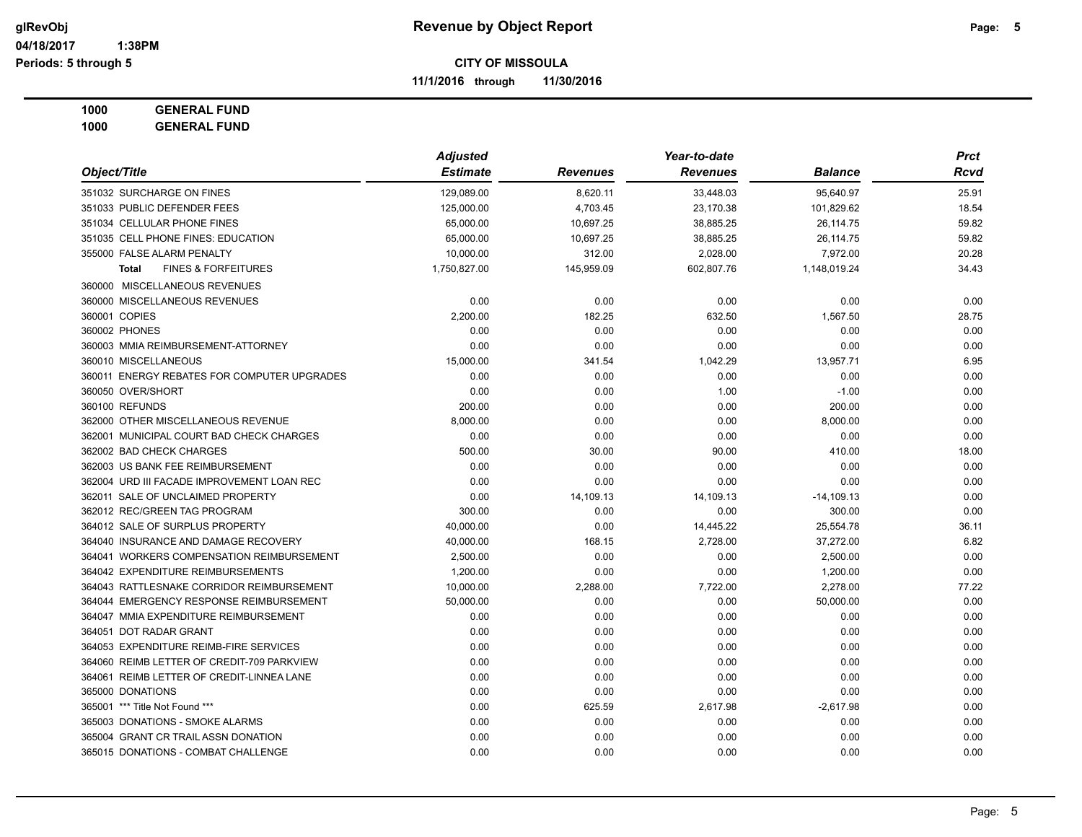|                                             | <b>Adjusted</b> |                 | Year-to-date    |                | <b>Prct</b> |
|---------------------------------------------|-----------------|-----------------|-----------------|----------------|-------------|
| Object/Title                                | <b>Estimate</b> | <b>Revenues</b> | <b>Revenues</b> | <b>Balance</b> | Rcvd        |
| 351032 SURCHARGE ON FINES                   | 129,089.00      | 8,620.11        | 33,448.03       | 95,640.97      | 25.91       |
| 351033 PUBLIC DEFENDER FEES                 | 125,000.00      | 4,703.45        | 23,170.38       | 101,829.62     | 18.54       |
| 351034 CELLULAR PHONE FINES                 | 65,000.00       | 10,697.25       | 38,885.25       | 26,114.75      | 59.82       |
| 351035 CELL PHONE FINES: EDUCATION          | 65,000.00       | 10,697.25       | 38,885.25       | 26,114.75      | 59.82       |
| 355000 FALSE ALARM PENALTY                  | 10,000.00       | 312.00          | 2,028.00        | 7,972.00       | 20.28       |
| <b>FINES &amp; FORFEITURES</b><br>Total     | 1.750.827.00    | 145,959.09      | 602,807.76      | 1,148,019.24   | 34.43       |
| 360000 MISCELLANEOUS REVENUES               |                 |                 |                 |                |             |
| 360000 MISCELLANEOUS REVENUES               | 0.00            | 0.00            | 0.00            | 0.00           | 0.00        |
| 360001 COPIES                               | 2,200.00        | 182.25          | 632.50          | 1,567.50       | 28.75       |
| 360002 PHONES                               | 0.00            | 0.00            | 0.00            | 0.00           | 0.00        |
| 360003 MMIA REIMBURSEMENT-ATTORNEY          | 0.00            | 0.00            | 0.00            | 0.00           | 0.00        |
| 360010 MISCELLANEOUS                        | 15,000.00       | 341.54          | 1,042.29        | 13,957.71      | 6.95        |
| 360011 ENERGY REBATES FOR COMPUTER UPGRADES | 0.00            | 0.00            | 0.00            | 0.00           | 0.00        |
| 360050 OVER/SHORT                           | 0.00            | 0.00            | 1.00            | $-1.00$        | 0.00        |
| 360100 REFUNDS                              | 200.00          | 0.00            | 0.00            | 200.00         | 0.00        |
| 362000 OTHER MISCELLANEOUS REVENUE          | 8,000.00        | 0.00            | 0.00            | 8,000.00       | 0.00        |
| 362001 MUNICIPAL COURT BAD CHECK CHARGES    | 0.00            | 0.00            | 0.00            | 0.00           | 0.00        |
| 362002 BAD CHECK CHARGES                    | 500.00          | 30.00           | 90.00           | 410.00         | 18.00       |
| 362003 US BANK FEE REIMBURSEMENT            | 0.00            | 0.00            | 0.00            | 0.00           | 0.00        |
| 362004 URD III FACADE IMPROVEMENT LOAN REC  | 0.00            | 0.00            | 0.00            | 0.00           | 0.00        |
| 362011 SALE OF UNCLAIMED PROPERTY           | 0.00            | 14,109.13       | 14,109.13       | $-14,109.13$   | 0.00        |
| 362012 REC/GREEN TAG PROGRAM                | 300.00          | 0.00            | 0.00            | 300.00         | 0.00        |
| 364012 SALE OF SURPLUS PROPERTY             | 40,000.00       | 0.00            | 14,445.22       | 25,554.78      | 36.11       |
| 364040 INSURANCE AND DAMAGE RECOVERY        | 40,000.00       | 168.15          | 2,728.00        | 37,272.00      | 6.82        |
| 364041 WORKERS COMPENSATION REIMBURSEMENT   | 2,500.00        | 0.00            | 0.00            | 2,500.00       | 0.00        |
| 364042 EXPENDITURE REIMBURSEMENTS           | 1,200.00        | 0.00            | 0.00            | 1,200.00       | 0.00        |
| 364043 RATTLESNAKE CORRIDOR REIMBURSEMENT   | 10,000.00       | 2,288.00        | 7,722.00        | 2,278.00       | 77.22       |
| 364044 EMERGENCY RESPONSE REIMBURSEMENT     | 50,000.00       | 0.00            | 0.00            | 50,000.00      | 0.00        |
| 364047 MMIA EXPENDITURE REIMBURSEMENT       | 0.00            | 0.00            | 0.00            | 0.00           | 0.00        |
| 364051 DOT RADAR GRANT                      | 0.00            | 0.00            | 0.00            | 0.00           | 0.00        |
| 364053 EXPENDITURE REIMB-FIRE SERVICES      | 0.00            | 0.00            | 0.00            | 0.00           | 0.00        |
| 364060 REIMB LETTER OF CREDIT-709 PARKVIEW  | 0.00            | 0.00            | 0.00            | 0.00           | 0.00        |
| 364061 REIMB LETTER OF CREDIT-LINNEA LANE   | 0.00            | 0.00            | 0.00            | 0.00           | 0.00        |
| 365000 DONATIONS                            | 0.00            | 0.00            | 0.00            | 0.00           | 0.00        |
| 365001 *** Title Not Found ***              | 0.00            | 625.59          | 2,617.98        | $-2,617.98$    | 0.00        |
| 365003 DONATIONS - SMOKE ALARMS             | 0.00            | 0.00            | 0.00            | 0.00           | 0.00        |
| 365004 GRANT CR TRAIL ASSN DONATION         | 0.00            | 0.00            | 0.00            | 0.00           | 0.00        |
| 365015 DONATIONS - COMBAT CHALLENGE         | 0.00            | 0.00            | 0.00            | 0.00           | 0.00        |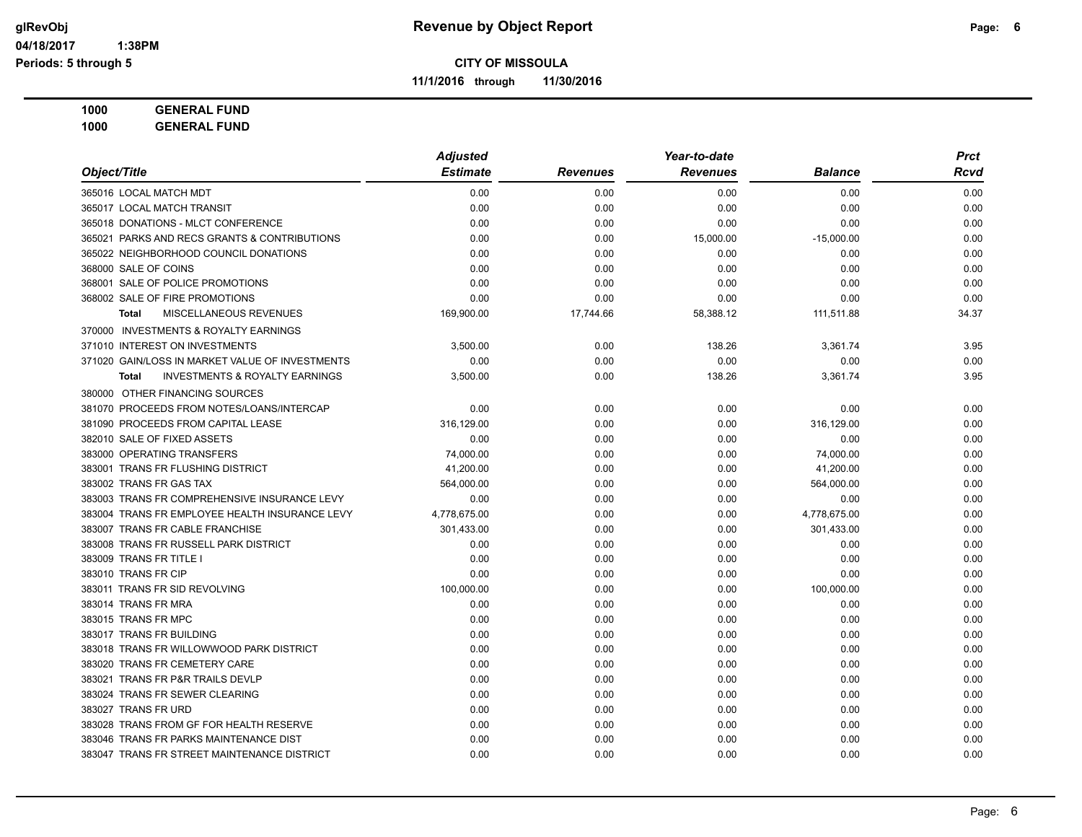**11/1/2016 through 11/30/2016**

|                                                           | <b>Adjusted</b> |                 | Year-to-date    |                | <b>Prct</b> |
|-----------------------------------------------------------|-----------------|-----------------|-----------------|----------------|-------------|
| Object/Title                                              | <b>Estimate</b> | <b>Revenues</b> | <b>Revenues</b> | <b>Balance</b> | <b>Rcvd</b> |
| 365016 LOCAL MATCH MDT                                    | 0.00            | 0.00            | 0.00            | 0.00           | 0.00        |
| 365017 LOCAL MATCH TRANSIT                                | 0.00            | 0.00            | 0.00            | 0.00           | 0.00        |
| 365018 DONATIONS - MLCT CONFERENCE                        | 0.00            | 0.00            | 0.00            | 0.00           | 0.00        |
| 365021 PARKS AND RECS GRANTS & CONTRIBUTIONS              | 0.00            | 0.00            | 15,000.00       | $-15,000.00$   | 0.00        |
| 365022 NEIGHBORHOOD COUNCIL DONATIONS                     | 0.00            | 0.00            | 0.00            | 0.00           | 0.00        |
| 368000 SALE OF COINS                                      | 0.00            | 0.00            | 0.00            | 0.00           | 0.00        |
| 368001 SALE OF POLICE PROMOTIONS                          | 0.00            | 0.00            | 0.00            | 0.00           | 0.00        |
| 368002 SALE OF FIRE PROMOTIONS                            | 0.00            | 0.00            | 0.00            | 0.00           | 0.00        |
| MISCELLANEOUS REVENUES<br>Total                           | 169,900.00      | 17,744.66       | 58,388.12       | 111,511.88     | 34.37       |
| 370000 INVESTMENTS & ROYALTY EARNINGS                     |                 |                 |                 |                |             |
| 371010 INTEREST ON INVESTMENTS                            | 3,500.00        | 0.00            | 138.26          | 3,361.74       | 3.95        |
| 371020 GAIN/LOSS IN MARKET VALUE OF INVESTMENTS           | 0.00            | 0.00            | 0.00            | 0.00           | 0.00        |
| <b>INVESTMENTS &amp; ROYALTY EARNINGS</b><br><b>Total</b> | 3,500.00        | 0.00            | 138.26          | 3,361.74       | 3.95        |
| 380000 OTHER FINANCING SOURCES                            |                 |                 |                 |                |             |
| 381070 PROCEEDS FROM NOTES/LOANS/INTERCAP                 | 0.00            | 0.00            | 0.00            | 0.00           | 0.00        |
| 381090 PROCEEDS FROM CAPITAL LEASE                        | 316,129.00      | 0.00            | 0.00            | 316,129.00     | 0.00        |
| 382010 SALE OF FIXED ASSETS                               | 0.00            | 0.00            | 0.00            | 0.00           | 0.00        |
| 383000 OPERATING TRANSFERS                                | 74,000.00       | 0.00            | 0.00            | 74,000.00      | 0.00        |
| 383001 TRANS FR FLUSHING DISTRICT                         | 41,200.00       | 0.00            | 0.00            | 41,200.00      | 0.00        |
| 383002 TRANS FR GAS TAX                                   | 564,000.00      | 0.00            | 0.00            | 564,000.00     | 0.00        |
| 383003 TRANS FR COMPREHENSIVE INSURANCE LEVY              | 0.00            | 0.00            | 0.00            | 0.00           | 0.00        |
| 383004 TRANS FR EMPLOYEE HEALTH INSURANCE LEVY            | 4,778,675.00    | 0.00            | 0.00            | 4,778,675.00   | 0.00        |
| 383007 TRANS FR CABLE FRANCHISE                           | 301,433.00      | 0.00            | 0.00            | 301,433.00     | 0.00        |
| 383008 TRANS FR RUSSELL PARK DISTRICT                     | 0.00            | 0.00            | 0.00            | 0.00           | 0.00        |
| 383009 TRANS FR TITLE I                                   | 0.00            | 0.00            | 0.00            | 0.00           | 0.00        |
| 383010 TRANS FR CIP                                       | 0.00            | 0.00            | 0.00            | 0.00           | 0.00        |
| 383011 TRANS FR SID REVOLVING                             | 100,000.00      | 0.00            | 0.00            | 100,000.00     | 0.00        |
| 383014 TRANS FR MRA                                       | 0.00            | 0.00            | 0.00            | 0.00           | 0.00        |
| 383015 TRANS FR MPC                                       | 0.00            | 0.00            | 0.00            | 0.00           | 0.00        |
| 383017 TRANS FR BUILDING                                  | 0.00            | 0.00            | 0.00            | 0.00           | 0.00        |
| 383018 TRANS FR WILLOWWOOD PARK DISTRICT                  | 0.00            | 0.00            | 0.00            | 0.00           | 0.00        |
| 383020 TRANS FR CEMETERY CARE                             | 0.00            | 0.00            | 0.00            | 0.00           | 0.00        |
| 383021 TRANS FR P&R TRAILS DEVLP                          | 0.00            | 0.00            | 0.00            | 0.00           | 0.00        |
| 383024 TRANS FR SEWER CLEARING                            | 0.00            | 0.00            | 0.00            | 0.00           | 0.00        |
| 383027 TRANS FR URD                                       | 0.00            | 0.00            | 0.00            | 0.00           | 0.00        |
| 383028 TRANS FROM GF FOR HEALTH RESERVE                   | 0.00            | 0.00            | 0.00            | 0.00           | 0.00        |
| 383046 TRANS FR PARKS MAINTENANCE DIST                    | 0.00            | 0.00            | 0.00            | 0.00           | 0.00        |
| 383047 TRANS FR STREET MAINTENANCE DISTRICT               | 0.00            | 0.00            | 0.00            | 0.00           | 0.00        |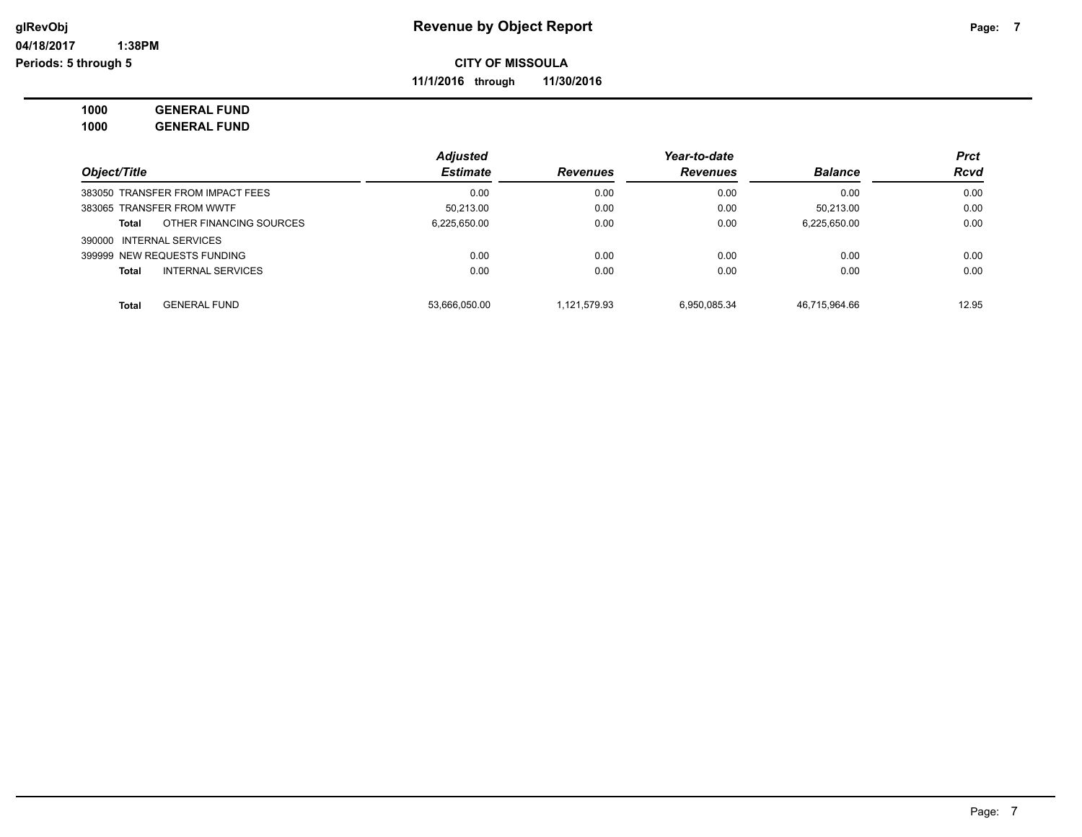|                                     | <b>Adjusted</b> |                 | Year-to-date    |                | <b>Prct</b> |
|-------------------------------------|-----------------|-----------------|-----------------|----------------|-------------|
| Object/Title                        | <b>Estimate</b> | <b>Revenues</b> | <b>Revenues</b> | <b>Balance</b> | Rcvd        |
| 383050 TRANSFER FROM IMPACT FEES    | 0.00            | 0.00            | 0.00            | 0.00           | 0.00        |
| 383065 TRANSFER FROM WWTF           | 50.213.00       | 0.00            | 0.00            | 50.213.00      | 0.00        |
| OTHER FINANCING SOURCES<br>Total    | 6,225,650.00    | 0.00            | 0.00            | 6,225,650.00   | 0.00        |
| 390000 INTERNAL SERVICES            |                 |                 |                 |                |             |
| 399999 NEW REQUESTS FUNDING         | 0.00            | 0.00            | 0.00            | 0.00           | 0.00        |
| <b>INTERNAL SERVICES</b><br>Total   | 0.00            | 0.00            | 0.00            | 0.00           | 0.00        |
| <b>GENERAL FUND</b><br><b>Total</b> | 53.666.050.00   | 1.121.579.93    | 6.950.085.34    | 46.715.964.66  | 12.95       |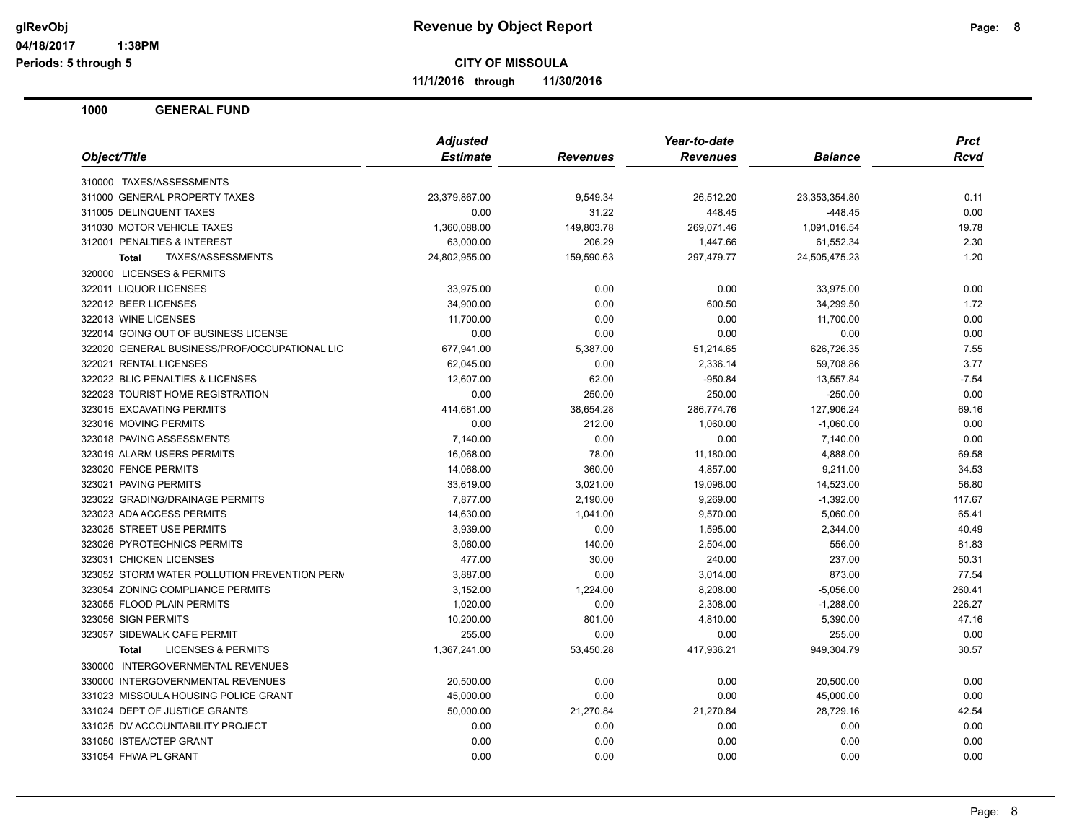**11/1/2016 through 11/30/2016**

|                                               | <b>Adjusted</b> |                 | Year-to-date    | <b>Prct</b>    |         |
|-----------------------------------------------|-----------------|-----------------|-----------------|----------------|---------|
| Object/Title                                  | <b>Estimate</b> | <b>Revenues</b> | <b>Revenues</b> | <b>Balance</b> | Rcvd    |
| 310000 TAXES/ASSESSMENTS                      |                 |                 |                 |                |         |
| 311000 GENERAL PROPERTY TAXES                 | 23,379,867.00   | 9,549.34        | 26,512.20       | 23,353,354.80  | 0.11    |
| 311005 DELINQUENT TAXES                       | 0.00            | 31.22           | 448.45          | $-448.45$      | 0.00    |
| 311030 MOTOR VEHICLE TAXES                    | 1,360,088.00    | 149,803.78      | 269,071.46      | 1,091,016.54   | 19.78   |
| 312001 PENALTIES & INTEREST                   | 63,000.00       | 206.29          | 1,447.66        | 61,552.34      | 2.30    |
| TAXES/ASSESSMENTS<br><b>Total</b>             | 24,802,955.00   | 159,590.63      | 297,479.77      | 24,505,475.23  | 1.20    |
| 320000 LICENSES & PERMITS                     |                 |                 |                 |                |         |
| 322011 LIQUOR LICENSES                        | 33,975.00       | 0.00            | 0.00            | 33,975.00      | 0.00    |
| 322012 BEER LICENSES                          | 34,900.00       | 0.00            | 600.50          | 34,299.50      | 1.72    |
| 322013 WINE LICENSES                          | 11,700.00       | 0.00            | 0.00            | 11,700.00      | 0.00    |
| 322014 GOING OUT OF BUSINESS LICENSE          | 0.00            | 0.00            | 0.00            | 0.00           | 0.00    |
| 322020 GENERAL BUSINESS/PROF/OCCUPATIONAL LIC | 677,941.00      | 5,387.00        | 51,214.65       | 626,726.35     | 7.55    |
| 322021 RENTAL LICENSES                        | 62,045.00       | 0.00            | 2,336.14        | 59,708.86      | 3.77    |
| 322022 BLIC PENALTIES & LICENSES              | 12,607.00       | 62.00           | $-950.84$       | 13,557.84      | $-7.54$ |
| 322023 TOURIST HOME REGISTRATION              | 0.00            | 250.00          | 250.00          | $-250.00$      | 0.00    |
| 323015 EXCAVATING PERMITS                     | 414,681.00      | 38,654.28       | 286,774.76      | 127,906.24     | 69.16   |
| 323016 MOVING PERMITS                         | 0.00            | 212.00          | 1,060.00        | $-1,060.00$    | 0.00    |
| 323018 PAVING ASSESSMENTS                     | 7,140.00        | 0.00            | 0.00            | 7,140.00       | 0.00    |
| 323019 ALARM USERS PERMITS                    | 16,068.00       | 78.00           | 11,180.00       | 4,888.00       | 69.58   |
| 323020 FENCE PERMITS                          | 14,068.00       | 360.00          | 4,857.00        | 9,211.00       | 34.53   |
| 323021 PAVING PERMITS                         | 33,619.00       | 3,021.00        | 19,096.00       | 14,523.00      | 56.80   |
| 323022 GRADING/DRAINAGE PERMITS               | 7,877.00        | 2,190.00        | 9,269.00        | $-1,392.00$    | 117.67  |
| 323023 ADA ACCESS PERMITS                     | 14,630.00       | 1,041.00        | 9,570.00        | 5,060.00       | 65.41   |
| 323025 STREET USE PERMITS                     | 3,939.00        | 0.00            | 1,595.00        | 2,344.00       | 40.49   |
| 323026 PYROTECHNICS PERMITS                   | 3,060.00        | 140.00          | 2,504.00        | 556.00         | 81.83   |
| 323031 CHICKEN LICENSES                       | 477.00          | 30.00           | 240.00          | 237.00         | 50.31   |
| 323052 STORM WATER POLLUTION PREVENTION PERN  | 3,887.00        | 0.00            | 3,014.00        | 873.00         | 77.54   |
| 323054 ZONING COMPLIANCE PERMITS              | 3,152.00        | 1,224.00        | 8,208.00        | $-5,056.00$    | 260.41  |
| 323055 FLOOD PLAIN PERMITS                    | 1,020.00        | 0.00            | 2,308.00        | $-1,288.00$    | 226.27  |
| 323056 SIGN PERMITS                           | 10,200.00       | 801.00          | 4,810.00        | 5,390.00       | 47.16   |
| 323057 SIDEWALK CAFE PERMIT                   | 255.00          | 0.00            | 0.00            | 255.00         | 0.00    |
| <b>LICENSES &amp; PERMITS</b><br><b>Total</b> | 1,367,241.00    | 53,450.28       | 417,936.21      | 949,304.79     | 30.57   |
| 330000 INTERGOVERNMENTAL REVENUES             |                 |                 |                 |                |         |
| 330000 INTERGOVERNMENTAL REVENUES             | 20,500.00       | 0.00            | 0.00            | 20,500.00      | 0.00    |
| 331023 MISSOULA HOUSING POLICE GRANT          | 45,000.00       | 0.00            | 0.00            | 45,000.00      | 0.00    |
| 331024 DEPT OF JUSTICE GRANTS                 | 50,000.00       | 21,270.84       | 21,270.84       | 28,729.16      | 42.54   |
| 331025 DV ACCOUNTABILITY PROJECT              | 0.00            | 0.00            | 0.00            | 0.00           | 0.00    |
| 331050 ISTEA/CTEP GRANT                       | 0.00            | 0.00            | 0.00            | 0.00           | 0.00    |
| 331054 FHWA PL GRANT                          | 0.00            | 0.00            | 0.00            | 0.00           | 0.00    |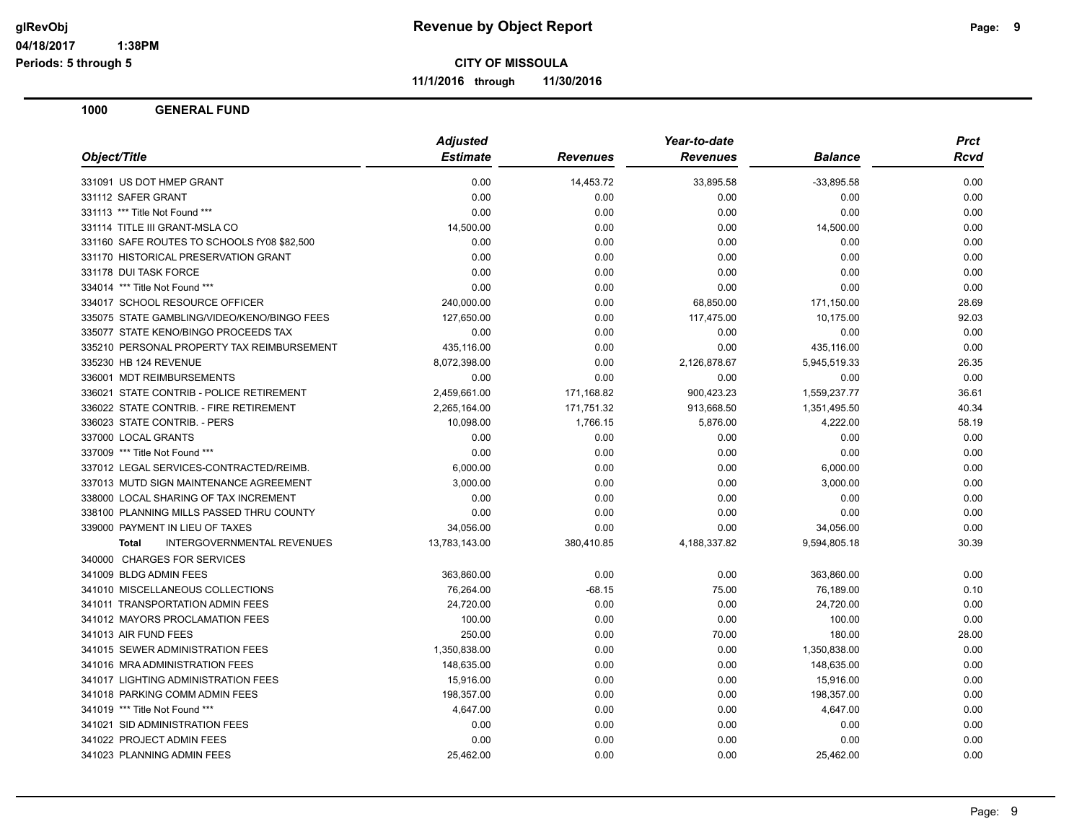**11/1/2016 through 11/30/2016**

|                                                   | <b>Adjusted</b><br>Year-to-date |                 |                 |                | <b>Prct</b> |
|---------------------------------------------------|---------------------------------|-----------------|-----------------|----------------|-------------|
| Object/Title                                      | <b>Estimate</b>                 | <b>Revenues</b> | <b>Revenues</b> | <b>Balance</b> | Rcvd        |
| 331091 US DOT HMEP GRANT                          | 0.00                            | 14,453.72       | 33,895.58       | $-33,895.58$   | 0.00        |
| 331112 SAFER GRANT                                | 0.00                            | 0.00            | 0.00            | 0.00           | 0.00        |
| 331113 *** Title Not Found ***                    | 0.00                            | 0.00            | 0.00            | 0.00           | 0.00        |
| 331114 TITLE III GRANT-MSLA CO                    | 14,500.00                       | 0.00            | 0.00            | 14,500.00      | 0.00        |
| 331160 SAFE ROUTES TO SCHOOLS fY08 \$82,500       | 0.00                            | 0.00            | 0.00            | 0.00           | 0.00        |
| 331170 HISTORICAL PRESERVATION GRANT              | 0.00                            | 0.00            | 0.00            | 0.00           | 0.00        |
| 331178 DUI TASK FORCE                             | 0.00                            | 0.00            | 0.00            | 0.00           | 0.00        |
| 334014 *** Title Not Found ***                    | 0.00                            | 0.00            | 0.00            | 0.00           | 0.00        |
| 334017 SCHOOL RESOURCE OFFICER                    | 240,000.00                      | 0.00            | 68,850.00       | 171,150.00     | 28.69       |
| 335075 STATE GAMBLING/VIDEO/KENO/BINGO FEES       | 127,650.00                      | 0.00            | 117,475.00      | 10,175.00      | 92.03       |
| 335077 STATE KENO/BINGO PROCEEDS TAX              | 0.00                            | 0.00            | 0.00            | 0.00           | 0.00        |
| 335210 PERSONAL PROPERTY TAX REIMBURSEMENT        | 435,116.00                      | 0.00            | 0.00            | 435,116.00     | 0.00        |
| 335230 HB 124 REVENUE                             | 8,072,398.00                    | 0.00            | 2,126,878.67    | 5,945,519.33   | 26.35       |
| 336001 MDT REIMBURSEMENTS                         | 0.00                            | 0.00            | 0.00            | 0.00           | 0.00        |
| 336021 STATE CONTRIB - POLICE RETIREMENT          | 2,459,661.00                    | 171,168.82      | 900,423.23      | 1,559,237.77   | 36.61       |
| 336022 STATE CONTRIB. - FIRE RETIREMENT           | 2,265,164.00                    | 171,751.32      | 913,668.50      | 1,351,495.50   | 40.34       |
| 336023 STATE CONTRIB. - PERS                      | 10,098.00                       | 1,766.15        | 5,876.00        | 4,222.00       | 58.19       |
| 337000 LOCAL GRANTS                               | 0.00                            | 0.00            | 0.00            | 0.00           | 0.00        |
| 337009 *** Title Not Found ***                    | 0.00                            | 0.00            | 0.00            | 0.00           | 0.00        |
| 337012 LEGAL SERVICES-CONTRACTED/REIMB.           | 6,000.00                        | 0.00            | 0.00            | 6,000.00       | 0.00        |
| 337013 MUTD SIGN MAINTENANCE AGREEMENT            | 3,000.00                        | 0.00            | 0.00            | 3,000.00       | 0.00        |
| 338000 LOCAL SHARING OF TAX INCREMENT             | 0.00                            | 0.00            | 0.00            | 0.00           | 0.00        |
| 338100 PLANNING MILLS PASSED THRU COUNTY          | 0.00                            | 0.00            | 0.00            | 0.00           | 0.00        |
| 339000 PAYMENT IN LIEU OF TAXES                   | 34,056.00                       | 0.00            | 0.00            | 34,056.00      | 0.00        |
| <b>INTERGOVERNMENTAL REVENUES</b><br><b>Total</b> | 13,783,143.00                   | 380,410.85      | 4,188,337.82    | 9,594,805.18   | 30.39       |
| 340000 CHARGES FOR SERVICES                       |                                 |                 |                 |                |             |
| 341009 BLDG ADMIN FEES                            | 363,860.00                      | 0.00            | 0.00            | 363,860.00     | 0.00        |
| 341010 MISCELLANEOUS COLLECTIONS                  | 76,264.00                       | $-68.15$        | 75.00           | 76,189.00      | 0.10        |
| 341011 TRANSPORTATION ADMIN FEES                  | 24,720.00                       | 0.00            | 0.00            | 24,720.00      | 0.00        |
| 341012 MAYORS PROCLAMATION FEES                   | 100.00                          | 0.00            | 0.00            | 100.00         | 0.00        |
| 341013 AIR FUND FEES                              | 250.00                          | 0.00            | 70.00           | 180.00         | 28.00       |
| 341015 SEWER ADMINISTRATION FEES                  | 1,350,838.00                    | 0.00            | 0.00            | 1,350,838.00   | 0.00        |
| 341016 MRA ADMINISTRATION FEES                    | 148,635.00                      | 0.00            | 0.00            | 148,635.00     | 0.00        |
| 341017 LIGHTING ADMINISTRATION FEES               | 15,916.00                       | 0.00            | 0.00            | 15,916.00      | 0.00        |
| 341018 PARKING COMM ADMIN FEES                    | 198,357.00                      | 0.00            | 0.00            | 198,357.00     | 0.00        |
| 341019 *** Title Not Found ***                    | 4,647.00                        | 0.00            | 0.00            | 4,647.00       | 0.00        |
| 341021 SID ADMINISTRATION FEES                    | 0.00                            | 0.00            | 0.00            | 0.00           | 0.00        |
| 341022 PROJECT ADMIN FEES                         | 0.00                            | 0.00            | 0.00            | 0.00           | 0.00        |
| 341023 PLANNING ADMIN FEES                        | 25.462.00                       | 0.00            | 0.00            | 25.462.00      | 0.00        |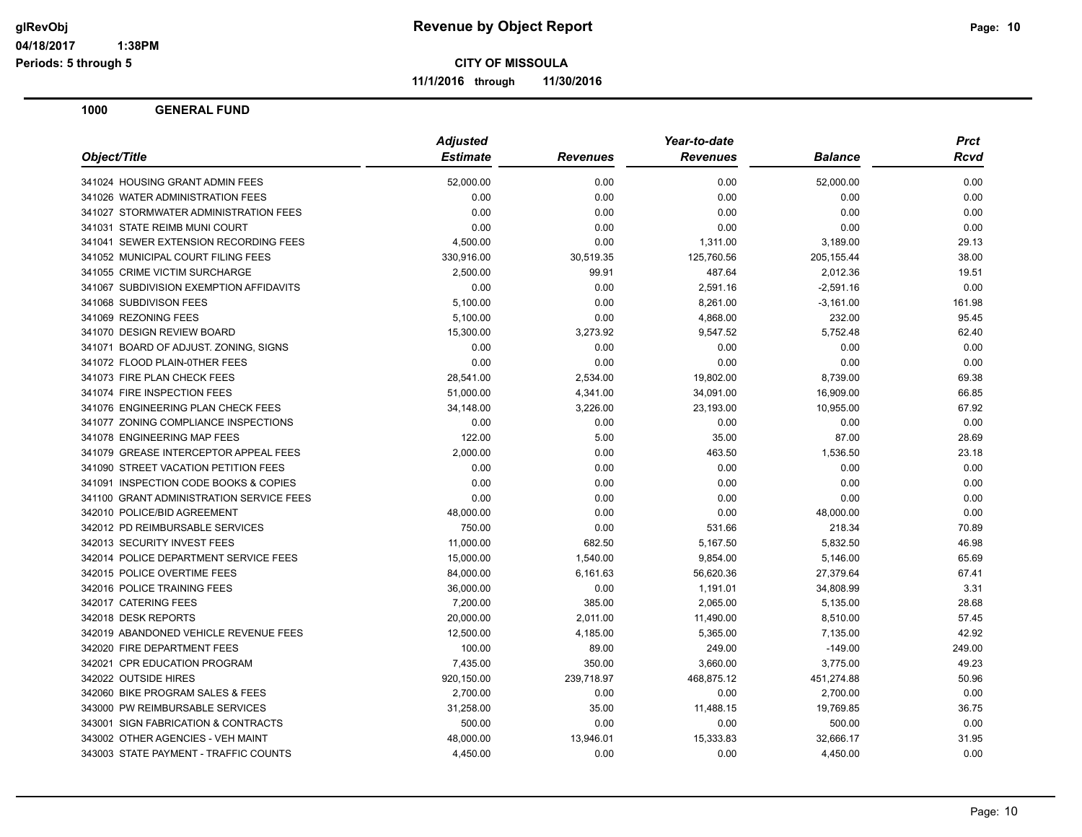**11/1/2016 through 11/30/2016**

| Object/Title                             | <b>Adjusted</b> |                 | <b>Prct</b>     |                |             |
|------------------------------------------|-----------------|-----------------|-----------------|----------------|-------------|
|                                          | <b>Estimate</b> | <b>Revenues</b> | <b>Revenues</b> | <b>Balance</b> | <b>Rcvd</b> |
| 341024 HOUSING GRANT ADMIN FEES          | 52,000.00       | 0.00            | 0.00            | 52,000.00      | 0.00        |
| 341026 WATER ADMINISTRATION FEES         | 0.00            | 0.00            | 0.00            | 0.00           | 0.00        |
| 341027 STORMWATER ADMINISTRATION FEES    | 0.00            | 0.00            | 0.00            | 0.00           | 0.00        |
| 341031 STATE REIMB MUNI COURT            | 0.00            | 0.00            | 0.00            | 0.00           | 0.00        |
| 341041 SEWER EXTENSION RECORDING FEES    | 4,500.00        | 0.00            | 1,311.00        | 3,189.00       | 29.13       |
| 341052 MUNICIPAL COURT FILING FEES       | 330,916.00      | 30,519.35       | 125,760.56      | 205,155.44     | 38.00       |
| 341055 CRIME VICTIM SURCHARGE            | 2,500.00        | 99.91           | 487.64          | 2,012.36       | 19.51       |
| 341067 SUBDIVISION EXEMPTION AFFIDAVITS  | 0.00            | 0.00            | 2,591.16        | $-2,591.16$    | 0.00        |
| 341068 SUBDIVISON FEES                   | 5,100.00        | 0.00            | 8,261.00        | $-3,161.00$    | 161.98      |
| 341069 REZONING FEES                     | 5,100.00        | 0.00            | 4,868.00        | 232.00         | 95.45       |
| 341070 DESIGN REVIEW BOARD               | 15,300.00       | 3,273.92        | 9,547.52        | 5,752.48       | 62.40       |
| 341071 BOARD OF ADJUST. ZONING, SIGNS    | 0.00            | 0.00            | 0.00            | 0.00           | 0.00        |
| 341072 FLOOD PLAIN-0THER FEES            | 0.00            | 0.00            | 0.00            | 0.00           | 0.00        |
| 341073 FIRE PLAN CHECK FEES              | 28,541.00       | 2,534.00        | 19,802.00       | 8,739.00       | 69.38       |
| 341074 FIRE INSPECTION FEES              | 51,000.00       | 4,341.00        | 34,091.00       | 16,909.00      | 66.85       |
| 341076 ENGINEERING PLAN CHECK FEES       | 34,148.00       | 3,226.00        | 23,193.00       | 10,955.00      | 67.92       |
| 341077 ZONING COMPLIANCE INSPECTIONS     | 0.00            | 0.00            | 0.00            | 0.00           | 0.00        |
| 341078 ENGINEERING MAP FEES              | 122.00          | 5.00            | 35.00           | 87.00          | 28.69       |
| 341079 GREASE INTERCEPTOR APPEAL FEES    | 2,000.00        | 0.00            | 463.50          | 1,536.50       | 23.18       |
| 341090 STREET VACATION PETITION FEES     | 0.00            | 0.00            | 0.00            | 0.00           | 0.00        |
| 341091 INSPECTION CODE BOOKS & COPIES    | 0.00            | 0.00            | 0.00            | 0.00           | 0.00        |
| 341100 GRANT ADMINISTRATION SERVICE FEES | 0.00            | 0.00            | 0.00            | 0.00           | 0.00        |
| 342010 POLICE/BID AGREEMENT              | 48,000.00       | 0.00            | 0.00            | 48,000.00      | 0.00        |
| 342012 PD REIMBURSABLE SERVICES          | 750.00          | 0.00            | 531.66          | 218.34         | 70.89       |
| 342013 SECURITY INVEST FEES              | 11,000.00       | 682.50          | 5,167.50        | 5,832.50       | 46.98       |
| 342014 POLICE DEPARTMENT SERVICE FEES    | 15,000.00       | 1,540.00        | 9,854.00        | 5,146.00       | 65.69       |
| 342015 POLICE OVERTIME FEES              | 84,000.00       | 6,161.63        | 56,620.36       | 27,379.64      | 67.41       |
| 342016 POLICE TRAINING FEES              | 36,000.00       | 0.00            | 1,191.01        | 34,808.99      | 3.31        |
| 342017 CATERING FEES                     | 7,200.00        | 385.00          | 2,065.00        | 5,135.00       | 28.68       |
| 342018 DESK REPORTS                      | 20,000.00       | 2,011.00        | 11,490.00       | 8,510.00       | 57.45       |
| 342019 ABANDONED VEHICLE REVENUE FEES    | 12,500.00       | 4,185.00        | 5,365.00        | 7,135.00       | 42.92       |
| 342020 FIRE DEPARTMENT FEES              | 100.00          | 89.00           | 249.00          | $-149.00$      | 249.00      |
| 342021 CPR EDUCATION PROGRAM             | 7,435.00        | 350.00          | 3,660.00        | 3,775.00       | 49.23       |
| 342022 OUTSIDE HIRES                     | 920,150.00      | 239,718.97      | 468,875.12      | 451,274.88     | 50.96       |
| 342060 BIKE PROGRAM SALES & FEES         | 2,700.00        | 0.00            | 0.00            | 2,700.00       | 0.00        |
| 343000 PW REIMBURSABLE SERVICES          | 31,258.00       | 35.00           | 11,488.15       | 19,769.85      | 36.75       |
| 343001 SIGN FABRICATION & CONTRACTS      | 500.00          | 0.00            | 0.00            | 500.00         | 0.00        |
| 343002 OTHER AGENCIES - VEH MAINT        | 48,000.00       | 13,946.01       | 15,333.83       | 32,666.17      | 31.95       |
| 343003 STATE PAYMENT - TRAFFIC COUNTS    | 4,450.00        | 0.00            | 0.00            | 4,450.00       | 0.00        |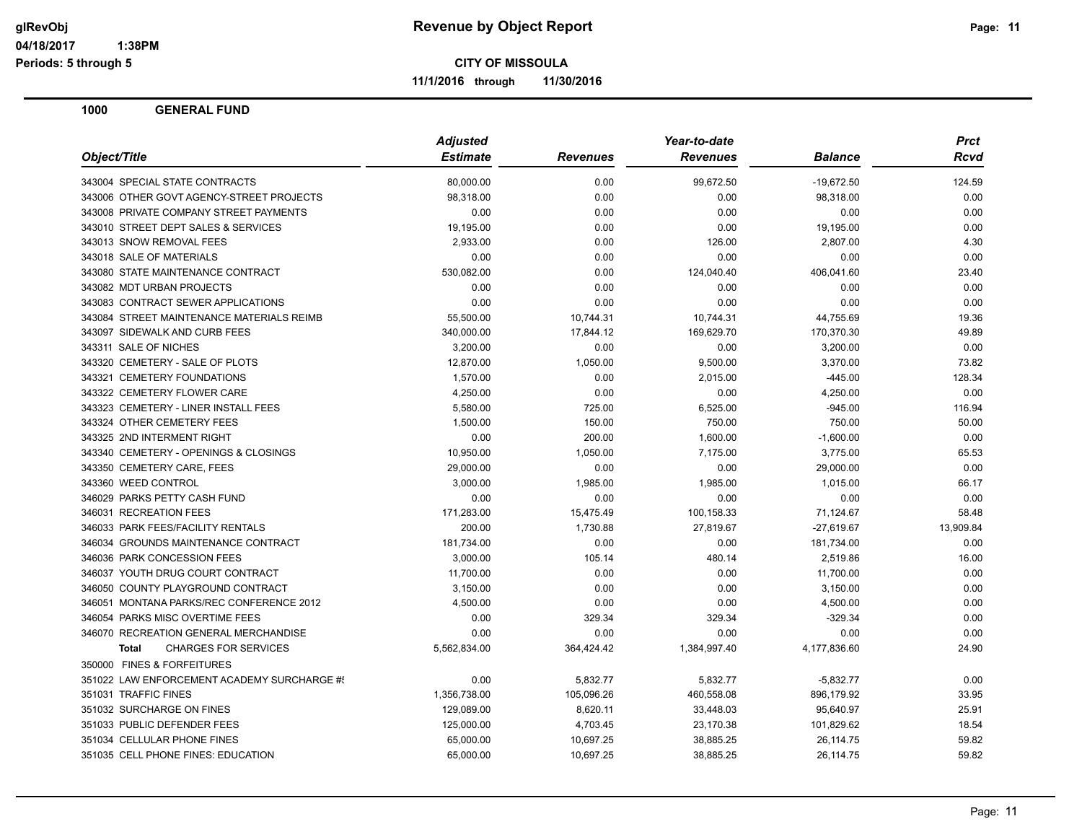**11/1/2016 through 11/30/2016**

|                                             | <b>Adjusted</b> |                 | Year-to-date    |                |             |
|---------------------------------------------|-----------------|-----------------|-----------------|----------------|-------------|
| Object/Title                                | <b>Estimate</b> | <b>Revenues</b> | <b>Revenues</b> | <b>Balance</b> | <b>Rcvd</b> |
| 343004 SPECIAL STATE CONTRACTS              | 80,000.00       | 0.00            | 99,672.50       | $-19,672.50$   | 124.59      |
| 343006 OTHER GOVT AGENCY-STREET PROJECTS    | 98,318.00       | 0.00            | 0.00            | 98,318.00      | 0.00        |
| 343008 PRIVATE COMPANY STREET PAYMENTS      | 0.00            | 0.00            | 0.00            | 0.00           | 0.00        |
| 343010 STREET DEPT SALES & SERVICES         | 19,195.00       | 0.00            | 0.00            | 19,195.00      | 0.00        |
| 343013 SNOW REMOVAL FEES                    | 2,933.00        | 0.00            | 126.00          | 2,807.00       | 4.30        |
| 343018 SALE OF MATERIALS                    | 0.00            | 0.00            | 0.00            | 0.00           | 0.00        |
| 343080 STATE MAINTENANCE CONTRACT           | 530,082.00      | 0.00            | 124,040.40      | 406,041.60     | 23.40       |
| 343082 MDT URBAN PROJECTS                   | 0.00            | 0.00            | 0.00            | 0.00           | 0.00        |
| 343083 CONTRACT SEWER APPLICATIONS          | 0.00            | 0.00            | 0.00            | 0.00           | 0.00        |
| 343084 STREET MAINTENANCE MATERIALS REIMB   | 55,500.00       | 10,744.31       | 10,744.31       | 44,755.69      | 19.36       |
| 343097 SIDEWALK AND CURB FEES               | 340,000.00      | 17,844.12       | 169,629.70      | 170,370.30     | 49.89       |
| 343311 SALE OF NICHES                       | 3,200.00        | 0.00            | 0.00            | 3,200.00       | 0.00        |
| 343320 CEMETERY - SALE OF PLOTS             | 12,870.00       | 1,050.00        | 9,500.00        | 3,370.00       | 73.82       |
| 343321 CEMETERY FOUNDATIONS                 | 1,570.00        | 0.00            | 2,015.00        | $-445.00$      | 128.34      |
| 343322 CEMETERY FLOWER CARE                 | 4,250.00        | 0.00            | 0.00            | 4,250.00       | 0.00        |
| 343323 CEMETERY - LINER INSTALL FEES        | 5,580.00        | 725.00          | 6,525.00        | $-945.00$      | 116.94      |
| 343324 OTHER CEMETERY FEES                  | 1,500.00        | 150.00          | 750.00          | 750.00         | 50.00       |
| 343325 2ND INTERMENT RIGHT                  | 0.00            | 200.00          | 1,600.00        | $-1,600.00$    | 0.00        |
| 343340 CEMETERY - OPENINGS & CLOSINGS       | 10,950.00       | 1,050.00        | 7,175.00        | 3,775.00       | 65.53       |
| 343350 CEMETERY CARE, FEES                  | 29,000.00       | 0.00            | 0.00            | 29,000.00      | 0.00        |
| 343360 WEED CONTROL                         | 3,000.00        | 1,985.00        | 1,985.00        | 1,015.00       | 66.17       |
| 346029 PARKS PETTY CASH FUND                | 0.00            | 0.00            | 0.00            | 0.00           | 0.00        |
| 346031 RECREATION FEES                      | 171,283.00      | 15,475.49       | 100,158.33      | 71,124.67      | 58.48       |
| 346033 PARK FEES/FACILITY RENTALS           | 200.00          | 1,730.88        | 27,819.67       | $-27,619.67$   | 13,909.84   |
| 346034 GROUNDS MAINTENANCE CONTRACT         | 181,734.00      | 0.00            | 0.00            | 181,734.00     | 0.00        |
| 346036 PARK CONCESSION FEES                 | 3,000.00        | 105.14          | 480.14          | 2,519.86       | 16.00       |
| 346037 YOUTH DRUG COURT CONTRACT            | 11,700.00       | 0.00            | 0.00            | 11,700.00      | 0.00        |
| 346050 COUNTY PLAYGROUND CONTRACT           | 3,150.00        | 0.00            | 0.00            | 3,150.00       | 0.00        |
| 346051 MONTANA PARKS/REC CONFERENCE 2012    | 4,500.00        | 0.00            | 0.00            | 4,500.00       | 0.00        |
| 346054 PARKS MISC OVERTIME FEES             | 0.00            | 329.34          | 329.34          | $-329.34$      | 0.00        |
| 346070 RECREATION GENERAL MERCHANDISE       | 0.00            | 0.00            | 0.00            | 0.00           | 0.00        |
| <b>CHARGES FOR SERVICES</b><br>Total        | 5,562,834.00    | 364,424.42      | 1,384,997.40    | 4,177,836.60   | 24.90       |
| 350000 FINES & FORFEITURES                  |                 |                 |                 |                |             |
| 351022 LAW ENFORCEMENT ACADEMY SURCHARGE #! | 0.00            | 5,832.77        | 5,832.77        | $-5,832.77$    | 0.00        |
| 351031 TRAFFIC FINES                        | 1,356,738.00    | 105,096.26      | 460,558.08      | 896,179.92     | 33.95       |
| 351032 SURCHARGE ON FINES                   | 129,089.00      | 8,620.11        | 33,448.03       | 95,640.97      | 25.91       |
| 351033 PUBLIC DEFENDER FEES                 | 125,000.00      | 4,703.45        | 23,170.38       | 101,829.62     | 18.54       |
| 351034 CELLULAR PHONE FINES                 | 65,000.00       | 10,697.25       | 38,885.25       | 26,114.75      | 59.82       |
| 351035 CELL PHONE FINES: EDUCATION          | 65,000.00       | 10,697.25       | 38,885.25       | 26,114.75      | 59.82       |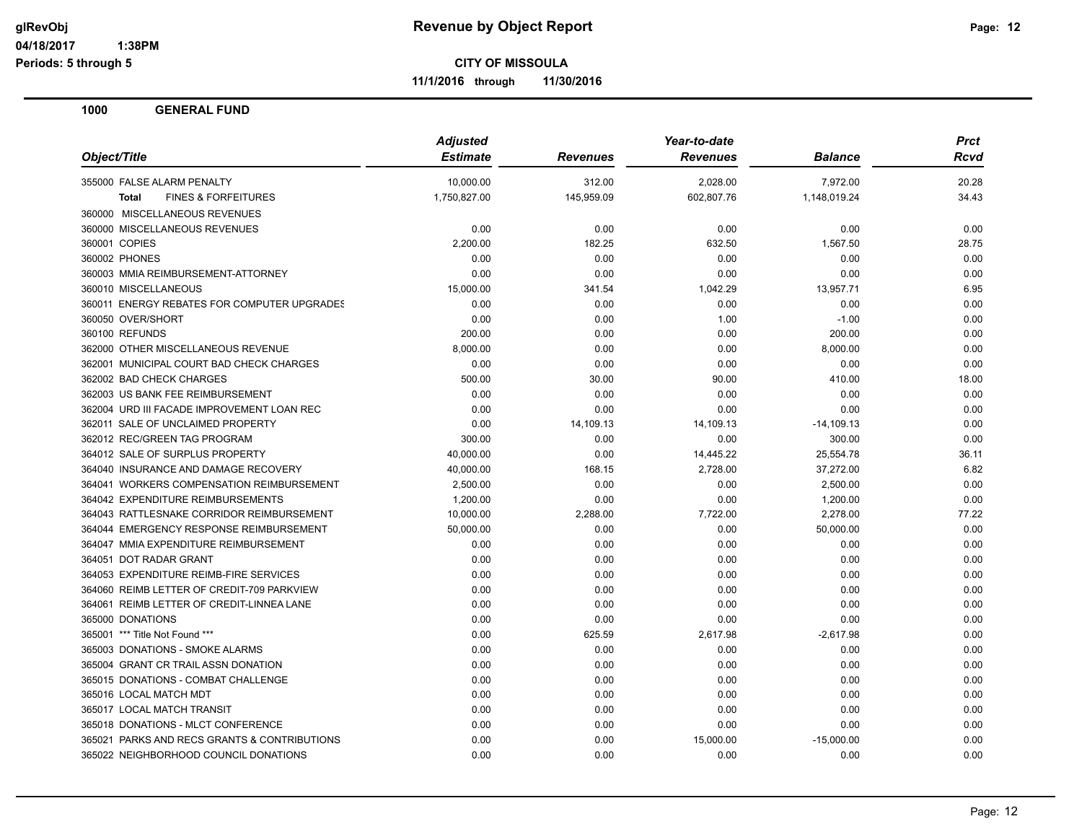**11/1/2016 through 11/30/2016**

|                                                | <b>Adjusted</b> |                 | <b>Prct</b>     |                |       |
|------------------------------------------------|-----------------|-----------------|-----------------|----------------|-------|
| Object/Title                                   | <b>Estimate</b> | <b>Revenues</b> | <b>Revenues</b> | <b>Balance</b> | Rcvd  |
| 355000 FALSE ALARM PENALTY                     | 10,000.00       | 312.00          | 2,028.00        | 7,972.00       | 20.28 |
| <b>FINES &amp; FORFEITURES</b><br><b>Total</b> | 1,750,827.00    | 145,959.09      | 602,807.76      | 1,148,019.24   | 34.43 |
| 360000 MISCELLANEOUS REVENUES                  |                 |                 |                 |                |       |
| 360000 MISCELLANEOUS REVENUES                  | 0.00            | 0.00            | 0.00            | 0.00           | 0.00  |
| 360001 COPIES                                  | 2,200.00        | 182.25          | 632.50          | 1,567.50       | 28.75 |
| 360002 PHONES                                  | 0.00            | 0.00            | 0.00            | 0.00           | 0.00  |
| 360003 MMIA REIMBURSEMENT-ATTORNEY             | 0.00            | 0.00            | 0.00            | 0.00           | 0.00  |
| 360010 MISCELLANEOUS                           | 15,000.00       | 341.54          | 1,042.29        | 13,957.71      | 6.95  |
| 360011 ENERGY REBATES FOR COMPUTER UPGRADES    | 0.00            | 0.00            | 0.00            | 0.00           | 0.00  |
| 360050 OVER/SHORT                              | 0.00            | 0.00            | 1.00            | $-1.00$        | 0.00  |
| 360100 REFUNDS                                 | 200.00          | 0.00            | 0.00            | 200.00         | 0.00  |
| 362000 OTHER MISCELLANEOUS REVENUE             | 8,000.00        | 0.00            | 0.00            | 8,000.00       | 0.00  |
| 362001 MUNICIPAL COURT BAD CHECK CHARGES       | 0.00            | 0.00            | 0.00            | 0.00           | 0.00  |
| 362002 BAD CHECK CHARGES                       | 500.00          | 30.00           | 90.00           | 410.00         | 18.00 |
| 362003 US BANK FEE REIMBURSEMENT               | 0.00            | 0.00            | 0.00            | 0.00           | 0.00  |
| 362004 URD III FACADE IMPROVEMENT LOAN REC     | 0.00            | 0.00            | 0.00            | 0.00           | 0.00  |
| 362011 SALE OF UNCLAIMED PROPERTY              | 0.00            | 14,109.13       | 14,109.13       | $-14,109.13$   | 0.00  |
| 362012 REC/GREEN TAG PROGRAM                   | 300.00          | 0.00            | 0.00            | 300.00         | 0.00  |
| 364012 SALE OF SURPLUS PROPERTY                | 40,000.00       | 0.00            | 14,445.22       | 25,554.78      | 36.11 |
| 364040 INSURANCE AND DAMAGE RECOVERY           | 40,000.00       | 168.15          | 2,728.00        | 37,272.00      | 6.82  |
| 364041 WORKERS COMPENSATION REIMBURSEMENT      | 2,500.00        | 0.00            | 0.00            | 2,500.00       | 0.00  |
| 364042 EXPENDITURE REIMBURSEMENTS              | 1,200.00        | 0.00            | 0.00            | 1,200.00       | 0.00  |
| 364043 RATTLESNAKE CORRIDOR REIMBURSEMENT      | 10,000.00       | 2,288.00        | 7,722.00        | 2,278.00       | 77.22 |
| 364044 EMERGENCY RESPONSE REIMBURSEMENT        | 50,000.00       | 0.00            | 0.00            | 50,000.00      | 0.00  |
| 364047 MMIA EXPENDITURE REIMBURSEMENT          | 0.00            | 0.00            | 0.00            | 0.00           | 0.00  |
| 364051 DOT RADAR GRANT                         | 0.00            | 0.00            | 0.00            | 0.00           | 0.00  |
| 364053 EXPENDITURE REIMB-FIRE SERVICES         | 0.00            | 0.00            | 0.00            | 0.00           | 0.00  |
| 364060 REIMB LETTER OF CREDIT-709 PARKVIEW     | 0.00            | 0.00            | 0.00            | 0.00           | 0.00  |
| 364061 REIMB LETTER OF CREDIT-LINNEA LANE      | 0.00            | 0.00            | 0.00            | 0.00           | 0.00  |
| 365000 DONATIONS                               | 0.00            | 0.00            | 0.00            | 0.00           | 0.00  |
| 365001 *** Title Not Found ***                 | 0.00            | 625.59          | 2,617.98        | $-2,617.98$    | 0.00  |
| 365003 DONATIONS - SMOKE ALARMS                | 0.00            | 0.00            | 0.00            | 0.00           | 0.00  |
| 365004 GRANT CR TRAIL ASSN DONATION            | 0.00            | 0.00            | 0.00            | 0.00           | 0.00  |
| 365015 DONATIONS - COMBAT CHALLENGE            | 0.00            | 0.00            | 0.00            | 0.00           | 0.00  |
| 365016 LOCAL MATCH MDT                         | 0.00            | 0.00            | 0.00            | 0.00           | 0.00  |
| 365017 LOCAL MATCH TRANSIT                     | 0.00            | 0.00            | 0.00            | 0.00           | 0.00  |
| 365018 DONATIONS - MLCT CONFERENCE             | 0.00            | 0.00            | 0.00            | 0.00           | 0.00  |
| 365021 PARKS AND RECS GRANTS & CONTRIBUTIONS   | 0.00            | 0.00            | 15,000.00       | $-15,000.00$   | 0.00  |
| 365022 NEIGHBORHOOD COUNCIL DONATIONS          | 0.00            | 0.00            | 0.00            | 0.00           | 0.00  |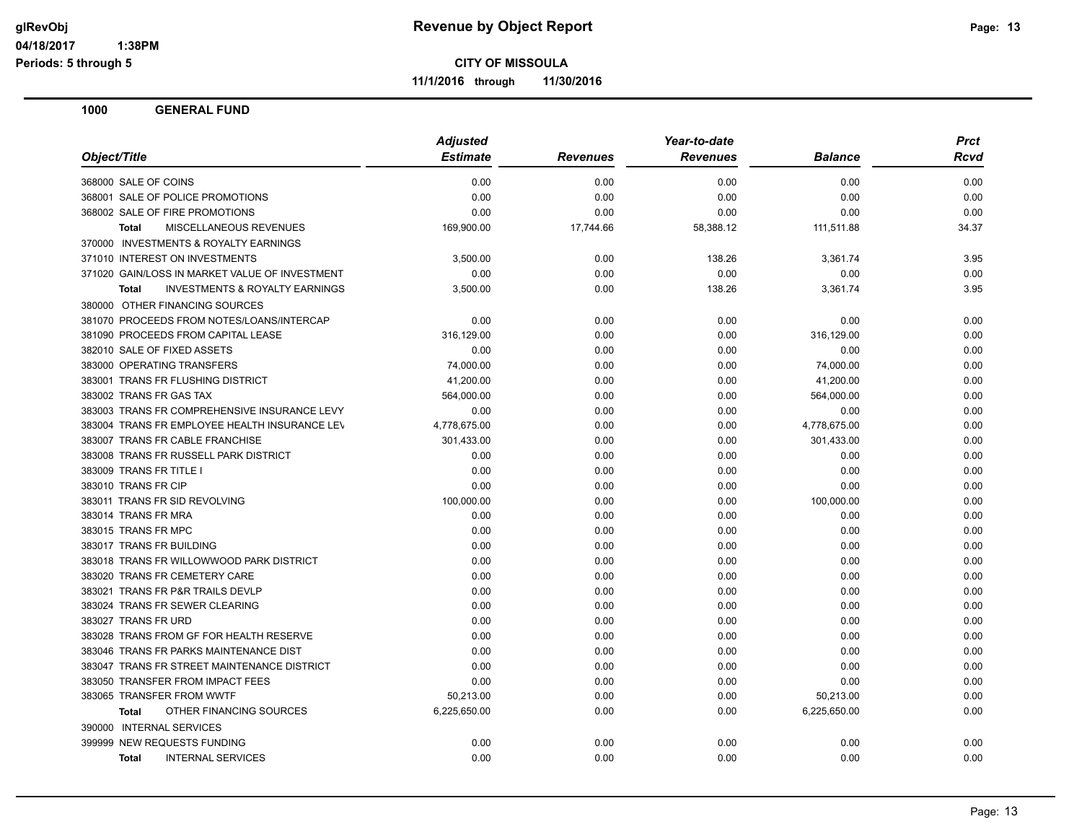**11/1/2016 through 11/30/2016**

| 368000 SALE OF COINS<br>0.00<br>0.00<br>0.00<br>0.00<br>0.00<br>368001 SALE OF POLICE PROMOTIONS<br>0.00<br>0.00<br>0.00<br>0.00<br>0.00<br>0.00<br>0.00<br>0.00<br>0.00<br>0.00<br>368002 SALE OF FIRE PROMOTIONS<br>MISCELLANEOUS REVENUES<br>58,388.12<br>34.37<br><b>Total</b><br>169,900.00<br>17,744.66<br>111,511.88<br>370000 INVESTMENTS & ROYALTY EARNINGS<br>371010 INTEREST ON INVESTMENTS<br>3,500.00<br>0.00<br>138.26<br>3.361.74<br>3.95<br>0.00<br>0.00<br>0.00<br>371020 GAIN/LOSS IN MARKET VALUE OF INVESTMENT<br>0.00<br>0.00<br><b>INVESTMENTS &amp; ROYALTY EARNINGS</b><br>3,500.00<br>0.00<br>138.26<br>3,361.74<br>3.95<br>Total<br>380000 OTHER FINANCING SOURCES<br>381070 PROCEEDS FROM NOTES/LOANS/INTERCAP<br>0.00<br>0.00<br>0.00<br>0.00<br>0.00<br>381090 PROCEEDS FROM CAPITAL LEASE<br>316,129.00<br>0.00<br>0.00<br>316,129.00<br>0.00<br>382010 SALE OF FIXED ASSETS<br>0.00<br>0.00<br>0.00<br>0.00<br>0.00<br>383000 OPERATING TRANSFERS<br>74,000.00<br>0.00<br>0.00<br>74,000.00<br>0.00<br>383001 TRANS FR FLUSHING DISTRICT<br>41,200.00<br>41,200.00<br>0.00<br>0.00<br>0.00<br>0.00<br>0.00<br>564,000.00<br>564,000.00<br>0.00<br>0.00<br>0.00<br>0.00<br>0.00<br>0.00<br>4,778,675.00<br>0.00<br>0.00<br>4,778,675.00<br>0.00<br>301,433.00<br>301,433.00<br>0.00<br>0.00<br>0.00<br>0.00<br>0.00<br>0.00<br>0.00<br>0.00<br>0.00<br>0.00<br>0.00<br>0.00<br>0.00<br>0.00<br>0.00<br>0.00<br>0.00<br>0.00<br>100,000.00<br>100,000.00<br>0.00<br>0.00<br>0.00<br>0.00<br>0.00<br>0.00<br>0.00<br>0.00<br>0.00<br>0.00<br>0.00<br>0.00<br>0.00<br>0.00<br>0.00<br>0.00<br>0.00<br>0.00<br>0.00<br>0.00<br>0.00<br>0.00<br>0.00<br>0.00<br>0.00<br>0.00<br>0.00<br>0.00<br>0.00<br>0.00<br>0.00<br>0.00<br>0.00<br>0.00<br>0.00<br>0.00<br>0.00<br>0.00<br>0.00<br>0.00<br>0.00<br>0.00<br>0.00<br>0.00<br>0.00<br>0.00<br>0.00<br>0.00<br>0.00<br>0.00<br>0.00<br>0.00<br>0.00<br>0.00<br>0.00<br>0.00<br>0.00<br>0.00<br>0.00<br>0.00<br>0.00<br>0.00<br>0.00<br>50,213.00<br>0.00<br>0.00<br>50,213.00<br>0.00<br>OTHER FINANCING SOURCES<br>6,225,650.00<br>0.00<br>0.00<br>6,225,650.00<br>0.00<br><b>Total</b><br>390000 INTERNAL SERVICES<br>0.00<br>0.00<br>0.00<br>0.00<br>0.00 | Object/Title                                  | <b>Adjusted</b><br><b>Estimate</b> | <b>Revenues</b> | Year-to-date<br><b>Revenues</b> | <b>Balance</b> | <b>Prct</b><br>Rcvd |
|----------------------------------------------------------------------------------------------------------------------------------------------------------------------------------------------------------------------------------------------------------------------------------------------------------------------------------------------------------------------------------------------------------------------------------------------------------------------------------------------------------------------------------------------------------------------------------------------------------------------------------------------------------------------------------------------------------------------------------------------------------------------------------------------------------------------------------------------------------------------------------------------------------------------------------------------------------------------------------------------------------------------------------------------------------------------------------------------------------------------------------------------------------------------------------------------------------------------------------------------------------------------------------------------------------------------------------------------------------------------------------------------------------------------------------------------------------------------------------------------------------------------------------------------------------------------------------------------------------------------------------------------------------------------------------------------------------------------------------------------------------------------------------------------------------------------------------------------------------------------------------------------------------------------------------------------------------------------------------------------------------------------------------------------------------------------------------------------------------------------------------------------------------------------------------------------------------------------------------------|-----------------------------------------------|------------------------------------|-----------------|---------------------------------|----------------|---------------------|
|                                                                                                                                                                                                                                                                                                                                                                                                                                                                                                                                                                                                                                                                                                                                                                                                                                                                                                                                                                                                                                                                                                                                                                                                                                                                                                                                                                                                                                                                                                                                                                                                                                                                                                                                                                                                                                                                                                                                                                                                                                                                                                                                                                                                                                        |                                               |                                    |                 |                                 |                |                     |
|                                                                                                                                                                                                                                                                                                                                                                                                                                                                                                                                                                                                                                                                                                                                                                                                                                                                                                                                                                                                                                                                                                                                                                                                                                                                                                                                                                                                                                                                                                                                                                                                                                                                                                                                                                                                                                                                                                                                                                                                                                                                                                                                                                                                                                        |                                               |                                    |                 |                                 |                |                     |
|                                                                                                                                                                                                                                                                                                                                                                                                                                                                                                                                                                                                                                                                                                                                                                                                                                                                                                                                                                                                                                                                                                                                                                                                                                                                                                                                                                                                                                                                                                                                                                                                                                                                                                                                                                                                                                                                                                                                                                                                                                                                                                                                                                                                                                        |                                               |                                    |                 |                                 |                |                     |
|                                                                                                                                                                                                                                                                                                                                                                                                                                                                                                                                                                                                                                                                                                                                                                                                                                                                                                                                                                                                                                                                                                                                                                                                                                                                                                                                                                                                                                                                                                                                                                                                                                                                                                                                                                                                                                                                                                                                                                                                                                                                                                                                                                                                                                        |                                               |                                    |                 |                                 |                |                     |
|                                                                                                                                                                                                                                                                                                                                                                                                                                                                                                                                                                                                                                                                                                                                                                                                                                                                                                                                                                                                                                                                                                                                                                                                                                                                                                                                                                                                                                                                                                                                                                                                                                                                                                                                                                                                                                                                                                                                                                                                                                                                                                                                                                                                                                        |                                               |                                    |                 |                                 |                |                     |
|                                                                                                                                                                                                                                                                                                                                                                                                                                                                                                                                                                                                                                                                                                                                                                                                                                                                                                                                                                                                                                                                                                                                                                                                                                                                                                                                                                                                                                                                                                                                                                                                                                                                                                                                                                                                                                                                                                                                                                                                                                                                                                                                                                                                                                        |                                               |                                    |                 |                                 |                |                     |
|                                                                                                                                                                                                                                                                                                                                                                                                                                                                                                                                                                                                                                                                                                                                                                                                                                                                                                                                                                                                                                                                                                                                                                                                                                                                                                                                                                                                                                                                                                                                                                                                                                                                                                                                                                                                                                                                                                                                                                                                                                                                                                                                                                                                                                        |                                               |                                    |                 |                                 |                |                     |
|                                                                                                                                                                                                                                                                                                                                                                                                                                                                                                                                                                                                                                                                                                                                                                                                                                                                                                                                                                                                                                                                                                                                                                                                                                                                                                                                                                                                                                                                                                                                                                                                                                                                                                                                                                                                                                                                                                                                                                                                                                                                                                                                                                                                                                        |                                               |                                    |                 |                                 |                |                     |
|                                                                                                                                                                                                                                                                                                                                                                                                                                                                                                                                                                                                                                                                                                                                                                                                                                                                                                                                                                                                                                                                                                                                                                                                                                                                                                                                                                                                                                                                                                                                                                                                                                                                                                                                                                                                                                                                                                                                                                                                                                                                                                                                                                                                                                        |                                               |                                    |                 |                                 |                |                     |
|                                                                                                                                                                                                                                                                                                                                                                                                                                                                                                                                                                                                                                                                                                                                                                                                                                                                                                                                                                                                                                                                                                                                                                                                                                                                                                                                                                                                                                                                                                                                                                                                                                                                                                                                                                                                                                                                                                                                                                                                                                                                                                                                                                                                                                        |                                               |                                    |                 |                                 |                |                     |
|                                                                                                                                                                                                                                                                                                                                                                                                                                                                                                                                                                                                                                                                                                                                                                                                                                                                                                                                                                                                                                                                                                                                                                                                                                                                                                                                                                                                                                                                                                                                                                                                                                                                                                                                                                                                                                                                                                                                                                                                                                                                                                                                                                                                                                        |                                               |                                    |                 |                                 |                |                     |
|                                                                                                                                                                                                                                                                                                                                                                                                                                                                                                                                                                                                                                                                                                                                                                                                                                                                                                                                                                                                                                                                                                                                                                                                                                                                                                                                                                                                                                                                                                                                                                                                                                                                                                                                                                                                                                                                                                                                                                                                                                                                                                                                                                                                                                        |                                               |                                    |                 |                                 |                |                     |
|                                                                                                                                                                                                                                                                                                                                                                                                                                                                                                                                                                                                                                                                                                                                                                                                                                                                                                                                                                                                                                                                                                                                                                                                                                                                                                                                                                                                                                                                                                                                                                                                                                                                                                                                                                                                                                                                                                                                                                                                                                                                                                                                                                                                                                        |                                               |                                    |                 |                                 |                |                     |
|                                                                                                                                                                                                                                                                                                                                                                                                                                                                                                                                                                                                                                                                                                                                                                                                                                                                                                                                                                                                                                                                                                                                                                                                                                                                                                                                                                                                                                                                                                                                                                                                                                                                                                                                                                                                                                                                                                                                                                                                                                                                                                                                                                                                                                        |                                               |                                    |                 |                                 |                |                     |
|                                                                                                                                                                                                                                                                                                                                                                                                                                                                                                                                                                                                                                                                                                                                                                                                                                                                                                                                                                                                                                                                                                                                                                                                                                                                                                                                                                                                                                                                                                                                                                                                                                                                                                                                                                                                                                                                                                                                                                                                                                                                                                                                                                                                                                        |                                               |                                    |                 |                                 |                |                     |
|                                                                                                                                                                                                                                                                                                                                                                                                                                                                                                                                                                                                                                                                                                                                                                                                                                                                                                                                                                                                                                                                                                                                                                                                                                                                                                                                                                                                                                                                                                                                                                                                                                                                                                                                                                                                                                                                                                                                                                                                                                                                                                                                                                                                                                        | 383002 TRANS FR GAS TAX                       |                                    |                 |                                 |                |                     |
|                                                                                                                                                                                                                                                                                                                                                                                                                                                                                                                                                                                                                                                                                                                                                                                                                                                                                                                                                                                                                                                                                                                                                                                                                                                                                                                                                                                                                                                                                                                                                                                                                                                                                                                                                                                                                                                                                                                                                                                                                                                                                                                                                                                                                                        | 383003 TRANS FR COMPREHENSIVE INSURANCE LEVY  |                                    |                 |                                 |                |                     |
|                                                                                                                                                                                                                                                                                                                                                                                                                                                                                                                                                                                                                                                                                                                                                                                                                                                                                                                                                                                                                                                                                                                                                                                                                                                                                                                                                                                                                                                                                                                                                                                                                                                                                                                                                                                                                                                                                                                                                                                                                                                                                                                                                                                                                                        | 383004 TRANS FR EMPLOYEE HEALTH INSURANCE LEV |                                    |                 |                                 |                |                     |
|                                                                                                                                                                                                                                                                                                                                                                                                                                                                                                                                                                                                                                                                                                                                                                                                                                                                                                                                                                                                                                                                                                                                                                                                                                                                                                                                                                                                                                                                                                                                                                                                                                                                                                                                                                                                                                                                                                                                                                                                                                                                                                                                                                                                                                        | 383007 TRANS FR CABLE FRANCHISE               |                                    |                 |                                 |                |                     |
|                                                                                                                                                                                                                                                                                                                                                                                                                                                                                                                                                                                                                                                                                                                                                                                                                                                                                                                                                                                                                                                                                                                                                                                                                                                                                                                                                                                                                                                                                                                                                                                                                                                                                                                                                                                                                                                                                                                                                                                                                                                                                                                                                                                                                                        | 383008 TRANS FR RUSSELL PARK DISTRICT         |                                    |                 |                                 |                |                     |
|                                                                                                                                                                                                                                                                                                                                                                                                                                                                                                                                                                                                                                                                                                                                                                                                                                                                                                                                                                                                                                                                                                                                                                                                                                                                                                                                                                                                                                                                                                                                                                                                                                                                                                                                                                                                                                                                                                                                                                                                                                                                                                                                                                                                                                        | 383009 TRANS FR TITLE I                       |                                    |                 |                                 |                |                     |
|                                                                                                                                                                                                                                                                                                                                                                                                                                                                                                                                                                                                                                                                                                                                                                                                                                                                                                                                                                                                                                                                                                                                                                                                                                                                                                                                                                                                                                                                                                                                                                                                                                                                                                                                                                                                                                                                                                                                                                                                                                                                                                                                                                                                                                        | 383010 TRANS FR CIP                           |                                    |                 |                                 |                |                     |
|                                                                                                                                                                                                                                                                                                                                                                                                                                                                                                                                                                                                                                                                                                                                                                                                                                                                                                                                                                                                                                                                                                                                                                                                                                                                                                                                                                                                                                                                                                                                                                                                                                                                                                                                                                                                                                                                                                                                                                                                                                                                                                                                                                                                                                        | 383011 TRANS FR SID REVOLVING                 |                                    |                 |                                 |                |                     |
|                                                                                                                                                                                                                                                                                                                                                                                                                                                                                                                                                                                                                                                                                                                                                                                                                                                                                                                                                                                                                                                                                                                                                                                                                                                                                                                                                                                                                                                                                                                                                                                                                                                                                                                                                                                                                                                                                                                                                                                                                                                                                                                                                                                                                                        | 383014 TRANS FR MRA                           |                                    |                 |                                 |                |                     |
|                                                                                                                                                                                                                                                                                                                                                                                                                                                                                                                                                                                                                                                                                                                                                                                                                                                                                                                                                                                                                                                                                                                                                                                                                                                                                                                                                                                                                                                                                                                                                                                                                                                                                                                                                                                                                                                                                                                                                                                                                                                                                                                                                                                                                                        | 383015 TRANS FR MPC                           |                                    |                 |                                 |                |                     |
|                                                                                                                                                                                                                                                                                                                                                                                                                                                                                                                                                                                                                                                                                                                                                                                                                                                                                                                                                                                                                                                                                                                                                                                                                                                                                                                                                                                                                                                                                                                                                                                                                                                                                                                                                                                                                                                                                                                                                                                                                                                                                                                                                                                                                                        | 383017 TRANS FR BUILDING                      |                                    |                 |                                 |                |                     |
|                                                                                                                                                                                                                                                                                                                                                                                                                                                                                                                                                                                                                                                                                                                                                                                                                                                                                                                                                                                                                                                                                                                                                                                                                                                                                                                                                                                                                                                                                                                                                                                                                                                                                                                                                                                                                                                                                                                                                                                                                                                                                                                                                                                                                                        | 383018 TRANS FR WILLOWWOOD PARK DISTRICT      |                                    |                 |                                 |                |                     |
|                                                                                                                                                                                                                                                                                                                                                                                                                                                                                                                                                                                                                                                                                                                                                                                                                                                                                                                                                                                                                                                                                                                                                                                                                                                                                                                                                                                                                                                                                                                                                                                                                                                                                                                                                                                                                                                                                                                                                                                                                                                                                                                                                                                                                                        | 383020 TRANS FR CEMETERY CARE                 |                                    |                 |                                 |                |                     |
|                                                                                                                                                                                                                                                                                                                                                                                                                                                                                                                                                                                                                                                                                                                                                                                                                                                                                                                                                                                                                                                                                                                                                                                                                                                                                                                                                                                                                                                                                                                                                                                                                                                                                                                                                                                                                                                                                                                                                                                                                                                                                                                                                                                                                                        | 383021 TRANS FR P&R TRAILS DEVLP              |                                    |                 |                                 |                |                     |
|                                                                                                                                                                                                                                                                                                                                                                                                                                                                                                                                                                                                                                                                                                                                                                                                                                                                                                                                                                                                                                                                                                                                                                                                                                                                                                                                                                                                                                                                                                                                                                                                                                                                                                                                                                                                                                                                                                                                                                                                                                                                                                                                                                                                                                        | 383024 TRANS FR SEWER CLEARING                |                                    |                 |                                 |                |                     |
|                                                                                                                                                                                                                                                                                                                                                                                                                                                                                                                                                                                                                                                                                                                                                                                                                                                                                                                                                                                                                                                                                                                                                                                                                                                                                                                                                                                                                                                                                                                                                                                                                                                                                                                                                                                                                                                                                                                                                                                                                                                                                                                                                                                                                                        | 383027 TRANS FR URD                           |                                    |                 |                                 |                |                     |
|                                                                                                                                                                                                                                                                                                                                                                                                                                                                                                                                                                                                                                                                                                                                                                                                                                                                                                                                                                                                                                                                                                                                                                                                                                                                                                                                                                                                                                                                                                                                                                                                                                                                                                                                                                                                                                                                                                                                                                                                                                                                                                                                                                                                                                        | 383028 TRANS FROM GF FOR HEALTH RESERVE       |                                    |                 |                                 |                |                     |
|                                                                                                                                                                                                                                                                                                                                                                                                                                                                                                                                                                                                                                                                                                                                                                                                                                                                                                                                                                                                                                                                                                                                                                                                                                                                                                                                                                                                                                                                                                                                                                                                                                                                                                                                                                                                                                                                                                                                                                                                                                                                                                                                                                                                                                        | 383046 TRANS FR PARKS MAINTENANCE DIST        |                                    |                 |                                 |                |                     |
|                                                                                                                                                                                                                                                                                                                                                                                                                                                                                                                                                                                                                                                                                                                                                                                                                                                                                                                                                                                                                                                                                                                                                                                                                                                                                                                                                                                                                                                                                                                                                                                                                                                                                                                                                                                                                                                                                                                                                                                                                                                                                                                                                                                                                                        | 383047 TRANS FR STREET MAINTENANCE DISTRICT   |                                    |                 |                                 |                |                     |
|                                                                                                                                                                                                                                                                                                                                                                                                                                                                                                                                                                                                                                                                                                                                                                                                                                                                                                                                                                                                                                                                                                                                                                                                                                                                                                                                                                                                                                                                                                                                                                                                                                                                                                                                                                                                                                                                                                                                                                                                                                                                                                                                                                                                                                        | 383050 TRANSFER FROM IMPACT FEES              |                                    |                 |                                 |                |                     |
|                                                                                                                                                                                                                                                                                                                                                                                                                                                                                                                                                                                                                                                                                                                                                                                                                                                                                                                                                                                                                                                                                                                                                                                                                                                                                                                                                                                                                                                                                                                                                                                                                                                                                                                                                                                                                                                                                                                                                                                                                                                                                                                                                                                                                                        | 383065 TRANSFER FROM WWTF                     |                                    |                 |                                 |                |                     |
|                                                                                                                                                                                                                                                                                                                                                                                                                                                                                                                                                                                                                                                                                                                                                                                                                                                                                                                                                                                                                                                                                                                                                                                                                                                                                                                                                                                                                                                                                                                                                                                                                                                                                                                                                                                                                                                                                                                                                                                                                                                                                                                                                                                                                                        |                                               |                                    |                 |                                 |                |                     |
|                                                                                                                                                                                                                                                                                                                                                                                                                                                                                                                                                                                                                                                                                                                                                                                                                                                                                                                                                                                                                                                                                                                                                                                                                                                                                                                                                                                                                                                                                                                                                                                                                                                                                                                                                                                                                                                                                                                                                                                                                                                                                                                                                                                                                                        |                                               |                                    |                 |                                 |                |                     |
|                                                                                                                                                                                                                                                                                                                                                                                                                                                                                                                                                                                                                                                                                                                                                                                                                                                                                                                                                                                                                                                                                                                                                                                                                                                                                                                                                                                                                                                                                                                                                                                                                                                                                                                                                                                                                                                                                                                                                                                                                                                                                                                                                                                                                                        | 399999 NEW REQUESTS FUNDING                   |                                    |                 |                                 |                |                     |
|                                                                                                                                                                                                                                                                                                                                                                                                                                                                                                                                                                                                                                                                                                                                                                                                                                                                                                                                                                                                                                                                                                                                                                                                                                                                                                                                                                                                                                                                                                                                                                                                                                                                                                                                                                                                                                                                                                                                                                                                                                                                                                                                                                                                                                        | <b>INTERNAL SERVICES</b><br><b>Total</b>      | 0.00                               | 0.00            | 0.00                            | 0.00           | 0.00                |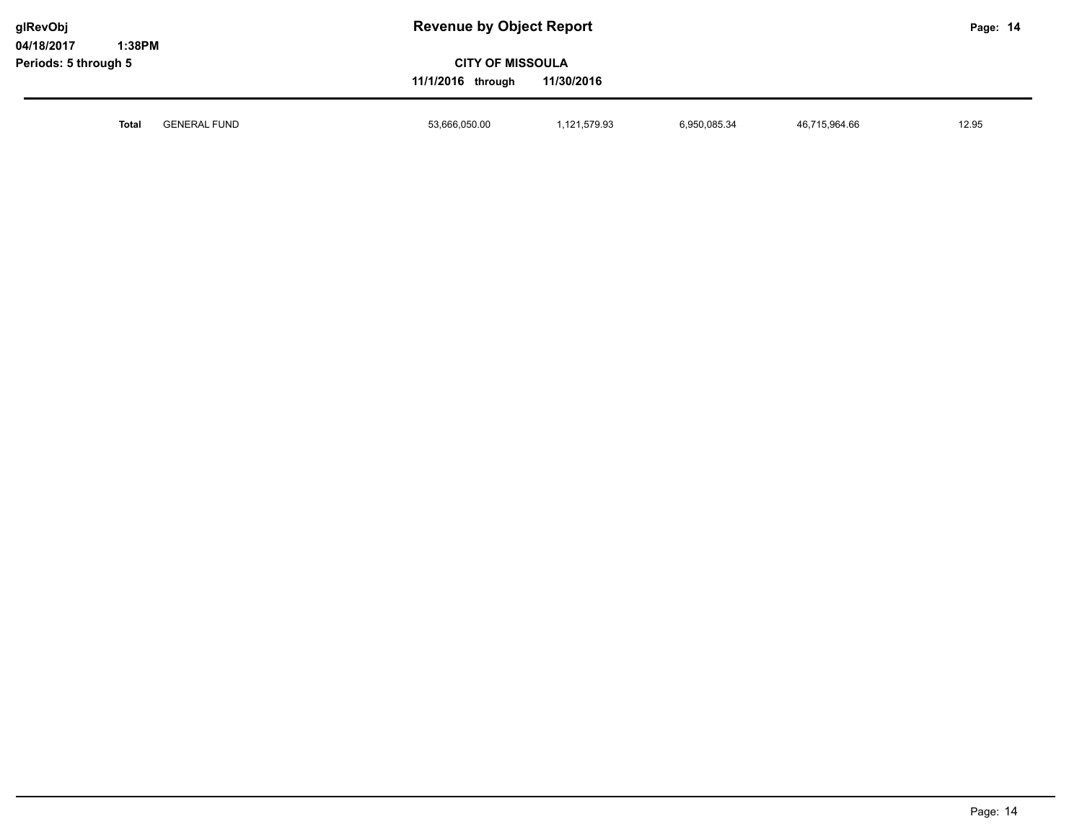| glRevObj<br>04/18/2017<br>1:38PM<br>Periods: 5 through 5 |       |                     | <b>Revenue by Object Report</b>       |              |              |               |       |
|----------------------------------------------------------|-------|---------------------|---------------------------------------|--------------|--------------|---------------|-------|
|                                                          |       | 11/1/2016 through   | <b>CITY OF MISSOULA</b><br>11/30/2016 |              |              |               |       |
|                                                          | Total | <b>GENERAL FUND</b> | 53,666,050.00                         | 1,121,579.93 | 6,950,085.34 | 46,715,964.66 | 12.95 |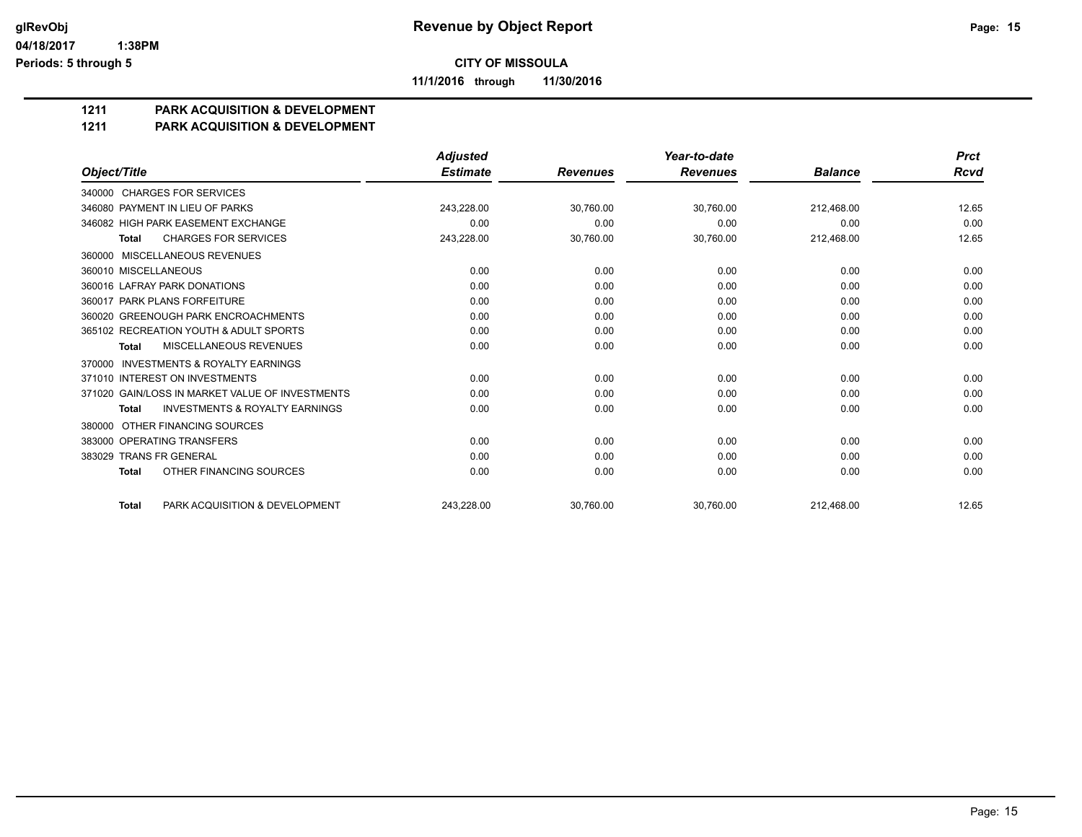**11/1/2016 through 11/30/2016**

# **1211 PARK ACQUISITION & DEVELOPMENT**

| 1211 | <b>PARK ACQUISITION &amp; DEVELOPMENT</b> |  |
|------|-------------------------------------------|--|
|      |                                           |  |

|                                                           | <b>Adjusted</b> |                 | Year-to-date    |                | <b>Prct</b> |
|-----------------------------------------------------------|-----------------|-----------------|-----------------|----------------|-------------|
| Object/Title                                              | <b>Estimate</b> | <b>Revenues</b> | <b>Revenues</b> | <b>Balance</b> | <b>Rcvd</b> |
| 340000 CHARGES FOR SERVICES                               |                 |                 |                 |                |             |
| 346080 PAYMENT IN LIEU OF PARKS                           | 243.228.00      | 30,760.00       | 30,760.00       | 212.468.00     | 12.65       |
| 346082 HIGH PARK EASEMENT EXCHANGE                        | 0.00            | 0.00            | 0.00            | 0.00           | 0.00        |
| <b>CHARGES FOR SERVICES</b><br><b>Total</b>               | 243,228.00      | 30,760.00       | 30,760.00       | 212,468.00     | 12.65       |
| 360000 MISCELLANEOUS REVENUES                             |                 |                 |                 |                |             |
| 360010 MISCELLANEOUS                                      | 0.00            | 0.00            | 0.00            | 0.00           | 0.00        |
| 360016 LAFRAY PARK DONATIONS                              | 0.00            | 0.00            | 0.00            | 0.00           | 0.00        |
| 360017 PARK PLANS FORFEITURE                              | 0.00            | 0.00            | 0.00            | 0.00           | 0.00        |
| 360020 GREENOUGH PARK ENCROACHMENTS                       | 0.00            | 0.00            | 0.00            | 0.00           | 0.00        |
| 365102 RECREATION YOUTH & ADULT SPORTS                    | 0.00            | 0.00            | 0.00            | 0.00           | 0.00        |
| <b>MISCELLANEOUS REVENUES</b><br><b>Total</b>             | 0.00            | 0.00            | 0.00            | 0.00           | 0.00        |
| 370000 INVESTMENTS & ROYALTY EARNINGS                     |                 |                 |                 |                |             |
| 371010 INTEREST ON INVESTMENTS                            | 0.00            | 0.00            | 0.00            | 0.00           | 0.00        |
| 371020 GAIN/LOSS IN MARKET VALUE OF INVESTMENTS           | 0.00            | 0.00            | 0.00            | 0.00           | 0.00        |
| <b>INVESTMENTS &amp; ROYALTY EARNINGS</b><br><b>Total</b> | 0.00            | 0.00            | 0.00            | 0.00           | 0.00        |
| 380000 OTHER FINANCING SOURCES                            |                 |                 |                 |                |             |
| 383000 OPERATING TRANSFERS                                | 0.00            | 0.00            | 0.00            | 0.00           | 0.00        |
| 383029 TRANS FR GENERAL                                   | 0.00            | 0.00            | 0.00            | 0.00           | 0.00        |
| OTHER FINANCING SOURCES<br><b>Total</b>                   | 0.00            | 0.00            | 0.00            | 0.00           | 0.00        |
| PARK ACQUISITION & DEVELOPMENT<br><b>Total</b>            | 243.228.00      | 30.760.00       | 30.760.00       | 212.468.00     | 12.65       |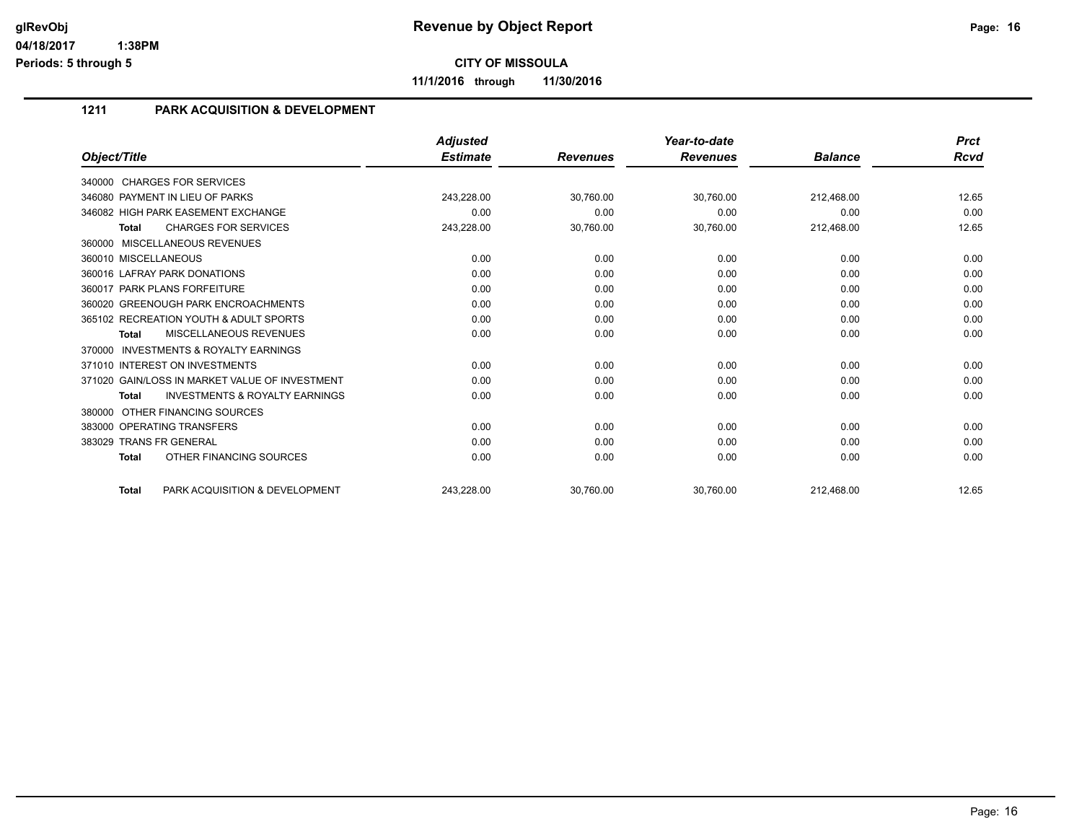**11/1/2016 through 11/30/2016**

#### **1211 PARK ACQUISITION & DEVELOPMENT**

|                                                           | <b>Adjusted</b> |                 | Year-to-date    |                | <b>Prct</b> |
|-----------------------------------------------------------|-----------------|-----------------|-----------------|----------------|-------------|
| Object/Title                                              | <b>Estimate</b> | <b>Revenues</b> | <b>Revenues</b> | <b>Balance</b> | Rcvd        |
| 340000 CHARGES FOR SERVICES                               |                 |                 |                 |                |             |
| 346080 PAYMENT IN LIEU OF PARKS                           | 243,228.00      | 30,760.00       | 30,760.00       | 212,468.00     | 12.65       |
| 346082 HIGH PARK EASEMENT EXCHANGE                        | 0.00            | 0.00            | 0.00            | 0.00           | 0.00        |
| <b>CHARGES FOR SERVICES</b><br><b>Total</b>               | 243,228.00      | 30,760.00       | 30,760.00       | 212,468.00     | 12.65       |
| 360000 MISCELLANEOUS REVENUES                             |                 |                 |                 |                |             |
| 360010 MISCELLANEOUS                                      | 0.00            | 0.00            | 0.00            | 0.00           | 0.00        |
| 360016 LAFRAY PARK DONATIONS                              | 0.00            | 0.00            | 0.00            | 0.00           | 0.00        |
| 360017 PARK PLANS FORFEITURE                              | 0.00            | 0.00            | 0.00            | 0.00           | 0.00        |
| 360020 GREENOUGH PARK ENCROACHMENTS                       | 0.00            | 0.00            | 0.00            | 0.00           | 0.00        |
| 365102 RECREATION YOUTH & ADULT SPORTS                    | 0.00            | 0.00            | 0.00            | 0.00           | 0.00        |
| MISCELLANEOUS REVENUES<br>Total                           | 0.00            | 0.00            | 0.00            | 0.00           | 0.00        |
| <b>INVESTMENTS &amp; ROYALTY EARNINGS</b><br>370000       |                 |                 |                 |                |             |
| 371010 INTEREST ON INVESTMENTS                            | 0.00            | 0.00            | 0.00            | 0.00           | 0.00        |
| 371020 GAIN/LOSS IN MARKET VALUE OF INVESTMENT            | 0.00            | 0.00            | 0.00            | 0.00           | 0.00        |
| <b>INVESTMENTS &amp; ROYALTY EARNINGS</b><br><b>Total</b> | 0.00            | 0.00            | 0.00            | 0.00           | 0.00        |
| 380000 OTHER FINANCING SOURCES                            |                 |                 |                 |                |             |
| 383000 OPERATING TRANSFERS                                | 0.00            | 0.00            | 0.00            | 0.00           | 0.00        |
| 383029 TRANS FR GENERAL                                   | 0.00            | 0.00            | 0.00            | 0.00           | 0.00        |
| OTHER FINANCING SOURCES<br><b>Total</b>                   | 0.00            | 0.00            | 0.00            | 0.00           | 0.00        |
| PARK ACQUISITION & DEVELOPMENT<br><b>Total</b>            | 243,228.00      | 30,760.00       | 30,760.00       | 212,468.00     | 12.65       |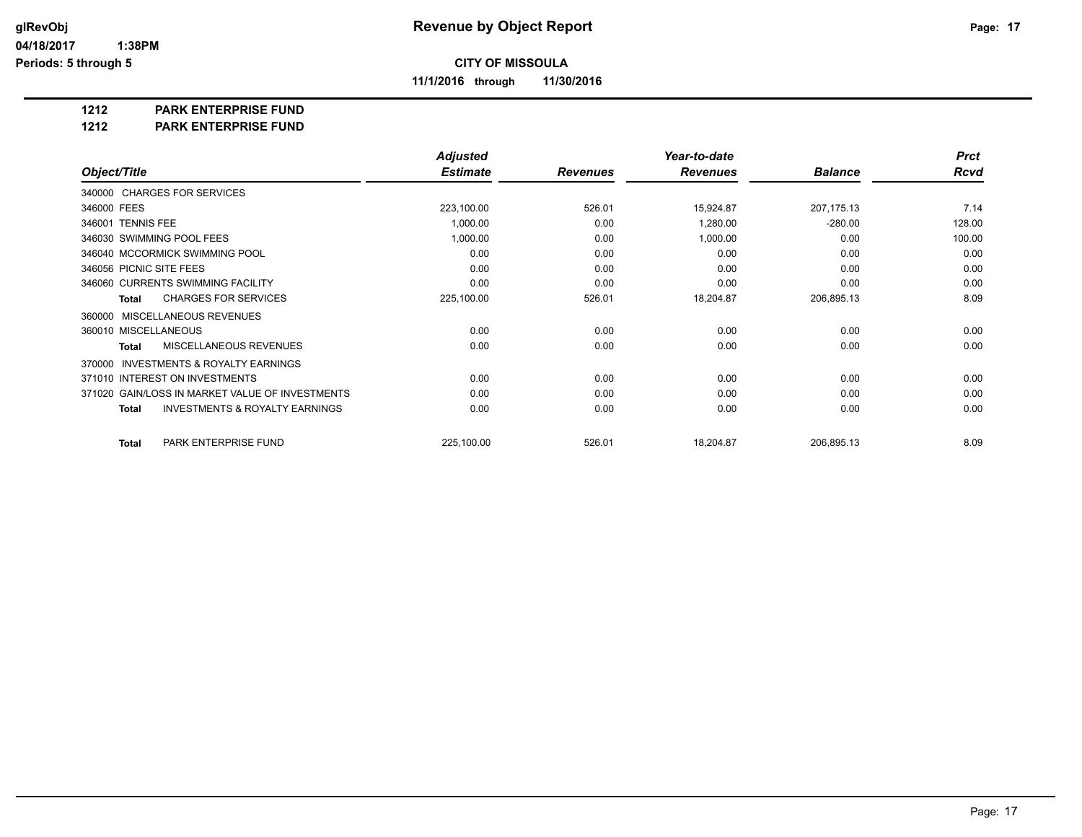**11/1/2016 through 11/30/2016**

**1212 PARK ENTERPRISE FUND**

|  | 1212 | <b>PARK ENTERPRISE FUND</b> |
|--|------|-----------------------------|
|--|------|-----------------------------|

|                                                           | <b>Adjusted</b> |                 | Year-to-date    |                | <b>Prct</b> |
|-----------------------------------------------------------|-----------------|-----------------|-----------------|----------------|-------------|
| Object/Title                                              | <b>Estimate</b> | <b>Revenues</b> | <b>Revenues</b> | <b>Balance</b> | Rcvd        |
| 340000 CHARGES FOR SERVICES                               |                 |                 |                 |                |             |
| 346000 FEES                                               | 223,100.00      | 526.01          | 15,924.87       | 207,175.13     | 7.14        |
| 346001 TENNIS FEE                                         | 1,000.00        | 0.00            | 1,280.00        | $-280.00$      | 128.00      |
| 346030 SWIMMING POOL FEES                                 | 1,000.00        | 0.00            | 1,000.00        | 0.00           | 100.00      |
| 346040 MCCORMICK SWIMMING POOL                            | 0.00            | 0.00            | 0.00            | 0.00           | 0.00        |
| 346056 PICNIC SITE FEES                                   | 0.00            | 0.00            | 0.00            | 0.00           | 0.00        |
| 346060 CURRENTS SWIMMING FACILITY                         | 0.00            | 0.00            | 0.00            | 0.00           | 0.00        |
| <b>CHARGES FOR SERVICES</b><br>Total                      | 225,100.00      | 526.01          | 18,204.87       | 206,895.13     | 8.09        |
| MISCELLANEOUS REVENUES<br>360000                          |                 |                 |                 |                |             |
| 360010 MISCELLANEOUS                                      | 0.00            | 0.00            | 0.00            | 0.00           | 0.00        |
| <b>MISCELLANEOUS REVENUES</b><br><b>Total</b>             | 0.00            | 0.00            | 0.00            | 0.00           | 0.00        |
| <b>INVESTMENTS &amp; ROYALTY EARNINGS</b><br>370000       |                 |                 |                 |                |             |
| 371010 INTEREST ON INVESTMENTS                            | 0.00            | 0.00            | 0.00            | 0.00           | 0.00        |
| 371020 GAIN/LOSS IN MARKET VALUE OF INVESTMENTS           | 0.00            | 0.00            | 0.00            | 0.00           | 0.00        |
| <b>INVESTMENTS &amp; ROYALTY EARNINGS</b><br><b>Total</b> | 0.00            | 0.00            | 0.00            | 0.00           | 0.00        |
| PARK ENTERPRISE FUND<br><b>Total</b>                      | 225,100.00      | 526.01          | 18,204.87       | 206,895.13     | 8.09        |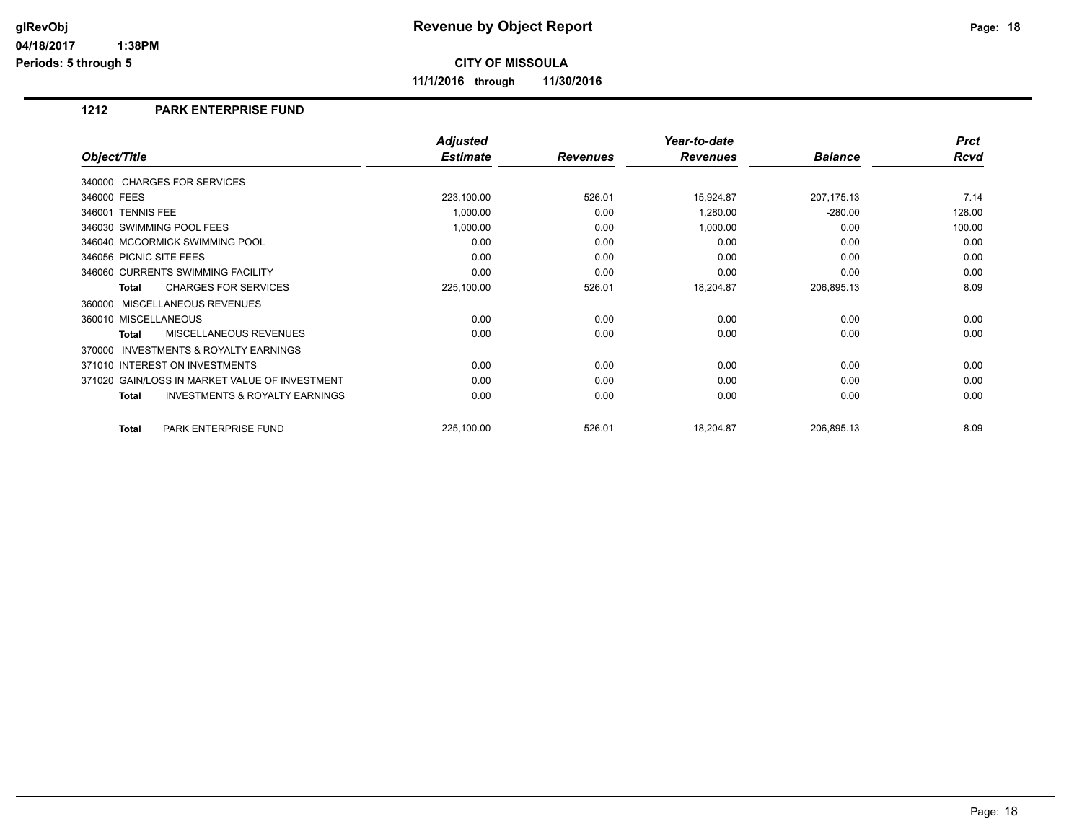**11/1/2016 through 11/30/2016**

#### **1212 PARK ENTERPRISE FUND**

|                                                     | <b>Adjusted</b> |                 | Year-to-date    |                | <b>Prct</b> |
|-----------------------------------------------------|-----------------|-----------------|-----------------|----------------|-------------|
| Object/Title                                        | <b>Estimate</b> | <b>Revenues</b> | <b>Revenues</b> | <b>Balance</b> | <b>Rcvd</b> |
| 340000 CHARGES FOR SERVICES                         |                 |                 |                 |                |             |
| 346000 FEES                                         | 223,100.00      | 526.01          | 15,924.87       | 207,175.13     | 7.14        |
| 346001 TENNIS FEE                                   | 1,000.00        | 0.00            | 1,280.00        | $-280.00$      | 128.00      |
| 346030 SWIMMING POOL FEES                           | 1,000.00        | 0.00            | 1,000.00        | 0.00           | 100.00      |
| 346040 MCCORMICK SWIMMING POOL                      | 0.00            | 0.00            | 0.00            | 0.00           | 0.00        |
| 346056 PICNIC SITE FEES                             | 0.00            | 0.00            | 0.00            | 0.00           | 0.00        |
| 346060 CURRENTS SWIMMING FACILITY                   | 0.00            | 0.00            | 0.00            | 0.00           | 0.00        |
| <b>CHARGES FOR SERVICES</b><br>Total                | 225,100.00      | 526.01          | 18,204.87       | 206,895.13     | 8.09        |
| 360000 MISCELLANEOUS REVENUES                       |                 |                 |                 |                |             |
| 360010 MISCELLANEOUS                                | 0.00            | 0.00            | 0.00            | 0.00           | 0.00        |
| MISCELLANEOUS REVENUES<br>Total                     | 0.00            | 0.00            | 0.00            | 0.00           | 0.00        |
| <b>INVESTMENTS &amp; ROYALTY EARNINGS</b><br>370000 |                 |                 |                 |                |             |
| 371010 INTEREST ON INVESTMENTS                      | 0.00            | 0.00            | 0.00            | 0.00           | 0.00        |
| 371020 GAIN/LOSS IN MARKET VALUE OF INVESTMENT      | 0.00            | 0.00            | 0.00            | 0.00           | 0.00        |
| <b>INVESTMENTS &amp; ROYALTY EARNINGS</b><br>Total  | 0.00            | 0.00            | 0.00            | 0.00           | 0.00        |
| PARK ENTERPRISE FUND<br>Total                       | 225,100.00      | 526.01          | 18,204.87       | 206,895.13     | 8.09        |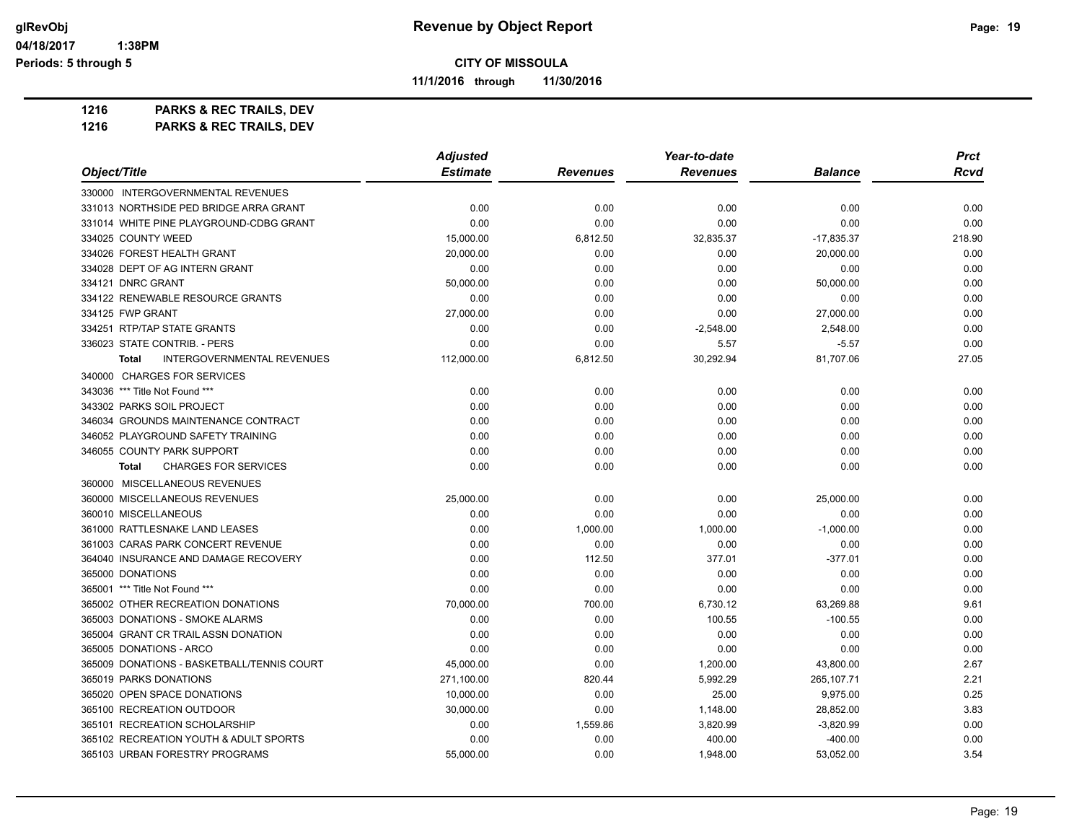**1216 PARKS & REC TRAILS, DEV**

|                                            | <b>Adjusted</b> |          | Year-to-date    |                | <b>Prct</b> |
|--------------------------------------------|-----------------|----------|-----------------|----------------|-------------|
| Object/Title                               | <b>Estimate</b> | Revenues | <b>Revenues</b> | <b>Balance</b> | <b>Rcvd</b> |
| 330000 INTERGOVERNMENTAL REVENUES          |                 |          |                 |                |             |
| 331013 NORTHSIDE PED BRIDGE ARRA GRANT     | 0.00            | 0.00     | 0.00            | 0.00           | 0.00        |
| 331014 WHITE PINE PLAYGROUND-CDBG GRANT    | 0.00            | 0.00     | 0.00            | 0.00           | 0.00        |
| 334025 COUNTY WEED                         | 15,000.00       | 6,812.50 | 32,835.37       | $-17,835.37$   | 218.90      |
| 334026 FOREST HEALTH GRANT                 | 20,000.00       | 0.00     | 0.00            | 20,000.00      | 0.00        |
| 334028 DEPT OF AG INTERN GRANT             | 0.00            | 0.00     | 0.00            | 0.00           | 0.00        |
| 334121 DNRC GRANT                          | 50,000.00       | 0.00     | 0.00            | 50,000.00      | 0.00        |
| 334122 RENEWABLE RESOURCE GRANTS           | 0.00            | 0.00     | 0.00            | 0.00           | 0.00        |
| 334125 FWP GRANT                           | 27,000.00       | 0.00     | 0.00            | 27,000.00      | 0.00        |
| 334251 RTP/TAP STATE GRANTS                | 0.00            | 0.00     | $-2,548.00$     | 2,548.00       | 0.00        |
| 336023 STATE CONTRIB. - PERS               | 0.00            | 0.00     | 5.57            | $-5.57$        | 0.00        |
| <b>INTERGOVERNMENTAL REVENUES</b><br>Total | 112,000.00      | 6,812.50 | 30,292.94       | 81,707.06      | 27.05       |
| 340000 CHARGES FOR SERVICES                |                 |          |                 |                |             |
| 343036 *** Title Not Found ***             | 0.00            | 0.00     | 0.00            | 0.00           | 0.00        |
| 343302 PARKS SOIL PROJECT                  | 0.00            | 0.00     | 0.00            | 0.00           | 0.00        |
| 346034 GROUNDS MAINTENANCE CONTRACT        | 0.00            | 0.00     | 0.00            | 0.00           | 0.00        |
| 346052 PLAYGROUND SAFETY TRAINING          | 0.00            | 0.00     | 0.00            | 0.00           | 0.00        |
| 346055 COUNTY PARK SUPPORT                 | 0.00            | 0.00     | 0.00            | 0.00           | 0.00        |
| <b>CHARGES FOR SERVICES</b><br>Total       | 0.00            | 0.00     | 0.00            | 0.00           | 0.00        |
| 360000 MISCELLANEOUS REVENUES              |                 |          |                 |                |             |
| 360000 MISCELLANEOUS REVENUES              | 25,000.00       | 0.00     | 0.00            | 25,000.00      | 0.00        |
| 360010 MISCELLANEOUS                       | 0.00            | 0.00     | 0.00            | 0.00           | 0.00        |
| 361000 RATTLESNAKE LAND LEASES             | 0.00            | 1,000.00 | 1,000.00        | $-1,000.00$    | 0.00        |
| 361003 CARAS PARK CONCERT REVENUE          | 0.00            | 0.00     | 0.00            | 0.00           | 0.00        |
| 364040 INSURANCE AND DAMAGE RECOVERY       | 0.00            | 112.50   | 377.01          | $-377.01$      | 0.00        |
| 365000 DONATIONS                           | 0.00            | 0.00     | 0.00            | 0.00           | 0.00        |
| 365001 *** Title Not Found ***             | 0.00            | 0.00     | 0.00            | 0.00           | 0.00        |
| 365002 OTHER RECREATION DONATIONS          | 70,000.00       | 700.00   | 6,730.12        | 63,269.88      | 9.61        |
| 365003 DONATIONS - SMOKE ALARMS            | 0.00            | 0.00     | 100.55          | $-100.55$      | 0.00        |
| 365004 GRANT CR TRAIL ASSN DONATION        | 0.00            | 0.00     | 0.00            | 0.00           | 0.00        |
| 365005 DONATIONS - ARCO                    | 0.00            | 0.00     | 0.00            | 0.00           | 0.00        |
| 365009 DONATIONS - BASKETBALL/TENNIS COURT | 45,000.00       | 0.00     | 1,200.00        | 43,800.00      | 2.67        |
| 365019 PARKS DONATIONS                     | 271,100.00      | 820.44   | 5,992.29        | 265,107.71     | 2.21        |
| 365020 OPEN SPACE DONATIONS                | 10,000.00       | 0.00     | 25.00           | 9,975.00       | 0.25        |
| 365100 RECREATION OUTDOOR                  | 30,000.00       | 0.00     | 1,148.00        | 28,852.00      | 3.83        |
| 365101 RECREATION SCHOLARSHIP              | 0.00            | 1,559.86 | 3,820.99        | $-3,820.99$    | 0.00        |
| 365102 RECREATION YOUTH & ADULT SPORTS     | 0.00            | 0.00     | 400.00          | $-400.00$      | 0.00        |
| 365103 URBAN FORESTRY PROGRAMS             | 55,000.00       | 0.00     | 1,948.00        | 53,052.00      | 3.54        |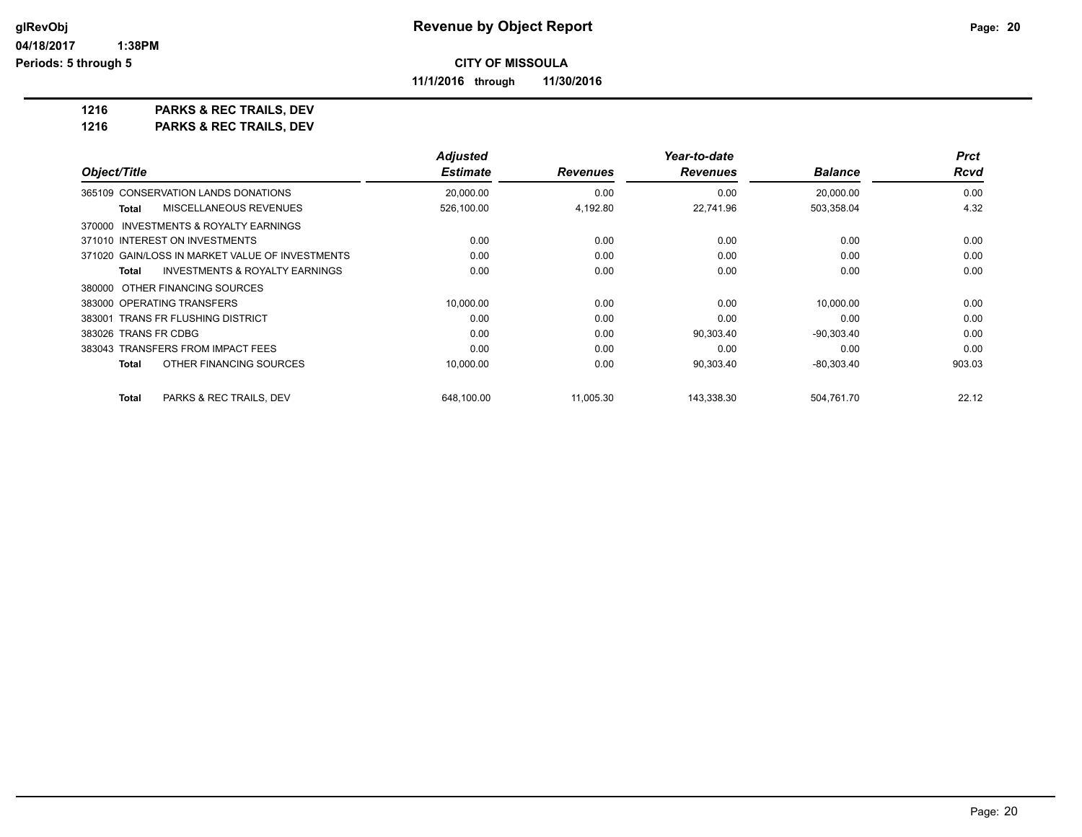**1216 PARKS & REC TRAILS, DEV**

|                                                     | <b>Adjusted</b> |                 | Year-to-date    |                | <b>Prct</b> |
|-----------------------------------------------------|-----------------|-----------------|-----------------|----------------|-------------|
| Object/Title                                        | <b>Estimate</b> | <b>Revenues</b> | <b>Revenues</b> | <b>Balance</b> | <b>Rcvd</b> |
| 365109 CONSERVATION LANDS DONATIONS                 | 20,000.00       | 0.00            | 0.00            | 20,000.00      | 0.00        |
| <b>MISCELLANEOUS REVENUES</b><br><b>Total</b>       | 526,100.00      | 4,192.80        | 22,741.96       | 503,358.04     | 4.32        |
| <b>INVESTMENTS &amp; ROYALTY EARNINGS</b><br>370000 |                 |                 |                 |                |             |
| 371010 INTEREST ON INVESTMENTS                      | 0.00            | 0.00            | 0.00            | 0.00           | 0.00        |
| 371020 GAIN/LOSS IN MARKET VALUE OF INVESTMENTS     | 0.00            | 0.00            | 0.00            | 0.00           | 0.00        |
| <b>INVESTMENTS &amp; ROYALTY EARNINGS</b><br>Total  | 0.00            | 0.00            | 0.00            | 0.00           | 0.00        |
| 380000 OTHER FINANCING SOURCES                      |                 |                 |                 |                |             |
| 383000 OPERATING TRANSFERS                          | 10,000.00       | 0.00            | 0.00            | 10,000.00      | 0.00        |
| 383001 TRANS FR FLUSHING DISTRICT                   | 0.00            | 0.00            | 0.00            | 0.00           | 0.00        |
| 383026 TRANS FR CDBG                                | 0.00            | 0.00            | 90,303.40       | $-90,303.40$   | 0.00        |
| 383043 TRANSFERS FROM IMPACT FEES                   | 0.00            | 0.00            | 0.00            | 0.00           | 0.00        |
| OTHER FINANCING SOURCES<br><b>Total</b>             | 10,000.00       | 0.00            | 90.303.40       | $-80,303.40$   | 903.03      |
| PARKS & REC TRAILS, DEV<br><b>Total</b>             | 648.100.00      | 11,005.30       | 143,338.30      | 504.761.70     | 22.12       |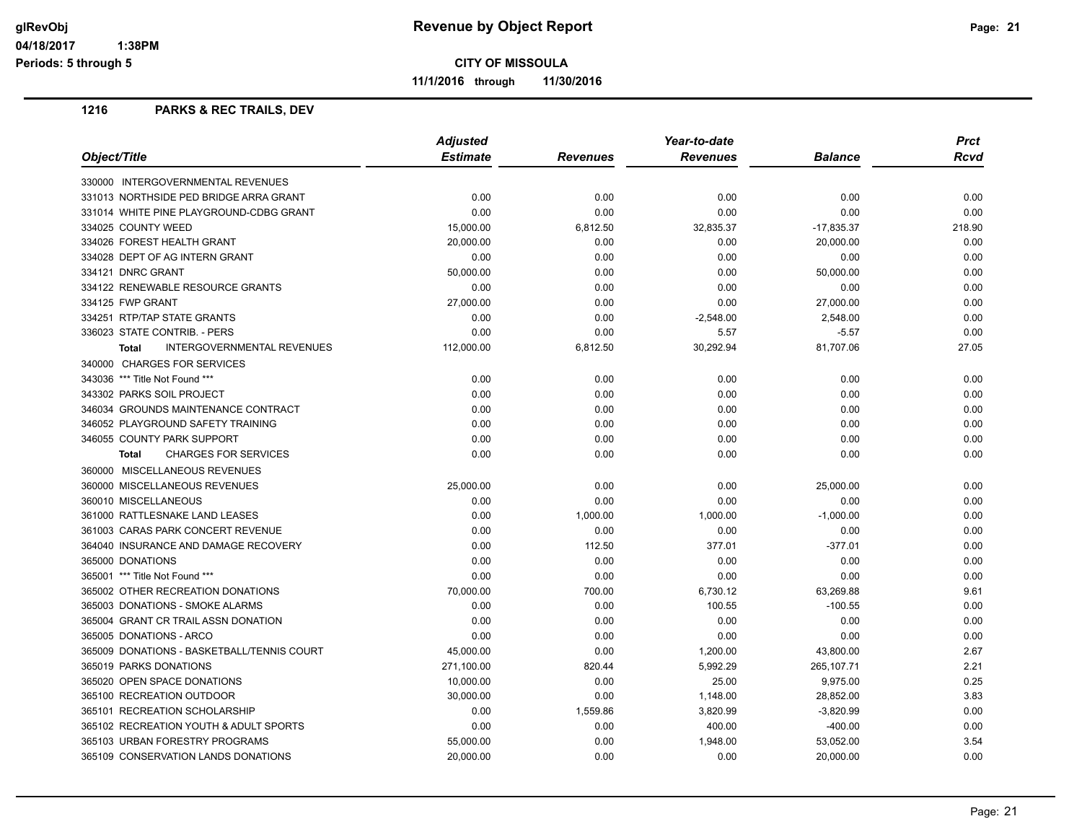**11/1/2016 through 11/30/2016**

|                                                   | <b>Adjusted</b> |          | Year-to-date    |                | <b>Prct</b> |
|---------------------------------------------------|-----------------|----------|-----------------|----------------|-------------|
| Object/Title                                      | <b>Estimate</b> | Revenues | <b>Revenues</b> | <b>Balance</b> | <b>Rcvd</b> |
| 330000 INTERGOVERNMENTAL REVENUES                 |                 |          |                 |                |             |
| 331013 NORTHSIDE PED BRIDGE ARRA GRANT            | 0.00            | 0.00     | 0.00            | 0.00           | 0.00        |
| 331014 WHITE PINE PLAYGROUND-CDBG GRANT           | 0.00            | 0.00     | 0.00            | 0.00           | 0.00        |
| 334025 COUNTY WEED                                | 15,000.00       | 6,812.50 | 32,835.37       | $-17,835.37$   | 218.90      |
| 334026 FOREST HEALTH GRANT                        | 20,000.00       | 0.00     | 0.00            | 20,000.00      | 0.00        |
| 334028 DEPT OF AG INTERN GRANT                    | 0.00            | 0.00     | 0.00            | 0.00           | 0.00        |
| 334121 DNRC GRANT                                 | 50,000.00       | 0.00     | 0.00            | 50.000.00      | 0.00        |
| 334122 RENEWABLE RESOURCE GRANTS                  | 0.00            | 0.00     | 0.00            | 0.00           | 0.00        |
| 334125 FWP GRANT                                  | 27,000.00       | 0.00     | 0.00            | 27,000.00      | 0.00        |
| 334251 RTP/TAP STATE GRANTS                       | 0.00            | 0.00     | $-2,548.00$     | 2,548.00       | 0.00        |
| 336023 STATE CONTRIB. - PERS                      | 0.00            | 0.00     | 5.57            | $-5.57$        | 0.00        |
| <b>INTERGOVERNMENTAL REVENUES</b><br><b>Total</b> | 112,000.00      | 6,812.50 | 30,292.94       | 81,707.06      | 27.05       |
| 340000 CHARGES FOR SERVICES                       |                 |          |                 |                |             |
| 343036 *** Title Not Found ***                    | 0.00            | 0.00     | 0.00            | 0.00           | 0.00        |
| 343302 PARKS SOIL PROJECT                         | 0.00            | 0.00     | 0.00            | 0.00           | 0.00        |
| 346034 GROUNDS MAINTENANCE CONTRACT               | 0.00            | 0.00     | 0.00            | 0.00           | 0.00        |
| 346052 PLAYGROUND SAFETY TRAINING                 | 0.00            | 0.00     | 0.00            | 0.00           | 0.00        |
| 346055 COUNTY PARK SUPPORT                        | 0.00            | 0.00     | 0.00            | 0.00           | 0.00        |
| <b>CHARGES FOR SERVICES</b><br><b>Total</b>       | 0.00            | 0.00     | 0.00            | 0.00           | 0.00        |
| 360000 MISCELLANEOUS REVENUES                     |                 |          |                 |                |             |
| 360000 MISCELLANEOUS REVENUES                     | 25,000.00       | 0.00     | 0.00            | 25,000.00      | 0.00        |
| 360010 MISCELLANEOUS                              | 0.00            | 0.00     | 0.00            | 0.00           | 0.00        |
| 361000 RATTLESNAKE LAND LEASES                    | 0.00            | 1,000.00 | 1,000.00        | $-1,000.00$    | 0.00        |
| 361003 CARAS PARK CONCERT REVENUE                 | 0.00            | 0.00     | 0.00            | 0.00           | 0.00        |
| 364040 INSURANCE AND DAMAGE RECOVERY              | 0.00            | 112.50   | 377.01          | $-377.01$      | 0.00        |
| 365000 DONATIONS                                  | 0.00            | 0.00     | 0.00            | 0.00           | 0.00        |
| 365001 *** Title Not Found ***                    | 0.00            | 0.00     | 0.00            | 0.00           | 0.00        |
| 365002 OTHER RECREATION DONATIONS                 | 70,000.00       | 700.00   | 6,730.12        | 63,269.88      | 9.61        |
| 365003 DONATIONS - SMOKE ALARMS                   | 0.00            | 0.00     | 100.55          | $-100.55$      | 0.00        |
| 365004 GRANT CR TRAIL ASSN DONATION               | 0.00            | 0.00     | 0.00            | 0.00           | 0.00        |
| 365005 DONATIONS - ARCO                           | 0.00            | 0.00     | 0.00            | 0.00           | 0.00        |
| 365009 DONATIONS - BASKETBALL/TENNIS COURT        | 45,000.00       | 0.00     | 1,200.00        | 43,800.00      | 2.67        |
| 365019 PARKS DONATIONS                            | 271,100.00      | 820.44   | 5,992.29        | 265,107.71     | 2.21        |
| 365020 OPEN SPACE DONATIONS                       | 10,000.00       | 0.00     | 25.00           | 9,975.00       | 0.25        |
| 365100 RECREATION OUTDOOR                         | 30,000.00       | 0.00     | 1,148.00        | 28,852.00      | 3.83        |
| 365101 RECREATION SCHOLARSHIP                     | 0.00            | 1,559.86 | 3,820.99        | $-3,820.99$    | 0.00        |
| 365102 RECREATION YOUTH & ADULT SPORTS            | 0.00            | 0.00     | 400.00          | $-400.00$      | 0.00        |
| 365103 URBAN FORESTRY PROGRAMS                    | 55,000.00       | 0.00     | 1,948.00        | 53,052.00      | 3.54        |
| 365109 CONSERVATION LANDS DONATIONS               | 20.000.00       | 0.00     | 0.00            | 20,000.00      | 0.00        |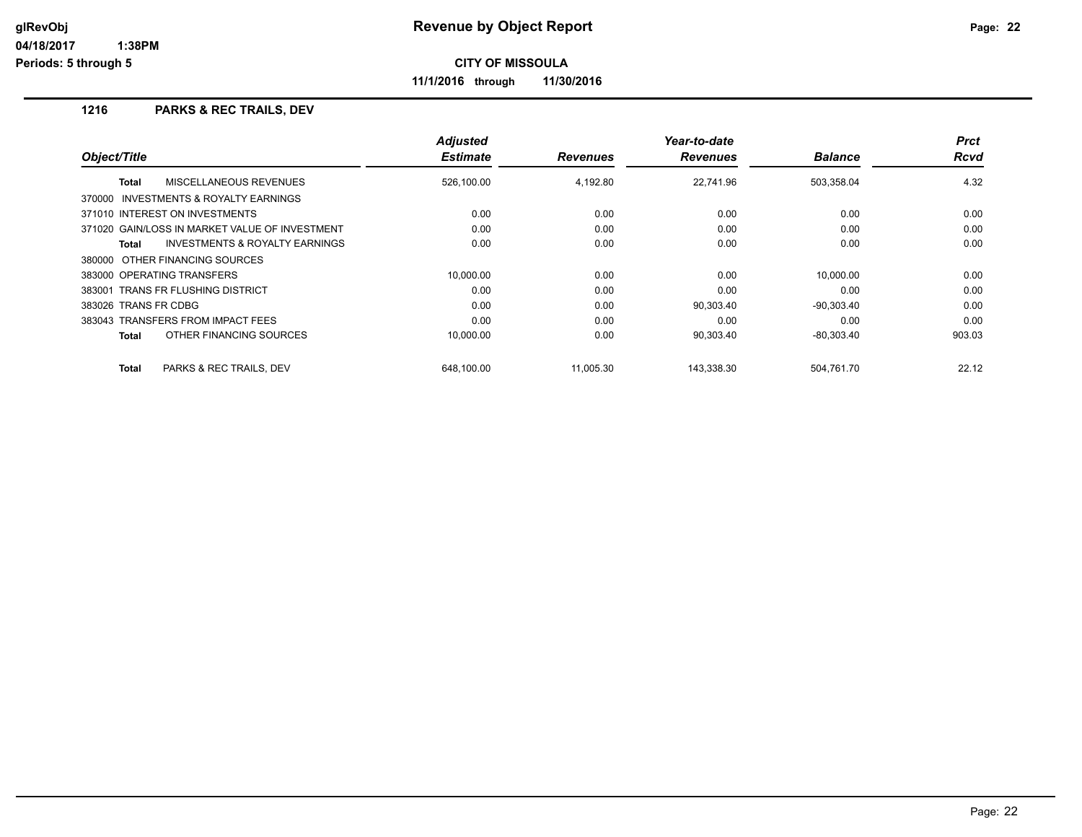**11/1/2016 through 11/30/2016**

|                                                | <b>Adjusted</b> |                 | Year-to-date    |                | <b>Prct</b> |
|------------------------------------------------|-----------------|-----------------|-----------------|----------------|-------------|
| Object/Title                                   | <b>Estimate</b> | <b>Revenues</b> | <b>Revenues</b> | <b>Balance</b> | Rcvd        |
| <b>Total</b><br>MISCELLANEOUS REVENUES         | 526,100.00      | 4,192.80        | 22,741.96       | 503,358.04     | 4.32        |
| 370000 INVESTMENTS & ROYALTY EARNINGS          |                 |                 |                 |                |             |
| 371010 INTEREST ON INVESTMENTS                 | 0.00            | 0.00            | 0.00            | 0.00           | 0.00        |
| 371020 GAIN/LOSS IN MARKET VALUE OF INVESTMENT | 0.00            | 0.00            | 0.00            | 0.00           | 0.00        |
| INVESTMENTS & ROYALTY EARNINGS<br><b>Total</b> | 0.00            | 0.00            | 0.00            | 0.00           | 0.00        |
| 380000 OTHER FINANCING SOURCES                 |                 |                 |                 |                |             |
| 383000 OPERATING TRANSFERS                     | 10.000.00       | 0.00            | 0.00            | 10.000.00      | 0.00        |
| 383001 TRANS FR FLUSHING DISTRICT              | 0.00            | 0.00            | 0.00            | 0.00           | 0.00        |
| 383026 TRANS FR CDBG                           | 0.00            | 0.00            | 90,303.40       | $-90,303.40$   | 0.00        |
| 383043 TRANSFERS FROM IMPACT FEES              | 0.00            | 0.00            | 0.00            | 0.00           | 0.00        |
| OTHER FINANCING SOURCES<br><b>Total</b>        | 10.000.00       | 0.00            | 90,303.40       | $-80,303.40$   | 903.03      |
| PARKS & REC TRAILS, DEV<br><b>Total</b>        | 648,100.00      | 11,005.30       | 143,338.30      | 504,761.70     | 22.12       |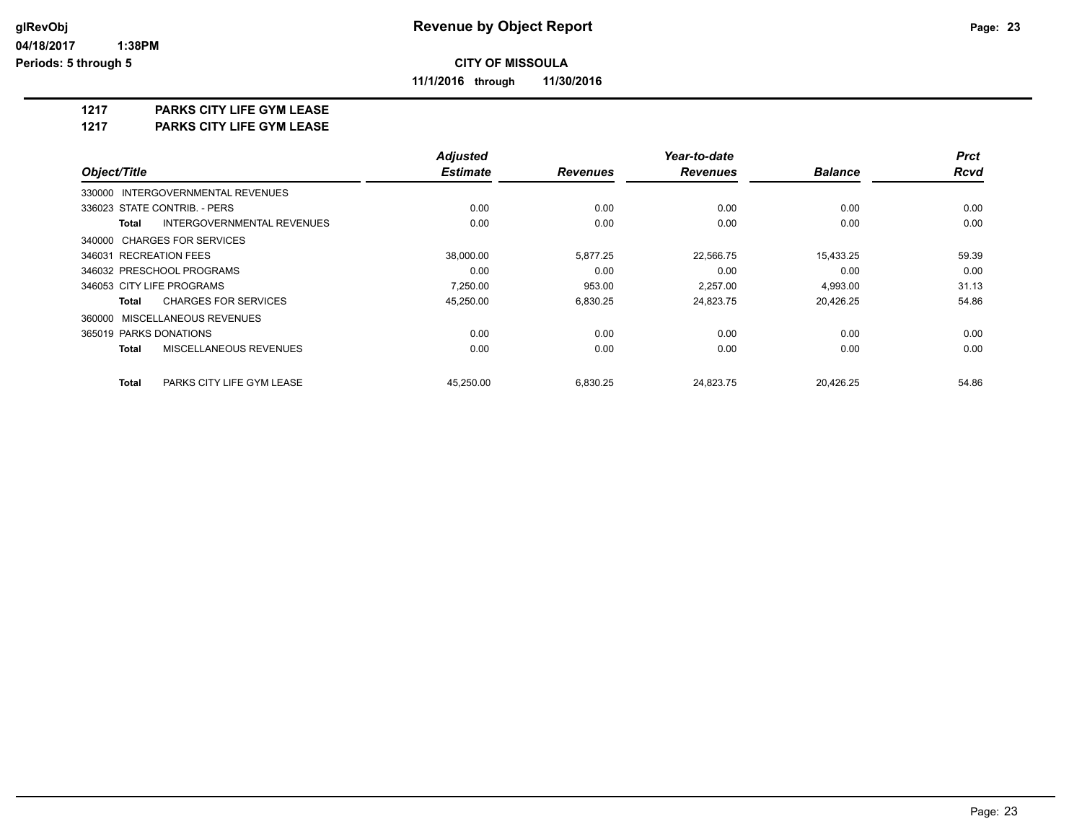**11/1/2016 through 11/30/2016**

**1217 PARKS CITY LIFE GYM LEASE**

**1217 PARKS CITY LIFE GYM LEASE**

|                                      | <b>Adjusted</b> |                 | Year-to-date    |                | <b>Prct</b> |
|--------------------------------------|-----------------|-----------------|-----------------|----------------|-------------|
| Object/Title                         | <b>Estimate</b> | <b>Revenues</b> | <b>Revenues</b> | <b>Balance</b> | Rcvd        |
| 330000 INTERGOVERNMENTAL REVENUES    |                 |                 |                 |                |             |
| 336023 STATE CONTRIB. - PERS         | 0.00            | 0.00            | 0.00            | 0.00           | 0.00        |
| INTERGOVERNMENTAL REVENUES<br>Total  | 0.00            | 0.00            | 0.00            | 0.00           | 0.00        |
| 340000 CHARGES FOR SERVICES          |                 |                 |                 |                |             |
| 346031 RECREATION FEES               | 38,000.00       | 5,877.25        | 22,566.75       | 15,433.25      | 59.39       |
| 346032 PRESCHOOL PROGRAMS            | 0.00            | 0.00            | 0.00            | 0.00           | 0.00        |
| 346053 CITY LIFE PROGRAMS            | 7.250.00        | 953.00          | 2,257.00        | 4,993.00       | 31.13       |
| <b>CHARGES FOR SERVICES</b><br>Total | 45,250.00       | 6,830.25        | 24,823.75       | 20,426.25      | 54.86       |
| 360000 MISCELLANEOUS REVENUES        |                 |                 |                 |                |             |
| 365019 PARKS DONATIONS               | 0.00            | 0.00            | 0.00            | 0.00           | 0.00        |
| MISCELLANEOUS REVENUES<br>Total      | 0.00            | 0.00            | 0.00            | 0.00           | 0.00        |
| PARKS CITY LIFE GYM LEASE<br>Total   | 45,250.00       | 6,830.25        | 24.823.75       | 20,426.25      | 54.86       |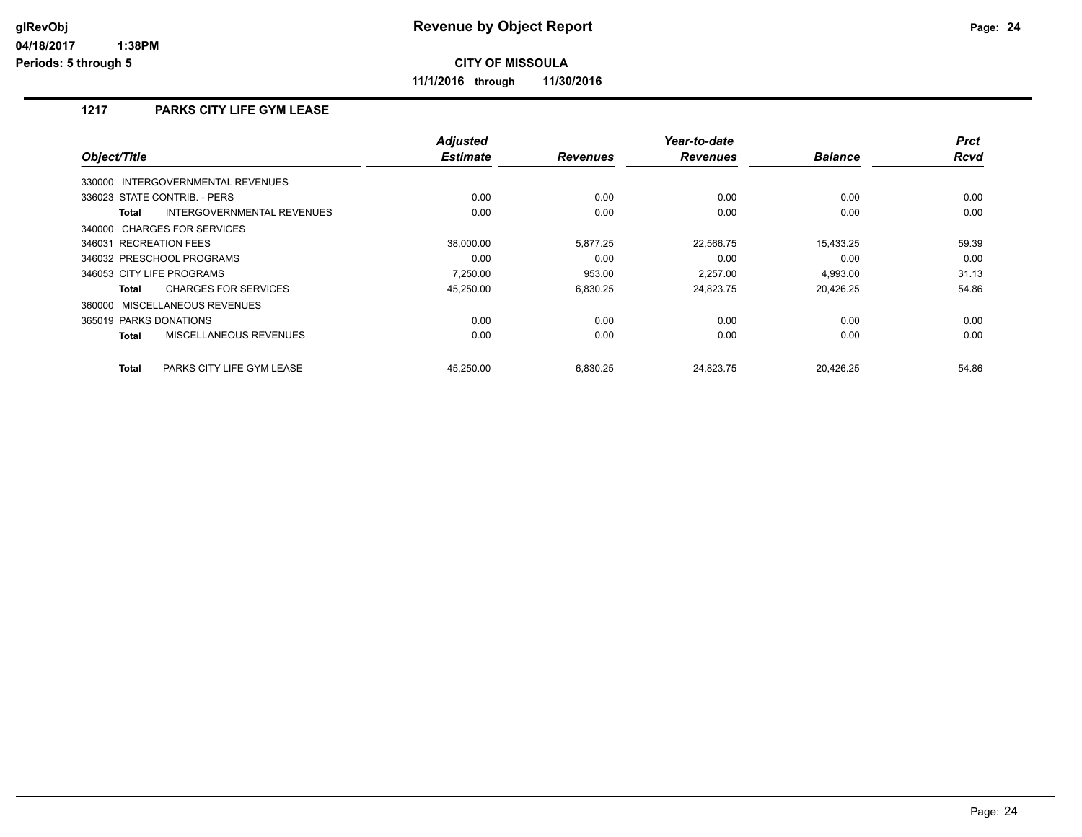**11/1/2016 through 11/30/2016**

#### **1217 PARKS CITY LIFE GYM LEASE**

| Object/Title                                      | <b>Adjusted</b><br><b>Estimate</b> | <b>Revenues</b> | Year-to-date<br><b>Revenues</b> | <b>Balance</b> | <b>Prct</b><br><b>Rcvd</b> |
|---------------------------------------------------|------------------------------------|-----------------|---------------------------------|----------------|----------------------------|
| INTERGOVERNMENTAL REVENUES<br>330000              |                                    |                 |                                 |                |                            |
| 336023 STATE CONTRIB. - PERS                      | 0.00                               | 0.00            | 0.00                            | 0.00           | 0.00                       |
| <b>INTERGOVERNMENTAL REVENUES</b><br><b>Total</b> | 0.00                               | 0.00            | 0.00                            | 0.00           | 0.00                       |
| 340000 CHARGES FOR SERVICES                       |                                    |                 |                                 |                |                            |
| 346031 RECREATION FEES                            | 38,000.00                          | 5,877.25        | 22,566.75                       | 15,433.25      | 59.39                      |
| 346032 PRESCHOOL PROGRAMS                         | 0.00                               | 0.00            | 0.00                            | 0.00           | 0.00                       |
| 346053 CITY LIFE PROGRAMS                         | 7.250.00                           | 953.00          | 2.257.00                        | 4,993.00       | 31.13                      |
| <b>CHARGES FOR SERVICES</b><br><b>Total</b>       | 45,250.00                          | 6,830.25        | 24,823.75                       | 20,426.25      | 54.86                      |
| MISCELLANEOUS REVENUES<br>360000                  |                                    |                 |                                 |                |                            |
| 365019 PARKS DONATIONS                            | 0.00                               | 0.00            | 0.00                            | 0.00           | 0.00                       |
| MISCELLANEOUS REVENUES<br><b>Total</b>            | 0.00                               | 0.00            | 0.00                            | 0.00           | 0.00                       |
| <b>Total</b><br>PARKS CITY LIFE GYM LEASE         | 45.250.00                          | 6,830.25        | 24.823.75                       | 20.426.25      | 54.86                      |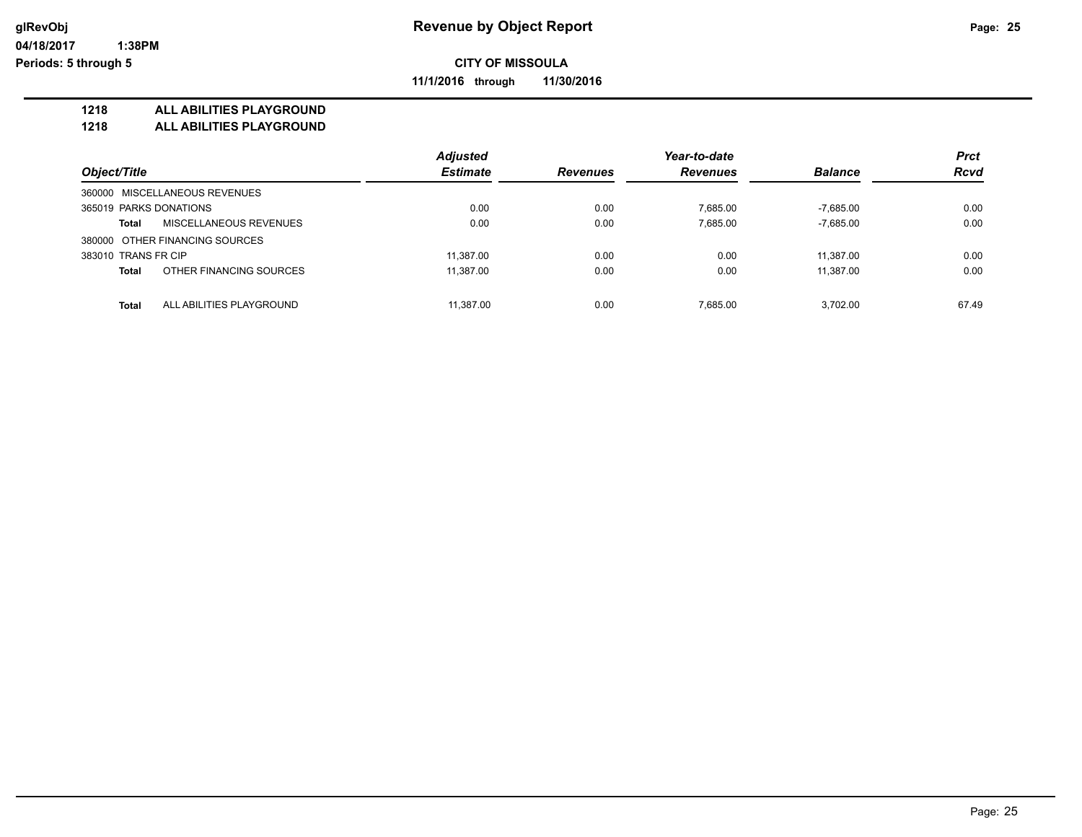**11/1/2016 through 11/30/2016**

**1218 ALL ABILITIES PLAYGROUND**

**1218 ALL ABILITIES PLAYGROUND**

|                                               | <b>Adjusted</b> |                 | Year-to-date    |                | <b>Prct</b> |
|-----------------------------------------------|-----------------|-----------------|-----------------|----------------|-------------|
| Object/Title                                  | <b>Estimate</b> | <b>Revenues</b> | <b>Revenues</b> | <b>Balance</b> | <b>Rcvd</b> |
| 360000 MISCELLANEOUS REVENUES                 |                 |                 |                 |                |             |
| 365019 PARKS DONATIONS                        | 0.00            | 0.00            | 7.685.00        | $-7.685.00$    | 0.00        |
| <b>MISCELLANEOUS REVENUES</b><br><b>Total</b> | 0.00            | 0.00            | 7.685.00        | $-7.685.00$    | 0.00        |
| 380000 OTHER FINANCING SOURCES                |                 |                 |                 |                |             |
| 383010 TRANS FR CIP                           | 11,387.00       | 0.00            | 0.00            | 11.387.00      | 0.00        |
| OTHER FINANCING SOURCES<br><b>Total</b>       | 11.387.00       | 0.00            | 0.00            | 11.387.00      | 0.00        |
|                                               |                 |                 |                 |                |             |
| Total<br>ALL ABILITIES PLAYGROUND             | 11.387.00       | 0.00            | 7.685.00        | 3.702.00       | 67.49       |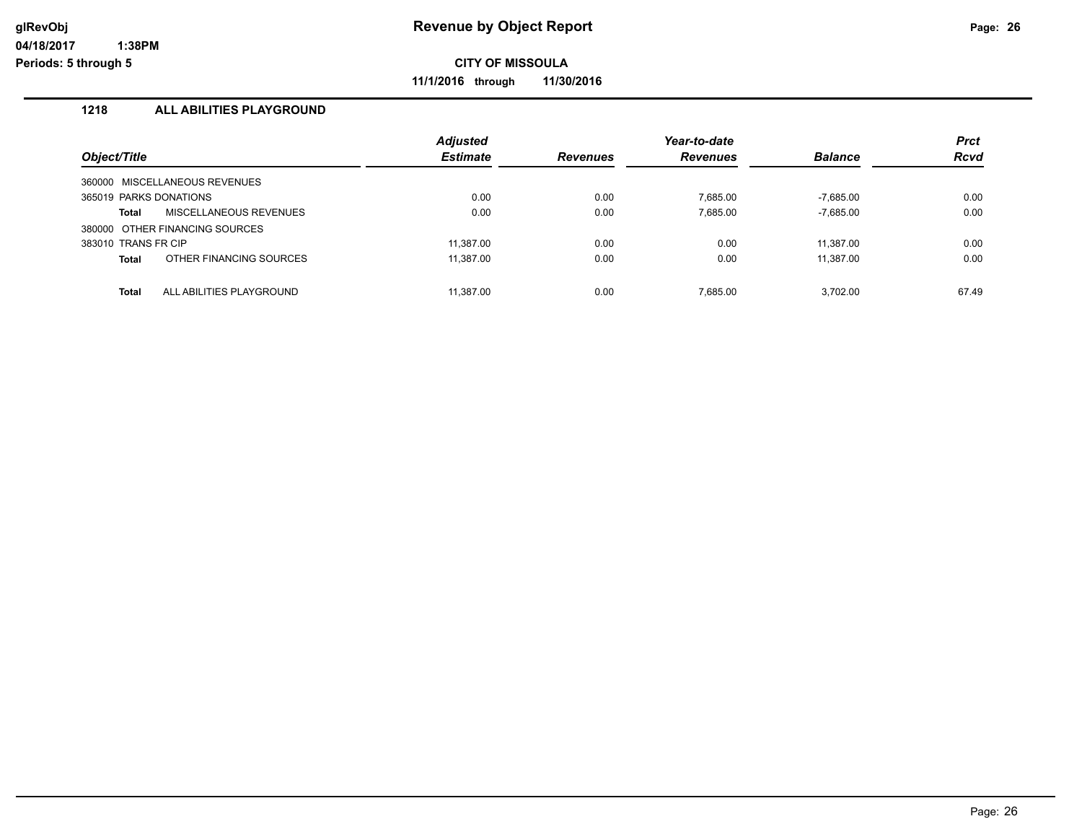**11/1/2016 through 11/30/2016**

#### **1218 ALL ABILITIES PLAYGROUND**

|                        |                                | <b>Adjusted</b> |                 | Year-to-date    |                | <b>Prct</b> |
|------------------------|--------------------------------|-----------------|-----------------|-----------------|----------------|-------------|
| Object/Title           |                                | <b>Estimate</b> | <b>Revenues</b> | <b>Revenues</b> | <b>Balance</b> | Rcvd        |
|                        | 360000 MISCELLANEOUS REVENUES  |                 |                 |                 |                |             |
| 365019 PARKS DONATIONS |                                | 0.00            | 0.00            | 7.685.00        | $-7.685.00$    | 0.00        |
| Total                  | MISCELLANEOUS REVENUES         | 0.00            | 0.00            | 7,685.00        | $-7,685.00$    | 0.00        |
|                        | 380000 OTHER FINANCING SOURCES |                 |                 |                 |                |             |
| 383010 TRANS FR CIP    |                                | 11,387.00       | 0.00            | 0.00            | 11,387.00      | 0.00        |
| <b>Total</b>           | OTHER FINANCING SOURCES        | 11.387.00       | 0.00            | 0.00            | 11.387.00      | 0.00        |
| <b>Total</b>           | ALL ABILITIES PLAYGROUND       | 11.387.00       | 0.00            | 7.685.00        | 3.702.00       | 67.49       |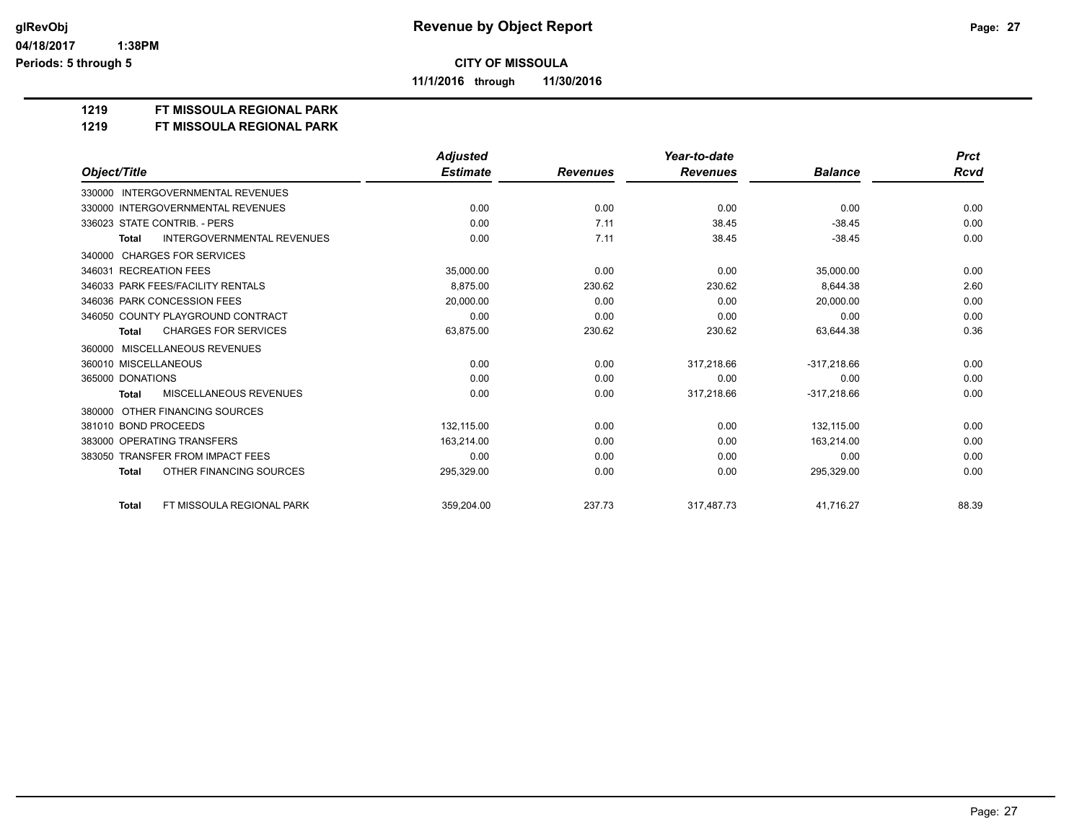**11/1/2016 through 11/30/2016**

#### **1219 FT MISSOULA REGIONAL PARK**

#### **1219 FT MISSOULA REGIONAL PARK**

|                                                   | <b>Adjusted</b> |                 | Year-to-date    |                | <b>Prct</b> |
|---------------------------------------------------|-----------------|-----------------|-----------------|----------------|-------------|
| Object/Title                                      | <b>Estimate</b> | <b>Revenues</b> | <b>Revenues</b> | <b>Balance</b> | <b>Rcvd</b> |
| 330000 INTERGOVERNMENTAL REVENUES                 |                 |                 |                 |                |             |
| 330000 INTERGOVERNMENTAL REVENUES                 | 0.00            | 0.00            | 0.00            | 0.00           | 0.00        |
| 336023 STATE CONTRIB. - PERS                      | 0.00            | 7.11            | 38.45           | $-38.45$       | 0.00        |
| <b>INTERGOVERNMENTAL REVENUES</b><br><b>Total</b> | 0.00            | 7.11            | 38.45           | $-38.45$       | 0.00        |
| 340000 CHARGES FOR SERVICES                       |                 |                 |                 |                |             |
| 346031 RECREATION FEES                            | 35,000.00       | 0.00            | 0.00            | 35,000.00      | 0.00        |
| 346033 PARK FEES/FACILITY RENTALS                 | 8.875.00        | 230.62          | 230.62          | 8,644.38       | 2.60        |
| 346036 PARK CONCESSION FEES                       | 20,000.00       | 0.00            | 0.00            | 20,000.00      | 0.00        |
| 346050 COUNTY PLAYGROUND CONTRACT                 | 0.00            | 0.00            | 0.00            | 0.00           | 0.00        |
| <b>CHARGES FOR SERVICES</b><br><b>Total</b>       | 63,875.00       | 230.62          | 230.62          | 63,644.38      | 0.36        |
| 360000 MISCELLANEOUS REVENUES                     |                 |                 |                 |                |             |
| 360010 MISCELLANEOUS                              | 0.00            | 0.00            | 317.218.66      | $-317.218.66$  | 0.00        |
| 365000 DONATIONS                                  | 0.00            | 0.00            | 0.00            | 0.00           | 0.00        |
| <b>MISCELLANEOUS REVENUES</b><br>Total            | 0.00            | 0.00            | 317,218.66      | $-317,218.66$  | 0.00        |
| 380000 OTHER FINANCING SOURCES                    |                 |                 |                 |                |             |
| 381010 BOND PROCEEDS                              | 132.115.00      | 0.00            | 0.00            | 132.115.00     | 0.00        |
| 383000 OPERATING TRANSFERS                        | 163.214.00      | 0.00            | 0.00            | 163.214.00     | 0.00        |
| 383050 TRANSFER FROM IMPACT FEES                  | 0.00            | 0.00            | 0.00            | 0.00           | 0.00        |
| OTHER FINANCING SOURCES<br><b>Total</b>           | 295,329.00      | 0.00            | 0.00            | 295,329.00     | 0.00        |
| FT MISSOULA REGIONAL PARK<br><b>Total</b>         | 359,204.00      | 237.73          | 317.487.73      | 41,716.27      | 88.39       |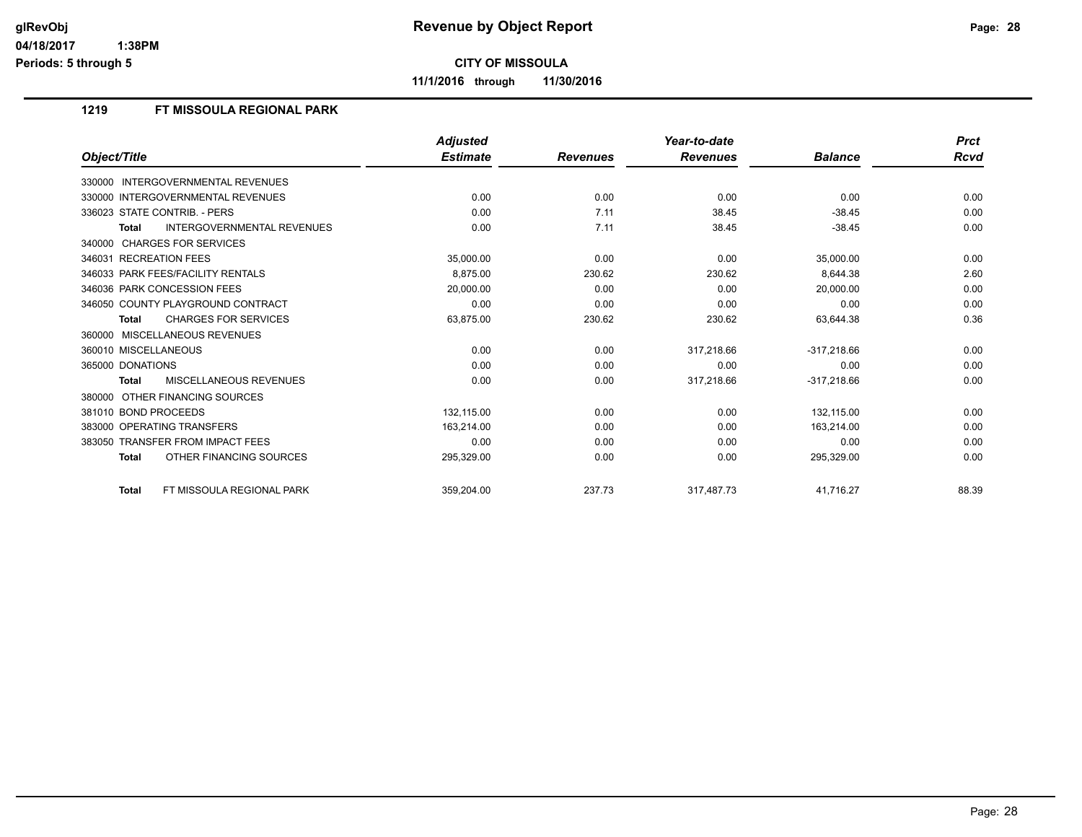**11/1/2016 through 11/30/2016**

#### **1219 FT MISSOULA REGIONAL PARK**

|                                                   | <b>Adjusted</b> |                 | Year-to-date    |                | <b>Prct</b> |
|---------------------------------------------------|-----------------|-----------------|-----------------|----------------|-------------|
| Object/Title                                      | <b>Estimate</b> | <b>Revenues</b> | <b>Revenues</b> | <b>Balance</b> | Rcvd        |
| 330000 INTERGOVERNMENTAL REVENUES                 |                 |                 |                 |                |             |
| 330000 INTERGOVERNMENTAL REVENUES                 | 0.00            | 0.00            | 0.00            | 0.00           | 0.00        |
| 336023 STATE CONTRIB. - PERS                      | 0.00            | 7.11            | 38.45           | $-38.45$       | 0.00        |
| <b>INTERGOVERNMENTAL REVENUES</b><br><b>Total</b> | 0.00            | 7.11            | 38.45           | $-38.45$       | 0.00        |
| 340000 CHARGES FOR SERVICES                       |                 |                 |                 |                |             |
| 346031 RECREATION FEES                            | 35,000.00       | 0.00            | 0.00            | 35,000.00      | 0.00        |
| 346033 PARK FEES/FACILITY RENTALS                 | 8.875.00        | 230.62          | 230.62          | 8.644.38       | 2.60        |
| 346036 PARK CONCESSION FEES                       | 20,000.00       | 0.00            | 0.00            | 20,000.00      | 0.00        |
| 346050 COUNTY PLAYGROUND CONTRACT                 | 0.00            | 0.00            | 0.00            | 0.00           | 0.00        |
| <b>CHARGES FOR SERVICES</b><br>Total              | 63,875.00       | 230.62          | 230.62          | 63,644.38      | 0.36        |
| 360000 MISCELLANEOUS REVENUES                     |                 |                 |                 |                |             |
| 360010 MISCELLANEOUS                              | 0.00            | 0.00            | 317.218.66      | $-317.218.66$  | 0.00        |
| 365000 DONATIONS                                  | 0.00            | 0.00            | 0.00            | 0.00           | 0.00        |
| MISCELLANEOUS REVENUES<br><b>Total</b>            | 0.00            | 0.00            | 317,218.66      | $-317,218.66$  | 0.00        |
| OTHER FINANCING SOURCES<br>380000                 |                 |                 |                 |                |             |
| 381010 BOND PROCEEDS                              | 132,115.00      | 0.00            | 0.00            | 132,115.00     | 0.00        |
| 383000 OPERATING TRANSFERS                        | 163.214.00      | 0.00            | 0.00            | 163.214.00     | 0.00        |
| 383050 TRANSFER FROM IMPACT FEES                  | 0.00            | 0.00            | 0.00            | 0.00           | 0.00        |
| OTHER FINANCING SOURCES<br><b>Total</b>           | 295,329.00      | 0.00            | 0.00            | 295,329.00     | 0.00        |
| FT MISSOULA REGIONAL PARK<br><b>Total</b>         | 359,204.00      | 237.73          | 317,487.73      | 41,716.27      | 88.39       |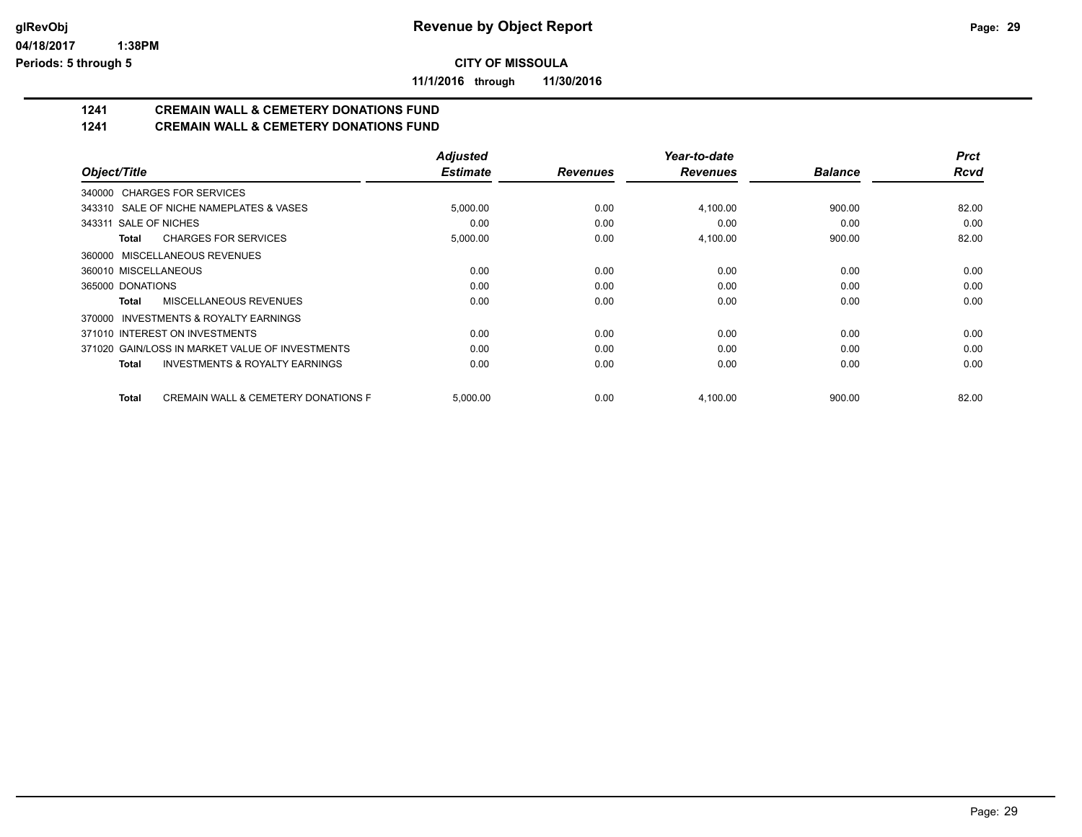**11/1/2016 through 11/30/2016**

#### **1241 CREMAIN WALL & CEMETERY DONATIONS FUND 1241 CREMAIN WALL & CEMETERY DONATIONS FUND**

|                                                                | <b>Adjusted</b> |                 | Year-to-date    |                | <b>Prct</b> |
|----------------------------------------------------------------|-----------------|-----------------|-----------------|----------------|-------------|
| Object/Title                                                   | <b>Estimate</b> | <b>Revenues</b> | <b>Revenues</b> | <b>Balance</b> | <b>Rcvd</b> |
| 340000 CHARGES FOR SERVICES                                    |                 |                 |                 |                |             |
| 343310 SALE OF NICHE NAMEPLATES & VASES                        | 5,000.00        | 0.00            | 4,100.00        | 900.00         | 82.00       |
| <b>SALE OF NICHES</b><br>343311                                | 0.00            | 0.00            | 0.00            | 0.00           | 0.00        |
| <b>CHARGES FOR SERVICES</b><br>Total                           | 5,000.00        | 0.00            | 4,100.00        | 900.00         | 82.00       |
| 360000 MISCELLANEOUS REVENUES                                  |                 |                 |                 |                |             |
| 360010 MISCELLANEOUS                                           | 0.00            | 0.00            | 0.00            | 0.00           | 0.00        |
| 365000 DONATIONS                                               | 0.00            | 0.00            | 0.00            | 0.00           | 0.00        |
| <b>MISCELLANEOUS REVENUES</b><br>Total                         | 0.00            | 0.00            | 0.00            | 0.00           | 0.00        |
| <b>INVESTMENTS &amp; ROYALTY EARNINGS</b><br>370000            |                 |                 |                 |                |             |
| 371010 INTEREST ON INVESTMENTS                                 | 0.00            | 0.00            | 0.00            | 0.00           | 0.00        |
| 371020 GAIN/LOSS IN MARKET VALUE OF INVESTMENTS                | 0.00            | 0.00            | 0.00            | 0.00           | 0.00        |
| <b>INVESTMENTS &amp; ROYALTY EARNINGS</b><br>Total             | 0.00            | 0.00            | 0.00            | 0.00           | 0.00        |
| <b>CREMAIN WALL &amp; CEMETERY DONATIONS F</b><br><b>Total</b> | 5,000.00        | 0.00            | 4,100.00        | 900.00         | 82.00       |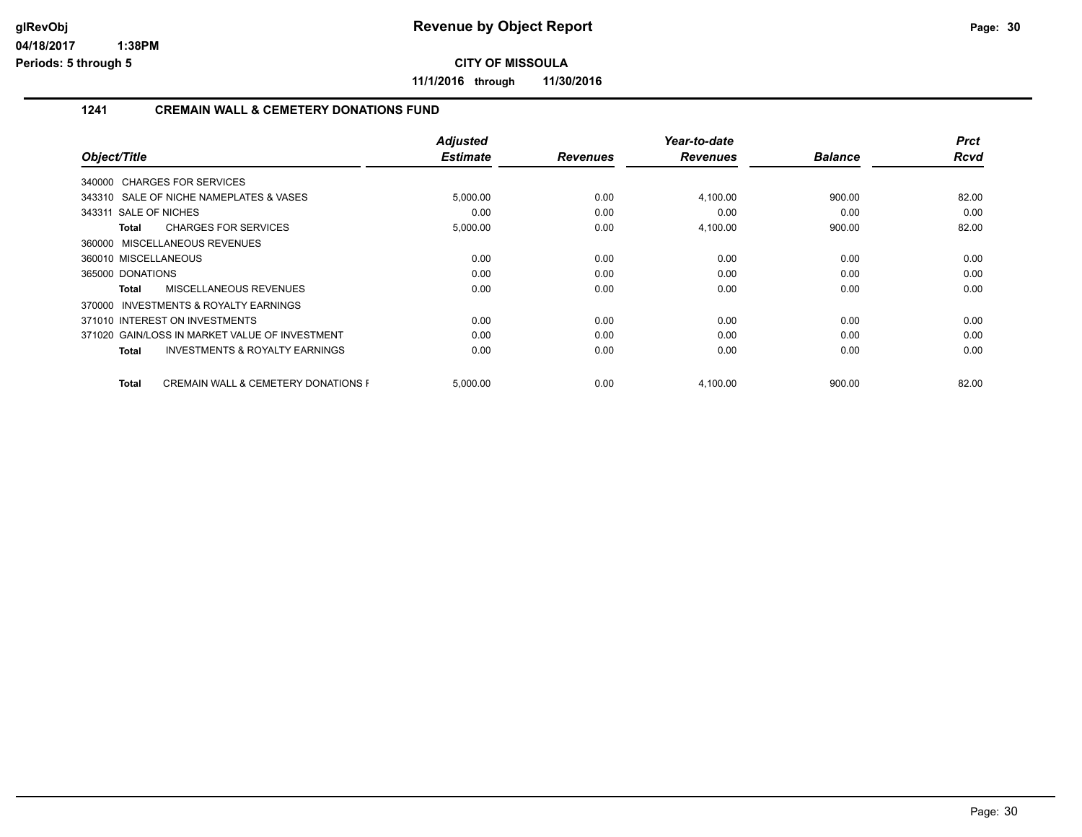**11/1/2016 through 11/30/2016**

#### **1241 CREMAIN WALL & CEMETERY DONATIONS FUND**

|                                                                | <b>Adjusted</b> |                 | Year-to-date    |                | <b>Prct</b> |
|----------------------------------------------------------------|-----------------|-----------------|-----------------|----------------|-------------|
| Object/Title                                                   | <b>Estimate</b> | <b>Revenues</b> | <b>Revenues</b> | <b>Balance</b> | Rcvd        |
| 340000 CHARGES FOR SERVICES                                    |                 |                 |                 |                |             |
| 343310 SALE OF NICHE NAMEPLATES & VASES                        | 5,000.00        | 0.00            | 4,100.00        | 900.00         | 82.00       |
| 343311 SALE OF NICHES                                          | 0.00            | 0.00            | 0.00            | 0.00           | 0.00        |
| <b>CHARGES FOR SERVICES</b><br>Total                           | 5,000.00        | 0.00            | 4,100.00        | 900.00         | 82.00       |
| 360000 MISCELLANEOUS REVENUES                                  |                 |                 |                 |                |             |
| 360010 MISCELLANEOUS                                           | 0.00            | 0.00            | 0.00            | 0.00           | 0.00        |
| 365000 DONATIONS                                               | 0.00            | 0.00            | 0.00            | 0.00           | 0.00        |
| MISCELLANEOUS REVENUES<br>Total                                | 0.00            | 0.00            | 0.00            | 0.00           | 0.00        |
| <b>INVESTMENTS &amp; ROYALTY EARNINGS</b><br>370000            |                 |                 |                 |                |             |
| 371010 INTEREST ON INVESTMENTS                                 | 0.00            | 0.00            | 0.00            | 0.00           | 0.00        |
| 371020 GAIN/LOSS IN MARKET VALUE OF INVESTMENT                 | 0.00            | 0.00            | 0.00            | 0.00           | 0.00        |
| <b>INVESTMENTS &amp; ROYALTY EARNINGS</b><br>Total             | 0.00            | 0.00            | 0.00            | 0.00           | 0.00        |
| <b>CREMAIN WALL &amp; CEMETERY DONATIONS F</b><br><b>Total</b> | 5.000.00        | 0.00            | 4.100.00        | 900.00         | 82.00       |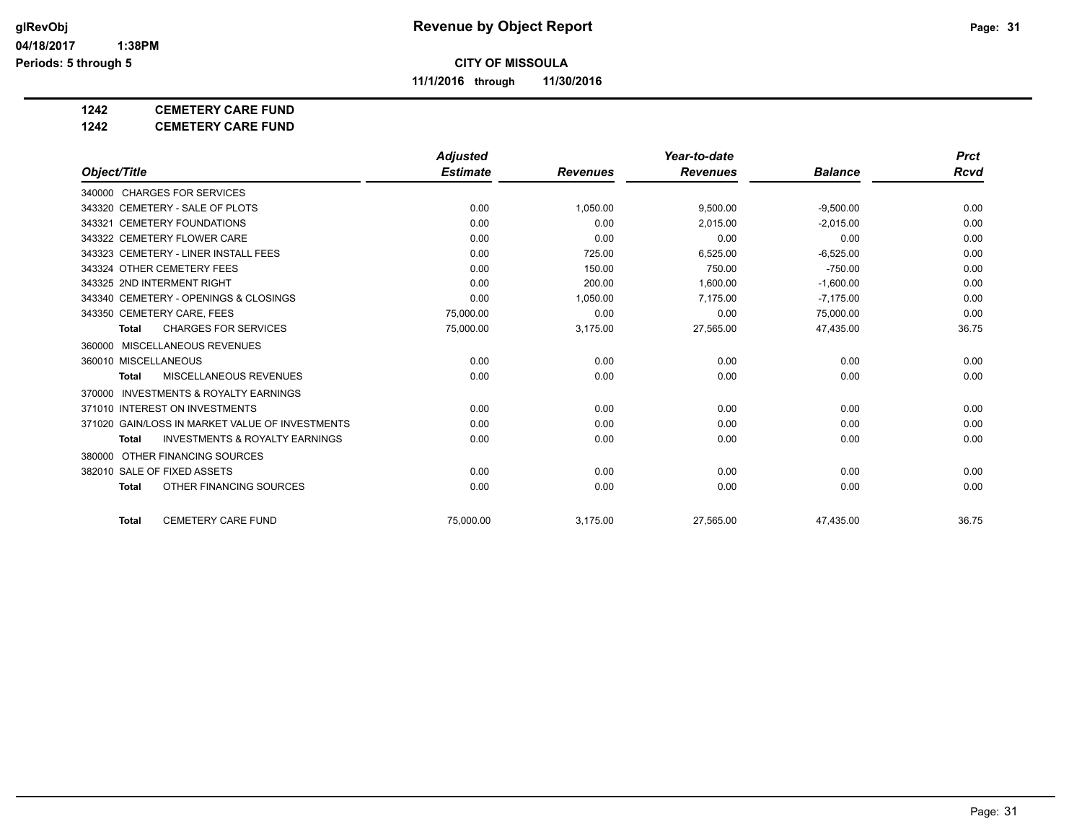**11/1/2016 through 11/30/2016**

**1242 CEMETERY CARE FUND**

| <b>CEMETERY CARE FUND</b><br>1242 |  |
|-----------------------------------|--|
|-----------------------------------|--|

|                                                           | <b>Adjusted</b> |                 | Year-to-date    |                | <b>Prct</b> |
|-----------------------------------------------------------|-----------------|-----------------|-----------------|----------------|-------------|
| Object/Title                                              | <b>Estimate</b> | <b>Revenues</b> | <b>Revenues</b> | <b>Balance</b> | Rcvd        |
| 340000 CHARGES FOR SERVICES                               |                 |                 |                 |                |             |
| 343320 CEMETERY - SALE OF PLOTS                           | 0.00            | 1,050.00        | 9,500.00        | $-9,500.00$    | 0.00        |
| 343321 CEMETERY FOUNDATIONS                               | 0.00            | 0.00            | 2,015.00        | $-2,015.00$    | 0.00        |
| 343322 CEMETERY FLOWER CARE                               | 0.00            | 0.00            | 0.00            | 0.00           | 0.00        |
| 343323 CEMETERY - LINER INSTALL FEES                      | 0.00            | 725.00          | 6,525.00        | $-6,525.00$    | 0.00        |
| 343324 OTHER CEMETERY FEES                                | 0.00            | 150.00          | 750.00          | $-750.00$      | 0.00        |
| 343325 2ND INTERMENT RIGHT                                | 0.00            | 200.00          | 1,600.00        | $-1,600.00$    | 0.00        |
| 343340 CEMETERY - OPENINGS & CLOSINGS                     | 0.00            | 1,050.00        | 7,175.00        | $-7,175.00$    | 0.00        |
| 343350 CEMETERY CARE, FEES                                | 75,000.00       | 0.00            | 0.00            | 75,000.00      | 0.00        |
| <b>CHARGES FOR SERVICES</b><br>Total                      | 75,000.00       | 3,175.00        | 27,565.00       | 47,435.00      | 36.75       |
| 360000 MISCELLANEOUS REVENUES                             |                 |                 |                 |                |             |
| 360010 MISCELLANEOUS                                      | 0.00            | 0.00            | 0.00            | 0.00           | 0.00        |
| <b>MISCELLANEOUS REVENUES</b><br><b>Total</b>             | 0.00            | 0.00            | 0.00            | 0.00           | 0.00        |
| INVESTMENTS & ROYALTY EARNINGS<br>370000                  |                 |                 |                 |                |             |
| 371010 INTEREST ON INVESTMENTS                            | 0.00            | 0.00            | 0.00            | 0.00           | 0.00        |
| 371020 GAIN/LOSS IN MARKET VALUE OF INVESTMENTS           | 0.00            | 0.00            | 0.00            | 0.00           | 0.00        |
| <b>INVESTMENTS &amp; ROYALTY EARNINGS</b><br><b>Total</b> | 0.00            | 0.00            | 0.00            | 0.00           | 0.00        |
| 380000 OTHER FINANCING SOURCES                            |                 |                 |                 |                |             |
| 382010 SALE OF FIXED ASSETS                               | 0.00            | 0.00            | 0.00            | 0.00           | 0.00        |
| OTHER FINANCING SOURCES<br><b>Total</b>                   | 0.00            | 0.00            | 0.00            | 0.00           | 0.00        |
| <b>CEMETERY CARE FUND</b><br><b>Total</b>                 | 75.000.00       | 3,175.00        | 27,565.00       | 47,435.00      | 36.75       |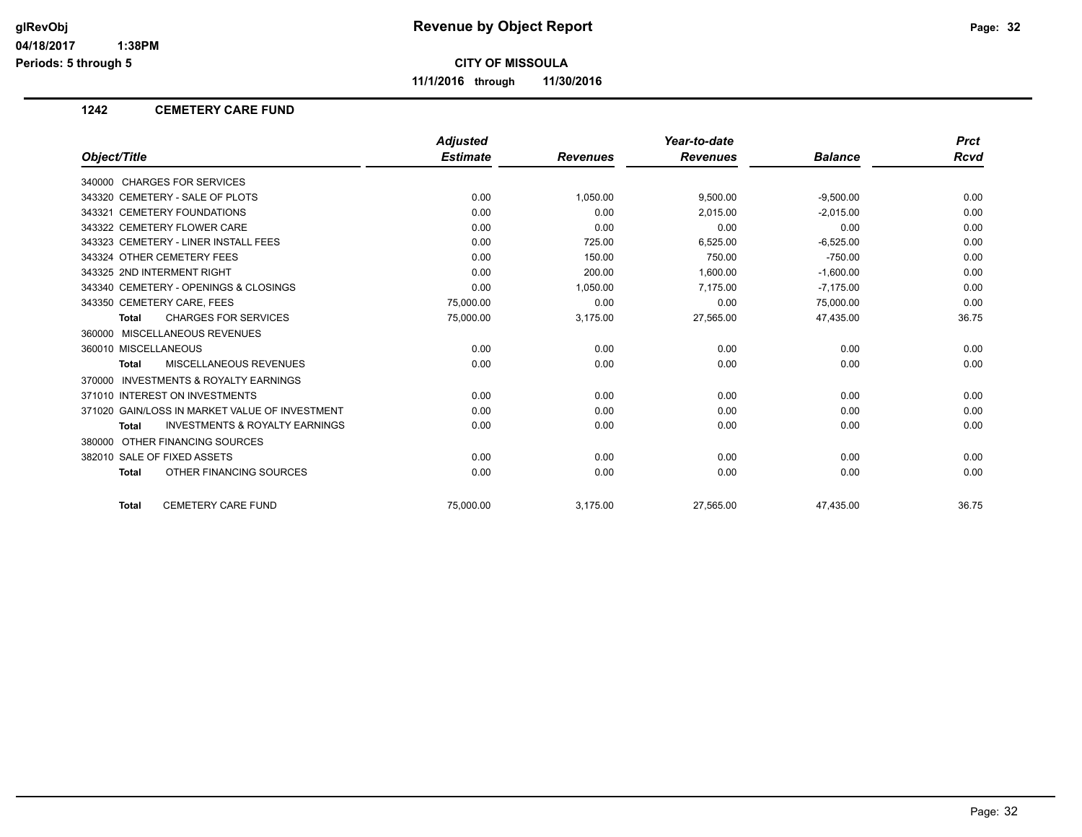**11/1/2016 through 11/30/2016**

#### **1242 CEMETERY CARE FUND**

|                                                           | <b>Adjusted</b> |                 | Year-to-date    |                | <b>Prct</b> |
|-----------------------------------------------------------|-----------------|-----------------|-----------------|----------------|-------------|
| Object/Title                                              | <b>Estimate</b> | <b>Revenues</b> | <b>Revenues</b> | <b>Balance</b> | Rcvd        |
| 340000 CHARGES FOR SERVICES                               |                 |                 |                 |                |             |
| 343320 CEMETERY - SALE OF PLOTS                           | 0.00            | 1,050.00        | 9,500.00        | $-9,500.00$    | 0.00        |
| 343321 CEMETERY FOUNDATIONS                               | 0.00            | 0.00            | 2,015.00        | $-2,015.00$    | 0.00        |
| 343322 CEMETERY FLOWER CARE                               | 0.00            | 0.00            | 0.00            | 0.00           | 0.00        |
| 343323 CEMETERY - LINER INSTALL FEES                      | 0.00            | 725.00          | 6,525.00        | $-6,525.00$    | 0.00        |
| 343324 OTHER CEMETERY FEES                                | 0.00            | 150.00          | 750.00          | $-750.00$      | 0.00        |
| 343325 2ND INTERMENT RIGHT                                | 0.00            | 200.00          | 1,600.00        | $-1,600.00$    | 0.00        |
| 343340 CEMETERY - OPENINGS & CLOSINGS                     | 0.00            | 1.050.00        | 7.175.00        | $-7.175.00$    | 0.00        |
| 343350 CEMETERY CARE, FEES                                | 75,000.00       | 0.00            | 0.00            | 75,000.00      | 0.00        |
| <b>CHARGES FOR SERVICES</b><br>Total                      | 75,000.00       | 3,175.00        | 27,565.00       | 47,435.00      | 36.75       |
| 360000 MISCELLANEOUS REVENUES                             |                 |                 |                 |                |             |
| 360010 MISCELLANEOUS                                      | 0.00            | 0.00            | 0.00            | 0.00           | 0.00        |
| MISCELLANEOUS REVENUES<br><b>Total</b>                    | 0.00            | 0.00            | 0.00            | 0.00           | 0.00        |
| 370000 INVESTMENTS & ROYALTY EARNINGS                     |                 |                 |                 |                |             |
| 371010 INTEREST ON INVESTMENTS                            | 0.00            | 0.00            | 0.00            | 0.00           | 0.00        |
| 371020 GAIN/LOSS IN MARKET VALUE OF INVESTMENT            | 0.00            | 0.00            | 0.00            | 0.00           | 0.00        |
| <b>INVESTMENTS &amp; ROYALTY EARNINGS</b><br><b>Total</b> | 0.00            | 0.00            | 0.00            | 0.00           | 0.00        |
| 380000 OTHER FINANCING SOURCES                            |                 |                 |                 |                |             |
| 382010 SALE OF FIXED ASSETS                               | 0.00            | 0.00            | 0.00            | 0.00           | 0.00        |
| OTHER FINANCING SOURCES<br><b>Total</b>                   | 0.00            | 0.00            | 0.00            | 0.00           | 0.00        |
| <b>CEMETERY CARE FUND</b><br><b>Total</b>                 | 75.000.00       | 3.175.00        | 27.565.00       | 47.435.00      | 36.75       |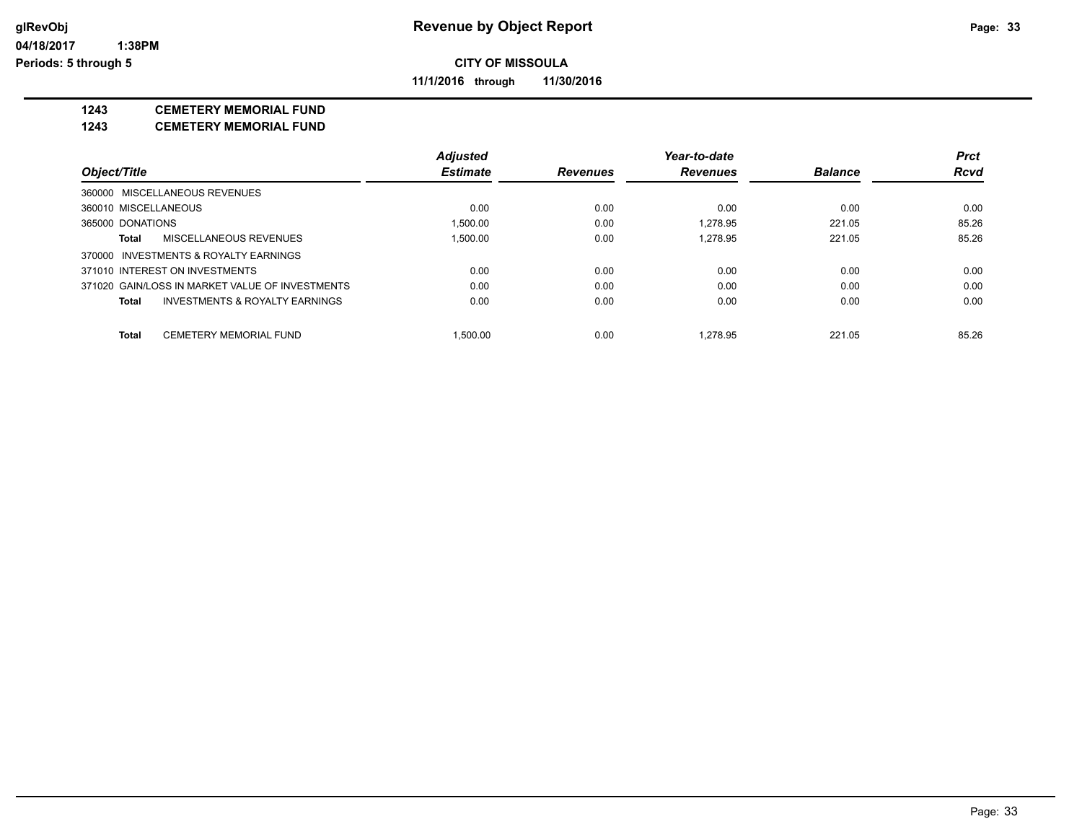**1243 CEMETERY MEMORIAL FUND**

**1243 CEMETERY MEMORIAL FUND**

|                                                    | <b>Adjusted</b> |          | Year-to-date    |                | <b>Prct</b> |
|----------------------------------------------------|-----------------|----------|-----------------|----------------|-------------|
| Object/Title                                       | <b>Estimate</b> | Revenues | <b>Revenues</b> | <b>Balance</b> | <b>Rcvd</b> |
| 360000 MISCELLANEOUS REVENUES                      |                 |          |                 |                |             |
| 360010 MISCELLANEOUS                               | 0.00            | 0.00     | 0.00            | 0.00           | 0.00        |
| 365000 DONATIONS                                   | 1.500.00        | 0.00     | 1.278.95        | 221.05         | 85.26       |
| MISCELLANEOUS REVENUES<br>Total                    | 1.500.00        | 0.00     | 1.278.95        | 221.05         | 85.26       |
| 370000 INVESTMENTS & ROYALTY EARNINGS              |                 |          |                 |                |             |
| 371010 INTEREST ON INVESTMENTS                     | 0.00            | 0.00     | 0.00            | 0.00           | 0.00        |
| 371020 GAIN/LOSS IN MARKET VALUE OF INVESTMENTS    | 0.00            | 0.00     | 0.00            | 0.00           | 0.00        |
| <b>INVESTMENTS &amp; ROYALTY EARNINGS</b><br>Total | 0.00            | 0.00     | 0.00            | 0.00           | 0.00        |
| CEMETERY MEMORIAL FUND<br><b>Total</b>             | 1.500.00        | 0.00     | 1.278.95        | 221.05         | 85.26       |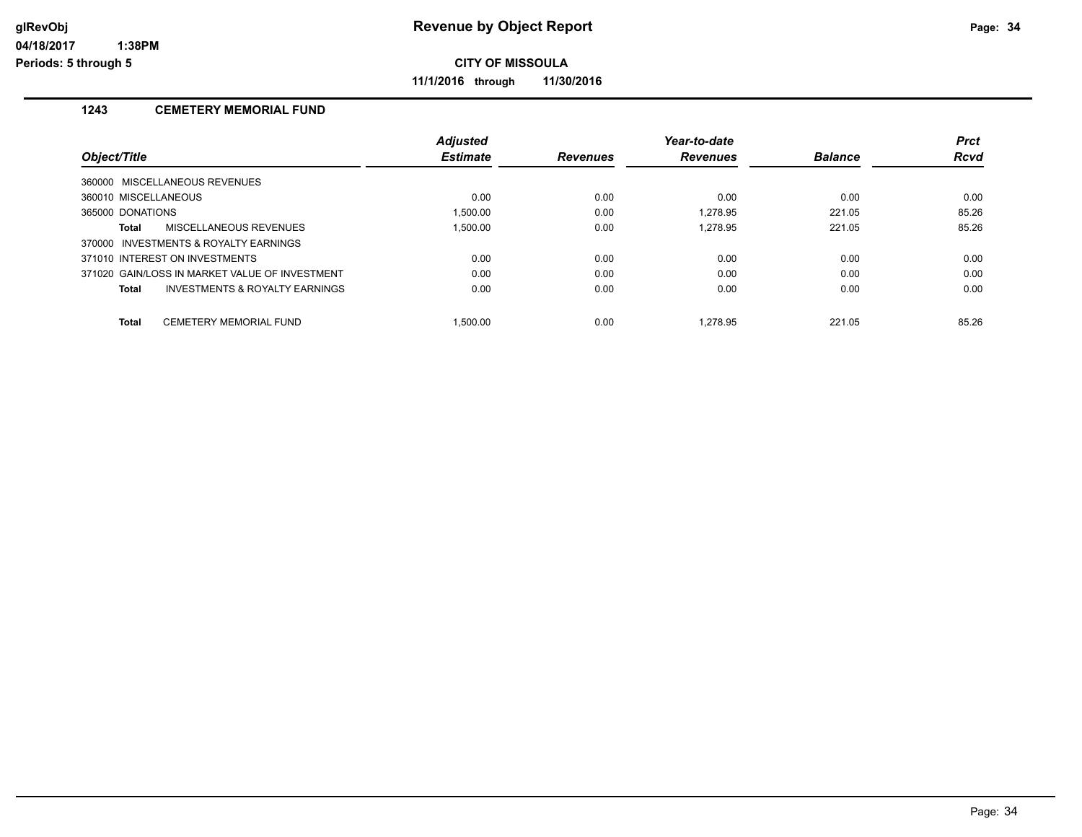**11/1/2016 through 11/30/2016**

#### **1243 CEMETERY MEMORIAL FUND**

|                                                |                                       | <b>Adiusted</b> |                 | Year-to-date    |                | <b>Prct</b> |
|------------------------------------------------|---------------------------------------|-----------------|-----------------|-----------------|----------------|-------------|
| Object/Title                                   |                                       | <b>Estimate</b> | <b>Revenues</b> | <b>Revenues</b> | <b>Balance</b> | <b>Rcvd</b> |
| 360000                                         | MISCELLANEOUS REVENUES                |                 |                 |                 |                |             |
| 360010 MISCELLANEOUS                           |                                       | 0.00            | 0.00            | 0.00            | 0.00           | 0.00        |
| 365000 DONATIONS                               |                                       | 1.500.00        | 0.00            | 1.278.95        | 221.05         | 85.26       |
| Total                                          | MISCELLANEOUS REVENUES                | 1.500.00        | 0.00            | 1.278.95        | 221.05         | 85.26       |
|                                                | 370000 INVESTMENTS & ROYALTY EARNINGS |                 |                 |                 |                |             |
| 371010 INTEREST ON INVESTMENTS                 |                                       | 0.00            | 0.00            | 0.00            | 0.00           | 0.00        |
| 371020 GAIN/LOSS IN MARKET VALUE OF INVESTMENT |                                       | 0.00            | 0.00            | 0.00            | 0.00           | 0.00        |
| Total                                          | INVESTMENTS & ROYALTY EARNINGS        | 0.00            | 0.00            | 0.00            | 0.00           | 0.00        |
| <b>Total</b>                                   | <b>CEMETERY MEMORIAL FUND</b>         | 1.500.00        | 0.00            | 1.278.95        | 221.05         | 85.26       |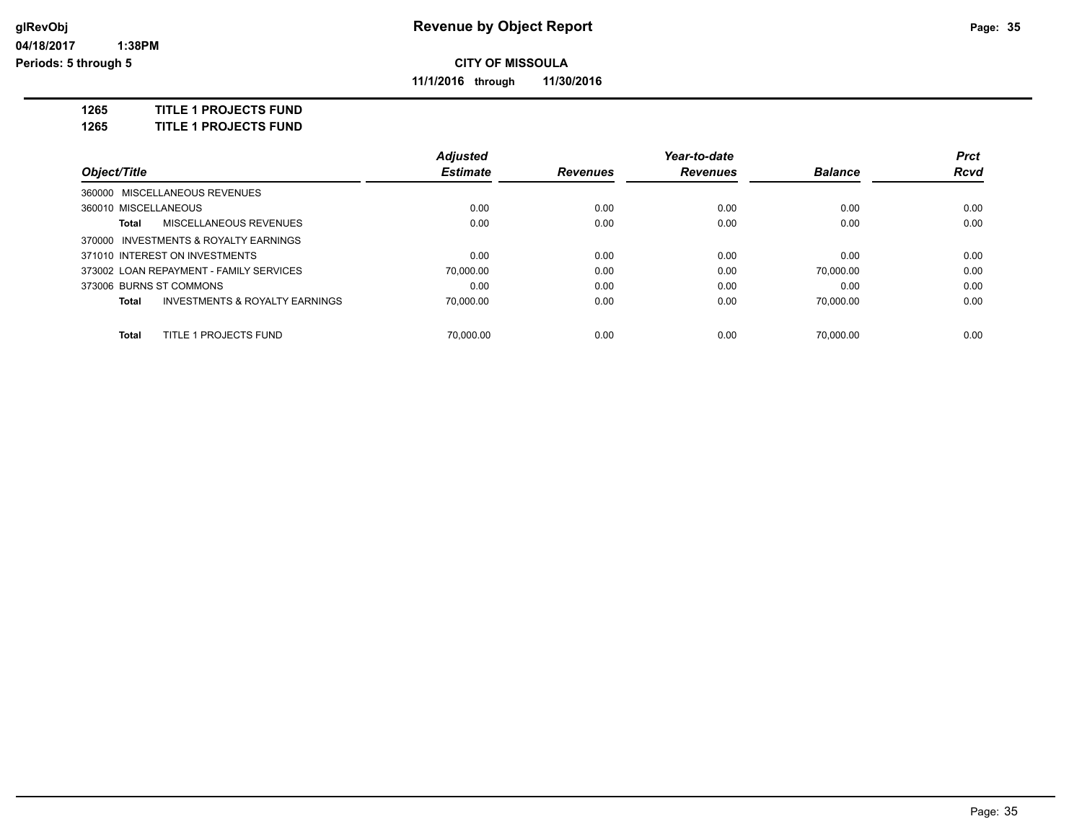*Prct Rcvd*

**CITY OF MISSOULA**

**11/1/2016 through 11/30/2016**

**1265 TITLE 1 PROJECTS FUND 1265 TITLE 1 PROJECTS FUND**

*Object/Title Adjusted Estimate Revenues Year-to-date Revenues Balance* 360000 MISCELLANEOUS REVENUES 360010 MISCELLANEOUS 0.00 0.00 0.00 0.00 0.00 **Total** MISCELLANEOUS REVENUES 0.00 0.00 0.00 0.00 0.00 370000 INVESTMENTS & ROYALTY EARNINGS 371010 INTEREST ON INVESTMENTS 0.00 0.00 0.00 0.00 0.00 373002 LOAN REPAYMENT - FAMILY SERVICES  $70,000.00$   $0.00$   $0.00$   $0.00$   $70,000.00$   $0.00$   $0.00$   $0.00$   $0.00$   $0.00$ 373006 BURNS ST COMMONS 0.00 0.00 0.00 0.00 0.00 **Total** INVESTMENTS & ROYALTY EARNINGS 70,000.00 0.00 0.00 70,000.00 0.00 **Total** TITLE 1 PROJECTS FUND 70,000.00 0.00 0.00 70,000.00 0.00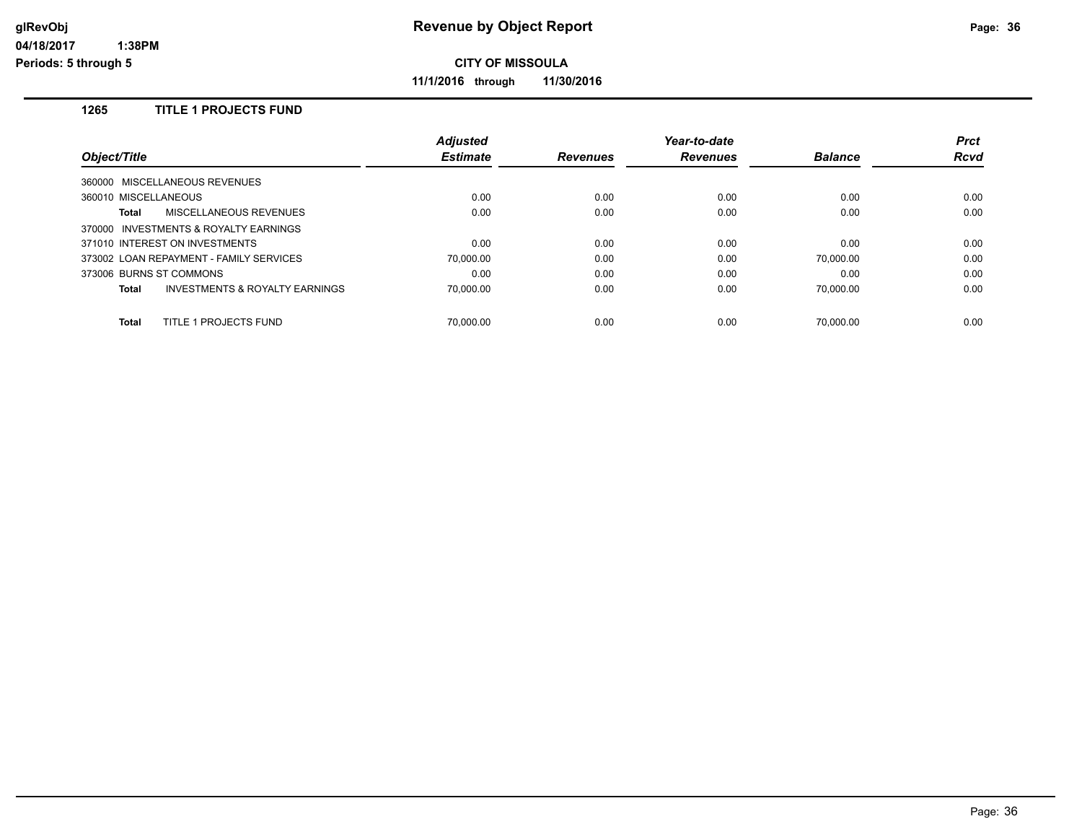**11/1/2016 through 11/30/2016**

#### **1265 TITLE 1 PROJECTS FUND**

|                                         | <b>Adiusted</b> |                 | Year-to-date    |                | <b>Prct</b> |
|-----------------------------------------|-----------------|-----------------|-----------------|----------------|-------------|
| Object/Title                            | <b>Estimate</b> | <b>Revenues</b> | <b>Revenues</b> | <b>Balance</b> | <b>Rcvd</b> |
| 360000 MISCELLANEOUS REVENUES           |                 |                 |                 |                |             |
| 360010 MISCELLANEOUS                    | 0.00            | 0.00            | 0.00            | 0.00           | 0.00        |
| MISCELLANEOUS REVENUES<br>Total         | 0.00            | 0.00            | 0.00            | 0.00           | 0.00        |
| 370000 INVESTMENTS & ROYALTY EARNINGS   |                 |                 |                 |                |             |
| 371010 INTEREST ON INVESTMENTS          | 0.00            | 0.00            | 0.00            | 0.00           | 0.00        |
| 373002 LOAN REPAYMENT - FAMILY SERVICES | 70.000.00       | 0.00            | 0.00            | 70.000.00      | 0.00        |
| 373006 BURNS ST COMMONS                 | 0.00            | 0.00            | 0.00            | 0.00           | 0.00        |
| INVESTMENTS & ROYALTY EARNINGS<br>Total | 70.000.00       | 0.00            | 0.00            | 70.000.00      | 0.00        |
| TITLE 1 PROJECTS FUND<br><b>Total</b>   | 70.000.00       | 0.00            | 0.00            | 70.000.00      | 0.00        |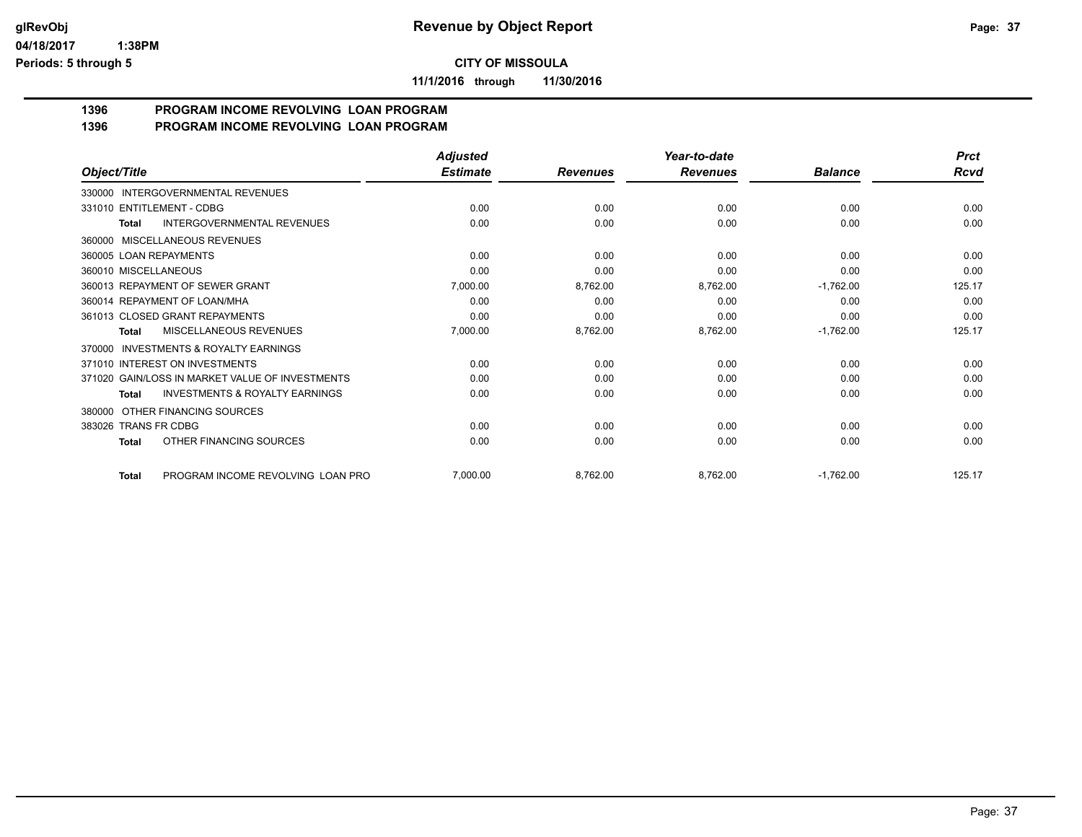**11/1/2016 through 11/30/2016**

### **1396 PROGRAM INCOME REVOLVING LOAN PROGRAM 1396 PROGRAM INCOME REVOLVING LOAN PROGRAM**

|                                                     | <b>Adjusted</b> |                 | Year-to-date    |                | <b>Prct</b> |
|-----------------------------------------------------|-----------------|-----------------|-----------------|----------------|-------------|
| Object/Title                                        | <b>Estimate</b> | <b>Revenues</b> | <b>Revenues</b> | <b>Balance</b> | <b>Rcvd</b> |
| <b>INTERGOVERNMENTAL REVENUES</b><br>330000         |                 |                 |                 |                |             |
| 331010 ENTITLEMENT - CDBG                           | 0.00            | 0.00            | 0.00            | 0.00           | 0.00        |
| <b>INTERGOVERNMENTAL REVENUES</b><br><b>Total</b>   | 0.00            | 0.00            | 0.00            | 0.00           | 0.00        |
| MISCELLANEOUS REVENUES<br>360000                    |                 |                 |                 |                |             |
| 360005 LOAN REPAYMENTS                              | 0.00            | 0.00            | 0.00            | 0.00           | 0.00        |
| 360010 MISCELLANEOUS                                | 0.00            | 0.00            | 0.00            | 0.00           | 0.00        |
| 360013 REPAYMENT OF SEWER GRANT                     | 7,000.00        | 8,762.00        | 8,762.00        | $-1,762.00$    | 125.17      |
| 360014 REPAYMENT OF LOAN/MHA                        | 0.00            | 0.00            | 0.00            | 0.00           | 0.00        |
| 361013 CLOSED GRANT REPAYMENTS                      | 0.00            | 0.00            | 0.00            | 0.00           | 0.00        |
| MISCELLANEOUS REVENUES<br>Total                     | 7,000.00        | 8,762.00        | 8,762.00        | $-1,762.00$    | 125.17      |
| <b>INVESTMENTS &amp; ROYALTY EARNINGS</b><br>370000 |                 |                 |                 |                |             |
| 371010 INTEREST ON INVESTMENTS                      | 0.00            | 0.00            | 0.00            | 0.00           | 0.00        |
| 371020 GAIN/LOSS IN MARKET VALUE OF INVESTMENTS     | 0.00            | 0.00            | 0.00            | 0.00           | 0.00        |
| <b>INVESTMENTS &amp; ROYALTY EARNINGS</b><br>Total  | 0.00            | 0.00            | 0.00            | 0.00           | 0.00        |
| OTHER FINANCING SOURCES<br>380000                   |                 |                 |                 |                |             |
| <b>TRANS FR CDBG</b><br>383026                      | 0.00            | 0.00            | 0.00            | 0.00           | 0.00        |
| OTHER FINANCING SOURCES<br>Total                    | 0.00            | 0.00            | 0.00            | 0.00           | 0.00        |
| PROGRAM INCOME REVOLVING LOAN PRO<br><b>Total</b>   | 7,000.00        | 8,762.00        | 8,762.00        | $-1,762.00$    | 125.17      |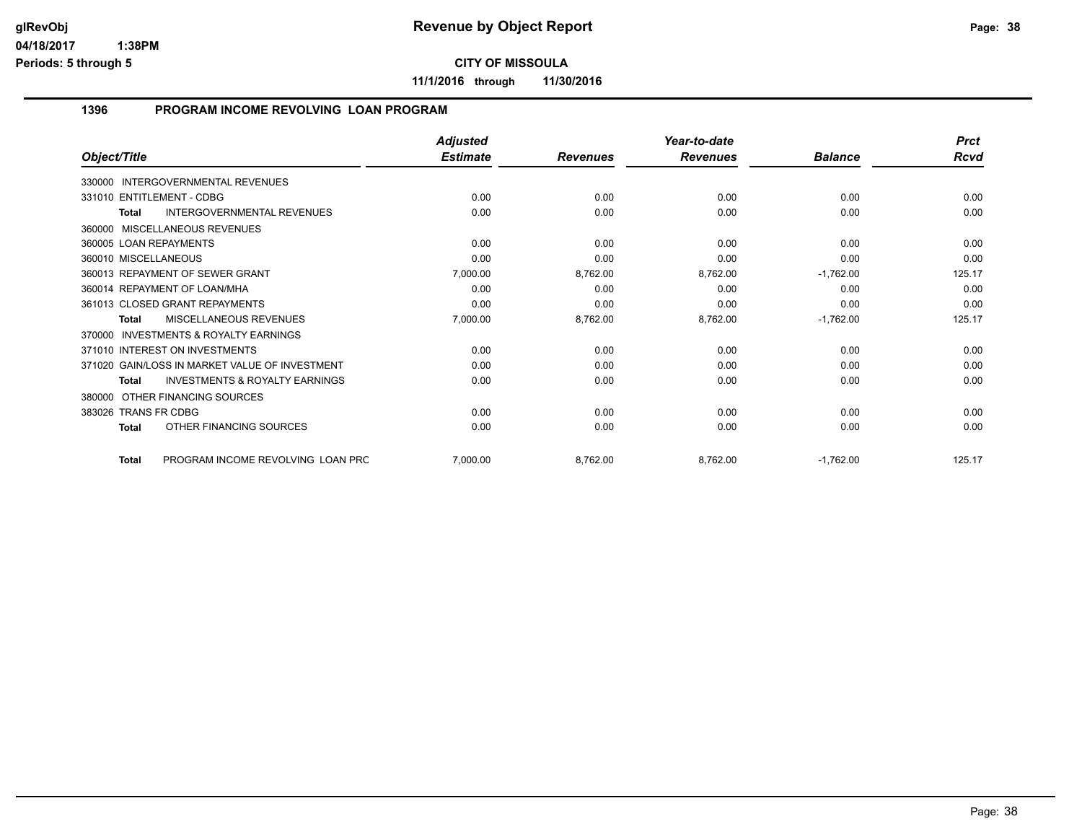**11/1/2016 through 11/30/2016**

### **1396 PROGRAM INCOME REVOLVING LOAN PROGRAM**

|                                                     | <b>Adjusted</b> |                 | Year-to-date    |                | <b>Prct</b> |
|-----------------------------------------------------|-----------------|-----------------|-----------------|----------------|-------------|
| Object/Title                                        | <b>Estimate</b> | <b>Revenues</b> | <b>Revenues</b> | <b>Balance</b> | Rcvd        |
| <b>INTERGOVERNMENTAL REVENUES</b><br>330000         |                 |                 |                 |                |             |
| 331010 ENTITLEMENT - CDBG                           | 0.00            | 0.00            | 0.00            | 0.00           | 0.00        |
| INTERGOVERNMENTAL REVENUES<br><b>Total</b>          | 0.00            | 0.00            | 0.00            | 0.00           | 0.00        |
| MISCELLANEOUS REVENUES<br>360000                    |                 |                 |                 |                |             |
| 360005 LOAN REPAYMENTS                              | 0.00            | 0.00            | 0.00            | 0.00           | 0.00        |
| 360010 MISCELLANEOUS                                | 0.00            | 0.00            | 0.00            | 0.00           | 0.00        |
| 360013 REPAYMENT OF SEWER GRANT                     | 7,000.00        | 8,762.00        | 8,762.00        | $-1,762.00$    | 125.17      |
| 360014 REPAYMENT OF LOAN/MHA                        | 0.00            | 0.00            | 0.00            | 0.00           | 0.00        |
| 361013 CLOSED GRANT REPAYMENTS                      | 0.00            | 0.00            | 0.00            | 0.00           | 0.00        |
| MISCELLANEOUS REVENUES<br>Total                     | 7,000.00        | 8,762.00        | 8,762.00        | $-1,762.00$    | 125.17      |
| <b>INVESTMENTS &amp; ROYALTY EARNINGS</b><br>370000 |                 |                 |                 |                |             |
| 371010 INTEREST ON INVESTMENTS                      | 0.00            | 0.00            | 0.00            | 0.00           | 0.00        |
| 371020 GAIN/LOSS IN MARKET VALUE OF INVESTMENT      | 0.00            | 0.00            | 0.00            | 0.00           | 0.00        |
| <b>INVESTMENTS &amp; ROYALTY EARNINGS</b><br>Total  | 0.00            | 0.00            | 0.00            | 0.00           | 0.00        |
| OTHER FINANCING SOURCES<br>380000                   |                 |                 |                 |                |             |
| 383026 TRANS FR CDBG                                | 0.00            | 0.00            | 0.00            | 0.00           | 0.00        |
| OTHER FINANCING SOURCES<br>Total                    | 0.00            | 0.00            | 0.00            | 0.00           | 0.00        |
| PROGRAM INCOME REVOLVING LOAN PRC<br><b>Total</b>   | 7,000.00        | 8,762.00        | 8,762.00        | $-1,762.00$    | 125.17      |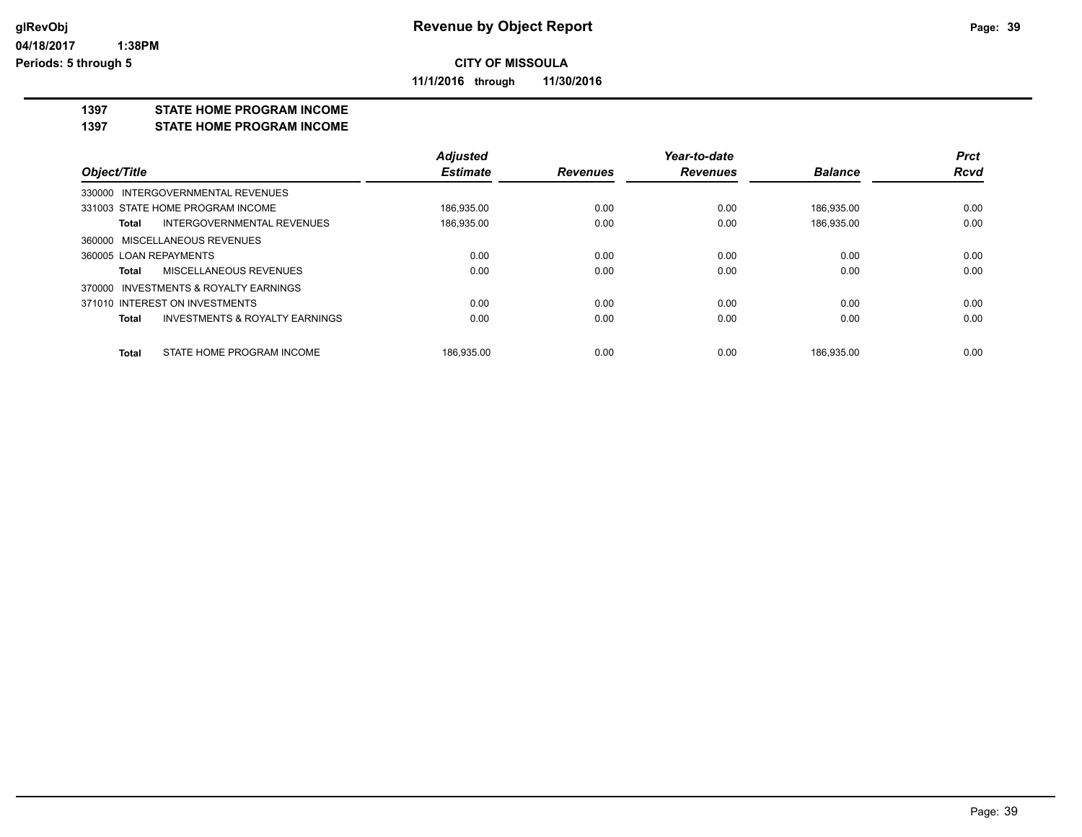**11/1/2016 through 11/30/2016**

# **1397 STATE HOME PROGRAM INCOME**

### **1397 STATE HOME PROGRAM INCOME**

|                                                    | <b>Adjusted</b> |                 | Year-to-date    |                | <b>Prct</b> |
|----------------------------------------------------|-----------------|-----------------|-----------------|----------------|-------------|
| Object/Title                                       | <b>Estimate</b> | <b>Revenues</b> | <b>Revenues</b> | <b>Balance</b> | <b>Rcvd</b> |
| 330000 INTERGOVERNMENTAL REVENUES                  |                 |                 |                 |                |             |
| 331003 STATE HOME PROGRAM INCOME                   | 186.935.00      | 0.00            | 0.00            | 186.935.00     | 0.00        |
| <b>INTERGOVERNMENTAL REVENUES</b><br>Total         | 186,935.00      | 0.00            | 0.00            | 186,935.00     | 0.00        |
| 360000 MISCELLANEOUS REVENUES                      |                 |                 |                 |                |             |
| 360005 LOAN REPAYMENTS                             | 0.00            | 0.00            | 0.00            | 0.00           | 0.00        |
| MISCELLANEOUS REVENUES<br>Total                    | 0.00            | 0.00            | 0.00            | 0.00           | 0.00        |
| 370000 INVESTMENTS & ROYALTY EARNINGS              |                 |                 |                 |                |             |
| 371010 INTEREST ON INVESTMENTS                     | 0.00            | 0.00            | 0.00            | 0.00           | 0.00        |
| <b>INVESTMENTS &amp; ROYALTY EARNINGS</b><br>Total | 0.00            | 0.00            | 0.00            | 0.00           | 0.00        |
|                                                    |                 |                 |                 |                |             |
| STATE HOME PROGRAM INCOME<br><b>Total</b>          | 186.935.00      | 0.00            | 0.00            | 186.935.00     | 0.00        |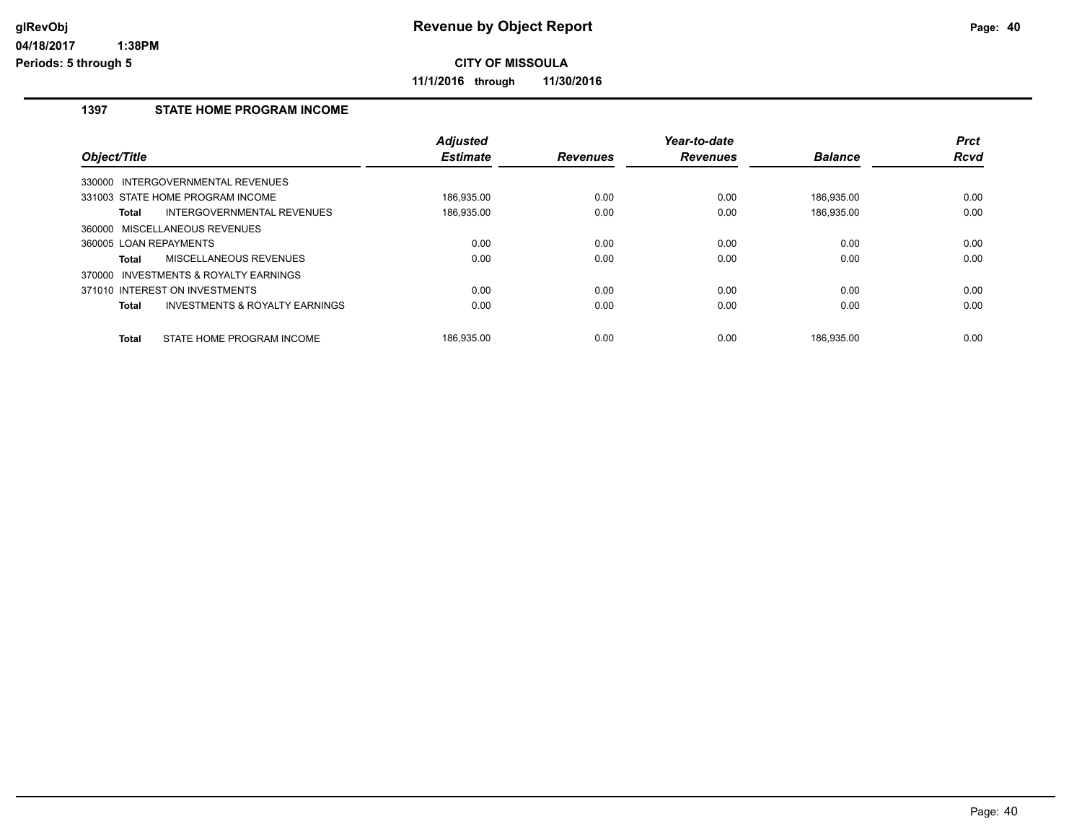**11/1/2016 through 11/30/2016**

### **1397 STATE HOME PROGRAM INCOME**

| Object/Title           |                                           | <b>Adjusted</b><br><b>Estimate</b> | <b>Revenues</b> | Year-to-date<br><b>Revenues</b> | <b>Balance</b> | <b>Prct</b><br>Rcvd |
|------------------------|-------------------------------------------|------------------------------------|-----------------|---------------------------------|----------------|---------------------|
|                        |                                           |                                    |                 |                                 |                |                     |
| 330000                 | INTERGOVERNMENTAL REVENUES                |                                    |                 |                                 |                |                     |
|                        | 331003 STATE HOME PROGRAM INCOME          | 186,935.00                         | 0.00            | 0.00                            | 186,935.00     | 0.00                |
| Total                  | INTERGOVERNMENTAL REVENUES                | 186,935.00                         | 0.00            | 0.00                            | 186,935.00     | 0.00                |
| 360000                 | MISCELLANEOUS REVENUES                    |                                    |                 |                                 |                |                     |
| 360005 LOAN REPAYMENTS |                                           | 0.00                               | 0.00            | 0.00                            | 0.00           | 0.00                |
| Total                  | <b>MISCELLANEOUS REVENUES</b>             | 0.00                               | 0.00            | 0.00                            | 0.00           | 0.00                |
| 370000                 | <b>INVESTMENTS &amp; ROYALTY EARNINGS</b> |                                    |                 |                                 |                |                     |
|                        | 371010 INTEREST ON INVESTMENTS            | 0.00                               | 0.00            | 0.00                            | 0.00           | 0.00                |
| <b>Total</b>           | <b>INVESTMENTS &amp; ROYALTY EARNINGS</b> | 0.00                               | 0.00            | 0.00                            | 0.00           | 0.00                |
| <b>Total</b>           | STATE HOME PROGRAM INCOME                 | 186.935.00                         | 0.00            | 0.00                            | 186.935.00     | 0.00                |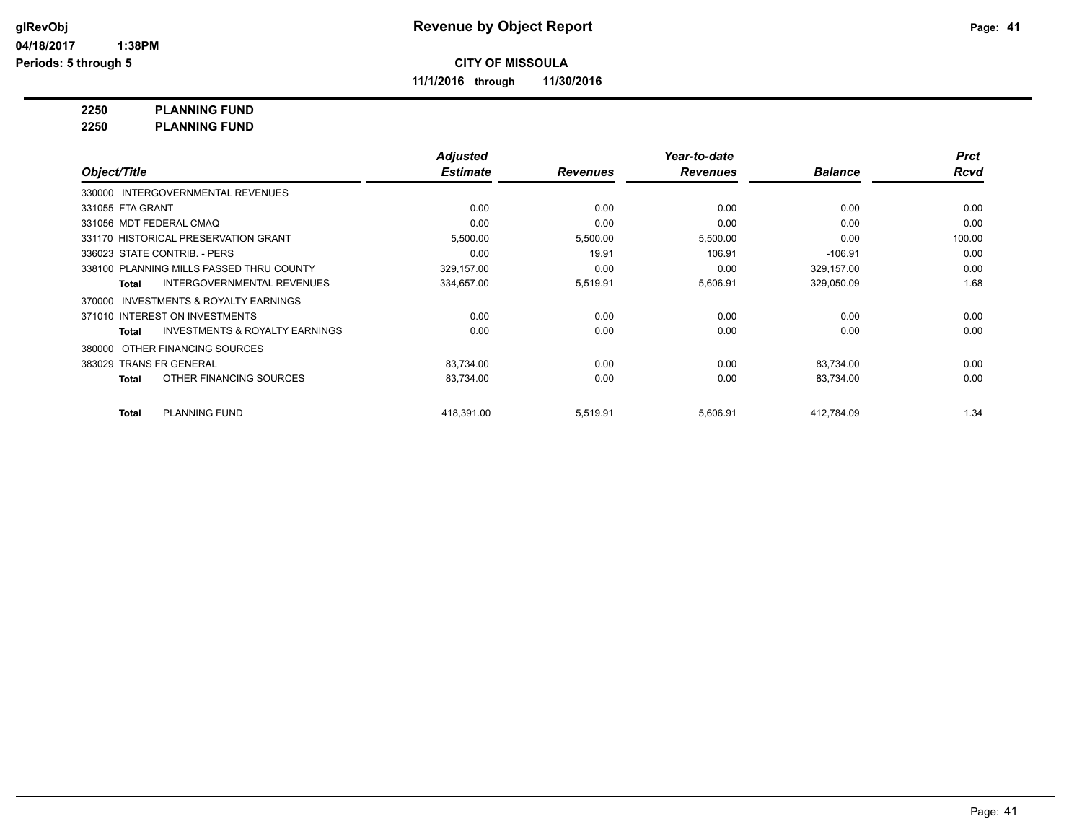**CITY OF MISSOULA 11/1/2016 through 11/30/2016**

**2250 PLANNING FUND**

**2250 PLANNING FUND**

|                                |                                           | <b>Adjusted</b> |                 | Year-to-date    |                | <b>Prct</b> |
|--------------------------------|-------------------------------------------|-----------------|-----------------|-----------------|----------------|-------------|
| Object/Title                   |                                           | <b>Estimate</b> | <b>Revenues</b> | <b>Revenues</b> | <b>Balance</b> | <b>Rcvd</b> |
|                                | 330000 INTERGOVERNMENTAL REVENUES         |                 |                 |                 |                |             |
| 331055 FTA GRANT               |                                           | 0.00            | 0.00            | 0.00            | 0.00           | 0.00        |
| 331056 MDT FEDERAL CMAQ        |                                           | 0.00            | 0.00            | 0.00            | 0.00           | 0.00        |
|                                | 331170 HISTORICAL PRESERVATION GRANT      | 5,500.00        | 5,500.00        | 5,500.00        | 0.00           | 100.00      |
| 336023 STATE CONTRIB. - PERS   |                                           | 0.00            | 19.91           | 106.91          | $-106.91$      | 0.00        |
|                                | 338100 PLANNING MILLS PASSED THRU COUNTY  | 329,157.00      | 0.00            | 0.00            | 329,157.00     | 0.00        |
| <b>Total</b>                   | <b>INTERGOVERNMENTAL REVENUES</b>         | 334,657.00      | 5,519.91        | 5,606.91        | 329,050.09     | 1.68        |
| 370000                         | <b>INVESTMENTS &amp; ROYALTY EARNINGS</b> |                 |                 |                 |                |             |
| 371010 INTEREST ON INVESTMENTS |                                           | 0.00            | 0.00            | 0.00            | 0.00           | 0.00        |
| <b>Total</b>                   | <b>INVESTMENTS &amp; ROYALTY EARNINGS</b> | 0.00            | 0.00            | 0.00            | 0.00           | 0.00        |
| 380000                         | OTHER FINANCING SOURCES                   |                 |                 |                 |                |             |
| 383029 TRANS FR GENERAL        |                                           | 83,734.00       | 0.00            | 0.00            | 83,734.00      | 0.00        |
| <b>Total</b>                   | OTHER FINANCING SOURCES                   | 83,734.00       | 0.00            | 0.00            | 83,734.00      | 0.00        |
| Total                          | <b>PLANNING FUND</b>                      | 418,391.00      | 5,519.91        | 5,606.91        | 412,784.09     | 1.34        |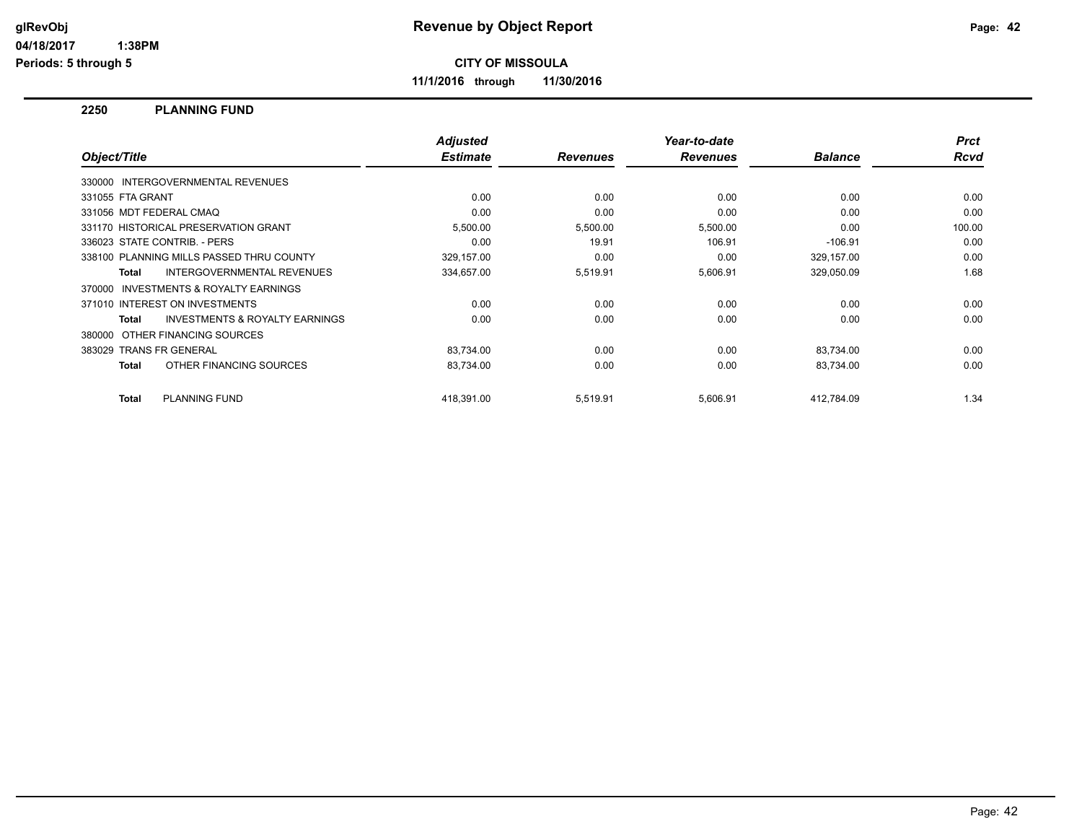**11/1/2016 through 11/30/2016**

### **2250 PLANNING FUND**

| Object/Title                                       | <b>Adjusted</b><br><b>Estimate</b> | <b>Revenues</b> | Year-to-date<br><b>Revenues</b> | <b>Balance</b> | <b>Prct</b><br><b>Rcvd</b> |
|----------------------------------------------------|------------------------------------|-----------------|---------------------------------|----------------|----------------------------|
|                                                    |                                    |                 |                                 |                |                            |
| 330000 INTERGOVERNMENTAL REVENUES                  |                                    |                 |                                 |                |                            |
| 331055 FTA GRANT                                   | 0.00                               | 0.00            | 0.00                            | 0.00           | 0.00                       |
| 331056 MDT FEDERAL CMAQ                            | 0.00                               | 0.00            | 0.00                            | 0.00           | 0.00                       |
| 331170 HISTORICAL PRESERVATION GRANT               | 5,500.00                           | 5,500.00        | 5,500.00                        | 0.00           | 100.00                     |
| 336023 STATE CONTRIB. - PERS                       | 0.00                               | 19.91           | 106.91                          | $-106.91$      | 0.00                       |
| 338100 PLANNING MILLS PASSED THRU COUNTY           | 329,157.00                         | 0.00            | 0.00                            | 329,157.00     | 0.00                       |
| INTERGOVERNMENTAL REVENUES<br>Total                | 334,657.00                         | 5,519.91        | 5,606.91                        | 329,050.09     | 1.68                       |
| 370000 INVESTMENTS & ROYALTY EARNINGS              |                                    |                 |                                 |                |                            |
| 371010 INTEREST ON INVESTMENTS                     | 0.00                               | 0.00            | 0.00                            | 0.00           | 0.00                       |
| <b>INVESTMENTS &amp; ROYALTY EARNINGS</b><br>Total | 0.00                               | 0.00            | 0.00                            | 0.00           | 0.00                       |
| 380000 OTHER FINANCING SOURCES                     |                                    |                 |                                 |                |                            |
| 383029 TRANS FR GENERAL                            | 83,734.00                          | 0.00            | 0.00                            | 83,734.00      | 0.00                       |
| OTHER FINANCING SOURCES<br><b>Total</b>            | 83,734.00                          | 0.00            | 0.00                            | 83,734.00      | 0.00                       |
|                                                    |                                    |                 |                                 |                |                            |
| <b>PLANNING FUND</b><br>Total                      | 418,391.00                         | 5,519.91        | 5,606.91                        | 412,784.09     | 1.34                       |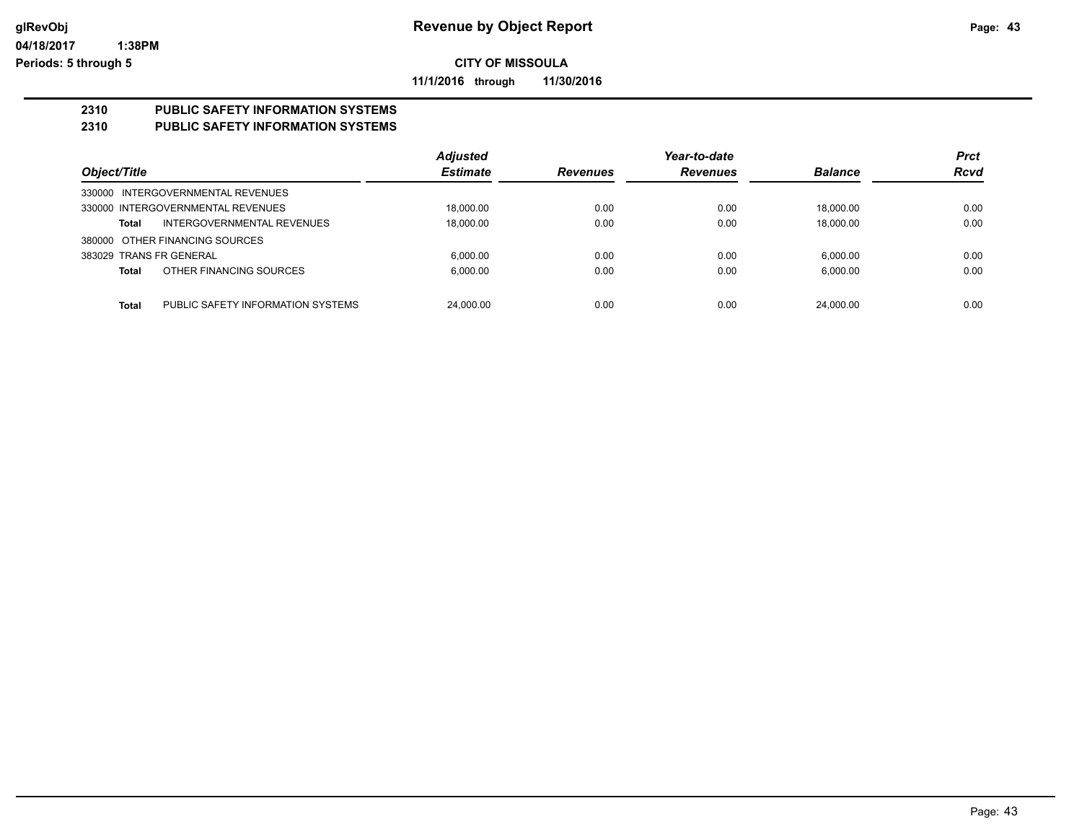**11/1/2016 through 11/30/2016**

### **2310 PUBLIC SAFETY INFORMATION SYSTEMS 2310 PUBLIC SAFETY INFORMATION SYSTEMS**

|                                                   | <b>Adjusted</b> |                 | Year-to-date    |                | <b>Prct</b> |
|---------------------------------------------------|-----------------|-----------------|-----------------|----------------|-------------|
| Object/Title                                      | <b>Estimate</b> | <b>Revenues</b> | <b>Revenues</b> | <b>Balance</b> | <b>Rcvd</b> |
| 330000 INTERGOVERNMENTAL REVENUES                 |                 |                 |                 |                |             |
| 330000 INTERGOVERNMENTAL REVENUES                 | 18.000.00       | 0.00            | 0.00            | 18.000.00      | 0.00        |
| INTERGOVERNMENTAL REVENUES<br>Total               | 18,000.00       | 0.00            | 0.00            | 18.000.00      | 0.00        |
| 380000 OTHER FINANCING SOURCES                    |                 |                 |                 |                |             |
| 383029 TRANS FR GENERAL                           | 6.000.00        | 0.00            | 0.00            | 6.000.00       | 0.00        |
| OTHER FINANCING SOURCES<br>Total                  | 6.000.00        | 0.00            | 0.00            | 6.000.00       | 0.00        |
|                                                   |                 |                 |                 |                |             |
| <b>Total</b><br>PUBLIC SAFETY INFORMATION SYSTEMS | 24.000.00       | 0.00            | 0.00            | 24.000.00      | 0.00        |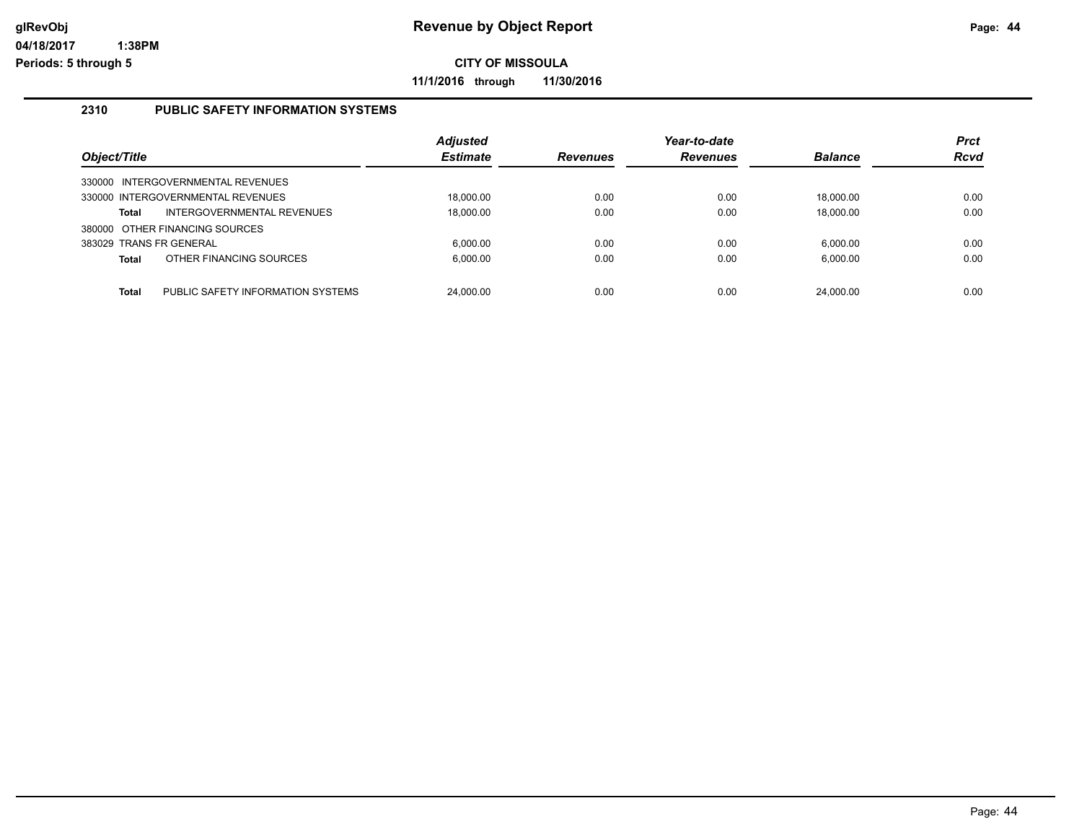**11/1/2016 through 11/30/2016**

### **2310 PUBLIC SAFETY INFORMATION SYSTEMS**

|                         |                                   | <b>Adjusted</b> |                 | Year-to-date    |                | <b>Prct</b> |
|-------------------------|-----------------------------------|-----------------|-----------------|-----------------|----------------|-------------|
| Object/Title            |                                   | <b>Estimate</b> | <b>Revenues</b> | <b>Revenues</b> | <b>Balance</b> | <b>Rcvd</b> |
|                         | 330000 INTERGOVERNMENTAL REVENUES |                 |                 |                 |                |             |
|                         | 330000 INTERGOVERNMENTAL REVENUES | 18.000.00       | 0.00            | 0.00            | 18,000.00      | 0.00        |
| Total                   | INTERGOVERNMENTAL REVENUES        | 18.000.00       | 0.00            | 0.00            | 18,000.00      | 0.00        |
| 380000                  | OTHER FINANCING SOURCES           |                 |                 |                 |                |             |
| 383029 TRANS FR GENERAL |                                   | 6.000.00        | 0.00            | 0.00            | 6.000.00       | 0.00        |
| Total                   | OTHER FINANCING SOURCES           | 6,000.00        | 0.00            | 0.00            | 6.000.00       | 0.00        |
| <b>Total</b>            | PUBLIC SAFETY INFORMATION SYSTEMS | 24.000.00       | 0.00            | 0.00            | 24.000.00      | 0.00        |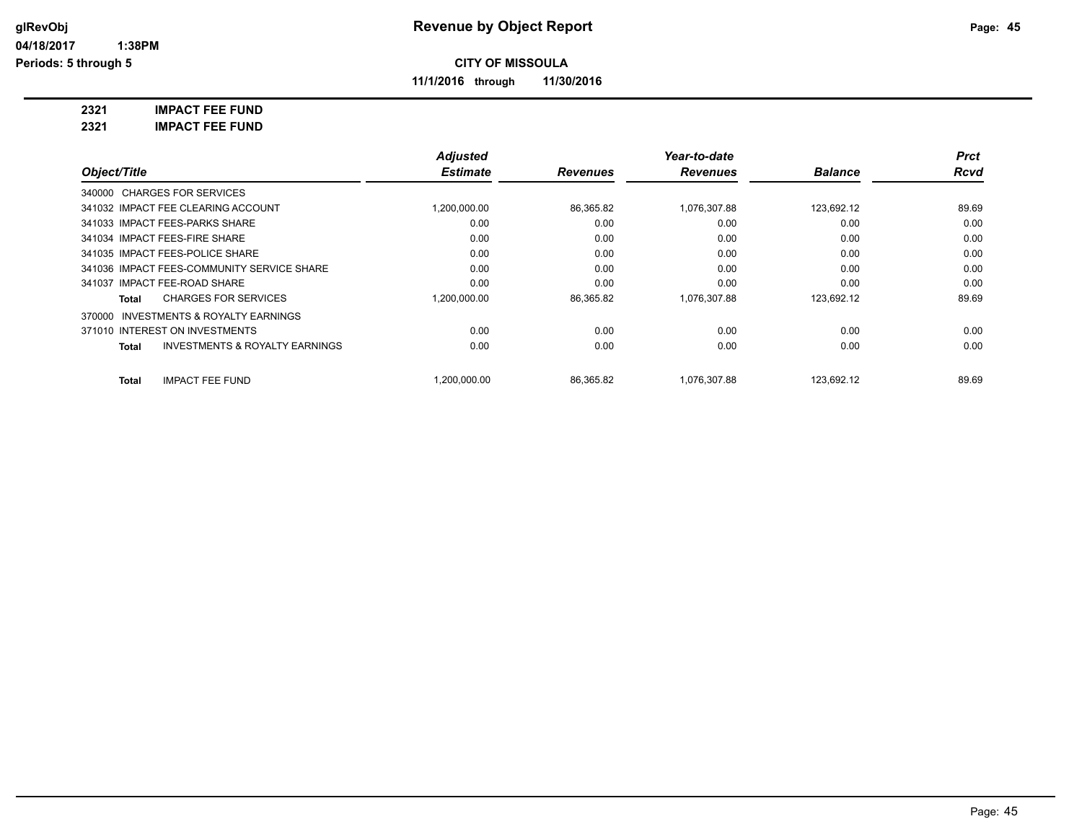**CITY OF MISSOULA 11/1/2016 through 11/30/2016**

**2321 IMPACT FEE FUND 2321 IMPACT FEE FUND**

*Object/Title Adjusted Estimate Revenues Year-to-date Revenues Balance Prct Rcvd* 340000 CHARGES FOR SERVICES 341032 IMPACT FEE CLEARING ACCOUNT 1,200,000.00 86,365.82 1,076,307.88 123,692.12 89.69 341033 IMPACT FEES-PARKS SHARE 0.00 0.00 0.00 0.00 0.00 341034 IMPACT FEES-FIRE SHARE 0.00 0.00 0.00 0.00 0.00  $0.00 \hspace{1.5cm} 0.00 \hspace{3.2cm} 0.00 \hspace{1.5cm} 0.00 \hspace{1.5cm} 0.00 \hspace{1.5cm} 0.00 \hspace{1.5cm} 0.00 \hspace{1.5cm} 0.00 \hspace{1.5cm} 0.00 \hspace{1.5cm} 0.00 \hspace{1.5cm} 0.00 \hspace{1.5cm} 0.00 \hspace{1.5cm} 0.00 \hspace{1.5cm} 0.00 \hspace{1.5cm} 0.00 \hspace{1.5cm} 0.00 \hspace{1.5$  $0.00 \hspace{1.5cm} 0.00 \hspace{3.2cm} 0.00 \hspace{1.5cm} 0.00 \hspace{1.5cm} 0.00 \hspace{3.2cm} 0.00 \hspace{1.5cm} 0.00 \hspace{1.5cm} 0.00 \hspace{1.5cm} 0.00 \hspace{1.5cm} 0.00 \hspace{1.5cm} 0.00 \hspace{1.5cm} 0.00 \hspace{1.5cm} 0.00 \hspace{1.5cm} 0.00 \hspace{1.5cm} 0.00 \hspace{1.5cm} 0.00 \hspace{1.5$  $0.00 \hspace{1.5cm} 0.00 \hspace{3.1cm} 0.00 \hspace{1.5cm} 0.00 \hspace{1.5cm} 0.00 \hspace{1.5cm} 0.00 \hspace{1.5cm} 0.00 \hspace{1.5cm} 0.00 \hspace{1.5cm} 0.00 \hspace{1.5cm} 0.00 \hspace{1.5cm} 0.00 \hspace{1.5cm} 0.00 \hspace{1.5cm} 0.00 \hspace{1.5cm} 0.00 \hspace{1.5cm} 0.00 \hspace{1.5cm} 0.00 \hspace{1.5$ **Total CHARGES FOR SERVICES** 1,200,000.00 86,365.82 1,076,307.88 123,692.12 89.69 370000 INVESTMENTS & ROYALTY EARNINGS 371010 INTEREST ON INVESTMENTS 0.00 0.00 0.00 0.00 0.00 **Total** INVESTMENTS & ROYALTY EARNINGS 0.00 0.00 0.00 0.00 0.00 **Total** IMPACT FEE FUND 1,200,000.00 86,365.82 1,076,307.88 123,692.12 89.69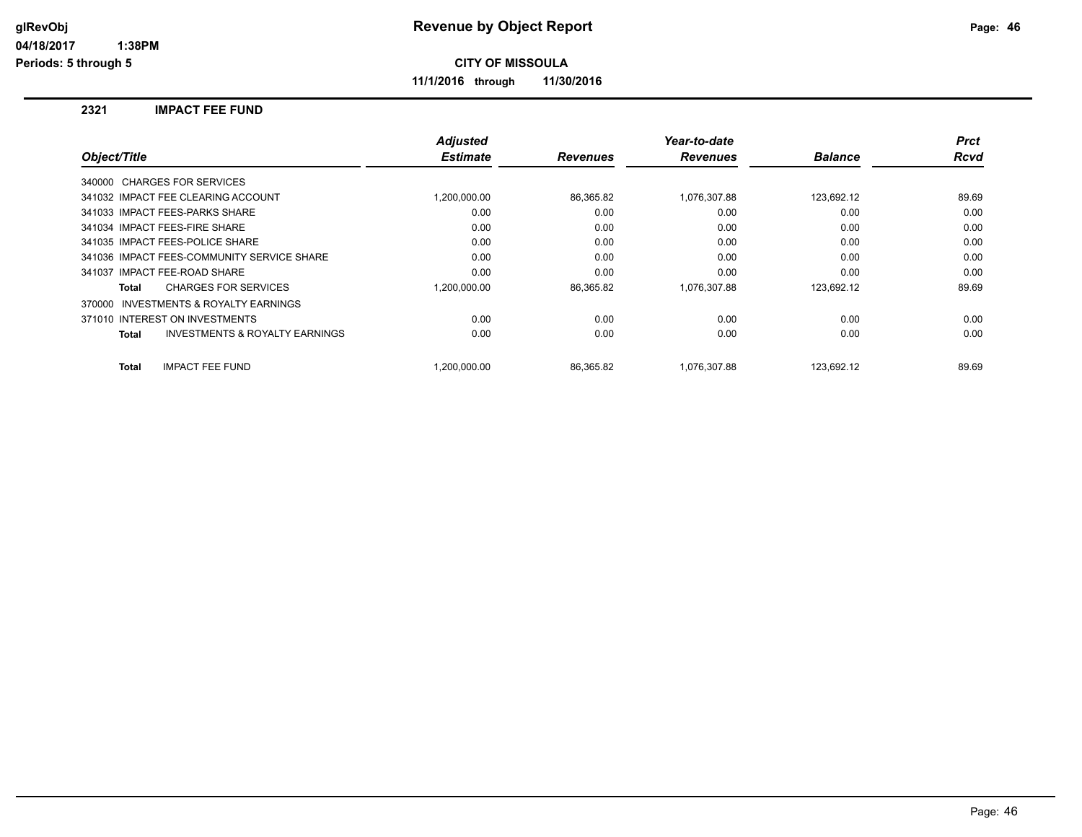**11/1/2016 through 11/30/2016**

### **2321 IMPACT FEE FUND**

|                                                     | <b>Adjusted</b> |                 | Year-to-date    |                | <b>Prct</b> |
|-----------------------------------------------------|-----------------|-----------------|-----------------|----------------|-------------|
| Object/Title                                        | <b>Estimate</b> | <b>Revenues</b> | <b>Revenues</b> | <b>Balance</b> | <b>Rcvd</b> |
| 340000 CHARGES FOR SERVICES                         |                 |                 |                 |                |             |
| 341032 IMPACT FEE CLEARING ACCOUNT                  | 1.200.000.00    | 86,365.82       | 1,076,307.88    | 123,692.12     | 89.69       |
| 341033 IMPACT FEES-PARKS SHARE                      | 0.00            | 0.00            | 0.00            | 0.00           | 0.00        |
| 341034 IMPACT FEES-FIRE SHARE                       | 0.00            | 0.00            | 0.00            | 0.00           | 0.00        |
| 341035 IMPACT FEES-POLICE SHARE                     | 0.00            | 0.00            | 0.00            | 0.00           | 0.00        |
| 341036 IMPACT FEES-COMMUNITY SERVICE SHARE          | 0.00            | 0.00            | 0.00            | 0.00           | 0.00        |
| 341037 IMPACT FEE-ROAD SHARE                        | 0.00            | 0.00            | 0.00            | 0.00           | 0.00        |
| <b>CHARGES FOR SERVICES</b><br>Total                | 1.200.000.00    | 86.365.82       | 1.076.307.88    | 123.692.12     | 89.69       |
| <b>INVESTMENTS &amp; ROYALTY EARNINGS</b><br>370000 |                 |                 |                 |                |             |
| 371010 INTEREST ON INVESTMENTS                      | 0.00            | 0.00            | 0.00            | 0.00           | 0.00        |
| INVESTMENTS & ROYALTY EARNINGS<br><b>Total</b>      | 0.00            | 0.00            | 0.00            | 0.00           | 0.00        |
| <b>IMPACT FEE FUND</b><br><b>Total</b>              | 1.200.000.00    | 86,365.82       | 1,076,307.88    | 123,692.12     | 89.69       |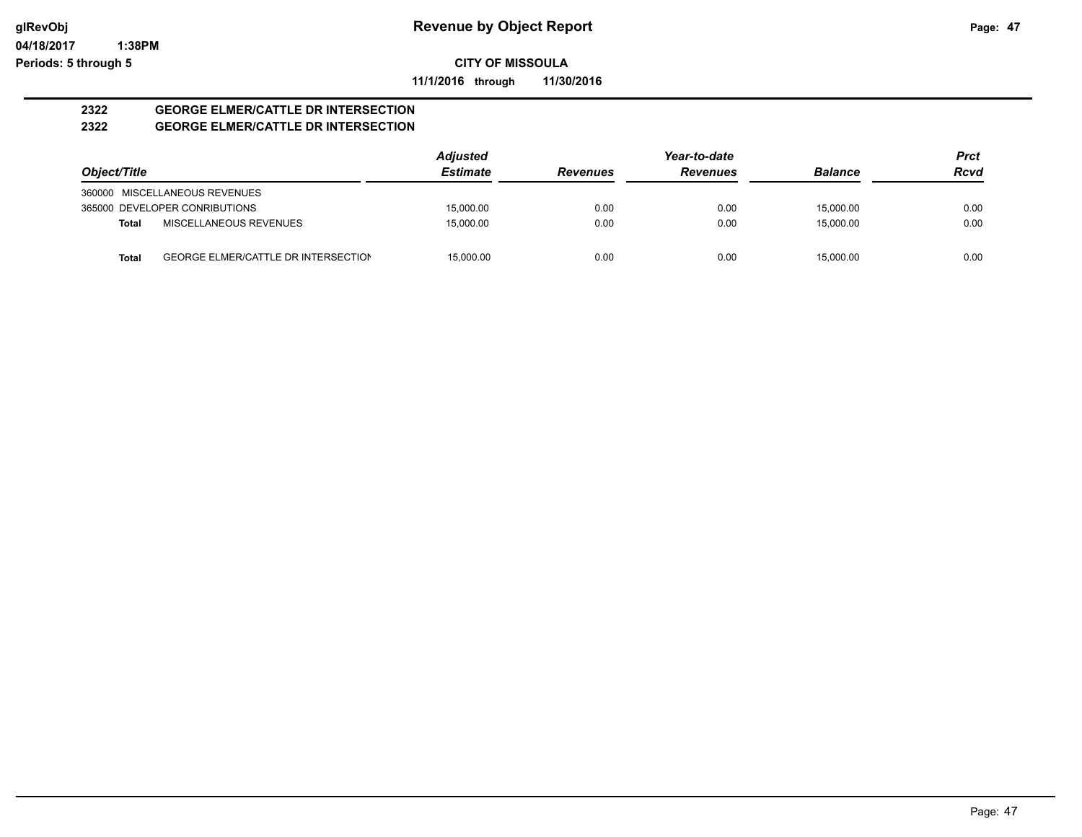**11/1/2016 through 11/30/2016**

### **2322 GEORGE ELMER/CATTLE DR INTERSECTION 2322 GEORGE ELMER/CATTLE DR INTERSECTION**

|              |                                            | <b>Adjusted</b> |                 | Year-to-date    |                | <b>Prct</b> |
|--------------|--------------------------------------------|-----------------|-----------------|-----------------|----------------|-------------|
| Object/Title |                                            | <b>Estimate</b> | <b>Revenues</b> | <b>Revenues</b> | <b>Balance</b> | <b>Rcvd</b> |
|              | 360000 MISCELLANEOUS REVENUES              |                 |                 |                 |                |             |
|              | 365000 DEVELOPER CONRIBUTIONS              | 15,000.00       | 0.00            | 0.00            | 15.000.00      | 0.00        |
| Total        | MISCELLANEOUS REVENUES                     | 15.000.00       | 0.00            | 0.00            | 15.000.00      | 0.00        |
| Total        | <b>GEORGE ELMER/CATTLE DR INTERSECTION</b> | 15,000.00       | 0.00            | 0.00            | 15.000.00      | 0.00        |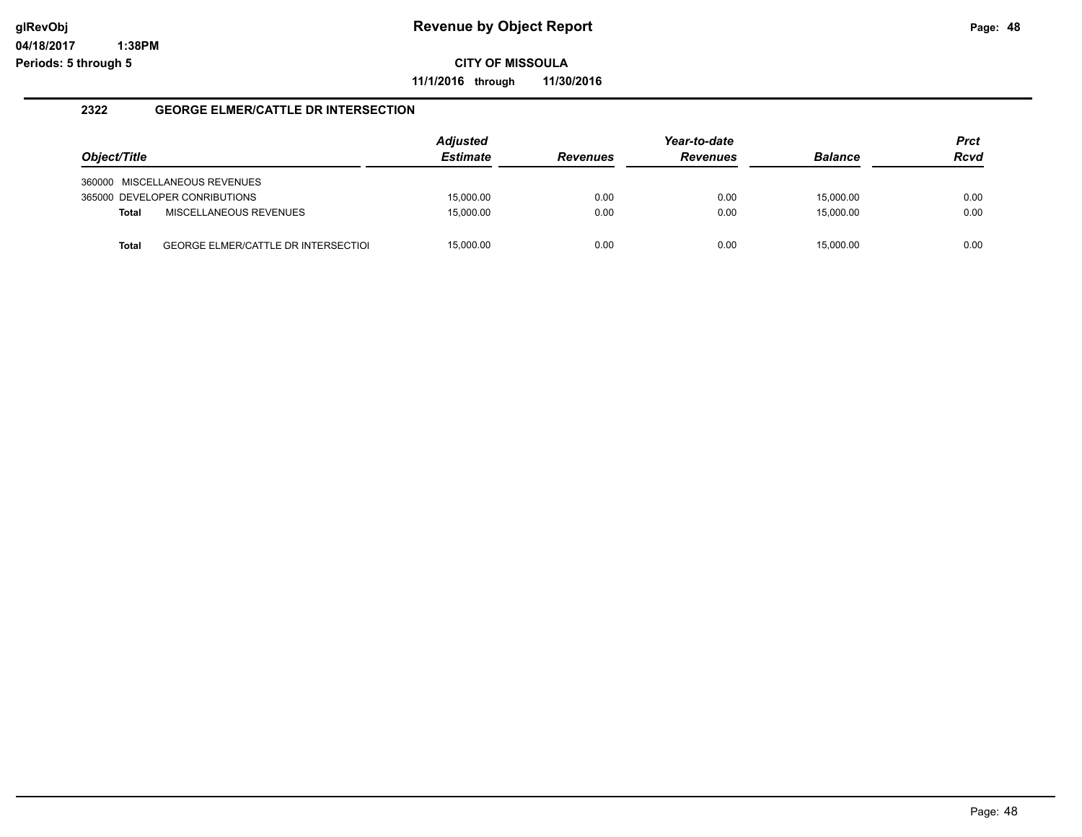**11/1/2016 through 11/30/2016**

### **2322 GEORGE ELMER/CATTLE DR INTERSECTION**

|              |                                            | <b>Adjusted</b> |                 | Year-to-date    |                | <b>Prct</b> |
|--------------|--------------------------------------------|-----------------|-----------------|-----------------|----------------|-------------|
| Object/Title |                                            | <b>Estimate</b> | <b>Revenues</b> | <b>Revenues</b> | <b>Balance</b> | Rcvd        |
|              | 360000 MISCELLANEOUS REVENUES              |                 |                 |                 |                |             |
|              | 365000 DEVELOPER CONRIBUTIONS              | 15,000.00       | 0.00            | 0.00            | 15.000.00      | 0.00        |
| <b>Total</b> | MISCELLANEOUS REVENUES                     | 15,000.00       | 0.00            | 0.00            | 15.000.00      | 0.00        |
| <b>Total</b> | <b>GEORGE ELMER/CATTLE DR INTERSECTIOL</b> | 15,000.00       | 0.00            | 0.00            | 15.000.00      | 0.00        |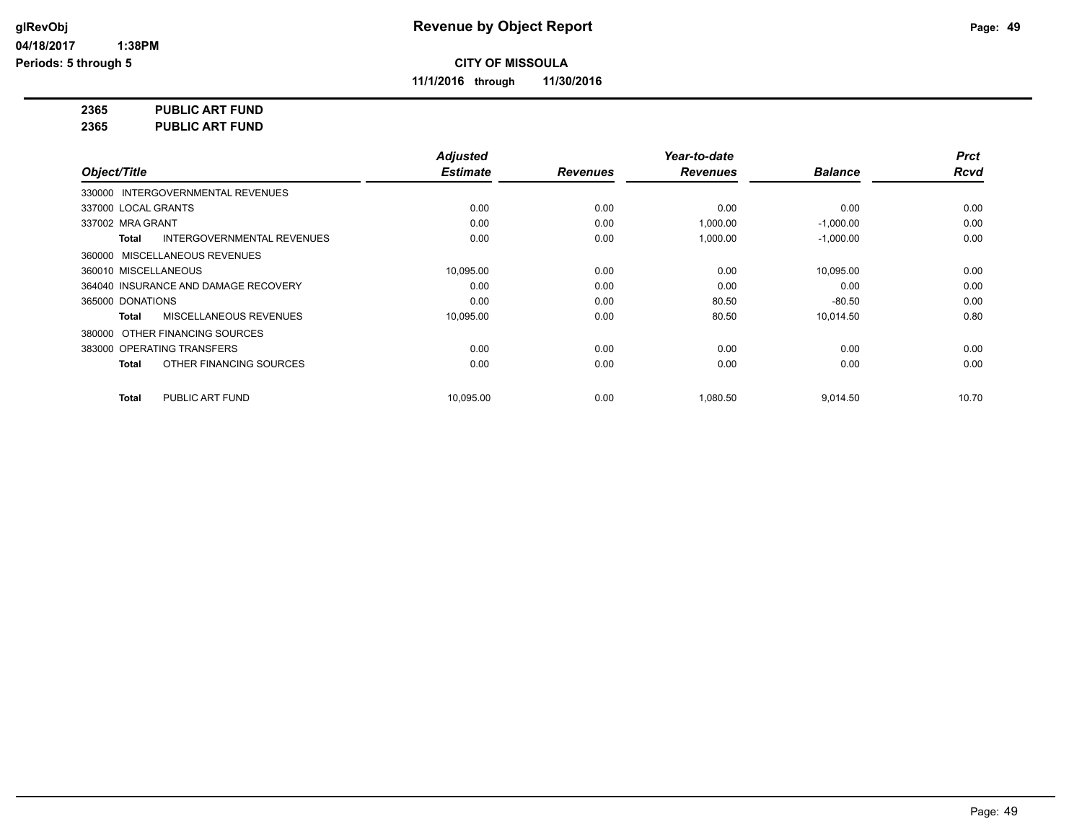**CITY OF MISSOULA 11/1/2016 through 11/30/2016**

**2365 PUBLIC ART FUND**

**2365 PUBLIC ART FUND**

|                                                   | <b>Adjusted</b> |                 | Year-to-date    |                | <b>Prct</b> |
|---------------------------------------------------|-----------------|-----------------|-----------------|----------------|-------------|
| Object/Title                                      | <b>Estimate</b> | <b>Revenues</b> | <b>Revenues</b> | <b>Balance</b> | <b>Rcvd</b> |
| 330000 INTERGOVERNMENTAL REVENUES                 |                 |                 |                 |                |             |
| 337000 LOCAL GRANTS                               | 0.00            | 0.00            | 0.00            | 0.00           | 0.00        |
| 337002 MRA GRANT                                  | 0.00            | 0.00            | 1,000.00        | $-1,000.00$    | 0.00        |
| <b>INTERGOVERNMENTAL REVENUES</b><br><b>Total</b> | 0.00            | 0.00            | 1,000.00        | $-1,000.00$    | 0.00        |
| 360000 MISCELLANEOUS REVENUES                     |                 |                 |                 |                |             |
| 360010 MISCELLANEOUS                              | 10,095.00       | 0.00            | 0.00            | 10,095.00      | 0.00        |
| 364040 INSURANCE AND DAMAGE RECOVERY              | 0.00            | 0.00            | 0.00            | 0.00           | 0.00        |
| 365000 DONATIONS                                  | 0.00            | 0.00            | 80.50           | $-80.50$       | 0.00        |
| MISCELLANEOUS REVENUES<br>Total                   | 10,095.00       | 0.00            | 80.50           | 10,014.50      | 0.80        |
| 380000 OTHER FINANCING SOURCES                    |                 |                 |                 |                |             |
| 383000 OPERATING TRANSFERS                        | 0.00            | 0.00            | 0.00            | 0.00           | 0.00        |
| OTHER FINANCING SOURCES<br>Total                  | 0.00            | 0.00            | 0.00            | 0.00           | 0.00        |
| PUBLIC ART FUND<br><b>Total</b>                   | 10,095.00       | 0.00            | 1,080.50        | 9,014.50       | 10.70       |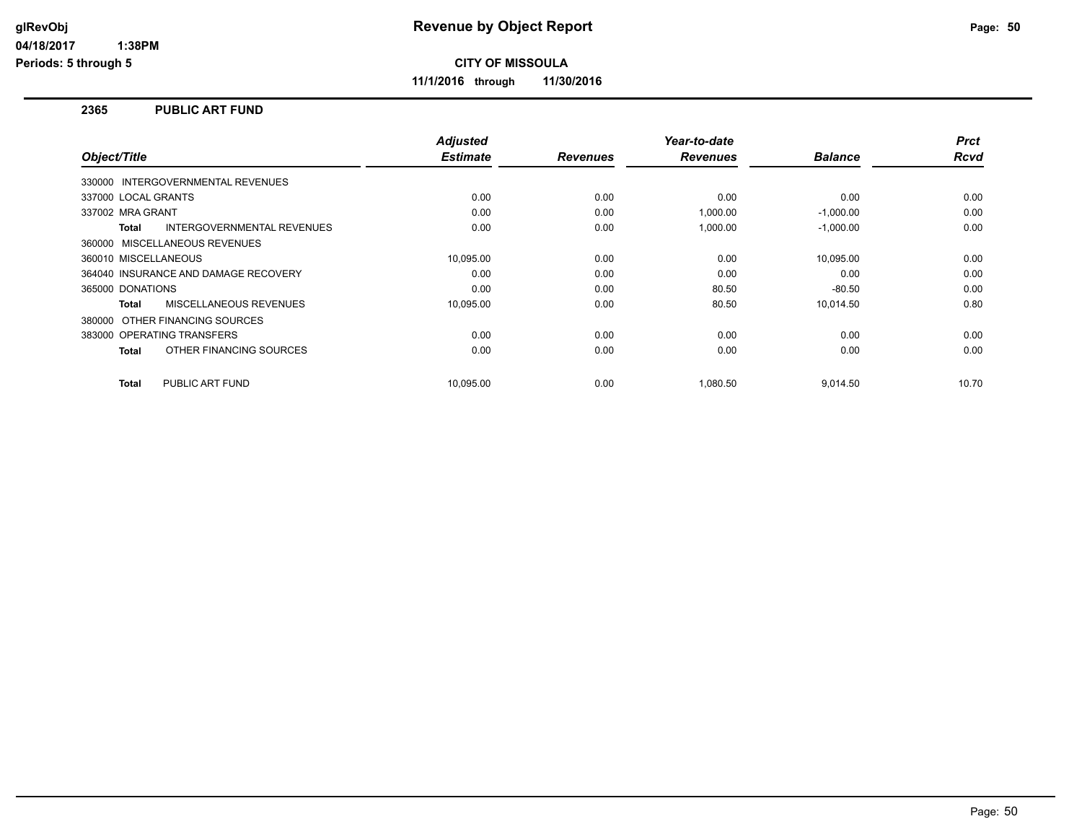**11/1/2016 through 11/30/2016**

### **2365 PUBLIC ART FUND**

|                                            | <b>Adjusted</b> |                 | Year-to-date    |                | <b>Prct</b> |
|--------------------------------------------|-----------------|-----------------|-----------------|----------------|-------------|
| Object/Title                               | <b>Estimate</b> | <b>Revenues</b> | <b>Revenues</b> | <b>Balance</b> | <b>Rcvd</b> |
| 330000 INTERGOVERNMENTAL REVENUES          |                 |                 |                 |                |             |
| 337000 LOCAL GRANTS                        | 0.00            | 0.00            | 0.00            | 0.00           | 0.00        |
| 337002 MRA GRANT                           | 0.00            | 0.00            | 1,000.00        | $-1,000.00$    | 0.00        |
| <b>INTERGOVERNMENTAL REVENUES</b><br>Total | 0.00            | 0.00            | 1,000.00        | $-1,000.00$    | 0.00        |
| 360000 MISCELLANEOUS REVENUES              |                 |                 |                 |                |             |
| 360010 MISCELLANEOUS                       | 10,095.00       | 0.00            | 0.00            | 10,095.00      | 0.00        |
| 364040 INSURANCE AND DAMAGE RECOVERY       | 0.00            | 0.00            | 0.00            | 0.00           | 0.00        |
| 365000 DONATIONS                           | 0.00            | 0.00            | 80.50           | $-80.50$       | 0.00        |
| MISCELLANEOUS REVENUES<br>Total            | 10,095.00       | 0.00            | 80.50           | 10,014.50      | 0.80        |
| 380000 OTHER FINANCING SOURCES             |                 |                 |                 |                |             |
| 383000 OPERATING TRANSFERS                 | 0.00            | 0.00            | 0.00            | 0.00           | 0.00        |
| OTHER FINANCING SOURCES<br>Total           | 0.00            | 0.00            | 0.00            | 0.00           | 0.00        |
|                                            |                 |                 |                 |                |             |
| PUBLIC ART FUND<br>Total                   | 10,095.00       | 0.00            | 1,080.50        | 9,014.50       | 10.70       |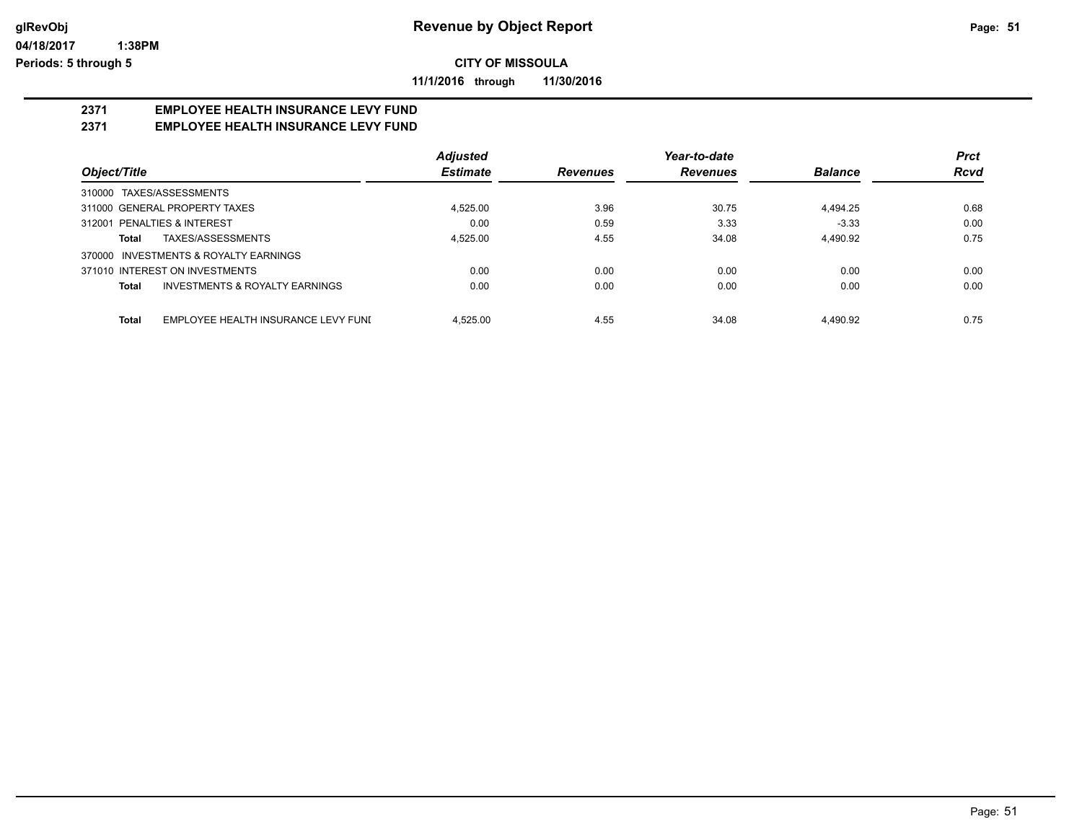**11/1/2016 through 11/30/2016**

### **2371 EMPLOYEE HEALTH INSURANCE LEVY FUND 2371 EMPLOYEE HEALTH INSURANCE LEVY FUND**

|                                                    | <b>Adjusted</b> |                 | Year-to-date    |                | <b>Prct</b> |
|----------------------------------------------------|-----------------|-----------------|-----------------|----------------|-------------|
| Object/Title                                       | <b>Estimate</b> | <b>Revenues</b> | <b>Revenues</b> | <b>Balance</b> | <b>Rcvd</b> |
| 310000 TAXES/ASSESSMENTS                           |                 |                 |                 |                |             |
| 311000 GENERAL PROPERTY TAXES                      | 4.525.00        | 3.96            | 30.75           | 4.494.25       | 0.68        |
| 312001 PENALTIES & INTEREST                        | 0.00            | 0.59            | 3.33            | $-3.33$        | 0.00        |
| TAXES/ASSESSMENTS<br>Total                         | 4.525.00        | 4.55            | 34.08           | 4.490.92       | 0.75        |
| 370000 INVESTMENTS & ROYALTY EARNINGS              |                 |                 |                 |                |             |
| 371010 INTEREST ON INVESTMENTS                     | 0.00            | 0.00            | 0.00            | 0.00           | 0.00        |
| <b>INVESTMENTS &amp; ROYALTY EARNINGS</b><br>Total | 0.00            | 0.00            | 0.00            | 0.00           | 0.00        |
|                                                    |                 |                 |                 |                |             |
| Total<br>EMPLOYEE HEALTH INSURANCE LEVY FUNI       | 4.525.00        | 4.55            | 34.08           | 4.490.92       | 0.75        |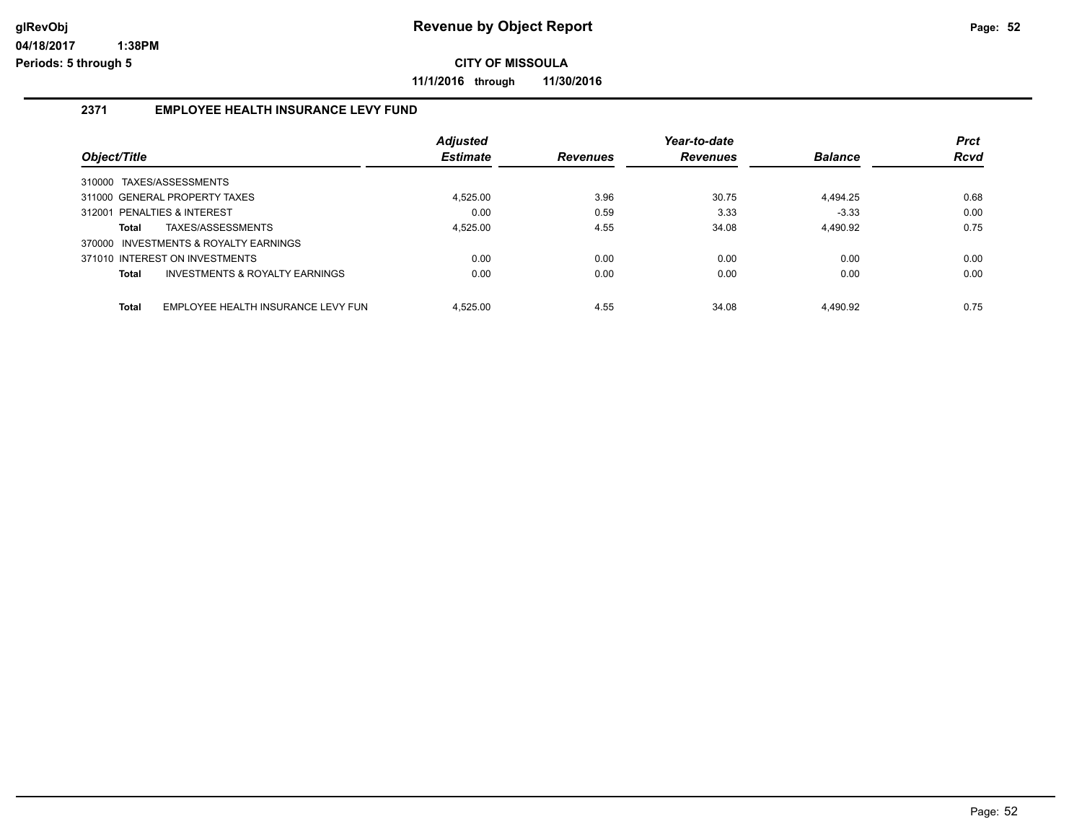**11/1/2016 through 11/30/2016**

### **2371 EMPLOYEE HEALTH INSURANCE LEVY FUND**

|              |                                       | <b>Adjusted</b> |                 | Year-to-date    |                | <b>Prct</b> |
|--------------|---------------------------------------|-----------------|-----------------|-----------------|----------------|-------------|
| Object/Title |                                       | <b>Estimate</b> | <b>Revenues</b> | <b>Revenues</b> | <b>Balance</b> | <b>Rcvd</b> |
|              | 310000 TAXES/ASSESSMENTS              |                 |                 |                 |                |             |
|              | 311000 GENERAL PROPERTY TAXES         | 4.525.00        | 3.96            | 30.75           | 4.494.25       | 0.68        |
|              | 312001 PENALTIES & INTEREST           | 0.00            | 0.59            | 3.33            | $-3.33$        | 0.00        |
| Total        | TAXES/ASSESSMENTS                     | 4.525.00        | 4.55            | 34.08           | 4.490.92       | 0.75        |
|              | 370000 INVESTMENTS & ROYALTY EARNINGS |                 |                 |                 |                |             |
|              | 371010 INTEREST ON INVESTMENTS        | 0.00            | 0.00            | 0.00            | 0.00           | 0.00        |
| <b>Total</b> | INVESTMENTS & ROYALTY EARNINGS        | 0.00            | 0.00            | 0.00            | 0.00           | 0.00        |
| <b>Total</b> | EMPLOYEE HEALTH INSURANCE LEVY FUN    | 4.525.00        | 4.55            | 34.08           | 4.490.92       | 0.75        |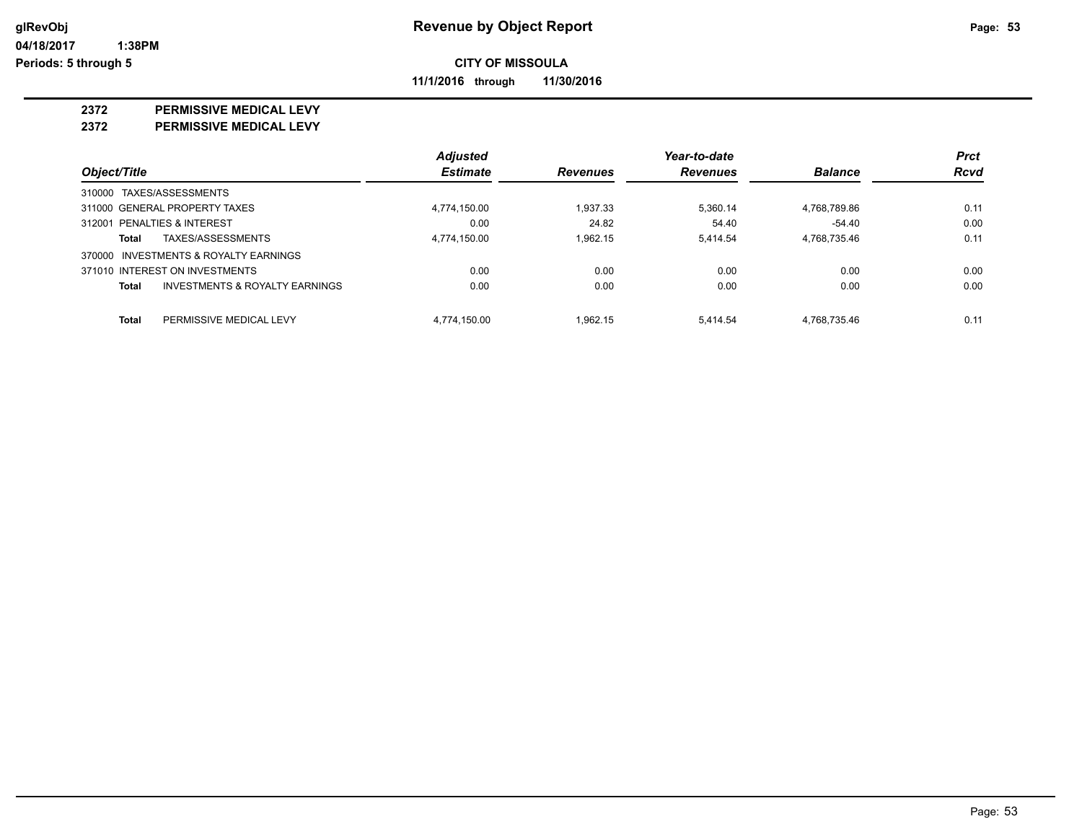**CITY OF MISSOULA 11/1/2016 through 11/30/2016**

**2372 PERMISSIVE MEDICAL LEVY**

**2372 PERMISSIVE MEDICAL LEVY**

|                                       |                                           | <b>Adjusted</b> |                 | Year-to-date    |                | <b>Prct</b> |
|---------------------------------------|-------------------------------------------|-----------------|-----------------|-----------------|----------------|-------------|
| Object/Title                          |                                           | <b>Estimate</b> | <b>Revenues</b> | <b>Revenues</b> | <b>Balance</b> | <b>Rcvd</b> |
| 310000 TAXES/ASSESSMENTS              |                                           |                 |                 |                 |                |             |
| 311000 GENERAL PROPERTY TAXES         |                                           | 4,774,150.00    | 1.937.33        | 5,360.14        | 4,768,789.86   | 0.11        |
| 312001 PENALTIES & INTEREST           |                                           | 0.00            | 24.82           | 54.40           | $-54.40$       | 0.00        |
| Total                                 | TAXES/ASSESSMENTS                         | 4.774.150.00    | 1.962.15        | 5.414.54        | 4.768.735.46   | 0.11        |
| 370000 INVESTMENTS & ROYALTY EARNINGS |                                           |                 |                 |                 |                |             |
| 371010 INTEREST ON INVESTMENTS        |                                           | 0.00            | 0.00            | 0.00            | 0.00           | 0.00        |
| <b>Total</b>                          | <b>INVESTMENTS &amp; ROYALTY EARNINGS</b> | 0.00            | 0.00            | 0.00            | 0.00           | 0.00        |
| Total                                 | PERMISSIVE MEDICAL LEVY                   | 4.774.150.00    | 1.962.15        | 5.414.54        | 4.768.735.46   | 0.11        |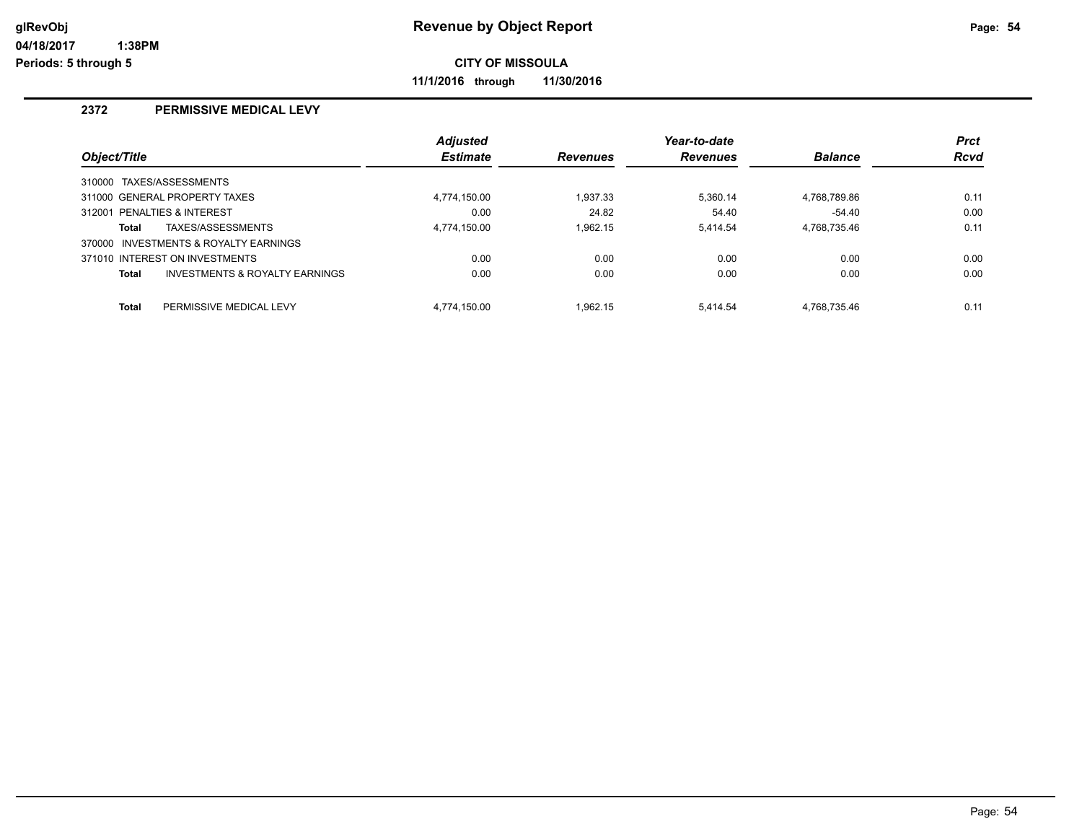**11/1/2016 through 11/30/2016**

### **2372 PERMISSIVE MEDICAL LEVY**

|              |                                           | <b>Adjusted</b> |                 | Year-to-date    |                | <b>Prct</b> |
|--------------|-------------------------------------------|-----------------|-----------------|-----------------|----------------|-------------|
| Object/Title |                                           | <b>Estimate</b> | <b>Revenues</b> | <b>Revenues</b> | <b>Balance</b> | <b>Rcvd</b> |
|              | 310000 TAXES/ASSESSMENTS                  |                 |                 |                 |                |             |
|              | 311000 GENERAL PROPERTY TAXES             | 4,774,150.00    | 1.937.33        | 5.360.14        | 4,768,789.86   | 0.11        |
|              | 312001 PENALTIES & INTEREST               | 0.00            | 24.82           | 54.40           | $-54.40$       | 0.00        |
| Total        | TAXES/ASSESSMENTS                         | 4,774,150.00    | 1.962.15        | 5.414.54        | 4,768,735.46   | 0.11        |
| 370000       | INVESTMENTS & ROYALTY EARNINGS            |                 |                 |                 |                |             |
|              | 371010 INTEREST ON INVESTMENTS            | 0.00            | 0.00            | 0.00            | 0.00           | 0.00        |
| Total        | <b>INVESTMENTS &amp; ROYALTY EARNINGS</b> | 0.00            | 0.00            | 0.00            | 0.00           | 0.00        |
| Total        | PERMISSIVE MEDICAL LEVY                   | 4.774.150.00    | 1.962.15        | 5.414.54        | 4.768.735.46   | 0.11        |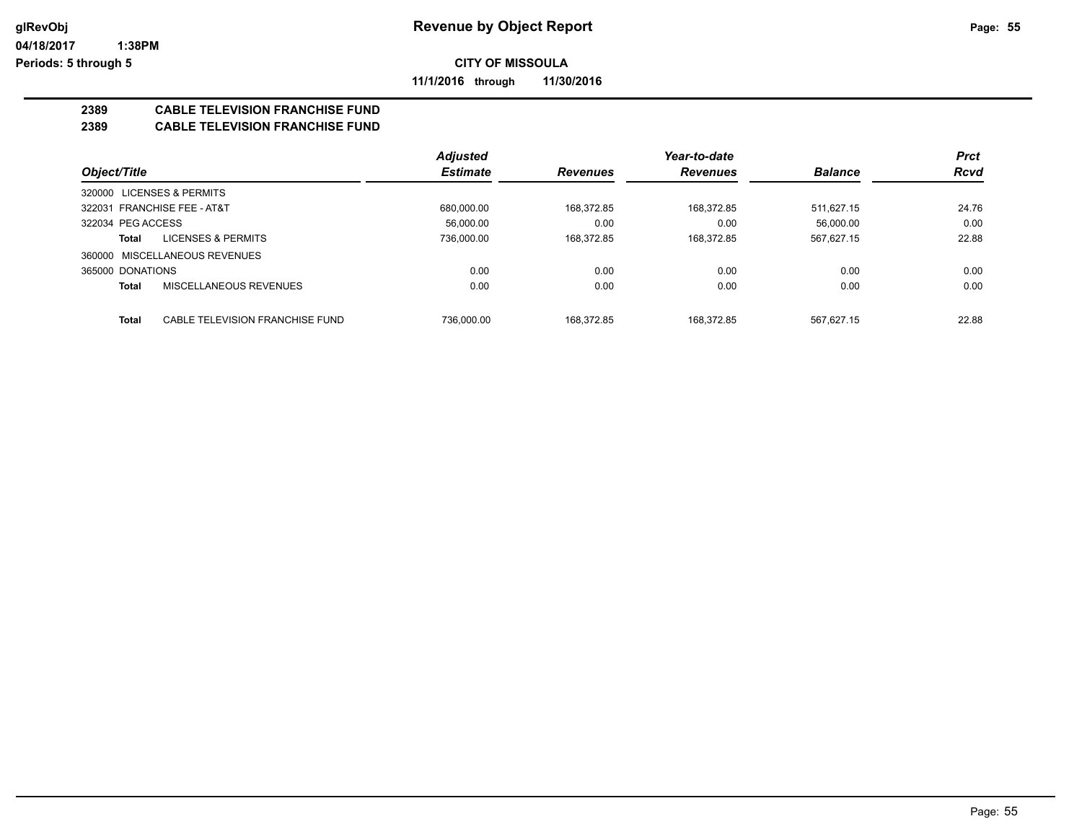**11/1/2016 through 11/30/2016**

### **2389 CABLE TELEVISION FRANCHISE FUND 2389 CABLE TELEVISION FRANCHISE FUND**

|                   |                                 | <b>Adjusted</b> |                 | Year-to-date    |                | Prct        |
|-------------------|---------------------------------|-----------------|-----------------|-----------------|----------------|-------------|
| Object/Title      |                                 | <b>Estimate</b> | <b>Revenues</b> | <b>Revenues</b> | <b>Balance</b> | <b>Rcvd</b> |
|                   | 320000 LICENSES & PERMITS       |                 |                 |                 |                |             |
|                   | 322031 FRANCHISE FEE - AT&T     | 680.000.00      | 168.372.85      | 168.372.85      | 511.627.15     | 24.76       |
| 322034 PEG ACCESS |                                 | 56.000.00       | 0.00            | 0.00            | 56.000.00      | 0.00        |
| Total             | <b>LICENSES &amp; PERMITS</b>   | 736.000.00      | 168.372.85      | 168.372.85      | 567.627.15     | 22.88       |
|                   | 360000 MISCELLANEOUS REVENUES   |                 |                 |                 |                |             |
| 365000 DONATIONS  |                                 | 0.00            | 0.00            | 0.00            | 0.00           | 0.00        |
| Total             | MISCELLANEOUS REVENUES          | 0.00            | 0.00            | 0.00            | 0.00           | 0.00        |
| Total             | CABLE TELEVISION FRANCHISE FUND | 736.000.00      | 168.372.85      | 168.372.85      | 567.627.15     | 22.88       |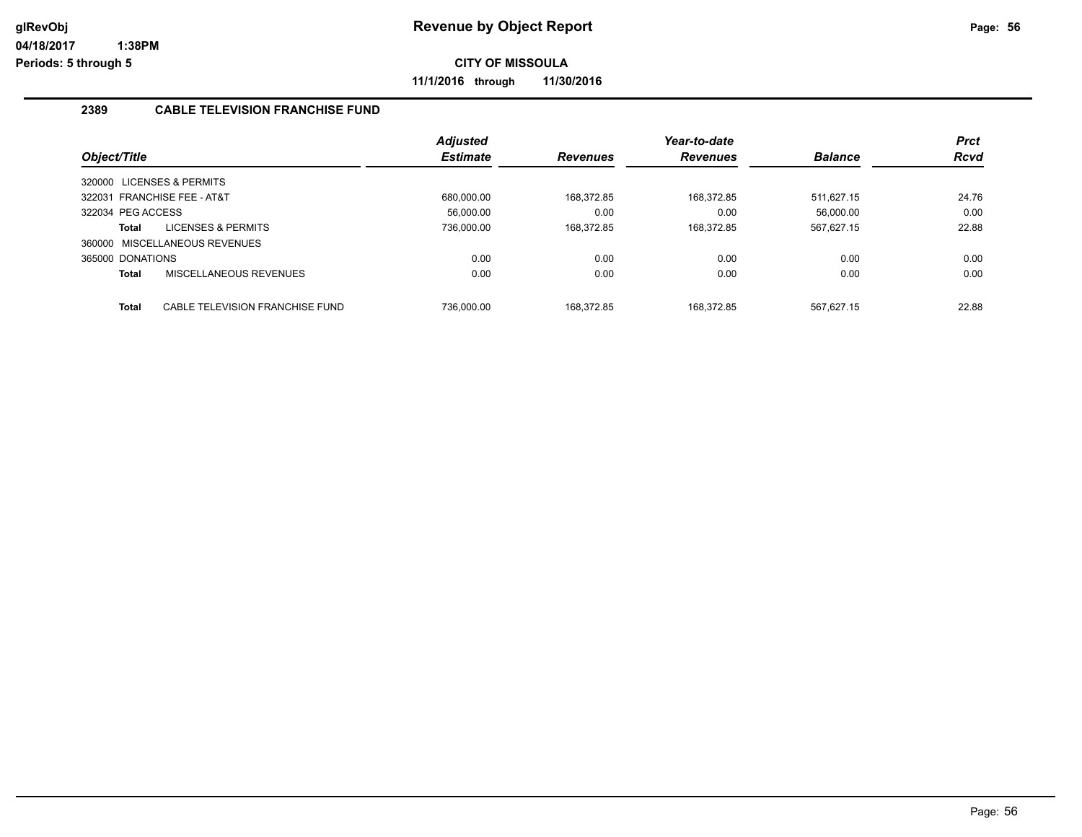**11/1/2016 through 11/30/2016**

### **2389 CABLE TELEVISION FRANCHISE FUND**

|                                                 | <b>Adjusted</b> |                 | Year-to-date    |                | <b>Prct</b> |
|-------------------------------------------------|-----------------|-----------------|-----------------|----------------|-------------|
| Object/Title                                    | <b>Estimate</b> | <b>Revenues</b> | <b>Revenues</b> | <b>Balance</b> | <b>Rcvd</b> |
| 320000 LICENSES & PERMITS                       |                 |                 |                 |                |             |
| 322031 FRANCHISE FEE - AT&T                     | 680.000.00      | 168.372.85      | 168.372.85      | 511.627.15     | 24.76       |
| 322034 PEG ACCESS                               | 56.000.00       | 0.00            | 0.00            | 56.000.00      | 0.00        |
| <b>LICENSES &amp; PERMITS</b><br>Total          | 736.000.00      | 168.372.85      | 168.372.85      | 567.627.15     | 22.88       |
| 360000 MISCELLANEOUS REVENUES                   |                 |                 |                 |                |             |
| 365000 DONATIONS                                | 0.00            | 0.00            | 0.00            | 0.00           | 0.00        |
| <b>MISCELLANEOUS REVENUES</b><br><b>Total</b>   | 0.00            | 0.00            | 0.00            | 0.00           | 0.00        |
|                                                 |                 |                 |                 |                |             |
| <b>Total</b><br>CABLE TELEVISION FRANCHISE FUND | 736.000.00      | 168.372.85      | 168.372.85      | 567.627.15     | 22.88       |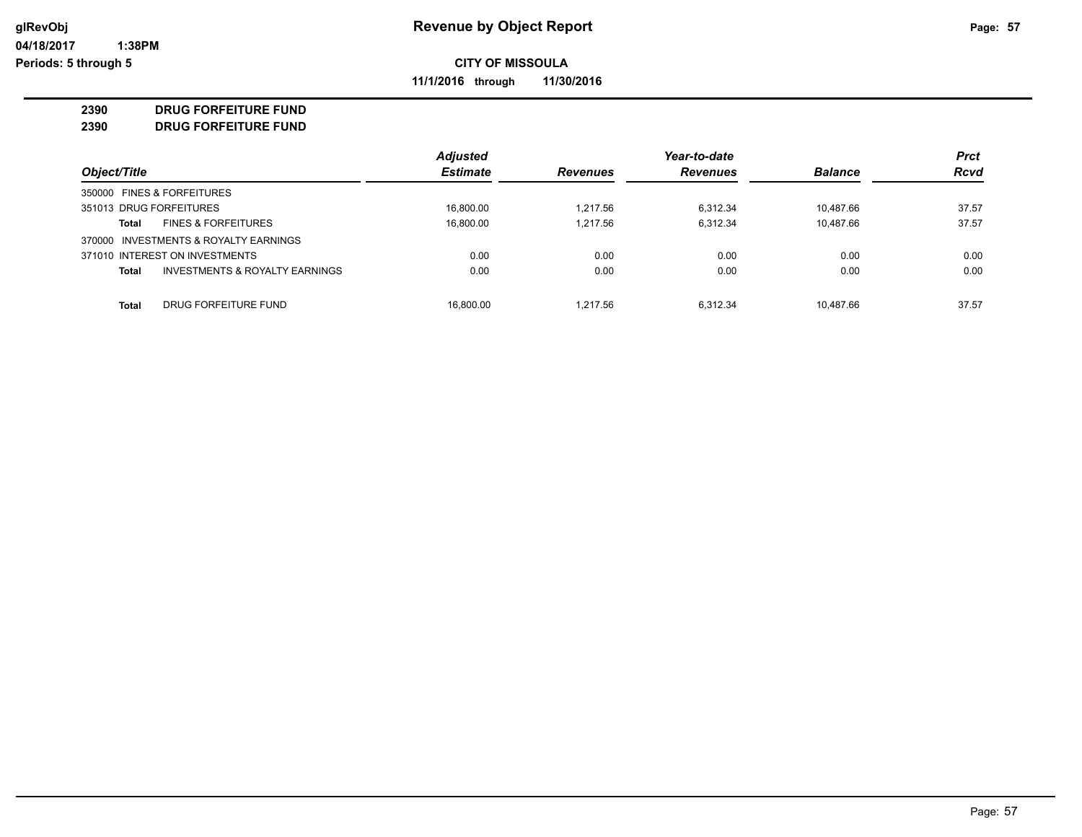**11/1/2016 through 11/30/2016**

**2390 DRUG FORFEITURE FUND 2390 DRUG FORFEITURE FUND**

|                                         | <b>Adjusted</b> |                 | Year-to-date    |                | <b>Prct</b> |
|-----------------------------------------|-----------------|-----------------|-----------------|----------------|-------------|
| Object/Title                            | <b>Estimate</b> | <b>Revenues</b> | <b>Revenues</b> | <b>Balance</b> | <b>Rcvd</b> |
| 350000 FINES & FORFEITURES              |                 |                 |                 |                |             |
| 351013 DRUG FORFEITURES                 | 16,800.00       | 1.217.56        | 6.312.34        | 10,487.66      | 37.57       |
| <b>FINES &amp; FORFEITURES</b><br>Total | 16,800.00       | 1.217.56        | 6,312.34        | 10,487.66      | 37.57       |
| 370000 INVESTMENTS & ROYALTY EARNINGS   |                 |                 |                 |                |             |
| 371010 INTEREST ON INVESTMENTS          | 0.00            | 0.00            | 0.00            | 0.00           | 0.00        |
| INVESTMENTS & ROYALTY EARNINGS<br>Total | 0.00            | 0.00            | 0.00            | 0.00           | 0.00        |
| DRUG FORFEITURE FUND<br>Total           | 16.800.00       | 1.217.56        | 6.312.34        | 10.487.66      | 37.57       |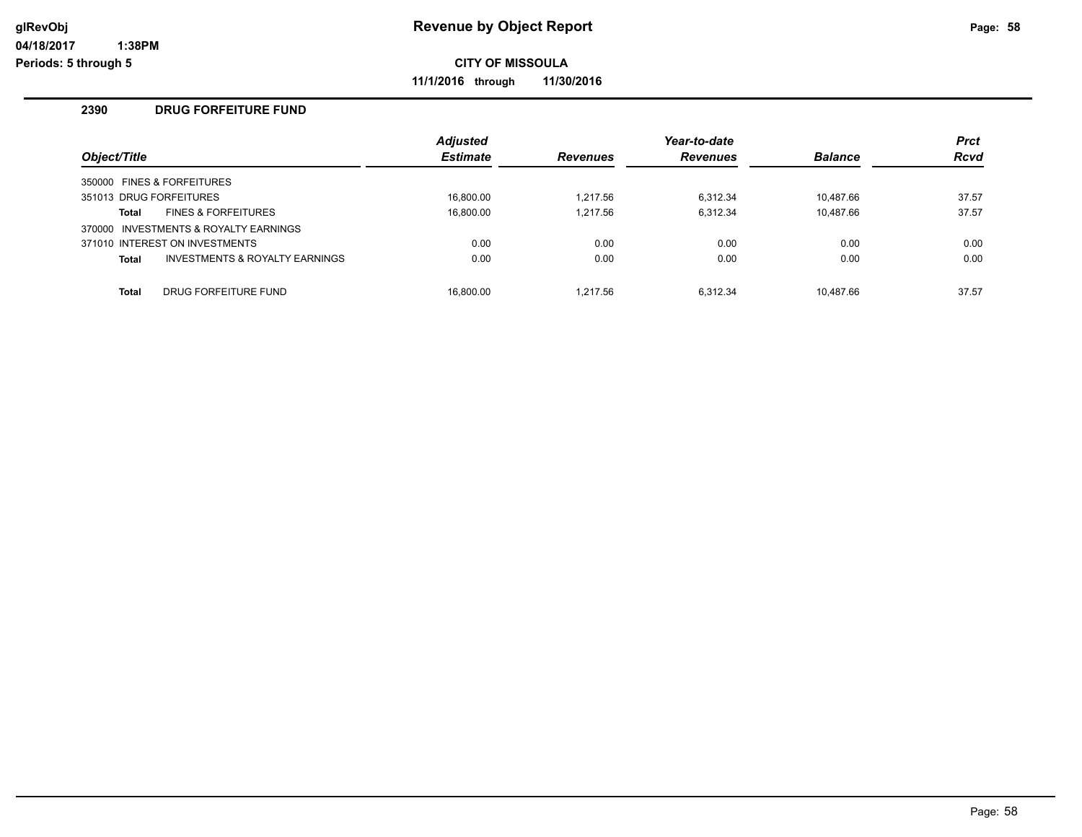**11/1/2016 through 11/30/2016**

### **2390 DRUG FORFEITURE FUND**

|                         |                                       | <b>Adjusted</b> | Year-to-date    |                 |                | <b>Prct</b> |
|-------------------------|---------------------------------------|-----------------|-----------------|-----------------|----------------|-------------|
| Object/Title            |                                       | <b>Estimate</b> | <b>Revenues</b> | <b>Revenues</b> | <b>Balance</b> | <b>Rcvd</b> |
|                         | 350000 FINES & FORFEITURES            |                 |                 |                 |                |             |
| 351013 DRUG FORFEITURES |                                       | 16.800.00       | 1,217.56        | 6.312.34        | 10.487.66      | 37.57       |
| <b>Total</b>            | <b>FINES &amp; FORFEITURES</b>        | 16,800.00       | 1,217.56        | 6.312.34        | 10,487.66      | 37.57       |
|                         | 370000 INVESTMENTS & ROYALTY EARNINGS |                 |                 |                 |                |             |
|                         | 371010 INTEREST ON INVESTMENTS        | 0.00            | 0.00            | 0.00            | 0.00           | 0.00        |
| <b>Total</b>            | INVESTMENTS & ROYALTY EARNINGS        | 0.00            | 0.00            | 0.00            | 0.00           | 0.00        |
| <b>Total</b>            | DRUG FORFEITURE FUND                  | 16.800.00       | 1.217.56        | 6.312.34        | 10.487.66      | 37.57       |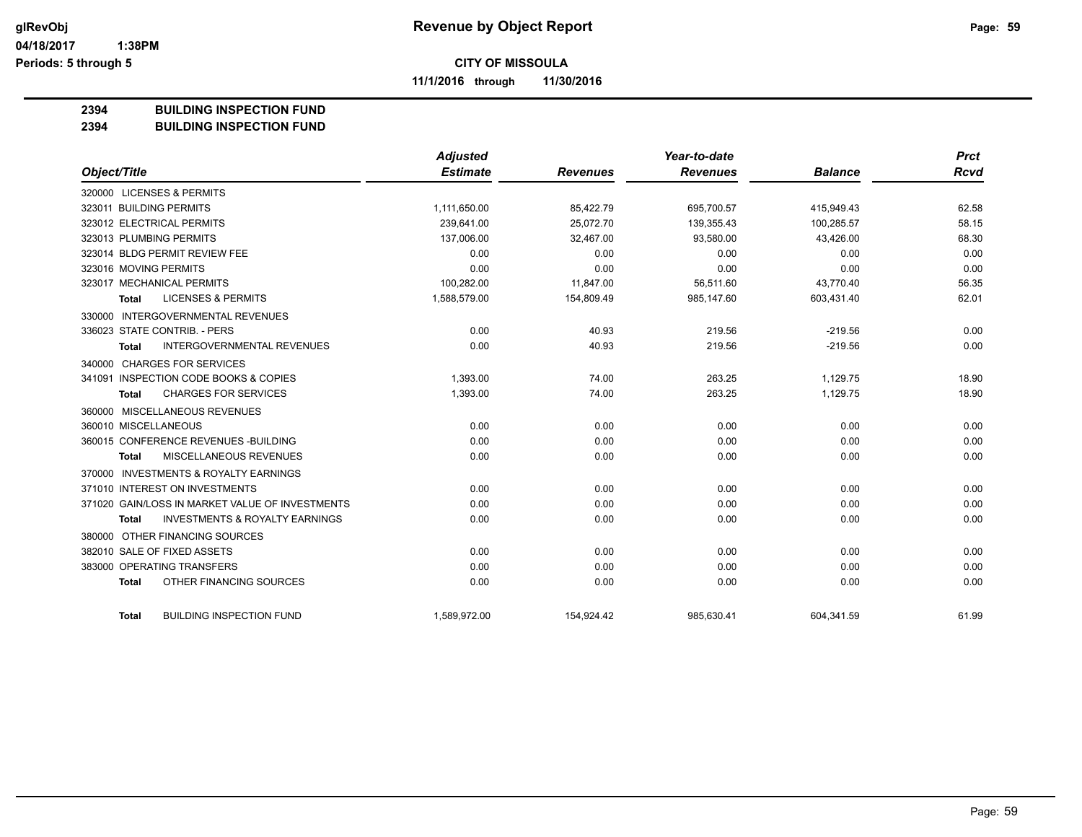**11/1/2016 through 11/30/2016**

**2394 BUILDING INSPECTION FUND 2394 BUILDING INSPECTION FUND**

|                                                           | <b>Adjusted</b> |                 | Year-to-date    |                | <b>Prct</b> |
|-----------------------------------------------------------|-----------------|-----------------|-----------------|----------------|-------------|
| Object/Title                                              | <b>Estimate</b> | <b>Revenues</b> | <b>Revenues</b> | <b>Balance</b> | <b>Rcvd</b> |
| 320000 LICENSES & PERMITS                                 |                 |                 |                 |                |             |
| 323011 BUILDING PERMITS                                   | 1,111,650.00    | 85,422.79       | 695,700.57      | 415,949.43     | 62.58       |
| 323012 ELECTRICAL PERMITS                                 | 239,641.00      | 25,072.70       | 139,355.43      | 100,285.57     | 58.15       |
| 323013 PLUMBING PERMITS                                   | 137,006.00      | 32,467.00       | 93,580.00       | 43,426.00      | 68.30       |
| 323014 BLDG PERMIT REVIEW FEE                             | 0.00            | 0.00            | 0.00            | 0.00           | 0.00        |
| 323016 MOVING PERMITS                                     | 0.00            | 0.00            | 0.00            | 0.00           | 0.00        |
| 323017 MECHANICAL PERMITS                                 | 100.282.00      | 11,847.00       | 56.511.60       | 43,770.40      | 56.35       |
| <b>LICENSES &amp; PERMITS</b><br><b>Total</b>             | 1,588,579.00    | 154,809.49      | 985,147.60      | 603,431.40     | 62.01       |
| 330000 INTERGOVERNMENTAL REVENUES                         |                 |                 |                 |                |             |
| 336023 STATE CONTRIB. - PERS                              | 0.00            | 40.93           | 219.56          | $-219.56$      | 0.00        |
| <b>INTERGOVERNMENTAL REVENUES</b><br>Total                | 0.00            | 40.93           | 219.56          | $-219.56$      | 0.00        |
| 340000 CHARGES FOR SERVICES                               |                 |                 |                 |                |             |
| 341091 INSPECTION CODE BOOKS & COPIES                     | 1.393.00        | 74.00           | 263.25          | 1,129.75       | 18.90       |
| <b>CHARGES FOR SERVICES</b><br><b>Total</b>               | 1,393.00        | 74.00           | 263.25          | 1,129.75       | 18.90       |
| 360000 MISCELLANEOUS REVENUES                             |                 |                 |                 |                |             |
| 360010 MISCELLANEOUS                                      | 0.00            | 0.00            | 0.00            | 0.00           | 0.00        |
| 360015 CONFERENCE REVENUES - BUILDING                     | 0.00            | 0.00            | 0.00            | 0.00           | 0.00        |
| MISCELLANEOUS REVENUES<br>Total                           | 0.00            | 0.00            | 0.00            | 0.00           | 0.00        |
| 370000 INVESTMENTS & ROYALTY EARNINGS                     |                 |                 |                 |                |             |
| 371010 INTEREST ON INVESTMENTS                            | 0.00            | 0.00            | 0.00            | 0.00           | 0.00        |
| 371020 GAIN/LOSS IN MARKET VALUE OF INVESTMENTS           | 0.00            | 0.00            | 0.00            | 0.00           | 0.00        |
| <b>INVESTMENTS &amp; ROYALTY EARNINGS</b><br><b>Total</b> | 0.00            | 0.00            | 0.00            | 0.00           | 0.00        |
| 380000 OTHER FINANCING SOURCES                            |                 |                 |                 |                |             |
| 382010 SALE OF FIXED ASSETS                               | 0.00            | 0.00            | 0.00            | 0.00           | 0.00        |
| 383000 OPERATING TRANSFERS                                | 0.00            | 0.00            | 0.00            | 0.00           | 0.00        |
| OTHER FINANCING SOURCES<br><b>Total</b>                   | 0.00            | 0.00            | 0.00            | 0.00           | 0.00        |
| <b>BUILDING INSPECTION FUND</b><br><b>Total</b>           | 1,589,972.00    | 154,924.42      | 985,630.41      | 604,341.59     | 61.99       |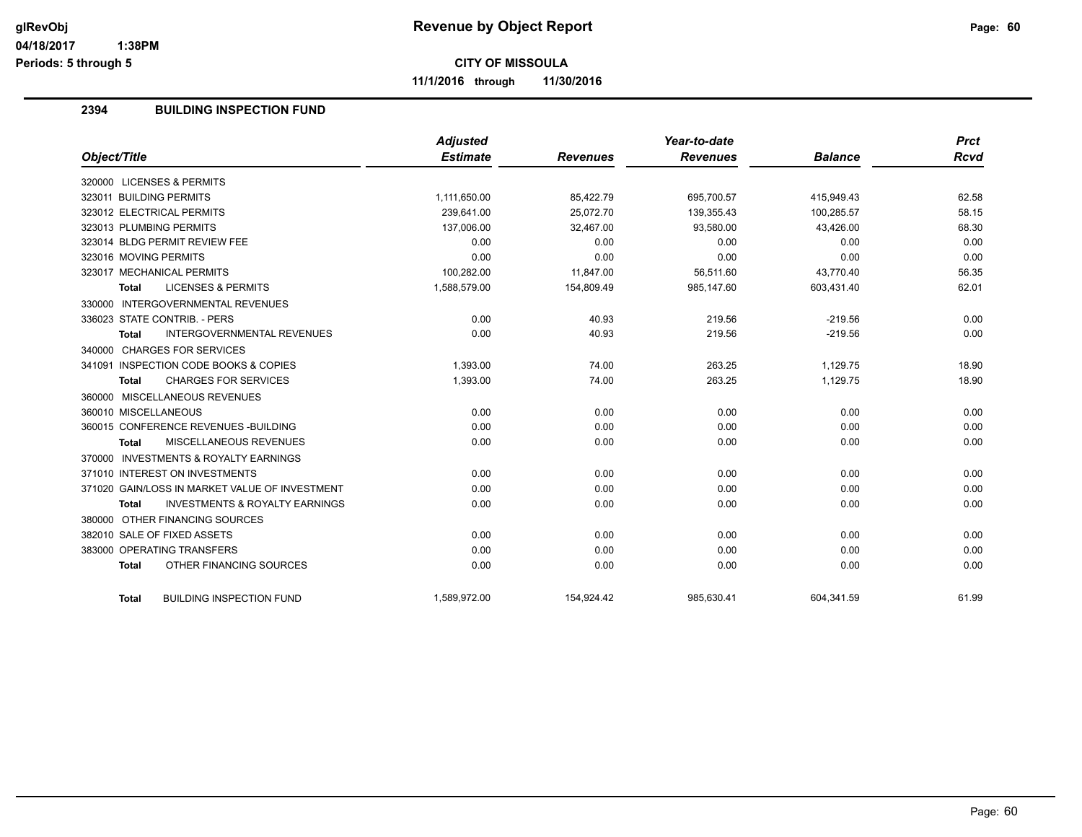**11/1/2016 through 11/30/2016**

### **2394 BUILDING INSPECTION FUND**

|                                                           | <b>Adjusted</b> |                 | Year-to-date    |                | <b>Prct</b> |
|-----------------------------------------------------------|-----------------|-----------------|-----------------|----------------|-------------|
| Object/Title                                              | <b>Estimate</b> | <b>Revenues</b> | <b>Revenues</b> | <b>Balance</b> | Rcvd        |
| 320000 LICENSES & PERMITS                                 |                 |                 |                 |                |             |
| 323011 BUILDING PERMITS                                   | 1,111,650.00    | 85,422.79       | 695,700.57      | 415,949.43     | 62.58       |
| 323012 ELECTRICAL PERMITS                                 | 239.641.00      | 25.072.70       | 139.355.43      | 100,285.57     | 58.15       |
| 323013 PLUMBING PERMITS                                   | 137.006.00      | 32.467.00       | 93.580.00       | 43.426.00      | 68.30       |
| 323014 BLDG PERMIT REVIEW FEE                             | 0.00            | 0.00            | 0.00            | 0.00           | 0.00        |
| 323016 MOVING PERMITS                                     | 0.00            | 0.00            | 0.00            | 0.00           | 0.00        |
| 323017 MECHANICAL PERMITS                                 | 100,282.00      | 11,847.00       | 56,511.60       | 43,770.40      | 56.35       |
| <b>LICENSES &amp; PERMITS</b><br><b>Total</b>             | 1,588,579.00    | 154,809.49      | 985,147.60      | 603,431.40     | 62.01       |
| 330000 INTERGOVERNMENTAL REVENUES                         |                 |                 |                 |                |             |
| 336023 STATE CONTRIB. - PERS                              | 0.00            | 40.93           | 219.56          | $-219.56$      | 0.00        |
| INTERGOVERNMENTAL REVENUES<br><b>Total</b>                | 0.00            | 40.93           | 219.56          | $-219.56$      | 0.00        |
| 340000 CHARGES FOR SERVICES                               |                 |                 |                 |                |             |
| 341091 INSPECTION CODE BOOKS & COPIES                     | 1.393.00        | 74.00           | 263.25          | 1,129.75       | 18.90       |
| <b>CHARGES FOR SERVICES</b><br><b>Total</b>               | 1,393.00        | 74.00           | 263.25          | 1,129.75       | 18.90       |
| 360000 MISCELLANEOUS REVENUES                             |                 |                 |                 |                |             |
| 360010 MISCELLANEOUS                                      | 0.00            | 0.00            | 0.00            | 0.00           | 0.00        |
| 360015 CONFERENCE REVENUES - BUILDING                     | 0.00            | 0.00            | 0.00            | 0.00           | 0.00        |
| MISCELLANEOUS REVENUES<br>Total                           | 0.00            | 0.00            | 0.00            | 0.00           | 0.00        |
| 370000 INVESTMENTS & ROYALTY EARNINGS                     |                 |                 |                 |                |             |
| 371010 INTEREST ON INVESTMENTS                            | 0.00            | 0.00            | 0.00            | 0.00           | 0.00        |
| 371020 GAIN/LOSS IN MARKET VALUE OF INVESTMENT            | 0.00            | 0.00            | 0.00            | 0.00           | 0.00        |
| <b>INVESTMENTS &amp; ROYALTY EARNINGS</b><br><b>Total</b> | 0.00            | 0.00            | 0.00            | 0.00           | 0.00        |
| 380000 OTHER FINANCING SOURCES                            |                 |                 |                 |                |             |
| 382010 SALE OF FIXED ASSETS                               | 0.00            | 0.00            | 0.00            | 0.00           | 0.00        |
| 383000 OPERATING TRANSFERS                                | 0.00            | 0.00            | 0.00            | 0.00           | 0.00        |
| OTHER FINANCING SOURCES<br><b>Total</b>                   | 0.00            | 0.00            | 0.00            | 0.00           | 0.00        |
| <b>BUILDING INSPECTION FUND</b><br><b>Total</b>           | 1,589,972.00    | 154,924.42      | 985.630.41      | 604.341.59     | 61.99       |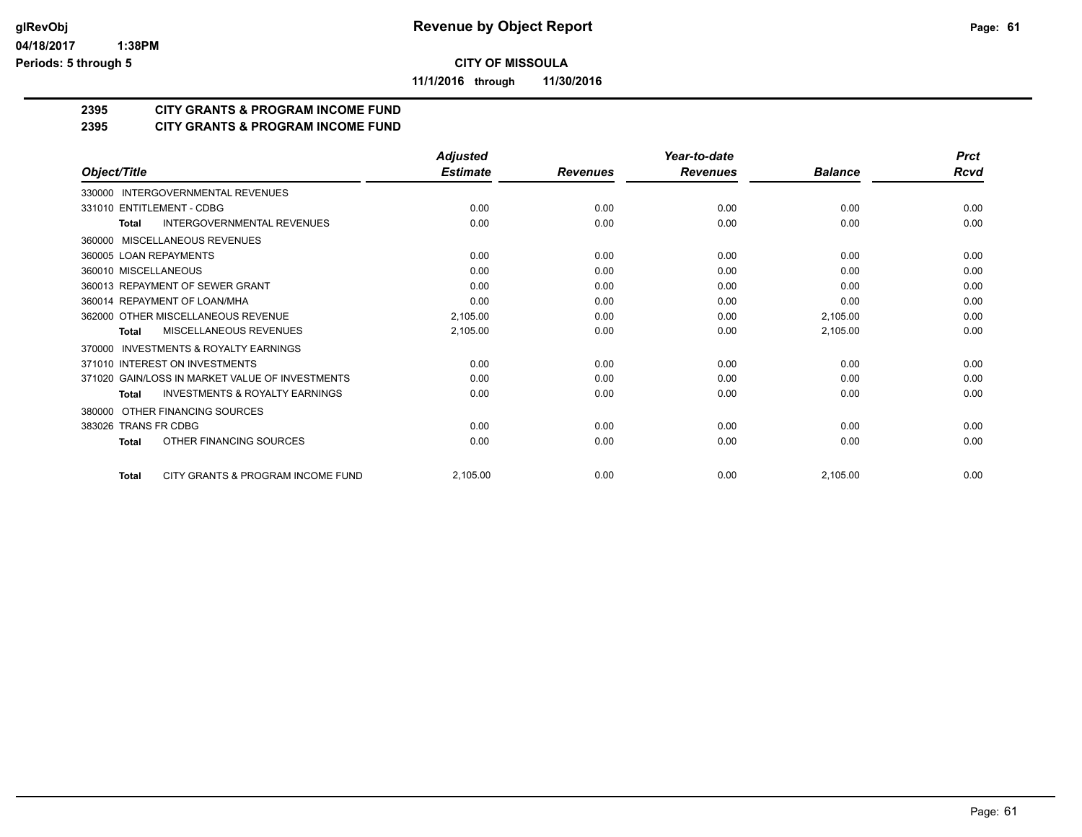**11/1/2016 through 11/30/2016**

### **2395 CITY GRANTS & PROGRAM INCOME FUND 2395 CITY GRANTS & PROGRAM INCOME FUND**

|                                                           | <b>Adjusted</b> |                 | Year-to-date    |                | <b>Prct</b> |
|-----------------------------------------------------------|-----------------|-----------------|-----------------|----------------|-------------|
| Object/Title                                              | <b>Estimate</b> | <b>Revenues</b> | <b>Revenues</b> | <b>Balance</b> | <b>Rcvd</b> |
| <b>INTERGOVERNMENTAL REVENUES</b><br>330000               |                 |                 |                 |                |             |
| 331010 ENTITLEMENT - CDBG                                 | 0.00            | 0.00            | 0.00            | 0.00           | 0.00        |
| <b>INTERGOVERNMENTAL REVENUES</b><br>Total                | 0.00            | 0.00            | 0.00            | 0.00           | 0.00        |
| MISCELLANEOUS REVENUES<br>360000                          |                 |                 |                 |                |             |
| 360005 LOAN REPAYMENTS                                    | 0.00            | 0.00            | 0.00            | 0.00           | 0.00        |
| 360010 MISCELLANEOUS                                      | 0.00            | 0.00            | 0.00            | 0.00           | 0.00        |
| 360013 REPAYMENT OF SEWER GRANT                           | 0.00            | 0.00            | 0.00            | 0.00           | 0.00        |
| 360014 REPAYMENT OF LOAN/MHA                              | 0.00            | 0.00            | 0.00            | 0.00           | 0.00        |
| 362000 OTHER MISCELLANEOUS REVENUE                        | 2,105.00        | 0.00            | 0.00            | 2,105.00       | 0.00        |
| MISCELLANEOUS REVENUES<br>Total                           | 2,105.00        | 0.00            | 0.00            | 2,105.00       | 0.00        |
| <b>INVESTMENTS &amp; ROYALTY EARNINGS</b><br>370000       |                 |                 |                 |                |             |
| 371010 INTEREST ON INVESTMENTS                            | 0.00            | 0.00            | 0.00            | 0.00           | 0.00        |
| 371020 GAIN/LOSS IN MARKET VALUE OF INVESTMENTS           | 0.00            | 0.00            | 0.00            | 0.00           | 0.00        |
| <b>INVESTMENTS &amp; ROYALTY EARNINGS</b><br><b>Total</b> | 0.00            | 0.00            | 0.00            | 0.00           | 0.00        |
| OTHER FINANCING SOURCES<br>380000                         |                 |                 |                 |                |             |
| <b>TRANS FR CDBG</b><br>383026                            | 0.00            | 0.00            | 0.00            | 0.00           | 0.00        |
| OTHER FINANCING SOURCES<br>Total                          | 0.00            | 0.00            | 0.00            | 0.00           | 0.00        |
| CITY GRANTS & PROGRAM INCOME FUND<br><b>Total</b>         | 2,105.00        | 0.00            | 0.00            | 2,105.00       | 0.00        |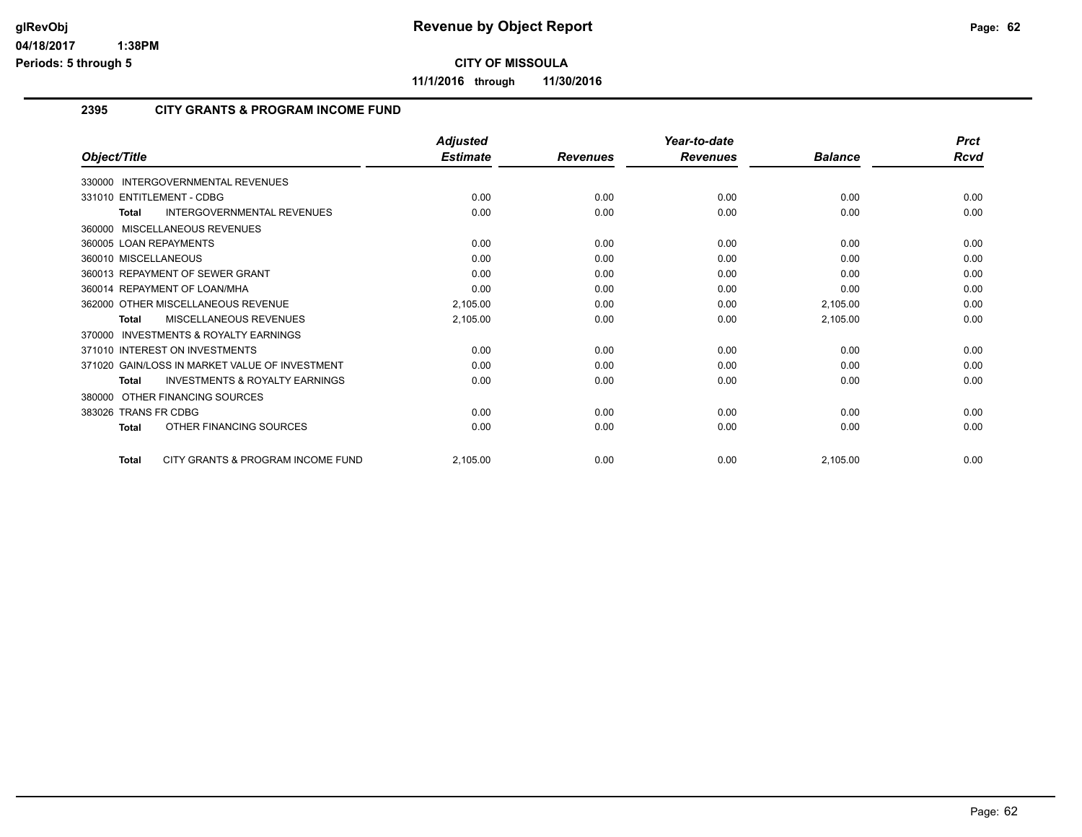**11/1/2016 through 11/30/2016**

### **2395 CITY GRANTS & PROGRAM INCOME FUND**

|                                                           | <b>Adjusted</b> |                 | Year-to-date    |                | <b>Prct</b> |
|-----------------------------------------------------------|-----------------|-----------------|-----------------|----------------|-------------|
| Object/Title                                              | <b>Estimate</b> | <b>Revenues</b> | <b>Revenues</b> | <b>Balance</b> | <b>Rcvd</b> |
| 330000 INTERGOVERNMENTAL REVENUES                         |                 |                 |                 |                |             |
| 331010 ENTITLEMENT - CDBG                                 | 0.00            | 0.00            | 0.00            | 0.00           | 0.00        |
| <b>INTERGOVERNMENTAL REVENUES</b><br>Total                | 0.00            | 0.00            | 0.00            | 0.00           | 0.00        |
| 360000 MISCELLANEOUS REVENUES                             |                 |                 |                 |                |             |
| 360005 LOAN REPAYMENTS                                    | 0.00            | 0.00            | 0.00            | 0.00           | 0.00        |
| 360010 MISCELLANEOUS                                      | 0.00            | 0.00            | 0.00            | 0.00           | 0.00        |
| 360013 REPAYMENT OF SEWER GRANT                           | 0.00            | 0.00            | 0.00            | 0.00           | 0.00        |
| 360014 REPAYMENT OF LOAN/MHA                              | 0.00            | 0.00            | 0.00            | 0.00           | 0.00        |
| 362000 OTHER MISCELLANEOUS REVENUE                        | 2,105.00        | 0.00            | 0.00            | 2,105.00       | 0.00        |
| MISCELLANEOUS REVENUES<br><b>Total</b>                    | 2,105.00        | 0.00            | 0.00            | 2,105.00       | 0.00        |
| 370000 INVESTMENTS & ROYALTY EARNINGS                     |                 |                 |                 |                |             |
| 371010 INTEREST ON INVESTMENTS                            | 0.00            | 0.00            | 0.00            | 0.00           | 0.00        |
| 371020 GAIN/LOSS IN MARKET VALUE OF INVESTMENT            | 0.00            | 0.00            | 0.00            | 0.00           | 0.00        |
| <b>INVESTMENTS &amp; ROYALTY EARNINGS</b><br><b>Total</b> | 0.00            | 0.00            | 0.00            | 0.00           | 0.00        |
| 380000 OTHER FINANCING SOURCES                            |                 |                 |                 |                |             |
| 383026 TRANS FR CDBG                                      | 0.00            | 0.00            | 0.00            | 0.00           | 0.00        |
| OTHER FINANCING SOURCES<br><b>Total</b>                   | 0.00            | 0.00            | 0.00            | 0.00           | 0.00        |
| CITY GRANTS & PROGRAM INCOME FUND<br><b>Total</b>         | 2,105.00        | 0.00            | 0.00            | 2,105.00       | 0.00        |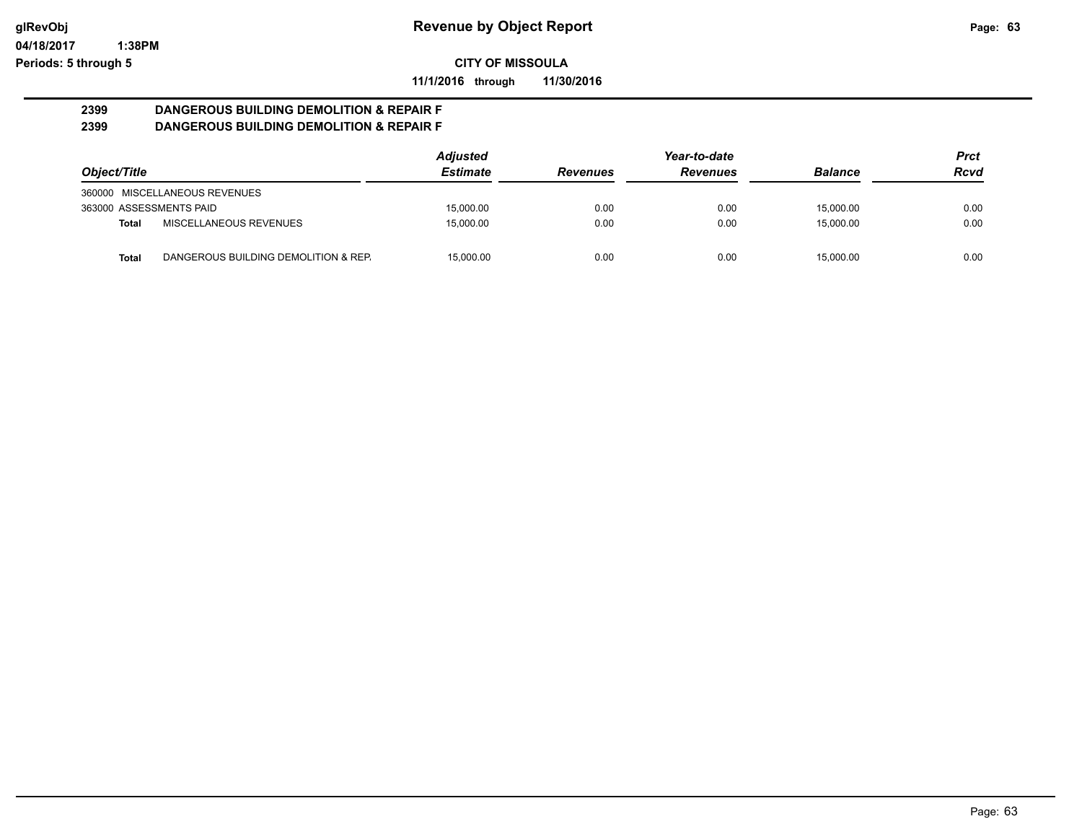**11/1/2016 through 11/30/2016**

### **2399 DANGEROUS BUILDING DEMOLITION & REPAIR F 2399 DANGEROUS BUILDING DEMOLITION & REPAIR F**

|                         |                                      | <b>Adjusted</b> |                 |                 | <b>Prct</b>    |             |
|-------------------------|--------------------------------------|-----------------|-----------------|-----------------|----------------|-------------|
| Object/Title            |                                      | <b>Estimate</b> | <b>Revenues</b> | <b>Revenues</b> | <b>Balance</b> | <b>Rcvd</b> |
|                         | 360000 MISCELLANEOUS REVENUES        |                 |                 |                 |                |             |
| 363000 ASSESSMENTS PAID |                                      | 15,000.00       | 0.00            | 0.00            | 15,000.00      | 0.00        |
| Total                   | MISCELLANEOUS REVENUES               | 15,000.00       | 0.00            | 0.00            | 15,000.00      | 0.00        |
| <b>Total</b>            | DANGEROUS BUILDING DEMOLITION & REP. | 15.000.00       | 0.00            | 0.00            | 15.000.00      | 0.00        |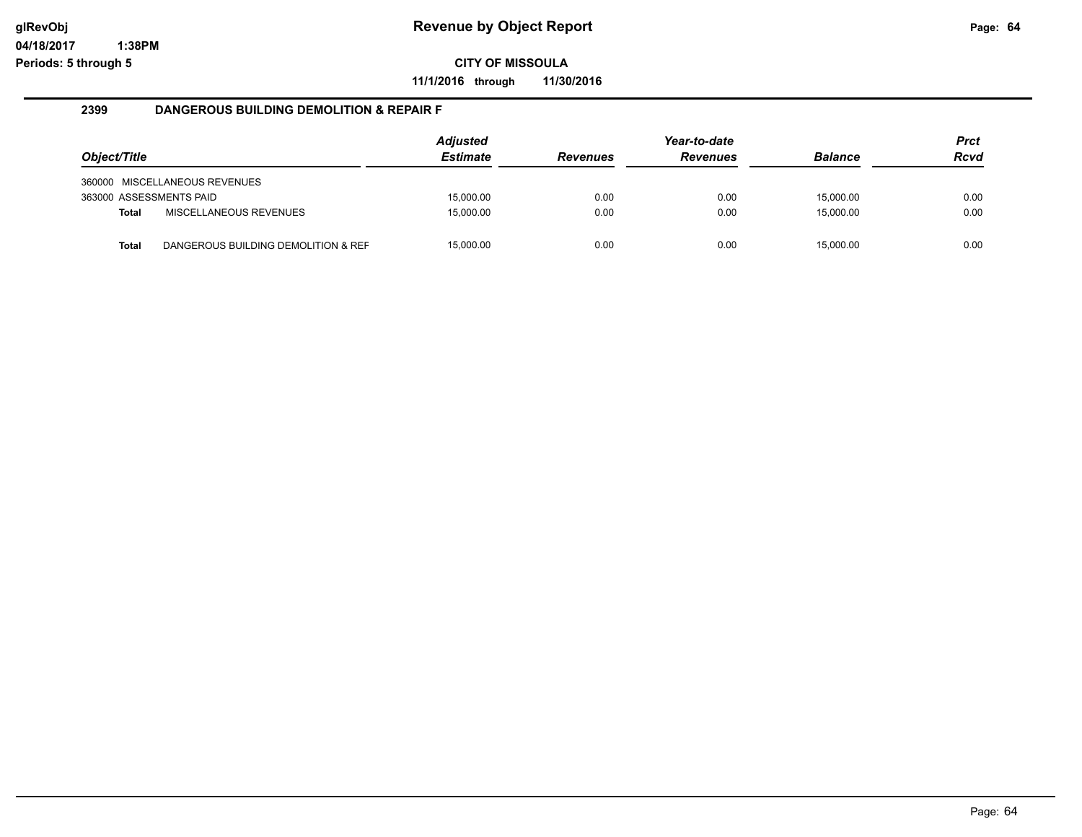**11/1/2016 through 11/30/2016**

### **2399 DANGEROUS BUILDING DEMOLITION & REPAIR F**

|                         |                                     | <b>Adjusted</b> |                 | Year-to-date    |                | <b>Prct</b> |
|-------------------------|-------------------------------------|-----------------|-----------------|-----------------|----------------|-------------|
| Object/Title            |                                     | <b>Estimate</b> | <b>Revenues</b> | <b>Revenues</b> | <b>Balance</b> | <b>Rcvd</b> |
|                         | 360000 MISCELLANEOUS REVENUES       |                 |                 |                 |                |             |
| 363000 ASSESSMENTS PAID |                                     | 15.000.00       | 0.00            | 0.00            | 15,000.00      | 0.00        |
| <b>Total</b>            | MISCELLANEOUS REVENUES              | 15,000.00       | 0.00            | 0.00            | 15,000.00      | 0.00        |
| Total                   | DANGEROUS BUILDING DEMOLITION & REF | 15.000.00       | 0.00            | 0.00            | 15,000.00      | 0.00        |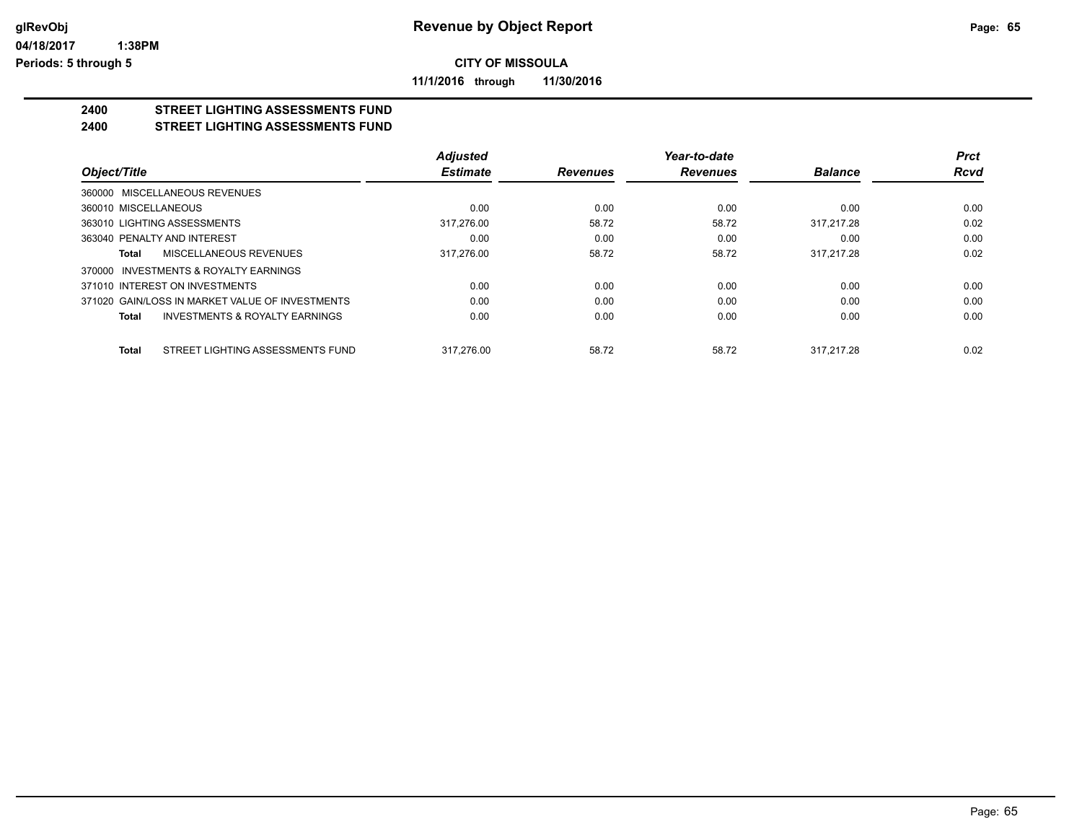**11/1/2016 through 11/30/2016**

### **2400 STREET LIGHTING ASSESSMENTS FUND 2400 STREET LIGHTING ASSESSMENTS FUND**

|                                                  | <b>Adjusted</b> |                 | Year-to-date    |                | <b>Prct</b> |
|--------------------------------------------------|-----------------|-----------------|-----------------|----------------|-------------|
| Object/Title                                     | <b>Estimate</b> | <b>Revenues</b> | <b>Revenues</b> | <b>Balance</b> | <b>Rcvd</b> |
| 360000 MISCELLANEOUS REVENUES                    |                 |                 |                 |                |             |
| 360010 MISCELLANEOUS                             | 0.00            | 0.00            | 0.00            | 0.00           | 0.00        |
| 363010 LIGHTING ASSESSMENTS                      | 317.276.00      | 58.72           | 58.72           | 317.217.28     | 0.02        |
| 363040 PENALTY AND INTEREST                      | 0.00            | 0.00            | 0.00            | 0.00           | 0.00        |
| MISCELLANEOUS REVENUES<br>Total                  | 317.276.00      | 58.72           | 58.72           | 317.217.28     | 0.02        |
| INVESTMENTS & ROYALTY EARNINGS<br>370000         |                 |                 |                 |                |             |
| 371010 INTEREST ON INVESTMENTS                   | 0.00            | 0.00            | 0.00            | 0.00           | 0.00        |
| 371020 GAIN/LOSS IN MARKET VALUE OF INVESTMENTS  | 0.00            | 0.00            | 0.00            | 0.00           | 0.00        |
| INVESTMENTS & ROYALTY EARNINGS<br>Total          | 0.00            | 0.00            | 0.00            | 0.00           | 0.00        |
|                                                  |                 |                 |                 |                |             |
| STREET LIGHTING ASSESSMENTS FUND<br><b>Total</b> | 317.276.00      | 58.72           | 58.72           | 317.217.28     | 0.02        |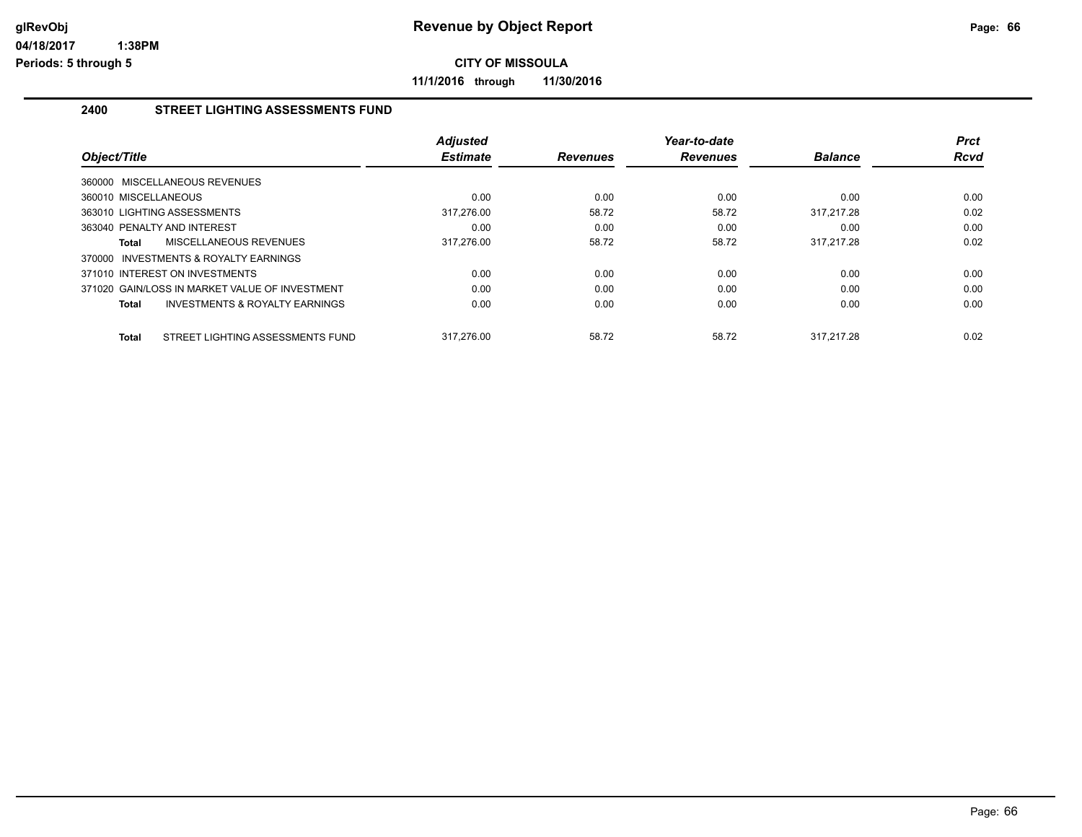**11/1/2016 through 11/30/2016**

### **2400 STREET LIGHTING ASSESSMENTS FUND**

| Object/Title                                              | <b>Adjusted</b><br><b>Estimate</b> | <b>Revenues</b> | Year-to-date<br><b>Revenues</b> | <b>Balance</b> | <b>Prct</b><br>Rcvd |
|-----------------------------------------------------------|------------------------------------|-----------------|---------------------------------|----------------|---------------------|
| 360000 MISCELLANEOUS REVENUES                             |                                    |                 |                                 |                |                     |
| 360010 MISCELLANEOUS                                      | 0.00                               | 0.00            | 0.00                            | 0.00           | 0.00                |
| 363010 LIGHTING ASSESSMENTS                               | 317.276.00                         | 58.72           | 58.72                           | 317.217.28     | 0.02                |
| 363040 PENALTY AND INTEREST                               | 0.00                               | 0.00            | 0.00                            | 0.00           | 0.00                |
| <b>MISCELLANEOUS REVENUES</b><br>Total                    | 317,276.00                         | 58.72           | 58.72                           | 317.217.28     | 0.02                |
| 370000 INVESTMENTS & ROYALTY EARNINGS                     |                                    |                 |                                 |                |                     |
| 371010 INTEREST ON INVESTMENTS                            | 0.00                               | 0.00            | 0.00                            | 0.00           | 0.00                |
| 371020 GAIN/LOSS IN MARKET VALUE OF INVESTMENT            | 0.00                               | 0.00            | 0.00                            | 0.00           | 0.00                |
| <b>INVESTMENTS &amp; ROYALTY EARNINGS</b><br><b>Total</b> | 0.00                               | 0.00            | 0.00                            | 0.00           | 0.00                |
| STREET LIGHTING ASSESSMENTS FUND<br><b>Total</b>          | 317.276.00                         | 58.72           | 58.72                           | 317.217.28     | 0.02                |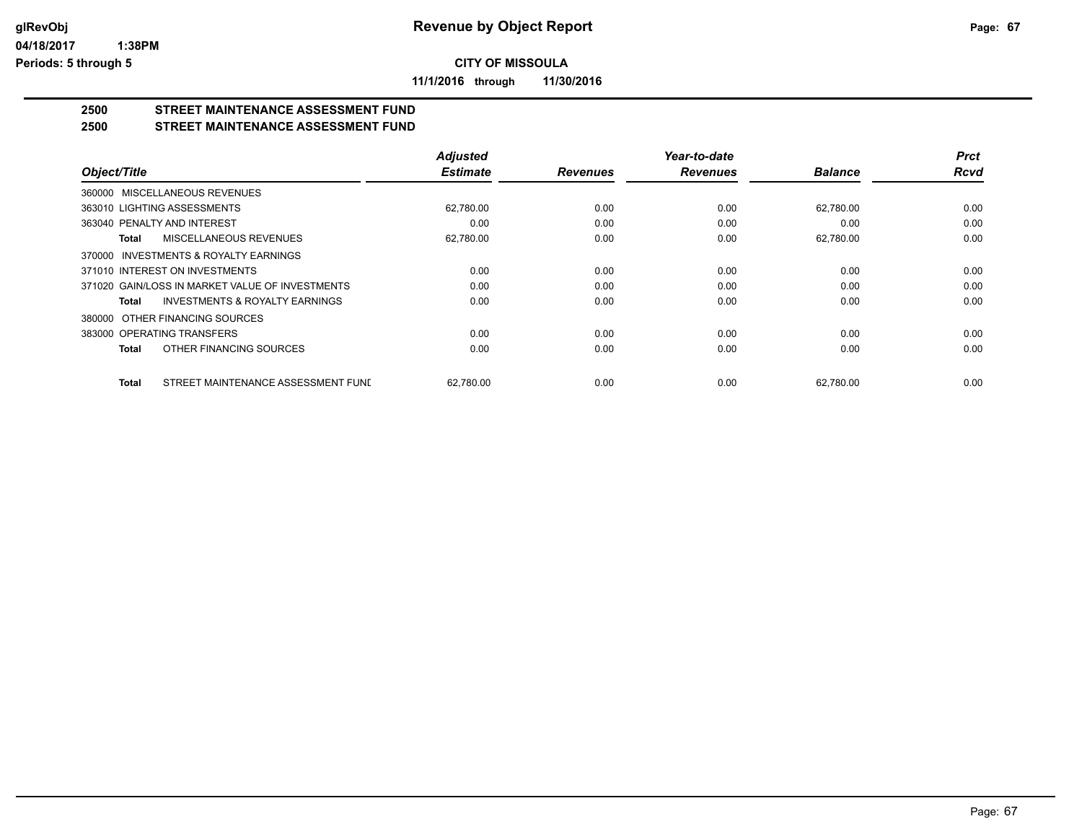**11/1/2016 through 11/30/2016**

### **2500 STREET MAINTENANCE ASSESSMENT FUND 2500 STREET MAINTENANCE ASSESSMENT FUND**

|                                                           | <b>Adjusted</b> |                 | Year-to-date    |                | <b>Prct</b> |
|-----------------------------------------------------------|-----------------|-----------------|-----------------|----------------|-------------|
| Object/Title                                              | <b>Estimate</b> | <b>Revenues</b> | <b>Revenues</b> | <b>Balance</b> | Rcvd        |
| 360000 MISCELLANEOUS REVENUES                             |                 |                 |                 |                |             |
| 363010 LIGHTING ASSESSMENTS                               | 62,780.00       | 0.00            | 0.00            | 62,780.00      | 0.00        |
| 363040 PENALTY AND INTEREST                               | 0.00            | 0.00            | 0.00            | 0.00           | 0.00        |
| <b>MISCELLANEOUS REVENUES</b><br>Total                    | 62,780.00       | 0.00            | 0.00            | 62,780.00      | 0.00        |
| INVESTMENTS & ROYALTY EARNINGS<br>370000                  |                 |                 |                 |                |             |
| 371010 INTEREST ON INVESTMENTS                            | 0.00            | 0.00            | 0.00            | 0.00           | 0.00        |
| 371020 GAIN/LOSS IN MARKET VALUE OF INVESTMENTS           | 0.00            | 0.00            | 0.00            | 0.00           | 0.00        |
| <b>INVESTMENTS &amp; ROYALTY EARNINGS</b><br><b>Total</b> | 0.00            | 0.00            | 0.00            | 0.00           | 0.00        |
| OTHER FINANCING SOURCES<br>380000                         |                 |                 |                 |                |             |
| 383000 OPERATING TRANSFERS                                | 0.00            | 0.00            | 0.00            | 0.00           | 0.00        |
| OTHER FINANCING SOURCES<br><b>Total</b>                   | 0.00            | 0.00            | 0.00            | 0.00           | 0.00        |
| STREET MAINTENANCE ASSESSMENT FUND<br><b>Total</b>        | 62.780.00       | 0.00            | 0.00            | 62.780.00      | 0.00        |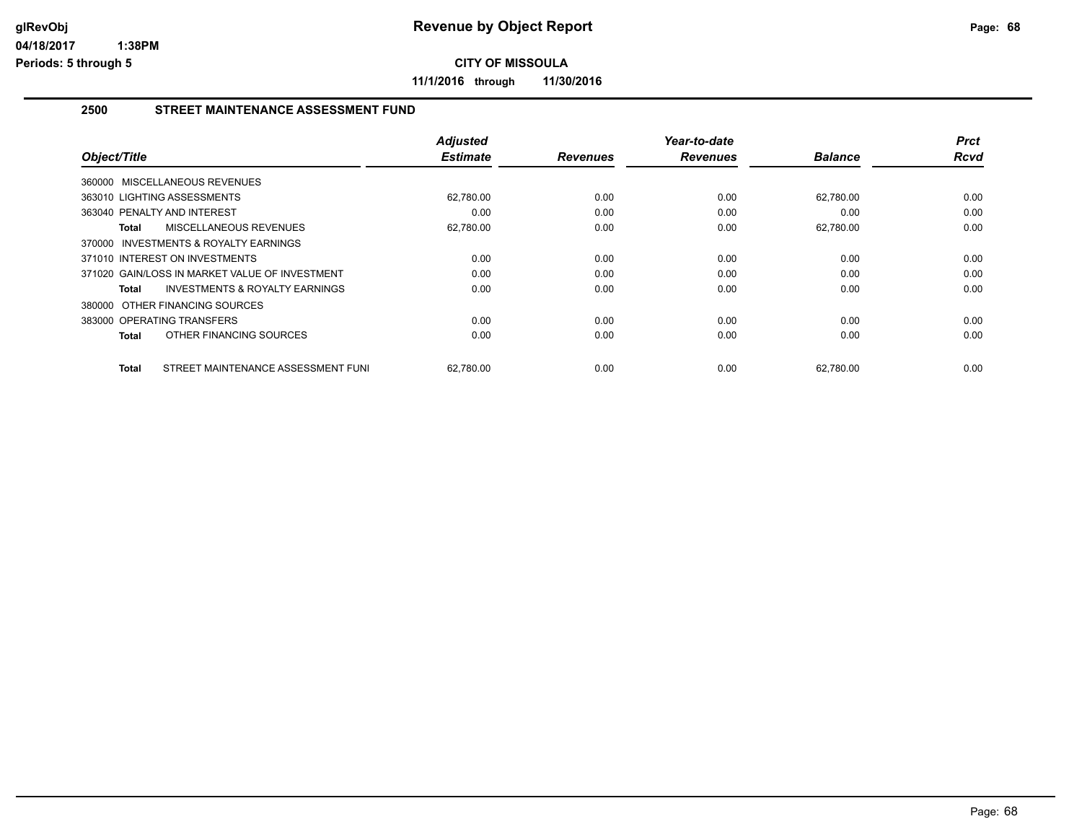**11/1/2016 through 11/30/2016**

### **2500 STREET MAINTENANCE ASSESSMENT FUND**

| Object/Title                                        | <b>Adjusted</b><br><b>Estimate</b> | <b>Revenues</b> | Year-to-date<br><b>Revenues</b> | <b>Balance</b> | <b>Prct</b><br>Rcvd |
|-----------------------------------------------------|------------------------------------|-----------------|---------------------------------|----------------|---------------------|
| 360000 MISCELLANEOUS REVENUES                       |                                    |                 |                                 |                |                     |
| 363010 LIGHTING ASSESSMENTS                         | 62,780.00                          | 0.00            | 0.00                            | 62,780.00      | 0.00                |
| 363040 PENALTY AND INTEREST                         | 0.00                               | 0.00            | 0.00                            | 0.00           | 0.00                |
| MISCELLANEOUS REVENUES<br>Total                     | 62,780.00                          | 0.00            | 0.00                            | 62,780.00      | 0.00                |
| <b>INVESTMENTS &amp; ROYALTY EARNINGS</b><br>370000 |                                    |                 |                                 |                |                     |
| 371010 INTEREST ON INVESTMENTS                      | 0.00                               | 0.00            | 0.00                            | 0.00           | 0.00                |
| 371020 GAIN/LOSS IN MARKET VALUE OF INVESTMENT      | 0.00                               | 0.00            | 0.00                            | 0.00           | 0.00                |
| <b>INVESTMENTS &amp; ROYALTY EARNINGS</b><br>Total  | 0.00                               | 0.00            | 0.00                            | 0.00           | 0.00                |
| 380000 OTHER FINANCING SOURCES                      |                                    |                 |                                 |                |                     |
| 383000 OPERATING TRANSFERS                          | 0.00                               | 0.00            | 0.00                            | 0.00           | 0.00                |
| OTHER FINANCING SOURCES<br><b>Total</b>             | 0.00                               | 0.00            | 0.00                            | 0.00           | 0.00                |
| STREET MAINTENANCE ASSESSMENT FUNI<br><b>Total</b>  | 62.780.00                          | 0.00            | 0.00                            | 62.780.00      | 0.00                |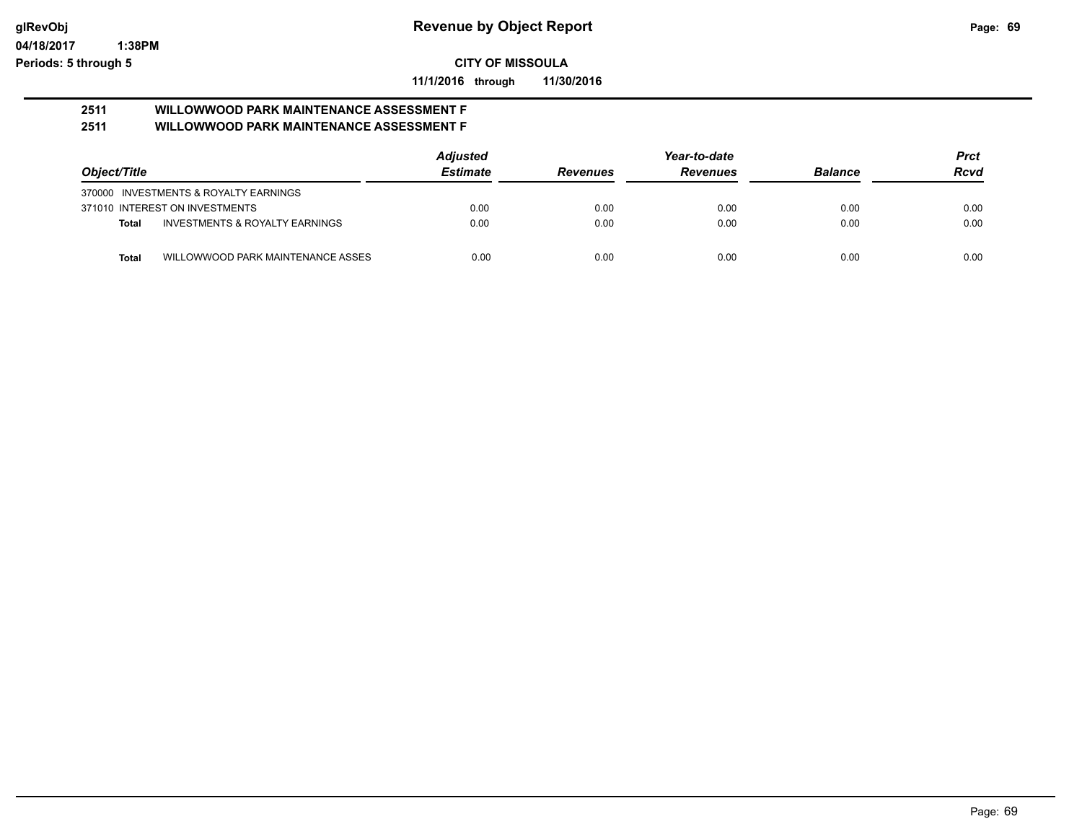**11/1/2016 through 11/30/2016**

### **2511 WILLOWWOOD PARK MAINTENANCE ASSESSMENT F 2511 WILLOWWOOD PARK MAINTENANCE ASSESSMENT F**

|              |                                           | <b>Adjusted</b> |                 | Year-to-date    |                | Prct        |
|--------------|-------------------------------------------|-----------------|-----------------|-----------------|----------------|-------------|
| Object/Title |                                           | <b>Estimate</b> | <b>Revenues</b> | <b>Revenues</b> | <b>Balance</b> | <b>Rcvd</b> |
|              | 370000 INVESTMENTS & ROYALTY EARNINGS     |                 |                 |                 |                |             |
|              | 371010 INTEREST ON INVESTMENTS            | 0.00            | 0.00            | 0.00            | 0.00           | 0.00        |
| <b>Total</b> | <b>INVESTMENTS &amp; ROYALTY EARNINGS</b> | 0.00            | 0.00            | 0.00            | 0.00           | 0.00        |
| <b>Total</b> | WILLOWWOOD PARK MAINTENANCE ASSES         | 0.00            | 0.00            | 0.00            | 0.00           | 0.00        |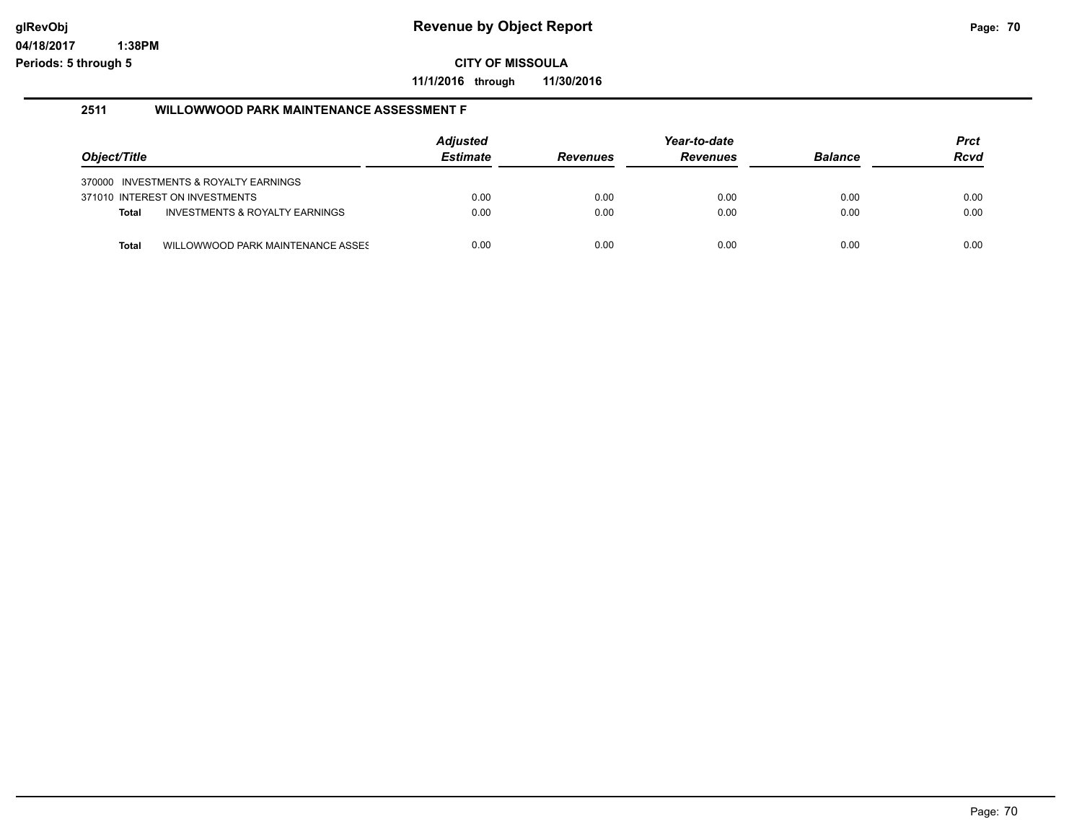**11/1/2016 through 11/30/2016**

### **2511 WILLOWWOOD PARK MAINTENANCE ASSESSMENT F**

|              |                                       | <b>Adjusted</b> |                 |                 | <b>Prct</b>    |             |
|--------------|---------------------------------------|-----------------|-----------------|-----------------|----------------|-------------|
| Object/Title |                                       | <b>Estimate</b> | <b>Revenues</b> | <b>Revenues</b> | <b>Balance</b> | <b>Rcvd</b> |
|              | 370000 INVESTMENTS & ROYALTY EARNINGS |                 |                 |                 |                |             |
|              | 371010 INTEREST ON INVESTMENTS        | 0.00            | 0.00            | 0.00            | 0.00           | 0.00        |
| Total        | INVESTMENTS & ROYALTY EARNINGS        | 0.00            | 0.00            | 0.00            | 0.00           | 0.00        |
| <b>Total</b> | WILLOWWOOD PARK MAINTENANCE ASSES     | 0.00            | 0.00            | 0.00            | 0.00           | 0.00        |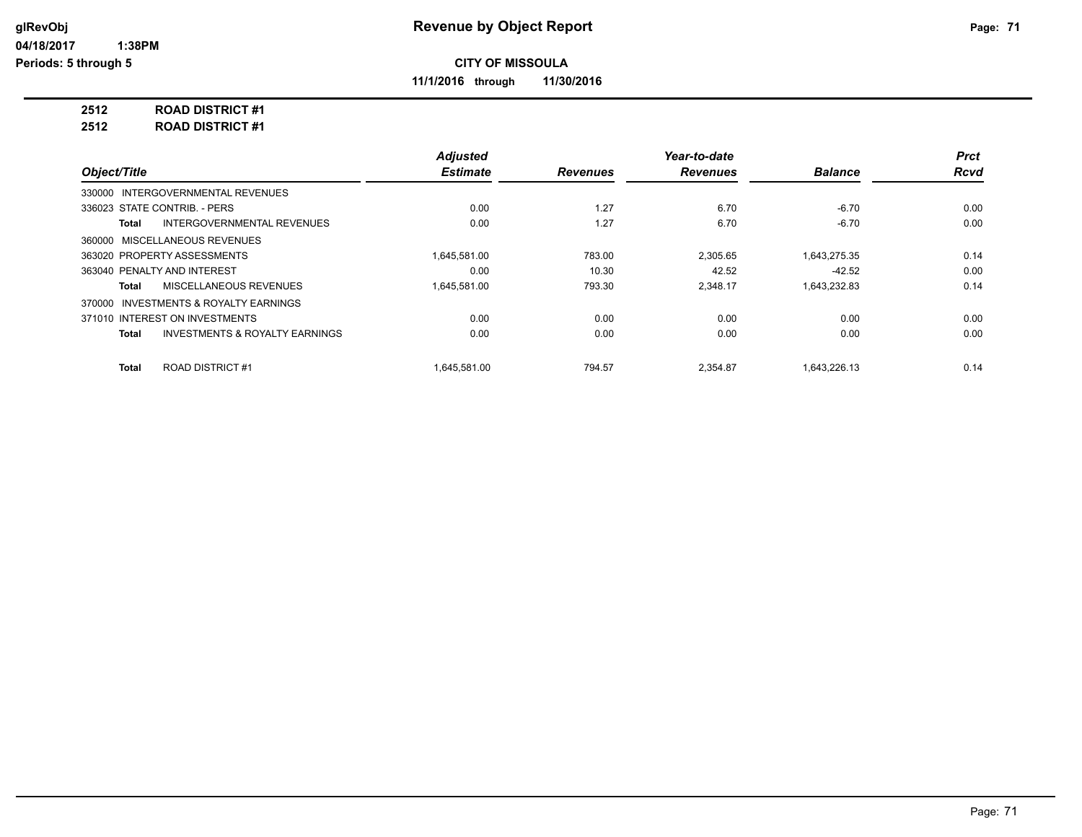**CITY OF MISSOULA 11/1/2016 through 11/30/2016**

**2512 ROAD DISTRICT #1 2512 ROAD DISTRICT #1**

|                                                    | <b>Adjusted</b> |                 | Year-to-date    |                | <b>Prct</b> |
|----------------------------------------------------|-----------------|-----------------|-----------------|----------------|-------------|
| Object/Title                                       | <b>Estimate</b> | <b>Revenues</b> | <b>Revenues</b> | <b>Balance</b> | <b>Rcvd</b> |
| INTERGOVERNMENTAL REVENUES<br>330000               |                 |                 |                 |                |             |
| 336023 STATE CONTRIB. - PERS                       | 0.00            | 1.27            | 6.70            | $-6.70$        | 0.00        |
| <b>INTERGOVERNMENTAL REVENUES</b><br>Total         | 0.00            | 1.27            | 6.70            | $-6.70$        | 0.00        |
| MISCELLANEOUS REVENUES<br>360000                   |                 |                 |                 |                |             |
| 363020 PROPERTY ASSESSMENTS                        | 1,645,581.00    | 783.00          | 2,305.65        | 1,643,275.35   | 0.14        |
| 363040 PENALTY AND INTEREST                        | 0.00            | 10.30           | 42.52           | $-42.52$       | 0.00        |
| MISCELLANEOUS REVENUES<br>Total                    | 1,645,581.00    | 793.30          | 2.348.17        | 1,643,232.83   | 0.14        |
| INVESTMENTS & ROYALTY EARNINGS<br>370000           |                 |                 |                 |                |             |
| 371010 INTEREST ON INVESTMENTS                     | 0.00            | 0.00            | 0.00            | 0.00           | 0.00        |
| <b>INVESTMENTS &amp; ROYALTY EARNINGS</b><br>Total | 0.00            | 0.00            | 0.00            | 0.00           | 0.00        |
| <b>ROAD DISTRICT#1</b><br><b>Total</b>             | 1.645.581.00    | 794.57          | 2.354.87        | 1.643.226.13   | 0.14        |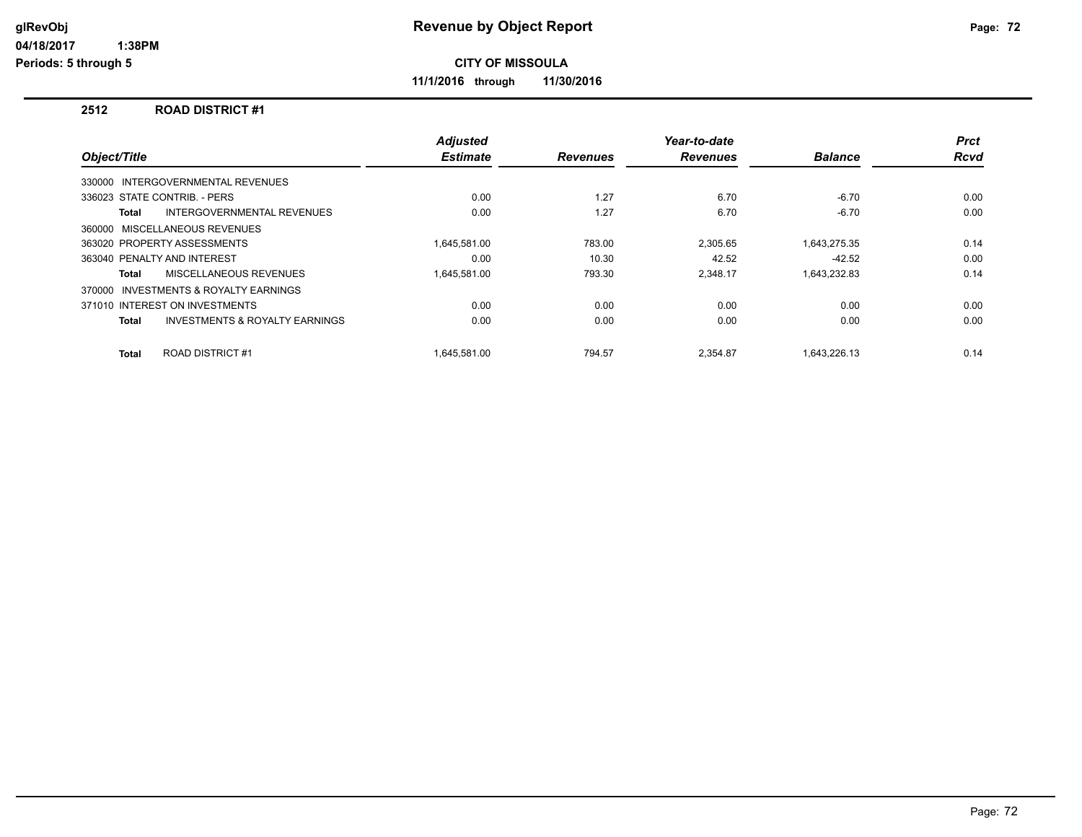**11/1/2016 through 11/30/2016**

### **2512 ROAD DISTRICT #1**

|                                                           | <b>Adjusted</b> |                 | Year-to-date    |                | <b>Prct</b> |
|-----------------------------------------------------------|-----------------|-----------------|-----------------|----------------|-------------|
| Object/Title                                              | <b>Estimate</b> | <b>Revenues</b> | <b>Revenues</b> | <b>Balance</b> | <b>Rcvd</b> |
| INTERGOVERNMENTAL REVENUES<br>330000                      |                 |                 |                 |                |             |
| 336023 STATE CONTRIB. - PERS                              | 0.00            | 1.27            | 6.70            | $-6.70$        | 0.00        |
| INTERGOVERNMENTAL REVENUES<br><b>Total</b>                | 0.00            | 1.27            | 6.70            | $-6.70$        | 0.00        |
| MISCELLANEOUS REVENUES<br>360000                          |                 |                 |                 |                |             |
| 363020 PROPERTY ASSESSMENTS                               | 1,645,581.00    | 783.00          | 2,305.65        | 1,643,275.35   | 0.14        |
| 363040 PENALTY AND INTEREST                               | 0.00            | 10.30           | 42.52           | $-42.52$       | 0.00        |
| MISCELLANEOUS REVENUES<br><b>Total</b>                    | 1,645,581.00    | 793.30          | 2,348.17        | 1,643,232.83   | 0.14        |
| INVESTMENTS & ROYALTY EARNINGS<br>370000                  |                 |                 |                 |                |             |
| 371010 INTEREST ON INVESTMENTS                            | 0.00            | 0.00            | 0.00            | 0.00           | 0.00        |
| <b>INVESTMENTS &amp; ROYALTY EARNINGS</b><br><b>Total</b> | 0.00            | 0.00            | 0.00            | 0.00           | 0.00        |
| ROAD DISTRICT #1<br><b>Total</b>                          | 1.645.581.00    | 794.57          | 2.354.87        | 1.643.226.13   | 0.14        |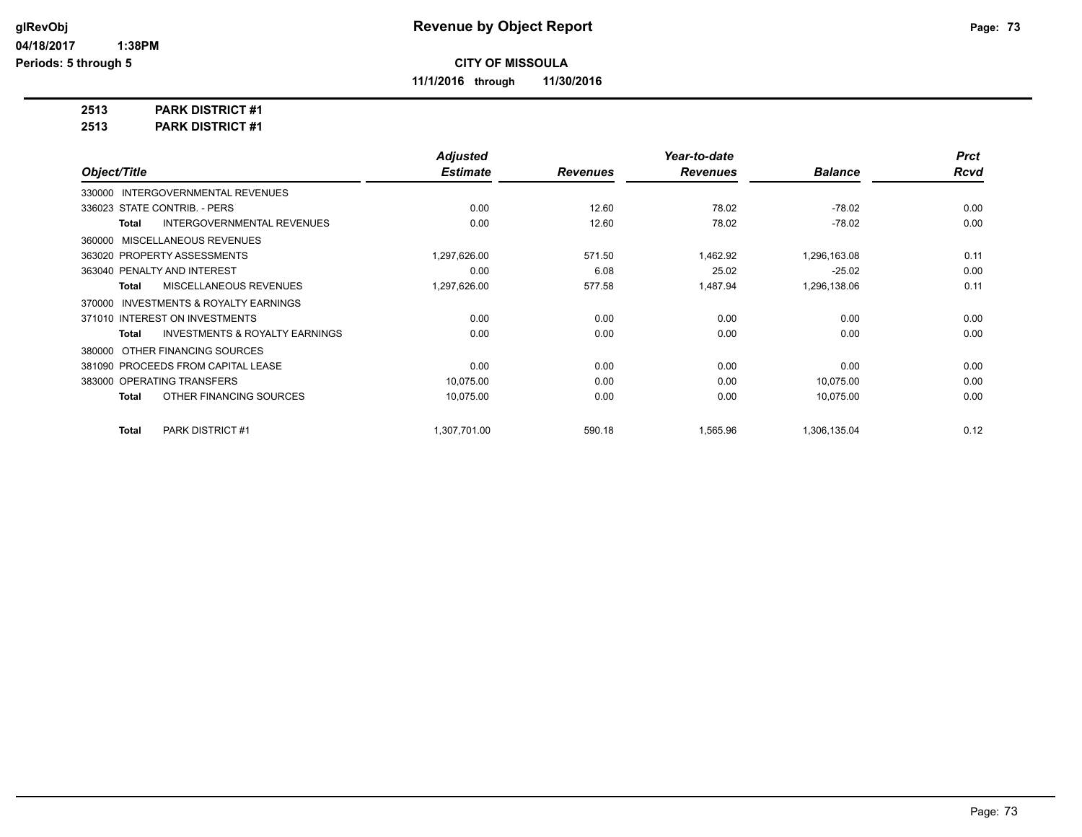**11/1/2016 through 11/30/2016**

**2513 PARK DISTRICT #1 2513 PARK DISTRICT #1**

|                                                           | <b>Adjusted</b> |                 | Year-to-date    |                | <b>Prct</b> |
|-----------------------------------------------------------|-----------------|-----------------|-----------------|----------------|-------------|
| Object/Title                                              | <b>Estimate</b> | <b>Revenues</b> | <b>Revenues</b> | <b>Balance</b> | <b>Rcvd</b> |
| INTERGOVERNMENTAL REVENUES<br>330000                      |                 |                 |                 |                |             |
| 336023 STATE CONTRIB. - PERS                              | 0.00            | 12.60           | 78.02           | $-78.02$       | 0.00        |
| INTERGOVERNMENTAL REVENUES<br>Total                       | 0.00            | 12.60           | 78.02           | $-78.02$       | 0.00        |
| MISCELLANEOUS REVENUES<br>360000                          |                 |                 |                 |                |             |
| 363020 PROPERTY ASSESSMENTS                               | 1.297.626.00    | 571.50          | 1,462.92        | 1,296,163.08   | 0.11        |
| 363040 PENALTY AND INTEREST                               | 0.00            | 6.08            | 25.02           | $-25.02$       | 0.00        |
| MISCELLANEOUS REVENUES<br><b>Total</b>                    | 1,297,626.00    | 577.58          | 1,487.94        | 1,296,138.06   | 0.11        |
| <b>INVESTMENTS &amp; ROYALTY EARNINGS</b><br>370000       |                 |                 |                 |                |             |
| 371010 INTEREST ON INVESTMENTS                            | 0.00            | 0.00            | 0.00            | 0.00           | 0.00        |
| <b>INVESTMENTS &amp; ROYALTY EARNINGS</b><br><b>Total</b> | 0.00            | 0.00            | 0.00            | 0.00           | 0.00        |
| OTHER FINANCING SOURCES<br>380000                         |                 |                 |                 |                |             |
| 381090 PROCEEDS FROM CAPITAL LEASE                        | 0.00            | 0.00            | 0.00            | 0.00           | 0.00        |
| 383000 OPERATING TRANSFERS                                | 10,075.00       | 0.00            | 0.00            | 10,075.00      | 0.00        |
| OTHER FINANCING SOURCES<br><b>Total</b>                   | 10,075.00       | 0.00            | 0.00            | 10,075.00      | 0.00        |
| <b>PARK DISTRICT#1</b><br><b>Total</b>                    | 1,307,701.00    | 590.18          | 1,565.96        | 1,306,135.04   | 0.12        |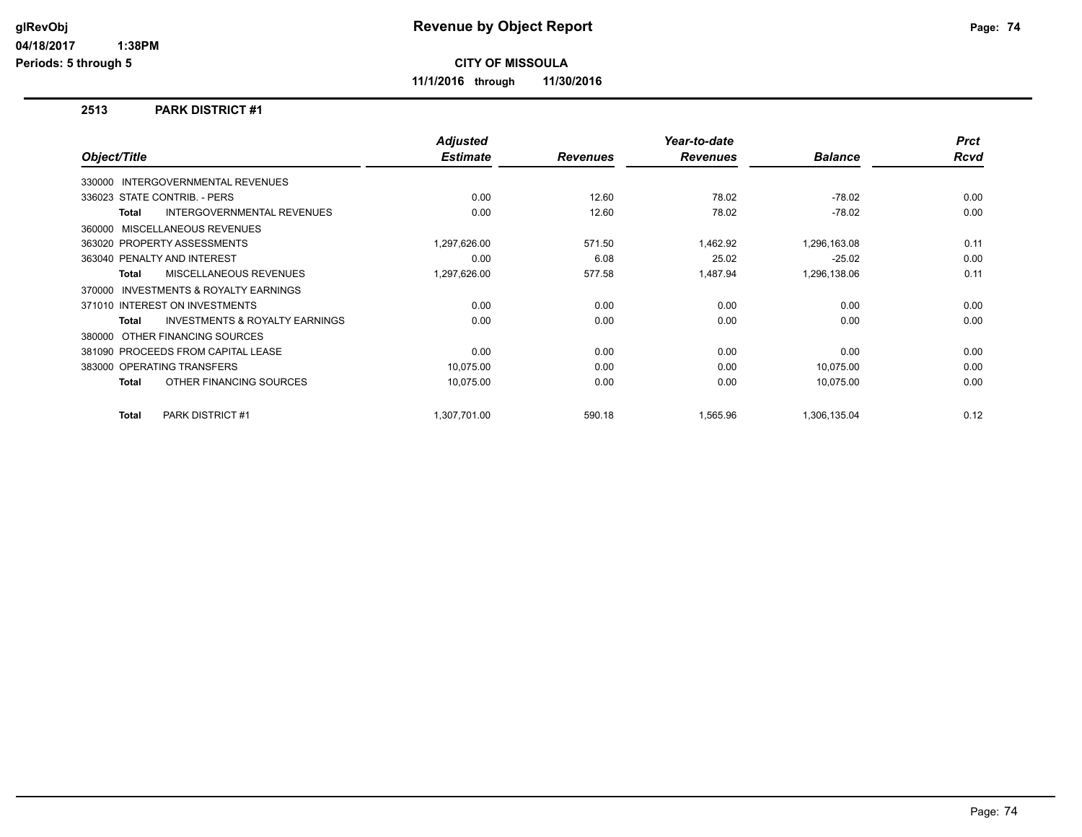**11/1/2016 through 11/30/2016**

#### **2513 PARK DISTRICT #1**

|                                                     | <b>Adjusted</b> |                 | Year-to-date    |                | <b>Prct</b> |
|-----------------------------------------------------|-----------------|-----------------|-----------------|----------------|-------------|
| Object/Title                                        | <b>Estimate</b> | <b>Revenues</b> | <b>Revenues</b> | <b>Balance</b> | <b>Rcvd</b> |
| 330000 INTERGOVERNMENTAL REVENUES                   |                 |                 |                 |                |             |
| 336023 STATE CONTRIB. - PERS                        | 0.00            | 12.60           | 78.02           | $-78.02$       | 0.00        |
| <b>INTERGOVERNMENTAL REVENUES</b><br>Total          | 0.00            | 12.60           | 78.02           | $-78.02$       | 0.00        |
| MISCELLANEOUS REVENUES<br>360000                    |                 |                 |                 |                |             |
| 363020 PROPERTY ASSESSMENTS                         | 1,297,626.00    | 571.50          | 1,462.92        | 1,296,163.08   | 0.11        |
| 363040 PENALTY AND INTEREST                         | 0.00            | 6.08            | 25.02           | $-25.02$       | 0.00        |
| MISCELLANEOUS REVENUES<br>Total                     | 1,297,626.00    | 577.58          | 1,487.94        | 1,296,138.06   | 0.11        |
| <b>INVESTMENTS &amp; ROYALTY EARNINGS</b><br>370000 |                 |                 |                 |                |             |
| 371010 INTEREST ON INVESTMENTS                      | 0.00            | 0.00            | 0.00            | 0.00           | 0.00        |
| <b>INVESTMENTS &amp; ROYALTY EARNINGS</b><br>Total  | 0.00            | 0.00            | 0.00            | 0.00           | 0.00        |
| OTHER FINANCING SOURCES<br>380000                   |                 |                 |                 |                |             |
| 381090 PROCEEDS FROM CAPITAL LEASE                  | 0.00            | 0.00            | 0.00            | 0.00           | 0.00        |
| 383000 OPERATING TRANSFERS                          | 10,075.00       | 0.00            | 0.00            | 10,075.00      | 0.00        |
| OTHER FINANCING SOURCES<br>Total                    | 10,075.00       | 0.00            | 0.00            | 10,075.00      | 0.00        |
| <b>PARK DISTRICT #1</b><br><b>Total</b>             | 1,307,701.00    | 590.18          | 1,565.96        | 1,306,135.04   | 0.12        |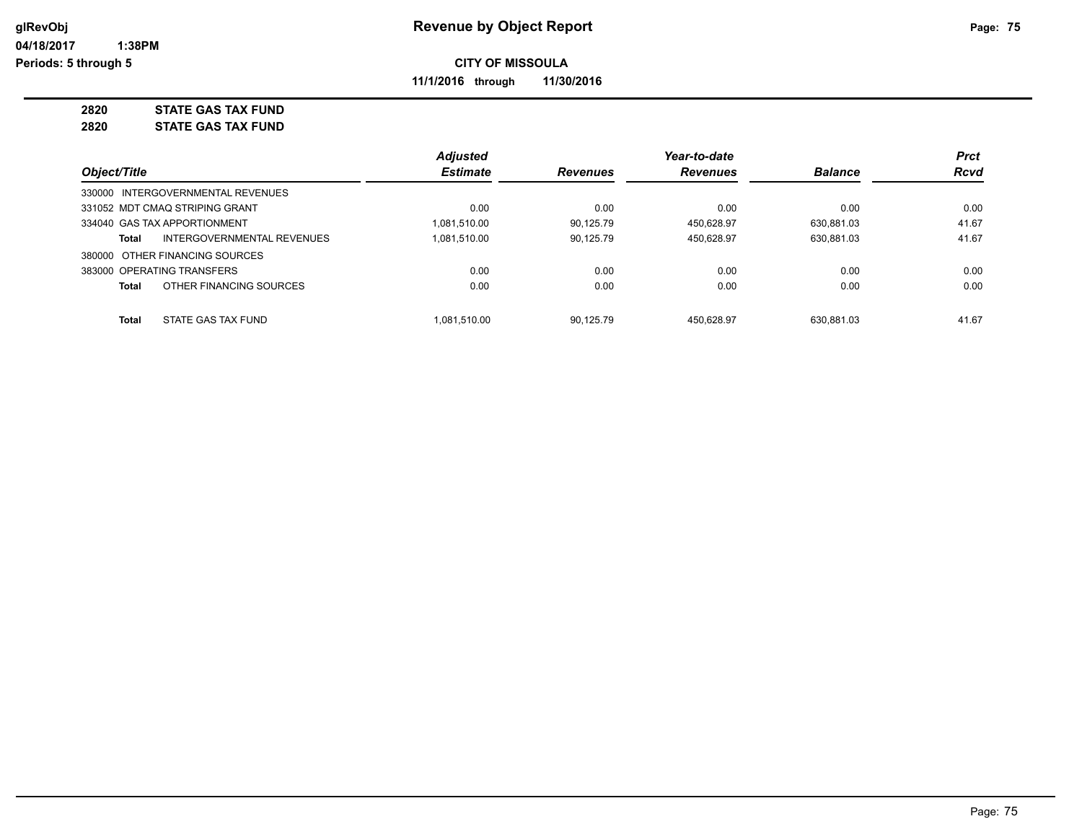**CITY OF MISSOULA 11/1/2016 through 11/30/2016**

**2820 STATE GAS TAX FUND 2820 STATE GAS TAX FUND**

|                                            | <b>Adjusted</b>         |                 | Year-to-date    |                        | <b>Prct</b>         |
|--------------------------------------------|-------------------------|-----------------|-----------------|------------------------|---------------------|
| Object/Title                               | <b>Estimate</b><br>0.00 | <b>Revenues</b> | <b>Revenues</b> | <b>Balance</b><br>0.00 | <b>Rcvd</b><br>0.00 |
| 330000 INTERGOVERNMENTAL REVENUES          |                         |                 |                 |                        |                     |
| 331052 MDT CMAQ STRIPING GRANT             |                         | 0.00            | 0.00            |                        |                     |
| 334040 GAS TAX APPORTIONMENT               | 1,081,510.00            | 90.125.79       | 450,628.97      | 630.881.03             | 41.67               |
| <b>INTERGOVERNMENTAL REVENUES</b><br>Total | 1.081.510.00            | 90.125.79       | 450.628.97      | 630.881.03             | 41.67               |
| 380000 OTHER FINANCING SOURCES             |                         |                 |                 |                        |                     |
| 383000 OPERATING TRANSFERS                 | 0.00                    | 0.00            | 0.00            | 0.00                   | 0.00                |
| OTHER FINANCING SOURCES<br>Total           | 0.00                    | 0.00            | 0.00            | 0.00                   | 0.00                |
| <b>Total</b><br>STATE GAS TAX FUND         | 1.081.510.00            | 90.125.79       | 450.628.97      | 630.881.03             | 41.67               |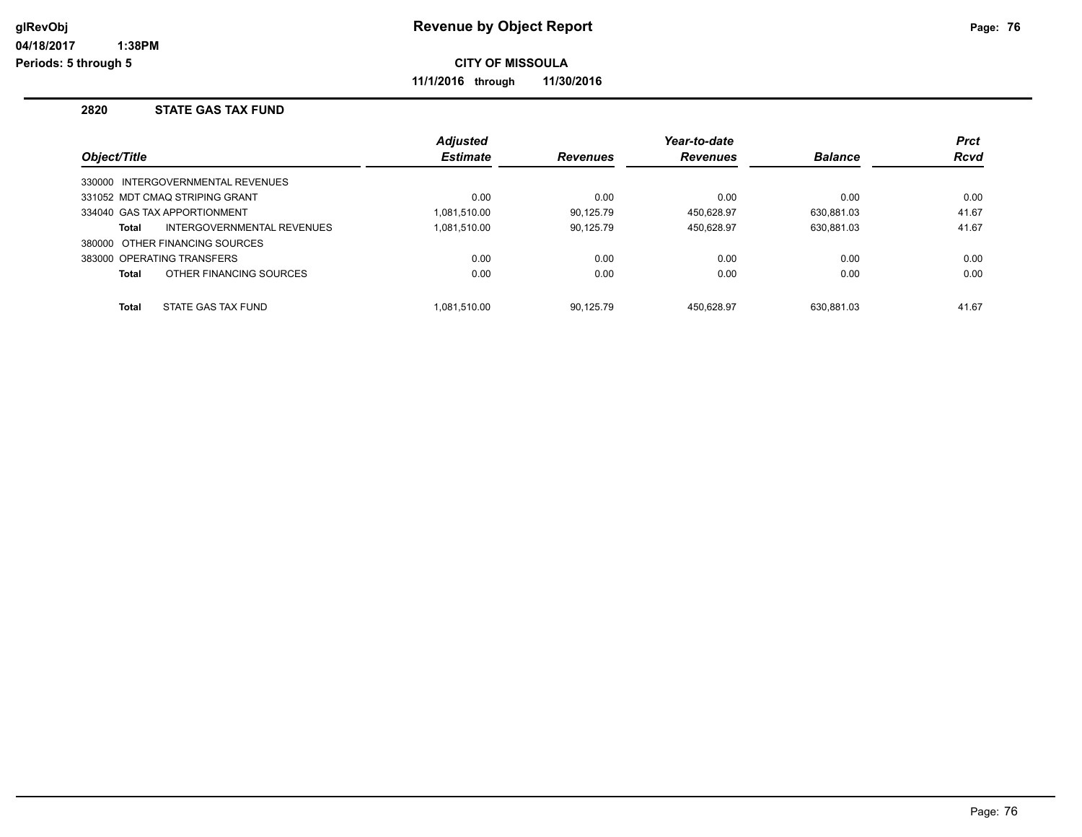**11/1/2016 through 11/30/2016**

### **2820 STATE GAS TAX FUND**

|              |                                   | <b>Adjusted</b> |                 | Year-to-date    |                | <b>Prct</b> |
|--------------|-----------------------------------|-----------------|-----------------|-----------------|----------------|-------------|
| Object/Title |                                   | <b>Estimate</b> | <b>Revenues</b> | <b>Revenues</b> | <b>Balance</b> | <b>Rcvd</b> |
|              | 330000 INTERGOVERNMENTAL REVENUES |                 |                 |                 |                |             |
|              | 331052 MDT CMAQ STRIPING GRANT    | 0.00            | 0.00            | 0.00            | 0.00           | 0.00        |
|              | 334040 GAS TAX APPORTIONMENT      | 1.081.510.00    | 90.125.79       | 450.628.97      | 630,881.03     | 41.67       |
| Total        | <b>INTERGOVERNMENTAL REVENUES</b> | 1,081,510.00    | 90.125.79       | 450.628.97      | 630,881.03     | 41.67       |
|              | 380000 OTHER FINANCING SOURCES    |                 |                 |                 |                |             |
|              | 383000 OPERATING TRANSFERS        | 0.00            | 0.00            | 0.00            | 0.00           | 0.00        |
| <b>Total</b> | OTHER FINANCING SOURCES           | 0.00            | 0.00            | 0.00            | 0.00           | 0.00        |
| <b>Total</b> | STATE GAS TAX FUND                | 1.081.510.00    | 90.125.79       | 450.628.97      | 630.881.03     | 41.67       |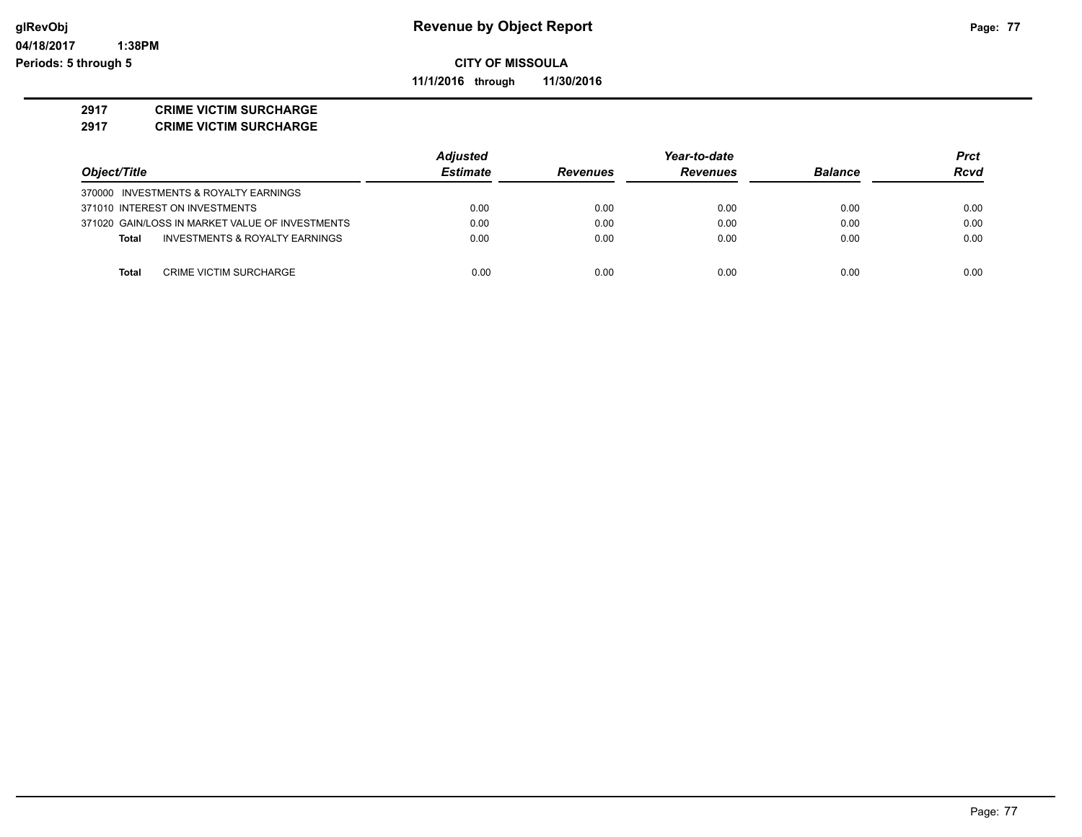**11/1/2016 through 11/30/2016**

**2917 CRIME VICTIM SURCHARGE 2917 CRIME VICTIM SURCHARGE**

|                                                 | <b>Adjusted</b> |                 | Year-to-date    |                | Prct        |
|-------------------------------------------------|-----------------|-----------------|-----------------|----------------|-------------|
| Object/Title                                    | <b>Estimate</b> | <b>Revenues</b> | <b>Revenues</b> | <b>Balance</b> | <b>Rcvd</b> |
| 370000 INVESTMENTS & ROYALTY EARNINGS           |                 |                 |                 |                |             |
| 371010 INTEREST ON INVESTMENTS                  | 0.00            | 0.00            | 0.00            | 0.00           | 0.00        |
| 371020 GAIN/LOSS IN MARKET VALUE OF INVESTMENTS | 0.00            | 0.00            | 0.00            | 0.00           | 0.00        |
| INVESTMENTS & ROYALTY EARNINGS<br>Total         | 0.00            | 0.00            | 0.00            | 0.00           | 0.00        |
|                                                 |                 |                 |                 |                |             |
| Total<br>CRIME VICTIM SURCHARGE                 | 0.00            | 0.00            | 0.00            | 0.00           | 0.00        |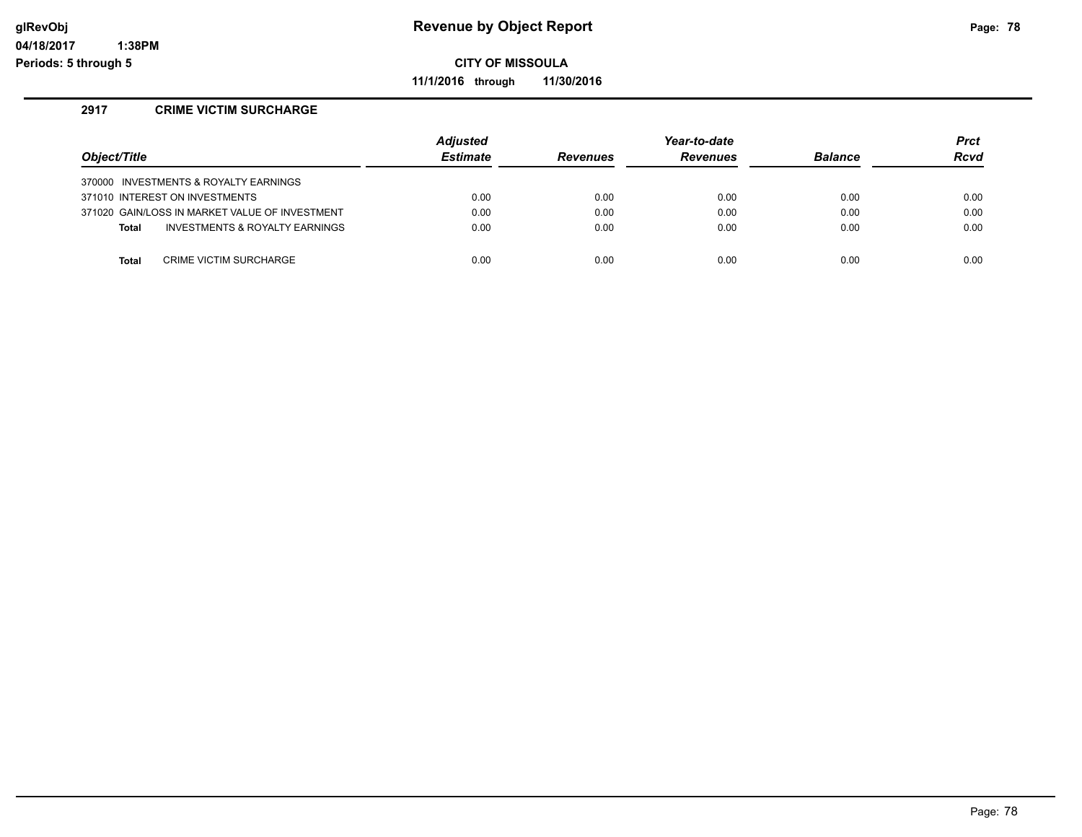**11/1/2016 through 11/30/2016**

#### **2917 CRIME VICTIM SURCHARGE**

|                                                           | <b>Adjusted</b> |                 | Year-to-date    |                |             |
|-----------------------------------------------------------|-----------------|-----------------|-----------------|----------------|-------------|
| Object/Title                                              | <b>Estimate</b> | <b>Revenues</b> | <b>Revenues</b> | <b>Balance</b> | <b>Rcvd</b> |
| 370000 INVESTMENTS & ROYALTY EARNINGS                     |                 |                 |                 |                |             |
| 371010 INTEREST ON INVESTMENTS                            | 0.00            | 0.00            | 0.00            | 0.00           | 0.00        |
| 371020 GAIN/LOSS IN MARKET VALUE OF INVESTMENT            | 0.00            | 0.00            | 0.00            | 0.00           | 0.00        |
| <b>INVESTMENTS &amp; ROYALTY EARNINGS</b><br><b>Total</b> | 0.00            | 0.00            | 0.00            | 0.00           | 0.00        |
| Total<br>CRIME VICTIM SURCHARGE                           | 0.00            | 0.00            | 0.00            | 0.00           | 0.00        |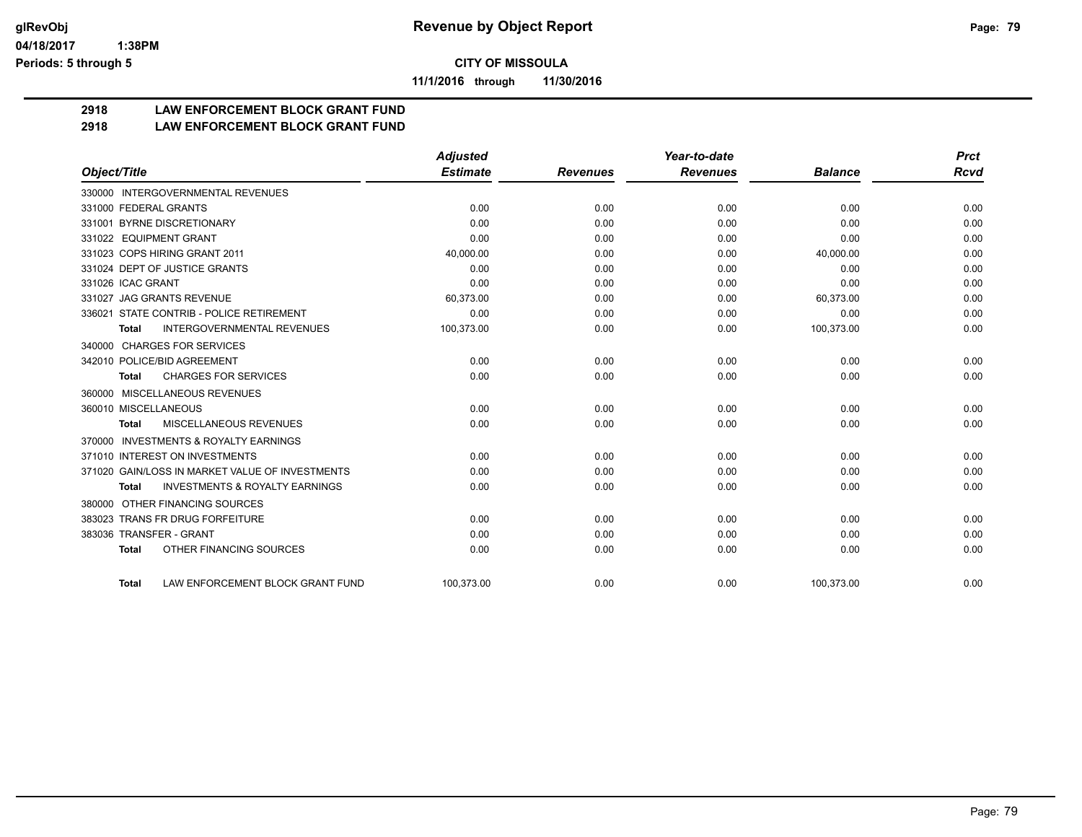**11/1/2016 through 11/30/2016**

## **2918 LAW ENFORCEMENT BLOCK GRANT FUND 2918 LAW ENFORCEMENT BLOCK GRANT FUND**

|                                                           | <b>Adjusted</b> |                 | Year-to-date    |                | <b>Prct</b> |
|-----------------------------------------------------------|-----------------|-----------------|-----------------|----------------|-------------|
| Object/Title                                              | <b>Estimate</b> | <b>Revenues</b> | <b>Revenues</b> | <b>Balance</b> | Rcvd        |
| INTERGOVERNMENTAL REVENUES<br>330000                      |                 |                 |                 |                |             |
| 331000 FEDERAL GRANTS                                     | 0.00            | 0.00            | 0.00            | 0.00           | 0.00        |
| 331001 BYRNE DISCRETIONARY                                | 0.00            | 0.00            | 0.00            | 0.00           | 0.00        |
| 331022 EQUIPMENT GRANT                                    | 0.00            | 0.00            | 0.00            | 0.00           | 0.00        |
| 331023 COPS HIRING GRANT 2011                             | 40,000.00       | 0.00            | 0.00            | 40,000.00      | 0.00        |
| 331024 DEPT OF JUSTICE GRANTS                             | 0.00            | 0.00            | 0.00            | 0.00           | 0.00        |
| 331026 ICAC GRANT                                         | 0.00            | 0.00            | 0.00            | 0.00           | 0.00        |
| 331027 JAG GRANTS REVENUE                                 | 60,373.00       | 0.00            | 0.00            | 60,373.00      | 0.00        |
| 336021 STATE CONTRIB - POLICE RETIREMENT                  | 0.00            | 0.00            | 0.00            | 0.00           | 0.00        |
| <b>INTERGOVERNMENTAL REVENUES</b><br>Total                | 100,373.00      | 0.00            | 0.00            | 100,373.00     | 0.00        |
| <b>CHARGES FOR SERVICES</b><br>340000                     |                 |                 |                 |                |             |
| 342010 POLICE/BID AGREEMENT                               | 0.00            | 0.00            | 0.00            | 0.00           | 0.00        |
| <b>CHARGES FOR SERVICES</b><br>Total                      | 0.00            | 0.00            | 0.00            | 0.00           | 0.00        |
| MISCELLANEOUS REVENUES<br>360000                          |                 |                 |                 |                |             |
| 360010 MISCELLANEOUS                                      | 0.00            | 0.00            | 0.00            | 0.00           | 0.00        |
| <b>MISCELLANEOUS REVENUES</b><br>Total                    | 0.00            | 0.00            | 0.00            | 0.00           | 0.00        |
| <b>INVESTMENTS &amp; ROYALTY EARNINGS</b><br>370000       |                 |                 |                 |                |             |
| 371010 INTEREST ON INVESTMENTS                            | 0.00            | 0.00            | 0.00            | 0.00           | 0.00        |
| 371020 GAIN/LOSS IN MARKET VALUE OF INVESTMENTS           | 0.00            | 0.00            | 0.00            | 0.00           | 0.00        |
| <b>INVESTMENTS &amp; ROYALTY EARNINGS</b><br><b>Total</b> | 0.00            | 0.00            | 0.00            | 0.00           | 0.00        |
| OTHER FINANCING SOURCES<br>380000                         |                 |                 |                 |                |             |
| 383023 TRANS FR DRUG FORFEITURE                           | 0.00            | 0.00            | 0.00            | 0.00           | 0.00        |
| 383036 TRANSFER - GRANT                                   | 0.00            | 0.00            | 0.00            | 0.00           | 0.00        |
| OTHER FINANCING SOURCES<br><b>Total</b>                   | 0.00            | 0.00            | 0.00            | 0.00           | 0.00        |
|                                                           |                 |                 |                 |                | 0.00        |
| LAW ENFORCEMENT BLOCK GRANT FUND<br><b>Total</b>          | 100,373.00      | 0.00            | 0.00            | 100,373.00     |             |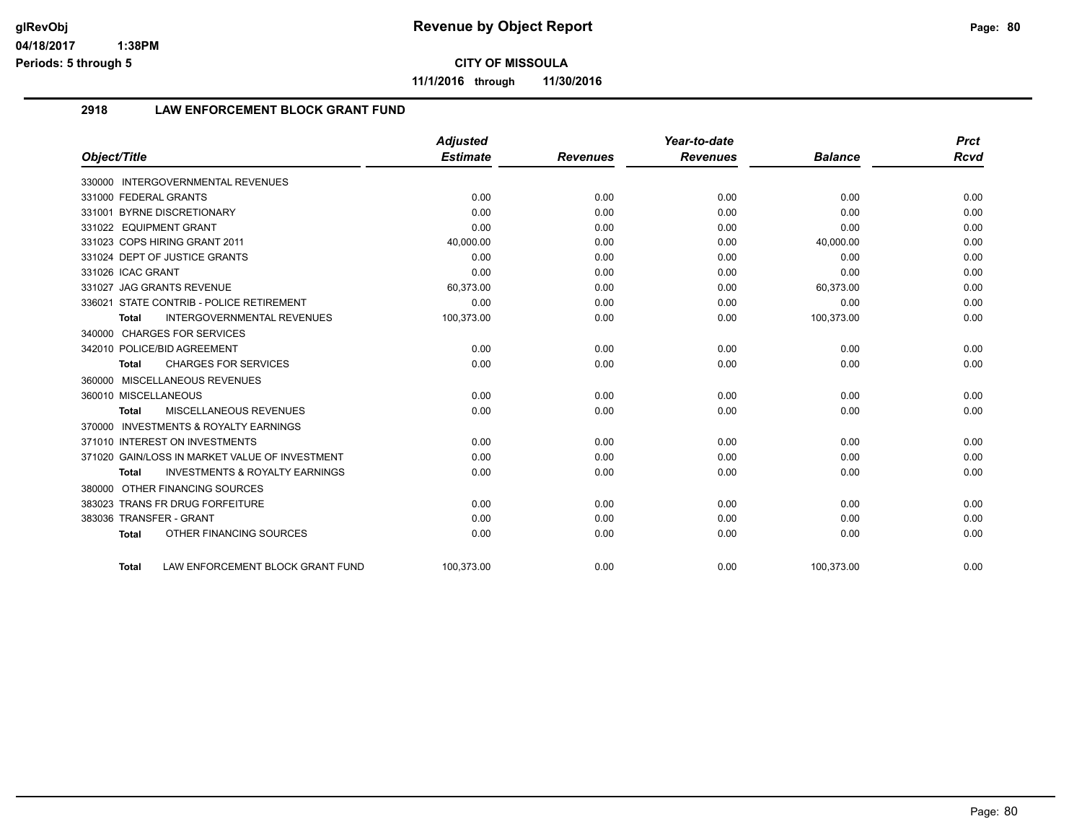**11/1/2016 through 11/30/2016**

## **2918 LAW ENFORCEMENT BLOCK GRANT FUND**

|                                                           | <b>Adjusted</b> |                 | Year-to-date    |                | <b>Prct</b> |
|-----------------------------------------------------------|-----------------|-----------------|-----------------|----------------|-------------|
| Object/Title                                              | <b>Estimate</b> | <b>Revenues</b> | <b>Revenues</b> | <b>Balance</b> | <b>Rcvd</b> |
| 330000 INTERGOVERNMENTAL REVENUES                         |                 |                 |                 |                |             |
| 331000 FEDERAL GRANTS                                     | 0.00            | 0.00            | 0.00            | 0.00           | 0.00        |
| 331001 BYRNE DISCRETIONARY                                | 0.00            | 0.00            | 0.00            | 0.00           | 0.00        |
| 331022 EQUIPMENT GRANT                                    | 0.00            | 0.00            | 0.00            | 0.00           | 0.00        |
| 331023 COPS HIRING GRANT 2011                             | 40,000.00       | 0.00            | 0.00            | 40,000.00      | 0.00        |
| 331024 DEPT OF JUSTICE GRANTS                             | 0.00            | 0.00            | 0.00            | 0.00           | 0.00        |
| 331026 ICAC GRANT                                         | 0.00            | 0.00            | 0.00            | 0.00           | 0.00        |
| 331027 JAG GRANTS REVENUE                                 | 60,373.00       | 0.00            | 0.00            | 60,373.00      | 0.00        |
| 336021 STATE CONTRIB - POLICE RETIREMENT                  | 0.00            | 0.00            | 0.00            | 0.00           | 0.00        |
| <b>INTERGOVERNMENTAL REVENUES</b><br><b>Total</b>         | 100,373.00      | 0.00            | 0.00            | 100,373.00     | 0.00        |
| 340000 CHARGES FOR SERVICES                               |                 |                 |                 |                |             |
| 342010 POLICE/BID AGREEMENT                               | 0.00            | 0.00            | 0.00            | 0.00           | 0.00        |
| <b>CHARGES FOR SERVICES</b><br>Total                      | 0.00            | 0.00            | 0.00            | 0.00           | 0.00        |
| 360000 MISCELLANEOUS REVENUES                             |                 |                 |                 |                |             |
| 360010 MISCELLANEOUS                                      | 0.00            | 0.00            | 0.00            | 0.00           | 0.00        |
| <b>MISCELLANEOUS REVENUES</b><br><b>Total</b>             | 0.00            | 0.00            | 0.00            | 0.00           | 0.00        |
| 370000 INVESTMENTS & ROYALTY EARNINGS                     |                 |                 |                 |                |             |
| 371010 INTEREST ON INVESTMENTS                            | 0.00            | 0.00            | 0.00            | 0.00           | 0.00        |
| 371020 GAIN/LOSS IN MARKET VALUE OF INVESTMENT            | 0.00            | 0.00            | 0.00            | 0.00           | 0.00        |
| <b>INVESTMENTS &amp; ROYALTY EARNINGS</b><br><b>Total</b> | 0.00            | 0.00            | 0.00            | 0.00           | 0.00        |
| 380000 OTHER FINANCING SOURCES                            |                 |                 |                 |                |             |
| 383023 TRANS FR DRUG FORFEITURE                           | 0.00            | 0.00            | 0.00            | 0.00           | 0.00        |
| 383036 TRANSFER - GRANT                                   | 0.00            | 0.00            | 0.00            | 0.00           | 0.00        |
| OTHER FINANCING SOURCES<br><b>Total</b>                   | 0.00            | 0.00            | 0.00            | 0.00           | 0.00        |
| LAW ENFORCEMENT BLOCK GRANT FUND<br><b>Total</b>          | 100,373.00      | 0.00            | 0.00            | 100,373.00     | 0.00        |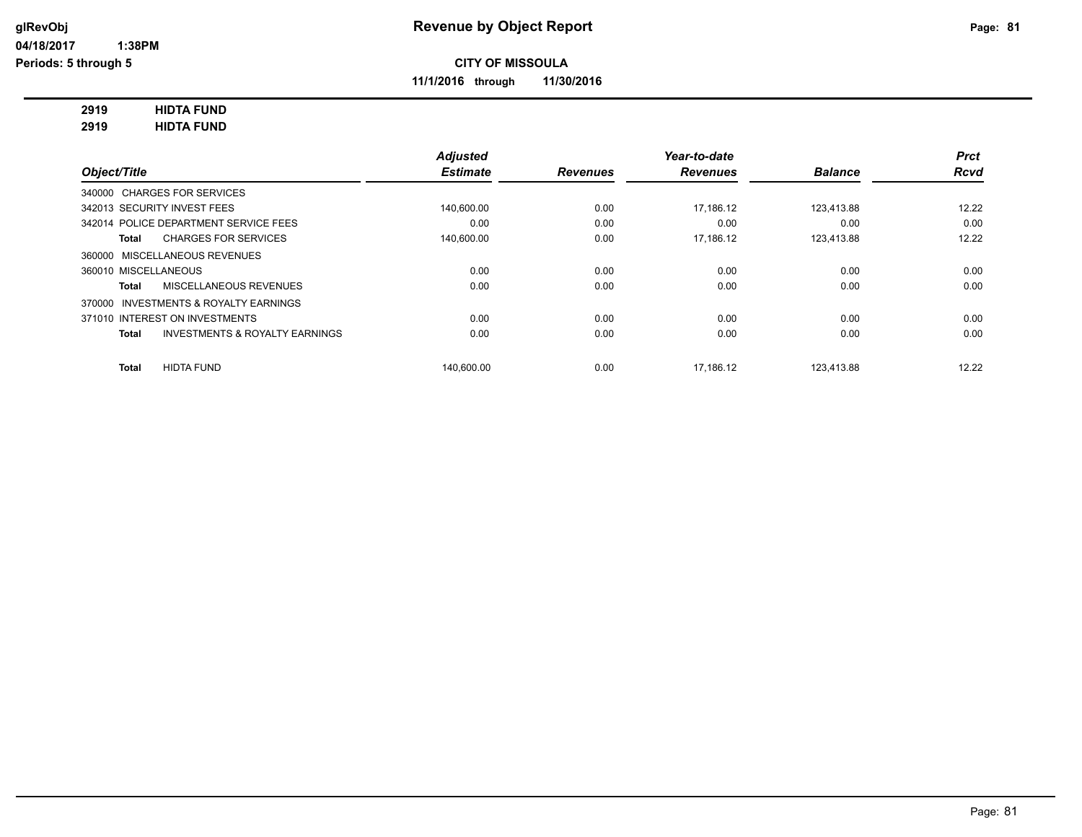**CITY OF MISSOULA 11/1/2016 through 11/30/2016**

## **2919 HIDTA FUND**

**2919 HIDTA FUND**

|                                                    | <b>Adjusted</b> |                 | Year-to-date    |                | <b>Prct</b> |
|----------------------------------------------------|-----------------|-----------------|-----------------|----------------|-------------|
| Object/Title                                       | <b>Estimate</b> | <b>Revenues</b> | <b>Revenues</b> | <b>Balance</b> | Rcvd        |
| 340000 CHARGES FOR SERVICES                        |                 |                 |                 |                |             |
| 342013 SECURITY INVEST FEES                        | 140,600.00      | 0.00            | 17,186.12       | 123,413.88     | 12.22       |
| 342014 POLICE DEPARTMENT SERVICE FEES              | 0.00            | 0.00            | 0.00            | 0.00           | 0.00        |
| <b>CHARGES FOR SERVICES</b><br>Total               | 140,600.00      | 0.00            | 17,186.12       | 123,413.88     | 12.22       |
| 360000 MISCELLANEOUS REVENUES                      |                 |                 |                 |                |             |
| 360010 MISCELLANEOUS                               | 0.00            | 0.00            | 0.00            | 0.00           | 0.00        |
| MISCELLANEOUS REVENUES<br>Total                    | 0.00            | 0.00            | 0.00            | 0.00           | 0.00        |
| 370000 INVESTMENTS & ROYALTY EARNINGS              |                 |                 |                 |                |             |
| 371010 INTEREST ON INVESTMENTS                     | 0.00            | 0.00            | 0.00            | 0.00           | 0.00        |
| <b>INVESTMENTS &amp; ROYALTY EARNINGS</b><br>Total | 0.00            | 0.00            | 0.00            | 0.00           | 0.00        |
| <b>HIDTA FUND</b><br>Total                         | 140.600.00      | 0.00            | 17.186.12       | 123.413.88     | 12.22       |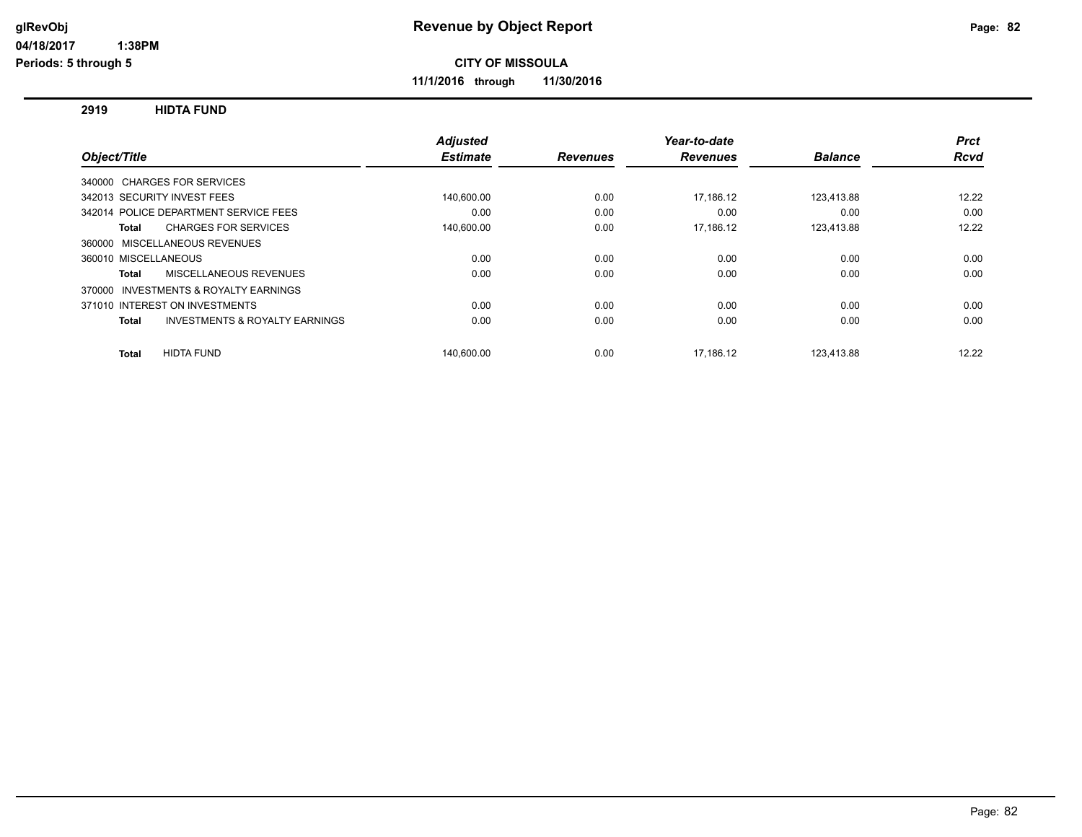**11/1/2016 through 11/30/2016**

**2919 HIDTA FUND**

|                                                           | <b>Adjusted</b> |                 | Year-to-date    |                | <b>Prct</b> |
|-----------------------------------------------------------|-----------------|-----------------|-----------------|----------------|-------------|
| Object/Title                                              | <b>Estimate</b> | <b>Revenues</b> | <b>Revenues</b> | <b>Balance</b> | <b>Rcvd</b> |
| 340000 CHARGES FOR SERVICES                               |                 |                 |                 |                |             |
| 342013 SECURITY INVEST FEES                               | 140,600.00      | 0.00            | 17.186.12       | 123.413.88     | 12.22       |
| 342014 POLICE DEPARTMENT SERVICE FEES                     | 0.00            | 0.00            | 0.00            | 0.00           | 0.00        |
| <b>CHARGES FOR SERVICES</b><br>Total                      | 140,600.00      | 0.00            | 17,186.12       | 123,413.88     | 12.22       |
| 360000 MISCELLANEOUS REVENUES                             |                 |                 |                 |                |             |
| 360010 MISCELLANEOUS                                      | 0.00            | 0.00            | 0.00            | 0.00           | 0.00        |
| MISCELLANEOUS REVENUES<br><b>Total</b>                    | 0.00            | 0.00            | 0.00            | 0.00           | 0.00        |
| 370000 INVESTMENTS & ROYALTY EARNINGS                     |                 |                 |                 |                |             |
| 371010 INTEREST ON INVESTMENTS                            | 0.00            | 0.00            | 0.00            | 0.00           | 0.00        |
| <b>INVESTMENTS &amp; ROYALTY EARNINGS</b><br><b>Total</b> | 0.00            | 0.00            | 0.00            | 0.00           | 0.00        |
| <b>HIDTA FUND</b><br><b>Total</b>                         | 140.600.00      | 0.00            | 17.186.12       | 123.413.88     | 12.22       |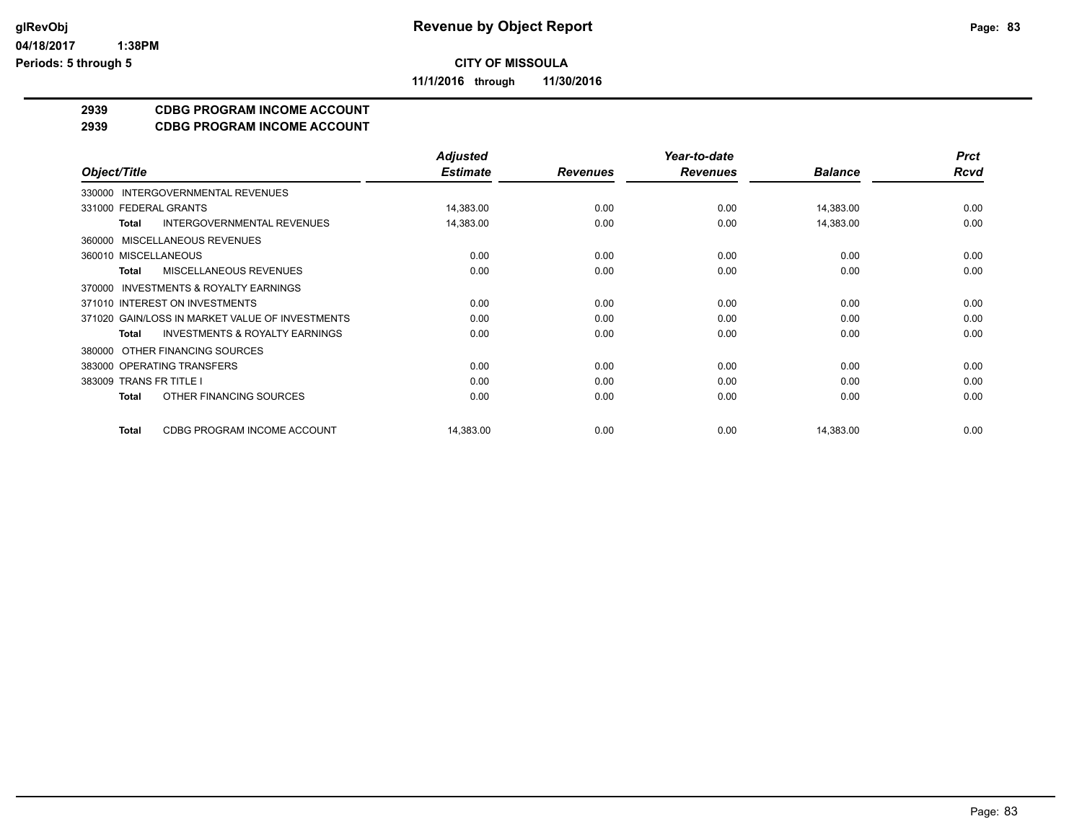**11/1/2016 through 11/30/2016**

## **2939 CDBG PROGRAM INCOME ACCOUNT**

**2939 CDBG PROGRAM INCOME ACCOUNT**

|                                                    | <b>Adjusted</b> |                 | Year-to-date    |                | <b>Prct</b> |
|----------------------------------------------------|-----------------|-----------------|-----------------|----------------|-------------|
| Object/Title                                       | <b>Estimate</b> | <b>Revenues</b> | <b>Revenues</b> | <b>Balance</b> | Rcvd        |
| 330000 INTERGOVERNMENTAL REVENUES                  |                 |                 |                 |                |             |
| 331000 FEDERAL GRANTS                              | 14,383.00       | 0.00            | 0.00            | 14,383.00      | 0.00        |
| <b>INTERGOVERNMENTAL REVENUES</b><br>Total         | 14,383.00       | 0.00            | 0.00            | 14,383.00      | 0.00        |
| 360000 MISCELLANEOUS REVENUES                      |                 |                 |                 |                |             |
| 360010 MISCELLANEOUS                               | 0.00            | 0.00            | 0.00            | 0.00           | 0.00        |
| MISCELLANEOUS REVENUES<br>Total                    | 0.00            | 0.00            | 0.00            | 0.00           | 0.00        |
| 370000 INVESTMENTS & ROYALTY EARNINGS              |                 |                 |                 |                |             |
| 371010 INTEREST ON INVESTMENTS                     | 0.00            | 0.00            | 0.00            | 0.00           | 0.00        |
| 371020 GAIN/LOSS IN MARKET VALUE OF INVESTMENTS    | 0.00            | 0.00            | 0.00            | 0.00           | 0.00        |
| <b>INVESTMENTS &amp; ROYALTY EARNINGS</b><br>Total | 0.00            | 0.00            | 0.00            | 0.00           | 0.00        |
| 380000 OTHER FINANCING SOURCES                     |                 |                 |                 |                |             |
| 383000 OPERATING TRANSFERS                         | 0.00            | 0.00            | 0.00            | 0.00           | 0.00        |
| 383009 TRANS FR TITLE I                            | 0.00            | 0.00            | 0.00            | 0.00           | 0.00        |
| OTHER FINANCING SOURCES<br>Total                   | 0.00            | 0.00            | 0.00            | 0.00           | 0.00        |
| CDBG PROGRAM INCOME ACCOUNT<br><b>Total</b>        | 14,383.00       | 0.00            | 0.00            | 14,383.00      | 0.00        |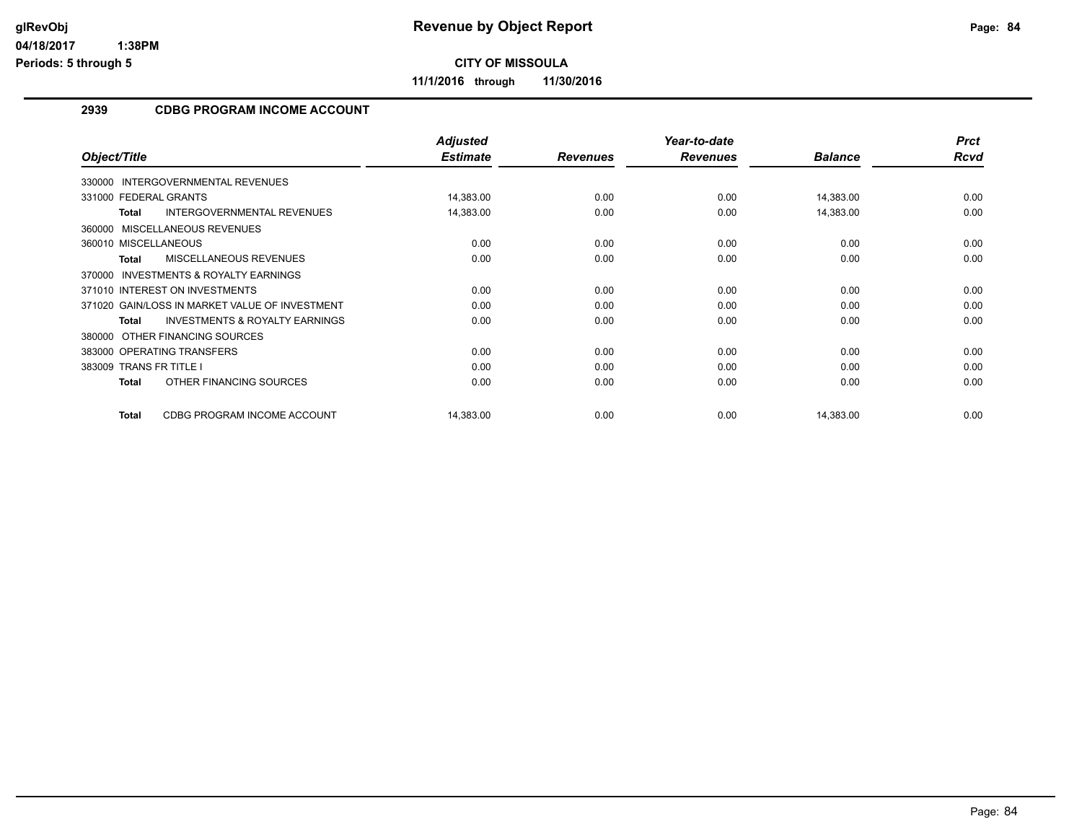**11/1/2016 through 11/30/2016**

### **2939 CDBG PROGRAM INCOME ACCOUNT**

|                                                    | <b>Adjusted</b> |                 | Year-to-date    |                | <b>Prct</b> |
|----------------------------------------------------|-----------------|-----------------|-----------------|----------------|-------------|
| Object/Title                                       | <b>Estimate</b> | <b>Revenues</b> | <b>Revenues</b> | <b>Balance</b> | <b>Rcvd</b> |
| 330000 INTERGOVERNMENTAL REVENUES                  |                 |                 |                 |                |             |
| 331000 FEDERAL GRANTS                              | 14,383.00       | 0.00            | 0.00            | 14,383.00      | 0.00        |
| <b>INTERGOVERNMENTAL REVENUES</b><br><b>Total</b>  | 14,383.00       | 0.00            | 0.00            | 14,383.00      | 0.00        |
| 360000 MISCELLANEOUS REVENUES                      |                 |                 |                 |                |             |
| 360010 MISCELLANEOUS                               | 0.00            | 0.00            | 0.00            | 0.00           | 0.00        |
| MISCELLANEOUS REVENUES<br><b>Total</b>             | 0.00            | 0.00            | 0.00            | 0.00           | 0.00        |
| 370000 INVESTMENTS & ROYALTY EARNINGS              |                 |                 |                 |                |             |
| 371010 INTEREST ON INVESTMENTS                     | 0.00            | 0.00            | 0.00            | 0.00           | 0.00        |
| 371020 GAIN/LOSS IN MARKET VALUE OF INVESTMENT     | 0.00            | 0.00            | 0.00            | 0.00           | 0.00        |
| <b>INVESTMENTS &amp; ROYALTY EARNINGS</b><br>Total | 0.00            | 0.00            | 0.00            | 0.00           | 0.00        |
| 380000 OTHER FINANCING SOURCES                     |                 |                 |                 |                |             |
| 383000 OPERATING TRANSFERS                         | 0.00            | 0.00            | 0.00            | 0.00           | 0.00        |
| 383009 TRANS FR TITLE I                            | 0.00            | 0.00            | 0.00            | 0.00           | 0.00        |
| OTHER FINANCING SOURCES<br><b>Total</b>            | 0.00            | 0.00            | 0.00            | 0.00           | 0.00        |
| CDBG PROGRAM INCOME ACCOUNT<br><b>Total</b>        | 14,383.00       | 0.00            | 0.00            | 14,383.00      | 0.00        |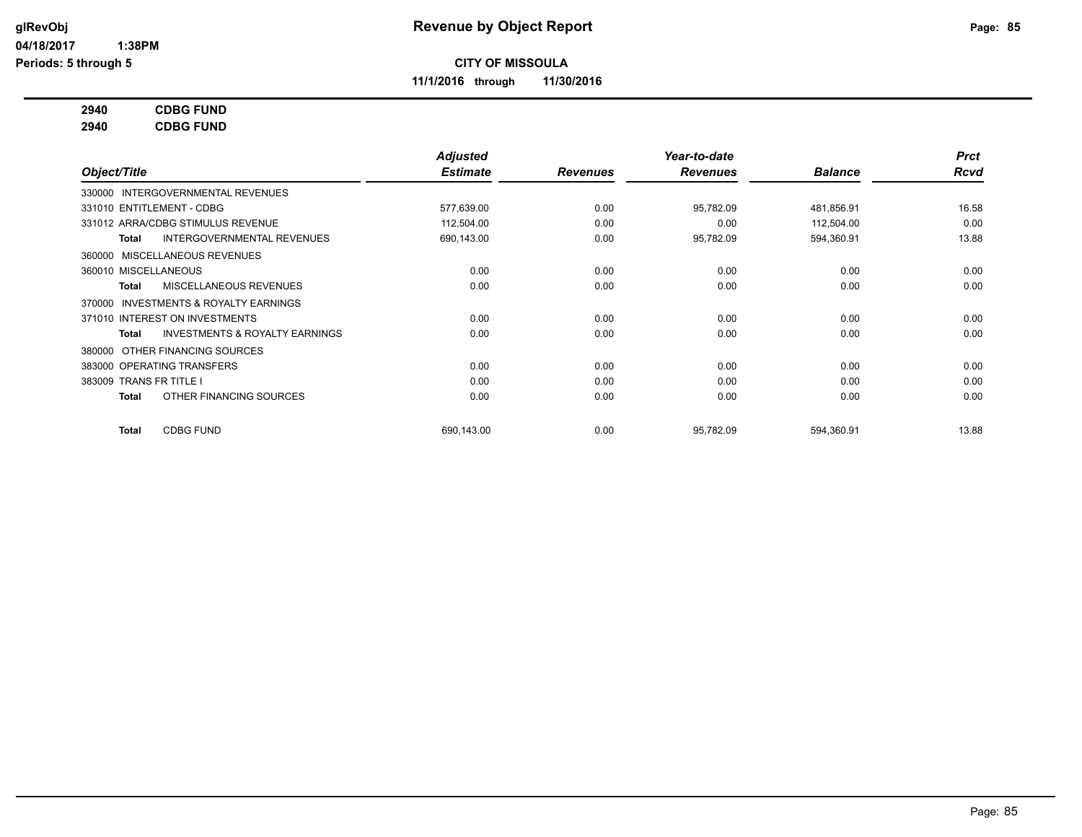## **CITY OF MISSOULA 11/1/2016 through 11/30/2016**

**2940 CDBG FUND**

**2940 CDBG FUND**

|                                                    | <b>Adjusted</b> |                 | Year-to-date    |                | <b>Prct</b> |
|----------------------------------------------------|-----------------|-----------------|-----------------|----------------|-------------|
| Object/Title                                       | <b>Estimate</b> | <b>Revenues</b> | <b>Revenues</b> | <b>Balance</b> | <b>Rcvd</b> |
| 330000 INTERGOVERNMENTAL REVENUES                  |                 |                 |                 |                |             |
| 331010 ENTITLEMENT - CDBG                          | 577,639.00      | 0.00            | 95,782.09       | 481,856.91     | 16.58       |
| 331012 ARRA/CDBG STIMULUS REVENUE                  | 112,504.00      | 0.00            | 0.00            | 112,504.00     | 0.00        |
| <b>INTERGOVERNMENTAL REVENUES</b><br><b>Total</b>  | 690,143.00      | 0.00            | 95,782.09       | 594,360.91     | 13.88       |
| 360000 MISCELLANEOUS REVENUES                      |                 |                 |                 |                |             |
| 360010 MISCELLANEOUS                               | 0.00            | 0.00            | 0.00            | 0.00           | 0.00        |
| <b>MISCELLANEOUS REVENUES</b><br>Total             | 0.00            | 0.00            | 0.00            | 0.00           | 0.00        |
| 370000 INVESTMENTS & ROYALTY EARNINGS              |                 |                 |                 |                |             |
| 371010 INTEREST ON INVESTMENTS                     | 0.00            | 0.00            | 0.00            | 0.00           | 0.00        |
| <b>INVESTMENTS &amp; ROYALTY EARNINGS</b><br>Total | 0.00            | 0.00            | 0.00            | 0.00           | 0.00        |
| OTHER FINANCING SOURCES<br>380000                  |                 |                 |                 |                |             |
| 383000 OPERATING TRANSFERS                         | 0.00            | 0.00            | 0.00            | 0.00           | 0.00        |
| 383009 TRANS FR TITLE I                            | 0.00            | 0.00            | 0.00            | 0.00           | 0.00        |
| OTHER FINANCING SOURCES<br><b>Total</b>            | 0.00            | 0.00            | 0.00            | 0.00           | 0.00        |
| <b>CDBG FUND</b><br><b>Total</b>                   | 690,143.00      | 0.00            | 95,782.09       | 594,360.91     | 13.88       |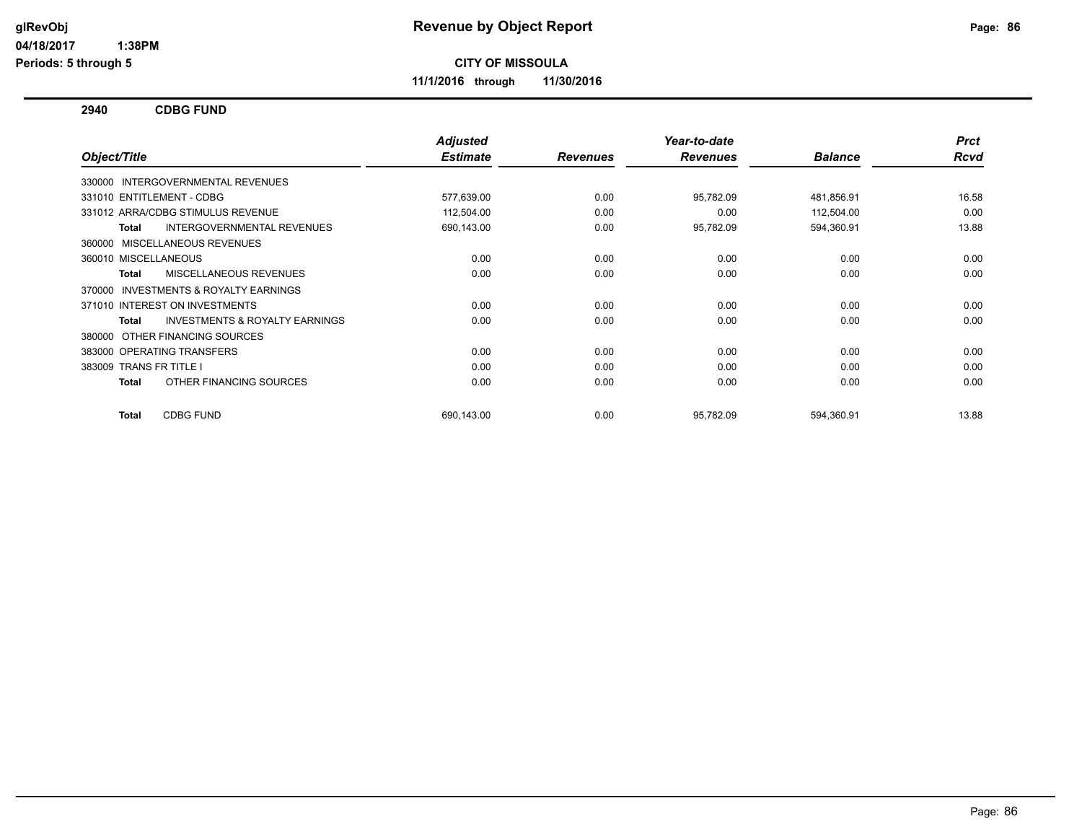**11/1/2016 through 11/30/2016**

#### **2940 CDBG FUND**

|                                                     | <b>Adjusted</b> |                 | Year-to-date    |                | <b>Prct</b> |
|-----------------------------------------------------|-----------------|-----------------|-----------------|----------------|-------------|
| Object/Title                                        | <b>Estimate</b> | <b>Revenues</b> | <b>Revenues</b> | <b>Balance</b> | Rcvd        |
| 330000 INTERGOVERNMENTAL REVENUES                   |                 |                 |                 |                |             |
| 331010 ENTITLEMENT - CDBG                           | 577,639.00      | 0.00            | 95,782.09       | 481,856.91     | 16.58       |
| 331012 ARRA/CDBG STIMULUS REVENUE                   | 112,504.00      | 0.00            | 0.00            | 112,504.00     | 0.00        |
| <b>INTERGOVERNMENTAL REVENUES</b><br>Total          | 690,143.00      | 0.00            | 95,782.09       | 594,360.91     | 13.88       |
| 360000 MISCELLANEOUS REVENUES                       |                 |                 |                 |                |             |
| 360010 MISCELLANEOUS                                | 0.00            | 0.00            | 0.00            | 0.00           | 0.00        |
| MISCELLANEOUS REVENUES<br>Total                     | 0.00            | 0.00            | 0.00            | 0.00           | 0.00        |
| <b>INVESTMENTS &amp; ROYALTY EARNINGS</b><br>370000 |                 |                 |                 |                |             |
| 371010 INTEREST ON INVESTMENTS                      | 0.00            | 0.00            | 0.00            | 0.00           | 0.00        |
| <b>INVESTMENTS &amp; ROYALTY EARNINGS</b><br>Total  | 0.00            | 0.00            | 0.00            | 0.00           | 0.00        |
| 380000 OTHER FINANCING SOURCES                      |                 |                 |                 |                |             |
| 383000 OPERATING TRANSFERS                          | 0.00            | 0.00            | 0.00            | 0.00           | 0.00        |
| 383009 TRANS FR TITLE I                             | 0.00            | 0.00            | 0.00            | 0.00           | 0.00        |
| OTHER FINANCING SOURCES<br><b>Total</b>             | 0.00            | 0.00            | 0.00            | 0.00           | 0.00        |
| <b>CDBG FUND</b><br><b>Total</b>                    | 690,143.00      | 0.00            | 95,782.09       | 594,360.91     | 13.88       |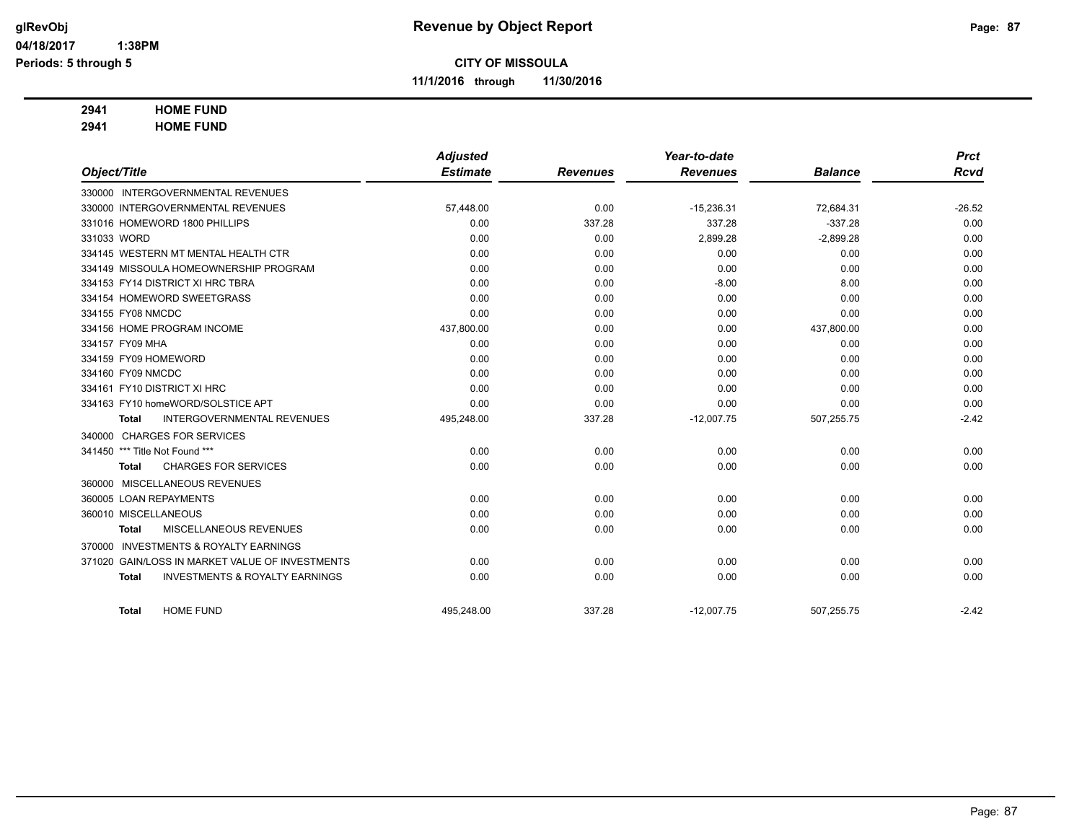**CITY OF MISSOULA 11/1/2016 through 11/30/2016**

## **2941 HOME FUND**

**2941 HOME FUND**

|                                                           | <b>Adjusted</b> |                 | Year-to-date    |                | <b>Prct</b> |
|-----------------------------------------------------------|-----------------|-----------------|-----------------|----------------|-------------|
| Object/Title                                              | <b>Estimate</b> | <b>Revenues</b> | <b>Revenues</b> | <b>Balance</b> | <b>Rcvd</b> |
| 330000 INTERGOVERNMENTAL REVENUES                         |                 |                 |                 |                |             |
| 330000 INTERGOVERNMENTAL REVENUES                         | 57,448.00       | 0.00            | $-15,236.31$    | 72.684.31      | $-26.52$    |
| 331016 HOMEWORD 1800 PHILLIPS                             | 0.00            | 337.28          | 337.28          | $-337.28$      | 0.00        |
| 331033 WORD                                               | 0.00            | 0.00            | 2,899.28        | $-2,899.28$    | 0.00        |
| 334145 WESTERN MT MENTAL HEALTH CTR                       | 0.00            | 0.00            | 0.00            | 0.00           | 0.00        |
| 334149 MISSOULA HOMEOWNERSHIP PROGRAM                     | 0.00            | 0.00            | 0.00            | 0.00           | 0.00        |
| 334153 FY14 DISTRICT XI HRC TBRA                          | 0.00            | 0.00            | $-8.00$         | 8.00           | 0.00        |
| 334154 HOMEWORD SWEETGRASS                                | 0.00            | 0.00            | 0.00            | 0.00           | 0.00        |
| 334155 FY08 NMCDC                                         | 0.00            | 0.00            | 0.00            | 0.00           | 0.00        |
| 334156 HOME PROGRAM INCOME                                | 437,800.00      | 0.00            | 0.00            | 437,800.00     | 0.00        |
| 334157 FY09 MHA                                           | 0.00            | 0.00            | 0.00            | 0.00           | 0.00        |
| 334159 FY09 HOMEWORD                                      | 0.00            | 0.00            | 0.00            | 0.00           | 0.00        |
| 334160 FY09 NMCDC                                         | 0.00            | 0.00            | 0.00            | 0.00           | 0.00        |
| 334161 FY10 DISTRICT XI HRC                               | 0.00            | 0.00            | 0.00            | 0.00           | 0.00        |
| 334163 FY10 homeWORD/SOLSTICE APT                         | 0.00            | 0.00            | 0.00            | 0.00           | 0.00        |
| <b>INTERGOVERNMENTAL REVENUES</b><br>Total                | 495,248.00      | 337.28          | $-12,007.75$    | 507,255.75     | $-2.42$     |
| 340000 CHARGES FOR SERVICES                               |                 |                 |                 |                |             |
| 341450 *** Title Not Found ***                            | 0.00            | 0.00            | 0.00            | 0.00           | 0.00        |
| <b>CHARGES FOR SERVICES</b><br>Total                      | 0.00            | 0.00            | 0.00            | 0.00           | 0.00        |
| 360000 MISCELLANEOUS REVENUES                             |                 |                 |                 |                |             |
| 360005 LOAN REPAYMENTS                                    | 0.00            | 0.00            | 0.00            | 0.00           | 0.00        |
| 360010 MISCELLANEOUS                                      | 0.00            | 0.00            | 0.00            | 0.00           | 0.00        |
| MISCELLANEOUS REVENUES<br><b>Total</b>                    | 0.00            | 0.00            | 0.00            | 0.00           | 0.00        |
| 370000 INVESTMENTS & ROYALTY EARNINGS                     |                 |                 |                 |                |             |
| 371020 GAIN/LOSS IN MARKET VALUE OF INVESTMENTS           | 0.00            | 0.00            | 0.00            | 0.00           | 0.00        |
| <b>INVESTMENTS &amp; ROYALTY EARNINGS</b><br><b>Total</b> | 0.00            | 0.00            | 0.00            | 0.00           | 0.00        |
| <b>HOME FUND</b><br><b>Total</b>                          | 495,248.00      | 337.28          | $-12,007.75$    | 507,255.75     | $-2.42$     |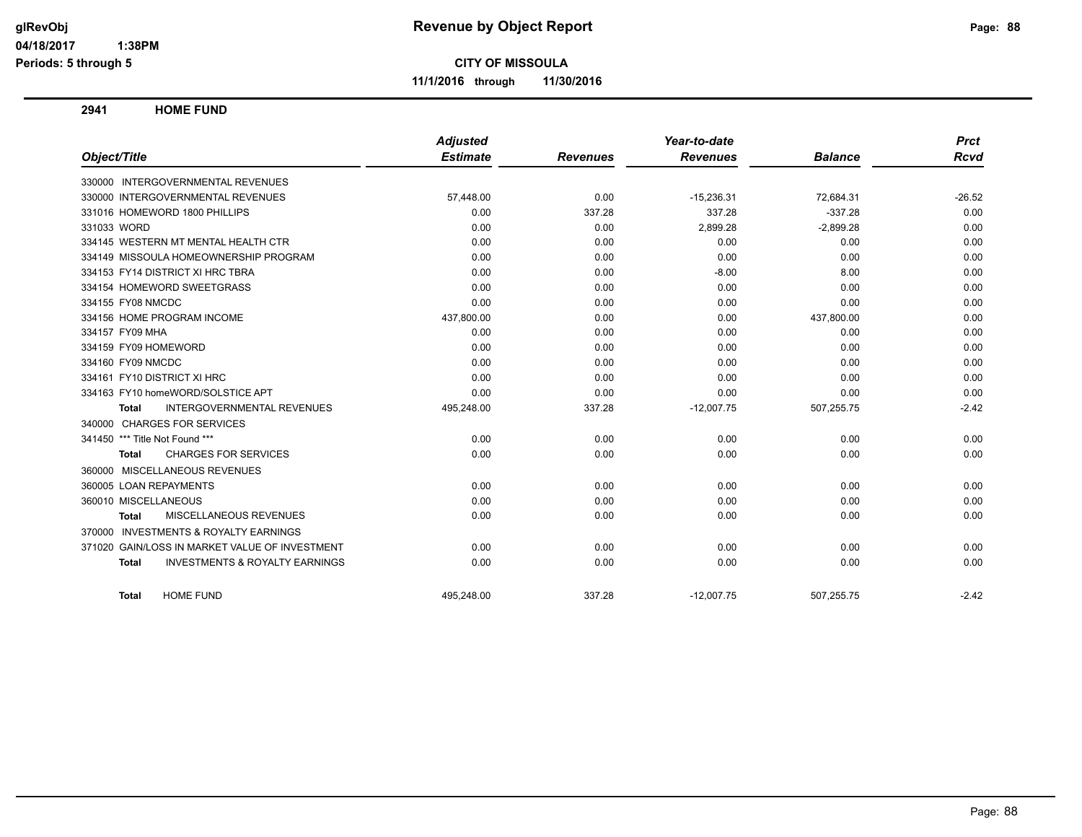**11/1/2016 through 11/30/2016**

#### **2941 HOME FUND**

|                                                           | <b>Adjusted</b> |                 | Year-to-date    |                | <b>Prct</b> |
|-----------------------------------------------------------|-----------------|-----------------|-----------------|----------------|-------------|
| Object/Title                                              | <b>Estimate</b> | <b>Revenues</b> | <b>Revenues</b> | <b>Balance</b> | <b>Rcvd</b> |
| 330000 INTERGOVERNMENTAL REVENUES                         |                 |                 |                 |                |             |
| 330000 INTERGOVERNMENTAL REVENUES                         | 57,448.00       | 0.00            | $-15,236.31$    | 72,684.31      | $-26.52$    |
| 331016 HOMEWORD 1800 PHILLIPS                             | 0.00            | 337.28          | 337.28          | $-337.28$      | 0.00        |
| 331033 WORD                                               | 0.00            | 0.00            | 2,899.28        | $-2,899.28$    | 0.00        |
| 334145 WESTERN MT MENTAL HEALTH CTR                       | 0.00            | 0.00            | 0.00            | 0.00           | 0.00        |
| 334149 MISSOULA HOMEOWNERSHIP PROGRAM                     | 0.00            | 0.00            | 0.00            | 0.00           | 0.00        |
| 334153 FY14 DISTRICT XI HRC TBRA                          | 0.00            | 0.00            | $-8.00$         | 8.00           | 0.00        |
| 334154 HOMEWORD SWEETGRASS                                | 0.00            | 0.00            | 0.00            | 0.00           | 0.00        |
| 334155 FY08 NMCDC                                         | 0.00            | 0.00            | 0.00            | 0.00           | 0.00        |
| 334156 HOME PROGRAM INCOME                                | 437,800.00      | 0.00            | 0.00            | 437,800.00     | 0.00        |
| 334157 FY09 MHA                                           | 0.00            | 0.00            | 0.00            | 0.00           | 0.00        |
| 334159 FY09 HOMEWORD                                      | 0.00            | 0.00            | 0.00            | 0.00           | 0.00        |
| 334160 FY09 NMCDC                                         | 0.00            | 0.00            | 0.00            | 0.00           | 0.00        |
| 334161 FY10 DISTRICT XI HRC                               | 0.00            | 0.00            | 0.00            | 0.00           | 0.00        |
| 334163 FY10 homeWORD/SOLSTICE APT                         | 0.00            | 0.00            | 0.00            | 0.00           | 0.00        |
| <b>INTERGOVERNMENTAL REVENUES</b><br>Total                | 495,248.00      | 337.28          | $-12,007.75$    | 507,255.75     | $-2.42$     |
| 340000 CHARGES FOR SERVICES                               |                 |                 |                 |                |             |
| 341450 *** Title Not Found ***                            | 0.00            | 0.00            | 0.00            | 0.00           | 0.00        |
| <b>CHARGES FOR SERVICES</b><br><b>Total</b>               | 0.00            | 0.00            | 0.00            | 0.00           | 0.00        |
| 360000 MISCELLANEOUS REVENUES                             |                 |                 |                 |                |             |
| 360005 LOAN REPAYMENTS                                    | 0.00            | 0.00            | 0.00            | 0.00           | 0.00        |
| 360010 MISCELLANEOUS                                      | 0.00            | 0.00            | 0.00            | 0.00           | 0.00        |
| <b>MISCELLANEOUS REVENUES</b><br><b>Total</b>             | 0.00            | 0.00            | 0.00            | 0.00           | 0.00        |
| 370000 INVESTMENTS & ROYALTY EARNINGS                     |                 |                 |                 |                |             |
| 371020 GAIN/LOSS IN MARKET VALUE OF INVESTMENT            | 0.00            | 0.00            | 0.00            | 0.00           | 0.00        |
| <b>INVESTMENTS &amp; ROYALTY EARNINGS</b><br><b>Total</b> | 0.00            | 0.00            | 0.00            | 0.00           | 0.00        |
| <b>HOME FUND</b><br><b>Total</b>                          | 495,248.00      | 337.28          | $-12,007.75$    | 507,255.75     | $-2.42$     |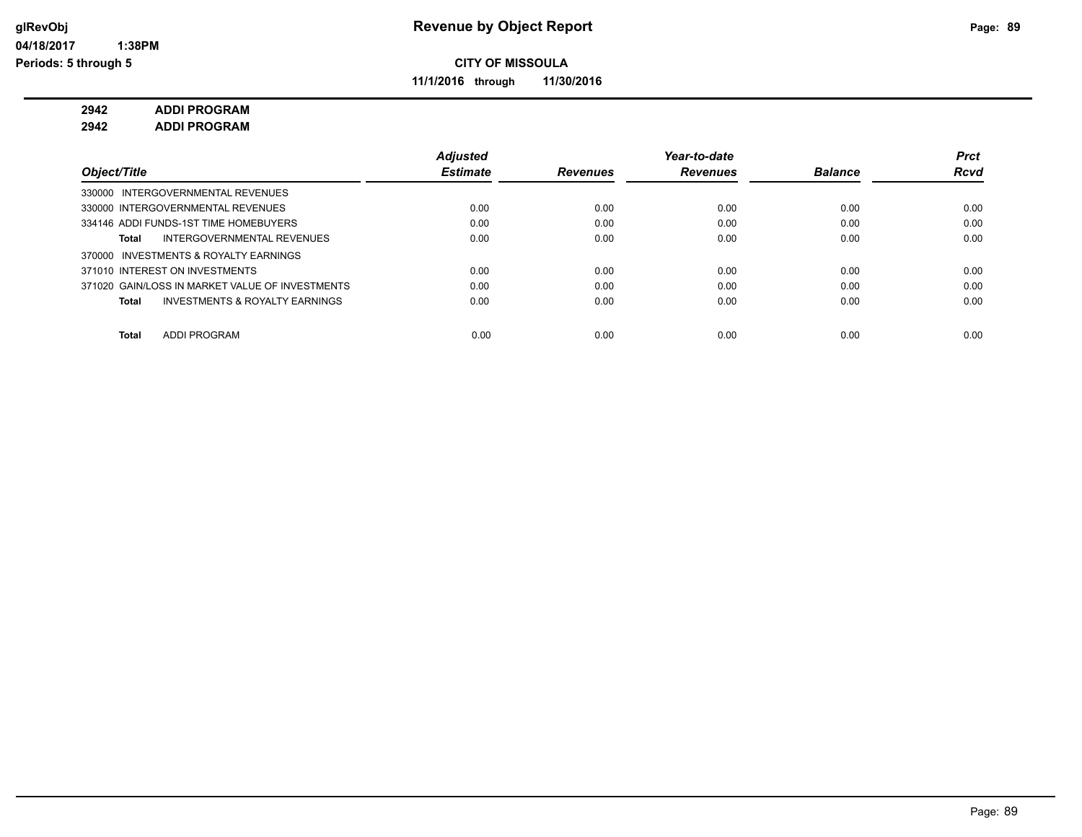**11/1/2016 through 11/30/2016**

**2942 ADDI PROGRAM 2942 ADDI PROGRAM**

|                                                    | <b>Adjusted</b> |                 | Year-to-date    |                | <b>Prct</b> |
|----------------------------------------------------|-----------------|-----------------|-----------------|----------------|-------------|
| Object/Title                                       | <b>Estimate</b> | <b>Revenues</b> | <b>Revenues</b> | <b>Balance</b> | Rcvd        |
| 330000 INTERGOVERNMENTAL REVENUES                  |                 |                 |                 |                |             |
| 330000 INTERGOVERNMENTAL REVENUES                  | 0.00            | 0.00            | 0.00            | 0.00           | 0.00        |
| 334146 ADDI FUNDS-1ST TIME HOMEBUYERS              | 0.00            | 0.00            | 0.00            | 0.00           | 0.00        |
| INTERGOVERNMENTAL REVENUES<br>Total                | 0.00            | 0.00            | 0.00            | 0.00           | 0.00        |
| 370000 INVESTMENTS & ROYALTY EARNINGS              |                 |                 |                 |                |             |
| 371010 INTEREST ON INVESTMENTS                     | 0.00            | 0.00            | 0.00            | 0.00           | 0.00        |
| 371020 GAIN/LOSS IN MARKET VALUE OF INVESTMENTS    | 0.00            | 0.00            | 0.00            | 0.00           | 0.00        |
| <b>INVESTMENTS &amp; ROYALTY EARNINGS</b><br>Total | 0.00            | 0.00            | 0.00            | 0.00           | 0.00        |
| ADDI PROGRAM<br><b>Total</b>                       | 0.00            | 0.00            | 0.00            | 0.00           | 0.00        |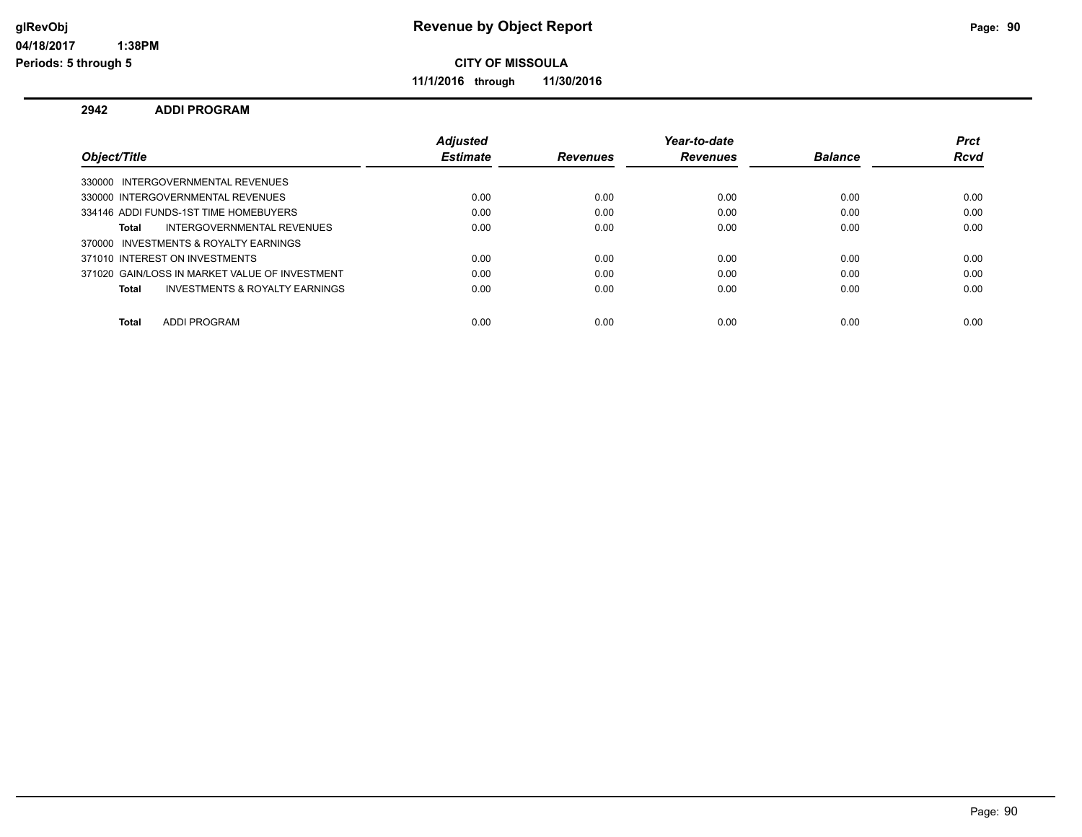**11/1/2016 through 11/30/2016**

#### **2942 ADDI PROGRAM**

|                                                | <b>Adiusted</b> |                 | Year-to-date    |                | <b>Prct</b> |
|------------------------------------------------|-----------------|-----------------|-----------------|----------------|-------------|
| Object/Title                                   | <b>Estimate</b> | <b>Revenues</b> | <b>Revenues</b> | <b>Balance</b> | <b>Rcvd</b> |
| 330000 INTERGOVERNMENTAL REVENUES              |                 |                 |                 |                |             |
| 330000 INTERGOVERNMENTAL REVENUES              | 0.00            | 0.00            | 0.00            | 0.00           | 0.00        |
| 334146 ADDI FUNDS-1ST TIME HOMEBUYERS          | 0.00            | 0.00            | 0.00            | 0.00           | 0.00        |
| INTERGOVERNMENTAL REVENUES<br>Total            | 0.00            | 0.00            | 0.00            | 0.00           | 0.00        |
| 370000 INVESTMENTS & ROYALTY EARNINGS          |                 |                 |                 |                |             |
| 371010 INTEREST ON INVESTMENTS                 | 0.00            | 0.00            | 0.00            | 0.00           | 0.00        |
| 371020 GAIN/LOSS IN MARKET VALUE OF INVESTMENT | 0.00            | 0.00            | 0.00            | 0.00           | 0.00        |
| INVESTMENTS & ROYALTY EARNINGS<br>Total        | 0.00            | 0.00            | 0.00            | 0.00           | 0.00        |
| ADDI PROGRAM<br>Total                          | 0.00            | 0.00            | 0.00            | 0.00           | 0.00        |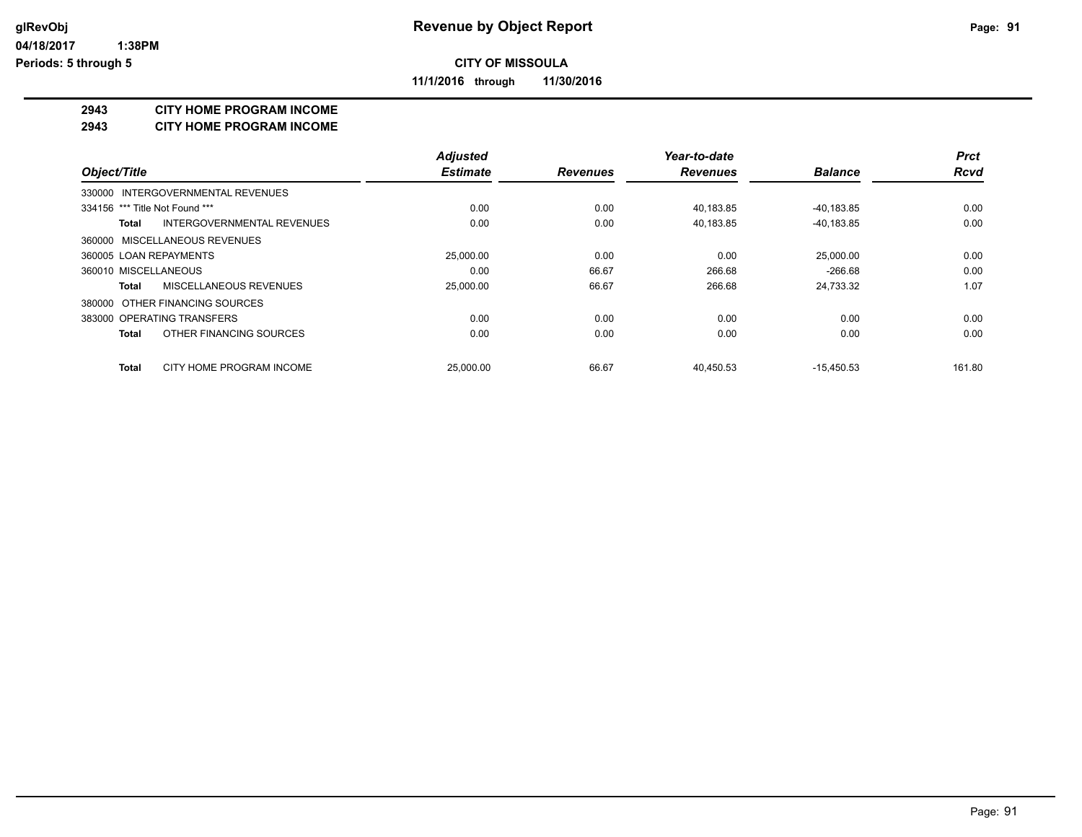**11/1/2016 through 11/30/2016**

## **2943 CITY HOME PROGRAM INCOME**

### **2943 CITY HOME PROGRAM INCOME**

|                                            | <b>Adjusted</b> |                 | Year-to-date    |                | <b>Prct</b> |
|--------------------------------------------|-----------------|-----------------|-----------------|----------------|-------------|
| Object/Title                               | <b>Estimate</b> | <b>Revenues</b> | <b>Revenues</b> | <b>Balance</b> | Rcvd        |
| INTERGOVERNMENTAL REVENUES<br>330000       |                 |                 |                 |                |             |
| 334156 *** Title Not Found ***             | 0.00            | 0.00            | 40.183.85       | $-40,183.85$   | 0.00        |
| <b>INTERGOVERNMENTAL REVENUES</b><br>Total | 0.00            | 0.00            | 40,183.85       | $-40,183.85$   | 0.00        |
| 360000 MISCELLANEOUS REVENUES              |                 |                 |                 |                |             |
| 360005 LOAN REPAYMENTS                     | 25,000.00       | 0.00            | 0.00            | 25.000.00      | 0.00        |
| 360010 MISCELLANEOUS                       | 0.00            | 66.67           | 266.68          | $-266.68$      | 0.00        |
| MISCELLANEOUS REVENUES<br>Total            | 25,000.00       | 66.67           | 266.68          | 24,733.32      | 1.07        |
| 380000 OTHER FINANCING SOURCES             |                 |                 |                 |                |             |
| 383000 OPERATING TRANSFERS                 | 0.00            | 0.00            | 0.00            | 0.00           | 0.00        |
| OTHER FINANCING SOURCES<br>Total           | 0.00            | 0.00            | 0.00            | 0.00           | 0.00        |
| CITY HOME PROGRAM INCOME<br><b>Total</b>   | 25.000.00       | 66.67           | 40.450.53       | $-15.450.53$   | 161.80      |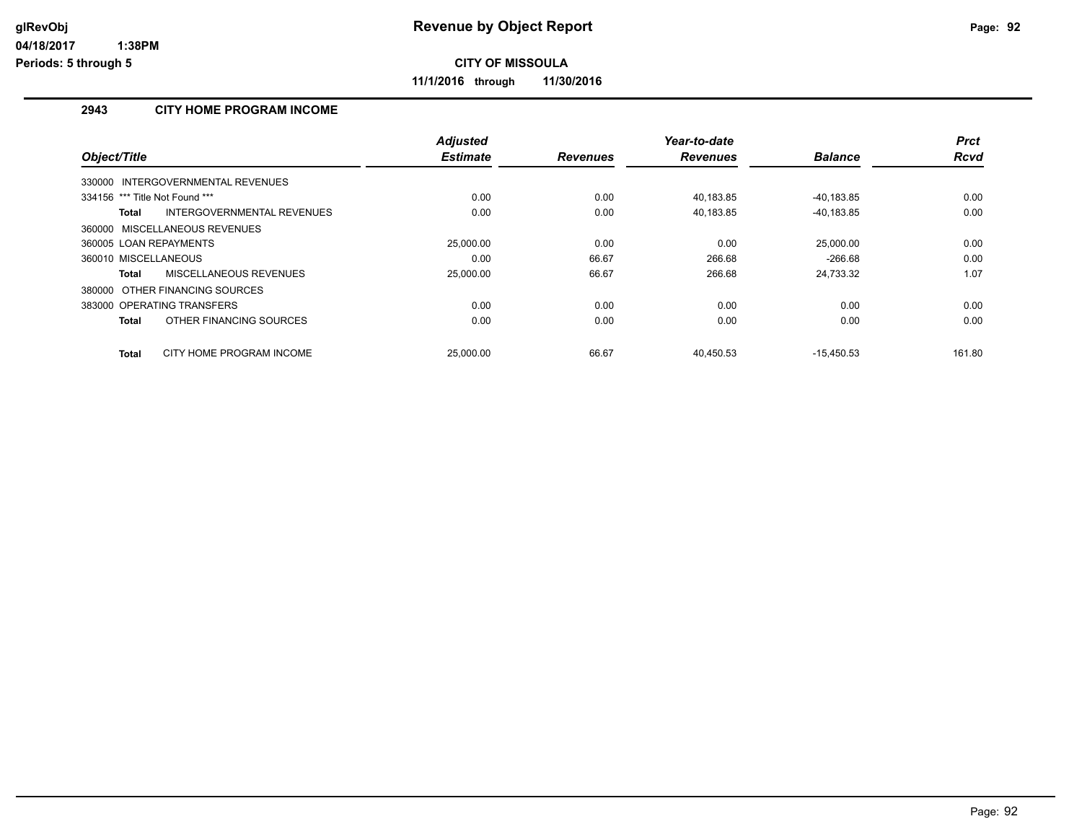**11/1/2016 through 11/30/2016**

### **2943 CITY HOME PROGRAM INCOME**

|                                |                            | <b>Adjusted</b> |                 | Year-to-date    |                | <b>Prct</b> |
|--------------------------------|----------------------------|-----------------|-----------------|-----------------|----------------|-------------|
| Object/Title                   |                            | <b>Estimate</b> | <b>Revenues</b> | <b>Revenues</b> | <b>Balance</b> | <b>Rcvd</b> |
| 330000                         | INTERGOVERNMENTAL REVENUES |                 |                 |                 |                |             |
| 334156 *** Title Not Found *** |                            | 0.00            | 0.00            | 40,183.85       | $-40,183.85$   | 0.00        |
| Total                          | INTERGOVERNMENTAL REVENUES | 0.00            | 0.00            | 40,183.85       | $-40,183.85$   | 0.00        |
| 360000                         | MISCELLANEOUS REVENUES     |                 |                 |                 |                |             |
| 360005 LOAN REPAYMENTS         |                            | 25,000.00       | 0.00            | 0.00            | 25,000.00      | 0.00        |
| 360010 MISCELLANEOUS           |                            | 0.00            | 66.67           | 266.68          | $-266.68$      | 0.00        |
| Total                          | MISCELLANEOUS REVENUES     | 25,000.00       | 66.67           | 266.68          | 24,733.32      | 1.07        |
| 380000                         | OTHER FINANCING SOURCES    |                 |                 |                 |                |             |
|                                | 383000 OPERATING TRANSFERS | 0.00            | 0.00            | 0.00            | 0.00           | 0.00        |
| <b>Total</b>                   | OTHER FINANCING SOURCES    | 0.00            | 0.00            | 0.00            | 0.00           | 0.00        |
| <b>Total</b>                   | CITY HOME PROGRAM INCOME   | 25.000.00       | 66.67           | 40.450.53       | $-15.450.53$   | 161.80      |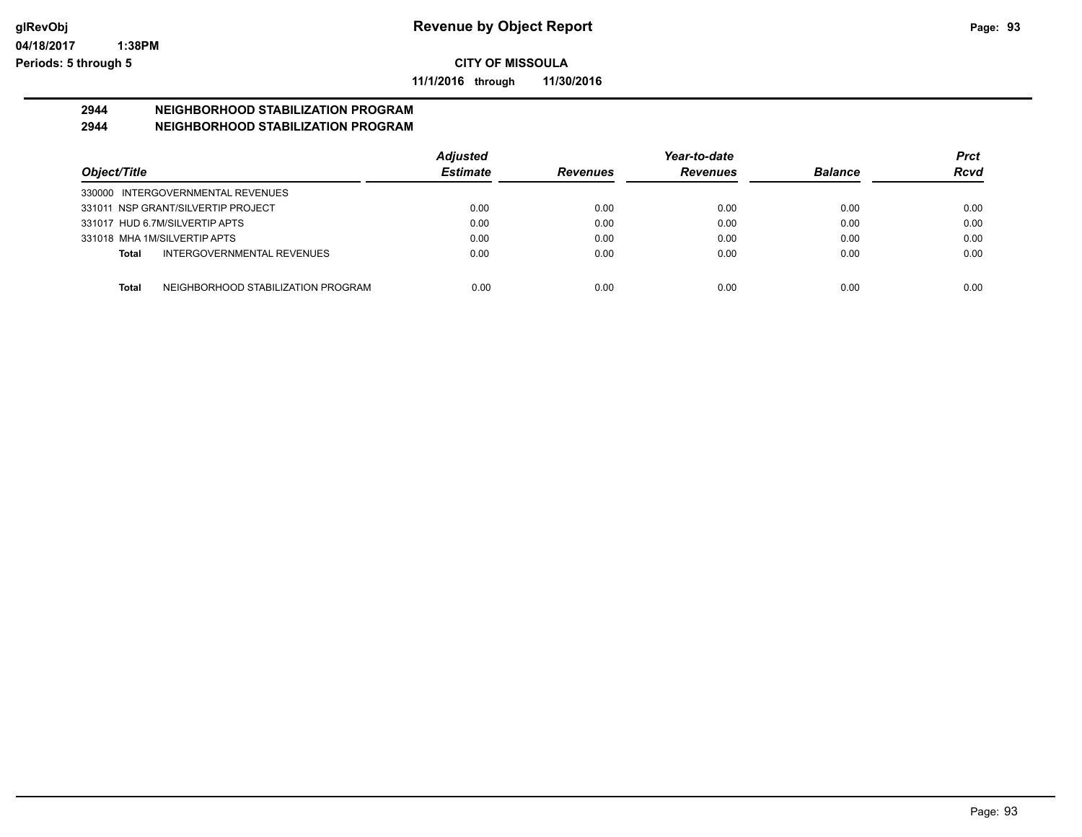**11/1/2016 through 11/30/2016**

## **2944 NEIGHBORHOOD STABILIZATION PROGRAM 2944 NEIGHBORHOOD STABILIZATION PROGRAM**

| Object/Title                                | <b>Adjusted</b><br><b>Estimate</b> | <b>Revenues</b> | Year-to-date<br><b>Revenues</b> | <b>Balance</b> | <b>Prct</b><br><b>Rcvd</b> |
|---------------------------------------------|------------------------------------|-----------------|---------------------------------|----------------|----------------------------|
|                                             |                                    |                 |                                 |                |                            |
| 330000 INTERGOVERNMENTAL REVENUES           |                                    |                 |                                 |                |                            |
| 331011 NSP GRANT/SILVERTIP PROJECT          | 0.00                               | 0.00            | 0.00                            | 0.00           | 0.00                       |
| 331017 HUD 6.7M/SILVERTIP APTS              | 0.00                               | 0.00            | 0.00                            | 0.00           | 0.00                       |
| 331018 MHA 1M/SILVERTIP APTS                | 0.00                               | 0.00            | 0.00                            | 0.00           | 0.00                       |
| INTERGOVERNMENTAL REVENUES<br>Total         | 0.00                               | 0.00            | 0.00                            | 0.00           | 0.00                       |
|                                             |                                    |                 |                                 |                |                            |
| NEIGHBORHOOD STABILIZATION PROGRAM<br>Total | 0.00                               | 0.00            | 0.00                            | 0.00           | 0.00                       |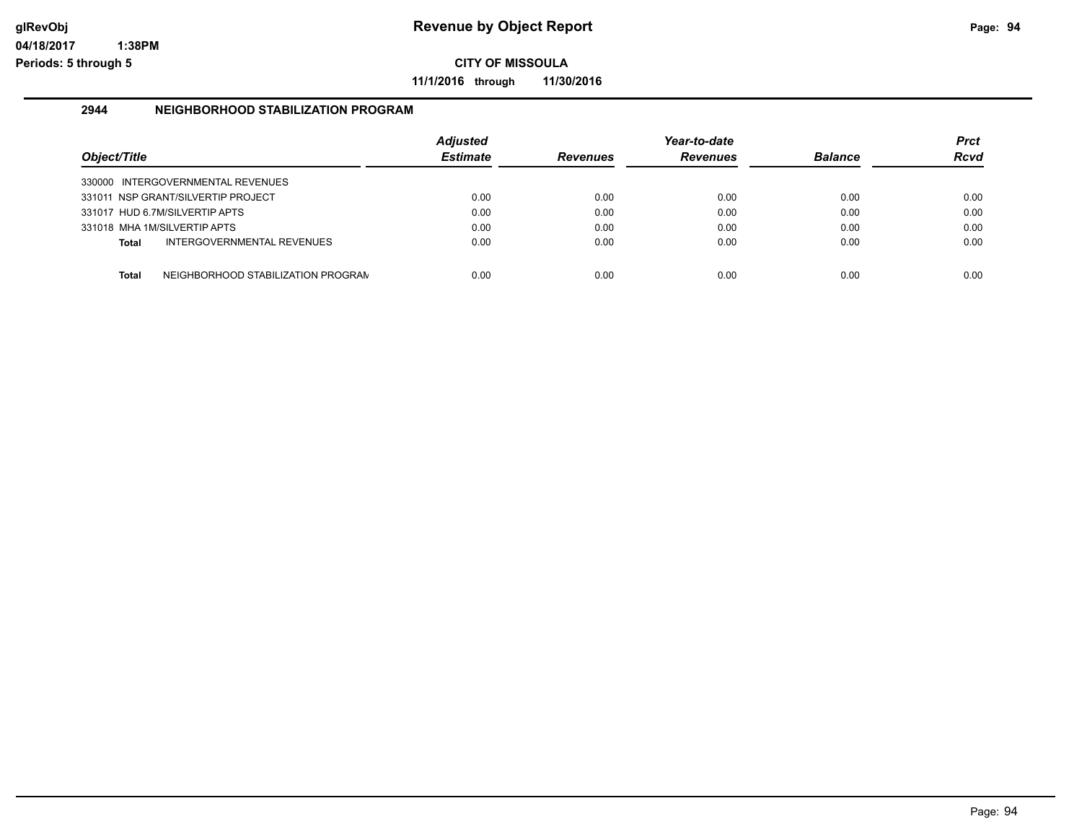**11/1/2016 through 11/30/2016**

#### **2944 NEIGHBORHOOD STABILIZATION PROGRAM**

| Object/Title                                       | <b>Adjusted</b><br><b>Estimate</b> | <b>Revenues</b> | Year-to-date<br><b>Revenues</b> | <b>Balance</b> | <b>Prct</b><br><b>Rcvd</b> |
|----------------------------------------------------|------------------------------------|-----------------|---------------------------------|----------------|----------------------------|
| 330000 INTERGOVERNMENTAL REVENUES                  |                                    |                 |                                 |                |                            |
| 331011 NSP GRANT/SILVERTIP PROJECT                 | 0.00                               | 0.00            | 0.00                            | 0.00           | 0.00                       |
| 331017 HUD 6.7M/SILVERTIP APTS                     | 0.00                               | 0.00            | 0.00                            | 0.00           | 0.00                       |
| 331018 MHA 1M/SILVERTIP APTS                       | 0.00                               | 0.00            | 0.00                            | 0.00           | 0.00                       |
| INTERGOVERNMENTAL REVENUES<br><b>Total</b>         | 0.00                               | 0.00            | 0.00                            | 0.00           | 0.00                       |
| <b>Total</b><br>NEIGHBORHOOD STABILIZATION PROGRAN | 0.00                               | 0.00            | 0.00                            | 0.00           | 0.00                       |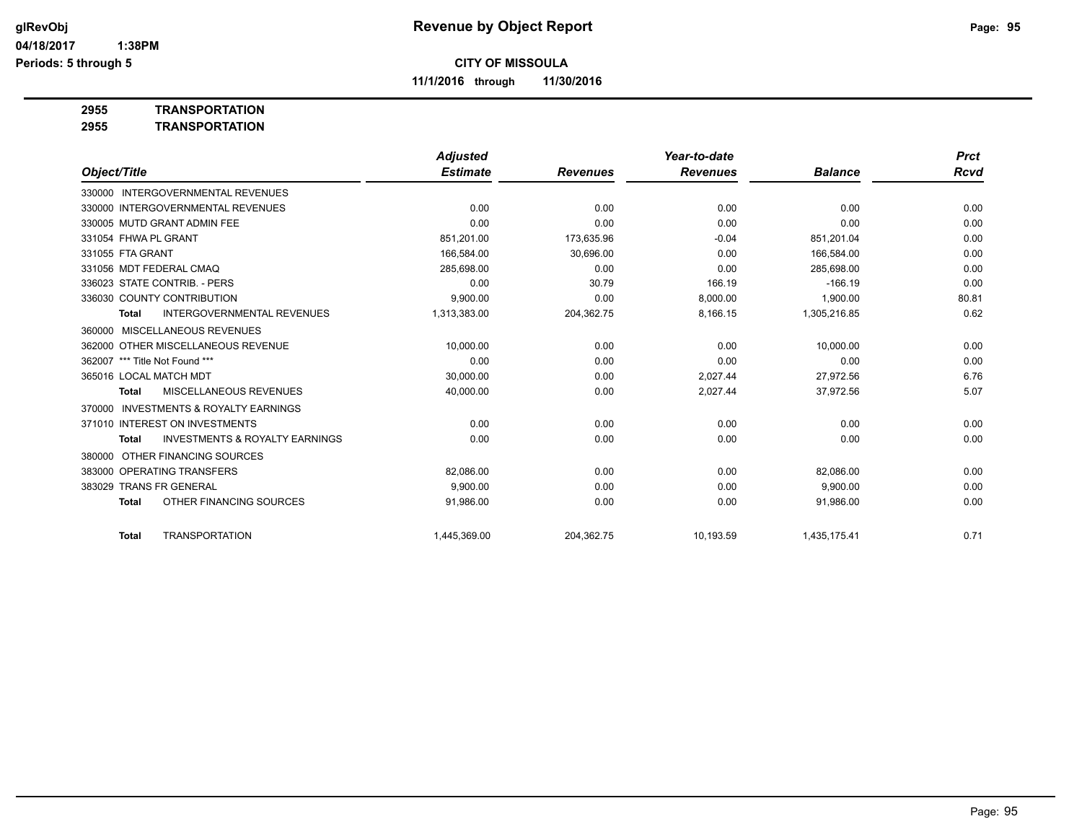**CITY OF MISSOULA 11/1/2016 through 11/30/2016**

**2955 TRANSPORTATION 2955 TRANSPORTATION**

|                                                           | <b>Adjusted</b> |                 | Year-to-date    |                | <b>Prct</b> |
|-----------------------------------------------------------|-----------------|-----------------|-----------------|----------------|-------------|
| Object/Title                                              | <b>Estimate</b> | <b>Revenues</b> | <b>Revenues</b> | <b>Balance</b> | <b>Rcvd</b> |
| 330000 INTERGOVERNMENTAL REVENUES                         |                 |                 |                 |                |             |
| 330000 INTERGOVERNMENTAL REVENUES                         | 0.00            | 0.00            | 0.00            | 0.00           | 0.00        |
| 330005 MUTD GRANT ADMIN FEE                               | 0.00            | 0.00            | 0.00            | 0.00           | 0.00        |
| 331054 FHWA PL GRANT                                      | 851,201.00      | 173,635.96      | $-0.04$         | 851,201.04     | 0.00        |
| 331055 FTA GRANT                                          | 166,584.00      | 30,696.00       | 0.00            | 166,584.00     | 0.00        |
| 331056 MDT FEDERAL CMAO                                   | 285,698.00      | 0.00            | 0.00            | 285,698.00     | 0.00        |
| 336023 STATE CONTRIB. - PERS                              | 0.00            | 30.79           | 166.19          | $-166.19$      | 0.00        |
| 336030 COUNTY CONTRIBUTION                                | 9,900.00        | 0.00            | 8,000.00        | 1,900.00       | 80.81       |
| <b>INTERGOVERNMENTAL REVENUES</b><br><b>Total</b>         | 1,313,383.00    | 204,362.75      | 8,166.15        | 1,305,216.85   | 0.62        |
| MISCELLANEOUS REVENUES<br>360000                          |                 |                 |                 |                |             |
| 362000 OTHER MISCELLANEOUS REVENUE                        | 10,000.00       | 0.00            | 0.00            | 10,000.00      | 0.00        |
| 362007 *** Title Not Found ***                            | 0.00            | 0.00            | 0.00            | 0.00           | 0.00        |
| 365016 LOCAL MATCH MDT                                    | 30,000.00       | 0.00            | 2.027.44        | 27,972.56      | 6.76        |
| <b>MISCELLANEOUS REVENUES</b><br><b>Total</b>             | 40,000.00       | 0.00            | 2,027.44        | 37,972.56      | 5.07        |
| <b>INVESTMENTS &amp; ROYALTY EARNINGS</b><br>370000       |                 |                 |                 |                |             |
| 371010 INTEREST ON INVESTMENTS                            | 0.00            | 0.00            | 0.00            | 0.00           | 0.00        |
| <b>INVESTMENTS &amp; ROYALTY EARNINGS</b><br><b>Total</b> | 0.00            | 0.00            | 0.00            | 0.00           | 0.00        |
| OTHER FINANCING SOURCES<br>380000                         |                 |                 |                 |                |             |
| 383000 OPERATING TRANSFERS                                | 82.086.00       | 0.00            | 0.00            | 82.086.00      | 0.00        |
| <b>TRANS FR GENERAL</b><br>383029                         | 9.900.00        | 0.00            | 0.00            | 9.900.00       | 0.00        |
| OTHER FINANCING SOURCES<br><b>Total</b>                   | 91,986.00       | 0.00            | 0.00            | 91,986.00      | 0.00        |
| <b>TRANSPORTATION</b><br><b>Total</b>                     | 1,445,369.00    | 204,362.75      | 10.193.59       | 1,435,175.41   | 0.71        |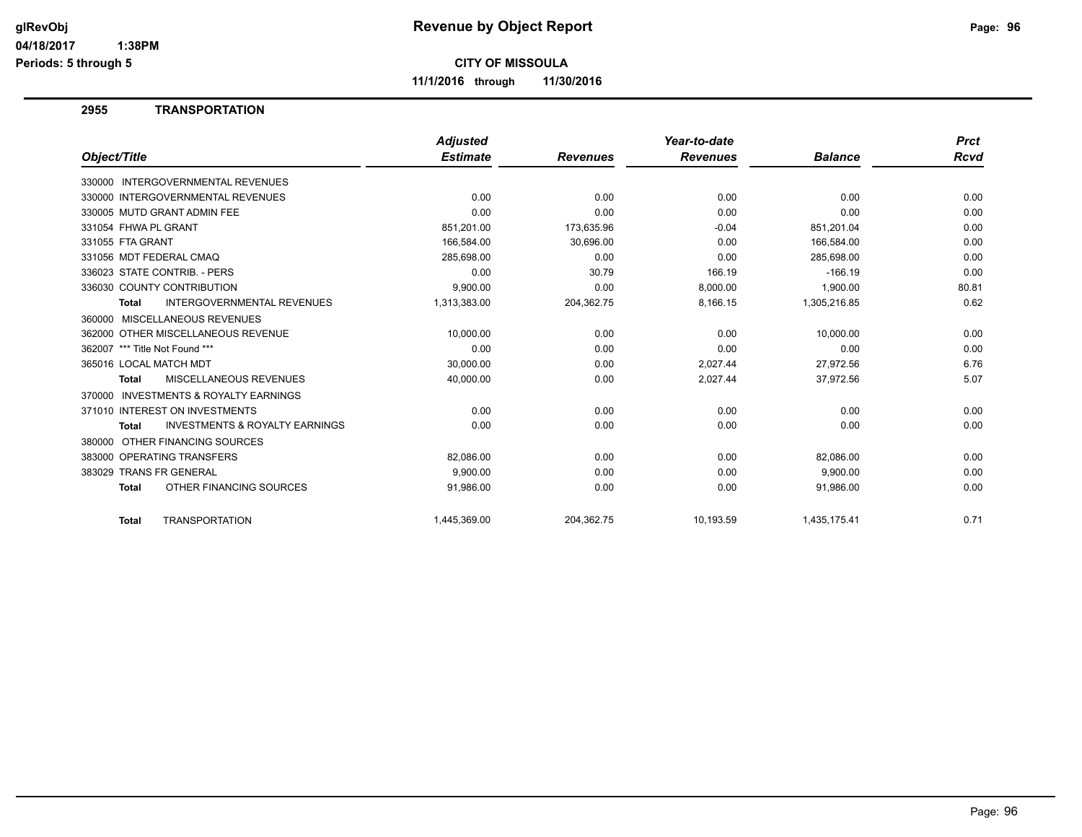**11/1/2016 through 11/30/2016**

### **2955 TRANSPORTATION**

|                                                           | <b>Adjusted</b> |                 | Year-to-date    |                | <b>Prct</b> |
|-----------------------------------------------------------|-----------------|-----------------|-----------------|----------------|-------------|
| Object/Title                                              | <b>Estimate</b> | <b>Revenues</b> | <b>Revenues</b> | <b>Balance</b> | Rcvd        |
| 330000 INTERGOVERNMENTAL REVENUES                         |                 |                 |                 |                |             |
| 330000 INTERGOVERNMENTAL REVENUES                         | 0.00            | 0.00            | 0.00            | 0.00           | 0.00        |
| 330005 MUTD GRANT ADMIN FEE                               | 0.00            | 0.00            | 0.00            | 0.00           | 0.00        |
| 331054 FHWA PL GRANT                                      | 851.201.00      | 173,635.96      | $-0.04$         | 851.201.04     | 0.00        |
| 331055 FTA GRANT                                          | 166,584.00      | 30,696.00       | 0.00            | 166,584.00     | 0.00        |
| 331056 MDT FEDERAL CMAQ                                   | 285,698.00      | 0.00            | 0.00            | 285,698.00     | 0.00        |
| 336023 STATE CONTRIB. - PERS                              | 0.00            | 30.79           | 166.19          | $-166.19$      | 0.00        |
| 336030 COUNTY CONTRIBUTION                                | 9,900.00        | 0.00            | 8,000.00        | 1,900.00       | 80.81       |
| <b>INTERGOVERNMENTAL REVENUES</b><br><b>Total</b>         | 1,313,383.00    | 204,362.75      | 8,166.15        | 1,305,216.85   | 0.62        |
| 360000 MISCELLANEOUS REVENUES                             |                 |                 |                 |                |             |
| 362000 OTHER MISCELLANEOUS REVENUE                        | 10.000.00       | 0.00            | 0.00            | 10,000.00      | 0.00        |
| 362007 *** Title Not Found ***                            | 0.00            | 0.00            | 0.00            | 0.00           | 0.00        |
| 365016 LOCAL MATCH MDT                                    | 30,000.00       | 0.00            | 2,027.44        | 27,972.56      | 6.76        |
| <b>MISCELLANEOUS REVENUES</b><br>Total                    | 40,000.00       | 0.00            | 2,027.44        | 37,972.56      | 5.07        |
| 370000 INVESTMENTS & ROYALTY EARNINGS                     |                 |                 |                 |                |             |
| 371010 INTEREST ON INVESTMENTS                            | 0.00            | 0.00            | 0.00            | 0.00           | 0.00        |
| <b>INVESTMENTS &amp; ROYALTY EARNINGS</b><br><b>Total</b> | 0.00            | 0.00            | 0.00            | 0.00           | 0.00        |
| 380000 OTHER FINANCING SOURCES                            |                 |                 |                 |                |             |
| 383000 OPERATING TRANSFERS                                | 82.086.00       | 0.00            | 0.00            | 82,086.00      | 0.00        |
| 383029 TRANS FR GENERAL                                   | 9,900.00        | 0.00            | 0.00            | 9,900.00       | 0.00        |
| OTHER FINANCING SOURCES<br>Total                          | 91,986.00       | 0.00            | 0.00            | 91,986.00      | 0.00        |
| <b>TRANSPORTATION</b><br><b>Total</b>                     | 1.445.369.00    | 204.362.75      | 10.193.59       | 1,435,175.41   | 0.71        |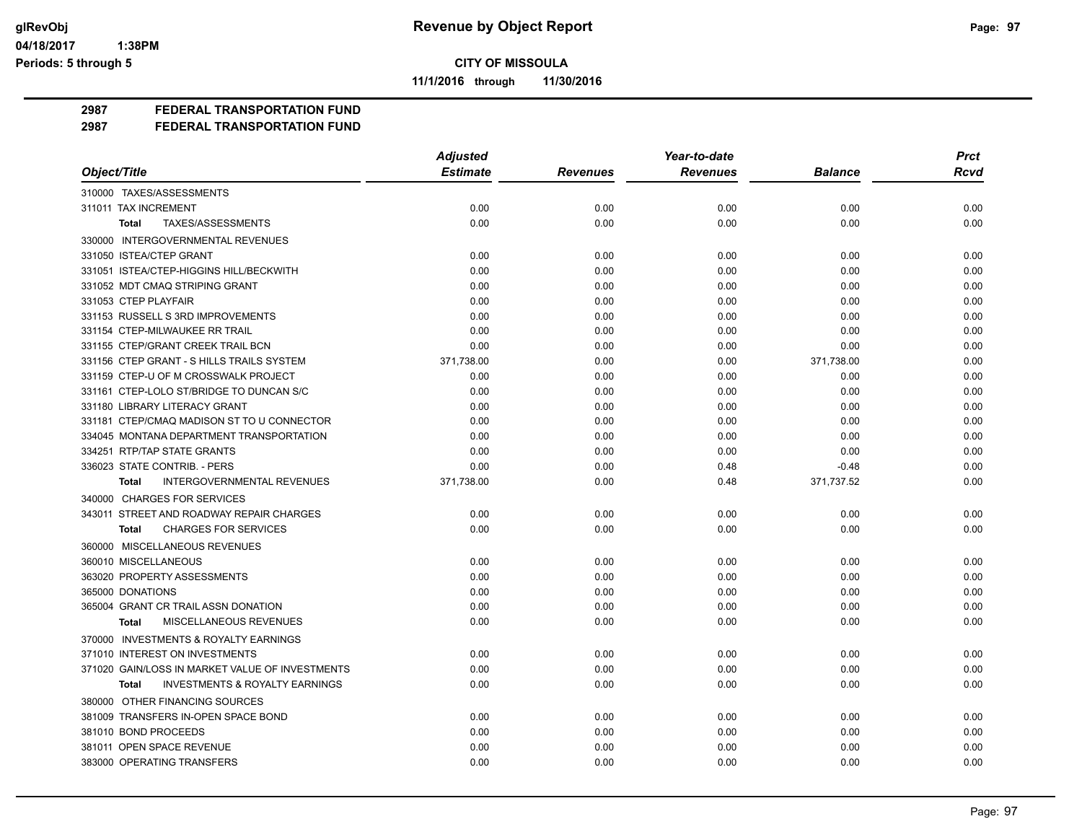**11/1/2016 through 11/30/2016**

## **2987 FEDERAL TRANSPORTATION FUND**

## **2987 FEDERAL TRANSPORTATION FUND**

|                                                    | <b>Adjusted</b> |                 | Year-to-date    |                | <b>Prct</b> |
|----------------------------------------------------|-----------------|-----------------|-----------------|----------------|-------------|
| Object/Title                                       | <b>Estimate</b> | <b>Revenues</b> | <b>Revenues</b> | <b>Balance</b> | Rcvd        |
| 310000 TAXES/ASSESSMENTS                           |                 |                 |                 |                |             |
| 311011 TAX INCREMENT                               | 0.00            | 0.00            | 0.00            | 0.00           | 0.00        |
| TAXES/ASSESSMENTS<br>Total                         | 0.00            | 0.00            | 0.00            | 0.00           | 0.00        |
| 330000 INTERGOVERNMENTAL REVENUES                  |                 |                 |                 |                |             |
| 331050 ISTEA/CTEP GRANT                            | 0.00            | 0.00            | 0.00            | 0.00           | 0.00        |
| 331051 ISTEA/CTEP-HIGGINS HILL/BECKWITH            | 0.00            | 0.00            | 0.00            | 0.00           | 0.00        |
| 331052 MDT CMAQ STRIPING GRANT                     | 0.00            | 0.00            | 0.00            | 0.00           | 0.00        |
| 331053 CTEP PLAYFAIR                               | 0.00            | 0.00            | 0.00            | 0.00           | 0.00        |
| 331153 RUSSELL S 3RD IMPROVEMENTS                  | 0.00            | 0.00            | 0.00            | 0.00           | 0.00        |
| 331154 CTEP-MILWAUKEE RR TRAIL                     | 0.00            | 0.00            | 0.00            | 0.00           | 0.00        |
| 331155 CTEP/GRANT CREEK TRAIL BCN                  | 0.00            | 0.00            | 0.00            | 0.00           | 0.00        |
| 331156 CTEP GRANT - S HILLS TRAILS SYSTEM          | 371,738.00      | 0.00            | 0.00            | 371,738.00     | 0.00        |
| 331159 CTEP-U OF M CROSSWALK PROJECT               | 0.00            | 0.00            | 0.00            | 0.00           | 0.00        |
| 331161 CTEP-LOLO ST/BRIDGE TO DUNCAN S/C           | 0.00            | 0.00            | 0.00            | 0.00           | 0.00        |
| 331180 LIBRARY LITERACY GRANT                      | 0.00            | 0.00            | 0.00            | 0.00           | 0.00        |
| 331181 CTEP/CMAQ MADISON ST TO U CONNECTOR         | 0.00            | 0.00            | 0.00            | 0.00           | 0.00        |
| 334045 MONTANA DEPARTMENT TRANSPORTATION           | 0.00            | 0.00            | 0.00            | 0.00           | 0.00        |
| 334251 RTP/TAP STATE GRANTS                        | 0.00            | 0.00            | 0.00            | 0.00           | 0.00        |
| 336023 STATE CONTRIB. - PERS                       | 0.00            | 0.00            | 0.48            | $-0.48$        | 0.00        |
| <b>INTERGOVERNMENTAL REVENUES</b><br>Total         | 371,738.00      | 0.00            | 0.48            | 371,737.52     | 0.00        |
| 340000 CHARGES FOR SERVICES                        |                 |                 |                 |                |             |
| 343011 STREET AND ROADWAY REPAIR CHARGES           | 0.00            | 0.00            | 0.00            | 0.00           | 0.00        |
| <b>CHARGES FOR SERVICES</b><br><b>Total</b>        | 0.00            | 0.00            | 0.00            | 0.00           | 0.00        |
| 360000 MISCELLANEOUS REVENUES                      |                 |                 |                 |                |             |
| 360010 MISCELLANEOUS                               | 0.00            | 0.00            | 0.00            | 0.00           | 0.00        |
| 363020 PROPERTY ASSESSMENTS                        | 0.00            | 0.00            | 0.00            | 0.00           | 0.00        |
| 365000 DONATIONS                                   | 0.00            | 0.00            | 0.00            | 0.00           | 0.00        |
| 365004 GRANT CR TRAIL ASSN DONATION                | 0.00            | 0.00            | 0.00            | 0.00           | 0.00        |
| MISCELLANEOUS REVENUES<br>Total                    | 0.00            | 0.00            | 0.00            | 0.00           | 0.00        |
| 370000 INVESTMENTS & ROYALTY EARNINGS              |                 |                 |                 |                |             |
| 371010 INTEREST ON INVESTMENTS                     | 0.00            | 0.00            | 0.00            | 0.00           | 0.00        |
| 371020 GAIN/LOSS IN MARKET VALUE OF INVESTMENTS    | 0.00            | 0.00            | 0.00            | 0.00           | 0.00        |
| <b>INVESTMENTS &amp; ROYALTY EARNINGS</b><br>Total | 0.00            | 0.00            | 0.00            | 0.00           | 0.00        |
| 380000 OTHER FINANCING SOURCES                     |                 |                 |                 |                |             |
| 381009 TRANSFERS IN-OPEN SPACE BOND                | 0.00            | 0.00            | 0.00            | 0.00           | 0.00        |
| 381010 BOND PROCEEDS                               | 0.00            | 0.00            | 0.00            | 0.00           | 0.00        |
| 381011 OPEN SPACE REVENUE                          | 0.00            | 0.00            | 0.00            | 0.00           | 0.00        |
| 383000 OPERATING TRANSFERS                         | 0.00            | 0.00            | 0.00            | 0.00           | 0.00        |
|                                                    |                 |                 |                 |                |             |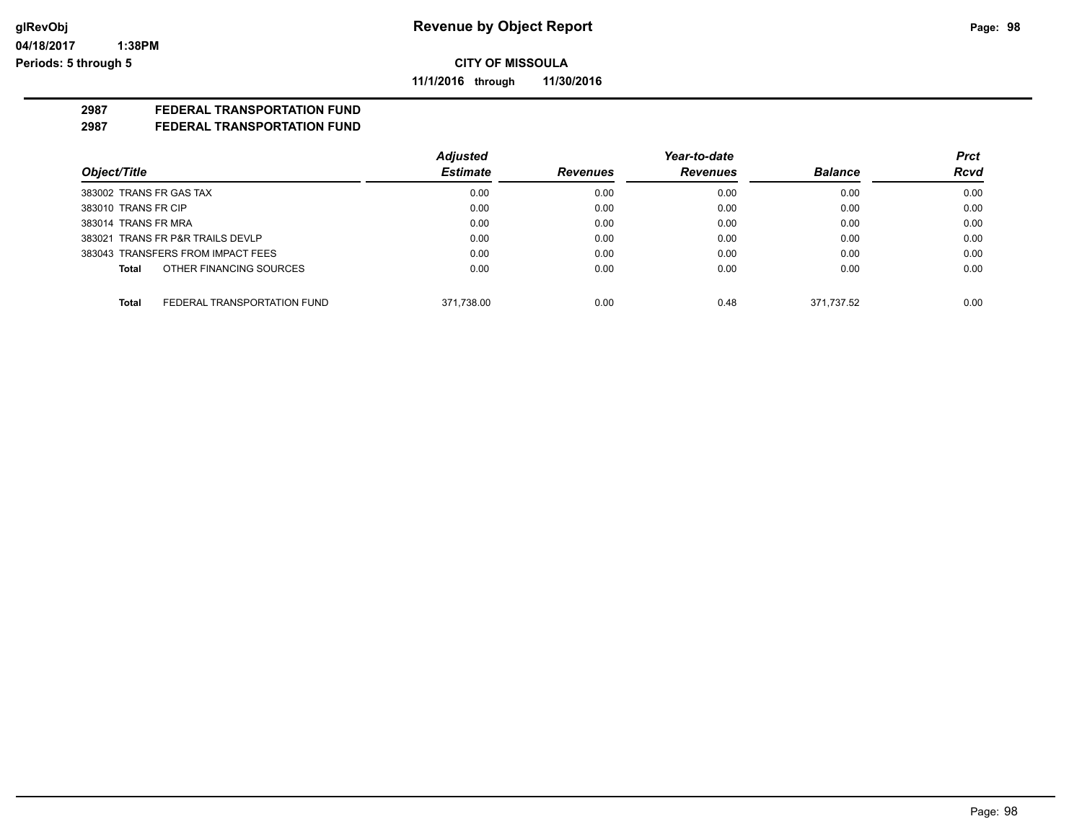**11/1/2016 through 11/30/2016**

## **2987 FEDERAL TRANSPORTATION FUND 2987 FEDERAL TRANSPORTATION FUND**

|                                             | <b>Adjusted</b> |                 | Year-to-date    |                | Prct |
|---------------------------------------------|-----------------|-----------------|-----------------|----------------|------|
| Object/Title                                | <b>Estimate</b> | <b>Revenues</b> | <b>Revenues</b> | <b>Balance</b> | Rcvd |
| 383002 TRANS FR GAS TAX                     | 0.00            | 0.00            | 0.00            | 0.00           | 0.00 |
| 383010 TRANS FR CIP                         | 0.00            | 0.00            | 0.00            | 0.00           | 0.00 |
| 383014 TRANS FR MRA                         | 0.00            | 0.00            | 0.00            | 0.00           | 0.00 |
| 383021 TRANS FR P&R TRAILS DEVLP            | 0.00            | 0.00            | 0.00            | 0.00           | 0.00 |
| 383043 TRANSFERS FROM IMPACT FEES           | 0.00            | 0.00            | 0.00            | 0.00           | 0.00 |
| OTHER FINANCING SOURCES<br><b>Total</b>     | 0.00            | 0.00            | 0.00            | 0.00           | 0.00 |
| <b>Total</b><br>FEDERAL TRANSPORTATION FUND | 371.738.00      | 0.00            | 0.48            | 371.737.52     | 0.00 |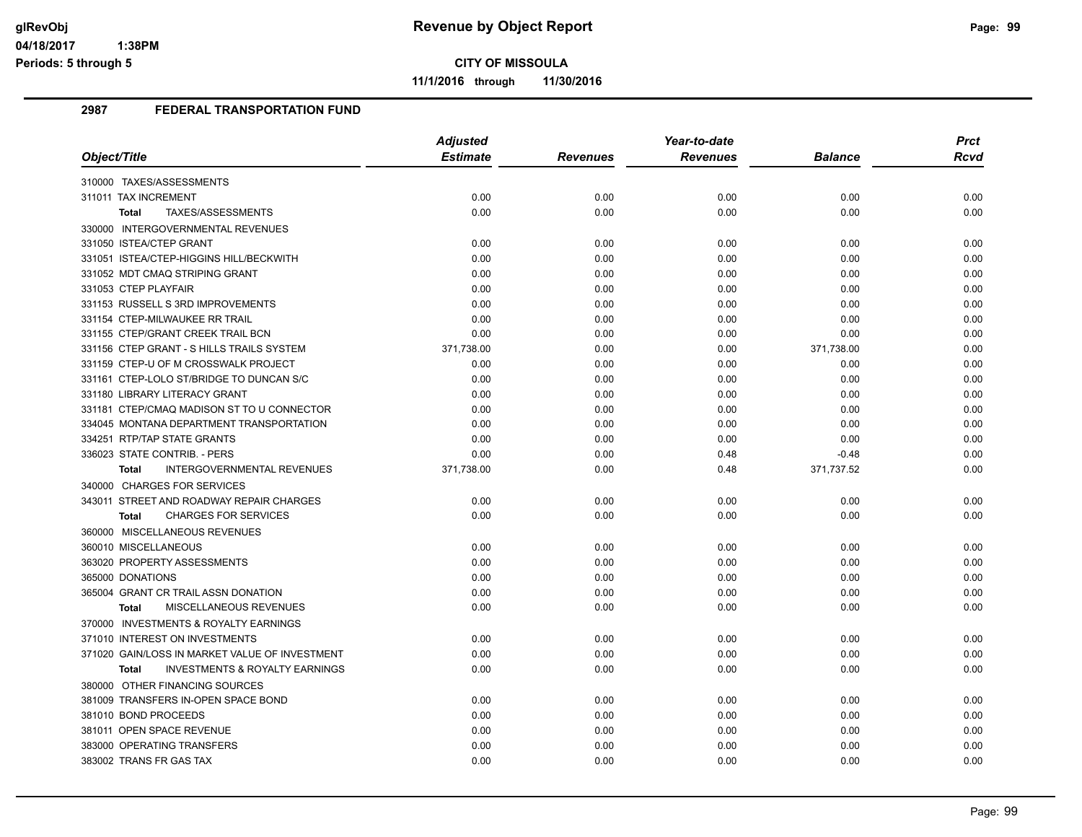**11/1/2016 through 11/30/2016**

### **2987 FEDERAL TRANSPORTATION FUND**

|                                                           | <b>Adjusted</b> |                 | Year-to-date    |                | <b>Prct</b> |
|-----------------------------------------------------------|-----------------|-----------------|-----------------|----------------|-------------|
| Object/Title                                              | <b>Estimate</b> | <b>Revenues</b> | <b>Revenues</b> | <b>Balance</b> | Rcvd        |
| 310000 TAXES/ASSESSMENTS                                  |                 |                 |                 |                |             |
| 311011 TAX INCREMENT                                      | 0.00            | 0.00            | 0.00            | 0.00           | 0.00        |
| TAXES/ASSESSMENTS<br>Total                                | 0.00            | 0.00            | 0.00            | 0.00           | 0.00        |
| 330000 INTERGOVERNMENTAL REVENUES                         |                 |                 |                 |                |             |
| 331050 ISTEA/CTEP GRANT                                   | 0.00            | 0.00            | 0.00            | 0.00           | 0.00        |
| 331051 ISTEA/CTEP-HIGGINS HILL/BECKWITH                   | 0.00            | 0.00            | 0.00            | 0.00           | 0.00        |
| 331052 MDT CMAQ STRIPING GRANT                            | 0.00            | 0.00            | 0.00            | 0.00           | 0.00        |
| 331053 CTEP PLAYFAIR                                      | 0.00            | 0.00            | 0.00            | 0.00           | 0.00        |
| 331153 RUSSELL S 3RD IMPROVEMENTS                         | 0.00            | 0.00            | 0.00            | 0.00           | 0.00        |
| 331154 CTEP-MILWAUKEE RR TRAIL                            | 0.00            | 0.00            | 0.00            | 0.00           | 0.00        |
| 331155 CTEP/GRANT CREEK TRAIL BCN                         | 0.00            | 0.00            | 0.00            | 0.00           | 0.00        |
| 331156 CTEP GRANT - S HILLS TRAILS SYSTEM                 | 371,738.00      | 0.00            | 0.00            | 371,738.00     | 0.00        |
| 331159 CTEP-U OF M CROSSWALK PROJECT                      | 0.00            | 0.00            | 0.00            | 0.00           | 0.00        |
| 331161 CTEP-LOLO ST/BRIDGE TO DUNCAN S/C                  | 0.00            | 0.00            | 0.00            | 0.00           | 0.00        |
| 331180 LIBRARY LITERACY GRANT                             | 0.00            | 0.00            | 0.00            | 0.00           | 0.00        |
| 331181 CTEP/CMAQ MADISON ST TO U CONNECTOR                | 0.00            | 0.00            | 0.00            | 0.00           | 0.00        |
| 334045 MONTANA DEPARTMENT TRANSPORTATION                  | 0.00            | 0.00            | 0.00            | 0.00           | 0.00        |
| 334251 RTP/TAP STATE GRANTS                               | 0.00            | 0.00            | 0.00            | 0.00           | 0.00        |
| 336023 STATE CONTRIB. - PERS                              | 0.00            | 0.00            | 0.48            | $-0.48$        | 0.00        |
| <b>INTERGOVERNMENTAL REVENUES</b><br>Total                | 371,738.00      | 0.00            | 0.48            | 371,737.52     | 0.00        |
| 340000 CHARGES FOR SERVICES                               |                 |                 |                 |                |             |
| 343011 STREET AND ROADWAY REPAIR CHARGES                  | 0.00            | 0.00            | 0.00            | 0.00           | 0.00        |
| <b>CHARGES FOR SERVICES</b><br><b>Total</b>               | 0.00            | 0.00            | 0.00            | 0.00           | 0.00        |
| 360000 MISCELLANEOUS REVENUES                             |                 |                 |                 |                |             |
| 360010 MISCELLANEOUS                                      | 0.00            | 0.00            | 0.00            | 0.00           | 0.00        |
| 363020 PROPERTY ASSESSMENTS                               | 0.00            | 0.00            | 0.00            | 0.00           | 0.00        |
| 365000 DONATIONS                                          | 0.00            | 0.00            | 0.00            | 0.00           | 0.00        |
| 365004 GRANT CR TRAIL ASSN DONATION                       | 0.00            | 0.00            | 0.00            | 0.00           | 0.00        |
| <b>MISCELLANEOUS REVENUES</b><br><b>Total</b>             | 0.00            | 0.00            | 0.00            | 0.00           | 0.00        |
| 370000 INVESTMENTS & ROYALTY EARNINGS                     |                 |                 |                 |                |             |
| 371010 INTEREST ON INVESTMENTS                            | 0.00            | 0.00            | 0.00            | 0.00           | 0.00        |
| 371020 GAIN/LOSS IN MARKET VALUE OF INVESTMENT            | 0.00            | 0.00            | 0.00            | 0.00           | 0.00        |
| <b>INVESTMENTS &amp; ROYALTY EARNINGS</b><br><b>Total</b> | 0.00            | 0.00            | 0.00            | 0.00           | 0.00        |
| 380000 OTHER FINANCING SOURCES                            |                 |                 |                 |                |             |
| 381009 TRANSFERS IN-OPEN SPACE BOND                       | 0.00            | 0.00            | 0.00            | 0.00           | 0.00        |
| 381010 BOND PROCEEDS                                      | 0.00            | 0.00            | 0.00            | 0.00           | 0.00        |
| 381011 OPEN SPACE REVENUE                                 | 0.00            | 0.00            | 0.00            | 0.00           | 0.00        |
| 383000 OPERATING TRANSFERS                                | 0.00            | 0.00            | 0.00            | 0.00           | 0.00        |
| 383002 TRANS FR GAS TAX                                   | 0.00            | 0.00            | 0.00            | 0.00           | 0.00        |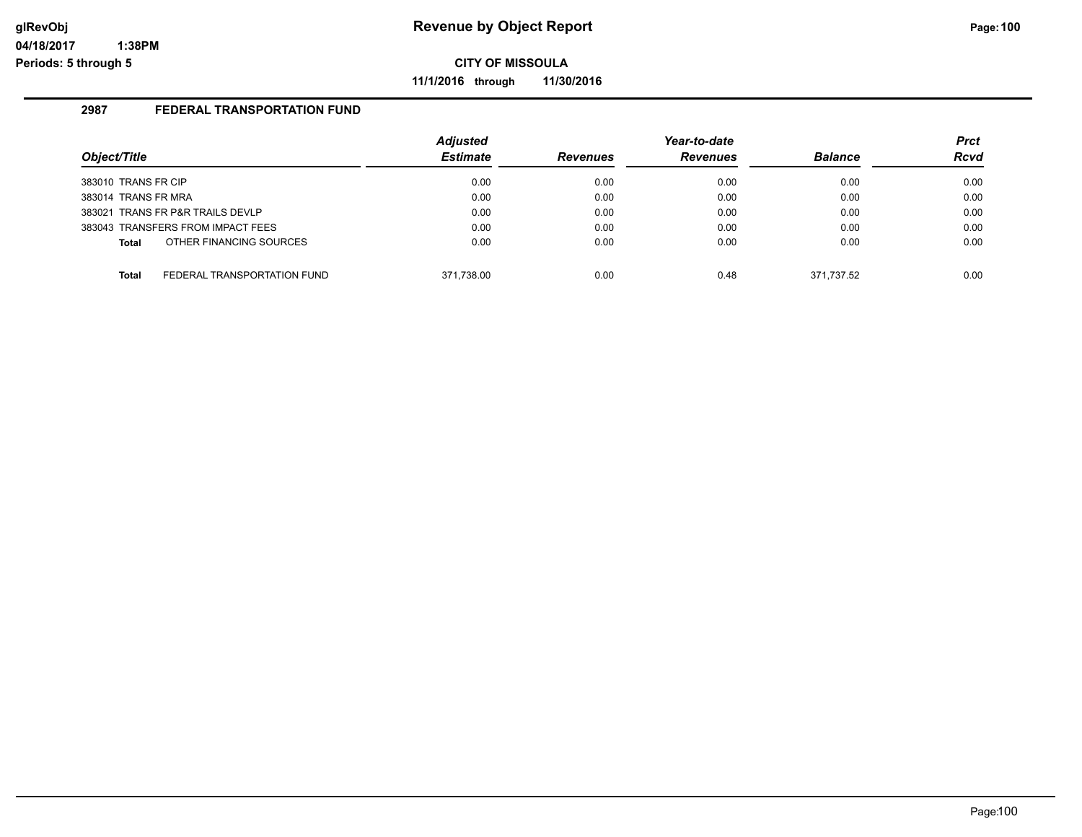**11/1/2016 through 11/30/2016**

#### **2987 FEDERAL TRANSPORTATION FUND**

| Object/Title                         | <b>Adjusted</b><br><b>Estimate</b> | <b>Revenues</b> | Year-to-date<br><b>Revenues</b> | <b>Balance</b> | <b>Prct</b><br><b>Rcvd</b> |
|--------------------------------------|------------------------------------|-----------------|---------------------------------|----------------|----------------------------|
| 383010 TRANS FR CIP                  | 0.00                               | 0.00            | 0.00                            | 0.00           | 0.00                       |
| 383014 TRANS FR MRA                  | 0.00                               | 0.00            | 0.00                            | 0.00           | 0.00                       |
| 383021 TRANS FR P&R TRAILS DEVLP     | 0.00                               | 0.00            | 0.00                            | 0.00           | 0.00                       |
| 383043 TRANSFERS FROM IMPACT FEES    | 0.00                               | 0.00            | 0.00                            | 0.00           | 0.00                       |
| OTHER FINANCING SOURCES<br>Total     | 0.00                               | 0.00            | 0.00                            | 0.00           | 0.00                       |
| Total<br>FEDERAL TRANSPORTATION FUND | 371.738.00                         | 0.00            | 0.48                            | 371.737.52     | 0.00                       |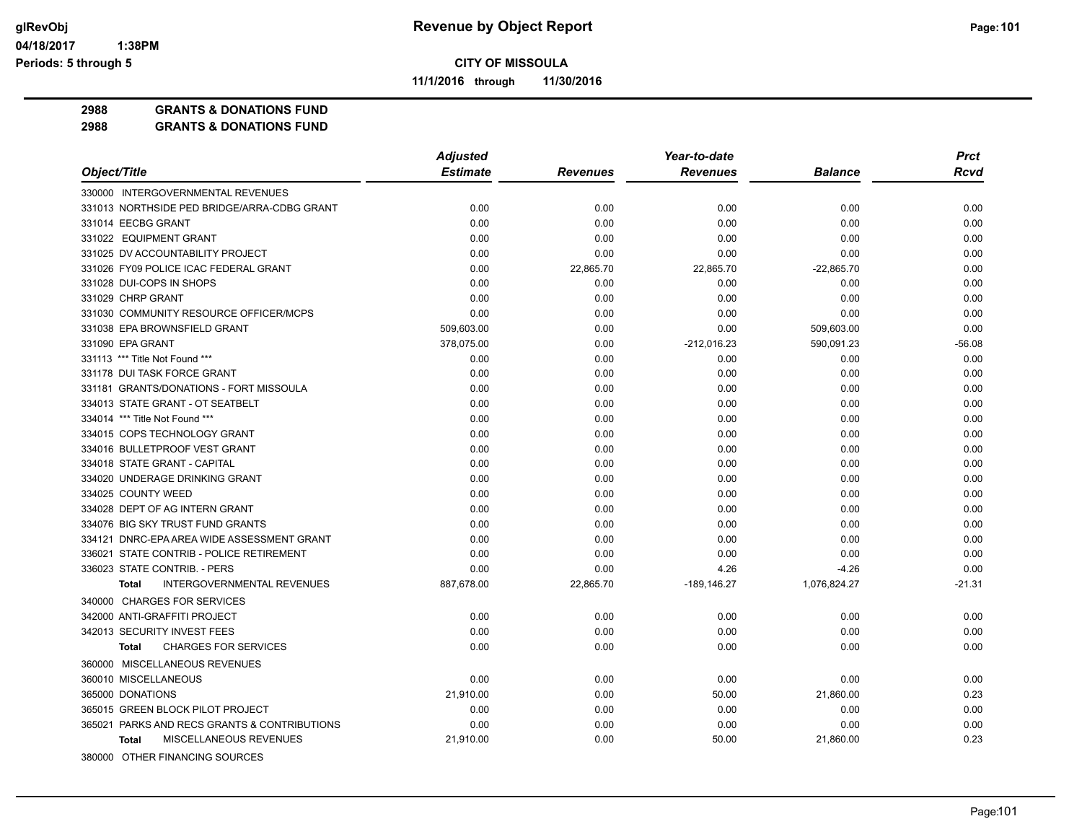**11/1/2016 through 11/30/2016**

**2988 GRANTS & DONATIONS FUND**

**2988 GRANTS & DONATIONS FUND**

| <b>Estimate</b><br>Object/Title<br><b>Revenues</b><br><b>Rcvd</b><br><b>Revenues</b><br><b>Balance</b><br>0.00<br>0.00<br>0.00<br>0.00<br>0.00<br>0.00<br>0.00<br>0.00<br>0.00<br>0.00<br>0.00<br>0.00<br>0.00<br>0.00<br>0.00<br>0.00<br>0.00<br>0.00<br>0.00<br>0.00<br>0.00<br>22,865.70<br>22,865.70<br>$-22,865.70$<br>0.00<br>0.00<br>0.00<br>0.00<br>0.00<br>0.00<br>0.00<br>0.00<br>0.00<br>0.00<br>0.00<br>0.00<br>0.00<br>0.00<br>0.00<br>0.00<br>509,603.00<br>0.00<br>0.00<br>509,603.00<br>0.00<br>378,075.00<br>0.00<br>$-212,016.23$<br>590,091.23<br>$-56.08$<br>0.00<br>0.00<br>0.00<br>0.00<br>0.00<br>0.00<br>0.00<br>0.00<br>0.00<br>0.00<br>0.00<br>0.00<br>0.00<br>0.00<br>0.00<br>0.00<br>0.00<br>0.00<br>0.00<br>0.00<br>0.00<br>0.00<br>0.00<br>0.00<br>0.00<br>0.00<br>0.00<br>0.00<br>0.00<br>0.00<br>0.00<br>0.00<br>0.00<br>0.00<br>0.00<br>0.00<br>0.00<br>0.00<br>0.00<br>0.00<br>0.00<br>0.00<br>0.00<br>0.00<br>0.00<br>0.00<br>0.00<br>0.00<br>0.00<br>0.00<br>0.00<br>0.00<br>0.00<br>0.00<br>0.00<br>0.00<br>0.00<br>0.00<br>0.00<br>0.00<br>0.00<br>0.00<br>0.00<br>0.00<br>0.00<br>0.00<br>0.00<br>0.00<br>0.00<br>0.00<br>0.00<br>0.00<br>4.26<br>$-4.26$<br>0.00<br>INTERGOVERNMENTAL REVENUES<br><b>Total</b><br>887,678.00<br>22,865.70<br>$-189, 146.27$<br>1,076,824.27<br>$-21.31$<br>342000 ANTI-GRAFFITI PROJECT<br>0.00<br>0.00<br>0.00<br>0.00<br>0.00<br>342013 SECURITY INVEST FEES<br>0.00<br>0.00<br>0.00<br>0.00<br>0.00<br><b>CHARGES FOR SERVICES</b><br>0.00<br>0.00<br>0.00<br>0.00<br>0.00<br>Total<br>360000 MISCELLANEOUS REVENUES<br>360010 MISCELLANEOUS<br>0.00<br>0.00<br>0.00<br>0.00<br>0.00<br>365000 DONATIONS<br>21,910.00<br>0.00<br>50.00<br>21,860.00<br>0.23<br>365015 GREEN BLOCK PILOT PROJECT<br>0.00<br>0.00<br>0.00<br>0.00<br>0.00<br>365021 PARKS AND RECS GRANTS & CONTRIBUTIONS<br>0.00<br>0.00<br>0.00<br>0.00<br>0.00<br>MISCELLANEOUS REVENUES<br>21,910.00<br>0.00<br>50.00<br>0.23<br>21,860.00<br><b>Total</b> |                                             | <b>Adjusted</b> | Year-to-date | <b>Prct</b> |  |
|---------------------------------------------------------------------------------------------------------------------------------------------------------------------------------------------------------------------------------------------------------------------------------------------------------------------------------------------------------------------------------------------------------------------------------------------------------------------------------------------------------------------------------------------------------------------------------------------------------------------------------------------------------------------------------------------------------------------------------------------------------------------------------------------------------------------------------------------------------------------------------------------------------------------------------------------------------------------------------------------------------------------------------------------------------------------------------------------------------------------------------------------------------------------------------------------------------------------------------------------------------------------------------------------------------------------------------------------------------------------------------------------------------------------------------------------------------------------------------------------------------------------------------------------------------------------------------------------------------------------------------------------------------------------------------------------------------------------------------------------------------------------------------------------------------------------------------------------------------------------------------------------------------------------------------------------------------------------------------------------------------|---------------------------------------------|-----------------|--------------|-------------|--|
|                                                                                                                                                                                                                                                                                                                                                                                                                                                                                                                                                                                                                                                                                                                                                                                                                                                                                                                                                                                                                                                                                                                                                                                                                                                                                                                                                                                                                                                                                                                                                                                                                                                                                                                                                                                                                                                                                                                                                                                                         |                                             |                 |              |             |  |
|                                                                                                                                                                                                                                                                                                                                                                                                                                                                                                                                                                                                                                                                                                                                                                                                                                                                                                                                                                                                                                                                                                                                                                                                                                                                                                                                                                                                                                                                                                                                                                                                                                                                                                                                                                                                                                                                                                                                                                                                         | 330000 INTERGOVERNMENTAL REVENUES           |                 |              |             |  |
|                                                                                                                                                                                                                                                                                                                                                                                                                                                                                                                                                                                                                                                                                                                                                                                                                                                                                                                                                                                                                                                                                                                                                                                                                                                                                                                                                                                                                                                                                                                                                                                                                                                                                                                                                                                                                                                                                                                                                                                                         | 331013 NORTHSIDE PED BRIDGE/ARRA-CDBG GRANT |                 |              |             |  |
|                                                                                                                                                                                                                                                                                                                                                                                                                                                                                                                                                                                                                                                                                                                                                                                                                                                                                                                                                                                                                                                                                                                                                                                                                                                                                                                                                                                                                                                                                                                                                                                                                                                                                                                                                                                                                                                                                                                                                                                                         | 331014 EECBG GRANT                          |                 |              |             |  |
|                                                                                                                                                                                                                                                                                                                                                                                                                                                                                                                                                                                                                                                                                                                                                                                                                                                                                                                                                                                                                                                                                                                                                                                                                                                                                                                                                                                                                                                                                                                                                                                                                                                                                                                                                                                                                                                                                                                                                                                                         | 331022 EQUIPMENT GRANT                      |                 |              |             |  |
|                                                                                                                                                                                                                                                                                                                                                                                                                                                                                                                                                                                                                                                                                                                                                                                                                                                                                                                                                                                                                                                                                                                                                                                                                                                                                                                                                                                                                                                                                                                                                                                                                                                                                                                                                                                                                                                                                                                                                                                                         | 331025 DV ACCOUNTABILITY PROJECT            |                 |              |             |  |
|                                                                                                                                                                                                                                                                                                                                                                                                                                                                                                                                                                                                                                                                                                                                                                                                                                                                                                                                                                                                                                                                                                                                                                                                                                                                                                                                                                                                                                                                                                                                                                                                                                                                                                                                                                                                                                                                                                                                                                                                         | 331026 FY09 POLICE ICAC FEDERAL GRANT       |                 |              |             |  |
|                                                                                                                                                                                                                                                                                                                                                                                                                                                                                                                                                                                                                                                                                                                                                                                                                                                                                                                                                                                                                                                                                                                                                                                                                                                                                                                                                                                                                                                                                                                                                                                                                                                                                                                                                                                                                                                                                                                                                                                                         | 331028 DUI-COPS IN SHOPS                    |                 |              |             |  |
|                                                                                                                                                                                                                                                                                                                                                                                                                                                                                                                                                                                                                                                                                                                                                                                                                                                                                                                                                                                                                                                                                                                                                                                                                                                                                                                                                                                                                                                                                                                                                                                                                                                                                                                                                                                                                                                                                                                                                                                                         | 331029 CHRP GRANT                           |                 |              |             |  |
|                                                                                                                                                                                                                                                                                                                                                                                                                                                                                                                                                                                                                                                                                                                                                                                                                                                                                                                                                                                                                                                                                                                                                                                                                                                                                                                                                                                                                                                                                                                                                                                                                                                                                                                                                                                                                                                                                                                                                                                                         | 331030 COMMUNITY RESOURCE OFFICER/MCPS      |                 |              |             |  |
|                                                                                                                                                                                                                                                                                                                                                                                                                                                                                                                                                                                                                                                                                                                                                                                                                                                                                                                                                                                                                                                                                                                                                                                                                                                                                                                                                                                                                                                                                                                                                                                                                                                                                                                                                                                                                                                                                                                                                                                                         | 331038 EPA BROWNSFIELD GRANT                |                 |              |             |  |
|                                                                                                                                                                                                                                                                                                                                                                                                                                                                                                                                                                                                                                                                                                                                                                                                                                                                                                                                                                                                                                                                                                                                                                                                                                                                                                                                                                                                                                                                                                                                                                                                                                                                                                                                                                                                                                                                                                                                                                                                         | 331090 EPA GRANT                            |                 |              |             |  |
|                                                                                                                                                                                                                                                                                                                                                                                                                                                                                                                                                                                                                                                                                                                                                                                                                                                                                                                                                                                                                                                                                                                                                                                                                                                                                                                                                                                                                                                                                                                                                                                                                                                                                                                                                                                                                                                                                                                                                                                                         | 331113 *** Title Not Found ***              |                 |              |             |  |
|                                                                                                                                                                                                                                                                                                                                                                                                                                                                                                                                                                                                                                                                                                                                                                                                                                                                                                                                                                                                                                                                                                                                                                                                                                                                                                                                                                                                                                                                                                                                                                                                                                                                                                                                                                                                                                                                                                                                                                                                         | 331178 DUI TASK FORCE GRANT                 |                 |              |             |  |
|                                                                                                                                                                                                                                                                                                                                                                                                                                                                                                                                                                                                                                                                                                                                                                                                                                                                                                                                                                                                                                                                                                                                                                                                                                                                                                                                                                                                                                                                                                                                                                                                                                                                                                                                                                                                                                                                                                                                                                                                         | 331181 GRANTS/DONATIONS - FORT MISSOULA     |                 |              |             |  |
|                                                                                                                                                                                                                                                                                                                                                                                                                                                                                                                                                                                                                                                                                                                                                                                                                                                                                                                                                                                                                                                                                                                                                                                                                                                                                                                                                                                                                                                                                                                                                                                                                                                                                                                                                                                                                                                                                                                                                                                                         | 334013 STATE GRANT - OT SEATBELT            |                 |              |             |  |
|                                                                                                                                                                                                                                                                                                                                                                                                                                                                                                                                                                                                                                                                                                                                                                                                                                                                                                                                                                                                                                                                                                                                                                                                                                                                                                                                                                                                                                                                                                                                                                                                                                                                                                                                                                                                                                                                                                                                                                                                         | 334014 *** Title Not Found ***              |                 |              |             |  |
|                                                                                                                                                                                                                                                                                                                                                                                                                                                                                                                                                                                                                                                                                                                                                                                                                                                                                                                                                                                                                                                                                                                                                                                                                                                                                                                                                                                                                                                                                                                                                                                                                                                                                                                                                                                                                                                                                                                                                                                                         | 334015 COPS TECHNOLOGY GRANT                |                 |              |             |  |
|                                                                                                                                                                                                                                                                                                                                                                                                                                                                                                                                                                                                                                                                                                                                                                                                                                                                                                                                                                                                                                                                                                                                                                                                                                                                                                                                                                                                                                                                                                                                                                                                                                                                                                                                                                                                                                                                                                                                                                                                         | 334016 BULLETPROOF VEST GRANT               |                 |              |             |  |
|                                                                                                                                                                                                                                                                                                                                                                                                                                                                                                                                                                                                                                                                                                                                                                                                                                                                                                                                                                                                                                                                                                                                                                                                                                                                                                                                                                                                                                                                                                                                                                                                                                                                                                                                                                                                                                                                                                                                                                                                         | 334018 STATE GRANT - CAPITAL                |                 |              |             |  |
|                                                                                                                                                                                                                                                                                                                                                                                                                                                                                                                                                                                                                                                                                                                                                                                                                                                                                                                                                                                                                                                                                                                                                                                                                                                                                                                                                                                                                                                                                                                                                                                                                                                                                                                                                                                                                                                                                                                                                                                                         | 334020 UNDERAGE DRINKING GRANT              |                 |              |             |  |
|                                                                                                                                                                                                                                                                                                                                                                                                                                                                                                                                                                                                                                                                                                                                                                                                                                                                                                                                                                                                                                                                                                                                                                                                                                                                                                                                                                                                                                                                                                                                                                                                                                                                                                                                                                                                                                                                                                                                                                                                         | 334025 COUNTY WEED                          |                 |              |             |  |
|                                                                                                                                                                                                                                                                                                                                                                                                                                                                                                                                                                                                                                                                                                                                                                                                                                                                                                                                                                                                                                                                                                                                                                                                                                                                                                                                                                                                                                                                                                                                                                                                                                                                                                                                                                                                                                                                                                                                                                                                         | 334028 DEPT OF AG INTERN GRANT              |                 |              |             |  |
|                                                                                                                                                                                                                                                                                                                                                                                                                                                                                                                                                                                                                                                                                                                                                                                                                                                                                                                                                                                                                                                                                                                                                                                                                                                                                                                                                                                                                                                                                                                                                                                                                                                                                                                                                                                                                                                                                                                                                                                                         | 334076 BIG SKY TRUST FUND GRANTS            |                 |              |             |  |
|                                                                                                                                                                                                                                                                                                                                                                                                                                                                                                                                                                                                                                                                                                                                                                                                                                                                                                                                                                                                                                                                                                                                                                                                                                                                                                                                                                                                                                                                                                                                                                                                                                                                                                                                                                                                                                                                                                                                                                                                         | 334121 DNRC-EPA AREA WIDE ASSESSMENT GRANT  |                 |              |             |  |
|                                                                                                                                                                                                                                                                                                                                                                                                                                                                                                                                                                                                                                                                                                                                                                                                                                                                                                                                                                                                                                                                                                                                                                                                                                                                                                                                                                                                                                                                                                                                                                                                                                                                                                                                                                                                                                                                                                                                                                                                         | 336021 STATE CONTRIB - POLICE RETIREMENT    |                 |              |             |  |
|                                                                                                                                                                                                                                                                                                                                                                                                                                                                                                                                                                                                                                                                                                                                                                                                                                                                                                                                                                                                                                                                                                                                                                                                                                                                                                                                                                                                                                                                                                                                                                                                                                                                                                                                                                                                                                                                                                                                                                                                         | 336023 STATE CONTRIB. - PERS                |                 |              |             |  |
|                                                                                                                                                                                                                                                                                                                                                                                                                                                                                                                                                                                                                                                                                                                                                                                                                                                                                                                                                                                                                                                                                                                                                                                                                                                                                                                                                                                                                                                                                                                                                                                                                                                                                                                                                                                                                                                                                                                                                                                                         |                                             |                 |              |             |  |
|                                                                                                                                                                                                                                                                                                                                                                                                                                                                                                                                                                                                                                                                                                                                                                                                                                                                                                                                                                                                                                                                                                                                                                                                                                                                                                                                                                                                                                                                                                                                                                                                                                                                                                                                                                                                                                                                                                                                                                                                         | 340000 CHARGES FOR SERVICES                 |                 |              |             |  |
|                                                                                                                                                                                                                                                                                                                                                                                                                                                                                                                                                                                                                                                                                                                                                                                                                                                                                                                                                                                                                                                                                                                                                                                                                                                                                                                                                                                                                                                                                                                                                                                                                                                                                                                                                                                                                                                                                                                                                                                                         |                                             |                 |              |             |  |
|                                                                                                                                                                                                                                                                                                                                                                                                                                                                                                                                                                                                                                                                                                                                                                                                                                                                                                                                                                                                                                                                                                                                                                                                                                                                                                                                                                                                                                                                                                                                                                                                                                                                                                                                                                                                                                                                                                                                                                                                         |                                             |                 |              |             |  |
|                                                                                                                                                                                                                                                                                                                                                                                                                                                                                                                                                                                                                                                                                                                                                                                                                                                                                                                                                                                                                                                                                                                                                                                                                                                                                                                                                                                                                                                                                                                                                                                                                                                                                                                                                                                                                                                                                                                                                                                                         |                                             |                 |              |             |  |
|                                                                                                                                                                                                                                                                                                                                                                                                                                                                                                                                                                                                                                                                                                                                                                                                                                                                                                                                                                                                                                                                                                                                                                                                                                                                                                                                                                                                                                                                                                                                                                                                                                                                                                                                                                                                                                                                                                                                                                                                         |                                             |                 |              |             |  |
|                                                                                                                                                                                                                                                                                                                                                                                                                                                                                                                                                                                                                                                                                                                                                                                                                                                                                                                                                                                                                                                                                                                                                                                                                                                                                                                                                                                                                                                                                                                                                                                                                                                                                                                                                                                                                                                                                                                                                                                                         |                                             |                 |              |             |  |
|                                                                                                                                                                                                                                                                                                                                                                                                                                                                                                                                                                                                                                                                                                                                                                                                                                                                                                                                                                                                                                                                                                                                                                                                                                                                                                                                                                                                                                                                                                                                                                                                                                                                                                                                                                                                                                                                                                                                                                                                         |                                             |                 |              |             |  |
|                                                                                                                                                                                                                                                                                                                                                                                                                                                                                                                                                                                                                                                                                                                                                                                                                                                                                                                                                                                                                                                                                                                                                                                                                                                                                                                                                                                                                                                                                                                                                                                                                                                                                                                                                                                                                                                                                                                                                                                                         |                                             |                 |              |             |  |
|                                                                                                                                                                                                                                                                                                                                                                                                                                                                                                                                                                                                                                                                                                                                                                                                                                                                                                                                                                                                                                                                                                                                                                                                                                                                                                                                                                                                                                                                                                                                                                                                                                                                                                                                                                                                                                                                                                                                                                                                         |                                             |                 |              |             |  |
|                                                                                                                                                                                                                                                                                                                                                                                                                                                                                                                                                                                                                                                                                                                                                                                                                                                                                                                                                                                                                                                                                                                                                                                                                                                                                                                                                                                                                                                                                                                                                                                                                                                                                                                                                                                                                                                                                                                                                                                                         |                                             |                 |              |             |  |
|                                                                                                                                                                                                                                                                                                                                                                                                                                                                                                                                                                                                                                                                                                                                                                                                                                                                                                                                                                                                                                                                                                                                                                                                                                                                                                                                                                                                                                                                                                                                                                                                                                                                                                                                                                                                                                                                                                                                                                                                         | 380000 OTHER FINANCING SOURCES              |                 |              |             |  |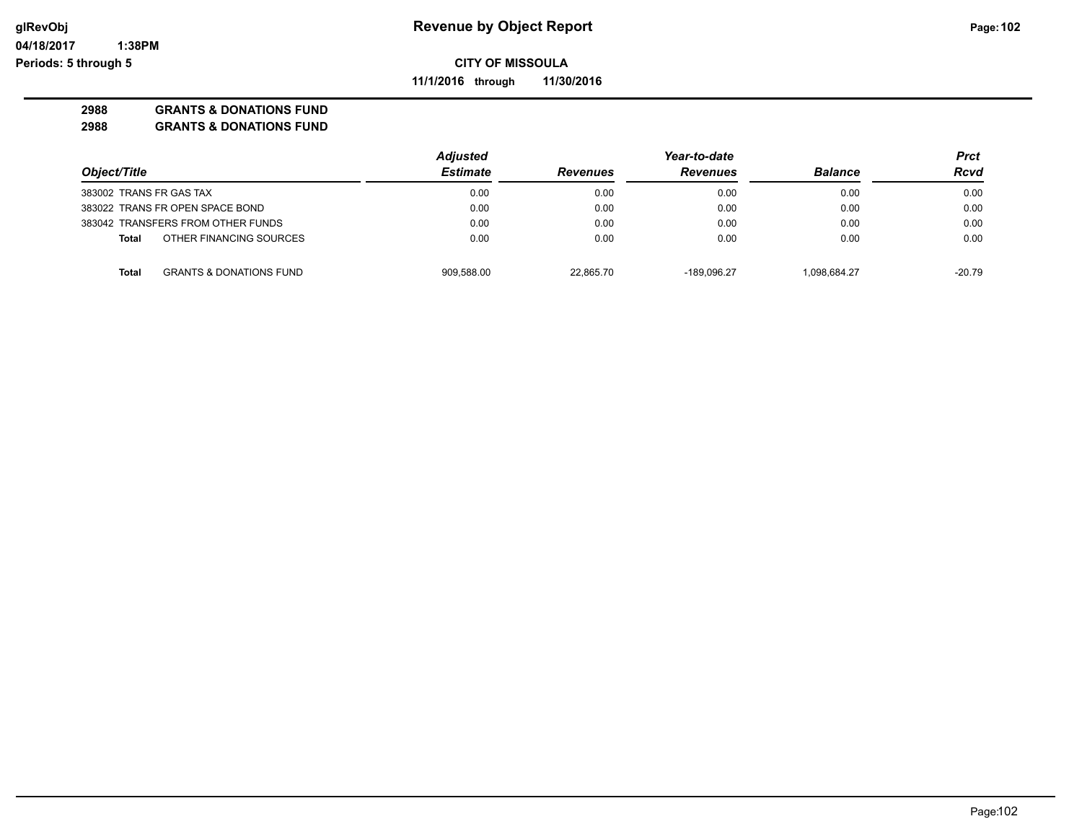**11/1/2016 through 11/30/2016**

**2988 GRANTS & DONATIONS FUND 2988 GRANTS & DONATIONS FUND**

|                                                    | <b>Adjusted</b> |                 | Year-to-date    |                |          |
|----------------------------------------------------|-----------------|-----------------|-----------------|----------------|----------|
| Object/Title                                       | <b>Estimate</b> | <b>Revenues</b> | <b>Revenues</b> | <b>Balance</b> | Rcvd     |
| 383002 TRANS FR GAS TAX                            | 0.00            | 0.00            | 0.00            | 0.00           | 0.00     |
| 383022 TRANS FR OPEN SPACE BOND                    | 0.00            | 0.00            | 0.00            | 0.00           | 0.00     |
| 383042 TRANSFERS FROM OTHER FUNDS                  | 0.00            | 0.00            | 0.00            | 0.00           | 0.00     |
| OTHER FINANCING SOURCES<br><b>Total</b>            | 0.00            | 0.00            | 0.00            | 0.00           | 0.00     |
| <b>GRANTS &amp; DONATIONS FUND</b><br><b>Total</b> | 909.588.00      | 22.865.70       | -189.096.27     | 1.098.684.27   | $-20.79$ |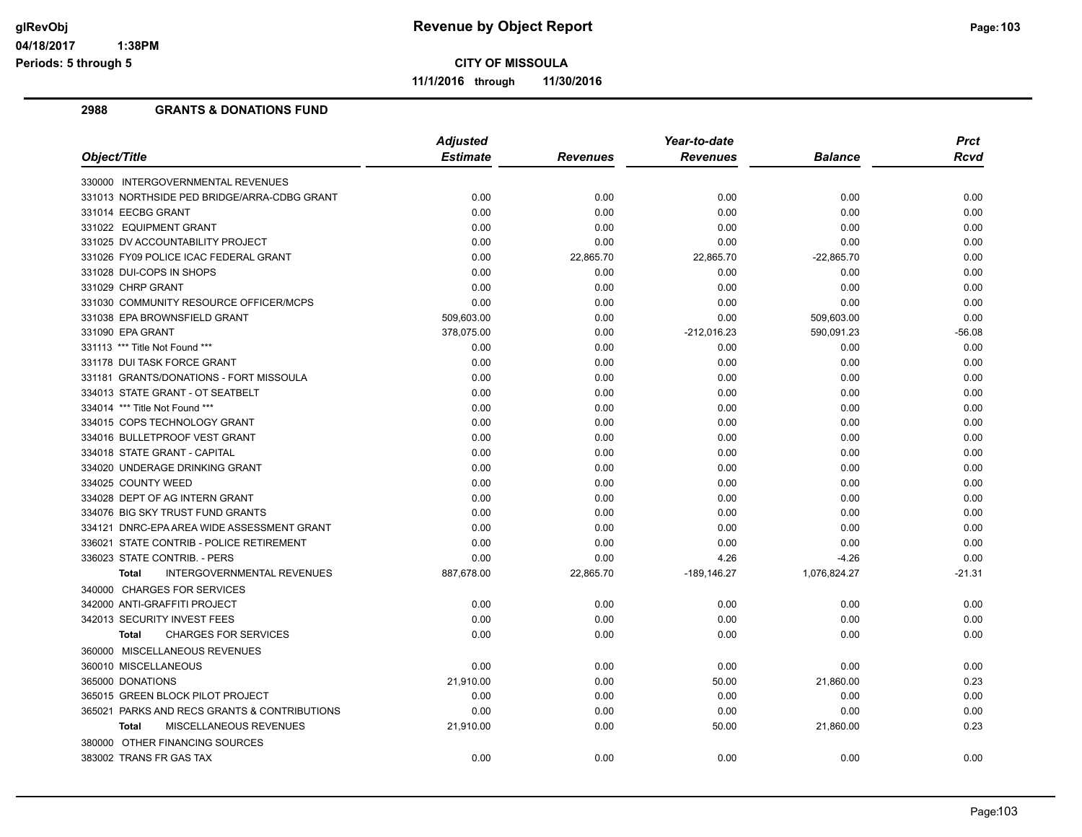**11/1/2016 through 11/30/2016**

### **2988 GRANTS & DONATIONS FUND**

|                                                   | <b>Adjusted</b> |                 | Year-to-date    |                | <b>Prct</b> |
|---------------------------------------------------|-----------------|-----------------|-----------------|----------------|-------------|
| Object/Title                                      | <b>Estimate</b> | <b>Revenues</b> | <b>Revenues</b> | <b>Balance</b> | Rcvd        |
| 330000 INTERGOVERNMENTAL REVENUES                 |                 |                 |                 |                |             |
| 331013 NORTHSIDE PED BRIDGE/ARRA-CDBG GRANT       | 0.00            | 0.00            | 0.00            | 0.00           | 0.00        |
| 331014 EECBG GRANT                                | 0.00            | 0.00            | 0.00            | 0.00           | 0.00        |
| 331022 EQUIPMENT GRANT                            | 0.00            | 0.00            | 0.00            | 0.00           | 0.00        |
| 331025 DV ACCOUNTABILITY PROJECT                  | 0.00            | 0.00            | 0.00            | 0.00           | 0.00        |
| 331026 FY09 POLICE ICAC FEDERAL GRANT             | 0.00            | 22,865.70       | 22,865.70       | $-22,865.70$   | 0.00        |
| 331028 DUI-COPS IN SHOPS                          | 0.00            | 0.00            | 0.00            | 0.00           | 0.00        |
| 331029 CHRP GRANT                                 | 0.00            | 0.00            | 0.00            | 0.00           | 0.00        |
| 331030 COMMUNITY RESOURCE OFFICER/MCPS            | 0.00            | 0.00            | 0.00            | 0.00           | 0.00        |
| 331038 EPA BROWNSFIELD GRANT                      | 509,603.00      | 0.00            | 0.00            | 509,603.00     | 0.00        |
| 331090 EPA GRANT                                  | 378,075.00      | 0.00            | $-212,016.23$   | 590,091.23     | $-56.08$    |
| 331113 *** Title Not Found ***                    | 0.00            | 0.00            | 0.00            | 0.00           | 0.00        |
| 331178 DUI TASK FORCE GRANT                       | 0.00            | 0.00            | 0.00            | 0.00           | 0.00        |
| 331181 GRANTS/DONATIONS - FORT MISSOULA           | 0.00            | 0.00            | 0.00            | 0.00           | 0.00        |
| 334013 STATE GRANT - OT SEATBELT                  | 0.00            | 0.00            | 0.00            | 0.00           | 0.00        |
| 334014 *** Title Not Found ***                    | 0.00            | 0.00            | 0.00            | 0.00           | 0.00        |
| 334015 COPS TECHNOLOGY GRANT                      | 0.00            | 0.00            | 0.00            | 0.00           | 0.00        |
| 334016 BULLETPROOF VEST GRANT                     | 0.00            | 0.00            | 0.00            | 0.00           | 0.00        |
| 334018 STATE GRANT - CAPITAL                      | 0.00            | 0.00            | 0.00            | 0.00           | 0.00        |
| 334020 UNDERAGE DRINKING GRANT                    | 0.00            | 0.00            | 0.00            | 0.00           | 0.00        |
| 334025 COUNTY WEED                                | 0.00            | 0.00            | 0.00            | 0.00           | 0.00        |
| 334028 DEPT OF AG INTERN GRANT                    | 0.00            | 0.00            | 0.00            | 0.00           | 0.00        |
| 334076 BIG SKY TRUST FUND GRANTS                  | 0.00            | 0.00            | 0.00            | 0.00           | 0.00        |
| 334121 DNRC-EPA AREA WIDE ASSESSMENT GRANT        | 0.00            | 0.00            | 0.00            | 0.00           | 0.00        |
| 336021 STATE CONTRIB - POLICE RETIREMENT          | 0.00            | 0.00            | 0.00            | 0.00           | 0.00        |
| 336023 STATE CONTRIB. - PERS                      | 0.00            | 0.00            | 4.26            | $-4.26$        | 0.00        |
| <b>INTERGOVERNMENTAL REVENUES</b><br><b>Total</b> | 887,678.00      | 22,865.70       | $-189, 146.27$  | 1,076,824.27   | $-21.31$    |
| 340000 CHARGES FOR SERVICES                       |                 |                 |                 |                |             |
| 342000 ANTI-GRAFFITI PROJECT                      | 0.00            | 0.00            | 0.00            | 0.00           | 0.00        |
| 342013 SECURITY INVEST FEES                       | 0.00            | 0.00            | 0.00            | 0.00           | 0.00        |
| <b>CHARGES FOR SERVICES</b><br>Total              | 0.00            | 0.00            | 0.00            | 0.00           | 0.00        |
| 360000 MISCELLANEOUS REVENUES                     |                 |                 |                 |                |             |
| 360010 MISCELLANEOUS                              | 0.00            | 0.00            | 0.00            | 0.00           | 0.00        |
| 365000 DONATIONS                                  | 21,910.00       | 0.00            | 50.00           | 21,860.00      | 0.23        |
| 365015 GREEN BLOCK PILOT PROJECT                  | 0.00            | 0.00            | 0.00            | 0.00           | 0.00        |
| 365021 PARKS AND RECS GRANTS & CONTRIBUTIONS      | 0.00            | 0.00            | 0.00            | 0.00           | 0.00        |
| MISCELLANEOUS REVENUES<br>Total                   | 21,910.00       | 0.00            | 50.00           | 21,860.00      | 0.23        |
| 380000 OTHER FINANCING SOURCES                    |                 |                 |                 |                |             |
|                                                   |                 |                 |                 |                |             |
| 383002 TRANS FR GAS TAX                           | 0.00            | 0.00            | 0.00            | 0.00           | 0.00        |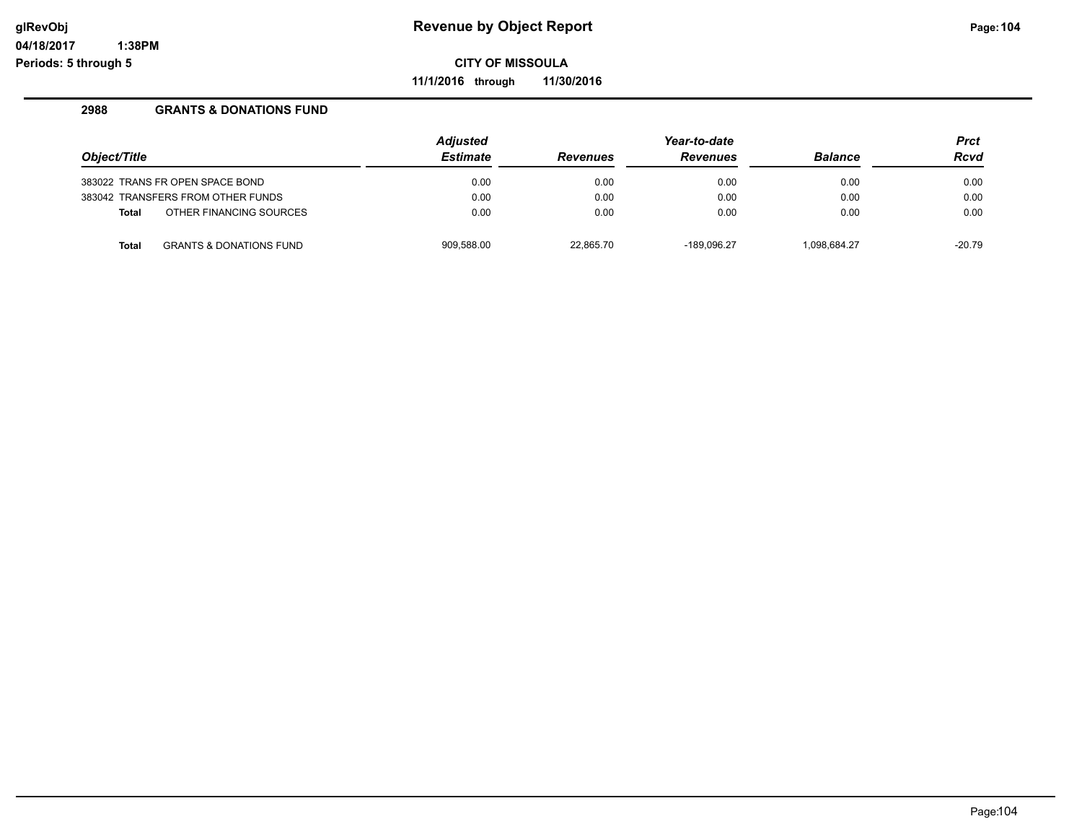**11/1/2016 through 11/30/2016**

### **2988 GRANTS & DONATIONS FUND**

|              |                                    | <b>Adjusted</b> |                 |                | <b>Prct</b>  |          |
|--------------|------------------------------------|-----------------|-----------------|----------------|--------------|----------|
| Object/Title | <b>Estimate</b>                    | <b>Revenues</b> | <b>Revenues</b> | <b>Balance</b> | Rcvd         |          |
|              | 383022 TRANS FR OPEN SPACE BOND    | 0.00            | 0.00            | 0.00           | 0.00         | 0.00     |
|              | 383042 TRANSFERS FROM OTHER FUNDS  | 0.00            | 0.00            | 0.00           | 0.00         | 0.00     |
| Total        | OTHER FINANCING SOURCES            | 0.00            | 0.00            | 0.00           | 0.00         | 0.00     |
| <b>Total</b> | <b>GRANTS &amp; DONATIONS FUND</b> | 909.588.00      | 22.865.70       | -189.096.27    | 1.098.684.27 | $-20.79$ |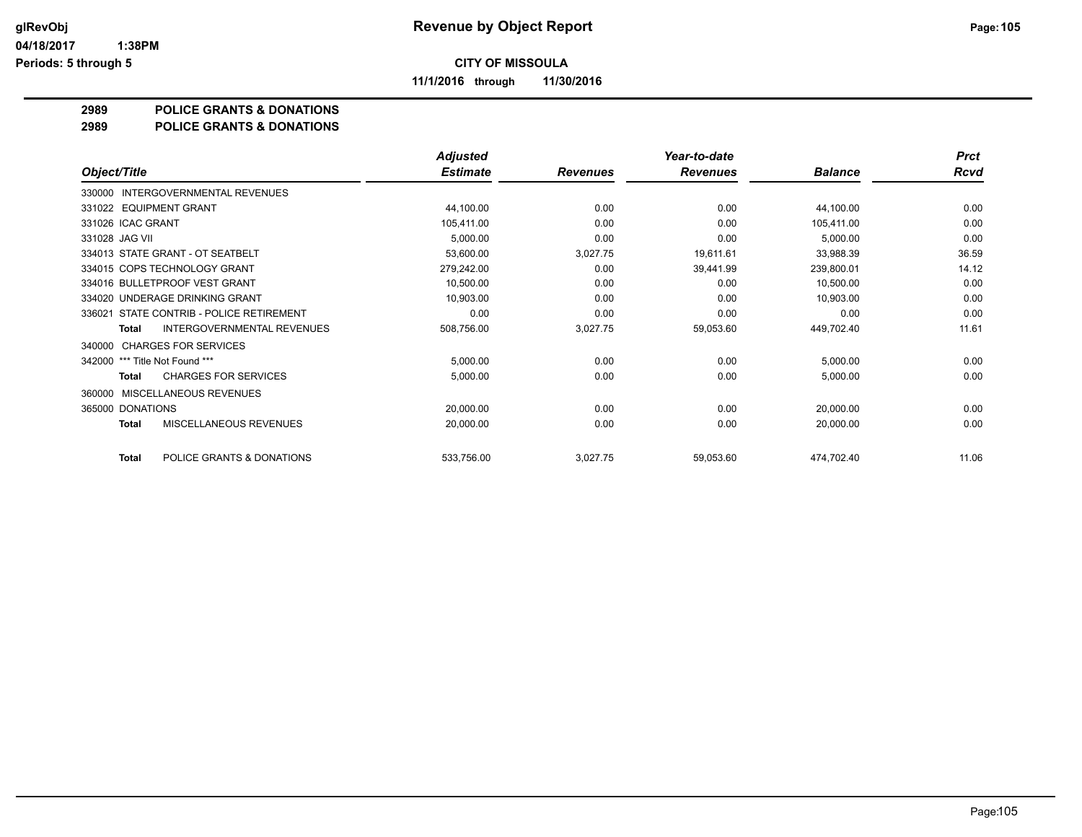**11/1/2016 through 11/30/2016**

**2989 POLICE GRANTS & DONATIONS**

**2989 POLICE GRANTS & DONATIONS**

|                                            | <b>Adjusted</b> |                 | Year-to-date    |                | <b>Prct</b> |
|--------------------------------------------|-----------------|-----------------|-----------------|----------------|-------------|
| Object/Title                               | <b>Estimate</b> | <b>Revenues</b> | <b>Revenues</b> | <b>Balance</b> | Rcvd        |
| 330000 INTERGOVERNMENTAL REVENUES          |                 |                 |                 |                |             |
| 331022 EQUIPMENT GRANT                     | 44,100.00       | 0.00            | 0.00            | 44,100.00      | 0.00        |
| 331026 ICAC GRANT                          | 105,411.00      | 0.00            | 0.00            | 105,411.00     | 0.00        |
| 331028 JAG VII                             | 5,000.00        | 0.00            | 0.00            | 5,000.00       | 0.00        |
| 334013 STATE GRANT - OT SEATBELT           | 53,600.00       | 3,027.75        | 19,611.61       | 33,988.39      | 36.59       |
| 334015 COPS TECHNOLOGY GRANT               | 279,242.00      | 0.00            | 39,441.99       | 239,800.01     | 14.12       |
| 334016 BULLETPROOF VEST GRANT              | 10,500.00       | 0.00            | 0.00            | 10,500.00      | 0.00        |
| 334020 UNDERAGE DRINKING GRANT             | 10,903.00       | 0.00            | 0.00            | 10,903.00      | 0.00        |
| 336021 STATE CONTRIB - POLICE RETIREMENT   | 0.00            | 0.00            | 0.00            | 0.00           | 0.00        |
| <b>INTERGOVERNMENTAL REVENUES</b><br>Total | 508,756.00      | 3,027.75        | 59,053.60       | 449,702.40     | 11.61       |
| 340000 CHARGES FOR SERVICES                |                 |                 |                 |                |             |
| 342000 *** Title Not Found ***             | 5,000.00        | 0.00            | 0.00            | 5,000.00       | 0.00        |
| <b>CHARGES FOR SERVICES</b><br>Total       | 5,000.00        | 0.00            | 0.00            | 5,000.00       | 0.00        |
| 360000 MISCELLANEOUS REVENUES              |                 |                 |                 |                |             |
| 365000 DONATIONS                           | 20,000.00       | 0.00            | 0.00            | 20,000.00      | 0.00        |
| MISCELLANEOUS REVENUES<br><b>Total</b>     | 20,000.00       | 0.00            | 0.00            | 20,000.00      | 0.00        |
| POLICE GRANTS & DONATIONS<br><b>Total</b>  | 533,756.00      | 3,027.75        | 59,053.60       | 474,702.40     | 11.06       |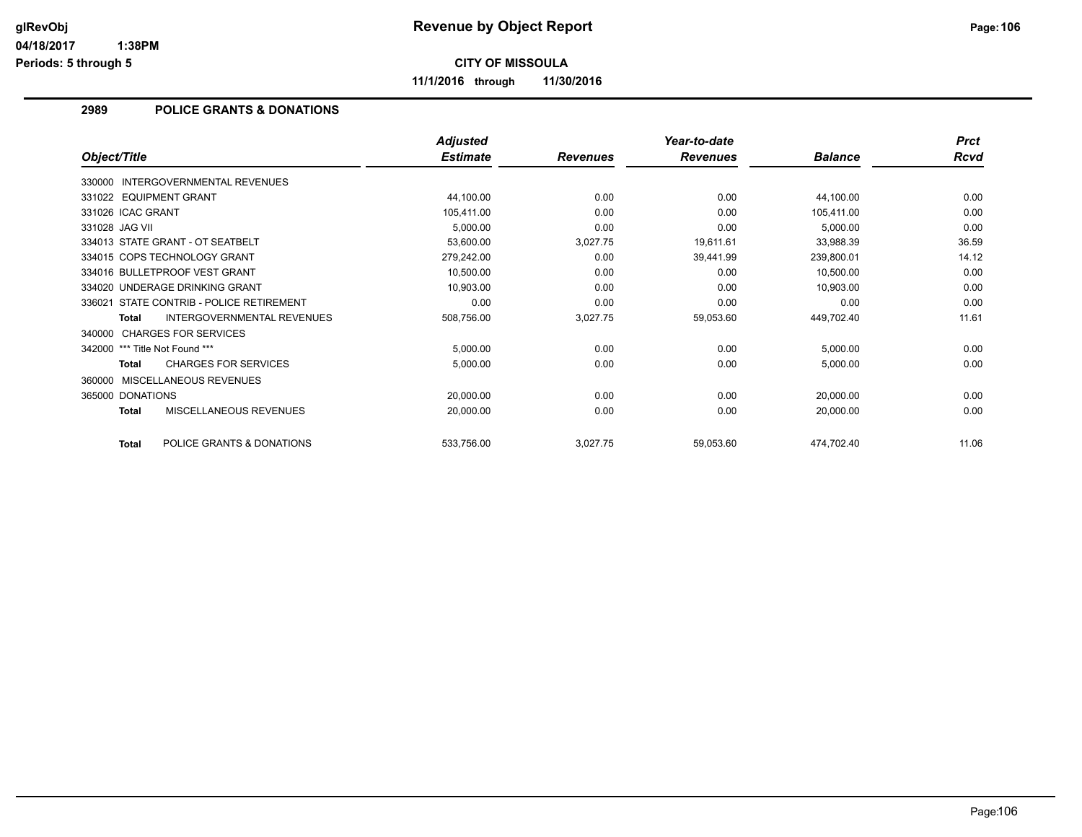**11/1/2016 through 11/30/2016**

## **2989 POLICE GRANTS & DONATIONS**

|                                                   | <b>Adjusted</b> |                 | Year-to-date    |                | <b>Prct</b> |
|---------------------------------------------------|-----------------|-----------------|-----------------|----------------|-------------|
| Object/Title                                      | <b>Estimate</b> | <b>Revenues</b> | <b>Revenues</b> | <b>Balance</b> | <b>Rcvd</b> |
| <b>INTERGOVERNMENTAL REVENUES</b><br>330000       |                 |                 |                 |                |             |
| 331022 EQUIPMENT GRANT                            | 44,100.00       | 0.00            | 0.00            | 44,100.00      | 0.00        |
| 331026 ICAC GRANT                                 | 105,411.00      | 0.00            | 0.00            | 105,411.00     | 0.00        |
| 331028 JAG VII                                    | 5,000.00        | 0.00            | 0.00            | 5,000.00       | 0.00        |
| 334013 STATE GRANT - OT SEATBELT                  | 53,600.00       | 3,027.75        | 19,611.61       | 33,988.39      | 36.59       |
| 334015 COPS TECHNOLOGY GRANT                      | 279,242.00      | 0.00            | 39,441.99       | 239,800.01     | 14.12       |
| 334016 BULLETPROOF VEST GRANT                     | 10,500.00       | 0.00            | 0.00            | 10,500.00      | 0.00        |
| 334020 UNDERAGE DRINKING GRANT                    | 10,903.00       | 0.00            | 0.00            | 10,903.00      | 0.00        |
| 336021 STATE CONTRIB - POLICE RETIREMENT          | 0.00            | 0.00            | 0.00            | 0.00           | 0.00        |
| <b>INTERGOVERNMENTAL REVENUES</b><br><b>Total</b> | 508,756.00      | 3,027.75        | 59,053.60       | 449,702.40     | 11.61       |
| 340000 CHARGES FOR SERVICES                       |                 |                 |                 |                |             |
| 342000 *** Title Not Found ***                    | 5,000.00        | 0.00            | 0.00            | 5,000.00       | 0.00        |
| <b>CHARGES FOR SERVICES</b><br>Total              | 5,000.00        | 0.00            | 0.00            | 5,000.00       | 0.00        |
| 360000 MISCELLANEOUS REVENUES                     |                 |                 |                 |                |             |
| 365000 DONATIONS                                  | 20,000.00       | 0.00            | 0.00            | 20,000.00      | 0.00        |
| MISCELLANEOUS REVENUES<br>Total                   | 20,000.00       | 0.00            | 0.00            | 20,000.00      | 0.00        |
| POLICE GRANTS & DONATIONS<br>Total                | 533,756.00      | 3,027.75        | 59,053.60       | 474,702.40     | 11.06       |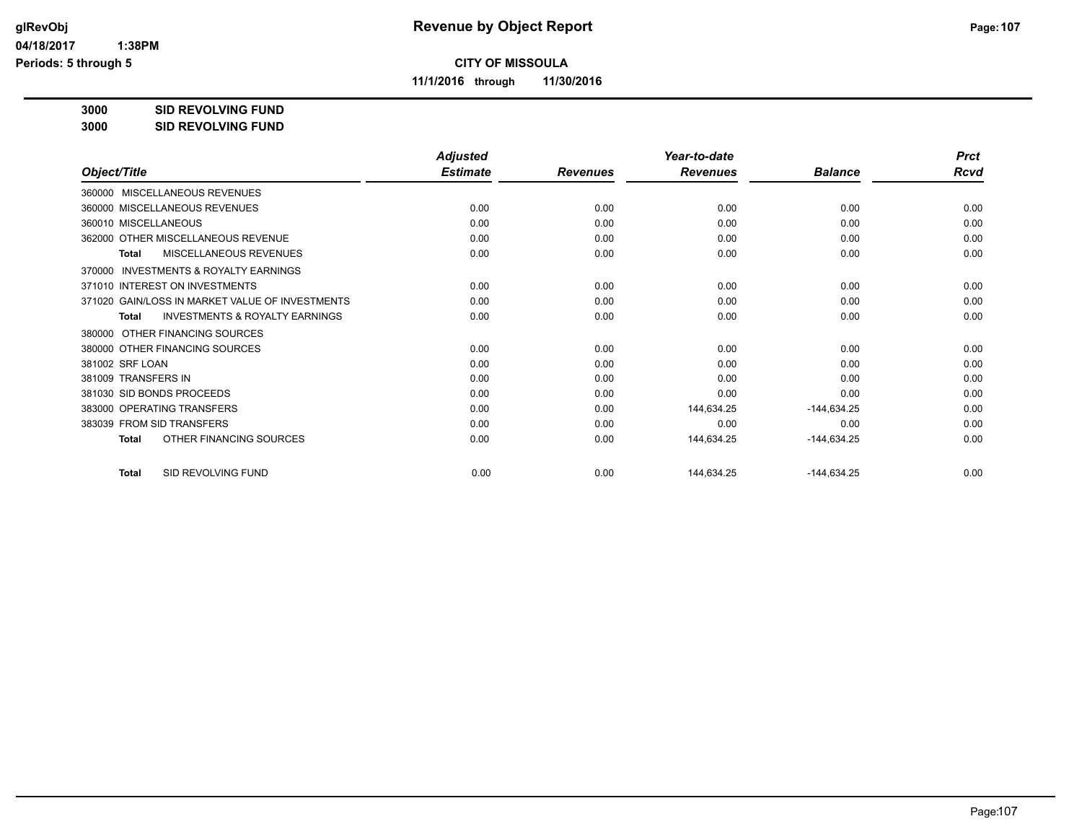**11/1/2016 through 11/30/2016**

**3000 SID REVOLVING FUND 3000 SID REVOLVING FUND**

|                                                    | <b>Adjusted</b> |                 | Year-to-date    |                | <b>Prct</b> |
|----------------------------------------------------|-----------------|-----------------|-----------------|----------------|-------------|
| Object/Title                                       | <b>Estimate</b> | <b>Revenues</b> | <b>Revenues</b> | <b>Balance</b> | Rcvd        |
| 360000 MISCELLANEOUS REVENUES                      |                 |                 |                 |                |             |
| 360000 MISCELLANEOUS REVENUES                      | 0.00            | 0.00            | 0.00            | 0.00           | 0.00        |
| 360010 MISCELLANEOUS                               | 0.00            | 0.00            | 0.00            | 0.00           | 0.00        |
| 362000 OTHER MISCELLANEOUS REVENUE                 | 0.00            | 0.00            | 0.00            | 0.00           | 0.00        |
| MISCELLANEOUS REVENUES<br>Total                    | 0.00            | 0.00            | 0.00            | 0.00           | 0.00        |
| 370000 INVESTMENTS & ROYALTY EARNINGS              |                 |                 |                 |                |             |
| 371010 INTEREST ON INVESTMENTS                     | 0.00            | 0.00            | 0.00            | 0.00           | 0.00        |
| 371020 GAIN/LOSS IN MARKET VALUE OF INVESTMENTS    | 0.00            | 0.00            | 0.00            | 0.00           | 0.00        |
| <b>INVESTMENTS &amp; ROYALTY EARNINGS</b><br>Total | 0.00            | 0.00            | 0.00            | 0.00           | 0.00        |
| 380000 OTHER FINANCING SOURCES                     |                 |                 |                 |                |             |
| 380000 OTHER FINANCING SOURCES                     | 0.00            | 0.00            | 0.00            | 0.00           | 0.00        |
| 381002 SRF LOAN                                    | 0.00            | 0.00            | 0.00            | 0.00           | 0.00        |
| 381009 TRANSFERS IN                                | 0.00            | 0.00            | 0.00            | 0.00           | 0.00        |
| 381030 SID BONDS PROCEEDS                          | 0.00            | 0.00            | 0.00            | 0.00           | 0.00        |
| 383000 OPERATING TRANSFERS                         | 0.00            | 0.00            | 144,634.25      | $-144,634.25$  | 0.00        |
| 383039 FROM SID TRANSFERS                          | 0.00            | 0.00            | 0.00            | 0.00           | 0.00        |
| OTHER FINANCING SOURCES<br><b>Total</b>            | 0.00            | 0.00            | 144,634.25      | $-144,634.25$  | 0.00        |
| SID REVOLVING FUND<br><b>Total</b>                 | 0.00            | 0.00            | 144,634.25      | $-144,634.25$  | 0.00        |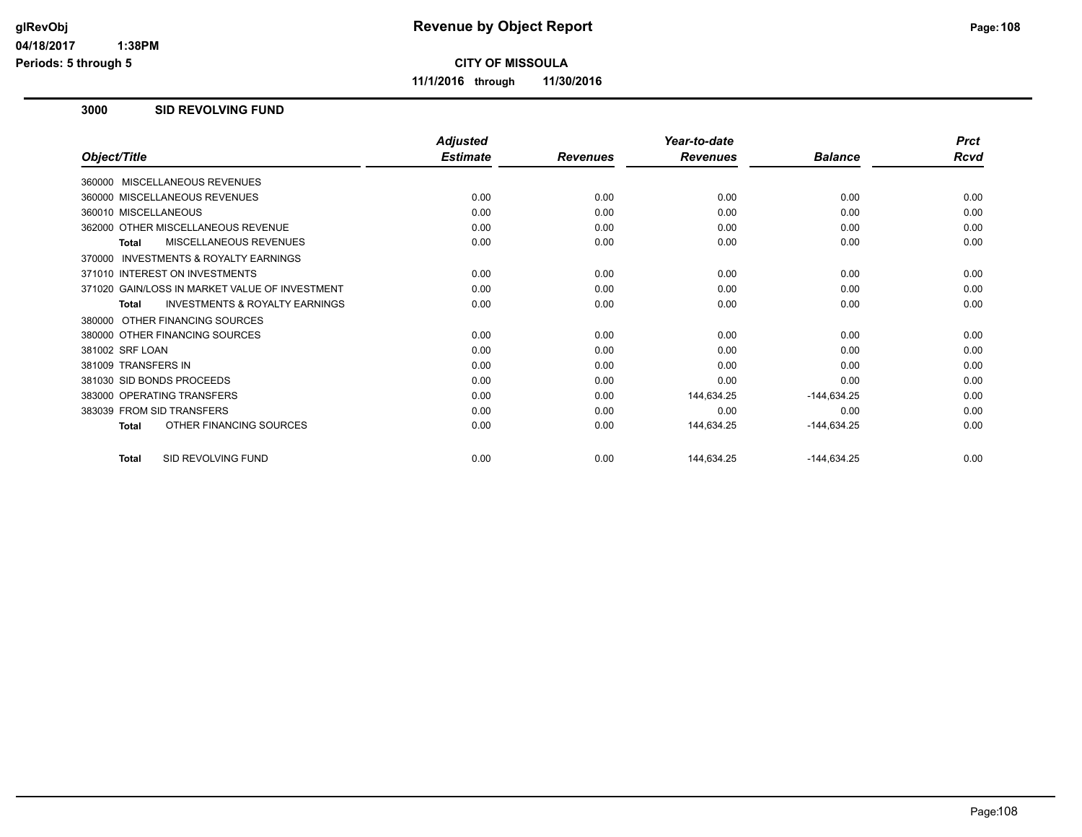**11/1/2016 through 11/30/2016**

### **3000 SID REVOLVING FUND**

|                                                    | <b>Adjusted</b> |                 | Year-to-date    |                | <b>Prct</b> |
|----------------------------------------------------|-----------------|-----------------|-----------------|----------------|-------------|
| Object/Title                                       | <b>Estimate</b> | <b>Revenues</b> | <b>Revenues</b> | <b>Balance</b> | Rcvd        |
| 360000 MISCELLANEOUS REVENUES                      |                 |                 |                 |                |             |
| 360000 MISCELLANEOUS REVENUES                      | 0.00            | 0.00            | 0.00            | 0.00           | 0.00        |
| 360010 MISCELLANEOUS                               | 0.00            | 0.00            | 0.00            | 0.00           | 0.00        |
| 362000 OTHER MISCELLANEOUS REVENUE                 | 0.00            | 0.00            | 0.00            | 0.00           | 0.00        |
| MISCELLANEOUS REVENUES<br>Total                    | 0.00            | 0.00            | 0.00            | 0.00           | 0.00        |
| INVESTMENTS & ROYALTY EARNINGS<br>370000           |                 |                 |                 |                |             |
| 371010 INTEREST ON INVESTMENTS                     | 0.00            | 0.00            | 0.00            | 0.00           | 0.00        |
| 371020 GAIN/LOSS IN MARKET VALUE OF INVESTMENT     | 0.00            | 0.00            | 0.00            | 0.00           | 0.00        |
| <b>INVESTMENTS &amp; ROYALTY EARNINGS</b><br>Total | 0.00            | 0.00            | 0.00            | 0.00           | 0.00        |
| 380000 OTHER FINANCING SOURCES                     |                 |                 |                 |                |             |
| 380000 OTHER FINANCING SOURCES                     | 0.00            | 0.00            | 0.00            | 0.00           | 0.00        |
| 381002 SRF LOAN                                    | 0.00            | 0.00            | 0.00            | 0.00           | 0.00        |
| 381009 TRANSFERS IN                                | 0.00            | 0.00            | 0.00            | 0.00           | 0.00        |
| 381030 SID BONDS PROCEEDS                          | 0.00            | 0.00            | 0.00            | 0.00           | 0.00        |
| 383000 OPERATING TRANSFERS                         | 0.00            | 0.00            | 144,634.25      | $-144,634.25$  | 0.00        |
| 383039 FROM SID TRANSFERS                          | 0.00            | 0.00            | 0.00            | 0.00           | 0.00        |
| OTHER FINANCING SOURCES<br><b>Total</b>            | 0.00            | 0.00            | 144,634.25      | $-144,634.25$  | 0.00        |
| SID REVOLVING FUND<br><b>Total</b>                 | 0.00            | 0.00            | 144,634.25      | $-144,634.25$  | 0.00        |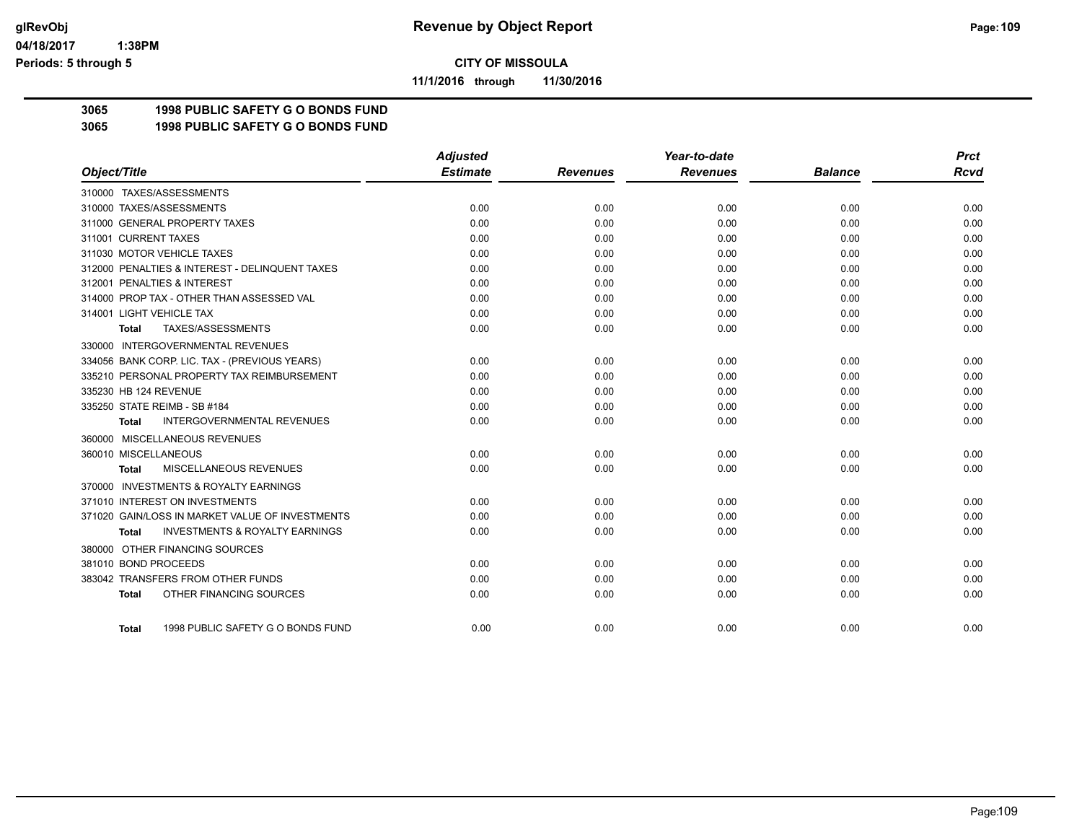**11/1/2016 through 11/30/2016**

#### **3065 1998 PUBLIC SAFETY G O BONDS FUND 3065 1998 PUBLIC SAFETY G O BONDS FUND**

|                                                     | <b>Adjusted</b> |                 | Year-to-date    |                | <b>Prct</b> |
|-----------------------------------------------------|-----------------|-----------------|-----------------|----------------|-------------|
| Object/Title                                        | <b>Estimate</b> | <b>Revenues</b> | <b>Revenues</b> | <b>Balance</b> | <b>Rcvd</b> |
| 310000 TAXES/ASSESSMENTS                            |                 |                 |                 |                |             |
| 310000 TAXES/ASSESSMENTS                            | 0.00            | 0.00            | 0.00            | 0.00           | 0.00        |
| 311000 GENERAL PROPERTY TAXES                       | 0.00            | 0.00            | 0.00            | 0.00           | 0.00        |
| 311001 CURRENT TAXES                                | 0.00            | 0.00            | 0.00            | 0.00           | 0.00        |
| 311030 MOTOR VEHICLE TAXES                          | 0.00            | 0.00            | 0.00            | 0.00           | 0.00        |
| 312000 PENALTIES & INTEREST - DELINQUENT TAXES      | 0.00            | 0.00            | 0.00            | 0.00           | 0.00        |
| 312001 PENALTIES & INTEREST                         | 0.00            | 0.00            | 0.00            | 0.00           | 0.00        |
| 314000 PROP TAX - OTHER THAN ASSESSED VAL           | 0.00            | 0.00            | 0.00            | 0.00           | 0.00        |
| 314001 LIGHT VEHICLE TAX                            | 0.00            | 0.00            | 0.00            | 0.00           | 0.00        |
| TAXES/ASSESSMENTS<br>Total                          | 0.00            | 0.00            | 0.00            | 0.00           | 0.00        |
| 330000 INTERGOVERNMENTAL REVENUES                   |                 |                 |                 |                |             |
| 334056 BANK CORP. LIC. TAX - (PREVIOUS YEARS)       | 0.00            | 0.00            | 0.00            | 0.00           | 0.00        |
| 335210 PERSONAL PROPERTY TAX REIMBURSEMENT          | 0.00            | 0.00            | 0.00            | 0.00           | 0.00        |
| 335230 HB 124 REVENUE                               | 0.00            | 0.00            | 0.00            | 0.00           | 0.00        |
| 335250 STATE REIMB - SB #184                        | 0.00            | 0.00            | 0.00            | 0.00           | 0.00        |
| <b>INTERGOVERNMENTAL REVENUES</b><br><b>Total</b>   | 0.00            | 0.00            | 0.00            | 0.00           | 0.00        |
| 360000 MISCELLANEOUS REVENUES                       |                 |                 |                 |                |             |
| 360010 MISCELLANEOUS                                | 0.00            | 0.00            | 0.00            | 0.00           | 0.00        |
| MISCELLANEOUS REVENUES<br>Total                     | 0.00            | 0.00            | 0.00            | 0.00           | 0.00        |
| <b>INVESTMENTS &amp; ROYALTY EARNINGS</b><br>370000 |                 |                 |                 |                |             |
| 371010 INTEREST ON INVESTMENTS                      | 0.00            | 0.00            | 0.00            | 0.00           | 0.00        |
| 371020 GAIN/LOSS IN MARKET VALUE OF INVESTMENTS     | 0.00            | 0.00            | 0.00            | 0.00           | 0.00        |
| <b>INVESTMENTS &amp; ROYALTY EARNINGS</b><br>Total  | 0.00            | 0.00            | 0.00            | 0.00           | 0.00        |
| 380000 OTHER FINANCING SOURCES                      |                 |                 |                 |                |             |
| 381010 BOND PROCEEDS                                | 0.00            | 0.00            | 0.00            | 0.00           | 0.00        |
| 383042 TRANSFERS FROM OTHER FUNDS                   | 0.00            | 0.00            | 0.00            | 0.00           | 0.00        |
| OTHER FINANCING SOURCES<br>Total                    | 0.00            | 0.00            | 0.00            | 0.00           | 0.00        |
| 1998 PUBLIC SAFETY G O BONDS FUND<br>Total          | 0.00            | 0.00            | 0.00            | 0.00           | 0.00        |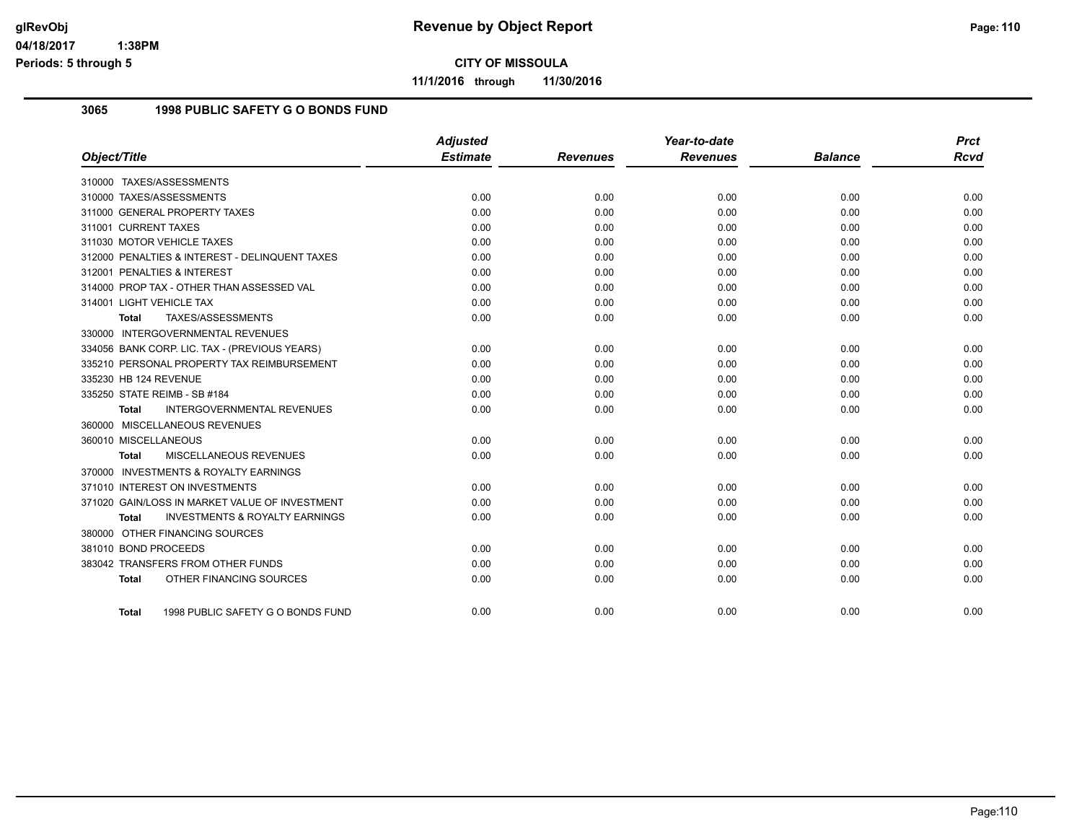**11/1/2016 through 11/30/2016**

### **3065 1998 PUBLIC SAFETY G O BONDS FUND**

|                                                    | <b>Adjusted</b> |                 | Year-to-date    |                | <b>Prct</b> |
|----------------------------------------------------|-----------------|-----------------|-----------------|----------------|-------------|
| Object/Title                                       | <b>Estimate</b> | <b>Revenues</b> | <b>Revenues</b> | <b>Balance</b> | <b>Rcvd</b> |
| 310000 TAXES/ASSESSMENTS                           |                 |                 |                 |                |             |
| 310000 TAXES/ASSESSMENTS                           | 0.00            | 0.00            | 0.00            | 0.00           | 0.00        |
| 311000 GENERAL PROPERTY TAXES                      | 0.00            | 0.00            | 0.00            | 0.00           | 0.00        |
| 311001 CURRENT TAXES                               | 0.00            | 0.00            | 0.00            | 0.00           | 0.00        |
| 311030 MOTOR VEHICLE TAXES                         | 0.00            | 0.00            | 0.00            | 0.00           | 0.00        |
| 312000 PENALTIES & INTEREST - DELINQUENT TAXES     | 0.00            | 0.00            | 0.00            | 0.00           | 0.00        |
| 312001 PENALTIES & INTEREST                        | 0.00            | 0.00            | 0.00            | 0.00           | 0.00        |
| 314000 PROP TAX - OTHER THAN ASSESSED VAL          | 0.00            | 0.00            | 0.00            | 0.00           | 0.00        |
| 314001 LIGHT VEHICLE TAX                           | 0.00            | 0.00            | 0.00            | 0.00           | 0.00        |
| TAXES/ASSESSMENTS<br>Total                         | 0.00            | 0.00            | 0.00            | 0.00           | 0.00        |
| 330000 INTERGOVERNMENTAL REVENUES                  |                 |                 |                 |                |             |
| 334056 BANK CORP. LIC. TAX - (PREVIOUS YEARS)      | 0.00            | 0.00            | 0.00            | 0.00           | 0.00        |
| 335210 PERSONAL PROPERTY TAX REIMBURSEMENT         | 0.00            | 0.00            | 0.00            | 0.00           | 0.00        |
| 335230 HB 124 REVENUE                              | 0.00            | 0.00            | 0.00            | 0.00           | 0.00        |
| 335250 STATE REIMB - SB #184                       | 0.00            | 0.00            | 0.00            | 0.00           | 0.00        |
| <b>INTERGOVERNMENTAL REVENUES</b><br>Total         | 0.00            | 0.00            | 0.00            | 0.00           | 0.00        |
| 360000 MISCELLANEOUS REVENUES                      |                 |                 |                 |                |             |
| 360010 MISCELLANEOUS                               | 0.00            | 0.00            | 0.00            | 0.00           | 0.00        |
| MISCELLANEOUS REVENUES<br>Total                    | 0.00            | 0.00            | 0.00            | 0.00           | 0.00        |
| 370000 INVESTMENTS & ROYALTY EARNINGS              |                 |                 |                 |                |             |
| 371010 INTEREST ON INVESTMENTS                     | 0.00            | 0.00            | 0.00            | 0.00           | 0.00        |
| 371020 GAIN/LOSS IN MARKET VALUE OF INVESTMENT     | 0.00            | 0.00            | 0.00            | 0.00           | 0.00        |
| <b>INVESTMENTS &amp; ROYALTY EARNINGS</b><br>Total | 0.00            | 0.00            | 0.00            | 0.00           | 0.00        |
| 380000 OTHER FINANCING SOURCES                     |                 |                 |                 |                |             |
| 381010 BOND PROCEEDS                               | 0.00            | 0.00            | 0.00            | 0.00           | 0.00        |
| 383042 TRANSFERS FROM OTHER FUNDS                  | 0.00            | 0.00            | 0.00            | 0.00           | 0.00        |
| OTHER FINANCING SOURCES<br><b>Total</b>            | 0.00            | 0.00            | 0.00            | 0.00           | 0.00        |
| 1998 PUBLIC SAFETY G O BONDS FUND<br><b>Total</b>  | 0.00            | 0.00            | 0.00            | 0.00           | 0.00        |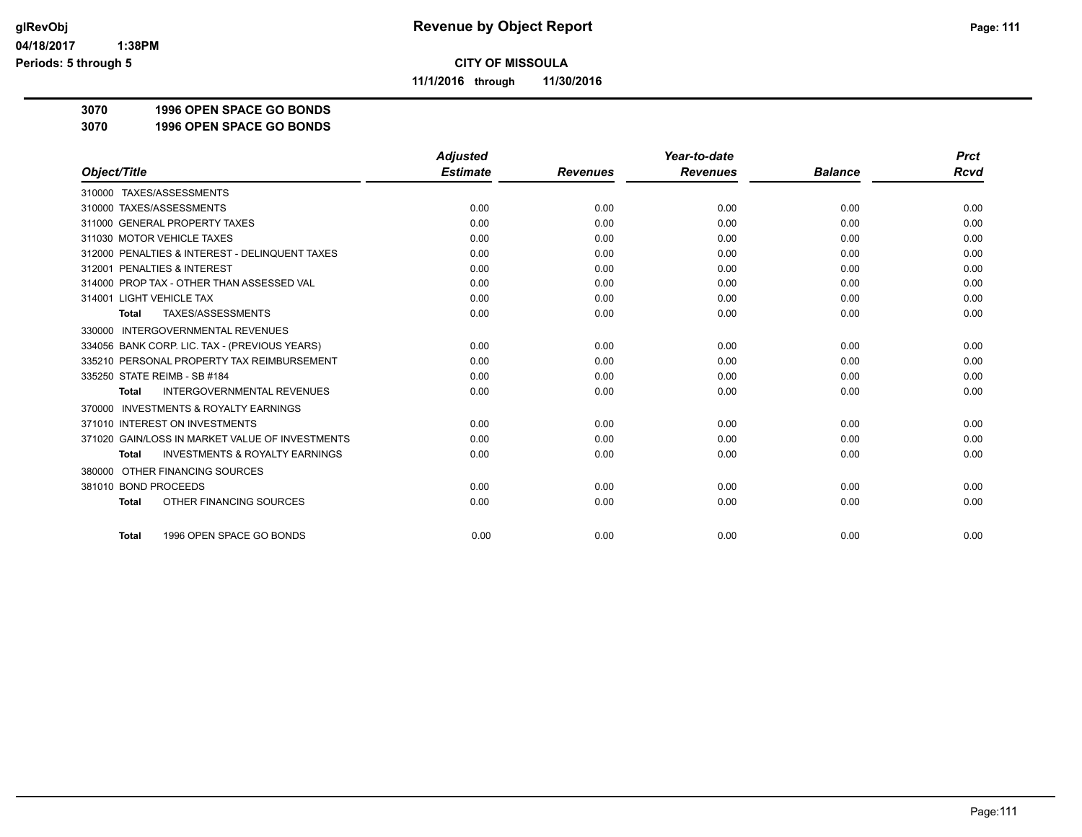**11/1/2016 through 11/30/2016**

**3070 1996 OPEN SPACE GO BONDS**

**3070 1996 OPEN SPACE GO BONDS**

|                                                           | <b>Adjusted</b> |                 | Year-to-date    |                | <b>Prct</b> |
|-----------------------------------------------------------|-----------------|-----------------|-----------------|----------------|-------------|
| Object/Title                                              | <b>Estimate</b> | <b>Revenues</b> | <b>Revenues</b> | <b>Balance</b> | <b>Rcvd</b> |
| 310000 TAXES/ASSESSMENTS                                  |                 |                 |                 |                |             |
| 310000 TAXES/ASSESSMENTS                                  | 0.00            | 0.00            | 0.00            | 0.00           | 0.00        |
| 311000 GENERAL PROPERTY TAXES                             | 0.00            | 0.00            | 0.00            | 0.00           | 0.00        |
| 311030 MOTOR VEHICLE TAXES                                | 0.00            | 0.00            | 0.00            | 0.00           | 0.00        |
| 312000 PENALTIES & INTEREST - DELINQUENT TAXES            | 0.00            | 0.00            | 0.00            | 0.00           | 0.00        |
| 312001 PENALTIES & INTEREST                               | 0.00            | 0.00            | 0.00            | 0.00           | 0.00        |
| 314000 PROP TAX - OTHER THAN ASSESSED VAL                 | 0.00            | 0.00            | 0.00            | 0.00           | 0.00        |
| 314001 LIGHT VEHICLE TAX                                  | 0.00            | 0.00            | 0.00            | 0.00           | 0.00        |
| TAXES/ASSESSMENTS<br><b>Total</b>                         | 0.00            | 0.00            | 0.00            | 0.00           | 0.00        |
| 330000 INTERGOVERNMENTAL REVENUES                         |                 |                 |                 |                |             |
| 334056 BANK CORP. LIC. TAX - (PREVIOUS YEARS)             | 0.00            | 0.00            | 0.00            | 0.00           | 0.00        |
| 335210 PERSONAL PROPERTY TAX REIMBURSEMENT                | 0.00            | 0.00            | 0.00            | 0.00           | 0.00        |
| 335250 STATE REIMB - SB #184                              | 0.00            | 0.00            | 0.00            | 0.00           | 0.00        |
| <b>INTERGOVERNMENTAL REVENUES</b><br><b>Total</b>         | 0.00            | 0.00            | 0.00            | 0.00           | 0.00        |
| 370000 INVESTMENTS & ROYALTY EARNINGS                     |                 |                 |                 |                |             |
| 371010 INTEREST ON INVESTMENTS                            | 0.00            | 0.00            | 0.00            | 0.00           | 0.00        |
| 371020 GAIN/LOSS IN MARKET VALUE OF INVESTMENTS           | 0.00            | 0.00            | 0.00            | 0.00           | 0.00        |
| <b>INVESTMENTS &amp; ROYALTY EARNINGS</b><br><b>Total</b> | 0.00            | 0.00            | 0.00            | 0.00           | 0.00        |
| 380000 OTHER FINANCING SOURCES                            |                 |                 |                 |                |             |
| 381010 BOND PROCEEDS                                      | 0.00            | 0.00            | 0.00            | 0.00           | 0.00        |
| OTHER FINANCING SOURCES<br><b>Total</b>                   | 0.00            | 0.00            | 0.00            | 0.00           | 0.00        |
| 1996 OPEN SPACE GO BONDS<br><b>Total</b>                  | 0.00            | 0.00            | 0.00            | 0.00           | 0.00        |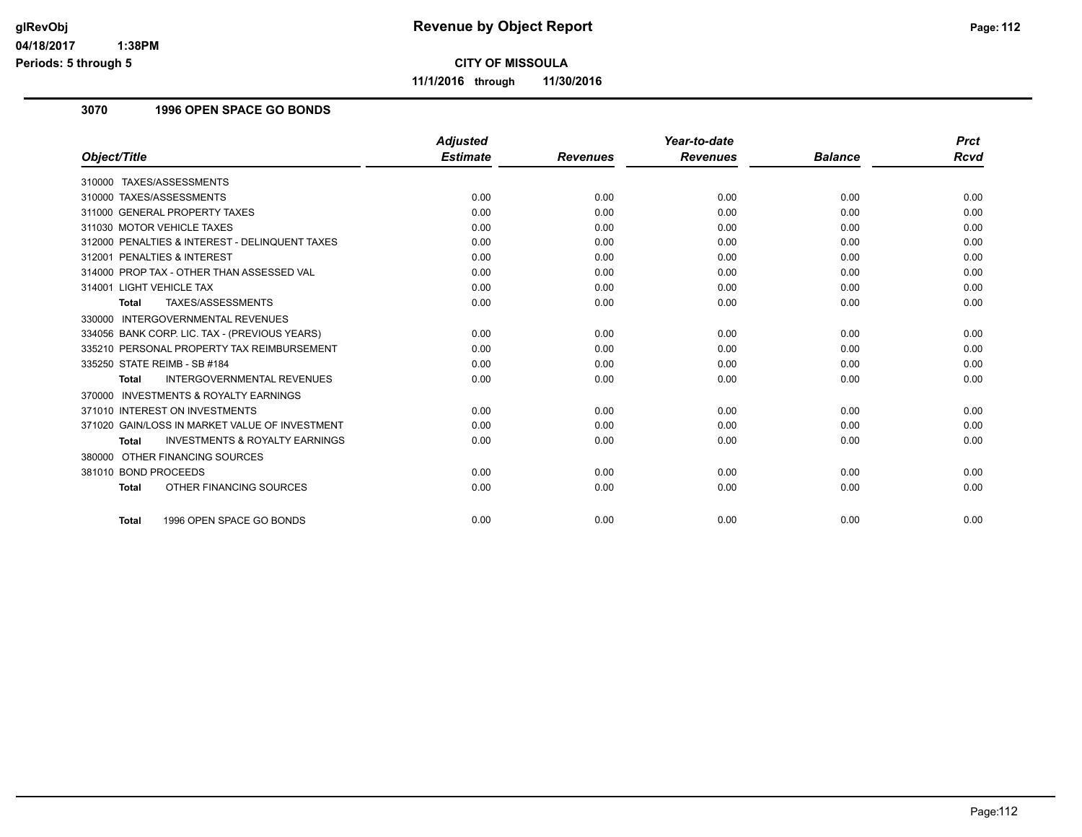**11/1/2016 through 11/30/2016**

### **3070 1996 OPEN SPACE GO BONDS**

|                                                           | <b>Adjusted</b> |                 | Year-to-date    |                | <b>Prct</b> |
|-----------------------------------------------------------|-----------------|-----------------|-----------------|----------------|-------------|
| Object/Title                                              | <b>Estimate</b> | <b>Revenues</b> | <b>Revenues</b> | <b>Balance</b> | Rcvd        |
| 310000 TAXES/ASSESSMENTS                                  |                 |                 |                 |                |             |
| 310000 TAXES/ASSESSMENTS                                  | 0.00            | 0.00            | 0.00            | 0.00           | 0.00        |
| 311000 GENERAL PROPERTY TAXES                             | 0.00            | 0.00            | 0.00            | 0.00           | 0.00        |
| 311030 MOTOR VEHICLE TAXES                                | 0.00            | 0.00            | 0.00            | 0.00           | 0.00        |
| 312000 PENALTIES & INTEREST - DELINQUENT TAXES            | 0.00            | 0.00            | 0.00            | 0.00           | 0.00        |
| 312001 PENALTIES & INTEREST                               | 0.00            | 0.00            | 0.00            | 0.00           | 0.00        |
| 314000 PROP TAX - OTHER THAN ASSESSED VAL                 | 0.00            | 0.00            | 0.00            | 0.00           | 0.00        |
| 314001 LIGHT VEHICLE TAX                                  | 0.00            | 0.00            | 0.00            | 0.00           | 0.00        |
| TAXES/ASSESSMENTS<br><b>Total</b>                         | 0.00            | 0.00            | 0.00            | 0.00           | 0.00        |
| 330000 INTERGOVERNMENTAL REVENUES                         |                 |                 |                 |                |             |
| 334056 BANK CORP. LIC. TAX - (PREVIOUS YEARS)             | 0.00            | 0.00            | 0.00            | 0.00           | 0.00        |
| 335210 PERSONAL PROPERTY TAX REIMBURSEMENT                | 0.00            | 0.00            | 0.00            | 0.00           | 0.00        |
| 335250 STATE REIMB - SB #184                              | 0.00            | 0.00            | 0.00            | 0.00           | 0.00        |
| INTERGOVERNMENTAL REVENUES<br><b>Total</b>                | 0.00            | 0.00            | 0.00            | 0.00           | 0.00        |
| <b>INVESTMENTS &amp; ROYALTY EARNINGS</b><br>370000       |                 |                 |                 |                |             |
| 371010 INTEREST ON INVESTMENTS                            | 0.00            | 0.00            | 0.00            | 0.00           | 0.00        |
| 371020 GAIN/LOSS IN MARKET VALUE OF INVESTMENT            | 0.00            | 0.00            | 0.00            | 0.00           | 0.00        |
| <b>INVESTMENTS &amp; ROYALTY EARNINGS</b><br><b>Total</b> | 0.00            | 0.00            | 0.00            | 0.00           | 0.00        |
| 380000 OTHER FINANCING SOURCES                            |                 |                 |                 |                |             |
| 381010 BOND PROCEEDS                                      | 0.00            | 0.00            | 0.00            | 0.00           | 0.00        |
| OTHER FINANCING SOURCES<br><b>Total</b>                   | 0.00            | 0.00            | 0.00            | 0.00           | 0.00        |
| 1996 OPEN SPACE GO BONDS<br><b>Total</b>                  | 0.00            | 0.00            | 0.00            | 0.00           | 0.00        |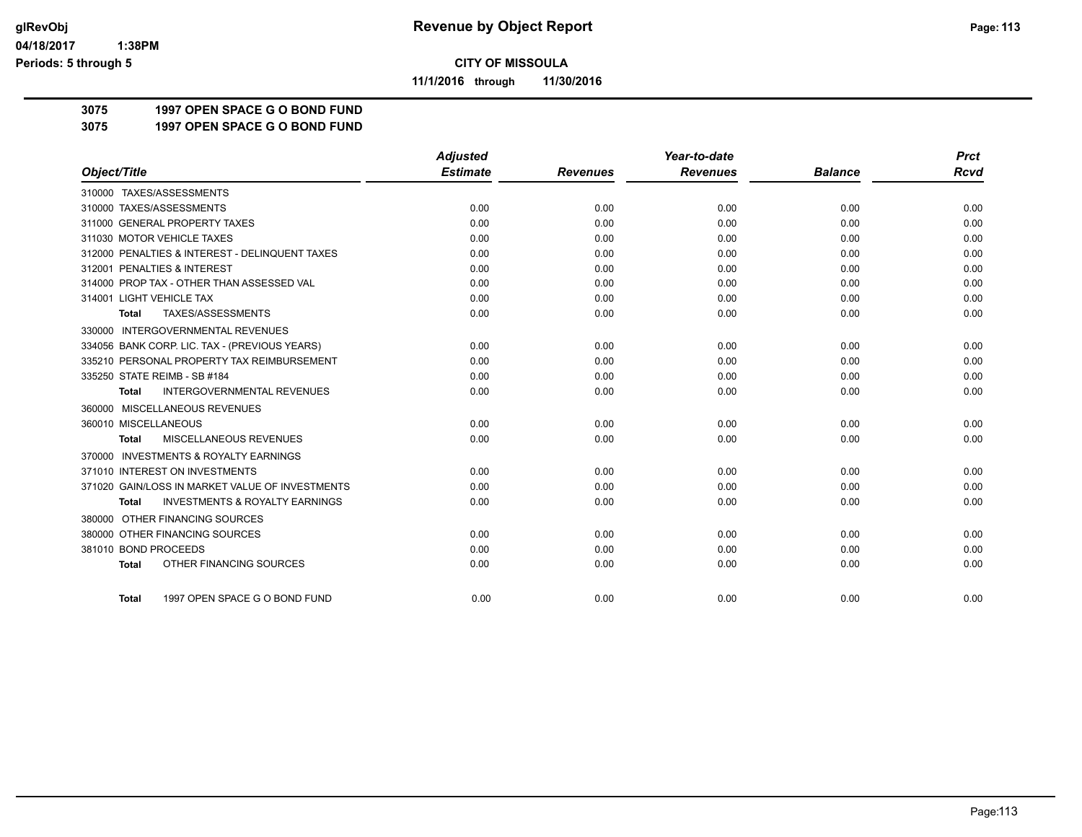**11/1/2016 through 11/30/2016**

**3075 1997 OPEN SPACE G O BOND FUND**

**3075 1997 OPEN SPACE G O BOND FUND**

|                                                           | <b>Adjusted</b> |                 | Year-to-date    |                | <b>Prct</b> |
|-----------------------------------------------------------|-----------------|-----------------|-----------------|----------------|-------------|
| Object/Title                                              | <b>Estimate</b> | <b>Revenues</b> | <b>Revenues</b> | <b>Balance</b> | <b>Rcvd</b> |
| 310000 TAXES/ASSESSMENTS                                  |                 |                 |                 |                |             |
| 310000 TAXES/ASSESSMENTS                                  | 0.00            | 0.00            | 0.00            | 0.00           | 0.00        |
| 311000 GENERAL PROPERTY TAXES                             | 0.00            | 0.00            | 0.00            | 0.00           | 0.00        |
| 311030 MOTOR VEHICLE TAXES                                | 0.00            | 0.00            | 0.00            | 0.00           | 0.00        |
| 312000 PENALTIES & INTEREST - DELINQUENT TAXES            | 0.00            | 0.00            | 0.00            | 0.00           | 0.00        |
| 312001 PENALTIES & INTEREST                               | 0.00            | 0.00            | 0.00            | 0.00           | 0.00        |
| 314000 PROP TAX - OTHER THAN ASSESSED VAL                 | 0.00            | 0.00            | 0.00            | 0.00           | 0.00        |
| 314001 LIGHT VEHICLE TAX                                  | 0.00            | 0.00            | 0.00            | 0.00           | 0.00        |
| TAXES/ASSESSMENTS<br><b>Total</b>                         | 0.00            | 0.00            | 0.00            | 0.00           | 0.00        |
| 330000 INTERGOVERNMENTAL REVENUES                         |                 |                 |                 |                |             |
| 334056 BANK CORP. LIC. TAX - (PREVIOUS YEARS)             | 0.00            | 0.00            | 0.00            | 0.00           | 0.00        |
| 335210 PERSONAL PROPERTY TAX REIMBURSEMENT                | 0.00            | 0.00            | 0.00            | 0.00           | 0.00        |
| 335250 STATE REIMB - SB #184                              | 0.00            | 0.00            | 0.00            | 0.00           | 0.00        |
| <b>INTERGOVERNMENTAL REVENUES</b><br><b>Total</b>         | 0.00            | 0.00            | 0.00            | 0.00           | 0.00        |
| 360000 MISCELLANEOUS REVENUES                             |                 |                 |                 |                |             |
| 360010 MISCELLANEOUS                                      | 0.00            | 0.00            | 0.00            | 0.00           | 0.00        |
| MISCELLANEOUS REVENUES<br><b>Total</b>                    | 0.00            | 0.00            | 0.00            | 0.00           | 0.00        |
| 370000 INVESTMENTS & ROYALTY EARNINGS                     |                 |                 |                 |                |             |
| 371010 INTEREST ON INVESTMENTS                            | 0.00            | 0.00            | 0.00            | 0.00           | 0.00        |
| 371020 GAIN/LOSS IN MARKET VALUE OF INVESTMENTS           | 0.00            | 0.00            | 0.00            | 0.00           | 0.00        |
| <b>INVESTMENTS &amp; ROYALTY EARNINGS</b><br><b>Total</b> | 0.00            | 0.00            | 0.00            | 0.00           | 0.00        |
| 380000 OTHER FINANCING SOURCES                            |                 |                 |                 |                |             |
| 380000 OTHER FINANCING SOURCES                            | 0.00            | 0.00            | 0.00            | 0.00           | 0.00        |
| 381010 BOND PROCEEDS                                      | 0.00            | 0.00            | 0.00            | 0.00           | 0.00        |
| OTHER FINANCING SOURCES<br><b>Total</b>                   | 0.00            | 0.00            | 0.00            | 0.00           | 0.00        |
| 1997 OPEN SPACE G O BOND FUND<br><b>Total</b>             | 0.00            | 0.00            | 0.00            | 0.00           | 0.00        |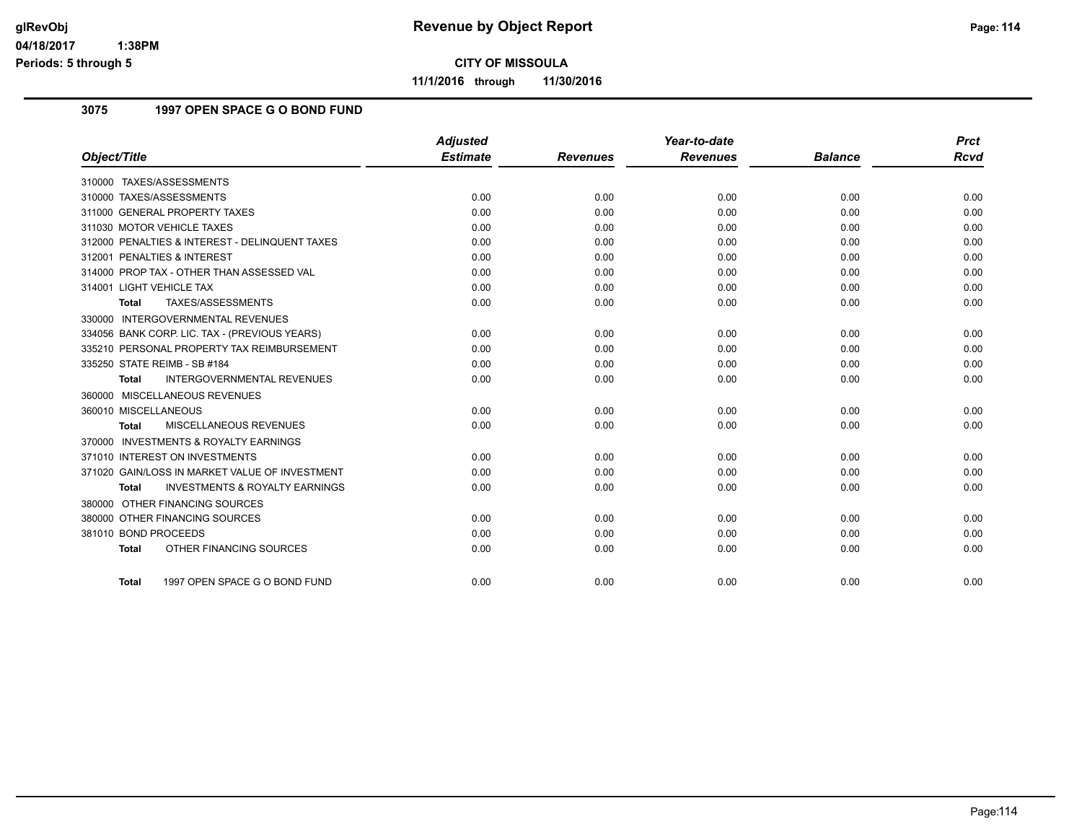**11/1/2016 through 11/30/2016**

### **3075 1997 OPEN SPACE G O BOND FUND**

|                                                           | <b>Adjusted</b> |                 | Year-to-date    |                | <b>Prct</b> |
|-----------------------------------------------------------|-----------------|-----------------|-----------------|----------------|-------------|
| Object/Title                                              | <b>Estimate</b> | <b>Revenues</b> | <b>Revenues</b> | <b>Balance</b> | <b>Rcvd</b> |
| 310000 TAXES/ASSESSMENTS                                  |                 |                 |                 |                |             |
| 310000 TAXES/ASSESSMENTS                                  | 0.00            | 0.00            | 0.00            | 0.00           | 0.00        |
| 311000 GENERAL PROPERTY TAXES                             | 0.00            | 0.00            | 0.00            | 0.00           | 0.00        |
| 311030 MOTOR VEHICLE TAXES                                | 0.00            | 0.00            | 0.00            | 0.00           | 0.00        |
| 312000 PENALTIES & INTEREST - DELINQUENT TAXES            | 0.00            | 0.00            | 0.00            | 0.00           | 0.00        |
| 312001 PENALTIES & INTEREST                               | 0.00            | 0.00            | 0.00            | 0.00           | 0.00        |
| 314000 PROP TAX - OTHER THAN ASSESSED VAL                 | 0.00            | 0.00            | 0.00            | 0.00           | 0.00        |
| 314001 LIGHT VEHICLE TAX                                  | 0.00            | 0.00            | 0.00            | 0.00           | 0.00        |
| TAXES/ASSESSMENTS<br><b>Total</b>                         | 0.00            | 0.00            | 0.00            | 0.00           | 0.00        |
| 330000 INTERGOVERNMENTAL REVENUES                         |                 |                 |                 |                |             |
| 334056 BANK CORP. LIC. TAX - (PREVIOUS YEARS)             | 0.00            | 0.00            | 0.00            | 0.00           | 0.00        |
| 335210 PERSONAL PROPERTY TAX REIMBURSEMENT                | 0.00            | 0.00            | 0.00            | 0.00           | 0.00        |
| 335250 STATE REIMB - SB #184                              | 0.00            | 0.00            | 0.00            | 0.00           | 0.00        |
| <b>INTERGOVERNMENTAL REVENUES</b><br><b>Total</b>         | 0.00            | 0.00            | 0.00            | 0.00           | 0.00        |
| 360000 MISCELLANEOUS REVENUES                             |                 |                 |                 |                |             |
| 360010 MISCELLANEOUS                                      | 0.00            | 0.00            | 0.00            | 0.00           | 0.00        |
| <b>MISCELLANEOUS REVENUES</b><br><b>Total</b>             | 0.00            | 0.00            | 0.00            | 0.00           | 0.00        |
| 370000 INVESTMENTS & ROYALTY EARNINGS                     |                 |                 |                 |                |             |
| 371010 INTEREST ON INVESTMENTS                            | 0.00            | 0.00            | 0.00            | 0.00           | 0.00        |
| 371020 GAIN/LOSS IN MARKET VALUE OF INVESTMENT            | 0.00            | 0.00            | 0.00            | 0.00           | 0.00        |
| <b>INVESTMENTS &amp; ROYALTY EARNINGS</b><br><b>Total</b> | 0.00            | 0.00            | 0.00            | 0.00           | 0.00        |
| 380000 OTHER FINANCING SOURCES                            |                 |                 |                 |                |             |
| 380000 OTHER FINANCING SOURCES                            | 0.00            | 0.00            | 0.00            | 0.00           | 0.00        |
| 381010 BOND PROCEEDS                                      | 0.00            | 0.00            | 0.00            | 0.00           | 0.00        |
| OTHER FINANCING SOURCES<br><b>Total</b>                   | 0.00            | 0.00            | 0.00            | 0.00           | 0.00        |
| 1997 OPEN SPACE G O BOND FUND<br><b>Total</b>             | 0.00            | 0.00            | 0.00            | 0.00           | 0.00        |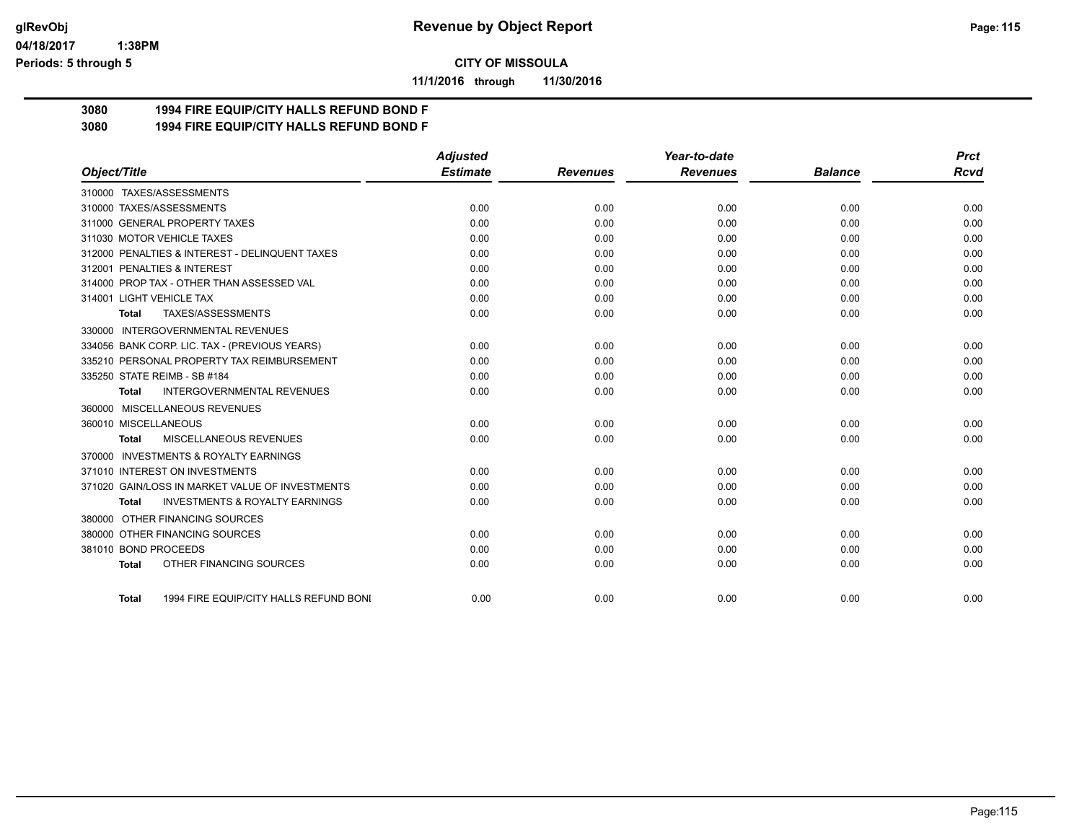**11/1/2016 through 11/30/2016**

# **3080 1994 FIRE EQUIP/CITY HALLS REFUND BOND F**

**3080 1994 FIRE EQUIP/CITY HALLS REFUND BOND F**

|                                                        | <b>Adjusted</b> |                 | Year-to-date    |                | <b>Prct</b> |
|--------------------------------------------------------|-----------------|-----------------|-----------------|----------------|-------------|
| Object/Title                                           | <b>Estimate</b> | <b>Revenues</b> | <b>Revenues</b> | <b>Balance</b> | Rcvd        |
| 310000 TAXES/ASSESSMENTS                               |                 |                 |                 |                |             |
| 310000 TAXES/ASSESSMENTS                               | 0.00            | 0.00            | 0.00            | 0.00           | 0.00        |
| 311000 GENERAL PROPERTY TAXES                          | 0.00            | 0.00            | 0.00            | 0.00           | 0.00        |
| 311030 MOTOR VEHICLE TAXES                             | 0.00            | 0.00            | 0.00            | 0.00           | 0.00        |
| 312000 PENALTIES & INTEREST - DELINQUENT TAXES         | 0.00            | 0.00            | 0.00            | 0.00           | 0.00        |
| 312001 PENALTIES & INTEREST                            | 0.00            | 0.00            | 0.00            | 0.00           | 0.00        |
| 314000 PROP TAX - OTHER THAN ASSESSED VAL              | 0.00            | 0.00            | 0.00            | 0.00           | 0.00        |
| 314001 LIGHT VEHICLE TAX                               | 0.00            | 0.00            | 0.00            | 0.00           | 0.00        |
| TAXES/ASSESSMENTS<br>Total                             | 0.00            | 0.00            | 0.00            | 0.00           | 0.00        |
| 330000 INTERGOVERNMENTAL REVENUES                      |                 |                 |                 |                |             |
| 334056 BANK CORP. LIC. TAX - (PREVIOUS YEARS)          | 0.00            | 0.00            | 0.00            | 0.00           | 0.00        |
| 335210 PERSONAL PROPERTY TAX REIMBURSEMENT             | 0.00            | 0.00            | 0.00            | 0.00           | 0.00        |
| 335250 STATE REIMB - SB #184                           | 0.00            | 0.00            | 0.00            | 0.00           | 0.00        |
| <b>INTERGOVERNMENTAL REVENUES</b><br><b>Total</b>      | 0.00            | 0.00            | 0.00            | 0.00           | 0.00        |
| 360000 MISCELLANEOUS REVENUES                          |                 |                 |                 |                |             |
| 360010 MISCELLANEOUS                                   | 0.00            | 0.00            | 0.00            | 0.00           | 0.00        |
| MISCELLANEOUS REVENUES<br><b>Total</b>                 | 0.00            | 0.00            | 0.00            | 0.00           | 0.00        |
| 370000 INVESTMENTS & ROYALTY EARNINGS                  |                 |                 |                 |                |             |
| 371010 INTEREST ON INVESTMENTS                         | 0.00            | 0.00            | 0.00            | 0.00           | 0.00        |
| 371020 GAIN/LOSS IN MARKET VALUE OF INVESTMENTS        | 0.00            | 0.00            | 0.00            | 0.00           | 0.00        |
| <b>INVESTMENTS &amp; ROYALTY EARNINGS</b><br>Total     | 0.00            | 0.00            | 0.00            | 0.00           | 0.00        |
| 380000 OTHER FINANCING SOURCES                         |                 |                 |                 |                |             |
| 380000 OTHER FINANCING SOURCES                         | 0.00            | 0.00            | 0.00            | 0.00           | 0.00        |
| 381010 BOND PROCEEDS                                   | 0.00            | 0.00            | 0.00            | 0.00           | 0.00        |
| OTHER FINANCING SOURCES<br><b>Total</b>                | 0.00            | 0.00            | 0.00            | 0.00           | 0.00        |
|                                                        |                 |                 |                 |                |             |
| 1994 FIRE EQUIP/CITY HALLS REFUND BONI<br><b>Total</b> | 0.00            | 0.00            | 0.00            | 0.00           | 0.00        |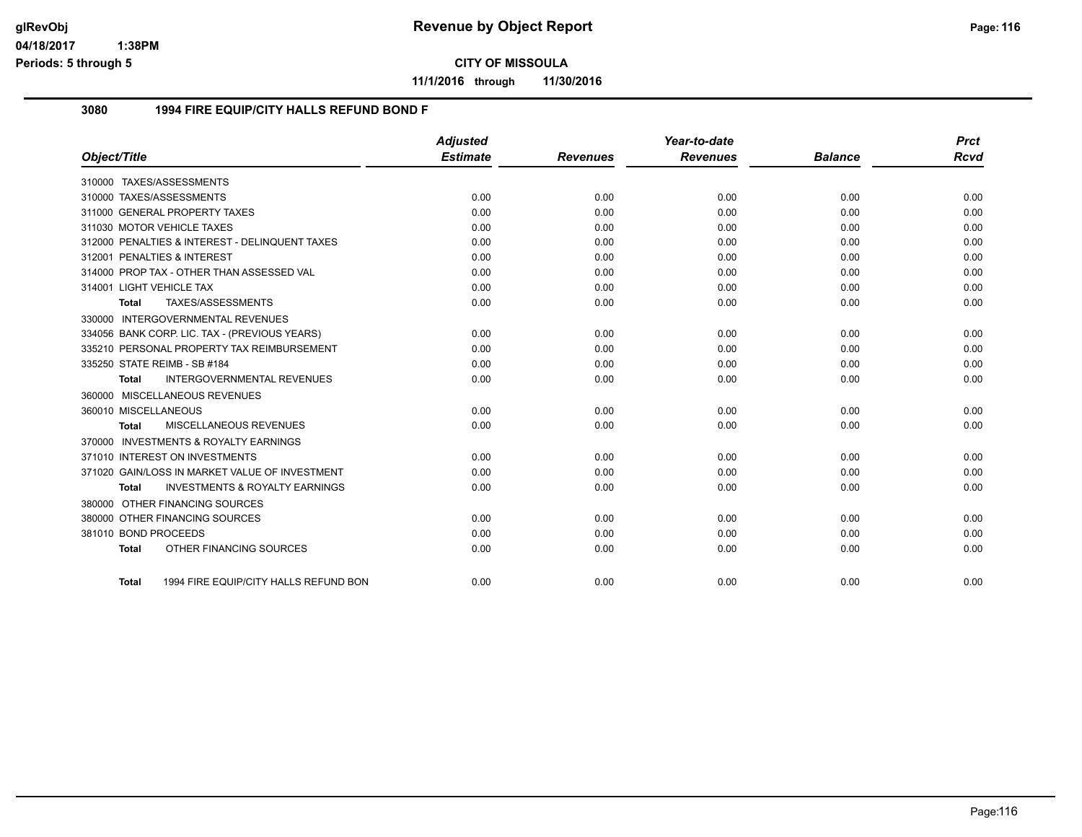**11/1/2016 through 11/30/2016**

## **3080 1994 FIRE EQUIP/CITY HALLS REFUND BOND F**

|                                                           | <b>Adjusted</b> |                 | Year-to-date    |                | <b>Prct</b> |
|-----------------------------------------------------------|-----------------|-----------------|-----------------|----------------|-------------|
| Object/Title                                              | <b>Estimate</b> | <b>Revenues</b> | <b>Revenues</b> | <b>Balance</b> | <b>Rcvd</b> |
| 310000 TAXES/ASSESSMENTS                                  |                 |                 |                 |                |             |
| 310000 TAXES/ASSESSMENTS                                  | 0.00            | 0.00            | 0.00            | 0.00           | 0.00        |
| 311000 GENERAL PROPERTY TAXES                             | 0.00            | 0.00            | 0.00            | 0.00           | 0.00        |
| 311030 MOTOR VEHICLE TAXES                                | 0.00            | 0.00            | 0.00            | 0.00           | 0.00        |
| 312000 PENALTIES & INTEREST - DELINQUENT TAXES            | 0.00            | 0.00            | 0.00            | 0.00           | 0.00        |
| 312001 PENALTIES & INTEREST                               | 0.00            | 0.00            | 0.00            | 0.00           | 0.00        |
| 314000 PROP TAX - OTHER THAN ASSESSED VAL                 | 0.00            | 0.00            | 0.00            | 0.00           | 0.00        |
| 314001 LIGHT VEHICLE TAX                                  | 0.00            | 0.00            | 0.00            | 0.00           | 0.00        |
| TAXES/ASSESSMENTS<br><b>Total</b>                         | 0.00            | 0.00            | 0.00            | 0.00           | 0.00        |
| 330000 INTERGOVERNMENTAL REVENUES                         |                 |                 |                 |                |             |
| 334056 BANK CORP. LIC. TAX - (PREVIOUS YEARS)             | 0.00            | 0.00            | 0.00            | 0.00           | 0.00        |
| 335210 PERSONAL PROPERTY TAX REIMBURSEMENT                | 0.00            | 0.00            | 0.00            | 0.00           | 0.00        |
| 335250 STATE REIMB - SB #184                              | 0.00            | 0.00            | 0.00            | 0.00           | 0.00        |
| <b>INTERGOVERNMENTAL REVENUES</b><br><b>Total</b>         | 0.00            | 0.00            | 0.00            | 0.00           | 0.00        |
| 360000 MISCELLANEOUS REVENUES                             |                 |                 |                 |                |             |
| 360010 MISCELLANEOUS                                      | 0.00            | 0.00            | 0.00            | 0.00           | 0.00        |
| MISCELLANEOUS REVENUES<br><b>Total</b>                    | 0.00            | 0.00            | 0.00            | 0.00           | 0.00        |
| 370000 INVESTMENTS & ROYALTY EARNINGS                     |                 |                 |                 |                |             |
| 371010 INTEREST ON INVESTMENTS                            | 0.00            | 0.00            | 0.00            | 0.00           | 0.00        |
| 371020 GAIN/LOSS IN MARKET VALUE OF INVESTMENT            | 0.00            | 0.00            | 0.00            | 0.00           | 0.00        |
| <b>INVESTMENTS &amp; ROYALTY EARNINGS</b><br><b>Total</b> | 0.00            | 0.00            | 0.00            | 0.00           | 0.00        |
| 380000 OTHER FINANCING SOURCES                            |                 |                 |                 |                |             |
| 380000 OTHER FINANCING SOURCES                            | 0.00            | 0.00            | 0.00            | 0.00           | 0.00        |
| 381010 BOND PROCEEDS                                      | 0.00            | 0.00            | 0.00            | 0.00           | 0.00        |
| OTHER FINANCING SOURCES<br><b>Total</b>                   | 0.00            | 0.00            | 0.00            | 0.00           | 0.00        |
| 1994 FIRE EQUIP/CITY HALLS REFUND BON<br><b>Total</b>     | 0.00            | 0.00            | 0.00            | 0.00           | 0.00        |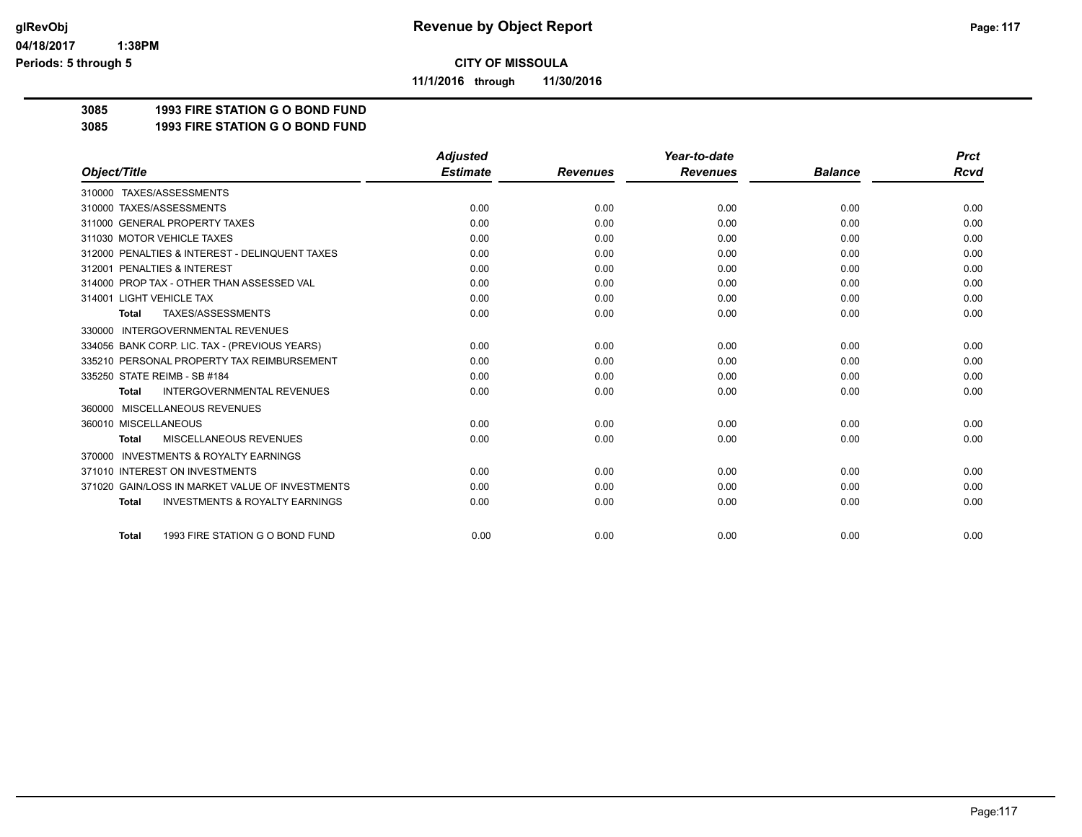**11/1/2016 through 11/30/2016**

**3085 1993 FIRE STATION G O BOND FUND**

**3085 1993 FIRE STATION G O BOND FUND**

|                                                           | <b>Adjusted</b> |                 | Year-to-date    |                | <b>Prct</b> |
|-----------------------------------------------------------|-----------------|-----------------|-----------------|----------------|-------------|
| Object/Title                                              | <b>Estimate</b> | <b>Revenues</b> | <b>Revenues</b> | <b>Balance</b> | <b>Rcvd</b> |
| 310000 TAXES/ASSESSMENTS                                  |                 |                 |                 |                |             |
| 310000 TAXES/ASSESSMENTS                                  | 0.00            | 0.00            | 0.00            | 0.00           | 0.00        |
| 311000 GENERAL PROPERTY TAXES                             | 0.00            | 0.00            | 0.00            | 0.00           | 0.00        |
| 311030 MOTOR VEHICLE TAXES                                | 0.00            | 0.00            | 0.00            | 0.00           | 0.00        |
| 312000 PENALTIES & INTEREST - DELINQUENT TAXES            | 0.00            | 0.00            | 0.00            | 0.00           | 0.00        |
| 312001 PENALTIES & INTEREST                               | 0.00            | 0.00            | 0.00            | 0.00           | 0.00        |
| 314000 PROP TAX - OTHER THAN ASSESSED VAL                 | 0.00            | 0.00            | 0.00            | 0.00           | 0.00        |
| 314001 LIGHT VEHICLE TAX                                  | 0.00            | 0.00            | 0.00            | 0.00           | 0.00        |
| TAXES/ASSESSMENTS<br>Total                                | 0.00            | 0.00            | 0.00            | 0.00           | 0.00        |
| 330000 INTERGOVERNMENTAL REVENUES                         |                 |                 |                 |                |             |
| 334056 BANK CORP. LIC. TAX - (PREVIOUS YEARS)             | 0.00            | 0.00            | 0.00            | 0.00           | 0.00        |
| 335210 PERSONAL PROPERTY TAX REIMBURSEMENT                | 0.00            | 0.00            | 0.00            | 0.00           | 0.00        |
| 335250 STATE REIMB - SB #184                              | 0.00            | 0.00            | 0.00            | 0.00           | 0.00        |
| <b>INTERGOVERNMENTAL REVENUES</b><br><b>Total</b>         | 0.00            | 0.00            | 0.00            | 0.00           | 0.00        |
| 360000 MISCELLANEOUS REVENUES                             |                 |                 |                 |                |             |
| 360010 MISCELLANEOUS                                      | 0.00            | 0.00            | 0.00            | 0.00           | 0.00        |
| MISCELLANEOUS REVENUES<br><b>Total</b>                    | 0.00            | 0.00            | 0.00            | 0.00           | 0.00        |
| 370000 INVESTMENTS & ROYALTY EARNINGS                     |                 |                 |                 |                |             |
| 371010 INTEREST ON INVESTMENTS                            | 0.00            | 0.00            | 0.00            | 0.00           | 0.00        |
| 371020 GAIN/LOSS IN MARKET VALUE OF INVESTMENTS           | 0.00            | 0.00            | 0.00            | 0.00           | 0.00        |
| <b>INVESTMENTS &amp; ROYALTY EARNINGS</b><br><b>Total</b> | 0.00            | 0.00            | 0.00            | 0.00           | 0.00        |
|                                                           |                 |                 |                 |                |             |
| 1993 FIRE STATION G O BOND FUND<br><b>Total</b>           | 0.00            | 0.00            | 0.00            | 0.00           | 0.00        |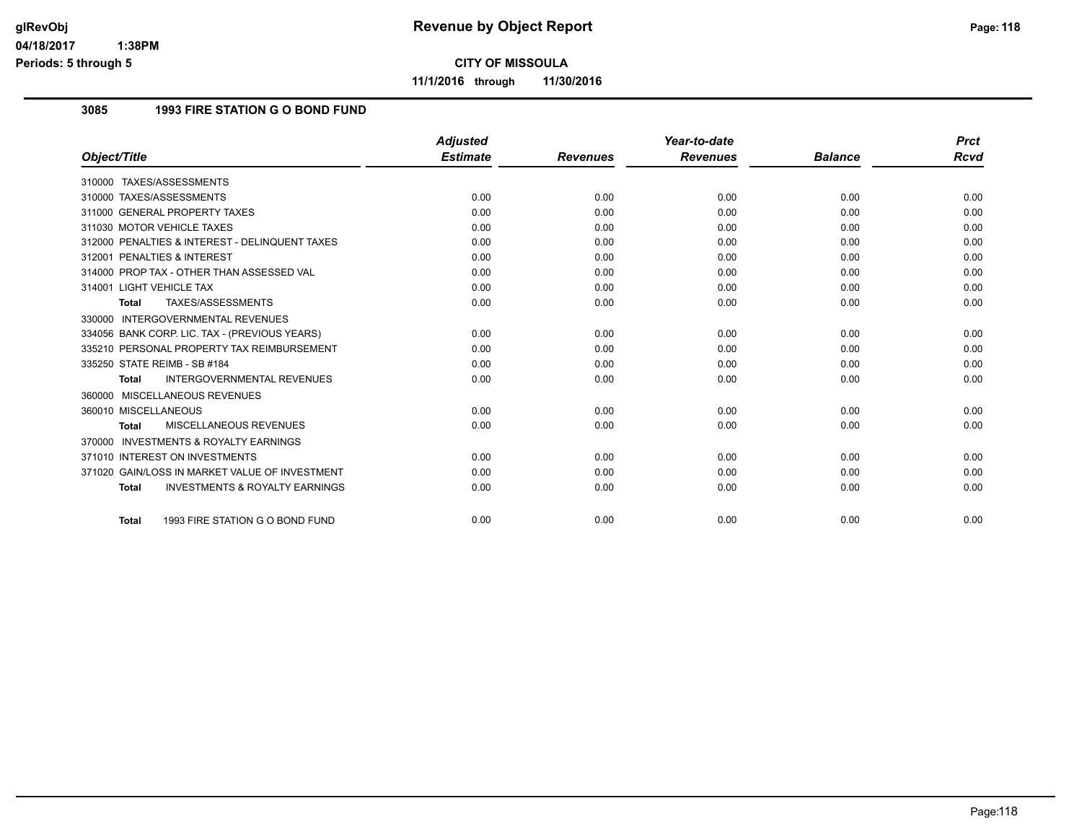**11/1/2016 through 11/30/2016**

#### **3085 1993 FIRE STATION G O BOND FUND**

|                                                           | <b>Adjusted</b> |                 | Year-to-date    |                | <b>Prct</b> |
|-----------------------------------------------------------|-----------------|-----------------|-----------------|----------------|-------------|
| Object/Title                                              | <b>Estimate</b> | <b>Revenues</b> | <b>Revenues</b> | <b>Balance</b> | Rcvd        |
| 310000 TAXES/ASSESSMENTS                                  |                 |                 |                 |                |             |
| 310000 TAXES/ASSESSMENTS                                  | 0.00            | 0.00            | 0.00            | 0.00           | 0.00        |
| 311000 GENERAL PROPERTY TAXES                             | 0.00            | 0.00            | 0.00            | 0.00           | 0.00        |
| 311030 MOTOR VEHICLE TAXES                                | 0.00            | 0.00            | 0.00            | 0.00           | 0.00        |
| 312000 PENALTIES & INTEREST - DELINQUENT TAXES            | 0.00            | 0.00            | 0.00            | 0.00           | 0.00        |
| 312001 PENALTIES & INTEREST                               | 0.00            | 0.00            | 0.00            | 0.00           | 0.00        |
| 314000 PROP TAX - OTHER THAN ASSESSED VAL                 | 0.00            | 0.00            | 0.00            | 0.00           | 0.00        |
| 314001 LIGHT VEHICLE TAX                                  | 0.00            | 0.00            | 0.00            | 0.00           | 0.00        |
| TAXES/ASSESSMENTS<br><b>Total</b>                         | 0.00            | 0.00            | 0.00            | 0.00           | 0.00        |
| 330000 INTERGOVERNMENTAL REVENUES                         |                 |                 |                 |                |             |
| 334056 BANK CORP. LIC. TAX - (PREVIOUS YEARS)             | 0.00            | 0.00            | 0.00            | 0.00           | 0.00        |
| 335210 PERSONAL PROPERTY TAX REIMBURSEMENT                | 0.00            | 0.00            | 0.00            | 0.00           | 0.00        |
| 335250 STATE REIMB - SB #184                              | 0.00            | 0.00            | 0.00            | 0.00           | 0.00        |
| <b>INTERGOVERNMENTAL REVENUES</b><br><b>Total</b>         | 0.00            | 0.00            | 0.00            | 0.00           | 0.00        |
| 360000 MISCELLANEOUS REVENUES                             |                 |                 |                 |                |             |
| 360010 MISCELLANEOUS                                      | 0.00            | 0.00            | 0.00            | 0.00           | 0.00        |
| MISCELLANEOUS REVENUES<br><b>Total</b>                    | 0.00            | 0.00            | 0.00            | 0.00           | 0.00        |
| 370000 INVESTMENTS & ROYALTY EARNINGS                     |                 |                 |                 |                |             |
| 371010 INTEREST ON INVESTMENTS                            | 0.00            | 0.00            | 0.00            | 0.00           | 0.00        |
| 371020 GAIN/LOSS IN MARKET VALUE OF INVESTMENT            | 0.00            | 0.00            | 0.00            | 0.00           | 0.00        |
| <b>INVESTMENTS &amp; ROYALTY EARNINGS</b><br><b>Total</b> | 0.00            | 0.00            | 0.00            | 0.00           | 0.00        |
| 1993 FIRE STATION G O BOND FUND<br><b>Total</b>           | 0.00            | 0.00            | 0.00            | 0.00           | 0.00        |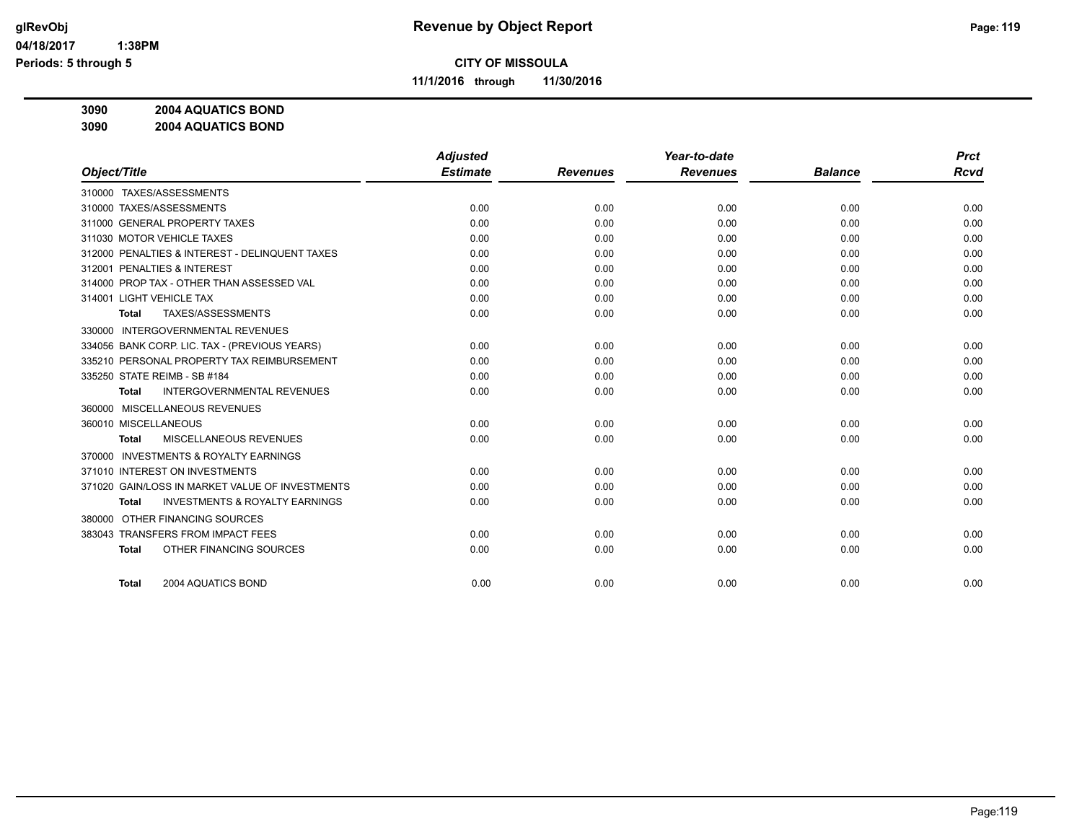**11/1/2016 through 11/30/2016**

**3090 2004 AQUATICS BOND 3090 2004 AQUATICS BOND**

|                                                           | <b>Adjusted</b> |                 | Year-to-date    |                | <b>Prct</b> |
|-----------------------------------------------------------|-----------------|-----------------|-----------------|----------------|-------------|
| Object/Title                                              | <b>Estimate</b> | <b>Revenues</b> | <b>Revenues</b> | <b>Balance</b> | <b>Rcvd</b> |
| 310000 TAXES/ASSESSMENTS                                  |                 |                 |                 |                |             |
| 310000 TAXES/ASSESSMENTS                                  | 0.00            | 0.00            | 0.00            | 0.00           | 0.00        |
| 311000 GENERAL PROPERTY TAXES                             | 0.00            | 0.00            | 0.00            | 0.00           | 0.00        |
| 311030 MOTOR VEHICLE TAXES                                | 0.00            | 0.00            | 0.00            | 0.00           | 0.00        |
| 312000 PENALTIES & INTEREST - DELINQUENT TAXES            | 0.00            | 0.00            | 0.00            | 0.00           | 0.00        |
| 312001 PENALTIES & INTEREST                               | 0.00            | 0.00            | 0.00            | 0.00           | 0.00        |
| 314000 PROP TAX - OTHER THAN ASSESSED VAL                 | 0.00            | 0.00            | 0.00            | 0.00           | 0.00        |
| 314001 LIGHT VEHICLE TAX                                  | 0.00            | 0.00            | 0.00            | 0.00           | 0.00        |
| TAXES/ASSESSMENTS<br><b>Total</b>                         | 0.00            | 0.00            | 0.00            | 0.00           | 0.00        |
| <b>INTERGOVERNMENTAL REVENUES</b><br>330000               |                 |                 |                 |                |             |
| 334056 BANK CORP. LIC. TAX - (PREVIOUS YEARS)             | 0.00            | 0.00            | 0.00            | 0.00           | 0.00        |
| 335210 PERSONAL PROPERTY TAX REIMBURSEMENT                | 0.00            | 0.00            | 0.00            | 0.00           | 0.00        |
| 335250 STATE REIMB - SB #184                              | 0.00            | 0.00            | 0.00            | 0.00           | 0.00        |
| <b>INTERGOVERNMENTAL REVENUES</b><br>Total                | 0.00            | 0.00            | 0.00            | 0.00           | 0.00        |
| MISCELLANEOUS REVENUES<br>360000                          |                 |                 |                 |                |             |
| 360010 MISCELLANEOUS                                      | 0.00            | 0.00            | 0.00            | 0.00           | 0.00        |
| MISCELLANEOUS REVENUES<br><b>Total</b>                    | 0.00            | 0.00            | 0.00            | 0.00           | 0.00        |
| <b>INVESTMENTS &amp; ROYALTY EARNINGS</b><br>370000       |                 |                 |                 |                |             |
| 371010 INTEREST ON INVESTMENTS                            | 0.00            | 0.00            | 0.00            | 0.00           | 0.00        |
| 371020 GAIN/LOSS IN MARKET VALUE OF INVESTMENTS           | 0.00            | 0.00            | 0.00            | 0.00           | 0.00        |
| <b>INVESTMENTS &amp; ROYALTY EARNINGS</b><br><b>Total</b> | 0.00            | 0.00            | 0.00            | 0.00           | 0.00        |
| OTHER FINANCING SOURCES<br>380000                         |                 |                 |                 |                |             |
| 383043 TRANSFERS FROM IMPACT FEES                         | 0.00            | 0.00            | 0.00            | 0.00           | 0.00        |
| OTHER FINANCING SOURCES<br><b>Total</b>                   | 0.00            | 0.00            | 0.00            | 0.00           | 0.00        |
|                                                           |                 |                 |                 |                |             |
| 2004 AQUATICS BOND<br><b>Total</b>                        | 0.00            | 0.00            | 0.00            | 0.00           | 0.00        |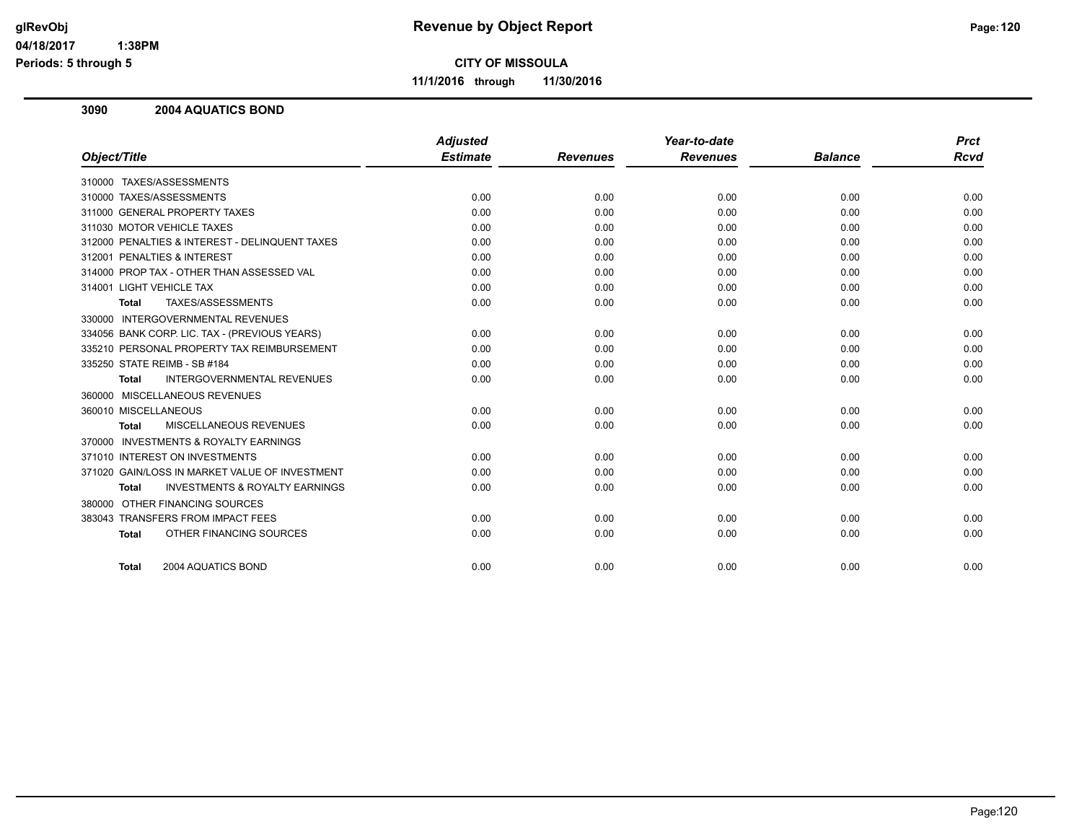**11/1/2016 through 11/30/2016**

#### **3090 2004 AQUATICS BOND**

|                                                           | <b>Adjusted</b> |                 | Year-to-date    |                | <b>Prct</b> |
|-----------------------------------------------------------|-----------------|-----------------|-----------------|----------------|-------------|
| Object/Title                                              | <b>Estimate</b> | <b>Revenues</b> | <b>Revenues</b> | <b>Balance</b> | Rcvd        |
| 310000 TAXES/ASSESSMENTS                                  |                 |                 |                 |                |             |
| 310000 TAXES/ASSESSMENTS                                  | 0.00            | 0.00            | 0.00            | 0.00           | 0.00        |
| 311000 GENERAL PROPERTY TAXES                             | 0.00            | 0.00            | 0.00            | 0.00           | 0.00        |
| 311030 MOTOR VEHICLE TAXES                                | 0.00            | 0.00            | 0.00            | 0.00           | 0.00        |
| 312000 PENALTIES & INTEREST - DELINQUENT TAXES            | 0.00            | 0.00            | 0.00            | 0.00           | 0.00        |
| 312001 PENALTIES & INTEREST                               | 0.00            | 0.00            | 0.00            | 0.00           | 0.00        |
| 314000 PROP TAX - OTHER THAN ASSESSED VAL                 | 0.00            | 0.00            | 0.00            | 0.00           | 0.00        |
| 314001 LIGHT VEHICLE TAX                                  | 0.00            | 0.00            | 0.00            | 0.00           | 0.00        |
| TAXES/ASSESSMENTS<br>Total                                | 0.00            | 0.00            | 0.00            | 0.00           | 0.00        |
| 330000 INTERGOVERNMENTAL REVENUES                         |                 |                 |                 |                |             |
| 334056 BANK CORP. LIC. TAX - (PREVIOUS YEARS)             | 0.00            | 0.00            | 0.00            | 0.00           | 0.00        |
| 335210 PERSONAL PROPERTY TAX REIMBURSEMENT                | 0.00            | 0.00            | 0.00            | 0.00           | 0.00        |
| 335250 STATE REIMB - SB #184                              | 0.00            | 0.00            | 0.00            | 0.00           | 0.00        |
| INTERGOVERNMENTAL REVENUES<br><b>Total</b>                | 0.00            | 0.00            | 0.00            | 0.00           | 0.00        |
| 360000 MISCELLANEOUS REVENUES                             |                 |                 |                 |                |             |
| 360010 MISCELLANEOUS                                      | 0.00            | 0.00            | 0.00            | 0.00           | 0.00        |
| MISCELLANEOUS REVENUES<br>Total                           | 0.00            | 0.00            | 0.00            | 0.00           | 0.00        |
| 370000 INVESTMENTS & ROYALTY EARNINGS                     |                 |                 |                 |                |             |
| 371010 INTEREST ON INVESTMENTS                            | 0.00            | 0.00            | 0.00            | 0.00           | 0.00        |
| 371020 GAIN/LOSS IN MARKET VALUE OF INVESTMENT            | 0.00            | 0.00            | 0.00            | 0.00           | 0.00        |
| <b>INVESTMENTS &amp; ROYALTY EARNINGS</b><br><b>Total</b> | 0.00            | 0.00            | 0.00            | 0.00           | 0.00        |
| 380000 OTHER FINANCING SOURCES                            |                 |                 |                 |                |             |
| 383043 TRANSFERS FROM IMPACT FEES                         | 0.00            | 0.00            | 0.00            | 0.00           | 0.00        |
| OTHER FINANCING SOURCES<br><b>Total</b>                   | 0.00            | 0.00            | 0.00            | 0.00           | 0.00        |
| 2004 AQUATICS BOND<br><b>Total</b>                        | 0.00            | 0.00            | 0.00            | 0.00           | 0.00        |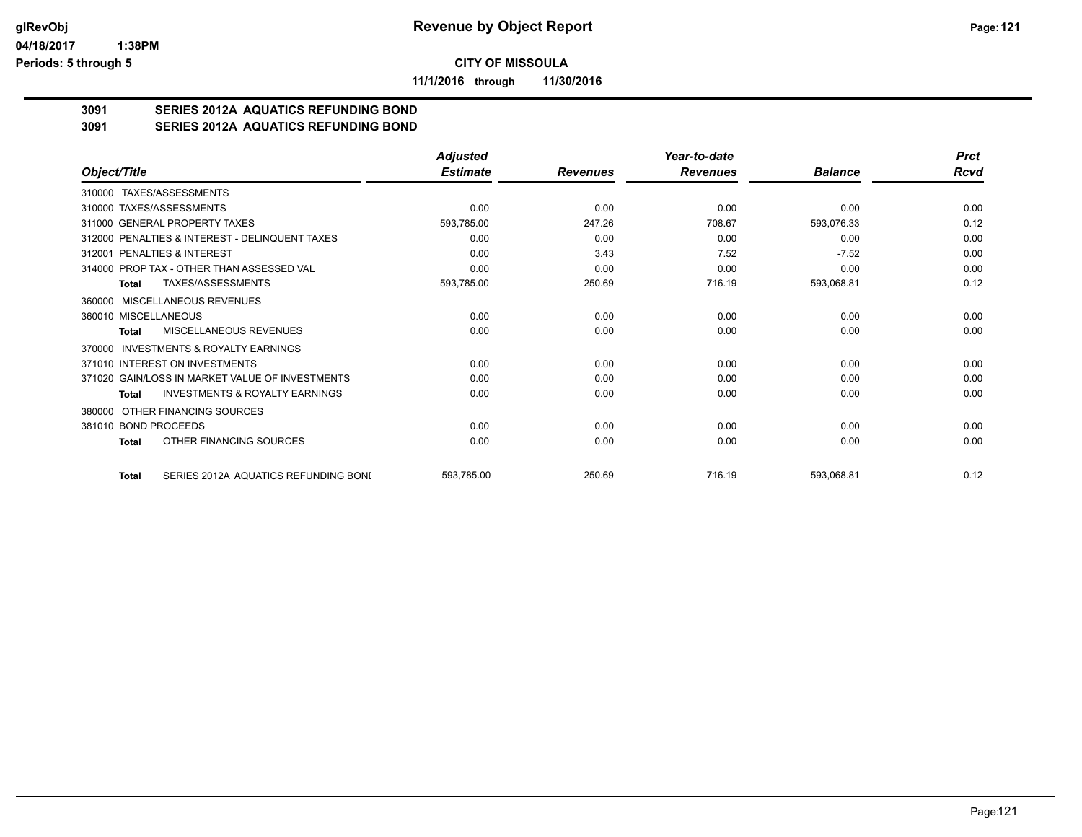**11/1/2016 through 11/30/2016**

### **3091 SERIES 2012A AQUATICS REFUNDING BOND 3091 SERIES 2012A AQUATICS REFUNDING BOND**

|                                                      | <b>Adjusted</b> |                 | Year-to-date    |                | <b>Prct</b> |
|------------------------------------------------------|-----------------|-----------------|-----------------|----------------|-------------|
| Object/Title                                         | <b>Estimate</b> | <b>Revenues</b> | <b>Revenues</b> | <b>Balance</b> | <b>Rcvd</b> |
| TAXES/ASSESSMENTS<br>310000                          |                 |                 |                 |                |             |
| 310000 TAXES/ASSESSMENTS                             | 0.00            | 0.00            | 0.00            | 0.00           | 0.00        |
| 311000 GENERAL PROPERTY TAXES                        | 593,785.00      | 247.26          | 708.67          | 593,076.33     | 0.12        |
| 312000 PENALTIES & INTEREST - DELINQUENT TAXES       | 0.00            | 0.00            | 0.00            | 0.00           | 0.00        |
| 312001 PENALTIES & INTEREST                          | 0.00            | 3.43            | 7.52            | $-7.52$        | 0.00        |
| 314000 PROP TAX - OTHER THAN ASSESSED VAL            | 0.00            | 0.00            | 0.00            | 0.00           | 0.00        |
| TAXES/ASSESSMENTS<br><b>Total</b>                    | 593,785.00      | 250.69          | 716.19          | 593,068.81     | 0.12        |
| <b>MISCELLANEOUS REVENUES</b><br>360000              |                 |                 |                 |                |             |
| 360010 MISCELLANEOUS                                 | 0.00            | 0.00            | 0.00            | 0.00           | 0.00        |
| MISCELLANEOUS REVENUES<br>Total                      | 0.00            | 0.00            | 0.00            | 0.00           | 0.00        |
| INVESTMENTS & ROYALTY EARNINGS<br>370000             |                 |                 |                 |                |             |
| 371010 INTEREST ON INVESTMENTS                       | 0.00            | 0.00            | 0.00            | 0.00           | 0.00        |
| 371020 GAIN/LOSS IN MARKET VALUE OF INVESTMENTS      | 0.00            | 0.00            | 0.00            | 0.00           | 0.00        |
| <b>INVESTMENTS &amp; ROYALTY EARNINGS</b><br>Total   | 0.00            | 0.00            | 0.00            | 0.00           | 0.00        |
| OTHER FINANCING SOURCES<br>380000                    |                 |                 |                 |                |             |
| 381010 BOND PROCEEDS                                 | 0.00            | 0.00            | 0.00            | 0.00           | 0.00        |
| OTHER FINANCING SOURCES<br>Total                     | 0.00            | 0.00            | 0.00            | 0.00           | 0.00        |
| SERIES 2012A AQUATICS REFUNDING BONI<br><b>Total</b> | 593,785.00      | 250.69          | 716.19          | 593,068.81     | 0.12        |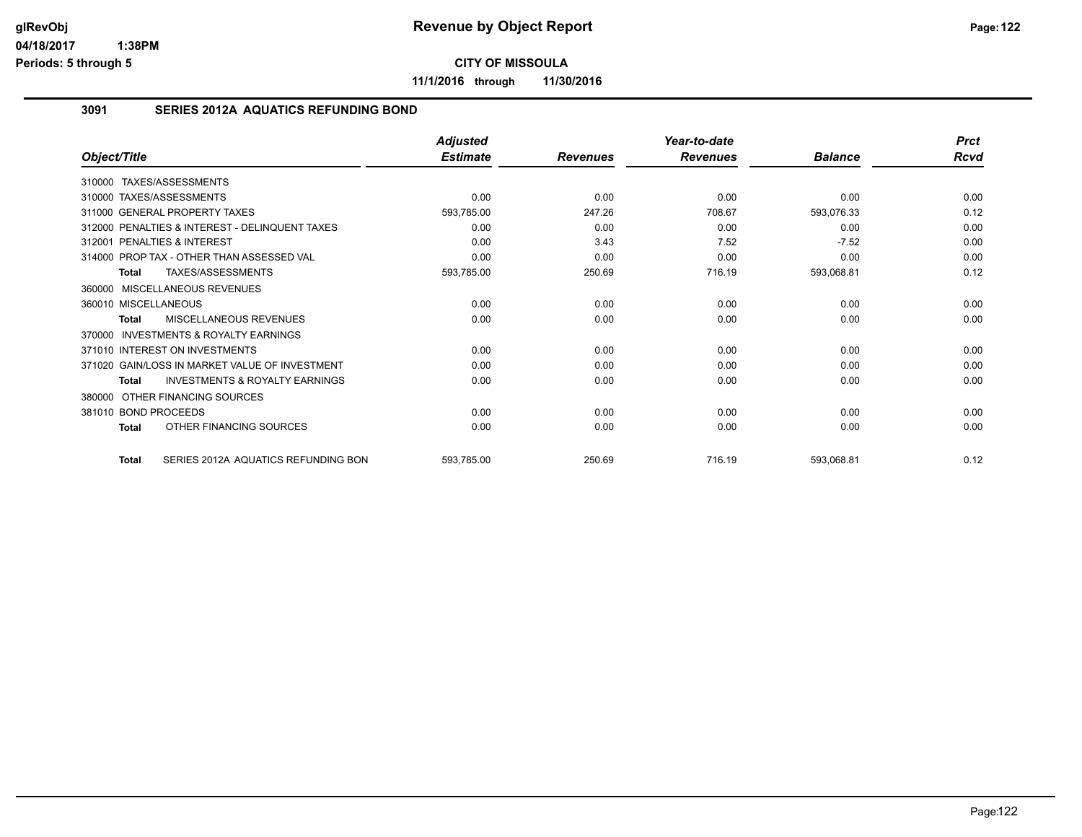**11/1/2016 through 11/30/2016**

#### **3091 SERIES 2012A AQUATICS REFUNDING BOND**

|                                                     | <b>Adjusted</b> |                 | Year-to-date    |                | <b>Prct</b> |
|-----------------------------------------------------|-----------------|-----------------|-----------------|----------------|-------------|
| Object/Title                                        | <b>Estimate</b> | <b>Revenues</b> | <b>Revenues</b> | <b>Balance</b> | <b>Rcvd</b> |
| TAXES/ASSESSMENTS<br>310000                         |                 |                 |                 |                |             |
| 310000 TAXES/ASSESSMENTS                            | 0.00            | 0.00            | 0.00            | 0.00           | 0.00        |
| 311000 GENERAL PROPERTY TAXES                       | 593,785.00      | 247.26          | 708.67          | 593,076.33     | 0.12        |
| 312000 PENALTIES & INTEREST - DELINQUENT TAXES      | 0.00            | 0.00            | 0.00            | 0.00           | 0.00        |
| 312001 PENALTIES & INTEREST                         | 0.00            | 3.43            | 7.52            | $-7.52$        | 0.00        |
| 314000 PROP TAX - OTHER THAN ASSESSED VAL           | 0.00            | 0.00            | 0.00            | 0.00           | 0.00        |
| TAXES/ASSESSMENTS<br><b>Total</b>                   | 593,785.00      | 250.69          | 716.19          | 593,068.81     | 0.12        |
| 360000 MISCELLANEOUS REVENUES                       |                 |                 |                 |                |             |
| 360010 MISCELLANEOUS                                | 0.00            | 0.00            | 0.00            | 0.00           | 0.00        |
| <b>MISCELLANEOUS REVENUES</b><br>Total              | 0.00            | 0.00            | 0.00            | 0.00           | 0.00        |
| <b>INVESTMENTS &amp; ROYALTY EARNINGS</b><br>370000 |                 |                 |                 |                |             |
| 371010 INTEREST ON INVESTMENTS                      | 0.00            | 0.00            | 0.00            | 0.00           | 0.00        |
| 371020 GAIN/LOSS IN MARKET VALUE OF INVESTMENT      | 0.00            | 0.00            | 0.00            | 0.00           | 0.00        |
| <b>INVESTMENTS &amp; ROYALTY EARNINGS</b><br>Total  | 0.00            | 0.00            | 0.00            | 0.00           | 0.00        |
| OTHER FINANCING SOURCES<br>380000                   |                 |                 |                 |                |             |
| 381010 BOND PROCEEDS                                | 0.00            | 0.00            | 0.00            | 0.00           | 0.00        |
| OTHER FINANCING SOURCES<br>Total                    | 0.00            | 0.00            | 0.00            | 0.00           | 0.00        |
| SERIES 2012A AQUATICS REFUNDING BON<br><b>Total</b> | 593,785.00      | 250.69          | 716.19          | 593,068.81     | 0.12        |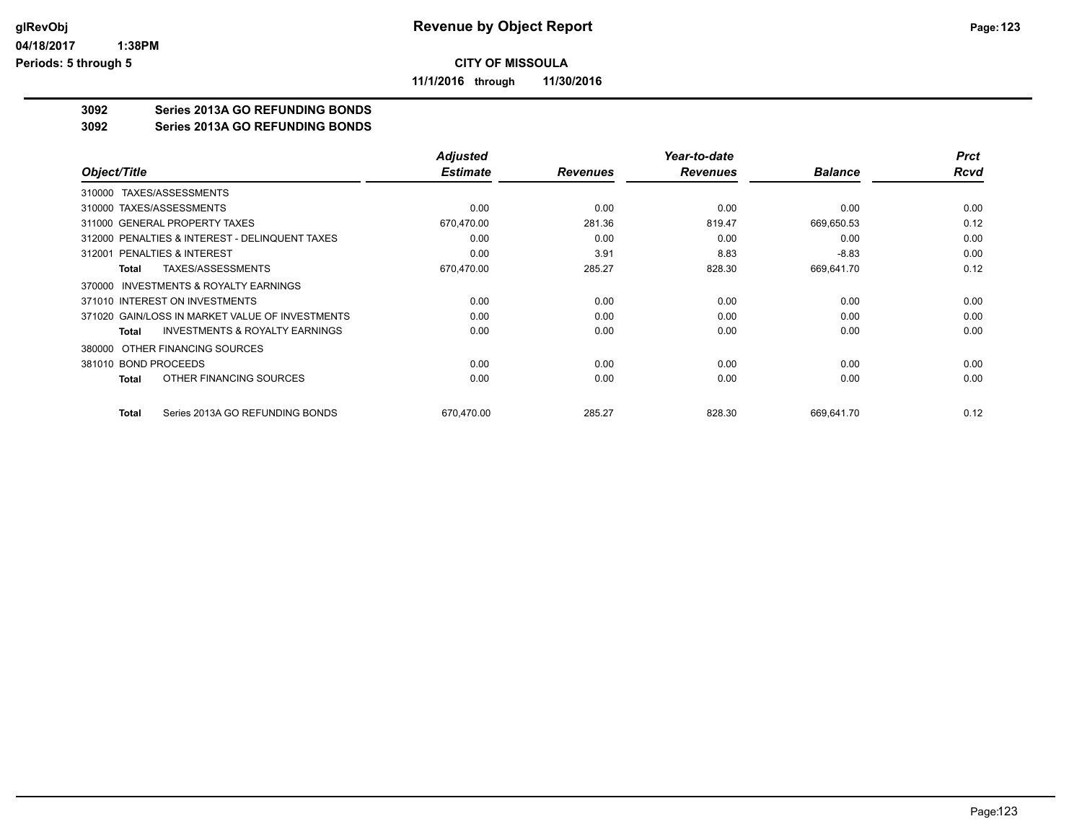**11/1/2016 through 11/30/2016**

# **3092 Series 2013A GO REFUNDING BONDS**

**3092 Series 2013A GO REFUNDING BONDS**

|                                                    | <b>Adjusted</b> |                 | Year-to-date    |                | <b>Prct</b> |
|----------------------------------------------------|-----------------|-----------------|-----------------|----------------|-------------|
| Object/Title                                       | <b>Estimate</b> | <b>Revenues</b> | <b>Revenues</b> | <b>Balance</b> | <b>Rcvd</b> |
| 310000 TAXES/ASSESSMENTS                           |                 |                 |                 |                |             |
| 310000 TAXES/ASSESSMENTS                           | 0.00            | 0.00            | 0.00            | 0.00           | 0.00        |
| 311000 GENERAL PROPERTY TAXES                      | 670,470.00      | 281.36          | 819.47          | 669,650.53     | 0.12        |
| 312000 PENALTIES & INTEREST - DELINQUENT TAXES     | 0.00            | 0.00            | 0.00            | 0.00           | 0.00        |
| 312001 PENALTIES & INTEREST                        | 0.00            | 3.91            | 8.83            | $-8.83$        | 0.00        |
| TAXES/ASSESSMENTS<br>Total                         | 670,470.00      | 285.27          | 828.30          | 669,641.70     | 0.12        |
| 370000 INVESTMENTS & ROYALTY EARNINGS              |                 |                 |                 |                |             |
| 371010 INTEREST ON INVESTMENTS                     | 0.00            | 0.00            | 0.00            | 0.00           | 0.00        |
| 371020 GAIN/LOSS IN MARKET VALUE OF INVESTMENTS    | 0.00            | 0.00            | 0.00            | 0.00           | 0.00        |
| <b>INVESTMENTS &amp; ROYALTY EARNINGS</b><br>Total | 0.00            | 0.00            | 0.00            | 0.00           | 0.00        |
| 380000 OTHER FINANCING SOURCES                     |                 |                 |                 |                |             |
| 381010 BOND PROCEEDS                               | 0.00            | 0.00            | 0.00            | 0.00           | 0.00        |
| OTHER FINANCING SOURCES<br>Total                   | 0.00            | 0.00            | 0.00            | 0.00           | 0.00        |
| Series 2013A GO REFUNDING BONDS<br>Total           | 670.470.00      | 285.27          | 828.30          | 669,641.70     | 0.12        |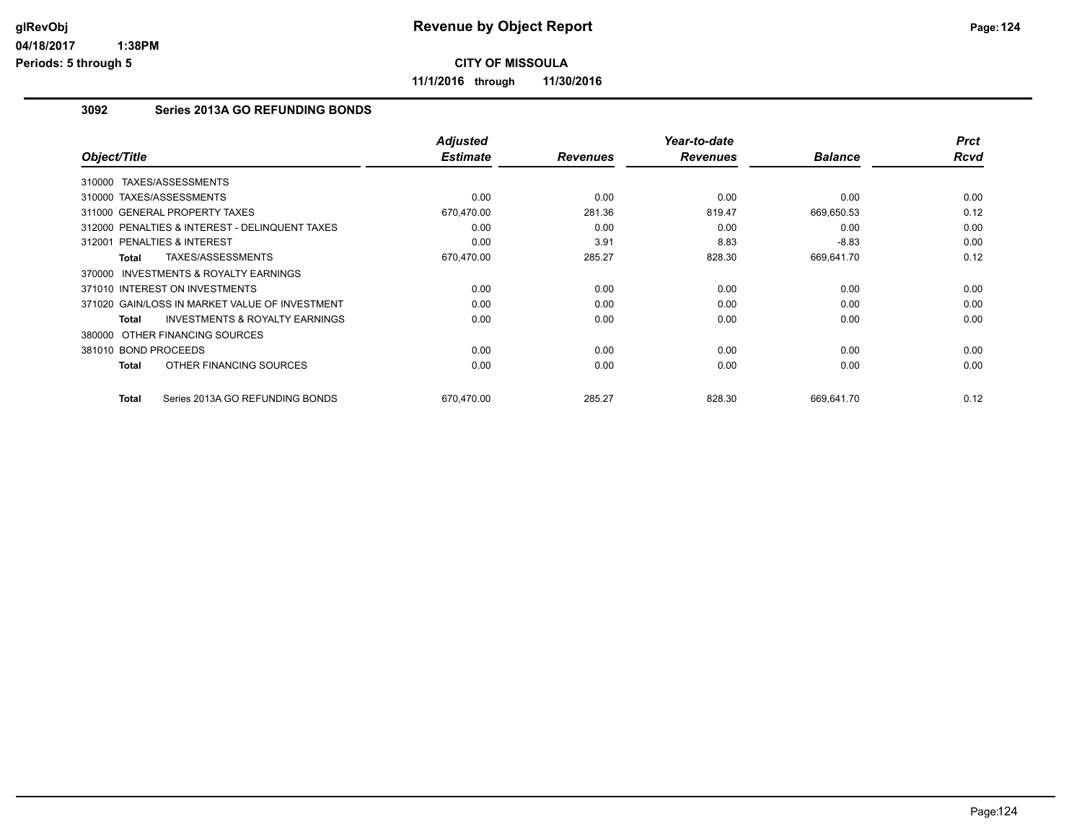**11/1/2016 through 11/30/2016**

#### **3092 Series 2013A GO REFUNDING BONDS**

| Object/Title                                              | <b>Adjusted</b><br><b>Estimate</b> | <b>Revenues</b> | Year-to-date<br><b>Revenues</b> | <b>Balance</b> | <b>Prct</b><br>Rcvd |
|-----------------------------------------------------------|------------------------------------|-----------------|---------------------------------|----------------|---------------------|
| TAXES/ASSESSMENTS<br>310000                               |                                    |                 |                                 |                |                     |
| 310000 TAXES/ASSESSMENTS                                  | 0.00                               | 0.00            | 0.00                            | 0.00           | 0.00                |
| 311000 GENERAL PROPERTY TAXES                             | 670,470.00                         | 281.36          | 819.47                          | 669,650.53     | 0.12                |
| 312000 PENALTIES & INTEREST - DELINQUENT TAXES            | 0.00                               | 0.00            | 0.00                            | 0.00           | 0.00                |
| 312001 PENALTIES & INTEREST                               | 0.00                               | 3.91            | 8.83                            | $-8.83$        | 0.00                |
| TAXES/ASSESSMENTS<br><b>Total</b>                         | 670,470.00                         | 285.27          | 828.30                          | 669,641.70     | 0.12                |
| <b>INVESTMENTS &amp; ROYALTY EARNINGS</b><br>370000       |                                    |                 |                                 |                |                     |
| 371010 INTEREST ON INVESTMENTS                            | 0.00                               | 0.00            | 0.00                            | 0.00           | 0.00                |
| 371020 GAIN/LOSS IN MARKET VALUE OF INVESTMENT            | 0.00                               | 0.00            | 0.00                            | 0.00           | 0.00                |
| <b>INVESTMENTS &amp; ROYALTY EARNINGS</b><br><b>Total</b> | 0.00                               | 0.00            | 0.00                            | 0.00           | 0.00                |
| 380000 OTHER FINANCING SOURCES                            |                                    |                 |                                 |                |                     |
| 381010 BOND PROCEEDS                                      | 0.00                               | 0.00            | 0.00                            | 0.00           | 0.00                |
| OTHER FINANCING SOURCES<br><b>Total</b>                   | 0.00                               | 0.00            | 0.00                            | 0.00           | 0.00                |
| Series 2013A GO REFUNDING BONDS<br><b>Total</b>           | 670,470.00                         | 285.27          | 828.30                          | 669,641.70     | 0.12                |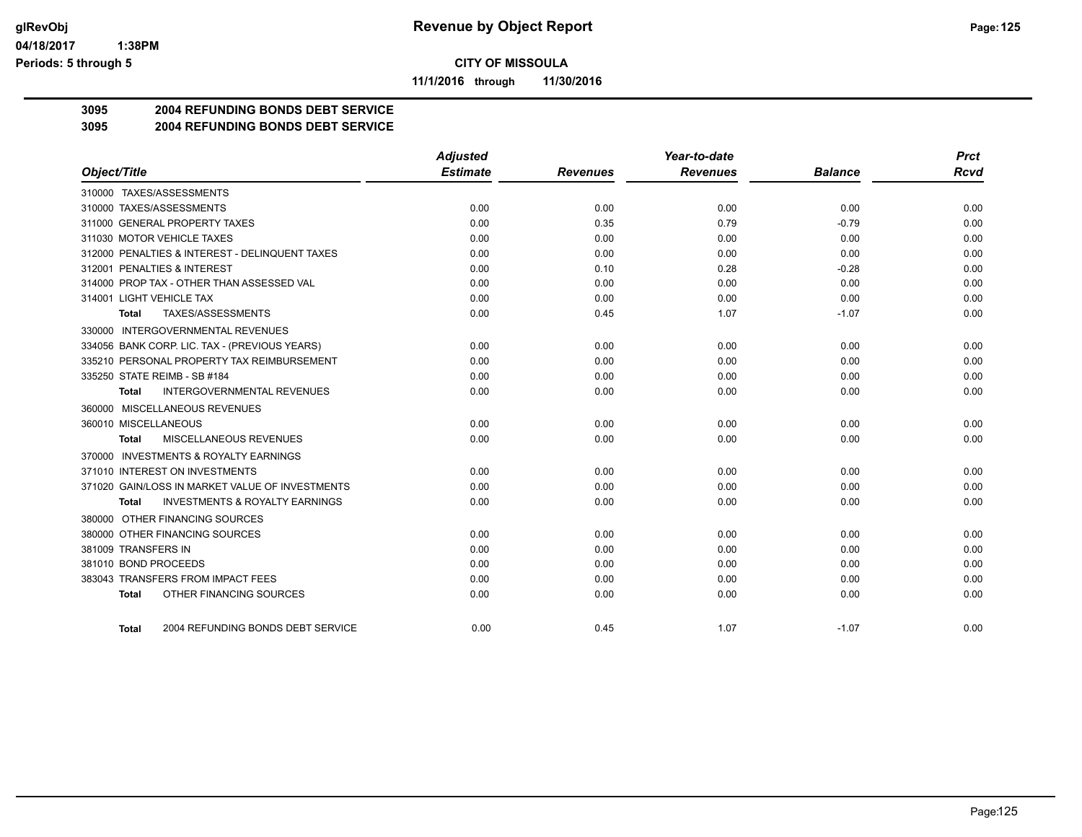**11/1/2016 through 11/30/2016**

### **3095 2004 REFUNDING BONDS DEBT SERVICE 3095 2004 REFUNDING BONDS DEBT SERVICE**

|                                                    | <b>Adjusted</b> |                 | Year-to-date    |                | <b>Prct</b> |
|----------------------------------------------------|-----------------|-----------------|-----------------|----------------|-------------|
| Object/Title                                       | <b>Estimate</b> | <b>Revenues</b> | <b>Revenues</b> | <b>Balance</b> | <b>Rcvd</b> |
| 310000 TAXES/ASSESSMENTS                           |                 |                 |                 |                |             |
| 310000 TAXES/ASSESSMENTS                           | 0.00            | 0.00            | 0.00            | 0.00           | 0.00        |
| 311000 GENERAL PROPERTY TAXES                      | 0.00            | 0.35            | 0.79            | $-0.79$        | 0.00        |
| 311030 MOTOR VEHICLE TAXES                         | 0.00            | 0.00            | 0.00            | 0.00           | 0.00        |
| 312000 PENALTIES & INTEREST - DELINQUENT TAXES     | 0.00            | 0.00            | 0.00            | 0.00           | 0.00        |
| 312001 PENALTIES & INTEREST                        | 0.00            | 0.10            | 0.28            | $-0.28$        | 0.00        |
| 314000 PROP TAX - OTHER THAN ASSESSED VAL          | 0.00            | 0.00            | 0.00            | 0.00           | 0.00        |
| 314001 LIGHT VEHICLE TAX                           | 0.00            | 0.00            | 0.00            | 0.00           | 0.00        |
| TAXES/ASSESSMENTS<br>Total                         | 0.00            | 0.45            | 1.07            | $-1.07$        | 0.00        |
| 330000 INTERGOVERNMENTAL REVENUES                  |                 |                 |                 |                |             |
| 334056 BANK CORP. LIC. TAX - (PREVIOUS YEARS)      | 0.00            | 0.00            | 0.00            | 0.00           | 0.00        |
| 335210 PERSONAL PROPERTY TAX REIMBURSEMENT         | 0.00            | 0.00            | 0.00            | 0.00           | 0.00        |
| 335250 STATE REIMB - SB #184                       | 0.00            | 0.00            | 0.00            | 0.00           | 0.00        |
| <b>INTERGOVERNMENTAL REVENUES</b><br>Total         | 0.00            | 0.00            | 0.00            | 0.00           | 0.00        |
| 360000 MISCELLANEOUS REVENUES                      |                 |                 |                 |                |             |
| 360010 MISCELLANEOUS                               | 0.00            | 0.00            | 0.00            | 0.00           | 0.00        |
| MISCELLANEOUS REVENUES<br>Total                    | 0.00            | 0.00            | 0.00            | 0.00           | 0.00        |
| 370000 INVESTMENTS & ROYALTY EARNINGS              |                 |                 |                 |                |             |
| 371010 INTEREST ON INVESTMENTS                     | 0.00            | 0.00            | 0.00            | 0.00           | 0.00        |
| 371020 GAIN/LOSS IN MARKET VALUE OF INVESTMENTS    | 0.00            | 0.00            | 0.00            | 0.00           | 0.00        |
| <b>INVESTMENTS &amp; ROYALTY EARNINGS</b><br>Total | 0.00            | 0.00            | 0.00            | 0.00           | 0.00        |
| 380000 OTHER FINANCING SOURCES                     |                 |                 |                 |                |             |
| 380000 OTHER FINANCING SOURCES                     | 0.00            | 0.00            | 0.00            | 0.00           | 0.00        |
| 381009 TRANSFERS IN                                | 0.00            | 0.00            | 0.00            | 0.00           | 0.00        |
| 381010 BOND PROCEEDS                               | 0.00            | 0.00            | 0.00            | 0.00           | 0.00        |
| 383043 TRANSFERS FROM IMPACT FEES                  | 0.00            | 0.00            | 0.00            | 0.00           | 0.00        |
| OTHER FINANCING SOURCES<br>Total                   | 0.00            | 0.00            | 0.00            | 0.00           | 0.00        |
| 2004 REFUNDING BONDS DEBT SERVICE<br>Total         | 0.00            | 0.45            | 1.07            | $-1.07$        | 0.00        |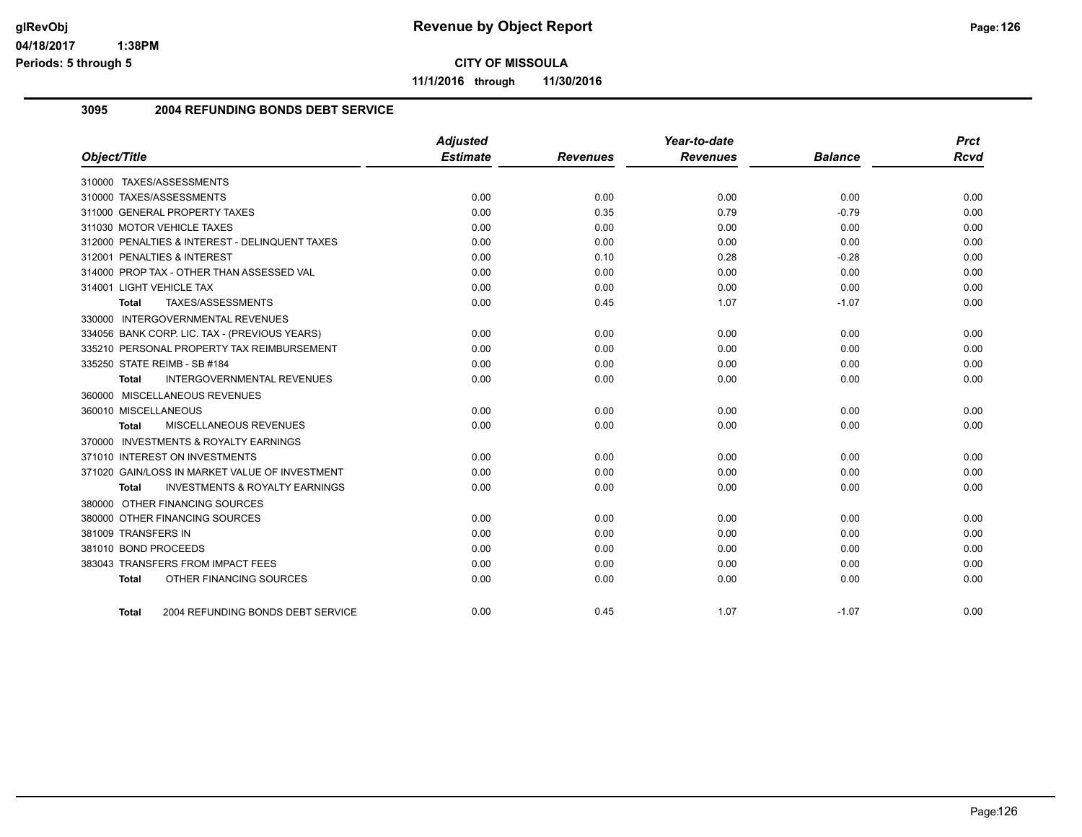**11/1/2016 through 11/30/2016**

#### **3095 2004 REFUNDING BONDS DEBT SERVICE**

|                                                           | <b>Adjusted</b> |                 | Year-to-date    |                | <b>Prct</b> |
|-----------------------------------------------------------|-----------------|-----------------|-----------------|----------------|-------------|
| Object/Title                                              | <b>Estimate</b> | <b>Revenues</b> | <b>Revenues</b> | <b>Balance</b> | <b>Rcvd</b> |
| 310000 TAXES/ASSESSMENTS                                  |                 |                 |                 |                |             |
| 310000 TAXES/ASSESSMENTS                                  | 0.00            | 0.00            | 0.00            | 0.00           | 0.00        |
| 311000 GENERAL PROPERTY TAXES                             | 0.00            | 0.35            | 0.79            | $-0.79$        | 0.00        |
| 311030 MOTOR VEHICLE TAXES                                | 0.00            | 0.00            | 0.00            | 0.00           | 0.00        |
| 312000 PENALTIES & INTEREST - DELINQUENT TAXES            | 0.00            | 0.00            | 0.00            | 0.00           | 0.00        |
| 312001 PENALTIES & INTEREST                               | 0.00            | 0.10            | 0.28            | $-0.28$        | 0.00        |
| 314000 PROP TAX - OTHER THAN ASSESSED VAL                 | 0.00            | 0.00            | 0.00            | 0.00           | 0.00        |
| 314001 LIGHT VEHICLE TAX                                  | 0.00            | 0.00            | 0.00            | 0.00           | 0.00        |
| TAXES/ASSESSMENTS<br><b>Total</b>                         | 0.00            | 0.45            | 1.07            | $-1.07$        | 0.00        |
| 330000 INTERGOVERNMENTAL REVENUES                         |                 |                 |                 |                |             |
| 334056 BANK CORP. LIC. TAX - (PREVIOUS YEARS)             | 0.00            | 0.00            | 0.00            | 0.00           | 0.00        |
| 335210 PERSONAL PROPERTY TAX REIMBURSEMENT                | 0.00            | 0.00            | 0.00            | 0.00           | 0.00        |
| 335250 STATE REIMB - SB #184                              | 0.00            | 0.00            | 0.00            | 0.00           | 0.00        |
| <b>INTERGOVERNMENTAL REVENUES</b><br><b>Total</b>         | 0.00            | 0.00            | 0.00            | 0.00           | 0.00        |
| 360000 MISCELLANEOUS REVENUES                             |                 |                 |                 |                |             |
| 360010 MISCELLANEOUS                                      | 0.00            | 0.00            | 0.00            | 0.00           | 0.00        |
| MISCELLANEOUS REVENUES<br>Total                           | 0.00            | 0.00            | 0.00            | 0.00           | 0.00        |
| 370000 INVESTMENTS & ROYALTY EARNINGS                     |                 |                 |                 |                |             |
| 371010 INTEREST ON INVESTMENTS                            | 0.00            | 0.00            | 0.00            | 0.00           | 0.00        |
| 371020 GAIN/LOSS IN MARKET VALUE OF INVESTMENT            | 0.00            | 0.00            | 0.00            | 0.00           | 0.00        |
| <b>INVESTMENTS &amp; ROYALTY EARNINGS</b><br><b>Total</b> | 0.00            | 0.00            | 0.00            | 0.00           | 0.00        |
| 380000 OTHER FINANCING SOURCES                            |                 |                 |                 |                |             |
| 380000 OTHER FINANCING SOURCES                            | 0.00            | 0.00            | 0.00            | 0.00           | 0.00        |
| 381009 TRANSFERS IN                                       | 0.00            | 0.00            | 0.00            | 0.00           | 0.00        |
| 381010 BOND PROCEEDS                                      | 0.00            | 0.00            | 0.00            | 0.00           | 0.00        |
| 383043 TRANSFERS FROM IMPACT FEES                         | 0.00            | 0.00            | 0.00            | 0.00           | 0.00        |
| OTHER FINANCING SOURCES<br><b>Total</b>                   | 0.00            | 0.00            | 0.00            | 0.00           | 0.00        |
|                                                           |                 |                 |                 |                |             |
| 2004 REFUNDING BONDS DEBT SERVICE<br><b>Total</b>         | 0.00            | 0.45            | 1.07            | $-1.07$        | 0.00        |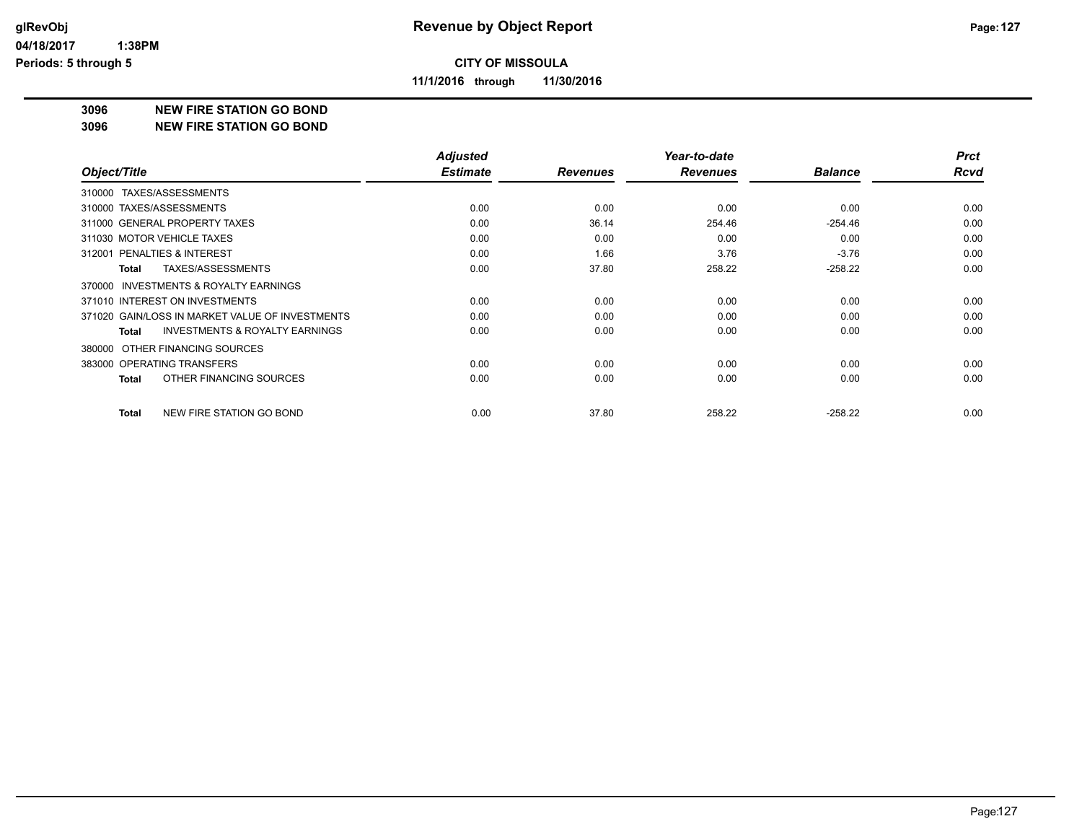**11/1/2016 through 11/30/2016**

**3096 NEW FIRE STATION GO BOND**

**3096 NEW FIRE STATION GO BOND**

|                                                    | <b>Adjusted</b> |                 | Year-to-date    |                | <b>Prct</b> |
|----------------------------------------------------|-----------------|-----------------|-----------------|----------------|-------------|
| Object/Title                                       | <b>Estimate</b> | <b>Revenues</b> | <b>Revenues</b> | <b>Balance</b> | Rcvd        |
| 310000 TAXES/ASSESSMENTS                           |                 |                 |                 |                |             |
| 310000 TAXES/ASSESSMENTS                           | 0.00            | 0.00            | 0.00            | 0.00           | 0.00        |
| 311000 GENERAL PROPERTY TAXES                      | 0.00            | 36.14           | 254.46          | $-254.46$      | 0.00        |
| 311030 MOTOR VEHICLE TAXES                         | 0.00            | 0.00            | 0.00            | 0.00           | 0.00        |
| 312001 PENALTIES & INTEREST                        | 0.00            | 1.66            | 3.76            | $-3.76$        | 0.00        |
| TAXES/ASSESSMENTS<br><b>Total</b>                  | 0.00            | 37.80           | 258.22          | $-258.22$      | 0.00        |
| 370000 INVESTMENTS & ROYALTY EARNINGS              |                 |                 |                 |                |             |
| 371010 INTEREST ON INVESTMENTS                     | 0.00            | 0.00            | 0.00            | 0.00           | 0.00        |
| 371020 GAIN/LOSS IN MARKET VALUE OF INVESTMENTS    | 0.00            | 0.00            | 0.00            | 0.00           | 0.00        |
| <b>INVESTMENTS &amp; ROYALTY EARNINGS</b><br>Total | 0.00            | 0.00            | 0.00            | 0.00           | 0.00        |
| 380000 OTHER FINANCING SOURCES                     |                 |                 |                 |                |             |
| 383000 OPERATING TRANSFERS                         | 0.00            | 0.00            | 0.00            | 0.00           | 0.00        |
| OTHER FINANCING SOURCES<br><b>Total</b>            | 0.00            | 0.00            | 0.00            | 0.00           | 0.00        |
| <b>NEW FIRE STATION GO BOND</b><br><b>Total</b>    | 0.00            | 37.80           | 258.22          | $-258.22$      | 0.00        |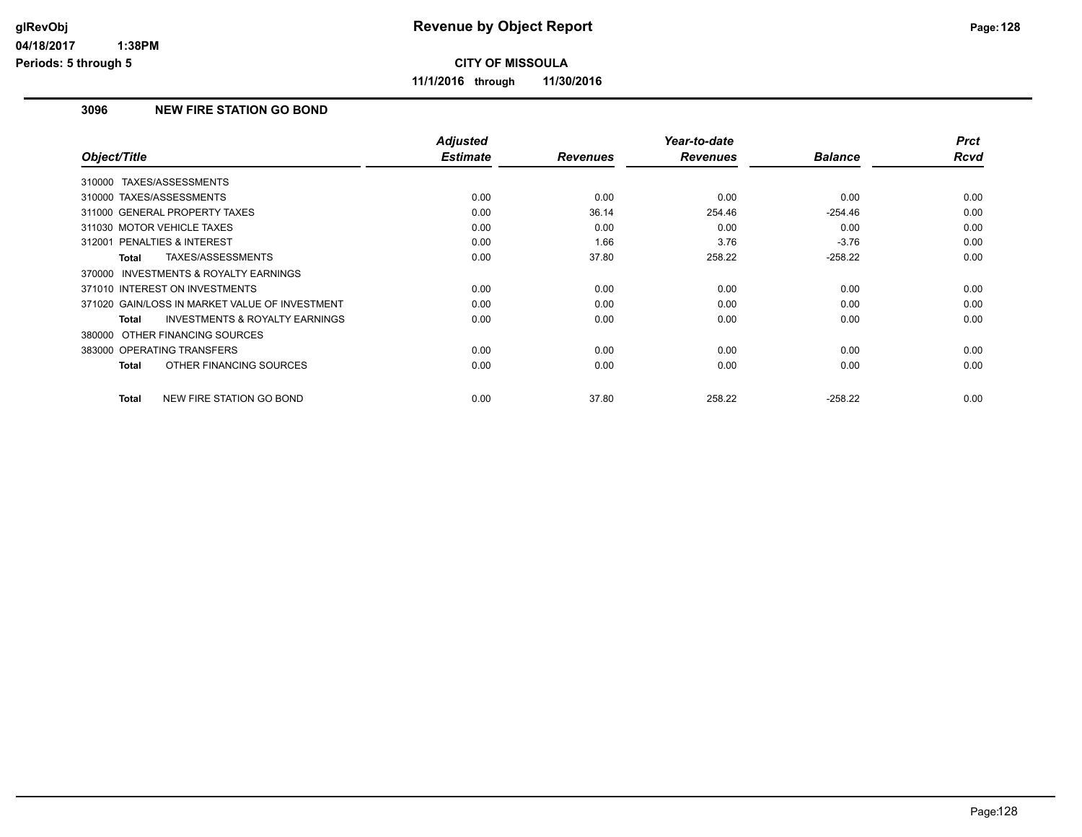**11/1/2016 through 11/30/2016**

#### **3096 NEW FIRE STATION GO BOND**

| Object/Title                                              | <b>Adjusted</b><br><b>Estimate</b> | <b>Revenues</b> | Year-to-date<br><b>Revenues</b> | <b>Balance</b> | <b>Prct</b><br>Rcvd |
|-----------------------------------------------------------|------------------------------------|-----------------|---------------------------------|----------------|---------------------|
|                                                           |                                    |                 |                                 |                |                     |
| 310000 TAXES/ASSESSMENTS                                  |                                    |                 |                                 |                |                     |
| 310000 TAXES/ASSESSMENTS                                  | 0.00                               | 0.00            | 0.00                            | 0.00           | 0.00                |
| 311000 GENERAL PROPERTY TAXES                             | 0.00                               | 36.14           | 254.46                          | $-254.46$      | 0.00                |
| 311030 MOTOR VEHICLE TAXES                                | 0.00                               | 0.00            | 0.00                            | 0.00           | 0.00                |
| 312001 PENALTIES & INTEREST                               | 0.00                               | 1.66            | 3.76                            | $-3.76$        | 0.00                |
| TAXES/ASSESSMENTS<br>Total                                | 0.00                               | 37.80           | 258.22                          | $-258.22$      | 0.00                |
| <b>INVESTMENTS &amp; ROYALTY EARNINGS</b><br>370000       |                                    |                 |                                 |                |                     |
| 371010 INTEREST ON INVESTMENTS                            | 0.00                               | 0.00            | 0.00                            | 0.00           | 0.00                |
| 371020 GAIN/LOSS IN MARKET VALUE OF INVESTMENT            | 0.00                               | 0.00            | 0.00                            | 0.00           | 0.00                |
| <b>INVESTMENTS &amp; ROYALTY EARNINGS</b><br><b>Total</b> | 0.00                               | 0.00            | 0.00                            | 0.00           | 0.00                |
| 380000 OTHER FINANCING SOURCES                            |                                    |                 |                                 |                |                     |
| 383000 OPERATING TRANSFERS                                | 0.00                               | 0.00            | 0.00                            | 0.00           | 0.00                |
| OTHER FINANCING SOURCES<br>Total                          | 0.00                               | 0.00            | 0.00                            | 0.00           | 0.00                |
|                                                           |                                    |                 |                                 |                |                     |
| NEW FIRE STATION GO BOND<br>Total                         | 0.00                               | 37.80           | 258.22                          | $-258.22$      | 0.00                |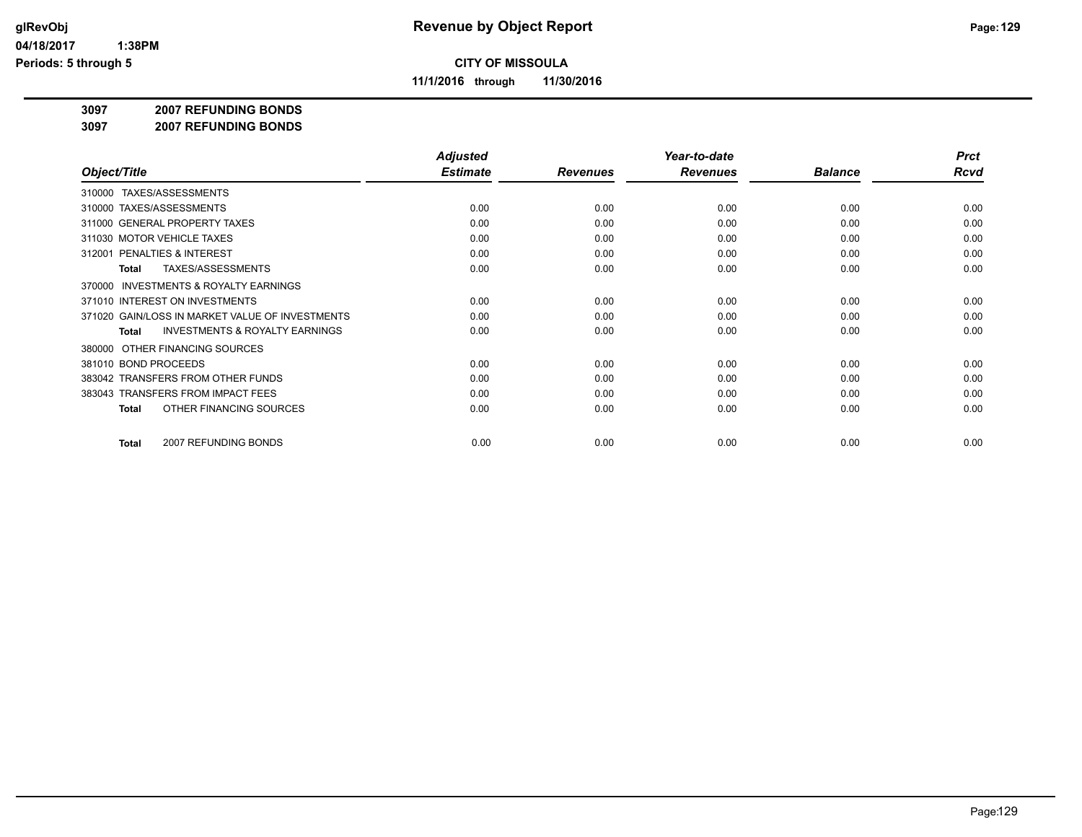**11/1/2016 through 11/30/2016**

**3097 2007 REFUNDING BONDS 3097 2007 REFUNDING BONDS**

|                                                     | <b>Adjusted</b> |                 | Year-to-date    |                | <b>Prct</b> |
|-----------------------------------------------------|-----------------|-----------------|-----------------|----------------|-------------|
| Object/Title                                        | <b>Estimate</b> | <b>Revenues</b> | <b>Revenues</b> | <b>Balance</b> | Rcvd        |
| 310000 TAXES/ASSESSMENTS                            |                 |                 |                 |                |             |
| 310000 TAXES/ASSESSMENTS                            | 0.00            | 0.00            | 0.00            | 0.00           | 0.00        |
| 311000 GENERAL PROPERTY TAXES                       | 0.00            | 0.00            | 0.00            | 0.00           | 0.00        |
| 311030 MOTOR VEHICLE TAXES                          | 0.00            | 0.00            | 0.00            | 0.00           | 0.00        |
| <b>PENALTIES &amp; INTEREST</b><br>312001           | 0.00            | 0.00            | 0.00            | 0.00           | 0.00        |
| TAXES/ASSESSMENTS<br>Total                          | 0.00            | 0.00            | 0.00            | 0.00           | 0.00        |
| <b>INVESTMENTS &amp; ROYALTY EARNINGS</b><br>370000 |                 |                 |                 |                |             |
| 371010 INTEREST ON INVESTMENTS                      | 0.00            | 0.00            | 0.00            | 0.00           | 0.00        |
| 371020 GAIN/LOSS IN MARKET VALUE OF INVESTMENTS     | 0.00            | 0.00            | 0.00            | 0.00           | 0.00        |
| <b>INVESTMENTS &amp; ROYALTY EARNINGS</b><br>Total  | 0.00            | 0.00            | 0.00            | 0.00           | 0.00        |
| OTHER FINANCING SOURCES<br>380000                   |                 |                 |                 |                |             |
| 381010 BOND PROCEEDS                                | 0.00            | 0.00            | 0.00            | 0.00           | 0.00        |
| 383042 TRANSFERS FROM OTHER FUNDS                   | 0.00            | 0.00            | 0.00            | 0.00           | 0.00        |
| <b>TRANSFERS FROM IMPACT FEES</b><br>383043         | 0.00            | 0.00            | 0.00            | 0.00           | 0.00        |
| OTHER FINANCING SOURCES<br>Total                    | 0.00            | 0.00            | 0.00            | 0.00           | 0.00        |
| 2007 REFUNDING BONDS<br>Total                       | 0.00            | 0.00            | 0.00            | 0.00           | 0.00        |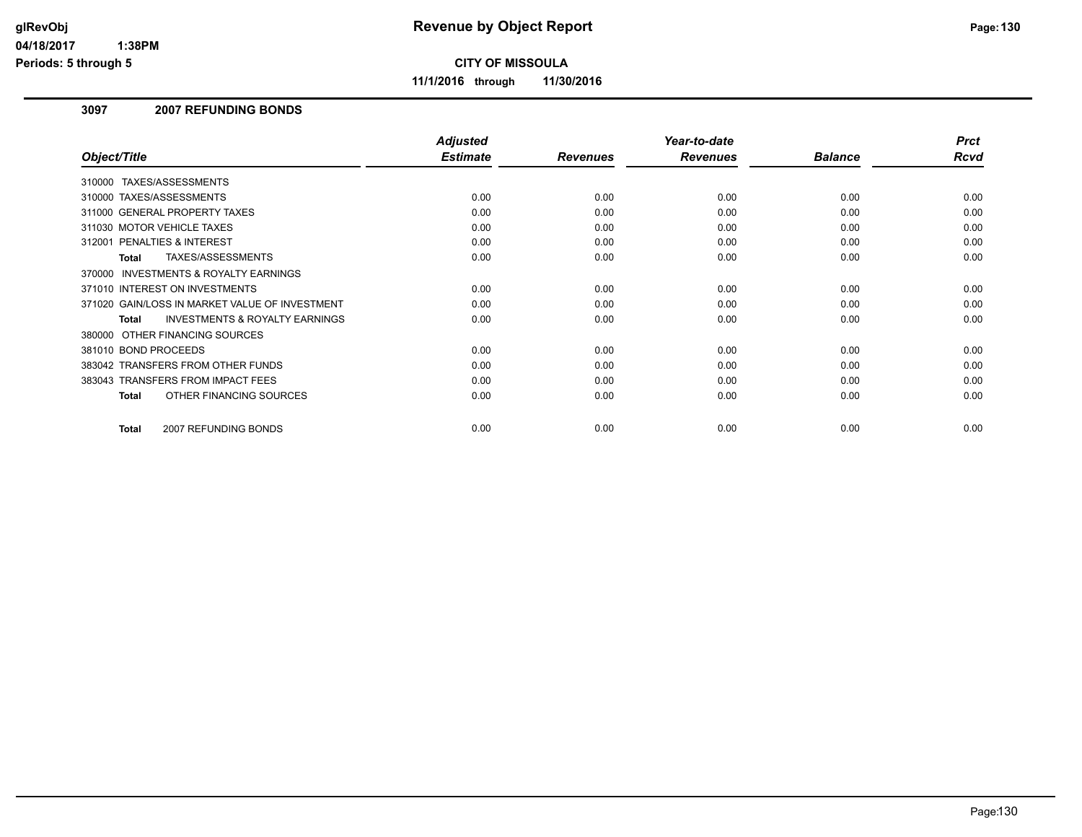**11/1/2016 through 11/30/2016**

#### **3097 2007 REFUNDING BONDS**

|                                                           | <b>Adjusted</b> |                 | Year-to-date    |                | <b>Prct</b> |
|-----------------------------------------------------------|-----------------|-----------------|-----------------|----------------|-------------|
| Object/Title                                              | <b>Estimate</b> | <b>Revenues</b> | <b>Revenues</b> | <b>Balance</b> | Rcvd        |
| TAXES/ASSESSMENTS<br>310000                               |                 |                 |                 |                |             |
| 310000 TAXES/ASSESSMENTS                                  | 0.00            | 0.00            | 0.00            | 0.00           | 0.00        |
| 311000 GENERAL PROPERTY TAXES                             | 0.00            | 0.00            | 0.00            | 0.00           | 0.00        |
| 311030 MOTOR VEHICLE TAXES                                | 0.00            | 0.00            | 0.00            | 0.00           | 0.00        |
| 312001 PENALTIES & INTEREST                               | 0.00            | 0.00            | 0.00            | 0.00           | 0.00        |
| TAXES/ASSESSMENTS<br><b>Total</b>                         | 0.00            | 0.00            | 0.00            | 0.00           | 0.00        |
| <b>INVESTMENTS &amp; ROYALTY EARNINGS</b><br>370000       |                 |                 |                 |                |             |
| 371010 INTEREST ON INVESTMENTS                            | 0.00            | 0.00            | 0.00            | 0.00           | 0.00        |
| 371020 GAIN/LOSS IN MARKET VALUE OF INVESTMENT            | 0.00            | 0.00            | 0.00            | 0.00           | 0.00        |
| <b>INVESTMENTS &amp; ROYALTY EARNINGS</b><br><b>Total</b> | 0.00            | 0.00            | 0.00            | 0.00           | 0.00        |
| 380000 OTHER FINANCING SOURCES                            |                 |                 |                 |                |             |
| 381010 BOND PROCEEDS                                      | 0.00            | 0.00            | 0.00            | 0.00           | 0.00        |
| 383042 TRANSFERS FROM OTHER FUNDS                         | 0.00            | 0.00            | 0.00            | 0.00           | 0.00        |
| 383043 TRANSFERS FROM IMPACT FEES                         | 0.00            | 0.00            | 0.00            | 0.00           | 0.00        |
| OTHER FINANCING SOURCES<br><b>Total</b>                   | 0.00            | 0.00            | 0.00            | 0.00           | 0.00        |
|                                                           |                 |                 |                 |                |             |
| 2007 REFUNDING BONDS<br><b>Total</b>                      | 0.00            | 0.00            | 0.00            | 0.00           | 0.00        |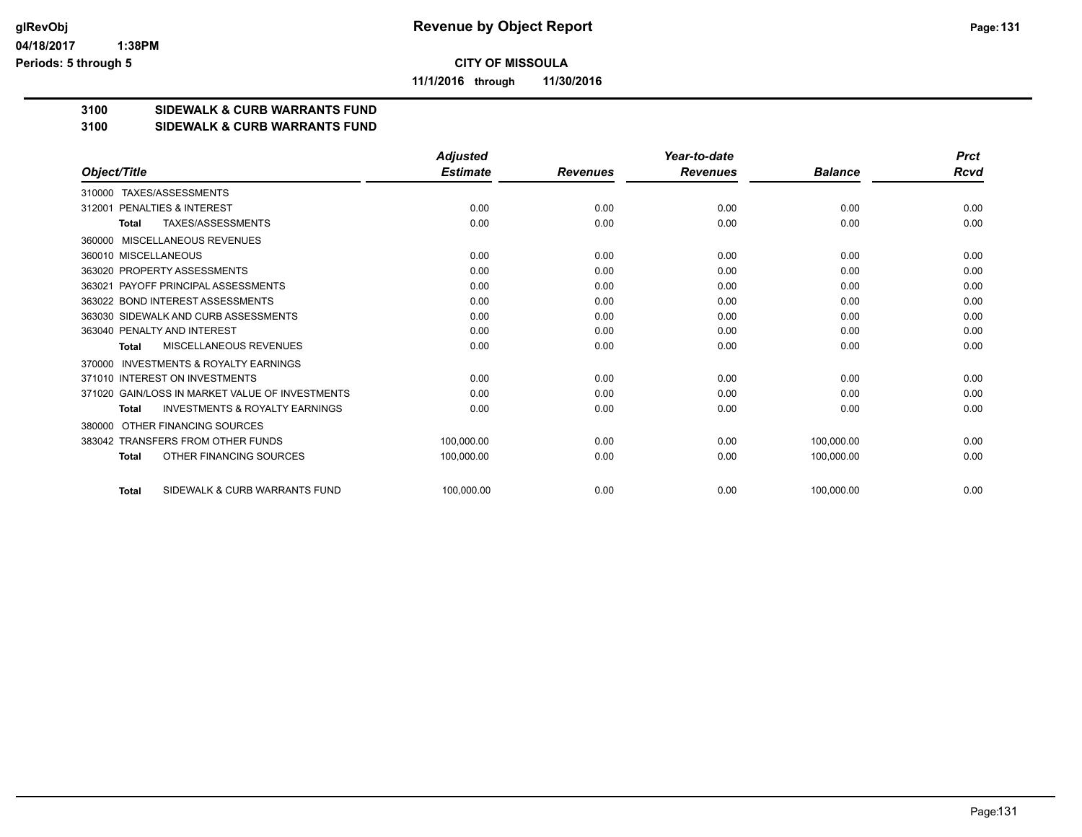**11/1/2016 through 11/30/2016**

## **3100 SIDEWALK & CURB WARRANTS FUND 3100 SIDEWALK & CURB WARRANTS FUND**

|                                                     | <b>Adjusted</b> |                 | Year-to-date    |                | <b>Prct</b> |
|-----------------------------------------------------|-----------------|-----------------|-----------------|----------------|-------------|
| Object/Title                                        | <b>Estimate</b> | <b>Revenues</b> | <b>Revenues</b> | <b>Balance</b> | <b>Rcvd</b> |
| TAXES/ASSESSMENTS<br>310000                         |                 |                 |                 |                |             |
| PENALTIES & INTEREST<br>312001                      | 0.00            | 0.00            | 0.00            | 0.00           | 0.00        |
| TAXES/ASSESSMENTS<br><b>Total</b>                   | 0.00            | 0.00            | 0.00            | 0.00           | 0.00        |
| MISCELLANEOUS REVENUES<br>360000                    |                 |                 |                 |                |             |
| 360010 MISCELLANEOUS                                | 0.00            | 0.00            | 0.00            | 0.00           | 0.00        |
| 363020 PROPERTY ASSESSMENTS                         | 0.00            | 0.00            | 0.00            | 0.00           | 0.00        |
| PAYOFF PRINCIPAL ASSESSMENTS<br>363021              | 0.00            | 0.00            | 0.00            | 0.00           | 0.00        |
| 363022 BOND INTEREST ASSESSMENTS                    | 0.00            | 0.00            | 0.00            | 0.00           | 0.00        |
| 363030 SIDEWALK AND CURB ASSESSMENTS                | 0.00            | 0.00            | 0.00            | 0.00           | 0.00        |
| 363040 PENALTY AND INTEREST                         | 0.00            | 0.00            | 0.00            | 0.00           | 0.00        |
| <b>MISCELLANEOUS REVENUES</b><br><b>Total</b>       | 0.00            | 0.00            | 0.00            | 0.00           | 0.00        |
| <b>INVESTMENTS &amp; ROYALTY EARNINGS</b><br>370000 |                 |                 |                 |                |             |
| 371010 INTEREST ON INVESTMENTS                      | 0.00            | 0.00            | 0.00            | 0.00           | 0.00        |
| 371020 GAIN/LOSS IN MARKET VALUE OF INVESTMENTS     | 0.00            | 0.00            | 0.00            | 0.00           | 0.00        |
| <b>INVESTMENTS &amp; ROYALTY EARNINGS</b><br>Total  | 0.00            | 0.00            | 0.00            | 0.00           | 0.00        |
| OTHER FINANCING SOURCES<br>380000                   |                 |                 |                 |                |             |
| 383042 TRANSFERS FROM OTHER FUNDS                   | 100,000.00      | 0.00            | 0.00            | 100,000.00     | 0.00        |
| OTHER FINANCING SOURCES<br>Total                    | 100,000.00      | 0.00            | 0.00            | 100,000.00     | 0.00        |
| SIDEWALK & CURB WARRANTS FUND<br><b>Total</b>       | 100.000.00      | 0.00            | 0.00            | 100.000.00     | 0.00        |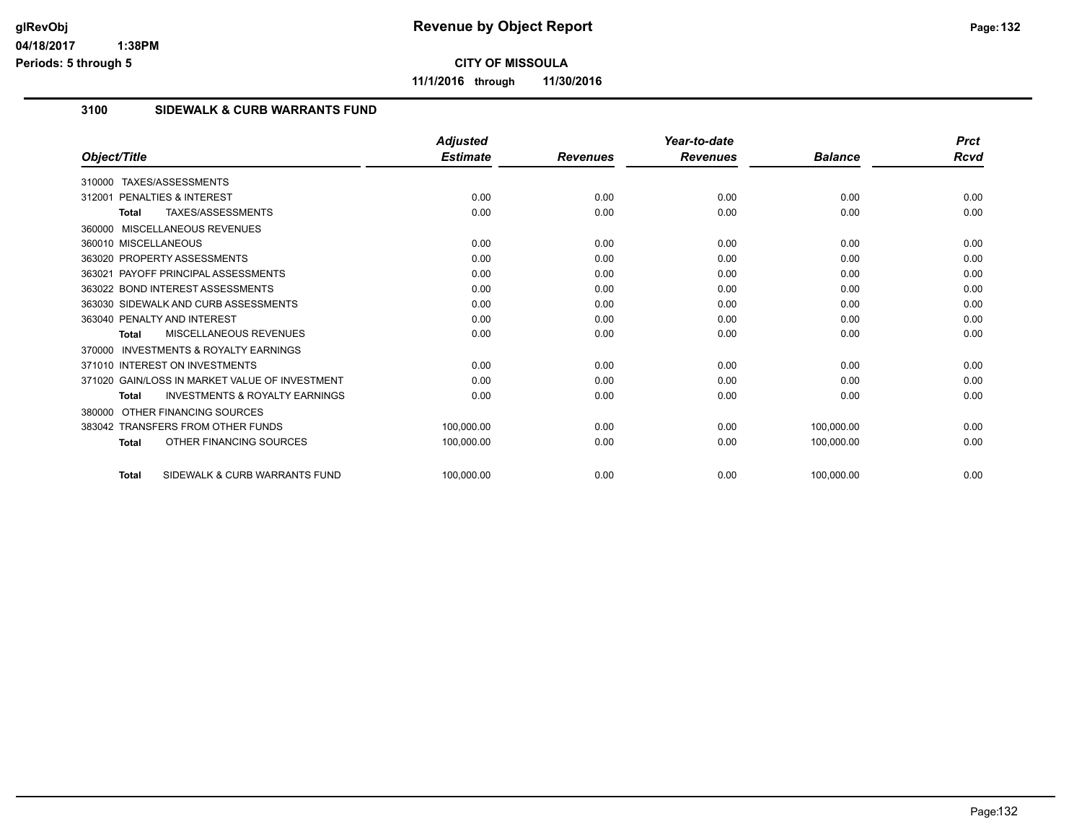**11/1/2016 through 11/30/2016**

### **3100 SIDEWALK & CURB WARRANTS FUND**

|                                                           | <b>Adjusted</b> |                 | Year-to-date    |                | <b>Prct</b> |
|-----------------------------------------------------------|-----------------|-----------------|-----------------|----------------|-------------|
| Object/Title                                              | <b>Estimate</b> | <b>Revenues</b> | <b>Revenues</b> | <b>Balance</b> | Rcvd        |
| TAXES/ASSESSMENTS<br>310000                               |                 |                 |                 |                |             |
| PENALTIES & INTEREST<br>312001                            | 0.00            | 0.00            | 0.00            | 0.00           | 0.00        |
| TAXES/ASSESSMENTS<br>Total                                | 0.00            | 0.00            | 0.00            | 0.00           | 0.00        |
| MISCELLANEOUS REVENUES<br>360000                          |                 |                 |                 |                |             |
| 360010 MISCELLANEOUS                                      | 0.00            | 0.00            | 0.00            | 0.00           | 0.00        |
| 363020 PROPERTY ASSESSMENTS                               | 0.00            | 0.00            | 0.00            | 0.00           | 0.00        |
| 363021 PAYOFF PRINCIPAL ASSESSMENTS                       | 0.00            | 0.00            | 0.00            | 0.00           | 0.00        |
| 363022 BOND INTEREST ASSESSMENTS                          | 0.00            | 0.00            | 0.00            | 0.00           | 0.00        |
| 363030 SIDEWALK AND CURB ASSESSMENTS                      | 0.00            | 0.00            | 0.00            | 0.00           | 0.00        |
| 363040 PENALTY AND INTEREST                               | 0.00            | 0.00            | 0.00            | 0.00           | 0.00        |
| <b>MISCELLANEOUS REVENUES</b><br>Total                    | 0.00            | 0.00            | 0.00            | 0.00           | 0.00        |
| INVESTMENTS & ROYALTY EARNINGS<br>370000                  |                 |                 |                 |                |             |
| 371010 INTEREST ON INVESTMENTS                            | 0.00            | 0.00            | 0.00            | 0.00           | 0.00        |
| 371020 GAIN/LOSS IN MARKET VALUE OF INVESTMENT            | 0.00            | 0.00            | 0.00            | 0.00           | 0.00        |
| <b>INVESTMENTS &amp; ROYALTY EARNINGS</b><br><b>Total</b> | 0.00            | 0.00            | 0.00            | 0.00           | 0.00        |
| OTHER FINANCING SOURCES<br>380000                         |                 |                 |                 |                |             |
| 383042 TRANSFERS FROM OTHER FUNDS                         | 100,000.00      | 0.00            | 0.00            | 100,000.00     | 0.00        |
| OTHER FINANCING SOURCES<br><b>Total</b>                   | 100,000.00      | 0.00            | 0.00            | 100,000.00     | 0.00        |
| SIDEWALK & CURB WARRANTS FUND<br><b>Total</b>             | 100.000.00      | 0.00            | 0.00            | 100.000.00     | 0.00        |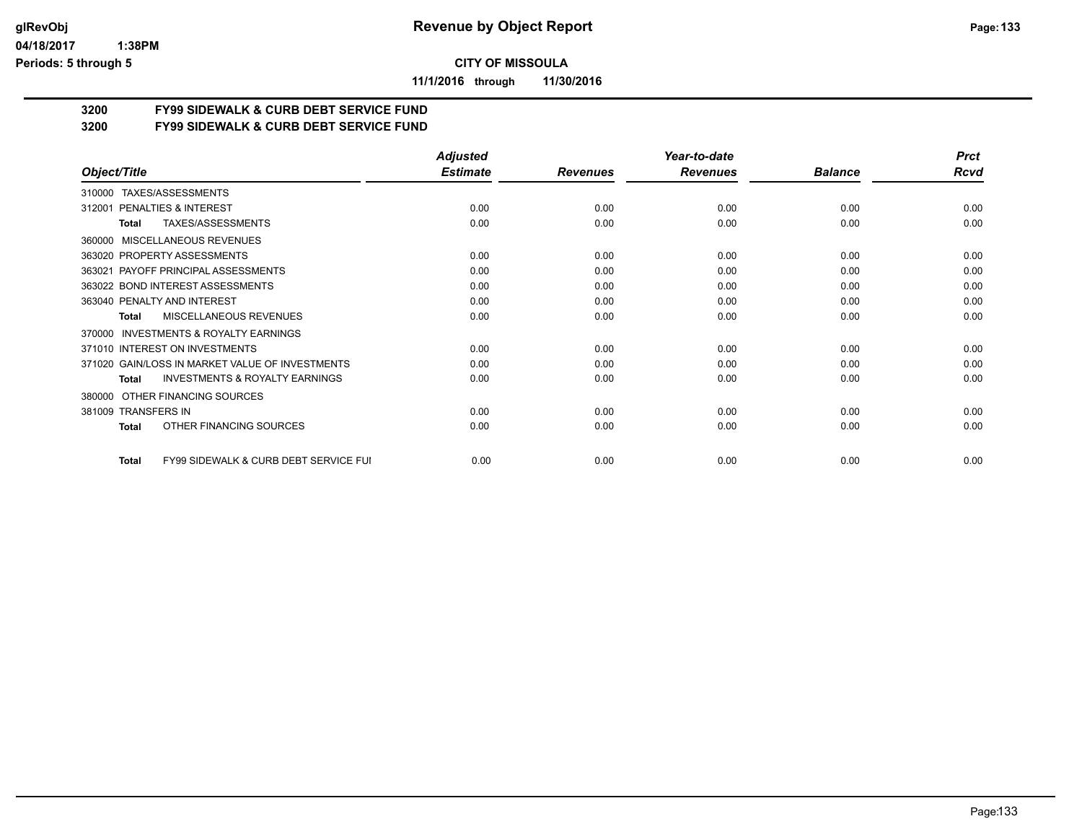*Prct Rcvd*

## **CITY OF MISSOULA**

**11/1/2016 through 11/30/2016**

# **3200 FY99 SIDEWALK & CURB DEBT SERVICE FUND**

| 3200<br><b>FY99 SIDEWALK &amp; CURB DEBT SERVICE FUND</b>        |                 |                 |                 |                |             |
|------------------------------------------------------------------|-----------------|-----------------|-----------------|----------------|-------------|
|                                                                  | <b>Adjusted</b> |                 | Year-to-date    |                | <b>Prct</b> |
| Object/Title                                                     | <b>Estimate</b> | <b>Revenues</b> | <b>Revenues</b> | <b>Balance</b> | Rcva        |
| TAXES/ASSESSMENTS<br>310000                                      |                 |                 |                 |                |             |
| PENALTIES & INTEREST<br>312001                                   | 0.00            | 0.00            | 0.00            | 0.00           | 0.00        |
| TAXES/ASSESSMENTS<br><b>Total</b>                                | 0.00            | 0.00            | 0.00            | 0.00           | 0.00        |
| 360000 MISCELLANEOUS REVENUES                                    |                 |                 |                 |                |             |
| 363020 PROPERTY ASSESSMENTS                                      | 0.00            | 0.00            | 0.00            | 0.00           | 0.00        |
| 363021 PAYOFF PRINCIPAL ASSESSMENTS                              | 0.00            | 0.00            | 0.00            | 0.00           | 0.00        |
| 363022 BOND INTEREST ASSESSMENTS                                 | 0.00            | 0.00            | 0.00            | 0.00           | 0.00        |
| 363040 PENALTY AND INTEREST                                      | 0.00            | 0.00            | 0.00            | 0.00           | 0.00        |
| <b>MISCELLANEOUS REVENUES</b><br>Total                           | 0.00            | 0.00            | 0.00            | 0.00           | 0.00        |
| 370000 INVESTMENTS & ROYALTY EARNINGS                            |                 |                 |                 |                |             |
| 371010 INTEREST ON INVESTMENTS                                   | 0.00            | 0.00            | 0.00            | 0.00           | 0.00        |
| 371020 GAIN/LOSS IN MARKET VALUE OF INVESTMENTS                  | 0.00            | 0.00            | 0.00            | 0.00           | 0.00        |
| <b>INVESTMENTS &amp; ROYALTY EARNINGS</b><br>Total               | 0.00            | 0.00            | 0.00            | 0.00           | 0.00        |
| 380000 OTHER FINANCING SOURCES                                   |                 |                 |                 |                |             |
| 381009 TRANSFERS IN                                              | 0.00            | 0.00            | 0.00            | 0.00           | 0.00        |
| OTHER FINANCING SOURCES<br><b>Total</b>                          | 0.00            | 0.00            | 0.00            | 0.00           | 0.00        |
| <b>FY99 SIDEWALK &amp; CURB DEBT SERVICE FUI</b><br><b>Total</b> | 0.00            | 0.00            | 0.00            | 0.00           | 0.00        |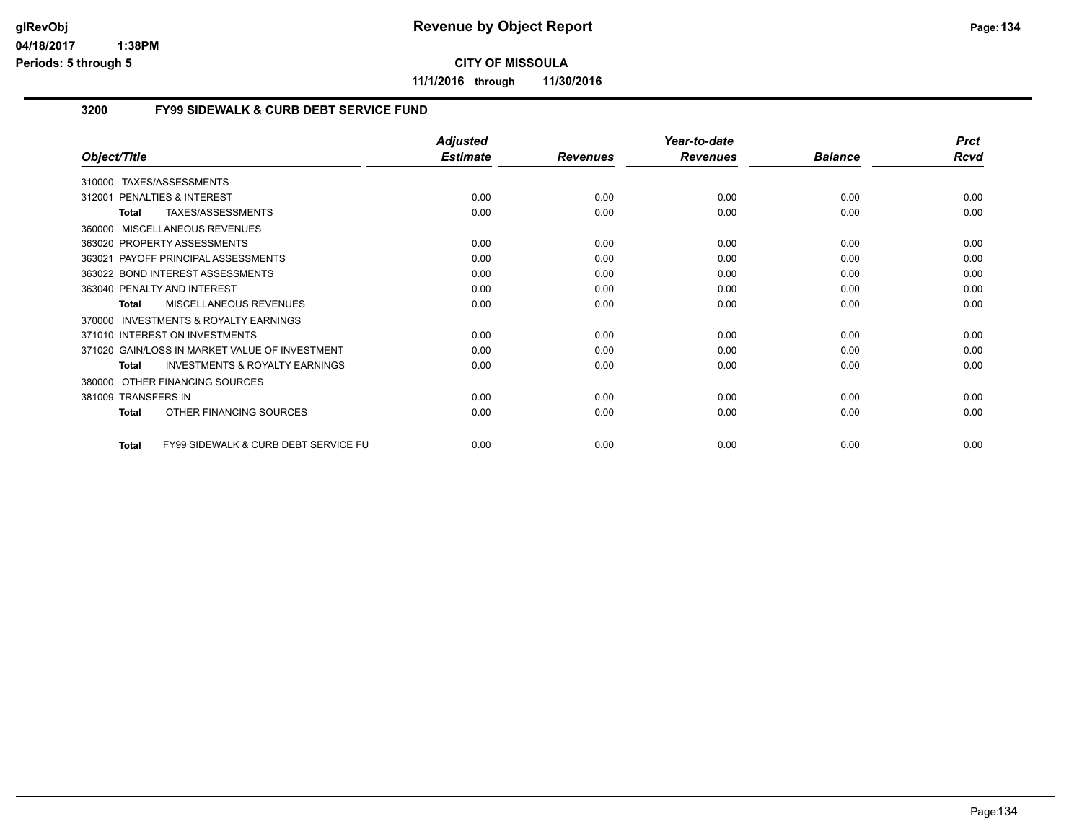**11/1/2016 through 11/30/2016**

#### **3200 FY99 SIDEWALK & CURB DEBT SERVICE FUND**

|                                                           | <b>Adjusted</b> |                 | Year-to-date    |                | <b>Prct</b> |
|-----------------------------------------------------------|-----------------|-----------------|-----------------|----------------|-------------|
| Object/Title                                              | <b>Estimate</b> | <b>Revenues</b> | <b>Revenues</b> | <b>Balance</b> | <b>Rcvd</b> |
| 310000 TAXES/ASSESSMENTS                                  |                 |                 |                 |                |             |
| <b>PENALTIES &amp; INTEREST</b><br>312001                 | 0.00            | 0.00            | 0.00            | 0.00           | 0.00        |
| TAXES/ASSESSMENTS<br>Total                                | 0.00            | 0.00            | 0.00            | 0.00           | 0.00        |
| 360000 MISCELLANEOUS REVENUES                             |                 |                 |                 |                |             |
| 363020 PROPERTY ASSESSMENTS                               | 0.00            | 0.00            | 0.00            | 0.00           | 0.00        |
| 363021 PAYOFF PRINCIPAL ASSESSMENTS                       | 0.00            | 0.00            | 0.00            | 0.00           | 0.00        |
| 363022 BOND INTEREST ASSESSMENTS                          | 0.00            | 0.00            | 0.00            | 0.00           | 0.00        |
| 363040 PENALTY AND INTEREST                               | 0.00            | 0.00            | 0.00            | 0.00           | 0.00        |
| MISCELLANEOUS REVENUES<br><b>Total</b>                    | 0.00            | 0.00            | 0.00            | 0.00           | 0.00        |
| 370000 INVESTMENTS & ROYALTY EARNINGS                     |                 |                 |                 |                |             |
| 371010 INTEREST ON INVESTMENTS                            | 0.00            | 0.00            | 0.00            | 0.00           | 0.00        |
| 371020 GAIN/LOSS IN MARKET VALUE OF INVESTMENT            | 0.00            | 0.00            | 0.00            | 0.00           | 0.00        |
| <b>INVESTMENTS &amp; ROYALTY EARNINGS</b><br><b>Total</b> | 0.00            | 0.00            | 0.00            | 0.00           | 0.00        |
| 380000 OTHER FINANCING SOURCES                            |                 |                 |                 |                |             |
| 381009 TRANSFERS IN                                       | 0.00            | 0.00            | 0.00            | 0.00           | 0.00        |
| OTHER FINANCING SOURCES<br>Total                          | 0.00            | 0.00            | 0.00            | 0.00           | 0.00        |
| FY99 SIDEWALK & CURB DEBT SERVICE FU<br><b>Total</b>      | 0.00            | 0.00            | 0.00            | 0.00           | 0.00        |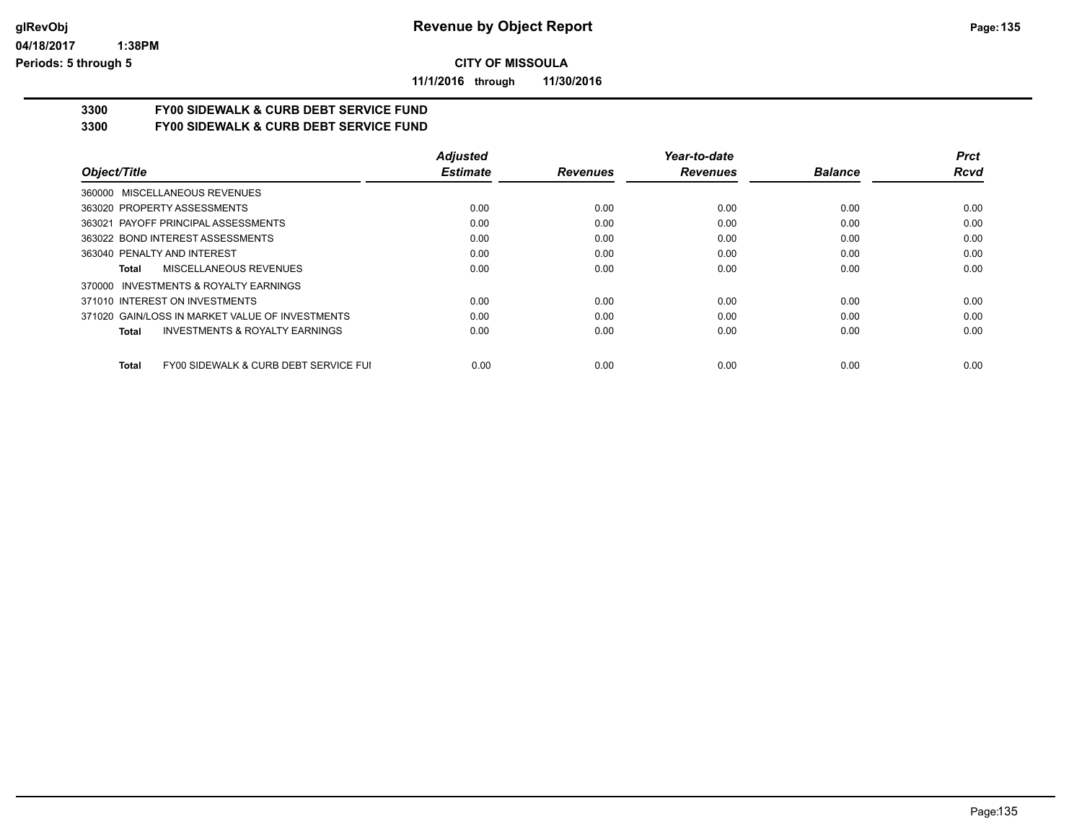**11/1/2016 through 11/30/2016**

### **3300 FY00 SIDEWALK & CURB DEBT SERVICE FUND 3300 FY00 SIDEWALK & CURB DEBT SERVICE FUND**

|                                                       | <b>Adjusted</b> |                 | Year-to-date    |                | <b>Prct</b> |
|-------------------------------------------------------|-----------------|-----------------|-----------------|----------------|-------------|
| Object/Title                                          | <b>Estimate</b> | <b>Revenues</b> | <b>Revenues</b> | <b>Balance</b> | <b>Rcvd</b> |
| 360000 MISCELLANEOUS REVENUES                         |                 |                 |                 |                |             |
| 363020 PROPERTY ASSESSMENTS                           | 0.00            | 0.00            | 0.00            | 0.00           | 0.00        |
| 363021 PAYOFF PRINCIPAL ASSESSMENTS                   | 0.00            | 0.00            | 0.00            | 0.00           | 0.00        |
| 363022 BOND INTEREST ASSESSMENTS                      | 0.00            | 0.00            | 0.00            | 0.00           | 0.00        |
| 363040 PENALTY AND INTEREST                           | 0.00            | 0.00            | 0.00            | 0.00           | 0.00        |
| MISCELLANEOUS REVENUES<br>Total                       | 0.00            | 0.00            | 0.00            | 0.00           | 0.00        |
| INVESTMENTS & ROYALTY EARNINGS<br>370000              |                 |                 |                 |                |             |
| 371010 INTEREST ON INVESTMENTS                        | 0.00            | 0.00            | 0.00            | 0.00           | 0.00        |
| 371020 GAIN/LOSS IN MARKET VALUE OF INVESTMENTS       | 0.00            | 0.00            | 0.00            | 0.00           | 0.00        |
| INVESTMENTS & ROYALTY EARNINGS<br>Total               | 0.00            | 0.00            | 0.00            | 0.00           | 0.00        |
| FY00 SIDEWALK & CURB DEBT SERVICE FUI<br><b>Total</b> | 0.00            | 0.00            | 0.00            | 0.00           | 0.00        |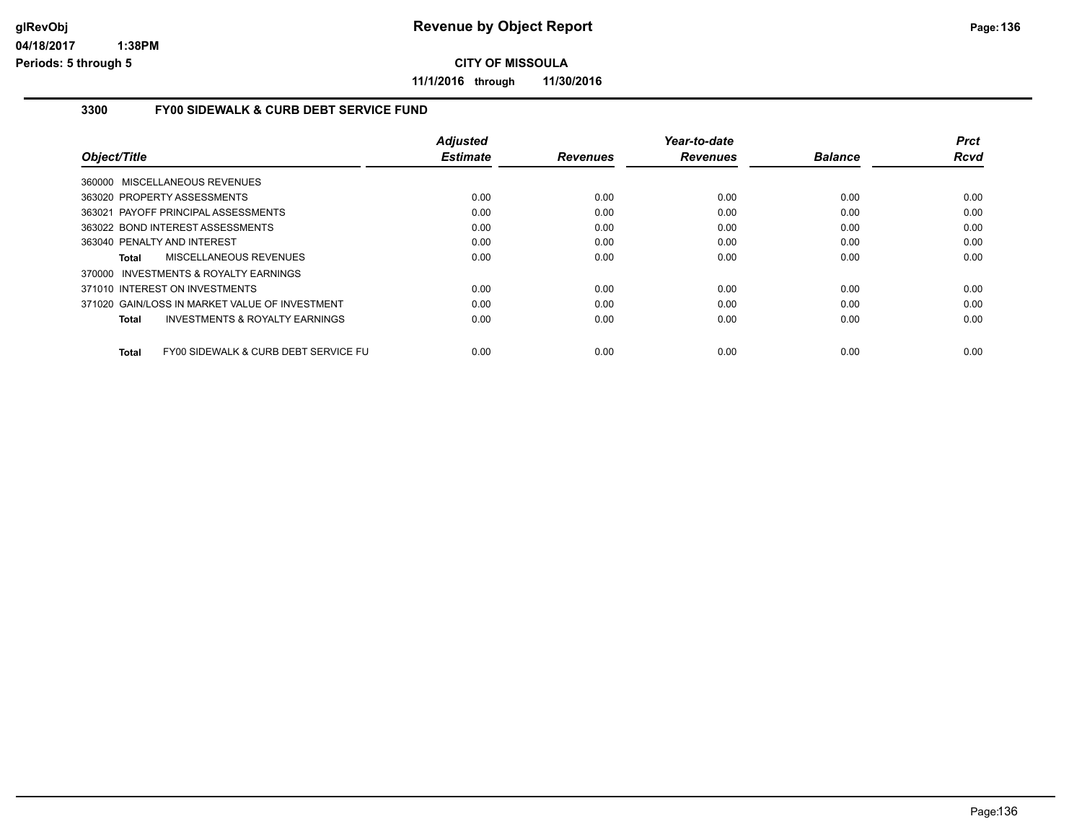**11/1/2016 through 11/30/2016**

#### **3300 FY00 SIDEWALK & CURB DEBT SERVICE FUND**

| Object/Title                                         | <b>Adjusted</b><br><b>Estimate</b> | <b>Revenues</b> | Year-to-date<br><b>Revenues</b> | <b>Balance</b> | <b>Prct</b><br><b>Rcvd</b> |
|------------------------------------------------------|------------------------------------|-----------------|---------------------------------|----------------|----------------------------|
| 360000 MISCELLANEOUS REVENUES                        |                                    |                 |                                 |                |                            |
| 363020 PROPERTY ASSESSMENTS                          | 0.00                               | 0.00            | 0.00                            | 0.00           | 0.00                       |
| 363021 PAYOFF PRINCIPAL ASSESSMENTS                  | 0.00                               | 0.00            | 0.00                            | 0.00           | 0.00                       |
| 363022 BOND INTEREST ASSESSMENTS                     | 0.00                               | 0.00            | 0.00                            | 0.00           | 0.00                       |
| 363040 PENALTY AND INTEREST                          | 0.00                               | 0.00            | 0.00                            | 0.00           | 0.00                       |
| MISCELLANEOUS REVENUES<br>Total                      | 0.00                               | 0.00            | 0.00                            | 0.00           | 0.00                       |
| INVESTMENTS & ROYALTY EARNINGS<br>370000             |                                    |                 |                                 |                |                            |
| 371010 INTEREST ON INVESTMENTS                       | 0.00                               | 0.00            | 0.00                            | 0.00           | 0.00                       |
| 371020 GAIN/LOSS IN MARKET VALUE OF INVESTMENT       | 0.00                               | 0.00            | 0.00                            | 0.00           | 0.00                       |
| <b>INVESTMENTS &amp; ROYALTY EARNINGS</b><br>Total   | 0.00                               | 0.00            | 0.00                            | 0.00           | 0.00                       |
|                                                      |                                    |                 |                                 |                |                            |
| FY00 SIDEWALK & CURB DEBT SERVICE FU<br><b>Total</b> | 0.00                               | 0.00            | 0.00                            | 0.00           | 0.00                       |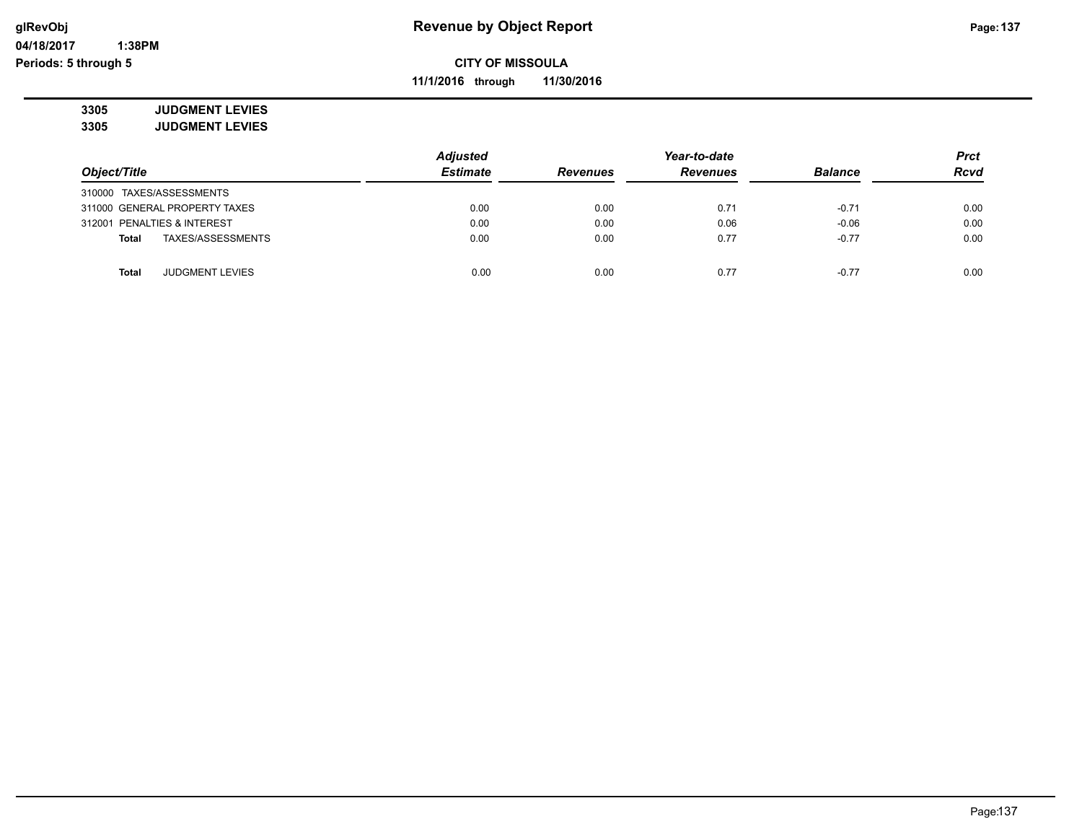## **CITY OF MISSOULA 11/1/2016 through 11/30/2016**

**3305 JUDGMENT LEVIES 3305 JUDGMENT LEVIES**

|                                        | <b>Adjusted</b> |                 | Year-to-date    |                | <b>Prct</b> |
|----------------------------------------|-----------------|-----------------|-----------------|----------------|-------------|
| Object/Title                           | <b>Estimate</b> | <b>Revenues</b> | <b>Revenues</b> | <b>Balance</b> | <b>Rcvd</b> |
| TAXES/ASSESSMENTS<br>310000            |                 |                 |                 |                |             |
| 311000 GENERAL PROPERTY TAXES          | 0.00            | 0.00            | 0.71            | $-0.71$        | 0.00        |
| 312001 PENALTIES & INTEREST            | 0.00            | 0.00            | 0.06            | $-0.06$        | 0.00        |
| TAXES/ASSESSMENTS<br>Total             | 0.00            | 0.00            | 0.77            | $-0.77$        | 0.00        |
| <b>JUDGMENT LEVIES</b><br><b>Total</b> | 0.00            | 0.00            | 0.77            | $-0.77$        | 0.00        |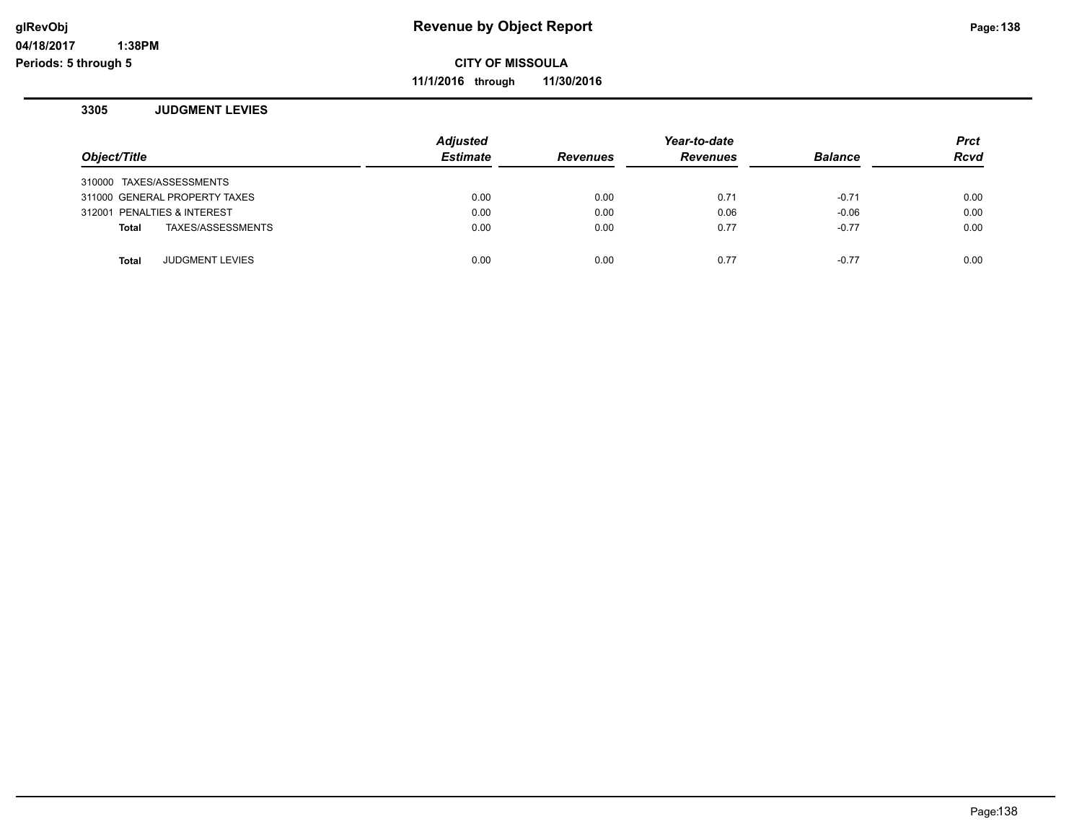**11/1/2016 through 11/30/2016**

#### **3305 JUDGMENT LEVIES**

|                                        | <b>Adjusted</b> |                 | Year-to-date    |                |             |
|----------------------------------------|-----------------|-----------------|-----------------|----------------|-------------|
| Object/Title                           | <b>Estimate</b> | <b>Revenues</b> | <b>Revenues</b> | <b>Balance</b> | <b>Rcvd</b> |
| 310000 TAXES/ASSESSMENTS               |                 |                 |                 |                |             |
| 311000 GENERAL PROPERTY TAXES          | 0.00            | 0.00            | 0.71            | $-0.71$        | 0.00        |
| 312001 PENALTIES & INTEREST            | 0.00            | 0.00            | 0.06            | $-0.06$        | 0.00        |
| TAXES/ASSESSMENTS<br><b>Total</b>      | 0.00            | 0.00            | 0.77            | $-0.77$        | 0.00        |
|                                        |                 |                 |                 |                |             |
| <b>JUDGMENT LEVIES</b><br><b>Total</b> | 0.00            | 0.00            | 0.77            | $-0.77$        | 0.00        |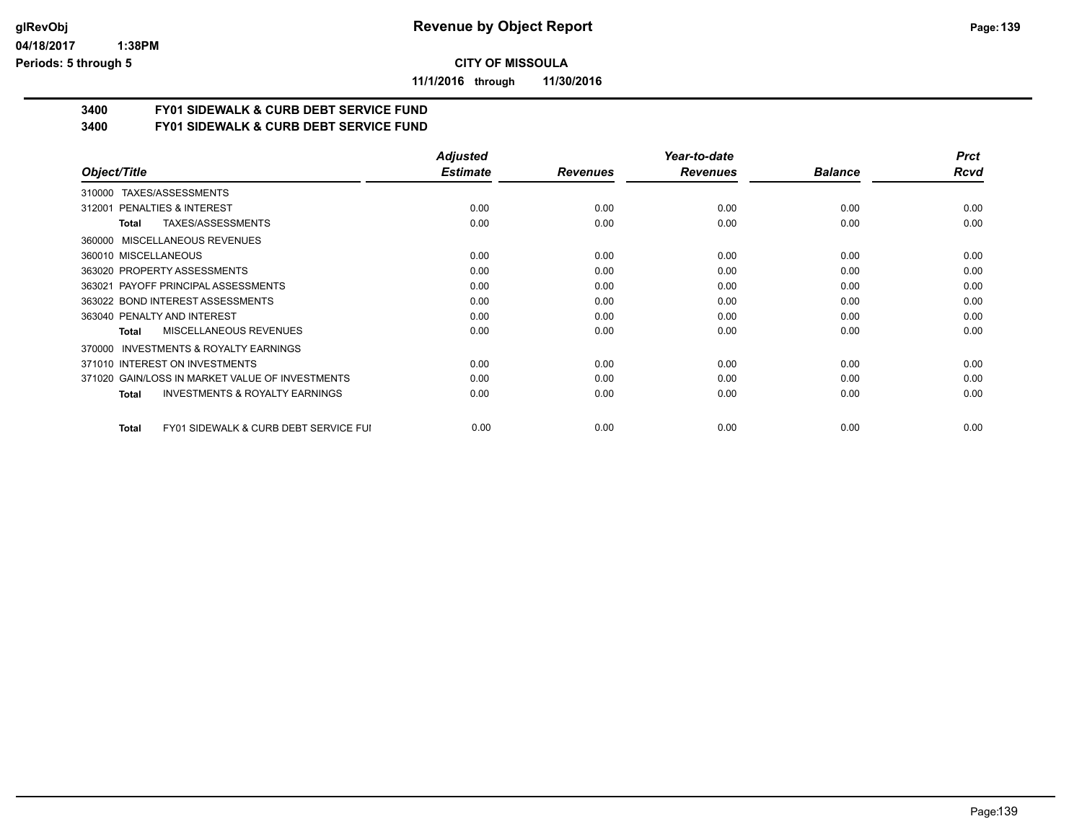**11/1/2016 through 11/30/2016**

### **3400 FY01 SIDEWALK & CURB DEBT SERVICE FUND 3400 FY01 SIDEWALK & CURB DEBT SERVICE FUND**

|                                                    | <b>Adjusted</b> |                 | Year-to-date    |                | <b>Prct</b> |
|----------------------------------------------------|-----------------|-----------------|-----------------|----------------|-------------|
| Object/Title                                       | <b>Estimate</b> | <b>Revenues</b> | <b>Revenues</b> | <b>Balance</b> | Rcvd        |
| TAXES/ASSESSMENTS<br>310000                        |                 |                 |                 |                |             |
| <b>PENALTIES &amp; INTEREST</b><br>312001          | 0.00            | 0.00            | 0.00            | 0.00           | 0.00        |
| TAXES/ASSESSMENTS<br>Total                         | 0.00            | 0.00            | 0.00            | 0.00           | 0.00        |
| MISCELLANEOUS REVENUES<br>360000                   |                 |                 |                 |                |             |
| 360010 MISCELLANEOUS                               | 0.00            | 0.00            | 0.00            | 0.00           | 0.00        |
| 363020 PROPERTY ASSESSMENTS                        | 0.00            | 0.00            | 0.00            | 0.00           | 0.00        |
| 363021 PAYOFF PRINCIPAL ASSESSMENTS                | 0.00            | 0.00            | 0.00            | 0.00           | 0.00        |
| 363022 BOND INTEREST ASSESSMENTS                   | 0.00            | 0.00            | 0.00            | 0.00           | 0.00        |
| 363040 PENALTY AND INTEREST                        | 0.00            | 0.00            | 0.00            | 0.00           | 0.00        |
| MISCELLANEOUS REVENUES<br>Total                    | 0.00            | 0.00            | 0.00            | 0.00           | 0.00        |
| INVESTMENTS & ROYALTY EARNINGS<br>370000           |                 |                 |                 |                |             |
| 371010 INTEREST ON INVESTMENTS                     | 0.00            | 0.00            | 0.00            | 0.00           | 0.00        |
| 371020 GAIN/LOSS IN MARKET VALUE OF INVESTMENTS    | 0.00            | 0.00            | 0.00            | 0.00           | 0.00        |
| <b>INVESTMENTS &amp; ROYALTY EARNINGS</b><br>Total | 0.00            | 0.00            | 0.00            | 0.00           | 0.00        |
| FY01 SIDEWALK & CURB DEBT SERVICE FUI<br>Total     | 0.00            | 0.00            | 0.00            | 0.00           | 0.00        |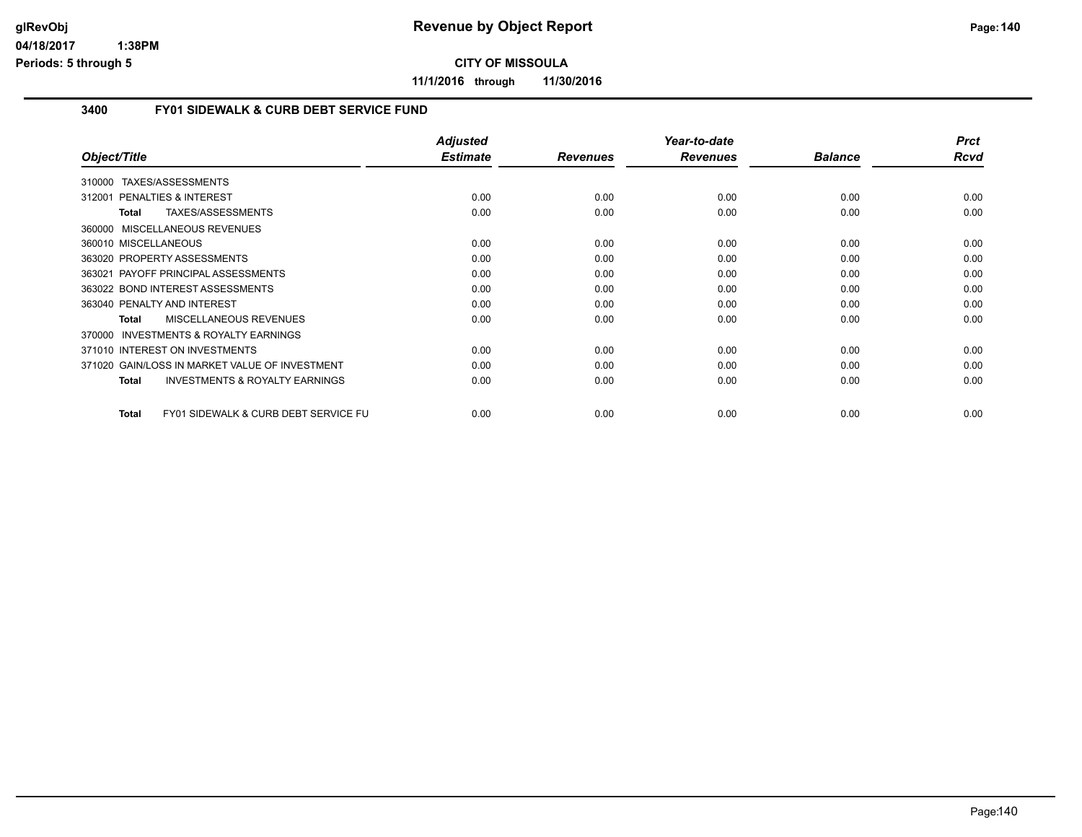**11/1/2016 through 11/30/2016**

#### **3400 FY01 SIDEWALK & CURB DEBT SERVICE FUND**

|                                                           | <b>Adjusted</b> |                 | Year-to-date    |                | <b>Prct</b> |
|-----------------------------------------------------------|-----------------|-----------------|-----------------|----------------|-------------|
| Object/Title                                              | <b>Estimate</b> | <b>Revenues</b> | <b>Revenues</b> | <b>Balance</b> | <b>Rcvd</b> |
| 310000 TAXES/ASSESSMENTS                                  |                 |                 |                 |                |             |
| 312001 PENALTIES & INTEREST                               | 0.00            | 0.00            | 0.00            | 0.00           | 0.00        |
| TAXES/ASSESSMENTS<br><b>Total</b>                         | 0.00            | 0.00            | 0.00            | 0.00           | 0.00        |
| 360000 MISCELLANEOUS REVENUES                             |                 |                 |                 |                |             |
| 360010 MISCELLANEOUS                                      | 0.00            | 0.00            | 0.00            | 0.00           | 0.00        |
| 363020 PROPERTY ASSESSMENTS                               | 0.00            | 0.00            | 0.00            | 0.00           | 0.00        |
| 363021 PAYOFF PRINCIPAL ASSESSMENTS                       | 0.00            | 0.00            | 0.00            | 0.00           | 0.00        |
| 363022 BOND INTEREST ASSESSMENTS                          | 0.00            | 0.00            | 0.00            | 0.00           | 0.00        |
| 363040 PENALTY AND INTEREST                               | 0.00            | 0.00            | 0.00            | 0.00           | 0.00        |
| MISCELLANEOUS REVENUES<br>Total                           | 0.00            | 0.00            | 0.00            | 0.00           | 0.00        |
| <b>INVESTMENTS &amp; ROYALTY EARNINGS</b><br>370000       |                 |                 |                 |                |             |
| 371010 INTEREST ON INVESTMENTS                            | 0.00            | 0.00            | 0.00            | 0.00           | 0.00        |
| 371020 GAIN/LOSS IN MARKET VALUE OF INVESTMENT            | 0.00            | 0.00            | 0.00            | 0.00           | 0.00        |
| <b>INVESTMENTS &amp; ROYALTY EARNINGS</b><br><b>Total</b> | 0.00            | 0.00            | 0.00            | 0.00           | 0.00        |
| FY01 SIDEWALK & CURB DEBT SERVICE FU<br><b>Total</b>      | 0.00            | 0.00            | 0.00            | 0.00           | 0.00        |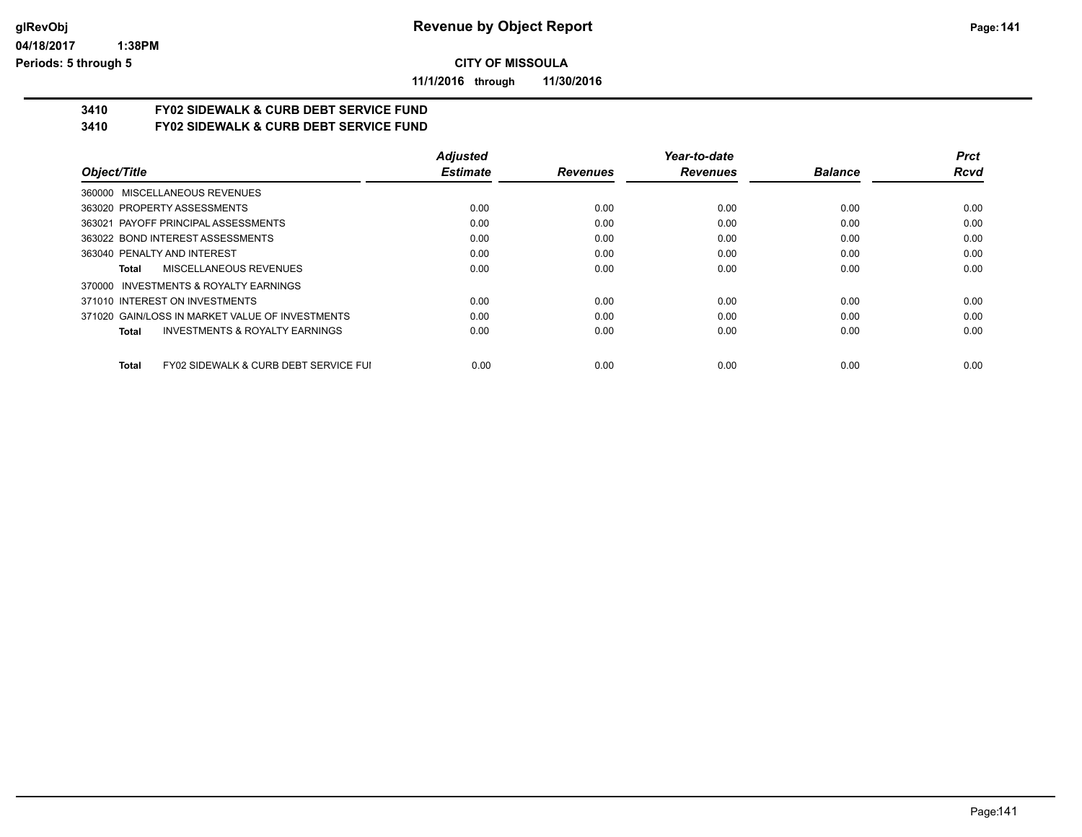**11/1/2016 through 11/30/2016**

### **3410 FY02 SIDEWALK & CURB DEBT SERVICE FUND 3410 FY02 SIDEWALK & CURB DEBT SERVICE FUND**

|                                                           | <b>Adjusted</b> |                 | Year-to-date    |                | <b>Prct</b> |
|-----------------------------------------------------------|-----------------|-----------------|-----------------|----------------|-------------|
| Object/Title                                              | <b>Estimate</b> | <b>Revenues</b> | <b>Revenues</b> | <b>Balance</b> | Rcvd        |
| 360000 MISCELLANEOUS REVENUES                             |                 |                 |                 |                |             |
| 363020 PROPERTY ASSESSMENTS                               | 0.00            | 0.00            | 0.00            | 0.00           | 0.00        |
| 363021 PAYOFF PRINCIPAL ASSESSMENTS                       | 0.00            | 0.00            | 0.00            | 0.00           | 0.00        |
| 363022 BOND INTEREST ASSESSMENTS                          | 0.00            | 0.00            | 0.00            | 0.00           | 0.00        |
| 363040 PENALTY AND INTEREST                               | 0.00            | 0.00            | 0.00            | 0.00           | 0.00        |
| MISCELLANEOUS REVENUES<br>Total                           | 0.00            | 0.00            | 0.00            | 0.00           | 0.00        |
| <b>INVESTMENTS &amp; ROYALTY EARNINGS</b><br>370000       |                 |                 |                 |                |             |
| 371010 INTEREST ON INVESTMENTS                            | 0.00            | 0.00            | 0.00            | 0.00           | 0.00        |
| 371020 GAIN/LOSS IN MARKET VALUE OF INVESTMENTS           | 0.00            | 0.00            | 0.00            | 0.00           | 0.00        |
| <b>INVESTMENTS &amp; ROYALTY EARNINGS</b><br>Total        | 0.00            | 0.00            | 0.00            | 0.00           | 0.00        |
| <b>FY02 SIDEWALK &amp; CURB DEBT SERVICE FUI</b><br>Total | 0.00            | 0.00            | 0.00            | 0.00           | 0.00        |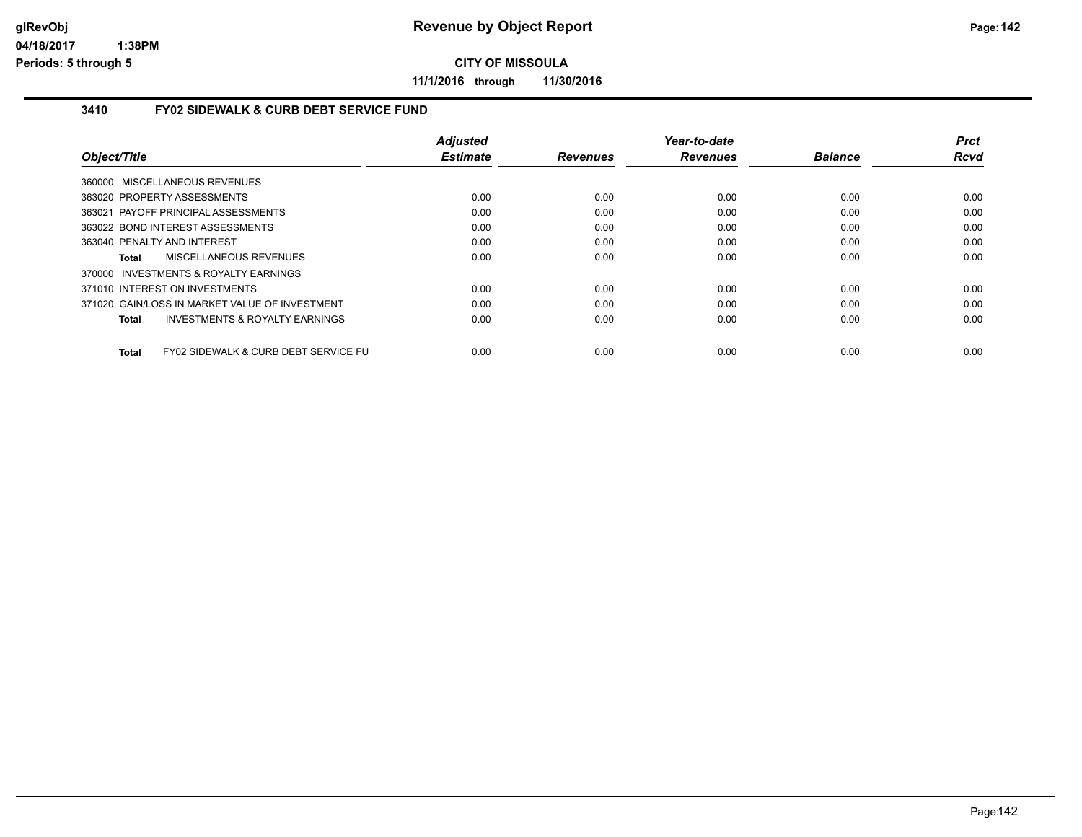**11/1/2016 through 11/30/2016**

#### **3410 FY02 SIDEWALK & CURB DEBT SERVICE FUND**

| Object/Title                                         | <b>Adjusted</b><br><b>Estimate</b> | <b>Revenues</b> | Year-to-date<br><b>Revenues</b> | <b>Balance</b> | <b>Prct</b><br><b>Rcvd</b> |
|------------------------------------------------------|------------------------------------|-----------------|---------------------------------|----------------|----------------------------|
| 360000 MISCELLANEOUS REVENUES                        |                                    |                 |                                 |                |                            |
| 363020 PROPERTY ASSESSMENTS                          | 0.00                               | 0.00            | 0.00                            | 0.00           | 0.00                       |
| 363021 PAYOFF PRINCIPAL ASSESSMENTS                  |                                    |                 |                                 |                |                            |
|                                                      | 0.00                               | 0.00            | 0.00                            | 0.00           | 0.00                       |
| 363022 BOND INTEREST ASSESSMENTS                     | 0.00                               | 0.00            | 0.00                            | 0.00           | 0.00                       |
| 363040 PENALTY AND INTEREST                          | 0.00                               | 0.00            | 0.00                            | 0.00           | 0.00                       |
| MISCELLANEOUS REVENUES<br>Total                      | 0.00                               | 0.00            | 0.00                            | 0.00           | 0.00                       |
| INVESTMENTS & ROYALTY EARNINGS<br>370000             |                                    |                 |                                 |                |                            |
| 371010 INTEREST ON INVESTMENTS                       | 0.00                               | 0.00            | 0.00                            | 0.00           | 0.00                       |
| 371020 GAIN/LOSS IN MARKET VALUE OF INVESTMENT       | 0.00                               | 0.00            | 0.00                            | 0.00           | 0.00                       |
| <b>INVESTMENTS &amp; ROYALTY EARNINGS</b><br>Total   | 0.00                               | 0.00            | 0.00                            | 0.00           | 0.00                       |
| FY02 SIDEWALK & CURB DEBT SERVICE FU<br><b>Total</b> | 0.00                               | 0.00            | 0.00                            | 0.00           | 0.00                       |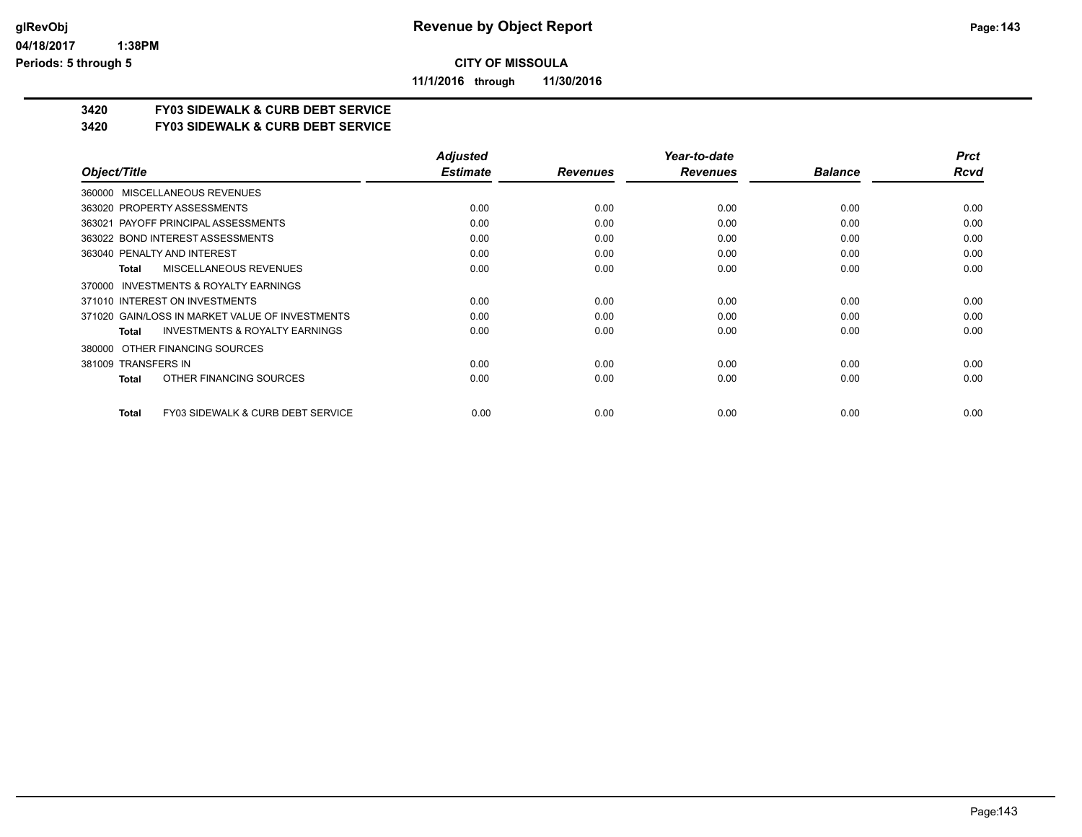**11/1/2016 through 11/30/2016**

### **3420 FY03 SIDEWALK & CURB DEBT SERVICE 3420 FY03 SIDEWALK & CURB DEBT SERVICE**

|                                                              | <b>Adjusted</b> |                 | Year-to-date    |                | <b>Prct</b> |
|--------------------------------------------------------------|-----------------|-----------------|-----------------|----------------|-------------|
| Object/Title                                                 | <b>Estimate</b> | <b>Revenues</b> | <b>Revenues</b> | <b>Balance</b> | <b>Rcvd</b> |
| 360000 MISCELLANEOUS REVENUES                                |                 |                 |                 |                |             |
| 363020 PROPERTY ASSESSMENTS                                  | 0.00            | 0.00            | 0.00            | 0.00           | 0.00        |
| 363021 PAYOFF PRINCIPAL ASSESSMENTS                          | 0.00            | 0.00            | 0.00            | 0.00           | 0.00        |
| 363022 BOND INTEREST ASSESSMENTS                             | 0.00            | 0.00            | 0.00            | 0.00           | 0.00        |
| 363040 PENALTY AND INTEREST                                  | 0.00            | 0.00            | 0.00            | 0.00           | 0.00        |
| MISCELLANEOUS REVENUES<br>Total                              | 0.00            | 0.00            | 0.00            | 0.00           | 0.00        |
| 370000 INVESTMENTS & ROYALTY EARNINGS                        |                 |                 |                 |                |             |
| 371010 INTEREST ON INVESTMENTS                               | 0.00            | 0.00            | 0.00            | 0.00           | 0.00        |
| 371020 GAIN/LOSS IN MARKET VALUE OF INVESTMENTS              | 0.00            | 0.00            | 0.00            | 0.00           | 0.00        |
| <b>INVESTMENTS &amp; ROYALTY EARNINGS</b><br>Total           | 0.00            | 0.00            | 0.00            | 0.00           | 0.00        |
| OTHER FINANCING SOURCES<br>380000                            |                 |                 |                 |                |             |
| 381009 TRANSFERS IN                                          | 0.00            | 0.00            | 0.00            | 0.00           | 0.00        |
| OTHER FINANCING SOURCES<br>Total                             | 0.00            | 0.00            | 0.00            | 0.00           | 0.00        |
| <b>FY03 SIDEWALK &amp; CURB DEBT SERVICE</b><br><b>Total</b> | 0.00            | 0.00            | 0.00            | 0.00           | 0.00        |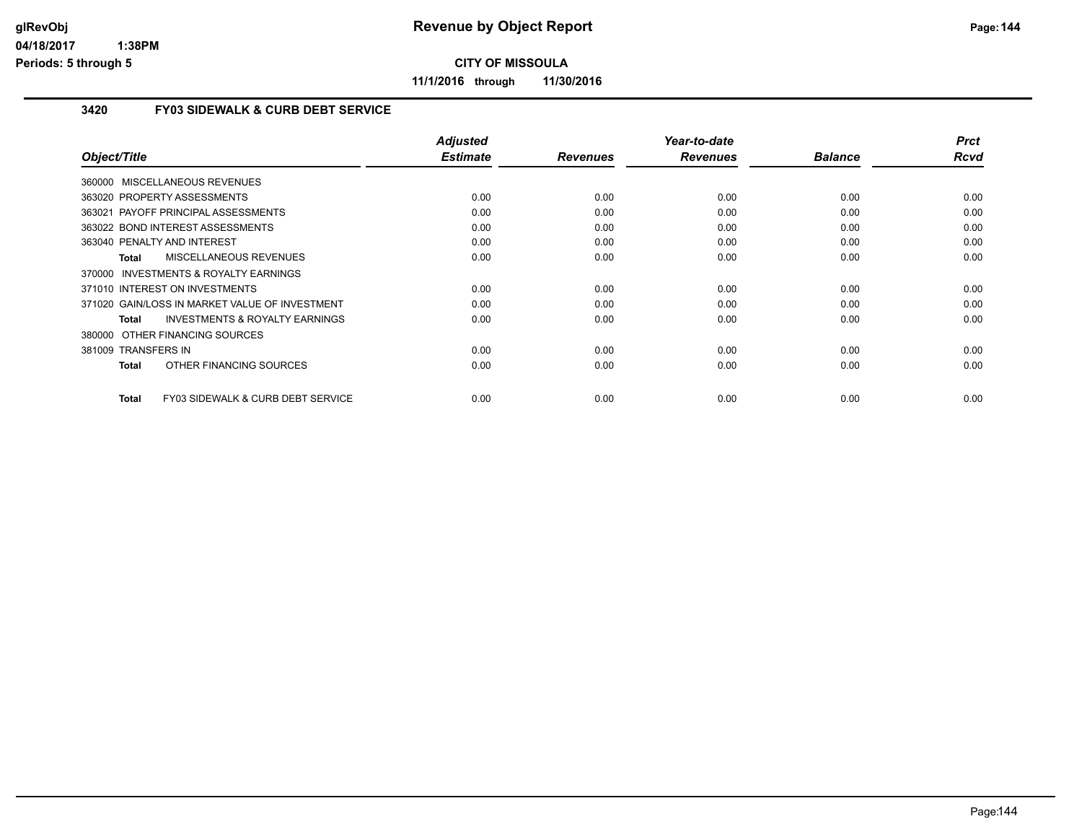**11/1/2016 through 11/30/2016**

#### **3420 FY03 SIDEWALK & CURB DEBT SERVICE**

| Object/Title                                              | <b>Adjusted</b><br><b>Estimate</b> | <b>Revenues</b> | Year-to-date<br><b>Revenues</b> | <b>Balance</b> | <b>Prct</b><br>Rcvd |
|-----------------------------------------------------------|------------------------------------|-----------------|---------------------------------|----------------|---------------------|
| 360000 MISCELLANEOUS REVENUES                             |                                    |                 |                                 |                |                     |
| 363020 PROPERTY ASSESSMENTS                               | 0.00                               | 0.00            | 0.00                            | 0.00           | 0.00                |
| 363021 PAYOFF PRINCIPAL ASSESSMENTS                       | 0.00                               | 0.00            | 0.00                            | 0.00           | 0.00                |
| 363022 BOND INTEREST ASSESSMENTS                          | 0.00                               | 0.00            | 0.00                            | 0.00           | 0.00                |
| 363040 PENALTY AND INTEREST                               | 0.00                               | 0.00            | 0.00                            | 0.00           | 0.00                |
| <b>MISCELLANEOUS REVENUES</b><br>Total                    | 0.00                               | 0.00            | 0.00                            | 0.00           | 0.00                |
| <b>INVESTMENTS &amp; ROYALTY EARNINGS</b><br>370000       |                                    |                 |                                 |                |                     |
| 371010 INTEREST ON INVESTMENTS                            | 0.00                               | 0.00            | 0.00                            | 0.00           | 0.00                |
| 371020 GAIN/LOSS IN MARKET VALUE OF INVESTMENT            | 0.00                               | 0.00            | 0.00                            | 0.00           | 0.00                |
| <b>INVESTMENTS &amp; ROYALTY EARNINGS</b><br><b>Total</b> | 0.00                               | 0.00            | 0.00                            | 0.00           | 0.00                |
| 380000 OTHER FINANCING SOURCES                            |                                    |                 |                                 |                |                     |
| 381009 TRANSFERS IN                                       | 0.00                               | 0.00            | 0.00                            | 0.00           | 0.00                |
| OTHER FINANCING SOURCES<br><b>Total</b>                   | 0.00                               | 0.00            | 0.00                            | 0.00           | 0.00                |
| FY03 SIDEWALK & CURB DEBT SERVICE<br><b>Total</b>         | 0.00                               | 0.00            | 0.00                            | 0.00           | 0.00                |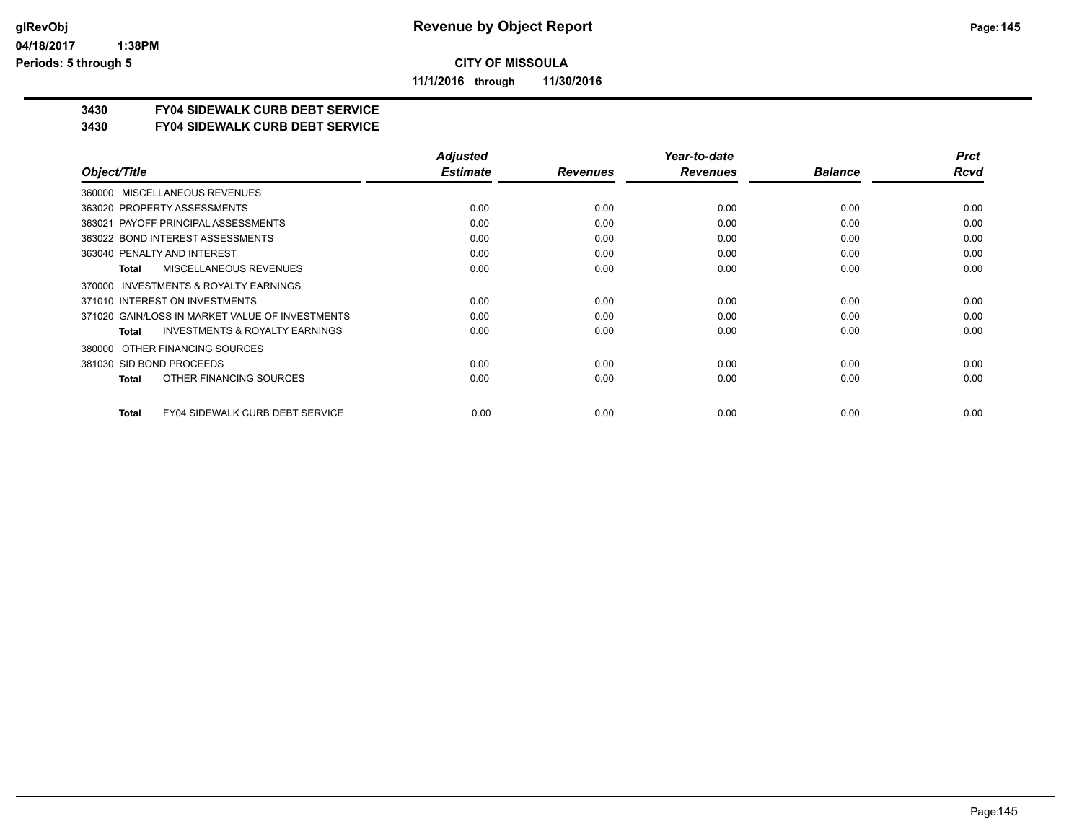**11/1/2016 through 11/30/2016**

### **3430 FY04 SIDEWALK CURB DEBT SERVICE 3430 FY04 SIDEWALK CURB DEBT SERVICE**

|                                                           | <b>Adjusted</b> |                 | Year-to-date    |                | <b>Prct</b> |
|-----------------------------------------------------------|-----------------|-----------------|-----------------|----------------|-------------|
| Object/Title                                              | <b>Estimate</b> | <b>Revenues</b> | <b>Revenues</b> | <b>Balance</b> | <b>Rcvd</b> |
| MISCELLANEOUS REVENUES<br>360000                          |                 |                 |                 |                |             |
| 363020 PROPERTY ASSESSMENTS                               | 0.00            | 0.00            | 0.00            | 0.00           | 0.00        |
| 363021 PAYOFF PRINCIPAL ASSESSMENTS                       | 0.00            | 0.00            | 0.00            | 0.00           | 0.00        |
| 363022 BOND INTEREST ASSESSMENTS                          | 0.00            | 0.00            | 0.00            | 0.00           | 0.00        |
| 363040 PENALTY AND INTEREST                               | 0.00            | 0.00            | 0.00            | 0.00           | 0.00        |
| <b>MISCELLANEOUS REVENUES</b><br><b>Total</b>             | 0.00            | 0.00            | 0.00            | 0.00           | 0.00        |
| <b>INVESTMENTS &amp; ROYALTY EARNINGS</b><br>370000       |                 |                 |                 |                |             |
| 371010 INTEREST ON INVESTMENTS                            | 0.00            | 0.00            | 0.00            | 0.00           | 0.00        |
| 371020 GAIN/LOSS IN MARKET VALUE OF INVESTMENTS           | 0.00            | 0.00            | 0.00            | 0.00           | 0.00        |
| <b>INVESTMENTS &amp; ROYALTY EARNINGS</b><br><b>Total</b> | 0.00            | 0.00            | 0.00            | 0.00           | 0.00        |
| OTHER FINANCING SOURCES<br>380000                         |                 |                 |                 |                |             |
| 381030 SID BOND PROCEEDS                                  | 0.00            | 0.00            | 0.00            | 0.00           | 0.00        |
| OTHER FINANCING SOURCES<br><b>Total</b>                   | 0.00            | 0.00            | 0.00            | 0.00           | 0.00        |
|                                                           |                 |                 |                 |                |             |
| <b>FY04 SIDEWALK CURB DEBT SERVICE</b><br><b>Total</b>    | 0.00            | 0.00            | 0.00            | 0.00           | 0.00        |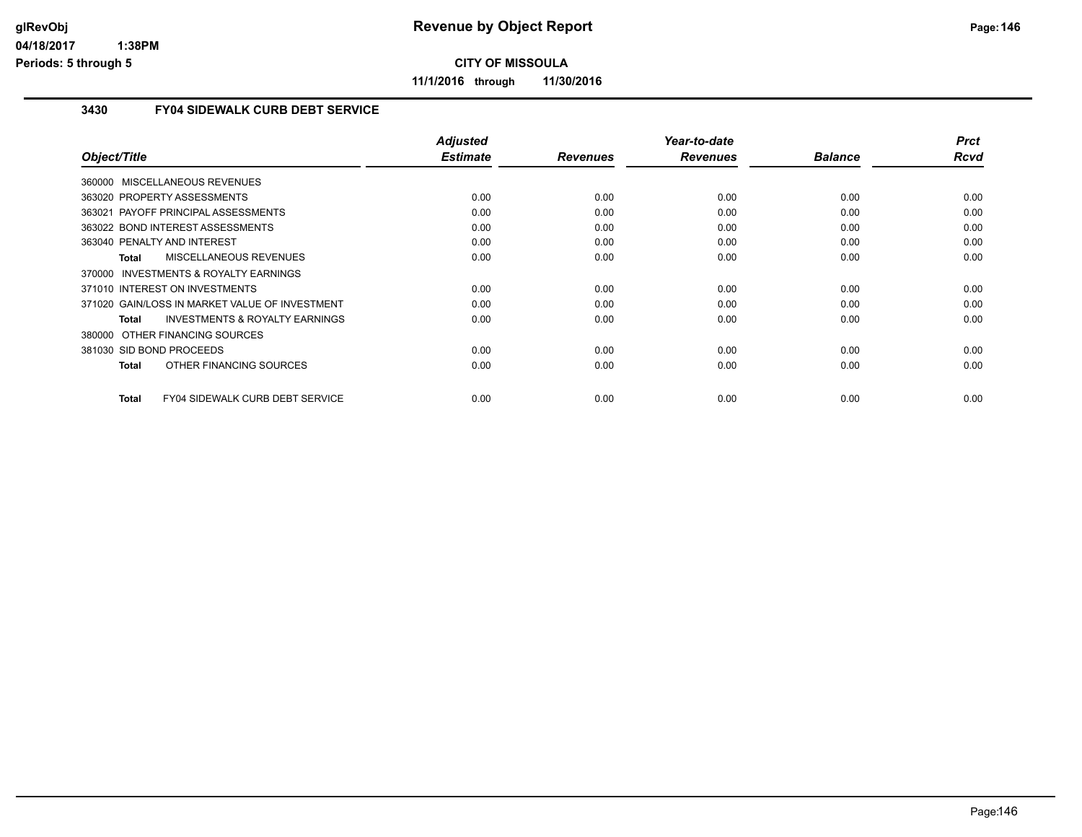**11/1/2016 through 11/30/2016**

### **3430 FY04 SIDEWALK CURB DEBT SERVICE**

| Object/Title                                              | <b>Adjusted</b><br><b>Estimate</b> | <b>Revenues</b> | Year-to-date<br><b>Revenues</b> | <b>Balance</b> | <b>Prct</b><br>Rcvd |
|-----------------------------------------------------------|------------------------------------|-----------------|---------------------------------|----------------|---------------------|
|                                                           |                                    |                 |                                 |                |                     |
| 360000 MISCELLANEOUS REVENUES                             |                                    |                 |                                 |                |                     |
| 363020 PROPERTY ASSESSMENTS                               | 0.00                               | 0.00            | 0.00                            | 0.00           | 0.00                |
| 363021 PAYOFF PRINCIPAL ASSESSMENTS                       | 0.00                               | 0.00            | 0.00                            | 0.00           | 0.00                |
| 363022 BOND INTEREST ASSESSMENTS                          | 0.00                               | 0.00            | 0.00                            | 0.00           | 0.00                |
| 363040 PENALTY AND INTEREST                               | 0.00                               | 0.00            | 0.00                            | 0.00           | 0.00                |
| <b>MISCELLANEOUS REVENUES</b><br>Total                    | 0.00                               | 0.00            | 0.00                            | 0.00           | 0.00                |
| <b>INVESTMENTS &amp; ROYALTY EARNINGS</b><br>370000       |                                    |                 |                                 |                |                     |
| 371010 INTEREST ON INVESTMENTS                            | 0.00                               | 0.00            | 0.00                            | 0.00           | 0.00                |
| 371020 GAIN/LOSS IN MARKET VALUE OF INVESTMENT            | 0.00                               | 0.00            | 0.00                            | 0.00           | 0.00                |
| <b>INVESTMENTS &amp; ROYALTY EARNINGS</b><br><b>Total</b> | 0.00                               | 0.00            | 0.00                            | 0.00           | 0.00                |
| 380000 OTHER FINANCING SOURCES                            |                                    |                 |                                 |                |                     |
| 381030 SID BOND PROCEEDS                                  | 0.00                               | 0.00            | 0.00                            | 0.00           | 0.00                |
| OTHER FINANCING SOURCES<br><b>Total</b>                   | 0.00                               | 0.00            | 0.00                            | 0.00           | 0.00                |
| FY04 SIDEWALK CURB DEBT SERVICE<br><b>Total</b>           | 0.00                               | 0.00            | 0.00                            | 0.00           | 0.00                |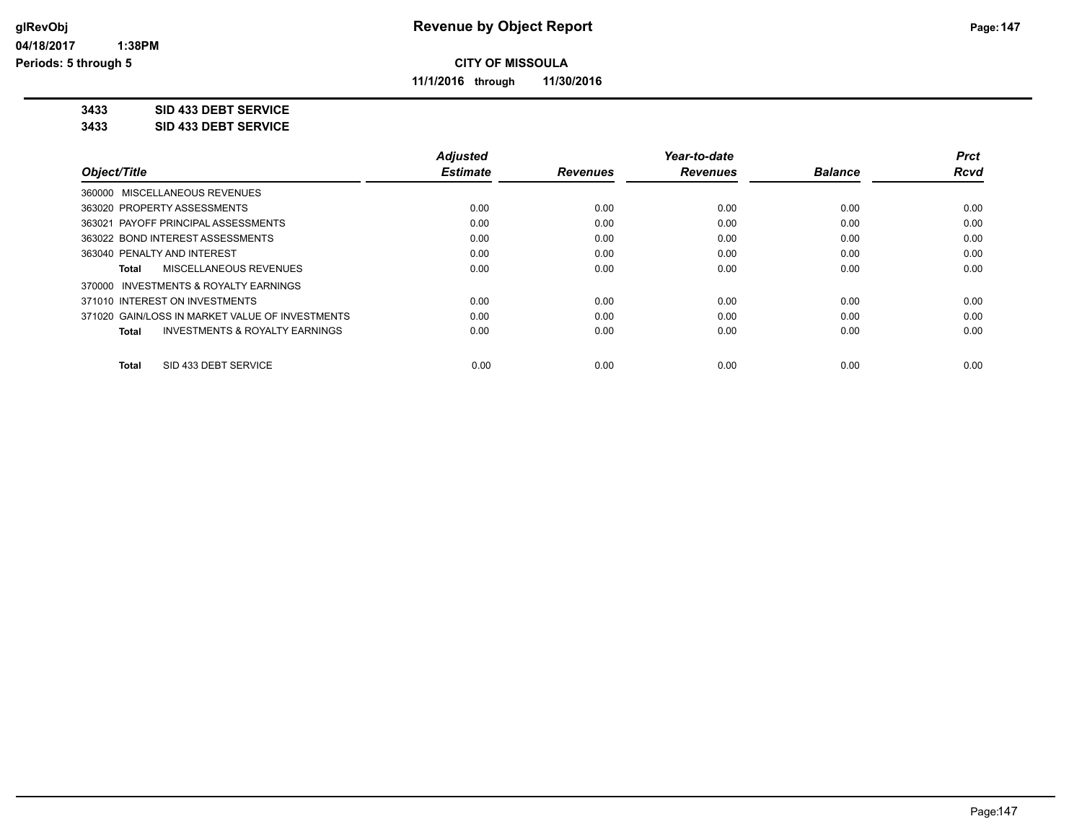**11/1/2016 through 11/30/2016**

**3433 SID 433 DEBT SERVICE**

| 3433 | <b>SID 433 DEBT SERVICE</b> |
|------|-----------------------------|
|      |                             |

|                                                 | <b>Adjusted</b> |                 | Year-to-date    |                | <b>Prct</b> |
|-------------------------------------------------|-----------------|-----------------|-----------------|----------------|-------------|
| Object/Title                                    | <b>Estimate</b> | <b>Revenues</b> | <b>Revenues</b> | <b>Balance</b> | Rcvd        |
| 360000 MISCELLANEOUS REVENUES                   |                 |                 |                 |                |             |
| 363020 PROPERTY ASSESSMENTS                     | 0.00            | 0.00            | 0.00            | 0.00           | 0.00        |
| 363021 PAYOFF PRINCIPAL ASSESSMENTS             | 0.00            | 0.00            | 0.00            | 0.00           | 0.00        |
| 363022 BOND INTEREST ASSESSMENTS                | 0.00            | 0.00            | 0.00            | 0.00           | 0.00        |
| 363040 PENALTY AND INTEREST                     | 0.00            | 0.00            | 0.00            | 0.00           | 0.00        |
| MISCELLANEOUS REVENUES<br>Total                 | 0.00            | 0.00            | 0.00            | 0.00           | 0.00        |
| 370000 INVESTMENTS & ROYALTY EARNINGS           |                 |                 |                 |                |             |
| 371010 INTEREST ON INVESTMENTS                  | 0.00            | 0.00            | 0.00            | 0.00           | 0.00        |
| 371020 GAIN/LOSS IN MARKET VALUE OF INVESTMENTS | 0.00            | 0.00            | 0.00            | 0.00           | 0.00        |
| INVESTMENTS & ROYALTY EARNINGS<br>Total         | 0.00            | 0.00            | 0.00            | 0.00           | 0.00        |
| SID 433 DEBT SERVICE<br><b>Total</b>            | 0.00            | 0.00            | 0.00            | 0.00           | 0.00        |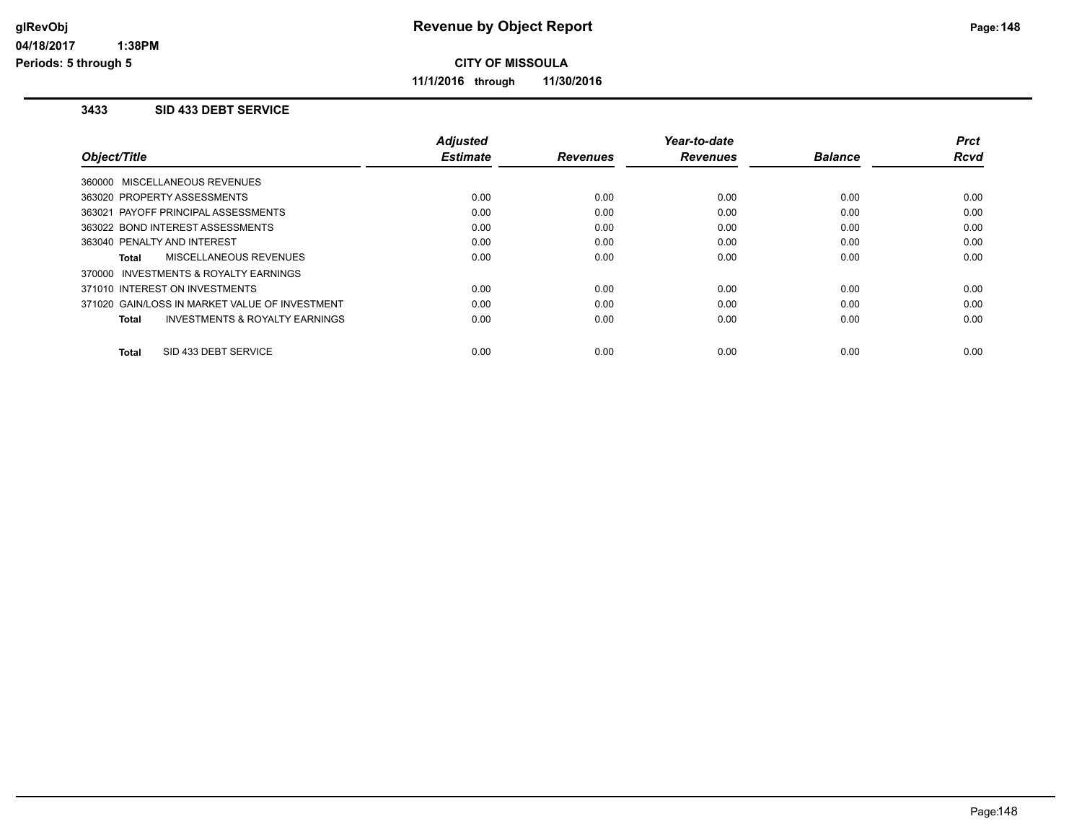**11/1/2016 through 11/30/2016**

### **3433 SID 433 DEBT SERVICE**

|                                                | <b>Adjusted</b> |                 | Year-to-date    |                | <b>Prct</b> |
|------------------------------------------------|-----------------|-----------------|-----------------|----------------|-------------|
| Object/Title                                   | <b>Estimate</b> | <b>Revenues</b> | <b>Revenues</b> | <b>Balance</b> | Rcvd        |
| 360000 MISCELLANEOUS REVENUES                  |                 |                 |                 |                |             |
| 363020 PROPERTY ASSESSMENTS                    | 0.00            | 0.00            | 0.00            | 0.00           | 0.00        |
| 363021 PAYOFF PRINCIPAL ASSESSMENTS            | 0.00            | 0.00            | 0.00            | 0.00           | 0.00        |
| 363022 BOND INTEREST ASSESSMENTS               | 0.00            | 0.00            | 0.00            | 0.00           | 0.00        |
| 363040 PENALTY AND INTEREST                    | 0.00            | 0.00            | 0.00            | 0.00           | 0.00        |
| MISCELLANEOUS REVENUES<br>Total                | 0.00            | 0.00            | 0.00            | 0.00           | 0.00        |
| 370000 INVESTMENTS & ROYALTY EARNINGS          |                 |                 |                 |                |             |
| 371010 INTEREST ON INVESTMENTS                 | 0.00            | 0.00            | 0.00            | 0.00           | 0.00        |
| 371020 GAIN/LOSS IN MARKET VALUE OF INVESTMENT | 0.00            | 0.00            | 0.00            | 0.00           | 0.00        |
| INVESTMENTS & ROYALTY EARNINGS<br>Total        | 0.00            | 0.00            | 0.00            | 0.00           | 0.00        |
|                                                |                 |                 |                 |                |             |
| SID 433 DEBT SERVICE<br><b>Total</b>           | 0.00            | 0.00            | 0.00            | 0.00           | 0.00        |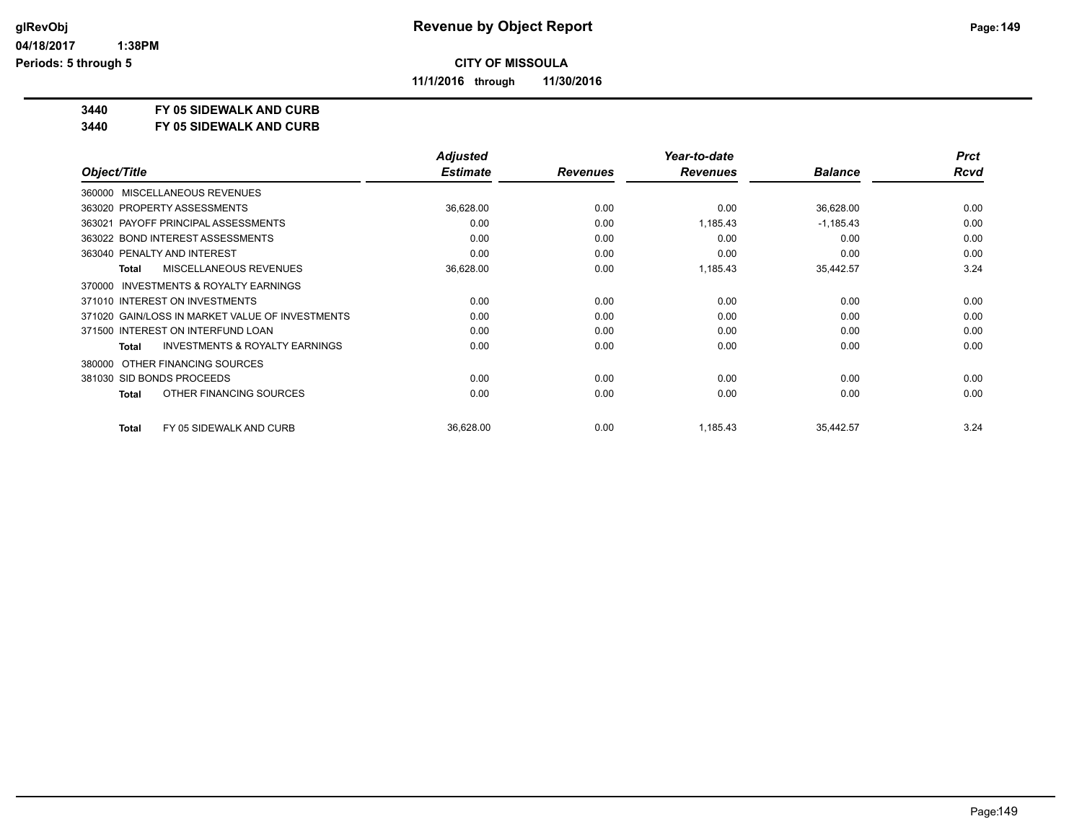**11/1/2016 through 11/30/2016**

**3440 FY 05 SIDEWALK AND CURB**

**3440 FY 05 SIDEWALK AND CURB**

|                                                           | <b>Adjusted</b> |                 | Year-to-date    |                | <b>Prct</b> |
|-----------------------------------------------------------|-----------------|-----------------|-----------------|----------------|-------------|
| Object/Title                                              | <b>Estimate</b> | <b>Revenues</b> | <b>Revenues</b> | <b>Balance</b> | <b>Rcvd</b> |
| 360000 MISCELLANEOUS REVENUES                             |                 |                 |                 |                |             |
| 363020 PROPERTY ASSESSMENTS                               | 36,628.00       | 0.00            | 0.00            | 36,628.00      | 0.00        |
| 363021 PAYOFF PRINCIPAL ASSESSMENTS                       | 0.00            | 0.00            | 1,185.43        | $-1,185.43$    | 0.00        |
| 363022 BOND INTEREST ASSESSMENTS                          | 0.00            | 0.00            | 0.00            | 0.00           | 0.00        |
| 363040 PENALTY AND INTEREST                               | 0.00            | 0.00            | 0.00            | 0.00           | 0.00        |
| MISCELLANEOUS REVENUES<br><b>Total</b>                    | 36,628.00       | 0.00            | 1,185.43        | 35,442.57      | 3.24        |
| <b>INVESTMENTS &amp; ROYALTY EARNINGS</b><br>370000       |                 |                 |                 |                |             |
| 371010 INTEREST ON INVESTMENTS                            | 0.00            | 0.00            | 0.00            | 0.00           | 0.00        |
| 371020 GAIN/LOSS IN MARKET VALUE OF INVESTMENTS           | 0.00            | 0.00            | 0.00            | 0.00           | 0.00        |
| 371500 INTEREST ON INTERFUND LOAN                         | 0.00            | 0.00            | 0.00            | 0.00           | 0.00        |
| <b>INVESTMENTS &amp; ROYALTY EARNINGS</b><br><b>Total</b> | 0.00            | 0.00            | 0.00            | 0.00           | 0.00        |
| OTHER FINANCING SOURCES<br>380000                         |                 |                 |                 |                |             |
| 381030 SID BONDS PROCEEDS                                 | 0.00            | 0.00            | 0.00            | 0.00           | 0.00        |
| OTHER FINANCING SOURCES<br><b>Total</b>                   | 0.00            | 0.00            | 0.00            | 0.00           | 0.00        |
| FY 05 SIDEWALK AND CURB<br><b>Total</b>                   | 36,628.00       | 0.00            | 1,185.43        | 35,442.57      | 3.24        |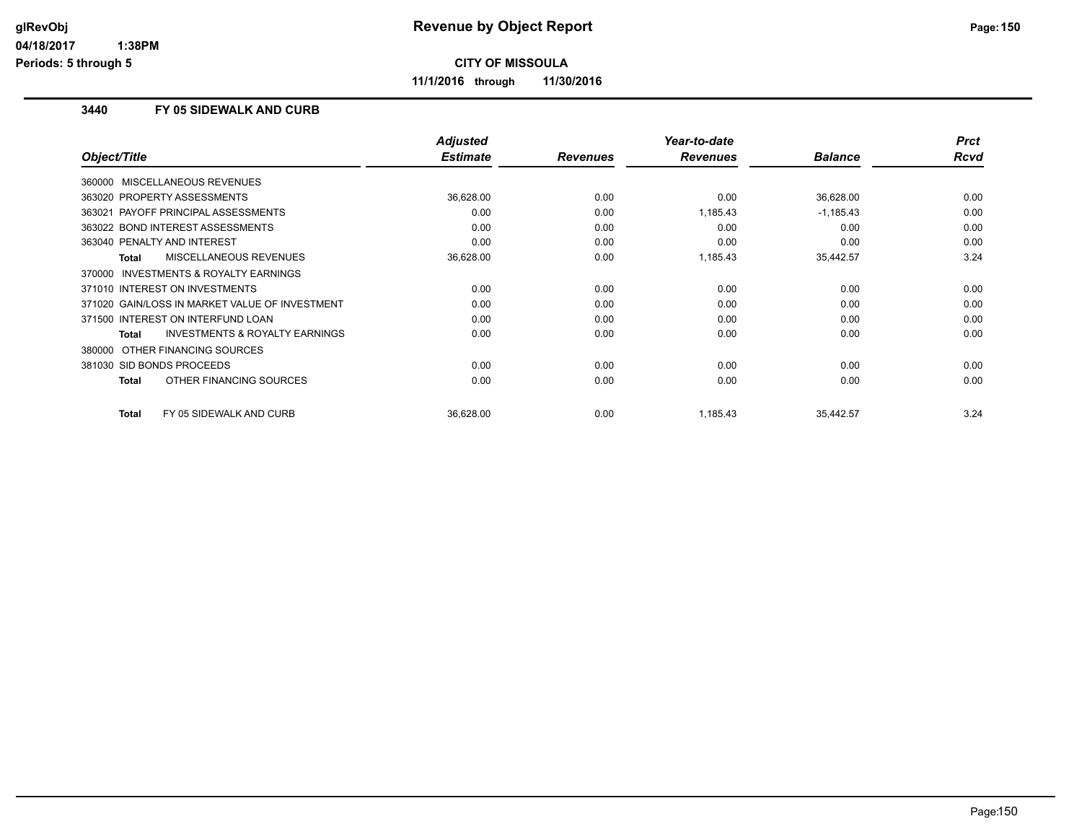**11/1/2016 through 11/30/2016**

### **3440 FY 05 SIDEWALK AND CURB**

|                                                     | <b>Adjusted</b> |                 | Year-to-date    |                | <b>Prct</b> |
|-----------------------------------------------------|-----------------|-----------------|-----------------|----------------|-------------|
| Object/Title                                        | <b>Estimate</b> | <b>Revenues</b> | <b>Revenues</b> | <b>Balance</b> | <b>Rcvd</b> |
| 360000 MISCELLANEOUS REVENUES                       |                 |                 |                 |                |             |
| 363020 PROPERTY ASSESSMENTS                         | 36,628.00       | 0.00            | 0.00            | 36,628.00      | 0.00        |
| 363021 PAYOFF PRINCIPAL ASSESSMENTS                 | 0.00            | 0.00            | 1,185.43        | $-1,185.43$    | 0.00        |
| 363022 BOND INTEREST ASSESSMENTS                    | 0.00            | 0.00            | 0.00            | 0.00           | 0.00        |
| 363040 PENALTY AND INTEREST                         | 0.00            | 0.00            | 0.00            | 0.00           | 0.00        |
| MISCELLANEOUS REVENUES<br>Total                     | 36,628.00       | 0.00            | 1,185.43        | 35,442.57      | 3.24        |
| <b>INVESTMENTS &amp; ROYALTY EARNINGS</b><br>370000 |                 |                 |                 |                |             |
| 371010 INTEREST ON INVESTMENTS                      | 0.00            | 0.00            | 0.00            | 0.00           | 0.00        |
| 371020 GAIN/LOSS IN MARKET VALUE OF INVESTMENT      | 0.00            | 0.00            | 0.00            | 0.00           | 0.00        |
| 371500 INTEREST ON INTERFUND LOAN                   | 0.00            | 0.00            | 0.00            | 0.00           | 0.00        |
| <b>INVESTMENTS &amp; ROYALTY EARNINGS</b><br>Total  | 0.00            | 0.00            | 0.00            | 0.00           | 0.00        |
| OTHER FINANCING SOURCES<br>380000                   |                 |                 |                 |                |             |
| 381030 SID BONDS PROCEEDS                           | 0.00            | 0.00            | 0.00            | 0.00           | 0.00        |
| OTHER FINANCING SOURCES<br>Total                    | 0.00            | 0.00            | 0.00            | 0.00           | 0.00        |
| FY 05 SIDEWALK AND CURB<br><b>Total</b>             | 36,628.00       | 0.00            | 1,185.43        | 35,442.57      | 3.24        |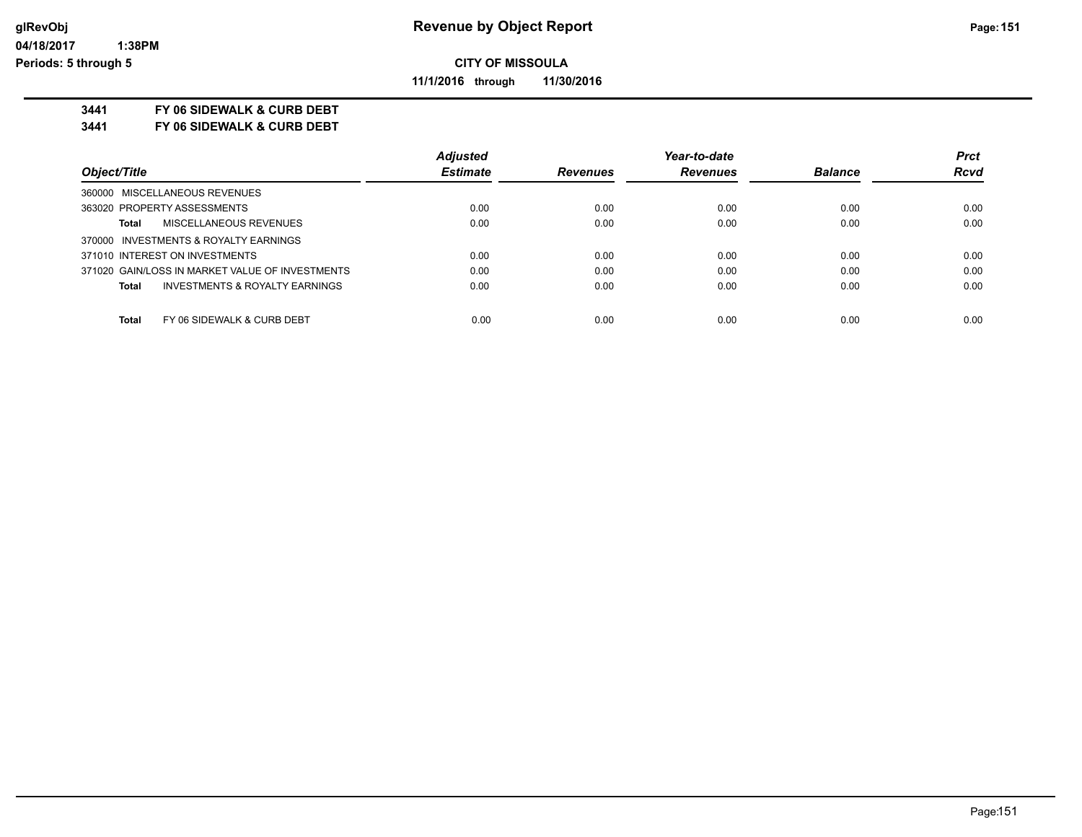**11/1/2016 through 11/30/2016**

**3441 FY 06 SIDEWALK & CURB DEBT**

**3441 FY 06 SIDEWALK & CURB DEBT**

|                                                 | <b>Adjusted</b> |                 | Year-to-date    |                | <b>Prct</b> |
|-------------------------------------------------|-----------------|-----------------|-----------------|----------------|-------------|
| Object/Title                                    | <b>Estimate</b> | <b>Revenues</b> | <b>Revenues</b> | <b>Balance</b> | <b>Rcvd</b> |
| 360000 MISCELLANEOUS REVENUES                   |                 |                 |                 |                |             |
| 363020 PROPERTY ASSESSMENTS                     | 0.00            | 0.00            | 0.00            | 0.00           | 0.00        |
| MISCELLANEOUS REVENUES<br>Total                 | 0.00            | 0.00            | 0.00            | 0.00           | 0.00        |
| 370000 INVESTMENTS & ROYALTY EARNINGS           |                 |                 |                 |                |             |
| 371010 INTEREST ON INVESTMENTS                  | 0.00            | 0.00            | 0.00            | 0.00           | 0.00        |
| 371020 GAIN/LOSS IN MARKET VALUE OF INVESTMENTS | 0.00            | 0.00            | 0.00            | 0.00           | 0.00        |
| INVESTMENTS & ROYALTY EARNINGS<br>Total         | 0.00            | 0.00            | 0.00            | 0.00           | 0.00        |
|                                                 |                 |                 |                 |                |             |
| <b>Total</b><br>FY 06 SIDEWALK & CURB DEBT      | 0.00            | 0.00            | 0.00            | 0.00           | 0.00        |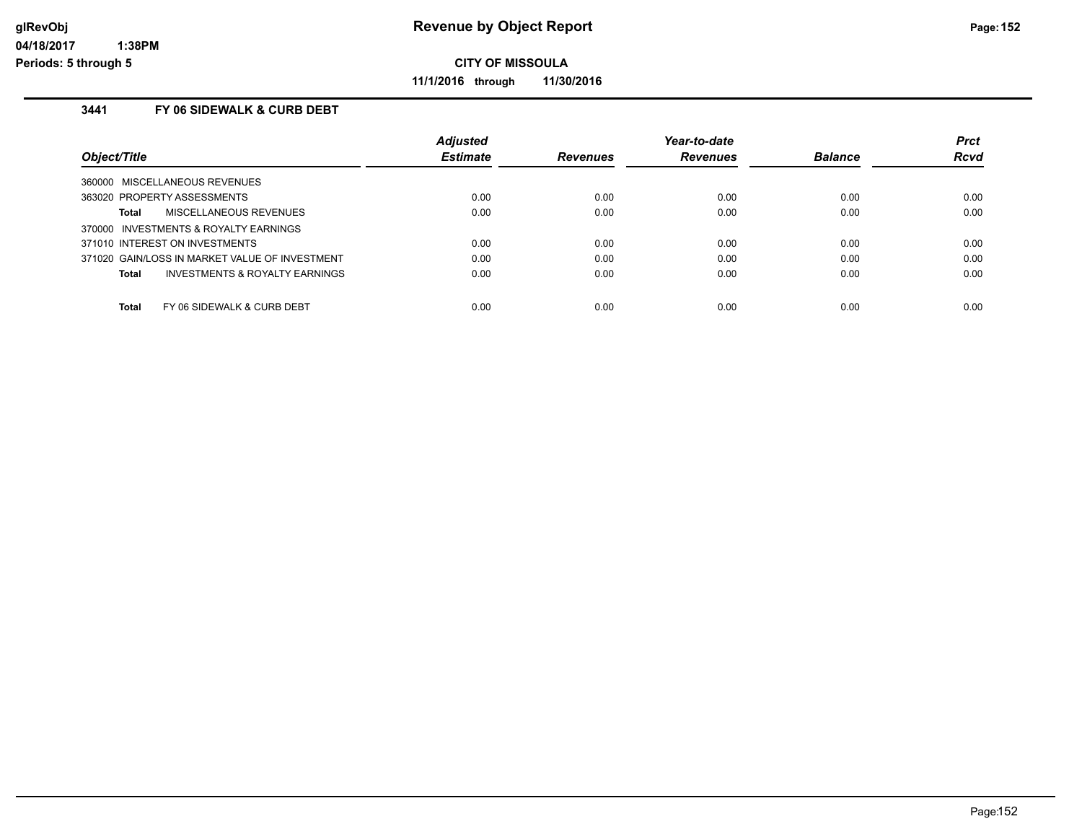**11/1/2016 through 11/30/2016**

### **3441 FY 06 SIDEWALK & CURB DEBT**

| Object/Title                                   | <b>Adjusted</b><br><b>Estimate</b> | <b>Revenues</b> | Year-to-date<br><b>Revenues</b> | <b>Balance</b> | <b>Prct</b><br><b>Rcvd</b> |
|------------------------------------------------|------------------------------------|-----------------|---------------------------------|----------------|----------------------------|
|                                                |                                    |                 |                                 |                |                            |
| 360000 MISCELLANEOUS REVENUES                  |                                    |                 |                                 |                |                            |
| 363020 PROPERTY ASSESSMENTS                    | 0.00                               | 0.00            | 0.00                            | 0.00           | 0.00                       |
| MISCELLANEOUS REVENUES<br>Total                | 0.00                               | 0.00            | 0.00                            | 0.00           | 0.00                       |
| 370000 INVESTMENTS & ROYALTY EARNINGS          |                                    |                 |                                 |                |                            |
| 371010 INTEREST ON INVESTMENTS                 | 0.00                               | 0.00            | 0.00                            | 0.00           | 0.00                       |
| 371020 GAIN/LOSS IN MARKET VALUE OF INVESTMENT | 0.00                               | 0.00            | 0.00                            | 0.00           | 0.00                       |
| INVESTMENTS & ROYALTY EARNINGS<br>Total        | 0.00                               | 0.00            | 0.00                            | 0.00           | 0.00                       |
|                                                |                                    |                 |                                 |                |                            |
| Total<br>FY 06 SIDEWALK & CURB DEBT            | 0.00                               | 0.00            | 0.00                            | 0.00           | 0.00                       |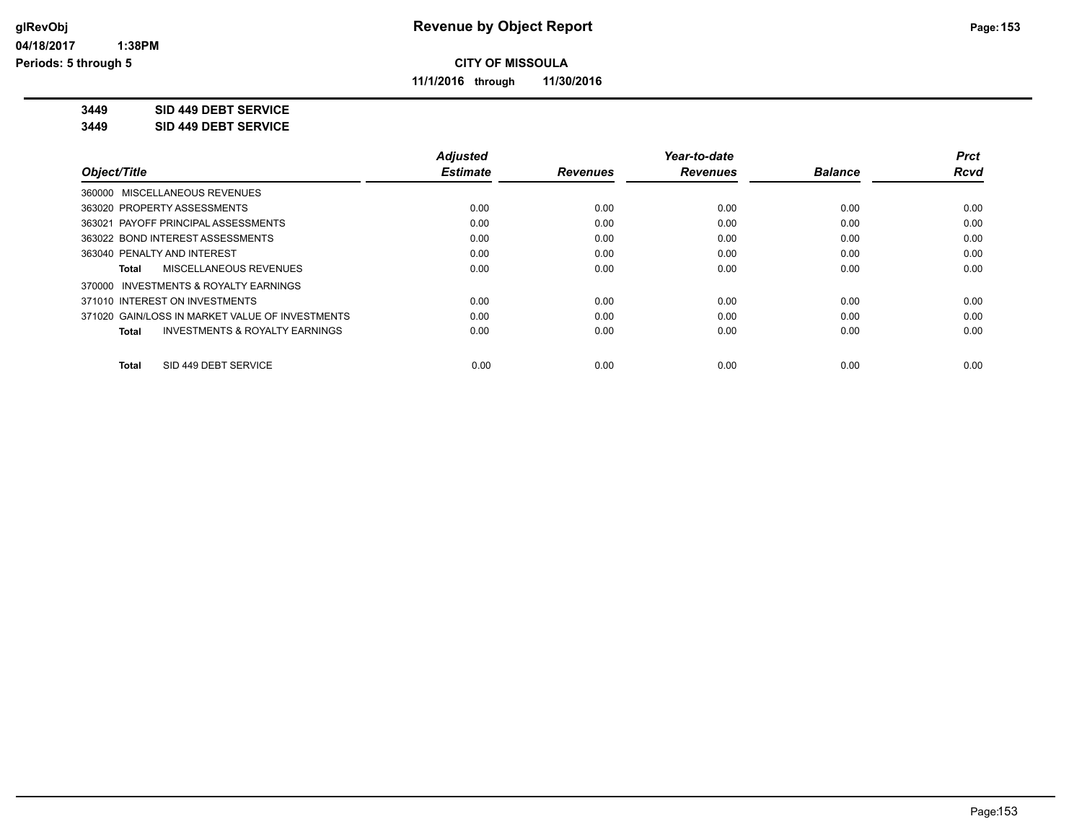**11/1/2016 through 11/30/2016**

**3449 SID 449 DEBT SERVICE**

| 3449 | <b>SID 449 DEBT SERVICE</b> |
|------|-----------------------------|
|------|-----------------------------|

|                                                    | <b>Adjusted</b> |                 | Year-to-date    |                | <b>Prct</b> |
|----------------------------------------------------|-----------------|-----------------|-----------------|----------------|-------------|
| Object/Title                                       | <b>Estimate</b> | <b>Revenues</b> | <b>Revenues</b> | <b>Balance</b> | Rcvd        |
| 360000 MISCELLANEOUS REVENUES                      |                 |                 |                 |                |             |
| 363020 PROPERTY ASSESSMENTS                        | 0.00            | 0.00            | 0.00            | 0.00           | 0.00        |
| 363021 PAYOFF PRINCIPAL ASSESSMENTS                | 0.00            | 0.00            | 0.00            | 0.00           | 0.00        |
| 363022 BOND INTEREST ASSESSMENTS                   | 0.00            | 0.00            | 0.00            | 0.00           | 0.00        |
| 363040 PENALTY AND INTEREST                        | 0.00            | 0.00            | 0.00            | 0.00           | 0.00        |
| MISCELLANEOUS REVENUES<br>Total                    | 0.00            | 0.00            | 0.00            | 0.00           | 0.00        |
| 370000 INVESTMENTS & ROYALTY EARNINGS              |                 |                 |                 |                |             |
| 371010 INTEREST ON INVESTMENTS                     | 0.00            | 0.00            | 0.00            | 0.00           | 0.00        |
| 371020 GAIN/LOSS IN MARKET VALUE OF INVESTMENTS    | 0.00            | 0.00            | 0.00            | 0.00           | 0.00        |
| <b>INVESTMENTS &amp; ROYALTY EARNINGS</b><br>Total | 0.00            | 0.00            | 0.00            | 0.00           | 0.00        |
| SID 449 DEBT SERVICE<br><b>Total</b>               | 0.00            | 0.00            | 0.00            | 0.00           | 0.00        |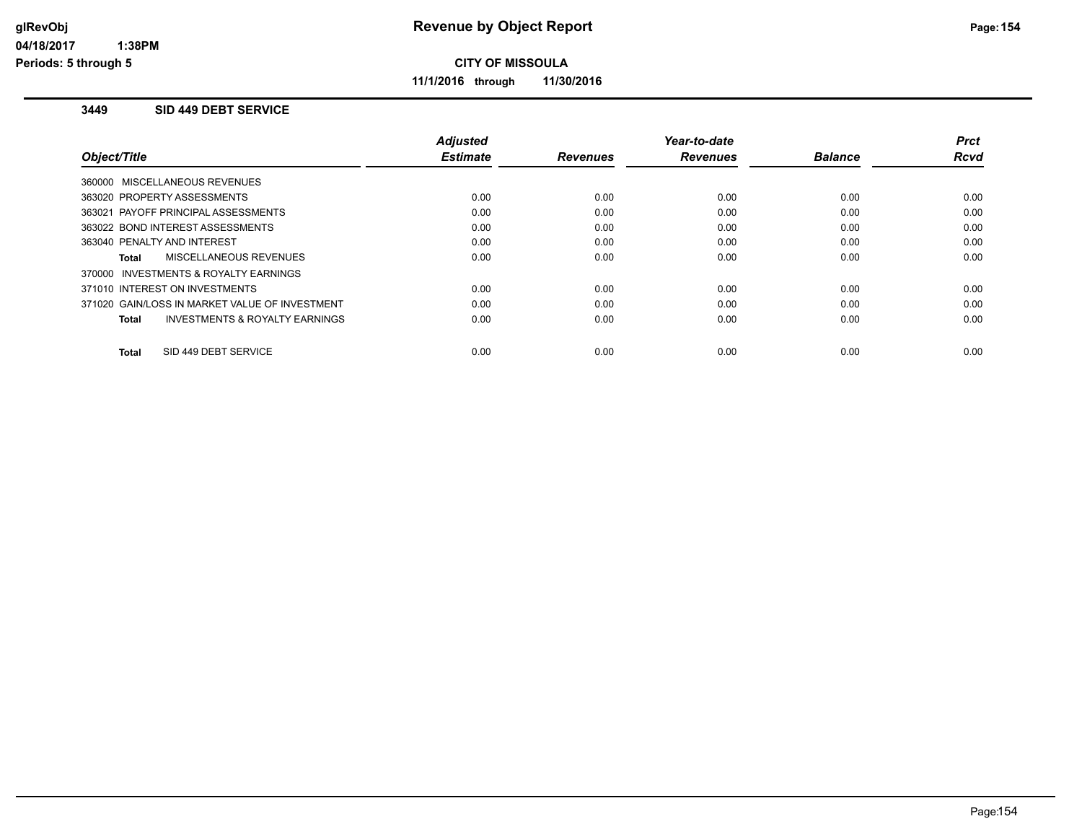**11/1/2016 through 11/30/2016**

### **3449 SID 449 DEBT SERVICE**

| Object/Title                                   | <b>Adiusted</b><br><b>Estimate</b> | <b>Revenues</b> | Year-to-date<br><b>Revenues</b> | <b>Balance</b> | <b>Prct</b><br><b>Rcvd</b> |
|------------------------------------------------|------------------------------------|-----------------|---------------------------------|----------------|----------------------------|
| 360000 MISCELLANEOUS REVENUES                  |                                    |                 |                                 |                |                            |
| 363020 PROPERTY ASSESSMENTS                    | 0.00                               | 0.00            | 0.00                            | 0.00           | 0.00                       |
| 363021 PAYOFF PRINCIPAL ASSESSMENTS            | 0.00                               | 0.00            | 0.00                            | 0.00           | 0.00                       |
| 363022 BOND INTEREST ASSESSMENTS               | 0.00                               | 0.00            | 0.00                            | 0.00           | 0.00                       |
| 363040 PENALTY AND INTEREST                    | 0.00                               | 0.00            | 0.00                            | 0.00           | 0.00                       |
| MISCELLANEOUS REVENUES<br>Total                | 0.00                               | 0.00            | 0.00                            | 0.00           | 0.00                       |
| 370000 INVESTMENTS & ROYALTY EARNINGS          |                                    |                 |                                 |                |                            |
| 371010 INTEREST ON INVESTMENTS                 | 0.00                               | 0.00            | 0.00                            | 0.00           | 0.00                       |
| 371020 GAIN/LOSS IN MARKET VALUE OF INVESTMENT | 0.00                               | 0.00            | 0.00                            | 0.00           | 0.00                       |
| INVESTMENTS & ROYALTY EARNINGS<br>Total        | 0.00                               | 0.00            | 0.00                            | 0.00           | 0.00                       |
| SID 449 DEBT SERVICE<br><b>Total</b>           | 0.00                               | 0.00            | 0.00                            | 0.00           | 0.00                       |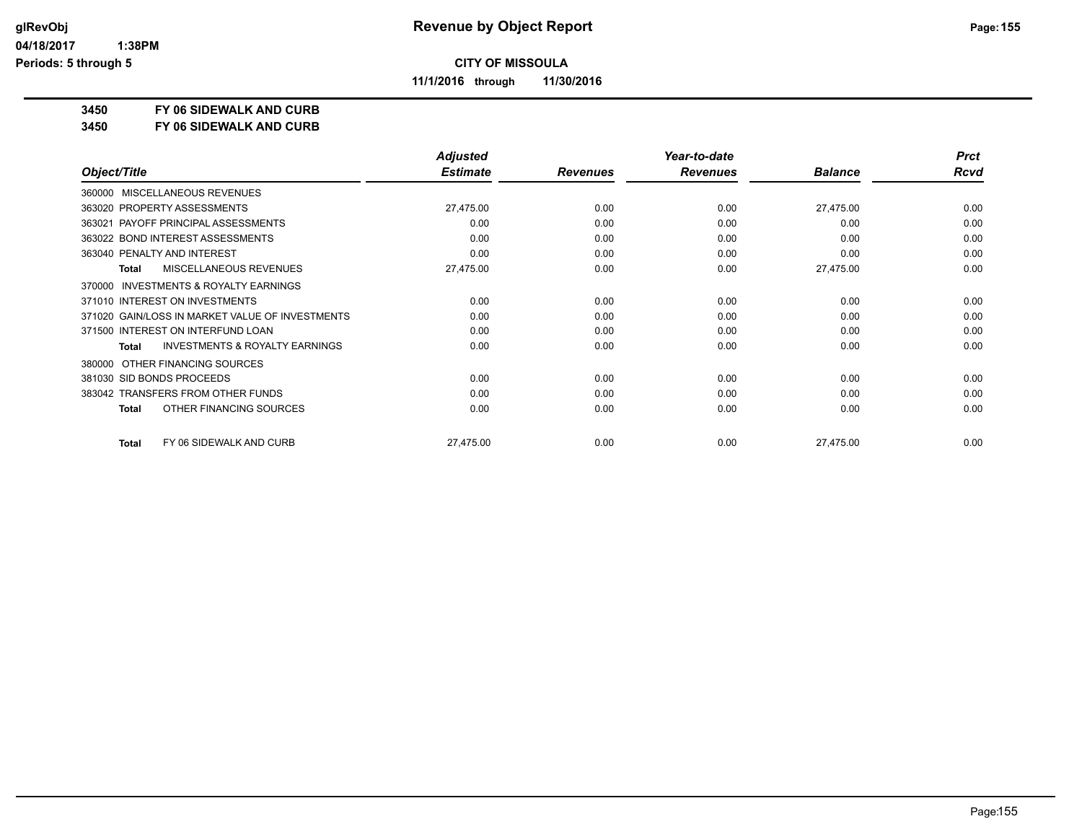**11/1/2016 through 11/30/2016**

**3450 FY 06 SIDEWALK AND CURB**

**3450 FY 06 SIDEWALK AND CURB**

|                                                           | <b>Adjusted</b> |                 | Year-to-date    |                | <b>Prct</b> |
|-----------------------------------------------------------|-----------------|-----------------|-----------------|----------------|-------------|
| Object/Title                                              | <b>Estimate</b> | <b>Revenues</b> | <b>Revenues</b> | <b>Balance</b> | Rcvd        |
| 360000 MISCELLANEOUS REVENUES                             |                 |                 |                 |                |             |
| 363020 PROPERTY ASSESSMENTS                               | 27,475.00       | 0.00            | 0.00            | 27,475.00      | 0.00        |
| 363021 PAYOFF PRINCIPAL ASSESSMENTS                       | 0.00            | 0.00            | 0.00            | 0.00           | 0.00        |
| 363022 BOND INTEREST ASSESSMENTS                          | 0.00            | 0.00            | 0.00            | 0.00           | 0.00        |
| 363040 PENALTY AND INTEREST                               | 0.00            | 0.00            | 0.00            | 0.00           | 0.00        |
| MISCELLANEOUS REVENUES<br>Total                           | 27,475.00       | 0.00            | 0.00            | 27,475.00      | 0.00        |
| <b>INVESTMENTS &amp; ROYALTY EARNINGS</b><br>370000       |                 |                 |                 |                |             |
| 371010 INTEREST ON INVESTMENTS                            | 0.00            | 0.00            | 0.00            | 0.00           | 0.00        |
| 371020 GAIN/LOSS IN MARKET VALUE OF INVESTMENTS           | 0.00            | 0.00            | 0.00            | 0.00           | 0.00        |
| 371500 INTEREST ON INTERFUND LOAN                         | 0.00            | 0.00            | 0.00            | 0.00           | 0.00        |
| <b>INVESTMENTS &amp; ROYALTY EARNINGS</b><br><b>Total</b> | 0.00            | 0.00            | 0.00            | 0.00           | 0.00        |
| OTHER FINANCING SOURCES<br>380000                         |                 |                 |                 |                |             |
| 381030 SID BONDS PROCEEDS                                 | 0.00            | 0.00            | 0.00            | 0.00           | 0.00        |
| 383042 TRANSFERS FROM OTHER FUNDS                         | 0.00            | 0.00            | 0.00            | 0.00           | 0.00        |
| OTHER FINANCING SOURCES<br><b>Total</b>                   | 0.00            | 0.00            | 0.00            | 0.00           | 0.00        |
| FY 06 SIDEWALK AND CURB<br><b>Total</b>                   | 27,475.00       | 0.00            | 0.00            | 27,475.00      | 0.00        |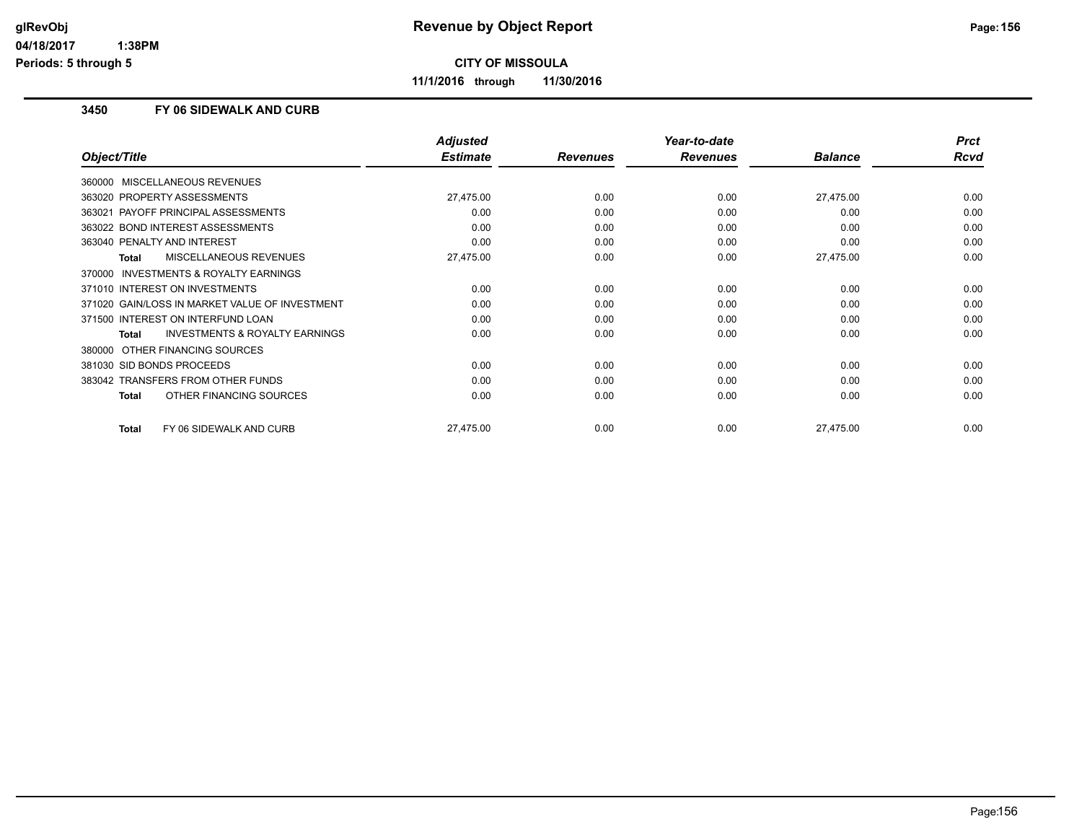**11/1/2016 through 11/30/2016**

### **3450 FY 06 SIDEWALK AND CURB**

|                                                     | <b>Adjusted</b> |                 | Year-to-date    |                | <b>Prct</b> |
|-----------------------------------------------------|-----------------|-----------------|-----------------|----------------|-------------|
| Object/Title                                        | <b>Estimate</b> | <b>Revenues</b> | <b>Revenues</b> | <b>Balance</b> | <b>Rcvd</b> |
| 360000 MISCELLANEOUS REVENUES                       |                 |                 |                 |                |             |
| 363020 PROPERTY ASSESSMENTS                         | 27,475.00       | 0.00            | 0.00            | 27,475.00      | 0.00        |
| 363021 PAYOFF PRINCIPAL ASSESSMENTS                 | 0.00            | 0.00            | 0.00            | 0.00           | 0.00        |
| 363022 BOND INTEREST ASSESSMENTS                    | 0.00            | 0.00            | 0.00            | 0.00           | 0.00        |
| 363040 PENALTY AND INTEREST                         | 0.00            | 0.00            | 0.00            | 0.00           | 0.00        |
| MISCELLANEOUS REVENUES<br><b>Total</b>              | 27,475.00       | 0.00            | 0.00            | 27,475.00      | 0.00        |
| <b>INVESTMENTS &amp; ROYALTY EARNINGS</b><br>370000 |                 |                 |                 |                |             |
| 371010 INTEREST ON INVESTMENTS                      | 0.00            | 0.00            | 0.00            | 0.00           | 0.00        |
| 371020 GAIN/LOSS IN MARKET VALUE OF INVESTMENT      | 0.00            | 0.00            | 0.00            | 0.00           | 0.00        |
| 371500 INTEREST ON INTERFUND LOAN                   | 0.00            | 0.00            | 0.00            | 0.00           | 0.00        |
| <b>INVESTMENTS &amp; ROYALTY EARNINGS</b><br>Total  | 0.00            | 0.00            | 0.00            | 0.00           | 0.00        |
| 380000 OTHER FINANCING SOURCES                      |                 |                 |                 |                |             |
| 381030 SID BONDS PROCEEDS                           | 0.00            | 0.00            | 0.00            | 0.00           | 0.00        |
| 383042 TRANSFERS FROM OTHER FUNDS                   | 0.00            | 0.00            | 0.00            | 0.00           | 0.00        |
| OTHER FINANCING SOURCES<br><b>Total</b>             | 0.00            | 0.00            | 0.00            | 0.00           | 0.00        |
| FY 06 SIDEWALK AND CURB<br>Total                    | 27,475.00       | 0.00            | 0.00            | 27,475.00      | 0.00        |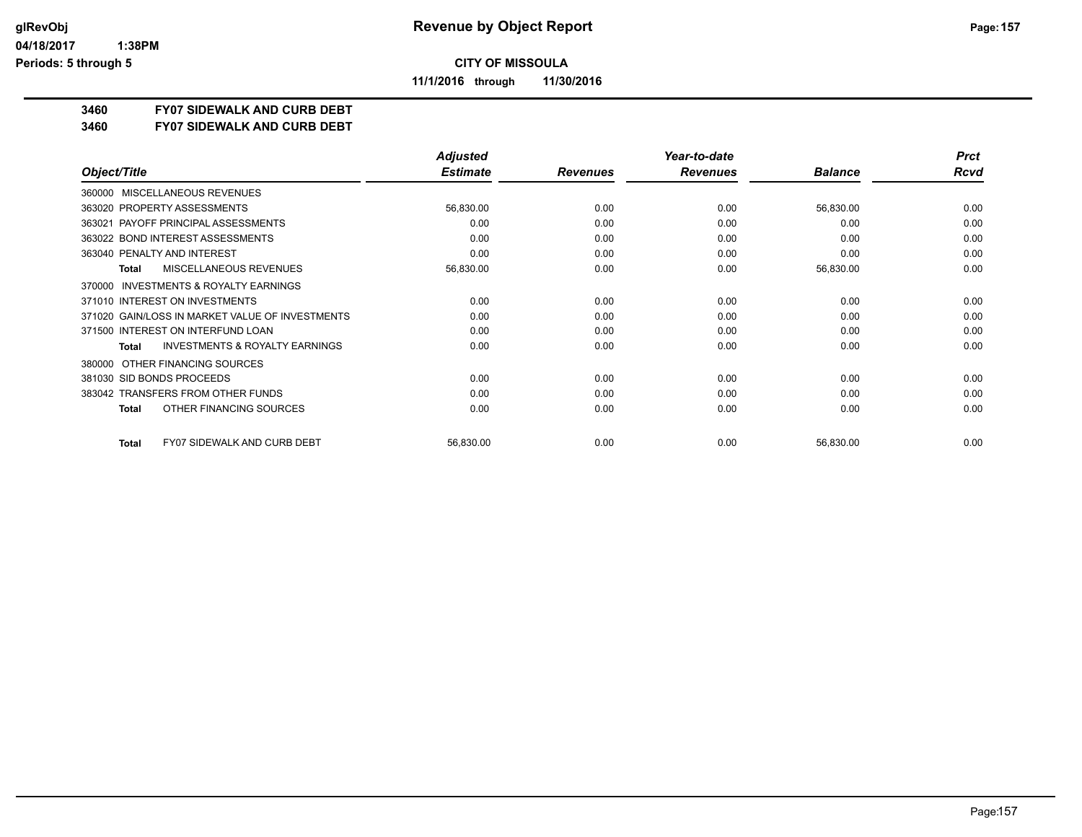**11/1/2016 through 11/30/2016**

**3460 FY07 SIDEWALK AND CURB DEBT 3460 FY07 SIDEWALK AND CURB DEBT**

 *Adjusted* 

|                                                           | <b>Adjusted</b> |                 | Year-to-date    |                | <b>Prct</b> |
|-----------------------------------------------------------|-----------------|-----------------|-----------------|----------------|-------------|
| Object/Title                                              | <b>Estimate</b> | <b>Revenues</b> | <b>Revenues</b> | <b>Balance</b> | <b>Rcvd</b> |
| MISCELLANEOUS REVENUES<br>360000                          |                 |                 |                 |                |             |
| 363020 PROPERTY ASSESSMENTS                               | 56,830.00       | 0.00            | 0.00            | 56,830.00      | 0.00        |
| 363021 PAYOFF PRINCIPAL ASSESSMENTS                       | 0.00            | 0.00            | 0.00            | 0.00           | 0.00        |
| 363022 BOND INTEREST ASSESSMENTS                          | 0.00            | 0.00            | 0.00            | 0.00           | 0.00        |
| 363040 PENALTY AND INTEREST                               | 0.00            | 0.00            | 0.00            | 0.00           | 0.00        |
| <b>MISCELLANEOUS REVENUES</b><br><b>Total</b>             | 56,830.00       | 0.00            | 0.00            | 56,830.00      | 0.00        |
| INVESTMENTS & ROYALTY EARNINGS<br>370000                  |                 |                 |                 |                |             |
| 371010 INTEREST ON INVESTMENTS                            | 0.00            | 0.00            | 0.00            | 0.00           | 0.00        |
| 371020 GAIN/LOSS IN MARKET VALUE OF INVESTMENTS           | 0.00            | 0.00            | 0.00            | 0.00           | 0.00        |
| 371500 INTEREST ON INTERFUND LOAN                         | 0.00            | 0.00            | 0.00            | 0.00           | 0.00        |
| <b>INVESTMENTS &amp; ROYALTY EARNINGS</b><br><b>Total</b> | 0.00            | 0.00            | 0.00            | 0.00           | 0.00        |
| OTHER FINANCING SOURCES<br>380000                         |                 |                 |                 |                |             |
| 381030 SID BONDS PROCEEDS                                 | 0.00            | 0.00            | 0.00            | 0.00           | 0.00        |
| 383042 TRANSFERS FROM OTHER FUNDS                         | 0.00            | 0.00            | 0.00            | 0.00           | 0.00        |
| OTHER FINANCING SOURCES<br>Total                          | 0.00            | 0.00            | 0.00            | 0.00           | 0.00        |
| <b>FY07 SIDEWALK AND CURB DEBT</b><br><b>Total</b>        | 56,830.00       | 0.00            | 0.00            | 56,830.00      | 0.00        |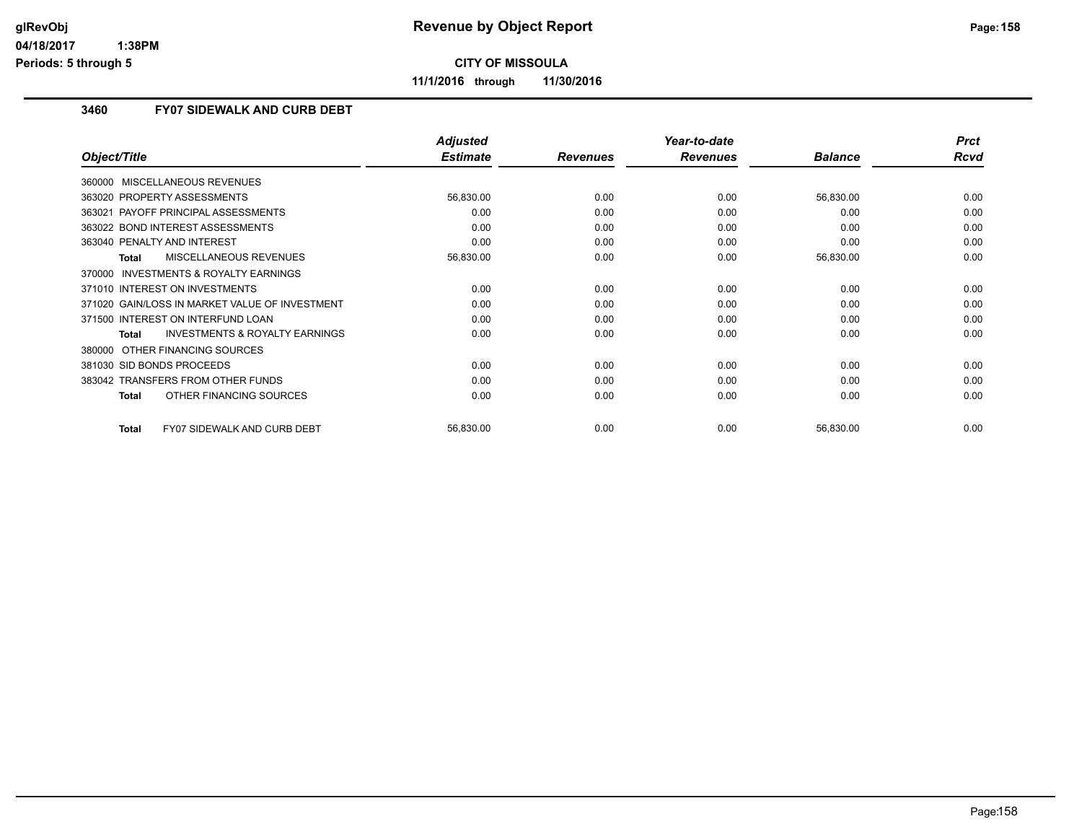**11/1/2016 through 11/30/2016**

### **3460 FY07 SIDEWALK AND CURB DEBT**

|                                                     | <b>Adjusted</b> |                 | Year-to-date    |                | <b>Prct</b> |
|-----------------------------------------------------|-----------------|-----------------|-----------------|----------------|-------------|
| Object/Title                                        | <b>Estimate</b> | <b>Revenues</b> | <b>Revenues</b> | <b>Balance</b> | <b>Rcvd</b> |
| 360000 MISCELLANEOUS REVENUES                       |                 |                 |                 |                |             |
| 363020 PROPERTY ASSESSMENTS                         | 56,830.00       | 0.00            | 0.00            | 56,830.00      | 0.00        |
| 363021 PAYOFF PRINCIPAL ASSESSMENTS                 | 0.00            | 0.00            | 0.00            | 0.00           | 0.00        |
| 363022 BOND INTEREST ASSESSMENTS                    | 0.00            | 0.00            | 0.00            | 0.00           | 0.00        |
| 363040 PENALTY AND INTEREST                         | 0.00            | 0.00            | 0.00            | 0.00           | 0.00        |
| MISCELLANEOUS REVENUES<br><b>Total</b>              | 56,830.00       | 0.00            | 0.00            | 56,830.00      | 0.00        |
| <b>INVESTMENTS &amp; ROYALTY EARNINGS</b><br>370000 |                 |                 |                 |                |             |
| 371010 INTEREST ON INVESTMENTS                      | 0.00            | 0.00            | 0.00            | 0.00           | 0.00        |
| 371020 GAIN/LOSS IN MARKET VALUE OF INVESTMENT      | 0.00            | 0.00            | 0.00            | 0.00           | 0.00        |
| 371500 INTEREST ON INTERFUND LOAN                   | 0.00            | 0.00            | 0.00            | 0.00           | 0.00        |
| <b>INVESTMENTS &amp; ROYALTY EARNINGS</b><br>Total  | 0.00            | 0.00            | 0.00            | 0.00           | 0.00        |
| 380000 OTHER FINANCING SOURCES                      |                 |                 |                 |                |             |
| 381030 SID BONDS PROCEEDS                           | 0.00            | 0.00            | 0.00            | 0.00           | 0.00        |
| 383042 TRANSFERS FROM OTHER FUNDS                   | 0.00            | 0.00            | 0.00            | 0.00           | 0.00        |
| OTHER FINANCING SOURCES<br><b>Total</b>             | 0.00            | 0.00            | 0.00            | 0.00           | 0.00        |
| <b>FY07 SIDEWALK AND CURB DEBT</b><br>Total         | 56,830.00       | 0.00            | 0.00            | 56,830.00      | 0.00        |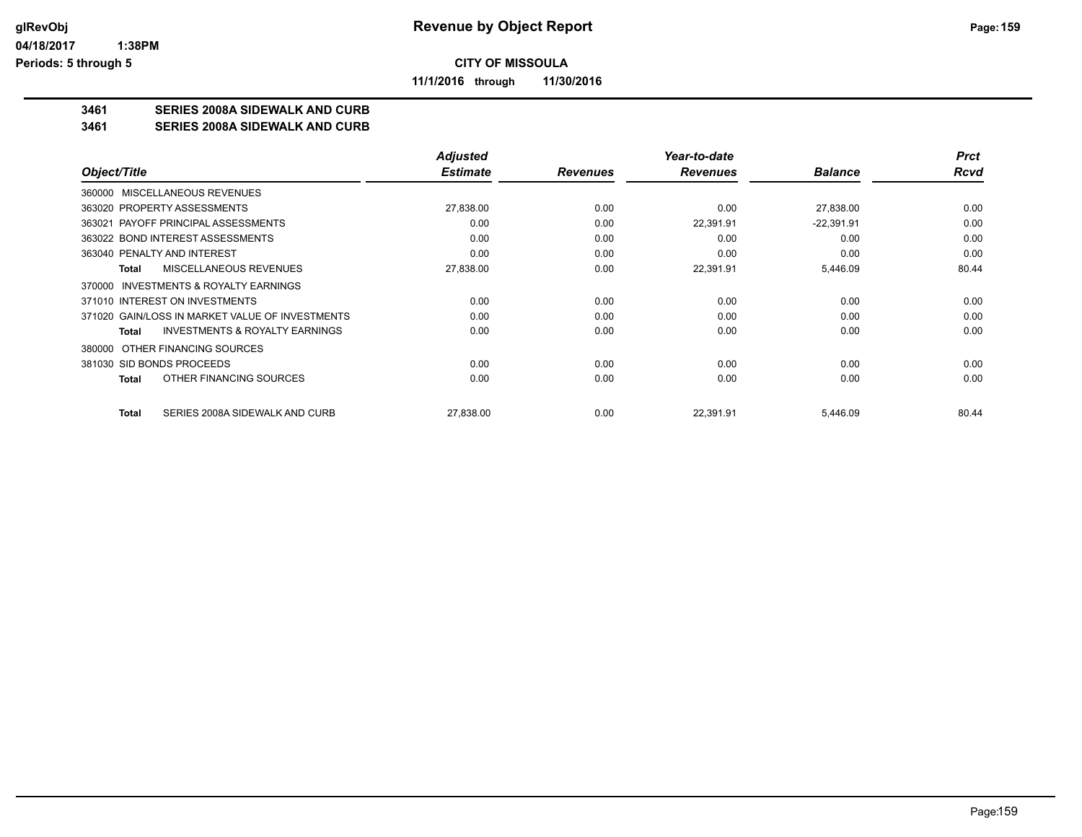**11/1/2016 through 11/30/2016**

# **3461 SERIES 2008A SIDEWALK AND CURB**

**3461 SERIES 2008A SIDEWALK AND CURB**

|                                                    | <b>Adjusted</b> |                 | Year-to-date    |                | <b>Prct</b> |
|----------------------------------------------------|-----------------|-----------------|-----------------|----------------|-------------|
| Object/Title                                       | <b>Estimate</b> | <b>Revenues</b> | <b>Revenues</b> | <b>Balance</b> | <b>Rcvd</b> |
| 360000 MISCELLANEOUS REVENUES                      |                 |                 |                 |                |             |
| 363020 PROPERTY ASSESSMENTS                        | 27,838.00       | 0.00            | 0.00            | 27,838.00      | 0.00        |
| 363021 PAYOFF PRINCIPAL ASSESSMENTS                | 0.00            | 0.00            | 22,391.91       | $-22,391.91$   | 0.00        |
| 363022 BOND INTEREST ASSESSMENTS                   | 0.00            | 0.00            | 0.00            | 0.00           | 0.00        |
| 363040 PENALTY AND INTEREST                        | 0.00            | 0.00            | 0.00            | 0.00           | 0.00        |
| <b>MISCELLANEOUS REVENUES</b><br>Total             | 27,838.00       | 0.00            | 22,391.91       | 5,446.09       | 80.44       |
| 370000 INVESTMENTS & ROYALTY EARNINGS              |                 |                 |                 |                |             |
| 371010 INTEREST ON INVESTMENTS                     | 0.00            | 0.00            | 0.00            | 0.00           | 0.00        |
| 371020 GAIN/LOSS IN MARKET VALUE OF INVESTMENTS    | 0.00            | 0.00            | 0.00            | 0.00           | 0.00        |
| <b>INVESTMENTS &amp; ROYALTY EARNINGS</b><br>Total | 0.00            | 0.00            | 0.00            | 0.00           | 0.00        |
| OTHER FINANCING SOURCES<br>380000                  |                 |                 |                 |                |             |
| 381030 SID BONDS PROCEEDS                          | 0.00            | 0.00            | 0.00            | 0.00           | 0.00        |
| OTHER FINANCING SOURCES<br>Total                   | 0.00            | 0.00            | 0.00            | 0.00           | 0.00        |
| SERIES 2008A SIDEWALK AND CURB<br><b>Total</b>     | 27,838.00       | 0.00            | 22,391.91       | 5,446.09       | 80.44       |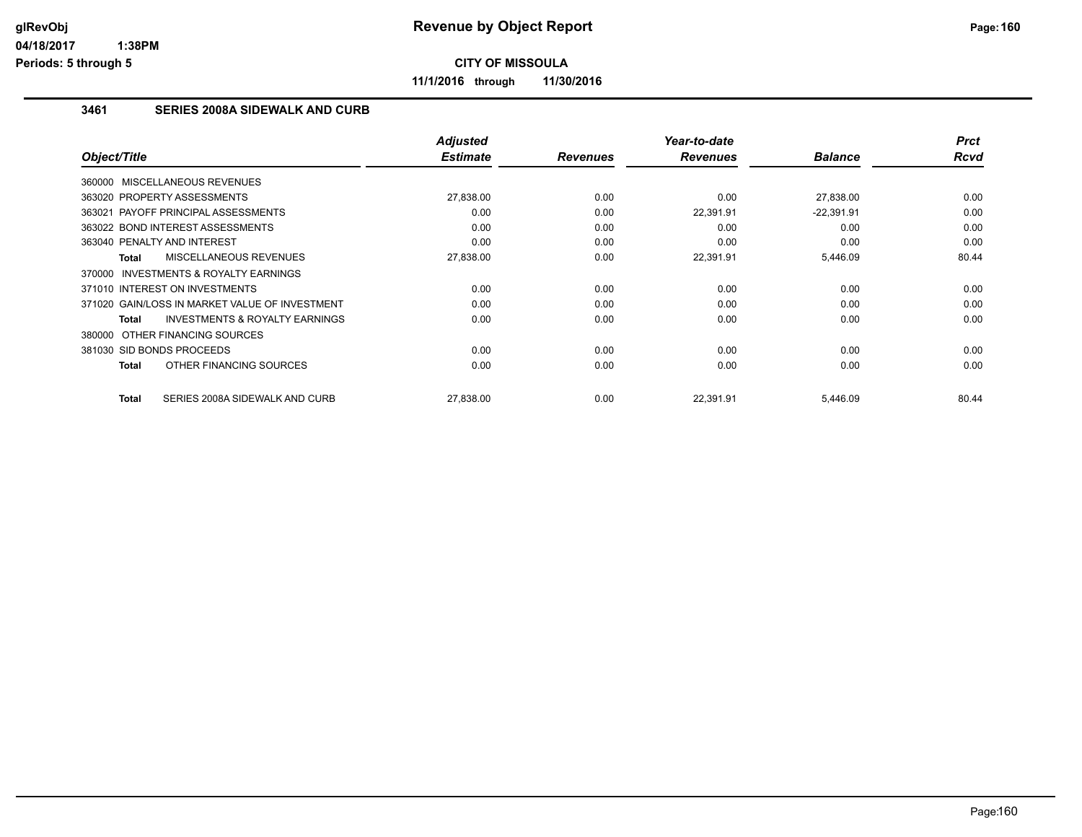**11/1/2016 through 11/30/2016**

### **3461 SERIES 2008A SIDEWALK AND CURB**

|                                                           | <b>Adjusted</b> |                 | Year-to-date    |                | <b>Prct</b> |
|-----------------------------------------------------------|-----------------|-----------------|-----------------|----------------|-------------|
| Object/Title                                              | <b>Estimate</b> | <b>Revenues</b> | <b>Revenues</b> | <b>Balance</b> | <b>Rcvd</b> |
| 360000 MISCELLANEOUS REVENUES                             |                 |                 |                 |                |             |
| 363020 PROPERTY ASSESSMENTS                               | 27,838.00       | 0.00            | 0.00            | 27,838.00      | 0.00        |
| 363021 PAYOFF PRINCIPAL ASSESSMENTS                       | 0.00            | 0.00            | 22,391.91       | $-22,391.91$   | 0.00        |
| 363022 BOND INTEREST ASSESSMENTS                          | 0.00            | 0.00            | 0.00            | 0.00           | 0.00        |
| 363040 PENALTY AND INTEREST                               | 0.00            | 0.00            | 0.00            | 0.00           | 0.00        |
| MISCELLANEOUS REVENUES<br><b>Total</b>                    | 27,838.00       | 0.00            | 22,391.91       | 5,446.09       | 80.44       |
| <b>INVESTMENTS &amp; ROYALTY EARNINGS</b><br>370000       |                 |                 |                 |                |             |
| 371010 INTEREST ON INVESTMENTS                            | 0.00            | 0.00            | 0.00            | 0.00           | 0.00        |
| 371020 GAIN/LOSS IN MARKET VALUE OF INVESTMENT            | 0.00            | 0.00            | 0.00            | 0.00           | 0.00        |
| <b>INVESTMENTS &amp; ROYALTY EARNINGS</b><br><b>Total</b> | 0.00            | 0.00            | 0.00            | 0.00           | 0.00        |
| 380000 OTHER FINANCING SOURCES                            |                 |                 |                 |                |             |
| 381030 SID BONDS PROCEEDS                                 | 0.00            | 0.00            | 0.00            | 0.00           | 0.00        |
| OTHER FINANCING SOURCES<br><b>Total</b>                   | 0.00            | 0.00            | 0.00            | 0.00           | 0.00        |
| SERIES 2008A SIDEWALK AND CURB<br><b>Total</b>            | 27,838.00       | 0.00            | 22,391.91       | 5,446.09       | 80.44       |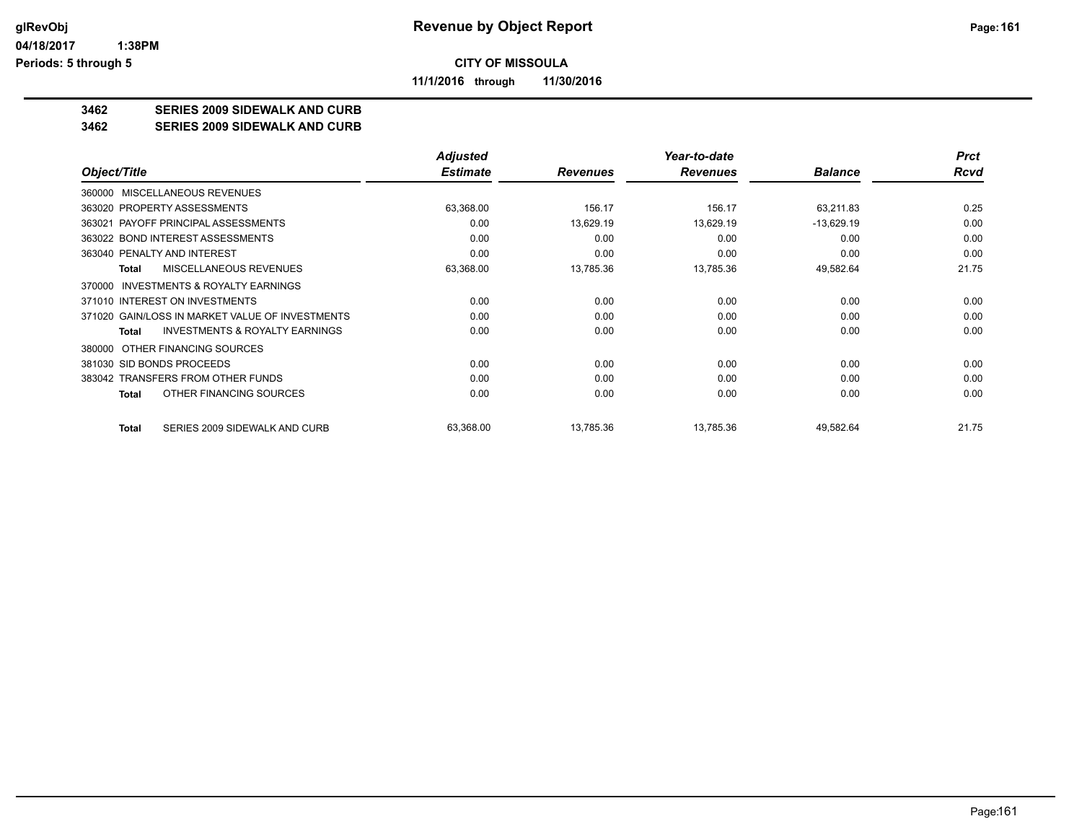**11/1/2016 through 11/30/2016**

# **3462 SERIES 2009 SIDEWALK AND CURB**

**3462 SERIES 2009 SIDEWALK AND CURB**

|                                                    | <b>Adjusted</b> |                 | Year-to-date    |                | <b>Prct</b> |
|----------------------------------------------------|-----------------|-----------------|-----------------|----------------|-------------|
| Object/Title                                       | <b>Estimate</b> | <b>Revenues</b> | <b>Revenues</b> | <b>Balance</b> | Rcvd        |
| 360000 MISCELLANEOUS REVENUES                      |                 |                 |                 |                |             |
| 363020 PROPERTY ASSESSMENTS                        | 63,368.00       | 156.17          | 156.17          | 63,211.83      | 0.25        |
| PAYOFF PRINCIPAL ASSESSMENTS<br>363021             | 0.00            | 13,629.19       | 13,629.19       | $-13,629.19$   | 0.00        |
| 363022 BOND INTEREST ASSESSMENTS                   | 0.00            | 0.00            | 0.00            | 0.00           | 0.00        |
| 363040 PENALTY AND INTEREST                        | 0.00            | 0.00            | 0.00            | 0.00           | 0.00        |
| <b>MISCELLANEOUS REVENUES</b><br><b>Total</b>      | 63,368.00       | 13,785.36       | 13,785.36       | 49,582.64      | 21.75       |
| INVESTMENTS & ROYALTY EARNINGS<br>370000           |                 |                 |                 |                |             |
| 371010 INTEREST ON INVESTMENTS                     | 0.00            | 0.00            | 0.00            | 0.00           | 0.00        |
| 371020 GAIN/LOSS IN MARKET VALUE OF INVESTMENTS    | 0.00            | 0.00            | 0.00            | 0.00           | 0.00        |
| <b>INVESTMENTS &amp; ROYALTY EARNINGS</b><br>Total | 0.00            | 0.00            | 0.00            | 0.00           | 0.00        |
| OTHER FINANCING SOURCES<br>380000                  |                 |                 |                 |                |             |
| 381030 SID BONDS PROCEEDS                          | 0.00            | 0.00            | 0.00            | 0.00           | 0.00        |
| 383042 TRANSFERS FROM OTHER FUNDS                  | 0.00            | 0.00            | 0.00            | 0.00           | 0.00        |
| OTHER FINANCING SOURCES<br><b>Total</b>            | 0.00            | 0.00            | 0.00            | 0.00           | 0.00        |
| SERIES 2009 SIDEWALK AND CURB<br><b>Total</b>      | 63,368.00       | 13,785.36       | 13,785.36       | 49,582.64      | 21.75       |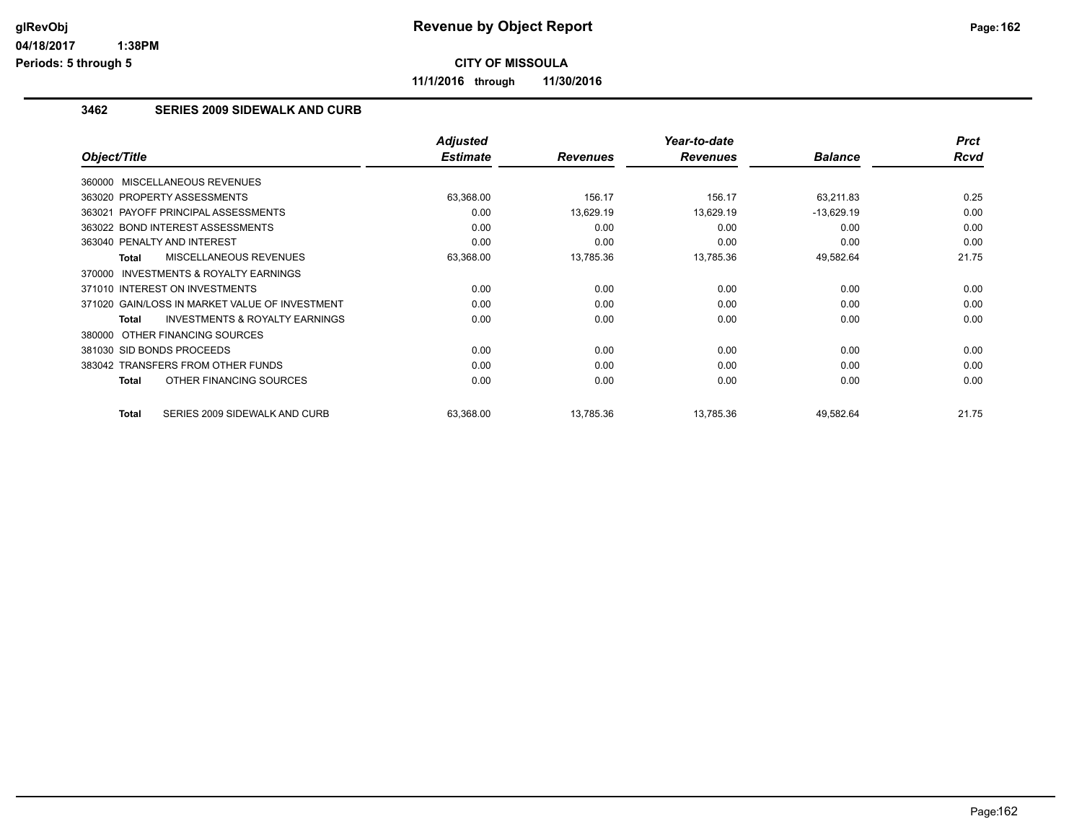**11/1/2016 through 11/30/2016**

### **3462 SERIES 2009 SIDEWALK AND CURB**

|                                                           | <b>Adjusted</b> |                 | Year-to-date    |                | <b>Prct</b> |
|-----------------------------------------------------------|-----------------|-----------------|-----------------|----------------|-------------|
| Object/Title                                              | <b>Estimate</b> | <b>Revenues</b> | <b>Revenues</b> | <b>Balance</b> | <b>Rcvd</b> |
| 360000 MISCELLANEOUS REVENUES                             |                 |                 |                 |                |             |
| 363020 PROPERTY ASSESSMENTS                               | 63,368.00       | 156.17          | 156.17          | 63,211.83      | 0.25        |
| 363021 PAYOFF PRINCIPAL ASSESSMENTS                       | 0.00            | 13,629.19       | 13,629.19       | $-13,629.19$   | 0.00        |
| 363022 BOND INTEREST ASSESSMENTS                          | 0.00            | 0.00            | 0.00            | 0.00           | 0.00        |
| 363040 PENALTY AND INTEREST                               | 0.00            | 0.00            | 0.00            | 0.00           | 0.00        |
| MISCELLANEOUS REVENUES<br><b>Total</b>                    | 63,368.00       | 13,785.36       | 13,785.36       | 49,582.64      | 21.75       |
| <b>INVESTMENTS &amp; ROYALTY EARNINGS</b><br>370000       |                 |                 |                 |                |             |
| 371010 INTEREST ON INVESTMENTS                            | 0.00            | 0.00            | 0.00            | 0.00           | 0.00        |
| 371020 GAIN/LOSS IN MARKET VALUE OF INVESTMENT            | 0.00            | 0.00            | 0.00            | 0.00           | 0.00        |
| <b>INVESTMENTS &amp; ROYALTY EARNINGS</b><br><b>Total</b> | 0.00            | 0.00            | 0.00            | 0.00           | 0.00        |
| OTHER FINANCING SOURCES<br>380000                         |                 |                 |                 |                |             |
| 381030 SID BONDS PROCEEDS                                 | 0.00            | 0.00            | 0.00            | 0.00           | 0.00        |
| 383042 TRANSFERS FROM OTHER FUNDS                         | 0.00            | 0.00            | 0.00            | 0.00           | 0.00        |
| OTHER FINANCING SOURCES<br><b>Total</b>                   | 0.00            | 0.00            | 0.00            | 0.00           | 0.00        |
| SERIES 2009 SIDEWALK AND CURB<br><b>Total</b>             | 63,368.00       | 13,785.36       | 13,785.36       | 49,582.64      | 21.75       |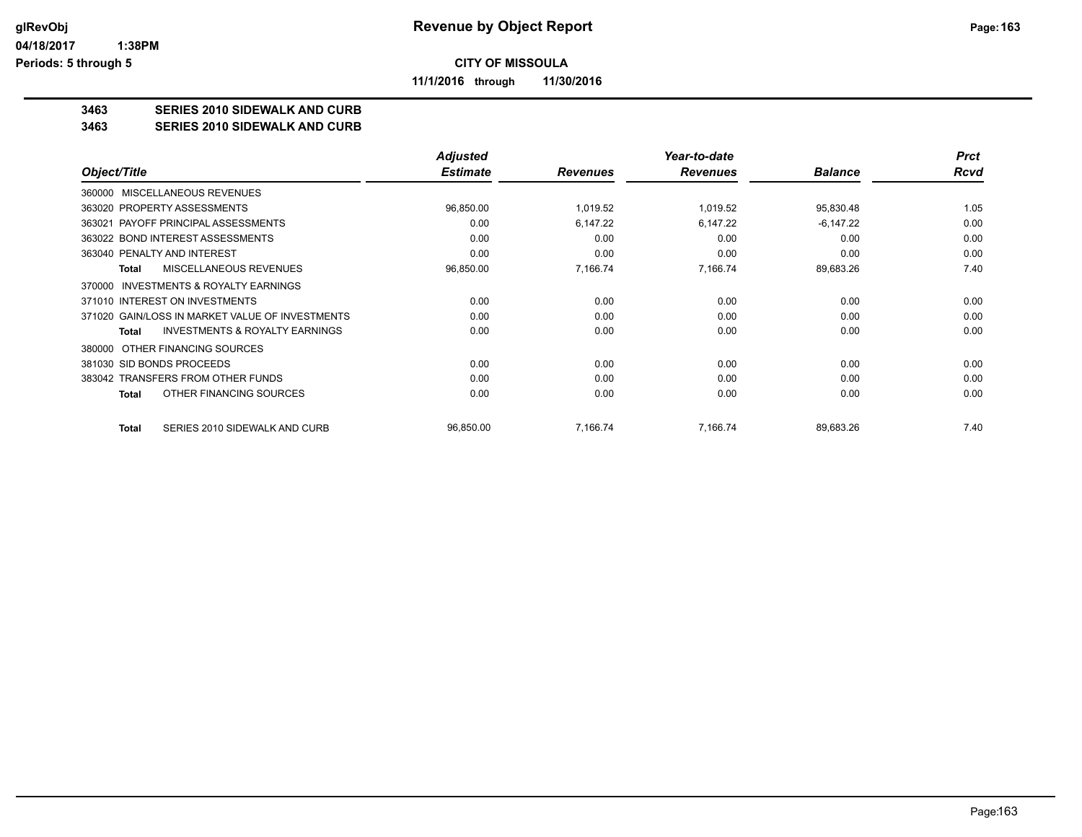**11/1/2016 through 11/30/2016**

# **3463 SERIES 2010 SIDEWALK AND CURB**

**3463 SERIES 2010 SIDEWALK AND CURB**

|                                                    | <b>Adjusted</b> |                 | Year-to-date    |                | <b>Prct</b> |
|----------------------------------------------------|-----------------|-----------------|-----------------|----------------|-------------|
| Object/Title                                       | <b>Estimate</b> | <b>Revenues</b> | <b>Revenues</b> | <b>Balance</b> | Rcvd        |
| 360000 MISCELLANEOUS REVENUES                      |                 |                 |                 |                |             |
| 363020 PROPERTY ASSESSMENTS                        | 96,850.00       | 1,019.52        | 1,019.52        | 95,830.48      | 1.05        |
| PAYOFF PRINCIPAL ASSESSMENTS<br>363021             | 0.00            | 6,147.22        | 6,147.22        | $-6,147.22$    | 0.00        |
| 363022 BOND INTEREST ASSESSMENTS                   | 0.00            | 0.00            | 0.00            | 0.00           | 0.00        |
| 363040 PENALTY AND INTEREST                        | 0.00            | 0.00            | 0.00            | 0.00           | 0.00        |
| <b>MISCELLANEOUS REVENUES</b><br><b>Total</b>      | 96,850.00       | 7,166.74        | 7,166.74        | 89,683.26      | 7.40        |
| INVESTMENTS & ROYALTY EARNINGS<br>370000           |                 |                 |                 |                |             |
| 371010 INTEREST ON INVESTMENTS                     | 0.00            | 0.00            | 0.00            | 0.00           | 0.00        |
| 371020 GAIN/LOSS IN MARKET VALUE OF INVESTMENTS    | 0.00            | 0.00            | 0.00            | 0.00           | 0.00        |
| <b>INVESTMENTS &amp; ROYALTY EARNINGS</b><br>Total | 0.00            | 0.00            | 0.00            | 0.00           | 0.00        |
| OTHER FINANCING SOURCES<br>380000                  |                 |                 |                 |                |             |
| 381030 SID BONDS PROCEEDS                          | 0.00            | 0.00            | 0.00            | 0.00           | 0.00        |
| 383042 TRANSFERS FROM OTHER FUNDS                  | 0.00            | 0.00            | 0.00            | 0.00           | 0.00        |
| OTHER FINANCING SOURCES<br><b>Total</b>            | 0.00            | 0.00            | 0.00            | 0.00           | 0.00        |
| SERIES 2010 SIDEWALK AND CURB<br><b>Total</b>      | 96,850.00       | 7,166.74        | 7,166.74        | 89,683.26      | 7.40        |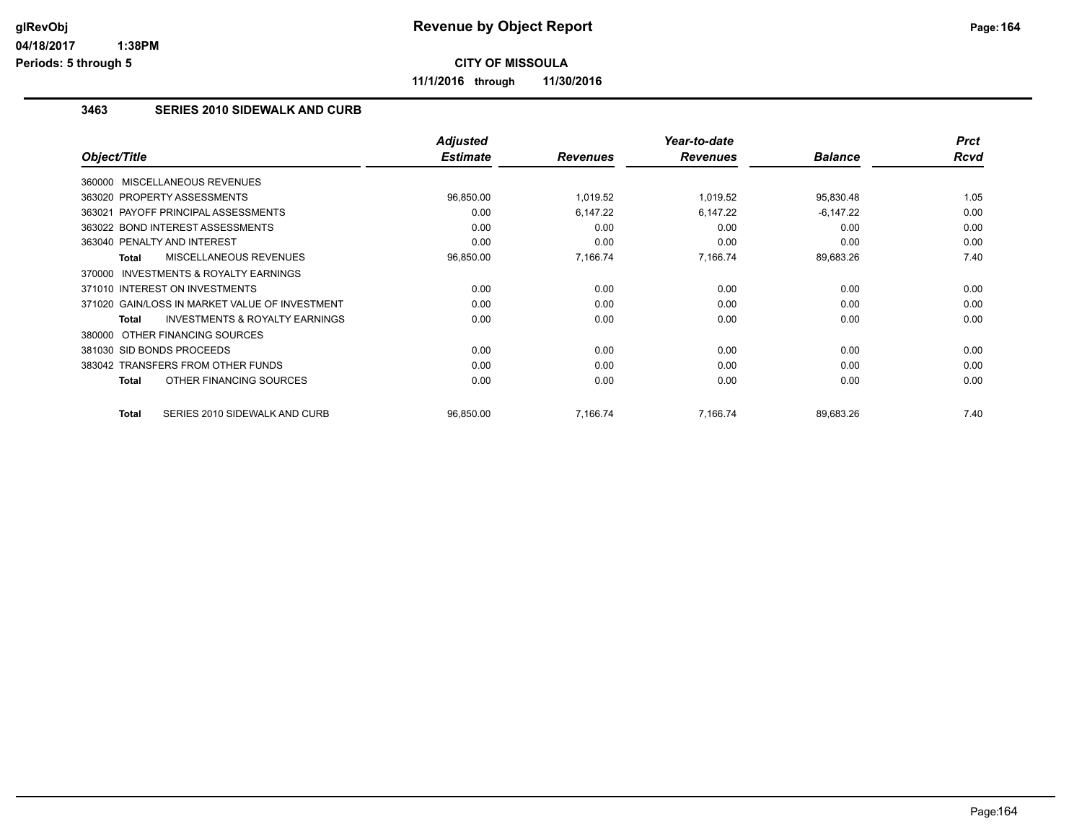**11/1/2016 through 11/30/2016**

### **3463 SERIES 2010 SIDEWALK AND CURB**

|                                                     | <b>Adjusted</b> |                 | Year-to-date    |                | <b>Prct</b> |
|-----------------------------------------------------|-----------------|-----------------|-----------------|----------------|-------------|
| Object/Title                                        | <b>Estimate</b> | <b>Revenues</b> | <b>Revenues</b> | <b>Balance</b> | Rcvd        |
| 360000 MISCELLANEOUS REVENUES                       |                 |                 |                 |                |             |
| 363020 PROPERTY ASSESSMENTS                         | 96,850.00       | 1,019.52        | 1,019.52        | 95,830.48      | 1.05        |
| 363021 PAYOFF PRINCIPAL ASSESSMENTS                 | 0.00            | 6.147.22        | 6.147.22        | $-6.147.22$    | 0.00        |
| 363022 BOND INTEREST ASSESSMENTS                    | 0.00            | 0.00            | 0.00            | 0.00           | 0.00        |
| 363040 PENALTY AND INTEREST                         | 0.00            | 0.00            | 0.00            | 0.00           | 0.00        |
| MISCELLANEOUS REVENUES<br>Total                     | 96,850.00       | 7,166.74        | 7,166.74        | 89,683.26      | 7.40        |
| <b>INVESTMENTS &amp; ROYALTY EARNINGS</b><br>370000 |                 |                 |                 |                |             |
| 371010 INTEREST ON INVESTMENTS                      | 0.00            | 0.00            | 0.00            | 0.00           | 0.00        |
| 371020 GAIN/LOSS IN MARKET VALUE OF INVESTMENT      | 0.00            | 0.00            | 0.00            | 0.00           | 0.00        |
| <b>INVESTMENTS &amp; ROYALTY EARNINGS</b><br>Total  | 0.00            | 0.00            | 0.00            | 0.00           | 0.00        |
| OTHER FINANCING SOURCES<br>380000                   |                 |                 |                 |                |             |
| 381030 SID BONDS PROCEEDS                           | 0.00            | 0.00            | 0.00            | 0.00           | 0.00        |
| 383042 TRANSFERS FROM OTHER FUNDS                   | 0.00            | 0.00            | 0.00            | 0.00           | 0.00        |
| OTHER FINANCING SOURCES<br>Total                    | 0.00            | 0.00            | 0.00            | 0.00           | 0.00        |
| SERIES 2010 SIDEWALK AND CURB<br><b>Total</b>       | 96,850.00       | 7,166.74        | 7,166.74        | 89,683.26      | 7.40        |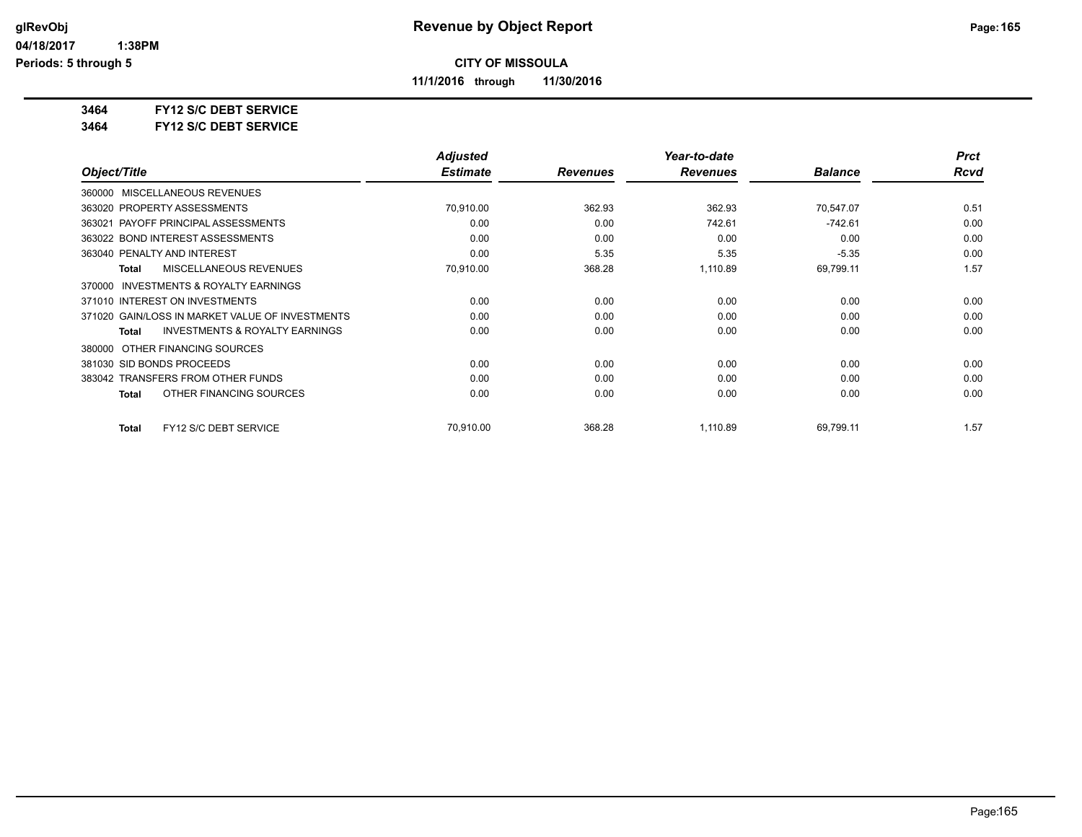**11/1/2016 through 11/30/2016**

**3464 FY12 S/C DEBT SERVICE**

**3464 FY12 S/C DEBT SERVICE**

|                                                    | <b>Adjusted</b> |                 | Year-to-date    |                | <b>Prct</b> |
|----------------------------------------------------|-----------------|-----------------|-----------------|----------------|-------------|
| Object/Title                                       | <b>Estimate</b> | <b>Revenues</b> | <b>Revenues</b> | <b>Balance</b> | <b>Rcvd</b> |
| 360000 MISCELLANEOUS REVENUES                      |                 |                 |                 |                |             |
| 363020 PROPERTY ASSESSMENTS                        | 70,910.00       | 362.93          | 362.93          | 70,547.07      | 0.51        |
| 363021 PAYOFF PRINCIPAL ASSESSMENTS                | 0.00            | 0.00            | 742.61          | $-742.61$      | 0.00        |
| 363022 BOND INTEREST ASSESSMENTS                   | 0.00            | 0.00            | 0.00            | 0.00           | 0.00        |
| 363040 PENALTY AND INTEREST                        | 0.00            | 5.35            | 5.35            | $-5.35$        | 0.00        |
| MISCELLANEOUS REVENUES<br>Total                    | 70,910.00       | 368.28          | 1,110.89        | 69,799.11      | 1.57        |
| INVESTMENTS & ROYALTY EARNINGS<br>370000           |                 |                 |                 |                |             |
| 371010 INTEREST ON INVESTMENTS                     | 0.00            | 0.00            | 0.00            | 0.00           | 0.00        |
| 371020 GAIN/LOSS IN MARKET VALUE OF INVESTMENTS    | 0.00            | 0.00            | 0.00            | 0.00           | 0.00        |
| <b>INVESTMENTS &amp; ROYALTY EARNINGS</b><br>Total | 0.00            | 0.00            | 0.00            | 0.00           | 0.00        |
| OTHER FINANCING SOURCES<br>380000                  |                 |                 |                 |                |             |
| 381030 SID BONDS PROCEEDS                          | 0.00            | 0.00            | 0.00            | 0.00           | 0.00        |
| 383042 TRANSFERS FROM OTHER FUNDS                  | 0.00            | 0.00            | 0.00            | 0.00           | 0.00        |
| OTHER FINANCING SOURCES<br>Total                   | 0.00            | 0.00            | 0.00            | 0.00           | 0.00        |
| FY12 S/C DEBT SERVICE<br>Total                     | 70,910.00       | 368.28          | 1,110.89        | 69,799.11      | 1.57        |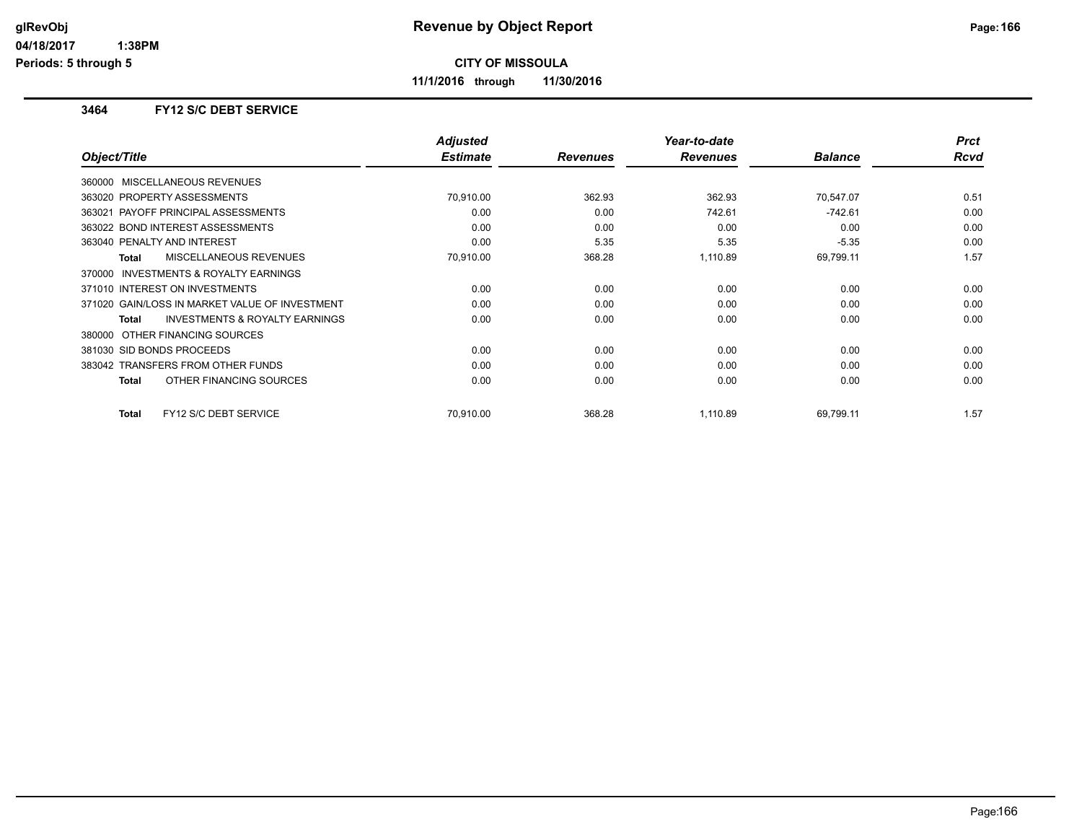**11/1/2016 through 11/30/2016**

### **3464 FY12 S/C DEBT SERVICE**

|                                                           | <b>Adjusted</b> |                 | Year-to-date    |                | <b>Prct</b> |
|-----------------------------------------------------------|-----------------|-----------------|-----------------|----------------|-------------|
| Object/Title                                              | <b>Estimate</b> | <b>Revenues</b> | <b>Revenues</b> | <b>Balance</b> | Rcvd        |
| 360000 MISCELLANEOUS REVENUES                             |                 |                 |                 |                |             |
| 363020 PROPERTY ASSESSMENTS                               | 70,910.00       | 362.93          | 362.93          | 70,547.07      | 0.51        |
| 363021 PAYOFF PRINCIPAL ASSESSMENTS                       | 0.00            | 0.00            | 742.61          | $-742.61$      | 0.00        |
| 363022 BOND INTEREST ASSESSMENTS                          | 0.00            | 0.00            | 0.00            | 0.00           | 0.00        |
| 363040 PENALTY AND INTEREST                               | 0.00            | 5.35            | 5.35            | $-5.35$        | 0.00        |
| MISCELLANEOUS REVENUES<br><b>Total</b>                    | 70,910.00       | 368.28          | 1,110.89        | 69,799.11      | 1.57        |
| <b>INVESTMENTS &amp; ROYALTY EARNINGS</b><br>370000       |                 |                 |                 |                |             |
| 371010 INTEREST ON INVESTMENTS                            | 0.00            | 0.00            | 0.00            | 0.00           | 0.00        |
| 371020 GAIN/LOSS IN MARKET VALUE OF INVESTMENT            | 0.00            | 0.00            | 0.00            | 0.00           | 0.00        |
| <b>INVESTMENTS &amp; ROYALTY EARNINGS</b><br><b>Total</b> | 0.00            | 0.00            | 0.00            | 0.00           | 0.00        |
| OTHER FINANCING SOURCES<br>380000                         |                 |                 |                 |                |             |
| 381030 SID BONDS PROCEEDS                                 | 0.00            | 0.00            | 0.00            | 0.00           | 0.00        |
| 383042 TRANSFERS FROM OTHER FUNDS                         | 0.00            | 0.00            | 0.00            | 0.00           | 0.00        |
| OTHER FINANCING SOURCES<br><b>Total</b>                   | 0.00            | 0.00            | 0.00            | 0.00           | 0.00        |
| FY12 S/C DEBT SERVICE<br><b>Total</b>                     | 70.910.00       | 368.28          | 1.110.89        | 69,799.11      | 1.57        |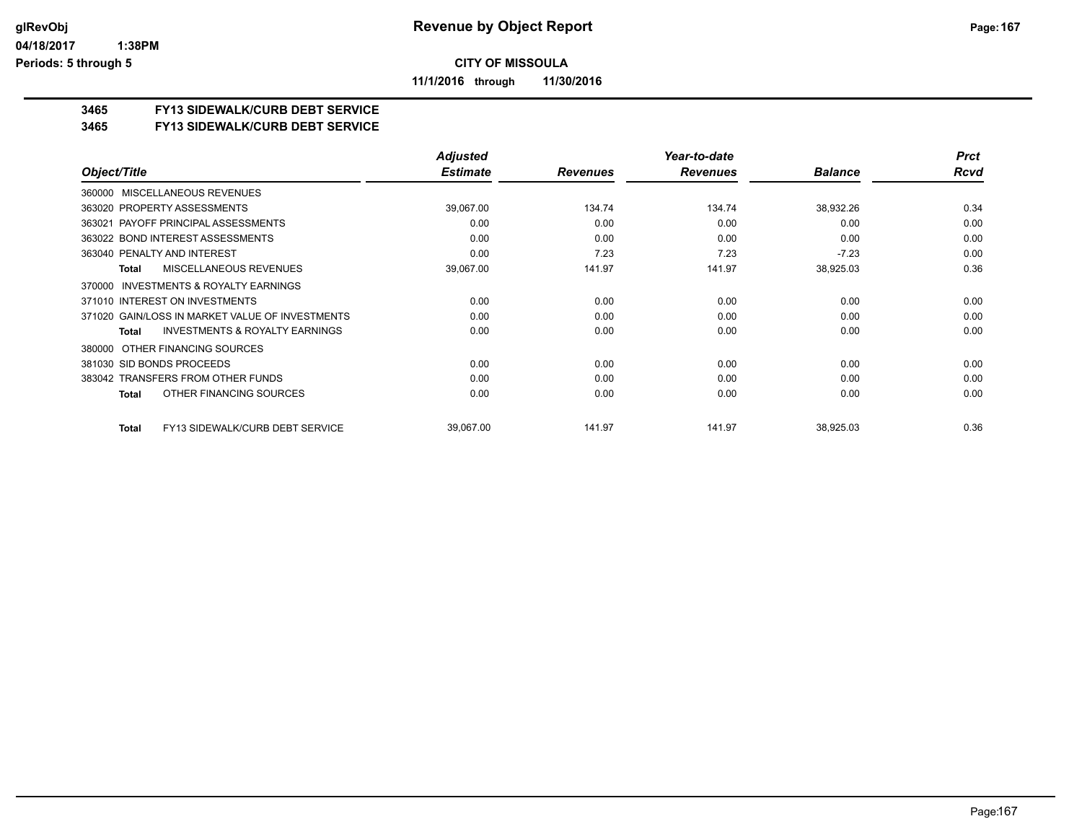**11/1/2016 through 11/30/2016**

# **3465 FY13 SIDEWALK/CURB DEBT SERVICE**

**3465 FY13 SIDEWALK/CURB DEBT SERVICE**

|                                                           | <b>Adjusted</b> |                 | Year-to-date    |                | <b>Prct</b> |
|-----------------------------------------------------------|-----------------|-----------------|-----------------|----------------|-------------|
| Object/Title                                              | <b>Estimate</b> | <b>Revenues</b> | <b>Revenues</b> | <b>Balance</b> | Rcvd        |
| 360000 MISCELLANEOUS REVENUES                             |                 |                 |                 |                |             |
| 363020 PROPERTY ASSESSMENTS                               | 39,067.00       | 134.74          | 134.74          | 38,932.26      | 0.34        |
| PAYOFF PRINCIPAL ASSESSMENTS<br>363021                    | 0.00            | 0.00            | 0.00            | 0.00           | 0.00        |
| 363022 BOND INTEREST ASSESSMENTS                          | 0.00            | 0.00            | 0.00            | 0.00           | 0.00        |
| 363040 PENALTY AND INTEREST                               | 0.00            | 7.23            | 7.23            | $-7.23$        | 0.00        |
| <b>MISCELLANEOUS REVENUES</b><br>Total                    | 39,067.00       | 141.97          | 141.97          | 38,925.03      | 0.36        |
| 370000 INVESTMENTS & ROYALTY EARNINGS                     |                 |                 |                 |                |             |
| 371010 INTEREST ON INVESTMENTS                            | 0.00            | 0.00            | 0.00            | 0.00           | 0.00        |
| 371020 GAIN/LOSS IN MARKET VALUE OF INVESTMENTS           | 0.00            | 0.00            | 0.00            | 0.00           | 0.00        |
| <b>INVESTMENTS &amp; ROYALTY EARNINGS</b><br><b>Total</b> | 0.00            | 0.00            | 0.00            | 0.00           | 0.00        |
| OTHER FINANCING SOURCES<br>380000                         |                 |                 |                 |                |             |
| 381030 SID BONDS PROCEEDS                                 | 0.00            | 0.00            | 0.00            | 0.00           | 0.00        |
| 383042 TRANSFERS FROM OTHER FUNDS                         | 0.00            | 0.00            | 0.00            | 0.00           | 0.00        |
| OTHER FINANCING SOURCES<br><b>Total</b>                   | 0.00            | 0.00            | 0.00            | 0.00           | 0.00        |
| FY13 SIDEWALK/CURB DEBT SERVICE<br><b>Total</b>           | 39,067.00       | 141.97          | 141.97          | 38,925.03      | 0.36        |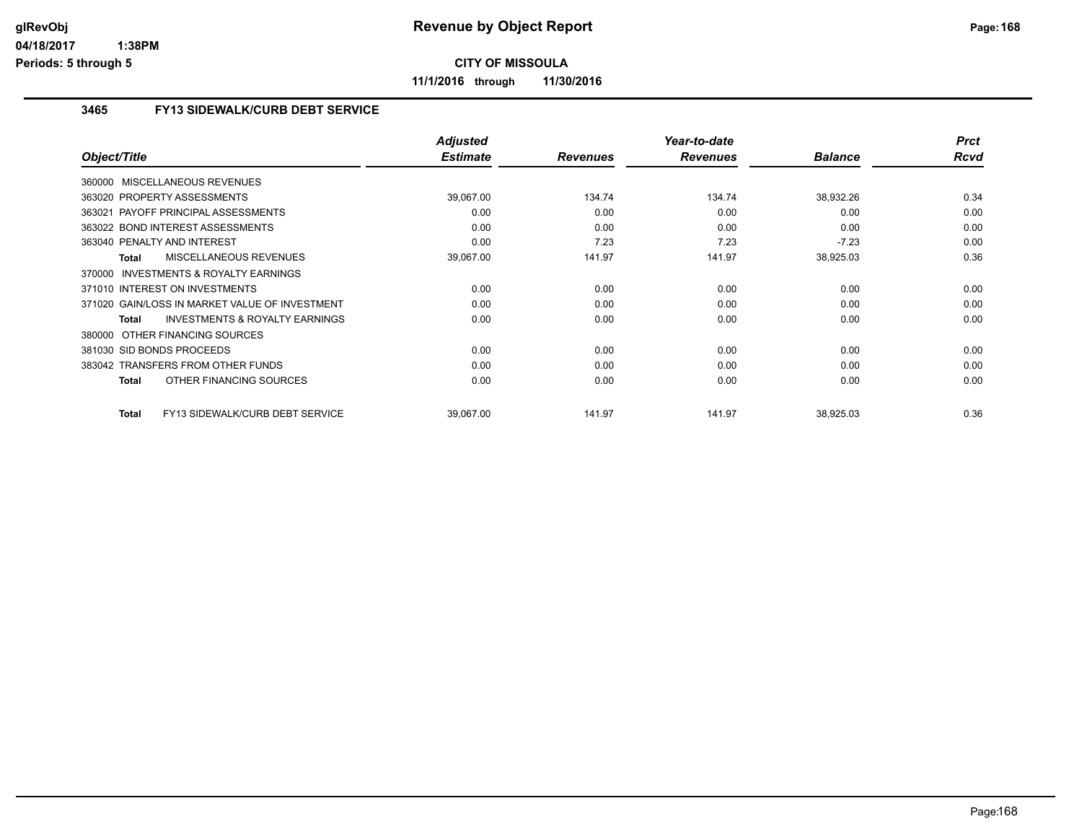**11/1/2016 through 11/30/2016**

### **3465 FY13 SIDEWALK/CURB DEBT SERVICE**

|                                                     | <b>Adjusted</b> |                 | Year-to-date    |                | <b>Prct</b> |
|-----------------------------------------------------|-----------------|-----------------|-----------------|----------------|-------------|
| Object/Title                                        | <b>Estimate</b> | <b>Revenues</b> | <b>Revenues</b> | <b>Balance</b> | Rcvd        |
| 360000 MISCELLANEOUS REVENUES                       |                 |                 |                 |                |             |
| 363020 PROPERTY ASSESSMENTS                         | 39,067.00       | 134.74          | 134.74          | 38,932.26      | 0.34        |
| 363021 PAYOFF PRINCIPAL ASSESSMENTS                 | 0.00            | 0.00            | 0.00            | 0.00           | 0.00        |
| 363022 BOND INTEREST ASSESSMENTS                    | 0.00            | 0.00            | 0.00            | 0.00           | 0.00        |
| 363040 PENALTY AND INTEREST                         | 0.00            | 7.23            | 7.23            | $-7.23$        | 0.00        |
| <b>MISCELLANEOUS REVENUES</b><br><b>Total</b>       | 39,067.00       | 141.97          | 141.97          | 38,925.03      | 0.36        |
| <b>INVESTMENTS &amp; ROYALTY EARNINGS</b><br>370000 |                 |                 |                 |                |             |
| 371010 INTEREST ON INVESTMENTS                      | 0.00            | 0.00            | 0.00            | 0.00           | 0.00        |
| 371020 GAIN/LOSS IN MARKET VALUE OF INVESTMENT      | 0.00            | 0.00            | 0.00            | 0.00           | 0.00        |
| <b>INVESTMENTS &amp; ROYALTY EARNINGS</b><br>Total  | 0.00            | 0.00            | 0.00            | 0.00           | 0.00        |
| OTHER FINANCING SOURCES<br>380000                   |                 |                 |                 |                |             |
| 381030 SID BONDS PROCEEDS                           | 0.00            | 0.00            | 0.00            | 0.00           | 0.00        |
| 383042 TRANSFERS FROM OTHER FUNDS                   | 0.00            | 0.00            | 0.00            | 0.00           | 0.00        |
| OTHER FINANCING SOURCES<br>Total                    | 0.00            | 0.00            | 0.00            | 0.00           | 0.00        |
| FY13 SIDEWALK/CURB DEBT SERVICE<br>Total            | 39,067.00       | 141.97          | 141.97          | 38,925.03      | 0.36        |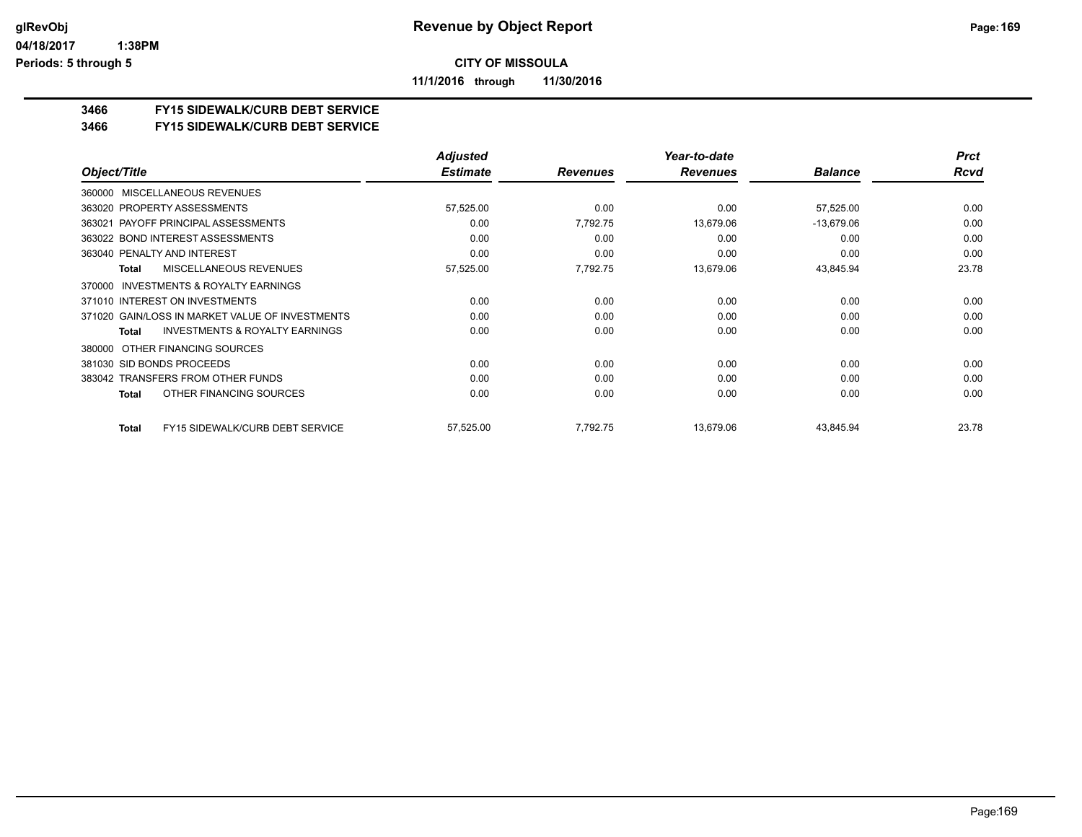**11/1/2016 through 11/30/2016**

#### **3466 FY15 SIDEWALK/CURB DEBT SERVICE 3466 FY15 SIDEWALK/CURB DEBT SERVICE**

|                                                        | <b>Adjusted</b> |                 | Year-to-date    |                | <b>Prct</b> |
|--------------------------------------------------------|-----------------|-----------------|-----------------|----------------|-------------|
| Object/Title                                           | <b>Estimate</b> | <b>Revenues</b> | <b>Revenues</b> | <b>Balance</b> | Rcvd        |
| <b>MISCELLANEOUS REVENUES</b><br>360000                |                 |                 |                 |                |             |
| 363020 PROPERTY ASSESSMENTS                            | 57,525.00       | 0.00            | 0.00            | 57,525.00      | 0.00        |
| 363021 PAYOFF PRINCIPAL ASSESSMENTS                    | 0.00            | 7,792.75        | 13,679.06       | $-13,679.06$   | 0.00        |
| 363022 BOND INTEREST ASSESSMENTS                       | 0.00            | 0.00            | 0.00            | 0.00           | 0.00        |
| 363040 PENALTY AND INTEREST                            | 0.00            | 0.00            | 0.00            | 0.00           | 0.00        |
| <b>MISCELLANEOUS REVENUES</b><br><b>Total</b>          | 57,525.00       | 7,792.75        | 13,679.06       | 43,845.94      | 23.78       |
| <b>INVESTMENTS &amp; ROYALTY EARNINGS</b><br>370000    |                 |                 |                 |                |             |
| 371010 INTEREST ON INVESTMENTS                         | 0.00            | 0.00            | 0.00            | 0.00           | 0.00        |
| 371020 GAIN/LOSS IN MARKET VALUE OF INVESTMENTS        | 0.00            | 0.00            | 0.00            | 0.00           | 0.00        |
| <b>INVESTMENTS &amp; ROYALTY EARNINGS</b><br>Total     | 0.00            | 0.00            | 0.00            | 0.00           | 0.00        |
| OTHER FINANCING SOURCES<br>380000                      |                 |                 |                 |                |             |
| 381030 SID BONDS PROCEEDS                              | 0.00            | 0.00            | 0.00            | 0.00           | 0.00        |
| 383042 TRANSFERS FROM OTHER FUNDS                      | 0.00            | 0.00            | 0.00            | 0.00           | 0.00        |
| OTHER FINANCING SOURCES<br><b>Total</b>                | 0.00            | 0.00            | 0.00            | 0.00           | 0.00        |
| <b>FY15 SIDEWALK/CURB DEBT SERVICE</b><br><b>Total</b> | 57,525.00       | 7.792.75        | 13,679.06       | 43,845.94      | 23.78       |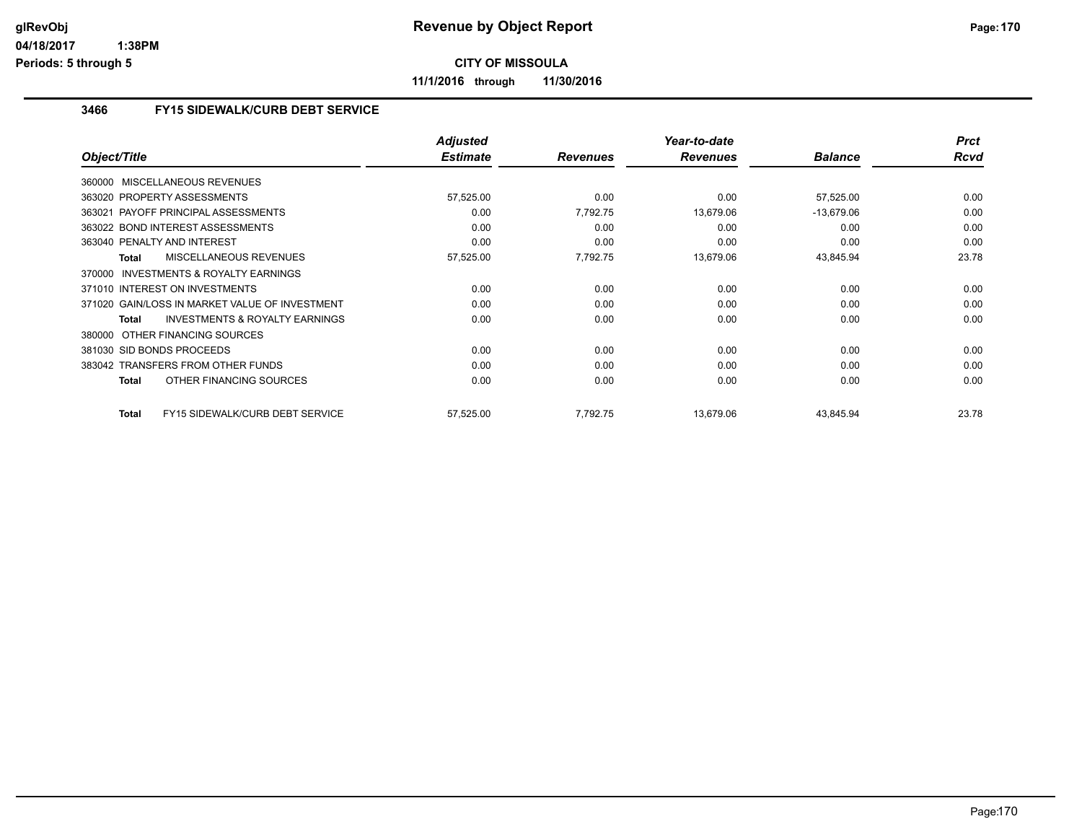**11/1/2016 through 11/30/2016**

### **3466 FY15 SIDEWALK/CURB DEBT SERVICE**

|                                                           | <b>Adjusted</b> |                 | Year-to-date    |                | <b>Prct</b> |
|-----------------------------------------------------------|-----------------|-----------------|-----------------|----------------|-------------|
| Object/Title                                              | <b>Estimate</b> | <b>Revenues</b> | <b>Revenues</b> | <b>Balance</b> | Rcvd        |
| 360000 MISCELLANEOUS REVENUES                             |                 |                 |                 |                |             |
| 363020 PROPERTY ASSESSMENTS                               | 57,525.00       | 0.00            | 0.00            | 57,525.00      | 0.00        |
| 363021 PAYOFF PRINCIPAL ASSESSMENTS                       | 0.00            | 7,792.75        | 13,679.06       | $-13,679.06$   | 0.00        |
| 363022 BOND INTEREST ASSESSMENTS                          | 0.00            | 0.00            | 0.00            | 0.00           | 0.00        |
| 363040 PENALTY AND INTEREST                               | 0.00            | 0.00            | 0.00            | 0.00           | 0.00        |
| MISCELLANEOUS REVENUES<br><b>Total</b>                    | 57,525.00       | 7,792.75        | 13,679.06       | 43,845.94      | 23.78       |
| <b>INVESTMENTS &amp; ROYALTY EARNINGS</b><br>370000       |                 |                 |                 |                |             |
| 371010 INTEREST ON INVESTMENTS                            | 0.00            | 0.00            | 0.00            | 0.00           | 0.00        |
| 371020 GAIN/LOSS IN MARKET VALUE OF INVESTMENT            | 0.00            | 0.00            | 0.00            | 0.00           | 0.00        |
| <b>INVESTMENTS &amp; ROYALTY EARNINGS</b><br><b>Total</b> | 0.00            | 0.00            | 0.00            | 0.00           | 0.00        |
| OTHER FINANCING SOURCES<br>380000                         |                 |                 |                 |                |             |
| 381030 SID BONDS PROCEEDS                                 | 0.00            | 0.00            | 0.00            | 0.00           | 0.00        |
| 383042 TRANSFERS FROM OTHER FUNDS                         | 0.00            | 0.00            | 0.00            | 0.00           | 0.00        |
| OTHER FINANCING SOURCES<br><b>Total</b>                   | 0.00            | 0.00            | 0.00            | 0.00           | 0.00        |
| <b>FY15 SIDEWALK/CURB DEBT SERVICE</b><br><b>Total</b>    | 57,525.00       | 7.792.75        | 13.679.06       | 43,845.94      | 23.78       |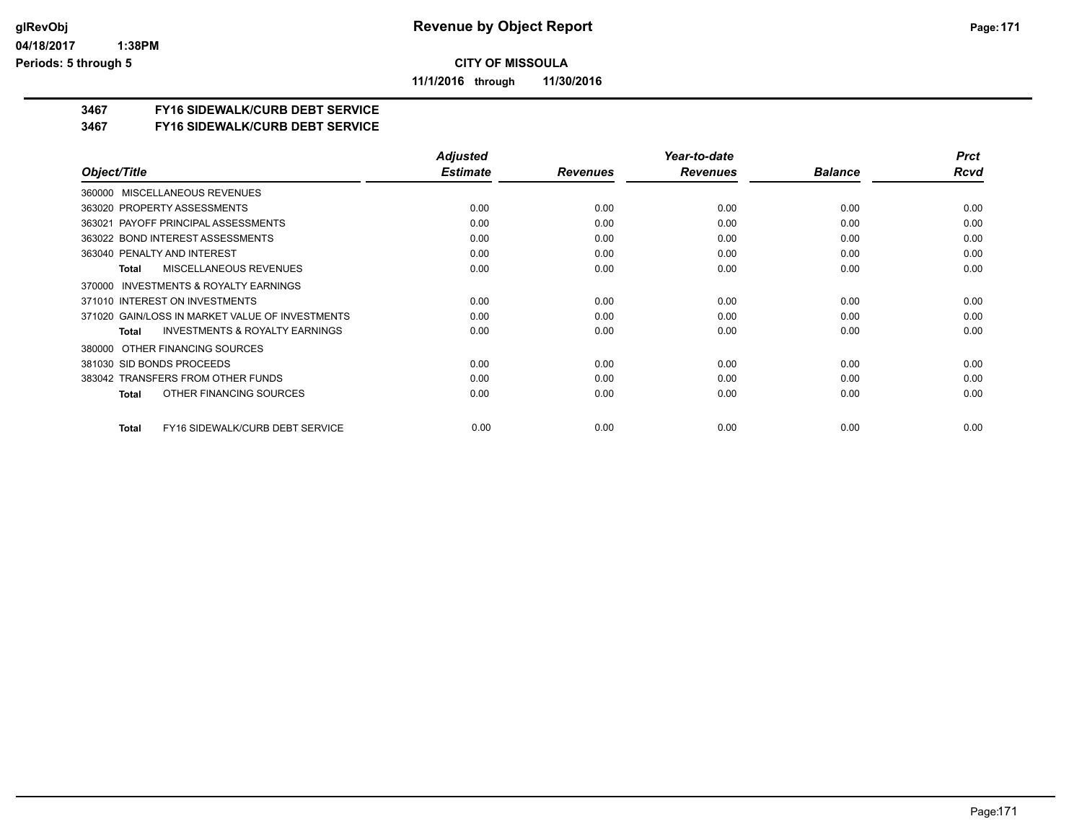**11/1/2016 through 11/30/2016**

### **3467 FY16 SIDEWALK/CURB DEBT SERVICE 3467 FY16 SIDEWALK/CURB DEBT SERVICE**

|                                                    | <b>Adjusted</b> |                 | Year-to-date    |                | <b>Prct</b> |
|----------------------------------------------------|-----------------|-----------------|-----------------|----------------|-------------|
| Object/Title                                       | <b>Estimate</b> | <b>Revenues</b> | <b>Revenues</b> | <b>Balance</b> | <b>Rcvd</b> |
| 360000 MISCELLANEOUS REVENUES                      |                 |                 |                 |                |             |
| 363020 PROPERTY ASSESSMENTS                        | 0.00            | 0.00            | 0.00            | 0.00           | 0.00        |
| 363021 PAYOFF PRINCIPAL ASSESSMENTS                | 0.00            | 0.00            | 0.00            | 0.00           | 0.00        |
| 363022 BOND INTEREST ASSESSMENTS                   | 0.00            | 0.00            | 0.00            | 0.00           | 0.00        |
| 363040 PENALTY AND INTEREST                        | 0.00            | 0.00            | 0.00            | 0.00           | 0.00        |
| MISCELLANEOUS REVENUES<br>Total                    | 0.00            | 0.00            | 0.00            | 0.00           | 0.00        |
| 370000 INVESTMENTS & ROYALTY EARNINGS              |                 |                 |                 |                |             |
| 371010 INTEREST ON INVESTMENTS                     | 0.00            | 0.00            | 0.00            | 0.00           | 0.00        |
| 371020 GAIN/LOSS IN MARKET VALUE OF INVESTMENTS    | 0.00            | 0.00            | 0.00            | 0.00           | 0.00        |
| <b>INVESTMENTS &amp; ROYALTY EARNINGS</b><br>Total | 0.00            | 0.00            | 0.00            | 0.00           | 0.00        |
| 380000 OTHER FINANCING SOURCES                     |                 |                 |                 |                |             |
| 381030 SID BONDS PROCEEDS                          | 0.00            | 0.00            | 0.00            | 0.00           | 0.00        |
| 383042 TRANSFERS FROM OTHER FUNDS                  | 0.00            | 0.00            | 0.00            | 0.00           | 0.00        |
| OTHER FINANCING SOURCES<br>Total                   | 0.00            | 0.00            | 0.00            | 0.00           | 0.00        |
|                                                    |                 |                 |                 |                |             |
| FY16 SIDEWALK/CURB DEBT SERVICE<br>Total           | 0.00            | 0.00            | 0.00            | 0.00           | 0.00        |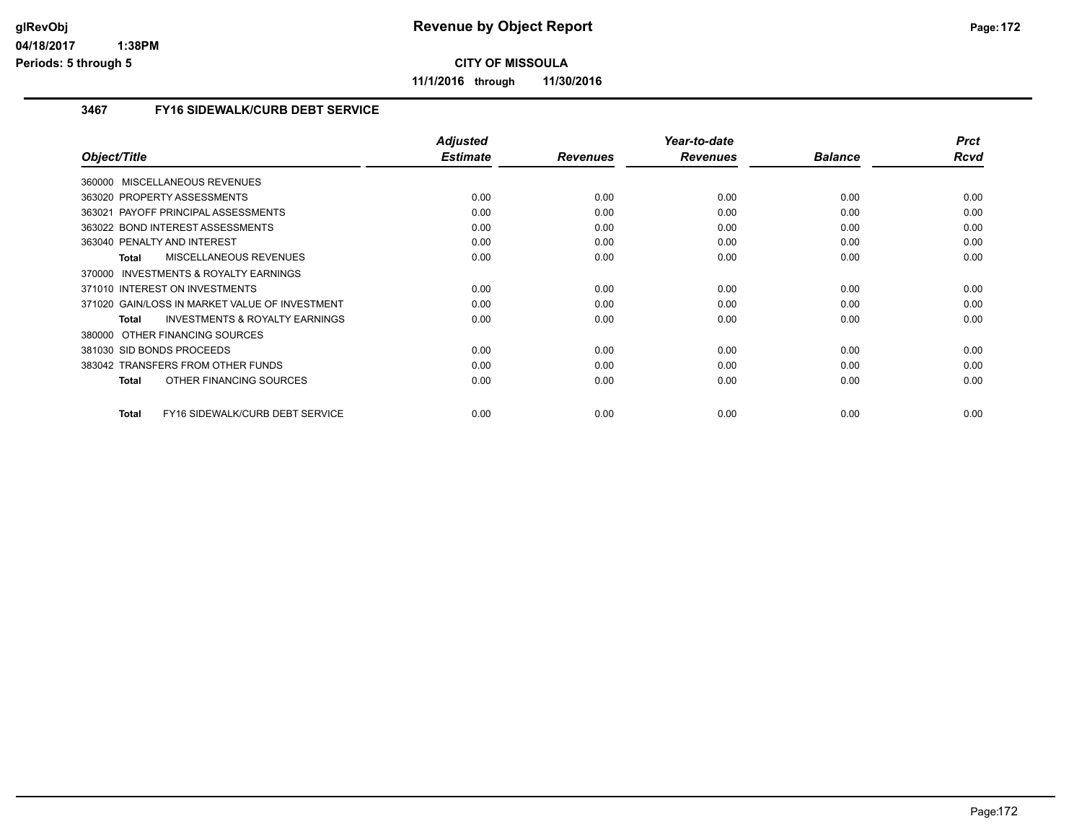**11/1/2016 through 11/30/2016**

### **3467 FY16 SIDEWALK/CURB DEBT SERVICE**

|                                                     | <b>Adjusted</b> |                 | Year-to-date    |                | <b>Prct</b> |
|-----------------------------------------------------|-----------------|-----------------|-----------------|----------------|-------------|
| Object/Title                                        | <b>Estimate</b> | <b>Revenues</b> | <b>Revenues</b> | <b>Balance</b> | Rcvd        |
| 360000 MISCELLANEOUS REVENUES                       |                 |                 |                 |                |             |
| 363020 PROPERTY ASSESSMENTS                         | 0.00            | 0.00            | 0.00            | 0.00           | 0.00        |
| 363021 PAYOFF PRINCIPAL ASSESSMENTS                 | 0.00            | 0.00            | 0.00            | 0.00           | 0.00        |
| 363022 BOND INTEREST ASSESSMENTS                    | 0.00            | 0.00            | 0.00            | 0.00           | 0.00        |
| 363040 PENALTY AND INTEREST                         | 0.00            | 0.00            | 0.00            | 0.00           | 0.00        |
| <b>MISCELLANEOUS REVENUES</b><br>Total              | 0.00            | 0.00            | 0.00            | 0.00           | 0.00        |
| <b>INVESTMENTS &amp; ROYALTY EARNINGS</b><br>370000 |                 |                 |                 |                |             |
| 371010 INTEREST ON INVESTMENTS                      | 0.00            | 0.00            | 0.00            | 0.00           | 0.00        |
| 371020 GAIN/LOSS IN MARKET VALUE OF INVESTMENT      | 0.00            | 0.00            | 0.00            | 0.00           | 0.00        |
| <b>INVESTMENTS &amp; ROYALTY EARNINGS</b><br>Total  | 0.00            | 0.00            | 0.00            | 0.00           | 0.00        |
| OTHER FINANCING SOURCES<br>380000                   |                 |                 |                 |                |             |
| 381030 SID BONDS PROCEEDS                           | 0.00            | 0.00            | 0.00            | 0.00           | 0.00        |
| 383042 TRANSFERS FROM OTHER FUNDS                   | 0.00            | 0.00            | 0.00            | 0.00           | 0.00        |
| <b>Total</b><br>OTHER FINANCING SOURCES             | 0.00            | 0.00            | 0.00            | 0.00           | 0.00        |
| FY16 SIDEWALK/CURB DEBT SERVICE<br><b>Total</b>     | 0.00            | 0.00            | 0.00            | 0.00           | 0.00        |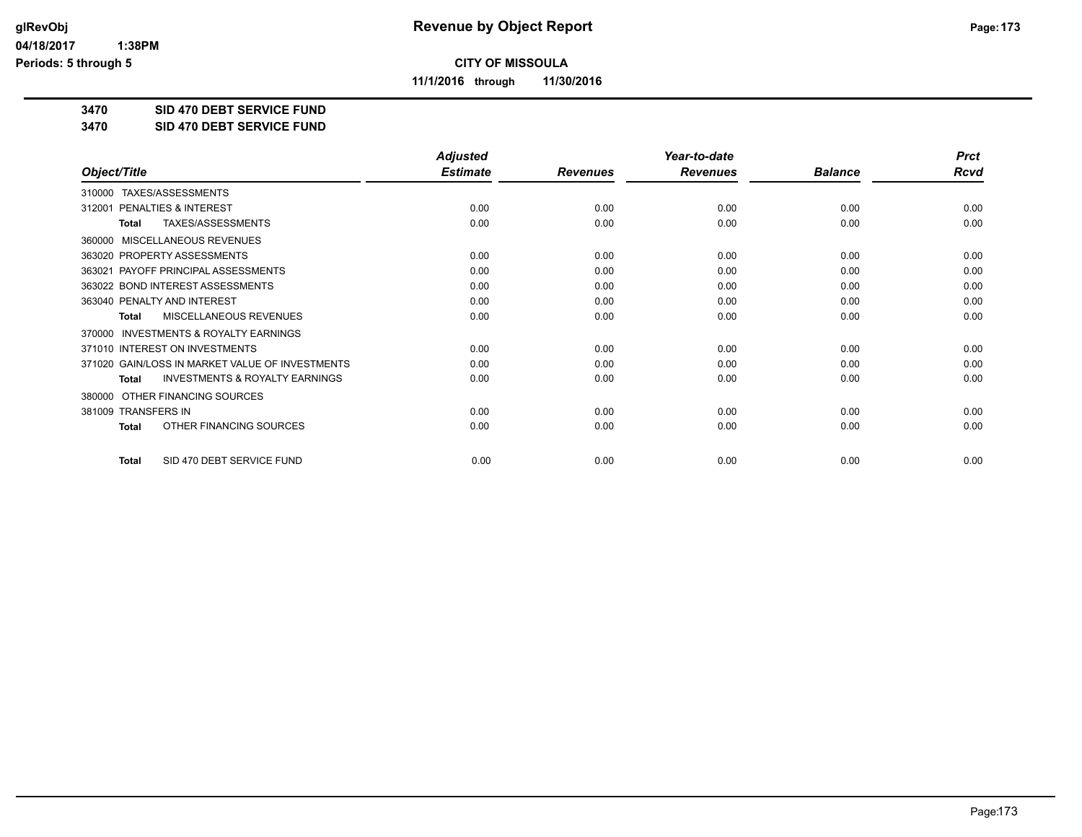**11/1/2016 through 11/30/2016**

**3470 SID 470 DEBT SERVICE FUND**

**3470 SID 470 DEBT SERVICE FUND**

|                                                    | <b>Adjusted</b> |                 | Year-to-date    |                | <b>Prct</b> |
|----------------------------------------------------|-----------------|-----------------|-----------------|----------------|-------------|
| Object/Title                                       | <b>Estimate</b> | <b>Revenues</b> | <b>Revenues</b> | <b>Balance</b> | Rcvd        |
| TAXES/ASSESSMENTS<br>310000                        |                 |                 |                 |                |             |
| PENALTIES & INTEREST<br>312001                     | 0.00            | 0.00            | 0.00            | 0.00           | 0.00        |
| TAXES/ASSESSMENTS<br>Total                         | 0.00            | 0.00            | 0.00            | 0.00           | 0.00        |
| 360000 MISCELLANEOUS REVENUES                      |                 |                 |                 |                |             |
| 363020 PROPERTY ASSESSMENTS                        | 0.00            | 0.00            | 0.00            | 0.00           | 0.00        |
| PAYOFF PRINCIPAL ASSESSMENTS<br>363021             | 0.00            | 0.00            | 0.00            | 0.00           | 0.00        |
| 363022 BOND INTEREST ASSESSMENTS                   | 0.00            | 0.00            | 0.00            | 0.00           | 0.00        |
| 363040 PENALTY AND INTEREST                        | 0.00            | 0.00            | 0.00            | 0.00           | 0.00        |
| MISCELLANEOUS REVENUES<br><b>Total</b>             | 0.00            | 0.00            | 0.00            | 0.00           | 0.00        |
| 370000 INVESTMENTS & ROYALTY EARNINGS              |                 |                 |                 |                |             |
| 371010 INTEREST ON INVESTMENTS                     | 0.00            | 0.00            | 0.00            | 0.00           | 0.00        |
| 371020 GAIN/LOSS IN MARKET VALUE OF INVESTMENTS    | 0.00            | 0.00            | 0.00            | 0.00           | 0.00        |
| <b>INVESTMENTS &amp; ROYALTY EARNINGS</b><br>Total | 0.00            | 0.00            | 0.00            | 0.00           | 0.00        |
| 380000 OTHER FINANCING SOURCES                     |                 |                 |                 |                |             |
| 381009 TRANSFERS IN                                | 0.00            | 0.00            | 0.00            | 0.00           | 0.00        |
| OTHER FINANCING SOURCES<br><b>Total</b>            | 0.00            | 0.00            | 0.00            | 0.00           | 0.00        |
| SID 470 DEBT SERVICE FUND<br><b>Total</b>          | 0.00            | 0.00            | 0.00            | 0.00           | 0.00        |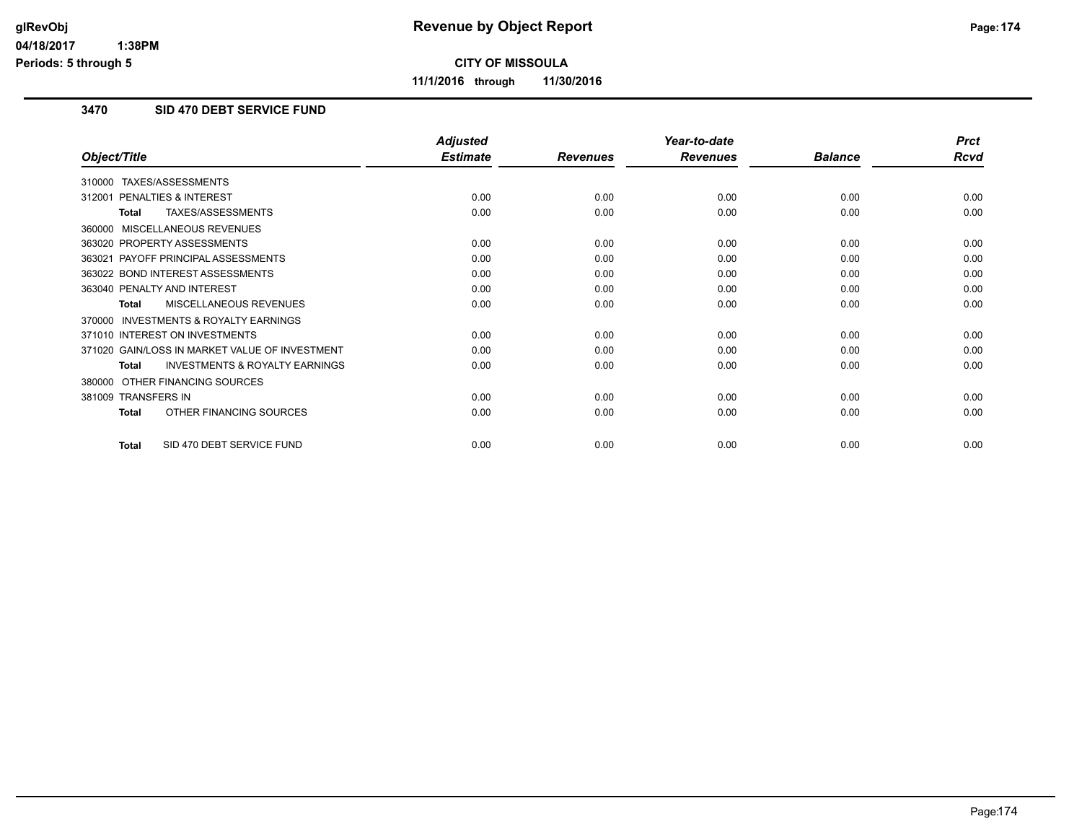**11/1/2016 through 11/30/2016**

### **3470 SID 470 DEBT SERVICE FUND**

|                                                           | <b>Adjusted</b> |                 | Year-to-date    |                | <b>Prct</b> |
|-----------------------------------------------------------|-----------------|-----------------|-----------------|----------------|-------------|
| Object/Title                                              | <b>Estimate</b> | <b>Revenues</b> | <b>Revenues</b> | <b>Balance</b> | <b>Rcvd</b> |
| TAXES/ASSESSMENTS<br>310000                               |                 |                 |                 |                |             |
| 312001 PENALTIES & INTEREST                               | 0.00            | 0.00            | 0.00            | 0.00           | 0.00        |
| TAXES/ASSESSMENTS<br><b>Total</b>                         | 0.00            | 0.00            | 0.00            | 0.00           | 0.00        |
| <b>MISCELLANEOUS REVENUES</b><br>360000                   |                 |                 |                 |                |             |
| 363020 PROPERTY ASSESSMENTS                               | 0.00            | 0.00            | 0.00            | 0.00           | 0.00        |
| 363021 PAYOFF PRINCIPAL ASSESSMENTS                       | 0.00            | 0.00            | 0.00            | 0.00           | 0.00        |
| 363022 BOND INTEREST ASSESSMENTS                          | 0.00            | 0.00            | 0.00            | 0.00           | 0.00        |
| 363040 PENALTY AND INTEREST                               | 0.00            | 0.00            | 0.00            | 0.00           | 0.00        |
| <b>MISCELLANEOUS REVENUES</b><br>Total                    | 0.00            | 0.00            | 0.00            | 0.00           | 0.00        |
| <b>INVESTMENTS &amp; ROYALTY EARNINGS</b><br>370000       |                 |                 |                 |                |             |
| 371010 INTEREST ON INVESTMENTS                            | 0.00            | 0.00            | 0.00            | 0.00           | 0.00        |
| 371020 GAIN/LOSS IN MARKET VALUE OF INVESTMENT            | 0.00            | 0.00            | 0.00            | 0.00           | 0.00        |
| <b>INVESTMENTS &amp; ROYALTY EARNINGS</b><br><b>Total</b> | 0.00            | 0.00            | 0.00            | 0.00           | 0.00        |
| OTHER FINANCING SOURCES<br>380000                         |                 |                 |                 |                |             |
| 381009 TRANSFERS IN                                       | 0.00            | 0.00            | 0.00            | 0.00           | 0.00        |
| OTHER FINANCING SOURCES<br>Total                          | 0.00            | 0.00            | 0.00            | 0.00           | 0.00        |
| SID 470 DEBT SERVICE FUND<br><b>Total</b>                 | 0.00            | 0.00            | 0.00            | 0.00           | 0.00        |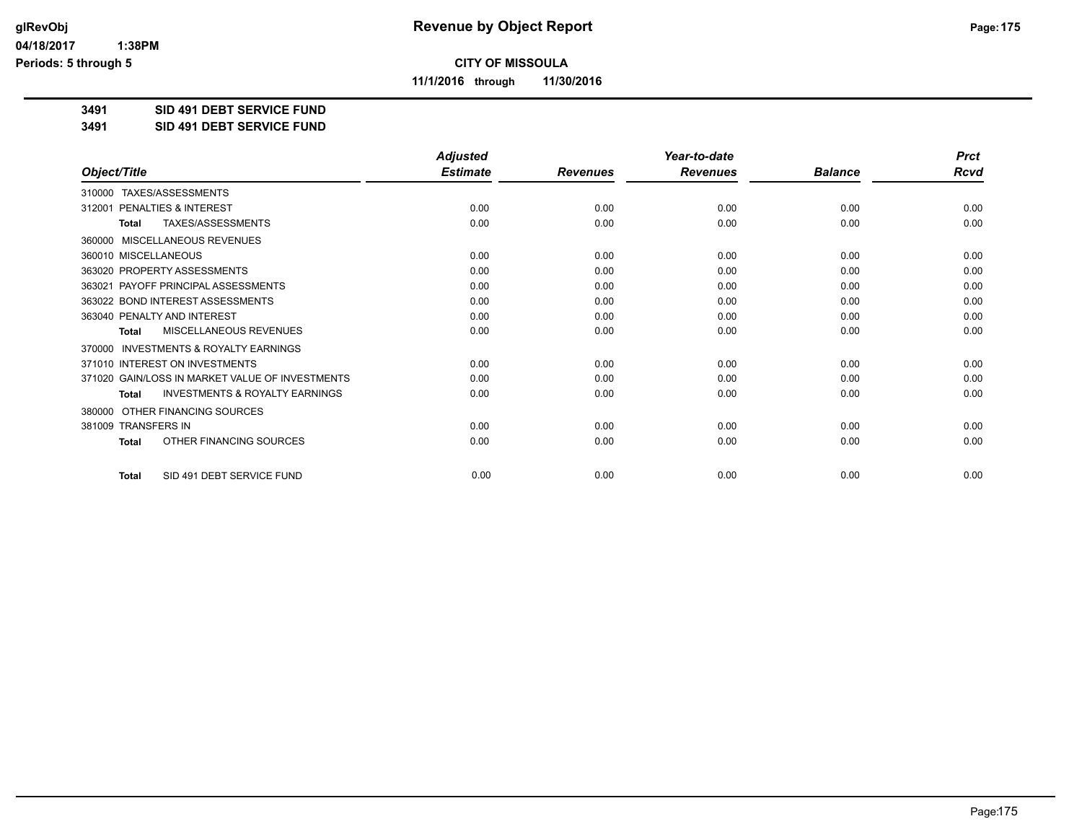**11/1/2016 through 11/30/2016**

**3491 SID 491 DEBT SERVICE FUND**

**3491 SID 491 DEBT SERVICE FUND**

|                                                           | <b>Adjusted</b> |                 | Year-to-date    |                |      |
|-----------------------------------------------------------|-----------------|-----------------|-----------------|----------------|------|
| Object/Title                                              | <b>Estimate</b> | <b>Revenues</b> | <b>Revenues</b> | <b>Balance</b> | Rcvd |
| 310000 TAXES/ASSESSMENTS                                  |                 |                 |                 |                |      |
| PENALTIES & INTEREST<br>312001                            | 0.00            | 0.00            | 0.00            | 0.00           | 0.00 |
| TAXES/ASSESSMENTS<br><b>Total</b>                         | 0.00            | 0.00            | 0.00            | 0.00           | 0.00 |
| 360000 MISCELLANEOUS REVENUES                             |                 |                 |                 |                |      |
| 360010 MISCELLANEOUS                                      | 0.00            | 0.00            | 0.00            | 0.00           | 0.00 |
| 363020 PROPERTY ASSESSMENTS                               | 0.00            | 0.00            | 0.00            | 0.00           | 0.00 |
| 363021 PAYOFF PRINCIPAL ASSESSMENTS                       | 0.00            | 0.00            | 0.00            | 0.00           | 0.00 |
| 363022 BOND INTEREST ASSESSMENTS                          | 0.00            | 0.00            | 0.00            | 0.00           | 0.00 |
| 363040 PENALTY AND INTEREST                               | 0.00            | 0.00            | 0.00            | 0.00           | 0.00 |
| MISCELLANEOUS REVENUES<br>Total                           | 0.00            | 0.00            | 0.00            | 0.00           | 0.00 |
| <b>INVESTMENTS &amp; ROYALTY EARNINGS</b><br>370000       |                 |                 |                 |                |      |
| 371010 INTEREST ON INVESTMENTS                            | 0.00            | 0.00            | 0.00            | 0.00           | 0.00 |
| 371020 GAIN/LOSS IN MARKET VALUE OF INVESTMENTS           | 0.00            | 0.00            | 0.00            | 0.00           | 0.00 |
| <b>INVESTMENTS &amp; ROYALTY EARNINGS</b><br><b>Total</b> | 0.00            | 0.00            | 0.00            | 0.00           | 0.00 |
| OTHER FINANCING SOURCES<br>380000                         |                 |                 |                 |                |      |
| 381009 TRANSFERS IN                                       | 0.00            | 0.00            | 0.00            | 0.00           | 0.00 |
| OTHER FINANCING SOURCES<br><b>Total</b>                   | 0.00            | 0.00            | 0.00            | 0.00           | 0.00 |
| SID 491 DEBT SERVICE FUND<br><b>Total</b>                 | 0.00            | 0.00            | 0.00            | 0.00           | 0.00 |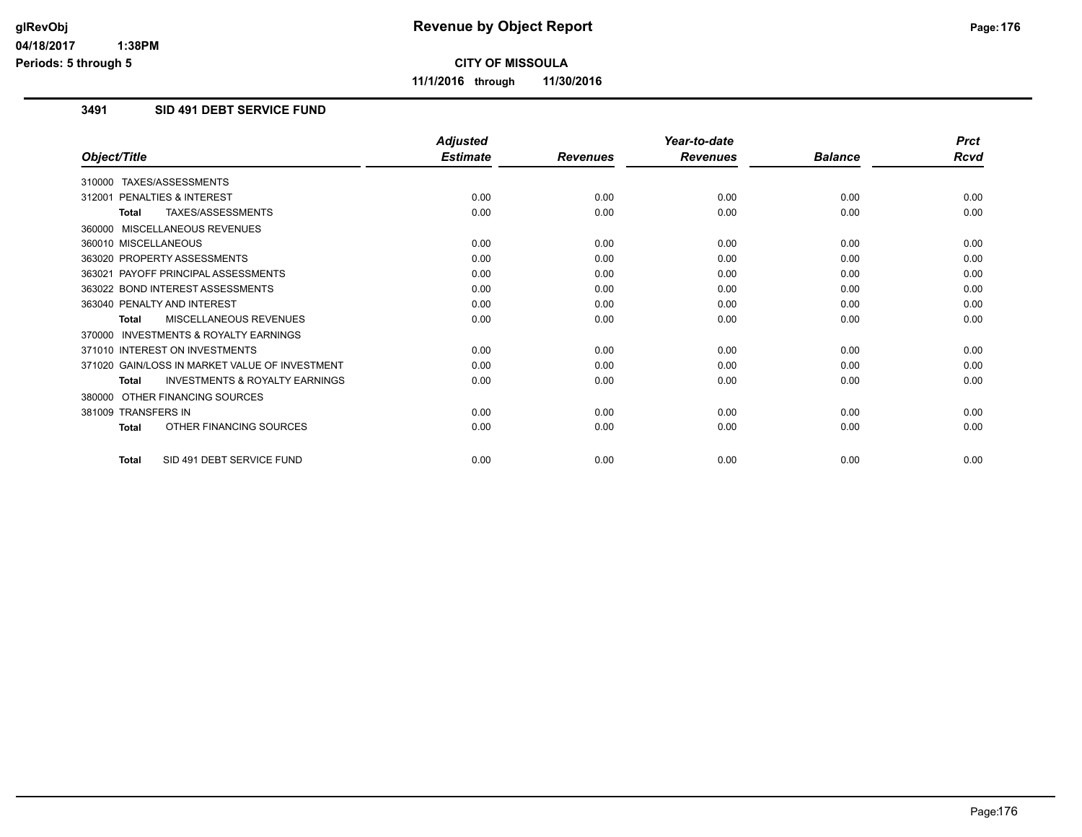**11/1/2016 through 11/30/2016**

### **3491 SID 491 DEBT SERVICE FUND**

|                                                     | <b>Adjusted</b> |                 | Year-to-date    |                | <b>Prct</b> |
|-----------------------------------------------------|-----------------|-----------------|-----------------|----------------|-------------|
| Object/Title                                        | <b>Estimate</b> | <b>Revenues</b> | <b>Revenues</b> | <b>Balance</b> | <b>Rcvd</b> |
| 310000 TAXES/ASSESSMENTS                            |                 |                 |                 |                |             |
| PENALTIES & INTEREST<br>312001                      | 0.00            | 0.00            | 0.00            | 0.00           | 0.00        |
| TAXES/ASSESSMENTS<br><b>Total</b>                   | 0.00            | 0.00            | 0.00            | 0.00           | 0.00        |
| 360000 MISCELLANEOUS REVENUES                       |                 |                 |                 |                |             |
| 360010 MISCELLANEOUS                                | 0.00            | 0.00            | 0.00            | 0.00           | 0.00        |
| 363020 PROPERTY ASSESSMENTS                         | 0.00            | 0.00            | 0.00            | 0.00           | 0.00        |
| 363021 PAYOFF PRINCIPAL ASSESSMENTS                 | 0.00            | 0.00            | 0.00            | 0.00           | 0.00        |
| 363022 BOND INTEREST ASSESSMENTS                    | 0.00            | 0.00            | 0.00            | 0.00           | 0.00        |
| 363040 PENALTY AND INTEREST                         | 0.00            | 0.00            | 0.00            | 0.00           | 0.00        |
| <b>MISCELLANEOUS REVENUES</b><br>Total              | 0.00            | 0.00            | 0.00            | 0.00           | 0.00        |
| <b>INVESTMENTS &amp; ROYALTY EARNINGS</b><br>370000 |                 |                 |                 |                |             |
| 371010 INTEREST ON INVESTMENTS                      | 0.00            | 0.00            | 0.00            | 0.00           | 0.00        |
| 371020 GAIN/LOSS IN MARKET VALUE OF INVESTMENT      | 0.00            | 0.00            | 0.00            | 0.00           | 0.00        |
| <b>INVESTMENTS &amp; ROYALTY EARNINGS</b><br>Total  | 0.00            | 0.00            | 0.00            | 0.00           | 0.00        |
| OTHER FINANCING SOURCES<br>380000                   |                 |                 |                 |                |             |
| 381009 TRANSFERS IN                                 | 0.00            | 0.00            | 0.00            | 0.00           | 0.00        |
| OTHER FINANCING SOURCES<br>Total                    | 0.00            | 0.00            | 0.00            | 0.00           | 0.00        |
|                                                     |                 |                 |                 |                |             |
| SID 491 DEBT SERVICE FUND<br><b>Total</b>           | 0.00            | 0.00            | 0.00            | 0.00           | 0.00        |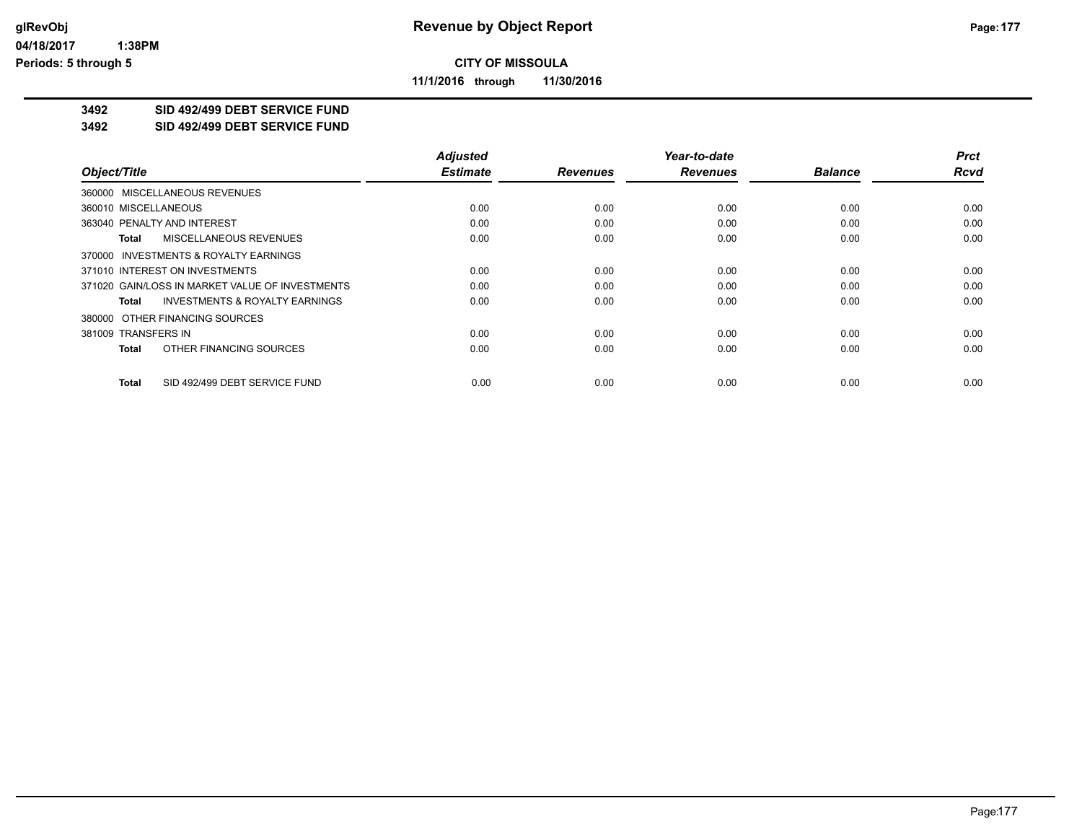**11/1/2016 through 11/30/2016**

**3492 SID 492/499 DEBT SERVICE FUND**

**3492 SID 492/499 DEBT SERVICE FUND**

|                                                 | <b>Adjusted</b> |                 | Year-to-date    |                | <b>Prct</b> |
|-------------------------------------------------|-----------------|-----------------|-----------------|----------------|-------------|
| Object/Title                                    | <b>Estimate</b> | <b>Revenues</b> | <b>Revenues</b> | <b>Balance</b> | <b>Rcvd</b> |
| 360000 MISCELLANEOUS REVENUES                   |                 |                 |                 |                |             |
| 360010 MISCELLANEOUS                            | 0.00            | 0.00            | 0.00            | 0.00           | 0.00        |
| 363040 PENALTY AND INTEREST                     | 0.00            | 0.00            | 0.00            | 0.00           | 0.00        |
| MISCELLANEOUS REVENUES<br>Total                 | 0.00            | 0.00            | 0.00            | 0.00           | 0.00        |
| 370000 INVESTMENTS & ROYALTY EARNINGS           |                 |                 |                 |                |             |
| 371010 INTEREST ON INVESTMENTS                  | 0.00            | 0.00            | 0.00            | 0.00           | 0.00        |
| 371020 GAIN/LOSS IN MARKET VALUE OF INVESTMENTS | 0.00            | 0.00            | 0.00            | 0.00           | 0.00        |
| INVESTMENTS & ROYALTY EARNINGS<br>Total         | 0.00            | 0.00            | 0.00            | 0.00           | 0.00        |
| 380000 OTHER FINANCING SOURCES                  |                 |                 |                 |                |             |
| 381009 TRANSFERS IN                             | 0.00            | 0.00            | 0.00            | 0.00           | 0.00        |
| OTHER FINANCING SOURCES<br>Total                | 0.00            | 0.00            | 0.00            | 0.00           | 0.00        |
| SID 492/499 DEBT SERVICE FUND<br><b>Total</b>   | 0.00            | 0.00            | 0.00            | 0.00           | 0.00        |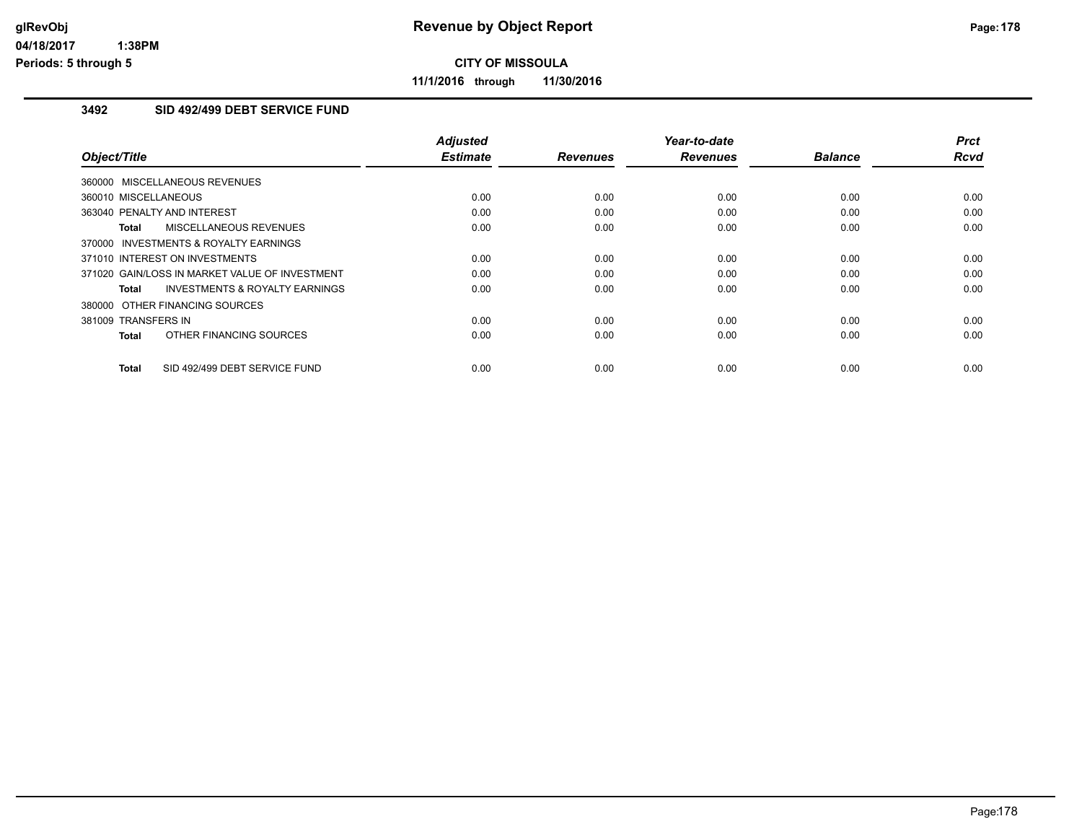**11/1/2016 through 11/30/2016**

### **3492 SID 492/499 DEBT SERVICE FUND**

| Object/Title                                              | <b>Adjusted</b><br><b>Estimate</b> | <b>Revenues</b> | Year-to-date<br><b>Revenues</b> | <b>Balance</b> | <b>Prct</b><br>Rcvd |
|-----------------------------------------------------------|------------------------------------|-----------------|---------------------------------|----------------|---------------------|
| 360000 MISCELLANEOUS REVENUES                             |                                    |                 |                                 |                |                     |
| 360010 MISCELLANEOUS                                      | 0.00                               | 0.00            | 0.00                            | 0.00           | 0.00                |
| 363040 PENALTY AND INTEREST                               | 0.00                               | 0.00            | 0.00                            | 0.00           | 0.00                |
| MISCELLANEOUS REVENUES<br><b>Total</b>                    | 0.00                               | 0.00            | 0.00                            | 0.00           | 0.00                |
| INVESTMENTS & ROYALTY EARNINGS<br>370000                  |                                    |                 |                                 |                |                     |
| 371010 INTEREST ON INVESTMENTS                            | 0.00                               | 0.00            | 0.00                            | 0.00           | 0.00                |
| 371020 GAIN/LOSS IN MARKET VALUE OF INVESTMENT            | 0.00                               | 0.00            | 0.00                            | 0.00           | 0.00                |
| <b>INVESTMENTS &amp; ROYALTY EARNINGS</b><br><b>Total</b> | 0.00                               | 0.00            | 0.00                            | 0.00           | 0.00                |
| 380000 OTHER FINANCING SOURCES                            |                                    |                 |                                 |                |                     |
| 381009 TRANSFERS IN                                       | 0.00                               | 0.00            | 0.00                            | 0.00           | 0.00                |
| OTHER FINANCING SOURCES<br><b>Total</b>                   | 0.00                               | 0.00            | 0.00                            | 0.00           | 0.00                |
| SID 492/499 DEBT SERVICE FUND<br><b>Total</b>             | 0.00                               | 0.00            | 0.00                            | 0.00           | 0.00                |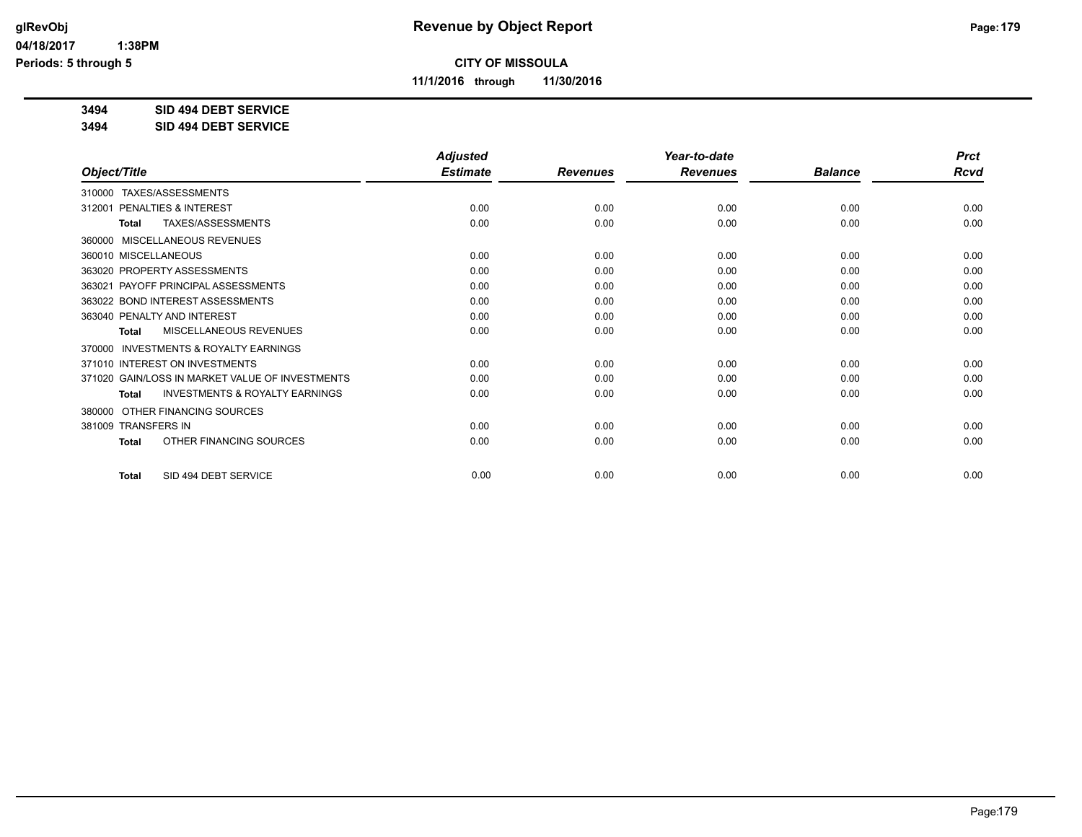**11/1/2016 through 11/30/2016**

**3494 SID 494 DEBT SERVICE 3494 SID 494 DEBT SERVICE**

| Object/Title                                              | <b>Adjusted</b> |                 | Year-to-date    |                | <b>Prct</b> |
|-----------------------------------------------------------|-----------------|-----------------|-----------------|----------------|-------------|
|                                                           | <b>Estimate</b> | <b>Revenues</b> | <b>Revenues</b> | <b>Balance</b> | Rcvd        |
| TAXES/ASSESSMENTS<br>310000                               |                 |                 |                 |                |             |
| <b>PENALTIES &amp; INTEREST</b><br>312001                 | 0.00            | 0.00            | 0.00            | 0.00           | 0.00        |
| TAXES/ASSESSMENTS<br><b>Total</b>                         | 0.00            | 0.00            | 0.00            | 0.00           | 0.00        |
| 360000 MISCELLANEOUS REVENUES                             |                 |                 |                 |                |             |
| 360010 MISCELLANEOUS                                      | 0.00            | 0.00            | 0.00            | 0.00           | 0.00        |
| 363020 PROPERTY ASSESSMENTS                               | 0.00            | 0.00            | 0.00            | 0.00           | 0.00        |
| 363021 PAYOFF PRINCIPAL ASSESSMENTS                       | 0.00            | 0.00            | 0.00            | 0.00           | 0.00        |
| 363022 BOND INTEREST ASSESSMENTS                          | 0.00            | 0.00            | 0.00            | 0.00           | 0.00        |
| 363040 PENALTY AND INTEREST                               | 0.00            | 0.00            | 0.00            | 0.00           | 0.00        |
| MISCELLANEOUS REVENUES<br><b>Total</b>                    | 0.00            | 0.00            | 0.00            | 0.00           | 0.00        |
| INVESTMENTS & ROYALTY EARNINGS<br>370000                  |                 |                 |                 |                |             |
| 371010 INTEREST ON INVESTMENTS                            | 0.00            | 0.00            | 0.00            | 0.00           | 0.00        |
| 371020 GAIN/LOSS IN MARKET VALUE OF INVESTMENTS           | 0.00            | 0.00            | 0.00            | 0.00           | 0.00        |
| <b>INVESTMENTS &amp; ROYALTY EARNINGS</b><br><b>Total</b> | 0.00            | 0.00            | 0.00            | 0.00           | 0.00        |
| OTHER FINANCING SOURCES<br>380000                         |                 |                 |                 |                |             |
| 381009 TRANSFERS IN                                       | 0.00            | 0.00            | 0.00            | 0.00           | 0.00        |
| OTHER FINANCING SOURCES<br><b>Total</b>                   | 0.00            | 0.00            | 0.00            | 0.00           | 0.00        |
| SID 494 DEBT SERVICE<br><b>Total</b>                      | 0.00            | 0.00            | 0.00            | 0.00           | 0.00        |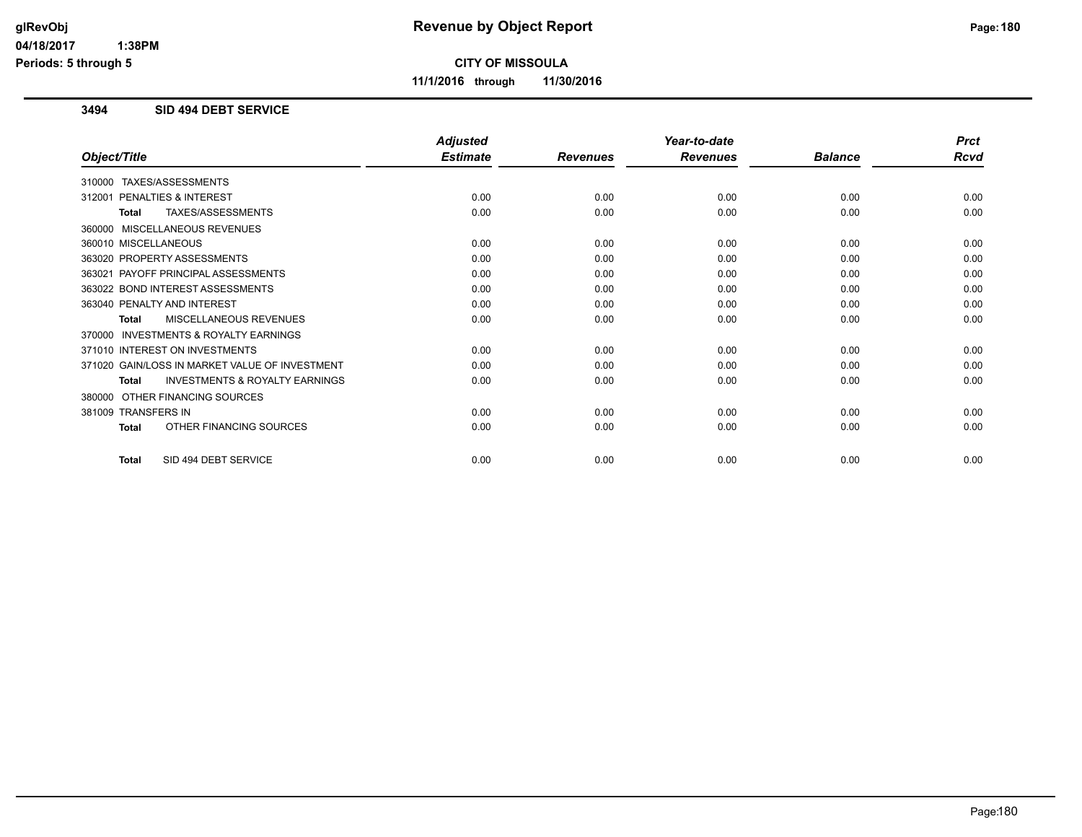**11/1/2016 through 11/30/2016**

### **3494 SID 494 DEBT SERVICE**

|                                                    | <b>Adjusted</b> |                 | Year-to-date    |                | <b>Prct</b> |
|----------------------------------------------------|-----------------|-----------------|-----------------|----------------|-------------|
| Object/Title                                       | <b>Estimate</b> | <b>Revenues</b> | <b>Revenues</b> | <b>Balance</b> | <b>Rcvd</b> |
| 310000 TAXES/ASSESSMENTS                           |                 |                 |                 |                |             |
| PENALTIES & INTEREST<br>312001                     | 0.00            | 0.00            | 0.00            | 0.00           | 0.00        |
| TAXES/ASSESSMENTS<br><b>Total</b>                  | 0.00            | 0.00            | 0.00            | 0.00           | 0.00        |
| 360000 MISCELLANEOUS REVENUES                      |                 |                 |                 |                |             |
| 360010 MISCELLANEOUS                               | 0.00            | 0.00            | 0.00            | 0.00           | 0.00        |
| 363020 PROPERTY ASSESSMENTS                        | 0.00            | 0.00            | 0.00            | 0.00           | 0.00        |
| 363021 PAYOFF PRINCIPAL ASSESSMENTS                | 0.00            | 0.00            | 0.00            | 0.00           | 0.00        |
| 363022 BOND INTEREST ASSESSMENTS                   | 0.00            | 0.00            | 0.00            | 0.00           | 0.00        |
| 363040 PENALTY AND INTEREST                        | 0.00            | 0.00            | 0.00            | 0.00           | 0.00        |
| <b>MISCELLANEOUS REVENUES</b><br>Total             | 0.00            | 0.00            | 0.00            | 0.00           | 0.00        |
| 370000 INVESTMENTS & ROYALTY EARNINGS              |                 |                 |                 |                |             |
| 371010 INTEREST ON INVESTMENTS                     | 0.00            | 0.00            | 0.00            | 0.00           | 0.00        |
| 371020 GAIN/LOSS IN MARKET VALUE OF INVESTMENT     | 0.00            | 0.00            | 0.00            | 0.00           | 0.00        |
| <b>INVESTMENTS &amp; ROYALTY EARNINGS</b><br>Total | 0.00            | 0.00            | 0.00            | 0.00           | 0.00        |
| 380000 OTHER FINANCING SOURCES                     |                 |                 |                 |                |             |
| 381009 TRANSFERS IN                                | 0.00            | 0.00            | 0.00            | 0.00           | 0.00        |
| OTHER FINANCING SOURCES<br>Total                   | 0.00            | 0.00            | 0.00            | 0.00           | 0.00        |
| SID 494 DEBT SERVICE<br><b>Total</b>               | 0.00            | 0.00            | 0.00            | 0.00           | 0.00        |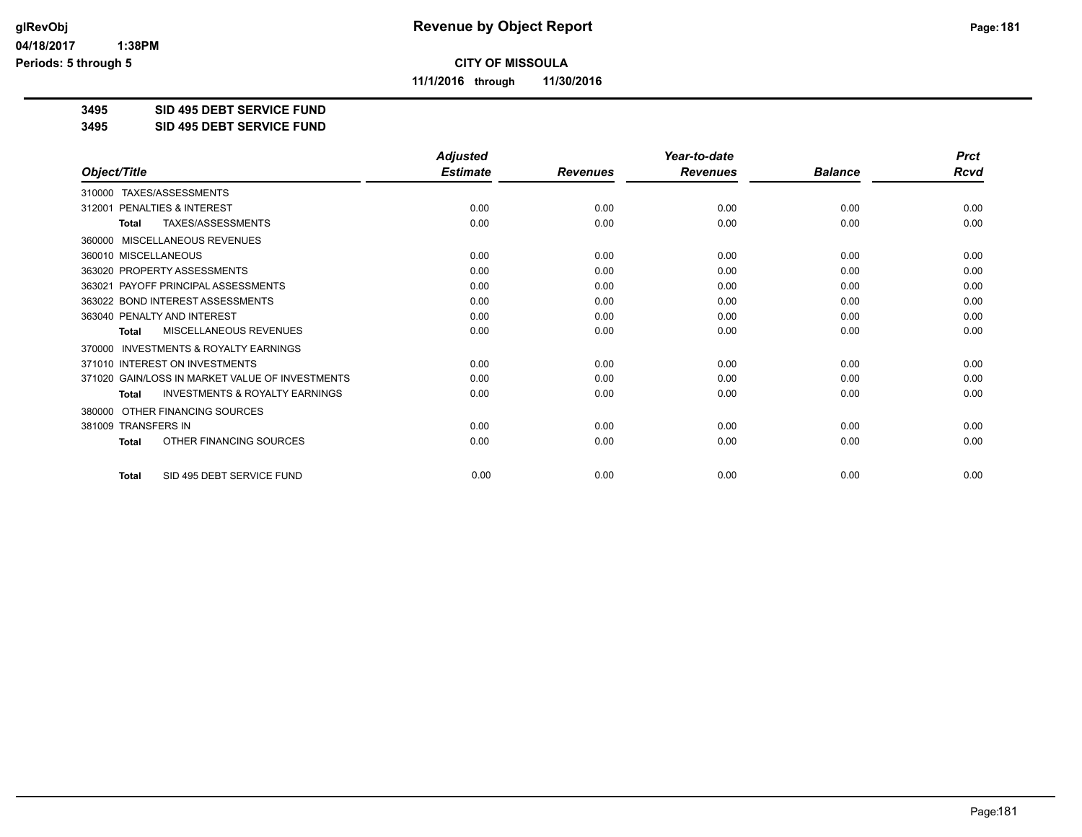**11/1/2016 through 11/30/2016**

**3495 SID 495 DEBT SERVICE FUND**

**3495 SID 495 DEBT SERVICE FUND**

|                                                           | <b>Adjusted</b> |                 | Year-to-date    |                | <b>Prct</b> |
|-----------------------------------------------------------|-----------------|-----------------|-----------------|----------------|-------------|
| Object/Title                                              | <b>Estimate</b> | <b>Revenues</b> | <b>Revenues</b> | <b>Balance</b> | Rcvd        |
| TAXES/ASSESSMENTS<br>310000                               |                 |                 |                 |                |             |
| 312001 PENALTIES & INTEREST                               | 0.00            | 0.00            | 0.00            | 0.00           | 0.00        |
| TAXES/ASSESSMENTS<br><b>Total</b>                         | 0.00            | 0.00            | 0.00            | 0.00           | 0.00        |
| 360000 MISCELLANEOUS REVENUES                             |                 |                 |                 |                |             |
| 360010 MISCELLANEOUS                                      | 0.00            | 0.00            | 0.00            | 0.00           | 0.00        |
| 363020 PROPERTY ASSESSMENTS                               | 0.00            | 0.00            | 0.00            | 0.00           | 0.00        |
| PAYOFF PRINCIPAL ASSESSMENTS<br>363021                    | 0.00            | 0.00            | 0.00            | 0.00           | 0.00        |
| 363022 BOND INTEREST ASSESSMENTS                          | 0.00            | 0.00            | 0.00            | 0.00           | 0.00        |
| 363040 PENALTY AND INTEREST                               | 0.00            | 0.00            | 0.00            | 0.00           | 0.00        |
| MISCELLANEOUS REVENUES<br><b>Total</b>                    | 0.00            | 0.00            | 0.00            | 0.00           | 0.00        |
| <b>INVESTMENTS &amp; ROYALTY EARNINGS</b><br>370000       |                 |                 |                 |                |             |
| 371010 INTEREST ON INVESTMENTS                            | 0.00            | 0.00            | 0.00            | 0.00           | 0.00        |
| 371020 GAIN/LOSS IN MARKET VALUE OF INVESTMENTS           | 0.00            | 0.00            | 0.00            | 0.00           | 0.00        |
| <b>INVESTMENTS &amp; ROYALTY EARNINGS</b><br><b>Total</b> | 0.00            | 0.00            | 0.00            | 0.00           | 0.00        |
| OTHER FINANCING SOURCES<br>380000                         |                 |                 |                 |                |             |
| 381009 TRANSFERS IN                                       | 0.00            | 0.00            | 0.00            | 0.00           | 0.00        |
| OTHER FINANCING SOURCES<br><b>Total</b>                   | 0.00            | 0.00            | 0.00            | 0.00           | 0.00        |
| SID 495 DEBT SERVICE FUND<br><b>Total</b>                 | 0.00            | 0.00            | 0.00            | 0.00           | 0.00        |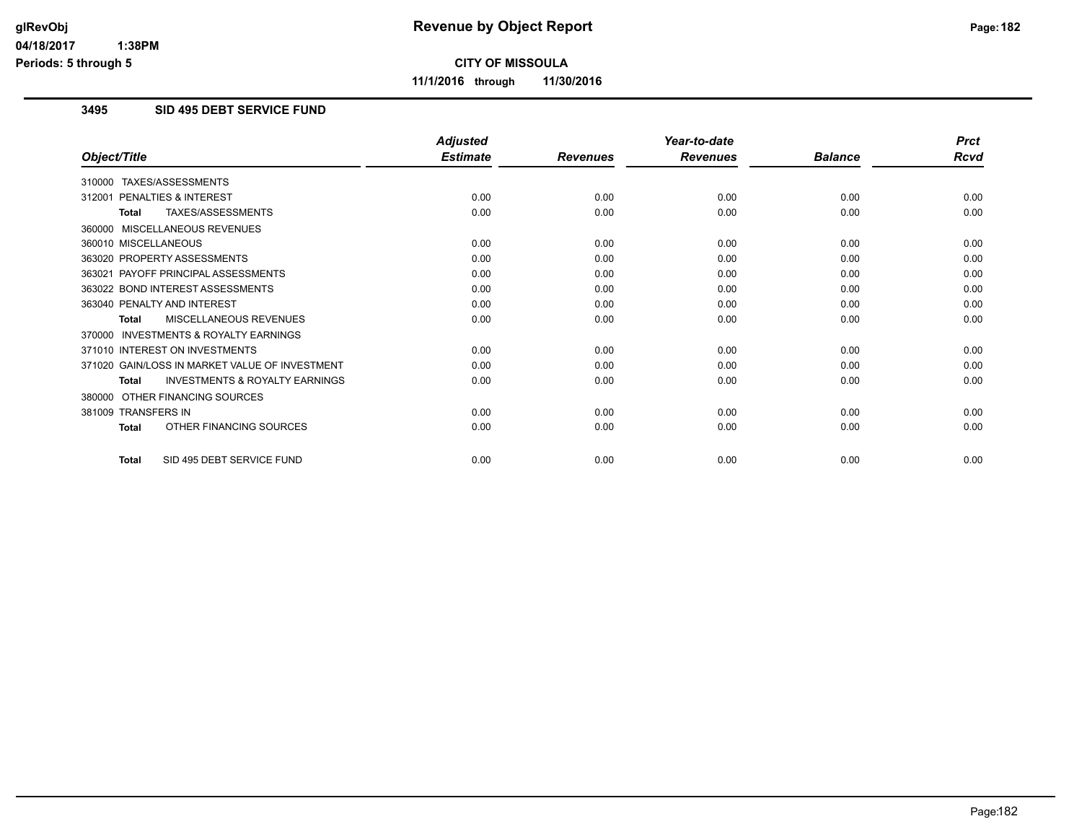**11/1/2016 through 11/30/2016**

#### **3495 SID 495 DEBT SERVICE FUND**

|                                                           | <b>Adjusted</b> |                 | Year-to-date    |                | <b>Prct</b> |
|-----------------------------------------------------------|-----------------|-----------------|-----------------|----------------|-------------|
| Object/Title                                              | <b>Estimate</b> | <b>Revenues</b> | <b>Revenues</b> | <b>Balance</b> | Rcvd        |
| 310000 TAXES/ASSESSMENTS                                  |                 |                 |                 |                |             |
| 312001 PENALTIES & INTEREST                               | 0.00            | 0.00            | 0.00            | 0.00           | 0.00        |
| TAXES/ASSESSMENTS<br><b>Total</b>                         | 0.00            | 0.00            | 0.00            | 0.00           | 0.00        |
| 360000 MISCELLANEOUS REVENUES                             |                 |                 |                 |                |             |
| 360010 MISCELLANEOUS                                      | 0.00            | 0.00            | 0.00            | 0.00           | 0.00        |
| 363020 PROPERTY ASSESSMENTS                               | 0.00            | 0.00            | 0.00            | 0.00           | 0.00        |
| 363021 PAYOFF PRINCIPAL ASSESSMENTS                       | 0.00            | 0.00            | 0.00            | 0.00           | 0.00        |
| 363022 BOND INTEREST ASSESSMENTS                          | 0.00            | 0.00            | 0.00            | 0.00           | 0.00        |
| 363040 PENALTY AND INTEREST                               | 0.00            | 0.00            | 0.00            | 0.00           | 0.00        |
| MISCELLANEOUS REVENUES<br>Total                           | 0.00            | 0.00            | 0.00            | 0.00           | 0.00        |
| <b>INVESTMENTS &amp; ROYALTY EARNINGS</b><br>370000       |                 |                 |                 |                |             |
| 371010 INTEREST ON INVESTMENTS                            | 0.00            | 0.00            | 0.00            | 0.00           | 0.00        |
| 371020 GAIN/LOSS IN MARKET VALUE OF INVESTMENT            | 0.00            | 0.00            | 0.00            | 0.00           | 0.00        |
| <b>INVESTMENTS &amp; ROYALTY EARNINGS</b><br><b>Total</b> | 0.00            | 0.00            | 0.00            | 0.00           | 0.00        |
| OTHER FINANCING SOURCES<br>380000                         |                 |                 |                 |                |             |
| 381009 TRANSFERS IN                                       | 0.00            | 0.00            | 0.00            | 0.00           | 0.00        |
| OTHER FINANCING SOURCES<br><b>Total</b>                   | 0.00            | 0.00            | 0.00            | 0.00           | 0.00        |
| SID 495 DEBT SERVICE FUND<br><b>Total</b>                 | 0.00            | 0.00            | 0.00            | 0.00           | 0.00        |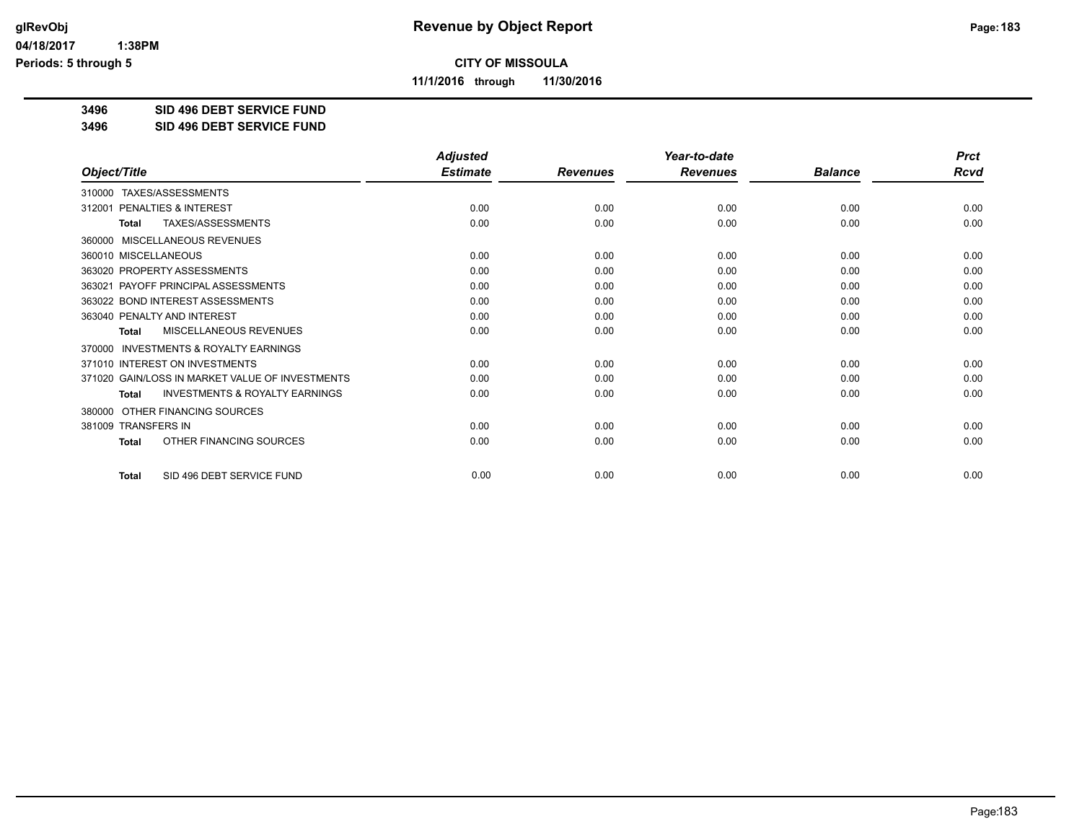**11/1/2016 through 11/30/2016**

**3496 SID 496 DEBT SERVICE FUND**

**3496 SID 496 DEBT SERVICE FUND**

|                                                           | <b>Adjusted</b> |                 | Year-to-date    |                | <b>Prct</b> |
|-----------------------------------------------------------|-----------------|-----------------|-----------------|----------------|-------------|
| Object/Title                                              | <b>Estimate</b> | <b>Revenues</b> | <b>Revenues</b> | <b>Balance</b> | Rcvd        |
| 310000 TAXES/ASSESSMENTS                                  |                 |                 |                 |                |             |
| <b>PENALTIES &amp; INTEREST</b><br>312001                 | 0.00            | 0.00            | 0.00            | 0.00           | 0.00        |
| <b>TAXES/ASSESSMENTS</b><br><b>Total</b>                  | 0.00            | 0.00            | 0.00            | 0.00           | 0.00        |
| 360000 MISCELLANEOUS REVENUES                             |                 |                 |                 |                |             |
| 360010 MISCELLANEOUS                                      | 0.00            | 0.00            | 0.00            | 0.00           | 0.00        |
| 363020 PROPERTY ASSESSMENTS                               | 0.00            | 0.00            | 0.00            | 0.00           | 0.00        |
| 363021 PAYOFF PRINCIPAL ASSESSMENTS                       | 0.00            | 0.00            | 0.00            | 0.00           | 0.00        |
| 363022 BOND INTEREST ASSESSMENTS                          | 0.00            | 0.00            | 0.00            | 0.00           | 0.00        |
| 363040 PENALTY AND INTEREST                               | 0.00            | 0.00            | 0.00            | 0.00           | 0.00        |
| MISCELLANEOUS REVENUES<br>Total                           | 0.00            | 0.00            | 0.00            | 0.00           | 0.00        |
| <b>INVESTMENTS &amp; ROYALTY EARNINGS</b><br>370000       |                 |                 |                 |                |             |
| 371010 INTEREST ON INVESTMENTS                            | 0.00            | 0.00            | 0.00            | 0.00           | 0.00        |
| 371020 GAIN/LOSS IN MARKET VALUE OF INVESTMENTS           | 0.00            | 0.00            | 0.00            | 0.00           | 0.00        |
| <b>INVESTMENTS &amp; ROYALTY EARNINGS</b><br><b>Total</b> | 0.00            | 0.00            | 0.00            | 0.00           | 0.00        |
| OTHER FINANCING SOURCES<br>380000                         |                 |                 |                 |                |             |
| 381009 TRANSFERS IN                                       | 0.00            | 0.00            | 0.00            | 0.00           | 0.00        |
| OTHER FINANCING SOURCES<br><b>Total</b>                   | 0.00            | 0.00            | 0.00            | 0.00           | 0.00        |
| SID 496 DEBT SERVICE FUND<br><b>Total</b>                 | 0.00            | 0.00            | 0.00            | 0.00           | 0.00        |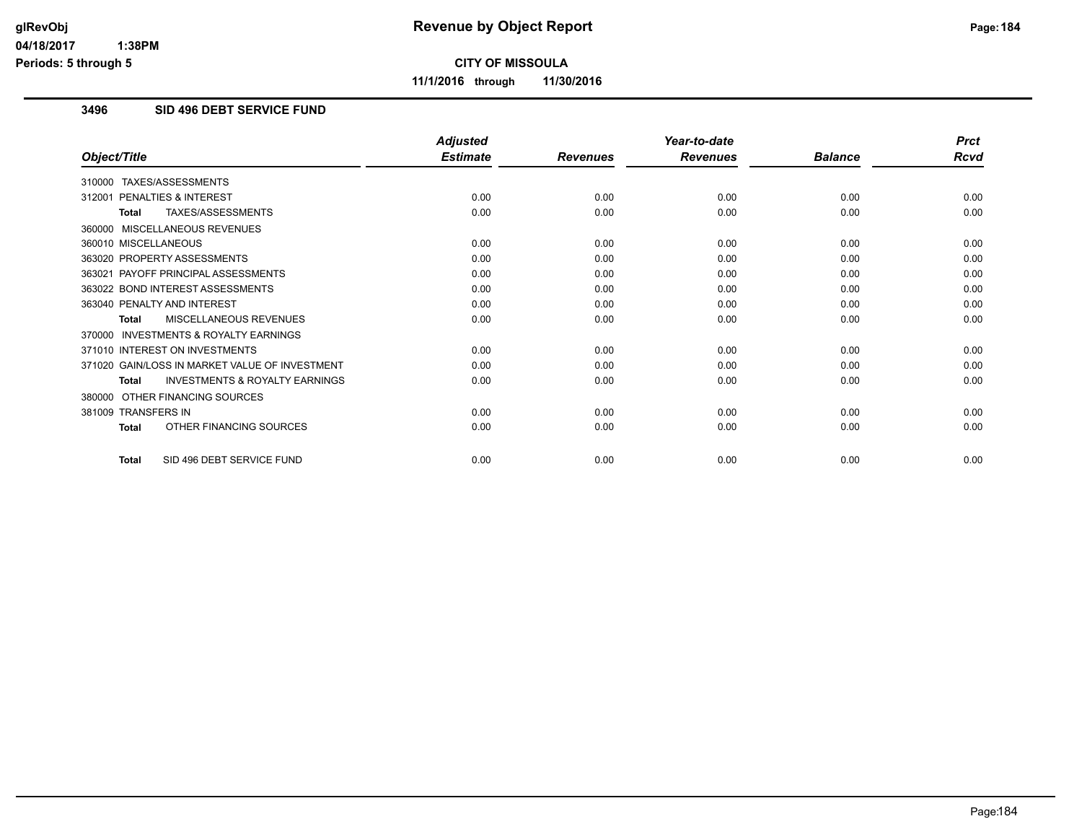**11/1/2016 through 11/30/2016**

#### **3496 SID 496 DEBT SERVICE FUND**

|                                                           | <b>Adjusted</b> |                 | Year-to-date    |                | <b>Prct</b> |
|-----------------------------------------------------------|-----------------|-----------------|-----------------|----------------|-------------|
| Object/Title                                              | <b>Estimate</b> | <b>Revenues</b> | <b>Revenues</b> | <b>Balance</b> | <b>Rcvd</b> |
| 310000 TAXES/ASSESSMENTS                                  |                 |                 |                 |                |             |
| PENALTIES & INTEREST<br>312001                            | 0.00            | 0.00            | 0.00            | 0.00           | 0.00        |
| TAXES/ASSESSMENTS<br>Total                                | 0.00            | 0.00            | 0.00            | 0.00           | 0.00        |
| 360000 MISCELLANEOUS REVENUES                             |                 |                 |                 |                |             |
| 360010 MISCELLANEOUS                                      | 0.00            | 0.00            | 0.00            | 0.00           | 0.00        |
| 363020 PROPERTY ASSESSMENTS                               | 0.00            | 0.00            | 0.00            | 0.00           | 0.00        |
| 363021 PAYOFF PRINCIPAL ASSESSMENTS                       | 0.00            | 0.00            | 0.00            | 0.00           | 0.00        |
| 363022 BOND INTEREST ASSESSMENTS                          | 0.00            | 0.00            | 0.00            | 0.00           | 0.00        |
| 363040 PENALTY AND INTEREST                               | 0.00            | 0.00            | 0.00            | 0.00           | 0.00        |
| MISCELLANEOUS REVENUES<br><b>Total</b>                    | 0.00            | 0.00            | 0.00            | 0.00           | 0.00        |
| 370000 INVESTMENTS & ROYALTY EARNINGS                     |                 |                 |                 |                |             |
| 371010 INTEREST ON INVESTMENTS                            | 0.00            | 0.00            | 0.00            | 0.00           | 0.00        |
| 371020 GAIN/LOSS IN MARKET VALUE OF INVESTMENT            | 0.00            | 0.00            | 0.00            | 0.00           | 0.00        |
| <b>INVESTMENTS &amp; ROYALTY EARNINGS</b><br><b>Total</b> | 0.00            | 0.00            | 0.00            | 0.00           | 0.00        |
| 380000 OTHER FINANCING SOURCES                            |                 |                 |                 |                |             |
| 381009 TRANSFERS IN                                       | 0.00            | 0.00            | 0.00            | 0.00           | 0.00        |
| OTHER FINANCING SOURCES<br><b>Total</b>                   | 0.00            | 0.00            | 0.00            | 0.00           | 0.00        |
| SID 496 DEBT SERVICE FUND<br><b>Total</b>                 | 0.00            | 0.00            | 0.00            | 0.00           | 0.00        |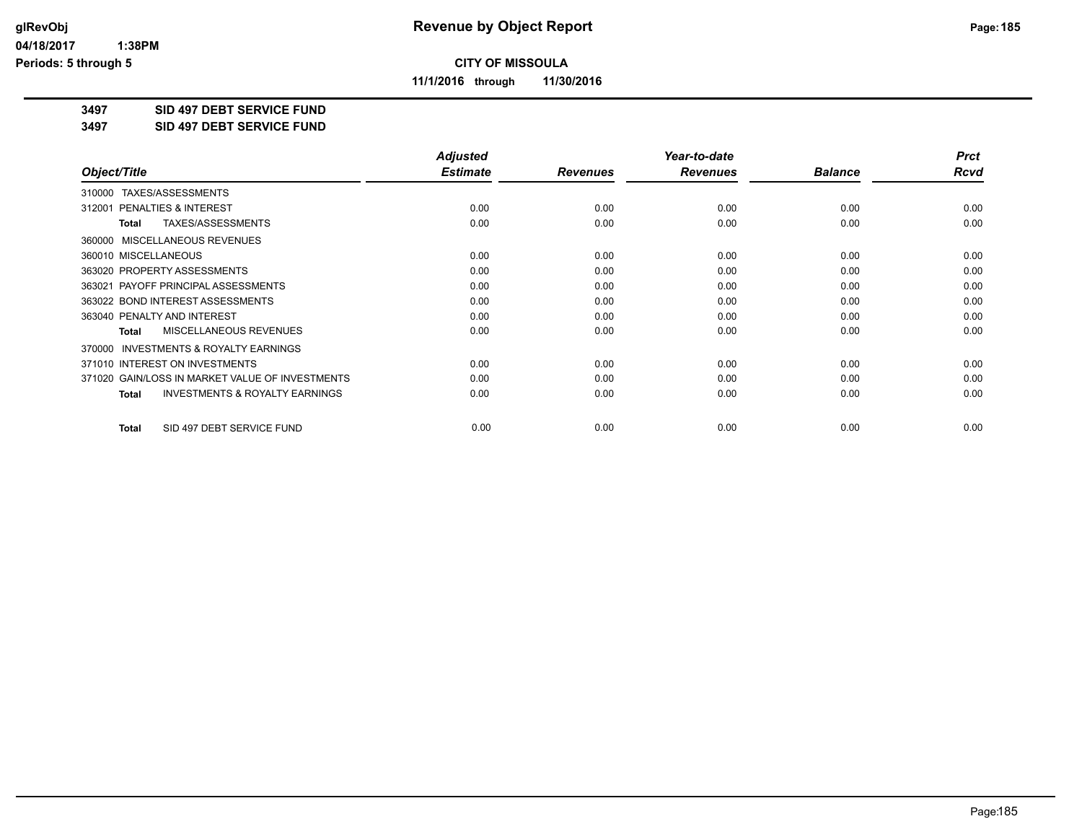**11/1/2016 through 11/30/2016**

**3497 SID 497 DEBT SERVICE FUND**

**3497 SID 497 DEBT SERVICE FUND**

|                                                     | <b>Adjusted</b> |                 | Year-to-date    |                | <b>Prct</b> |
|-----------------------------------------------------|-----------------|-----------------|-----------------|----------------|-------------|
| Object/Title                                        | <b>Estimate</b> | <b>Revenues</b> | <b>Revenues</b> | <b>Balance</b> | <b>Rcvd</b> |
| 310000 TAXES/ASSESSMENTS                            |                 |                 |                 |                |             |
| 312001 PENALTIES & INTEREST                         | 0.00            | 0.00            | 0.00            | 0.00           | 0.00        |
| TAXES/ASSESSMENTS<br>Total                          | 0.00            | 0.00            | 0.00            | 0.00           | 0.00        |
| 360000 MISCELLANEOUS REVENUES                       |                 |                 |                 |                |             |
| 360010 MISCELLANEOUS                                | 0.00            | 0.00            | 0.00            | 0.00           | 0.00        |
| 363020 PROPERTY ASSESSMENTS                         | 0.00            | 0.00            | 0.00            | 0.00           | 0.00        |
| 363021 PAYOFF PRINCIPAL ASSESSMENTS                 | 0.00            | 0.00            | 0.00            | 0.00           | 0.00        |
| 363022 BOND INTEREST ASSESSMENTS                    | 0.00            | 0.00            | 0.00            | 0.00           | 0.00        |
| 363040 PENALTY AND INTEREST                         | 0.00            | 0.00            | 0.00            | 0.00           | 0.00        |
| MISCELLANEOUS REVENUES<br><b>Total</b>              | 0.00            | 0.00            | 0.00            | 0.00           | 0.00        |
| <b>INVESTMENTS &amp; ROYALTY EARNINGS</b><br>370000 |                 |                 |                 |                |             |
| 371010 INTEREST ON INVESTMENTS                      | 0.00            | 0.00            | 0.00            | 0.00           | 0.00        |
| 371020 GAIN/LOSS IN MARKET VALUE OF INVESTMENTS     | 0.00            | 0.00            | 0.00            | 0.00           | 0.00        |
| <b>INVESTMENTS &amp; ROYALTY EARNINGS</b><br>Total  | 0.00            | 0.00            | 0.00            | 0.00           | 0.00        |
| SID 497 DEBT SERVICE FUND<br>Total                  | 0.00            | 0.00            | 0.00            | 0.00           | 0.00        |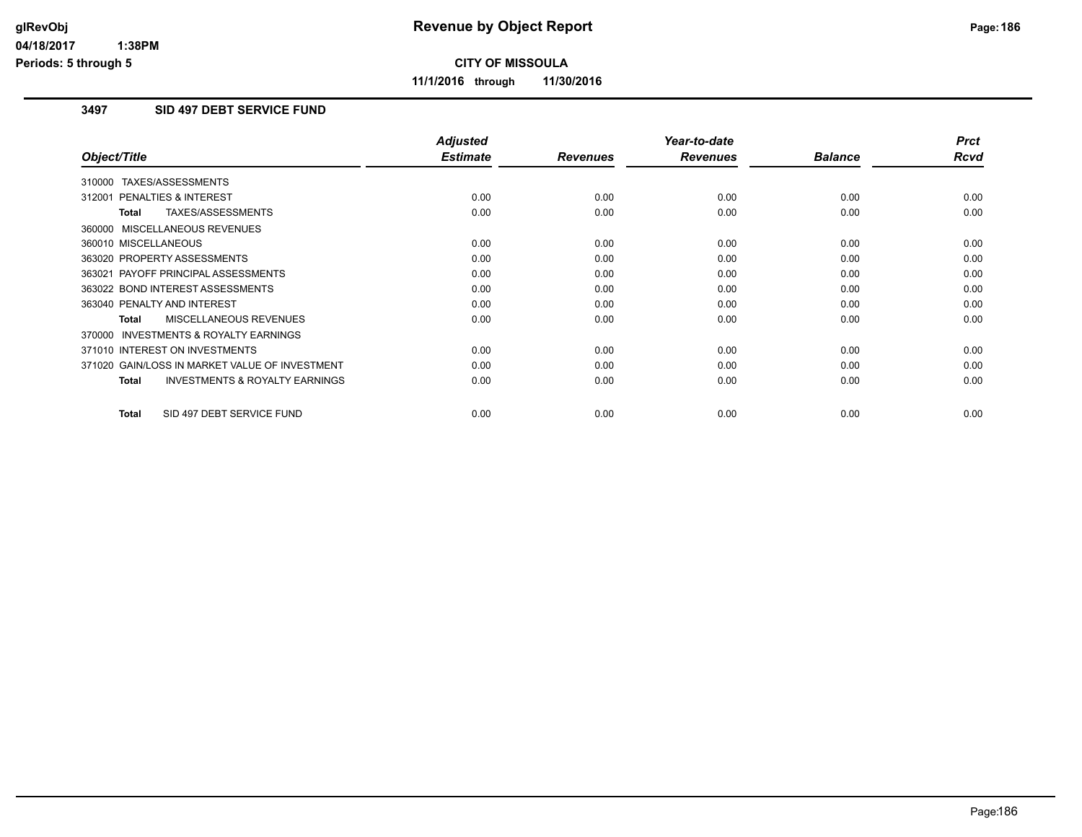**11/1/2016 through 11/30/2016**

#### **3497 SID 497 DEBT SERVICE FUND**

|                                                           | <b>Adjusted</b> |                 | Year-to-date    |                | <b>Prct</b> |
|-----------------------------------------------------------|-----------------|-----------------|-----------------|----------------|-------------|
| Object/Title                                              | <b>Estimate</b> | <b>Revenues</b> | <b>Revenues</b> | <b>Balance</b> | Rcvd        |
| TAXES/ASSESSMENTS<br>310000                               |                 |                 |                 |                |             |
| 312001 PENALTIES & INTEREST                               | 0.00            | 0.00            | 0.00            | 0.00           | 0.00        |
| TAXES/ASSESSMENTS<br><b>Total</b>                         | 0.00            | 0.00            | 0.00            | 0.00           | 0.00        |
| 360000 MISCELLANEOUS REVENUES                             |                 |                 |                 |                |             |
| 360010 MISCELLANEOUS                                      | 0.00            | 0.00            | 0.00            | 0.00           | 0.00        |
| 363020 PROPERTY ASSESSMENTS                               | 0.00            | 0.00            | 0.00            | 0.00           | 0.00        |
| 363021 PAYOFF PRINCIPAL ASSESSMENTS                       | 0.00            | 0.00            | 0.00            | 0.00           | 0.00        |
| 363022 BOND INTEREST ASSESSMENTS                          | 0.00            | 0.00            | 0.00            | 0.00           | 0.00        |
| 363040 PENALTY AND INTEREST                               | 0.00            | 0.00            | 0.00            | 0.00           | 0.00        |
| MISCELLANEOUS REVENUES<br>Total                           | 0.00            | 0.00            | 0.00            | 0.00           | 0.00        |
| <b>INVESTMENTS &amp; ROYALTY EARNINGS</b><br>370000       |                 |                 |                 |                |             |
| 371010 INTEREST ON INVESTMENTS                            | 0.00            | 0.00            | 0.00            | 0.00           | 0.00        |
| 371020 GAIN/LOSS IN MARKET VALUE OF INVESTMENT            | 0.00            | 0.00            | 0.00            | 0.00           | 0.00        |
| <b>INVESTMENTS &amp; ROYALTY EARNINGS</b><br><b>Total</b> | 0.00            | 0.00            | 0.00            | 0.00           | 0.00        |
| SID 497 DEBT SERVICE FUND<br><b>Total</b>                 | 0.00            | 0.00            | 0.00            | 0.00           | 0.00        |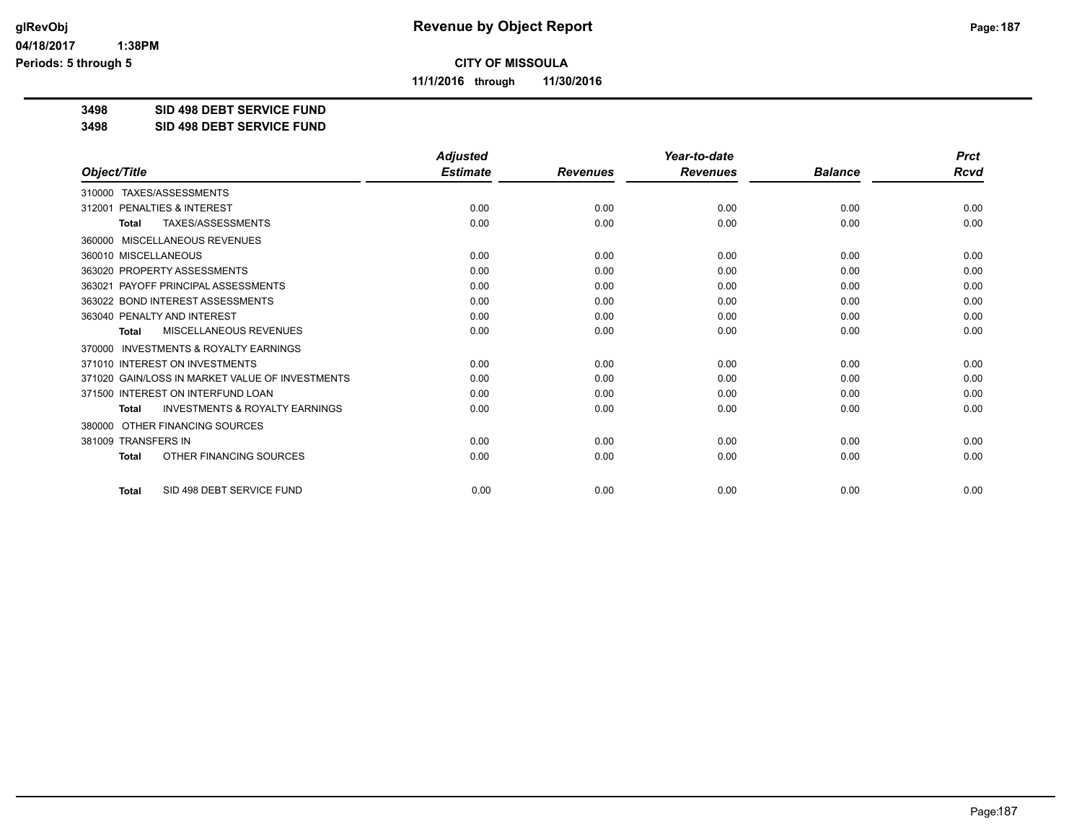**11/1/2016 through 11/30/2016**

**3498 SID 498 DEBT SERVICE FUND**

**3498 SID 498 DEBT SERVICE FUND**

|                                                           | <b>Adjusted</b> |                 | Year-to-date    |                |      |  |
|-----------------------------------------------------------|-----------------|-----------------|-----------------|----------------|------|--|
| Object/Title                                              | <b>Estimate</b> | <b>Revenues</b> | <b>Revenues</b> | <b>Balance</b> | Rcvd |  |
| TAXES/ASSESSMENTS<br>310000                               |                 |                 |                 |                |      |  |
| 312001 PENALTIES & INTEREST                               | 0.00            | 0.00            | 0.00            | 0.00           | 0.00 |  |
| TAXES/ASSESSMENTS<br><b>Total</b>                         | 0.00            | 0.00            | 0.00            | 0.00           | 0.00 |  |
| 360000 MISCELLANEOUS REVENUES                             |                 |                 |                 |                |      |  |
| 360010 MISCELLANEOUS                                      | 0.00            | 0.00            | 0.00            | 0.00           | 0.00 |  |
| 363020 PROPERTY ASSESSMENTS                               | 0.00            | 0.00            | 0.00            | 0.00           | 0.00 |  |
| 363021 PAYOFF PRINCIPAL ASSESSMENTS                       | 0.00            | 0.00            | 0.00            | 0.00           | 0.00 |  |
| 363022 BOND INTEREST ASSESSMENTS                          | 0.00            | 0.00            | 0.00            | 0.00           | 0.00 |  |
| 363040 PENALTY AND INTEREST                               | 0.00            | 0.00            | 0.00            | 0.00           | 0.00 |  |
| MISCELLANEOUS REVENUES<br>Total                           | 0.00            | 0.00            | 0.00            | 0.00           | 0.00 |  |
| <b>INVESTMENTS &amp; ROYALTY EARNINGS</b><br>370000       |                 |                 |                 |                |      |  |
| 371010 INTEREST ON INVESTMENTS                            | 0.00            | 0.00            | 0.00            | 0.00           | 0.00 |  |
| 371020 GAIN/LOSS IN MARKET VALUE OF INVESTMENTS           | 0.00            | 0.00            | 0.00            | 0.00           | 0.00 |  |
| 371500 INTEREST ON INTERFUND LOAN                         | 0.00            | 0.00            | 0.00            | 0.00           | 0.00 |  |
| <b>INVESTMENTS &amp; ROYALTY EARNINGS</b><br><b>Total</b> | 0.00            | 0.00            | 0.00            | 0.00           | 0.00 |  |
| 380000 OTHER FINANCING SOURCES                            |                 |                 |                 |                |      |  |
| 381009 TRANSFERS IN                                       | 0.00            | 0.00            | 0.00            | 0.00           | 0.00 |  |
| OTHER FINANCING SOURCES<br><b>Total</b>                   | 0.00            | 0.00            | 0.00            | 0.00           | 0.00 |  |
| SID 498 DEBT SERVICE FUND<br><b>Total</b>                 | 0.00            | 0.00            | 0.00            | 0.00           | 0.00 |  |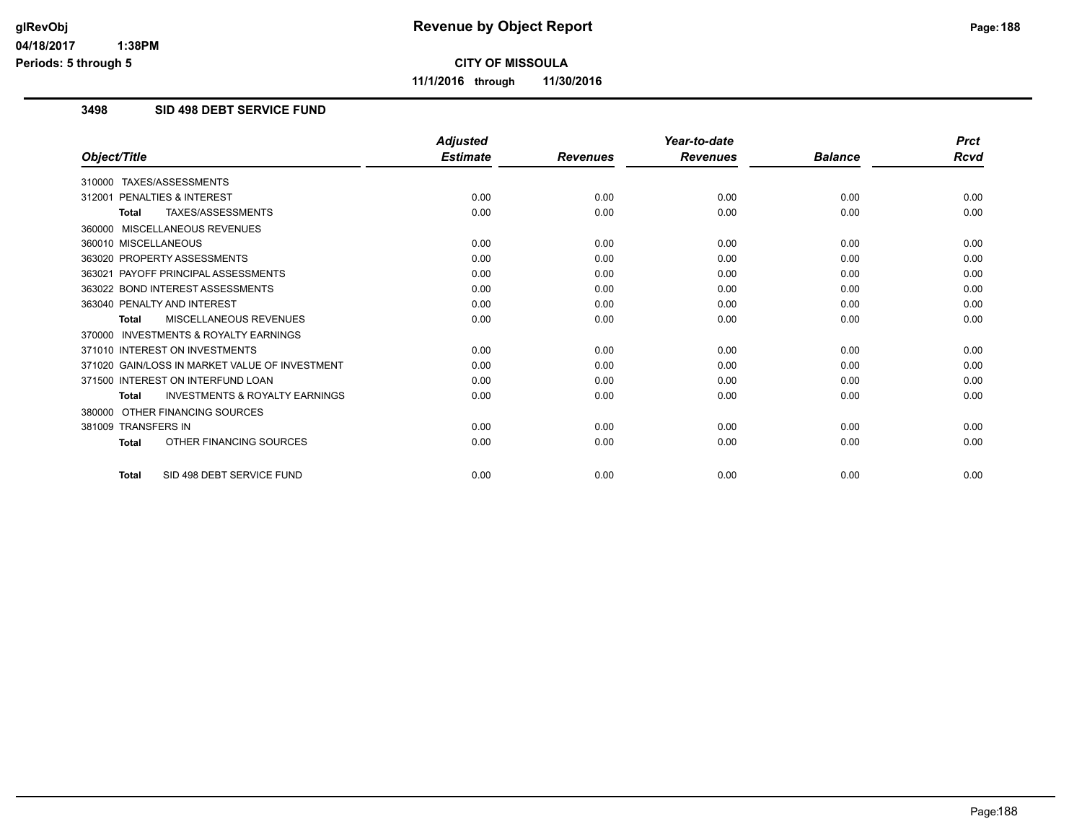**11/1/2016 through 11/30/2016**

#### **3498 SID 498 DEBT SERVICE FUND**

|                                                           | <b>Adjusted</b> |                 | Year-to-date    |                | <b>Prct</b> |
|-----------------------------------------------------------|-----------------|-----------------|-----------------|----------------|-------------|
| Object/Title                                              | <b>Estimate</b> | <b>Revenues</b> | <b>Revenues</b> | <b>Balance</b> | <b>Rcvd</b> |
| TAXES/ASSESSMENTS<br>310000                               |                 |                 |                 |                |             |
| PENALTIES & INTEREST<br>312001                            | 0.00            | 0.00            | 0.00            | 0.00           | 0.00        |
| TAXES/ASSESSMENTS<br><b>Total</b>                         | 0.00            | 0.00            | 0.00            | 0.00           | 0.00        |
| MISCELLANEOUS REVENUES<br>360000                          |                 |                 |                 |                |             |
| 360010 MISCELLANEOUS                                      | 0.00            | 0.00            | 0.00            | 0.00           | 0.00        |
| 363020 PROPERTY ASSESSMENTS                               | 0.00            | 0.00            | 0.00            | 0.00           | 0.00        |
| 363021 PAYOFF PRINCIPAL ASSESSMENTS                       | 0.00            | 0.00            | 0.00            | 0.00           | 0.00        |
| 363022 BOND INTEREST ASSESSMENTS                          | 0.00            | 0.00            | 0.00            | 0.00           | 0.00        |
| 363040 PENALTY AND INTEREST                               | 0.00            | 0.00            | 0.00            | 0.00           | 0.00        |
| <b>MISCELLANEOUS REVENUES</b><br><b>Total</b>             | 0.00            | 0.00            | 0.00            | 0.00           | 0.00        |
| <b>INVESTMENTS &amp; ROYALTY EARNINGS</b><br>370000       |                 |                 |                 |                |             |
| 371010 INTEREST ON INVESTMENTS                            | 0.00            | 0.00            | 0.00            | 0.00           | 0.00        |
| 371020 GAIN/LOSS IN MARKET VALUE OF INVESTMENT            | 0.00            | 0.00            | 0.00            | 0.00           | 0.00        |
| 371500 INTEREST ON INTERFUND LOAN                         | 0.00            | 0.00            | 0.00            | 0.00           | 0.00        |
| <b>INVESTMENTS &amp; ROYALTY EARNINGS</b><br><b>Total</b> | 0.00            | 0.00            | 0.00            | 0.00           | 0.00        |
| OTHER FINANCING SOURCES<br>380000                         |                 |                 |                 |                |             |
| 381009 TRANSFERS IN                                       | 0.00            | 0.00            | 0.00            | 0.00           | 0.00        |
| OTHER FINANCING SOURCES<br><b>Total</b>                   | 0.00            | 0.00            | 0.00            | 0.00           | 0.00        |
| SID 498 DEBT SERVICE FUND<br><b>Total</b>                 | 0.00            | 0.00            | 0.00            | 0.00           | 0.00        |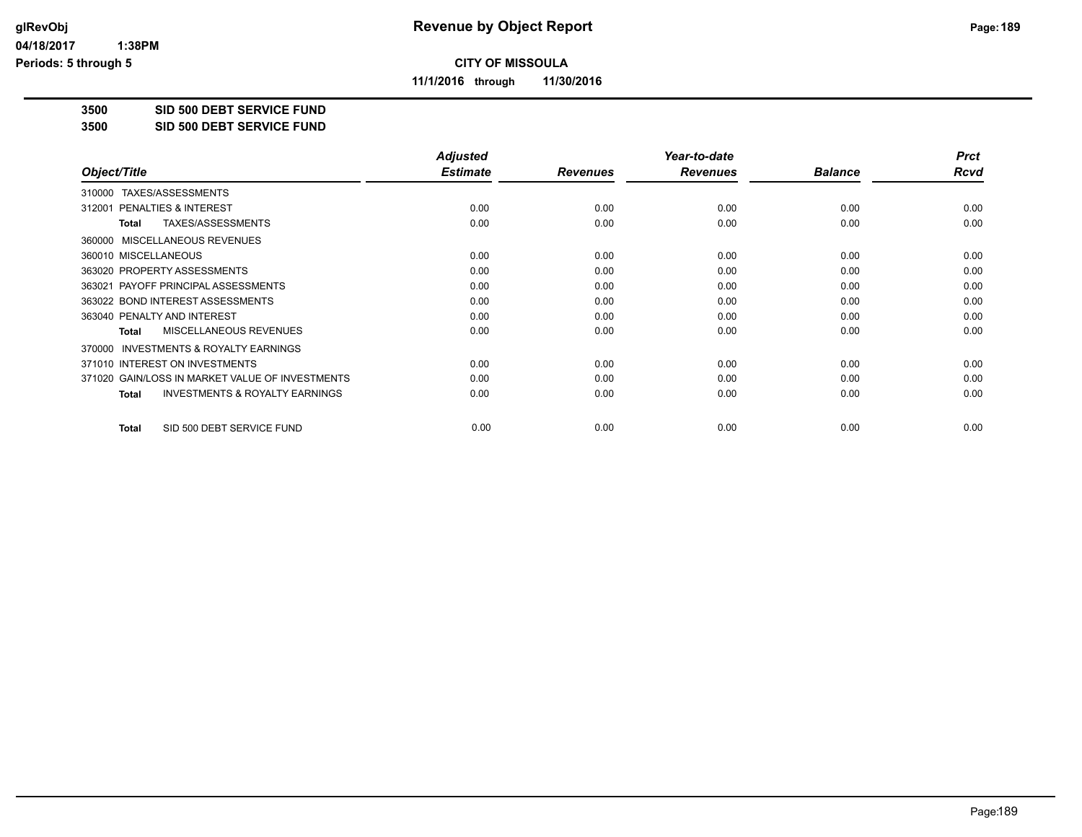**11/1/2016 through 11/30/2016**

**3500 SID 500 DEBT SERVICE FUND**

**3500 SID 500 DEBT SERVICE FUND**

|                                                    | <b>Adjusted</b> |                 | Year-to-date    |                | <b>Prct</b> |
|----------------------------------------------------|-----------------|-----------------|-----------------|----------------|-------------|
| Object/Title                                       | <b>Estimate</b> | <b>Revenues</b> | <b>Revenues</b> | <b>Balance</b> | Rcvd        |
| 310000 TAXES/ASSESSMENTS                           |                 |                 |                 |                |             |
| 312001 PENALTIES & INTEREST                        | 0.00            | 0.00            | 0.00            | 0.00           | 0.00        |
| TAXES/ASSESSMENTS<br>Total                         | 0.00            | 0.00            | 0.00            | 0.00           | 0.00        |
| 360000 MISCELLANEOUS REVENUES                      |                 |                 |                 |                |             |
| 360010 MISCELLANEOUS                               | 0.00            | 0.00            | 0.00            | 0.00           | 0.00        |
| 363020 PROPERTY ASSESSMENTS                        | 0.00            | 0.00            | 0.00            | 0.00           | 0.00        |
| 363021 PAYOFF PRINCIPAL ASSESSMENTS                | 0.00            | 0.00            | 0.00            | 0.00           | 0.00        |
| 363022 BOND INTEREST ASSESSMENTS                   | 0.00            | 0.00            | 0.00            | 0.00           | 0.00        |
| 363040 PENALTY AND INTEREST                        | 0.00            | 0.00            | 0.00            | 0.00           | 0.00        |
| MISCELLANEOUS REVENUES<br>Total                    | 0.00            | 0.00            | 0.00            | 0.00           | 0.00        |
| 370000 INVESTMENTS & ROYALTY EARNINGS              |                 |                 |                 |                |             |
| 371010 INTEREST ON INVESTMENTS                     | 0.00            | 0.00            | 0.00            | 0.00           | 0.00        |
| 371020 GAIN/LOSS IN MARKET VALUE OF INVESTMENTS    | 0.00            | 0.00            | 0.00            | 0.00           | 0.00        |
| <b>INVESTMENTS &amp; ROYALTY EARNINGS</b><br>Total | 0.00            | 0.00            | 0.00            | 0.00           | 0.00        |
| SID 500 DEBT SERVICE FUND<br>Total                 | 0.00            | 0.00            | 0.00            | 0.00           | 0.00        |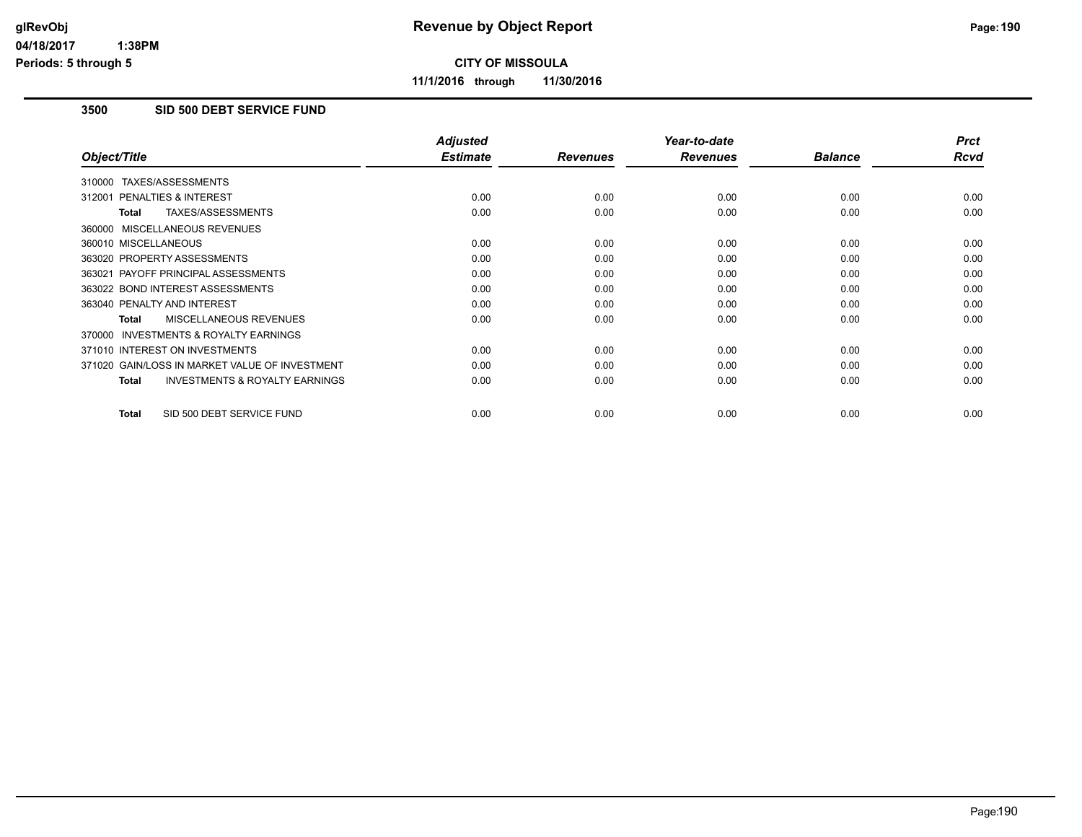**11/1/2016 through 11/30/2016**

#### **3500 SID 500 DEBT SERVICE FUND**

|                                                           | <b>Adjusted</b> |                 | Year-to-date    |                | <b>Prct</b> |
|-----------------------------------------------------------|-----------------|-----------------|-----------------|----------------|-------------|
| Object/Title                                              | <b>Estimate</b> | <b>Revenues</b> | <b>Revenues</b> | <b>Balance</b> | <b>Rcvd</b> |
| 310000 TAXES/ASSESSMENTS                                  |                 |                 |                 |                |             |
| 312001 PENALTIES & INTEREST                               | 0.00            | 0.00            | 0.00            | 0.00           | 0.00        |
| TAXES/ASSESSMENTS<br>Total                                | 0.00            | 0.00            | 0.00            | 0.00           | 0.00        |
| 360000 MISCELLANEOUS REVENUES                             |                 |                 |                 |                |             |
| 360010 MISCELLANEOUS                                      | 0.00            | 0.00            | 0.00            | 0.00           | 0.00        |
| 363020 PROPERTY ASSESSMENTS                               | 0.00            | 0.00            | 0.00            | 0.00           | 0.00        |
| 363021 PAYOFF PRINCIPAL ASSESSMENTS                       | 0.00            | 0.00            | 0.00            | 0.00           | 0.00        |
| 363022 BOND INTEREST ASSESSMENTS                          | 0.00            | 0.00            | 0.00            | 0.00           | 0.00        |
| 363040 PENALTY AND INTEREST                               | 0.00            | 0.00            | 0.00            | 0.00           | 0.00        |
| <b>MISCELLANEOUS REVENUES</b><br>Total                    | 0.00            | 0.00            | 0.00            | 0.00           | 0.00        |
| INVESTMENTS & ROYALTY EARNINGS<br>370000                  |                 |                 |                 |                |             |
| 371010 INTEREST ON INVESTMENTS                            | 0.00            | 0.00            | 0.00            | 0.00           | 0.00        |
| 371020 GAIN/LOSS IN MARKET VALUE OF INVESTMENT            | 0.00            | 0.00            | 0.00            | 0.00           | 0.00        |
| <b>INVESTMENTS &amp; ROYALTY EARNINGS</b><br><b>Total</b> | 0.00            | 0.00            | 0.00            | 0.00           | 0.00        |
| SID 500 DEBT SERVICE FUND<br><b>Total</b>                 | 0.00            | 0.00            | 0.00            | 0.00           | 0.00        |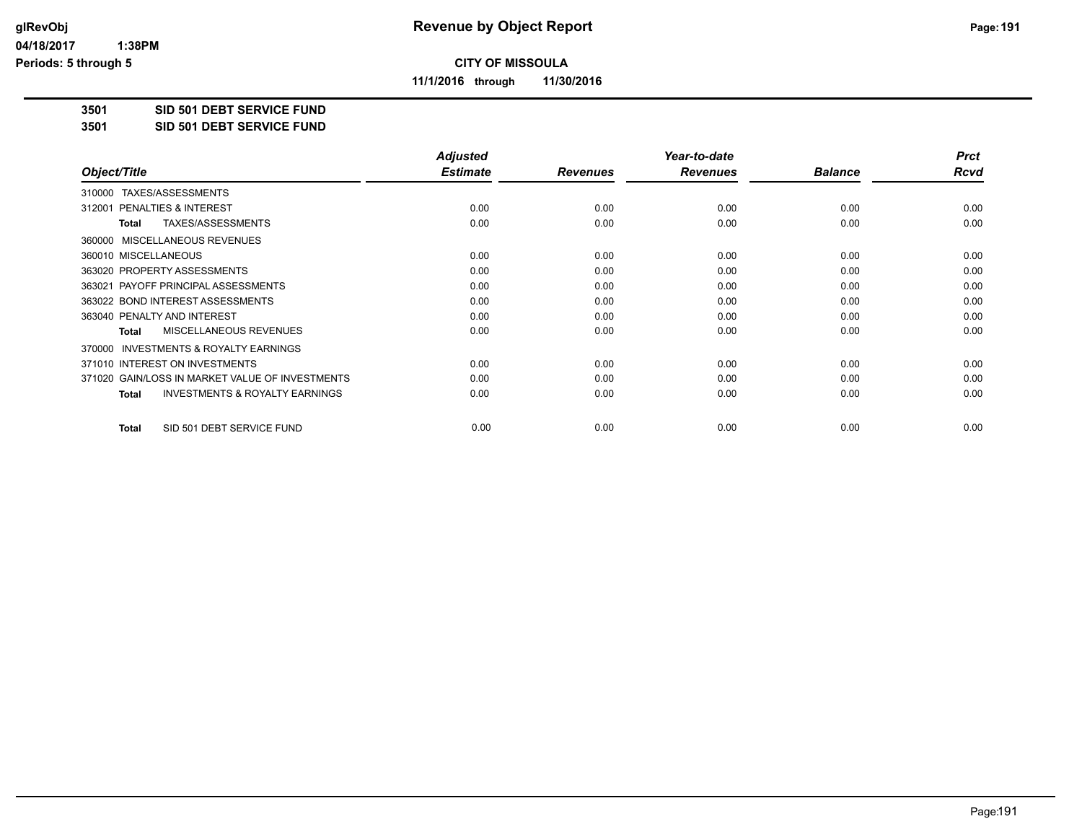**11/1/2016 through 11/30/2016**

**3501 SID 501 DEBT SERVICE FUND**

**3501 SID 501 DEBT SERVICE FUND**

|                                                    | <b>Adjusted</b> |                 | Year-to-date    |                | <b>Prct</b> |
|----------------------------------------------------|-----------------|-----------------|-----------------|----------------|-------------|
| Object/Title                                       | <b>Estimate</b> | <b>Revenues</b> | <b>Revenues</b> | <b>Balance</b> | Rcvd        |
| 310000 TAXES/ASSESSMENTS                           |                 |                 |                 |                |             |
| 312001 PENALTIES & INTEREST                        | 0.00            | 0.00            | 0.00            | 0.00           | 0.00        |
| TAXES/ASSESSMENTS<br>Total                         | 0.00            | 0.00            | 0.00            | 0.00           | 0.00        |
| 360000 MISCELLANEOUS REVENUES                      |                 |                 |                 |                |             |
| 360010 MISCELLANEOUS                               | 0.00            | 0.00            | 0.00            | 0.00           | 0.00        |
| 363020 PROPERTY ASSESSMENTS                        | 0.00            | 0.00            | 0.00            | 0.00           | 0.00        |
| 363021 PAYOFF PRINCIPAL ASSESSMENTS                | 0.00            | 0.00            | 0.00            | 0.00           | 0.00        |
| 363022 BOND INTEREST ASSESSMENTS                   | 0.00            | 0.00            | 0.00            | 0.00           | 0.00        |
| 363040 PENALTY AND INTEREST                        | 0.00            | 0.00            | 0.00            | 0.00           | 0.00        |
| MISCELLANEOUS REVENUES<br>Total                    | 0.00            | 0.00            | 0.00            | 0.00           | 0.00        |
| 370000 INVESTMENTS & ROYALTY EARNINGS              |                 |                 |                 |                |             |
| 371010 INTEREST ON INVESTMENTS                     | 0.00            | 0.00            | 0.00            | 0.00           | 0.00        |
| 371020 GAIN/LOSS IN MARKET VALUE OF INVESTMENTS    | 0.00            | 0.00            | 0.00            | 0.00           | 0.00        |
| <b>INVESTMENTS &amp; ROYALTY EARNINGS</b><br>Total | 0.00            | 0.00            | 0.00            | 0.00           | 0.00        |
| SID 501 DEBT SERVICE FUND<br>Total                 | 0.00            | 0.00            | 0.00            | 0.00           | 0.00        |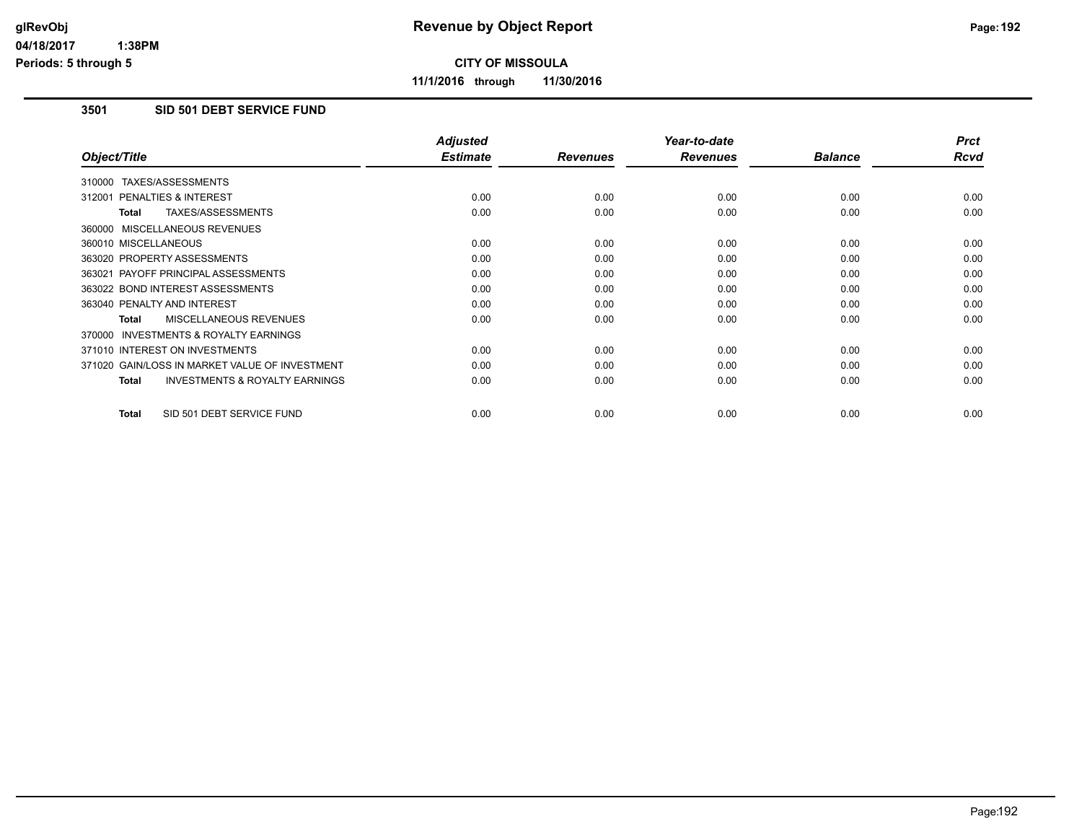**11/1/2016 through 11/30/2016**

#### **3501 SID 501 DEBT SERVICE FUND**

|                                                           | <b>Adjusted</b> |                 | Year-to-date    |                | <b>Prct</b> |
|-----------------------------------------------------------|-----------------|-----------------|-----------------|----------------|-------------|
| Object/Title                                              | <b>Estimate</b> | <b>Revenues</b> | <b>Revenues</b> | <b>Balance</b> | Rcvd        |
| TAXES/ASSESSMENTS<br>310000                               |                 |                 |                 |                |             |
| 312001 PENALTIES & INTEREST                               | 0.00            | 0.00            | 0.00            | 0.00           | 0.00        |
| TAXES/ASSESSMENTS<br><b>Total</b>                         | 0.00            | 0.00            | 0.00            | 0.00           | 0.00        |
| 360000 MISCELLANEOUS REVENUES                             |                 |                 |                 |                |             |
| 360010 MISCELLANEOUS                                      | 0.00            | 0.00            | 0.00            | 0.00           | 0.00        |
| 363020 PROPERTY ASSESSMENTS                               | 0.00            | 0.00            | 0.00            | 0.00           | 0.00        |
| 363021 PAYOFF PRINCIPAL ASSESSMENTS                       | 0.00            | 0.00            | 0.00            | 0.00           | 0.00        |
| 363022 BOND INTEREST ASSESSMENTS                          | 0.00            | 0.00            | 0.00            | 0.00           | 0.00        |
| 363040 PENALTY AND INTEREST                               | 0.00            | 0.00            | 0.00            | 0.00           | 0.00        |
| <b>MISCELLANEOUS REVENUES</b><br>Total                    | 0.00            | 0.00            | 0.00            | 0.00           | 0.00        |
| <b>INVESTMENTS &amp; ROYALTY EARNINGS</b><br>370000       |                 |                 |                 |                |             |
| 371010 INTEREST ON INVESTMENTS                            | 0.00            | 0.00            | 0.00            | 0.00           | 0.00        |
| 371020 GAIN/LOSS IN MARKET VALUE OF INVESTMENT            | 0.00            | 0.00            | 0.00            | 0.00           | 0.00        |
| <b>INVESTMENTS &amp; ROYALTY EARNINGS</b><br><b>Total</b> | 0.00            | 0.00            | 0.00            | 0.00           | 0.00        |
| SID 501 DEBT SERVICE FUND<br><b>Total</b>                 | 0.00            | 0.00            | 0.00            | 0.00           | 0.00        |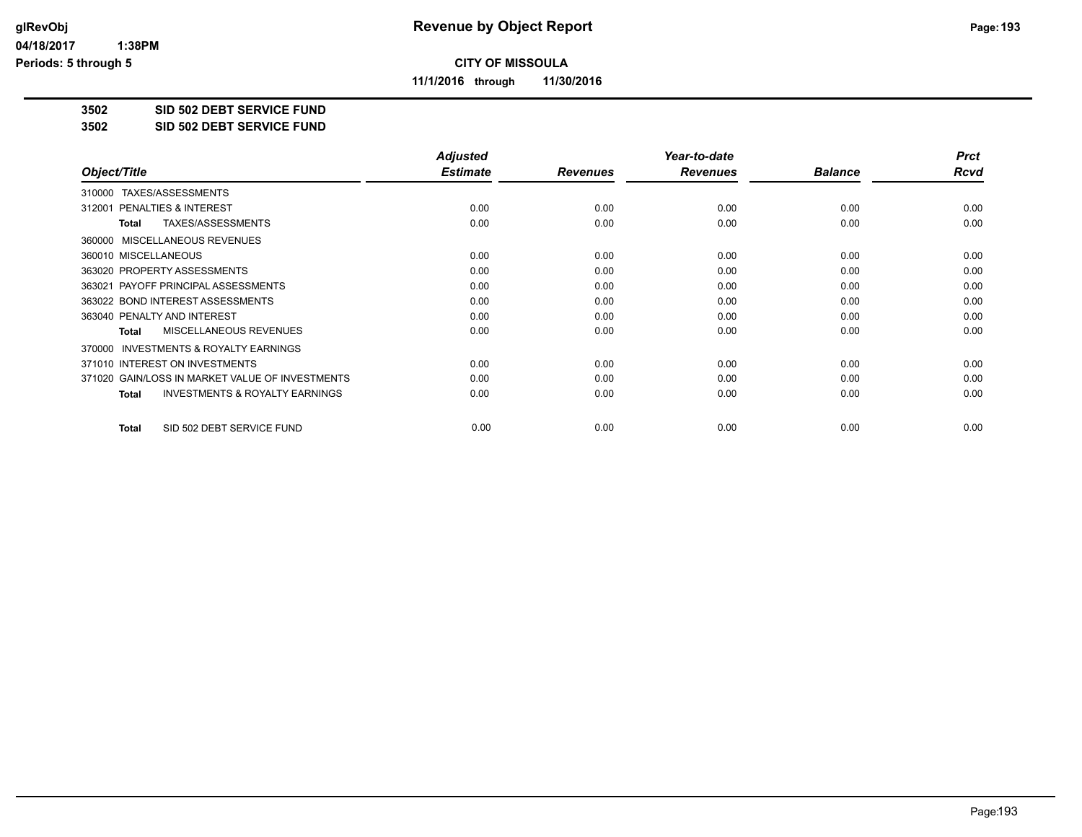**11/1/2016 through 11/30/2016**

**3502 SID 502 DEBT SERVICE FUND**

**3502 SID 502 DEBT SERVICE FUND**

|                                                     | <b>Adjusted</b> |                 | Year-to-date    |                | <b>Prct</b> |
|-----------------------------------------------------|-----------------|-----------------|-----------------|----------------|-------------|
| Object/Title                                        | <b>Estimate</b> | <b>Revenues</b> | <b>Revenues</b> | <b>Balance</b> | Rcvd        |
| TAXES/ASSESSMENTS<br>310000                         |                 |                 |                 |                |             |
| 312001 PENALTIES & INTEREST                         | 0.00            | 0.00            | 0.00            | 0.00           | 0.00        |
| TAXES/ASSESSMENTS<br>Total                          | 0.00            | 0.00            | 0.00            | 0.00           | 0.00        |
| 360000 MISCELLANEOUS REVENUES                       |                 |                 |                 |                |             |
| 360010 MISCELLANEOUS                                | 0.00            | 0.00            | 0.00            | 0.00           | 0.00        |
| 363020 PROPERTY ASSESSMENTS                         | 0.00            | 0.00            | 0.00            | 0.00           | 0.00        |
| 363021 PAYOFF PRINCIPAL ASSESSMENTS                 | 0.00            | 0.00            | 0.00            | 0.00           | 0.00        |
| 363022 BOND INTEREST ASSESSMENTS                    | 0.00            | 0.00            | 0.00            | 0.00           | 0.00        |
| 363040 PENALTY AND INTEREST                         | 0.00            | 0.00            | 0.00            | 0.00           | 0.00        |
| MISCELLANEOUS REVENUES<br>Total                     | 0.00            | 0.00            | 0.00            | 0.00           | 0.00        |
| <b>INVESTMENTS &amp; ROYALTY EARNINGS</b><br>370000 |                 |                 |                 |                |             |
| 371010 INTEREST ON INVESTMENTS                      | 0.00            | 0.00            | 0.00            | 0.00           | 0.00        |
| 371020 GAIN/LOSS IN MARKET VALUE OF INVESTMENTS     | 0.00            | 0.00            | 0.00            | 0.00           | 0.00        |
| <b>INVESTMENTS &amp; ROYALTY EARNINGS</b><br>Total  | 0.00            | 0.00            | 0.00            | 0.00           | 0.00        |
| SID 502 DEBT SERVICE FUND<br>Total                  | 0.00            | 0.00            | 0.00            | 0.00           | 0.00        |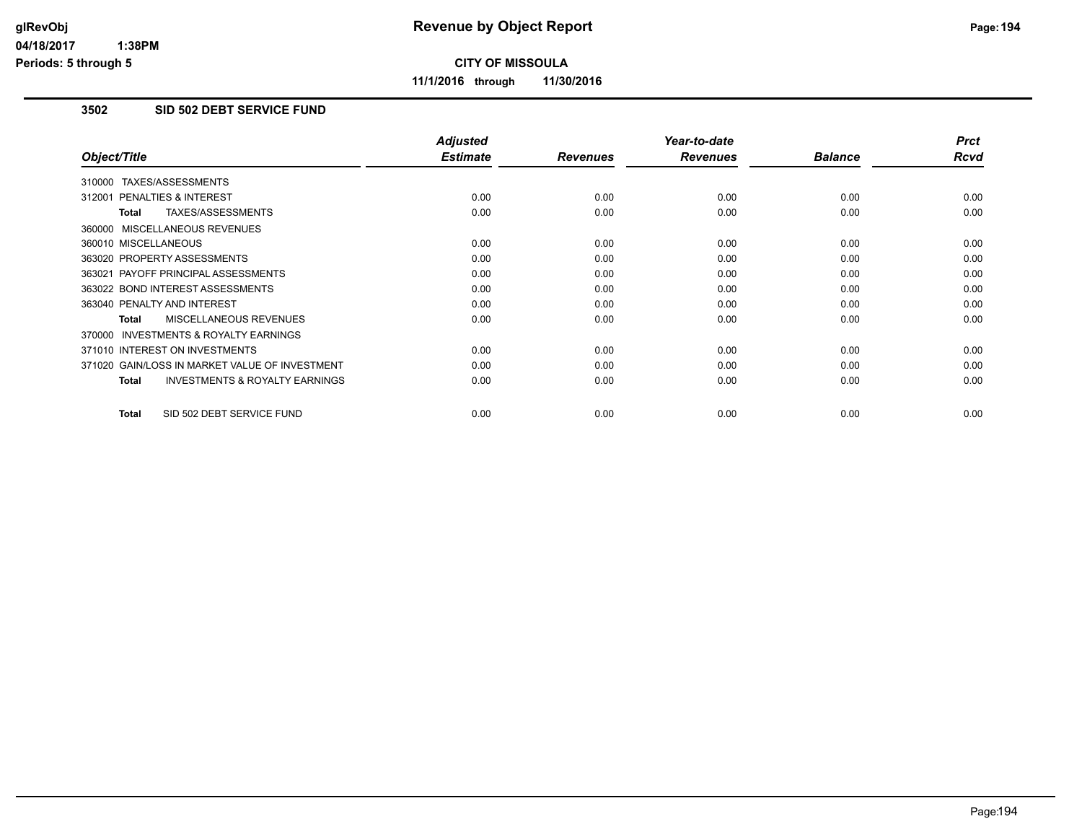**11/1/2016 through 11/30/2016**

#### **3502 SID 502 DEBT SERVICE FUND**

|                                                           | <b>Adjusted</b> |                 | Year-to-date    |                | <b>Prct</b> |
|-----------------------------------------------------------|-----------------|-----------------|-----------------|----------------|-------------|
| Object/Title                                              | <b>Estimate</b> | <b>Revenues</b> | <b>Revenues</b> | <b>Balance</b> | <b>Rcvd</b> |
| 310000 TAXES/ASSESSMENTS                                  |                 |                 |                 |                |             |
| 312001 PENALTIES & INTEREST                               | 0.00            | 0.00            | 0.00            | 0.00           | 0.00        |
| TAXES/ASSESSMENTS<br><b>Total</b>                         | 0.00            | 0.00            | 0.00            | 0.00           | 0.00        |
| 360000 MISCELLANEOUS REVENUES                             |                 |                 |                 |                |             |
| 360010 MISCELLANEOUS                                      | 0.00            | 0.00            | 0.00            | 0.00           | 0.00        |
| 363020 PROPERTY ASSESSMENTS                               | 0.00            | 0.00            | 0.00            | 0.00           | 0.00        |
| 363021 PAYOFF PRINCIPAL ASSESSMENTS                       | 0.00            | 0.00            | 0.00            | 0.00           | 0.00        |
| 363022 BOND INTEREST ASSESSMENTS                          | 0.00            | 0.00            | 0.00            | 0.00           | 0.00        |
| 363040 PENALTY AND INTEREST                               | 0.00            | 0.00            | 0.00            | 0.00           | 0.00        |
| <b>MISCELLANEOUS REVENUES</b><br>Total                    | 0.00            | 0.00            | 0.00            | 0.00           | 0.00        |
| INVESTMENTS & ROYALTY EARNINGS<br>370000                  |                 |                 |                 |                |             |
| 371010 INTEREST ON INVESTMENTS                            | 0.00            | 0.00            | 0.00            | 0.00           | 0.00        |
| 371020 GAIN/LOSS IN MARKET VALUE OF INVESTMENT            | 0.00            | 0.00            | 0.00            | 0.00           | 0.00        |
| <b>INVESTMENTS &amp; ROYALTY EARNINGS</b><br><b>Total</b> | 0.00            | 0.00            | 0.00            | 0.00           | 0.00        |
| SID 502 DEBT SERVICE FUND<br><b>Total</b>                 | 0.00            | 0.00            | 0.00            | 0.00           | 0.00        |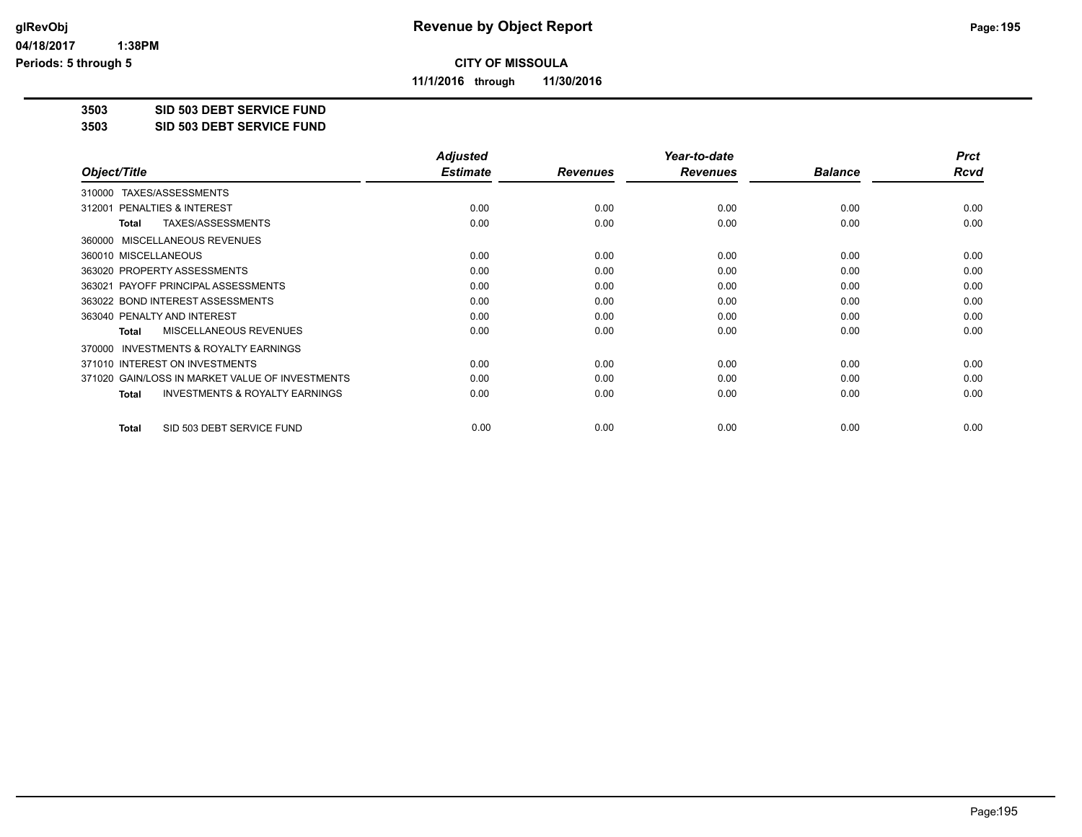**11/1/2016 through 11/30/2016**

**3503 SID 503 DEBT SERVICE FUND**

**3503 SID 503 DEBT SERVICE FUND**

|                                                    | <b>Adjusted</b> |                 | Year-to-date    |                | <b>Prct</b> |
|----------------------------------------------------|-----------------|-----------------|-----------------|----------------|-------------|
| Object/Title                                       | <b>Estimate</b> | <b>Revenues</b> | <b>Revenues</b> | <b>Balance</b> | Rcvd        |
| 310000 TAXES/ASSESSMENTS                           |                 |                 |                 |                |             |
| 312001 PENALTIES & INTEREST                        | 0.00            | 0.00            | 0.00            | 0.00           | 0.00        |
| TAXES/ASSESSMENTS<br>Total                         | 0.00            | 0.00            | 0.00            | 0.00           | 0.00        |
| 360000 MISCELLANEOUS REVENUES                      |                 |                 |                 |                |             |
| 360010 MISCELLANEOUS                               | 0.00            | 0.00            | 0.00            | 0.00           | 0.00        |
| 363020 PROPERTY ASSESSMENTS                        | 0.00            | 0.00            | 0.00            | 0.00           | 0.00        |
| 363021 PAYOFF PRINCIPAL ASSESSMENTS                | 0.00            | 0.00            | 0.00            | 0.00           | 0.00        |
| 363022 BOND INTEREST ASSESSMENTS                   | 0.00            | 0.00            | 0.00            | 0.00           | 0.00        |
| 363040 PENALTY AND INTEREST                        | 0.00            | 0.00            | 0.00            | 0.00           | 0.00        |
| MISCELLANEOUS REVENUES<br>Total                    | 0.00            | 0.00            | 0.00            | 0.00           | 0.00        |
| INVESTMENTS & ROYALTY EARNINGS<br>370000           |                 |                 |                 |                |             |
| 371010 INTEREST ON INVESTMENTS                     | 0.00            | 0.00            | 0.00            | 0.00           | 0.00        |
| 371020 GAIN/LOSS IN MARKET VALUE OF INVESTMENTS    | 0.00            | 0.00            | 0.00            | 0.00           | 0.00        |
| <b>INVESTMENTS &amp; ROYALTY EARNINGS</b><br>Total | 0.00            | 0.00            | 0.00            | 0.00           | 0.00        |
| SID 503 DEBT SERVICE FUND<br>Total                 | 0.00            | 0.00            | 0.00            | 0.00           | 0.00        |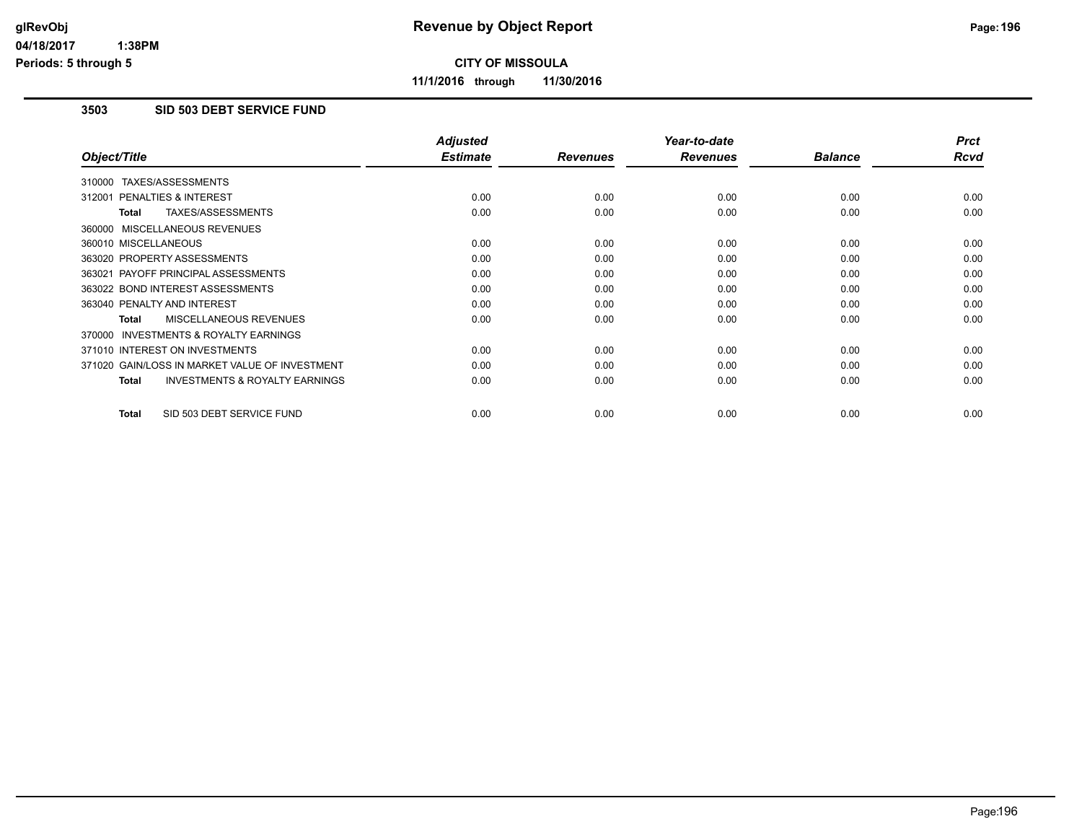**11/1/2016 through 11/30/2016**

#### **3503 SID 503 DEBT SERVICE FUND**

|                                                           | <b>Adjusted</b> |                 | Year-to-date    |                | <b>Prct</b> |
|-----------------------------------------------------------|-----------------|-----------------|-----------------|----------------|-------------|
| Object/Title                                              | <b>Estimate</b> | <b>Revenues</b> | <b>Revenues</b> | <b>Balance</b> | Rcvd        |
| TAXES/ASSESSMENTS<br>310000                               |                 |                 |                 |                |             |
| 312001 PENALTIES & INTEREST                               | 0.00            | 0.00            | 0.00            | 0.00           | 0.00        |
| TAXES/ASSESSMENTS<br><b>Total</b>                         | 0.00            | 0.00            | 0.00            | 0.00           | 0.00        |
| 360000 MISCELLANEOUS REVENUES                             |                 |                 |                 |                |             |
| 360010 MISCELLANEOUS                                      | 0.00            | 0.00            | 0.00            | 0.00           | 0.00        |
| 363020 PROPERTY ASSESSMENTS                               | 0.00            | 0.00            | 0.00            | 0.00           | 0.00        |
| 363021 PAYOFF PRINCIPAL ASSESSMENTS                       | 0.00            | 0.00            | 0.00            | 0.00           | 0.00        |
| 363022 BOND INTEREST ASSESSMENTS                          | 0.00            | 0.00            | 0.00            | 0.00           | 0.00        |
| 363040 PENALTY AND INTEREST                               | 0.00            | 0.00            | 0.00            | 0.00           | 0.00        |
| <b>MISCELLANEOUS REVENUES</b><br>Total                    | 0.00            | 0.00            | 0.00            | 0.00           | 0.00        |
| <b>INVESTMENTS &amp; ROYALTY EARNINGS</b><br>370000       |                 |                 |                 |                |             |
| 371010 INTEREST ON INVESTMENTS                            | 0.00            | 0.00            | 0.00            | 0.00           | 0.00        |
| 371020 GAIN/LOSS IN MARKET VALUE OF INVESTMENT            | 0.00            | 0.00            | 0.00            | 0.00           | 0.00        |
| <b>INVESTMENTS &amp; ROYALTY EARNINGS</b><br><b>Total</b> | 0.00            | 0.00            | 0.00            | 0.00           | 0.00        |
| SID 503 DEBT SERVICE FUND<br><b>Total</b>                 | 0.00            | 0.00            | 0.00            | 0.00           | 0.00        |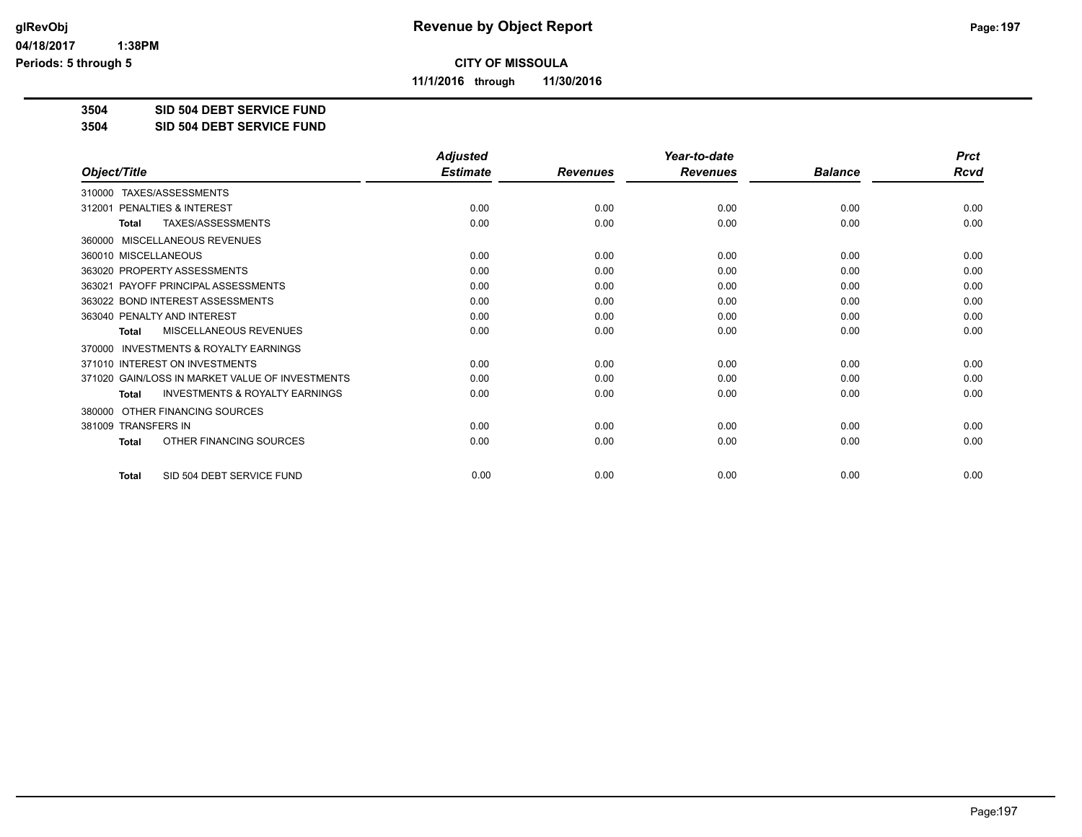**11/1/2016 through 11/30/2016**

**3504 SID 504 DEBT SERVICE FUND**

**3504 SID 504 DEBT SERVICE FUND**

|                                                           | <b>Adjusted</b> |                 | Year-to-date    |                | <b>Prct</b> |
|-----------------------------------------------------------|-----------------|-----------------|-----------------|----------------|-------------|
| Object/Title                                              | <b>Estimate</b> | <b>Revenues</b> | <b>Revenues</b> | <b>Balance</b> | Rcvd        |
| TAXES/ASSESSMENTS<br>310000                               |                 |                 |                 |                |             |
| 312001 PENALTIES & INTEREST                               | 0.00            | 0.00            | 0.00            | 0.00           | 0.00        |
| TAXES/ASSESSMENTS<br>Total                                | 0.00            | 0.00            | 0.00            | 0.00           | 0.00        |
| 360000 MISCELLANEOUS REVENUES                             |                 |                 |                 |                |             |
| 360010 MISCELLANEOUS                                      | 0.00            | 0.00            | 0.00            | 0.00           | 0.00        |
| 363020 PROPERTY ASSESSMENTS                               | 0.00            | 0.00            | 0.00            | 0.00           | 0.00        |
| 363021 PAYOFF PRINCIPAL ASSESSMENTS                       | 0.00            | 0.00            | 0.00            | 0.00           | 0.00        |
| 363022 BOND INTEREST ASSESSMENTS                          | 0.00            | 0.00            | 0.00            | 0.00           | 0.00        |
| 363040 PENALTY AND INTEREST                               | 0.00            | 0.00            | 0.00            | 0.00           | 0.00        |
| MISCELLANEOUS REVENUES<br><b>Total</b>                    | 0.00            | 0.00            | 0.00            | 0.00           | 0.00        |
| <b>INVESTMENTS &amp; ROYALTY EARNINGS</b><br>370000       |                 |                 |                 |                |             |
| 371010 INTEREST ON INVESTMENTS                            | 0.00            | 0.00            | 0.00            | 0.00           | 0.00        |
| 371020 GAIN/LOSS IN MARKET VALUE OF INVESTMENTS           | 0.00            | 0.00            | 0.00            | 0.00           | 0.00        |
| <b>INVESTMENTS &amp; ROYALTY EARNINGS</b><br><b>Total</b> | 0.00            | 0.00            | 0.00            | 0.00           | 0.00        |
| OTHER FINANCING SOURCES<br>380000                         |                 |                 |                 |                |             |
| 381009 TRANSFERS IN                                       | 0.00            | 0.00            | 0.00            | 0.00           | 0.00        |
| OTHER FINANCING SOURCES<br><b>Total</b>                   | 0.00            | 0.00            | 0.00            | 0.00           | 0.00        |
| SID 504 DEBT SERVICE FUND<br><b>Total</b>                 | 0.00            | 0.00            | 0.00            | 0.00           | 0.00        |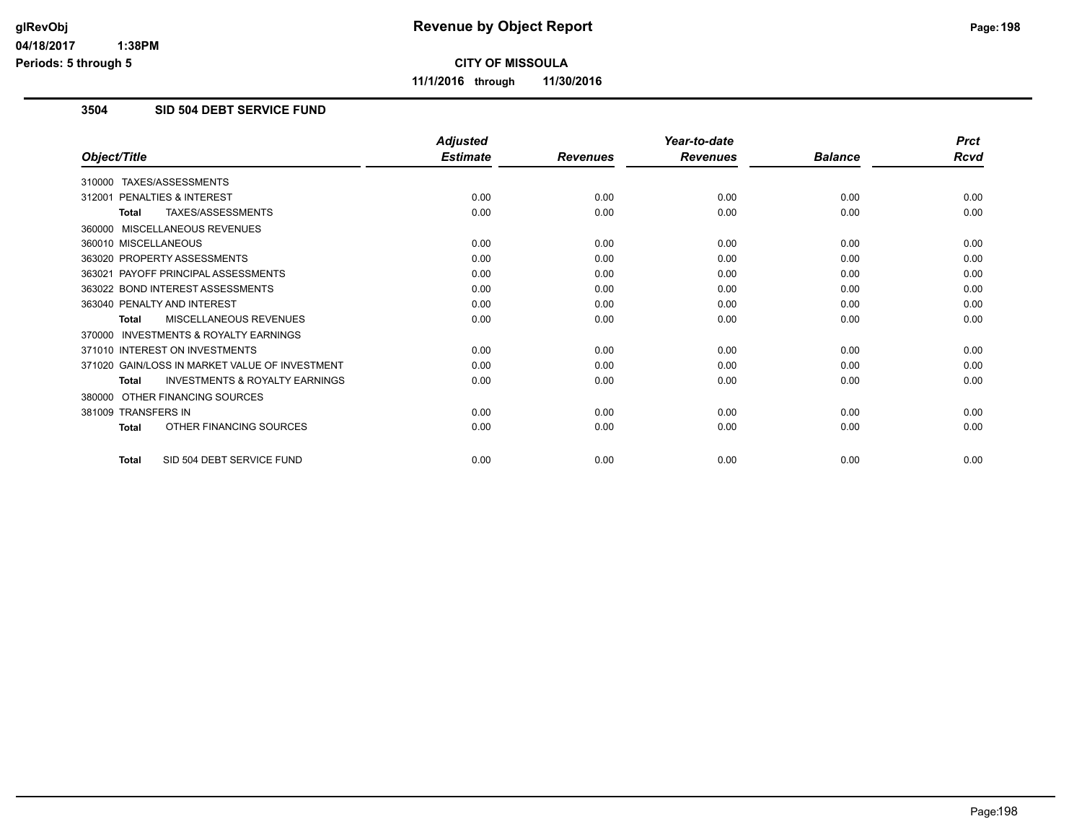**11/1/2016 through 11/30/2016**

#### **3504 SID 504 DEBT SERVICE FUND**

|                                                           | <b>Adjusted</b> |                 | Year-to-date    |                | <b>Prct</b> |
|-----------------------------------------------------------|-----------------|-----------------|-----------------|----------------|-------------|
| Object/Title                                              | <b>Estimate</b> | <b>Revenues</b> | <b>Revenues</b> | <b>Balance</b> | <b>Rcvd</b> |
| 310000 TAXES/ASSESSMENTS                                  |                 |                 |                 |                |             |
| 312001 PENALTIES & INTEREST                               | 0.00            | 0.00            | 0.00            | 0.00           | 0.00        |
| TAXES/ASSESSMENTS<br><b>Total</b>                         | 0.00            | 0.00            | 0.00            | 0.00           | 0.00        |
| 360000 MISCELLANEOUS REVENUES                             |                 |                 |                 |                |             |
| 360010 MISCELLANEOUS                                      | 0.00            | 0.00            | 0.00            | 0.00           | 0.00        |
| 363020 PROPERTY ASSESSMENTS                               | 0.00            | 0.00            | 0.00            | 0.00           | 0.00        |
| 363021 PAYOFF PRINCIPAL ASSESSMENTS                       | 0.00            | 0.00            | 0.00            | 0.00           | 0.00        |
| 363022 BOND INTEREST ASSESSMENTS                          | 0.00            | 0.00            | 0.00            | 0.00           | 0.00        |
| 363040 PENALTY AND INTEREST                               | 0.00            | 0.00            | 0.00            | 0.00           | 0.00        |
| MISCELLANEOUS REVENUES<br><b>Total</b>                    | 0.00            | 0.00            | 0.00            | 0.00           | 0.00        |
| <b>INVESTMENTS &amp; ROYALTY EARNINGS</b><br>370000       |                 |                 |                 |                |             |
| 371010 INTEREST ON INVESTMENTS                            | 0.00            | 0.00            | 0.00            | 0.00           | 0.00        |
| 371020 GAIN/LOSS IN MARKET VALUE OF INVESTMENT            | 0.00            | 0.00            | 0.00            | 0.00           | 0.00        |
| <b>INVESTMENTS &amp; ROYALTY EARNINGS</b><br><b>Total</b> | 0.00            | 0.00            | 0.00            | 0.00           | 0.00        |
| OTHER FINANCING SOURCES<br>380000                         |                 |                 |                 |                |             |
| 381009 TRANSFERS IN                                       | 0.00            | 0.00            | 0.00            | 0.00           | 0.00        |
| OTHER FINANCING SOURCES<br><b>Total</b>                   | 0.00            | 0.00            | 0.00            | 0.00           | 0.00        |
| SID 504 DEBT SERVICE FUND<br><b>Total</b>                 | 0.00            | 0.00            | 0.00            | 0.00           | 0.00        |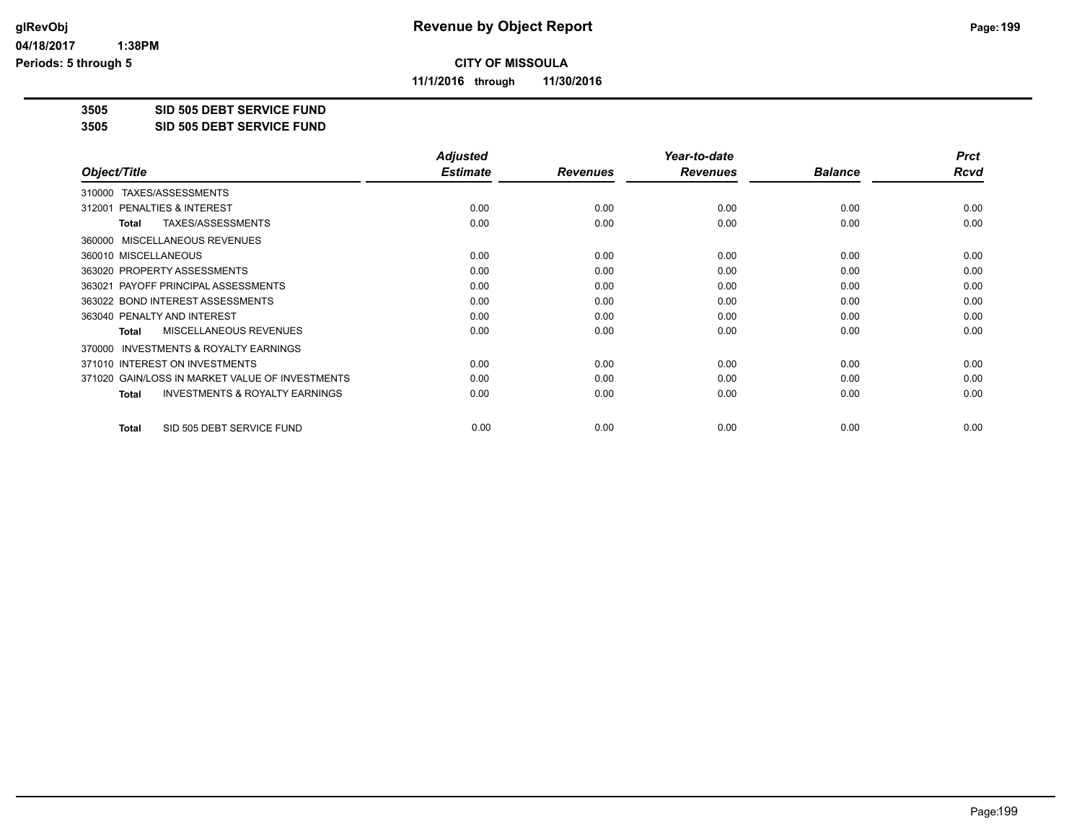**11/1/2016 through 11/30/2016**

**3505 SID 505 DEBT SERVICE FUND**

**3505 SID 505 DEBT SERVICE FUND**

|                                                    | <b>Adjusted</b> |                 | Year-to-date    |                | <b>Prct</b> |
|----------------------------------------------------|-----------------|-----------------|-----------------|----------------|-------------|
| Object/Title                                       | <b>Estimate</b> | <b>Revenues</b> | <b>Revenues</b> | <b>Balance</b> | Rcvd        |
| 310000 TAXES/ASSESSMENTS                           |                 |                 |                 |                |             |
| 312001 PENALTIES & INTEREST                        | 0.00            | 0.00            | 0.00            | 0.00           | 0.00        |
| TAXES/ASSESSMENTS<br>Total                         | 0.00            | 0.00            | 0.00            | 0.00           | 0.00        |
| 360000 MISCELLANEOUS REVENUES                      |                 |                 |                 |                |             |
| 360010 MISCELLANEOUS                               | 0.00            | 0.00            | 0.00            | 0.00           | 0.00        |
| 363020 PROPERTY ASSESSMENTS                        | 0.00            | 0.00            | 0.00            | 0.00           | 0.00        |
| 363021 PAYOFF PRINCIPAL ASSESSMENTS                | 0.00            | 0.00            | 0.00            | 0.00           | 0.00        |
| 363022 BOND INTEREST ASSESSMENTS                   | 0.00            | 0.00            | 0.00            | 0.00           | 0.00        |
| 363040 PENALTY AND INTEREST                        | 0.00            | 0.00            | 0.00            | 0.00           | 0.00        |
| MISCELLANEOUS REVENUES<br>Total                    | 0.00            | 0.00            | 0.00            | 0.00           | 0.00        |
| 370000 INVESTMENTS & ROYALTY EARNINGS              |                 |                 |                 |                |             |
| 371010 INTEREST ON INVESTMENTS                     | 0.00            | 0.00            | 0.00            | 0.00           | 0.00        |
| 371020 GAIN/LOSS IN MARKET VALUE OF INVESTMENTS    | 0.00            | 0.00            | 0.00            | 0.00           | 0.00        |
| <b>INVESTMENTS &amp; ROYALTY EARNINGS</b><br>Total | 0.00            | 0.00            | 0.00            | 0.00           | 0.00        |
| SID 505 DEBT SERVICE FUND<br>Total                 | 0.00            | 0.00            | 0.00            | 0.00           | 0.00        |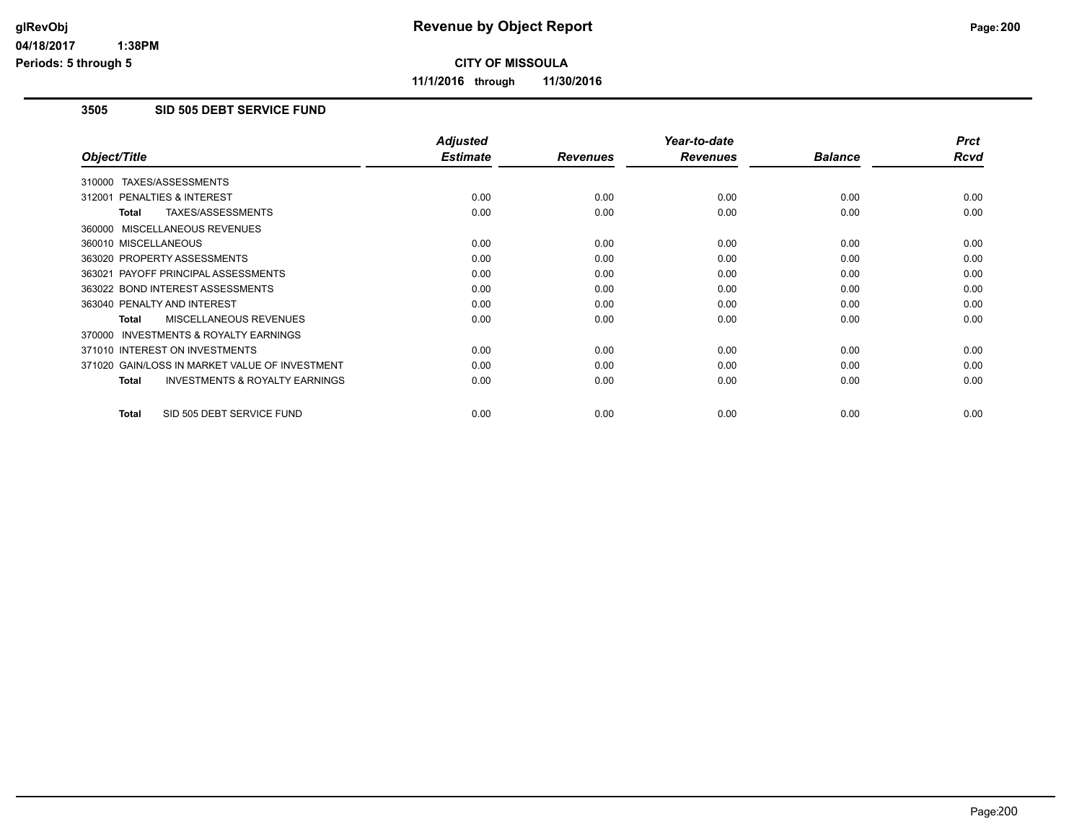**11/1/2016 through 11/30/2016**

#### **3505 SID 505 DEBT SERVICE FUND**

|                                                     | <b>Adjusted</b> |                 | Year-to-date    |                | <b>Prct</b> |
|-----------------------------------------------------|-----------------|-----------------|-----------------|----------------|-------------|
| Object/Title                                        | <b>Estimate</b> | <b>Revenues</b> | <b>Revenues</b> | <b>Balance</b> | Rcvd        |
| 310000 TAXES/ASSESSMENTS                            |                 |                 |                 |                |             |
| 312001 PENALTIES & INTEREST                         | 0.00            | 0.00            | 0.00            | 0.00           | 0.00        |
| TAXES/ASSESSMENTS<br>Total                          | 0.00            | 0.00            | 0.00            | 0.00           | 0.00        |
| 360000 MISCELLANEOUS REVENUES                       |                 |                 |                 |                |             |
| 360010 MISCELLANEOUS                                | 0.00            | 0.00            | 0.00            | 0.00           | 0.00        |
| 363020 PROPERTY ASSESSMENTS                         | 0.00            | 0.00            | 0.00            | 0.00           | 0.00        |
| 363021 PAYOFF PRINCIPAL ASSESSMENTS                 | 0.00            | 0.00            | 0.00            | 0.00           | 0.00        |
| 363022 BOND INTEREST ASSESSMENTS                    | 0.00            | 0.00            | 0.00            | 0.00           | 0.00        |
| 363040 PENALTY AND INTEREST                         | 0.00            | 0.00            | 0.00            | 0.00           | 0.00        |
| MISCELLANEOUS REVENUES<br>Total                     | 0.00            | 0.00            | 0.00            | 0.00           | 0.00        |
| <b>INVESTMENTS &amp; ROYALTY EARNINGS</b><br>370000 |                 |                 |                 |                |             |
| 371010 INTEREST ON INVESTMENTS                      | 0.00            | 0.00            | 0.00            | 0.00           | 0.00        |
| 371020 GAIN/LOSS IN MARKET VALUE OF INVESTMENT      | 0.00            | 0.00            | 0.00            | 0.00           | 0.00        |
| <b>INVESTMENTS &amp; ROYALTY EARNINGS</b><br>Total  | 0.00            | 0.00            | 0.00            | 0.00           | 0.00        |
| SID 505 DEBT SERVICE FUND<br>Total                  | 0.00            | 0.00            | 0.00            | 0.00           | 0.00        |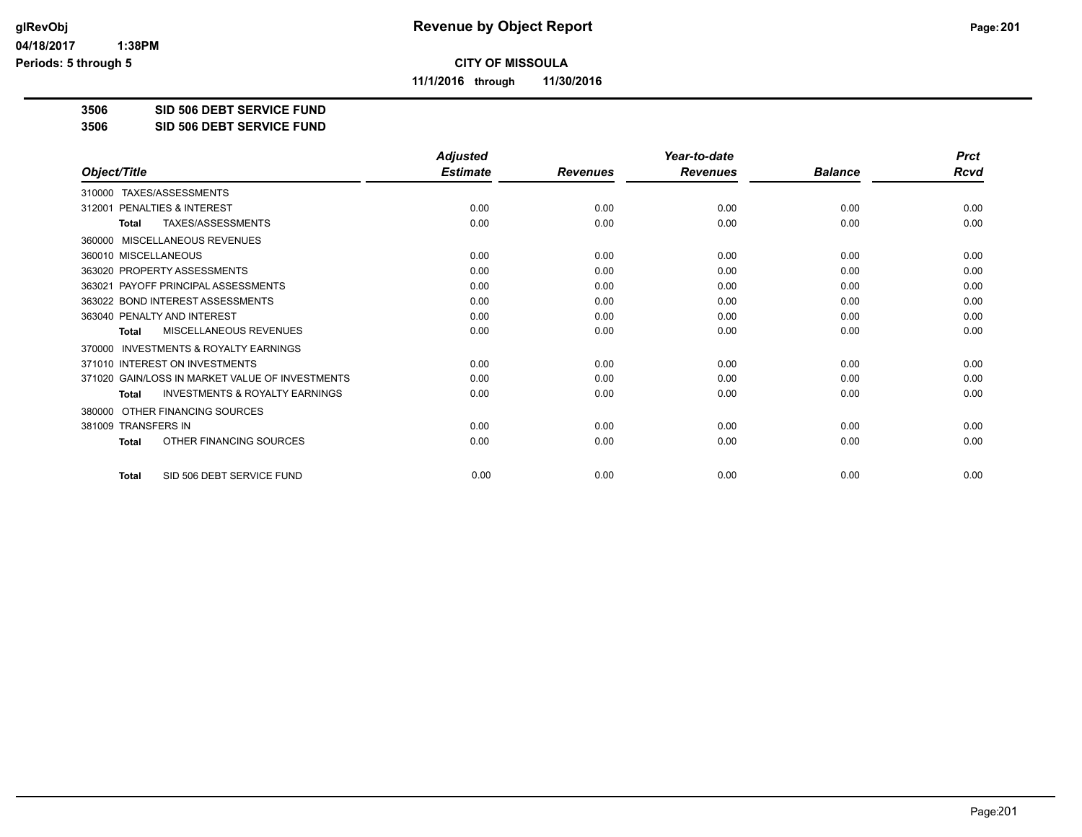**11/1/2016 through 11/30/2016**

**3506 SID 506 DEBT SERVICE FUND**

**3506 SID 506 DEBT SERVICE FUND**

|                                                           | <b>Adjusted</b> |                 | Year-to-date    |                | <b>Prct</b> |
|-----------------------------------------------------------|-----------------|-----------------|-----------------|----------------|-------------|
| Object/Title                                              | <b>Estimate</b> | <b>Revenues</b> | <b>Revenues</b> | <b>Balance</b> | <b>Rcvd</b> |
| 310000 TAXES/ASSESSMENTS                                  |                 |                 |                 |                |             |
| 312001 PENALTIES & INTEREST                               | 0.00            | 0.00            | 0.00            | 0.00           | 0.00        |
| TAXES/ASSESSMENTS<br><b>Total</b>                         | 0.00            | 0.00            | 0.00            | 0.00           | 0.00        |
| 360000 MISCELLANEOUS REVENUES                             |                 |                 |                 |                |             |
| 360010 MISCELLANEOUS                                      | 0.00            | 0.00            | 0.00            | 0.00           | 0.00        |
| 363020 PROPERTY ASSESSMENTS                               | 0.00            | 0.00            | 0.00            | 0.00           | 0.00        |
| 363021 PAYOFF PRINCIPAL ASSESSMENTS                       | 0.00            | 0.00            | 0.00            | 0.00           | 0.00        |
| 363022 BOND INTEREST ASSESSMENTS                          | 0.00            | 0.00            | 0.00            | 0.00           | 0.00        |
| 363040 PENALTY AND INTEREST                               | 0.00            | 0.00            | 0.00            | 0.00           | 0.00        |
| MISCELLANEOUS REVENUES<br><b>Total</b>                    | 0.00            | 0.00            | 0.00            | 0.00           | 0.00        |
| INVESTMENTS & ROYALTY EARNINGS<br>370000                  |                 |                 |                 |                |             |
| 371010 INTEREST ON INVESTMENTS                            | 0.00            | 0.00            | 0.00            | 0.00           | 0.00        |
| 371020 GAIN/LOSS IN MARKET VALUE OF INVESTMENTS           | 0.00            | 0.00            | 0.00            | 0.00           | 0.00        |
| <b>INVESTMENTS &amp; ROYALTY EARNINGS</b><br><b>Total</b> | 0.00            | 0.00            | 0.00            | 0.00           | 0.00        |
| 380000 OTHER FINANCING SOURCES                            |                 |                 |                 |                |             |
| 381009 TRANSFERS IN                                       | 0.00            | 0.00            | 0.00            | 0.00           | 0.00        |
| OTHER FINANCING SOURCES<br><b>Total</b>                   | 0.00            | 0.00            | 0.00            | 0.00           | 0.00        |
| SID 506 DEBT SERVICE FUND<br><b>Total</b>                 | 0.00            | 0.00            | 0.00            | 0.00           | 0.00        |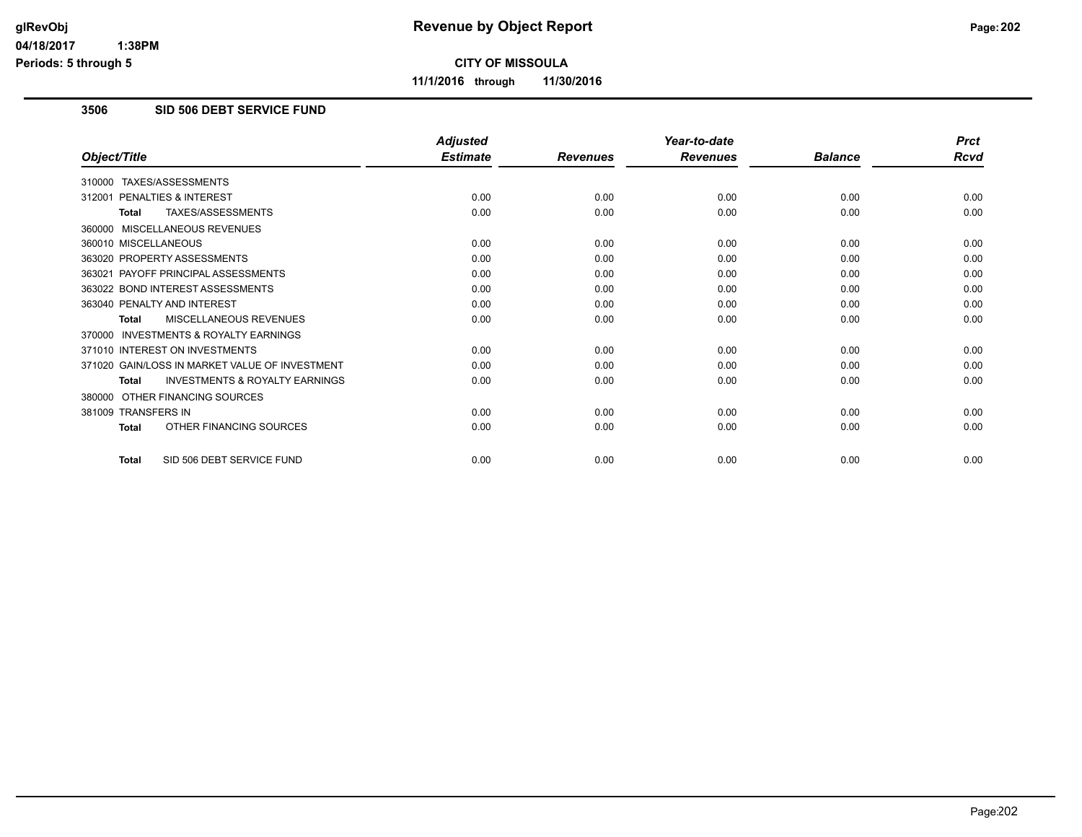**11/1/2016 through 11/30/2016**

#### **3506 SID 506 DEBT SERVICE FUND**

|                                                     | <b>Adjusted</b> |                 | Year-to-date    |                | <b>Prct</b> |
|-----------------------------------------------------|-----------------|-----------------|-----------------|----------------|-------------|
| Object/Title                                        | <b>Estimate</b> | <b>Revenues</b> | <b>Revenues</b> | <b>Balance</b> | Rcvd        |
| 310000 TAXES/ASSESSMENTS                            |                 |                 |                 |                |             |
| 312001 PENALTIES & INTEREST                         | 0.00            | 0.00            | 0.00            | 0.00           | 0.00        |
| TAXES/ASSESSMENTS<br><b>Total</b>                   | 0.00            | 0.00            | 0.00            | 0.00           | 0.00        |
| 360000 MISCELLANEOUS REVENUES                       |                 |                 |                 |                |             |
| 360010 MISCELLANEOUS                                | 0.00            | 0.00            | 0.00            | 0.00           | 0.00        |
| 363020 PROPERTY ASSESSMENTS                         | 0.00            | 0.00            | 0.00            | 0.00           | 0.00        |
| 363021 PAYOFF PRINCIPAL ASSESSMENTS                 | 0.00            | 0.00            | 0.00            | 0.00           | 0.00        |
| 363022 BOND INTEREST ASSESSMENTS                    | 0.00            | 0.00            | 0.00            | 0.00           | 0.00        |
| 363040 PENALTY AND INTEREST                         | 0.00            | 0.00            | 0.00            | 0.00           | 0.00        |
| MISCELLANEOUS REVENUES<br>Total                     | 0.00            | 0.00            | 0.00            | 0.00           | 0.00        |
| <b>INVESTMENTS &amp; ROYALTY EARNINGS</b><br>370000 |                 |                 |                 |                |             |
| 371010 INTEREST ON INVESTMENTS                      | 0.00            | 0.00            | 0.00            | 0.00           | 0.00        |
| 371020 GAIN/LOSS IN MARKET VALUE OF INVESTMENT      | 0.00            | 0.00            | 0.00            | 0.00           | 0.00        |
| <b>INVESTMENTS &amp; ROYALTY EARNINGS</b><br>Total  | 0.00            | 0.00            | 0.00            | 0.00           | 0.00        |
| OTHER FINANCING SOURCES<br>380000                   |                 |                 |                 |                |             |
| 381009 TRANSFERS IN                                 | 0.00            | 0.00            | 0.00            | 0.00           | 0.00        |
| OTHER FINANCING SOURCES<br><b>Total</b>             | 0.00            | 0.00            | 0.00            | 0.00           | 0.00        |
| SID 506 DEBT SERVICE FUND<br><b>Total</b>           | 0.00            | 0.00            | 0.00            | 0.00           | 0.00        |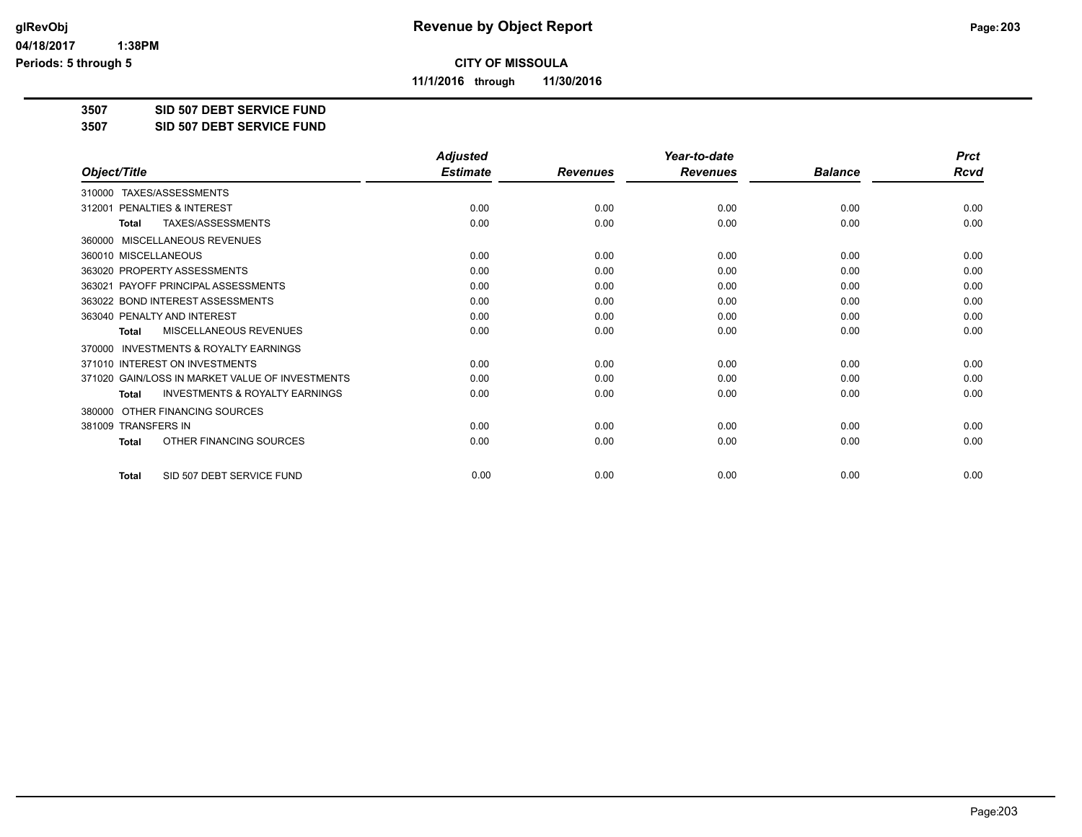**11/1/2016 through 11/30/2016**

**3507 SID 507 DEBT SERVICE FUND**

**3507 SID 507 DEBT SERVICE FUND**

|                                                           | <b>Adjusted</b> |                 | Year-to-date    |                |      |  |
|-----------------------------------------------------------|-----------------|-----------------|-----------------|----------------|------|--|
| Object/Title                                              | <b>Estimate</b> | <b>Revenues</b> | <b>Revenues</b> | <b>Balance</b> | Rcvd |  |
| 310000 TAXES/ASSESSMENTS                                  |                 |                 |                 |                |      |  |
| PENALTIES & INTEREST<br>312001                            | 0.00            | 0.00            | 0.00            | 0.00           | 0.00 |  |
| TAXES/ASSESSMENTS<br><b>Total</b>                         | 0.00            | 0.00            | 0.00            | 0.00           | 0.00 |  |
| 360000 MISCELLANEOUS REVENUES                             |                 |                 |                 |                |      |  |
| 360010 MISCELLANEOUS                                      | 0.00            | 0.00            | 0.00            | 0.00           | 0.00 |  |
| 363020 PROPERTY ASSESSMENTS                               | 0.00            | 0.00            | 0.00            | 0.00           | 0.00 |  |
| 363021 PAYOFF PRINCIPAL ASSESSMENTS                       | 0.00            | 0.00            | 0.00            | 0.00           | 0.00 |  |
| 363022 BOND INTEREST ASSESSMENTS                          | 0.00            | 0.00            | 0.00            | 0.00           | 0.00 |  |
| 363040 PENALTY AND INTEREST                               | 0.00            | 0.00            | 0.00            | 0.00           | 0.00 |  |
| MISCELLANEOUS REVENUES<br>Total                           | 0.00            | 0.00            | 0.00            | 0.00           | 0.00 |  |
| <b>INVESTMENTS &amp; ROYALTY EARNINGS</b><br>370000       |                 |                 |                 |                |      |  |
| 371010 INTEREST ON INVESTMENTS                            | 0.00            | 0.00            | 0.00            | 0.00           | 0.00 |  |
| 371020 GAIN/LOSS IN MARKET VALUE OF INVESTMENTS           | 0.00            | 0.00            | 0.00            | 0.00           | 0.00 |  |
| <b>INVESTMENTS &amp; ROYALTY EARNINGS</b><br><b>Total</b> | 0.00            | 0.00            | 0.00            | 0.00           | 0.00 |  |
| OTHER FINANCING SOURCES<br>380000                         |                 |                 |                 |                |      |  |
| 381009 TRANSFERS IN                                       | 0.00            | 0.00            | 0.00            | 0.00           | 0.00 |  |
| OTHER FINANCING SOURCES<br><b>Total</b>                   | 0.00            | 0.00            | 0.00            | 0.00           | 0.00 |  |
| SID 507 DEBT SERVICE FUND<br><b>Total</b>                 | 0.00            | 0.00            | 0.00            | 0.00           | 0.00 |  |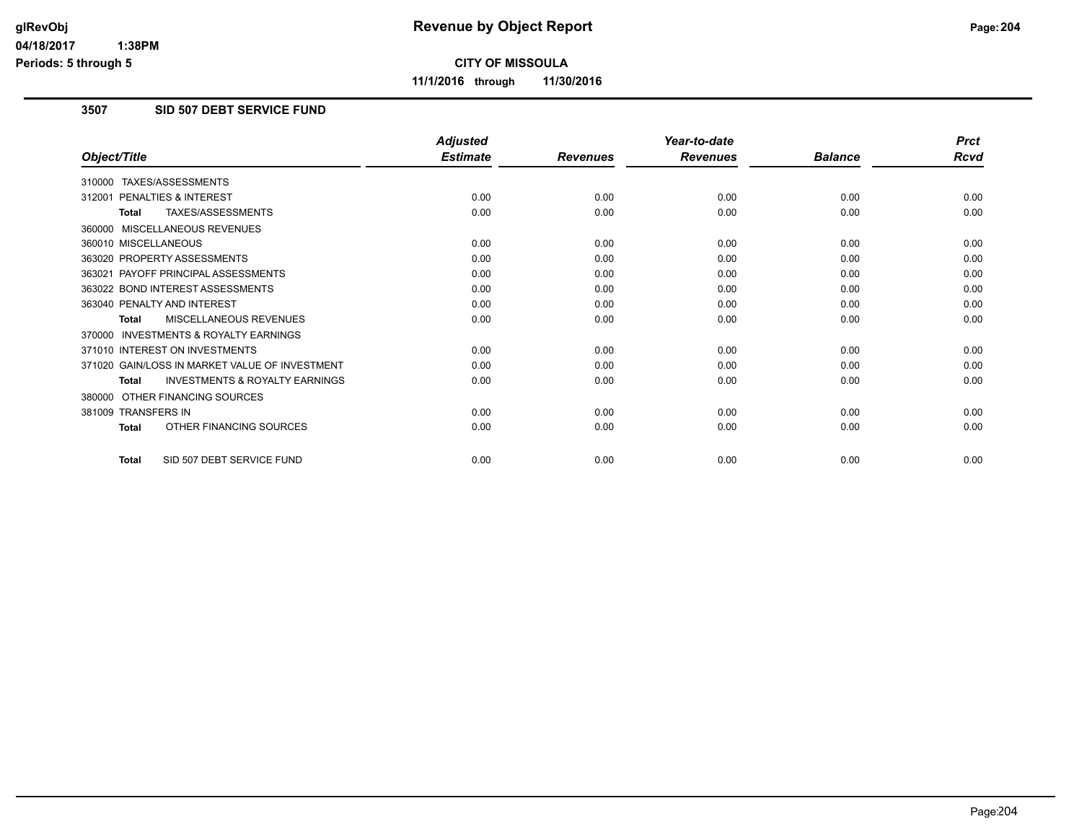**11/1/2016 through 11/30/2016**

#### **3507 SID 507 DEBT SERVICE FUND**

|                                                           | <b>Adjusted</b> |                 | Year-to-date    |                | <b>Prct</b> |
|-----------------------------------------------------------|-----------------|-----------------|-----------------|----------------|-------------|
| Object/Title                                              | <b>Estimate</b> | <b>Revenues</b> | <b>Revenues</b> | <b>Balance</b> | <b>Rcvd</b> |
| 310000 TAXES/ASSESSMENTS                                  |                 |                 |                 |                |             |
| 312001 PENALTIES & INTEREST                               | 0.00            | 0.00            | 0.00            | 0.00           | 0.00        |
| TAXES/ASSESSMENTS<br><b>Total</b>                         | 0.00            | 0.00            | 0.00            | 0.00           | 0.00        |
| 360000 MISCELLANEOUS REVENUES                             |                 |                 |                 |                |             |
| 360010 MISCELLANEOUS                                      | 0.00            | 0.00            | 0.00            | 0.00           | 0.00        |
| 363020 PROPERTY ASSESSMENTS                               | 0.00            | 0.00            | 0.00            | 0.00           | 0.00        |
| 363021 PAYOFF PRINCIPAL ASSESSMENTS                       | 0.00            | 0.00            | 0.00            | 0.00           | 0.00        |
| 363022 BOND INTEREST ASSESSMENTS                          | 0.00            | 0.00            | 0.00            | 0.00           | 0.00        |
| 363040 PENALTY AND INTEREST                               | 0.00            | 0.00            | 0.00            | 0.00           | 0.00        |
| MISCELLANEOUS REVENUES<br><b>Total</b>                    | 0.00            | 0.00            | 0.00            | 0.00           | 0.00        |
| INVESTMENTS & ROYALTY EARNINGS<br>370000                  |                 |                 |                 |                |             |
| 371010 INTEREST ON INVESTMENTS                            | 0.00            | 0.00            | 0.00            | 0.00           | 0.00        |
| 371020 GAIN/LOSS IN MARKET VALUE OF INVESTMENT            | 0.00            | 0.00            | 0.00            | 0.00           | 0.00        |
| <b>INVESTMENTS &amp; ROYALTY EARNINGS</b><br><b>Total</b> | 0.00            | 0.00            | 0.00            | 0.00           | 0.00        |
| 380000 OTHER FINANCING SOURCES                            |                 |                 |                 |                |             |
| 381009 TRANSFERS IN                                       | 0.00            | 0.00            | 0.00            | 0.00           | 0.00        |
| OTHER FINANCING SOURCES<br>Total                          | 0.00            | 0.00            | 0.00            | 0.00           | 0.00        |
| SID 507 DEBT SERVICE FUND<br><b>Total</b>                 | 0.00            | 0.00            | 0.00            | 0.00           | 0.00        |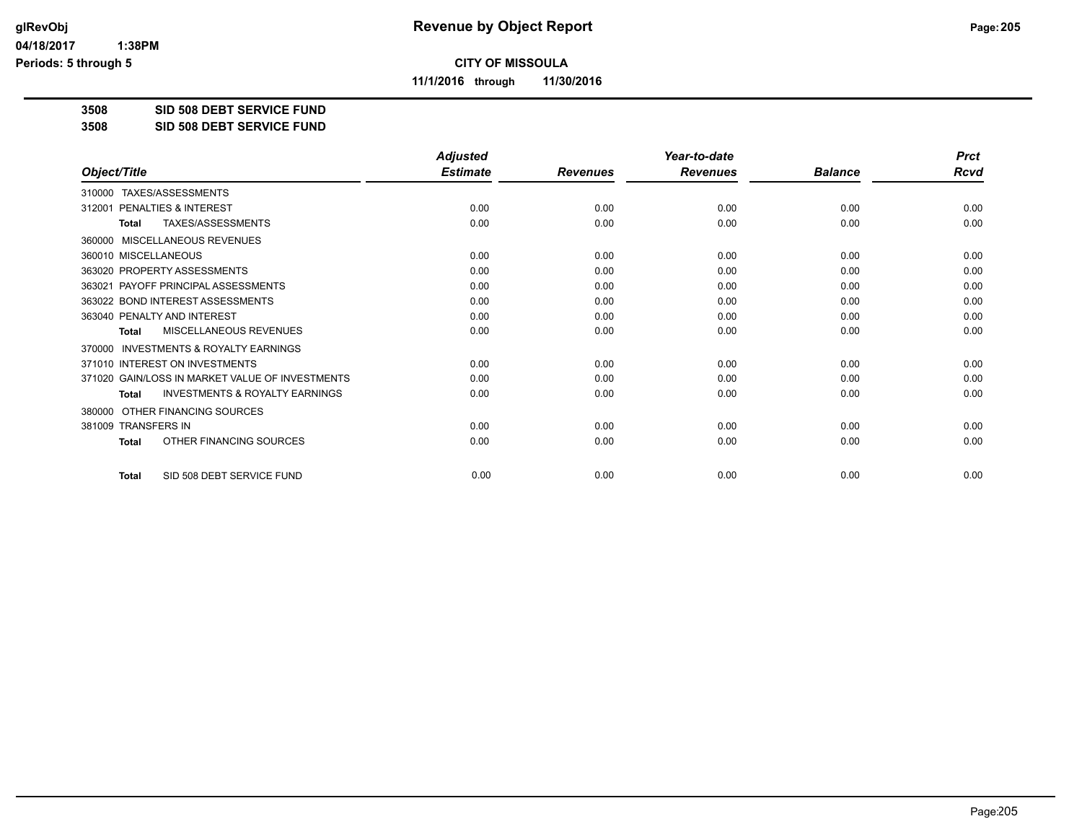**11/1/2016 through 11/30/2016**

**3508 SID 508 DEBT SERVICE FUND**

**3508 SID 508 DEBT SERVICE FUND**

|                                                    | <b>Adjusted</b> |                 | Year-to-date    |                | <b>Prct</b> |
|----------------------------------------------------|-----------------|-----------------|-----------------|----------------|-------------|
| Object/Title                                       | <b>Estimate</b> | <b>Revenues</b> | <b>Revenues</b> | <b>Balance</b> | Rcvd        |
| 310000 TAXES/ASSESSMENTS                           |                 |                 |                 |                |             |
| PENALTIES & INTEREST<br>312001                     | 0.00            | 0.00            | 0.00            | 0.00           | 0.00        |
| TAXES/ASSESSMENTS<br><b>Total</b>                  | 0.00            | 0.00            | 0.00            | 0.00           | 0.00        |
| 360000 MISCELLANEOUS REVENUES                      |                 |                 |                 |                |             |
| 360010 MISCELLANEOUS                               | 0.00            | 0.00            | 0.00            | 0.00           | 0.00        |
| 363020 PROPERTY ASSESSMENTS                        | 0.00            | 0.00            | 0.00            | 0.00           | 0.00        |
| 363021 PAYOFF PRINCIPAL ASSESSMENTS                | 0.00            | 0.00            | 0.00            | 0.00           | 0.00        |
| 363022 BOND INTEREST ASSESSMENTS                   | 0.00            | 0.00            | 0.00            | 0.00           | 0.00        |
| 363040 PENALTY AND INTEREST                        | 0.00            | 0.00            | 0.00            | 0.00           | 0.00        |
| MISCELLANEOUS REVENUES<br><b>Total</b>             | 0.00            | 0.00            | 0.00            | 0.00           | 0.00        |
| INVESTMENTS & ROYALTY EARNINGS<br>370000           |                 |                 |                 |                |             |
| 371010 INTEREST ON INVESTMENTS                     | 0.00            | 0.00            | 0.00            | 0.00           | 0.00        |
| 371020 GAIN/LOSS IN MARKET VALUE OF INVESTMENTS    | 0.00            | 0.00            | 0.00            | 0.00           | 0.00        |
| <b>INVESTMENTS &amp; ROYALTY EARNINGS</b><br>Total | 0.00            | 0.00            | 0.00            | 0.00           | 0.00        |
| OTHER FINANCING SOURCES<br>380000                  |                 |                 |                 |                |             |
| 381009 TRANSFERS IN                                | 0.00            | 0.00            | 0.00            | 0.00           | 0.00        |
| OTHER FINANCING SOURCES<br><b>Total</b>            | 0.00            | 0.00            | 0.00            | 0.00           | 0.00        |
| SID 508 DEBT SERVICE FUND<br><b>Total</b>          | 0.00            | 0.00            | 0.00            | 0.00           | 0.00        |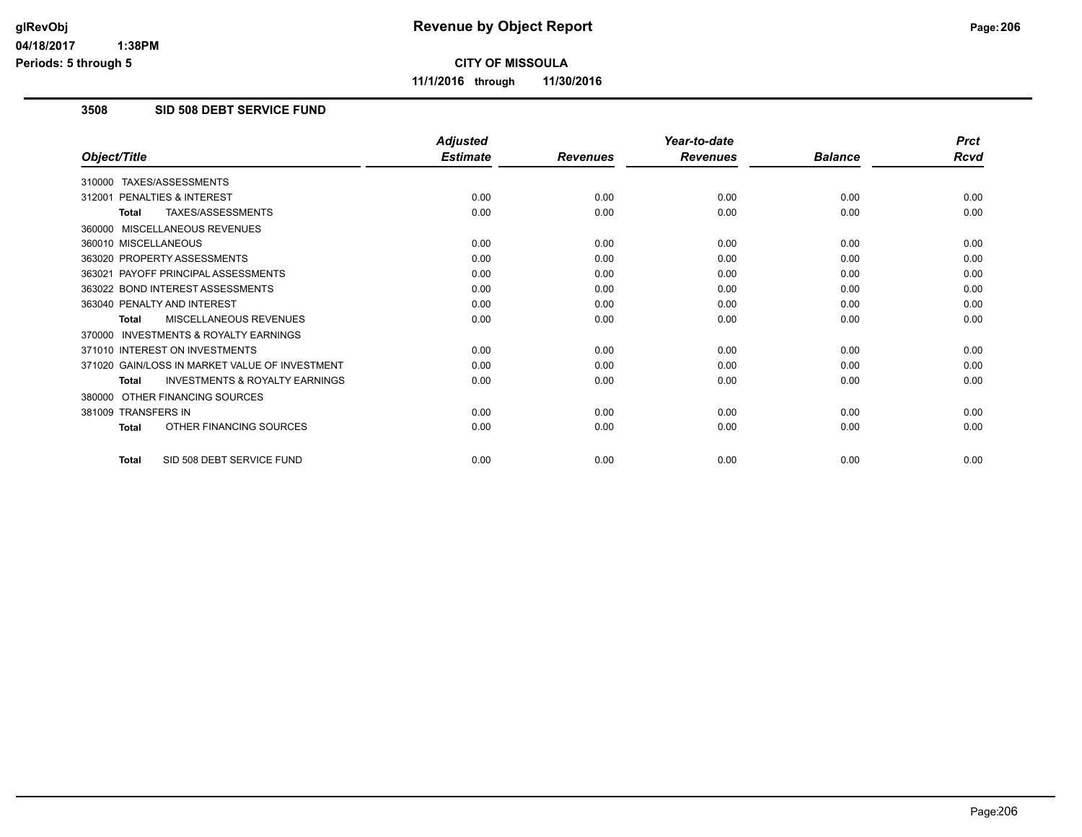**11/1/2016 through 11/30/2016**

#### **3508 SID 508 DEBT SERVICE FUND**

|                                                           | <b>Adjusted</b> |                 | Year-to-date    |                | <b>Prct</b> |
|-----------------------------------------------------------|-----------------|-----------------|-----------------|----------------|-------------|
| Object/Title                                              | <b>Estimate</b> | <b>Revenues</b> | <b>Revenues</b> | <b>Balance</b> | Rcvd        |
| 310000 TAXES/ASSESSMENTS                                  |                 |                 |                 |                |             |
| 312001 PENALTIES & INTEREST                               | 0.00            | 0.00            | 0.00            | 0.00           | 0.00        |
| TAXES/ASSESSMENTS<br><b>Total</b>                         | 0.00            | 0.00            | 0.00            | 0.00           | 0.00        |
| 360000 MISCELLANEOUS REVENUES                             |                 |                 |                 |                |             |
| 360010 MISCELLANEOUS                                      | 0.00            | 0.00            | 0.00            | 0.00           | 0.00        |
| 363020 PROPERTY ASSESSMENTS                               | 0.00            | 0.00            | 0.00            | 0.00           | 0.00        |
| 363021 PAYOFF PRINCIPAL ASSESSMENTS                       | 0.00            | 0.00            | 0.00            | 0.00           | 0.00        |
| 363022 BOND INTEREST ASSESSMENTS                          | 0.00            | 0.00            | 0.00            | 0.00           | 0.00        |
| 363040 PENALTY AND INTEREST                               | 0.00            | 0.00            | 0.00            | 0.00           | 0.00        |
| MISCELLANEOUS REVENUES<br><b>Total</b>                    | 0.00            | 0.00            | 0.00            | 0.00           | 0.00        |
| <b>INVESTMENTS &amp; ROYALTY EARNINGS</b><br>370000       |                 |                 |                 |                |             |
| 371010 INTEREST ON INVESTMENTS                            | 0.00            | 0.00            | 0.00            | 0.00           | 0.00        |
| 371020 GAIN/LOSS IN MARKET VALUE OF INVESTMENT            | 0.00            | 0.00            | 0.00            | 0.00           | 0.00        |
| <b>INVESTMENTS &amp; ROYALTY EARNINGS</b><br><b>Total</b> | 0.00            | 0.00            | 0.00            | 0.00           | 0.00        |
| OTHER FINANCING SOURCES<br>380000                         |                 |                 |                 |                |             |
| 381009 TRANSFERS IN                                       | 0.00            | 0.00            | 0.00            | 0.00           | 0.00        |
| OTHER FINANCING SOURCES<br><b>Total</b>                   | 0.00            | 0.00            | 0.00            | 0.00           | 0.00        |
| SID 508 DEBT SERVICE FUND<br><b>Total</b>                 | 0.00            | 0.00            | 0.00            | 0.00           | 0.00        |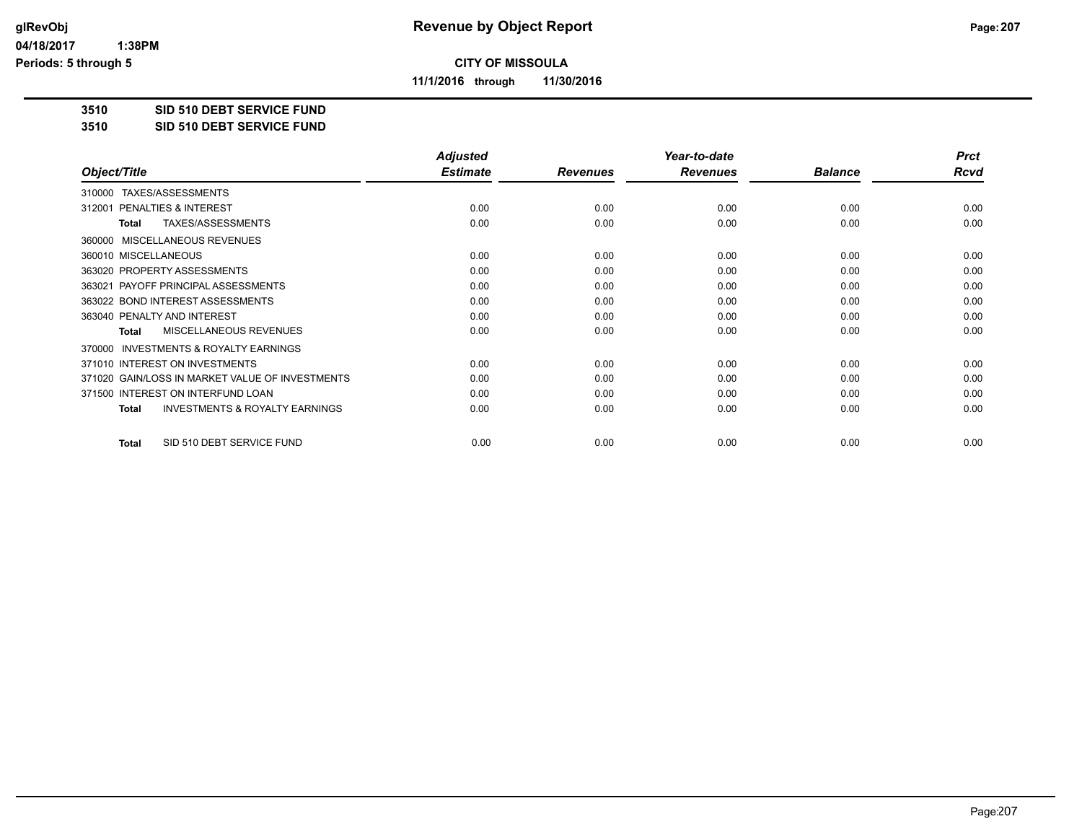**11/1/2016 through 11/30/2016**

**3510 SID 510 DEBT SERVICE FUND**

**3510 SID 510 DEBT SERVICE FUND**

|                                                           | <b>Adjusted</b> |                 | Year-to-date    |                | <b>Prct</b> |
|-----------------------------------------------------------|-----------------|-----------------|-----------------|----------------|-------------|
| Object/Title                                              | <b>Estimate</b> | <b>Revenues</b> | <b>Revenues</b> | <b>Balance</b> | <b>Rcvd</b> |
| 310000 TAXES/ASSESSMENTS                                  |                 |                 |                 |                |             |
| 312001 PENALTIES & INTEREST                               | 0.00            | 0.00            | 0.00            | 0.00           | 0.00        |
| TAXES/ASSESSMENTS<br><b>Total</b>                         | 0.00            | 0.00            | 0.00            | 0.00           | 0.00        |
| 360000 MISCELLANEOUS REVENUES                             |                 |                 |                 |                |             |
| 360010 MISCELLANEOUS                                      | 0.00            | 0.00            | 0.00            | 0.00           | 0.00        |
| 363020 PROPERTY ASSESSMENTS                               | 0.00            | 0.00            | 0.00            | 0.00           | 0.00        |
| 363021 PAYOFF PRINCIPAL ASSESSMENTS                       | 0.00            | 0.00            | 0.00            | 0.00           | 0.00        |
| 363022 BOND INTEREST ASSESSMENTS                          | 0.00            | 0.00            | 0.00            | 0.00           | 0.00        |
| 363040 PENALTY AND INTEREST                               | 0.00            | 0.00            | 0.00            | 0.00           | 0.00        |
| MISCELLANEOUS REVENUES<br>Total                           | 0.00            | 0.00            | 0.00            | 0.00           | 0.00        |
| <b>INVESTMENTS &amp; ROYALTY EARNINGS</b><br>370000       |                 |                 |                 |                |             |
| 371010 INTEREST ON INVESTMENTS                            | 0.00            | 0.00            | 0.00            | 0.00           | 0.00        |
| 371020 GAIN/LOSS IN MARKET VALUE OF INVESTMENTS           | 0.00            | 0.00            | 0.00            | 0.00           | 0.00        |
| 371500 INTEREST ON INTERFUND LOAN                         | 0.00            | 0.00            | 0.00            | 0.00           | 0.00        |
| <b>INVESTMENTS &amp; ROYALTY EARNINGS</b><br><b>Total</b> | 0.00            | 0.00            | 0.00            | 0.00           | 0.00        |
| SID 510 DEBT SERVICE FUND<br><b>Total</b>                 | 0.00            | 0.00            | 0.00            | 0.00           | 0.00        |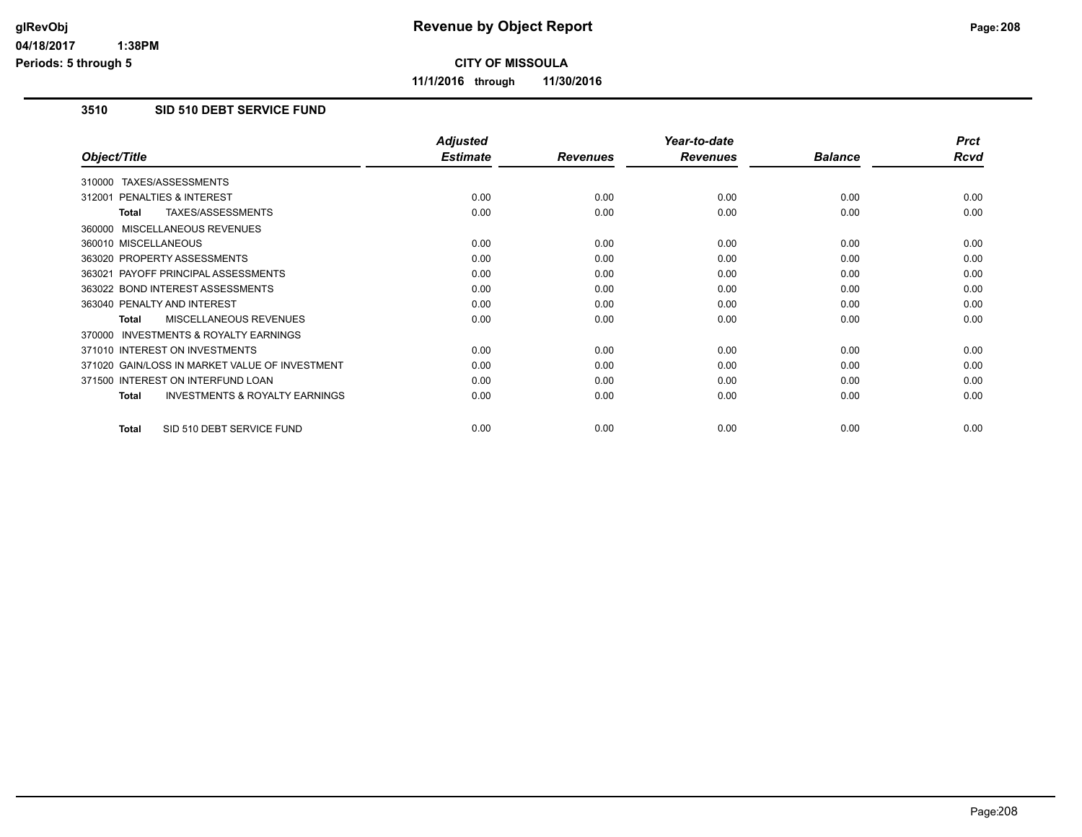**11/1/2016 through 11/30/2016**

#### **3510 SID 510 DEBT SERVICE FUND**

|                                                           | <b>Adjusted</b> |                 | Year-to-date    |                | <b>Prct</b> |
|-----------------------------------------------------------|-----------------|-----------------|-----------------|----------------|-------------|
| Object/Title                                              | <b>Estimate</b> | <b>Revenues</b> | <b>Revenues</b> | <b>Balance</b> | Rcvd        |
| TAXES/ASSESSMENTS<br>310000                               |                 |                 |                 |                |             |
| 312001 PENALTIES & INTEREST                               | 0.00            | 0.00            | 0.00            | 0.00           | 0.00        |
| TAXES/ASSESSMENTS<br>Total                                | 0.00            | 0.00            | 0.00            | 0.00           | 0.00        |
| 360000 MISCELLANEOUS REVENUES                             |                 |                 |                 |                |             |
| 360010 MISCELLANEOUS                                      | 0.00            | 0.00            | 0.00            | 0.00           | 0.00        |
| 363020 PROPERTY ASSESSMENTS                               | 0.00            | 0.00            | 0.00            | 0.00           | 0.00        |
| 363021 PAYOFF PRINCIPAL ASSESSMENTS                       | 0.00            | 0.00            | 0.00            | 0.00           | 0.00        |
| 363022 BOND INTEREST ASSESSMENTS                          | 0.00            | 0.00            | 0.00            | 0.00           | 0.00        |
| 363040 PENALTY AND INTEREST                               | 0.00            | 0.00            | 0.00            | 0.00           | 0.00        |
| <b>MISCELLANEOUS REVENUES</b><br>Total                    | 0.00            | 0.00            | 0.00            | 0.00           | 0.00        |
| <b>INVESTMENTS &amp; ROYALTY EARNINGS</b><br>370000       |                 |                 |                 |                |             |
| 371010 INTEREST ON INVESTMENTS                            | 0.00            | 0.00            | 0.00            | 0.00           | 0.00        |
| 371020 GAIN/LOSS IN MARKET VALUE OF INVESTMENT            | 0.00            | 0.00            | 0.00            | 0.00           | 0.00        |
| 371500 INTEREST ON INTERFUND LOAN                         | 0.00            | 0.00            | 0.00            | 0.00           | 0.00        |
| <b>INVESTMENTS &amp; ROYALTY EARNINGS</b><br><b>Total</b> | 0.00            | 0.00            | 0.00            | 0.00           | 0.00        |
| SID 510 DEBT SERVICE FUND<br>Total                        | 0.00            | 0.00            | 0.00            | 0.00           | 0.00        |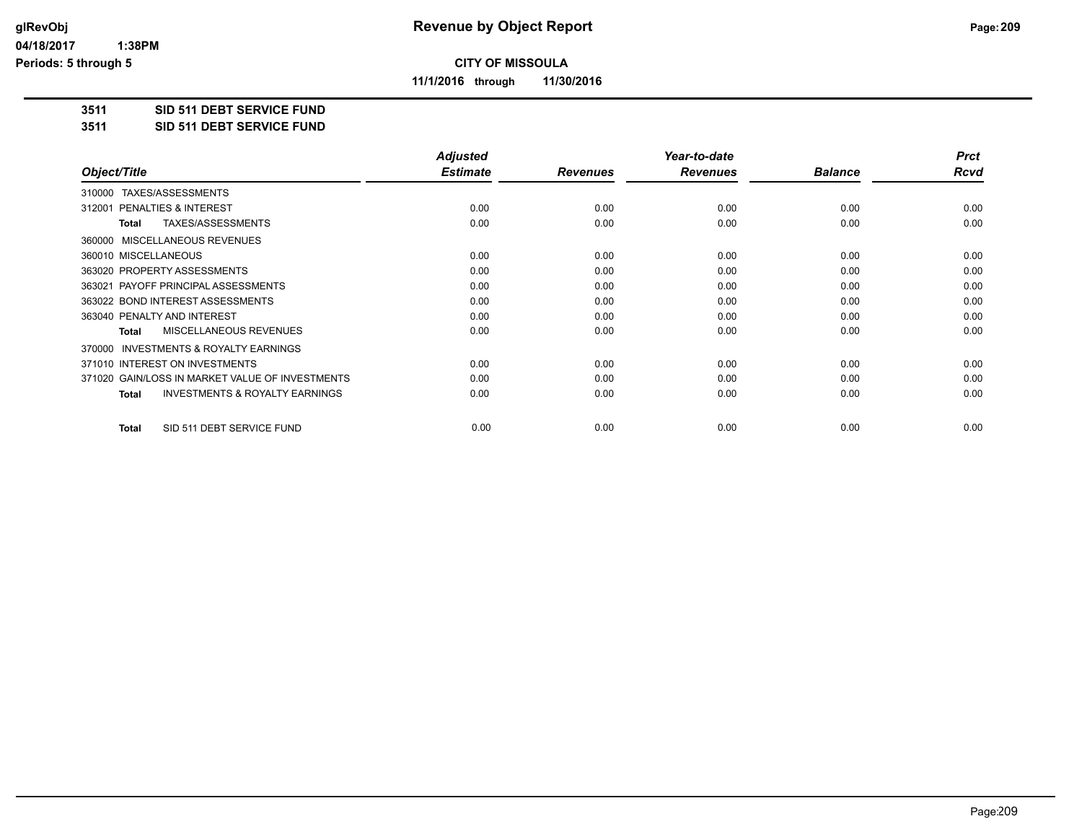**11/1/2016 through 11/30/2016**

**3511 SID 511 DEBT SERVICE FUND**

**3511 SID 511 DEBT SERVICE FUND**

|                                                           | <b>Adjusted</b> |                 | Year-to-date    |                | <b>Prct</b> |
|-----------------------------------------------------------|-----------------|-----------------|-----------------|----------------|-------------|
| Object/Title                                              | <b>Estimate</b> | <b>Revenues</b> | <b>Revenues</b> | <b>Balance</b> | Rcvd        |
| 310000 TAXES/ASSESSMENTS                                  |                 |                 |                 |                |             |
| 312001 PENALTIES & INTEREST                               | 0.00            | 0.00            | 0.00            | 0.00           | 0.00        |
| TAXES/ASSESSMENTS<br><b>Total</b>                         | 0.00            | 0.00            | 0.00            | 0.00           | 0.00        |
| 360000 MISCELLANEOUS REVENUES                             |                 |                 |                 |                |             |
| 360010 MISCELLANEOUS                                      | 0.00            | 0.00            | 0.00            | 0.00           | 0.00        |
| 363020 PROPERTY ASSESSMENTS                               | 0.00            | 0.00            | 0.00            | 0.00           | 0.00        |
| 363021 PAYOFF PRINCIPAL ASSESSMENTS                       | 0.00            | 0.00            | 0.00            | 0.00           | 0.00        |
| 363022 BOND INTEREST ASSESSMENTS                          | 0.00            | 0.00            | 0.00            | 0.00           | 0.00        |
| 363040 PENALTY AND INTEREST                               | 0.00            | 0.00            | 0.00            | 0.00           | 0.00        |
| MISCELLANEOUS REVENUES<br>Total                           | 0.00            | 0.00            | 0.00            | 0.00           | 0.00        |
| <b>INVESTMENTS &amp; ROYALTY EARNINGS</b><br>370000       |                 |                 |                 |                |             |
| 371010 INTEREST ON INVESTMENTS                            | 0.00            | 0.00            | 0.00            | 0.00           | 0.00        |
| 371020 GAIN/LOSS IN MARKET VALUE OF INVESTMENTS           | 0.00            | 0.00            | 0.00            | 0.00           | 0.00        |
| <b>INVESTMENTS &amp; ROYALTY EARNINGS</b><br><b>Total</b> | 0.00            | 0.00            | 0.00            | 0.00           | 0.00        |
| SID 511 DEBT SERVICE FUND<br><b>Total</b>                 | 0.00            | 0.00            | 0.00            | 0.00           | 0.00        |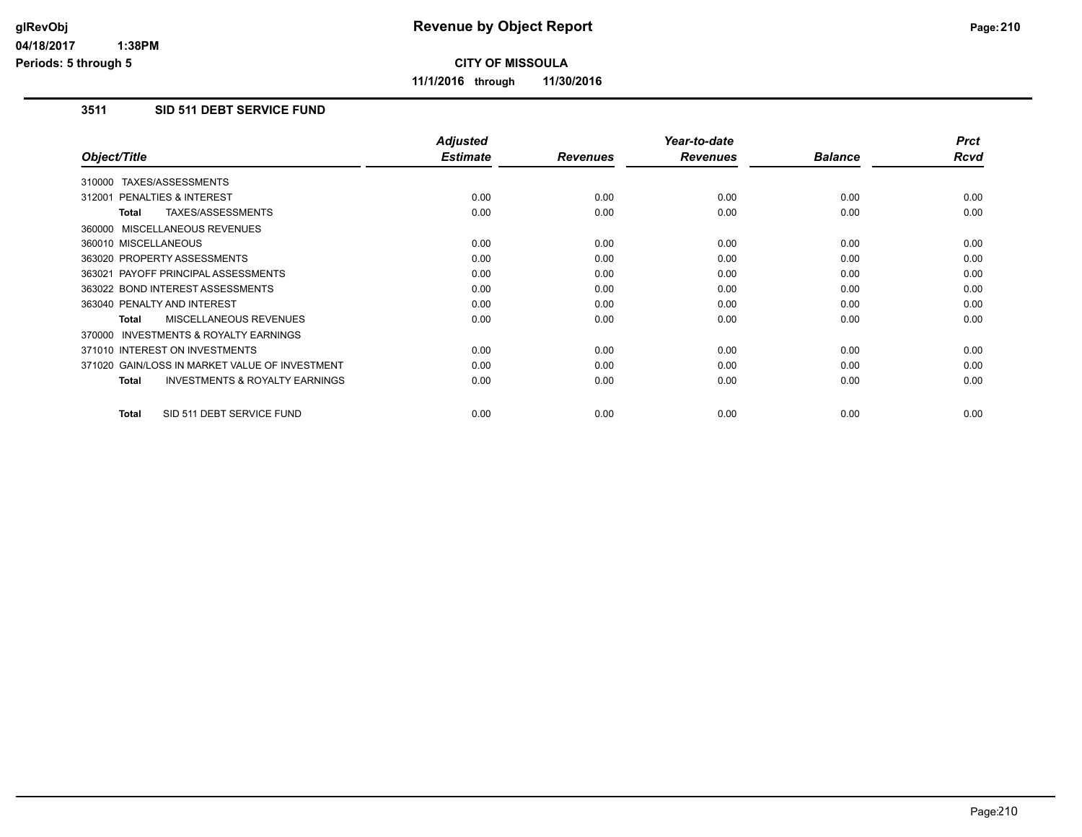**11/1/2016 through 11/30/2016**

### **3511 SID 511 DEBT SERVICE FUND**

|                                                           | <b>Adjusted</b> |                 | Year-to-date    |                | <b>Prct</b> |
|-----------------------------------------------------------|-----------------|-----------------|-----------------|----------------|-------------|
| Object/Title                                              | <b>Estimate</b> | <b>Revenues</b> | <b>Revenues</b> | <b>Balance</b> | <b>Rcvd</b> |
| 310000 TAXES/ASSESSMENTS                                  |                 |                 |                 |                |             |
| 312001 PENALTIES & INTEREST                               | 0.00            | 0.00            | 0.00            | 0.00           | 0.00        |
| TAXES/ASSESSMENTS<br>Total                                | 0.00            | 0.00            | 0.00            | 0.00           | 0.00        |
| 360000 MISCELLANEOUS REVENUES                             |                 |                 |                 |                |             |
| 360010 MISCELLANEOUS                                      | 0.00            | 0.00            | 0.00            | 0.00           | 0.00        |
| 363020 PROPERTY ASSESSMENTS                               | 0.00            | 0.00            | 0.00            | 0.00           | 0.00        |
| 363021 PAYOFF PRINCIPAL ASSESSMENTS                       | 0.00            | 0.00            | 0.00            | 0.00           | 0.00        |
| 363022 BOND INTEREST ASSESSMENTS                          | 0.00            | 0.00            | 0.00            | 0.00           | 0.00        |
| 363040 PENALTY AND INTEREST                               | 0.00            | 0.00            | 0.00            | 0.00           | 0.00        |
| <b>MISCELLANEOUS REVENUES</b><br>Total                    | 0.00            | 0.00            | 0.00            | 0.00           | 0.00        |
| INVESTMENTS & ROYALTY EARNINGS<br>370000                  |                 |                 |                 |                |             |
| 371010 INTEREST ON INVESTMENTS                            | 0.00            | 0.00            | 0.00            | 0.00           | 0.00        |
| 371020 GAIN/LOSS IN MARKET VALUE OF INVESTMENT            | 0.00            | 0.00            | 0.00            | 0.00           | 0.00        |
| <b>INVESTMENTS &amp; ROYALTY EARNINGS</b><br><b>Total</b> | 0.00            | 0.00            | 0.00            | 0.00           | 0.00        |
| SID 511 DEBT SERVICE FUND<br><b>Total</b>                 | 0.00            | 0.00            | 0.00            | 0.00           | 0.00        |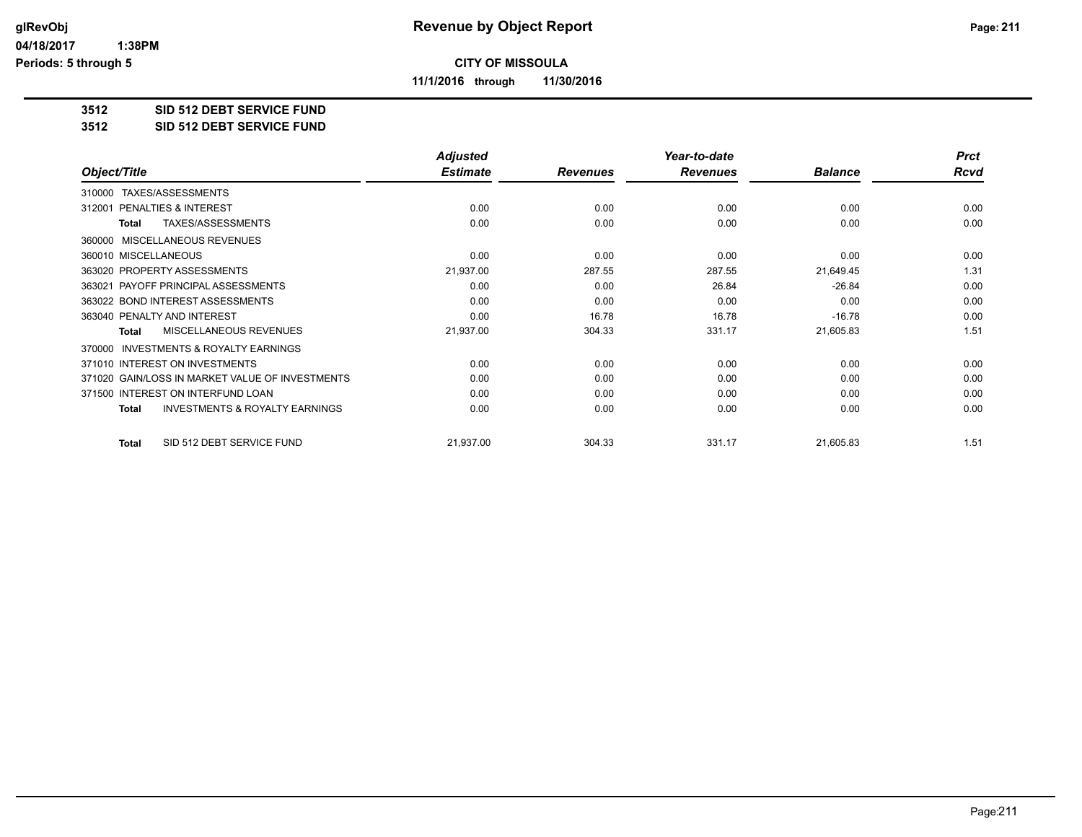**11/1/2016 through 11/30/2016**

**3512 SID 512 DEBT SERVICE FUND**

**3512 SID 512 DEBT SERVICE FUND**

|                                                     | <b>Adjusted</b> |                 | Year-to-date    |                | <b>Prct</b> |
|-----------------------------------------------------|-----------------|-----------------|-----------------|----------------|-------------|
| Object/Title                                        | <b>Estimate</b> | <b>Revenues</b> | <b>Revenues</b> | <b>Balance</b> | <b>Rcvd</b> |
| TAXES/ASSESSMENTS<br>310000                         |                 |                 |                 |                |             |
| 312001 PENALTIES & INTEREST                         | 0.00            | 0.00            | 0.00            | 0.00           | 0.00        |
| TAXES/ASSESSMENTS<br>Total                          | 0.00            | 0.00            | 0.00            | 0.00           | 0.00        |
| 360000 MISCELLANEOUS REVENUES                       |                 |                 |                 |                |             |
| 360010 MISCELLANEOUS                                | 0.00            | 0.00            | 0.00            | 0.00           | 0.00        |
| 363020 PROPERTY ASSESSMENTS                         | 21,937.00       | 287.55          | 287.55          | 21,649.45      | 1.31        |
| 363021 PAYOFF PRINCIPAL ASSESSMENTS                 | 0.00            | 0.00            | 26.84           | $-26.84$       | 0.00        |
| 363022 BOND INTEREST ASSESSMENTS                    | 0.00            | 0.00            | 0.00            | 0.00           | 0.00        |
| 363040 PENALTY AND INTEREST                         | 0.00            | 16.78           | 16.78           | $-16.78$       | 0.00        |
| MISCELLANEOUS REVENUES<br>Total                     | 21,937.00       | 304.33          | 331.17          | 21,605.83      | 1.51        |
| <b>INVESTMENTS &amp; ROYALTY EARNINGS</b><br>370000 |                 |                 |                 |                |             |
| 371010 INTEREST ON INVESTMENTS                      | 0.00            | 0.00            | 0.00            | 0.00           | 0.00        |
| 371020 GAIN/LOSS IN MARKET VALUE OF INVESTMENTS     | 0.00            | 0.00            | 0.00            | 0.00           | 0.00        |
| 371500 INTEREST ON INTERFUND LOAN                   | 0.00            | 0.00            | 0.00            | 0.00           | 0.00        |
| <b>INVESTMENTS &amp; ROYALTY EARNINGS</b><br>Total  | 0.00            | 0.00            | 0.00            | 0.00           | 0.00        |
| SID 512 DEBT SERVICE FUND<br>Total                  | 21,937.00       | 304.33          | 331.17          | 21,605.83      | 1.51        |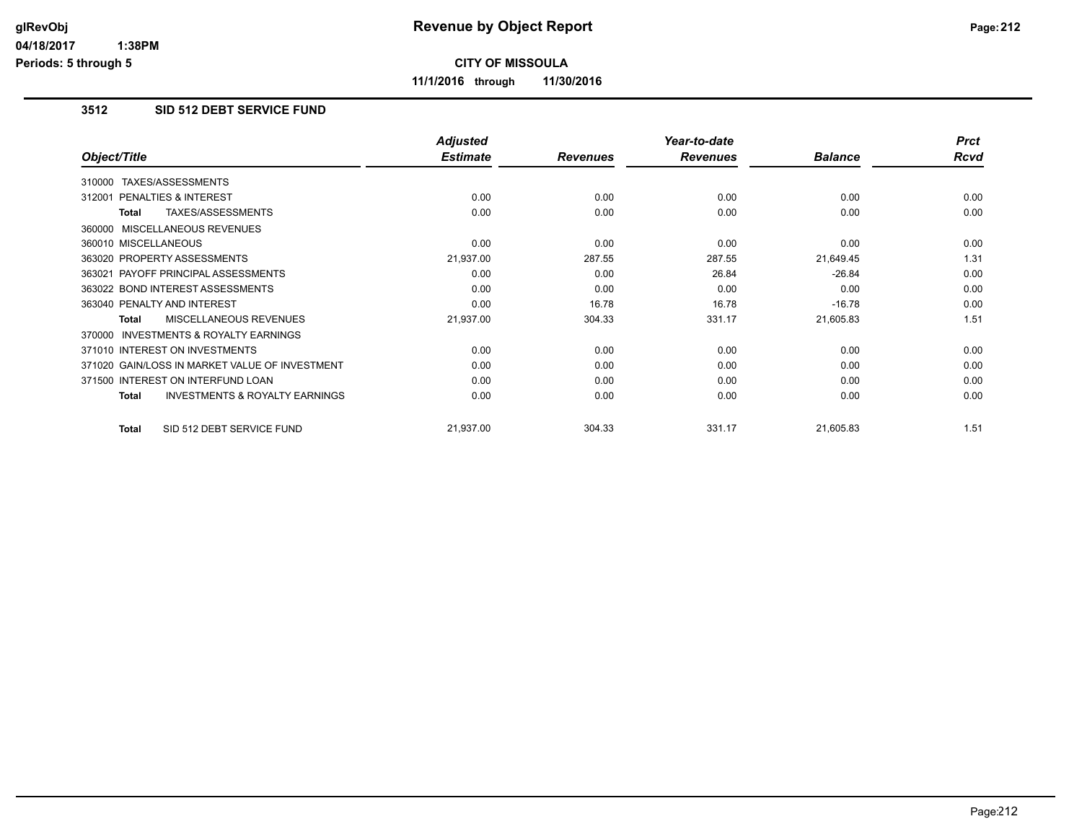**11/1/2016 through 11/30/2016**

#### **3512 SID 512 DEBT SERVICE FUND**

|                                                     | <b>Adjusted</b> |                 | Year-to-date    |                | <b>Prct</b> |
|-----------------------------------------------------|-----------------|-----------------|-----------------|----------------|-------------|
| Object/Title                                        | <b>Estimate</b> | <b>Revenues</b> | <b>Revenues</b> | <b>Balance</b> | <b>Rcvd</b> |
| TAXES/ASSESSMENTS<br>310000                         |                 |                 |                 |                |             |
| 312001 PENALTIES & INTEREST                         | 0.00            | 0.00            | 0.00            | 0.00           | 0.00        |
| TAXES/ASSESSMENTS<br>Total                          | 0.00            | 0.00            | 0.00            | 0.00           | 0.00        |
| 360000 MISCELLANEOUS REVENUES                       |                 |                 |                 |                |             |
| 360010 MISCELLANEOUS                                | 0.00            | 0.00            | 0.00            | 0.00           | 0.00        |
| 363020 PROPERTY ASSESSMENTS                         | 21,937.00       | 287.55          | 287.55          | 21,649.45      | 1.31        |
| 363021 PAYOFF PRINCIPAL ASSESSMENTS                 | 0.00            | 0.00            | 26.84           | $-26.84$       | 0.00        |
| 363022 BOND INTEREST ASSESSMENTS                    | 0.00            | 0.00            | 0.00            | 0.00           | 0.00        |
| 363040 PENALTY AND INTEREST                         | 0.00            | 16.78           | 16.78           | $-16.78$       | 0.00        |
| <b>MISCELLANEOUS REVENUES</b><br>Total              | 21,937.00       | 304.33          | 331.17          | 21,605.83      | 1.51        |
| <b>INVESTMENTS &amp; ROYALTY EARNINGS</b><br>370000 |                 |                 |                 |                |             |
| 371010 INTEREST ON INVESTMENTS                      | 0.00            | 0.00            | 0.00            | 0.00           | 0.00        |
| 371020 GAIN/LOSS IN MARKET VALUE OF INVESTMENT      | 0.00            | 0.00            | 0.00            | 0.00           | 0.00        |
| 371500 INTEREST ON INTERFUND LOAN                   | 0.00            | 0.00            | 0.00            | 0.00           | 0.00        |
| <b>INVESTMENTS &amp; ROYALTY EARNINGS</b><br>Total  | 0.00            | 0.00            | 0.00            | 0.00           | 0.00        |
| SID 512 DEBT SERVICE FUND<br>Total                  | 21,937.00       | 304.33          | 331.17          | 21,605.83      | 1.51        |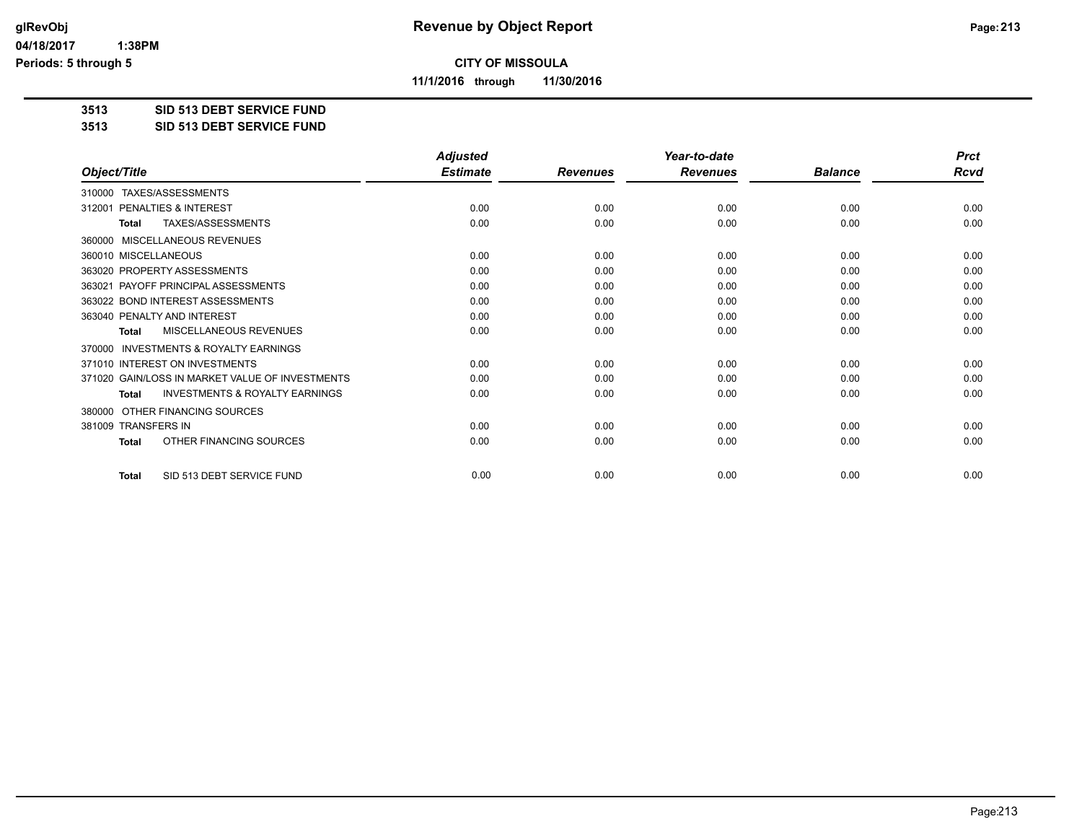**11/1/2016 through 11/30/2016**

**3513 SID 513 DEBT SERVICE FUND**

**3513 SID 513 DEBT SERVICE FUND**

|                                                     | <b>Adjusted</b> |                 | Year-to-date    |                | <b>Prct</b> |
|-----------------------------------------------------|-----------------|-----------------|-----------------|----------------|-------------|
| Object/Title                                        | <b>Estimate</b> | <b>Revenues</b> | <b>Revenues</b> | <b>Balance</b> | Rcvd        |
| TAXES/ASSESSMENTS<br>310000                         |                 |                 |                 |                |             |
| 312001 PENALTIES & INTEREST                         | 0.00            | 0.00            | 0.00            | 0.00           | 0.00        |
| TAXES/ASSESSMENTS<br><b>Total</b>                   | 0.00            | 0.00            | 0.00            | 0.00           | 0.00        |
| 360000 MISCELLANEOUS REVENUES                       |                 |                 |                 |                |             |
| 360010 MISCELLANEOUS                                | 0.00            | 0.00            | 0.00            | 0.00           | 0.00        |
| 363020 PROPERTY ASSESSMENTS                         | 0.00            | 0.00            | 0.00            | 0.00           | 0.00        |
| 363021 PAYOFF PRINCIPAL ASSESSMENTS                 | 0.00            | 0.00            | 0.00            | 0.00           | 0.00        |
| 363022 BOND INTEREST ASSESSMENTS                    | 0.00            | 0.00            | 0.00            | 0.00           | 0.00        |
| 363040 PENALTY AND INTEREST                         | 0.00            | 0.00            | 0.00            | 0.00           | 0.00        |
| MISCELLANEOUS REVENUES<br>Total                     | 0.00            | 0.00            | 0.00            | 0.00           | 0.00        |
| <b>INVESTMENTS &amp; ROYALTY EARNINGS</b><br>370000 |                 |                 |                 |                |             |
| 371010 INTEREST ON INVESTMENTS                      | 0.00            | 0.00            | 0.00            | 0.00           | 0.00        |
| 371020 GAIN/LOSS IN MARKET VALUE OF INVESTMENTS     | 0.00            | 0.00            | 0.00            | 0.00           | 0.00        |
| <b>INVESTMENTS &amp; ROYALTY EARNINGS</b><br>Total  | 0.00            | 0.00            | 0.00            | 0.00           | 0.00        |
| OTHER FINANCING SOURCES<br>380000                   |                 |                 |                 |                |             |
| 381009 TRANSFERS IN                                 | 0.00            | 0.00            | 0.00            | 0.00           | 0.00        |
| OTHER FINANCING SOURCES<br><b>Total</b>             | 0.00            | 0.00            | 0.00            | 0.00           | 0.00        |
| SID 513 DEBT SERVICE FUND<br><b>Total</b>           | 0.00            | 0.00            | 0.00            | 0.00           | 0.00        |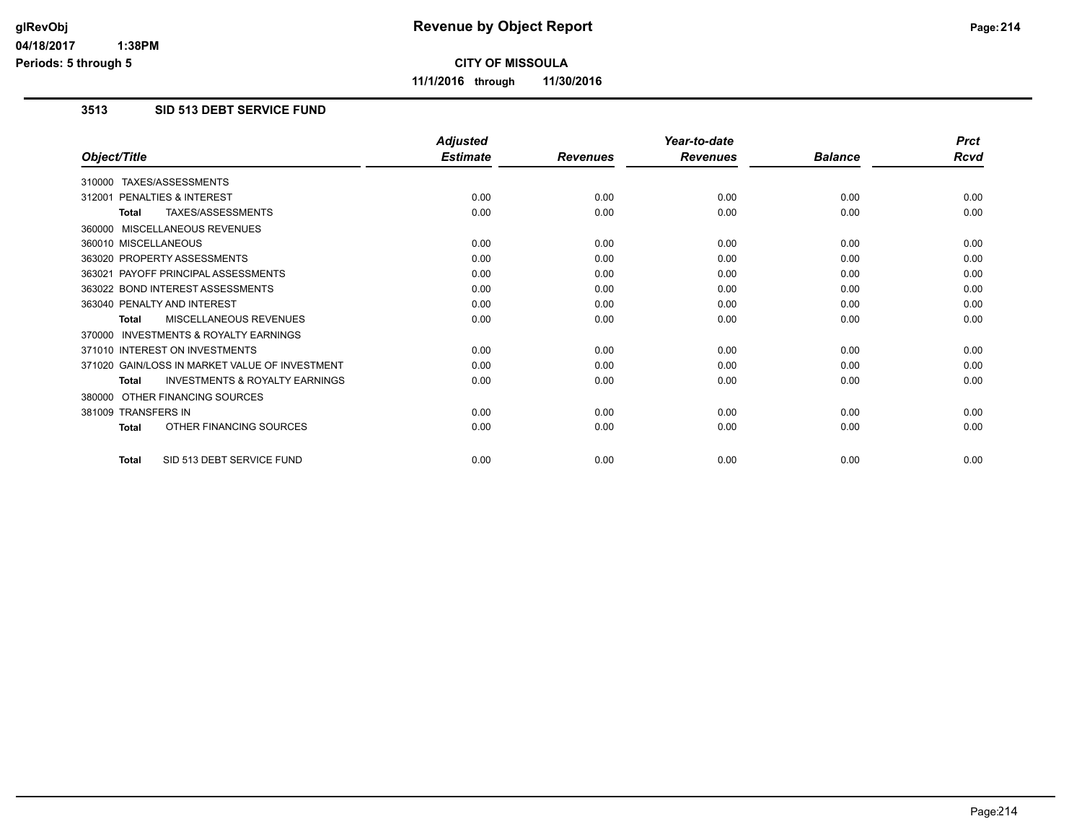**11/1/2016 through 11/30/2016**

### **3513 SID 513 DEBT SERVICE FUND**

|                                                           | <b>Adjusted</b> |                 | Year-to-date    |                | <b>Prct</b> |
|-----------------------------------------------------------|-----------------|-----------------|-----------------|----------------|-------------|
| Object/Title                                              | <b>Estimate</b> | <b>Revenues</b> | <b>Revenues</b> | <b>Balance</b> | <b>Rcvd</b> |
| 310000 TAXES/ASSESSMENTS                                  |                 |                 |                 |                |             |
| PENALTIES & INTEREST<br>312001                            | 0.00            | 0.00            | 0.00            | 0.00           | 0.00        |
| TAXES/ASSESSMENTS<br><b>Total</b>                         | 0.00            | 0.00            | 0.00            | 0.00           | 0.00        |
| 360000 MISCELLANEOUS REVENUES                             |                 |                 |                 |                |             |
| 360010 MISCELLANEOUS                                      | 0.00            | 0.00            | 0.00            | 0.00           | 0.00        |
| 363020 PROPERTY ASSESSMENTS                               | 0.00            | 0.00            | 0.00            | 0.00           | 0.00        |
| 363021 PAYOFF PRINCIPAL ASSESSMENTS                       | 0.00            | 0.00            | 0.00            | 0.00           | 0.00        |
| 363022 BOND INTEREST ASSESSMENTS                          | 0.00            | 0.00            | 0.00            | 0.00           | 0.00        |
| 363040 PENALTY AND INTEREST                               | 0.00            | 0.00            | 0.00            | 0.00           | 0.00        |
| <b>MISCELLANEOUS REVENUES</b><br>Total                    | 0.00            | 0.00            | 0.00            | 0.00           | 0.00        |
| <b>INVESTMENTS &amp; ROYALTY EARNINGS</b><br>370000       |                 |                 |                 |                |             |
| 371010 INTEREST ON INVESTMENTS                            | 0.00            | 0.00            | 0.00            | 0.00           | 0.00        |
| 371020 GAIN/LOSS IN MARKET VALUE OF INVESTMENT            | 0.00            | 0.00            | 0.00            | 0.00           | 0.00        |
| <b>INVESTMENTS &amp; ROYALTY EARNINGS</b><br><b>Total</b> | 0.00            | 0.00            | 0.00            | 0.00           | 0.00        |
| OTHER FINANCING SOURCES<br>380000                         |                 |                 |                 |                |             |
| 381009 TRANSFERS IN                                       | 0.00            | 0.00            | 0.00            | 0.00           | 0.00        |
| OTHER FINANCING SOURCES<br>Total                          | 0.00            | 0.00            | 0.00            | 0.00           | 0.00        |
| SID 513 DEBT SERVICE FUND<br><b>Total</b>                 | 0.00            | 0.00            | 0.00            | 0.00           | 0.00        |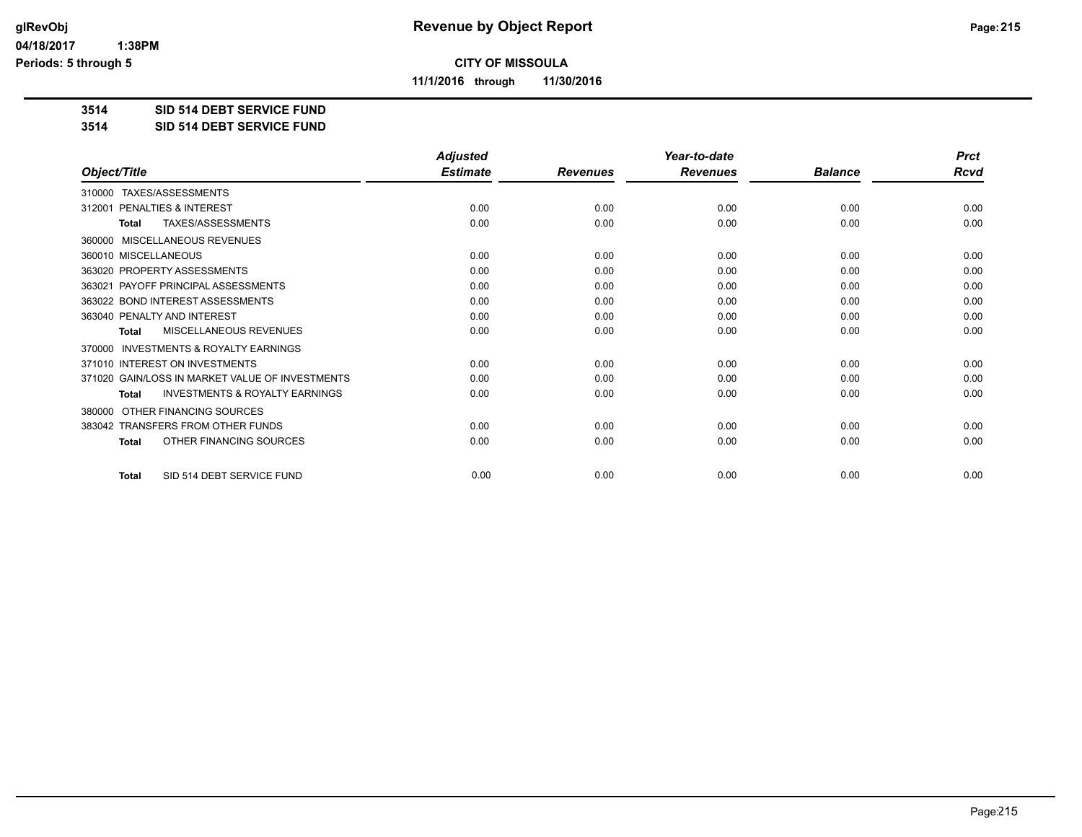**11/1/2016 through 11/30/2016**

**3514 SID 514 DEBT SERVICE FUND**

**3514 SID 514 DEBT SERVICE FUND**

|                                                     | <b>Adjusted</b> |                 | Year-to-date    |                | <b>Prct</b> |
|-----------------------------------------------------|-----------------|-----------------|-----------------|----------------|-------------|
| Object/Title                                        | <b>Estimate</b> | <b>Revenues</b> | <b>Revenues</b> | <b>Balance</b> | Rcvd        |
| TAXES/ASSESSMENTS<br>310000                         |                 |                 |                 |                |             |
| 312001 PENALTIES & INTEREST                         | 0.00            | 0.00            | 0.00            | 0.00           | 0.00        |
| TAXES/ASSESSMENTS<br><b>Total</b>                   | 0.00            | 0.00            | 0.00            | 0.00           | 0.00        |
| MISCELLANEOUS REVENUES<br>360000                    |                 |                 |                 |                |             |
| 360010 MISCELLANEOUS                                | 0.00            | 0.00            | 0.00            | 0.00           | 0.00        |
| 363020 PROPERTY ASSESSMENTS                         | 0.00            | 0.00            | 0.00            | 0.00           | 0.00        |
| 363021 PAYOFF PRINCIPAL ASSESSMENTS                 | 0.00            | 0.00            | 0.00            | 0.00           | 0.00        |
| 363022 BOND INTEREST ASSESSMENTS                    | 0.00            | 0.00            | 0.00            | 0.00           | 0.00        |
| 363040 PENALTY AND INTEREST                         | 0.00            | 0.00            | 0.00            | 0.00           | 0.00        |
| MISCELLANEOUS REVENUES<br>Total                     | 0.00            | 0.00            | 0.00            | 0.00           | 0.00        |
| <b>INVESTMENTS &amp; ROYALTY EARNINGS</b><br>370000 |                 |                 |                 |                |             |
| 371010 INTEREST ON INVESTMENTS                      | 0.00            | 0.00            | 0.00            | 0.00           | 0.00        |
| 371020 GAIN/LOSS IN MARKET VALUE OF INVESTMENTS     | 0.00            | 0.00            | 0.00            | 0.00           | 0.00        |
| <b>INVESTMENTS &amp; ROYALTY EARNINGS</b><br>Total  | 0.00            | 0.00            | 0.00            | 0.00           | 0.00        |
| OTHER FINANCING SOURCES<br>380000                   |                 |                 |                 |                |             |
| 383042 TRANSFERS FROM OTHER FUNDS                   | 0.00            | 0.00            | 0.00            | 0.00           | 0.00        |
| OTHER FINANCING SOURCES<br>Total                    | 0.00            | 0.00            | 0.00            | 0.00           | 0.00        |
| SID 514 DEBT SERVICE FUND<br><b>Total</b>           | 0.00            | 0.00            | 0.00            | 0.00           | 0.00        |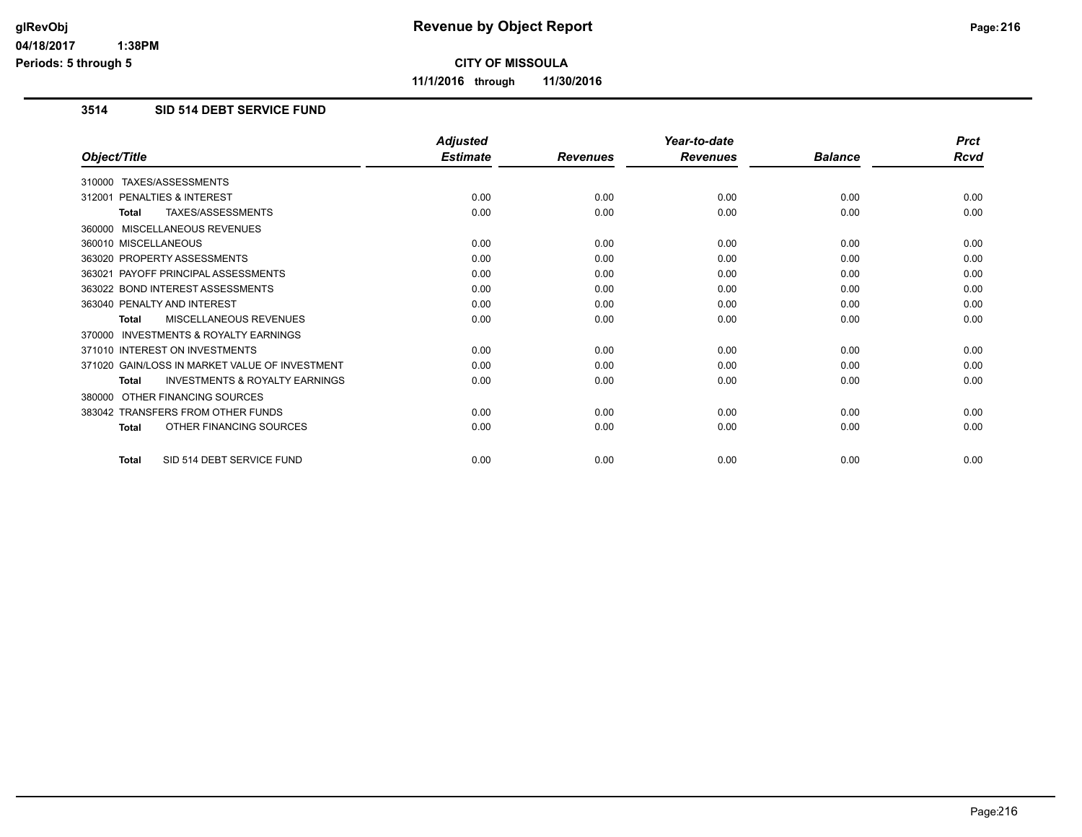**11/1/2016 through 11/30/2016**

### **3514 SID 514 DEBT SERVICE FUND**

|                                                     | <b>Adjusted</b> |                 | Year-to-date    |                | <b>Prct</b> |
|-----------------------------------------------------|-----------------|-----------------|-----------------|----------------|-------------|
| Object/Title                                        | <b>Estimate</b> | <b>Revenues</b> | <b>Revenues</b> | <b>Balance</b> | Rcvd        |
| 310000 TAXES/ASSESSMENTS                            |                 |                 |                 |                |             |
| 312001 PENALTIES & INTEREST                         | 0.00            | 0.00            | 0.00            | 0.00           | 0.00        |
| TAXES/ASSESSMENTS<br><b>Total</b>                   | 0.00            | 0.00            | 0.00            | 0.00           | 0.00        |
| 360000 MISCELLANEOUS REVENUES                       |                 |                 |                 |                |             |
| 360010 MISCELLANEOUS                                | 0.00            | 0.00            | 0.00            | 0.00           | 0.00        |
| 363020 PROPERTY ASSESSMENTS                         | 0.00            | 0.00            | 0.00            | 0.00           | 0.00        |
| 363021 PAYOFF PRINCIPAL ASSESSMENTS                 | 0.00            | 0.00            | 0.00            | 0.00           | 0.00        |
| 363022 BOND INTEREST ASSESSMENTS                    | 0.00            | 0.00            | 0.00            | 0.00           | 0.00        |
| 363040 PENALTY AND INTEREST                         | 0.00            | 0.00            | 0.00            | 0.00           | 0.00        |
| MISCELLANEOUS REVENUES<br>Total                     | 0.00            | 0.00            | 0.00            | 0.00           | 0.00        |
| <b>INVESTMENTS &amp; ROYALTY EARNINGS</b><br>370000 |                 |                 |                 |                |             |
| 371010 INTEREST ON INVESTMENTS                      | 0.00            | 0.00            | 0.00            | 0.00           | 0.00        |
| 371020 GAIN/LOSS IN MARKET VALUE OF INVESTMENT      | 0.00            | 0.00            | 0.00            | 0.00           | 0.00        |
| <b>INVESTMENTS &amp; ROYALTY EARNINGS</b><br>Total  | 0.00            | 0.00            | 0.00            | 0.00           | 0.00        |
| OTHER FINANCING SOURCES<br>380000                   |                 |                 |                 |                |             |
| 383042 TRANSFERS FROM OTHER FUNDS                   | 0.00            | 0.00            | 0.00            | 0.00           | 0.00        |
| OTHER FINANCING SOURCES<br><b>Total</b>             | 0.00            | 0.00            | 0.00            | 0.00           | 0.00        |
| SID 514 DEBT SERVICE FUND<br><b>Total</b>           | 0.00            | 0.00            | 0.00            | 0.00           | 0.00        |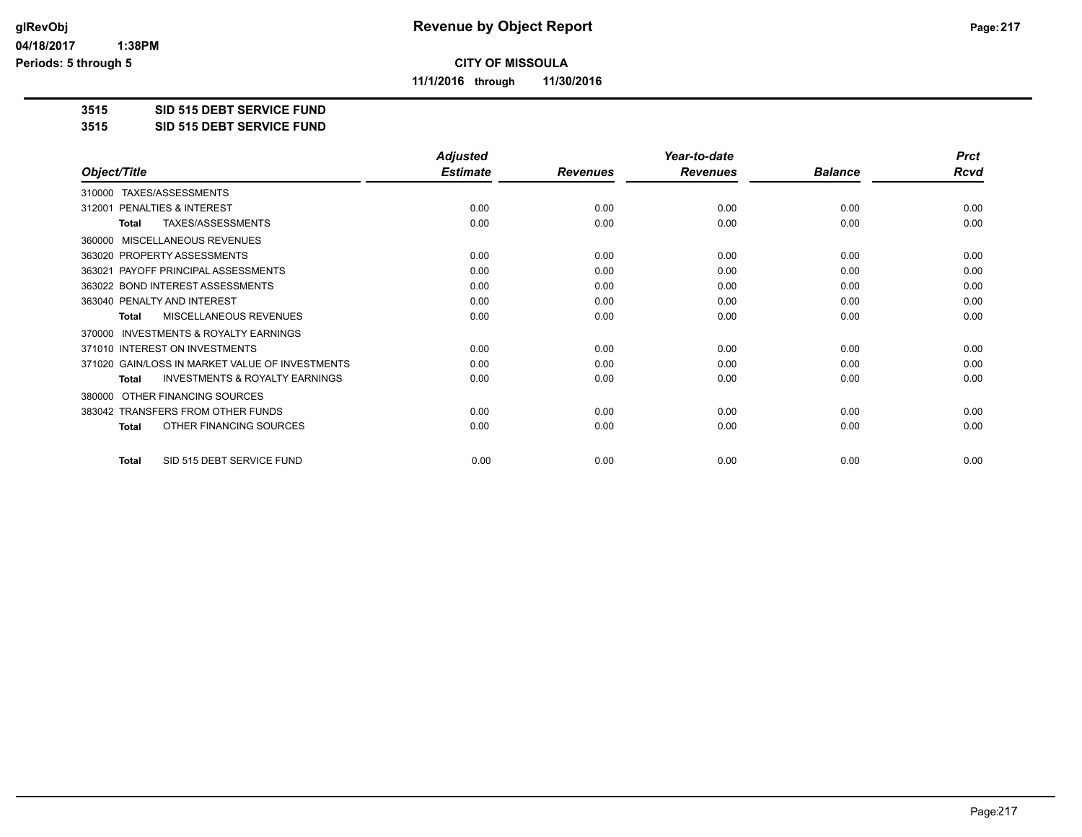**11/1/2016 through 11/30/2016**

**3515 SID 515 DEBT SERVICE FUND**

**3515 SID 515 DEBT SERVICE FUND**

|                                                     | <b>Adjusted</b> |                 | Year-to-date    |                | <b>Prct</b> |
|-----------------------------------------------------|-----------------|-----------------|-----------------|----------------|-------------|
| Object/Title                                        | <b>Estimate</b> | <b>Revenues</b> | <b>Revenues</b> | <b>Balance</b> | Rcvd        |
| TAXES/ASSESSMENTS<br>310000                         |                 |                 |                 |                |             |
| PENALTIES & INTEREST<br>312001                      | 0.00            | 0.00            | 0.00            | 0.00           | 0.00        |
| TAXES/ASSESSMENTS<br>Total                          | 0.00            | 0.00            | 0.00            | 0.00           | 0.00        |
| 360000 MISCELLANEOUS REVENUES                       |                 |                 |                 |                |             |
| 363020 PROPERTY ASSESSMENTS                         | 0.00            | 0.00            | 0.00            | 0.00           | 0.00        |
| PAYOFF PRINCIPAL ASSESSMENTS<br>363021              | 0.00            | 0.00            | 0.00            | 0.00           | 0.00        |
| 363022 BOND INTEREST ASSESSMENTS                    | 0.00            | 0.00            | 0.00            | 0.00           | 0.00        |
| 363040 PENALTY AND INTEREST                         | 0.00            | 0.00            | 0.00            | 0.00           | 0.00        |
| MISCELLANEOUS REVENUES<br><b>Total</b>              | 0.00            | 0.00            | 0.00            | 0.00           | 0.00        |
| <b>INVESTMENTS &amp; ROYALTY EARNINGS</b><br>370000 |                 |                 |                 |                |             |
| 371010 INTEREST ON INVESTMENTS                      | 0.00            | 0.00            | 0.00            | 0.00           | 0.00        |
| 371020 GAIN/LOSS IN MARKET VALUE OF INVESTMENTS     | 0.00            | 0.00            | 0.00            | 0.00           | 0.00        |
| <b>INVESTMENTS &amp; ROYALTY EARNINGS</b><br>Total  | 0.00            | 0.00            | 0.00            | 0.00           | 0.00        |
| OTHER FINANCING SOURCES<br>380000                   |                 |                 |                 |                |             |
| 383042 TRANSFERS FROM OTHER FUNDS                   | 0.00            | 0.00            | 0.00            | 0.00           | 0.00        |
| OTHER FINANCING SOURCES<br><b>Total</b>             | 0.00            | 0.00            | 0.00            | 0.00           | 0.00        |
|                                                     |                 |                 |                 |                |             |
| SID 515 DEBT SERVICE FUND<br><b>Total</b>           | 0.00            | 0.00            | 0.00            | 0.00           | 0.00        |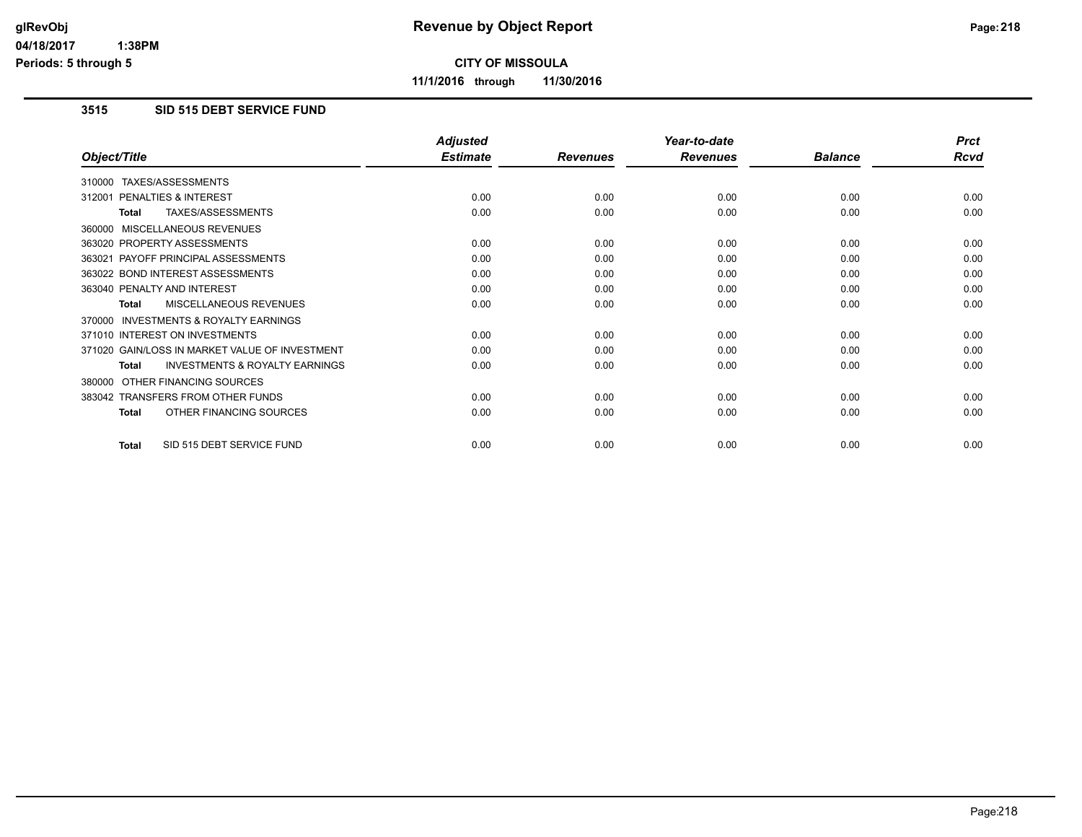**11/1/2016 through 11/30/2016**

#### **3515 SID 515 DEBT SERVICE FUND**

|                                                     | <b>Adjusted</b> |                 | Year-to-date    |                | <b>Prct</b> |
|-----------------------------------------------------|-----------------|-----------------|-----------------|----------------|-------------|
| Object/Title                                        | <b>Estimate</b> | <b>Revenues</b> | <b>Revenues</b> | <b>Balance</b> | <b>Rcvd</b> |
| TAXES/ASSESSMENTS<br>310000                         |                 |                 |                 |                |             |
| 312001 PENALTIES & INTEREST                         | 0.00            | 0.00            | 0.00            | 0.00           | 0.00        |
| TAXES/ASSESSMENTS<br>Total                          | 0.00            | 0.00            | 0.00            | 0.00           | 0.00        |
| <b>MISCELLANEOUS REVENUES</b><br>360000             |                 |                 |                 |                |             |
| 363020 PROPERTY ASSESSMENTS                         | 0.00            | 0.00            | 0.00            | 0.00           | 0.00        |
| 363021 PAYOFF PRINCIPAL ASSESSMENTS                 | 0.00            | 0.00            | 0.00            | 0.00           | 0.00        |
| 363022 BOND INTEREST ASSESSMENTS                    | 0.00            | 0.00            | 0.00            | 0.00           | 0.00        |
| 363040 PENALTY AND INTEREST                         | 0.00            | 0.00            | 0.00            | 0.00           | 0.00        |
| <b>MISCELLANEOUS REVENUES</b><br>Total              | 0.00            | 0.00            | 0.00            | 0.00           | 0.00        |
| <b>INVESTMENTS &amp; ROYALTY EARNINGS</b><br>370000 |                 |                 |                 |                |             |
| 371010 INTEREST ON INVESTMENTS                      | 0.00            | 0.00            | 0.00            | 0.00           | 0.00        |
| 371020 GAIN/LOSS IN MARKET VALUE OF INVESTMENT      | 0.00            | 0.00            | 0.00            | 0.00           | 0.00        |
| <b>INVESTMENTS &amp; ROYALTY EARNINGS</b><br>Total  | 0.00            | 0.00            | 0.00            | 0.00           | 0.00        |
| OTHER FINANCING SOURCES<br>380000                   |                 |                 |                 |                |             |
| 383042 TRANSFERS FROM OTHER FUNDS                   | 0.00            | 0.00            | 0.00            | 0.00           | 0.00        |
| OTHER FINANCING SOURCES<br>Total                    | 0.00            | 0.00            | 0.00            | 0.00           | 0.00        |
| SID 515 DEBT SERVICE FUND<br><b>Total</b>           | 0.00            | 0.00            | 0.00            | 0.00           | 0.00        |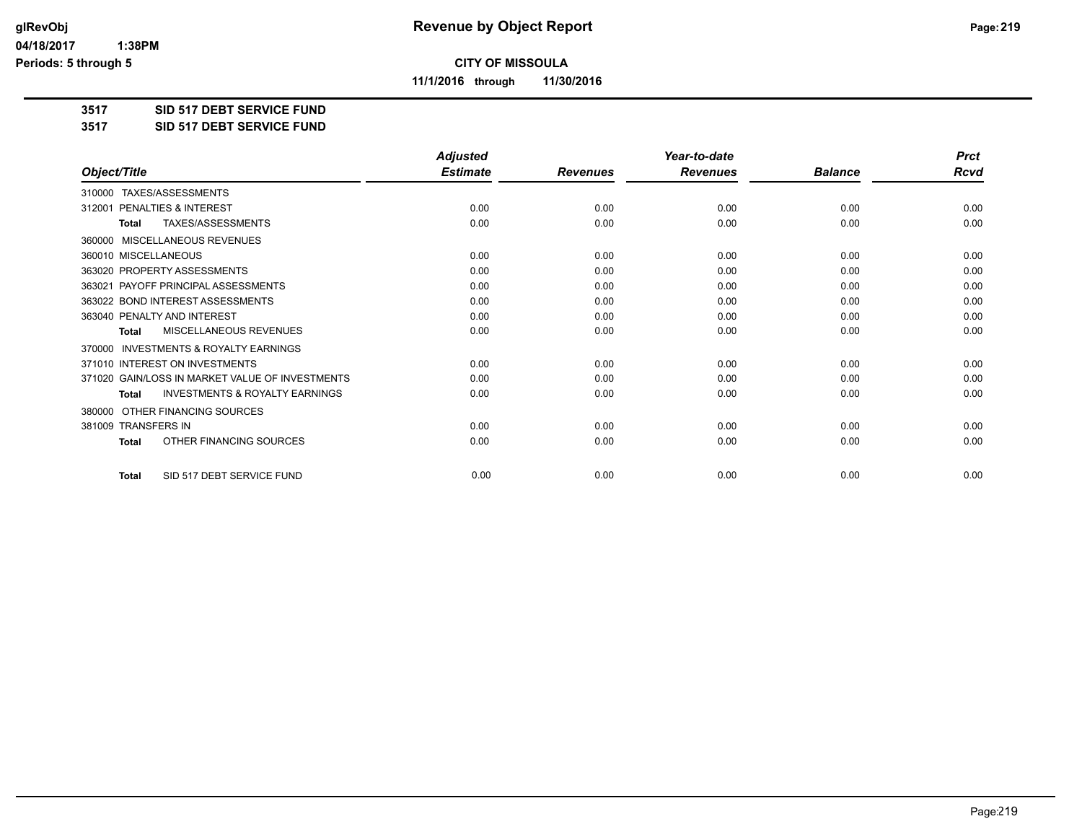**11/1/2016 through 11/30/2016**

**3517 SID 517 DEBT SERVICE FUND**

**3517 SID 517 DEBT SERVICE FUND**

|                                                     | <b>Adjusted</b> |                 | Year-to-date    | <b>Prct</b>    |      |
|-----------------------------------------------------|-----------------|-----------------|-----------------|----------------|------|
| Object/Title                                        | <b>Estimate</b> | <b>Revenues</b> | <b>Revenues</b> | <b>Balance</b> | Rcvd |
| 310000 TAXES/ASSESSMENTS                            |                 |                 |                 |                |      |
| 312001 PENALTIES & INTEREST                         | 0.00            | 0.00            | 0.00            | 0.00           | 0.00 |
| TAXES/ASSESSMENTS<br><b>Total</b>                   | 0.00            | 0.00            | 0.00            | 0.00           | 0.00 |
| 360000 MISCELLANEOUS REVENUES                       |                 |                 |                 |                |      |
| 360010 MISCELLANEOUS                                | 0.00            | 0.00            | 0.00            | 0.00           | 0.00 |
| 363020 PROPERTY ASSESSMENTS                         | 0.00            | 0.00            | 0.00            | 0.00           | 0.00 |
| 363021 PAYOFF PRINCIPAL ASSESSMENTS                 | 0.00            | 0.00            | 0.00            | 0.00           | 0.00 |
| 363022 BOND INTEREST ASSESSMENTS                    | 0.00            | 0.00            | 0.00            | 0.00           | 0.00 |
| 363040 PENALTY AND INTEREST                         | 0.00            | 0.00            | 0.00            | 0.00           | 0.00 |
| MISCELLANEOUS REVENUES<br>Total                     | 0.00            | 0.00            | 0.00            | 0.00           | 0.00 |
| <b>INVESTMENTS &amp; ROYALTY EARNINGS</b><br>370000 |                 |                 |                 |                |      |
| 371010 INTEREST ON INVESTMENTS                      | 0.00            | 0.00            | 0.00            | 0.00           | 0.00 |
| 371020 GAIN/LOSS IN MARKET VALUE OF INVESTMENTS     | 0.00            | 0.00            | 0.00            | 0.00           | 0.00 |
| <b>INVESTMENTS &amp; ROYALTY EARNINGS</b><br>Total  | 0.00            | 0.00            | 0.00            | 0.00           | 0.00 |
| OTHER FINANCING SOURCES<br>380000                   |                 |                 |                 |                |      |
| 381009 TRANSFERS IN                                 | 0.00            | 0.00            | 0.00            | 0.00           | 0.00 |
| OTHER FINANCING SOURCES<br><b>Total</b>             | 0.00            | 0.00            | 0.00            | 0.00           | 0.00 |
| SID 517 DEBT SERVICE FUND<br><b>Total</b>           | 0.00            | 0.00            | 0.00            | 0.00           | 0.00 |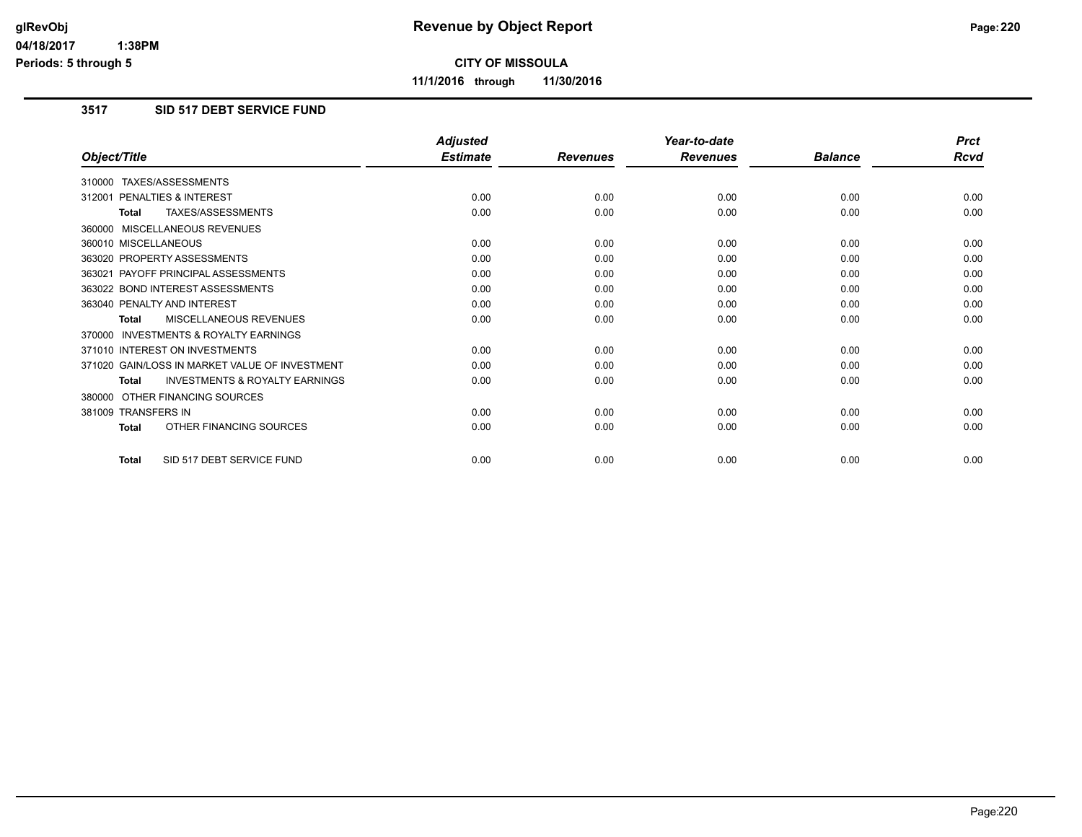**11/1/2016 through 11/30/2016**

#### **3517 SID 517 DEBT SERVICE FUND**

|                                                           | <b>Adjusted</b> |                 | Year-to-date    |                | <b>Prct</b> |
|-----------------------------------------------------------|-----------------|-----------------|-----------------|----------------|-------------|
| Object/Title                                              | <b>Estimate</b> | <b>Revenues</b> | <b>Revenues</b> | <b>Balance</b> | Rcvd        |
| 310000 TAXES/ASSESSMENTS                                  |                 |                 |                 |                |             |
| 312001 PENALTIES & INTEREST                               | 0.00            | 0.00            | 0.00            | 0.00           | 0.00        |
| TAXES/ASSESSMENTS<br><b>Total</b>                         | 0.00            | 0.00            | 0.00            | 0.00           | 0.00        |
| 360000 MISCELLANEOUS REVENUES                             |                 |                 |                 |                |             |
| 360010 MISCELLANEOUS                                      | 0.00            | 0.00            | 0.00            | 0.00           | 0.00        |
| 363020 PROPERTY ASSESSMENTS                               | 0.00            | 0.00            | 0.00            | 0.00           | 0.00        |
| 363021 PAYOFF PRINCIPAL ASSESSMENTS                       | 0.00            | 0.00            | 0.00            | 0.00           | 0.00        |
| 363022 BOND INTEREST ASSESSMENTS                          | 0.00            | 0.00            | 0.00            | 0.00           | 0.00        |
| 363040 PENALTY AND INTEREST                               | 0.00            | 0.00            | 0.00            | 0.00           | 0.00        |
| MISCELLANEOUS REVENUES<br>Total                           | 0.00            | 0.00            | 0.00            | 0.00           | 0.00        |
| <b>INVESTMENTS &amp; ROYALTY EARNINGS</b><br>370000       |                 |                 |                 |                |             |
| 371010 INTEREST ON INVESTMENTS                            | 0.00            | 0.00            | 0.00            | 0.00           | 0.00        |
| 371020 GAIN/LOSS IN MARKET VALUE OF INVESTMENT            | 0.00            | 0.00            | 0.00            | 0.00           | 0.00        |
| <b>INVESTMENTS &amp; ROYALTY EARNINGS</b><br><b>Total</b> | 0.00            | 0.00            | 0.00            | 0.00           | 0.00        |
| OTHER FINANCING SOURCES<br>380000                         |                 |                 |                 |                |             |
| 381009 TRANSFERS IN                                       | 0.00            | 0.00            | 0.00            | 0.00           | 0.00        |
| OTHER FINANCING SOURCES<br>Total                          | 0.00            | 0.00            | 0.00            | 0.00           | 0.00        |
| SID 517 DEBT SERVICE FUND<br><b>Total</b>                 | 0.00            | 0.00            | 0.00            | 0.00           | 0.00        |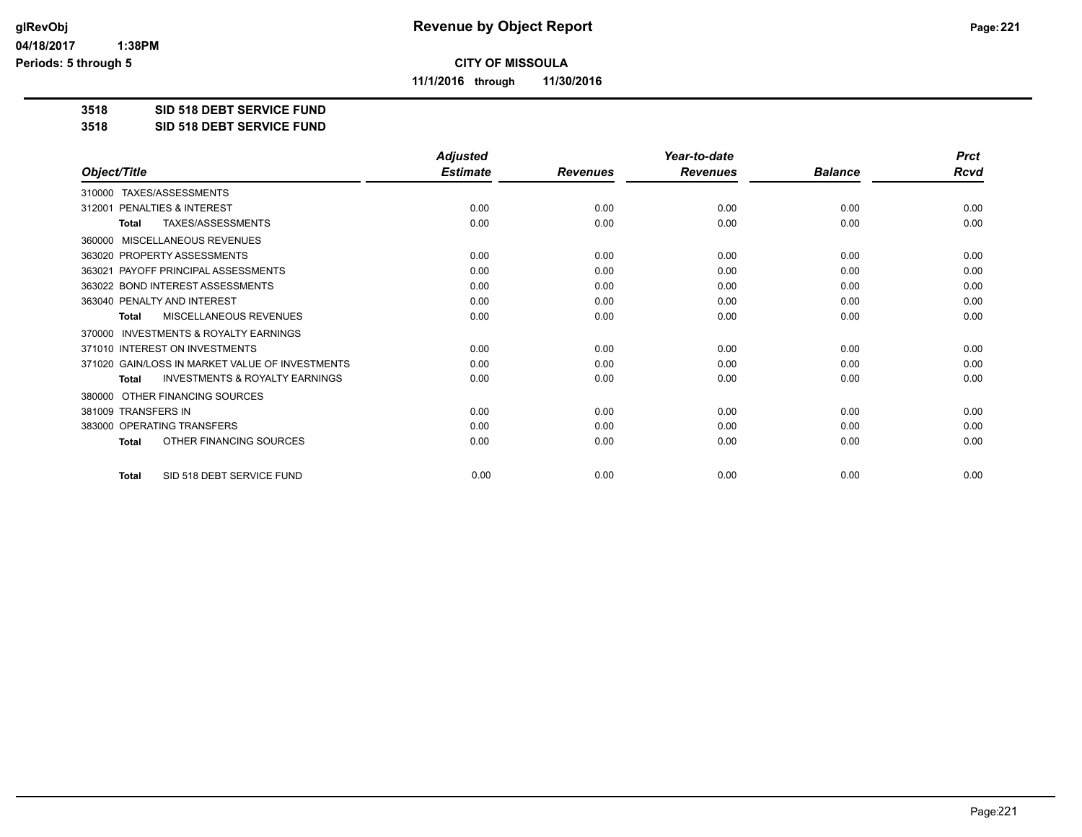**11/1/2016 through 11/30/2016**

**3518 SID 518 DEBT SERVICE FUND**

**3518 SID 518 DEBT SERVICE FUND**

|                                                    | <b>Adjusted</b> |                 | Year-to-date    |                | <b>Prct</b> |
|----------------------------------------------------|-----------------|-----------------|-----------------|----------------|-------------|
| Object/Title                                       | <b>Estimate</b> | <b>Revenues</b> | <b>Revenues</b> | <b>Balance</b> | <b>Rcvd</b> |
| 310000 TAXES/ASSESSMENTS                           |                 |                 |                 |                |             |
| PENALTIES & INTEREST<br>312001                     | 0.00            | 0.00            | 0.00            | 0.00           | 0.00        |
| TAXES/ASSESSMENTS<br><b>Total</b>                  | 0.00            | 0.00            | 0.00            | 0.00           | 0.00        |
| 360000 MISCELLANEOUS REVENUES                      |                 |                 |                 |                |             |
| 363020 PROPERTY ASSESSMENTS                        | 0.00            | 0.00            | 0.00            | 0.00           | 0.00        |
| 363021 PAYOFF PRINCIPAL ASSESSMENTS                | 0.00            | 0.00            | 0.00            | 0.00           | 0.00        |
| 363022 BOND INTEREST ASSESSMENTS                   | 0.00            | 0.00            | 0.00            | 0.00           | 0.00        |
| 363040 PENALTY AND INTEREST                        | 0.00            | 0.00            | 0.00            | 0.00           | 0.00        |
| MISCELLANEOUS REVENUES<br><b>Total</b>             | 0.00            | 0.00            | 0.00            | 0.00           | 0.00        |
| 370000 INVESTMENTS & ROYALTY EARNINGS              |                 |                 |                 |                |             |
| 371010 INTEREST ON INVESTMENTS                     | 0.00            | 0.00            | 0.00            | 0.00           | 0.00        |
| 371020 GAIN/LOSS IN MARKET VALUE OF INVESTMENTS    | 0.00            | 0.00            | 0.00            | 0.00           | 0.00        |
| <b>INVESTMENTS &amp; ROYALTY EARNINGS</b><br>Total | 0.00            | 0.00            | 0.00            | 0.00           | 0.00        |
| 380000 OTHER FINANCING SOURCES                     |                 |                 |                 |                |             |
| 381009 TRANSFERS IN                                | 0.00            | 0.00            | 0.00            | 0.00           | 0.00        |
| 383000 OPERATING TRANSFERS                         | 0.00            | 0.00            | 0.00            | 0.00           | 0.00        |
| OTHER FINANCING SOURCES<br>Total                   | 0.00            | 0.00            | 0.00            | 0.00           | 0.00        |
| SID 518 DEBT SERVICE FUND<br><b>Total</b>          | 0.00            | 0.00            | 0.00            | 0.00           | 0.00        |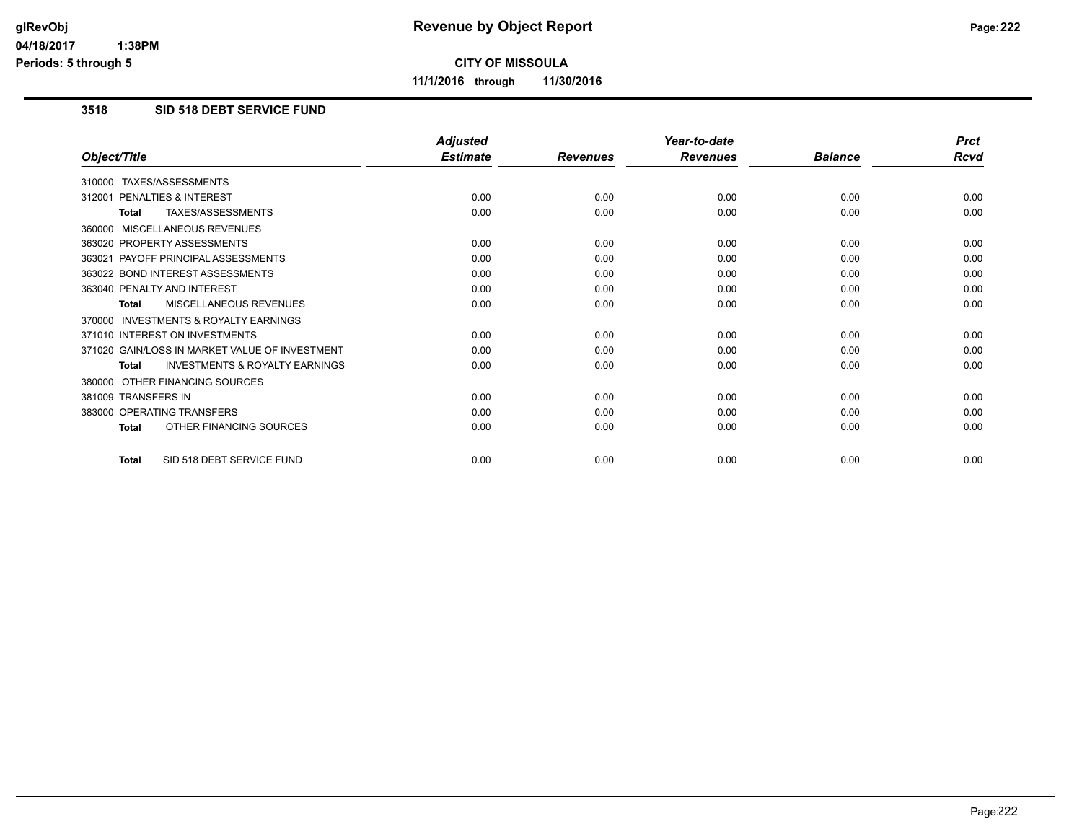**11/1/2016 through 11/30/2016**

#### **3518 SID 518 DEBT SERVICE FUND**

|                                                           | <b>Adjusted</b> |                 | Year-to-date    |                | <b>Prct</b> |
|-----------------------------------------------------------|-----------------|-----------------|-----------------|----------------|-------------|
| Object/Title                                              | <b>Estimate</b> | <b>Revenues</b> | <b>Revenues</b> | <b>Balance</b> | Rcvd        |
| 310000 TAXES/ASSESSMENTS                                  |                 |                 |                 |                |             |
| 312001 PENALTIES & INTEREST                               | 0.00            | 0.00            | 0.00            | 0.00           | 0.00        |
| TAXES/ASSESSMENTS<br>Total                                | 0.00            | 0.00            | 0.00            | 0.00           | 0.00        |
| 360000 MISCELLANEOUS REVENUES                             |                 |                 |                 |                |             |
| 363020 PROPERTY ASSESSMENTS                               | 0.00            | 0.00            | 0.00            | 0.00           | 0.00        |
| 363021 PAYOFF PRINCIPAL ASSESSMENTS                       | 0.00            | 0.00            | 0.00            | 0.00           | 0.00        |
| 363022 BOND INTEREST ASSESSMENTS                          | 0.00            | 0.00            | 0.00            | 0.00           | 0.00        |
| 363040 PENALTY AND INTEREST                               | 0.00            | 0.00            | 0.00            | 0.00           | 0.00        |
| <b>MISCELLANEOUS REVENUES</b><br>Total                    | 0.00            | 0.00            | 0.00            | 0.00           | 0.00        |
| <b>INVESTMENTS &amp; ROYALTY EARNINGS</b><br>370000       |                 |                 |                 |                |             |
| 371010 INTEREST ON INVESTMENTS                            | 0.00            | 0.00            | 0.00            | 0.00           | 0.00        |
| 371020 GAIN/LOSS IN MARKET VALUE OF INVESTMENT            | 0.00            | 0.00            | 0.00            | 0.00           | 0.00        |
| <b>INVESTMENTS &amp; ROYALTY EARNINGS</b><br><b>Total</b> | 0.00            | 0.00            | 0.00            | 0.00           | 0.00        |
| 380000 OTHER FINANCING SOURCES                            |                 |                 |                 |                |             |
| 381009 TRANSFERS IN                                       | 0.00            | 0.00            | 0.00            | 0.00           | 0.00        |
| 383000 OPERATING TRANSFERS                                | 0.00            | 0.00            | 0.00            | 0.00           | 0.00        |
| OTHER FINANCING SOURCES<br>Total                          | 0.00            | 0.00            | 0.00            | 0.00           | 0.00        |
| SID 518 DEBT SERVICE FUND<br><b>Total</b>                 | 0.00            | 0.00            | 0.00            | 0.00           | 0.00        |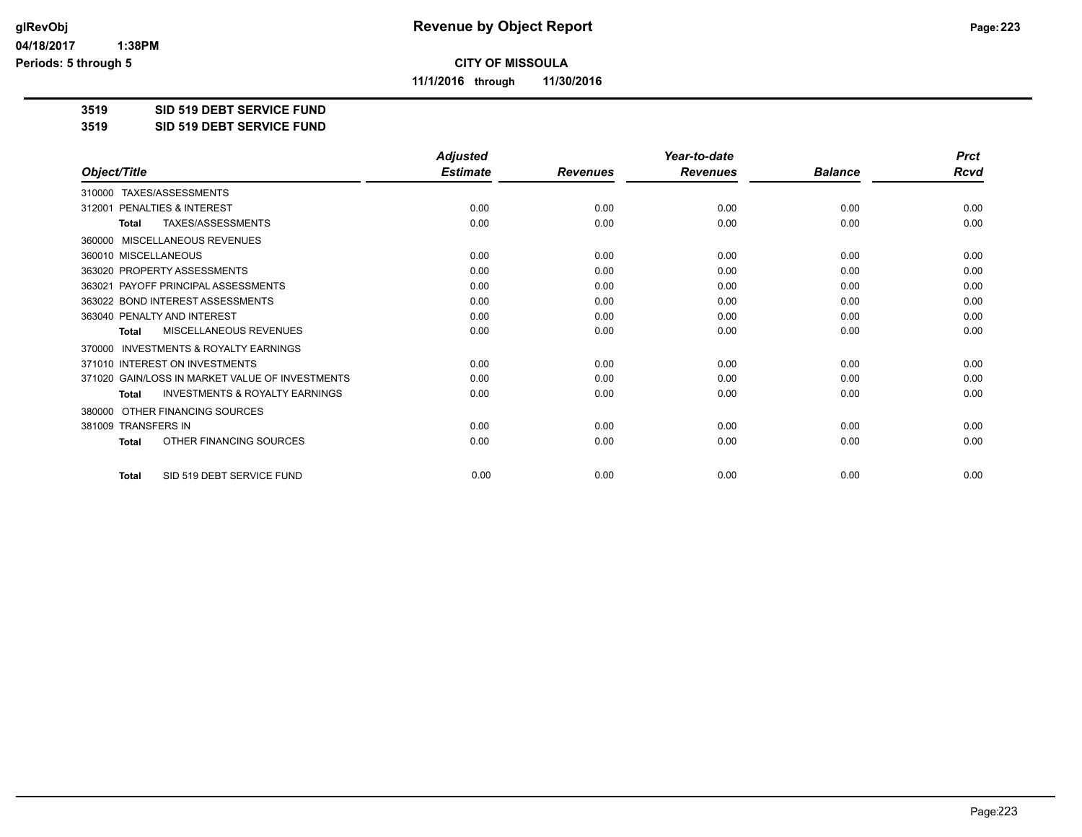**11/1/2016 through 11/30/2016**

**3519 SID 519 DEBT SERVICE FUND**

**3519 SID 519 DEBT SERVICE FUND**

|                                                           | <b>Adjusted</b> |                 | Year-to-date    | <b>Prct</b>    |      |
|-----------------------------------------------------------|-----------------|-----------------|-----------------|----------------|------|
| Object/Title                                              | <b>Estimate</b> | <b>Revenues</b> | <b>Revenues</b> | <b>Balance</b> | Rcvd |
| 310000 TAXES/ASSESSMENTS                                  |                 |                 |                 |                |      |
| 312001 PENALTIES & INTEREST                               | 0.00            | 0.00            | 0.00            | 0.00           | 0.00 |
| TAXES/ASSESSMENTS<br><b>Total</b>                         | 0.00            | 0.00            | 0.00            | 0.00           | 0.00 |
| 360000 MISCELLANEOUS REVENUES                             |                 |                 |                 |                |      |
| 360010 MISCELLANEOUS                                      | 0.00            | 0.00            | 0.00            | 0.00           | 0.00 |
| 363020 PROPERTY ASSESSMENTS                               | 0.00            | 0.00            | 0.00            | 0.00           | 0.00 |
| 363021 PAYOFF PRINCIPAL ASSESSMENTS                       | 0.00            | 0.00            | 0.00            | 0.00           | 0.00 |
| 363022 BOND INTEREST ASSESSMENTS                          | 0.00            | 0.00            | 0.00            | 0.00           | 0.00 |
| 363040 PENALTY AND INTEREST                               | 0.00            | 0.00            | 0.00            | 0.00           | 0.00 |
| MISCELLANEOUS REVENUES<br>Total                           | 0.00            | 0.00            | 0.00            | 0.00           | 0.00 |
| <b>INVESTMENTS &amp; ROYALTY EARNINGS</b><br>370000       |                 |                 |                 |                |      |
| 371010 INTEREST ON INVESTMENTS                            | 0.00            | 0.00            | 0.00            | 0.00           | 0.00 |
| 371020 GAIN/LOSS IN MARKET VALUE OF INVESTMENTS           | 0.00            | 0.00            | 0.00            | 0.00           | 0.00 |
| <b>INVESTMENTS &amp; ROYALTY EARNINGS</b><br><b>Total</b> | 0.00            | 0.00            | 0.00            | 0.00           | 0.00 |
| 380000 OTHER FINANCING SOURCES                            |                 |                 |                 |                |      |
| 381009 TRANSFERS IN                                       | 0.00            | 0.00            | 0.00            | 0.00           | 0.00 |
| OTHER FINANCING SOURCES<br><b>Total</b>                   | 0.00            | 0.00            | 0.00            | 0.00           | 0.00 |
| SID 519 DEBT SERVICE FUND<br><b>Total</b>                 | 0.00            | 0.00            | 0.00            | 0.00           | 0.00 |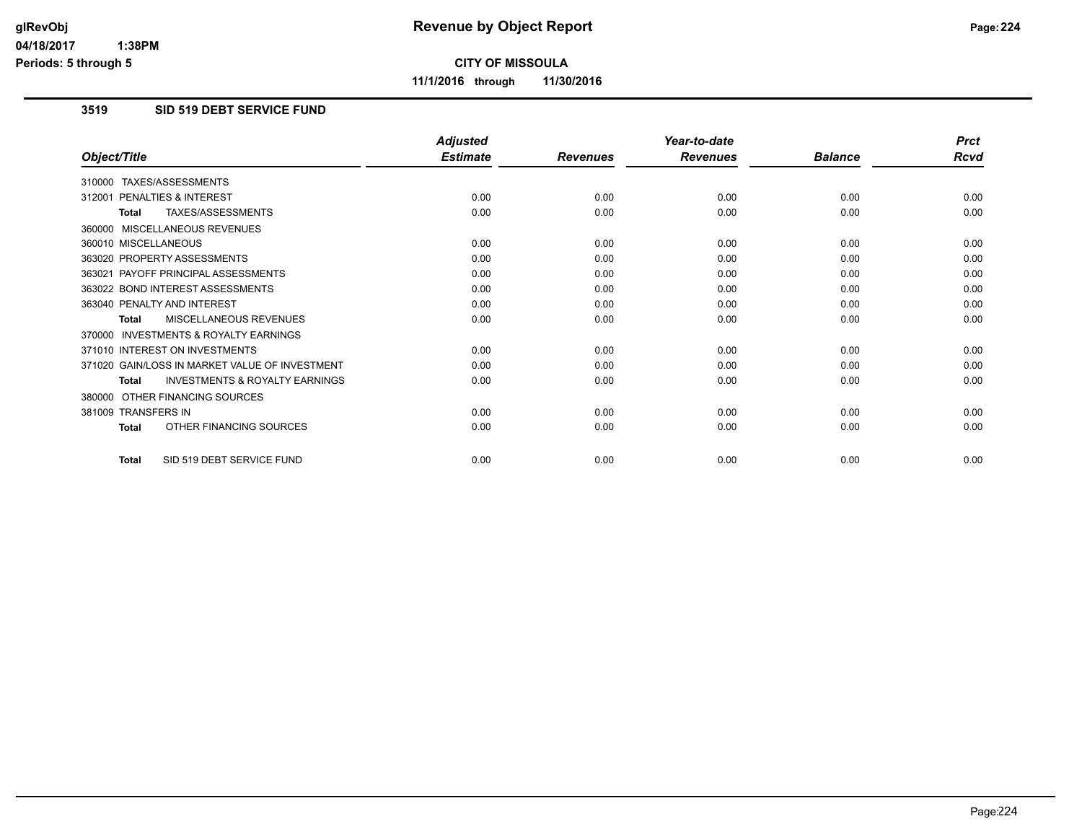**11/1/2016 through 11/30/2016**

#### **3519 SID 519 DEBT SERVICE FUND**

|                                                     | <b>Adjusted</b> |                 | Year-to-date    |                | <b>Prct</b> |
|-----------------------------------------------------|-----------------|-----------------|-----------------|----------------|-------------|
| Object/Title                                        | <b>Estimate</b> | <b>Revenues</b> | <b>Revenues</b> | <b>Balance</b> | Rcvd        |
| 310000 TAXES/ASSESSMENTS                            |                 |                 |                 |                |             |
| 312001 PENALTIES & INTEREST                         | 0.00            | 0.00            | 0.00            | 0.00           | 0.00        |
| TAXES/ASSESSMENTS<br><b>Total</b>                   | 0.00            | 0.00            | 0.00            | 0.00           | 0.00        |
| 360000 MISCELLANEOUS REVENUES                       |                 |                 |                 |                |             |
| 360010 MISCELLANEOUS                                | 0.00            | 0.00            | 0.00            | 0.00           | 0.00        |
| 363020 PROPERTY ASSESSMENTS                         | 0.00            | 0.00            | 0.00            | 0.00           | 0.00        |
| 363021 PAYOFF PRINCIPAL ASSESSMENTS                 | 0.00            | 0.00            | 0.00            | 0.00           | 0.00        |
| 363022 BOND INTEREST ASSESSMENTS                    | 0.00            | 0.00            | 0.00            | 0.00           | 0.00        |
| 363040 PENALTY AND INTEREST                         | 0.00            | 0.00            | 0.00            | 0.00           | 0.00        |
| MISCELLANEOUS REVENUES<br>Total                     | 0.00            | 0.00            | 0.00            | 0.00           | 0.00        |
| <b>INVESTMENTS &amp; ROYALTY EARNINGS</b><br>370000 |                 |                 |                 |                |             |
| 371010 INTEREST ON INVESTMENTS                      | 0.00            | 0.00            | 0.00            | 0.00           | 0.00        |
| 371020 GAIN/LOSS IN MARKET VALUE OF INVESTMENT      | 0.00            | 0.00            | 0.00            | 0.00           | 0.00        |
| <b>INVESTMENTS &amp; ROYALTY EARNINGS</b><br>Total  | 0.00            | 0.00            | 0.00            | 0.00           | 0.00        |
| OTHER FINANCING SOURCES<br>380000                   |                 |                 |                 |                |             |
| 381009 TRANSFERS IN                                 | 0.00            | 0.00            | 0.00            | 0.00           | 0.00        |
| OTHER FINANCING SOURCES<br><b>Total</b>             | 0.00            | 0.00            | 0.00            | 0.00           | 0.00        |
| SID 519 DEBT SERVICE FUND<br><b>Total</b>           | 0.00            | 0.00            | 0.00            | 0.00           | 0.00        |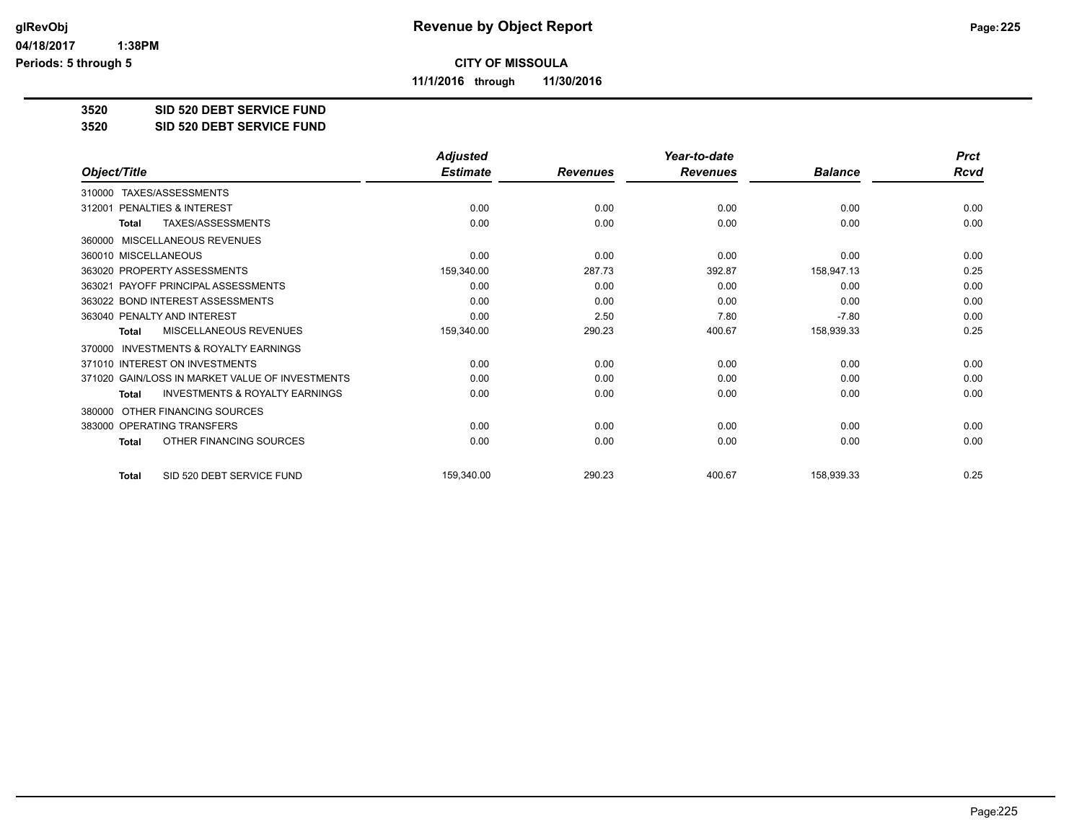**11/1/2016 through 11/30/2016**

**3520 SID 520 DEBT SERVICE FUND**

**3520 SID 520 DEBT SERVICE FUND**

|                                                           | <b>Adjusted</b> |                 | Year-to-date    | <b>Prct</b>    |      |
|-----------------------------------------------------------|-----------------|-----------------|-----------------|----------------|------|
| Object/Title                                              | <b>Estimate</b> | <b>Revenues</b> | <b>Revenues</b> | <b>Balance</b> | Rcvd |
| TAXES/ASSESSMENTS<br>310000                               |                 |                 |                 |                |      |
| PENALTIES & INTEREST<br>312001                            | 0.00            | 0.00            | 0.00            | 0.00           | 0.00 |
| <b>TAXES/ASSESSMENTS</b><br><b>Total</b>                  | 0.00            | 0.00            | 0.00            | 0.00           | 0.00 |
| MISCELLANEOUS REVENUES<br>360000                          |                 |                 |                 |                |      |
| 360010 MISCELLANEOUS                                      | 0.00            | 0.00            | 0.00            | 0.00           | 0.00 |
| 363020 PROPERTY ASSESSMENTS                               | 159,340.00      | 287.73          | 392.87          | 158,947.13     | 0.25 |
| PAYOFF PRINCIPAL ASSESSMENTS<br>363021                    | 0.00            | 0.00            | 0.00            | 0.00           | 0.00 |
| 363022 BOND INTEREST ASSESSMENTS                          | 0.00            | 0.00            | 0.00            | 0.00           | 0.00 |
| 363040 PENALTY AND INTEREST                               | 0.00            | 2.50            | 7.80            | $-7.80$        | 0.00 |
| MISCELLANEOUS REVENUES<br><b>Total</b>                    | 159,340.00      | 290.23          | 400.67          | 158,939.33     | 0.25 |
| <b>INVESTMENTS &amp; ROYALTY EARNINGS</b><br>370000       |                 |                 |                 |                |      |
| 371010 INTEREST ON INVESTMENTS                            | 0.00            | 0.00            | 0.00            | 0.00           | 0.00 |
| 371020 GAIN/LOSS IN MARKET VALUE OF INVESTMENTS           | 0.00            | 0.00            | 0.00            | 0.00           | 0.00 |
| <b>INVESTMENTS &amp; ROYALTY EARNINGS</b><br><b>Total</b> | 0.00            | 0.00            | 0.00            | 0.00           | 0.00 |
| OTHER FINANCING SOURCES<br>380000                         |                 |                 |                 |                |      |
| 383000 OPERATING TRANSFERS                                | 0.00            | 0.00            | 0.00            | 0.00           | 0.00 |
| OTHER FINANCING SOURCES<br><b>Total</b>                   | 0.00            | 0.00            | 0.00            | 0.00           | 0.00 |
| SID 520 DEBT SERVICE FUND<br><b>Total</b>                 | 159,340.00      | 290.23          | 400.67          | 158,939.33     | 0.25 |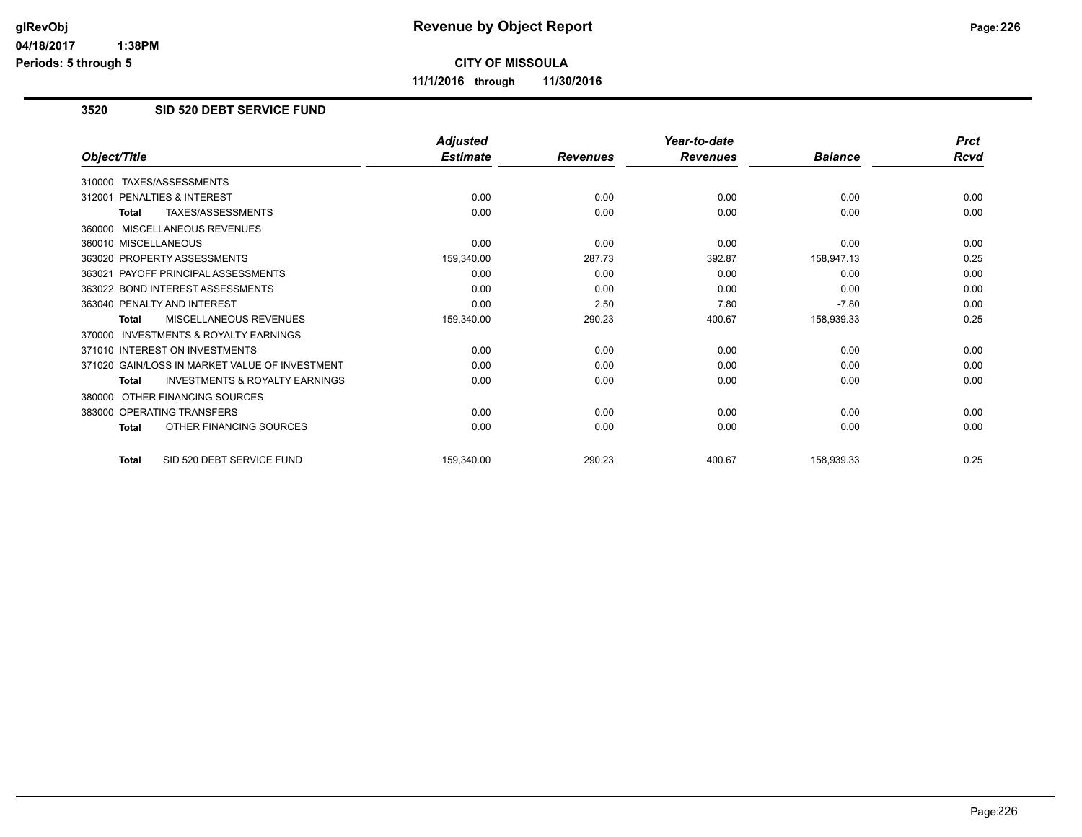**11/1/2016 through 11/30/2016**

#### **3520 SID 520 DEBT SERVICE FUND**

|                                                           | <b>Adjusted</b> |                 | Year-to-date    |                | <b>Prct</b> |
|-----------------------------------------------------------|-----------------|-----------------|-----------------|----------------|-------------|
| Object/Title                                              | <b>Estimate</b> | <b>Revenues</b> | <b>Revenues</b> | <b>Balance</b> | Rcvd        |
| 310000 TAXES/ASSESSMENTS                                  |                 |                 |                 |                |             |
| <b>PENALTIES &amp; INTEREST</b><br>312001                 | 0.00            | 0.00            | 0.00            | 0.00           | 0.00        |
| TAXES/ASSESSMENTS<br><b>Total</b>                         | 0.00            | 0.00            | 0.00            | 0.00           | 0.00        |
| 360000 MISCELLANEOUS REVENUES                             |                 |                 |                 |                |             |
| 360010 MISCELLANEOUS                                      | 0.00            | 0.00            | 0.00            | 0.00           | 0.00        |
| 363020 PROPERTY ASSESSMENTS                               | 159,340.00      | 287.73          | 392.87          | 158,947.13     | 0.25        |
| 363021 PAYOFF PRINCIPAL ASSESSMENTS                       | 0.00            | 0.00            | 0.00            | 0.00           | 0.00        |
| 363022 BOND INTEREST ASSESSMENTS                          | 0.00            | 0.00            | 0.00            | 0.00           | 0.00        |
| 363040 PENALTY AND INTEREST                               | 0.00            | 2.50            | 7.80            | $-7.80$        | 0.00        |
| MISCELLANEOUS REVENUES<br><b>Total</b>                    | 159,340.00      | 290.23          | 400.67          | 158,939.33     | 0.25        |
| <b>INVESTMENTS &amp; ROYALTY EARNINGS</b><br>370000       |                 |                 |                 |                |             |
| 371010 INTEREST ON INVESTMENTS                            | 0.00            | 0.00            | 0.00            | 0.00           | 0.00        |
| 371020 GAIN/LOSS IN MARKET VALUE OF INVESTMENT            | 0.00            | 0.00            | 0.00            | 0.00           | 0.00        |
| <b>INVESTMENTS &amp; ROYALTY EARNINGS</b><br><b>Total</b> | 0.00            | 0.00            | 0.00            | 0.00           | 0.00        |
| OTHER FINANCING SOURCES<br>380000                         |                 |                 |                 |                |             |
| 383000 OPERATING TRANSFERS                                | 0.00            | 0.00            | 0.00            | 0.00           | 0.00        |
| OTHER FINANCING SOURCES<br><b>Total</b>                   | 0.00            | 0.00            | 0.00            | 0.00           | 0.00        |
| SID 520 DEBT SERVICE FUND<br><b>Total</b>                 | 159,340.00      | 290.23          | 400.67          | 158,939.33     | 0.25        |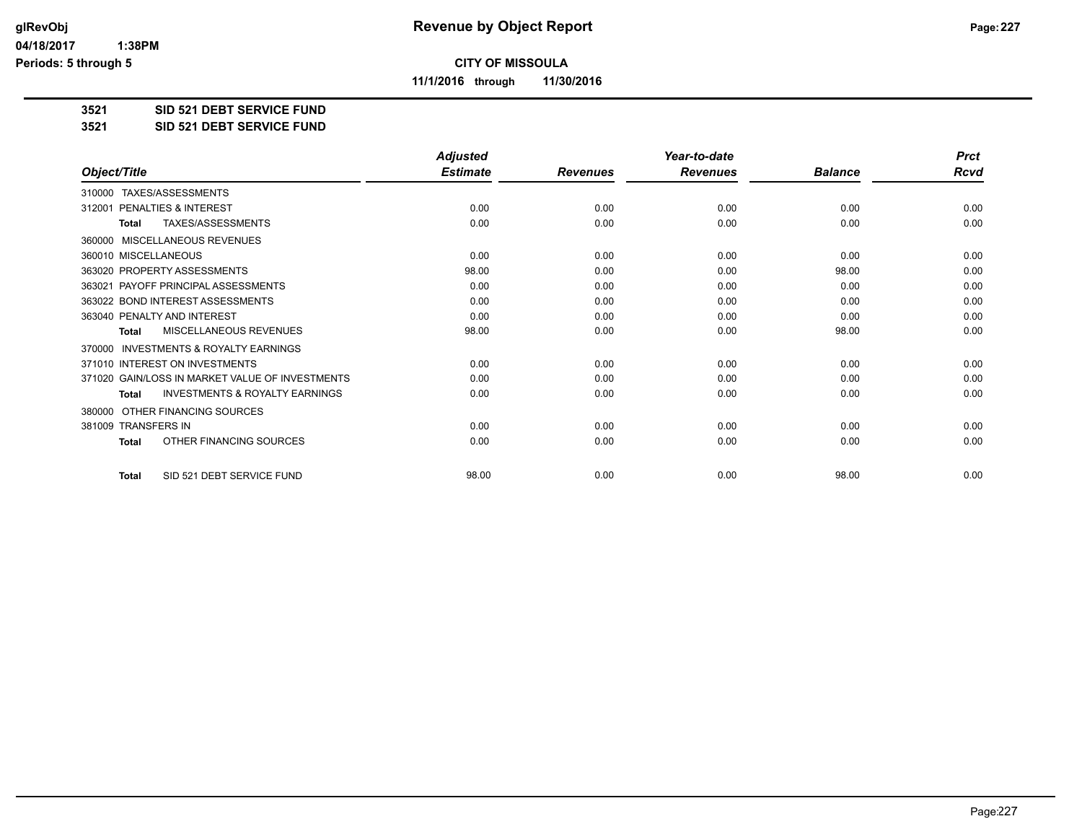**11/1/2016 through 11/30/2016**

**3521 SID 521 DEBT SERVICE FUND**

**3521 SID 521 DEBT SERVICE FUND**

|                                                     | <b>Adjusted</b> |                 | Year-to-date    |                |      |
|-----------------------------------------------------|-----------------|-----------------|-----------------|----------------|------|
| Object/Title                                        | <b>Estimate</b> | <b>Revenues</b> | <b>Revenues</b> | <b>Balance</b> | Rcvd |
| TAXES/ASSESSMENTS<br>310000                         |                 |                 |                 |                |      |
| 312001 PENALTIES & INTEREST                         | 0.00            | 0.00            | 0.00            | 0.00           | 0.00 |
| TAXES/ASSESSMENTS<br><b>Total</b>                   | 0.00            | 0.00            | 0.00            | 0.00           | 0.00 |
| 360000 MISCELLANEOUS REVENUES                       |                 |                 |                 |                |      |
| 360010 MISCELLANEOUS                                | 0.00            | 0.00            | 0.00            | 0.00           | 0.00 |
| 363020 PROPERTY ASSESSMENTS                         | 98.00           | 0.00            | 0.00            | 98.00          | 0.00 |
| 363021 PAYOFF PRINCIPAL ASSESSMENTS                 | 0.00            | 0.00            | 0.00            | 0.00           | 0.00 |
| 363022 BOND INTEREST ASSESSMENTS                    | 0.00            | 0.00            | 0.00            | 0.00           | 0.00 |
| 363040 PENALTY AND INTEREST                         | 0.00            | 0.00            | 0.00            | 0.00           | 0.00 |
| MISCELLANEOUS REVENUES<br>Total                     | 98.00           | 0.00            | 0.00            | 98.00          | 0.00 |
| <b>INVESTMENTS &amp; ROYALTY EARNINGS</b><br>370000 |                 |                 |                 |                |      |
| 371010 INTEREST ON INVESTMENTS                      | 0.00            | 0.00            | 0.00            | 0.00           | 0.00 |
| 371020 GAIN/LOSS IN MARKET VALUE OF INVESTMENTS     | 0.00            | 0.00            | 0.00            | 0.00           | 0.00 |
| <b>INVESTMENTS &amp; ROYALTY EARNINGS</b><br>Total  | 0.00            | 0.00            | 0.00            | 0.00           | 0.00 |
| OTHER FINANCING SOURCES<br>380000                   |                 |                 |                 |                |      |
| 381009 TRANSFERS IN                                 | 0.00            | 0.00            | 0.00            | 0.00           | 0.00 |
| OTHER FINANCING SOURCES<br><b>Total</b>             | 0.00            | 0.00            | 0.00            | 0.00           | 0.00 |
| SID 521 DEBT SERVICE FUND<br><b>Total</b>           | 98.00           | 0.00            | 0.00            | 98.00          | 0.00 |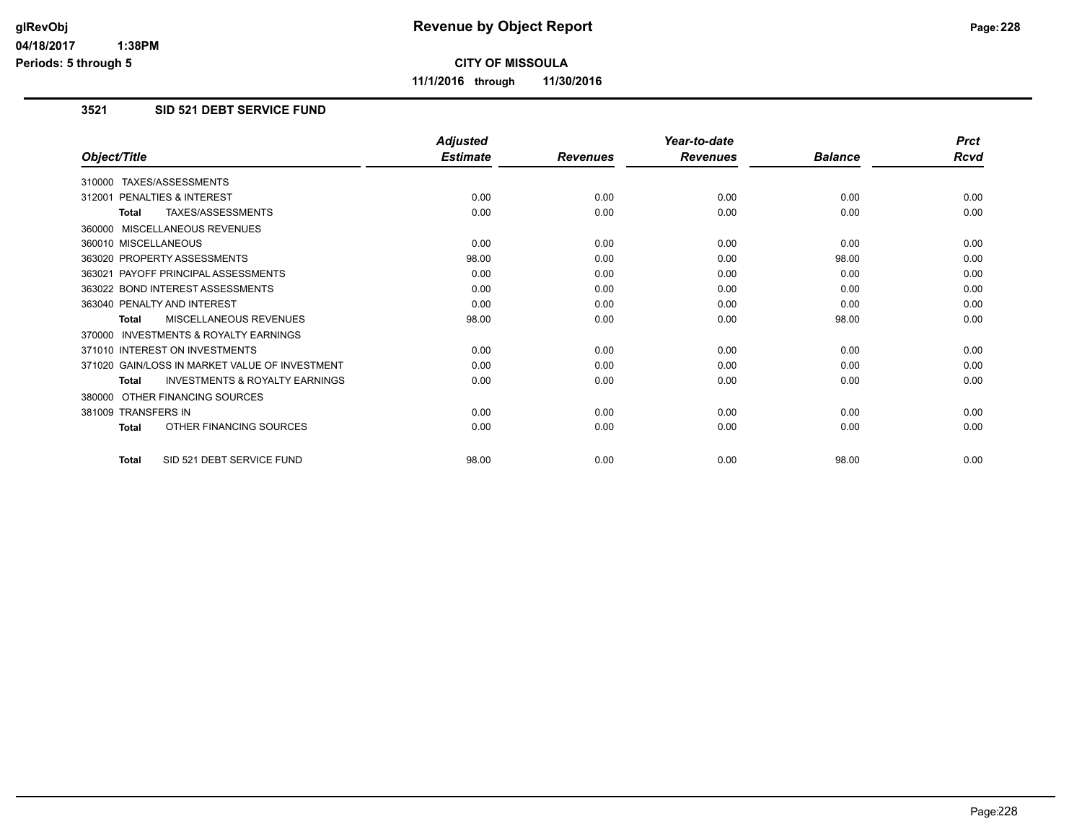**11/1/2016 through 11/30/2016**

#### **3521 SID 521 DEBT SERVICE FUND**

|                                                           | <b>Adjusted</b> |                 | Year-to-date    |                | <b>Prct</b> |
|-----------------------------------------------------------|-----------------|-----------------|-----------------|----------------|-------------|
| Object/Title                                              | <b>Estimate</b> | <b>Revenues</b> | <b>Revenues</b> | <b>Balance</b> | <b>Rcvd</b> |
| 310000 TAXES/ASSESSMENTS                                  |                 |                 |                 |                |             |
| 312001 PENALTIES & INTEREST                               | 0.00            | 0.00            | 0.00            | 0.00           | 0.00        |
| TAXES/ASSESSMENTS<br><b>Total</b>                         | 0.00            | 0.00            | 0.00            | 0.00           | 0.00        |
| 360000 MISCELLANEOUS REVENUES                             |                 |                 |                 |                |             |
| 360010 MISCELLANEOUS                                      | 0.00            | 0.00            | 0.00            | 0.00           | 0.00        |
| 363020 PROPERTY ASSESSMENTS                               | 98.00           | 0.00            | 0.00            | 98.00          | 0.00        |
| 363021 PAYOFF PRINCIPAL ASSESSMENTS                       | 0.00            | 0.00            | 0.00            | 0.00           | 0.00        |
| 363022 BOND INTEREST ASSESSMENTS                          | 0.00            | 0.00            | 0.00            | 0.00           | 0.00        |
| 363040 PENALTY AND INTEREST                               | 0.00            | 0.00            | 0.00            | 0.00           | 0.00        |
| MISCELLANEOUS REVENUES<br><b>Total</b>                    | 98.00           | 0.00            | 0.00            | 98.00          | 0.00        |
| <b>INVESTMENTS &amp; ROYALTY EARNINGS</b><br>370000       |                 |                 |                 |                |             |
| 371010 INTEREST ON INVESTMENTS                            | 0.00            | 0.00            | 0.00            | 0.00           | 0.00        |
| 371020 GAIN/LOSS IN MARKET VALUE OF INVESTMENT            | 0.00            | 0.00            | 0.00            | 0.00           | 0.00        |
| <b>INVESTMENTS &amp; ROYALTY EARNINGS</b><br><b>Total</b> | 0.00            | 0.00            | 0.00            | 0.00           | 0.00        |
| OTHER FINANCING SOURCES<br>380000                         |                 |                 |                 |                |             |
| 381009 TRANSFERS IN                                       | 0.00            | 0.00            | 0.00            | 0.00           | 0.00        |
| OTHER FINANCING SOURCES<br>Total                          | 0.00            | 0.00            | 0.00            | 0.00           | 0.00        |
| SID 521 DEBT SERVICE FUND<br><b>Total</b>                 | 98.00           | 0.00            | 0.00            | 98.00          | 0.00        |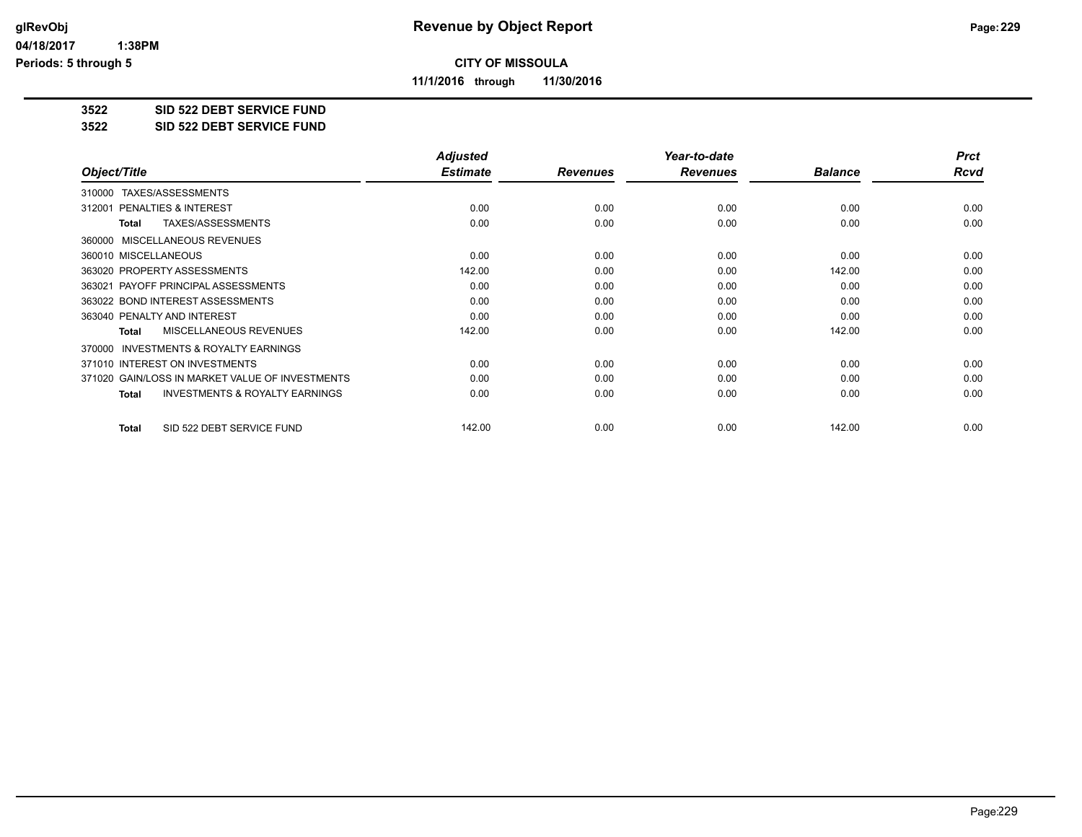**11/1/2016 through 11/30/2016**

**3522 SID 522 DEBT SERVICE FUND**

**3522 SID 522 DEBT SERVICE FUND**

|                                                    | <b>Adjusted</b> |                 | Year-to-date    |                | <b>Prct</b> |
|----------------------------------------------------|-----------------|-----------------|-----------------|----------------|-------------|
| Object/Title                                       | <b>Estimate</b> | <b>Revenues</b> | <b>Revenues</b> | <b>Balance</b> | <b>Rcvd</b> |
| 310000 TAXES/ASSESSMENTS                           |                 |                 |                 |                |             |
| 312001 PENALTIES & INTEREST                        | 0.00            | 0.00            | 0.00            | 0.00           | 0.00        |
| TAXES/ASSESSMENTS<br>Total                         | 0.00            | 0.00            | 0.00            | 0.00           | 0.00        |
| 360000 MISCELLANEOUS REVENUES                      |                 |                 |                 |                |             |
| 360010 MISCELLANEOUS                               | 0.00            | 0.00            | 0.00            | 0.00           | 0.00        |
| 363020 PROPERTY ASSESSMENTS                        | 142.00          | 0.00            | 0.00            | 142.00         | 0.00        |
| 363021 PAYOFF PRINCIPAL ASSESSMENTS                | 0.00            | 0.00            | 0.00            | 0.00           | 0.00        |
| 363022 BOND INTEREST ASSESSMENTS                   | 0.00            | 0.00            | 0.00            | 0.00           | 0.00        |
| 363040 PENALTY AND INTEREST                        | 0.00            | 0.00            | 0.00            | 0.00           | 0.00        |
| MISCELLANEOUS REVENUES<br>Total                    | 142.00          | 0.00            | 0.00            | 142.00         | 0.00        |
| 370000 INVESTMENTS & ROYALTY EARNINGS              |                 |                 |                 |                |             |
| 371010 INTEREST ON INVESTMENTS                     | 0.00            | 0.00            | 0.00            | 0.00           | 0.00        |
| 371020 GAIN/LOSS IN MARKET VALUE OF INVESTMENTS    | 0.00            | 0.00            | 0.00            | 0.00           | 0.00        |
| <b>INVESTMENTS &amp; ROYALTY EARNINGS</b><br>Total | 0.00            | 0.00            | 0.00            | 0.00           | 0.00        |
| SID 522 DEBT SERVICE FUND<br>Total                 | 142.00          | 0.00            | 0.00            | 142.00         | 0.00        |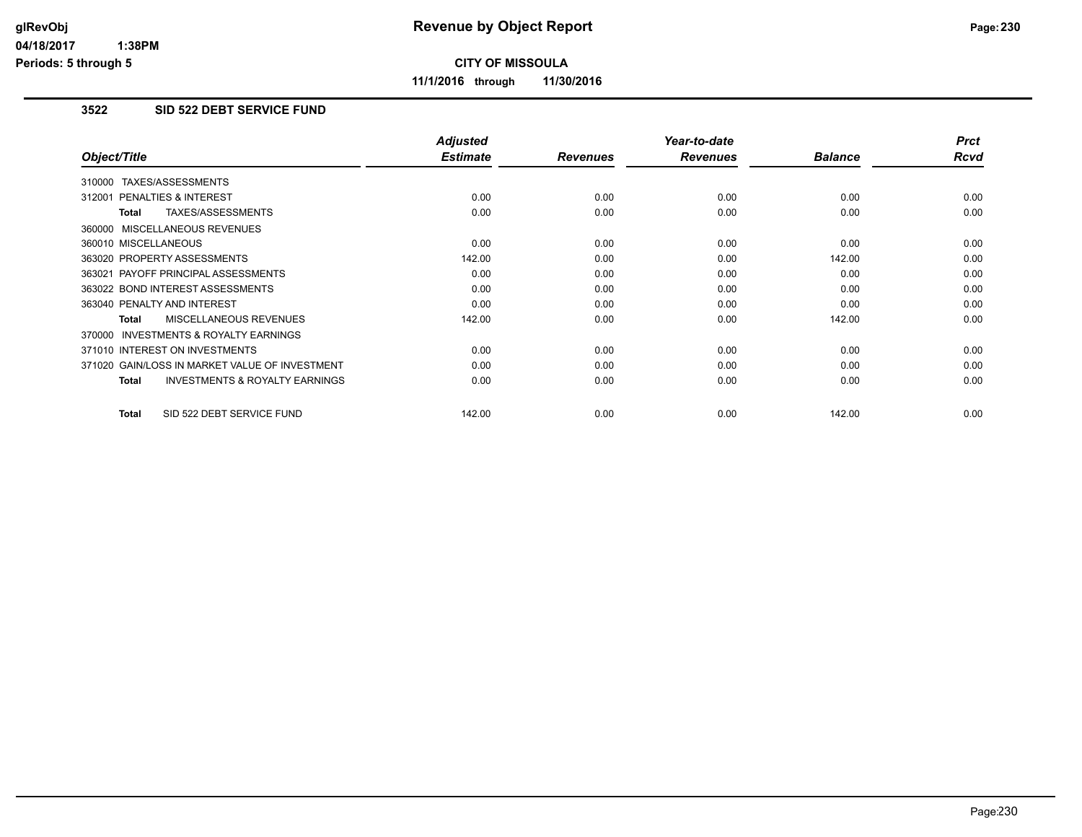**11/1/2016 through 11/30/2016**

#### **3522 SID 522 DEBT SERVICE FUND**

|                                                           | <b>Adjusted</b> |                 | Year-to-date    |                | <b>Prct</b> |
|-----------------------------------------------------------|-----------------|-----------------|-----------------|----------------|-------------|
| Object/Title                                              | <b>Estimate</b> | <b>Revenues</b> | <b>Revenues</b> | <b>Balance</b> | Rcvd        |
| 310000 TAXES/ASSESSMENTS                                  |                 |                 |                 |                |             |
| 312001 PENALTIES & INTEREST                               | 0.00            | 0.00            | 0.00            | 0.00           | 0.00        |
| TAXES/ASSESSMENTS<br>Total                                | 0.00            | 0.00            | 0.00            | 0.00           | 0.00        |
| 360000 MISCELLANEOUS REVENUES                             |                 |                 |                 |                |             |
| 360010 MISCELLANEOUS                                      | 0.00            | 0.00            | 0.00            | 0.00           | 0.00        |
| 363020 PROPERTY ASSESSMENTS                               | 142.00          | 0.00            | 0.00            | 142.00         | 0.00        |
| 363021 PAYOFF PRINCIPAL ASSESSMENTS                       | 0.00            | 0.00            | 0.00            | 0.00           | 0.00        |
| 363022 BOND INTEREST ASSESSMENTS                          | 0.00            | 0.00            | 0.00            | 0.00           | 0.00        |
| 363040 PENALTY AND INTEREST                               | 0.00            | 0.00            | 0.00            | 0.00           | 0.00        |
| MISCELLANEOUS REVENUES<br>Total                           | 142.00          | 0.00            | 0.00            | 142.00         | 0.00        |
| INVESTMENTS & ROYALTY EARNINGS<br>370000                  |                 |                 |                 |                |             |
| 371010 INTEREST ON INVESTMENTS                            | 0.00            | 0.00            | 0.00            | 0.00           | 0.00        |
| 371020 GAIN/LOSS IN MARKET VALUE OF INVESTMENT            | 0.00            | 0.00            | 0.00            | 0.00           | 0.00        |
| <b>INVESTMENTS &amp; ROYALTY EARNINGS</b><br><b>Total</b> | 0.00            | 0.00            | 0.00            | 0.00           | 0.00        |
| SID 522 DEBT SERVICE FUND<br><b>Total</b>                 | 142.00          | 0.00            | 0.00            | 142.00         | 0.00        |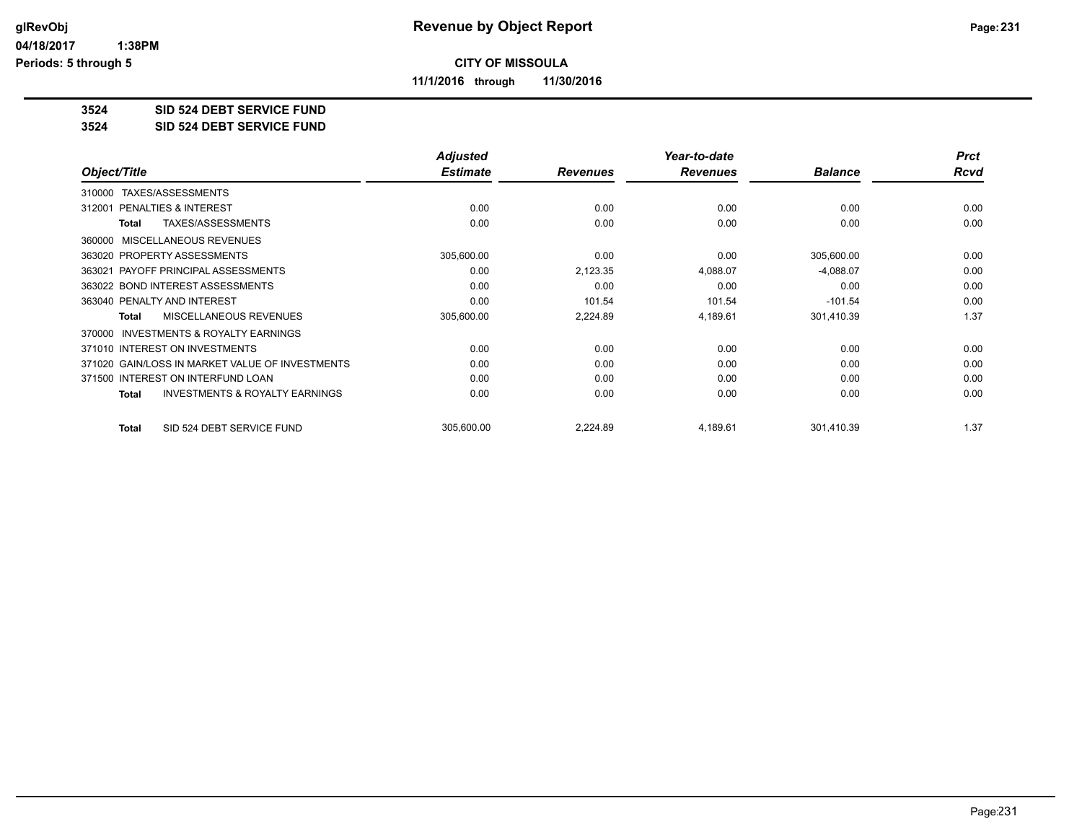**11/1/2016 through 11/30/2016**

**3524 SID 524 DEBT SERVICE FUND**

**3524 SID 524 DEBT SERVICE FUND**

|                                                    | <b>Adjusted</b> |                 | Year-to-date    |                | <b>Prct</b> |
|----------------------------------------------------|-----------------|-----------------|-----------------|----------------|-------------|
| Object/Title                                       | <b>Estimate</b> | <b>Revenues</b> | <b>Revenues</b> | <b>Balance</b> | Rcvd        |
| 310000 TAXES/ASSESSMENTS                           |                 |                 |                 |                |             |
| 312001 PENALTIES & INTEREST                        | 0.00            | 0.00            | 0.00            | 0.00           | 0.00        |
| TAXES/ASSESSMENTS<br>Total                         | 0.00            | 0.00            | 0.00            | 0.00           | 0.00        |
| 360000 MISCELLANEOUS REVENUES                      |                 |                 |                 |                |             |
| 363020 PROPERTY ASSESSMENTS                        | 305,600.00      | 0.00            | 0.00            | 305,600.00     | 0.00        |
| 363021 PAYOFF PRINCIPAL ASSESSMENTS                | 0.00            | 2,123.35        | 4,088.07        | $-4,088.07$    | 0.00        |
| 363022 BOND INTEREST ASSESSMENTS                   | 0.00            | 0.00            | 0.00            | 0.00           | 0.00        |
| 363040 PENALTY AND INTEREST                        | 0.00            | 101.54          | 101.54          | $-101.54$      | 0.00        |
| MISCELLANEOUS REVENUES<br>Total                    | 305,600.00      | 2,224.89        | 4,189.61        | 301,410.39     | 1.37        |
| 370000 INVESTMENTS & ROYALTY EARNINGS              |                 |                 |                 |                |             |
| 371010 INTEREST ON INVESTMENTS                     | 0.00            | 0.00            | 0.00            | 0.00           | 0.00        |
| 371020 GAIN/LOSS IN MARKET VALUE OF INVESTMENTS    | 0.00            | 0.00            | 0.00            | 0.00           | 0.00        |
| 371500 INTEREST ON INTERFUND LOAN                  | 0.00            | 0.00            | 0.00            | 0.00           | 0.00        |
| <b>INVESTMENTS &amp; ROYALTY EARNINGS</b><br>Total | 0.00            | 0.00            | 0.00            | 0.00           | 0.00        |
| SID 524 DEBT SERVICE FUND<br><b>Total</b>          | 305,600.00      | 2,224.89        | 4,189.61        | 301,410.39     | 1.37        |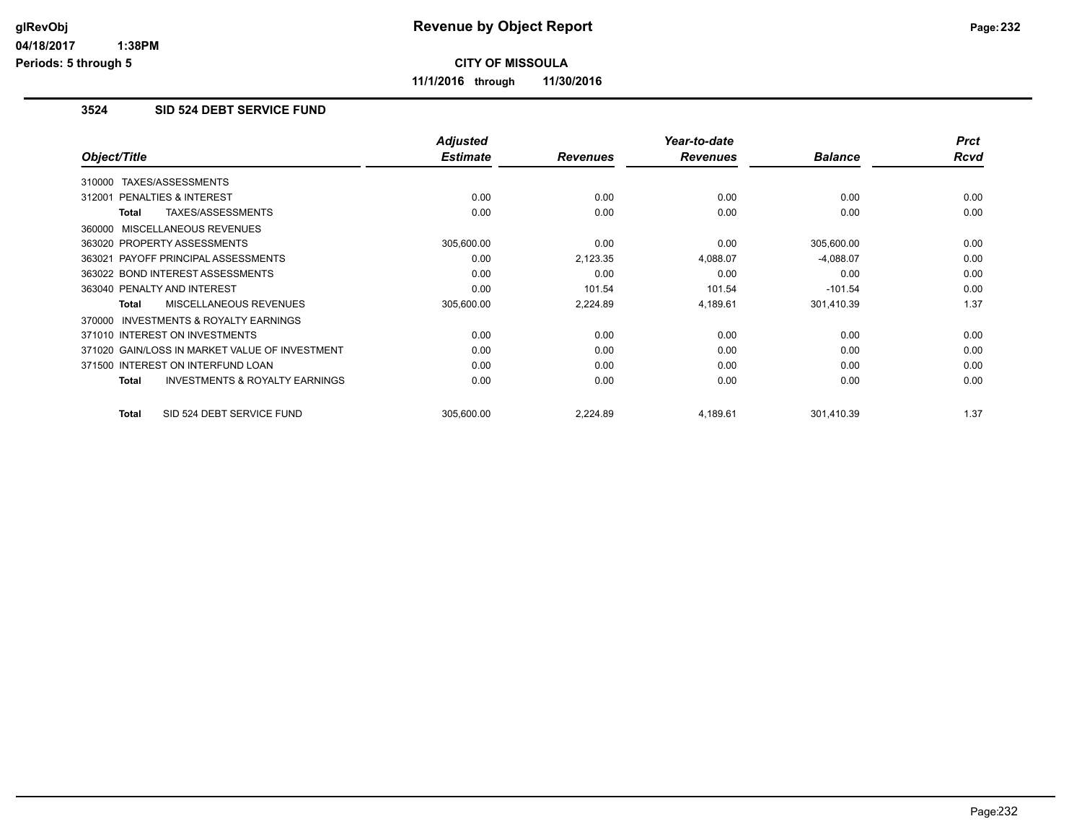**11/1/2016 through 11/30/2016**

#### **3524 SID 524 DEBT SERVICE FUND**

|                                                     | <b>Adjusted</b> |                 | Year-to-date    |                | <b>Prct</b> |
|-----------------------------------------------------|-----------------|-----------------|-----------------|----------------|-------------|
| Object/Title                                        | <b>Estimate</b> | <b>Revenues</b> | <b>Revenues</b> | <b>Balance</b> | Rcvd        |
| 310000 TAXES/ASSESSMENTS                            |                 |                 |                 |                |             |
| <b>PENALTIES &amp; INTEREST</b><br>312001           | 0.00            | 0.00            | 0.00            | 0.00           | 0.00        |
| TAXES/ASSESSMENTS<br><b>Total</b>                   | 0.00            | 0.00            | 0.00            | 0.00           | 0.00        |
| 360000 MISCELLANEOUS REVENUES                       |                 |                 |                 |                |             |
| 363020 PROPERTY ASSESSMENTS                         | 305,600.00      | 0.00            | 0.00            | 305,600.00     | 0.00        |
| 363021 PAYOFF PRINCIPAL ASSESSMENTS                 | 0.00            | 2,123.35        | 4,088.07        | $-4,088.07$    | 0.00        |
| 363022 BOND INTEREST ASSESSMENTS                    | 0.00            | 0.00            | 0.00            | 0.00           | 0.00        |
| 363040 PENALTY AND INTEREST                         | 0.00            | 101.54          | 101.54          | $-101.54$      | 0.00        |
| MISCELLANEOUS REVENUES<br>Total                     | 305,600.00      | 2,224.89        | 4,189.61        | 301,410.39     | 1.37        |
| <b>INVESTMENTS &amp; ROYALTY EARNINGS</b><br>370000 |                 |                 |                 |                |             |
| 371010 INTEREST ON INVESTMENTS                      | 0.00            | 0.00            | 0.00            | 0.00           | 0.00        |
| 371020 GAIN/LOSS IN MARKET VALUE OF INVESTMENT      | 0.00            | 0.00            | 0.00            | 0.00           | 0.00        |
| 371500 INTEREST ON INTERFUND LOAN                   | 0.00            | 0.00            | 0.00            | 0.00           | 0.00        |
| <b>INVESTMENTS &amp; ROYALTY EARNINGS</b><br>Total  | 0.00            | 0.00            | 0.00            | 0.00           | 0.00        |
| SID 524 DEBT SERVICE FUND<br>Total                  | 305,600.00      | 2,224.89        | 4,189.61        | 301,410.39     | 1.37        |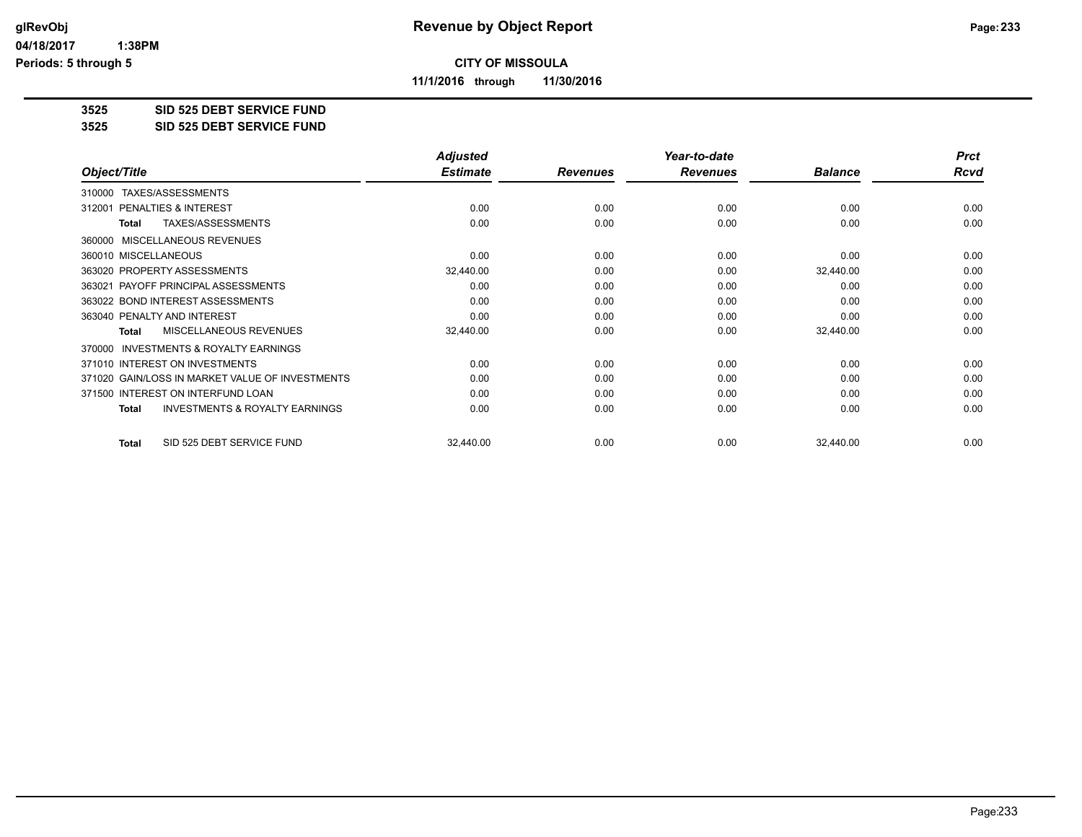**11/1/2016 through 11/30/2016**

**3525 SID 525 DEBT SERVICE FUND**

**3525 SID 525 DEBT SERVICE FUND**

|                                                     | <b>Adjusted</b> |                 | Year-to-date    |                | <b>Prct</b> |
|-----------------------------------------------------|-----------------|-----------------|-----------------|----------------|-------------|
| Object/Title                                        | <b>Estimate</b> | <b>Revenues</b> | <b>Revenues</b> | <b>Balance</b> | Rcvd        |
| TAXES/ASSESSMENTS<br>310000                         |                 |                 |                 |                |             |
| 312001 PENALTIES & INTEREST                         | 0.00            | 0.00            | 0.00            | 0.00           | 0.00        |
| TAXES/ASSESSMENTS<br><b>Total</b>                   | 0.00            | 0.00            | 0.00            | 0.00           | 0.00        |
| MISCELLANEOUS REVENUES<br>360000                    |                 |                 |                 |                |             |
| 360010 MISCELLANEOUS                                | 0.00            | 0.00            | 0.00            | 0.00           | 0.00        |
| 363020 PROPERTY ASSESSMENTS                         | 32,440.00       | 0.00            | 0.00            | 32,440.00      | 0.00        |
| 363021 PAYOFF PRINCIPAL ASSESSMENTS                 | 0.00            | 0.00            | 0.00            | 0.00           | 0.00        |
| 363022 BOND INTEREST ASSESSMENTS                    | 0.00            | 0.00            | 0.00            | 0.00           | 0.00        |
| 363040 PENALTY AND INTEREST                         | 0.00            | 0.00            | 0.00            | 0.00           | 0.00        |
| MISCELLANEOUS REVENUES<br><b>Total</b>              | 32,440.00       | 0.00            | 0.00            | 32,440.00      | 0.00        |
| <b>INVESTMENTS &amp; ROYALTY EARNINGS</b><br>370000 |                 |                 |                 |                |             |
| 371010 INTEREST ON INVESTMENTS                      | 0.00            | 0.00            | 0.00            | 0.00           | 0.00        |
| 371020 GAIN/LOSS IN MARKET VALUE OF INVESTMENTS     | 0.00            | 0.00            | 0.00            | 0.00           | 0.00        |
| 371500 INTEREST ON INTERFUND LOAN                   | 0.00            | 0.00            | 0.00            | 0.00           | 0.00        |
| <b>INVESTMENTS &amp; ROYALTY EARNINGS</b><br>Total  | 0.00            | 0.00            | 0.00            | 0.00           | 0.00        |
| SID 525 DEBT SERVICE FUND<br><b>Total</b>           | 32,440.00       | 0.00            | 0.00            | 32,440.00      | 0.00        |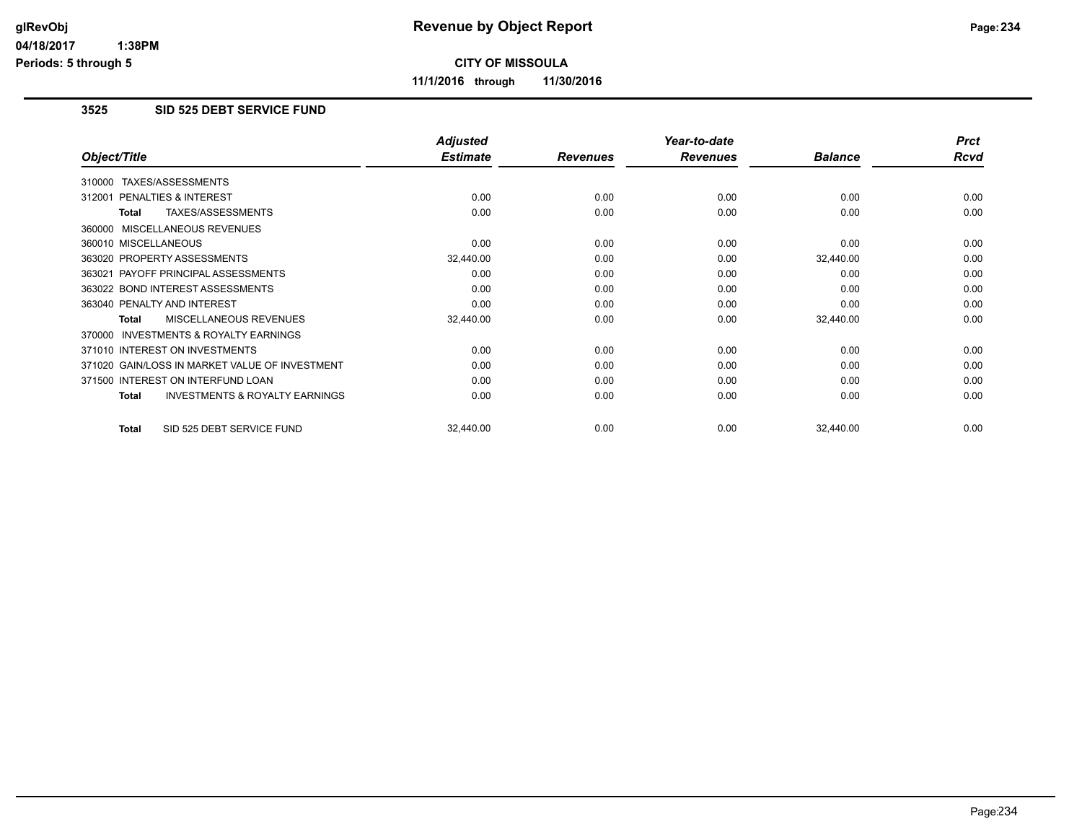**11/1/2016 through 11/30/2016**

#### **3525 SID 525 DEBT SERVICE FUND**

|                                                    | <b>Adjusted</b> |                 | Year-to-date    |                | <b>Prct</b> |
|----------------------------------------------------|-----------------|-----------------|-----------------|----------------|-------------|
| Object/Title                                       | <b>Estimate</b> | <b>Revenues</b> | <b>Revenues</b> | <b>Balance</b> | <b>Rcvd</b> |
| TAXES/ASSESSMENTS<br>310000                        |                 |                 |                 |                |             |
| 312001 PENALTIES & INTEREST                        | 0.00            | 0.00            | 0.00            | 0.00           | 0.00        |
| TAXES/ASSESSMENTS<br>Total                         | 0.00            | 0.00            | 0.00            | 0.00           | 0.00        |
| 360000 MISCELLANEOUS REVENUES                      |                 |                 |                 |                |             |
| 360010 MISCELLANEOUS                               | 0.00            | 0.00            | 0.00            | 0.00           | 0.00        |
| 363020 PROPERTY ASSESSMENTS                        | 32,440.00       | 0.00            | 0.00            | 32,440.00      | 0.00        |
| 363021 PAYOFF PRINCIPAL ASSESSMENTS                | 0.00            | 0.00            | 0.00            | 0.00           | 0.00        |
| 363022 BOND INTEREST ASSESSMENTS                   | 0.00            | 0.00            | 0.00            | 0.00           | 0.00        |
| 363040 PENALTY AND INTEREST                        | 0.00            | 0.00            | 0.00            | 0.00           | 0.00        |
| MISCELLANEOUS REVENUES<br>Total                    | 32,440.00       | 0.00            | 0.00            | 32,440.00      | 0.00        |
| INVESTMENTS & ROYALTY EARNINGS<br>370000           |                 |                 |                 |                |             |
| 371010 INTEREST ON INVESTMENTS                     | 0.00            | 0.00            | 0.00            | 0.00           | 0.00        |
| 371020 GAIN/LOSS IN MARKET VALUE OF INVESTMENT     | 0.00            | 0.00            | 0.00            | 0.00           | 0.00        |
| 371500 INTEREST ON INTERFUND LOAN                  | 0.00            | 0.00            | 0.00            | 0.00           | 0.00        |
| <b>INVESTMENTS &amp; ROYALTY EARNINGS</b><br>Total | 0.00            | 0.00            | 0.00            | 0.00           | 0.00        |
| SID 525 DEBT SERVICE FUND<br>Total                 | 32,440.00       | 0.00            | 0.00            | 32,440.00      | 0.00        |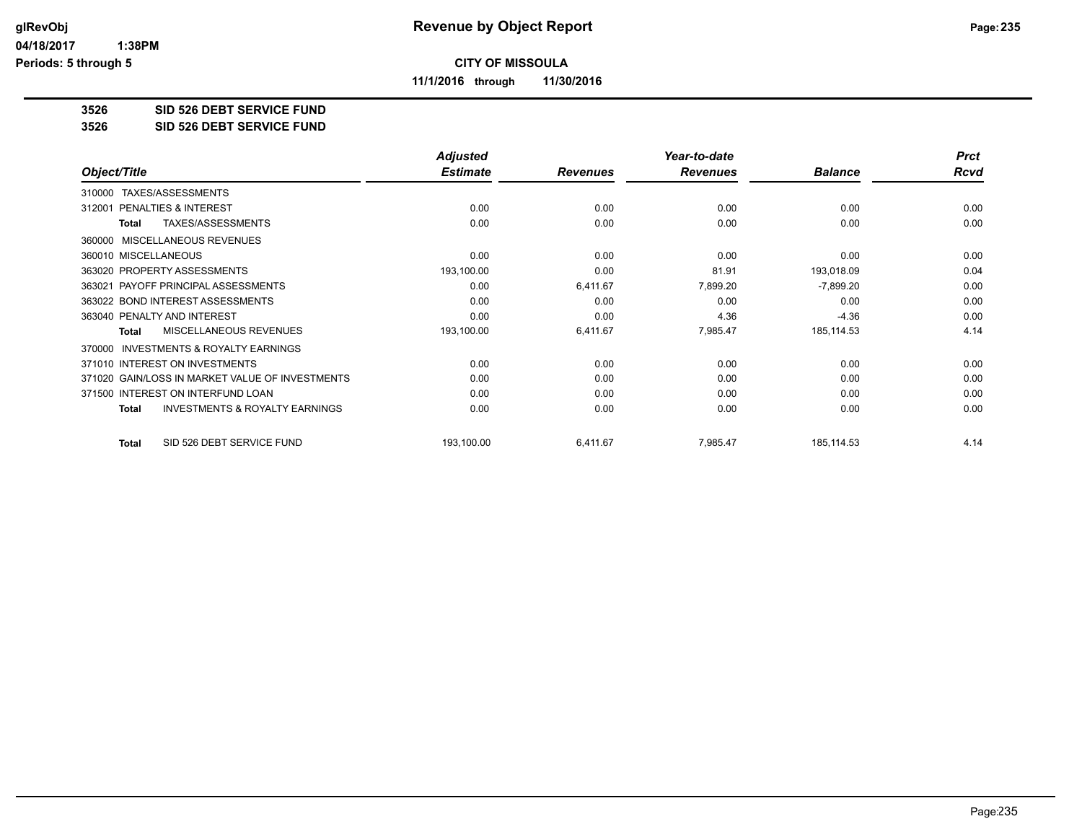**11/1/2016 through 11/30/2016**

**3526 SID 526 DEBT SERVICE FUND**

**3526 SID 526 DEBT SERVICE FUND**

|                                                     | <b>Adjusted</b> |                 | Year-to-date    |                | <b>Prct</b> |
|-----------------------------------------------------|-----------------|-----------------|-----------------|----------------|-------------|
| Object/Title                                        | <b>Estimate</b> | <b>Revenues</b> | <b>Revenues</b> | <b>Balance</b> | Rcvd        |
| 310000 TAXES/ASSESSMENTS                            |                 |                 |                 |                |             |
| PENALTIES & INTEREST<br>312001                      | 0.00            | 0.00            | 0.00            | 0.00           | 0.00        |
| TAXES/ASSESSMENTS<br>Total                          | 0.00            | 0.00            | 0.00            | 0.00           | 0.00        |
| 360000 MISCELLANEOUS REVENUES                       |                 |                 |                 |                |             |
| 360010 MISCELLANEOUS                                | 0.00            | 0.00            | 0.00            | 0.00           | 0.00        |
| 363020 PROPERTY ASSESSMENTS                         | 193,100.00      | 0.00            | 81.91           | 193,018.09     | 0.04        |
| 363021 PAYOFF PRINCIPAL ASSESSMENTS                 | 0.00            | 6,411.67        | 7,899.20        | $-7,899.20$    | 0.00        |
| 363022 BOND INTEREST ASSESSMENTS                    | 0.00            | 0.00            | 0.00            | 0.00           | 0.00        |
| 363040 PENALTY AND INTEREST                         | 0.00            | 0.00            | 4.36            | $-4.36$        | 0.00        |
| <b>MISCELLANEOUS REVENUES</b><br>Total              | 193,100.00      | 6,411.67        | 7,985.47        | 185, 114.53    | 4.14        |
| <b>INVESTMENTS &amp; ROYALTY EARNINGS</b><br>370000 |                 |                 |                 |                |             |
| 371010 INTEREST ON INVESTMENTS                      | 0.00            | 0.00            | 0.00            | 0.00           | 0.00        |
| 371020 GAIN/LOSS IN MARKET VALUE OF INVESTMENTS     | 0.00            | 0.00            | 0.00            | 0.00           | 0.00        |
| 371500 INTEREST ON INTERFUND LOAN                   | 0.00            | 0.00            | 0.00            | 0.00           | 0.00        |
| <b>INVESTMENTS &amp; ROYALTY EARNINGS</b><br>Total  | 0.00            | 0.00            | 0.00            | 0.00           | 0.00        |
| SID 526 DEBT SERVICE FUND<br>Total                  | 193,100.00      | 6,411.67        | 7,985.47        | 185, 114.53    | 4.14        |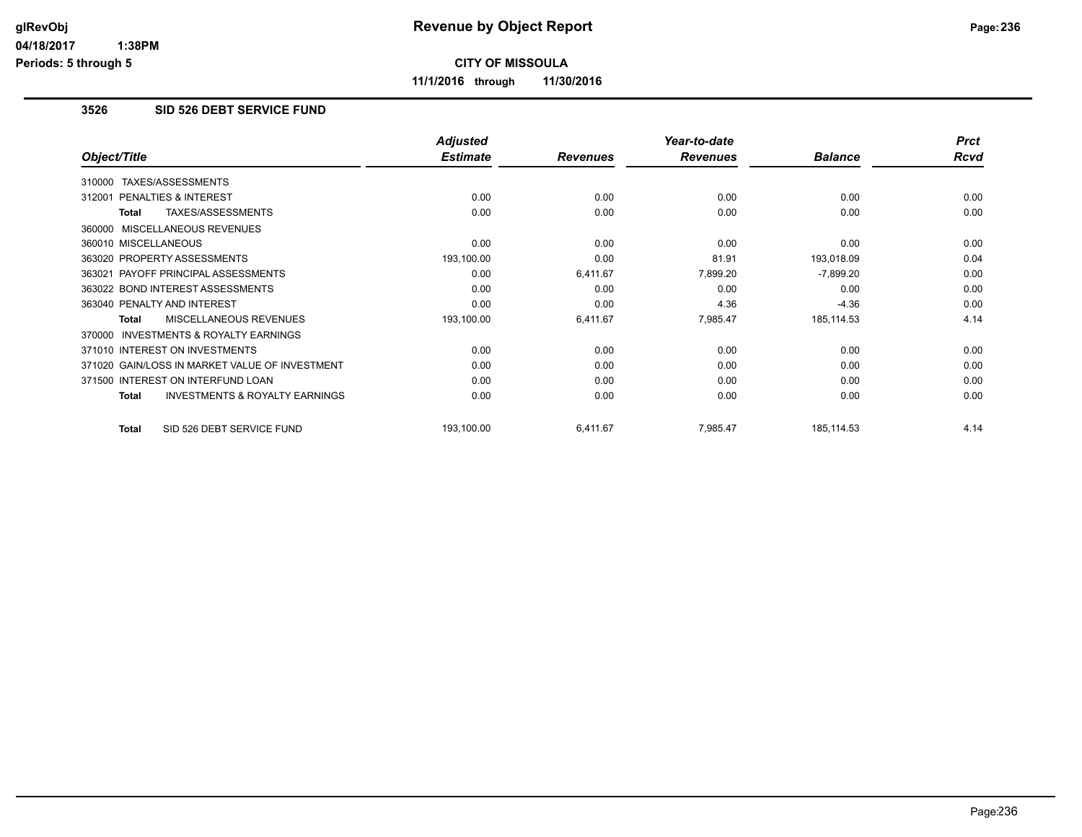**11/1/2016 through 11/30/2016**

#### **3526 SID 526 DEBT SERVICE FUND**

|                                                    | <b>Adjusted</b> |                 | Year-to-date    |                | <b>Prct</b> |
|----------------------------------------------------|-----------------|-----------------|-----------------|----------------|-------------|
| Object/Title                                       | <b>Estimate</b> | <b>Revenues</b> | <b>Revenues</b> | <b>Balance</b> | Rcvd        |
| TAXES/ASSESSMENTS<br>310000                        |                 |                 |                 |                |             |
| <b>PENALTIES &amp; INTEREST</b><br>312001          | 0.00            | 0.00            | 0.00            | 0.00           | 0.00        |
| TAXES/ASSESSMENTS<br>Total                         | 0.00            | 0.00            | 0.00            | 0.00           | 0.00        |
| 360000 MISCELLANEOUS REVENUES                      |                 |                 |                 |                |             |
| 360010 MISCELLANEOUS                               | 0.00            | 0.00            | 0.00            | 0.00           | 0.00        |
| 363020 PROPERTY ASSESSMENTS                        | 193,100.00      | 0.00            | 81.91           | 193,018.09     | 0.04        |
| 363021 PAYOFF PRINCIPAL ASSESSMENTS                | 0.00            | 6,411.67        | 7,899.20        | $-7,899.20$    | 0.00        |
| 363022 BOND INTEREST ASSESSMENTS                   | 0.00            | 0.00            | 0.00            | 0.00           | 0.00        |
| 363040 PENALTY AND INTEREST                        | 0.00            | 0.00            | 4.36            | $-4.36$        | 0.00        |
| MISCELLANEOUS REVENUES<br>Total                    | 193,100.00      | 6,411.67        | 7,985.47        | 185, 114.53    | 4.14        |
| 370000 INVESTMENTS & ROYALTY EARNINGS              |                 |                 |                 |                |             |
| 371010 INTEREST ON INVESTMENTS                     | 0.00            | 0.00            | 0.00            | 0.00           | 0.00        |
| 371020 GAIN/LOSS IN MARKET VALUE OF INVESTMENT     | 0.00            | 0.00            | 0.00            | 0.00           | 0.00        |
| 371500 INTEREST ON INTERFUND LOAN                  | 0.00            | 0.00            | 0.00            | 0.00           | 0.00        |
| <b>INVESTMENTS &amp; ROYALTY EARNINGS</b><br>Total | 0.00            | 0.00            | 0.00            | 0.00           | 0.00        |
| SID 526 DEBT SERVICE FUND<br>Total                 | 193,100.00      | 6,411.67        | 7,985.47        | 185, 114.53    | 4.14        |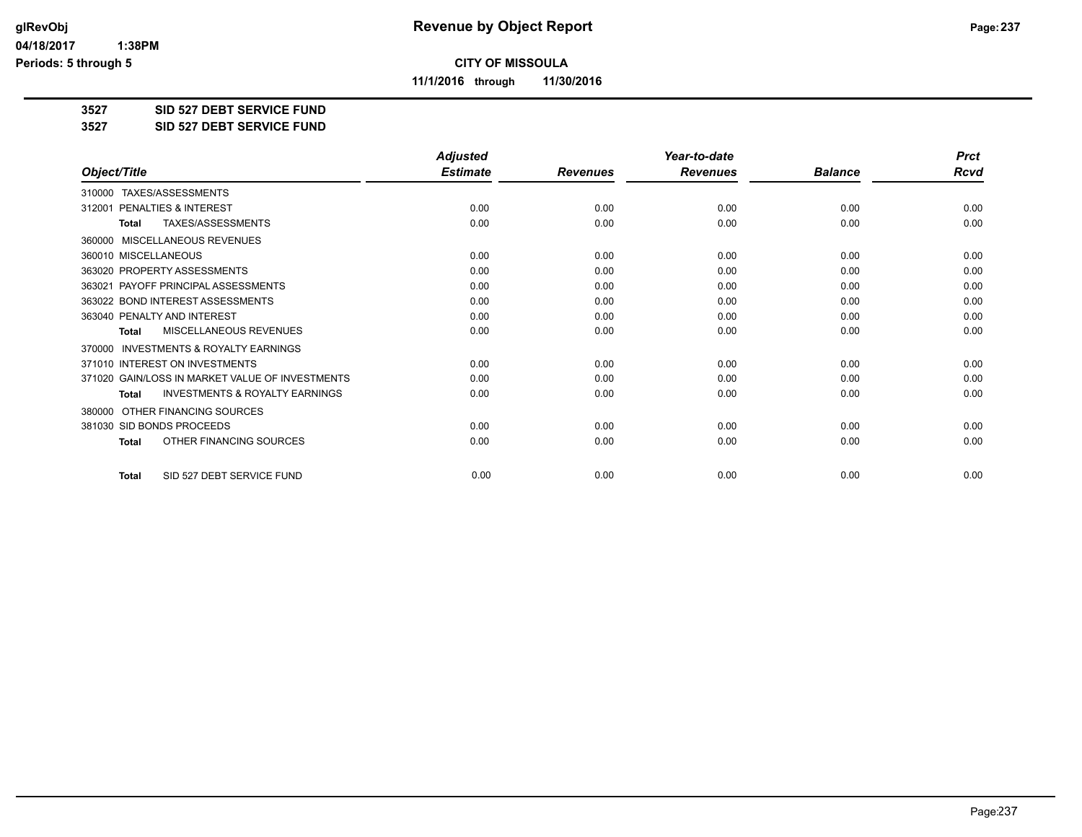**11/1/2016 through 11/30/2016**

**3527 SID 527 DEBT SERVICE FUND**

**3527 SID 527 DEBT SERVICE FUND**

|                                                           | <b>Adjusted</b> |                 | Year-to-date    |                |      |
|-----------------------------------------------------------|-----------------|-----------------|-----------------|----------------|------|
| Object/Title                                              | <b>Estimate</b> | <b>Revenues</b> | <b>Revenues</b> | <b>Balance</b> | Rcvd |
| 310000 TAXES/ASSESSMENTS                                  |                 |                 |                 |                |      |
| 312001 PENALTIES & INTEREST                               | 0.00            | 0.00            | 0.00            | 0.00           | 0.00 |
| TAXES/ASSESSMENTS<br><b>Total</b>                         | 0.00            | 0.00            | 0.00            | 0.00           | 0.00 |
| 360000 MISCELLANEOUS REVENUES                             |                 |                 |                 |                |      |
| 360010 MISCELLANEOUS                                      | 0.00            | 0.00            | 0.00            | 0.00           | 0.00 |
| 363020 PROPERTY ASSESSMENTS                               | 0.00            | 0.00            | 0.00            | 0.00           | 0.00 |
| 363021 PAYOFF PRINCIPAL ASSESSMENTS                       | 0.00            | 0.00            | 0.00            | 0.00           | 0.00 |
| 363022 BOND INTEREST ASSESSMENTS                          | 0.00            | 0.00            | 0.00            | 0.00           | 0.00 |
| 363040 PENALTY AND INTEREST                               | 0.00            | 0.00            | 0.00            | 0.00           | 0.00 |
| MISCELLANEOUS REVENUES<br>Total                           | 0.00            | 0.00            | 0.00            | 0.00           | 0.00 |
| <b>INVESTMENTS &amp; ROYALTY EARNINGS</b><br>370000       |                 |                 |                 |                |      |
| 371010 INTEREST ON INVESTMENTS                            | 0.00            | 0.00            | 0.00            | 0.00           | 0.00 |
| 371020 GAIN/LOSS IN MARKET VALUE OF INVESTMENTS           | 0.00            | 0.00            | 0.00            | 0.00           | 0.00 |
| <b>INVESTMENTS &amp; ROYALTY EARNINGS</b><br><b>Total</b> | 0.00            | 0.00            | 0.00            | 0.00           | 0.00 |
| OTHER FINANCING SOURCES<br>380000                         |                 |                 |                 |                |      |
| 381030 SID BONDS PROCEEDS                                 | 0.00            | 0.00            | 0.00            | 0.00           | 0.00 |
| OTHER FINANCING SOURCES<br><b>Total</b>                   | 0.00            | 0.00            | 0.00            | 0.00           | 0.00 |
| SID 527 DEBT SERVICE FUND<br><b>Total</b>                 | 0.00            | 0.00            | 0.00            | 0.00           | 0.00 |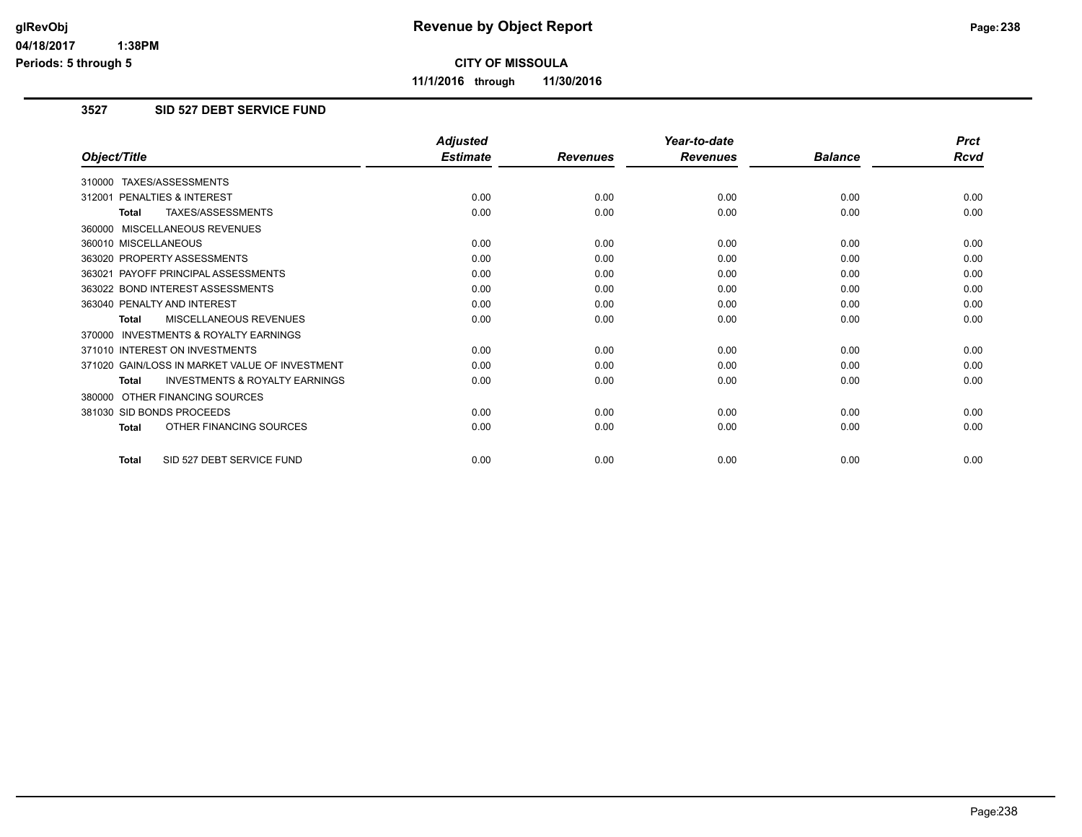**11/1/2016 through 11/30/2016**

#### **3527 SID 527 DEBT SERVICE FUND**

|                                                           | <b>Adjusted</b> |                 | Year-to-date    |                | <b>Prct</b> |
|-----------------------------------------------------------|-----------------|-----------------|-----------------|----------------|-------------|
| Object/Title                                              | <b>Estimate</b> | <b>Revenues</b> | <b>Revenues</b> | <b>Balance</b> | <b>Rcvd</b> |
| 310000 TAXES/ASSESSMENTS                                  |                 |                 |                 |                |             |
| PENALTIES & INTEREST<br>312001                            | 0.00            | 0.00            | 0.00            | 0.00           | 0.00        |
| TAXES/ASSESSMENTS<br><b>Total</b>                         | 0.00            | 0.00            | 0.00            | 0.00           | 0.00        |
| 360000 MISCELLANEOUS REVENUES                             |                 |                 |                 |                |             |
| 360010 MISCELLANEOUS                                      | 0.00            | 0.00            | 0.00            | 0.00           | 0.00        |
| 363020 PROPERTY ASSESSMENTS                               | 0.00            | 0.00            | 0.00            | 0.00           | 0.00        |
| 363021 PAYOFF PRINCIPAL ASSESSMENTS                       | 0.00            | 0.00            | 0.00            | 0.00           | 0.00        |
| 363022 BOND INTEREST ASSESSMENTS                          | 0.00            | 0.00            | 0.00            | 0.00           | 0.00        |
| 363040 PENALTY AND INTEREST                               | 0.00            | 0.00            | 0.00            | 0.00           | 0.00        |
| MISCELLANEOUS REVENUES<br><b>Total</b>                    | 0.00            | 0.00            | 0.00            | 0.00           | 0.00        |
| <b>INVESTMENTS &amp; ROYALTY EARNINGS</b><br>370000       |                 |                 |                 |                |             |
| 371010 INTEREST ON INVESTMENTS                            | 0.00            | 0.00            | 0.00            | 0.00           | 0.00        |
| 371020 GAIN/LOSS IN MARKET VALUE OF INVESTMENT            | 0.00            | 0.00            | 0.00            | 0.00           | 0.00        |
| <b>INVESTMENTS &amp; ROYALTY EARNINGS</b><br><b>Total</b> | 0.00            | 0.00            | 0.00            | 0.00           | 0.00        |
| 380000 OTHER FINANCING SOURCES                            |                 |                 |                 |                |             |
| 381030 SID BONDS PROCEEDS                                 | 0.00            | 0.00            | 0.00            | 0.00           | 0.00        |
| OTHER FINANCING SOURCES<br><b>Total</b>                   | 0.00            | 0.00            | 0.00            | 0.00           | 0.00        |
| SID 527 DEBT SERVICE FUND<br><b>Total</b>                 | 0.00            | 0.00            | 0.00            | 0.00           | 0.00        |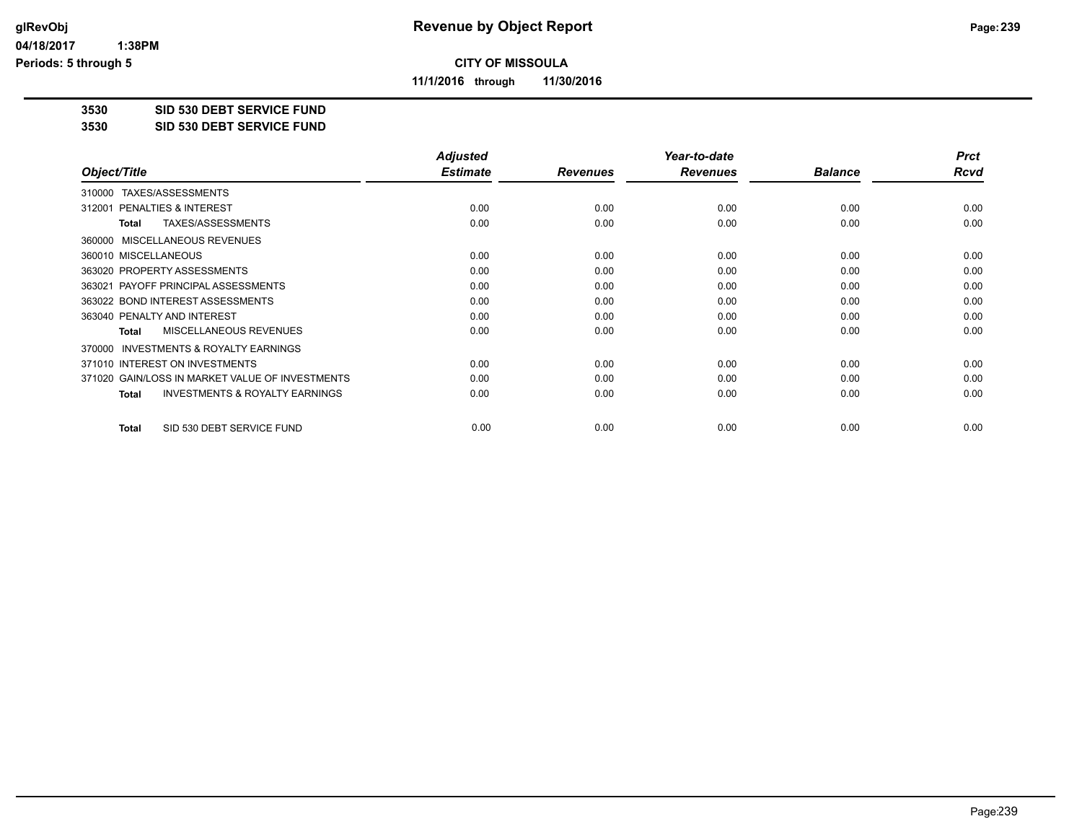**11/1/2016 through 11/30/2016**

**3530 SID 530 DEBT SERVICE FUND**

**3530 SID 530 DEBT SERVICE FUND**

|                                                    | <b>Adjusted</b> |                 | Year-to-date    |                | <b>Prct</b> |
|----------------------------------------------------|-----------------|-----------------|-----------------|----------------|-------------|
| Object/Title                                       | <b>Estimate</b> | <b>Revenues</b> | <b>Revenues</b> | <b>Balance</b> | Rcvd        |
| 310000 TAXES/ASSESSMENTS                           |                 |                 |                 |                |             |
| 312001 PENALTIES & INTEREST                        | 0.00            | 0.00            | 0.00            | 0.00           | 0.00        |
| TAXES/ASSESSMENTS<br>Total                         | 0.00            | 0.00            | 0.00            | 0.00           | 0.00        |
| 360000 MISCELLANEOUS REVENUES                      |                 |                 |                 |                |             |
| 360010 MISCELLANEOUS                               | 0.00            | 0.00            | 0.00            | 0.00           | 0.00        |
| 363020 PROPERTY ASSESSMENTS                        | 0.00            | 0.00            | 0.00            | 0.00           | 0.00        |
| 363021 PAYOFF PRINCIPAL ASSESSMENTS                | 0.00            | 0.00            | 0.00            | 0.00           | 0.00        |
| 363022 BOND INTEREST ASSESSMENTS                   | 0.00            | 0.00            | 0.00            | 0.00           | 0.00        |
| 363040 PENALTY AND INTEREST                        | 0.00            | 0.00            | 0.00            | 0.00           | 0.00        |
| MISCELLANEOUS REVENUES<br>Total                    | 0.00            | 0.00            | 0.00            | 0.00           | 0.00        |
| INVESTMENTS & ROYALTY EARNINGS<br>370000           |                 |                 |                 |                |             |
| 371010 INTEREST ON INVESTMENTS                     | 0.00            | 0.00            | 0.00            | 0.00           | 0.00        |
| 371020 GAIN/LOSS IN MARKET VALUE OF INVESTMENTS    | 0.00            | 0.00            | 0.00            | 0.00           | 0.00        |
| <b>INVESTMENTS &amp; ROYALTY EARNINGS</b><br>Total | 0.00            | 0.00            | 0.00            | 0.00           | 0.00        |
| SID 530 DEBT SERVICE FUND<br>Total                 | 0.00            | 0.00            | 0.00            | 0.00           | 0.00        |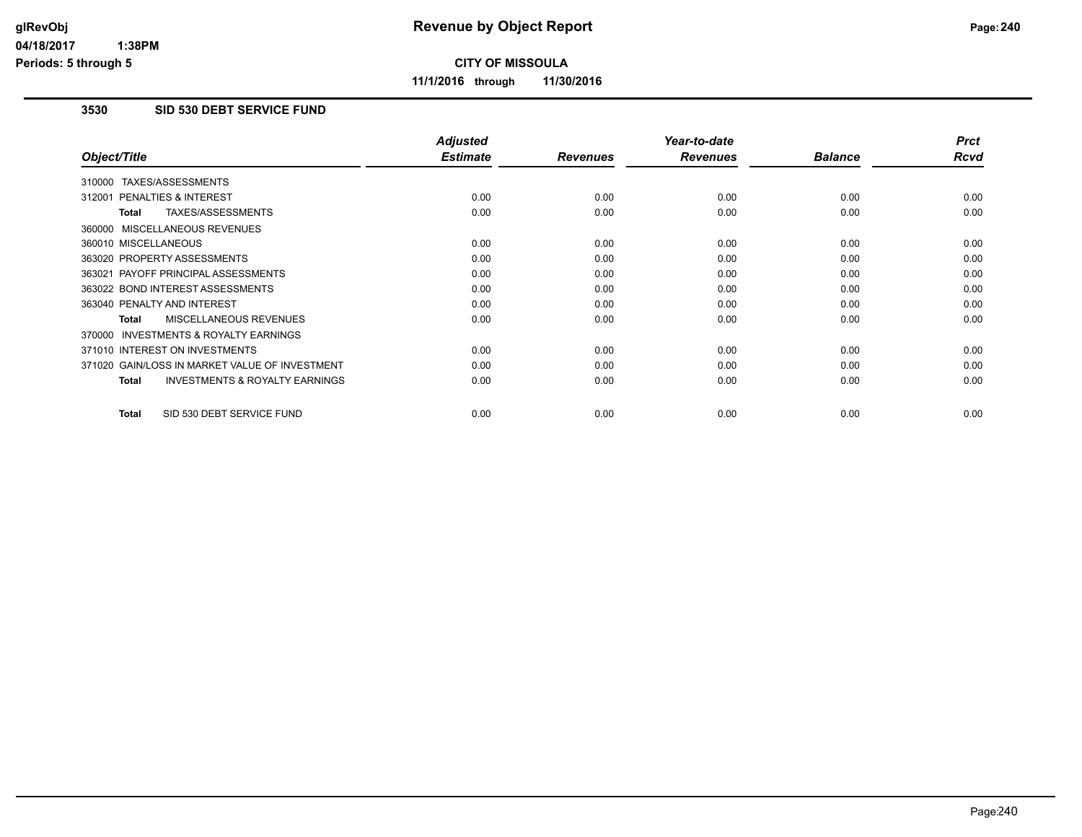**11/1/2016 through 11/30/2016**

#### **3530 SID 530 DEBT SERVICE FUND**

|                                                           | <b>Adjusted</b> |                 | Year-to-date    |                | <b>Prct</b> |
|-----------------------------------------------------------|-----------------|-----------------|-----------------|----------------|-------------|
| Object/Title                                              | <b>Estimate</b> | <b>Revenues</b> | <b>Revenues</b> | <b>Balance</b> | <b>Rcvd</b> |
| 310000 TAXES/ASSESSMENTS                                  |                 |                 |                 |                |             |
| 312001 PENALTIES & INTEREST                               | 0.00            | 0.00            | 0.00            | 0.00           | 0.00        |
| TAXES/ASSESSMENTS<br>Total                                | 0.00            | 0.00            | 0.00            | 0.00           | 0.00        |
| 360000 MISCELLANEOUS REVENUES                             |                 |                 |                 |                |             |
| 360010 MISCELLANEOUS                                      | 0.00            | 0.00            | 0.00            | 0.00           | 0.00        |
| 363020 PROPERTY ASSESSMENTS                               | 0.00            | 0.00            | 0.00            | 0.00           | 0.00        |
| 363021 PAYOFF PRINCIPAL ASSESSMENTS                       | 0.00            | 0.00            | 0.00            | 0.00           | 0.00        |
| 363022 BOND INTEREST ASSESSMENTS                          | 0.00            | 0.00            | 0.00            | 0.00           | 0.00        |
| 363040 PENALTY AND INTEREST                               | 0.00            | 0.00            | 0.00            | 0.00           | 0.00        |
| <b>MISCELLANEOUS REVENUES</b><br>Total                    | 0.00            | 0.00            | 0.00            | 0.00           | 0.00        |
| INVESTMENTS & ROYALTY EARNINGS<br>370000                  |                 |                 |                 |                |             |
| 371010 INTEREST ON INVESTMENTS                            | 0.00            | 0.00            | 0.00            | 0.00           | 0.00        |
| 371020 GAIN/LOSS IN MARKET VALUE OF INVESTMENT            | 0.00            | 0.00            | 0.00            | 0.00           | 0.00        |
| <b>INVESTMENTS &amp; ROYALTY EARNINGS</b><br><b>Total</b> | 0.00            | 0.00            | 0.00            | 0.00           | 0.00        |
| SID 530 DEBT SERVICE FUND<br><b>Total</b>                 | 0.00            | 0.00            | 0.00            | 0.00           | 0.00        |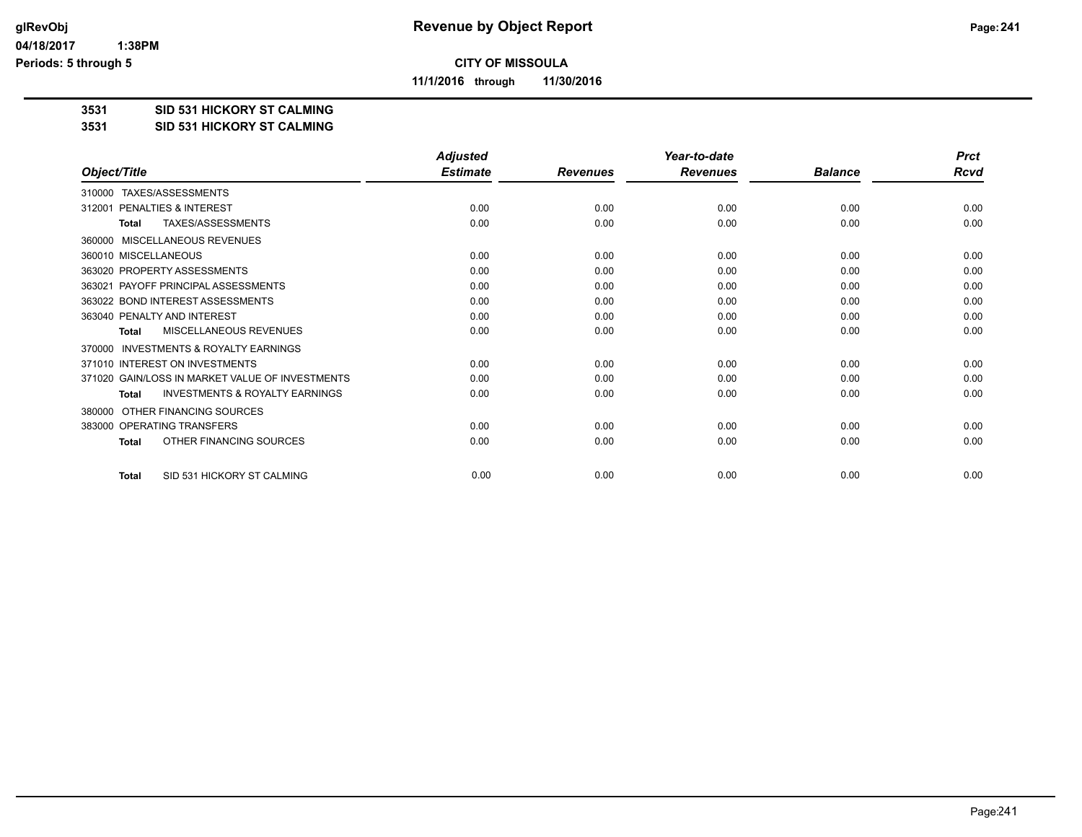**11/1/2016 through 11/30/2016**

**3531 SID 531 HICKORY ST CALMING**

**3531 SID 531 HICKORY ST CALMING**

|                                                           | <b>Adjusted</b> |                 | Year-to-date    |                | <b>Prct</b> |
|-----------------------------------------------------------|-----------------|-----------------|-----------------|----------------|-------------|
| Object/Title                                              | <b>Estimate</b> | <b>Revenues</b> | <b>Revenues</b> | <b>Balance</b> | Rcvd        |
| TAXES/ASSESSMENTS<br>310000                               |                 |                 |                 |                |             |
| PENALTIES & INTEREST<br>312001                            | 0.00            | 0.00            | 0.00            | 0.00           | 0.00        |
| TAXES/ASSESSMENTS<br><b>Total</b>                         | 0.00            | 0.00            | 0.00            | 0.00           | 0.00        |
| 360000 MISCELLANEOUS REVENUES                             |                 |                 |                 |                |             |
| 360010 MISCELLANEOUS                                      | 0.00            | 0.00            | 0.00            | 0.00           | 0.00        |
| 363020 PROPERTY ASSESSMENTS                               | 0.00            | 0.00            | 0.00            | 0.00           | 0.00        |
| 363021 PAYOFF PRINCIPAL ASSESSMENTS                       | 0.00            | 0.00            | 0.00            | 0.00           | 0.00        |
| 363022 BOND INTEREST ASSESSMENTS                          | 0.00            | 0.00            | 0.00            | 0.00           | 0.00        |
| 363040 PENALTY AND INTEREST                               | 0.00            | 0.00            | 0.00            | 0.00           | 0.00        |
| MISCELLANEOUS REVENUES<br>Total                           | 0.00            | 0.00            | 0.00            | 0.00           | 0.00        |
| <b>INVESTMENTS &amp; ROYALTY EARNINGS</b><br>370000       |                 |                 |                 |                |             |
| 371010 INTEREST ON INVESTMENTS                            | 0.00            | 0.00            | 0.00            | 0.00           | 0.00        |
| 371020 GAIN/LOSS IN MARKET VALUE OF INVESTMENTS           | 0.00            | 0.00            | 0.00            | 0.00           | 0.00        |
| <b>INVESTMENTS &amp; ROYALTY EARNINGS</b><br><b>Total</b> | 0.00            | 0.00            | 0.00            | 0.00           | 0.00        |
| OTHER FINANCING SOURCES<br>380000                         |                 |                 |                 |                |             |
| 383000 OPERATING TRANSFERS                                | 0.00            | 0.00            | 0.00            | 0.00           | 0.00        |
| OTHER FINANCING SOURCES<br><b>Total</b>                   | 0.00            | 0.00            | 0.00            | 0.00           | 0.00        |
| SID 531 HICKORY ST CALMING<br><b>Total</b>                | 0.00            | 0.00            | 0.00            | 0.00           | 0.00        |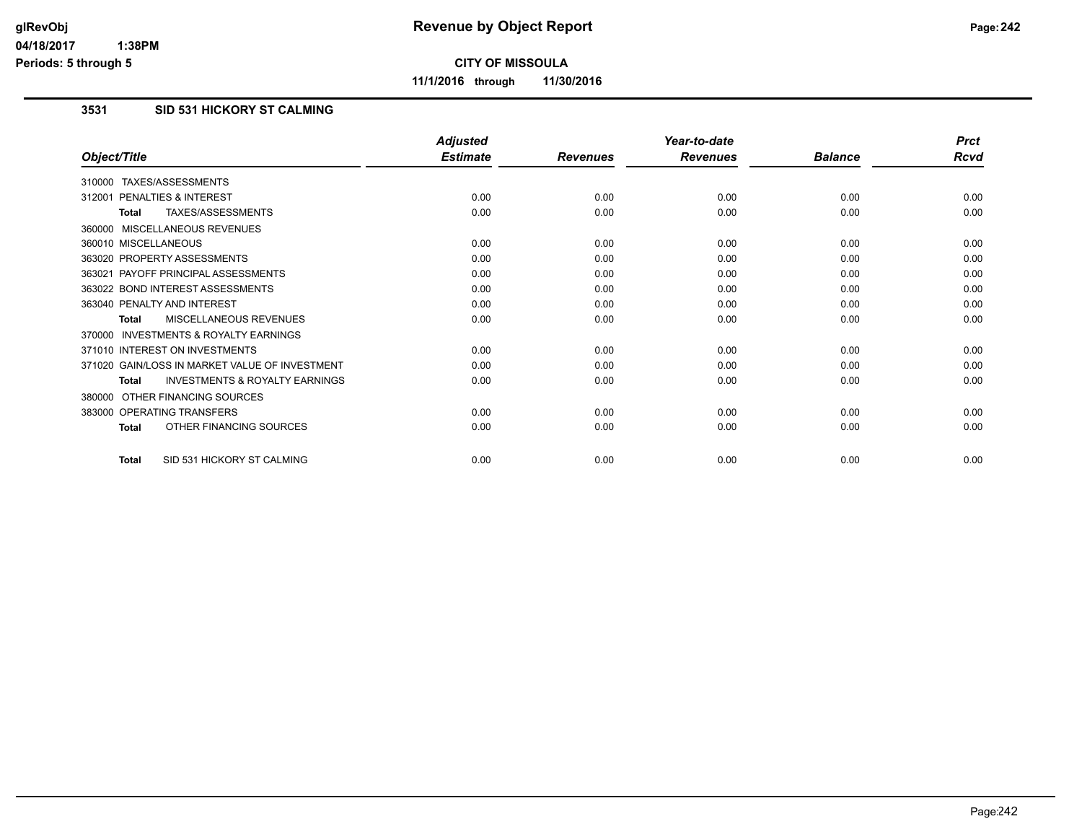**11/1/2016 through 11/30/2016**

#### **3531 SID 531 HICKORY ST CALMING**

|                                                           | <b>Adjusted</b> |                 | Year-to-date    |                | <b>Prct</b> |
|-----------------------------------------------------------|-----------------|-----------------|-----------------|----------------|-------------|
| Object/Title                                              | <b>Estimate</b> | <b>Revenues</b> | <b>Revenues</b> | <b>Balance</b> | <b>Rcvd</b> |
| 310000 TAXES/ASSESSMENTS                                  |                 |                 |                 |                |             |
| <b>PENALTIES &amp; INTEREST</b><br>312001                 | 0.00            | 0.00            | 0.00            | 0.00           | 0.00        |
| TAXES/ASSESSMENTS<br><b>Total</b>                         | 0.00            | 0.00            | 0.00            | 0.00           | 0.00        |
| 360000 MISCELLANEOUS REVENUES                             |                 |                 |                 |                |             |
| 360010 MISCELLANEOUS                                      | 0.00            | 0.00            | 0.00            | 0.00           | 0.00        |
| 363020 PROPERTY ASSESSMENTS                               | 0.00            | 0.00            | 0.00            | 0.00           | 0.00        |
| 363021 PAYOFF PRINCIPAL ASSESSMENTS                       | 0.00            | 0.00            | 0.00            | 0.00           | 0.00        |
| 363022 BOND INTEREST ASSESSMENTS                          | 0.00            | 0.00            | 0.00            | 0.00           | 0.00        |
| 363040 PENALTY AND INTEREST                               | 0.00            | 0.00            | 0.00            | 0.00           | 0.00        |
| <b>MISCELLANEOUS REVENUES</b><br><b>Total</b>             | 0.00            | 0.00            | 0.00            | 0.00           | 0.00        |
| <b>INVESTMENTS &amp; ROYALTY EARNINGS</b><br>370000       |                 |                 |                 |                |             |
| 371010 INTEREST ON INVESTMENTS                            | 0.00            | 0.00            | 0.00            | 0.00           | 0.00        |
| 371020 GAIN/LOSS IN MARKET VALUE OF INVESTMENT            | 0.00            | 0.00            | 0.00            | 0.00           | 0.00        |
| <b>INVESTMENTS &amp; ROYALTY EARNINGS</b><br><b>Total</b> | 0.00            | 0.00            | 0.00            | 0.00           | 0.00        |
| OTHER FINANCING SOURCES<br>380000                         |                 |                 |                 |                |             |
| 383000 OPERATING TRANSFERS                                | 0.00            | 0.00            | 0.00            | 0.00           | 0.00        |
| OTHER FINANCING SOURCES<br>Total                          | 0.00            | 0.00            | 0.00            | 0.00           | 0.00        |
| SID 531 HICKORY ST CALMING<br><b>Total</b>                | 0.00            | 0.00            | 0.00            | 0.00           | 0.00        |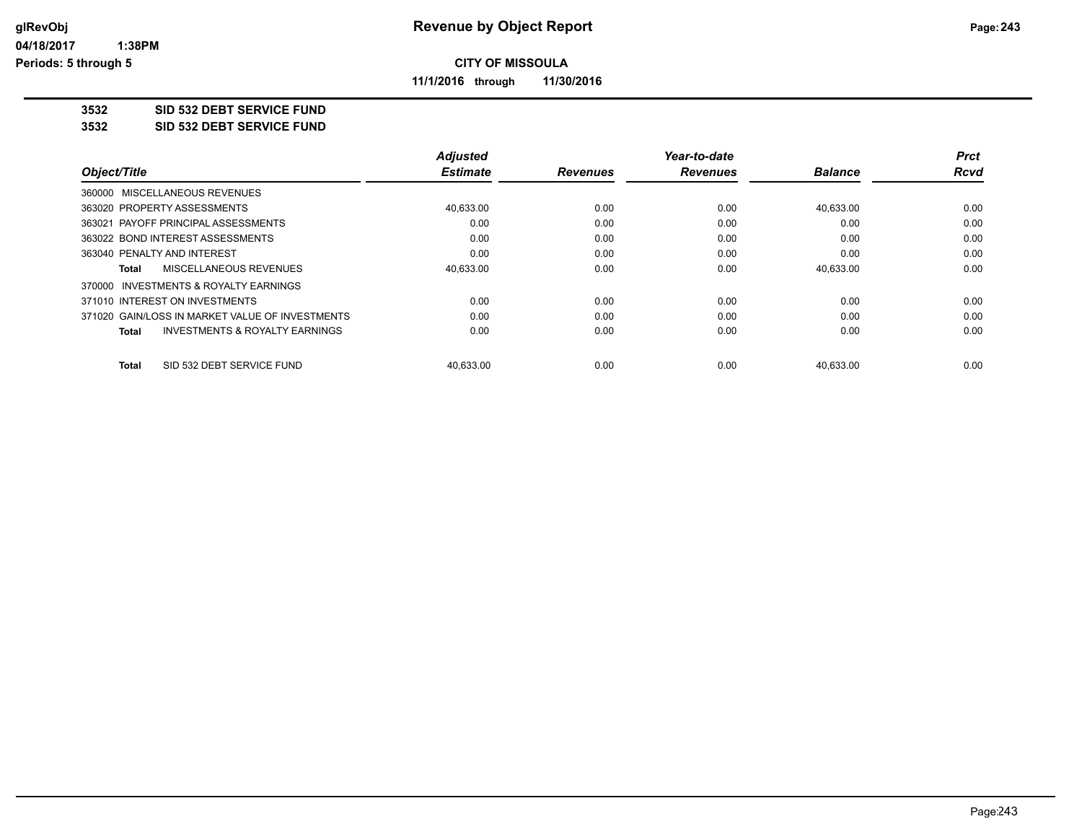**11/1/2016 through 11/30/2016**

**3532 SID 532 DEBT SERVICE FUND**

**3532 SID 532 DEBT SERVICE FUND**

|                                                    | <b>Adjusted</b> |                 | Year-to-date    |                | <b>Prct</b> |
|----------------------------------------------------|-----------------|-----------------|-----------------|----------------|-------------|
| Object/Title                                       | <b>Estimate</b> | <b>Revenues</b> | <b>Revenues</b> | <b>Balance</b> | Rcvd        |
| 360000 MISCELLANEOUS REVENUES                      |                 |                 |                 |                |             |
| 363020 PROPERTY ASSESSMENTS                        | 40,633.00       | 0.00            | 0.00            | 40,633.00      | 0.00        |
| 363021 PAYOFF PRINCIPAL ASSESSMENTS                | 0.00            | 0.00            | 0.00            | 0.00           | 0.00        |
| 363022 BOND INTEREST ASSESSMENTS                   | 0.00            | 0.00            | 0.00            | 0.00           | 0.00        |
| 363040 PENALTY AND INTEREST                        | 0.00            | 0.00            | 0.00            | 0.00           | 0.00        |
| MISCELLANEOUS REVENUES<br>Total                    | 40,633.00       | 0.00            | 0.00            | 40.633.00      | 0.00        |
| 370000 INVESTMENTS & ROYALTY EARNINGS              |                 |                 |                 |                |             |
| 371010 INTEREST ON INVESTMENTS                     | 0.00            | 0.00            | 0.00            | 0.00           | 0.00        |
| 371020 GAIN/LOSS IN MARKET VALUE OF INVESTMENTS    | 0.00            | 0.00            | 0.00            | 0.00           | 0.00        |
| <b>INVESTMENTS &amp; ROYALTY EARNINGS</b><br>Total | 0.00            | 0.00            | 0.00            | 0.00           | 0.00        |
| SID 532 DEBT SERVICE FUND<br>Total                 | 40.633.00       | 0.00            | 0.00            | 40.633.00      | 0.00        |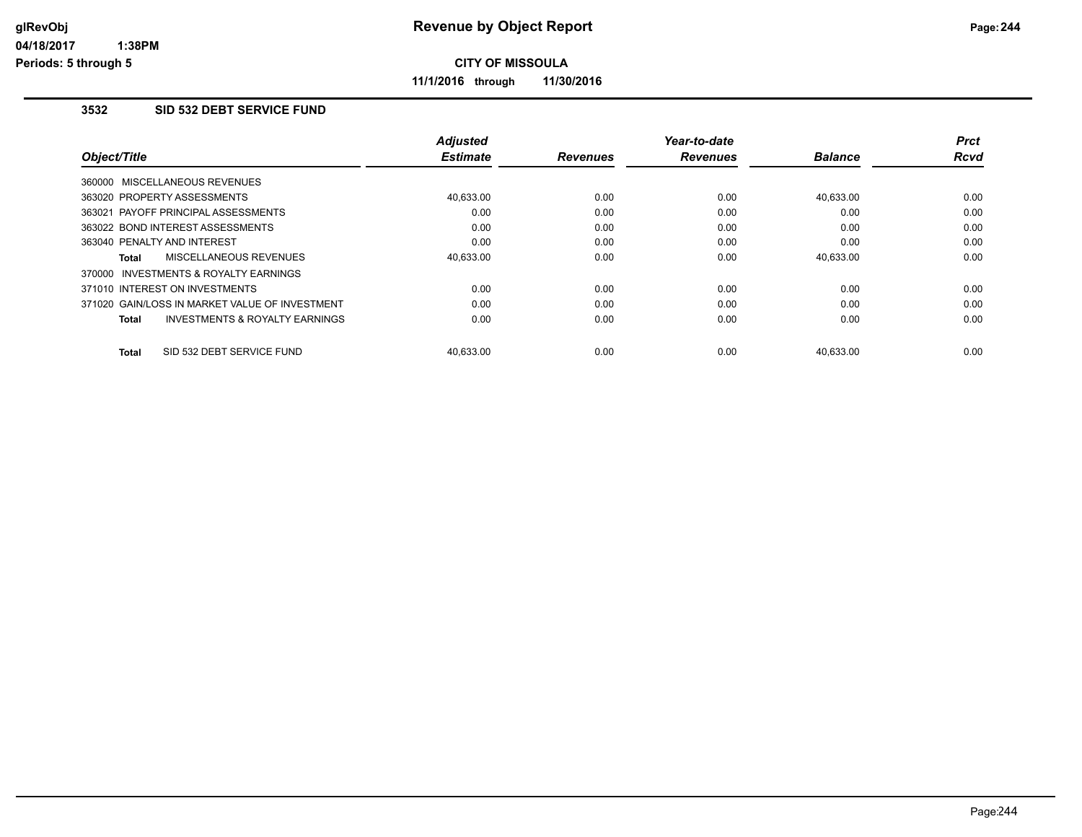**11/1/2016 through 11/30/2016**

#### **3532 SID 532 DEBT SERVICE FUND**

| Object/Title                                   | <b>Adjusted</b><br><b>Estimate</b> | <b>Revenues</b> | Year-to-date<br><b>Revenues</b> | <b>Balance</b> | <b>Prct</b><br><b>Rcvd</b> |
|------------------------------------------------|------------------------------------|-----------------|---------------------------------|----------------|----------------------------|
| 360000 MISCELLANEOUS REVENUES                  |                                    |                 |                                 |                |                            |
| 363020 PROPERTY ASSESSMENTS                    | 40.633.00                          | 0.00            | 0.00                            | 40.633.00      | 0.00                       |
| 363021 PAYOFF PRINCIPAL ASSESSMENTS            | 0.00                               | 0.00            | 0.00                            | 0.00           | 0.00                       |
| 363022 BOND INTEREST ASSESSMENTS               | 0.00                               | 0.00            | 0.00                            | 0.00           | 0.00                       |
| 363040 PENALTY AND INTEREST                    | 0.00                               | 0.00            | 0.00                            | 0.00           | 0.00                       |
| MISCELLANEOUS REVENUES<br><b>Total</b>         | 40,633.00                          | 0.00            | 0.00                            | 40,633.00      | 0.00                       |
| 370000 INVESTMENTS & ROYALTY EARNINGS          |                                    |                 |                                 |                |                            |
| 371010 INTEREST ON INVESTMENTS                 | 0.00                               | 0.00            | 0.00                            | 0.00           | 0.00                       |
| 371020 GAIN/LOSS IN MARKET VALUE OF INVESTMENT | 0.00                               | 0.00            | 0.00                            | 0.00           | 0.00                       |
| INVESTMENTS & ROYALTY EARNINGS<br><b>Total</b> | 0.00                               | 0.00            | 0.00                            | 0.00           | 0.00                       |
|                                                |                                    |                 |                                 |                |                            |
| SID 532 DEBT SERVICE FUND<br><b>Total</b>      | 40.633.00                          | 0.00            | 0.00                            | 40.633.00      | 0.00                       |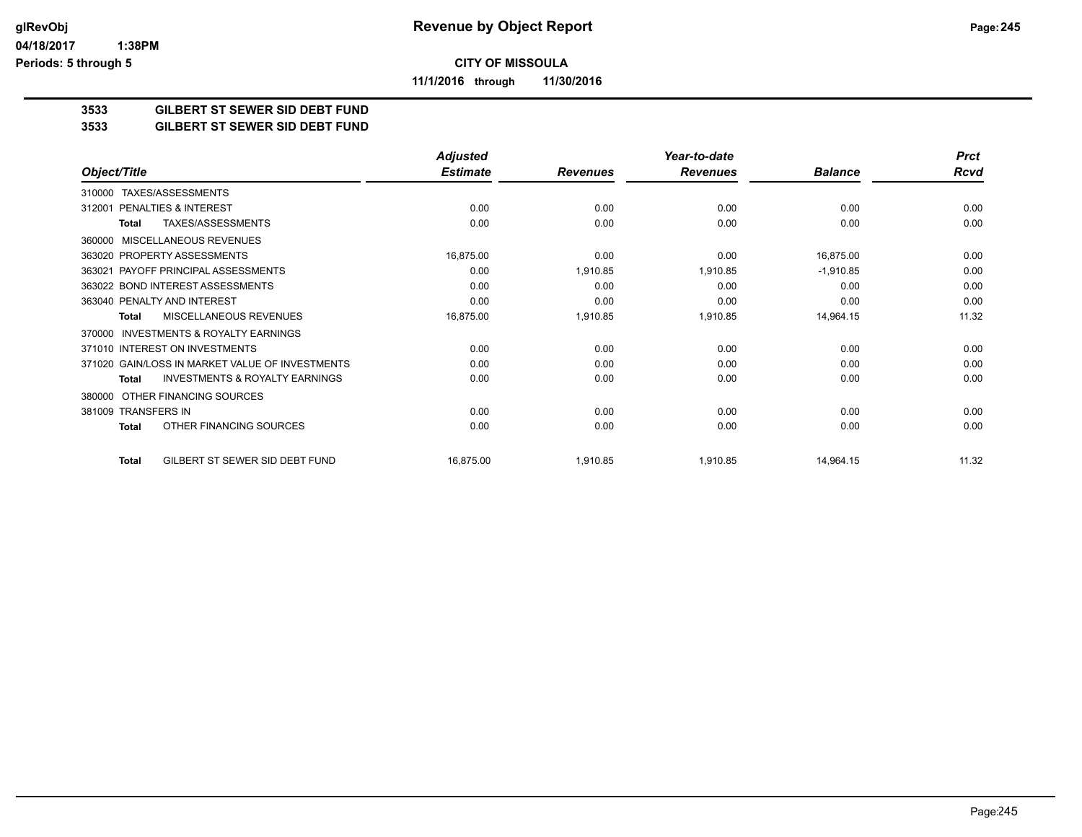**11/1/2016 through 11/30/2016**

#### **3533 GILBERT ST SEWER SID DEBT FUND 3533 GILBERT ST SEWER SID DEBT FUND**

|                                                           | <b>Adjusted</b> |                 | Year-to-date    |                | <b>Prct</b> |
|-----------------------------------------------------------|-----------------|-----------------|-----------------|----------------|-------------|
| Object/Title                                              | <b>Estimate</b> | <b>Revenues</b> | <b>Revenues</b> | <b>Balance</b> | <b>Rcvd</b> |
| TAXES/ASSESSMENTS<br>310000                               |                 |                 |                 |                |             |
| <b>PENALTIES &amp; INTEREST</b><br>312001                 | 0.00            | 0.00            | 0.00            | 0.00           | 0.00        |
| TAXES/ASSESSMENTS<br><b>Total</b>                         | 0.00            | 0.00            | 0.00            | 0.00           | 0.00        |
| MISCELLANEOUS REVENUES<br>360000                          |                 |                 |                 |                |             |
| 363020 PROPERTY ASSESSMENTS                               | 16,875.00       | 0.00            | 0.00            | 16,875.00      | 0.00        |
| 363021 PAYOFF PRINCIPAL ASSESSMENTS                       | 0.00            | 1,910.85        | 1,910.85        | $-1,910.85$    | 0.00        |
| 363022 BOND INTEREST ASSESSMENTS                          | 0.00            | 0.00            | 0.00            | 0.00           | 0.00        |
| 363040 PENALTY AND INTEREST                               | 0.00            | 0.00            | 0.00            | 0.00           | 0.00        |
| <b>MISCELLANEOUS REVENUES</b><br><b>Total</b>             | 16,875.00       | 1,910.85        | 1,910.85        | 14,964.15      | 11.32       |
| <b>INVESTMENTS &amp; ROYALTY EARNINGS</b><br>370000       |                 |                 |                 |                |             |
| 371010 INTEREST ON INVESTMENTS                            | 0.00            | 0.00            | 0.00            | 0.00           | 0.00        |
| 371020 GAIN/LOSS IN MARKET VALUE OF INVESTMENTS           | 0.00            | 0.00            | 0.00            | 0.00           | 0.00        |
| <b>INVESTMENTS &amp; ROYALTY EARNINGS</b><br><b>Total</b> | 0.00            | 0.00            | 0.00            | 0.00           | 0.00        |
| OTHER FINANCING SOURCES<br>380000                         |                 |                 |                 |                |             |
| 381009 TRANSFERS IN                                       | 0.00            | 0.00            | 0.00            | 0.00           | 0.00        |
| OTHER FINANCING SOURCES<br>Total                          | 0.00            | 0.00            | 0.00            | 0.00           | 0.00        |
| GILBERT ST SEWER SID DEBT FUND<br><b>Total</b>            | 16,875.00       | 1,910.85        | 1,910.85        | 14,964.15      | 11.32       |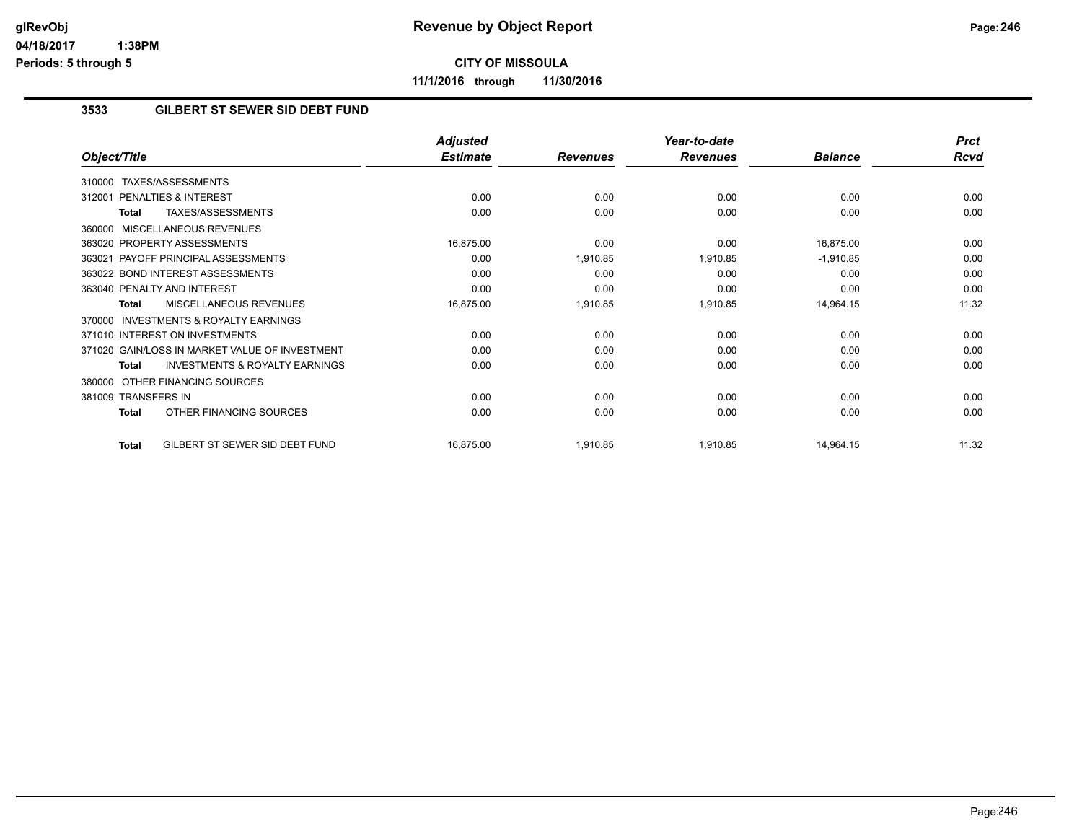**11/1/2016 through 11/30/2016**

#### **3533 GILBERT ST SEWER SID DEBT FUND**

|                                                     | <b>Adjusted</b> |                 | Year-to-date    |                | <b>Prct</b> |
|-----------------------------------------------------|-----------------|-----------------|-----------------|----------------|-------------|
| Object/Title                                        | <b>Estimate</b> | <b>Revenues</b> | <b>Revenues</b> | <b>Balance</b> | <b>Rcvd</b> |
| TAXES/ASSESSMENTS<br>310000                         |                 |                 |                 |                |             |
| PENALTIES & INTEREST<br>312001                      | 0.00            | 0.00            | 0.00            | 0.00           | 0.00        |
| TAXES/ASSESSMENTS<br><b>Total</b>                   | 0.00            | 0.00            | 0.00            | 0.00           | 0.00        |
| 360000 MISCELLANEOUS REVENUES                       |                 |                 |                 |                |             |
| 363020 PROPERTY ASSESSMENTS                         | 16,875.00       | 0.00            | 0.00            | 16,875.00      | 0.00        |
| PAYOFF PRINCIPAL ASSESSMENTS<br>363021              | 0.00            | 1,910.85        | 1,910.85        | $-1,910.85$    | 0.00        |
| 363022 BOND INTEREST ASSESSMENTS                    | 0.00            | 0.00            | 0.00            | 0.00           | 0.00        |
| 363040 PENALTY AND INTEREST                         | 0.00            | 0.00            | 0.00            | 0.00           | 0.00        |
| MISCELLANEOUS REVENUES<br>Total                     | 16,875.00       | 1,910.85        | 1,910.85        | 14,964.15      | 11.32       |
| <b>INVESTMENTS &amp; ROYALTY EARNINGS</b><br>370000 |                 |                 |                 |                |             |
| 371010 INTEREST ON INVESTMENTS                      | 0.00            | 0.00            | 0.00            | 0.00           | 0.00        |
| 371020 GAIN/LOSS IN MARKET VALUE OF INVESTMENT      | 0.00            | 0.00            | 0.00            | 0.00           | 0.00        |
| <b>INVESTMENTS &amp; ROYALTY EARNINGS</b><br>Total  | 0.00            | 0.00            | 0.00            | 0.00           | 0.00        |
| 380000 OTHER FINANCING SOURCES                      |                 |                 |                 |                |             |
| 381009 TRANSFERS IN                                 | 0.00            | 0.00            | 0.00            | 0.00           | 0.00        |
| OTHER FINANCING SOURCES<br><b>Total</b>             | 0.00            | 0.00            | 0.00            | 0.00           | 0.00        |
| GILBERT ST SEWER SID DEBT FUND<br><b>Total</b>      | 16,875.00       | 1,910.85        | 1,910.85        | 14,964.15      | 11.32       |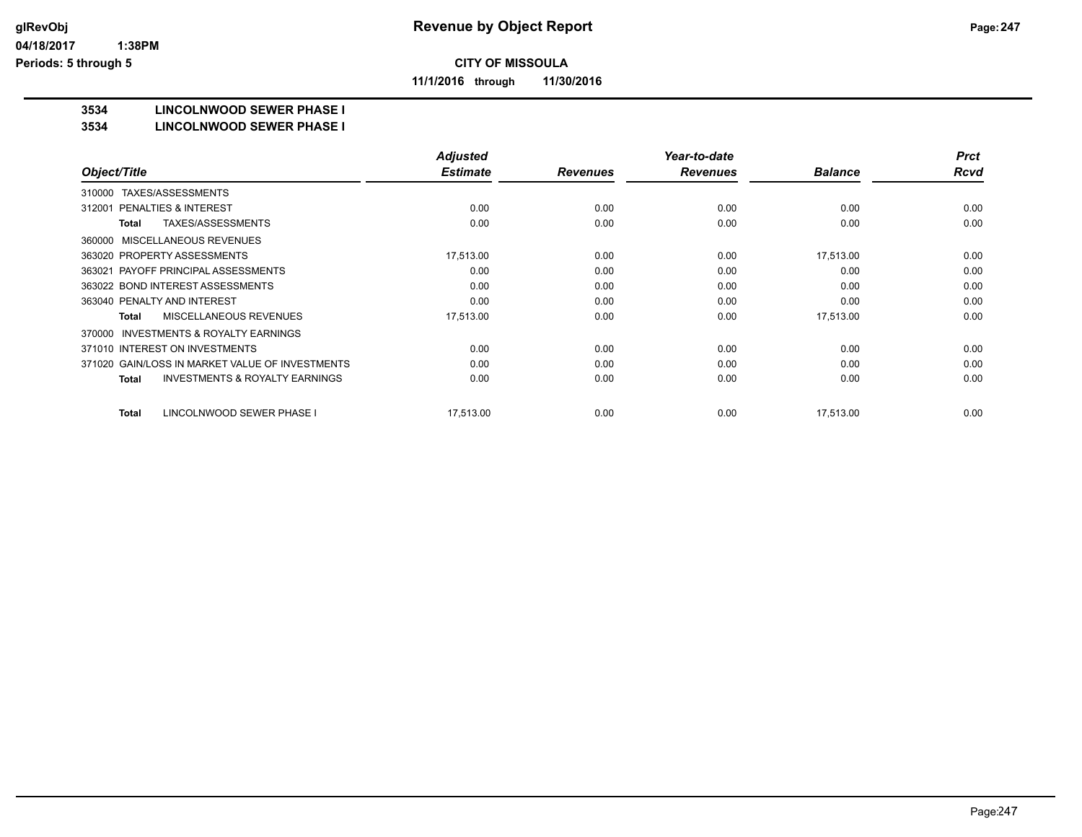**11/1/2016 through 11/30/2016**

**3534 LINCOLNWOOD SEWER PHASE I**

|                                                    | <b>Adjusted</b> |                 | Year-to-date    |                | <b>Prct</b> |
|----------------------------------------------------|-----------------|-----------------|-----------------|----------------|-------------|
| Object/Title                                       | <b>Estimate</b> | <b>Revenues</b> | <b>Revenues</b> | <b>Balance</b> | <b>Rcvd</b> |
| 310000 TAXES/ASSESSMENTS                           |                 |                 |                 |                |             |
| <b>PENALTIES &amp; INTEREST</b><br>312001          | 0.00            | 0.00            | 0.00            | 0.00           | 0.00        |
| TAXES/ASSESSMENTS<br>Total                         | 0.00            | 0.00            | 0.00            | 0.00           | 0.00        |
| 360000 MISCELLANEOUS REVENUES                      |                 |                 |                 |                |             |
| 363020 PROPERTY ASSESSMENTS                        | 17,513.00       | 0.00            | 0.00            | 17,513.00      | 0.00        |
| PAYOFF PRINCIPAL ASSESSMENTS<br>363021             | 0.00            | 0.00            | 0.00            | 0.00           | 0.00        |
| 363022 BOND INTEREST ASSESSMENTS                   | 0.00            | 0.00            | 0.00            | 0.00           | 0.00        |
| 363040 PENALTY AND INTEREST                        | 0.00            | 0.00            | 0.00            | 0.00           | 0.00        |
| <b>MISCELLANEOUS REVENUES</b><br>Total             | 17,513.00       | 0.00            | 0.00            | 17,513.00      | 0.00        |
| 370000 INVESTMENTS & ROYALTY EARNINGS              |                 |                 |                 |                |             |
| 371010 INTEREST ON INVESTMENTS                     | 0.00            | 0.00            | 0.00            | 0.00           | 0.00        |
| 371020 GAIN/LOSS IN MARKET VALUE OF INVESTMENTS    | 0.00            | 0.00            | 0.00            | 0.00           | 0.00        |
| <b>INVESTMENTS &amp; ROYALTY EARNINGS</b><br>Total | 0.00            | 0.00            | 0.00            | 0.00           | 0.00        |
| LINCOLNWOOD SEWER PHASE I<br><b>Total</b>          | 17,513.00       | 0.00            | 0.00            | 17,513.00      | 0.00        |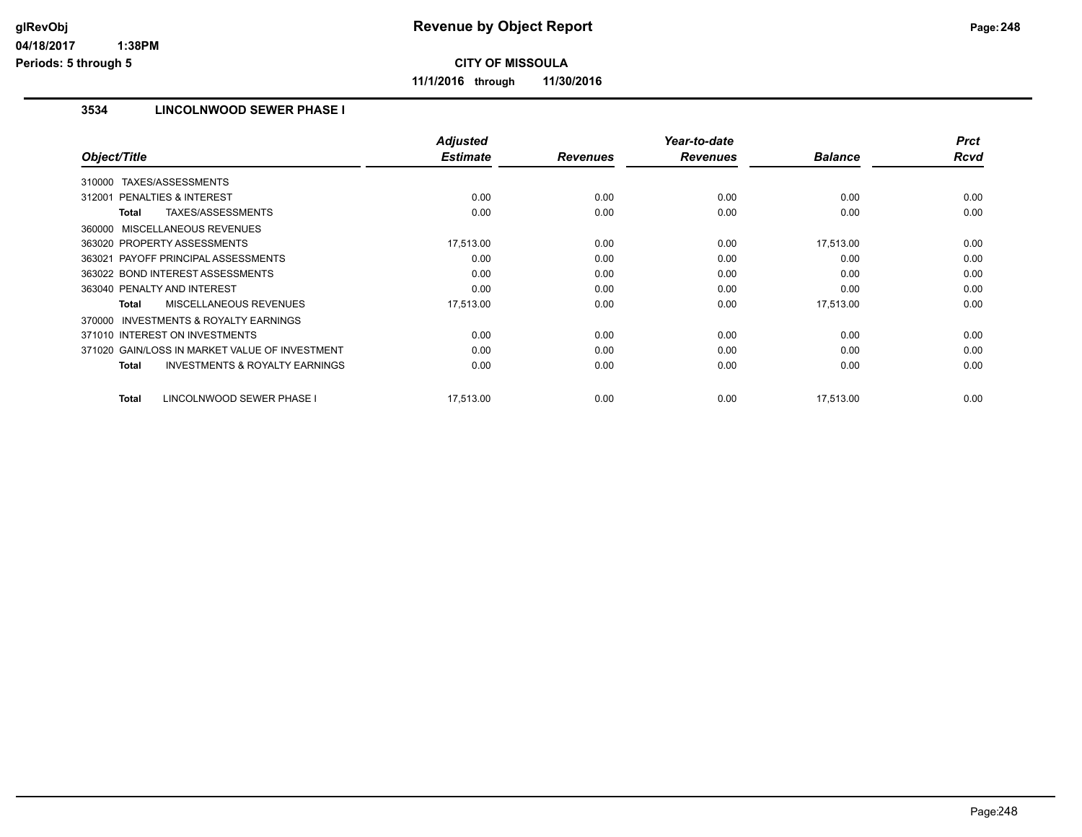**11/1/2016 through 11/30/2016**

#### **3534 LINCOLNWOOD SEWER PHASE I**

| Object/Title                                        | <b>Adjusted</b><br><b>Estimate</b> | <b>Revenues</b> | Year-to-date<br><b>Revenues</b> | <b>Balance</b> | <b>Prct</b><br>Rcvd |
|-----------------------------------------------------|------------------------------------|-----------------|---------------------------------|----------------|---------------------|
|                                                     |                                    |                 |                                 |                |                     |
| TAXES/ASSESSMENTS<br>310000                         |                                    |                 |                                 |                |                     |
| 312001 PENALTIES & INTEREST                         | 0.00                               | 0.00            | 0.00                            | 0.00           | 0.00                |
| TAXES/ASSESSMENTS<br>Total                          | 0.00                               | 0.00            | 0.00                            | 0.00           | 0.00                |
| MISCELLANEOUS REVENUES<br>360000                    |                                    |                 |                                 |                |                     |
| 363020 PROPERTY ASSESSMENTS                         | 17,513.00                          | 0.00            | 0.00                            | 17,513.00      | 0.00                |
| 363021 PAYOFF PRINCIPAL ASSESSMENTS                 | 0.00                               | 0.00            | 0.00                            | 0.00           | 0.00                |
| 363022 BOND INTEREST ASSESSMENTS                    | 0.00                               | 0.00            | 0.00                            | 0.00           | 0.00                |
| 363040 PENALTY AND INTEREST                         | 0.00                               | 0.00            | 0.00                            | 0.00           | 0.00                |
| MISCELLANEOUS REVENUES<br>Total                     | 17,513.00                          | 0.00            | 0.00                            | 17,513.00      | 0.00                |
| <b>INVESTMENTS &amp; ROYALTY EARNINGS</b><br>370000 |                                    |                 |                                 |                |                     |
| 371010 INTEREST ON INVESTMENTS                      | 0.00                               | 0.00            | 0.00                            | 0.00           | 0.00                |
| 371020 GAIN/LOSS IN MARKET VALUE OF INVESTMENT      | 0.00                               | 0.00            | 0.00                            | 0.00           | 0.00                |
| <b>INVESTMENTS &amp; ROYALTY EARNINGS</b><br>Total  | 0.00                               | 0.00            | 0.00                            | 0.00           | 0.00                |
| LINCOLNWOOD SEWER PHASE I<br>Total                  | 17.513.00                          | 0.00            | 0.00                            | 17.513.00      | 0.00                |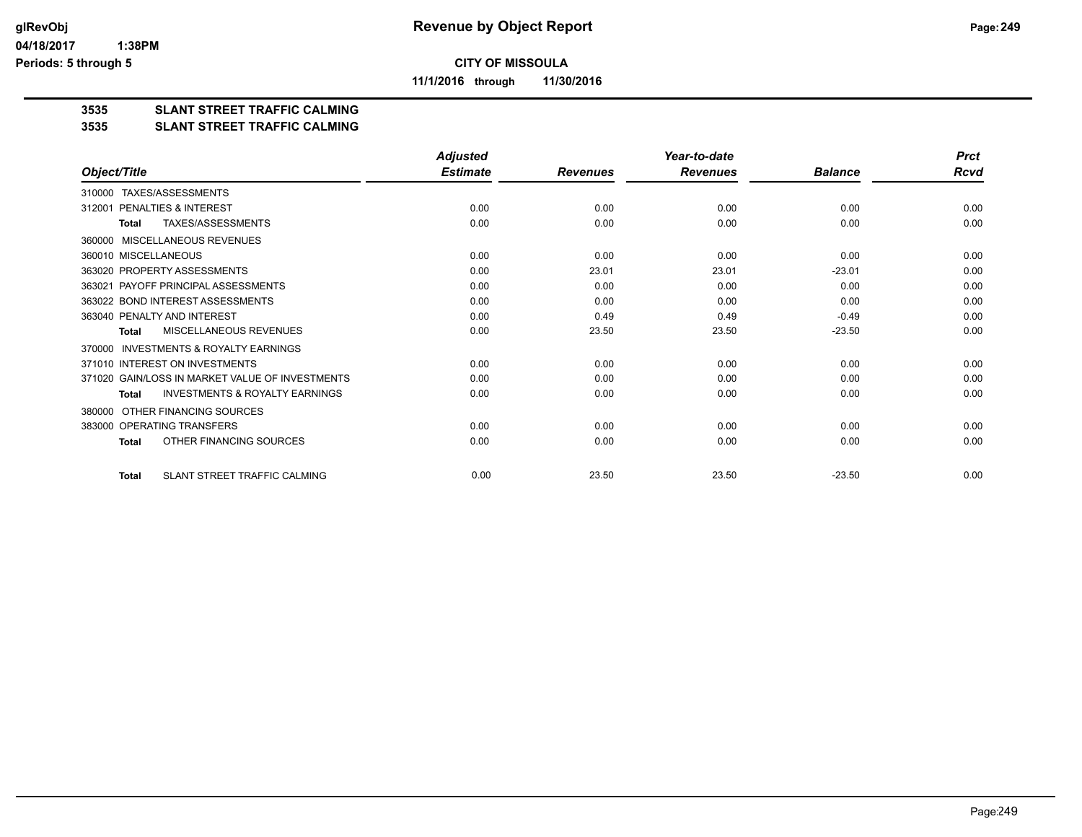**11/1/2016 through 11/30/2016**

## **3535 SLANT STREET TRAFFIC CALMING**

## **3535 SLANT STREET TRAFFIC CALMING**

|                                                           | <b>Adjusted</b> |                 | Year-to-date    |                | <b>Prct</b> |
|-----------------------------------------------------------|-----------------|-----------------|-----------------|----------------|-------------|
| Object/Title                                              | <b>Estimate</b> | <b>Revenues</b> | <b>Revenues</b> | <b>Balance</b> | <b>Rcvd</b> |
| TAXES/ASSESSMENTS<br>310000                               |                 |                 |                 |                |             |
| PENALTIES & INTEREST<br>312001                            | 0.00            | 0.00            | 0.00            | 0.00           | 0.00        |
| TAXES/ASSESSMENTS<br><b>Total</b>                         | 0.00            | 0.00            | 0.00            | 0.00           | 0.00        |
| 360000 MISCELLANEOUS REVENUES                             |                 |                 |                 |                |             |
| 360010 MISCELLANEOUS                                      | 0.00            | 0.00            | 0.00            | 0.00           | 0.00        |
| 363020 PROPERTY ASSESSMENTS                               | 0.00            | 23.01           | 23.01           | $-23.01$       | 0.00        |
| 363021 PAYOFF PRINCIPAL ASSESSMENTS                       | 0.00            | 0.00            | 0.00            | 0.00           | 0.00        |
| 363022 BOND INTEREST ASSESSMENTS                          | 0.00            | 0.00            | 0.00            | 0.00           | 0.00        |
| 363040 PENALTY AND INTEREST                               | 0.00            | 0.49            | 0.49            | $-0.49$        | 0.00        |
| MISCELLANEOUS REVENUES<br><b>Total</b>                    | 0.00            | 23.50           | 23.50           | $-23.50$       | 0.00        |
| <b>INVESTMENTS &amp; ROYALTY EARNINGS</b><br>370000       |                 |                 |                 |                |             |
| 371010 INTEREST ON INVESTMENTS                            | 0.00            | 0.00            | 0.00            | 0.00           | 0.00        |
| 371020 GAIN/LOSS IN MARKET VALUE OF INVESTMENTS           | 0.00            | 0.00            | 0.00            | 0.00           | 0.00        |
| <b>INVESTMENTS &amp; ROYALTY EARNINGS</b><br><b>Total</b> | 0.00            | 0.00            | 0.00            | 0.00           | 0.00        |
| OTHER FINANCING SOURCES<br>380000                         |                 |                 |                 |                |             |
| 383000 OPERATING TRANSFERS                                | 0.00            | 0.00            | 0.00            | 0.00           | 0.00        |
| OTHER FINANCING SOURCES<br><b>Total</b>                   | 0.00            | 0.00            | 0.00            | 0.00           | 0.00        |
| SLANT STREET TRAFFIC CALMING<br><b>Total</b>              | 0.00            | 23.50           | 23.50           | $-23.50$       | 0.00        |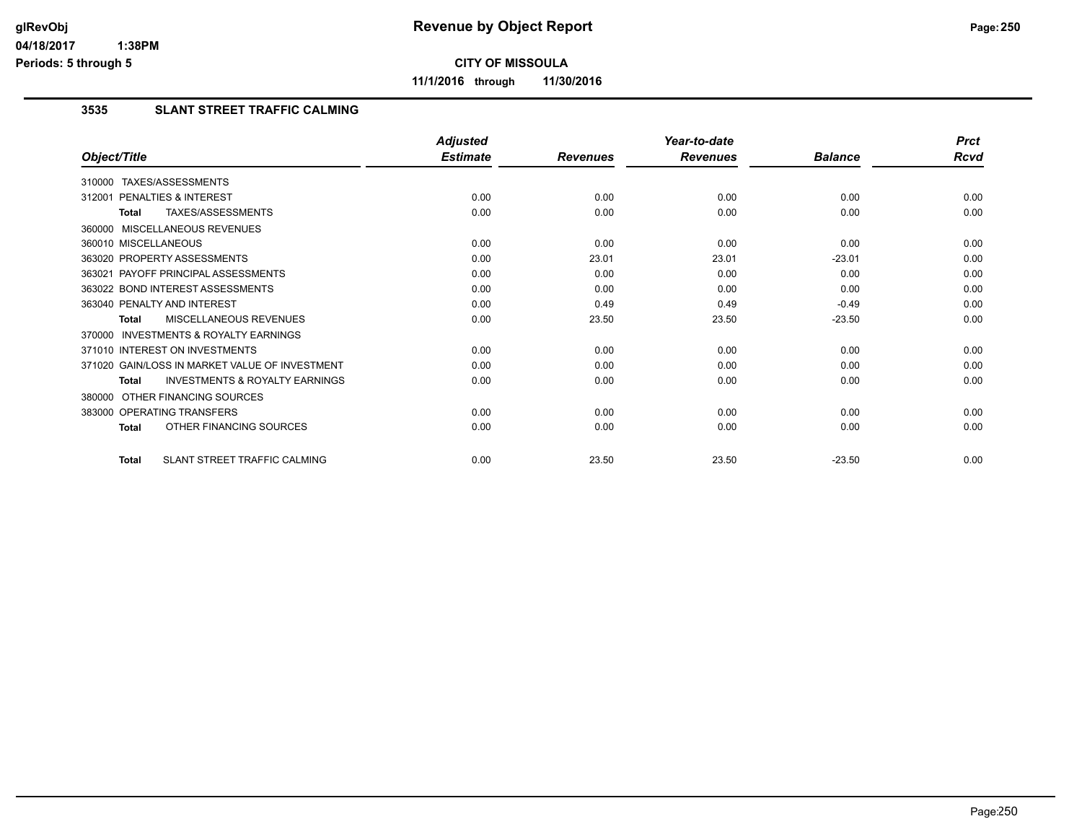**11/1/2016 through 11/30/2016**

#### **3535 SLANT STREET TRAFFIC CALMING**

|                                                           | <b>Adjusted</b> |                 | Year-to-date    |                | <b>Prct</b> |
|-----------------------------------------------------------|-----------------|-----------------|-----------------|----------------|-------------|
| Object/Title                                              | <b>Estimate</b> | <b>Revenues</b> | <b>Revenues</b> | <b>Balance</b> | <b>Rcvd</b> |
| 310000 TAXES/ASSESSMENTS                                  |                 |                 |                 |                |             |
| PENALTIES & INTEREST<br>312001                            | 0.00            | 0.00            | 0.00            | 0.00           | 0.00        |
| TAXES/ASSESSMENTS<br><b>Total</b>                         | 0.00            | 0.00            | 0.00            | 0.00           | 0.00        |
| 360000 MISCELLANEOUS REVENUES                             |                 |                 |                 |                |             |
| 360010 MISCELLANEOUS                                      | 0.00            | 0.00            | 0.00            | 0.00           | 0.00        |
| 363020 PROPERTY ASSESSMENTS                               | 0.00            | 23.01           | 23.01           | $-23.01$       | 0.00        |
| 363021 PAYOFF PRINCIPAL ASSESSMENTS                       | 0.00            | 0.00            | 0.00            | 0.00           | 0.00        |
| 363022 BOND INTEREST ASSESSMENTS                          | 0.00            | 0.00            | 0.00            | 0.00           | 0.00        |
| 363040 PENALTY AND INTEREST                               | 0.00            | 0.49            | 0.49            | $-0.49$        | 0.00        |
| MISCELLANEOUS REVENUES<br><b>Total</b>                    | 0.00            | 23.50           | 23.50           | $-23.50$       | 0.00        |
| <b>INVESTMENTS &amp; ROYALTY EARNINGS</b><br>370000       |                 |                 |                 |                |             |
| 371010 INTEREST ON INVESTMENTS                            | 0.00            | 0.00            | 0.00            | 0.00           | 0.00        |
| 371020 GAIN/LOSS IN MARKET VALUE OF INVESTMENT            | 0.00            | 0.00            | 0.00            | 0.00           | 0.00        |
| <b>INVESTMENTS &amp; ROYALTY EARNINGS</b><br><b>Total</b> | 0.00            | 0.00            | 0.00            | 0.00           | 0.00        |
| 380000 OTHER FINANCING SOURCES                            |                 |                 |                 |                |             |
| 383000 OPERATING TRANSFERS                                | 0.00            | 0.00            | 0.00            | 0.00           | 0.00        |
| OTHER FINANCING SOURCES<br><b>Total</b>                   | 0.00            | 0.00            | 0.00            | 0.00           | 0.00        |
| SLANT STREET TRAFFIC CALMING<br><b>Total</b>              | 0.00            | 23.50           | 23.50           | $-23.50$       | 0.00        |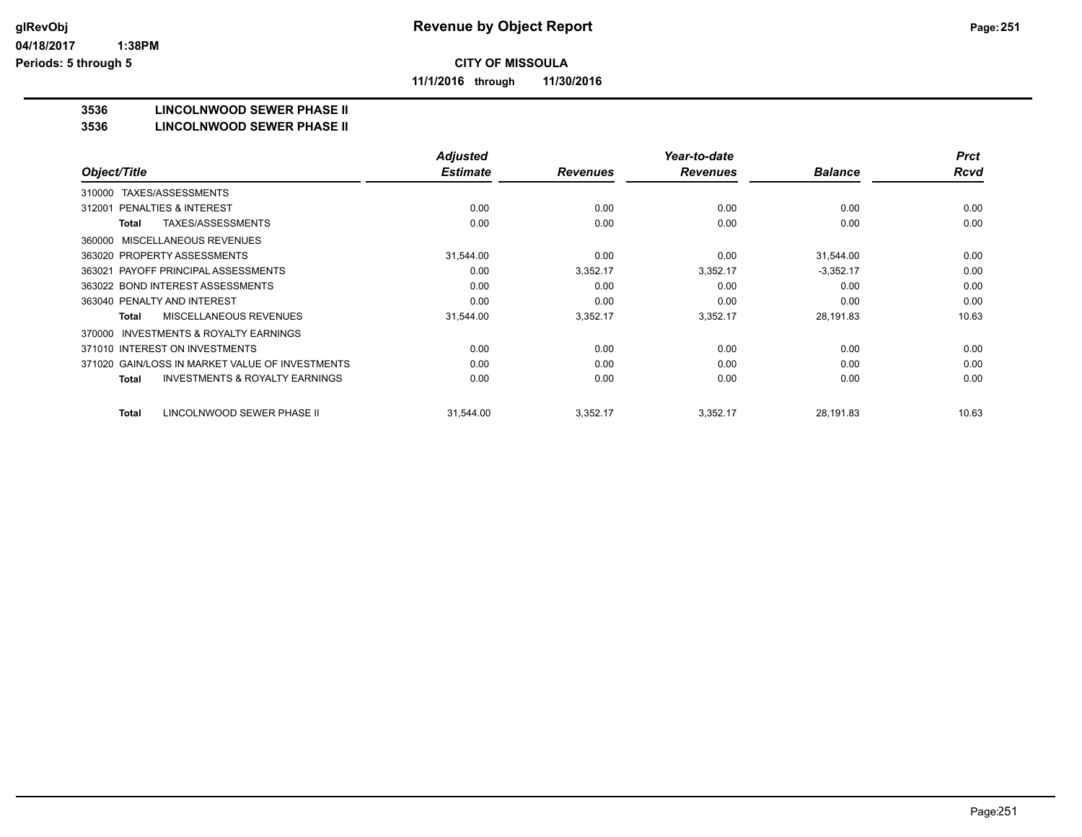**11/1/2016 through 11/30/2016**

## **3536 LINCOLNWOOD SEWER PHASE II**

## **3536 LINCOLNWOOD SEWER PHASE II**

|                                                           | <b>Adjusted</b> |                 | Year-to-date    |                | <b>Prct</b> |
|-----------------------------------------------------------|-----------------|-----------------|-----------------|----------------|-------------|
| Object/Title                                              | <b>Estimate</b> | <b>Revenues</b> | <b>Revenues</b> | <b>Balance</b> | <b>Rcvd</b> |
| TAXES/ASSESSMENTS<br>310000                               |                 |                 |                 |                |             |
| 312001 PENALTIES & INTEREST                               | 0.00            | 0.00            | 0.00            | 0.00           | 0.00        |
| TAXES/ASSESSMENTS<br><b>Total</b>                         | 0.00            | 0.00            | 0.00            | 0.00           | 0.00        |
| MISCELLANEOUS REVENUES<br>360000                          |                 |                 |                 |                |             |
| 363020 PROPERTY ASSESSMENTS                               | 31,544.00       | 0.00            | 0.00            | 31,544.00      | 0.00        |
| 363021 PAYOFF PRINCIPAL ASSESSMENTS                       | 0.00            | 3,352.17        | 3,352.17        | $-3,352.17$    | 0.00        |
| 363022 BOND INTEREST ASSESSMENTS                          | 0.00            | 0.00            | 0.00            | 0.00           | 0.00        |
| 363040 PENALTY AND INTEREST                               | 0.00            | 0.00            | 0.00            | 0.00           | 0.00        |
| MISCELLANEOUS REVENUES<br><b>Total</b>                    | 31,544.00       | 3,352.17        | 3,352.17        | 28,191.83      | 10.63       |
| <b>INVESTMENTS &amp; ROYALTY EARNINGS</b><br>370000       |                 |                 |                 |                |             |
| 371010 INTEREST ON INVESTMENTS                            | 0.00            | 0.00            | 0.00            | 0.00           | 0.00        |
| 371020 GAIN/LOSS IN MARKET VALUE OF INVESTMENTS           | 0.00            | 0.00            | 0.00            | 0.00           | 0.00        |
| <b>INVESTMENTS &amp; ROYALTY EARNINGS</b><br><b>Total</b> | 0.00            | 0.00            | 0.00            | 0.00           | 0.00        |
| LINCOLNWOOD SEWER PHASE II<br><b>Total</b>                | 31.544.00       | 3.352.17        | 3.352.17        | 28,191.83      | 10.63       |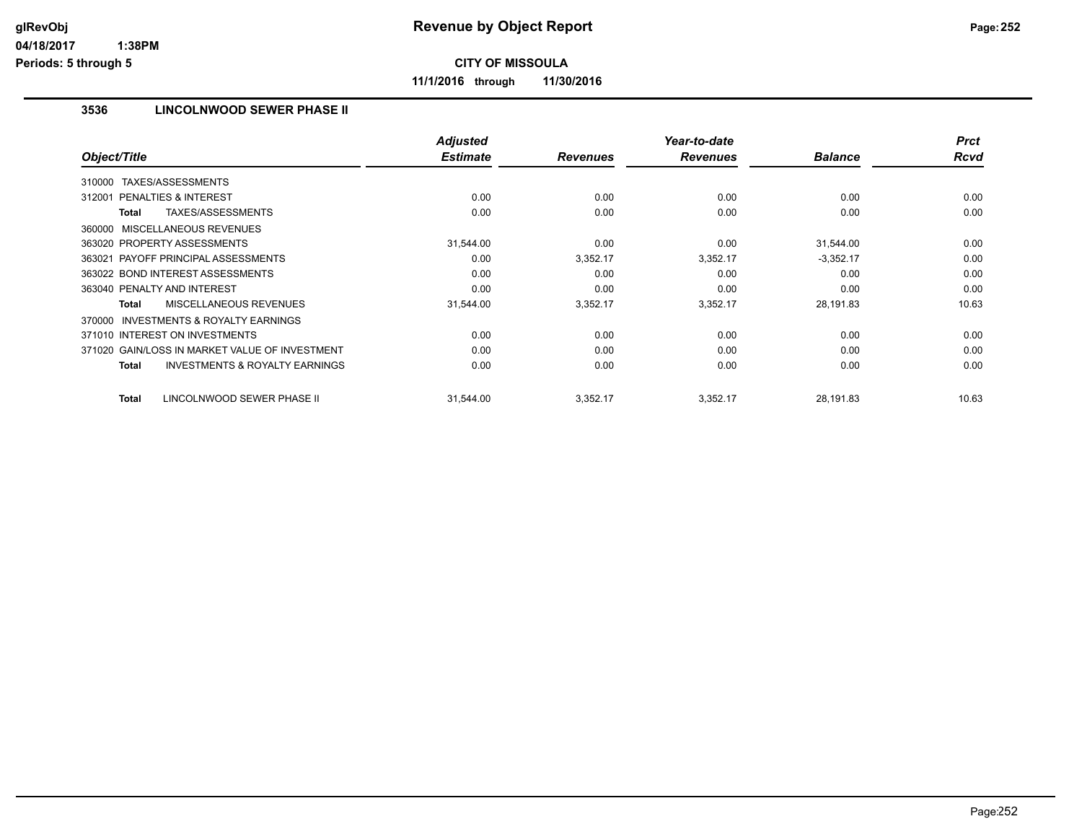**11/1/2016 through 11/30/2016**

#### **3536 LINCOLNWOOD SEWER PHASE II**

| Object/Title                                              | <b>Adjusted</b><br><b>Estimate</b> |                 | Year-to-date<br><b>Revenues</b> | <b>Balance</b> | <b>Prct</b><br><b>Rcvd</b> |
|-----------------------------------------------------------|------------------------------------|-----------------|---------------------------------|----------------|----------------------------|
|                                                           |                                    | <b>Revenues</b> |                                 |                |                            |
| TAXES/ASSESSMENTS<br>310000                               |                                    |                 |                                 |                |                            |
| 312001 PENALTIES & INTEREST                               | 0.00                               | 0.00            | 0.00                            | 0.00           | 0.00                       |
| TAXES/ASSESSMENTS<br>Total                                | 0.00                               | 0.00            | 0.00                            | 0.00           | 0.00                       |
| MISCELLANEOUS REVENUES<br>360000                          |                                    |                 |                                 |                |                            |
| 363020 PROPERTY ASSESSMENTS                               | 31,544.00                          | 0.00            | 0.00                            | 31,544.00      | 0.00                       |
| 363021 PAYOFF PRINCIPAL ASSESSMENTS                       | 0.00                               | 3,352.17        | 3,352.17                        | $-3,352.17$    | 0.00                       |
| 363022 BOND INTEREST ASSESSMENTS                          | 0.00                               | 0.00            | 0.00                            | 0.00           | 0.00                       |
| 363040 PENALTY AND INTEREST                               | 0.00                               | 0.00            | 0.00                            | 0.00           | 0.00                       |
| MISCELLANEOUS REVENUES<br>Total                           | 31,544.00                          | 3,352.17        | 3,352.17                        | 28,191.83      | 10.63                      |
| <b>INVESTMENTS &amp; ROYALTY EARNINGS</b><br>370000       |                                    |                 |                                 |                |                            |
| 371010 INTEREST ON INVESTMENTS                            | 0.00                               | 0.00            | 0.00                            | 0.00           | 0.00                       |
| 371020 GAIN/LOSS IN MARKET VALUE OF INVESTMENT            | 0.00                               | 0.00            | 0.00                            | 0.00           | 0.00                       |
| <b>INVESTMENTS &amp; ROYALTY EARNINGS</b><br><b>Total</b> | 0.00                               | 0.00            | 0.00                            | 0.00           | 0.00                       |
| LINCOLNWOOD SEWER PHASE II<br>Total                       | 31,544.00                          | 3,352.17        | 3,352.17                        | 28,191.83      | 10.63                      |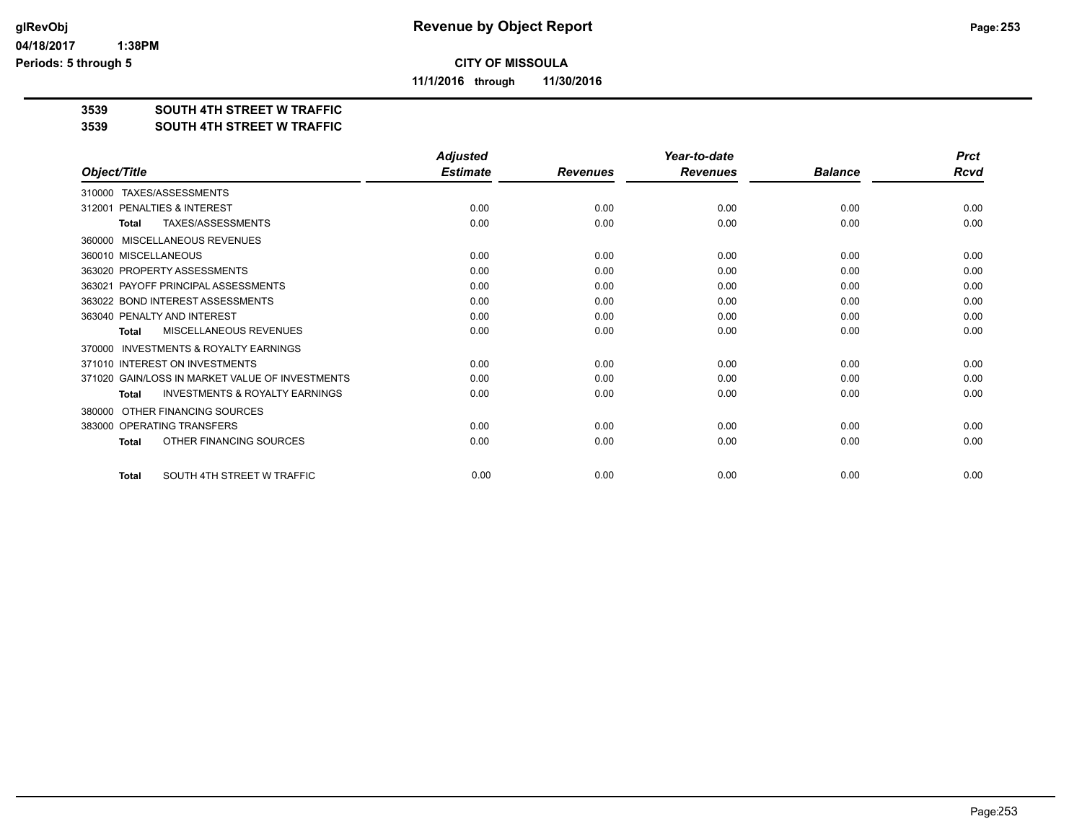**11/1/2016 through 11/30/2016**

## **3539 SOUTH 4TH STREET W TRAFFIC**

### **3539 SOUTH 4TH STREET W TRAFFIC**

|                                                     | <b>Adjusted</b> |                 | Year-to-date    |                | <b>Prct</b> |
|-----------------------------------------------------|-----------------|-----------------|-----------------|----------------|-------------|
| Object/Title                                        | <b>Estimate</b> | <b>Revenues</b> | <b>Revenues</b> | <b>Balance</b> | Rcvd        |
| TAXES/ASSESSMENTS<br>310000                         |                 |                 |                 |                |             |
| PENALTIES & INTEREST<br>312001                      | 0.00            | 0.00            | 0.00            | 0.00           | 0.00        |
| TAXES/ASSESSMENTS<br>Total                          | 0.00            | 0.00            | 0.00            | 0.00           | 0.00        |
| 360000 MISCELLANEOUS REVENUES                       |                 |                 |                 |                |             |
| 360010 MISCELLANEOUS                                | 0.00            | 0.00            | 0.00            | 0.00           | 0.00        |
| 363020 PROPERTY ASSESSMENTS                         | 0.00            | 0.00            | 0.00            | 0.00           | 0.00        |
| PAYOFF PRINCIPAL ASSESSMENTS<br>363021              | 0.00            | 0.00            | 0.00            | 0.00           | 0.00        |
| 363022 BOND INTEREST ASSESSMENTS                    | 0.00            | 0.00            | 0.00            | 0.00           | 0.00        |
| 363040 PENALTY AND INTEREST                         | 0.00            | 0.00            | 0.00            | 0.00           | 0.00        |
| MISCELLANEOUS REVENUES<br>Total                     | 0.00            | 0.00            | 0.00            | 0.00           | 0.00        |
| <b>INVESTMENTS &amp; ROYALTY EARNINGS</b><br>370000 |                 |                 |                 |                |             |
| 371010 INTEREST ON INVESTMENTS                      | 0.00            | 0.00            | 0.00            | 0.00           | 0.00        |
| 371020 GAIN/LOSS IN MARKET VALUE OF INVESTMENTS     | 0.00            | 0.00            | 0.00            | 0.00           | 0.00        |
| <b>INVESTMENTS &amp; ROYALTY EARNINGS</b><br>Total  | 0.00            | 0.00            | 0.00            | 0.00           | 0.00        |
| OTHER FINANCING SOURCES<br>380000                   |                 |                 |                 |                |             |
| 383000 OPERATING TRANSFERS                          | 0.00            | 0.00            | 0.00            | 0.00           | 0.00        |
| OTHER FINANCING SOURCES<br><b>Total</b>             | 0.00            | 0.00            | 0.00            | 0.00           | 0.00        |
| SOUTH 4TH STREET W TRAFFIC<br>Total                 | 0.00            | 0.00            | 0.00            | 0.00           | 0.00        |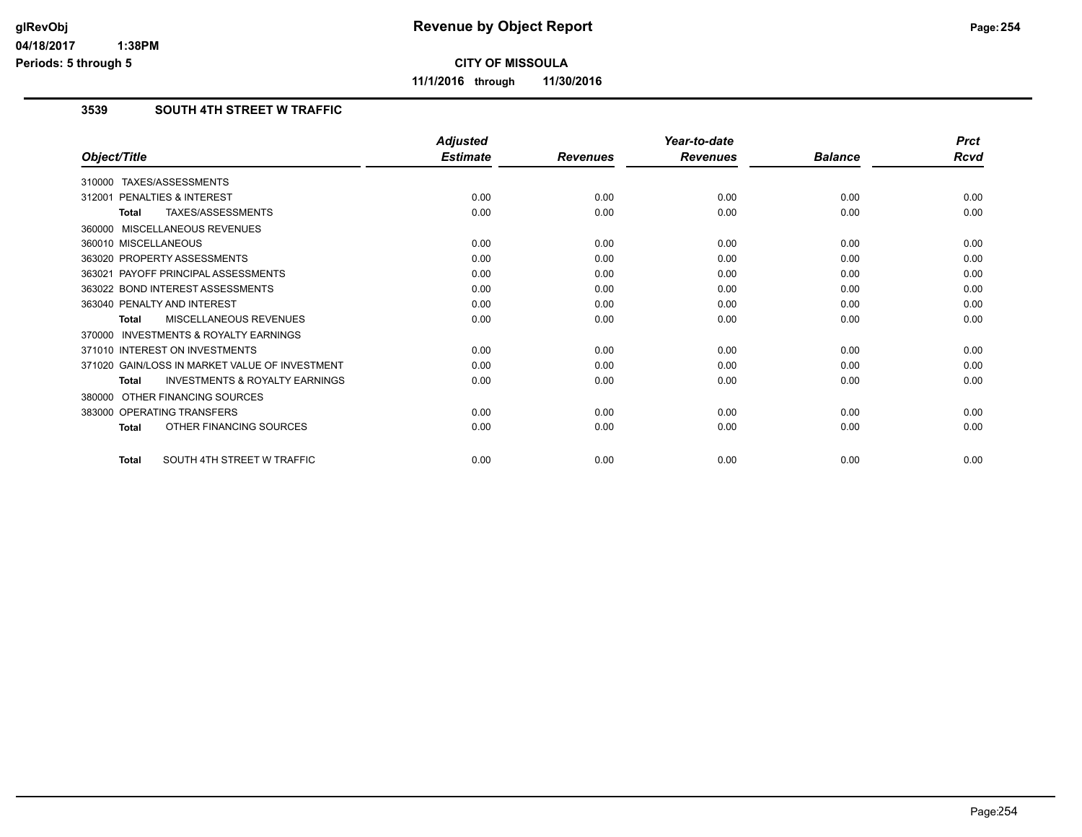**11/1/2016 through 11/30/2016**

#### **3539 SOUTH 4TH STREET W TRAFFIC**

|                                                           | <b>Adjusted</b> |                 | Year-to-date    |                | <b>Prct</b> |
|-----------------------------------------------------------|-----------------|-----------------|-----------------|----------------|-------------|
| Object/Title                                              | <b>Estimate</b> | <b>Revenues</b> | <b>Revenues</b> | <b>Balance</b> | <b>Rcvd</b> |
| 310000 TAXES/ASSESSMENTS                                  |                 |                 |                 |                |             |
| 312001 PENALTIES & INTEREST                               | 0.00            | 0.00            | 0.00            | 0.00           | 0.00        |
| TAXES/ASSESSMENTS<br><b>Total</b>                         | 0.00            | 0.00            | 0.00            | 0.00           | 0.00        |
| 360000 MISCELLANEOUS REVENUES                             |                 |                 |                 |                |             |
| 360010 MISCELLANEOUS                                      | 0.00            | 0.00            | 0.00            | 0.00           | 0.00        |
| 363020 PROPERTY ASSESSMENTS                               | 0.00            | 0.00            | 0.00            | 0.00           | 0.00        |
| 363021 PAYOFF PRINCIPAL ASSESSMENTS                       | 0.00            | 0.00            | 0.00            | 0.00           | 0.00        |
| 363022 BOND INTEREST ASSESSMENTS                          | 0.00            | 0.00            | 0.00            | 0.00           | 0.00        |
| 363040 PENALTY AND INTEREST                               | 0.00            | 0.00            | 0.00            | 0.00           | 0.00        |
| MISCELLANEOUS REVENUES<br><b>Total</b>                    | 0.00            | 0.00            | 0.00            | 0.00           | 0.00        |
| INVESTMENTS & ROYALTY EARNINGS<br>370000                  |                 |                 |                 |                |             |
| 371010 INTEREST ON INVESTMENTS                            | 0.00            | 0.00            | 0.00            | 0.00           | 0.00        |
| 371020 GAIN/LOSS IN MARKET VALUE OF INVESTMENT            | 0.00            | 0.00            | 0.00            | 0.00           | 0.00        |
| <b>INVESTMENTS &amp; ROYALTY EARNINGS</b><br><b>Total</b> | 0.00            | 0.00            | 0.00            | 0.00           | 0.00        |
| 380000 OTHER FINANCING SOURCES                            |                 |                 |                 |                |             |
| 383000 OPERATING TRANSFERS                                | 0.00            | 0.00            | 0.00            | 0.00           | 0.00        |
| OTHER FINANCING SOURCES<br><b>Total</b>                   | 0.00            | 0.00            | 0.00            | 0.00           | 0.00        |
| SOUTH 4TH STREET W TRAFFIC<br><b>Total</b>                | 0.00            | 0.00            | 0.00            | 0.00           | 0.00        |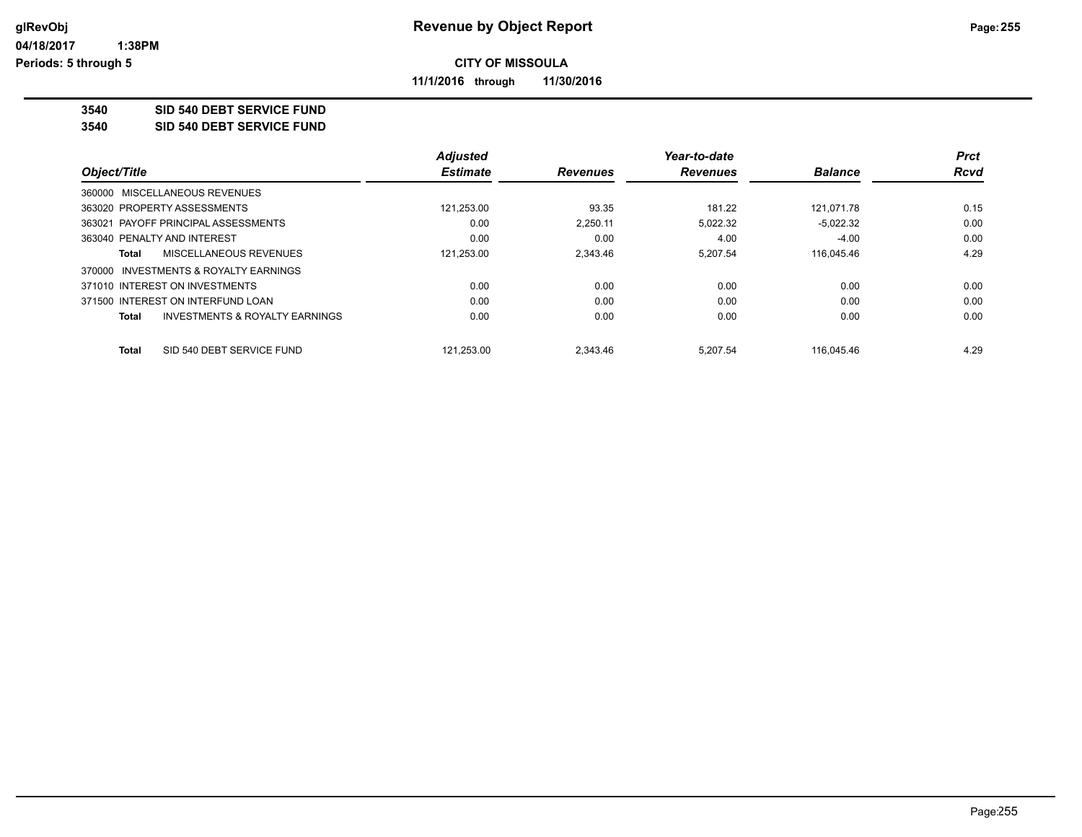**11/1/2016 through 11/30/2016**

**3540 SID 540 DEBT SERVICE FUND**

**3540 SID 540 DEBT SERVICE FUND**

|                                                    | <b>Adiusted</b> |                 | Year-to-date    |                | <b>Prct</b> |
|----------------------------------------------------|-----------------|-----------------|-----------------|----------------|-------------|
| Object/Title                                       | <b>Estimate</b> | <b>Revenues</b> | <b>Revenues</b> | <b>Balance</b> | <b>Rcvd</b> |
| 360000 MISCELLANEOUS REVENUES                      |                 |                 |                 |                |             |
| 363020 PROPERTY ASSESSMENTS                        | 121,253.00      | 93.35           | 181.22          | 121,071.78     | 0.15        |
| 363021 PAYOFF PRINCIPAL ASSESSMENTS                | 0.00            | 2.250.11        | 5.022.32        | $-5.022.32$    | 0.00        |
| 363040 PENALTY AND INTEREST                        | 0.00            | 0.00            | 4.00            | $-4.00$        | 0.00        |
| MISCELLANEOUS REVENUES<br>Total                    | 121,253.00      | 2.343.46        | 5.207.54        | 116.045.46     | 4.29        |
| 370000 INVESTMENTS & ROYALTY EARNINGS              |                 |                 |                 |                |             |
| 371010 INTEREST ON INVESTMENTS                     | 0.00            | 0.00            | 0.00            | 0.00           | 0.00        |
| 371500 INTEREST ON INTERFUND LOAN                  | 0.00            | 0.00            | 0.00            | 0.00           | 0.00        |
| <b>INVESTMENTS &amp; ROYALTY EARNINGS</b><br>Total | 0.00            | 0.00            | 0.00            | 0.00           | 0.00        |
| SID 540 DEBT SERVICE FUND<br><b>Total</b>          | 121.253.00      | 2.343.46        | 5.207.54        | 116.045.46     | 4.29        |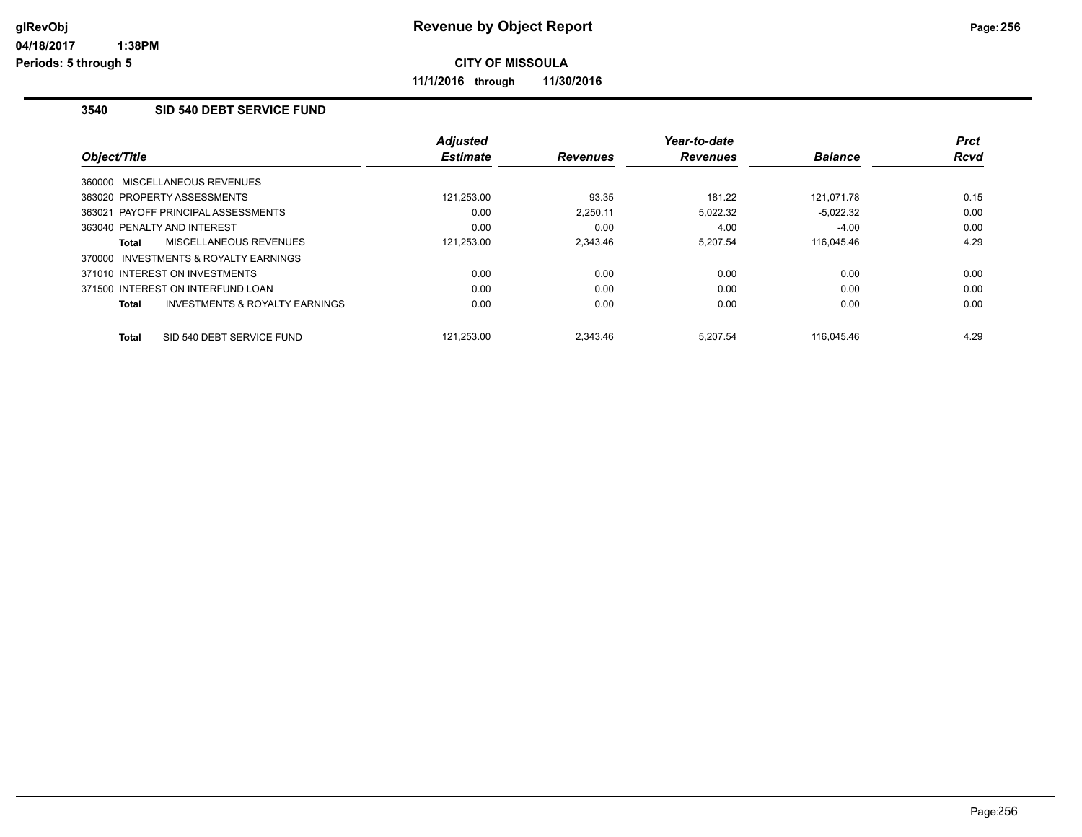**11/1/2016 through 11/30/2016**

#### **3540 SID 540 DEBT SERVICE FUND**

| Object/Title |                                           | <b>Adjusted</b><br><b>Estimate</b> | <b>Revenues</b> | Year-to-date<br><b>Revenues</b> | <b>Balance</b> | <b>Prct</b><br><b>Rcvd</b> |
|--------------|-------------------------------------------|------------------------------------|-----------------|---------------------------------|----------------|----------------------------|
|              | 360000 MISCELLANEOUS REVENUES             |                                    |                 |                                 |                |                            |
|              |                                           |                                    |                 |                                 |                |                            |
|              | 363020 PROPERTY ASSESSMENTS               | 121.253.00                         | 93.35           | 181.22                          | 121.071.78     | 0.15                       |
|              | 363021 PAYOFF PRINCIPAL ASSESSMENTS       | 0.00                               | 2.250.11        | 5.022.32                        | $-5,022.32$    | 0.00                       |
|              | 363040 PENALTY AND INTEREST               | 0.00                               | 0.00            | 4.00                            | $-4.00$        | 0.00                       |
| Total        | MISCELLANEOUS REVENUES                    | 121,253.00                         | 2,343.46        | 5,207.54                        | 116,045.46     | 4.29                       |
|              | 370000 INVESTMENTS & ROYALTY EARNINGS     |                                    |                 |                                 |                |                            |
|              | 371010 INTEREST ON INVESTMENTS            | 0.00                               | 0.00            | 0.00                            | 0.00           | 0.00                       |
|              | 371500 INTEREST ON INTERFUND LOAN         | 0.00                               | 0.00            | 0.00                            | 0.00           | 0.00                       |
| Total        | <b>INVESTMENTS &amp; ROYALTY EARNINGS</b> | 0.00                               | 0.00            | 0.00                            | 0.00           | 0.00                       |
| <b>Total</b> | SID 540 DEBT SERVICE FUND                 | 121.253.00                         | 2.343.46        | 5.207.54                        | 116.045.46     | 4.29                       |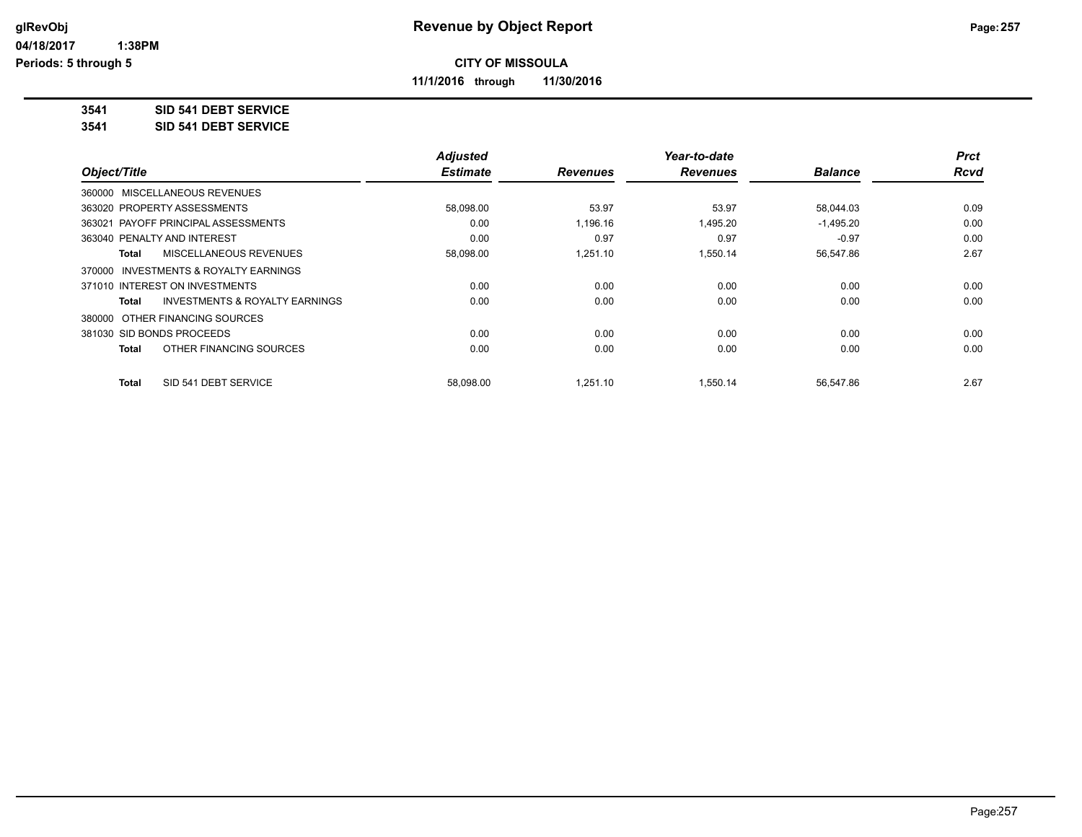**11/1/2016 through 11/30/2016**

**3541 SID 541 DEBT SERVICE**

| 3541 | <b>SID 541 DEBT SERVICE</b> |  |
|------|-----------------------------|--|
|------|-----------------------------|--|

|                                                    | <b>Adjusted</b> |                 | Year-to-date    |                | <b>Prct</b> |
|----------------------------------------------------|-----------------|-----------------|-----------------|----------------|-------------|
| Object/Title                                       | <b>Estimate</b> | <b>Revenues</b> | <b>Revenues</b> | <b>Balance</b> | <b>Rcvd</b> |
| 360000 MISCELLANEOUS REVENUES                      |                 |                 |                 |                |             |
| 363020 PROPERTY ASSESSMENTS                        | 58,098.00       | 53.97           | 53.97           | 58,044.03      | 0.09        |
| 363021 PAYOFF PRINCIPAL ASSESSMENTS                | 0.00            | 1,196.16        | 1,495.20        | $-1,495.20$    | 0.00        |
| 363040 PENALTY AND INTEREST                        | 0.00            | 0.97            | 0.97            | $-0.97$        | 0.00        |
| MISCELLANEOUS REVENUES<br>Total                    | 58,098.00       | 1,251.10        | 1,550.14        | 56,547.86      | 2.67        |
| INVESTMENTS & ROYALTY EARNINGS<br>370000           |                 |                 |                 |                |             |
| 371010 INTEREST ON INVESTMENTS                     | 0.00            | 0.00            | 0.00            | 0.00           | 0.00        |
| <b>INVESTMENTS &amp; ROYALTY EARNINGS</b><br>Total | 0.00            | 0.00            | 0.00            | 0.00           | 0.00        |
| 380000 OTHER FINANCING SOURCES                     |                 |                 |                 |                |             |
| 381030 SID BONDS PROCEEDS                          | 0.00            | 0.00            | 0.00            | 0.00           | 0.00        |
| OTHER FINANCING SOURCES<br><b>Total</b>            | 0.00            | 0.00            | 0.00            | 0.00           | 0.00        |
| SID 541 DEBT SERVICE<br><b>Total</b>               | 58,098.00       | 1,251.10        | 1,550.14        | 56,547.86      | 2.67        |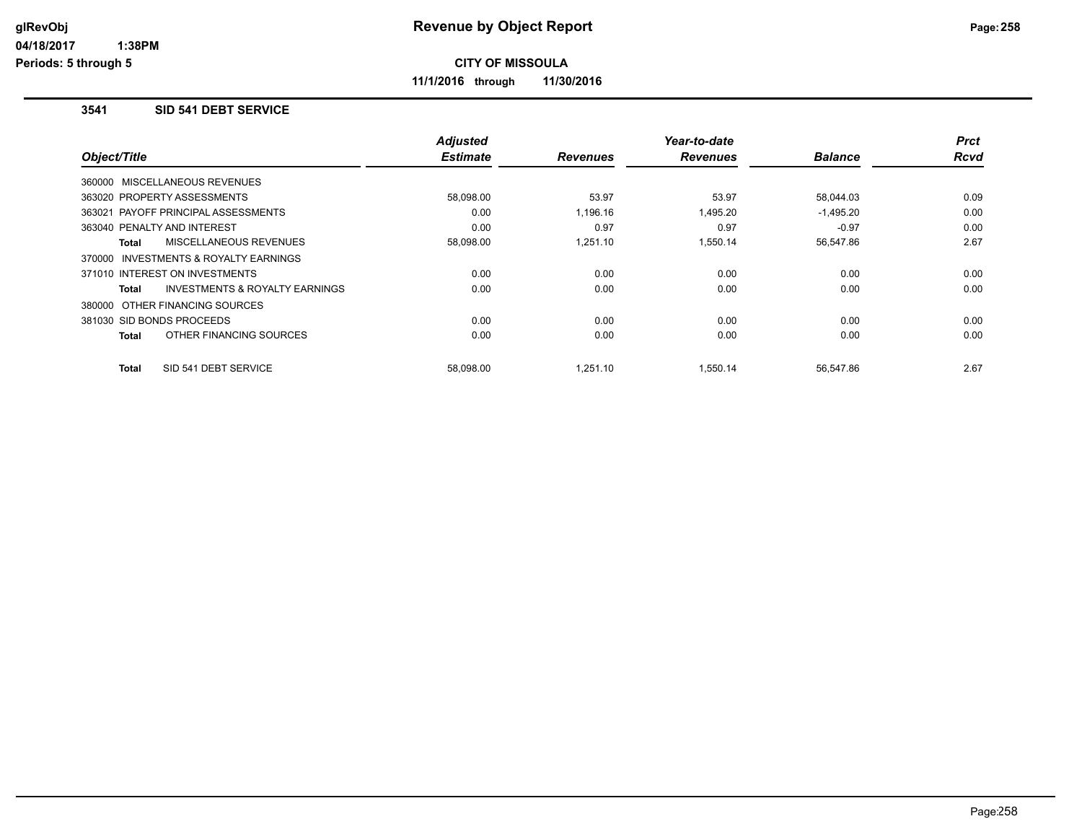**11/1/2016 through 11/30/2016**

#### **3541 SID 541 DEBT SERVICE**

| Object/Title                                   | <b>Adjusted</b><br><b>Estimate</b> | <b>Revenues</b> | Year-to-date<br><b>Revenues</b> | <b>Balance</b> | <b>Prct</b><br><b>Rcvd</b> |
|------------------------------------------------|------------------------------------|-----------------|---------------------------------|----------------|----------------------------|
| 360000 MISCELLANEOUS REVENUES                  |                                    |                 |                                 |                |                            |
| 363020 PROPERTY ASSESSMENTS                    | 58,098.00                          | 53.97           | 53.97                           | 58,044.03      | 0.09                       |
| 363021 PAYOFF PRINCIPAL ASSESSMENTS            | 0.00                               | 1,196.16        | 1,495.20                        | $-1,495.20$    | 0.00                       |
| 363040 PENALTY AND INTEREST                    | 0.00                               | 0.97            | 0.97                            | $-0.97$        | 0.00                       |
| MISCELLANEOUS REVENUES<br>Total                | 58,098.00                          | 1.251.10        | 1.550.14                        | 56.547.86      | 2.67                       |
| INVESTMENTS & ROYALTY EARNINGS<br>370000       |                                    |                 |                                 |                |                            |
| 371010 INTEREST ON INVESTMENTS                 | 0.00                               | 0.00            | 0.00                            | 0.00           | 0.00                       |
| INVESTMENTS & ROYALTY EARNINGS<br><b>Total</b> | 0.00                               | 0.00            | 0.00                            | 0.00           | 0.00                       |
| 380000 OTHER FINANCING SOURCES                 |                                    |                 |                                 |                |                            |
| 381030 SID BONDS PROCEEDS                      | 0.00                               | 0.00            | 0.00                            | 0.00           | 0.00                       |
| OTHER FINANCING SOURCES<br><b>Total</b>        | 0.00                               | 0.00            | 0.00                            | 0.00           | 0.00                       |
| SID 541 DEBT SERVICE<br><b>Total</b>           | 58,098.00                          | 1,251.10        | 1,550.14                        | 56,547.86      | 2.67                       |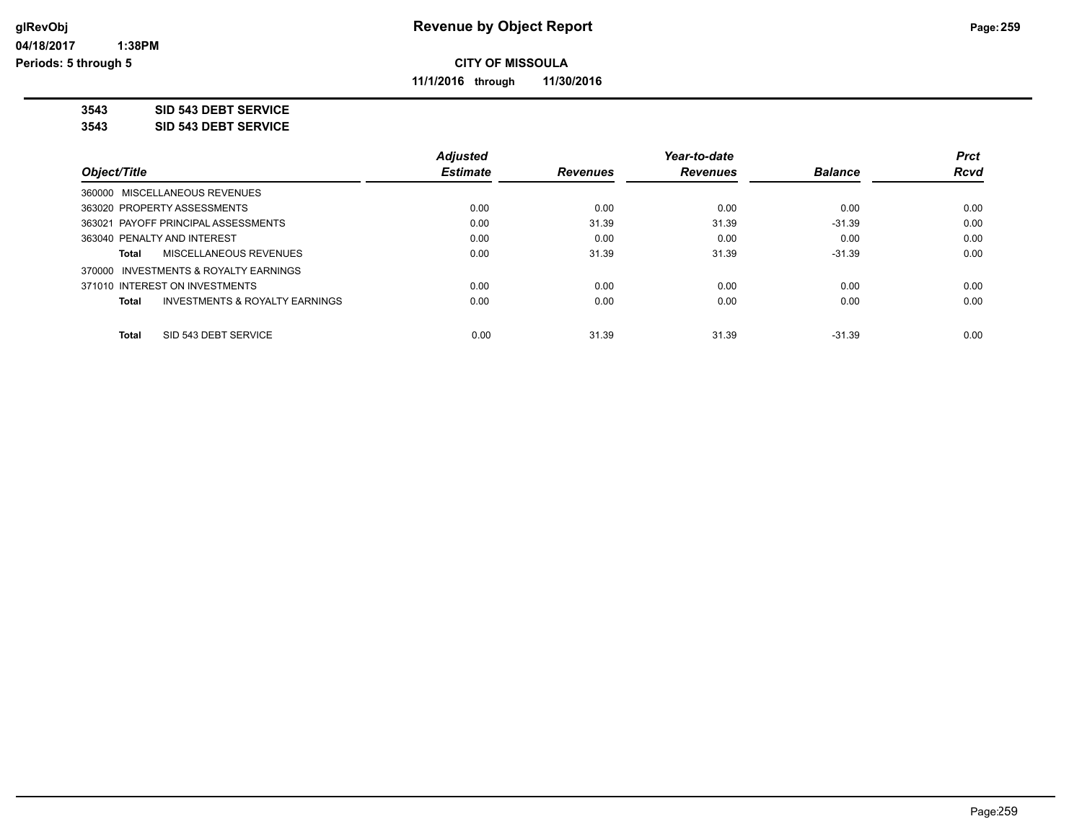**11/1/2016 through 11/30/2016**

**3543 SID 543 DEBT SERVICE**

**3543 SID 543 DEBT SERVICE**

|                                         | <b>Adjusted</b> |                 | Year-to-date    |                | <b>Prct</b> |
|-----------------------------------------|-----------------|-----------------|-----------------|----------------|-------------|
| Object/Title                            | <b>Estimate</b> | <b>Revenues</b> | <b>Revenues</b> | <b>Balance</b> | Rcvd        |
| 360000 MISCELLANEOUS REVENUES           |                 |                 |                 |                |             |
| 363020 PROPERTY ASSESSMENTS             | 0.00            | 0.00            | 0.00            | 0.00           | 0.00        |
| 363021 PAYOFF PRINCIPAL ASSESSMENTS     | 0.00            | 31.39           | 31.39           | $-31.39$       | 0.00        |
| 363040 PENALTY AND INTEREST             | 0.00            | 0.00            | 0.00            | 0.00           | 0.00        |
| MISCELLANEOUS REVENUES<br>Total         | 0.00            | 31.39           | 31.39           | $-31.39$       | 0.00        |
| 370000 INVESTMENTS & ROYALTY EARNINGS   |                 |                 |                 |                |             |
| 371010 INTEREST ON INVESTMENTS          | 0.00            | 0.00            | 0.00            | 0.00           | 0.00        |
| INVESTMENTS & ROYALTY EARNINGS<br>Total | 0.00            | 0.00            | 0.00            | 0.00           | 0.00        |
| SID 543 DEBT SERVICE<br>Total           | 0.00            | 31.39           | 31.39           | $-31.39$       | 0.00        |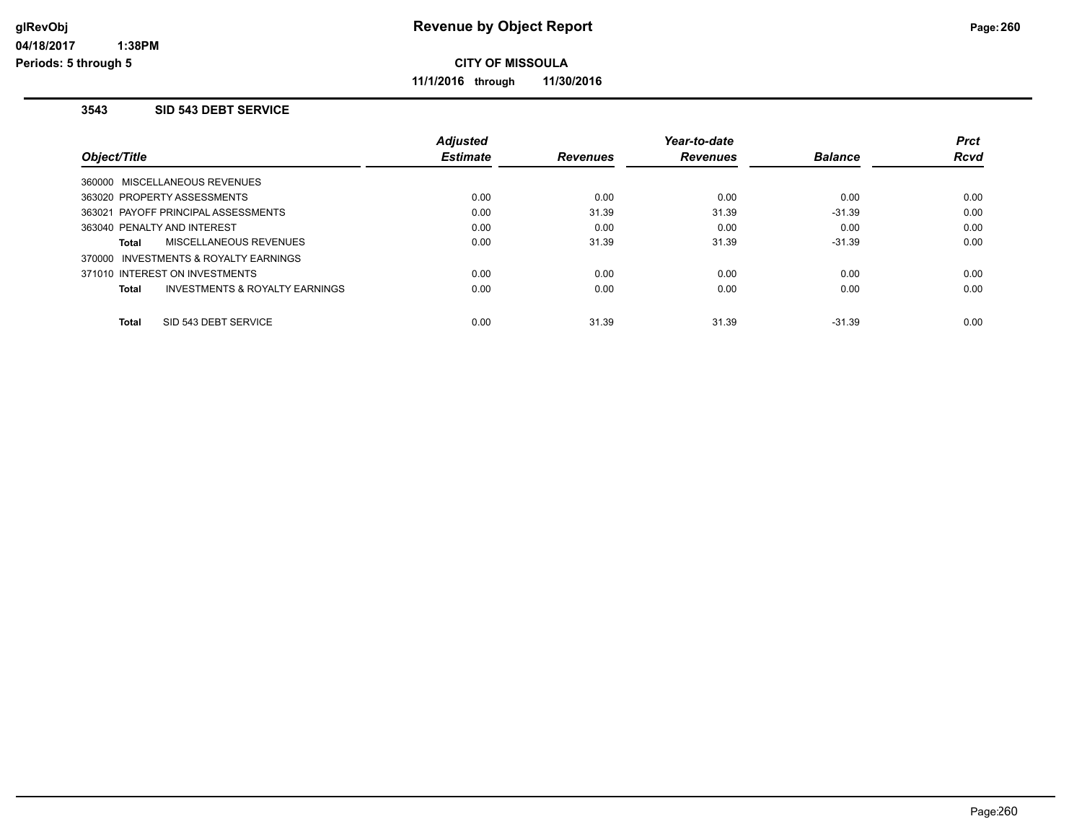**11/1/2016 through 11/30/2016**

#### **3543 SID 543 DEBT SERVICE**

|                                                | <b>Adiusted</b> |                 | Year-to-date    |                | <b>Prct</b> |
|------------------------------------------------|-----------------|-----------------|-----------------|----------------|-------------|
| Obiect/Title                                   | <b>Estimate</b> | <b>Revenues</b> | <b>Revenues</b> | <b>Balance</b> | <b>Rcvd</b> |
| 360000 MISCELLANEOUS REVENUES                  |                 |                 |                 |                |             |
| 363020 PROPERTY ASSESSMENTS                    | 0.00            | 0.00            | 0.00            | 0.00           | 0.00        |
| 363021 PAYOFF PRINCIPAL ASSESSMENTS            | 0.00            | 31.39           | 31.39           | $-31.39$       | 0.00        |
| 363040 PENALTY AND INTEREST                    | 0.00            | 0.00            | 0.00            | 0.00           | 0.00        |
| MISCELLANEOUS REVENUES<br>Total                | 0.00            | 31.39           | 31.39           | $-31.39$       | 0.00        |
| 370000 INVESTMENTS & ROYALTY EARNINGS          |                 |                 |                 |                |             |
| 371010 INTEREST ON INVESTMENTS                 | 0.00            | 0.00            | 0.00            | 0.00           | 0.00        |
| INVESTMENTS & ROYALTY EARNINGS<br><b>Total</b> | 0.00            | 0.00            | 0.00            | 0.00           | 0.00        |
| SID 543 DEBT SERVICE<br>Total                  | 0.00            | 31.39           | 31.39           | $-31.39$       | 0.00        |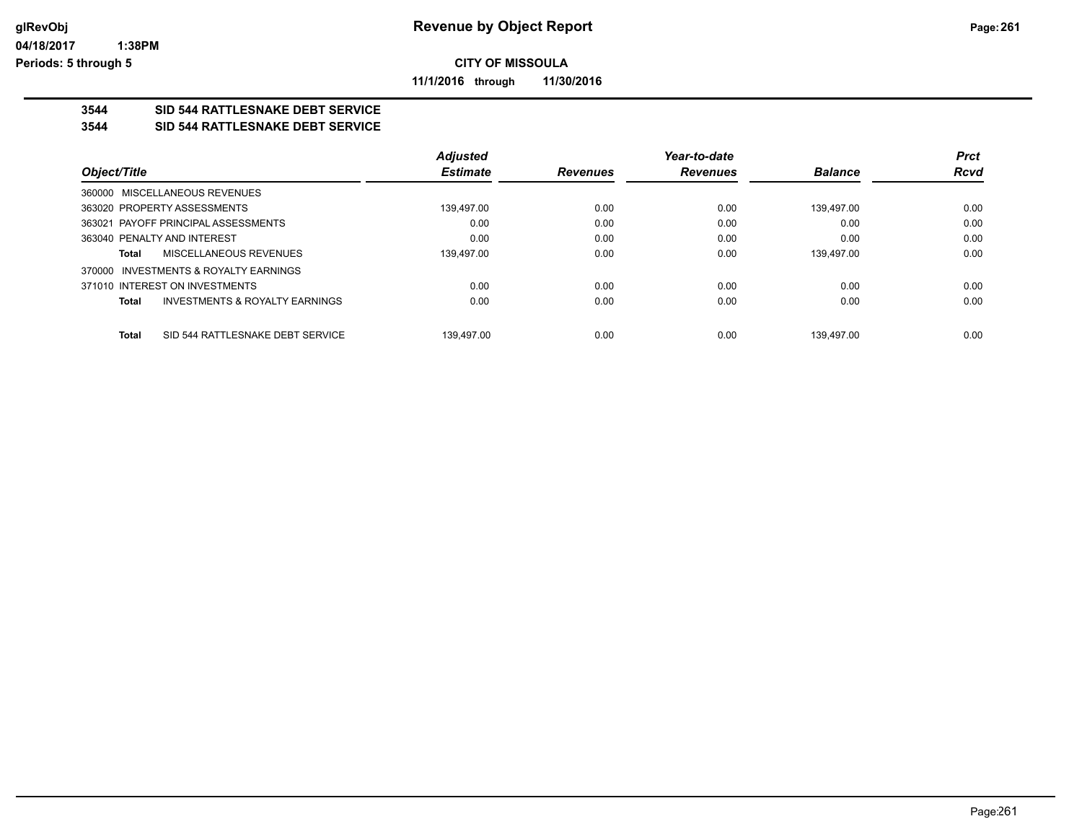**11/1/2016 through 11/30/2016**

#### **3544 SID 544 RATTLESNAKE DEBT SERVICE 3544 SID 544 RATTLESNAKE DEBT SERVICE**

|                                                    | <b>Adjusted</b> |                 | Year-to-date    |                | <b>Prct</b> |
|----------------------------------------------------|-----------------|-----------------|-----------------|----------------|-------------|
| Object/Title                                       | <b>Estimate</b> | <b>Revenues</b> | <b>Revenues</b> | <b>Balance</b> | Rcvd        |
| 360000 MISCELLANEOUS REVENUES                      |                 |                 |                 |                |             |
| 363020 PROPERTY ASSESSMENTS                        | 139.497.00      | 0.00            | 0.00            | 139.497.00     | 0.00        |
| PAYOFF PRINCIPAL ASSESSMENTS<br>363021             | 0.00            | 0.00            | 0.00            | 0.00           | 0.00        |
| 363040 PENALTY AND INTEREST                        | 0.00            | 0.00            | 0.00            | 0.00           | 0.00        |
| MISCELLANEOUS REVENUES<br>Total                    | 139.497.00      | 0.00            | 0.00            | 139.497.00     | 0.00        |
| 370000 INVESTMENTS & ROYALTY EARNINGS              |                 |                 |                 |                |             |
| 371010 INTEREST ON INVESTMENTS                     | 0.00            | 0.00            | 0.00            | 0.00           | 0.00        |
| <b>INVESTMENTS &amp; ROYALTY EARNINGS</b><br>Total | 0.00            | 0.00            | 0.00            | 0.00           | 0.00        |
|                                                    |                 |                 |                 |                |             |
| SID 544 RATTLESNAKE DEBT SERVICE<br><b>Total</b>   | 139.497.00      | 0.00            | 0.00            | 139.497.00     | 0.00        |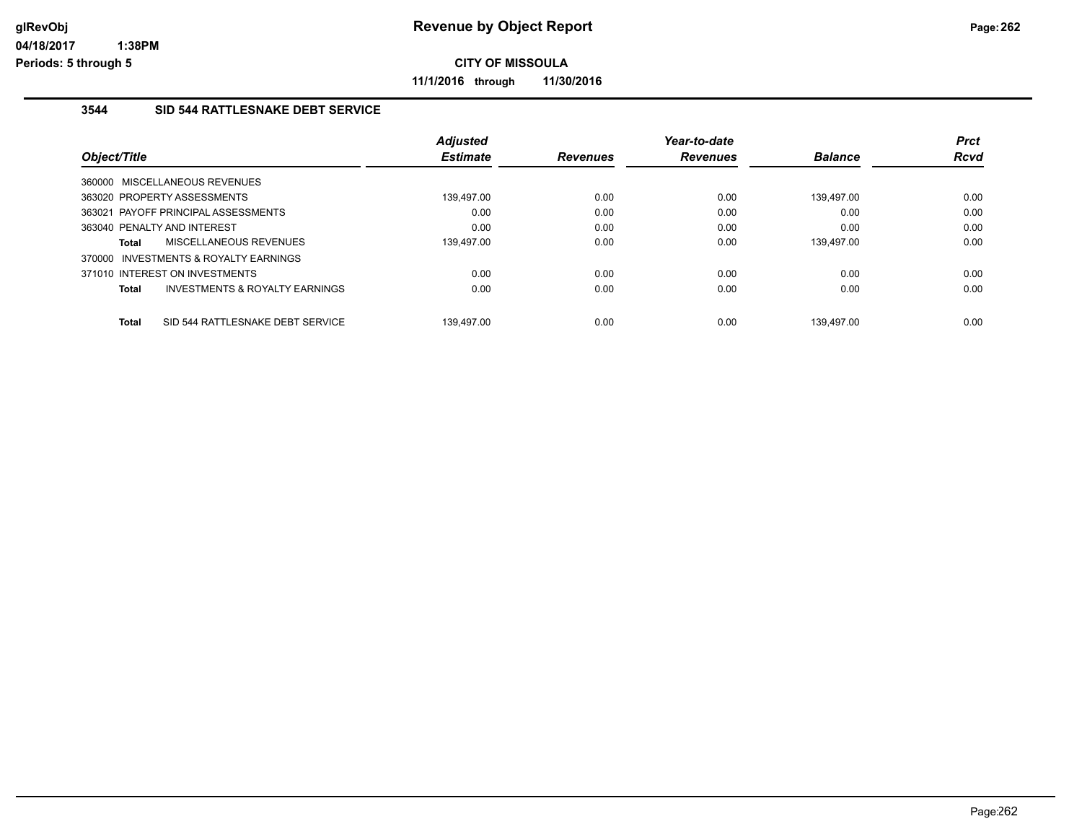**11/1/2016 through 11/30/2016**

#### **3544 SID 544 RATTLESNAKE DEBT SERVICE**

|                                                  | <b>Adjusted</b> |                 | Year-to-date    |                | <b>Prct</b> |
|--------------------------------------------------|-----------------|-----------------|-----------------|----------------|-------------|
| Object/Title                                     | <b>Estimate</b> | <b>Revenues</b> | <b>Revenues</b> | <b>Balance</b> | <b>Rcvd</b> |
| 360000 MISCELLANEOUS REVENUES                    |                 |                 |                 |                |             |
| 363020 PROPERTY ASSESSMENTS                      | 139,497.00      | 0.00            | 0.00            | 139,497.00     | 0.00        |
| 363021 PAYOFF PRINCIPAL ASSESSMENTS              | 0.00            | 0.00            | 0.00            | 0.00           | 0.00        |
| 363040 PENALTY AND INTEREST                      | 0.00            | 0.00            | 0.00            | 0.00           | 0.00        |
| MISCELLANEOUS REVENUES<br>Total                  | 139.497.00      | 0.00            | 0.00            | 139.497.00     | 0.00        |
| 370000 INVESTMENTS & ROYALTY EARNINGS            |                 |                 |                 |                |             |
| 371010 INTEREST ON INVESTMENTS                   | 0.00            | 0.00            | 0.00            | 0.00           | 0.00        |
| INVESTMENTS & ROYALTY EARNINGS<br>Total          | 0.00            | 0.00            | 0.00            | 0.00           | 0.00        |
| SID 544 RATTLESNAKE DEBT SERVICE<br><b>Total</b> | 139.497.00      | 0.00            | 0.00            | 139.497.00     | 0.00        |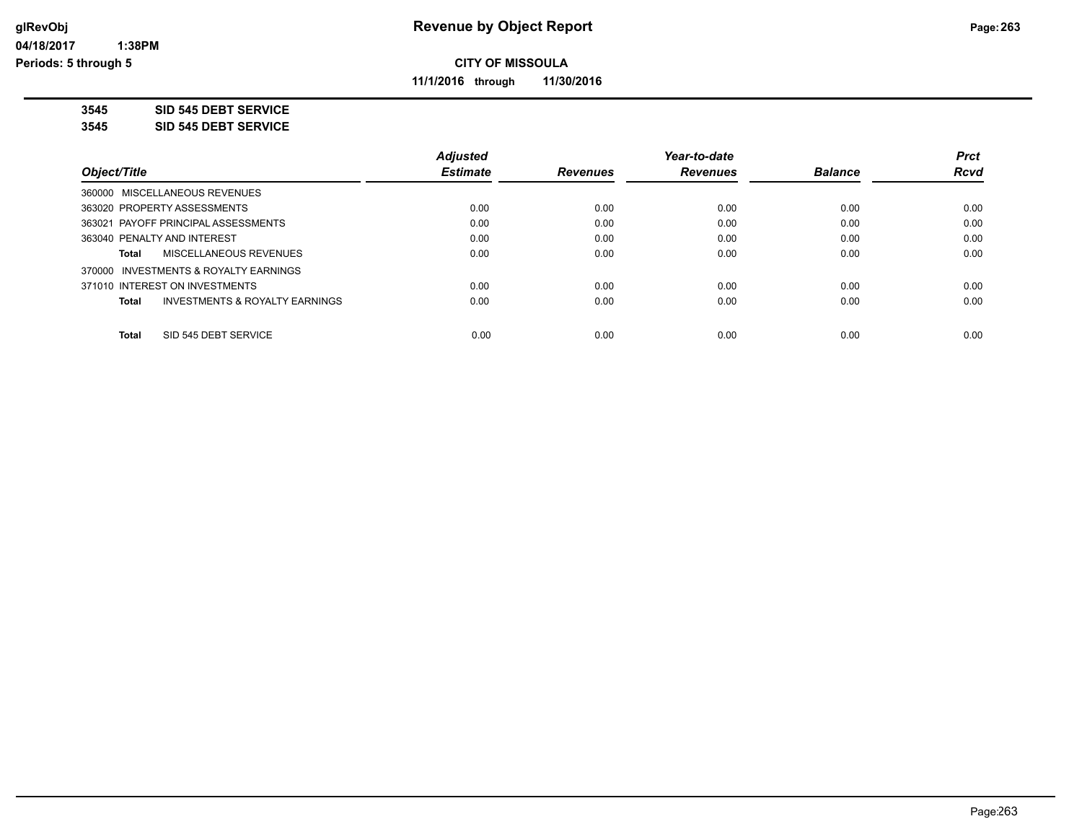**11/1/2016 through 11/30/2016**

**3545 SID 545 DEBT SERVICE**

**3545 SID 545 DEBT SERVICE**

|                                         | <b>Adjusted</b> |                 | Year-to-date    |                | <b>Prct</b> |
|-----------------------------------------|-----------------|-----------------|-----------------|----------------|-------------|
| Object/Title                            | <b>Estimate</b> | <b>Revenues</b> | <b>Revenues</b> | <b>Balance</b> | <b>Rcvd</b> |
| 360000 MISCELLANEOUS REVENUES           |                 |                 |                 |                |             |
| 363020 PROPERTY ASSESSMENTS             | 0.00            | 0.00            | 0.00            | 0.00           | 0.00        |
| 363021 PAYOFF PRINCIPAL ASSESSMENTS     | 0.00            | 0.00            | 0.00            | 0.00           | 0.00        |
| 363040 PENALTY AND INTEREST             | 0.00            | 0.00            | 0.00            | 0.00           | 0.00        |
| MISCELLANEOUS REVENUES<br>Total         | 0.00            | 0.00            | 0.00            | 0.00           | 0.00        |
| 370000 INVESTMENTS & ROYALTY EARNINGS   |                 |                 |                 |                |             |
| 371010 INTEREST ON INVESTMENTS          | 0.00            | 0.00            | 0.00            | 0.00           | 0.00        |
| INVESTMENTS & ROYALTY EARNINGS<br>Total | 0.00            | 0.00            | 0.00            | 0.00           | 0.00        |
| SID 545 DEBT SERVICE<br><b>Total</b>    | 0.00            | 0.00            | 0.00            | 0.00           | 0.00        |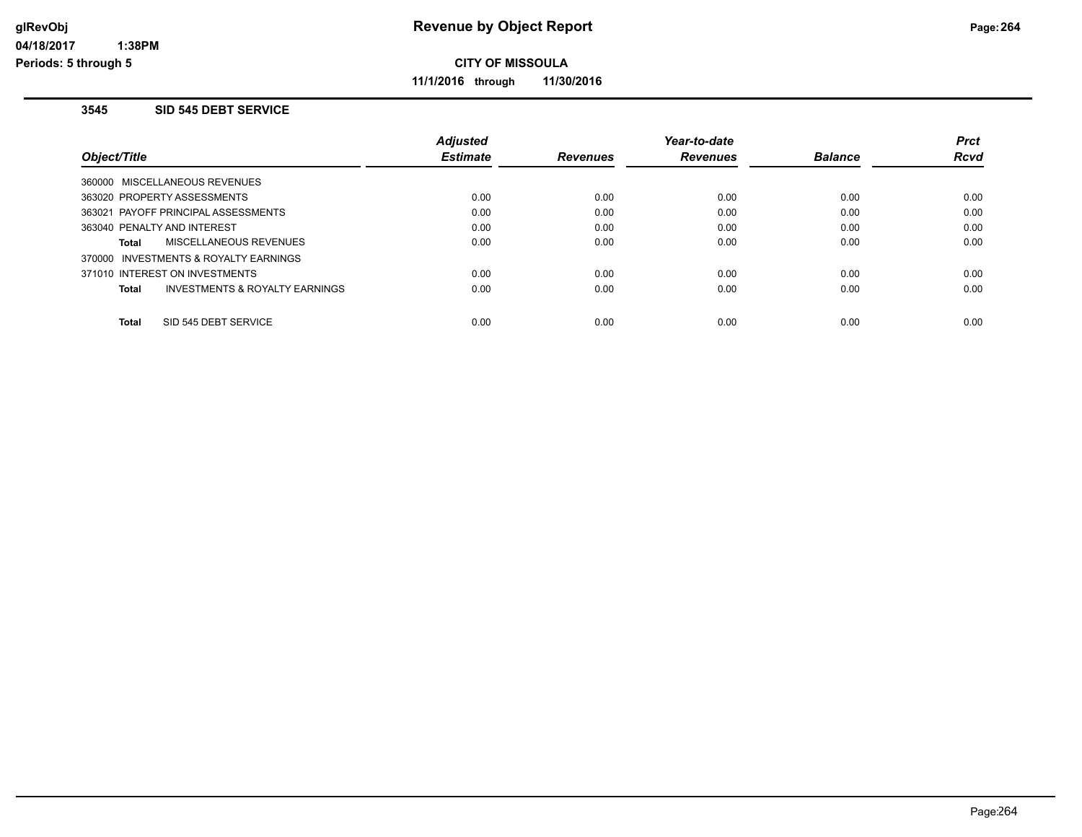**11/1/2016 through 11/30/2016**

#### **3545 SID 545 DEBT SERVICE**

|                                         | <b>Adiusted</b> |                 | Year-to-date    |                | <b>Prct</b> |
|-----------------------------------------|-----------------|-----------------|-----------------|----------------|-------------|
| Object/Title                            | <b>Estimate</b> | <b>Revenues</b> | <b>Revenues</b> | <b>Balance</b> | <b>Rcvd</b> |
| 360000 MISCELLANEOUS REVENUES           |                 |                 |                 |                |             |
| 363020 PROPERTY ASSESSMENTS             | 0.00            | 0.00            | 0.00            | 0.00           | 0.00        |
| 363021 PAYOFF PRINCIPAL ASSESSMENTS     | 0.00            | 0.00            | 0.00            | 0.00           | 0.00        |
| 363040 PENALTY AND INTEREST             | 0.00            | 0.00            | 0.00            | 0.00           | 0.00        |
| MISCELLANEOUS REVENUES<br>Total         | 0.00            | 0.00            | 0.00            | 0.00           | 0.00        |
| 370000 INVESTMENTS & ROYALTY EARNINGS   |                 |                 |                 |                |             |
| 371010 INTEREST ON INVESTMENTS          | 0.00            | 0.00            | 0.00            | 0.00           | 0.00        |
| Total<br>INVESTMENTS & ROYALTY EARNINGS | 0.00            | 0.00            | 0.00            | 0.00           | 0.00        |
| SID 545 DEBT SERVICE<br>Total           | 0.00            | 0.00            | 0.00            | 0.00           | 0.00        |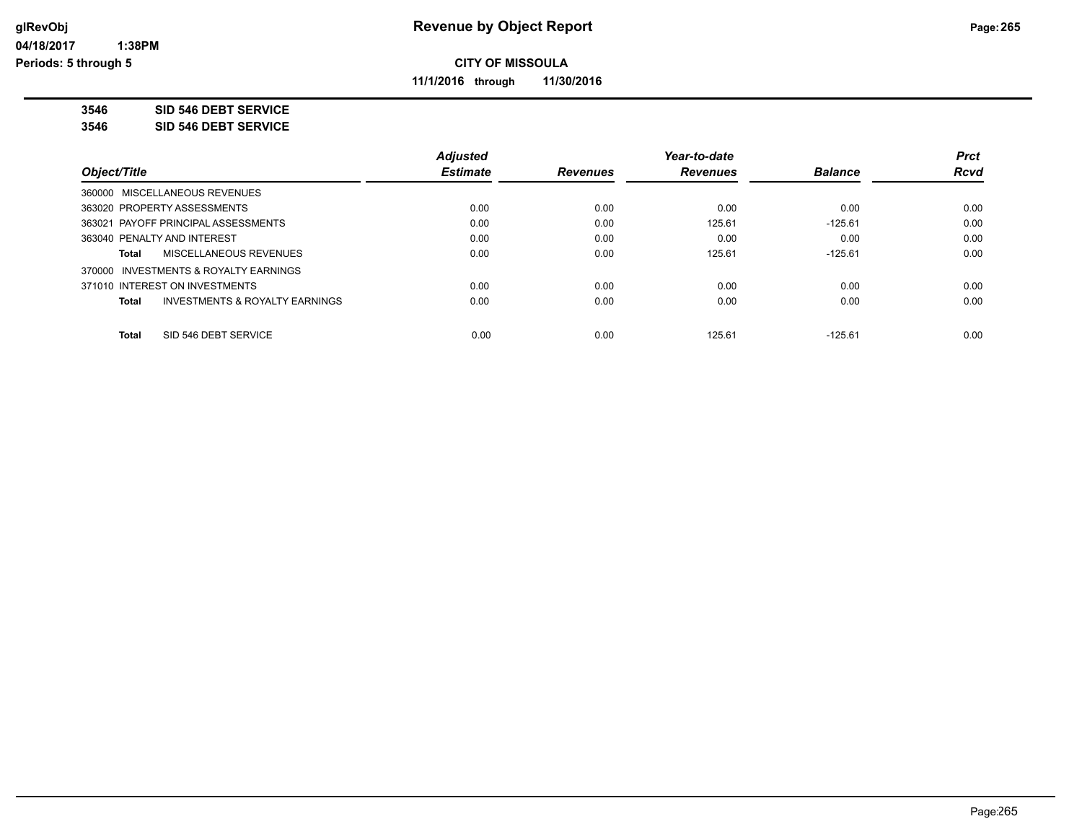**11/1/2016 through 11/30/2016**

**3546 SID 546 DEBT SERVICE**

| <b>SID 546 DEBT SERVICE</b><br>3546 |  |
|-------------------------------------|--|
|-------------------------------------|--|

|                                                    | <b>Adjusted</b> |          | Year-to-date    |                | <b>Prct</b> |
|----------------------------------------------------|-----------------|----------|-----------------|----------------|-------------|
| Object/Title                                       | <b>Estimate</b> | Revenues | <b>Revenues</b> | <b>Balance</b> | Rcvd        |
| 360000 MISCELLANEOUS REVENUES                      |                 |          |                 |                |             |
| 363020 PROPERTY ASSESSMENTS                        | 0.00            | 0.00     | 0.00            | 0.00           | 0.00        |
| 363021 PAYOFF PRINCIPAL ASSESSMENTS                | 0.00            | 0.00     | 125.61          | $-125.61$      | 0.00        |
| 363040 PENALTY AND INTEREST                        | 0.00            | 0.00     | 0.00            | 0.00           | 0.00        |
| MISCELLANEOUS REVENUES<br>Total                    | 0.00            | 0.00     | 125.61          | $-125.61$      | 0.00        |
| 370000 INVESTMENTS & ROYALTY EARNINGS              |                 |          |                 |                |             |
| 371010 INTEREST ON INVESTMENTS                     | 0.00            | 0.00     | 0.00            | 0.00           | 0.00        |
| <b>INVESTMENTS &amp; ROYALTY EARNINGS</b><br>Total | 0.00            | 0.00     | 0.00            | 0.00           | 0.00        |
| SID 546 DEBT SERVICE<br><b>Total</b>               | 0.00            | 0.00     | 125.61          | $-125.61$      | 0.00        |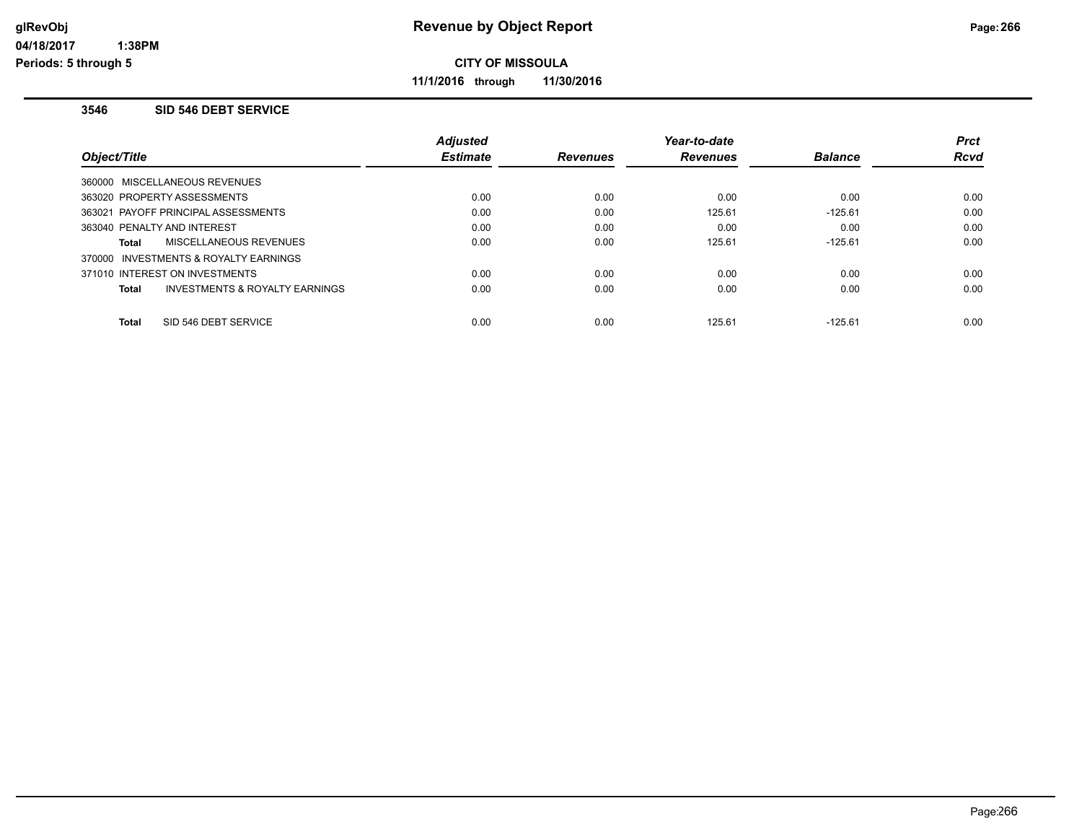**11/1/2016 through 11/30/2016**

#### **3546 SID 546 DEBT SERVICE**

|                                     |                                       | <b>Adiusted</b> |                 | Year-to-date    |                | <b>Prct</b> |
|-------------------------------------|---------------------------------------|-----------------|-----------------|-----------------|----------------|-------------|
| Object/Title                        |                                       | <b>Estimate</b> | <b>Revenues</b> | <b>Revenues</b> | <b>Balance</b> | <b>Rcvd</b> |
| 360000 MISCELLANEOUS REVENUES       |                                       |                 |                 |                 |                |             |
| 363020 PROPERTY ASSESSMENTS         |                                       | 0.00            | 0.00            | 0.00            | 0.00           | 0.00        |
| 363021 PAYOFF PRINCIPAL ASSESSMENTS |                                       | 0.00            | 0.00            | 125.61          | $-125.61$      | 0.00        |
| 363040 PENALTY AND INTEREST         |                                       | 0.00            | 0.00            | 0.00            | 0.00           | 0.00        |
| Total                               | MISCELLANEOUS REVENUES                | 0.00            | 0.00            | 125.61          | $-125.61$      | 0.00        |
|                                     | 370000 INVESTMENTS & ROYALTY EARNINGS |                 |                 |                 |                |             |
| 371010 INTEREST ON INVESTMENTS      |                                       | 0.00            | 0.00            | 0.00            | 0.00           | 0.00        |
| Total                               | INVESTMENTS & ROYALTY EARNINGS        | 0.00            | 0.00            | 0.00            | 0.00           | 0.00        |
| <b>Total</b>                        | SID 546 DEBT SERVICE                  | 0.00            | 0.00            | 125.61          | $-125.61$      | 0.00        |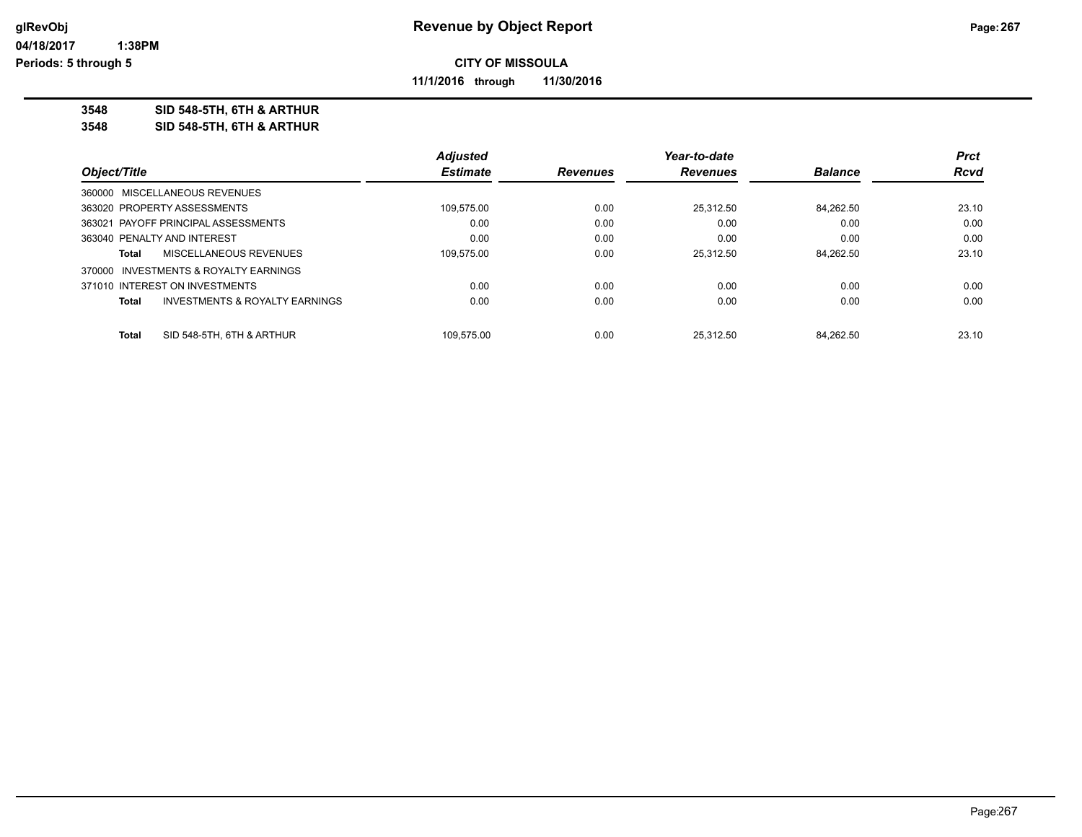*Prct Rcvd*

# **CITY OF MISSOULA**

**11/1/2016 through 11/30/2016**

**3548 SID 548-5TH, 6TH & ARTHUR 3548 SID 548-5TH, 6TH & ARTHUR**

*Object/Title Adjusted Estimate Revenues Year-to-date Revenues Balance* 360000 MISCELLANEOUS REVENUES 363020 PROPERTY ASSESSMENTS 109,575.00 0.00 25,312.50 84,262.50 23.10 363021 PAYOFF PRINCIPAL ASSESSMENTS 0.00 0.00 0.00 0.00 0.00 363040 PENALTY AND INTEREST 0.00 0.00 0.00 0.00 0.00 **Total** MISCELLANEOUS REVENUES 109,575.00 0.00 25,312.50 84,262.50 23.10 370000 INVESTMENTS & ROYALTY EARNINGS 371010 INTEREST ON INVESTMENTS 0.00 0.00 0.00 0.00 0.00 **Total** INVESTMENTS & ROYALTY EARNINGS 0.00 0.00 0.00 0.00 0.00

**Total** SID 548-5TH, 6TH & ARTHUR 109,575.00 0.00 25,312.50 84,262.50 23.10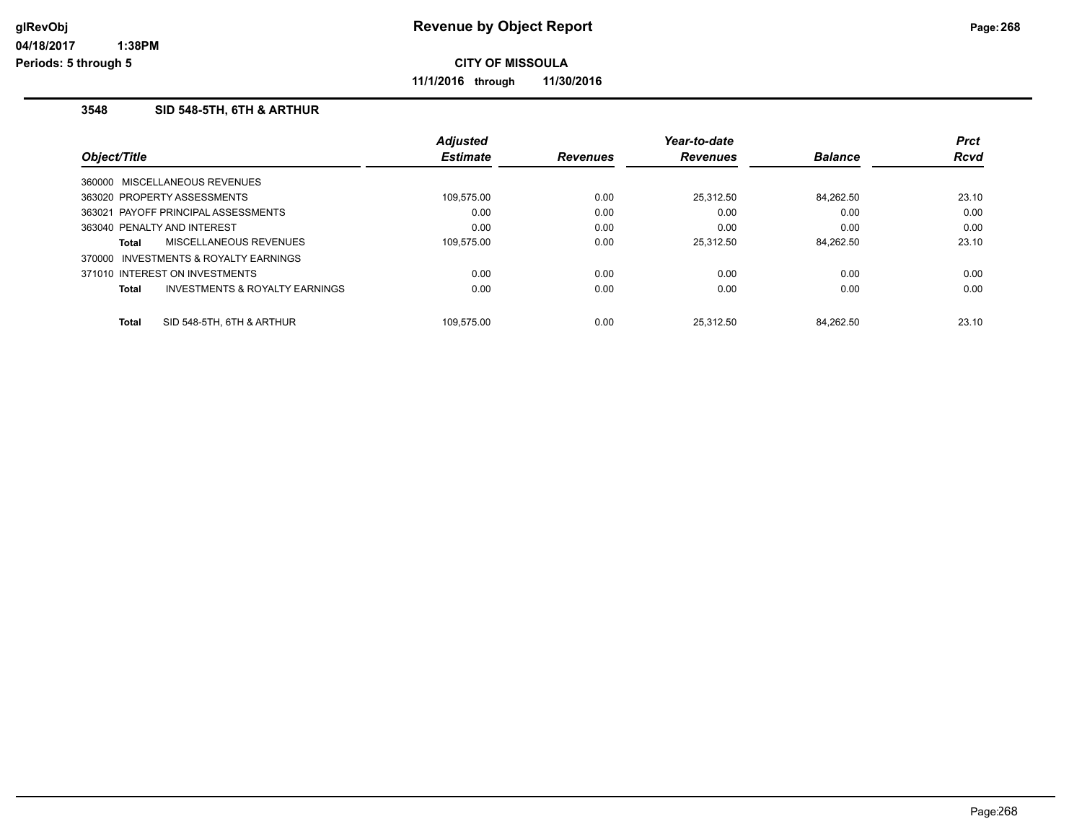**11/1/2016 through 11/30/2016**

#### **3548 SID 548-5TH, 6TH & ARTHUR**

|                                          |                                | <b>Adjusted</b> |                 | Year-to-date    |                | <b>Prct</b> |
|------------------------------------------|--------------------------------|-----------------|-----------------|-----------------|----------------|-------------|
| Object/Title                             |                                | <b>Estimate</b> | <b>Revenues</b> | <b>Revenues</b> | <b>Balance</b> | <b>Rcvd</b> |
| 360000 MISCELLANEOUS REVENUES            |                                |                 |                 |                 |                |             |
| 363020 PROPERTY ASSESSMENTS              |                                | 109,575.00      | 0.00            | 25.312.50       | 84.262.50      | 23.10       |
| 363021 PAYOFF PRINCIPAL ASSESSMENTS      |                                | 0.00            | 0.00            | 0.00            | 0.00           | 0.00        |
| 363040 PENALTY AND INTEREST              |                                | 0.00            | 0.00            | 0.00            | 0.00           | 0.00        |
| Total                                    | MISCELLANEOUS REVENUES         | 109,575.00      | 0.00            | 25.312.50       | 84.262.50      | 23.10       |
| INVESTMENTS & ROYALTY EARNINGS<br>370000 |                                |                 |                 |                 |                |             |
| 371010 INTEREST ON INVESTMENTS           |                                | 0.00            | 0.00            | 0.00            | 0.00           | 0.00        |
| Total                                    | INVESTMENTS & ROYALTY EARNINGS | 0.00            | 0.00            | 0.00            | 0.00           | 0.00        |
| <b>Total</b>                             | SID 548-5TH, 6TH & ARTHUR      | 109.575.00      | 0.00            | 25.312.50       | 84.262.50      | 23.10       |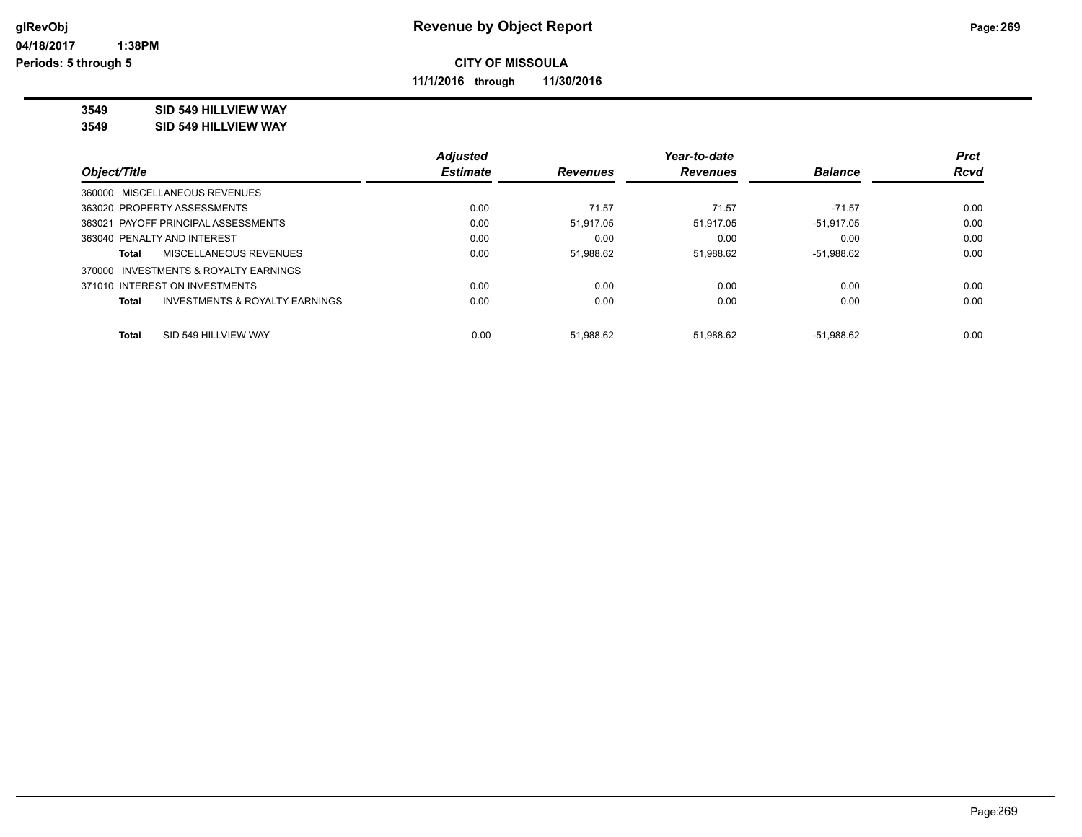**11/1/2016 through 11/30/2016**

**3549 SID 549 HILLVIEW WAY**

**3549 SID 549 HILLVIEW WAY**

|                                                    | <b>Adjusted</b> |                 | Year-to-date    |                | <b>Prct</b> |
|----------------------------------------------------|-----------------|-----------------|-----------------|----------------|-------------|
| Object/Title                                       | <b>Estimate</b> | <b>Revenues</b> | <b>Revenues</b> | <b>Balance</b> | <b>Rcvd</b> |
| 360000 MISCELLANEOUS REVENUES                      |                 |                 |                 |                |             |
| 363020 PROPERTY ASSESSMENTS                        | 0.00            | 71.57           | 71.57           | $-71.57$       | 0.00        |
| 363021 PAYOFF PRINCIPAL ASSESSMENTS                | 0.00            | 51.917.05       | 51.917.05       | $-51.917.05$   | 0.00        |
| 363040 PENALTY AND INTEREST                        | 0.00            | 0.00            | 0.00            | 0.00           | 0.00        |
| MISCELLANEOUS REVENUES<br>Total                    | 0.00            | 51.988.62       | 51.988.62       | -51.988.62     | 0.00        |
| 370000 INVESTMENTS & ROYALTY EARNINGS              |                 |                 |                 |                |             |
| 371010 INTEREST ON INVESTMENTS                     | 0.00            | 0.00            | 0.00            | 0.00           | 0.00        |
| <b>INVESTMENTS &amp; ROYALTY EARNINGS</b><br>Total | 0.00            | 0.00            | 0.00            | 0.00           | 0.00        |
| SID 549 HILLVIEW WAY<br><b>Total</b>               | 0.00            | 51.988.62       | 51.988.62       | -51.988.62     | 0.00        |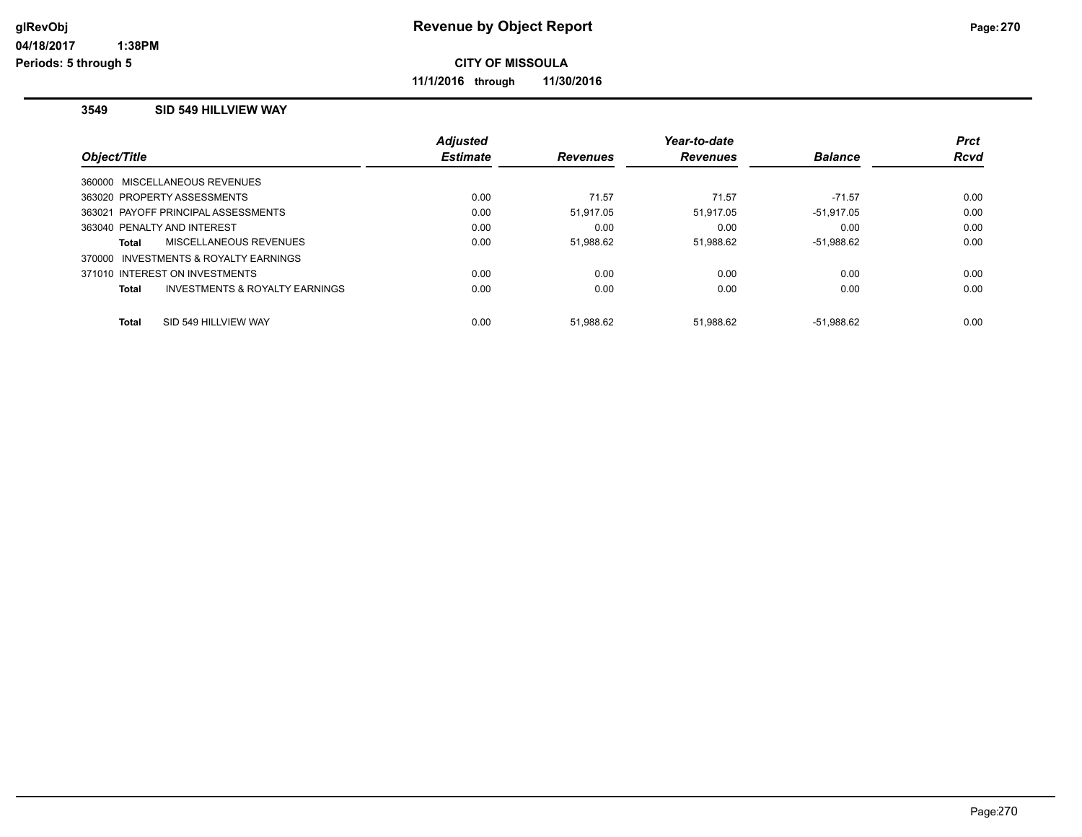**11/1/2016 through 11/30/2016**

#### **3549 SID 549 HILLVIEW WAY**

|                                          | <b>Adiusted</b> |                 | Year-to-date    |                | <b>Prct</b> |
|------------------------------------------|-----------------|-----------------|-----------------|----------------|-------------|
| Object/Title                             | <b>Estimate</b> | <b>Revenues</b> | <b>Revenues</b> | <b>Balance</b> | <b>Rcvd</b> |
| 360000 MISCELLANEOUS REVENUES            |                 |                 |                 |                |             |
| 363020 PROPERTY ASSESSMENTS              | 0.00            | 71.57           | 71.57           | $-71.57$       | 0.00        |
| 363021 PAYOFF PRINCIPAL ASSESSMENTS      | 0.00            | 51.917.05       | 51.917.05       | $-51,917.05$   | 0.00        |
| 363040 PENALTY AND INTEREST              | 0.00            | 0.00            | 0.00            | 0.00           | 0.00        |
| MISCELLANEOUS REVENUES<br>Total          | 0.00            | 51,988.62       | 51,988.62       | $-51,988.62$   | 0.00        |
| INVESTMENTS & ROYALTY EARNINGS<br>370000 |                 |                 |                 |                |             |
| 371010 INTEREST ON INVESTMENTS           | 0.00            | 0.00            | 0.00            | 0.00           | 0.00        |
| INVESTMENTS & ROYALTY EARNINGS<br>Total  | 0.00            | 0.00            | 0.00            | 0.00           | 0.00        |
| SID 549 HILLVIEW WAY<br><b>Total</b>     | 0.00            | 51.988.62       | 51.988.62       | $-51.988.62$   | 0.00        |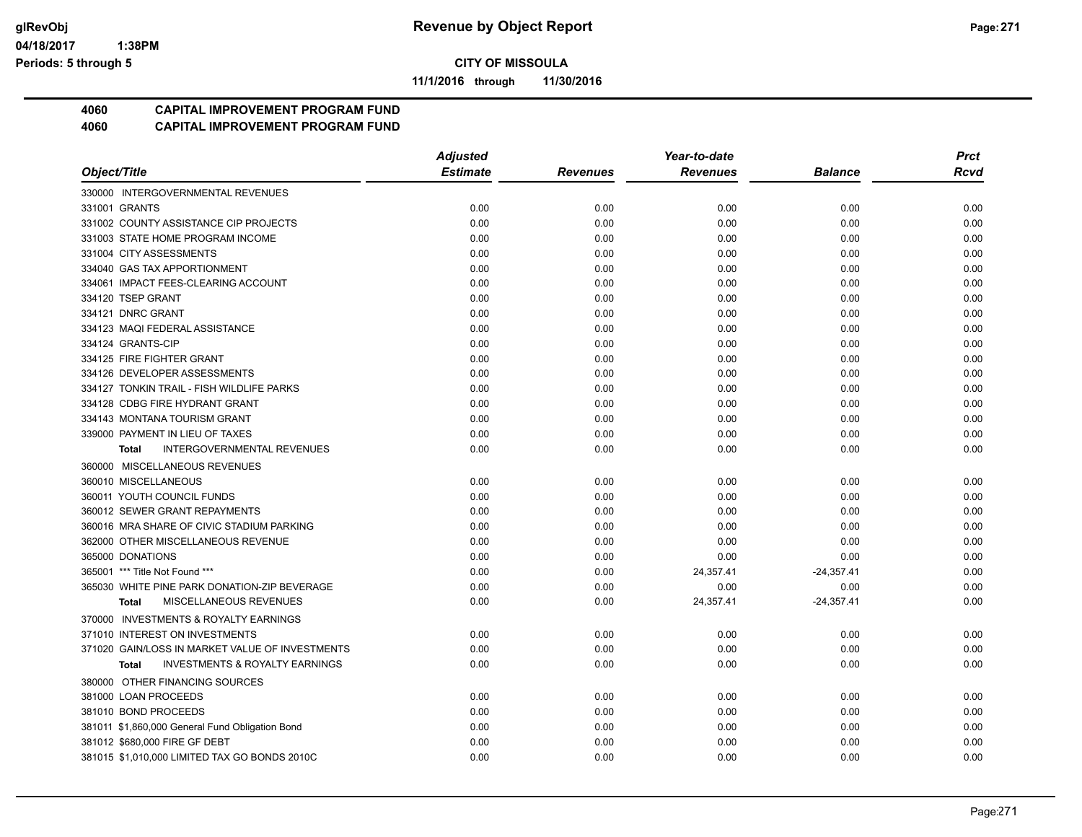**11/1/2016 through 11/30/2016**

#### **4060 CAPITAL IMPROVEMENT PROGRAM FUND 4060 CAPITAL IMPROVEMENT PROGRAM FUND**

|                                                                                  | <b>Adjusted</b> |                 | Year-to-date    |                | <b>Prct</b> |
|----------------------------------------------------------------------------------|-----------------|-----------------|-----------------|----------------|-------------|
| Object/Title                                                                     | <b>Estimate</b> | <b>Revenues</b> | <b>Revenues</b> | <b>Balance</b> | <b>Rcvd</b> |
| 330000 INTERGOVERNMENTAL REVENUES                                                |                 |                 |                 |                |             |
| 331001 GRANTS                                                                    | 0.00            | 0.00            | 0.00            | 0.00           | 0.00        |
| 331002 COUNTY ASSISTANCE CIP PROJECTS                                            | 0.00            | 0.00            | 0.00            | 0.00           | 0.00        |
| 331003 STATE HOME PROGRAM INCOME                                                 | 0.00            | 0.00            | 0.00            | 0.00           | 0.00        |
| 331004 CITY ASSESSMENTS                                                          | 0.00            | 0.00            | 0.00            | 0.00           | 0.00        |
| 334040 GAS TAX APPORTIONMENT                                                     | 0.00            | 0.00            | 0.00            | 0.00           | 0.00        |
| 334061 IMPACT FEES-CLEARING ACCOUNT                                              | 0.00            | 0.00            | 0.00            | 0.00           | 0.00        |
| 334120 TSEP GRANT                                                                | 0.00            | 0.00            | 0.00            | 0.00           | 0.00        |
| 334121 DNRC GRANT                                                                | 0.00            | 0.00            | 0.00            | 0.00           | 0.00        |
| 334123 MAQI FEDERAL ASSISTANCE                                                   | 0.00            | 0.00            | 0.00            | 0.00           | 0.00        |
| 334124 GRANTS-CIP                                                                | 0.00            | 0.00            | 0.00            | 0.00           | 0.00        |
| 334125 FIRE FIGHTER GRANT                                                        | 0.00            | 0.00            | 0.00            | 0.00           | 0.00        |
| 334126 DEVELOPER ASSESSMENTS                                                     | 0.00            | 0.00            | 0.00            | 0.00           | 0.00        |
| 334127 TONKIN TRAIL - FISH WILDLIFE PARKS                                        | 0.00            | 0.00            | 0.00            | 0.00           | 0.00        |
| 334128 CDBG FIRE HYDRANT GRANT                                                   | 0.00            | 0.00            | 0.00            | 0.00           | 0.00        |
| 334143 MONTANA TOURISM GRANT                                                     | 0.00            | 0.00            | 0.00            | 0.00           | 0.00        |
| 339000 PAYMENT IN LIEU OF TAXES                                                  | 0.00            | 0.00            | 0.00            | 0.00           | 0.00        |
| <b>INTERGOVERNMENTAL REVENUES</b><br><b>Total</b>                                | 0.00            | 0.00            | 0.00            | 0.00           | 0.00        |
| 360000 MISCELLANEOUS REVENUES                                                    |                 |                 |                 |                |             |
| 360010 MISCELLANEOUS                                                             | 0.00            | 0.00            | 0.00            | 0.00           | 0.00        |
| 360011 YOUTH COUNCIL FUNDS                                                       | 0.00            | 0.00            | 0.00            | 0.00           | 0.00        |
| 360012 SEWER GRANT REPAYMENTS                                                    | 0.00            | 0.00            | 0.00            | 0.00           | 0.00        |
| 360016 MRA SHARE OF CIVIC STADIUM PARKING                                        | 0.00            | 0.00            | 0.00            | 0.00           | 0.00        |
| 362000 OTHER MISCELLANEOUS REVENUE                                               | 0.00            | 0.00            | 0.00            | 0.00           | 0.00        |
| 365000 DONATIONS                                                                 | 0.00            | 0.00            | 0.00            | 0.00           | 0.00        |
| 365001 *** Title Not Found ***                                                   | 0.00            | 0.00            | 24,357.41       | $-24,357.41$   | 0.00        |
| 365030 WHITE PINE PARK DONATION-ZIP BEVERAGE                                     | 0.00            | 0.00            | 0.00            | 0.00           | 0.00        |
| <b>MISCELLANEOUS REVENUES</b><br>Total                                           | 0.00            | 0.00            | 24,357.41       | $-24,357.41$   | 0.00        |
| 370000 INVESTMENTS & ROYALTY EARNINGS                                            |                 |                 |                 |                |             |
| 371010 INTEREST ON INVESTMENTS                                                   | 0.00            | 0.00            | 0.00            | 0.00           | 0.00        |
| 371020 GAIN/LOSS IN MARKET VALUE OF INVESTMENTS                                  | 0.00            | 0.00            | 0.00            | 0.00           | 0.00        |
| <b>INVESTMENTS &amp; ROYALTY EARNINGS</b><br><b>Total</b>                        | 0.00            | 0.00            | 0.00            | 0.00           | 0.00        |
| 380000 OTHER FINANCING SOURCES                                                   |                 |                 |                 |                |             |
| 381000 LOAN PROCEEDS                                                             | 0.00            | 0.00            | 0.00            | 0.00           | 0.00        |
| 381010 BOND PROCEEDS                                                             | 0.00            | 0.00            | 0.00            | 0.00           | 0.00        |
|                                                                                  | 0.00            | 0.00            | 0.00            | 0.00           | 0.00        |
| 381011 \$1,860,000 General Fund Obligation Bond<br>381012 \$680,000 FIRE GF DEBT | 0.00            | 0.00            | 0.00            | 0.00           | 0.00        |
|                                                                                  | 0.00            | 0.00            | 0.00            | 0.00           |             |
| 381015 \$1,010,000 LIMITED TAX GO BONDS 2010C                                    |                 |                 |                 |                | 0.00        |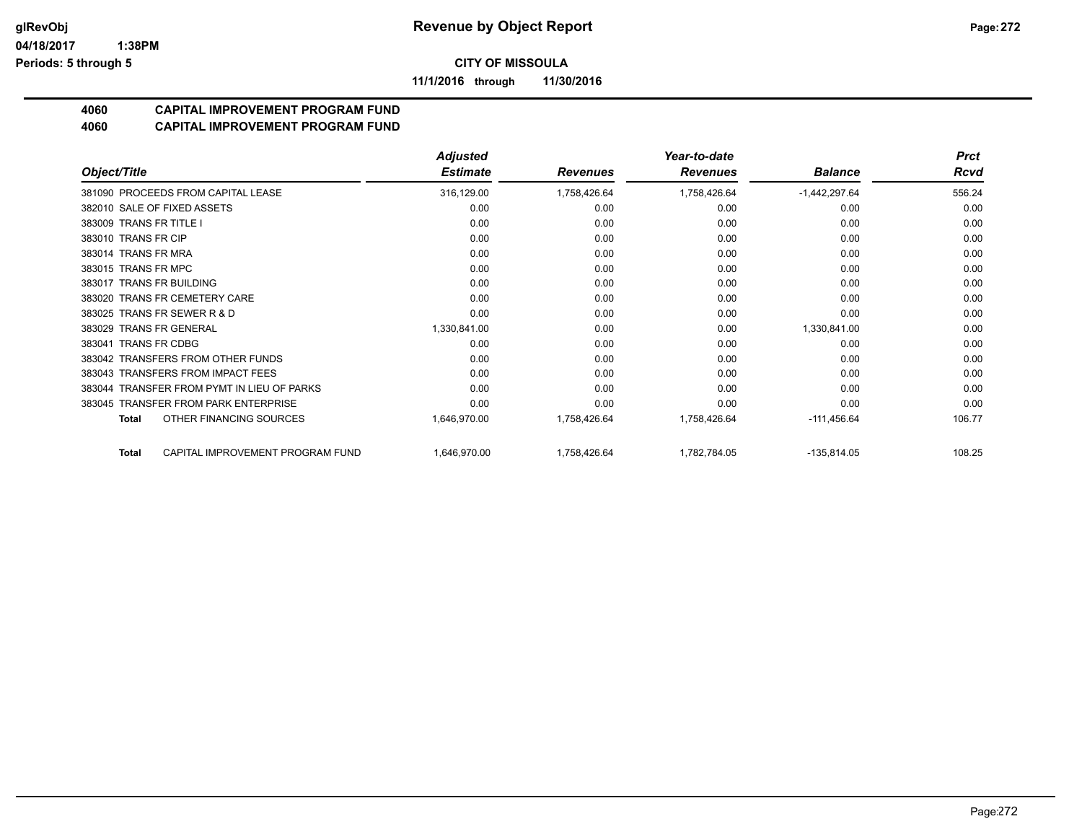**11/1/2016 through 11/30/2016**

#### **4060 CAPITAL IMPROVEMENT PROGRAM FUND 4060 CAPITAL IMPROVEMENT PROGRAM FUND**

|                                            | <b>Adjusted</b> |                 | Year-to-date    |                 | <b>Prct</b> |
|--------------------------------------------|-----------------|-----------------|-----------------|-----------------|-------------|
| Object/Title                               | <b>Estimate</b> | <b>Revenues</b> | <b>Revenues</b> | <b>Balance</b>  | Rcvd        |
| 381090 PROCEEDS FROM CAPITAL LEASE         | 316,129.00      | 1,758,426.64    | 1,758,426.64    | $-1,442,297.64$ | 556.24      |
| 382010 SALE OF FIXED ASSETS                | 0.00            | 0.00            | 0.00            | 0.00            | 0.00        |
| 383009 TRANS FR TITLE I                    | 0.00            | 0.00            | 0.00            | 0.00            | 0.00        |
| 383010 TRANS FR CIP                        | 0.00            | 0.00            | 0.00            | 0.00            | 0.00        |
| 383014 TRANS FR MRA                        | 0.00            | 0.00            | 0.00            | 0.00            | 0.00        |
| 383015 TRANS FR MPC                        | 0.00            | 0.00            | 0.00            | 0.00            | 0.00        |
| 383017 TRANS FR BUILDING                   | 0.00            | 0.00            | 0.00            | 0.00            | 0.00        |
| 383020 TRANS FR CEMETERY CARE              | 0.00            | 0.00            | 0.00            | 0.00            | 0.00        |
| 383025 TRANS FR SEWER R & D                | 0.00            | 0.00            | 0.00            | 0.00            | 0.00        |
| 383029 TRANS FR GENERAL                    | 1,330,841.00    | 0.00            | 0.00            | 1,330,841.00    | 0.00        |
| <b>TRANS FR CDBG</b><br>383041             | 0.00            | 0.00            | 0.00            | 0.00            | 0.00        |
| 383042 TRANSFERS FROM OTHER FUNDS          | 0.00            | 0.00            | 0.00            | 0.00            | 0.00        |
| 383043 TRANSFERS FROM IMPACT FEES          | 0.00            | 0.00            | 0.00            | 0.00            | 0.00        |
| 383044 TRANSFER FROM PYMT IN LIEU OF PARKS | 0.00            | 0.00            | 0.00            | 0.00            | 0.00        |
| 383045 TRANSFER FROM PARK ENTERPRISE       | 0.00            | 0.00            | 0.00            | 0.00            | 0.00        |
| OTHER FINANCING SOURCES<br><b>Total</b>    | 1,646,970.00    | 1,758,426.64    | 1,758,426.64    | $-111,456.64$   | 106.77      |
| CAPITAL IMPROVEMENT PROGRAM FUND<br>Total  | 1,646,970.00    | 1,758,426.64    | 1,782,784.05    | $-135,814.05$   | 108.25      |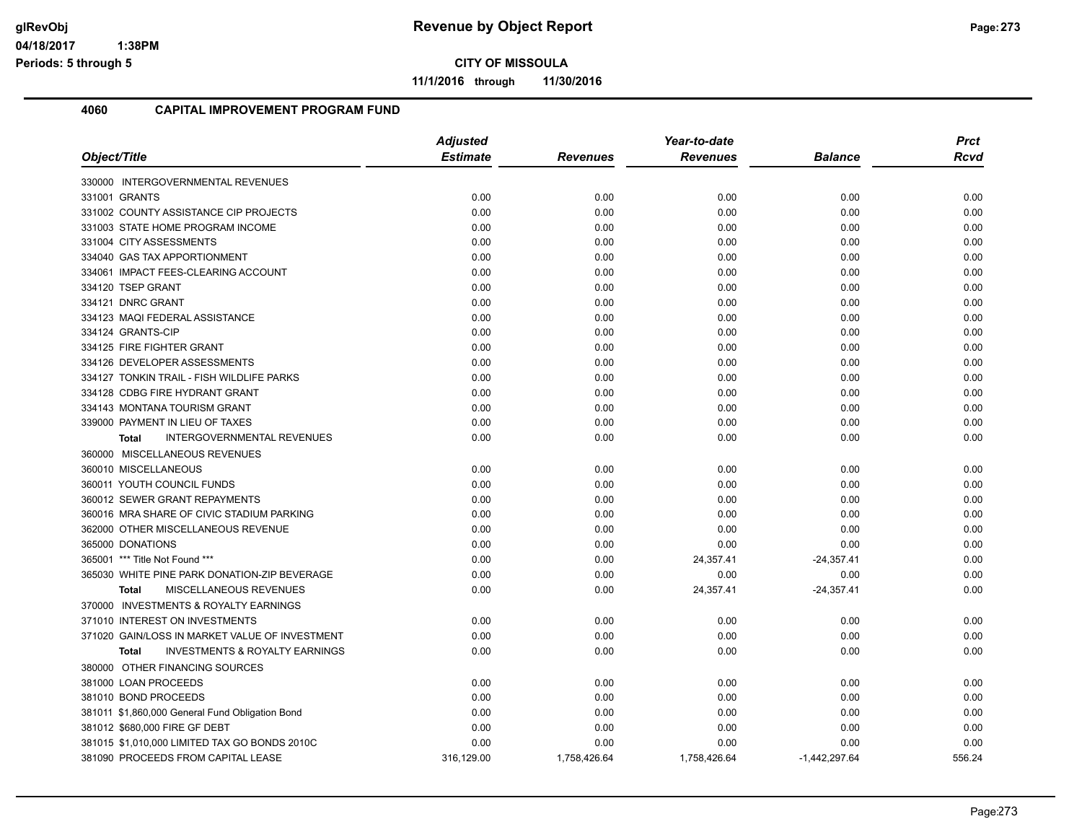**11/1/2016 through 11/30/2016**

#### **4060 CAPITAL IMPROVEMENT PROGRAM FUND**

|                                                    | <b>Adjusted</b> |                 | Year-to-date    |                 | <b>Prct</b> |
|----------------------------------------------------|-----------------|-----------------|-----------------|-----------------|-------------|
| Object/Title                                       | <b>Estimate</b> | <b>Revenues</b> | <b>Revenues</b> | <b>Balance</b>  | Rcvd        |
| 330000 INTERGOVERNMENTAL REVENUES                  |                 |                 |                 |                 |             |
| 331001 GRANTS                                      | 0.00            | 0.00            | 0.00            | 0.00            | 0.00        |
| 331002 COUNTY ASSISTANCE CIP PROJECTS              | 0.00            | 0.00            | 0.00            | 0.00            | 0.00        |
| 331003 STATE HOME PROGRAM INCOME                   | 0.00            | 0.00            | 0.00            | 0.00            | 0.00        |
| 331004 CITY ASSESSMENTS                            | 0.00            | 0.00            | 0.00            | 0.00            | 0.00        |
| 334040 GAS TAX APPORTIONMENT                       | 0.00            | 0.00            | 0.00            | 0.00            | 0.00        |
| 334061 IMPACT FEES-CLEARING ACCOUNT                | 0.00            | 0.00            | 0.00            | 0.00            | 0.00        |
| 334120 TSEP GRANT                                  | 0.00            | 0.00            | 0.00            | 0.00            | 0.00        |
| 334121 DNRC GRANT                                  | 0.00            | 0.00            | 0.00            | 0.00            | 0.00        |
| 334123 MAQI FEDERAL ASSISTANCE                     | 0.00            | 0.00            | 0.00            | 0.00            | 0.00        |
| 334124 GRANTS-CIP                                  | 0.00            | 0.00            | 0.00            | 0.00            | 0.00        |
| 334125 FIRE FIGHTER GRANT                          | 0.00            | 0.00            | 0.00            | 0.00            | 0.00        |
| 334126 DEVELOPER ASSESSMENTS                       | 0.00            | 0.00            | 0.00            | 0.00            | 0.00        |
| 334127 TONKIN TRAIL - FISH WILDLIFE PARKS          | 0.00            | 0.00            | 0.00            | 0.00            | 0.00        |
| 334128 CDBG FIRE HYDRANT GRANT                     | 0.00            | 0.00            | 0.00            | 0.00            | 0.00        |
| 334143 MONTANA TOURISM GRANT                       | 0.00            | 0.00            | 0.00            | 0.00            | 0.00        |
| 339000 PAYMENT IN LIEU OF TAXES                    | 0.00            | 0.00            | 0.00            | 0.00            | 0.00        |
| <b>INTERGOVERNMENTAL REVENUES</b><br><b>Total</b>  | 0.00            | 0.00            | 0.00            | 0.00            | 0.00        |
| 360000 MISCELLANEOUS REVENUES                      |                 |                 |                 |                 |             |
| 360010 MISCELLANEOUS                               | 0.00            | 0.00            | 0.00            | 0.00            | 0.00        |
| 360011 YOUTH COUNCIL FUNDS                         | 0.00            | 0.00            | 0.00            | 0.00            | 0.00        |
| 360012 SEWER GRANT REPAYMENTS                      | 0.00            | 0.00            | 0.00            | 0.00            | 0.00        |
| 360016 MRA SHARE OF CIVIC STADIUM PARKING          | 0.00            | 0.00            | 0.00            | 0.00            | 0.00        |
| 362000 OTHER MISCELLANEOUS REVENUE                 | 0.00            | 0.00            | 0.00            | 0.00            | 0.00        |
| 365000 DONATIONS                                   | 0.00            | 0.00            | 0.00            | 0.00            | 0.00        |
| 365001 *** Title Not Found ***                     | 0.00            | 0.00            | 24,357.41       | $-24,357.41$    | 0.00        |
| 365030 WHITE PINE PARK DONATION-ZIP BEVERAGE       | 0.00            | 0.00            | 0.00            | 0.00            | 0.00        |
| MISCELLANEOUS REVENUES<br><b>Total</b>             | 0.00            | 0.00            | 24,357.41       | $-24,357.41$    | 0.00        |
| 370000 INVESTMENTS & ROYALTY EARNINGS              |                 |                 |                 |                 |             |
| 371010 INTEREST ON INVESTMENTS                     | 0.00            | 0.00            | 0.00            | 0.00            | 0.00        |
| 371020 GAIN/LOSS IN MARKET VALUE OF INVESTMENT     | 0.00            | 0.00            | 0.00            | 0.00            | 0.00        |
| <b>INVESTMENTS &amp; ROYALTY EARNINGS</b><br>Total | 0.00            | 0.00            | 0.00            | 0.00            | 0.00        |
| 380000 OTHER FINANCING SOURCES                     |                 |                 |                 |                 |             |
| 381000 LOAN PROCEEDS                               | 0.00            | 0.00            | 0.00            | 0.00            | 0.00        |
| 381010 BOND PROCEEDS                               | 0.00            | 0.00            | 0.00            | 0.00            | 0.00        |
| 381011 \$1,860,000 General Fund Obligation Bond    | 0.00            | 0.00            | 0.00            | 0.00            | 0.00        |
| 381012 \$680,000 FIRE GF DEBT                      | 0.00            | 0.00            | 0.00            | 0.00            | 0.00        |
| 381015 \$1,010,000 LIMITED TAX GO BONDS 2010C      | 0.00            | 0.00            | 0.00            | 0.00            | 0.00        |
| 381090 PROCEEDS FROM CAPITAL LEASE                 | 316,129.00      | 1,758,426.64    | 1,758,426.64    | $-1,442,297.64$ | 556.24      |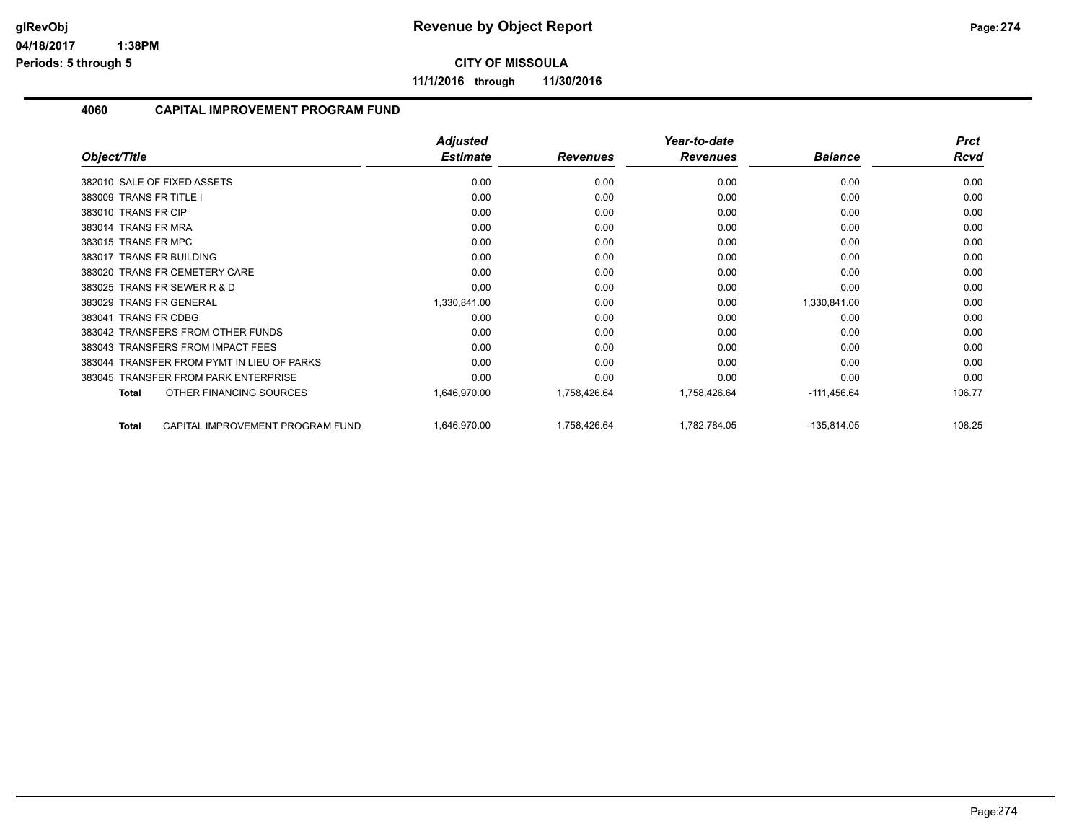**11/1/2016 through 11/30/2016**

#### **4060 CAPITAL IMPROVEMENT PROGRAM FUND**

| Object/Title                               | <b>Adjusted</b><br><b>Estimate</b> | <b>Revenues</b> | Year-to-date<br><b>Revenues</b> | <b>Balance</b> | <b>Prct</b><br><b>Rcvd</b> |
|--------------------------------------------|------------------------------------|-----------------|---------------------------------|----------------|----------------------------|
|                                            |                                    |                 |                                 |                |                            |
| 382010 SALE OF FIXED ASSETS                | 0.00                               | 0.00            | 0.00                            | 0.00           | 0.00                       |
| 383009 TRANS FR TITLE I                    | 0.00                               | 0.00            | 0.00                            | 0.00           | 0.00                       |
| 383010 TRANS FR CIP                        | 0.00                               | 0.00            | 0.00                            | 0.00           | 0.00                       |
| 383014 TRANS FR MRA                        | 0.00                               | 0.00            | 0.00                            | 0.00           | 0.00                       |
| 383015 TRANS FR MPC                        | 0.00                               | 0.00            | 0.00                            | 0.00           | 0.00                       |
| 383017 TRANS FR BUILDING                   | 0.00                               | 0.00            | 0.00                            | 0.00           | 0.00                       |
| 383020 TRANS FR CEMETERY CARE              | 0.00                               | 0.00            | 0.00                            | 0.00           | 0.00                       |
| 383025 TRANS FR SEWER R & D                | 0.00                               | 0.00            | 0.00                            | 0.00           | 0.00                       |
| 383029 TRANS FR GENERAL                    | 1,330,841.00                       | 0.00            | 0.00                            | 1,330,841.00   | 0.00                       |
| 383041 TRANS FR CDBG                       | 0.00                               | 0.00            | 0.00                            | 0.00           | 0.00                       |
| 383042 TRANSFERS FROM OTHER FUNDS          | 0.00                               | 0.00            | 0.00                            | 0.00           | 0.00                       |
| 383043 TRANSFERS FROM IMPACT FEES          | 0.00                               | 0.00            | 0.00                            | 0.00           | 0.00                       |
| 383044 TRANSFER FROM PYMT IN LIEU OF PARKS | 0.00                               | 0.00            | 0.00                            | 0.00           | 0.00                       |
| 383045 TRANSFER FROM PARK ENTERPRISE       | 0.00                               | 0.00            | 0.00                            | 0.00           | 0.00                       |
| OTHER FINANCING SOURCES<br><b>Total</b>    | 1,646,970.00                       | 1,758,426.64    | 1,758,426.64                    | $-111,456.64$  | 106.77                     |
| CAPITAL IMPROVEMENT PROGRAM FUND<br>Total  | 1,646,970.00                       | 1,758,426.64    | 1,782,784.05                    | $-135,814.05$  | 108.25                     |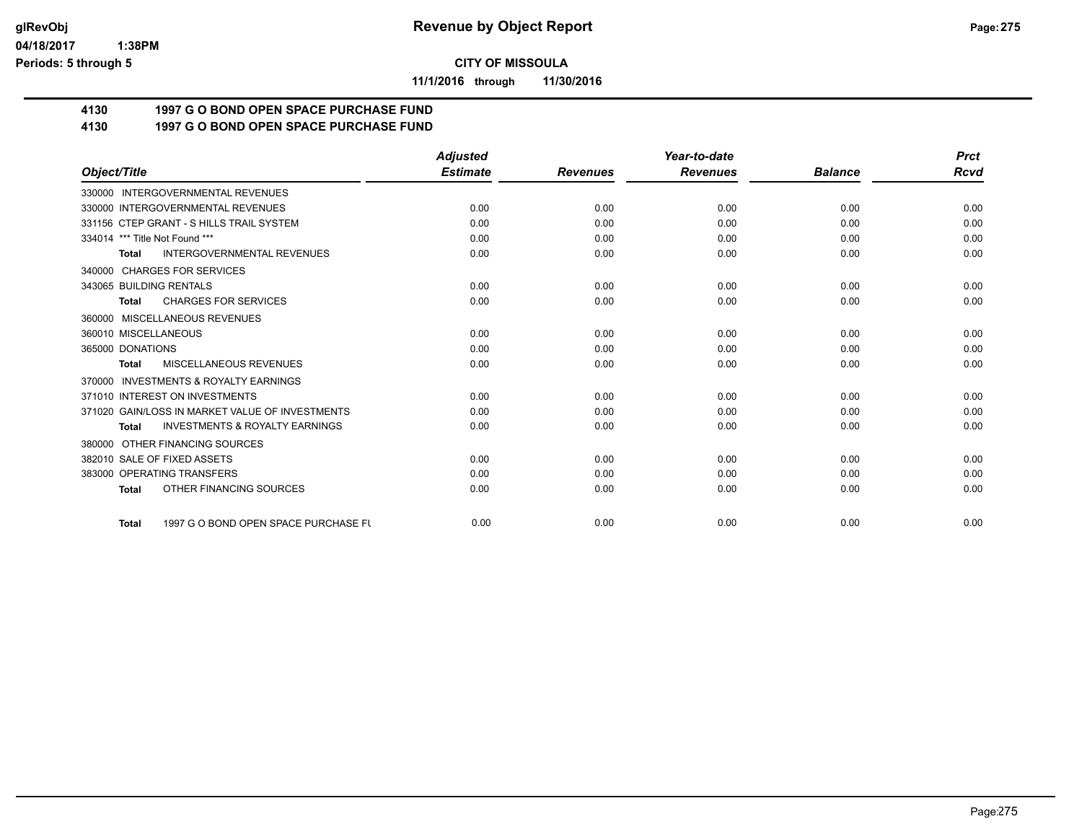**11/1/2016 through 11/30/2016**

#### **4130 1997 G O BOND OPEN SPACE PURCHASE FUND 4130 1997 G O BOND OPEN SPACE PURCHASE FUND**

|                                                      | <b>Adjusted</b> |                 | Year-to-date    |                | <b>Prct</b> |
|------------------------------------------------------|-----------------|-----------------|-----------------|----------------|-------------|
| Object/Title                                         | <b>Estimate</b> | <b>Revenues</b> | <b>Revenues</b> | <b>Balance</b> | Rcvd        |
| 330000 INTERGOVERNMENTAL REVENUES                    |                 |                 |                 |                |             |
| 330000 INTERGOVERNMENTAL REVENUES                    | 0.00            | 0.00            | 0.00            | 0.00           | 0.00        |
| 331156 CTEP GRANT - S HILLS TRAIL SYSTEM             | 0.00            | 0.00            | 0.00            | 0.00           | 0.00        |
| 334014 *** Title Not Found ***                       | 0.00            | 0.00            | 0.00            | 0.00           | 0.00        |
| <b>INTERGOVERNMENTAL REVENUES</b><br><b>Total</b>    | 0.00            | 0.00            | 0.00            | 0.00           | 0.00        |
| <b>CHARGES FOR SERVICES</b><br>340000                |                 |                 |                 |                |             |
| 343065 BUILDING RENTALS                              | 0.00            | 0.00            | 0.00            | 0.00           | 0.00        |
| <b>CHARGES FOR SERVICES</b><br><b>Total</b>          | 0.00            | 0.00            | 0.00            | 0.00           | 0.00        |
| MISCELLANEOUS REVENUES<br>360000                     |                 |                 |                 |                |             |
| 360010 MISCELLANEOUS                                 | 0.00            | 0.00            | 0.00            | 0.00           | 0.00        |
| 365000 DONATIONS                                     | 0.00            | 0.00            | 0.00            | 0.00           | 0.00        |
| <b>MISCELLANEOUS REVENUES</b><br><b>Total</b>        | 0.00            | 0.00            | 0.00            | 0.00           | 0.00        |
| <b>INVESTMENTS &amp; ROYALTY EARNINGS</b><br>370000  |                 |                 |                 |                |             |
| 371010 INTEREST ON INVESTMENTS                       | 0.00            | 0.00            | 0.00            | 0.00           | 0.00        |
| 371020 GAIN/LOSS IN MARKET VALUE OF INVESTMENTS      | 0.00            | 0.00            | 0.00            | 0.00           | 0.00        |
| <b>INVESTMENTS &amp; ROYALTY EARNINGS</b><br>Total   | 0.00            | 0.00            | 0.00            | 0.00           | 0.00        |
| OTHER FINANCING SOURCES<br>380000                    |                 |                 |                 |                |             |
| 382010 SALE OF FIXED ASSETS                          | 0.00            | 0.00            | 0.00            | 0.00           | 0.00        |
| 383000 OPERATING TRANSFERS                           | 0.00            | 0.00            | 0.00            | 0.00           | 0.00        |
| OTHER FINANCING SOURCES<br>Total                     | 0.00            | 0.00            | 0.00            | 0.00           | 0.00        |
| 1997 G O BOND OPEN SPACE PURCHASE FL<br><b>Total</b> | 0.00            | 0.00            | 0.00            | 0.00           | 0.00        |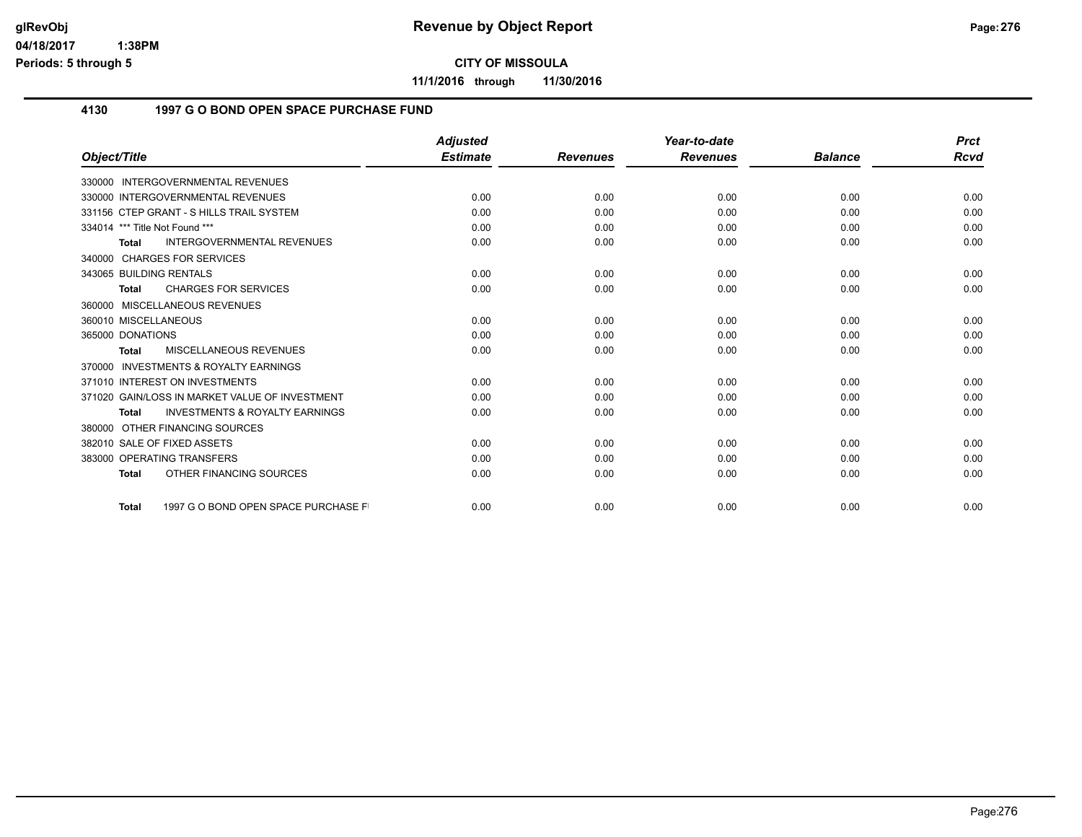**11/1/2016 through 11/30/2016**

#### **4130 1997 G O BOND OPEN SPACE PURCHASE FUND**

|                                                     | <b>Adjusted</b> |                 | Year-to-date    |                | <b>Prct</b> |
|-----------------------------------------------------|-----------------|-----------------|-----------------|----------------|-------------|
| Object/Title                                        | <b>Estimate</b> | <b>Revenues</b> | <b>Revenues</b> | <b>Balance</b> | <b>Rcvd</b> |
| 330000 INTERGOVERNMENTAL REVENUES                   |                 |                 |                 |                |             |
| 330000 INTERGOVERNMENTAL REVENUES                   | 0.00            | 0.00            | 0.00            | 0.00           | 0.00        |
| 331156 CTEP GRANT - S HILLS TRAIL SYSTEM            | 0.00            | 0.00            | 0.00            | 0.00           | 0.00        |
| 334014 *** Title Not Found ***                      | 0.00            | 0.00            | 0.00            | 0.00           | 0.00        |
| <b>INTERGOVERNMENTAL REVENUES</b><br><b>Total</b>   | 0.00            | 0.00            | 0.00            | 0.00           | 0.00        |
| 340000 CHARGES FOR SERVICES                         |                 |                 |                 |                |             |
| 343065 BUILDING RENTALS                             | 0.00            | 0.00            | 0.00            | 0.00           | 0.00        |
| <b>CHARGES FOR SERVICES</b><br><b>Total</b>         | 0.00            | 0.00            | 0.00            | 0.00           | 0.00        |
| 360000 MISCELLANEOUS REVENUES                       |                 |                 |                 |                |             |
| 360010 MISCELLANEOUS                                | 0.00            | 0.00            | 0.00            | 0.00           | 0.00        |
| 365000 DONATIONS                                    | 0.00            | 0.00            | 0.00            | 0.00           | 0.00        |
| MISCELLANEOUS REVENUES<br><b>Total</b>              | 0.00            | 0.00            | 0.00            | 0.00           | 0.00        |
| 370000 INVESTMENTS & ROYALTY EARNINGS               |                 |                 |                 |                |             |
| 371010 INTEREST ON INVESTMENTS                      | 0.00            | 0.00            | 0.00            | 0.00           | 0.00        |
| 371020 GAIN/LOSS IN MARKET VALUE OF INVESTMENT      | 0.00            | 0.00            | 0.00            | 0.00           | 0.00        |
| <b>INVESTMENTS &amp; ROYALTY EARNINGS</b><br>Total  | 0.00            | 0.00            | 0.00            | 0.00           | 0.00        |
| 380000 OTHER FINANCING SOURCES                      |                 |                 |                 |                |             |
| 382010 SALE OF FIXED ASSETS                         | 0.00            | 0.00            | 0.00            | 0.00           | 0.00        |
| 383000 OPERATING TRANSFERS                          | 0.00            | 0.00            | 0.00            | 0.00           | 0.00        |
| OTHER FINANCING SOURCES<br><b>Total</b>             | 0.00            | 0.00            | 0.00            | 0.00           | 0.00        |
| 1997 G O BOND OPEN SPACE PURCHASE F<br><b>Total</b> | 0.00            | 0.00            | 0.00            | 0.00           | 0.00        |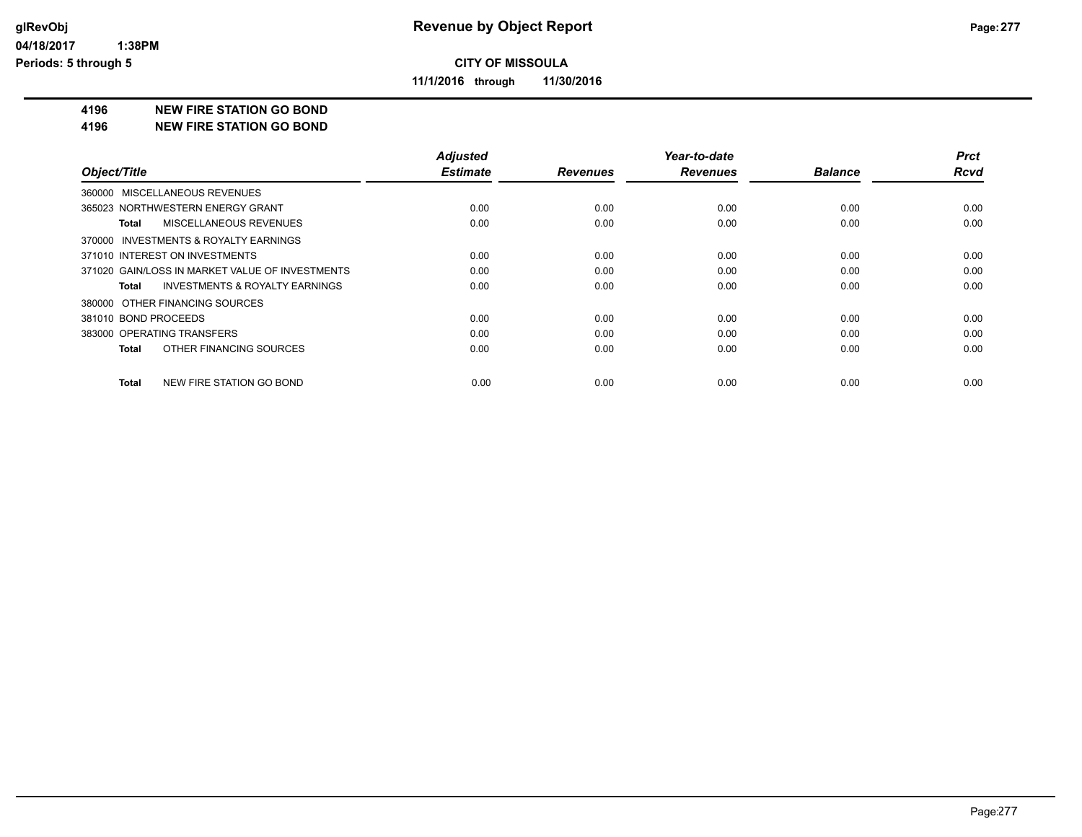**11/1/2016 through 11/30/2016**

**4196 NEW FIRE STATION GO BOND**

**4196 NEW FIRE STATION GO BOND**

|                                                 | <b>Adjusted</b> |                 | Year-to-date    |                | <b>Prct</b> |
|-------------------------------------------------|-----------------|-----------------|-----------------|----------------|-------------|
| Object/Title                                    | <b>Estimate</b> | <b>Revenues</b> | <b>Revenues</b> | <b>Balance</b> | <b>Rcvd</b> |
| 360000 MISCELLANEOUS REVENUES                   |                 |                 |                 |                |             |
| 365023 NORTHWESTERN ENERGY GRANT                | 0.00            | 0.00            | 0.00            | 0.00           | 0.00        |
| MISCELLANEOUS REVENUES<br>Total                 | 0.00            | 0.00            | 0.00            | 0.00           | 0.00        |
| 370000 INVESTMENTS & ROYALTY EARNINGS           |                 |                 |                 |                |             |
| 371010 INTEREST ON INVESTMENTS                  | 0.00            | 0.00            | 0.00            | 0.00           | 0.00        |
| 371020 GAIN/LOSS IN MARKET VALUE OF INVESTMENTS | 0.00            | 0.00            | 0.00            | 0.00           | 0.00        |
| INVESTMENTS & ROYALTY EARNINGS<br>Total         | 0.00            | 0.00            | 0.00            | 0.00           | 0.00        |
| 380000 OTHER FINANCING SOURCES                  |                 |                 |                 |                |             |
| 381010 BOND PROCEEDS                            | 0.00            | 0.00            | 0.00            | 0.00           | 0.00        |
| 383000 OPERATING TRANSFERS                      | 0.00            | 0.00            | 0.00            | 0.00           | 0.00        |
| OTHER FINANCING SOURCES<br>Total                | 0.00            | 0.00            | 0.00            | 0.00           | 0.00        |
| NEW FIRE STATION GO BOND<br><b>Total</b>        | 0.00            | 0.00            | 0.00            | 0.00           | 0.00        |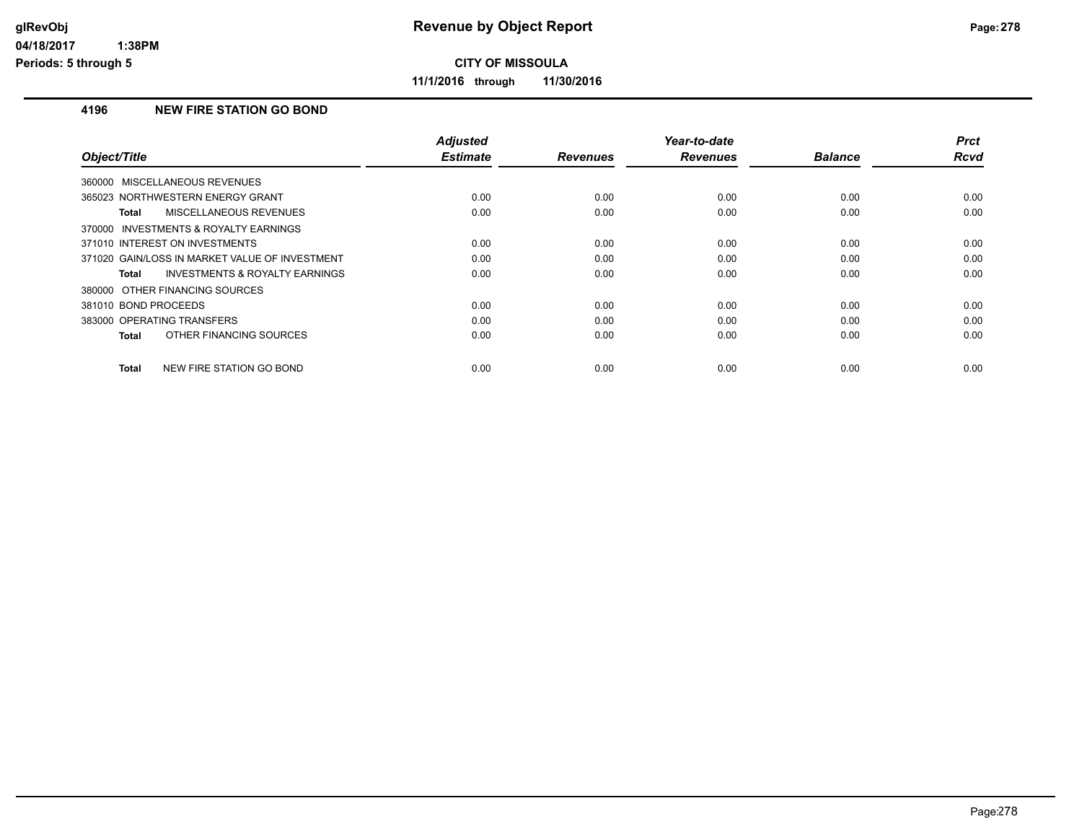**11/1/2016 through 11/30/2016**

#### **4196 NEW FIRE STATION GO BOND**

| Object/Title                                       | <b>Adjusted</b><br><b>Estimate</b> | <b>Revenues</b> | Year-to-date<br><b>Revenues</b> | <b>Balance</b> | <b>Prct</b><br>Rcvd |
|----------------------------------------------------|------------------------------------|-----------------|---------------------------------|----------------|---------------------|
|                                                    |                                    |                 |                                 |                |                     |
| 360000 MISCELLANEOUS REVENUES                      |                                    |                 |                                 |                |                     |
| 365023 NORTHWESTERN ENERGY GRANT                   | 0.00                               | 0.00            | 0.00                            | 0.00           | 0.00                |
| MISCELLANEOUS REVENUES<br><b>Total</b>             | 0.00                               | 0.00            | 0.00                            | 0.00           | 0.00                |
| 370000 INVESTMENTS & ROYALTY EARNINGS              |                                    |                 |                                 |                |                     |
| 371010 INTEREST ON INVESTMENTS                     | 0.00                               | 0.00            | 0.00                            | 0.00           | 0.00                |
| 371020 GAIN/LOSS IN MARKET VALUE OF INVESTMENT     | 0.00                               | 0.00            | 0.00                            | 0.00           | 0.00                |
| <b>INVESTMENTS &amp; ROYALTY EARNINGS</b><br>Total | 0.00                               | 0.00            | 0.00                            | 0.00           | 0.00                |
| 380000 OTHER FINANCING SOURCES                     |                                    |                 |                                 |                |                     |
| 381010 BOND PROCEEDS                               | 0.00                               | 0.00            | 0.00                            | 0.00           | 0.00                |
| 383000 OPERATING TRANSFERS                         | 0.00                               | 0.00            | 0.00                            | 0.00           | 0.00                |
| OTHER FINANCING SOURCES<br><b>Total</b>            | 0.00                               | 0.00            | 0.00                            | 0.00           | 0.00                |
| NEW FIRE STATION GO BOND<br><b>Total</b>           | 0.00                               | 0.00            | 0.00                            | 0.00           | 0.00                |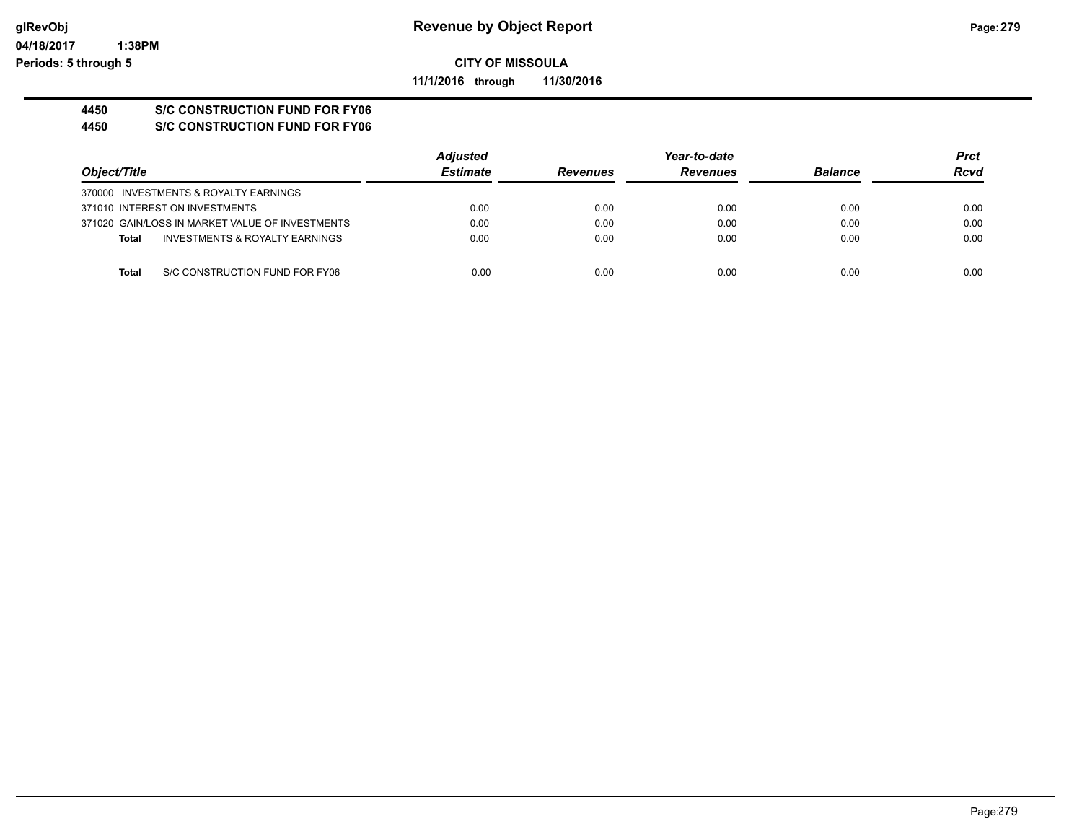**11/1/2016 through 11/30/2016**

#### **4450 S/C CONSTRUCTION FUND FOR FY06 4450 S/C CONSTRUCTION FUND FOR FY06**

|                                                 | <b>Adjusted</b> |                 | Year-to-date    |                | <b>Prct</b> |
|-------------------------------------------------|-----------------|-----------------|-----------------|----------------|-------------|
| Object/Title                                    | <b>Estimate</b> | <b>Revenues</b> | <b>Revenues</b> | <b>Balance</b> | Rcvd        |
| 370000 INVESTMENTS & ROYALTY EARNINGS           |                 |                 |                 |                |             |
| 371010 INTEREST ON INVESTMENTS                  | 0.00            | 0.00            | 0.00            | 0.00           | 0.00        |
| 371020 GAIN/LOSS IN MARKET VALUE OF INVESTMENTS | 0.00            | 0.00            | 0.00            | 0.00           | 0.00        |
| INVESTMENTS & ROYALTY EARNINGS<br>Total         | 0.00            | 0.00            | 0.00            | 0.00           | 0.00        |
|                                                 |                 |                 |                 |                |             |
| S/C CONSTRUCTION FUND FOR FY06<br>Total         | 0.00            | 0.00            | 0.00            | 0.00           | 0.00        |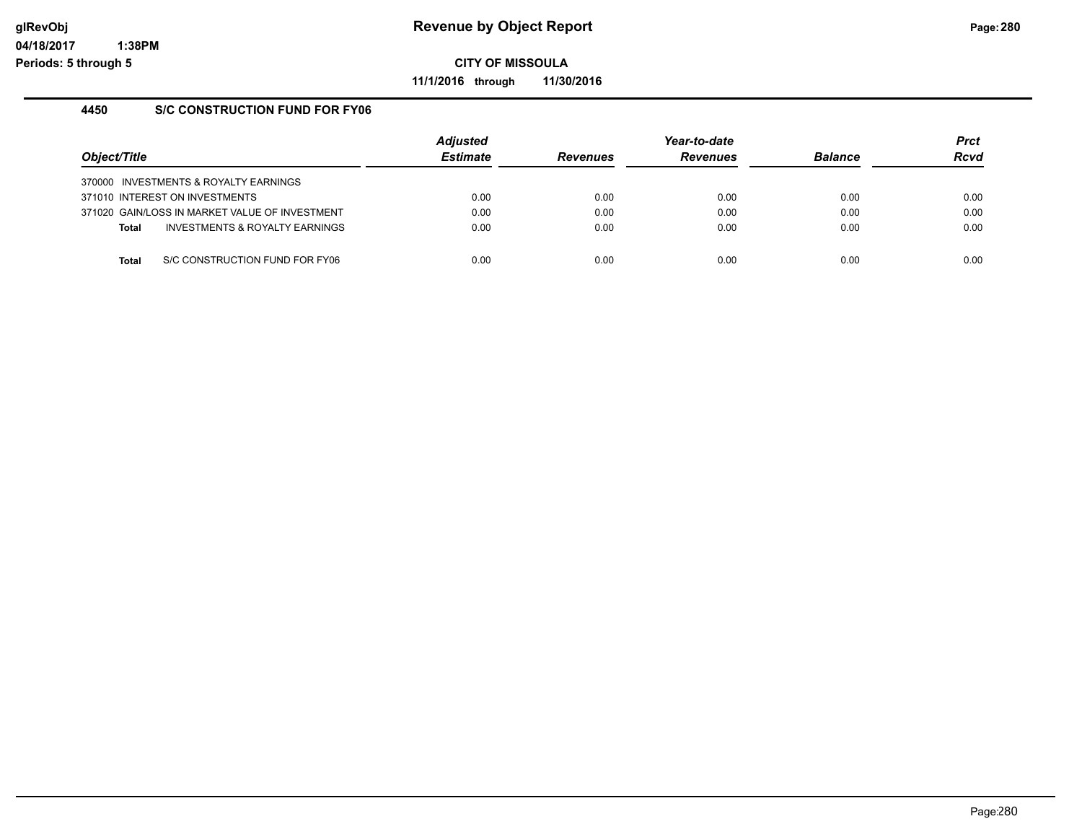**11/1/2016 through 11/30/2016**

#### **4450 S/C CONSTRUCTION FUND FOR FY06**

|                                                | <b>Adjusted</b> | Year-to-date    |                 |                | <b>Prct</b> |
|------------------------------------------------|-----------------|-----------------|-----------------|----------------|-------------|
| Object/Title                                   | <b>Estimate</b> | <b>Revenues</b> | <b>Revenues</b> | <b>Balance</b> | <b>Rcvd</b> |
| 370000 INVESTMENTS & ROYALTY EARNINGS          |                 |                 |                 |                |             |
| 371010 INTEREST ON INVESTMENTS                 | 0.00            | 0.00            | 0.00            | 0.00           | 0.00        |
| 371020 GAIN/LOSS IN MARKET VALUE OF INVESTMENT | 0.00            | 0.00            | 0.00            | 0.00           | 0.00        |
| INVESTMENTS & ROYALTY EARNINGS<br>Total        | 0.00            | 0.00            | 0.00            | 0.00           | 0.00        |
| Total<br>S/C CONSTRUCTION FUND FOR FY06        | 0.00            | 0.00            | 0.00            | 0.00           | 0.00        |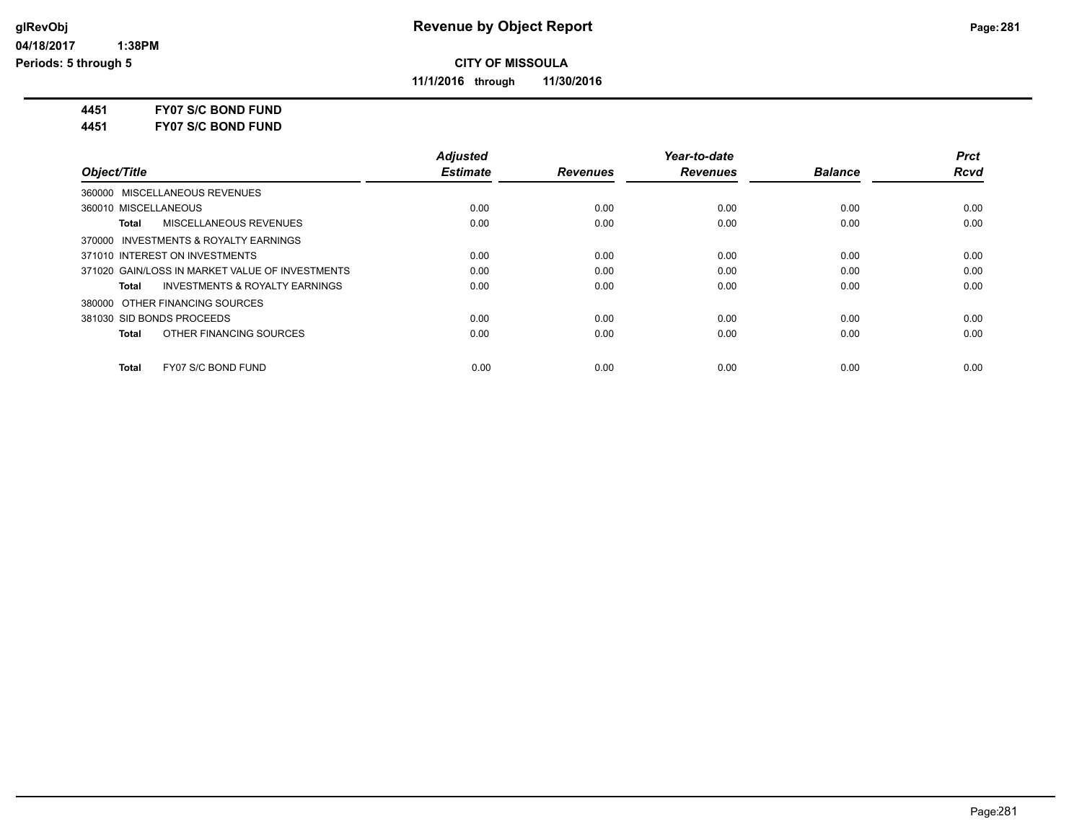**11/1/2016 through 11/30/2016**

**4451 FY07 S/C BOND FUND**

**4451 FY07 S/C BOND FUND**

|                                                 | <b>Adjusted</b> |                 | Year-to-date    |                | <b>Prct</b> |
|-------------------------------------------------|-----------------|-----------------|-----------------|----------------|-------------|
| Object/Title                                    | <b>Estimate</b> | <b>Revenues</b> | <b>Revenues</b> | <b>Balance</b> | Rcvd        |
| 360000 MISCELLANEOUS REVENUES                   |                 |                 |                 |                |             |
| 360010 MISCELLANEOUS                            | 0.00            | 0.00            | 0.00            | 0.00           | 0.00        |
| <b>MISCELLANEOUS REVENUES</b><br>Total          | 0.00            | 0.00            | 0.00            | 0.00           | 0.00        |
| 370000 INVESTMENTS & ROYALTY EARNINGS           |                 |                 |                 |                |             |
| 371010 INTEREST ON INVESTMENTS                  | 0.00            | 0.00            | 0.00            | 0.00           | 0.00        |
| 371020 GAIN/LOSS IN MARKET VALUE OF INVESTMENTS | 0.00            | 0.00            | 0.00            | 0.00           | 0.00        |
| INVESTMENTS & ROYALTY EARNINGS<br>Total         | 0.00            | 0.00            | 0.00            | 0.00           | 0.00        |
| 380000 OTHER FINANCING SOURCES                  |                 |                 |                 |                |             |
| 381030 SID BONDS PROCEEDS                       | 0.00            | 0.00            | 0.00            | 0.00           | 0.00        |
| OTHER FINANCING SOURCES<br>Total                | 0.00            | 0.00            | 0.00            | 0.00           | 0.00        |
| FY07 S/C BOND FUND<br><b>Total</b>              | 0.00            | 0.00            | 0.00            | 0.00           | 0.00        |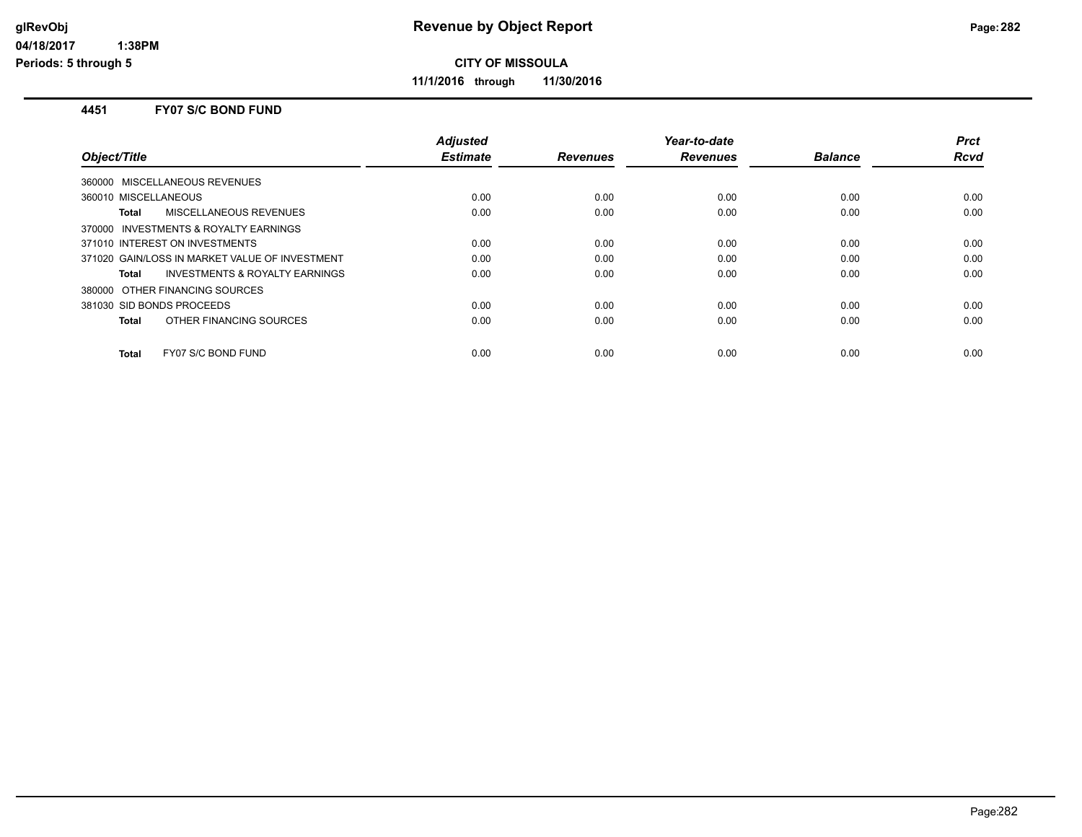**11/1/2016 through 11/30/2016**

#### **4451 FY07 S/C BOND FUND**

|                                                           | <b>Adjusted</b> |                 | Year-to-date    |                | <b>Prct</b> |
|-----------------------------------------------------------|-----------------|-----------------|-----------------|----------------|-------------|
| Object/Title                                              | <b>Estimate</b> | <b>Revenues</b> | <b>Revenues</b> | <b>Balance</b> | <b>Rcvd</b> |
| MISCELLANEOUS REVENUES<br>360000                          |                 |                 |                 |                |             |
| 360010 MISCELLANEOUS                                      | 0.00            | 0.00            | 0.00            | 0.00           | 0.00        |
| MISCELLANEOUS REVENUES<br><b>Total</b>                    | 0.00            | 0.00            | 0.00            | 0.00           | 0.00        |
| 370000 INVESTMENTS & ROYALTY EARNINGS                     |                 |                 |                 |                |             |
| 371010 INTEREST ON INVESTMENTS                            | 0.00            | 0.00            | 0.00            | 0.00           | 0.00        |
| 371020 GAIN/LOSS IN MARKET VALUE OF INVESTMENT            | 0.00            | 0.00            | 0.00            | 0.00           | 0.00        |
| <b>INVESTMENTS &amp; ROYALTY EARNINGS</b><br><b>Total</b> | 0.00            | 0.00            | 0.00            | 0.00           | 0.00        |
| 380000 OTHER FINANCING SOURCES                            |                 |                 |                 |                |             |
| 381030 SID BONDS PROCEEDS                                 | 0.00            | 0.00            | 0.00            | 0.00           | 0.00        |
| OTHER FINANCING SOURCES<br><b>Total</b>                   | 0.00            | 0.00            | 0.00            | 0.00           | 0.00        |
| FY07 S/C BOND FUND<br><b>Total</b>                        | 0.00            | 0.00            | 0.00            | 0.00           | 0.00        |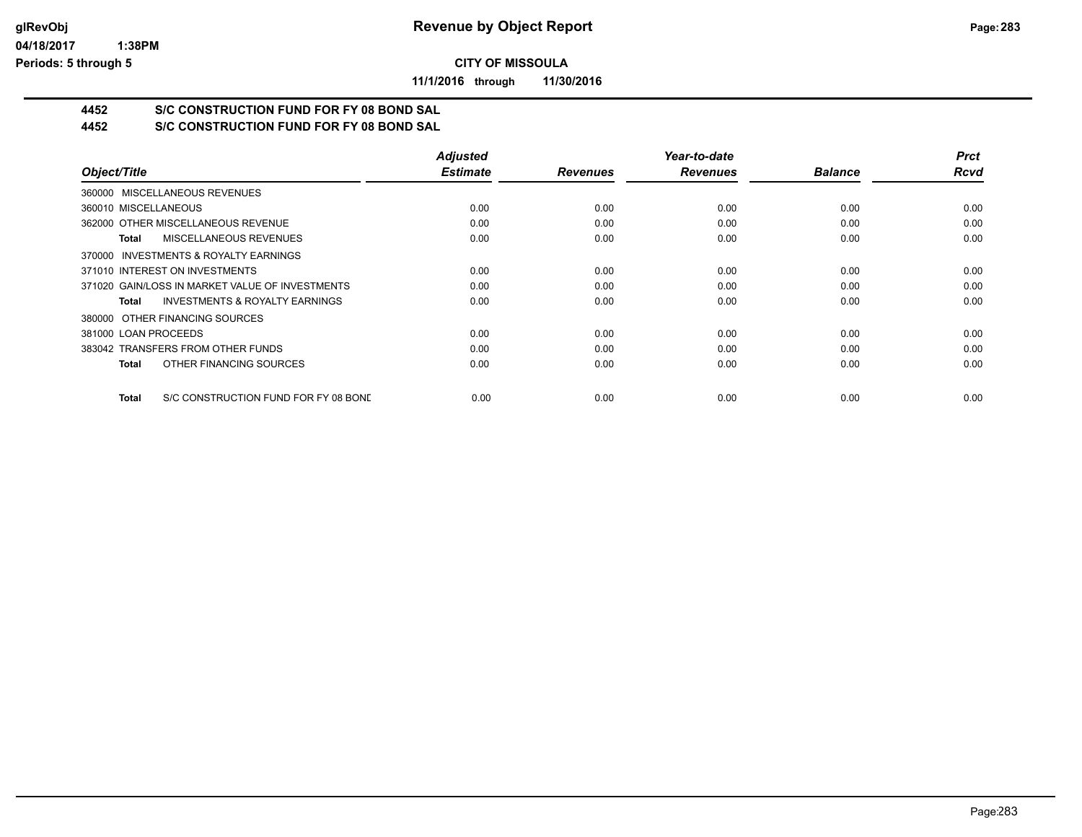*Prct Rcvd*

## **CITY OF MISSOULA**

**11/1/2016 through 11/30/2016**

#### **4452 S/C CONSTRUCTION FUND FOR FY 08 BOND SAL 4452 S/C CONSTRUCTION FUND FOR FY 08 BOND SAL**

|                                                      | <b>Adjusted</b> |                 | Year-to-date    |                | <b>Prct</b> |
|------------------------------------------------------|-----------------|-----------------|-----------------|----------------|-------------|
| Object/Title                                         | <b>Estimate</b> | <b>Revenues</b> | <b>Revenues</b> | <b>Balance</b> | Rcva        |
| 360000 MISCELLANEOUS REVENUES                        |                 |                 |                 |                |             |
| 360010 MISCELLANEOUS                                 | 0.00            | 0.00            | 0.00            | 0.00           | 0.00        |
| 362000 OTHER MISCELLANEOUS REVENUE                   | 0.00            | 0.00            | 0.00            | 0.00           | 0.00        |
| <b>MISCELLANEOUS REVENUES</b><br><b>Total</b>        | 0.00            | 0.00            | 0.00            | 0.00           | 0.00        |
| INVESTMENTS & ROYALTY EARNINGS<br>370000             |                 |                 |                 |                |             |
| 371010 INTEREST ON INVESTMENTS                       | 0.00            | 0.00            | 0.00            | 0.00           | 0.00        |
| 371020 GAIN/LOSS IN MARKET VALUE OF INVESTMENTS      | 0.00            | 0.00            | 0.00            | 0.00           | 0.00        |
| <b>INVESTMENTS &amp; ROYALTY EARNINGS</b><br>Total   | 0.00            | 0.00            | 0.00            | 0.00           | 0.00        |
| 380000 OTHER FINANCING SOURCES                       |                 |                 |                 |                |             |
| 381000 LOAN PROCEEDS                                 | 0.00            | 0.00            | 0.00            | 0.00           | 0.00        |
| 383042 TRANSFERS FROM OTHER FUNDS                    | 0.00            | 0.00            | 0.00            | 0.00           | 0.00        |
| OTHER FINANCING SOURCES<br><b>Total</b>              | 0.00            | 0.00            | 0.00            | 0.00           | 0.00        |
| S/C CONSTRUCTION FUND FOR FY 08 BOND<br><b>Total</b> | 0.00            | 0.00            | 0.00            | 0.00           | 0.00        |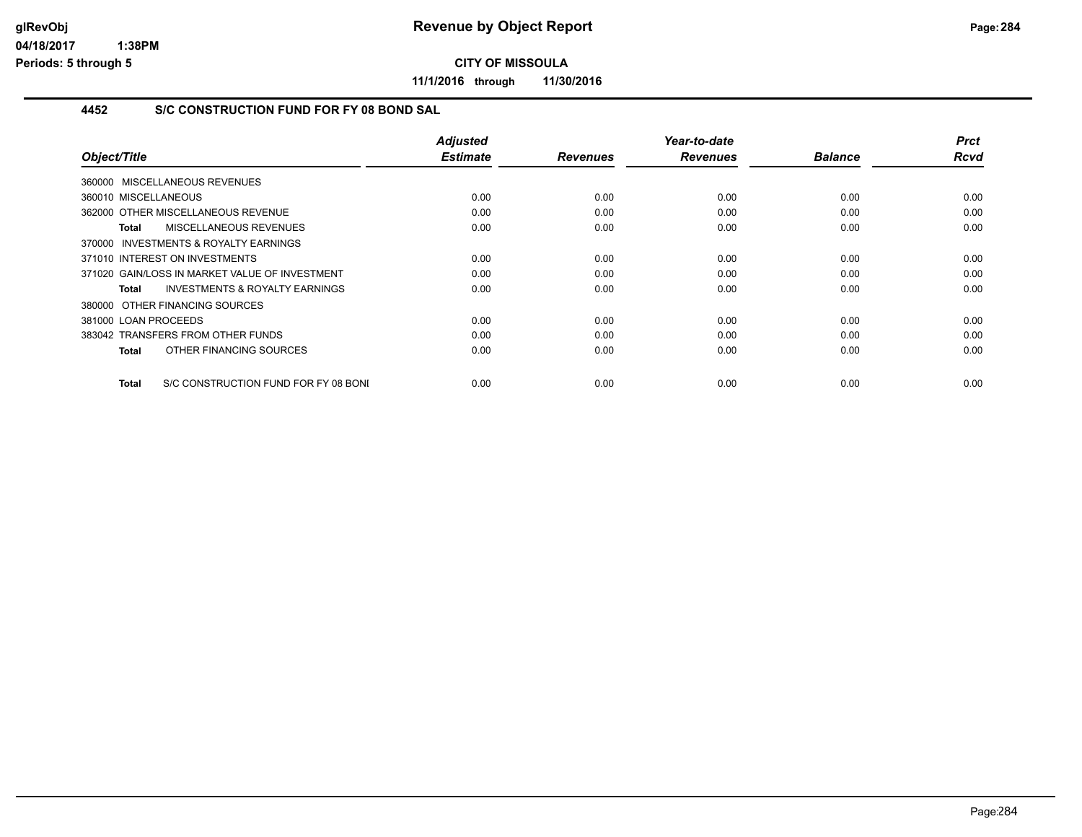**11/1/2016 through 11/30/2016**

#### **4452 S/C CONSTRUCTION FUND FOR FY 08 BOND SAL**

|                                                      | <b>Adjusted</b> |                 | Year-to-date    |                | <b>Prct</b> |
|------------------------------------------------------|-----------------|-----------------|-----------------|----------------|-------------|
| Object/Title                                         | <b>Estimate</b> | <b>Revenues</b> | <b>Revenues</b> | <b>Balance</b> | Rcvd        |
| 360000 MISCELLANEOUS REVENUES                        |                 |                 |                 |                |             |
| 360010 MISCELLANEOUS                                 | 0.00            | 0.00            | 0.00            | 0.00           | 0.00        |
| 362000 OTHER MISCELLANEOUS REVENUE                   | 0.00            | 0.00            | 0.00            | 0.00           | 0.00        |
| MISCELLANEOUS REVENUES<br>Total                      | 0.00            | 0.00            | 0.00            | 0.00           | 0.00        |
| 370000 INVESTMENTS & ROYALTY EARNINGS                |                 |                 |                 |                |             |
| 371010 INTEREST ON INVESTMENTS                       | 0.00            | 0.00            | 0.00            | 0.00           | 0.00        |
| 371020 GAIN/LOSS IN MARKET VALUE OF INVESTMENT       | 0.00            | 0.00            | 0.00            | 0.00           | 0.00        |
| <b>INVESTMENTS &amp; ROYALTY EARNINGS</b><br>Total   | 0.00            | 0.00            | 0.00            | 0.00           | 0.00        |
| 380000 OTHER FINANCING SOURCES                       |                 |                 |                 |                |             |
| 381000 LOAN PROCEEDS                                 | 0.00            | 0.00            | 0.00            | 0.00           | 0.00        |
| 383042 TRANSFERS FROM OTHER FUNDS                    | 0.00            | 0.00            | 0.00            | 0.00           | 0.00        |
| OTHER FINANCING SOURCES<br>Total                     | 0.00            | 0.00            | 0.00            | 0.00           | 0.00        |
|                                                      |                 |                 |                 |                |             |
| S/C CONSTRUCTION FUND FOR FY 08 BONI<br><b>Total</b> | 0.00            | 0.00            | 0.00            | 0.00           | 0.00        |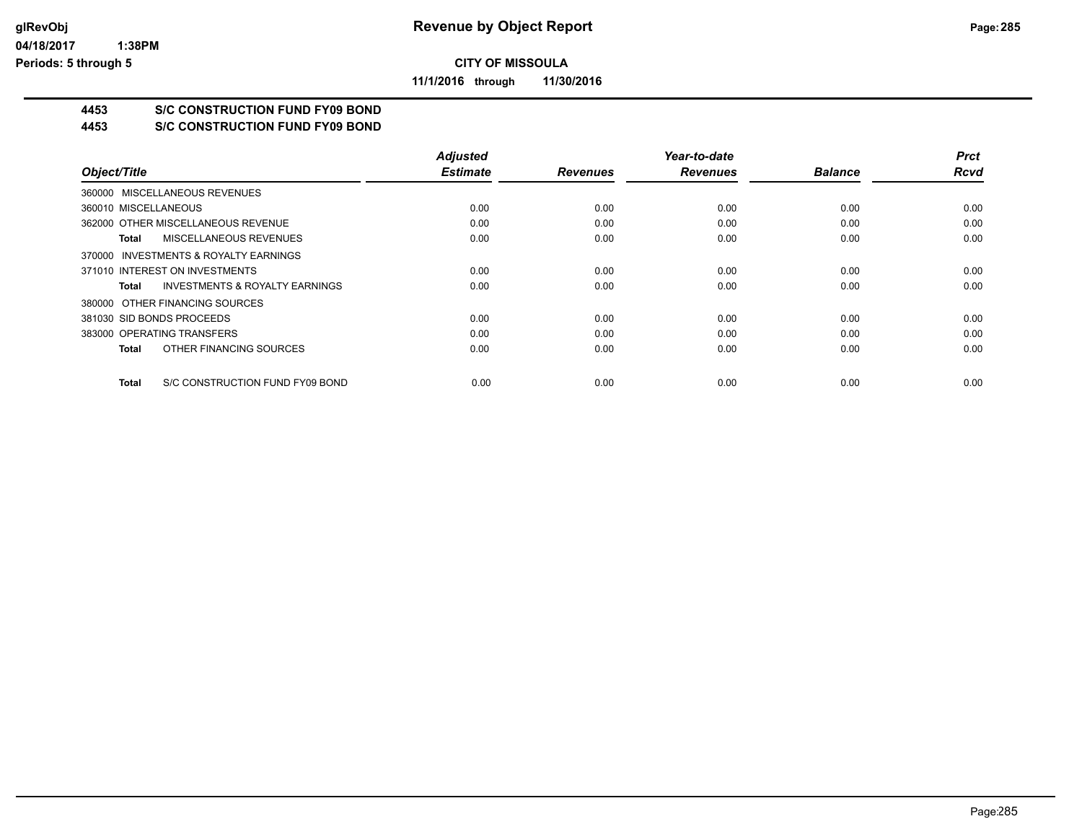**11/1/2016 through 11/30/2016**

#### **4453 S/C CONSTRUCTION FUND FY09 BOND 4453 S/C CONSTRUCTION FUND FY09 BOND**

|                                                    | <b>Adjusted</b> |                 | Year-to-date    |                | <b>Prct</b> |
|----------------------------------------------------|-----------------|-----------------|-----------------|----------------|-------------|
| Object/Title                                       | <b>Estimate</b> | <b>Revenues</b> | <b>Revenues</b> | <b>Balance</b> | Rcvd        |
| 360000 MISCELLANEOUS REVENUES                      |                 |                 |                 |                |             |
| 360010 MISCELLANEOUS                               | 0.00            | 0.00            | 0.00            | 0.00           | 0.00        |
| 362000 OTHER MISCELLANEOUS REVENUE                 | 0.00            | 0.00            | 0.00            | 0.00           | 0.00        |
| MISCELLANEOUS REVENUES<br>Total                    | 0.00            | 0.00            | 0.00            | 0.00           | 0.00        |
| INVESTMENTS & ROYALTY EARNINGS<br>370000           |                 |                 |                 |                |             |
| 371010 INTEREST ON INVESTMENTS                     | 0.00            | 0.00            | 0.00            | 0.00           | 0.00        |
| <b>INVESTMENTS &amp; ROYALTY EARNINGS</b><br>Total | 0.00            | 0.00            | 0.00            | 0.00           | 0.00        |
| OTHER FINANCING SOURCES<br>380000                  |                 |                 |                 |                |             |
| 381030 SID BONDS PROCEEDS                          | 0.00            | 0.00            | 0.00            | 0.00           | 0.00        |
| 383000 OPERATING TRANSFERS                         | 0.00            | 0.00            | 0.00            | 0.00           | 0.00        |
| OTHER FINANCING SOURCES<br>Total                   | 0.00            | 0.00            | 0.00            | 0.00           | 0.00        |
| S/C CONSTRUCTION FUND FY09 BOND<br><b>Total</b>    | 0.00            | 0.00            | 0.00            | 0.00           | 0.00        |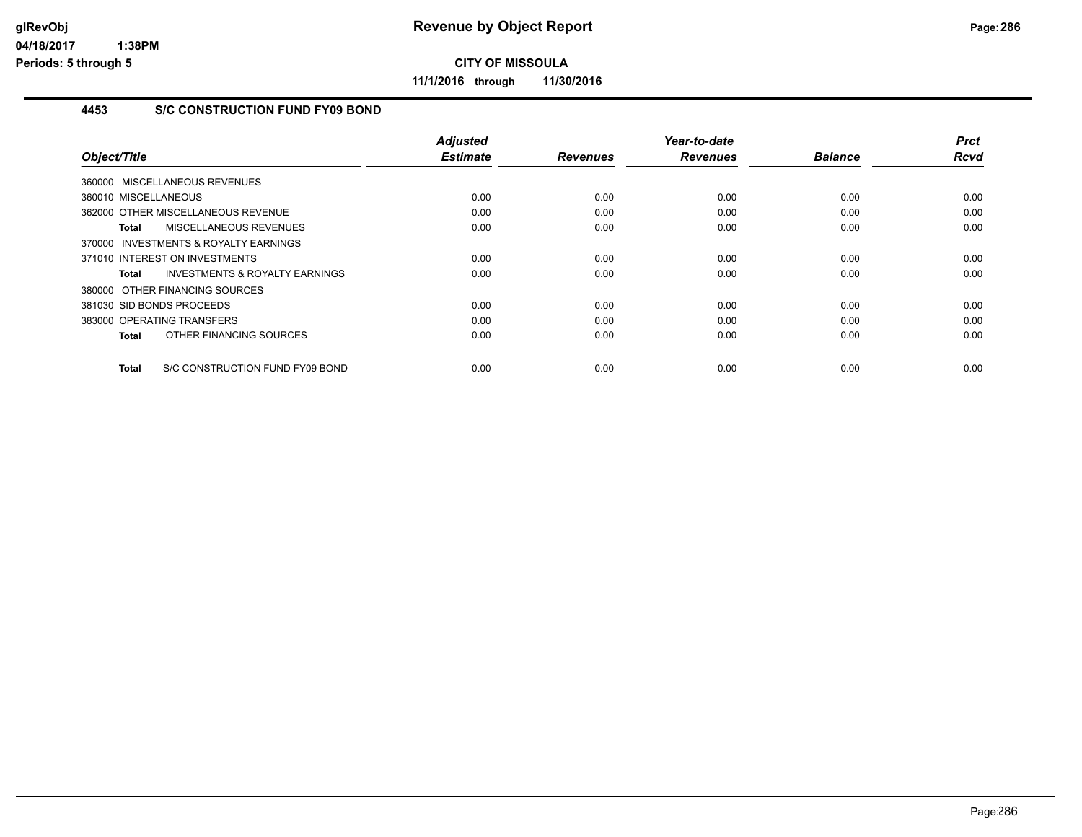**11/1/2016 through 11/30/2016**

#### **4453 S/C CONSTRUCTION FUND FY09 BOND**

|                                                 | <b>Adjusted</b> |                 | Year-to-date    |                | <b>Prct</b> |
|-------------------------------------------------|-----------------|-----------------|-----------------|----------------|-------------|
| Object/Title                                    | <b>Estimate</b> | <b>Revenues</b> | <b>Revenues</b> | <b>Balance</b> | <b>Rcvd</b> |
| 360000 MISCELLANEOUS REVENUES                   |                 |                 |                 |                |             |
| 360010 MISCELLANEOUS                            | 0.00            | 0.00            | 0.00            | 0.00           | 0.00        |
| 362000 OTHER MISCELLANEOUS REVENUE              | 0.00            | 0.00            | 0.00            | 0.00           | 0.00        |
| MISCELLANEOUS REVENUES<br>Total                 | 0.00            | 0.00            | 0.00            | 0.00           | 0.00        |
| 370000 INVESTMENTS & ROYALTY EARNINGS           |                 |                 |                 |                |             |
| 371010 INTEREST ON INVESTMENTS                  | 0.00            | 0.00            | 0.00            | 0.00           | 0.00        |
| INVESTMENTS & ROYALTY EARNINGS<br>Total         | 0.00            | 0.00            | 0.00            | 0.00           | 0.00        |
| 380000 OTHER FINANCING SOURCES                  |                 |                 |                 |                |             |
| 381030 SID BONDS PROCEEDS                       | 0.00            | 0.00            | 0.00            | 0.00           | 0.00        |
| 383000 OPERATING TRANSFERS                      | 0.00            | 0.00            | 0.00            | 0.00           | 0.00        |
| OTHER FINANCING SOURCES<br><b>Total</b>         | 0.00            | 0.00            | 0.00            | 0.00           | 0.00        |
| S/C CONSTRUCTION FUND FY09 BOND<br><b>Total</b> | 0.00            | 0.00            | 0.00            | 0.00           | 0.00        |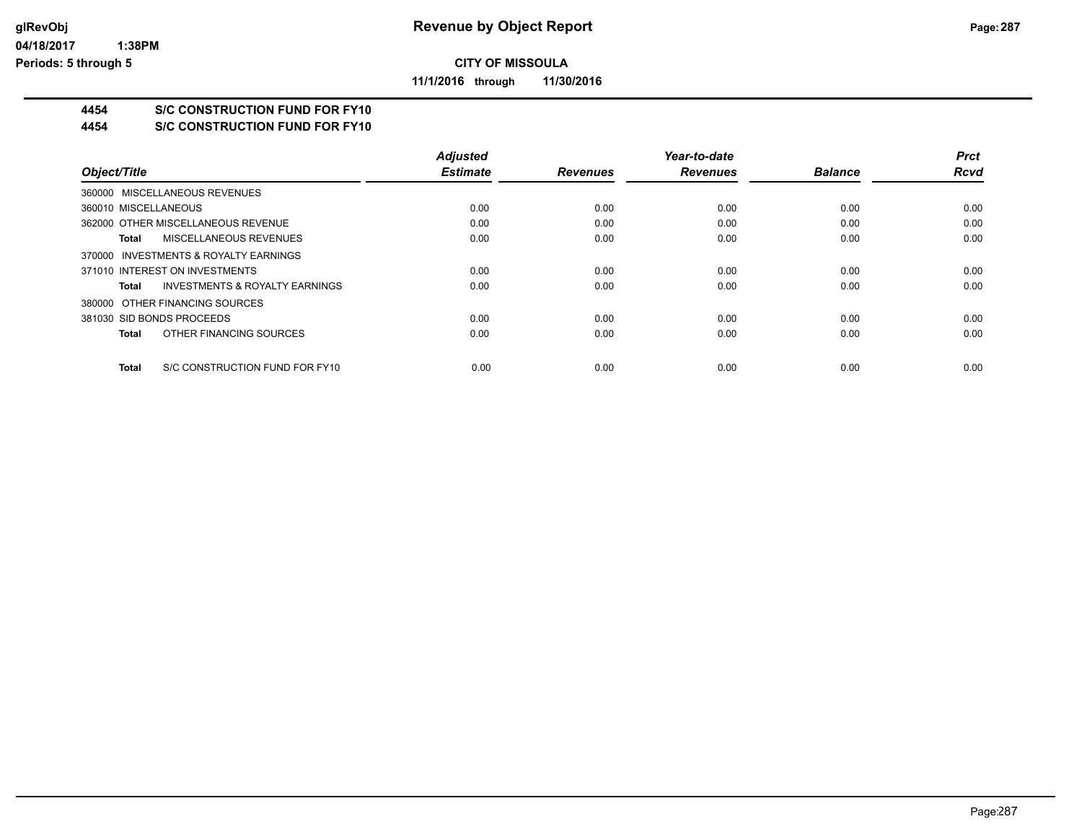**11/1/2016 through 11/30/2016**

**4454 S/C CONSTRUCTION FUND FOR FY10 4454 S/C CONSTRUCTION FUND FOR FY10**

*Object/Title Adjusted Estimate Revenues Year-to-date Revenues Balance Prct Rcvd* 360000 MISCELLANEOUS REVENUES 360010 MISCELLANEOUS 0.00 0.00 0.00 0.00 0.00 362000 OTHER MISCELLANEOUS REVENUE 0.00 0.00 0.00 0.00 0.00 **Total** MISCELLANEOUS REVENUES 0.00 0.00 0.00 0.00 0.00 370000 INVESTMENTS & ROYALTY EARNINGS 371010 INTEREST ON INVESTMENTS 0.00 0.00 0.00 0.00 0.00 **Total** INVESTMENTS & ROYALTY EARNINGS 0.00 0.00 0.00 0.00 0.00 380000 OTHER FINANCING SOURCES 381030 SID BONDS PROCEEDS 0.00 0.00 0.00 0.00 0.00 **Total** OTHER FINANCING SOURCES 0.00 0.00 0.00 0.00 0.00 **Total** S/C CONSTRUCTION FUND FOR FY10 0.00 0.00 0.00 0.00 0.00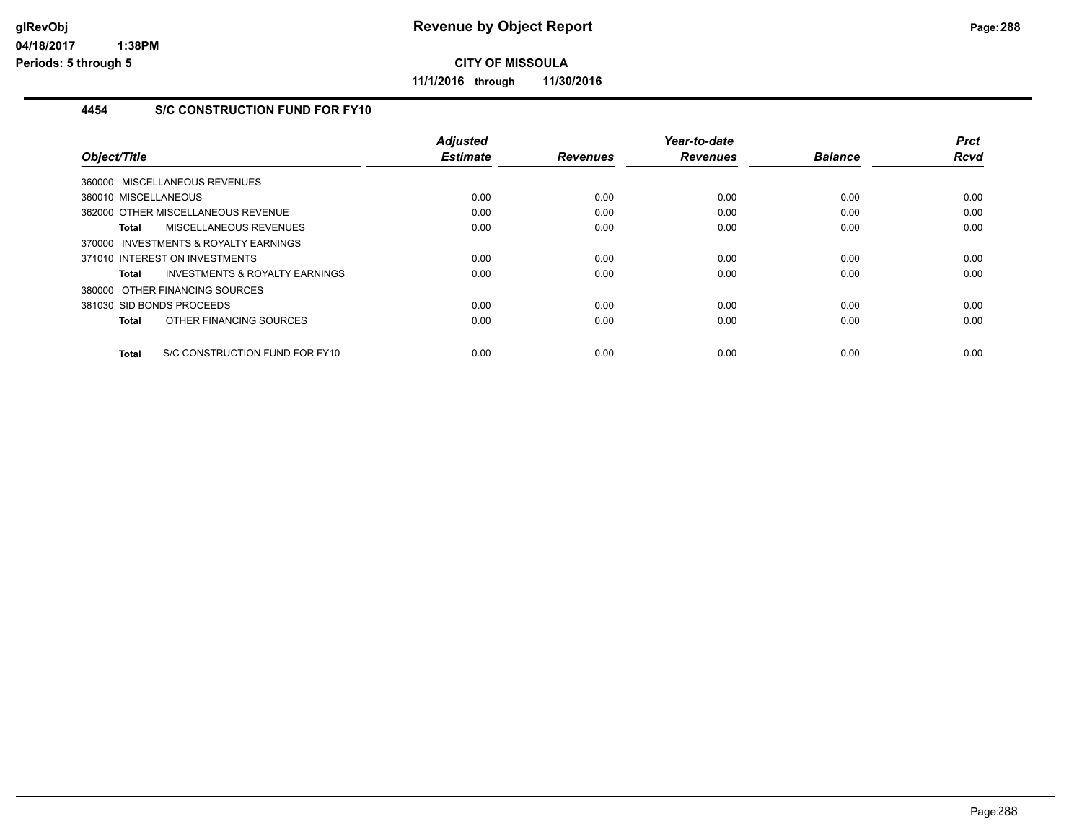**11/1/2016 through 11/30/2016**

#### **4454 S/C CONSTRUCTION FUND FOR FY10**

|                                         | <b>Adjusted</b><br><b>Estimate</b> |                 | Year-to-date<br><b>Revenues</b> | <b>Balance</b> | <b>Prct</b><br><b>Rcvd</b> |
|-----------------------------------------|------------------------------------|-----------------|---------------------------------|----------------|----------------------------|
| Object/Title                            |                                    | <b>Revenues</b> |                                 |                |                            |
| 360000 MISCELLANEOUS REVENUES           |                                    |                 |                                 |                |                            |
| 360010 MISCELLANEOUS                    | 0.00                               | 0.00            | 0.00                            | 0.00           | 0.00                       |
| 362000 OTHER MISCELLANEOUS REVENUE      | 0.00                               | 0.00            | 0.00                            | 0.00           | 0.00                       |
| MISCELLANEOUS REVENUES<br>Total         | 0.00                               | 0.00            | 0.00                            | 0.00           | 0.00                       |
| 370000 INVESTMENTS & ROYALTY EARNINGS   |                                    |                 |                                 |                |                            |
| 371010 INTEREST ON INVESTMENTS          | 0.00                               | 0.00            | 0.00                            | 0.00           | 0.00                       |
| INVESTMENTS & ROYALTY EARNINGS<br>Total | 0.00                               | 0.00            | 0.00                            | 0.00           | 0.00                       |
| 380000 OTHER FINANCING SOURCES          |                                    |                 |                                 |                |                            |
| 381030 SID BONDS PROCEEDS               | 0.00                               | 0.00            | 0.00                            | 0.00           | 0.00                       |
| OTHER FINANCING SOURCES<br>Total        | 0.00                               | 0.00            | 0.00                            | 0.00           | 0.00                       |
| S/C CONSTRUCTION FUND FOR FY10<br>Total | 0.00                               | 0.00            | 0.00                            | 0.00           | 0.00                       |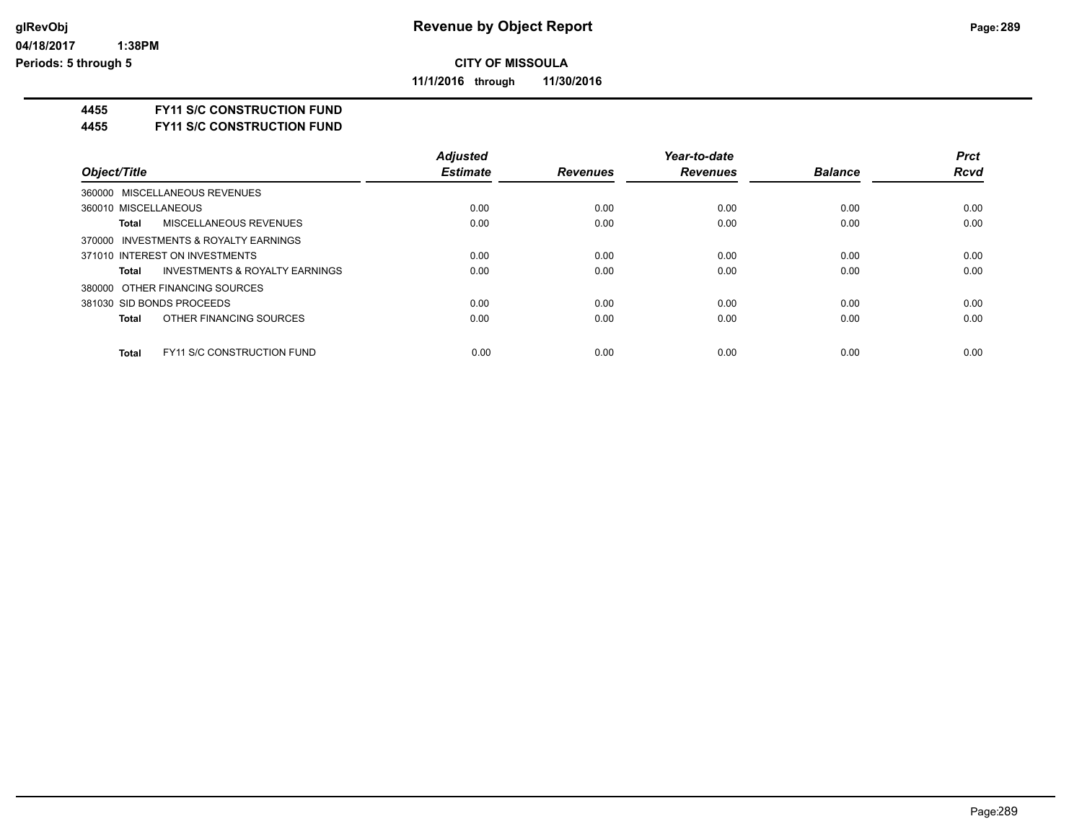**11/1/2016 through 11/30/2016**

**4455 FY11 S/C CONSTRUCTION FUND**

**4455 FY11 S/C CONSTRUCTION FUND**

|                                         | <b>Adjusted</b> |                 | Year-to-date    |                | <b>Prct</b> |
|-----------------------------------------|-----------------|-----------------|-----------------|----------------|-------------|
| Object/Title                            | <b>Estimate</b> | <b>Revenues</b> | <b>Revenues</b> | <b>Balance</b> | <b>Rcvd</b> |
| 360000 MISCELLANEOUS REVENUES           |                 |                 |                 |                |             |
| 360010 MISCELLANEOUS                    | 0.00            | 0.00            | 0.00            | 0.00           | 0.00        |
| <b>MISCELLANEOUS REVENUES</b><br>Total  | 0.00            | 0.00            | 0.00            | 0.00           | 0.00        |
| 370000 INVESTMENTS & ROYALTY EARNINGS   |                 |                 |                 |                |             |
| 371010 INTEREST ON INVESTMENTS          | 0.00            | 0.00            | 0.00            | 0.00           | 0.00        |
| INVESTMENTS & ROYALTY EARNINGS<br>Total | 0.00            | 0.00            | 0.00            | 0.00           | 0.00        |
| 380000 OTHER FINANCING SOURCES          |                 |                 |                 |                |             |
| 381030 SID BONDS PROCEEDS               | 0.00            | 0.00            | 0.00            | 0.00           | 0.00        |
| OTHER FINANCING SOURCES<br>Total        | 0.00            | 0.00            | 0.00            | 0.00           | 0.00        |
|                                         |                 |                 |                 |                |             |
| FY11 S/C CONSTRUCTION FUND<br>Total     | 0.00            | 0.00            | 0.00            | 0.00           | 0.00        |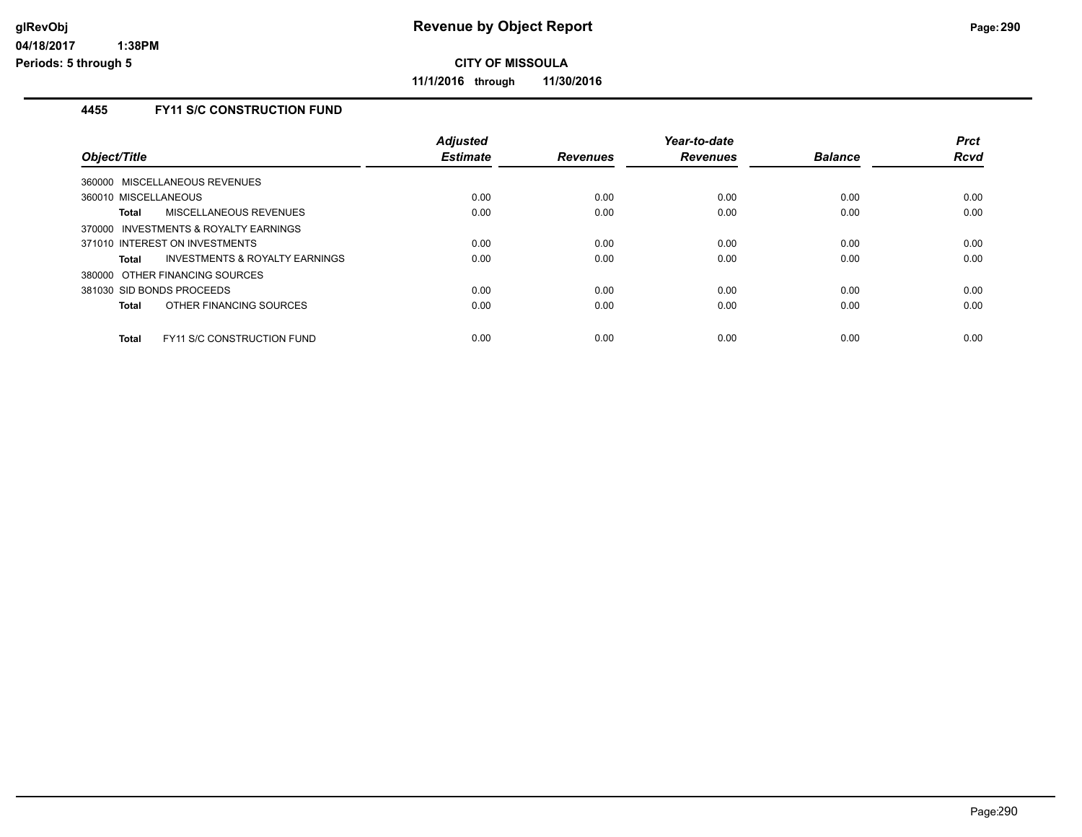**11/1/2016 through 11/30/2016**

### **4455 FY11 S/C CONSTRUCTION FUND**

| Object/Title                                       | <b>Adjusted</b><br><b>Estimate</b> | <b>Revenues</b> | Year-to-date<br><b>Revenues</b> | <b>Balance</b> | <b>Prct</b><br><b>Rcvd</b> |
|----------------------------------------------------|------------------------------------|-----------------|---------------------------------|----------------|----------------------------|
|                                                    |                                    |                 |                                 |                |                            |
| 360000 MISCELLANEOUS REVENUES                      |                                    |                 |                                 |                |                            |
| 360010 MISCELLANEOUS                               | 0.00                               | 0.00            | 0.00                            | 0.00           | 0.00                       |
| MISCELLANEOUS REVENUES<br>Total                    | 0.00                               | 0.00            | 0.00                            | 0.00           | 0.00                       |
| INVESTMENTS & ROYALTY EARNINGS<br>370000           |                                    |                 |                                 |                |                            |
| 371010 INTEREST ON INVESTMENTS                     | 0.00                               | 0.00            | 0.00                            | 0.00           | 0.00                       |
| <b>INVESTMENTS &amp; ROYALTY EARNINGS</b><br>Total | 0.00                               | 0.00            | 0.00                            | 0.00           | 0.00                       |
| 380000 OTHER FINANCING SOURCES                     |                                    |                 |                                 |                |                            |
| 381030 SID BONDS PROCEEDS                          | 0.00                               | 0.00            | 0.00                            | 0.00           | 0.00                       |
| OTHER FINANCING SOURCES<br>Total                   | 0.00                               | 0.00            | 0.00                            | 0.00           | 0.00                       |
| <b>FY11 S/C CONSTRUCTION FUND</b><br>Total         | 0.00                               | 0.00            | 0.00                            | 0.00           | 0.00                       |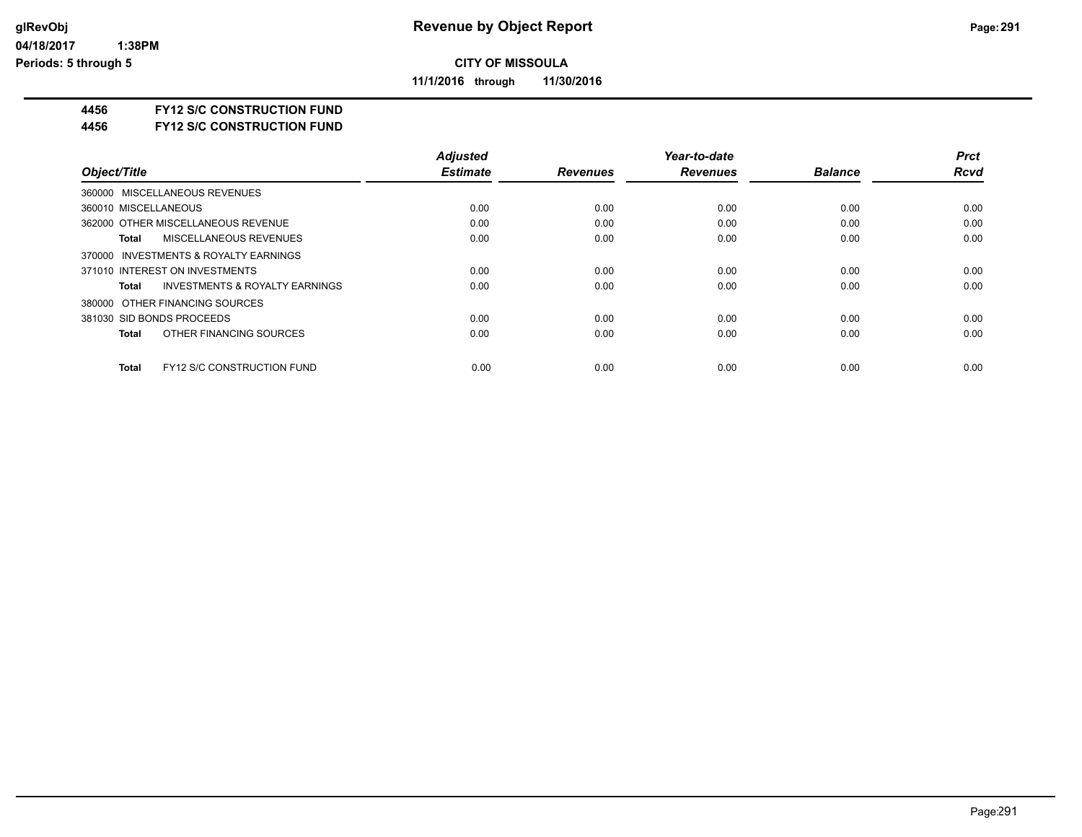**11/1/2016 through 11/30/2016**

**4456 FY12 S/C CONSTRUCTION FUND**

**4456 FY12 S/C CONSTRUCTION FUND**

|                                                    | <b>Adjusted</b> |                 | Year-to-date    |                | <b>Prct</b> |
|----------------------------------------------------|-----------------|-----------------|-----------------|----------------|-------------|
| Object/Title                                       | <b>Estimate</b> | <b>Revenues</b> | <b>Revenues</b> | <b>Balance</b> | <b>Rcvd</b> |
| 360000 MISCELLANEOUS REVENUES                      |                 |                 |                 |                |             |
| 360010 MISCELLANEOUS                               | 0.00            | 0.00            | 0.00            | 0.00           | 0.00        |
| 362000 OTHER MISCELLANEOUS REVENUE                 | 0.00            | 0.00            | 0.00            | 0.00           | 0.00        |
| <b>MISCELLANEOUS REVENUES</b><br>Total             | 0.00            | 0.00            | 0.00            | 0.00           | 0.00        |
| 370000 INVESTMENTS & ROYALTY EARNINGS              |                 |                 |                 |                |             |
| 371010 INTEREST ON INVESTMENTS                     | 0.00            | 0.00            | 0.00            | 0.00           | 0.00        |
| <b>INVESTMENTS &amp; ROYALTY EARNINGS</b><br>Total | 0.00            | 0.00            | 0.00            | 0.00           | 0.00        |
| 380000 OTHER FINANCING SOURCES                     |                 |                 |                 |                |             |
| 381030 SID BONDS PROCEEDS                          | 0.00            | 0.00            | 0.00            | 0.00           | 0.00        |
| OTHER FINANCING SOURCES<br>Total                   | 0.00            | 0.00            | 0.00            | 0.00           | 0.00        |
| <b>FY12 S/C CONSTRUCTION FUND</b><br><b>Total</b>  | 0.00            | 0.00            | 0.00            | 0.00           | 0.00        |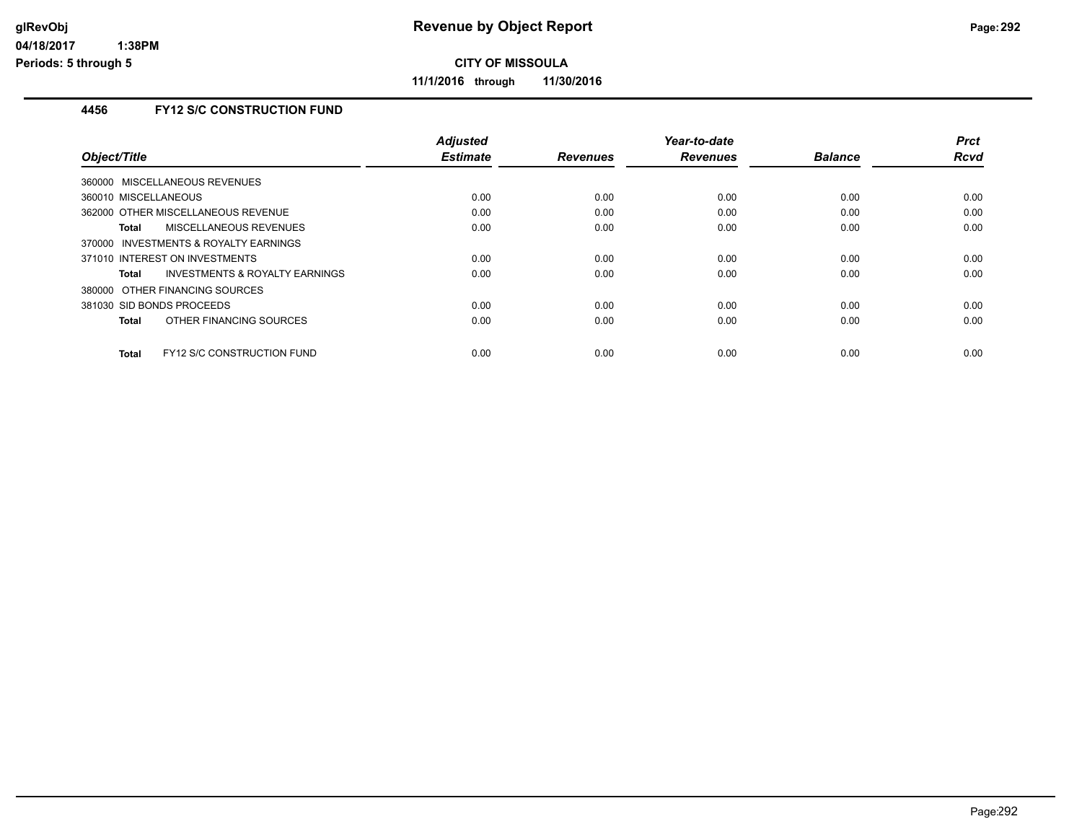**11/1/2016 through 11/30/2016**

#### **4456 FY12 S/C CONSTRUCTION FUND**

|                                                     | <b>Adjusted</b> |                 | Year-to-date    |                | <b>Prct</b> |
|-----------------------------------------------------|-----------------|-----------------|-----------------|----------------|-------------|
| Object/Title                                        | <b>Estimate</b> | <b>Revenues</b> | <b>Revenues</b> | <b>Balance</b> | <b>Rcvd</b> |
| 360000 MISCELLANEOUS REVENUES                       |                 |                 |                 |                |             |
| 360010 MISCELLANEOUS                                | 0.00            | 0.00            | 0.00            | 0.00           | 0.00        |
| 362000 OTHER MISCELLANEOUS REVENUE                  | 0.00            | 0.00            | 0.00            | 0.00           | 0.00        |
| MISCELLANEOUS REVENUES<br>Total                     | 0.00            | 0.00            | 0.00            | 0.00           | 0.00        |
| <b>INVESTMENTS &amp; ROYALTY EARNINGS</b><br>370000 |                 |                 |                 |                |             |
| 371010 INTEREST ON INVESTMENTS                      | 0.00            | 0.00            | 0.00            | 0.00           | 0.00        |
| <b>INVESTMENTS &amp; ROYALTY EARNINGS</b><br>Total  | 0.00            | 0.00            | 0.00            | 0.00           | 0.00        |
| 380000 OTHER FINANCING SOURCES                      |                 |                 |                 |                |             |
| 381030 SID BONDS PROCEEDS                           | 0.00            | 0.00            | 0.00            | 0.00           | 0.00        |
| OTHER FINANCING SOURCES<br>Total                    | 0.00            | 0.00            | 0.00            | 0.00           | 0.00        |
| <b>FY12 S/C CONSTRUCTION FUND</b><br><b>Total</b>   | 0.00            | 0.00            | 0.00            | 0.00           | 0.00        |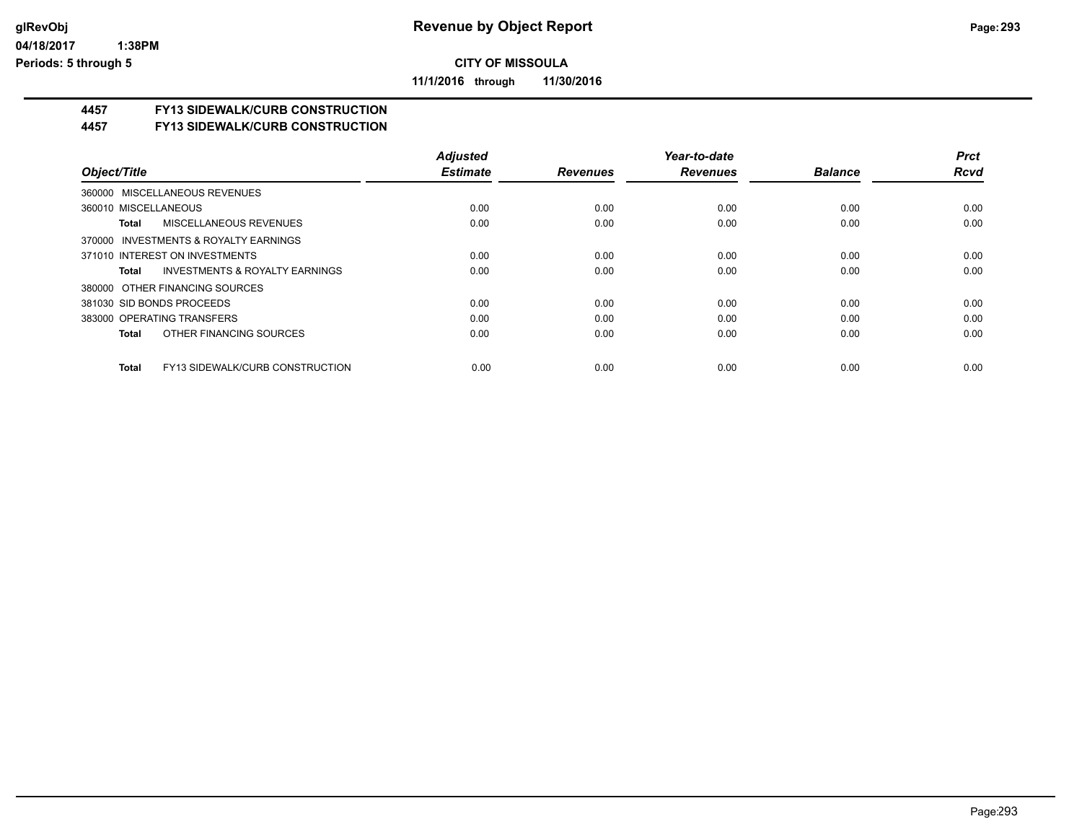**11/1/2016 through 11/30/2016**

### **4457 FY13 SIDEWALK/CURB CONSTRUCTION 4457 FY13 SIDEWALK/CURB CONSTRUCTION**

| Object/Title                                        | <b>Adjusted</b><br><b>Estimate</b> | <b>Revenues</b> | Year-to-date<br><b>Revenues</b> | <b>Balance</b> | <b>Prct</b><br><b>Rcvd</b> |
|-----------------------------------------------------|------------------------------------|-----------------|---------------------------------|----------------|----------------------------|
|                                                     |                                    |                 |                                 |                |                            |
| 360000 MISCELLANEOUS REVENUES                       |                                    |                 |                                 |                |                            |
| 360010 MISCELLANEOUS                                | 0.00                               | 0.00            | 0.00                            | 0.00           | 0.00                       |
| <b>MISCELLANEOUS REVENUES</b><br>Total              | 0.00                               | 0.00            | 0.00                            | 0.00           | 0.00                       |
| <b>INVESTMENTS &amp; ROYALTY EARNINGS</b><br>370000 |                                    |                 |                                 |                |                            |
| 371010 INTEREST ON INVESTMENTS                      | 0.00                               | 0.00            | 0.00                            | 0.00           | 0.00                       |
| INVESTMENTS & ROYALTY EARNINGS<br>Total             | 0.00                               | 0.00            | 0.00                            | 0.00           | 0.00                       |
| 380000 OTHER FINANCING SOURCES                      |                                    |                 |                                 |                |                            |
| 381030 SID BONDS PROCEEDS                           | 0.00                               | 0.00            | 0.00                            | 0.00           | 0.00                       |
| 383000 OPERATING TRANSFERS                          | 0.00                               | 0.00            | 0.00                            | 0.00           | 0.00                       |
| OTHER FINANCING SOURCES<br>Total                    | 0.00                               | 0.00            | 0.00                            | 0.00           | 0.00                       |
| FY13 SIDEWALK/CURB CONSTRUCTION<br><b>Total</b>     | 0.00                               | 0.00            | 0.00                            | 0.00           | 0.00                       |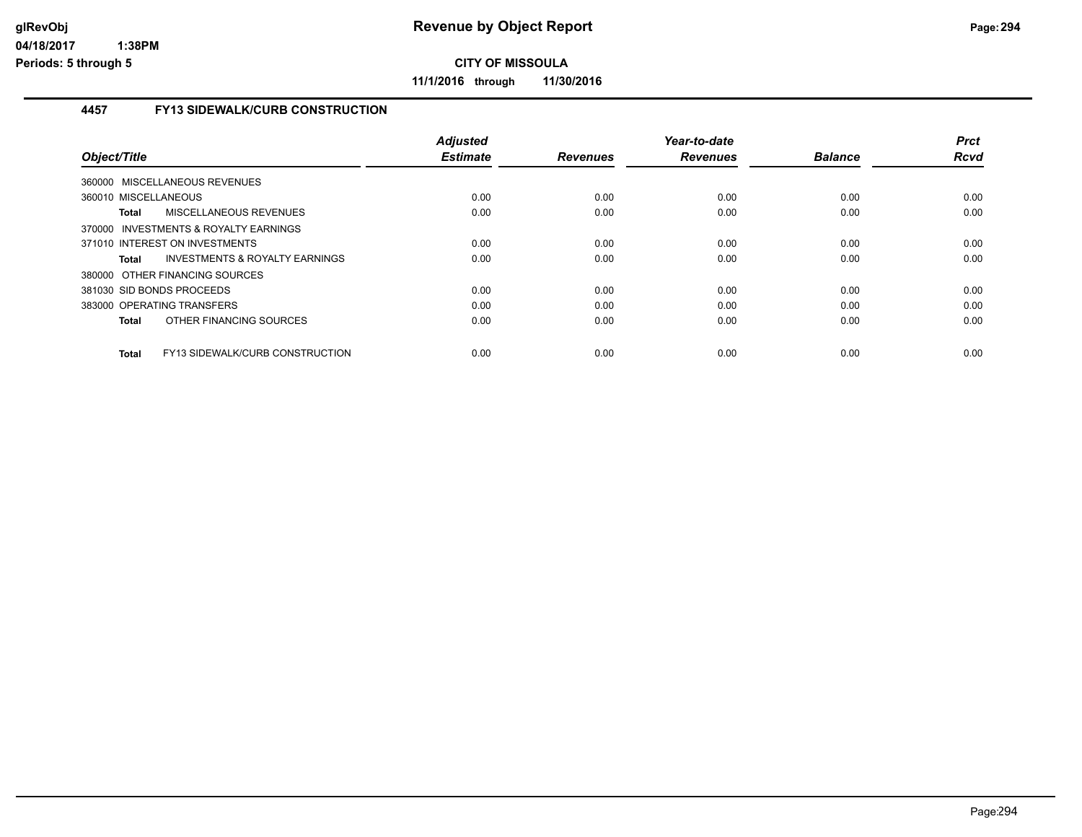**11/1/2016 through 11/30/2016**

### **4457 FY13 SIDEWALK/CURB CONSTRUCTION**

|                                                 | <b>Adjusted</b> |                 | Year-to-date    |                | <b>Prct</b> |
|-------------------------------------------------|-----------------|-----------------|-----------------|----------------|-------------|
| Object/Title                                    | <b>Estimate</b> | <b>Revenues</b> | <b>Revenues</b> | <b>Balance</b> | <b>Rcvd</b> |
| 360000 MISCELLANEOUS REVENUES                   |                 |                 |                 |                |             |
| 360010 MISCELLANEOUS                            | 0.00            | 0.00            | 0.00            | 0.00           | 0.00        |
| MISCELLANEOUS REVENUES<br>Total                 | 0.00            | 0.00            | 0.00            | 0.00           | 0.00        |
| 370000 INVESTMENTS & ROYALTY EARNINGS           |                 |                 |                 |                |             |
| 371010 INTEREST ON INVESTMENTS                  | 0.00            | 0.00            | 0.00            | 0.00           | 0.00        |
| INVESTMENTS & ROYALTY EARNINGS<br>Total         | 0.00            | 0.00            | 0.00            | 0.00           | 0.00        |
| 380000 OTHER FINANCING SOURCES                  |                 |                 |                 |                |             |
| 381030 SID BONDS PROCEEDS                       | 0.00            | 0.00            | 0.00            | 0.00           | 0.00        |
| 383000 OPERATING TRANSFERS                      | 0.00            | 0.00            | 0.00            | 0.00           | 0.00        |
| OTHER FINANCING SOURCES<br>Total                | 0.00            | 0.00            | 0.00            | 0.00           | 0.00        |
| FY13 SIDEWALK/CURB CONSTRUCTION<br><b>Total</b> | 0.00            | 0.00            | 0.00            | 0.00           | 0.00        |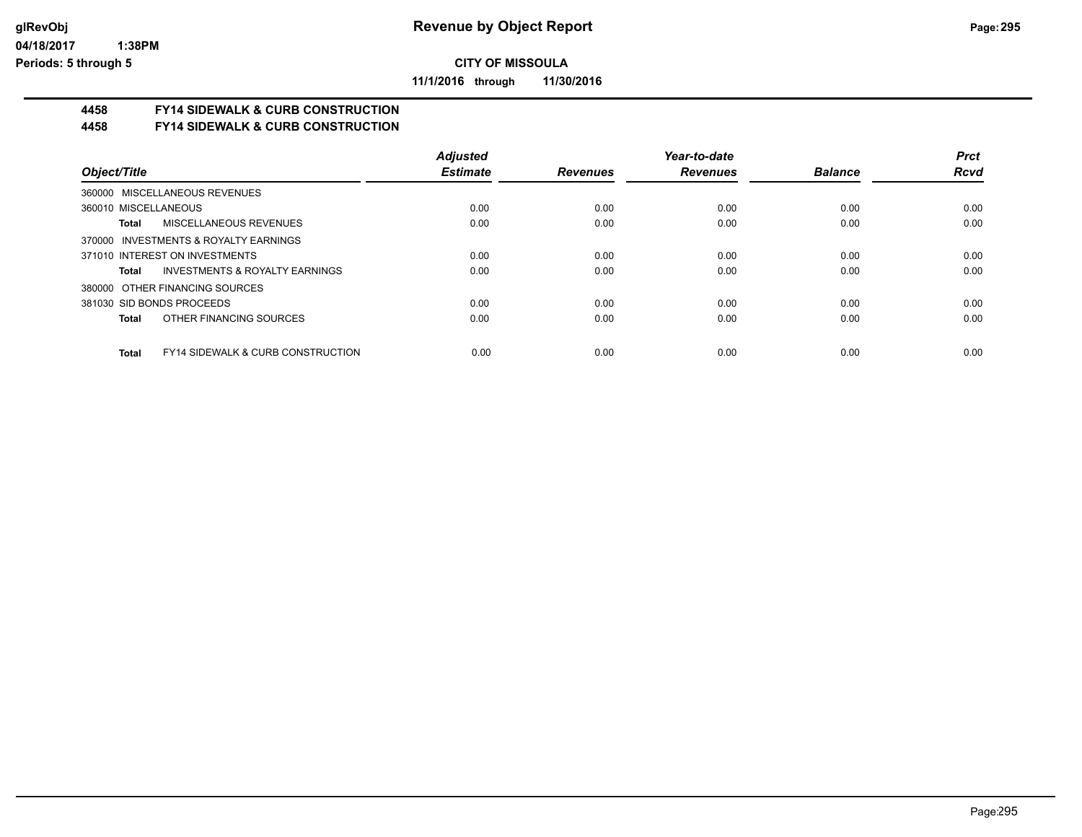**11/1/2016 through 11/30/2016**

### **4458 FY14 SIDEWALK & CURB CONSTRUCTION 4458 FY14 SIDEWALK & CURB CONSTRUCTION**

|                                                       | <b>Adjusted</b> |                 | Year-to-date    |                | <b>Prct</b> |
|-------------------------------------------------------|-----------------|-----------------|-----------------|----------------|-------------|
| Object/Title                                          | <b>Estimate</b> | <b>Revenues</b> | <b>Revenues</b> | <b>Balance</b> | <b>Rcvd</b> |
| 360000 MISCELLANEOUS REVENUES                         |                 |                 |                 |                |             |
| 360010 MISCELLANEOUS                                  | 0.00            | 0.00            | 0.00            | 0.00           | 0.00        |
| MISCELLANEOUS REVENUES<br>Total                       | 0.00            | 0.00            | 0.00            | 0.00           | 0.00        |
| 370000 INVESTMENTS & ROYALTY EARNINGS                 |                 |                 |                 |                |             |
| 371010 INTEREST ON INVESTMENTS                        | 0.00            | 0.00            | 0.00            | 0.00           | 0.00        |
| <b>INVESTMENTS &amp; ROYALTY EARNINGS</b><br>Total    | 0.00            | 0.00            | 0.00            | 0.00           | 0.00        |
| 380000 OTHER FINANCING SOURCES                        |                 |                 |                 |                |             |
| 381030 SID BONDS PROCEEDS                             | 0.00            | 0.00            | 0.00            | 0.00           | 0.00        |
| OTHER FINANCING SOURCES<br>Total                      | 0.00            | 0.00            | 0.00            | 0.00           | 0.00        |
|                                                       |                 |                 |                 |                |             |
| <b>FY14 SIDEWALK &amp; CURB CONSTRUCTION</b><br>Total | 0.00            | 0.00            | 0.00            | 0.00           | 0.00        |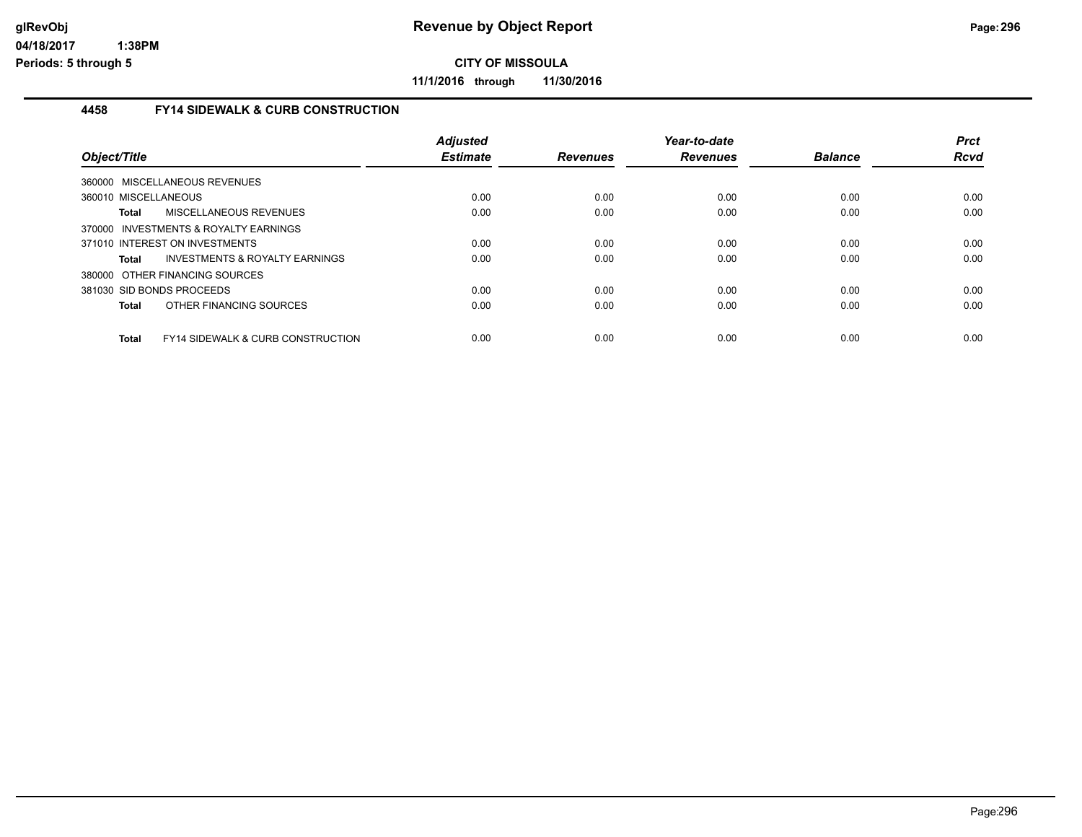**11/1/2016 through 11/30/2016**

### **4458 FY14 SIDEWALK & CURB CONSTRUCTION**

| Object/Title         |                                              | <b>Adjusted</b><br><b>Estimate</b> | <b>Revenues</b> | Year-to-date<br><b>Revenues</b> | <b>Balance</b> | <b>Prct</b><br><b>Rcvd</b> |
|----------------------|----------------------------------------------|------------------------------------|-----------------|---------------------------------|----------------|----------------------------|
|                      | MISCELLANEOUS REVENUES                       |                                    |                 |                                 |                |                            |
| 360000               |                                              |                                    |                 |                                 |                |                            |
| 360010 MISCELLANEOUS |                                              | 0.00                               | 0.00            | 0.00                            | 0.00           | 0.00                       |
| Total                | <b>MISCELLANEOUS REVENUES</b>                | 0.00                               | 0.00            | 0.00                            | 0.00           | 0.00                       |
|                      | 370000 INVESTMENTS & ROYALTY EARNINGS        |                                    |                 |                                 |                |                            |
|                      | 371010 INTEREST ON INVESTMENTS               | 0.00                               | 0.00            | 0.00                            | 0.00           | 0.00                       |
| Total                | INVESTMENTS & ROYALTY EARNINGS               | 0.00                               | 0.00            | 0.00                            | 0.00           | 0.00                       |
|                      | 380000 OTHER FINANCING SOURCES               |                                    |                 |                                 |                |                            |
|                      | 381030 SID BONDS PROCEEDS                    | 0.00                               | 0.00            | 0.00                            | 0.00           | 0.00                       |
| Total                | OTHER FINANCING SOURCES                      | 0.00                               | 0.00            | 0.00                            | 0.00           | 0.00                       |
| Total                | <b>FY14 SIDEWALK &amp; CURB CONSTRUCTION</b> | 0.00                               | 0.00            | 0.00                            | 0.00           | 0.00                       |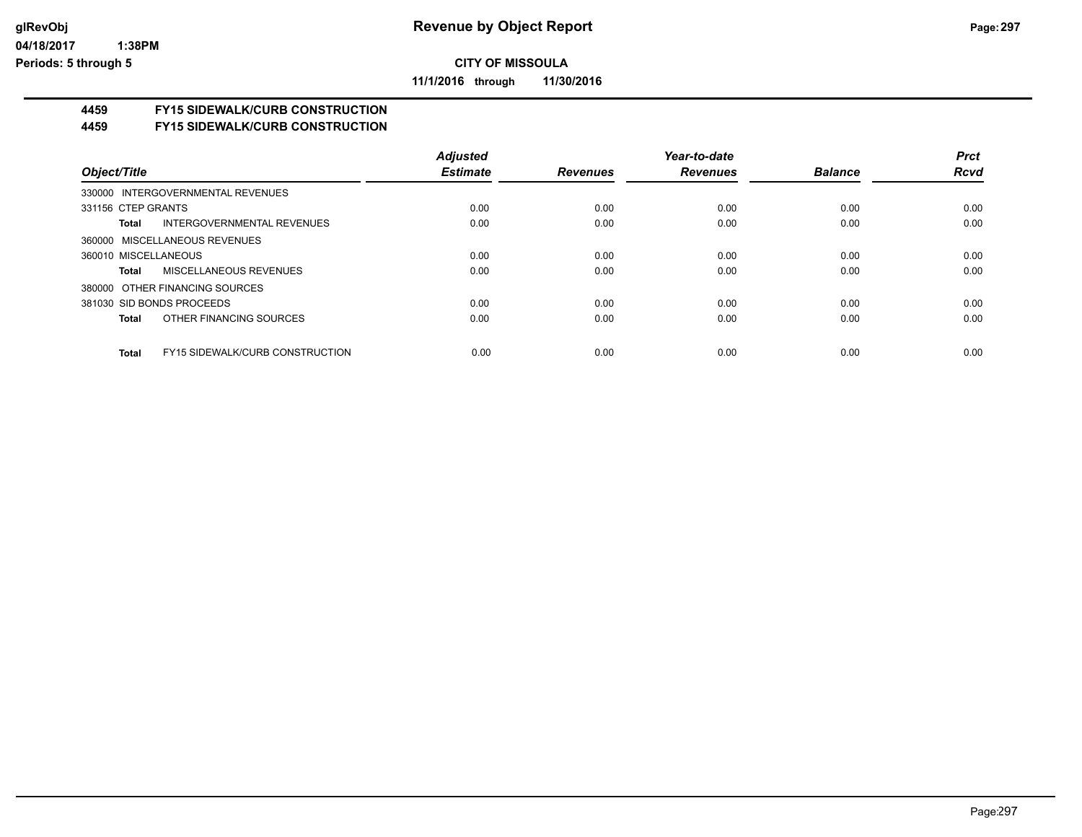**11/1/2016 through 11/30/2016**

### **4459 FY15 SIDEWALK/CURB CONSTRUCTION 4459 FY15 SIDEWALK/CURB CONSTRUCTION**

| Object/Title                                    | <b>Adjusted</b><br><b>Estimate</b> | <b>Revenues</b> | Year-to-date<br><b>Revenues</b> | <b>Balance</b> | <b>Prct</b><br><b>Rcvd</b> |
|-------------------------------------------------|------------------------------------|-----------------|---------------------------------|----------------|----------------------------|
|                                                 |                                    |                 |                                 |                |                            |
| 330000 INTERGOVERNMENTAL REVENUES               |                                    |                 |                                 |                |                            |
| 331156 CTEP GRANTS                              | 0.00                               | 0.00            | 0.00                            | 0.00           | 0.00                       |
| INTERGOVERNMENTAL REVENUES<br>Total             | 0.00                               | 0.00            | 0.00                            | 0.00           | 0.00                       |
| 360000 MISCELLANEOUS REVENUES                   |                                    |                 |                                 |                |                            |
| 360010 MISCELLANEOUS                            | 0.00                               | 0.00            | 0.00                            | 0.00           | 0.00                       |
| <b>MISCELLANEOUS REVENUES</b><br>Total          | 0.00                               | 0.00            | 0.00                            | 0.00           | 0.00                       |
| 380000 OTHER FINANCING SOURCES                  |                                    |                 |                                 |                |                            |
| 381030 SID BONDS PROCEEDS                       | 0.00                               | 0.00            | 0.00                            | 0.00           | 0.00                       |
| OTHER FINANCING SOURCES<br>Total                | 0.00                               | 0.00            | 0.00                            | 0.00           | 0.00                       |
|                                                 |                                    |                 |                                 |                |                            |
| <b>FY15 SIDEWALK/CURB CONSTRUCTION</b><br>Total | 0.00                               | 0.00            | 0.00                            | 0.00           | 0.00                       |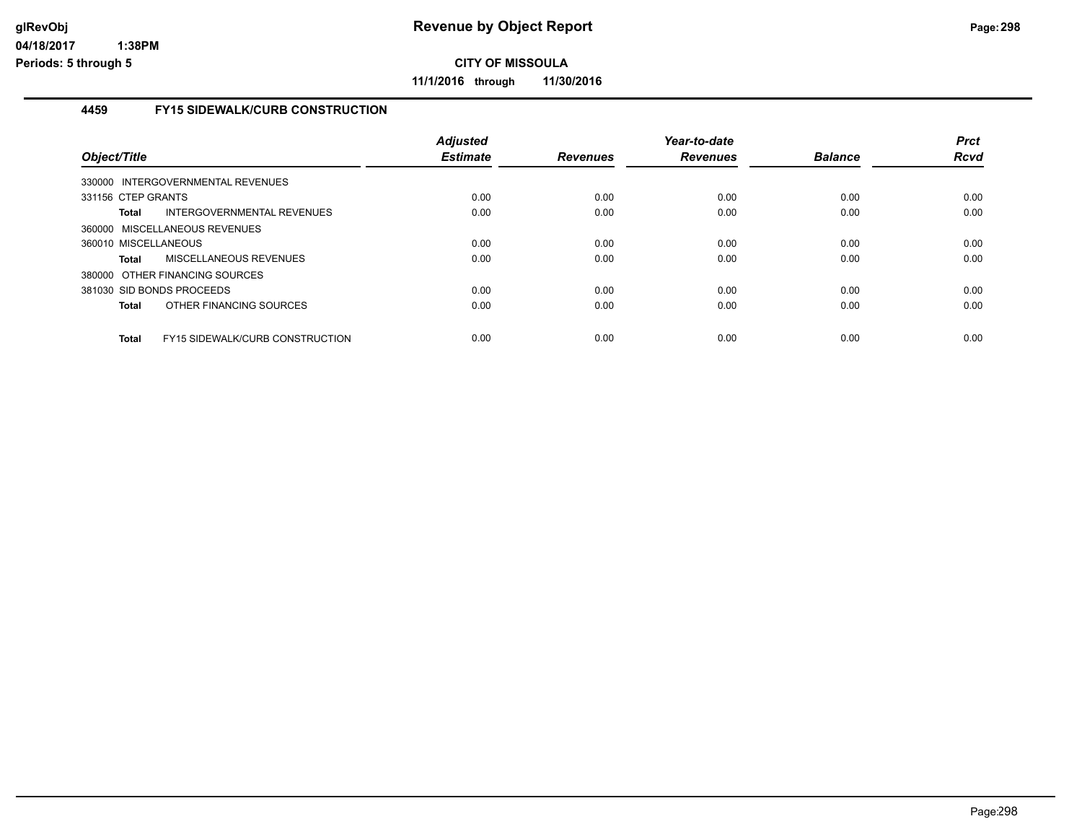**11/1/2016 through 11/30/2016**

### **4459 FY15 SIDEWALK/CURB CONSTRUCTION**

| Object/Title                   |                                        | <b>Adjusted</b><br><b>Estimate</b> | <b>Revenues</b> | Year-to-date<br><b>Revenues</b> | <b>Balance</b> | <b>Prct</b><br><b>Rcvd</b> |
|--------------------------------|----------------------------------------|------------------------------------|-----------------|---------------------------------|----------------|----------------------------|
|                                | 330000 INTERGOVERNMENTAL REVENUES      |                                    |                 |                                 |                |                            |
| 331156 CTEP GRANTS             |                                        | 0.00                               | 0.00            | 0.00                            | 0.00           | 0.00                       |
| <b>Total</b>                   | INTERGOVERNMENTAL REVENUES             | 0.00                               | 0.00            | 0.00                            | 0.00           | 0.00                       |
| 360000 MISCELLANEOUS REVENUES  |                                        |                                    |                 |                                 |                |                            |
| 360010 MISCELLANEOUS           |                                        | 0.00                               | 0.00            | 0.00                            | 0.00           | 0.00                       |
| Total                          | MISCELLANEOUS REVENUES                 | 0.00                               | 0.00            | 0.00                            | 0.00           | 0.00                       |
| 380000 OTHER FINANCING SOURCES |                                        |                                    |                 |                                 |                |                            |
| 381030 SID BONDS PROCEEDS      |                                        | 0.00                               | 0.00            | 0.00                            | 0.00           | 0.00                       |
| Total                          | OTHER FINANCING SOURCES                | 0.00                               | 0.00            | 0.00                            | 0.00           | 0.00                       |
| <b>Total</b>                   | <b>FY15 SIDEWALK/CURB CONSTRUCTION</b> | 0.00                               | 0.00            | 0.00                            | 0.00           | 0.00                       |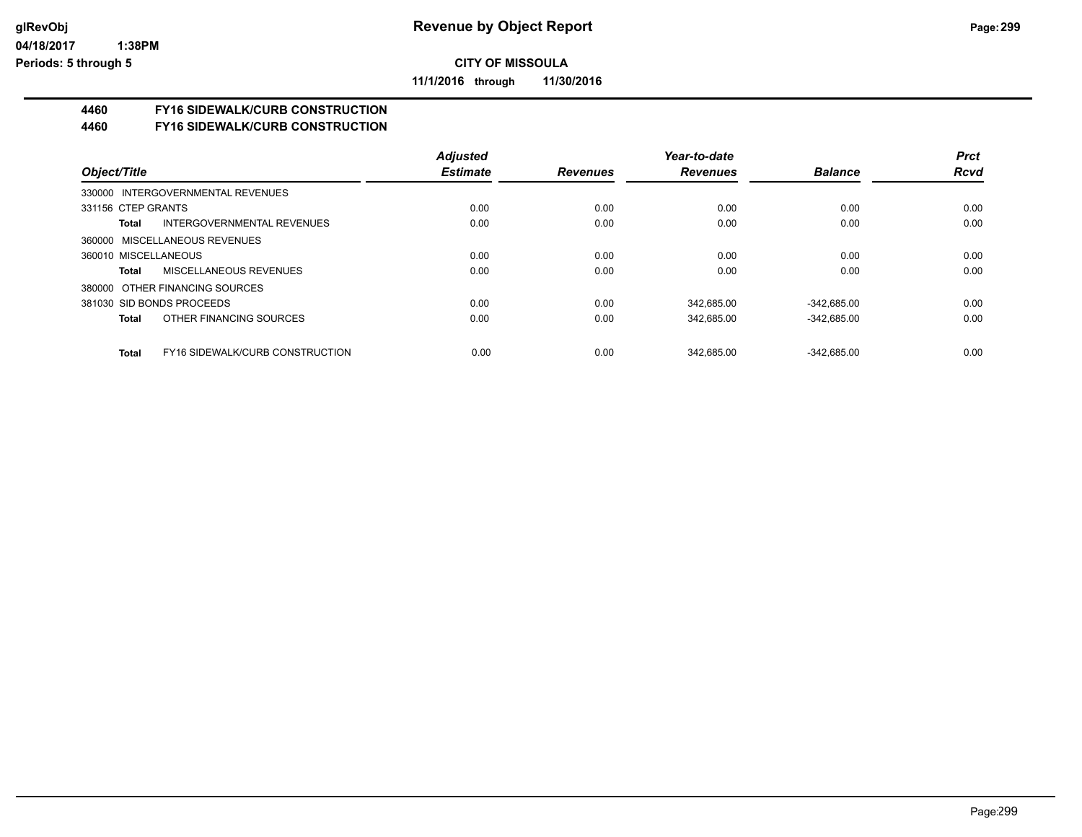**11/1/2016 through 11/30/2016**

### **4460 FY16 SIDEWALK/CURB CONSTRUCTION 4460 FY16 SIDEWALK/CURB CONSTRUCTION**

| Object/Title                                    | <b>Adjusted</b><br><b>Estimate</b> | <b>Revenues</b> | Year-to-date<br><b>Revenues</b> | <b>Balance</b> | <b>Prct</b><br><b>Rcvd</b> |
|-------------------------------------------------|------------------------------------|-----------------|---------------------------------|----------------|----------------------------|
| 330000 INTERGOVERNMENTAL REVENUES               |                                    |                 |                                 |                |                            |
| 331156 CTEP GRANTS                              | 0.00                               | 0.00            | 0.00                            | 0.00           | 0.00                       |
| INTERGOVERNMENTAL REVENUES<br>Total             | 0.00                               | 0.00            | 0.00                            | 0.00           | 0.00                       |
| 360000 MISCELLANEOUS REVENUES                   |                                    |                 |                                 |                |                            |
| 360010 MISCELLANEOUS                            | 0.00                               | 0.00            | 0.00                            | 0.00           | 0.00                       |
| MISCELLANEOUS REVENUES<br>Total                 | 0.00                               | 0.00            | 0.00                            | 0.00           | 0.00                       |
| 380000 OTHER FINANCING SOURCES                  |                                    |                 |                                 |                |                            |
| 381030 SID BONDS PROCEEDS                       | 0.00                               | 0.00            | 342.685.00                      | $-342.685.00$  | 0.00                       |
| OTHER FINANCING SOURCES<br>Total                | 0.00                               | 0.00            | 342.685.00                      | $-342.685.00$  | 0.00                       |
|                                                 |                                    |                 |                                 |                |                            |
| <b>FY16 SIDEWALK/CURB CONSTRUCTION</b><br>Total | 0.00                               | 0.00            | 342.685.00                      | $-342.685.00$  | 0.00                       |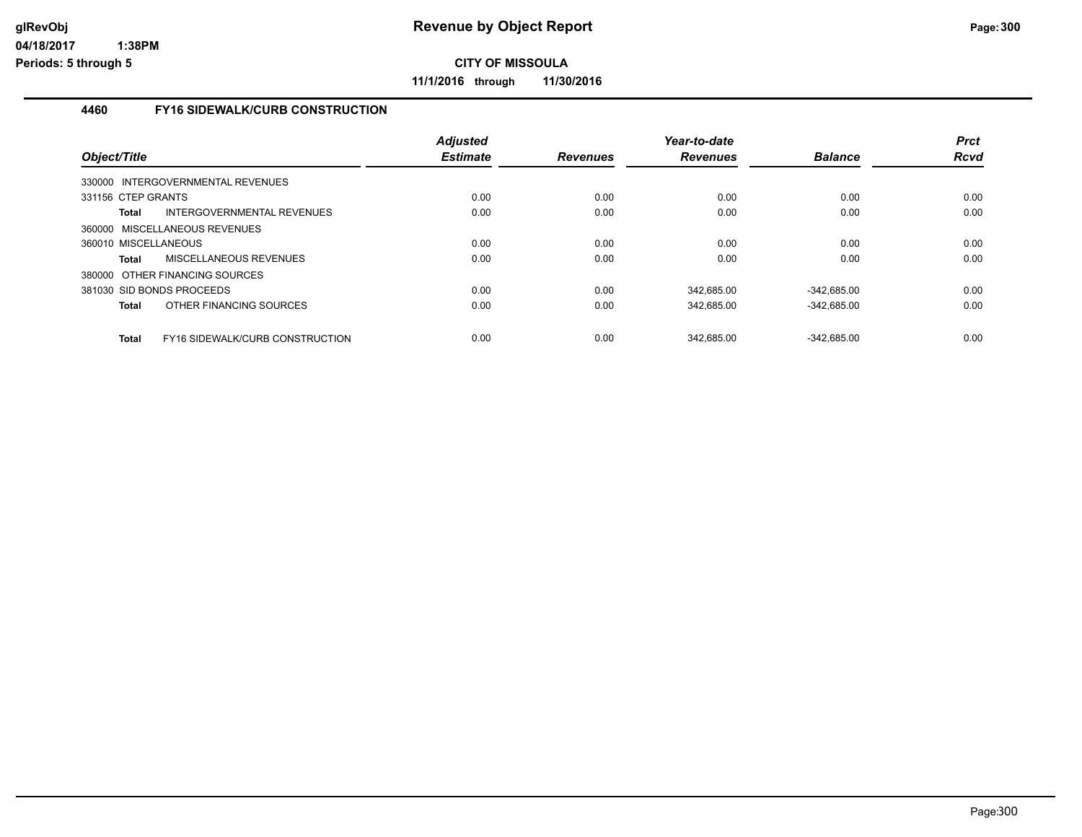**11/1/2016 through 11/30/2016**

### **4460 FY16 SIDEWALK/CURB CONSTRUCTION**

| Object/Title         |                                   | <b>Adjusted</b><br><b>Estimate</b> | <b>Revenues</b> | Year-to-date<br><b>Revenues</b> | <b>Balance</b> | <b>Prct</b><br><b>Rcvd</b> |
|----------------------|-----------------------------------|------------------------------------|-----------------|---------------------------------|----------------|----------------------------|
|                      | 330000 INTERGOVERNMENTAL REVENUES |                                    |                 |                                 |                |                            |
| 331156 CTEP GRANTS   |                                   | 0.00                               | 0.00            | 0.00                            | 0.00           | 0.00                       |
| Total                | INTERGOVERNMENTAL REVENUES        | 0.00                               | 0.00            | 0.00                            | 0.00           | 0.00                       |
|                      | 360000 MISCELLANEOUS REVENUES     |                                    |                 |                                 |                |                            |
| 360010 MISCELLANEOUS |                                   | 0.00                               | 0.00            | 0.00                            | 0.00           | 0.00                       |
| Total                | MISCELLANEOUS REVENUES            | 0.00                               | 0.00            | 0.00                            | 0.00           | 0.00                       |
|                      | 380000 OTHER FINANCING SOURCES    |                                    |                 |                                 |                |                            |
|                      | 381030 SID BONDS PROCEEDS         | 0.00                               | 0.00            | 342.685.00                      | -342.685.00    | 0.00                       |
| Total                | OTHER FINANCING SOURCES           | 0.00                               | 0.00            | 342,685.00                      | $-342,685.00$  | 0.00                       |
| <b>Total</b>         | FY16 SIDEWALK/CURB CONSTRUCTION   | 0.00                               | 0.00            | 342.685.00                      | $-342.685.00$  | 0.00                       |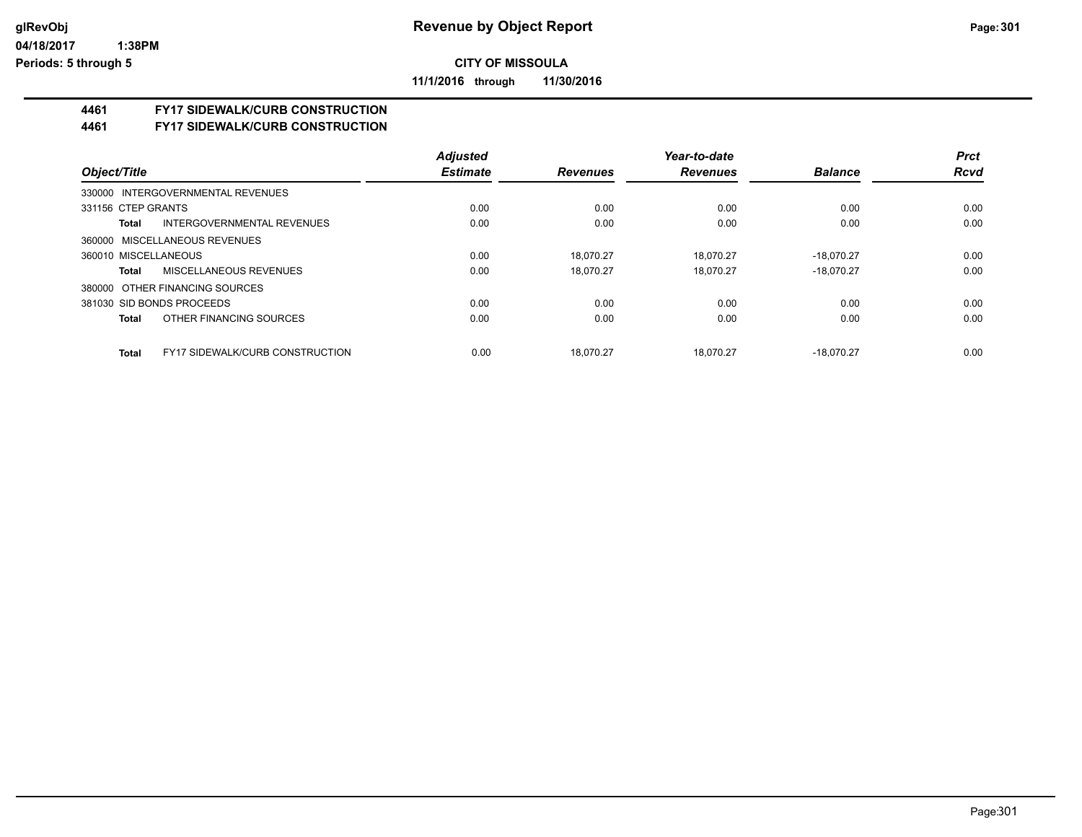**11/1/2016 through 11/30/2016**

### **4461 FY17 SIDEWALK/CURB CONSTRUCTION 4461 FY17 SIDEWALK/CURB CONSTRUCTION**

| Object/Title                                           | <b>Adjusted</b><br><b>Estimate</b> | <b>Revenues</b> | Year-to-date<br><b>Revenues</b> | <b>Balance</b> | <b>Prct</b><br><b>Rcvd</b> |
|--------------------------------------------------------|------------------------------------|-----------------|---------------------------------|----------------|----------------------------|
| 330000 INTERGOVERNMENTAL REVENUES                      |                                    |                 |                                 |                |                            |
| 331156 CTEP GRANTS                                     | 0.00                               | 0.00            | 0.00                            | 0.00           | 0.00                       |
| INTERGOVERNMENTAL REVENUES<br>Total                    | 0.00                               | 0.00            | 0.00                            | 0.00           | 0.00                       |
| 360000 MISCELLANEOUS REVENUES                          |                                    |                 |                                 |                |                            |
| 360010 MISCELLANEOUS                                   | 0.00                               | 18.070.27       | 18.070.27                       | $-18.070.27$   | 0.00                       |
| MISCELLANEOUS REVENUES<br>Total                        | 0.00                               | 18.070.27       | 18.070.27                       | $-18.070.27$   | 0.00                       |
| OTHER FINANCING SOURCES<br>380000                      |                                    |                 |                                 |                |                            |
| 381030 SID BONDS PROCEEDS                              | 0.00                               | 0.00            | 0.00                            | 0.00           | 0.00                       |
| OTHER FINANCING SOURCES<br>Total                       | 0.00                               | 0.00            | 0.00                            | 0.00           | 0.00                       |
|                                                        |                                    |                 |                                 |                |                            |
| <b>FY17 SIDEWALK/CURB CONSTRUCTION</b><br><b>Total</b> | 0.00                               | 18.070.27       | 18.070.27                       | $-18.070.27$   | 0.00                       |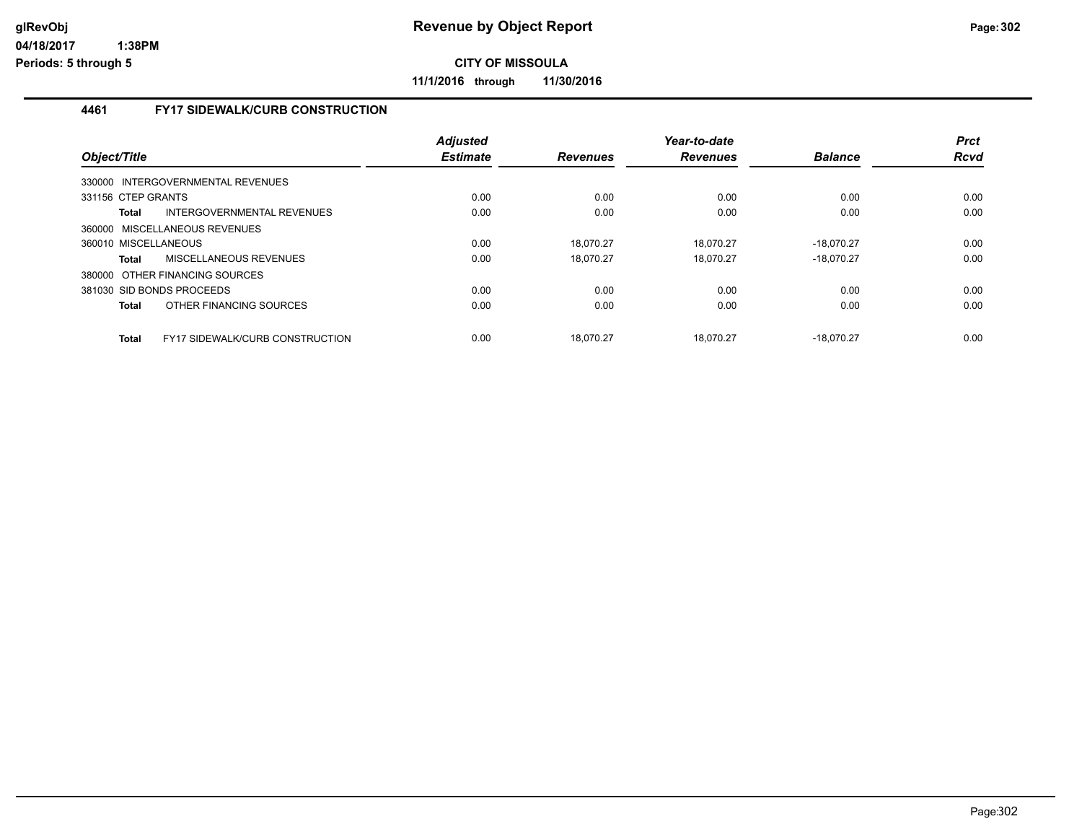**11/1/2016 through 11/30/2016**

### **4461 FY17 SIDEWALK/CURB CONSTRUCTION**

| Object/Title                                           | <b>Adjusted</b><br><b>Estimate</b> | <b>Revenues</b> | Year-to-date<br><b>Revenues</b> | <b>Balance</b> | <b>Prct</b><br><b>Rcvd</b> |
|--------------------------------------------------------|------------------------------------|-----------------|---------------------------------|----------------|----------------------------|
| INTERGOVERNMENTAL REVENUES<br>330000                   |                                    |                 |                                 |                |                            |
| 331156 CTEP GRANTS                                     | 0.00                               | 0.00            | 0.00                            | 0.00           | 0.00                       |
| INTERGOVERNMENTAL REVENUES<br>Total                    | 0.00                               | 0.00            | 0.00                            | 0.00           | 0.00                       |
| 360000 MISCELLANEOUS REVENUES                          |                                    |                 |                                 |                |                            |
| 360010 MISCELLANEOUS                                   | 0.00                               | 18.070.27       | 18.070.27                       | $-18.070.27$   | 0.00                       |
| MISCELLANEOUS REVENUES<br><b>Total</b>                 | 0.00                               | 18.070.27       | 18.070.27                       | $-18.070.27$   | 0.00                       |
| 380000 OTHER FINANCING SOURCES                         |                                    |                 |                                 |                |                            |
| 381030 SID BONDS PROCEEDS                              | 0.00                               | 0.00            | 0.00                            | 0.00           | 0.00                       |
| OTHER FINANCING SOURCES<br><b>Total</b>                | 0.00                               | 0.00            | 0.00                            | 0.00           | 0.00                       |
| <b>FY17 SIDEWALK/CURB CONSTRUCTION</b><br><b>Total</b> | 0.00                               | 18.070.27       | 18.070.27                       | $-18.070.27$   | 0.00                       |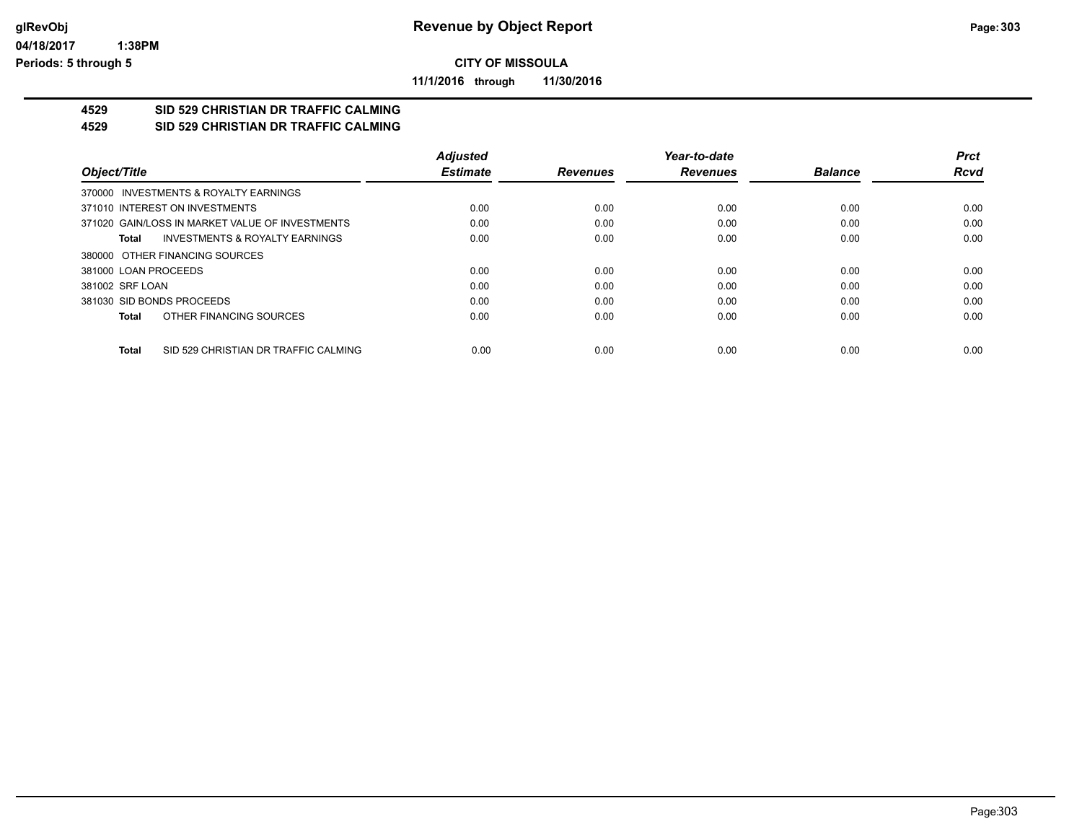**11/1/2016 through 11/30/2016**

### **4529 SID 529 CHRISTIAN DR TRAFFIC CALMING 4529 SID 529 CHRISTIAN DR TRAFFIC CALMING**

|                                                 | <b>Adjusted</b><br><b>Estimate</b> | <b>Revenues</b> | Year-to-date<br><b>Revenues</b> | <b>Balance</b> | <b>Prct</b><br><b>Rcvd</b> |
|-------------------------------------------------|------------------------------------|-----------------|---------------------------------|----------------|----------------------------|
| Object/Title                                    |                                    |                 |                                 |                |                            |
| 370000 INVESTMENTS & ROYALTY EARNINGS           |                                    |                 |                                 |                |                            |
| 371010 INTEREST ON INVESTMENTS                  | 0.00                               | 0.00            | 0.00                            | 0.00           | 0.00                       |
| 371020 GAIN/LOSS IN MARKET VALUE OF INVESTMENTS | 0.00                               | 0.00            | 0.00                            | 0.00           | 0.00                       |
| INVESTMENTS & ROYALTY EARNINGS<br>Total         | 0.00                               | 0.00            | 0.00                            | 0.00           | 0.00                       |
| 380000 OTHER FINANCING SOURCES                  |                                    |                 |                                 |                |                            |
| 381000 LOAN PROCEEDS                            | 0.00                               | 0.00            | 0.00                            | 0.00           | 0.00                       |
| 381002 SRF LOAN                                 | 0.00                               | 0.00            | 0.00                            | 0.00           | 0.00                       |
| 381030 SID BONDS PROCEEDS                       | 0.00                               | 0.00            | 0.00                            | 0.00           | 0.00                       |
| OTHER FINANCING SOURCES<br>Total                | 0.00                               | 0.00            | 0.00                            | 0.00           | 0.00                       |
|                                                 |                                    |                 |                                 |                |                            |
| SID 529 CHRISTIAN DR TRAFFIC CALMING<br>Total   | 0.00                               | 0.00            | 0.00                            | 0.00           | 0.00                       |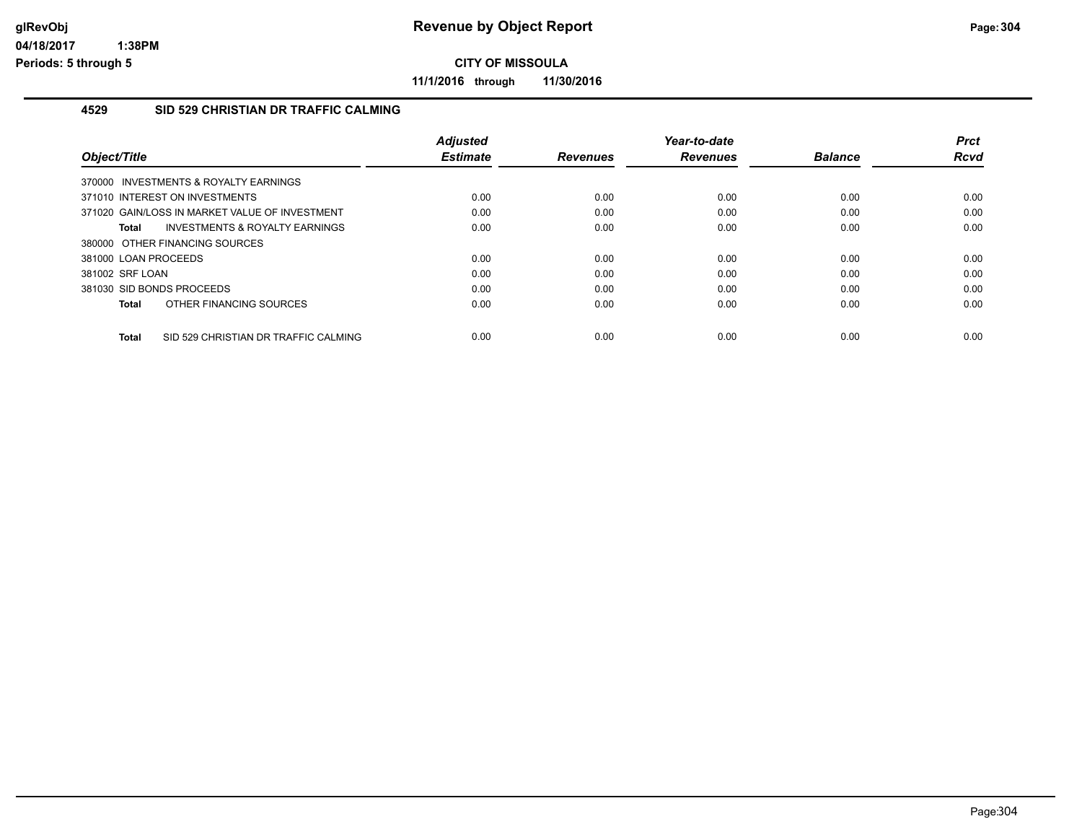**11/1/2016 through 11/30/2016**

### **4529 SID 529 CHRISTIAN DR TRAFFIC CALMING**

| Object/Title                                         | <b>Adjusted</b><br><b>Estimate</b> | <b>Revenues</b> | Year-to-date<br><b>Revenues</b> | <b>Balance</b> | <b>Prct</b><br><b>Rcvd</b> |
|------------------------------------------------------|------------------------------------|-----------------|---------------------------------|----------------|----------------------------|
| 370000 INVESTMENTS & ROYALTY EARNINGS                |                                    |                 |                                 |                |                            |
| 371010 INTEREST ON INVESTMENTS                       | 0.00                               | 0.00            | 0.00                            | 0.00           | 0.00                       |
| 371020 GAIN/LOSS IN MARKET VALUE OF INVESTMENT       | 0.00                               | 0.00            | 0.00                            | 0.00           | 0.00                       |
| INVESTMENTS & ROYALTY EARNINGS<br>Total              | 0.00                               | 0.00            | 0.00                            | 0.00           | 0.00                       |
| 380000 OTHER FINANCING SOURCES                       |                                    |                 |                                 |                |                            |
| 381000 LOAN PROCEEDS                                 | 0.00                               | 0.00            | 0.00                            | 0.00           | 0.00                       |
| 381002 SRF LOAN                                      | 0.00                               | 0.00            | 0.00                            | 0.00           | 0.00                       |
| 381030 SID BONDS PROCEEDS                            | 0.00                               | 0.00            | 0.00                            | 0.00           | 0.00                       |
| OTHER FINANCING SOURCES<br><b>Total</b>              | 0.00                               | 0.00            | 0.00                            | 0.00           | 0.00                       |
| SID 529 CHRISTIAN DR TRAFFIC CALMING<br><b>Total</b> | 0.00                               | 0.00            | 0.00                            | 0.00           | 0.00                       |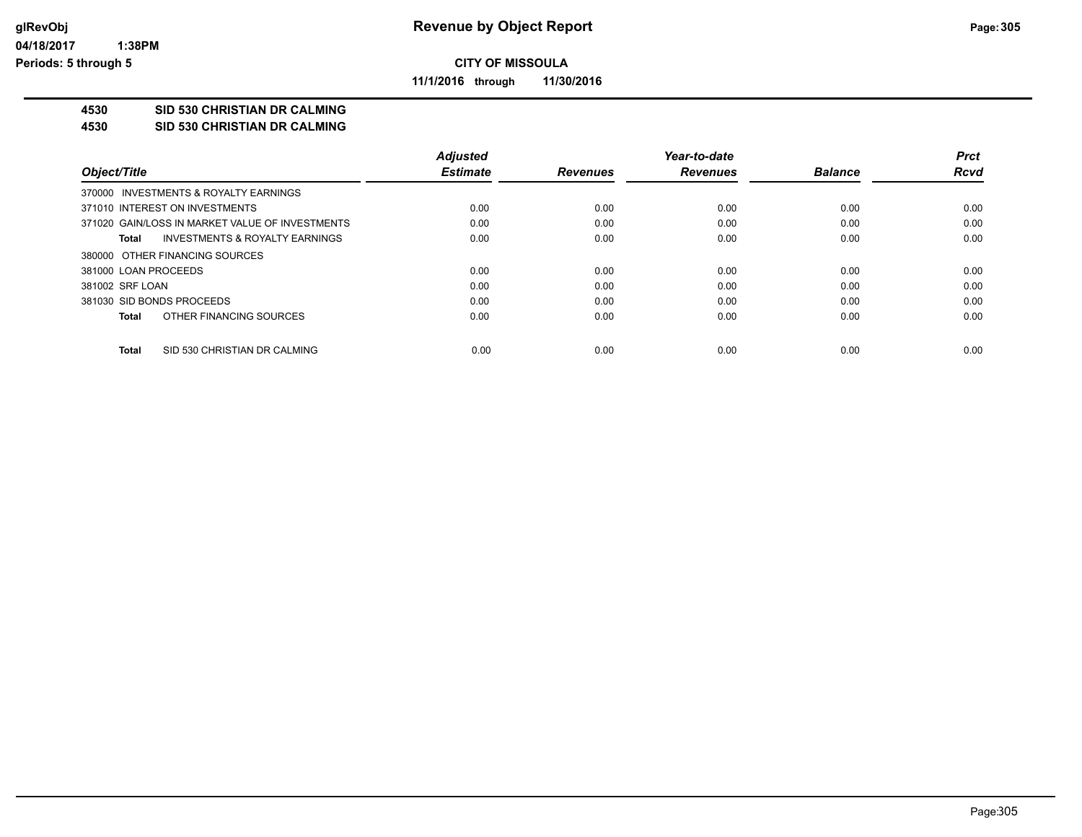**11/1/2016 through 11/30/2016**

**4530 SID 530 CHRISTIAN DR CALMING**

| 4530 | SID 530 CHRISTIAN DR CALMING |
|------|------------------------------|
|      |                              |

|                                                 | <b>Adjusted</b> |                 | Year-to-date    |                | <b>Prct</b> |
|-------------------------------------------------|-----------------|-----------------|-----------------|----------------|-------------|
| Object/Title                                    | <b>Estimate</b> | <b>Revenues</b> | <b>Revenues</b> | <b>Balance</b> | Rcvd        |
| 370000 INVESTMENTS & ROYALTY EARNINGS           |                 |                 |                 |                |             |
| 371010 INTEREST ON INVESTMENTS                  | 0.00            | 0.00            | 0.00            | 0.00           | 0.00        |
| 371020 GAIN/LOSS IN MARKET VALUE OF INVESTMENTS | 0.00            | 0.00            | 0.00            | 0.00           | 0.00        |
| INVESTMENTS & ROYALTY EARNINGS<br>Total         | 0.00            | 0.00            | 0.00            | 0.00           | 0.00        |
| 380000 OTHER FINANCING SOURCES                  |                 |                 |                 |                |             |
| 381000 LOAN PROCEEDS                            | 0.00            | 0.00            | 0.00            | 0.00           | 0.00        |
| 381002 SRF LOAN                                 | 0.00            | 0.00            | 0.00            | 0.00           | 0.00        |
| 381030 SID BONDS PROCEEDS                       | 0.00            | 0.00            | 0.00            | 0.00           | 0.00        |
| OTHER FINANCING SOURCES<br>Total                | 0.00            | 0.00            | 0.00            | 0.00           | 0.00        |
|                                                 |                 |                 |                 |                |             |
| SID 530 CHRISTIAN DR CALMING<br>Total           | 0.00            | 0.00            | 0.00            | 0.00           | 0.00        |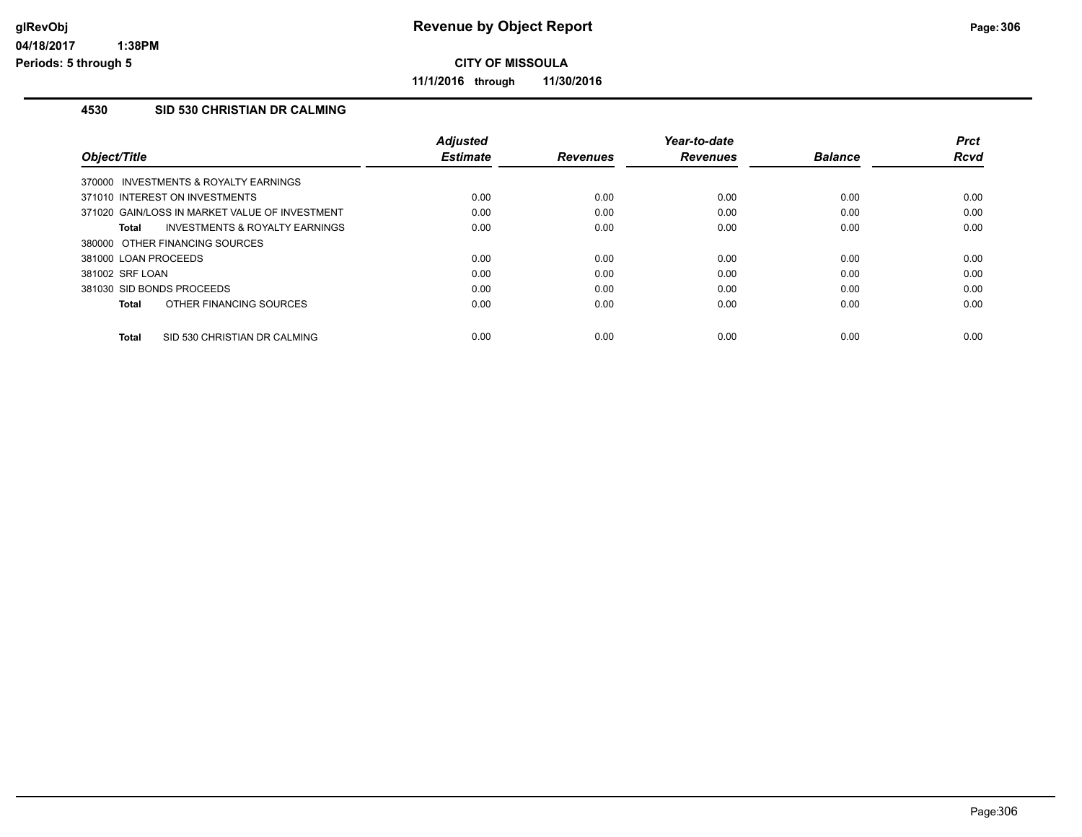**11/1/2016 through 11/30/2016**

### **4530 SID 530 CHRISTIAN DR CALMING**

| Object/Title                                   | <b>Adjusted</b><br><b>Estimate</b> | <b>Revenues</b> | Year-to-date<br><b>Revenues</b> | <b>Balance</b> | <b>Prct</b><br><b>Rcvd</b> |
|------------------------------------------------|------------------------------------|-----------------|---------------------------------|----------------|----------------------------|
| 370000 INVESTMENTS & ROYALTY EARNINGS          |                                    |                 |                                 |                |                            |
| 371010 INTEREST ON INVESTMENTS                 | 0.00                               | 0.00            | 0.00                            | 0.00           | 0.00                       |
| 371020 GAIN/LOSS IN MARKET VALUE OF INVESTMENT | 0.00                               | 0.00            | 0.00                            | 0.00           | 0.00                       |
| INVESTMENTS & ROYALTY EARNINGS<br>Total        | 0.00                               | 0.00            | 0.00                            | 0.00           | 0.00                       |
| 380000 OTHER FINANCING SOURCES                 |                                    |                 |                                 |                |                            |
| 381000 LOAN PROCEEDS                           | 0.00                               | 0.00            | 0.00                            | 0.00           | 0.00                       |
| 381002 SRF LOAN                                | 0.00                               | 0.00            | 0.00                            | 0.00           | 0.00                       |
| 381030 SID BONDS PROCEEDS                      | 0.00                               | 0.00            | 0.00                            | 0.00           | 0.00                       |
| OTHER FINANCING SOURCES<br>Total               | 0.00                               | 0.00            | 0.00                            | 0.00           | 0.00                       |
| SID 530 CHRISTIAN DR CALMING<br><b>Total</b>   | 0.00                               | 0.00            | 0.00                            | 0.00           | 0.00                       |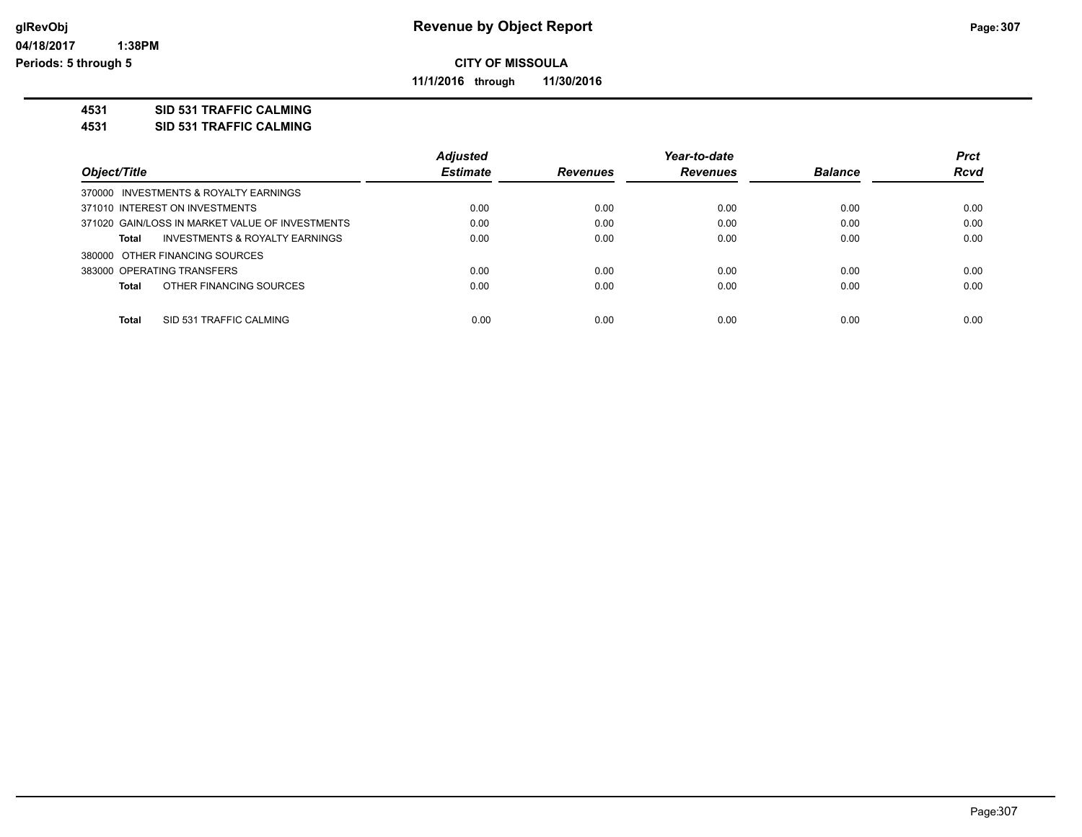**11/1/2016 through 11/30/2016**

**4531 SID 531 TRAFFIC CALMING 4531 SID 531 TRAFFIC CALMING**

|                                                 | <b>Adjusted</b> |                 | Year-to-date    |                | <b>Prct</b> |
|-------------------------------------------------|-----------------|-----------------|-----------------|----------------|-------------|
| Object/Title                                    | <b>Estimate</b> | <b>Revenues</b> | <b>Revenues</b> | <b>Balance</b> | <b>Rcvd</b> |
| 370000 INVESTMENTS & ROYALTY EARNINGS           |                 |                 |                 |                |             |
| 371010 INTEREST ON INVESTMENTS                  | 0.00            | 0.00            | 0.00            | 0.00           | 0.00        |
| 371020 GAIN/LOSS IN MARKET VALUE OF INVESTMENTS | 0.00            | 0.00            | 0.00            | 0.00           | 0.00        |
| INVESTMENTS & ROYALTY EARNINGS<br>Total         | 0.00            | 0.00            | 0.00            | 0.00           | 0.00        |
| 380000 OTHER FINANCING SOURCES                  |                 |                 |                 |                |             |
| 383000 OPERATING TRANSFERS                      | 0.00            | 0.00            | 0.00            | 0.00           | 0.00        |
| OTHER FINANCING SOURCES<br>Total                | 0.00            | 0.00            | 0.00            | 0.00           | 0.00        |
|                                                 |                 |                 |                 |                |             |
| SID 531 TRAFFIC CALMING<br>Total                | 0.00            | 0.00            | 0.00            | 0.00           | 0.00        |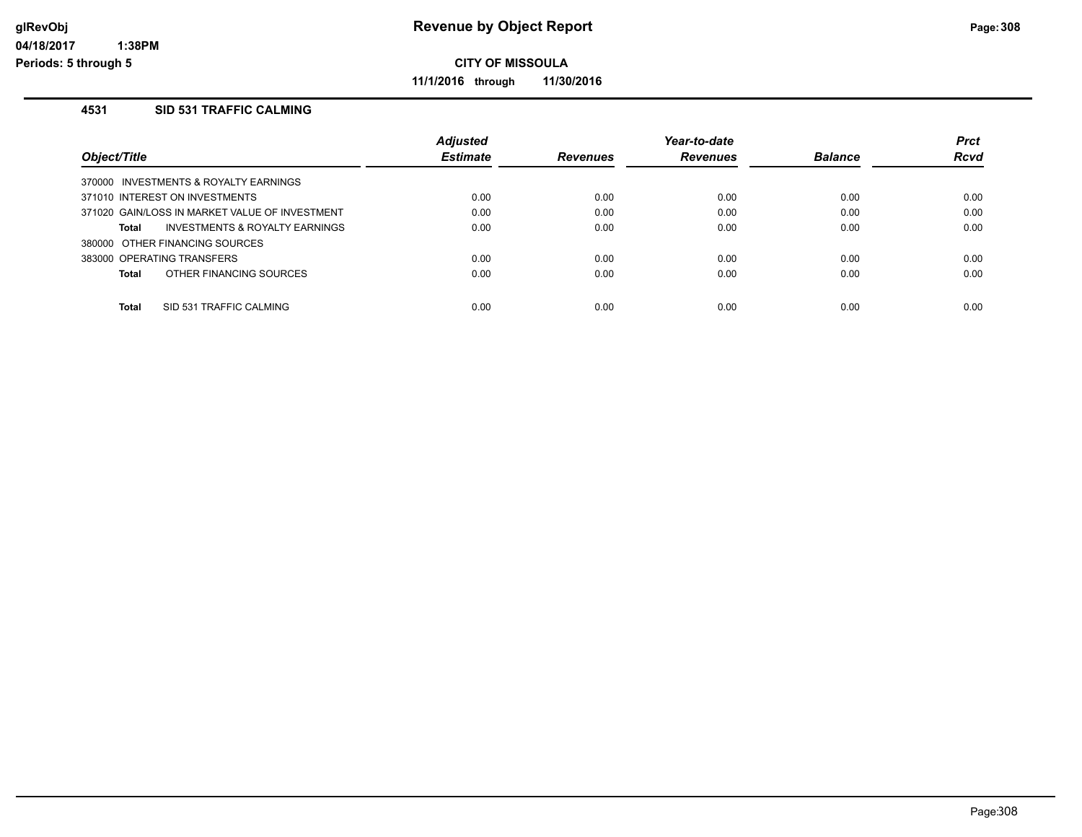**11/1/2016 through 11/30/2016**

### **4531 SID 531 TRAFFIC CALMING**

| Object/Title                                   | <b>Adjusted</b><br><b>Estimate</b> | <b>Revenues</b> | Year-to-date<br><b>Revenues</b> | <b>Balance</b> | <b>Prct</b><br><b>Rcvd</b> |
|------------------------------------------------|------------------------------------|-----------------|---------------------------------|----------------|----------------------------|
| 370000 INVESTMENTS & ROYALTY EARNINGS          |                                    |                 |                                 |                |                            |
| 371010 INTEREST ON INVESTMENTS                 | 0.00                               | 0.00            | 0.00                            | 0.00           | 0.00                       |
| 371020 GAIN/LOSS IN MARKET VALUE OF INVESTMENT | 0.00                               | 0.00            | 0.00                            | 0.00           | 0.00                       |
| INVESTMENTS & ROYALTY EARNINGS<br>Total        | 0.00                               | 0.00            | 0.00                            | 0.00           | 0.00                       |
| 380000 OTHER FINANCING SOURCES                 |                                    |                 |                                 |                |                            |
| 383000 OPERATING TRANSFERS                     | 0.00                               | 0.00            | 0.00                            | 0.00           | 0.00                       |
| OTHER FINANCING SOURCES<br>Total               | 0.00                               | 0.00            | 0.00                            | 0.00           | 0.00                       |
|                                                |                                    |                 |                                 |                |                            |
| Total<br>SID 531 TRAFFIC CALMING               | 0.00                               | 0.00            | 0.00                            | 0.00           | 0.00                       |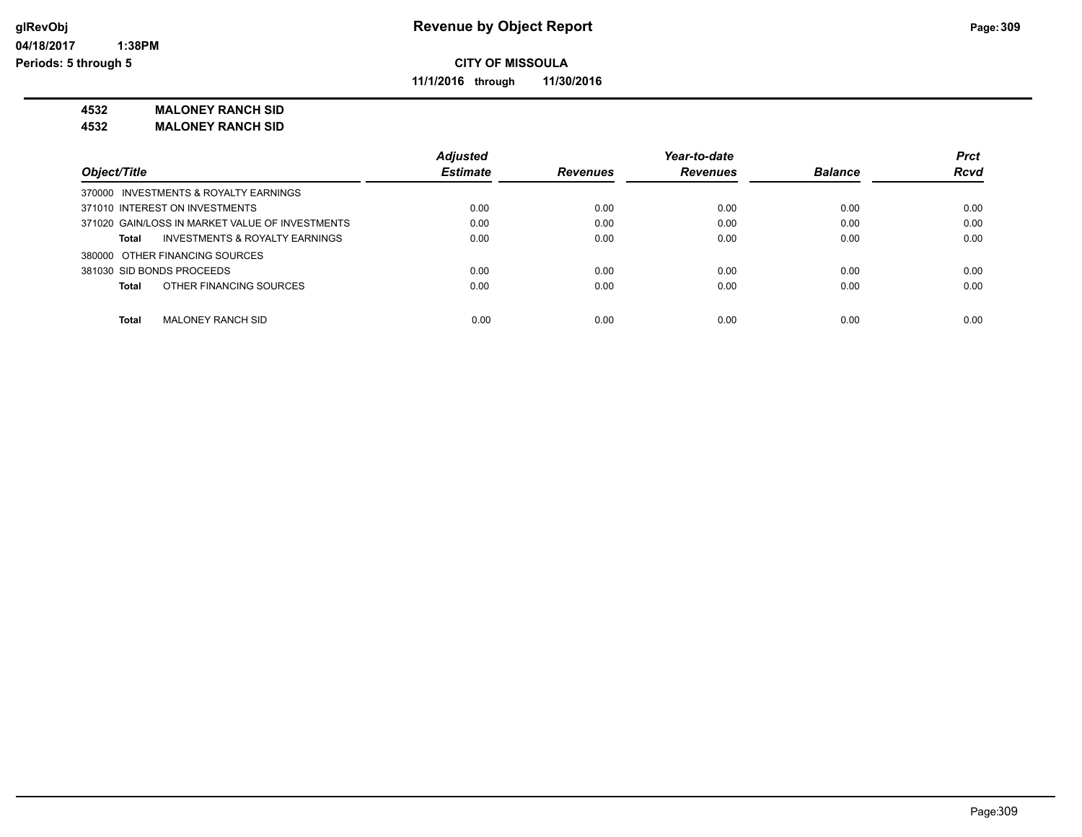**11/1/2016 through 11/30/2016**

**4532 MALONEY RANCH SID 4532 MALONEY RANCH SID**

|                                                 | <b>Adjusted</b> |                 | Year-to-date    |                | <b>Prct</b> |
|-------------------------------------------------|-----------------|-----------------|-----------------|----------------|-------------|
| Object/Title                                    | <b>Estimate</b> | <b>Revenues</b> | <b>Revenues</b> | <b>Balance</b> | <b>Rcvd</b> |
| 370000 INVESTMENTS & ROYALTY EARNINGS           |                 |                 |                 |                |             |
| 371010 INTEREST ON INVESTMENTS                  | 0.00            | 0.00            | 0.00            | 0.00           | 0.00        |
| 371020 GAIN/LOSS IN MARKET VALUE OF INVESTMENTS | 0.00            | 0.00            | 0.00            | 0.00           | 0.00        |
| INVESTMENTS & ROYALTY EARNINGS<br>Total         | 0.00            | 0.00            | 0.00            | 0.00           | 0.00        |
| 380000 OTHER FINANCING SOURCES                  |                 |                 |                 |                |             |
| 381030 SID BONDS PROCEEDS                       | 0.00            | 0.00            | 0.00            | 0.00           | 0.00        |
| OTHER FINANCING SOURCES<br>Total                | 0.00            | 0.00            | 0.00            | 0.00           | 0.00        |
|                                                 |                 |                 |                 |                |             |
| <b>MALONEY RANCH SID</b><br><b>Total</b>        | 0.00            | 0.00            | 0.00            | 0.00           | 0.00        |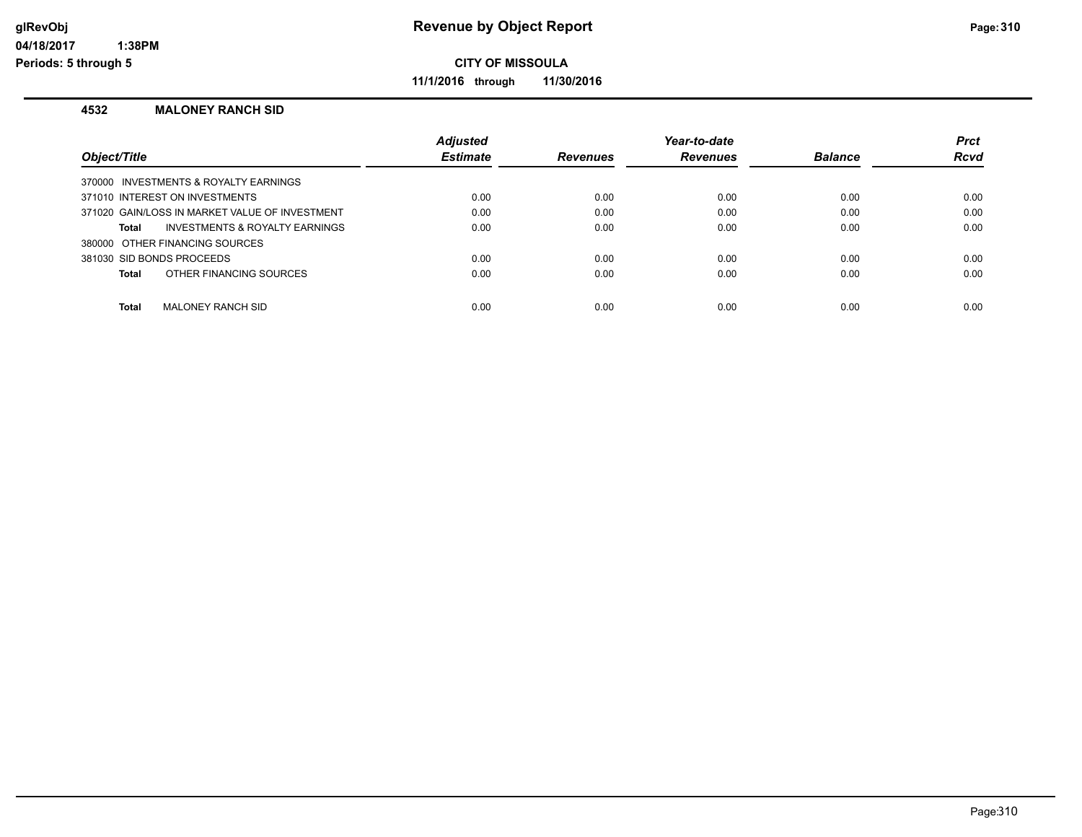**11/1/2016 through 11/30/2016**

#### **4532 MALONEY RANCH SID**

| Object/Title                                   | <b>Adjusted</b><br><b>Estimate</b> |                 | Year-to-date<br><b>Revenues</b> | <b>Balance</b> | <b>Prct</b><br><b>Rcvd</b> |
|------------------------------------------------|------------------------------------|-----------------|---------------------------------|----------------|----------------------------|
|                                                |                                    | <b>Revenues</b> |                                 |                |                            |
| 370000 INVESTMENTS & ROYALTY EARNINGS          |                                    |                 |                                 |                |                            |
| 371010 INTEREST ON INVESTMENTS                 | 0.00                               | 0.00            | 0.00                            | 0.00           | 0.00                       |
| 371020 GAIN/LOSS IN MARKET VALUE OF INVESTMENT | 0.00                               | 0.00            | 0.00                            | 0.00           | 0.00                       |
| Total<br>INVESTMENTS & ROYALTY EARNINGS        | 0.00                               | 0.00            | 0.00                            | 0.00           | 0.00                       |
| 380000 OTHER FINANCING SOURCES                 |                                    |                 |                                 |                |                            |
| 381030 SID BONDS PROCEEDS                      | 0.00                               | 0.00            | 0.00                            | 0.00           | 0.00                       |
| OTHER FINANCING SOURCES<br>Total               | 0.00                               | 0.00            | 0.00                            | 0.00           | 0.00                       |
|                                                |                                    |                 |                                 |                |                            |
| Total<br>MALONEY RANCH SID                     | 0.00                               | 0.00            | 0.00                            | 0.00           | 0.00                       |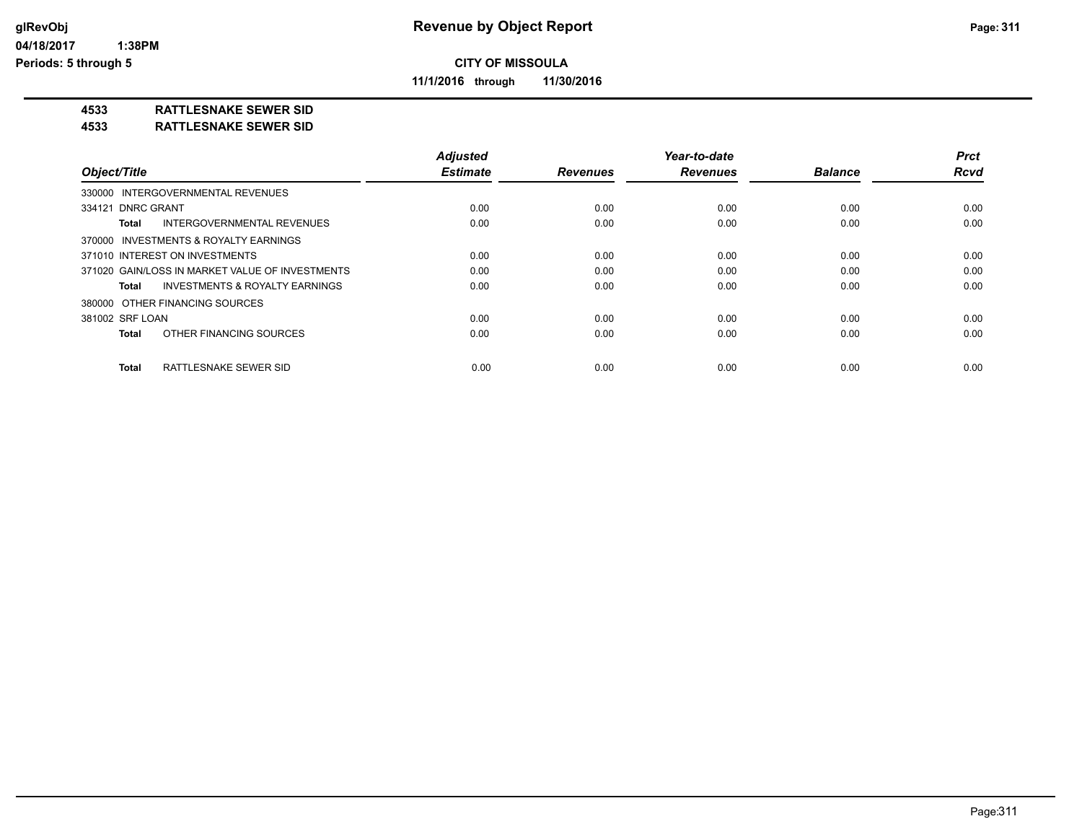**11/1/2016 through 11/30/2016**

**4533 RATTLESNAKE SEWER SID 4533 RATTLESNAKE SEWER SID**

|                                                 | <b>Adjusted</b> |                 | Year-to-date    |                | <b>Prct</b> |
|-------------------------------------------------|-----------------|-----------------|-----------------|----------------|-------------|
| Object/Title                                    | <b>Estimate</b> | <b>Revenues</b> | <b>Revenues</b> | <b>Balance</b> | <b>Rcvd</b> |
| 330000 INTERGOVERNMENTAL REVENUES               |                 |                 |                 |                |             |
| <b>DNRC GRANT</b><br>334121                     | 0.00            | 0.00            | 0.00            | 0.00           | 0.00        |
| INTERGOVERNMENTAL REVENUES<br>Total             | 0.00            | 0.00            | 0.00            | 0.00           | 0.00        |
| 370000 INVESTMENTS & ROYALTY EARNINGS           |                 |                 |                 |                |             |
| 371010 INTEREST ON INVESTMENTS                  | 0.00            | 0.00            | 0.00            | 0.00           | 0.00        |
| 371020 GAIN/LOSS IN MARKET VALUE OF INVESTMENTS | 0.00            | 0.00            | 0.00            | 0.00           | 0.00        |
| INVESTMENTS & ROYALTY EARNINGS<br>Total         | 0.00            | 0.00            | 0.00            | 0.00           | 0.00        |
| 380000 OTHER FINANCING SOURCES                  |                 |                 |                 |                |             |
| 381002 SRF LOAN                                 | 0.00            | 0.00            | 0.00            | 0.00           | 0.00        |
| OTHER FINANCING SOURCES<br>Total                | 0.00            | 0.00            | 0.00            | 0.00           | 0.00        |
| RATTLESNAKE SEWER SID<br><b>Total</b>           | 0.00            | 0.00            | 0.00            | 0.00           | 0.00        |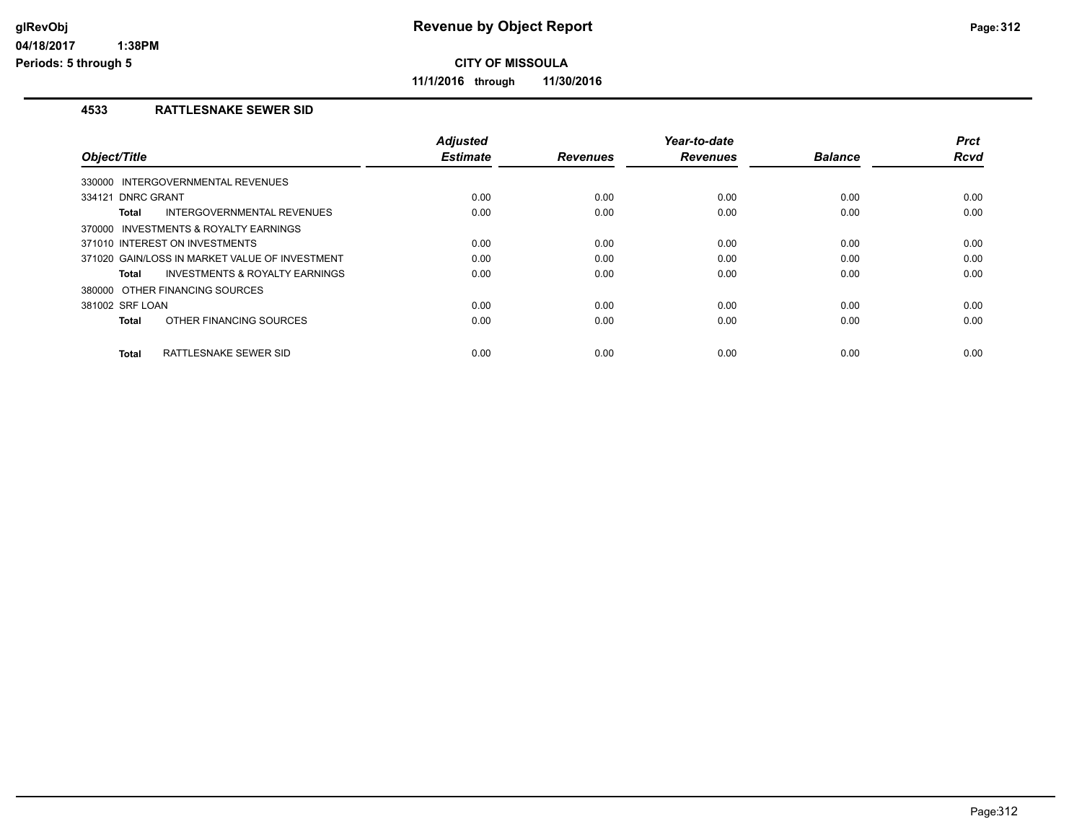**11/1/2016 through 11/30/2016**

### **4533 RATTLESNAKE SEWER SID**

| Object/Title                                       | <b>Adjusted</b><br><b>Estimate</b> | <b>Revenues</b> | Year-to-date<br><b>Revenues</b> | <b>Balance</b> | <b>Prct</b><br><b>Rcvd</b> |
|----------------------------------------------------|------------------------------------|-----------------|---------------------------------|----------------|----------------------------|
| INTERGOVERNMENTAL REVENUES<br>330000               |                                    |                 |                                 |                |                            |
| 334121 DNRC GRANT                                  | 0.00                               | 0.00            | 0.00                            | 0.00           | 0.00                       |
| INTERGOVERNMENTAL REVENUES<br>Total                | 0.00                               | 0.00            | 0.00                            | 0.00           | 0.00                       |
| INVESTMENTS & ROYALTY EARNINGS<br>370000           |                                    |                 |                                 |                |                            |
| 371010 INTEREST ON INVESTMENTS                     | 0.00                               | 0.00            | 0.00                            | 0.00           | 0.00                       |
| 371020 GAIN/LOSS IN MARKET VALUE OF INVESTMENT     | 0.00                               | 0.00            | 0.00                            | 0.00           | 0.00                       |
| <b>INVESTMENTS &amp; ROYALTY EARNINGS</b><br>Total | 0.00                               | 0.00            | 0.00                            | 0.00           | 0.00                       |
| 380000 OTHER FINANCING SOURCES                     |                                    |                 |                                 |                |                            |
| 381002 SRF LOAN                                    | 0.00                               | 0.00            | 0.00                            | 0.00           | 0.00                       |
| OTHER FINANCING SOURCES<br>Total                   | 0.00                               | 0.00            | 0.00                            | 0.00           | 0.00                       |
| RATTLESNAKE SEWER SID<br><b>Total</b>              | 0.00                               | 0.00            | 0.00                            | 0.00           | 0.00                       |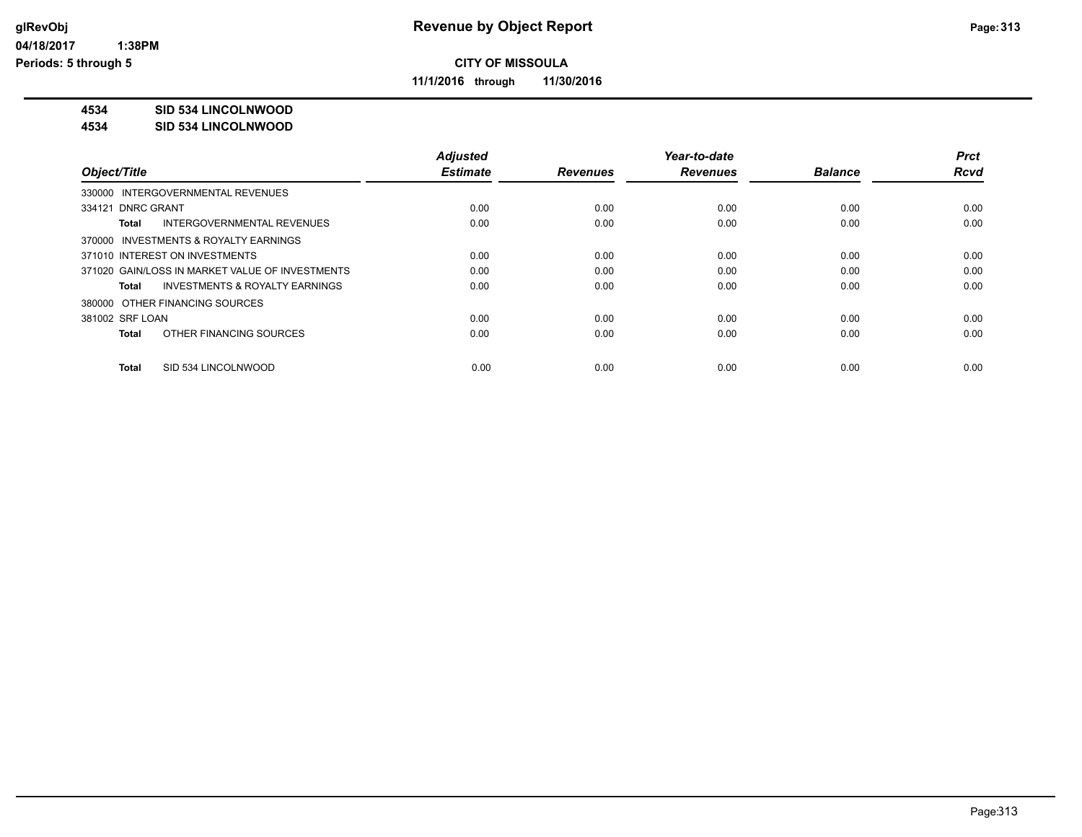**11/1/2016 through 11/30/2016**

**4534 SID 534 LINCOLNWOOD**

| 4534 | <b>SID 534 LINCOLNWOOD</b> |  |
|------|----------------------------|--|
|      |                            |  |

|                                                    | <b>Adjusted</b> |                 | Year-to-date    |                | <b>Prct</b> |
|----------------------------------------------------|-----------------|-----------------|-----------------|----------------|-------------|
| Object/Title                                       | <b>Estimate</b> | <b>Revenues</b> | <b>Revenues</b> | <b>Balance</b> | <b>Rcvd</b> |
| 330000 INTERGOVERNMENTAL REVENUES                  |                 |                 |                 |                |             |
| 334121 DNRC GRANT                                  | 0.00            | 0.00            | 0.00            | 0.00           | 0.00        |
| INTERGOVERNMENTAL REVENUES<br>Total                | 0.00            | 0.00            | 0.00            | 0.00           | 0.00        |
| 370000 INVESTMENTS & ROYALTY EARNINGS              |                 |                 |                 |                |             |
| 371010 INTEREST ON INVESTMENTS                     | 0.00            | 0.00            | 0.00            | 0.00           | 0.00        |
| 371020 GAIN/LOSS IN MARKET VALUE OF INVESTMENTS    | 0.00            | 0.00            | 0.00            | 0.00           | 0.00        |
| <b>INVESTMENTS &amp; ROYALTY EARNINGS</b><br>Total | 0.00            | 0.00            | 0.00            | 0.00           | 0.00        |
| 380000 OTHER FINANCING SOURCES                     |                 |                 |                 |                |             |
| 381002 SRF LOAN                                    | 0.00            | 0.00            | 0.00            | 0.00           | 0.00        |
| OTHER FINANCING SOURCES<br>Total                   | 0.00            | 0.00            | 0.00            | 0.00           | 0.00        |
| SID 534 LINCOLNWOOD<br>Total                       | 0.00            | 0.00            | 0.00            | 0.00           | 0.00        |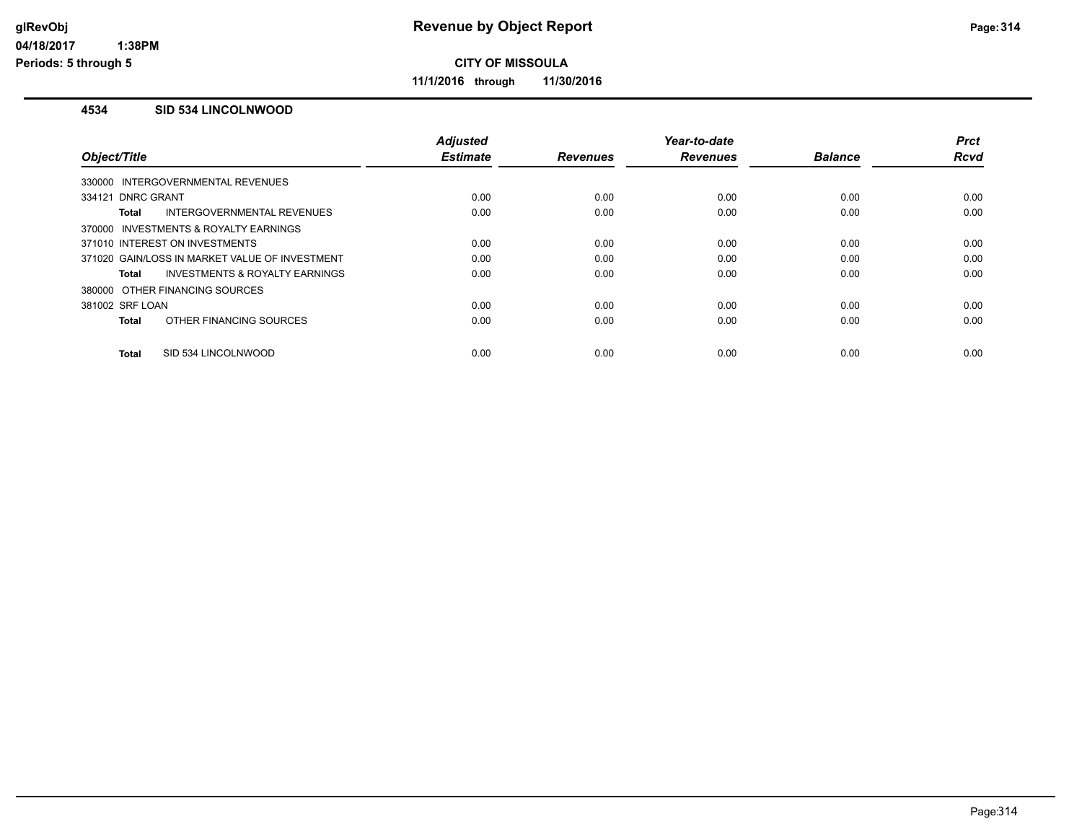**11/1/2016 through 11/30/2016**

### **4534 SID 534 LINCOLNWOOD**

|                                                | <b>Adjusted</b> |                 | Year-to-date    |                | <b>Prct</b> |
|------------------------------------------------|-----------------|-----------------|-----------------|----------------|-------------|
| Object/Title                                   | <b>Estimate</b> | <b>Revenues</b> | <b>Revenues</b> | <b>Balance</b> | <b>Rcvd</b> |
| 330000 INTERGOVERNMENTAL REVENUES              |                 |                 |                 |                |             |
| 334121 DNRC GRANT                              | 0.00            | 0.00            | 0.00            | 0.00           | 0.00        |
| INTERGOVERNMENTAL REVENUES<br>Total            | 0.00            | 0.00            | 0.00            | 0.00           | 0.00        |
| 370000 INVESTMENTS & ROYALTY EARNINGS          |                 |                 |                 |                |             |
| 371010 INTEREST ON INVESTMENTS                 | 0.00            | 0.00            | 0.00            | 0.00           | 0.00        |
| 371020 GAIN/LOSS IN MARKET VALUE OF INVESTMENT | 0.00            | 0.00            | 0.00            | 0.00           | 0.00        |
| INVESTMENTS & ROYALTY EARNINGS<br>Total        | 0.00            | 0.00            | 0.00            | 0.00           | 0.00        |
| 380000 OTHER FINANCING SOURCES                 |                 |                 |                 |                |             |
| 381002 SRF LOAN                                | 0.00            | 0.00            | 0.00            | 0.00           | 0.00        |
| OTHER FINANCING SOURCES<br>Total               | 0.00            | 0.00            | 0.00            | 0.00           | 0.00        |
| SID 534 LINCOLNWOOD<br><b>Total</b>            | 0.00            | 0.00            | 0.00            | 0.00           | 0.00        |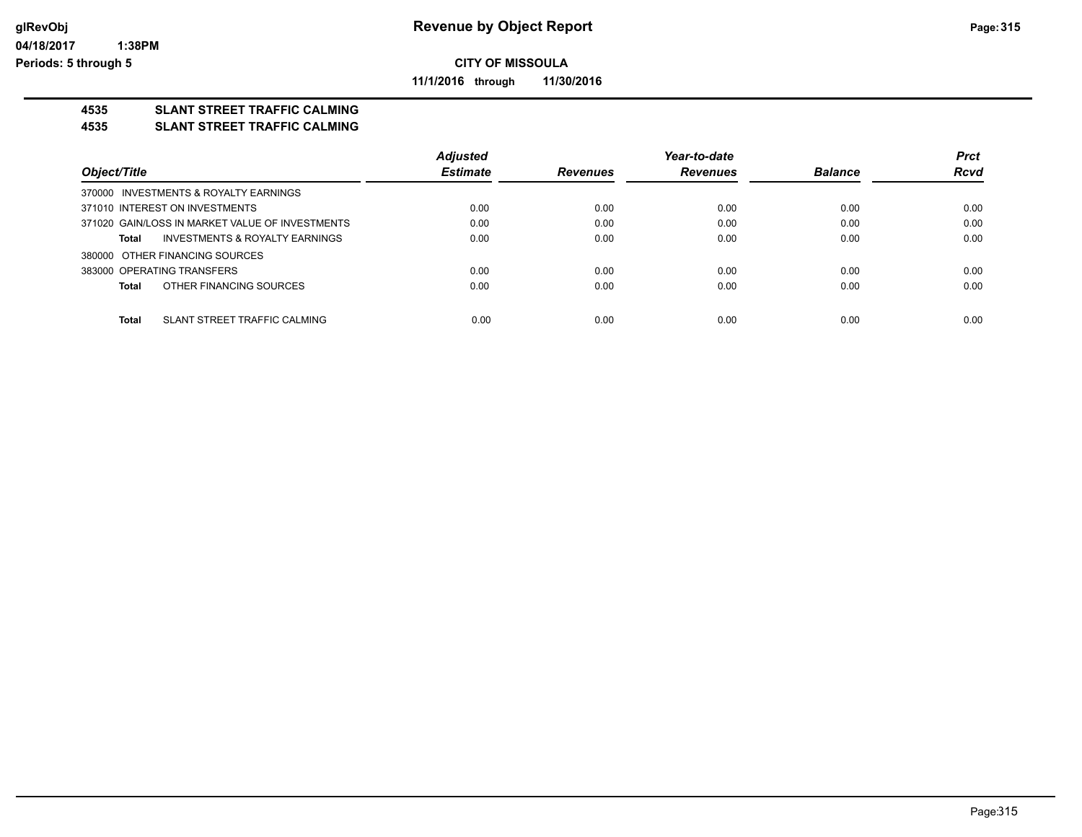**11/1/2016 through 11/30/2016**

### **4535 SLANT STREET TRAFFIC CALMING 4535 SLANT STREET TRAFFIC CALMING**

|                                                 | <b>Adjusted</b> |                 | Year-to-date    |                | <b>Prct</b> |
|-------------------------------------------------|-----------------|-----------------|-----------------|----------------|-------------|
| Object/Title                                    | <b>Estimate</b> | <b>Revenues</b> | <b>Revenues</b> | <b>Balance</b> | <b>Rcvd</b> |
| 370000 INVESTMENTS & ROYALTY EARNINGS           |                 |                 |                 |                |             |
| 371010 INTEREST ON INVESTMENTS                  | 0.00            | 0.00            | 0.00            | 0.00           | 0.00        |
| 371020 GAIN/LOSS IN MARKET VALUE OF INVESTMENTS | 0.00            | 0.00            | 0.00            | 0.00           | 0.00        |
| INVESTMENTS & ROYALTY EARNINGS<br>Total         | 0.00            | 0.00            | 0.00            | 0.00           | 0.00        |
| 380000 OTHER FINANCING SOURCES                  |                 |                 |                 |                |             |
| 383000 OPERATING TRANSFERS                      | 0.00            | 0.00            | 0.00            | 0.00           | 0.00        |
| OTHER FINANCING SOURCES<br>Total                | 0.00            | 0.00            | 0.00            | 0.00           | 0.00        |
|                                                 |                 |                 |                 |                |             |
| <b>Total</b><br>SLANT STREET TRAFFIC CALMING    | 0.00            | 0.00            | 0.00            | 0.00           | 0.00        |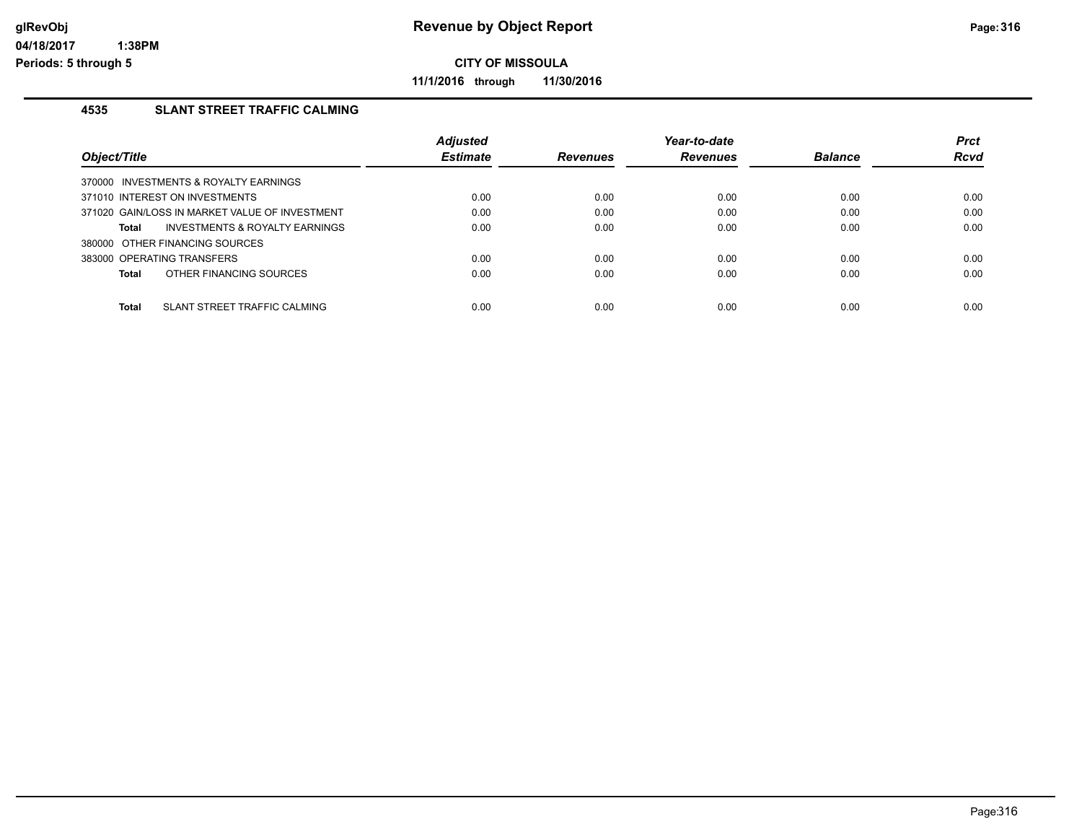**11/1/2016 through 11/30/2016**

### **4535 SLANT STREET TRAFFIC CALMING**

| Object/Title |                                                | <b>Adjusted</b><br><b>Estimate</b> | <b>Revenues</b> | Year-to-date<br><b>Revenues</b> | <b>Balance</b> | <b>Prct</b><br><b>Rcvd</b> |
|--------------|------------------------------------------------|------------------------------------|-----------------|---------------------------------|----------------|----------------------------|
|              |                                                |                                    |                 |                                 |                |                            |
|              | 370000 INVESTMENTS & ROYALTY EARNINGS          |                                    |                 |                                 |                |                            |
|              | 371010 INTEREST ON INVESTMENTS                 | 0.00                               | 0.00            | 0.00                            | 0.00           | 0.00                       |
|              | 371020 GAIN/LOSS IN MARKET VALUE OF INVESTMENT | 0.00                               | 0.00            | 0.00                            | 0.00           | 0.00                       |
| Total        | INVESTMENTS & ROYALTY EARNINGS                 | 0.00                               | 0.00            | 0.00                            | 0.00           | 0.00                       |
|              | 380000 OTHER FINANCING SOURCES                 |                                    |                 |                                 |                |                            |
|              | 383000 OPERATING TRANSFERS                     | 0.00                               | 0.00            | 0.00                            | 0.00           | 0.00                       |
| Total        | OTHER FINANCING SOURCES                        | 0.00                               | 0.00            | 0.00                            | 0.00           | 0.00                       |
| Total        | SLANT STREET TRAFFIC CALMING                   | 0.00                               | 0.00            | 0.00                            | 0.00           | 0.00                       |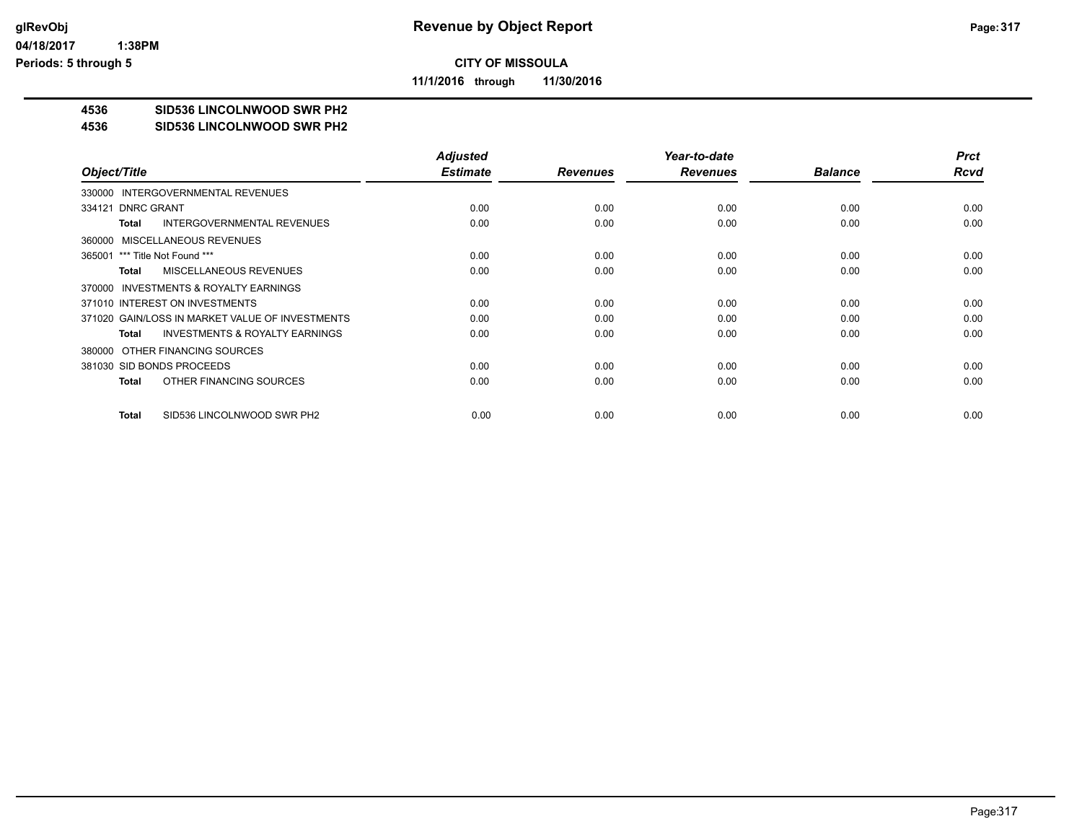**11/1/2016 through 11/30/2016**

# **4536 SID536 LINCOLNWOOD SWR PH2**

**4536 SID536 LINCOLNWOOD SWR PH2**

|                                                    | <b>Adjusted</b> |                 | Year-to-date    |                | <b>Prct</b> |
|----------------------------------------------------|-----------------|-----------------|-----------------|----------------|-------------|
| Object/Title                                       | <b>Estimate</b> | <b>Revenues</b> | <b>Revenues</b> | <b>Balance</b> | Rcvd        |
| 330000 INTERGOVERNMENTAL REVENUES                  |                 |                 |                 |                |             |
| 334121 DNRC GRANT                                  | 0.00            | 0.00            | 0.00            | 0.00           | 0.00        |
| <b>INTERGOVERNMENTAL REVENUES</b><br>Total         | 0.00            | 0.00            | 0.00            | 0.00           | 0.00        |
| 360000 MISCELLANEOUS REVENUES                      |                 |                 |                 |                |             |
| 365001 *** Title Not Found ***                     | 0.00            | 0.00            | 0.00            | 0.00           | 0.00        |
| MISCELLANEOUS REVENUES<br>Total                    | 0.00            | 0.00            | 0.00            | 0.00           | 0.00        |
| 370000 INVESTMENTS & ROYALTY EARNINGS              |                 |                 |                 |                |             |
| 371010 INTEREST ON INVESTMENTS                     | 0.00            | 0.00            | 0.00            | 0.00           | 0.00        |
| 371020 GAIN/LOSS IN MARKET VALUE OF INVESTMENTS    | 0.00            | 0.00            | 0.00            | 0.00           | 0.00        |
| <b>INVESTMENTS &amp; ROYALTY EARNINGS</b><br>Total | 0.00            | 0.00            | 0.00            | 0.00           | 0.00        |
| 380000 OTHER FINANCING SOURCES                     |                 |                 |                 |                |             |
| 381030 SID BONDS PROCEEDS                          | 0.00            | 0.00            | 0.00            | 0.00           | 0.00        |
| OTHER FINANCING SOURCES<br><b>Total</b>            | 0.00            | 0.00            | 0.00            | 0.00           | 0.00        |
|                                                    |                 |                 |                 |                |             |
| SID536 LINCOLNWOOD SWR PH2<br>Total                | 0.00            | 0.00            | 0.00            | 0.00           | 0.00        |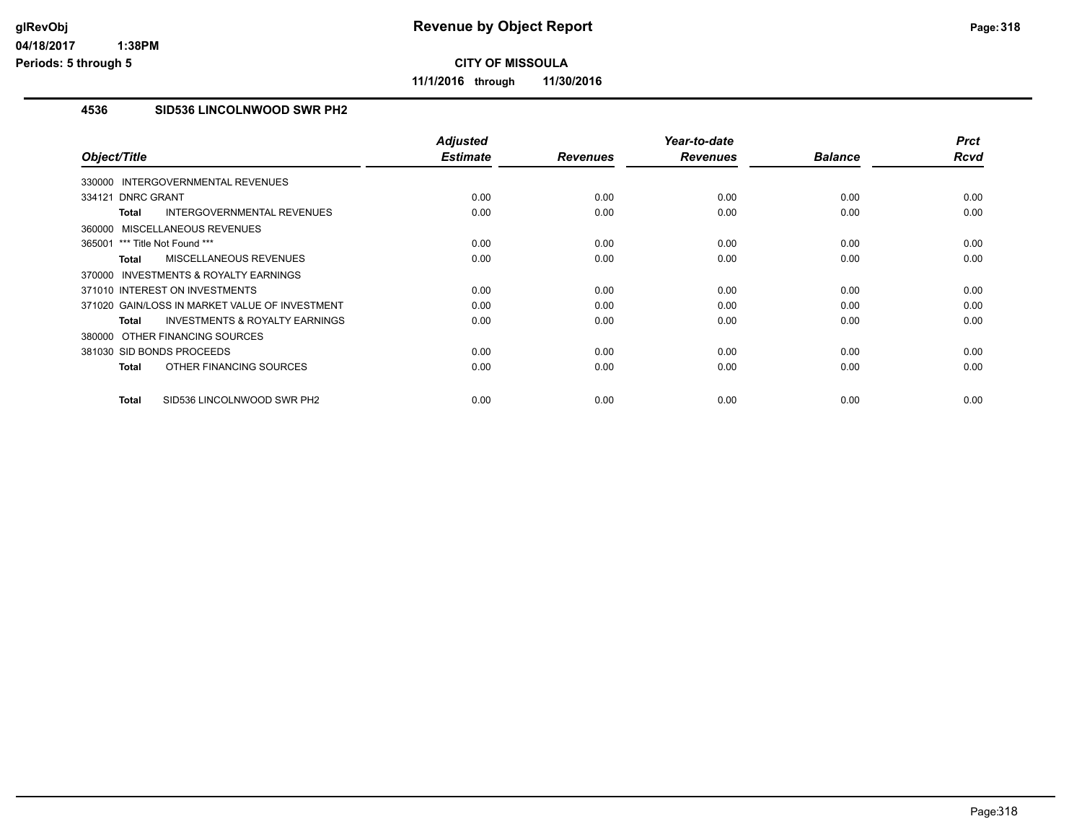**11/1/2016 through 11/30/2016**

### **4536 SID536 LINCOLNWOOD SWR PH2**

| Object/Title                                              | <b>Adjusted</b><br><b>Estimate</b> | <b>Revenues</b> | Year-to-date<br><b>Revenues</b> | <b>Balance</b> | <b>Prct</b><br><b>Rcvd</b> |
|-----------------------------------------------------------|------------------------------------|-----------------|---------------------------------|----------------|----------------------------|
| 330000 INTERGOVERNMENTAL REVENUES                         |                                    |                 |                                 |                |                            |
| 334121 DNRC GRANT                                         | 0.00                               | 0.00            | 0.00                            | 0.00           | 0.00                       |
| INTERGOVERNMENTAL REVENUES<br><b>Total</b>                | 0.00                               | 0.00            | 0.00                            | 0.00           | 0.00                       |
| 360000 MISCELLANEOUS REVENUES                             |                                    |                 |                                 |                |                            |
| 365001 *** Title Not Found ***                            | 0.00                               | 0.00            | 0.00                            | 0.00           | 0.00                       |
| MISCELLANEOUS REVENUES<br><b>Total</b>                    | 0.00                               | 0.00            | 0.00                            | 0.00           | 0.00                       |
| 370000 INVESTMENTS & ROYALTY EARNINGS                     |                                    |                 |                                 |                |                            |
| 371010 INTEREST ON INVESTMENTS                            | 0.00                               | 0.00            | 0.00                            | 0.00           | 0.00                       |
| 371020 GAIN/LOSS IN MARKET VALUE OF INVESTMENT            | 0.00                               | 0.00            | 0.00                            | 0.00           | 0.00                       |
| <b>INVESTMENTS &amp; ROYALTY EARNINGS</b><br><b>Total</b> | 0.00                               | 0.00            | 0.00                            | 0.00           | 0.00                       |
| 380000 OTHER FINANCING SOURCES                            |                                    |                 |                                 |                |                            |
| 381030 SID BONDS PROCEEDS                                 | 0.00                               | 0.00            | 0.00                            | 0.00           | 0.00                       |
| OTHER FINANCING SOURCES<br><b>Total</b>                   | 0.00                               | 0.00            | 0.00                            | 0.00           | 0.00                       |
| SID536 LINCOLNWOOD SWR PH2<br><b>Total</b>                | 0.00                               | 0.00            | 0.00                            | 0.00           | 0.00                       |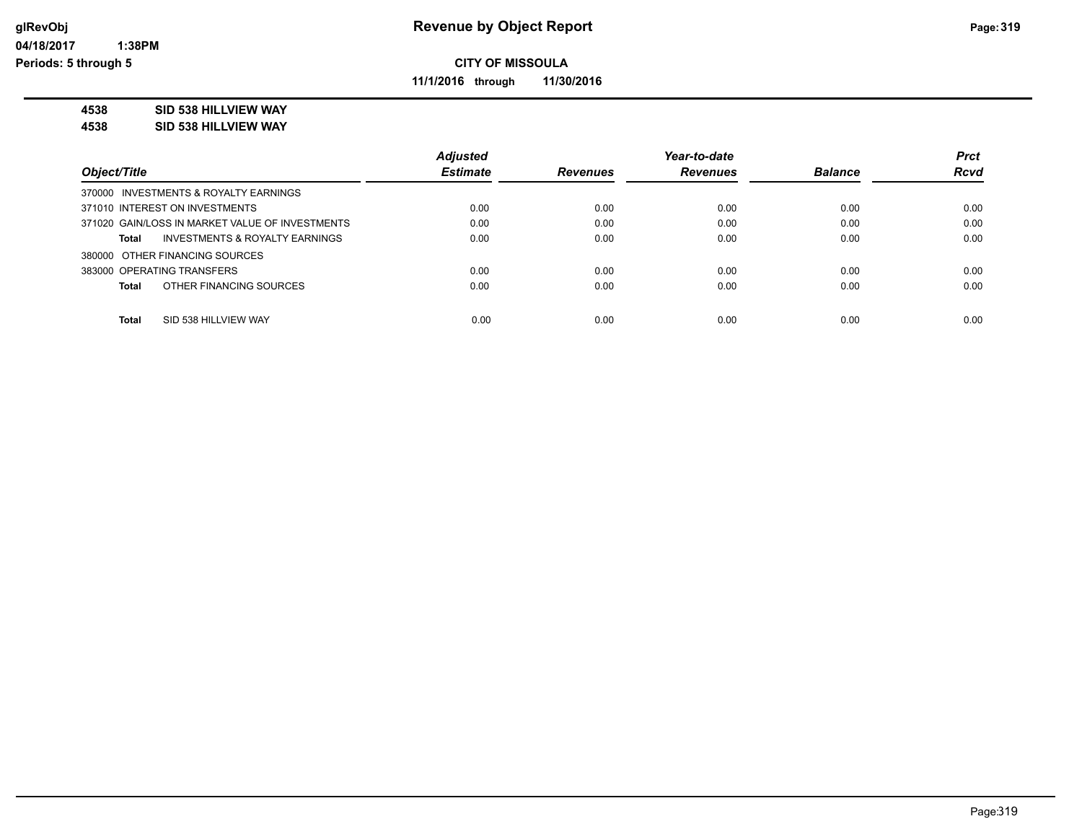**11/1/2016 through 11/30/2016**

**4538 SID 538 HILLVIEW WAY**

|                                                    | <b>Adjusted</b> |                 | Year-to-date    |                | <b>Prct</b> |
|----------------------------------------------------|-----------------|-----------------|-----------------|----------------|-------------|
| Object/Title                                       | <b>Estimate</b> | <b>Revenues</b> | <b>Revenues</b> | <b>Balance</b> | <b>Rcvd</b> |
| 370000 INVESTMENTS & ROYALTY EARNINGS              |                 |                 |                 |                |             |
| 371010 INTEREST ON INVESTMENTS                     | 0.00            | 0.00            | 0.00            | 0.00           | 0.00        |
| 371020 GAIN/LOSS IN MARKET VALUE OF INVESTMENTS    | 0.00            | 0.00            | 0.00            | 0.00           | 0.00        |
| <b>INVESTMENTS &amp; ROYALTY EARNINGS</b><br>Total | 0.00            | 0.00            | 0.00            | 0.00           | 0.00        |
| 380000 OTHER FINANCING SOURCES                     |                 |                 |                 |                |             |
| 383000 OPERATING TRANSFERS                         | 0.00            | 0.00            | 0.00            | 0.00           | 0.00        |
| OTHER FINANCING SOURCES<br>Total                   | 0.00            | 0.00            | 0.00            | 0.00           | 0.00        |
| Total<br>SID 538 HILLVIEW WAY                      | 0.00            | 0.00            | 0.00            | 0.00           | 0.00        |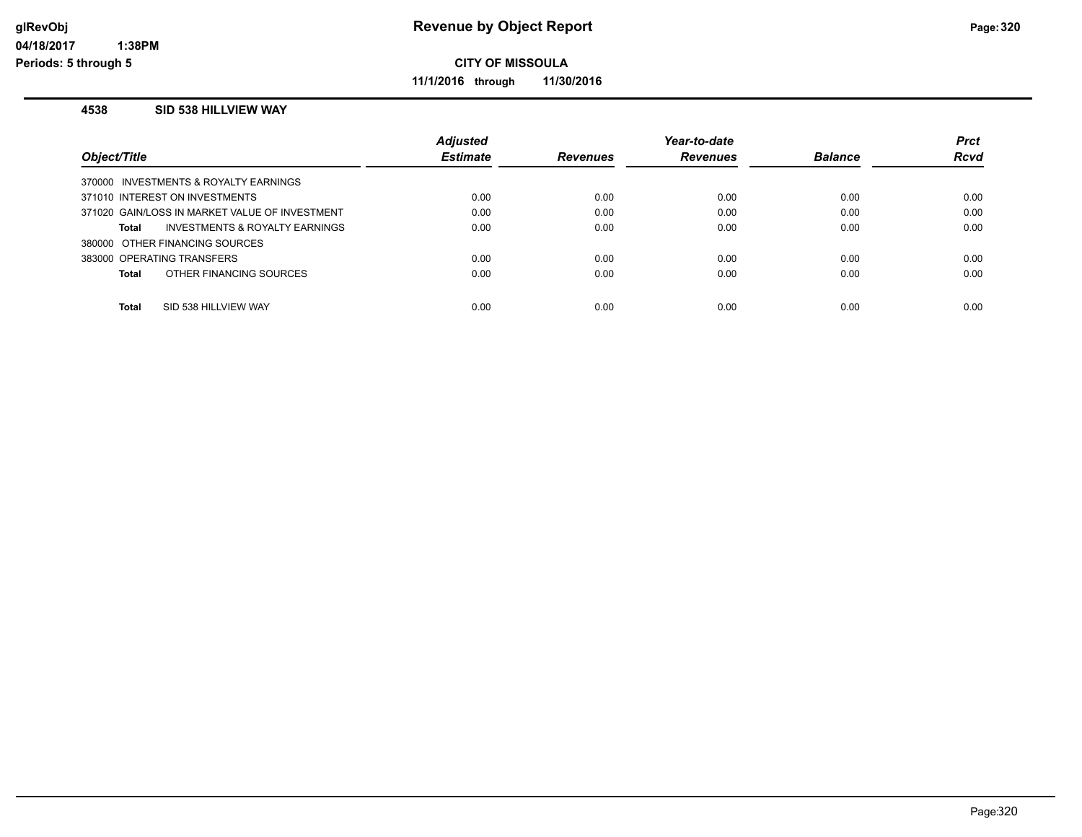**11/1/2016 through 11/30/2016**

### **4538 SID 538 HILLVIEW WAY**

|                                                | <b>Adjusted</b> |                 | Year-to-date    |                | <b>Prct</b> |
|------------------------------------------------|-----------------|-----------------|-----------------|----------------|-------------|
| Object/Title                                   | <b>Estimate</b> | <b>Revenues</b> | <b>Revenues</b> | <b>Balance</b> | <b>Rcvd</b> |
| 370000 INVESTMENTS & ROYALTY EARNINGS          |                 |                 |                 |                |             |
| 371010 INTEREST ON INVESTMENTS                 | 0.00            | 0.00            | 0.00            | 0.00           | 0.00        |
| 371020 GAIN/LOSS IN MARKET VALUE OF INVESTMENT | 0.00            | 0.00            | 0.00            | 0.00           | 0.00        |
| Total<br>INVESTMENTS & ROYALTY EARNINGS        | 0.00            | 0.00            | 0.00            | 0.00           | 0.00        |
| 380000 OTHER FINANCING SOURCES                 |                 |                 |                 |                |             |
| 383000 OPERATING TRANSFERS                     | 0.00            | 0.00            | 0.00            | 0.00           | 0.00        |
| OTHER FINANCING SOURCES<br>Total               | 0.00            | 0.00            | 0.00            | 0.00           | 0.00        |
|                                                |                 |                 |                 |                |             |
| Total<br>SID 538 HILLVIEW WAY                  | 0.00            | 0.00            | 0.00            | 0.00           | 0.00        |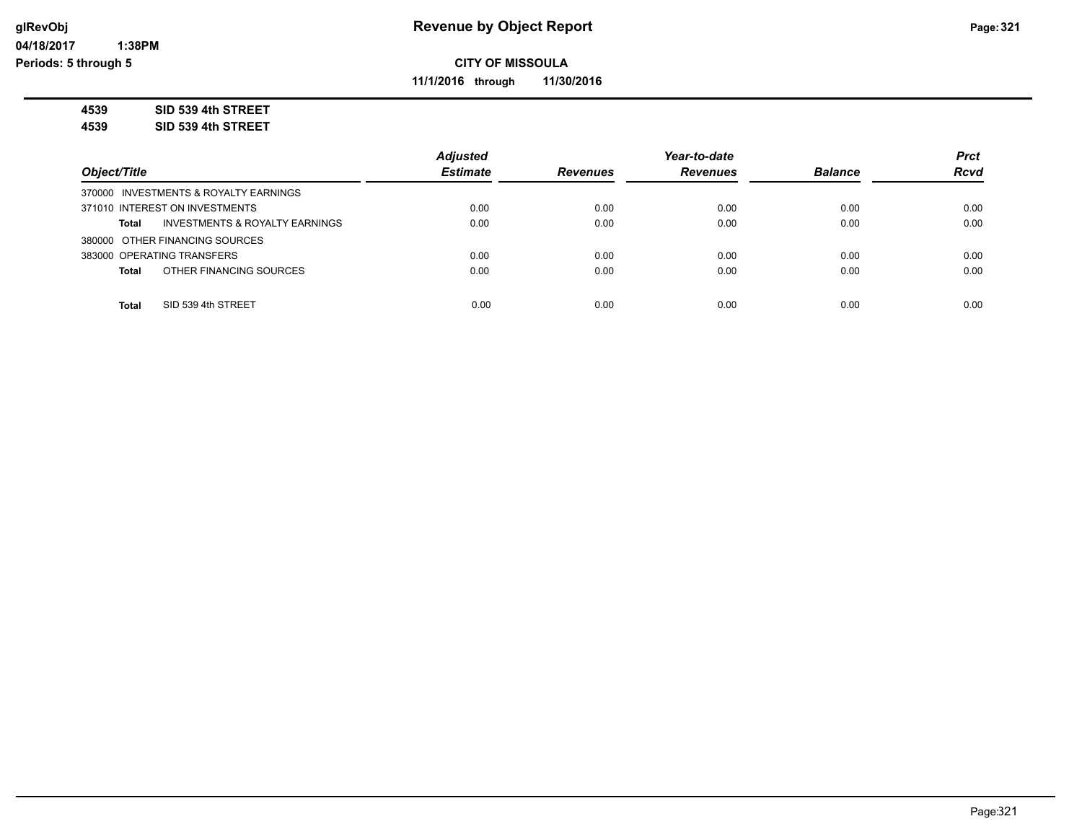**11/1/2016 through 11/30/2016**

**4539 SID 539 4th STREET 4539 SID 539 4th STREET**

| Object/Title                                       | <b>Adjusted</b><br><b>Estimate</b> | <b>Revenues</b> | Year-to-date<br><b>Revenues</b> | <b>Balance</b> | <b>Prct</b><br><b>Rcvd</b> |
|----------------------------------------------------|------------------------------------|-----------------|---------------------------------|----------------|----------------------------|
| 370000 INVESTMENTS & ROYALTY EARNINGS              |                                    |                 |                                 |                |                            |
| 371010 INTEREST ON INVESTMENTS                     | 0.00                               | 0.00            | 0.00                            | 0.00           | 0.00                       |
| <b>INVESTMENTS &amp; ROYALTY EARNINGS</b><br>Total | 0.00                               | 0.00            | 0.00                            | 0.00           | 0.00                       |
| 380000 OTHER FINANCING SOURCES                     |                                    |                 |                                 |                |                            |
| 383000 OPERATING TRANSFERS                         | 0.00                               | 0.00            | 0.00                            | 0.00           | 0.00                       |
| OTHER FINANCING SOURCES<br>Total                   | 0.00                               | 0.00            | 0.00                            | 0.00           | 0.00                       |
|                                                    |                                    |                 |                                 |                |                            |
| <b>Total</b><br>SID 539 4th STREET                 | 0.00                               | 0.00            | 0.00                            | 0.00           | 0.00                       |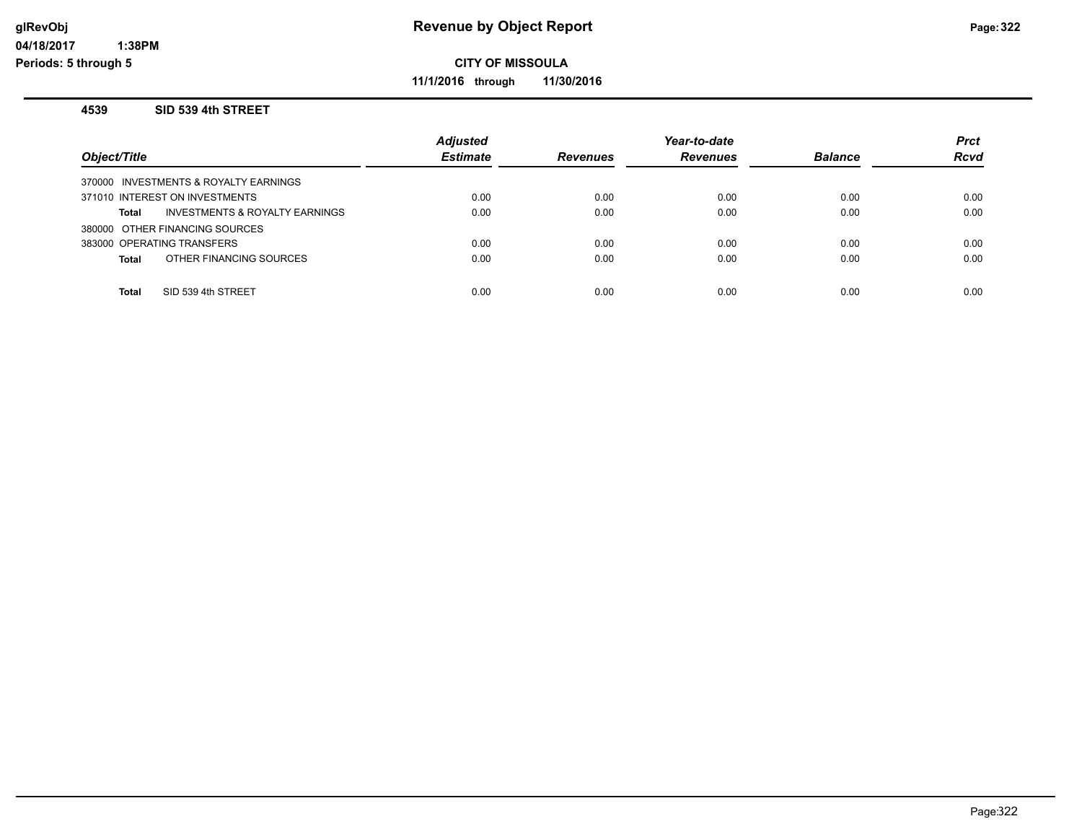**11/1/2016 through 11/30/2016**

#### **4539 SID 539 4th STREET**

| Object/Title                                       | <b>Adjusted</b><br><b>Estimate</b> | <b>Revenues</b> | Year-to-date<br><b>Revenues</b> | <b>Balance</b> | <b>Prct</b><br><b>Rcvd</b> |
|----------------------------------------------------|------------------------------------|-----------------|---------------------------------|----------------|----------------------------|
| 370000 INVESTMENTS & ROYALTY EARNINGS              |                                    |                 |                                 |                |                            |
| 371010 INTEREST ON INVESTMENTS                     | 0.00                               | 0.00            | 0.00                            | 0.00           | 0.00                       |
| <b>INVESTMENTS &amp; ROYALTY EARNINGS</b><br>Total | 0.00                               | 0.00            | 0.00                            | 0.00           | 0.00                       |
| 380000 OTHER FINANCING SOURCES                     |                                    |                 |                                 |                |                            |
| 383000 OPERATING TRANSFERS                         | 0.00                               | 0.00            | 0.00                            | 0.00           | 0.00                       |
| OTHER FINANCING SOURCES<br>Total                   | 0.00                               | 0.00            | 0.00                            | 0.00           | 0.00                       |
|                                                    |                                    |                 |                                 |                |                            |
| Total<br>SID 539 4th STREET                        | 0.00                               | 0.00            | 0.00                            | 0.00           | 0.00                       |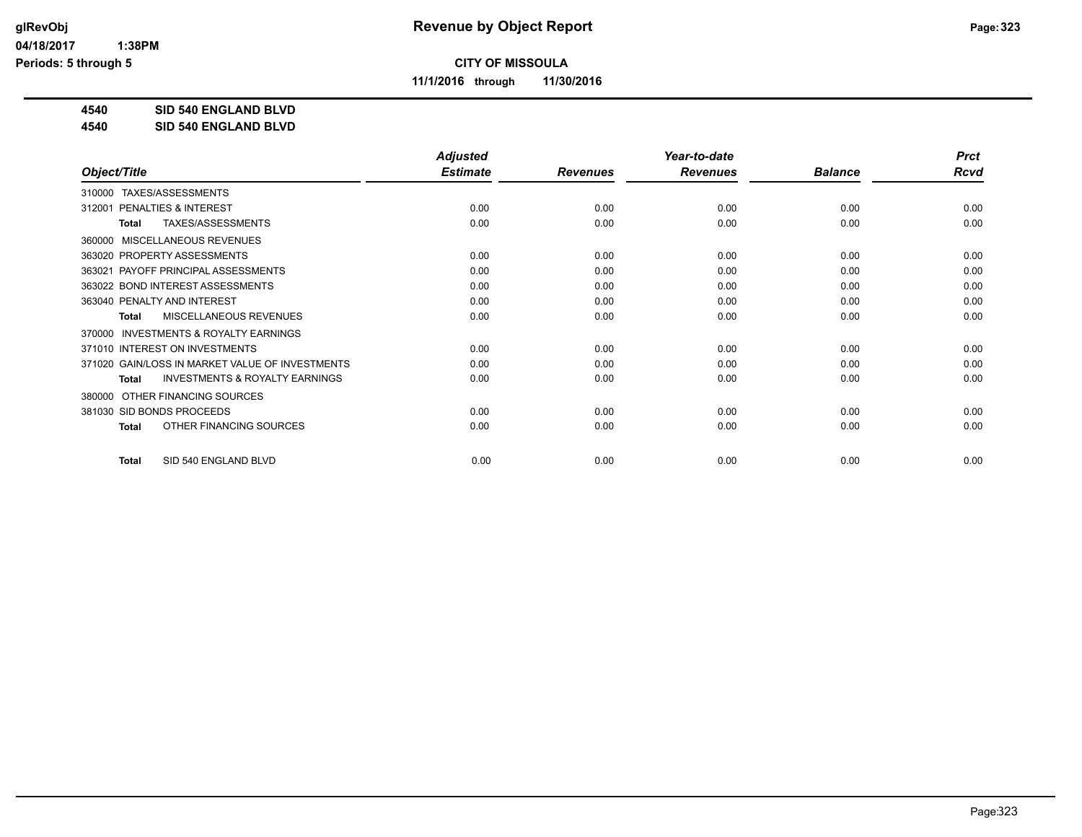**11/1/2016 through 11/30/2016**

**4540 SID 540 ENGLAND BLVD 4540 SID 540 ENGLAND BLVD**

|                                                     | <b>Adjusted</b> |                 | Year-to-date    |                | <b>Prct</b> |
|-----------------------------------------------------|-----------------|-----------------|-----------------|----------------|-------------|
| Object/Title                                        | <b>Estimate</b> | <b>Revenues</b> | <b>Revenues</b> | <b>Balance</b> | Rcvd        |
| TAXES/ASSESSMENTS<br>310000                         |                 |                 |                 |                |             |
| PENALTIES & INTEREST<br>312001                      | 0.00            | 0.00            | 0.00            | 0.00           | 0.00        |
| TAXES/ASSESSMENTS<br>Total                          | 0.00            | 0.00            | 0.00            | 0.00           | 0.00        |
| MISCELLANEOUS REVENUES<br>360000                    |                 |                 |                 |                |             |
| 363020 PROPERTY ASSESSMENTS                         | 0.00            | 0.00            | 0.00            | 0.00           | 0.00        |
| 363021 PAYOFF PRINCIPAL ASSESSMENTS                 | 0.00            | 0.00            | 0.00            | 0.00           | 0.00        |
| 363022 BOND INTEREST ASSESSMENTS                    | 0.00            | 0.00            | 0.00            | 0.00           | 0.00        |
| 363040 PENALTY AND INTEREST                         | 0.00            | 0.00            | 0.00            | 0.00           | 0.00        |
| <b>MISCELLANEOUS REVENUES</b><br>Total              | 0.00            | 0.00            | 0.00            | 0.00           | 0.00        |
| <b>INVESTMENTS &amp; ROYALTY EARNINGS</b><br>370000 |                 |                 |                 |                |             |
| 371010 INTEREST ON INVESTMENTS                      | 0.00            | 0.00            | 0.00            | 0.00           | 0.00        |
| 371020 GAIN/LOSS IN MARKET VALUE OF INVESTMENTS     | 0.00            | 0.00            | 0.00            | 0.00           | 0.00        |
| <b>INVESTMENTS &amp; ROYALTY EARNINGS</b><br>Total  | 0.00            | 0.00            | 0.00            | 0.00           | 0.00        |
| OTHER FINANCING SOURCES<br>380000                   |                 |                 |                 |                |             |
| 381030 SID BONDS PROCEEDS                           | 0.00            | 0.00            | 0.00            | 0.00           | 0.00        |
| OTHER FINANCING SOURCES<br>Total                    | 0.00            | 0.00            | 0.00            | 0.00           | 0.00        |
|                                                     |                 |                 |                 |                |             |
| SID 540 ENGLAND BLVD<br>Total                       | 0.00            | 0.00            | 0.00            | 0.00           | 0.00        |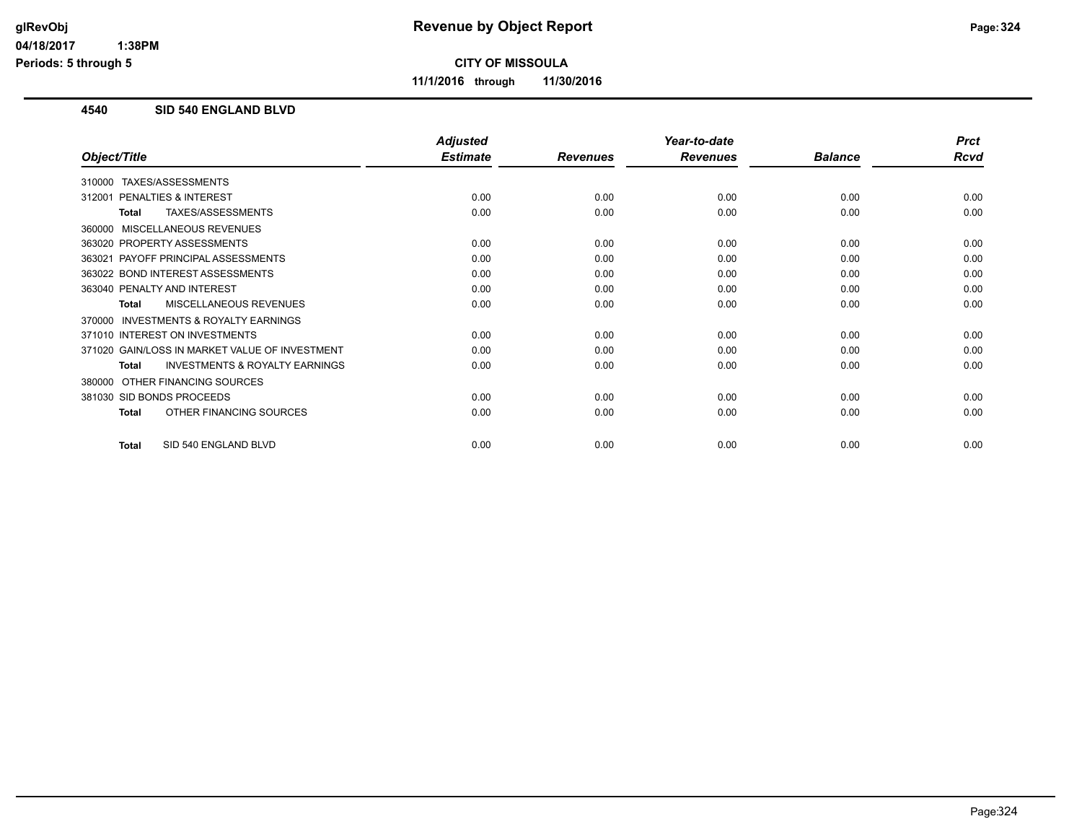**11/1/2016 through 11/30/2016**

### **4540 SID 540 ENGLAND BLVD**

| Object/Title                                        | <b>Adjusted</b> |                 | Year-to-date    |                | <b>Prct</b> |
|-----------------------------------------------------|-----------------|-----------------|-----------------|----------------|-------------|
|                                                     | <b>Estimate</b> | <b>Revenues</b> | <b>Revenues</b> | <b>Balance</b> | <b>Rcvd</b> |
| TAXES/ASSESSMENTS<br>310000                         |                 |                 |                 |                |             |
| 312001 PENALTIES & INTEREST                         | 0.00            | 0.00            | 0.00            | 0.00           | 0.00        |
| TAXES/ASSESSMENTS<br><b>Total</b>                   | 0.00            | 0.00            | 0.00            | 0.00           | 0.00        |
| MISCELLANEOUS REVENUES<br>360000                    |                 |                 |                 |                |             |
| 363020 PROPERTY ASSESSMENTS                         | 0.00            | 0.00            | 0.00            | 0.00           | 0.00        |
| 363021 PAYOFF PRINCIPAL ASSESSMENTS                 | 0.00            | 0.00            | 0.00            | 0.00           | 0.00        |
| 363022 BOND INTEREST ASSESSMENTS                    | 0.00            | 0.00            | 0.00            | 0.00           | 0.00        |
| 363040 PENALTY AND INTEREST                         | 0.00            | 0.00            | 0.00            | 0.00           | 0.00        |
| MISCELLANEOUS REVENUES<br>Total                     | 0.00            | 0.00            | 0.00            | 0.00           | 0.00        |
| <b>INVESTMENTS &amp; ROYALTY EARNINGS</b><br>370000 |                 |                 |                 |                |             |
| 371010 INTEREST ON INVESTMENTS                      | 0.00            | 0.00            | 0.00            | 0.00           | 0.00        |
| 371020 GAIN/LOSS IN MARKET VALUE OF INVESTMENT      | 0.00            | 0.00            | 0.00            | 0.00           | 0.00        |
| <b>INVESTMENTS &amp; ROYALTY EARNINGS</b><br>Total  | 0.00            | 0.00            | 0.00            | 0.00           | 0.00        |
| OTHER FINANCING SOURCES<br>380000                   |                 |                 |                 |                |             |
| 381030 SID BONDS PROCEEDS                           | 0.00            | 0.00            | 0.00            | 0.00           | 0.00        |
| OTHER FINANCING SOURCES<br>Total                    | 0.00            | 0.00            | 0.00            | 0.00           | 0.00        |
| SID 540 ENGLAND BLVD<br>Total                       | 0.00            | 0.00            | 0.00            | 0.00           | 0.00        |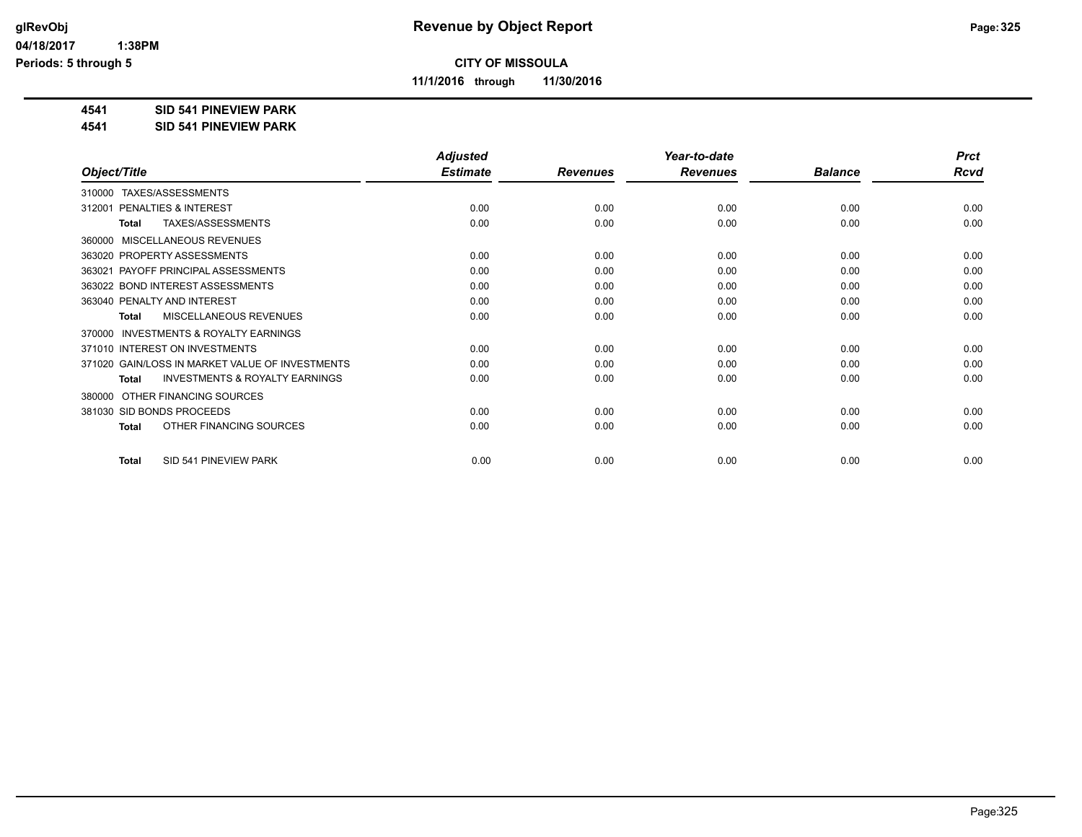**11/1/2016 through 11/30/2016**

**4541 SID 541 PINEVIEW PARK**

**4541 SID 541 PINEVIEW PARK**

|                                                           | <b>Adjusted</b> |                 | Year-to-date    |                | <b>Prct</b> |
|-----------------------------------------------------------|-----------------|-----------------|-----------------|----------------|-------------|
| Object/Title                                              | <b>Estimate</b> | <b>Revenues</b> | <b>Revenues</b> | <b>Balance</b> | Rcvd        |
| TAXES/ASSESSMENTS<br>310000                               |                 |                 |                 |                |             |
| <b>PENALTIES &amp; INTEREST</b><br>312001                 | 0.00            | 0.00            | 0.00            | 0.00           | 0.00        |
| TAXES/ASSESSMENTS<br><b>Total</b>                         | 0.00            | 0.00            | 0.00            | 0.00           | 0.00        |
| MISCELLANEOUS REVENUES<br>360000                          |                 |                 |                 |                |             |
| 363020 PROPERTY ASSESSMENTS                               | 0.00            | 0.00            | 0.00            | 0.00           | 0.00        |
| 363021 PAYOFF PRINCIPAL ASSESSMENTS                       | 0.00            | 0.00            | 0.00            | 0.00           | 0.00        |
| 363022 BOND INTEREST ASSESSMENTS                          | 0.00            | 0.00            | 0.00            | 0.00           | 0.00        |
| 363040 PENALTY AND INTEREST                               | 0.00            | 0.00            | 0.00            | 0.00           | 0.00        |
| <b>MISCELLANEOUS REVENUES</b><br><b>Total</b>             | 0.00            | 0.00            | 0.00            | 0.00           | 0.00        |
| <b>INVESTMENTS &amp; ROYALTY EARNINGS</b><br>370000       |                 |                 |                 |                |             |
| 371010 INTEREST ON INVESTMENTS                            | 0.00            | 0.00            | 0.00            | 0.00           | 0.00        |
| 371020 GAIN/LOSS IN MARKET VALUE OF INVESTMENTS           | 0.00            | 0.00            | 0.00            | 0.00           | 0.00        |
| <b>INVESTMENTS &amp; ROYALTY EARNINGS</b><br><b>Total</b> | 0.00            | 0.00            | 0.00            | 0.00           | 0.00        |
| OTHER FINANCING SOURCES<br>380000                         |                 |                 |                 |                |             |
| 381030 SID BONDS PROCEEDS                                 | 0.00            | 0.00            | 0.00            | 0.00           | 0.00        |
| OTHER FINANCING SOURCES<br><b>Total</b>                   | 0.00            | 0.00            | 0.00            | 0.00           | 0.00        |
|                                                           |                 |                 |                 |                |             |
| SID 541 PINEVIEW PARK<br><b>Total</b>                     | 0.00            | 0.00            | 0.00            | 0.00           | 0.00        |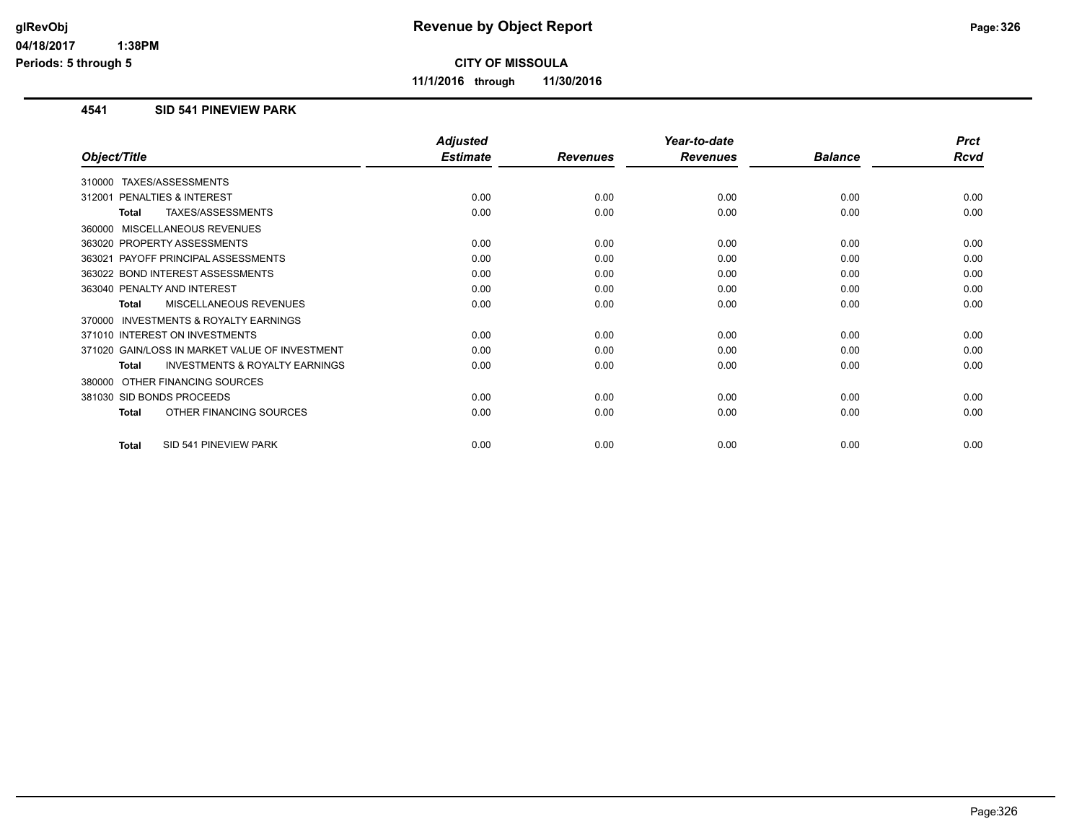**11/1/2016 through 11/30/2016**

#### **4541 SID 541 PINEVIEW PARK**

|                                                     | <b>Adjusted</b> |                 | Year-to-date    |                | <b>Prct</b> |
|-----------------------------------------------------|-----------------|-----------------|-----------------|----------------|-------------|
| Object/Title                                        | <b>Estimate</b> | <b>Revenues</b> | <b>Revenues</b> | <b>Balance</b> | <b>Rcvd</b> |
| TAXES/ASSESSMENTS<br>310000                         |                 |                 |                 |                |             |
| 312001 PENALTIES & INTEREST                         | 0.00            | 0.00            | 0.00            | 0.00           | 0.00        |
| TAXES/ASSESSMENTS<br><b>Total</b>                   | 0.00            | 0.00            | 0.00            | 0.00           | 0.00        |
| 360000 MISCELLANEOUS REVENUES                       |                 |                 |                 |                |             |
| 363020 PROPERTY ASSESSMENTS                         | 0.00            | 0.00            | 0.00            | 0.00           | 0.00        |
| PAYOFF PRINCIPAL ASSESSMENTS<br>363021              | 0.00            | 0.00            | 0.00            | 0.00           | 0.00        |
| 363022 BOND INTEREST ASSESSMENTS                    | 0.00            | 0.00            | 0.00            | 0.00           | 0.00        |
| 363040 PENALTY AND INTEREST                         | 0.00            | 0.00            | 0.00            | 0.00           | 0.00        |
| MISCELLANEOUS REVENUES<br>Total                     | 0.00            | 0.00            | 0.00            | 0.00           | 0.00        |
| <b>INVESTMENTS &amp; ROYALTY EARNINGS</b><br>370000 |                 |                 |                 |                |             |
| 371010 INTEREST ON INVESTMENTS                      | 0.00            | 0.00            | 0.00            | 0.00           | 0.00        |
| 371020 GAIN/LOSS IN MARKET VALUE OF INVESTMENT      | 0.00            | 0.00            | 0.00            | 0.00           | 0.00        |
| <b>INVESTMENTS &amp; ROYALTY EARNINGS</b><br>Total  | 0.00            | 0.00            | 0.00            | 0.00           | 0.00        |
| 380000 OTHER FINANCING SOURCES                      |                 |                 |                 |                |             |
| 381030 SID BONDS PROCEEDS                           | 0.00            | 0.00            | 0.00            | 0.00           | 0.00        |
| OTHER FINANCING SOURCES<br>Total                    | 0.00            | 0.00            | 0.00            | 0.00           | 0.00        |
| SID 541 PINEVIEW PARK<br>Total                      | 0.00            | 0.00            | 0.00            | 0.00           | 0.00        |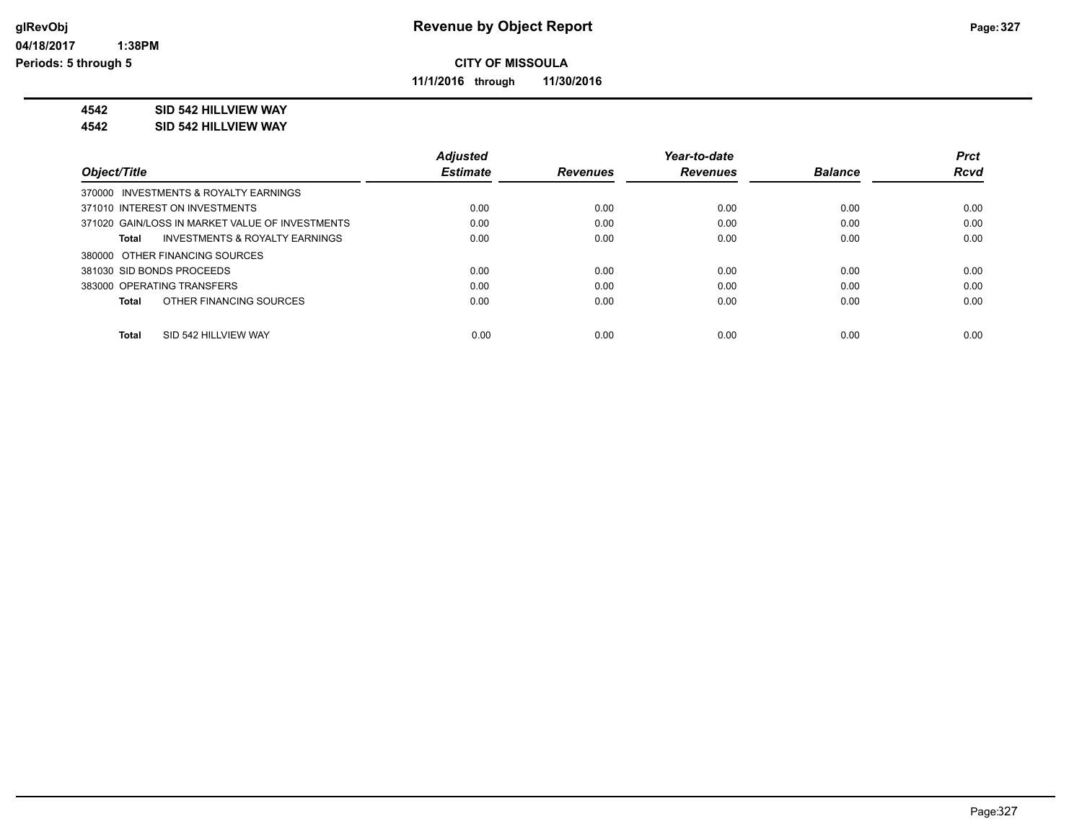**11/1/2016 through 11/30/2016**

**4542 SID 542 HILLVIEW WAY**

**4542 SID 542 HILLVIEW WAY**

|                                                 | <b>Adjusted</b> |                 | Year-to-date    |                | <b>Prct</b> |
|-------------------------------------------------|-----------------|-----------------|-----------------|----------------|-------------|
| Object/Title                                    | <b>Estimate</b> | <b>Revenues</b> | <b>Revenues</b> | <b>Balance</b> | Rcvd        |
| 370000 INVESTMENTS & ROYALTY EARNINGS           |                 |                 |                 |                |             |
| 371010 INTEREST ON INVESTMENTS                  | 0.00            | 0.00            | 0.00            | 0.00           | 0.00        |
| 371020 GAIN/LOSS IN MARKET VALUE OF INVESTMENTS | 0.00            | 0.00            | 0.00            | 0.00           | 0.00        |
| INVESTMENTS & ROYALTY EARNINGS<br>Total         | 0.00            | 0.00            | 0.00            | 0.00           | 0.00        |
| 380000 OTHER FINANCING SOURCES                  |                 |                 |                 |                |             |
| 381030 SID BONDS PROCEEDS                       | 0.00            | 0.00            | 0.00            | 0.00           | 0.00        |
| 383000 OPERATING TRANSFERS                      | 0.00            | 0.00            | 0.00            | 0.00           | 0.00        |
| OTHER FINANCING SOURCES<br>Total                | 0.00            | 0.00            | 0.00            | 0.00           | 0.00        |
| SID 542 HILLVIEW WAY<br><b>Total</b>            | 0.00            | 0.00            | 0.00            | 0.00           | 0.00        |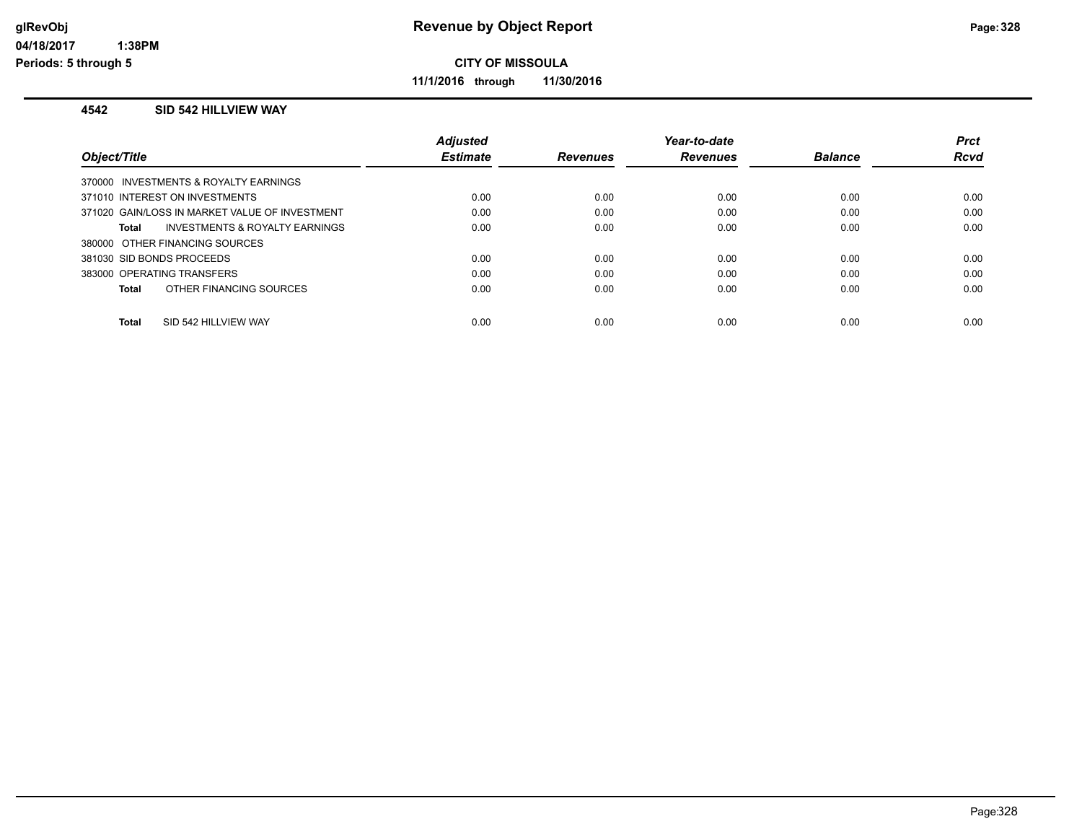**11/1/2016 through 11/30/2016**

#### **4542 SID 542 HILLVIEW WAY**

|                                                | <b>Adiusted</b> |                 | Year-to-date    |                | <b>Prct</b> |
|------------------------------------------------|-----------------|-----------------|-----------------|----------------|-------------|
| <b>Object/Title</b>                            | <b>Estimate</b> | <b>Revenues</b> | <b>Revenues</b> | <b>Balance</b> | Rcvd        |
| 370000 INVESTMENTS & ROYALTY EARNINGS          |                 |                 |                 |                |             |
| 371010 INTEREST ON INVESTMENTS                 | 0.00            | 0.00            | 0.00            | 0.00           | 0.00        |
| 371020 GAIN/LOSS IN MARKET VALUE OF INVESTMENT | 0.00            | 0.00            | 0.00            | 0.00           | 0.00        |
| INVESTMENTS & ROYALTY EARNINGS<br>Total        | 0.00            | 0.00            | 0.00            | 0.00           | 0.00        |
| 380000 OTHER FINANCING SOURCES                 |                 |                 |                 |                |             |
| 381030 SID BONDS PROCEEDS                      | 0.00            | 0.00            | 0.00            | 0.00           | 0.00        |
| 383000 OPERATING TRANSFERS                     | 0.00            | 0.00            | 0.00            | 0.00           | 0.00        |
| OTHER FINANCING SOURCES<br><b>Total</b>        | 0.00            | 0.00            | 0.00            | 0.00           | 0.00        |
|                                                |                 |                 |                 |                |             |
| SID 542 HILLVIEW WAY<br><b>Total</b>           | 0.00            | 0.00            | 0.00            | 0.00           | 0.00        |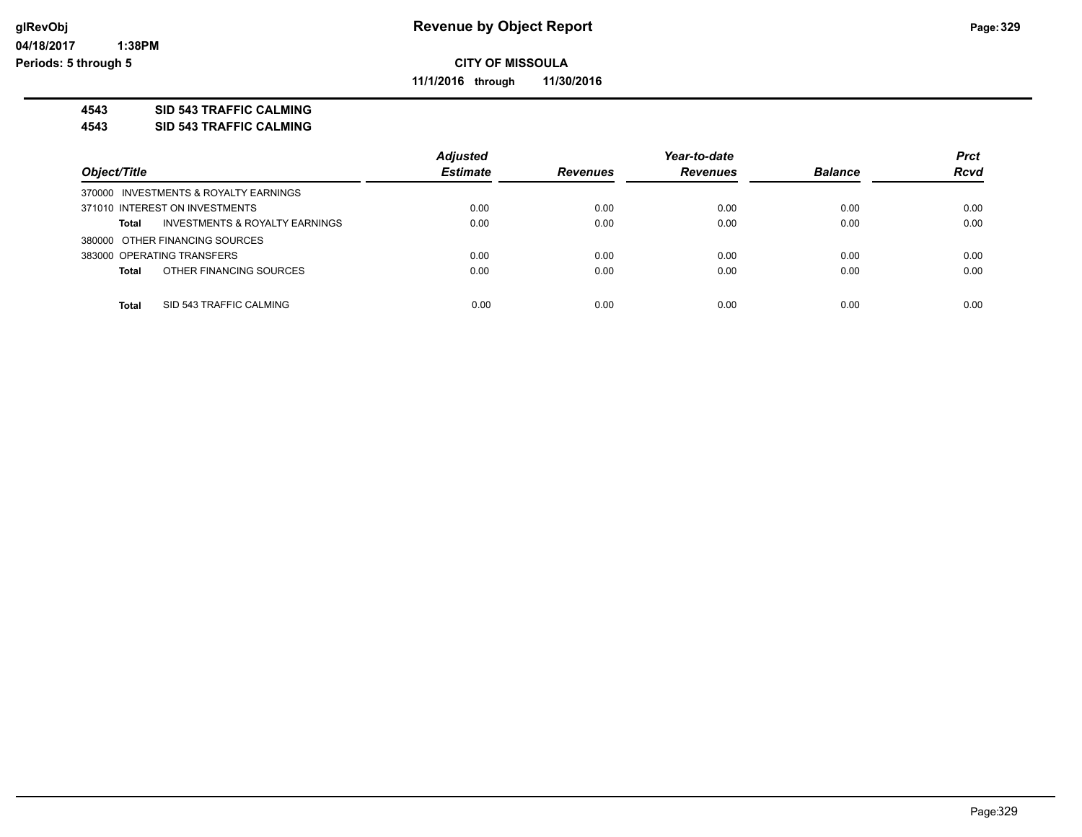**11/1/2016 through 11/30/2016**

**4543 SID 543 TRAFFIC CALMING 4543 SID 543 TRAFFIC CALMING**

|                                                           | <b>Adjusted</b> |                 | Year-to-date    |                | <b>Prct</b> |
|-----------------------------------------------------------|-----------------|-----------------|-----------------|----------------|-------------|
| Object/Title                                              | <b>Estimate</b> | <b>Revenues</b> | <b>Revenues</b> | <b>Balance</b> | <b>Rcvd</b> |
| 370000 INVESTMENTS & ROYALTY EARNINGS                     |                 |                 |                 |                |             |
| 371010 INTEREST ON INVESTMENTS                            | 0.00            | 0.00            | 0.00            | 0.00           | 0.00        |
| <b>INVESTMENTS &amp; ROYALTY EARNINGS</b><br><b>Total</b> | 0.00            | 0.00            | 0.00            | 0.00           | 0.00        |
| 380000 OTHER FINANCING SOURCES                            |                 |                 |                 |                |             |
| 383000 OPERATING TRANSFERS                                | 0.00            | 0.00            | 0.00            | 0.00           | 0.00        |
| OTHER FINANCING SOURCES<br>Total                          | 0.00            | 0.00            | 0.00            | 0.00           | 0.00        |
|                                                           |                 |                 |                 |                |             |
| <b>Total</b><br>SID 543 TRAFFIC CALMING                   | 0.00            | 0.00            | 0.00            | 0.00           | 0.00        |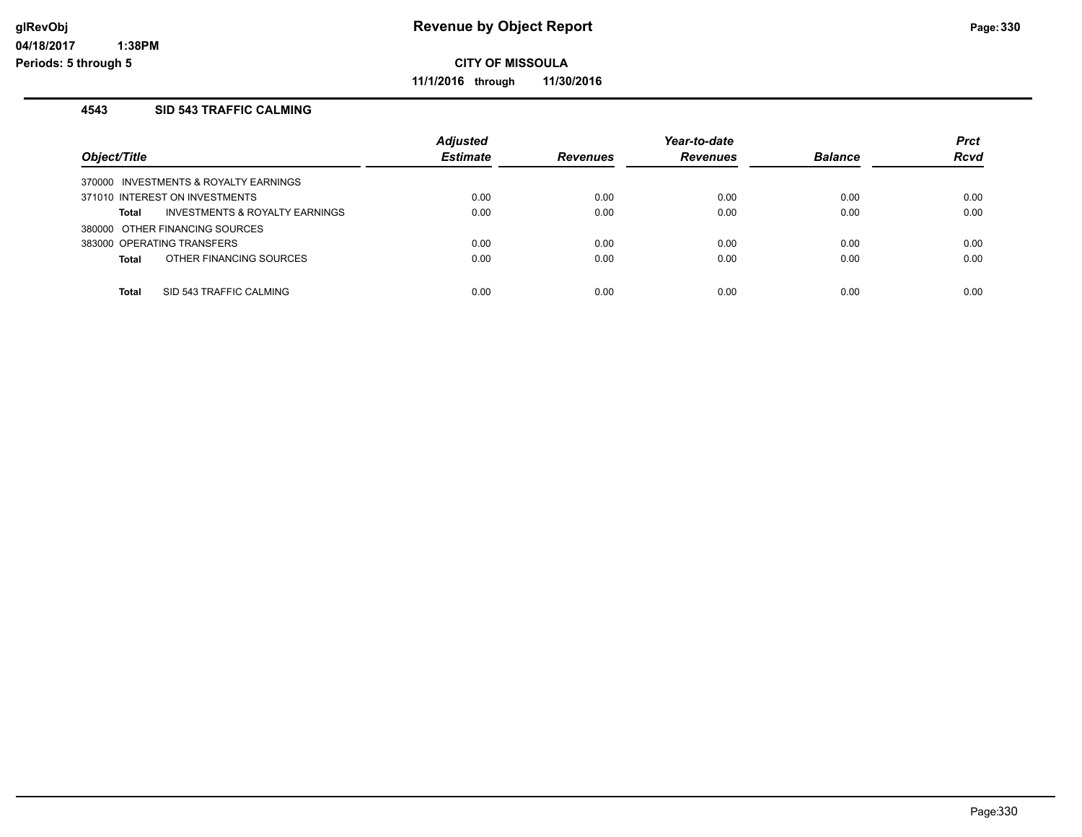**11/1/2016 through 11/30/2016**

#### **4543 SID 543 TRAFFIC CALMING**

|                                                    | <b>Adjusted</b> |                 | Year-to-date    | <b>Prct</b>    |             |
|----------------------------------------------------|-----------------|-----------------|-----------------|----------------|-------------|
| Object/Title                                       | <b>Estimate</b> | <b>Revenues</b> | <b>Revenues</b> | <b>Balance</b> | <b>Rcvd</b> |
| 370000 INVESTMENTS & ROYALTY EARNINGS              |                 |                 |                 |                |             |
| 371010 INTEREST ON INVESTMENTS                     | 0.00            | 0.00            | 0.00            | 0.00           | 0.00        |
| <b>INVESTMENTS &amp; ROYALTY EARNINGS</b><br>Total | 0.00            | 0.00            | 0.00            | 0.00           | 0.00        |
| 380000 OTHER FINANCING SOURCES                     |                 |                 |                 |                |             |
| 383000 OPERATING TRANSFERS                         | 0.00            | 0.00            | 0.00            | 0.00           | 0.00        |
| OTHER FINANCING SOURCES<br>Total                   | 0.00            | 0.00            | 0.00            | 0.00           | 0.00        |
| <b>Total</b><br>SID 543 TRAFFIC CALMING            | 0.00            | 0.00            | 0.00            | 0.00           | 0.00        |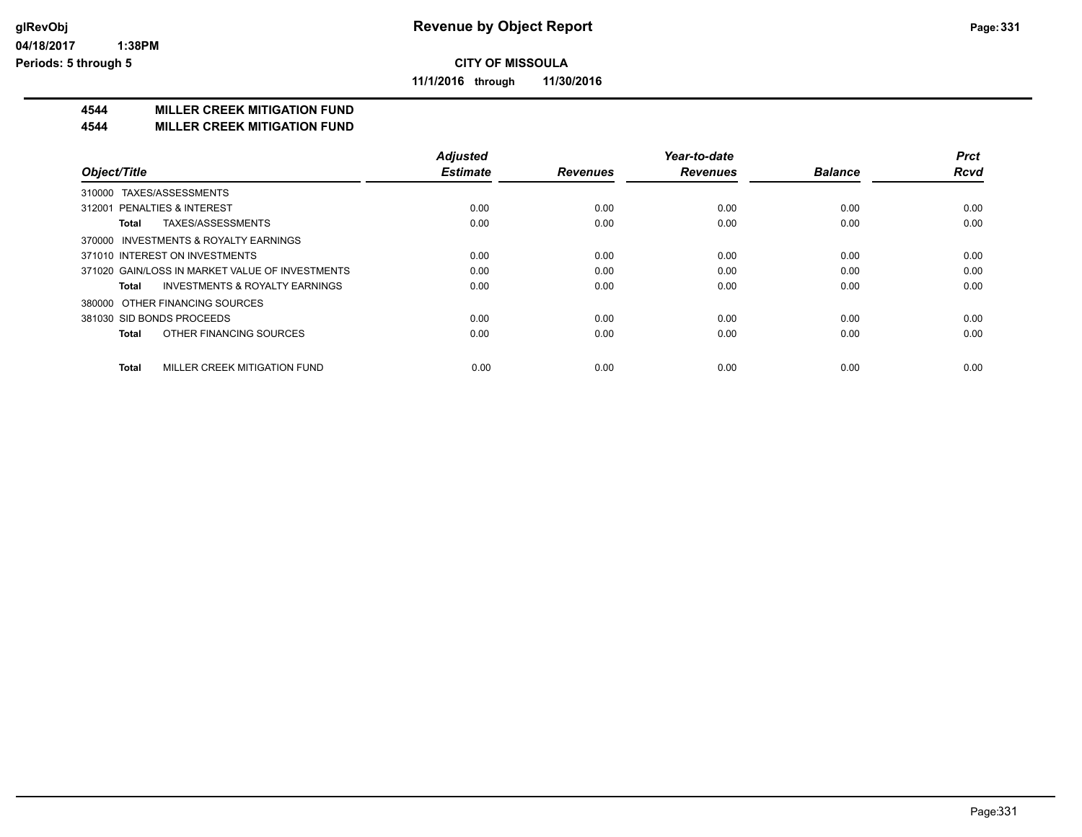**11/1/2016 through 11/30/2016**

# **4544 MILLER CREEK MITIGATION FUND**

### **4544 MILLER CREEK MITIGATION FUND**

|                                                    | <b>Adjusted</b> |                 | Year-to-date    |                | <b>Prct</b> |
|----------------------------------------------------|-----------------|-----------------|-----------------|----------------|-------------|
| Object/Title                                       | <b>Estimate</b> | <b>Revenues</b> | <b>Revenues</b> | <b>Balance</b> | Rcvd        |
| 310000 TAXES/ASSESSMENTS                           |                 |                 |                 |                |             |
| <b>PENALTIES &amp; INTEREST</b><br>312001          | 0.00            | 0.00            | 0.00            | 0.00           | 0.00        |
| TAXES/ASSESSMENTS<br>Total                         | 0.00            | 0.00            | 0.00            | 0.00           | 0.00        |
| 370000 INVESTMENTS & ROYALTY EARNINGS              |                 |                 |                 |                |             |
| 371010 INTEREST ON INVESTMENTS                     | 0.00            | 0.00            | 0.00            | 0.00           | 0.00        |
| 371020 GAIN/LOSS IN MARKET VALUE OF INVESTMENTS    | 0.00            | 0.00            | 0.00            | 0.00           | 0.00        |
| <b>INVESTMENTS &amp; ROYALTY EARNINGS</b><br>Total | 0.00            | 0.00            | 0.00            | 0.00           | 0.00        |
| 380000 OTHER FINANCING SOURCES                     |                 |                 |                 |                |             |
| 381030 SID BONDS PROCEEDS                          | 0.00            | 0.00            | 0.00            | 0.00           | 0.00        |
| OTHER FINANCING SOURCES<br>Total                   | 0.00            | 0.00            | 0.00            | 0.00           | 0.00        |
| MILLER CREEK MITIGATION FUND<br><b>Total</b>       | 0.00            | 0.00            | 0.00            | 0.00           | 0.00        |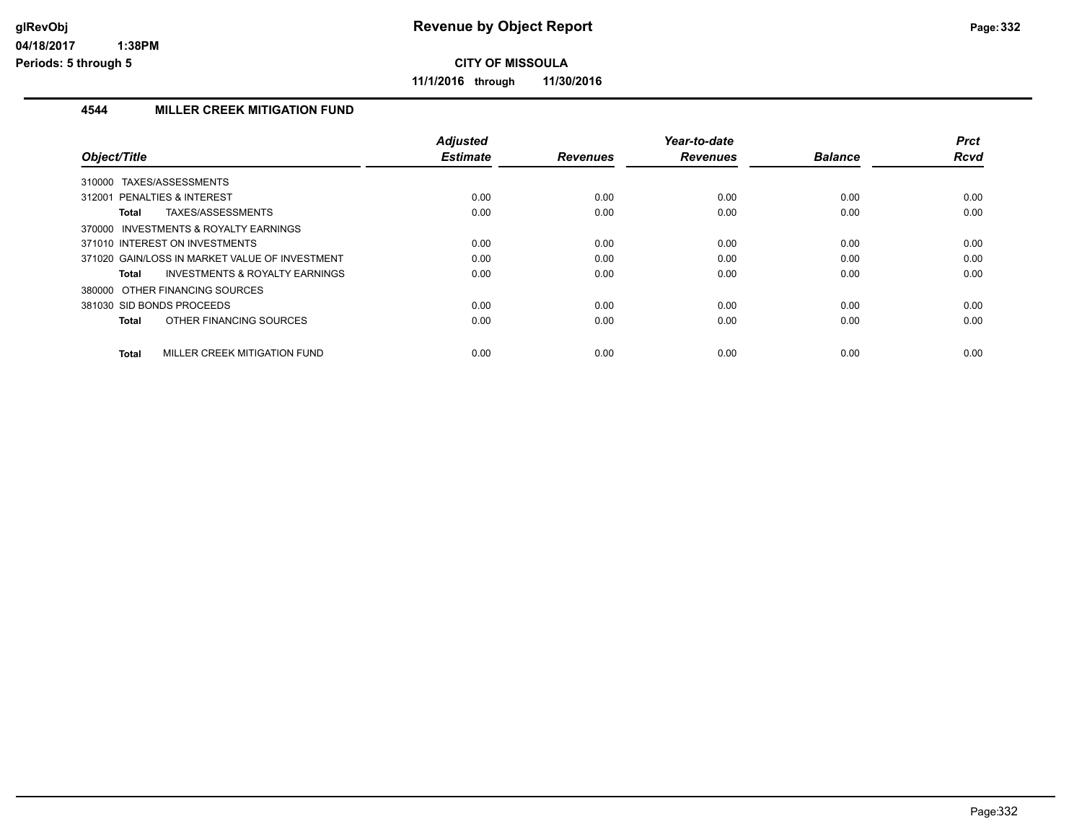**11/1/2016 through 11/30/2016**

#### **4544 MILLER CREEK MITIGATION FUND**

| Object/Title                                        | <b>Adjusted</b><br><b>Estimate</b> | <b>Revenues</b> | Year-to-date<br><b>Revenues</b> | <b>Balance</b> | <b>Prct</b><br><b>Rcvd</b> |
|-----------------------------------------------------|------------------------------------|-----------------|---------------------------------|----------------|----------------------------|
|                                                     |                                    |                 |                                 |                |                            |
| TAXES/ASSESSMENTS<br>310000                         |                                    |                 |                                 |                |                            |
| 312001 PENALTIES & INTEREST                         | 0.00                               | 0.00            | 0.00                            | 0.00           | 0.00                       |
| TAXES/ASSESSMENTS<br>Total                          | 0.00                               | 0.00            | 0.00                            | 0.00           | 0.00                       |
| <b>INVESTMENTS &amp; ROYALTY EARNINGS</b><br>370000 |                                    |                 |                                 |                |                            |
| 371010 INTEREST ON INVESTMENTS                      | 0.00                               | 0.00            | 0.00                            | 0.00           | 0.00                       |
| 371020 GAIN/LOSS IN MARKET VALUE OF INVESTMENT      | 0.00                               | 0.00            | 0.00                            | 0.00           | 0.00                       |
| INVESTMENTS & ROYALTY EARNINGS<br>Total             | 0.00                               | 0.00            | 0.00                            | 0.00           | 0.00                       |
| 380000 OTHER FINANCING SOURCES                      |                                    |                 |                                 |                |                            |
| 381030 SID BONDS PROCEEDS                           | 0.00                               | 0.00            | 0.00                            | 0.00           | 0.00                       |
| OTHER FINANCING SOURCES<br>Total                    | 0.00                               | 0.00            | 0.00                            | 0.00           | 0.00                       |
| <b>Total</b><br>MILLER CREEK MITIGATION FUND        | 0.00                               | 0.00            | 0.00                            | 0.00           | 0.00                       |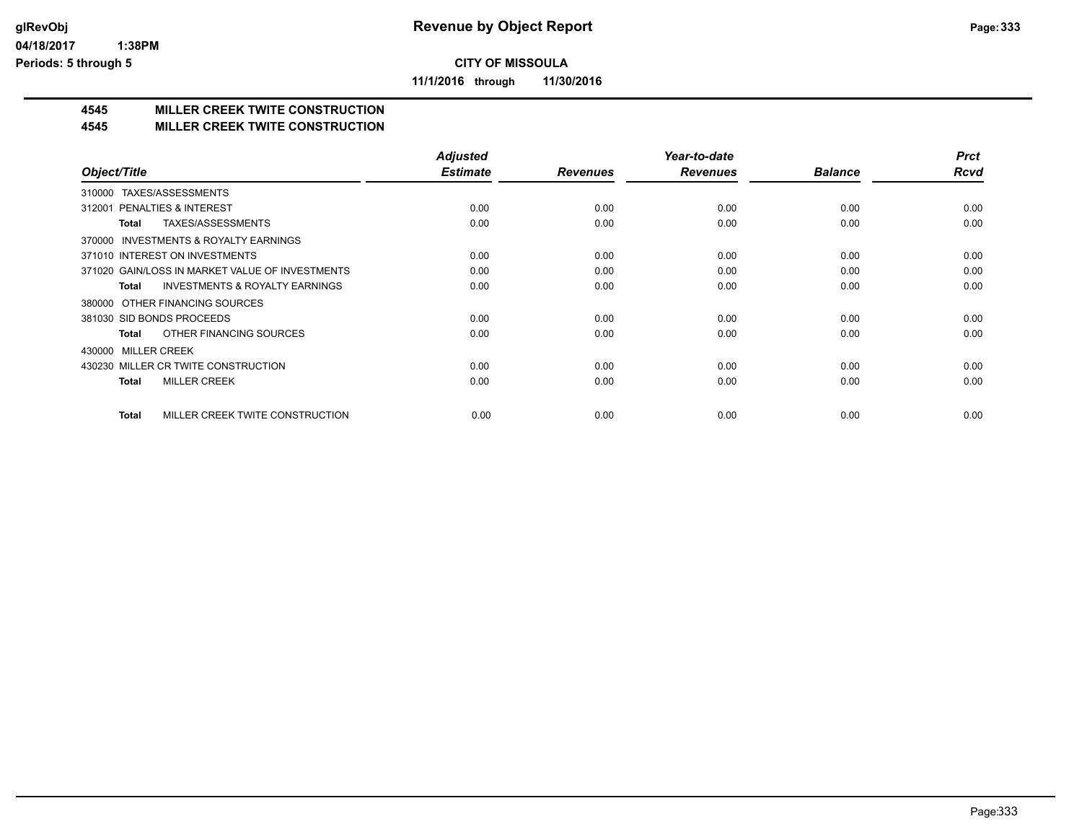**11/1/2016 through 11/30/2016**

#### **4545 MILLER CREEK TWITE CONSTRUCTION 4545 MILLER CREEK TWITE CONSTRUCTION**

|                                                     | <b>Adjusted</b> |                 | Year-to-date    |                | <b>Prct</b> |
|-----------------------------------------------------|-----------------|-----------------|-----------------|----------------|-------------|
| Object/Title                                        | <b>Estimate</b> | <b>Revenues</b> | <b>Revenues</b> | <b>Balance</b> | Rcvd        |
| TAXES/ASSESSMENTS<br>310000                         |                 |                 |                 |                |             |
| PENALTIES & INTEREST<br>312001                      | 0.00            | 0.00            | 0.00            | 0.00           | 0.00        |
| TAXES/ASSESSMENTS<br>Total                          | 0.00            | 0.00            | 0.00            | 0.00           | 0.00        |
| <b>INVESTMENTS &amp; ROYALTY EARNINGS</b><br>370000 |                 |                 |                 |                |             |
| 371010 INTEREST ON INVESTMENTS                      | 0.00            | 0.00            | 0.00            | 0.00           | 0.00        |
| 371020 GAIN/LOSS IN MARKET VALUE OF INVESTMENTS     | 0.00            | 0.00            | 0.00            | 0.00           | 0.00        |
| <b>INVESTMENTS &amp; ROYALTY EARNINGS</b><br>Total  | 0.00            | 0.00            | 0.00            | 0.00           | 0.00        |
| 380000 OTHER FINANCING SOURCES                      |                 |                 |                 |                |             |
| 381030 SID BONDS PROCEEDS                           | 0.00            | 0.00            | 0.00            | 0.00           | 0.00        |
| OTHER FINANCING SOURCES<br>Total                    | 0.00            | 0.00            | 0.00            | 0.00           | 0.00        |
| <b>MILLER CREEK</b><br>430000                       |                 |                 |                 |                |             |
| 430230 MILLER CR TWITE CONSTRUCTION                 | 0.00            | 0.00            | 0.00            | 0.00           | 0.00        |
| <b>MILLER CREEK</b><br>Total                        | 0.00            | 0.00            | 0.00            | 0.00           | 0.00        |
|                                                     |                 |                 |                 |                |             |
| MILLER CREEK TWITE CONSTRUCTION<br>Total            | 0.00            | 0.00            | 0.00            | 0.00           | 0.00        |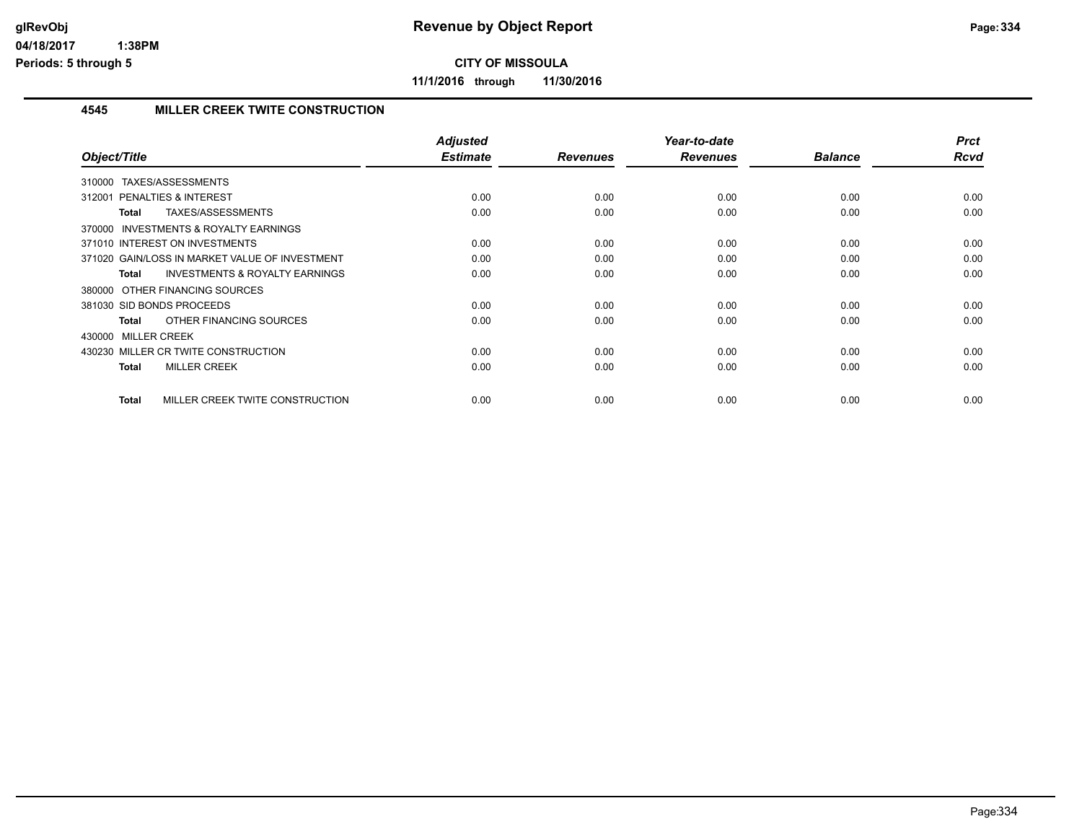**11/1/2016 through 11/30/2016**

#### **4545 MILLER CREEK TWITE CONSTRUCTION**

| Object/Title                                              | <b>Adjusted</b><br><b>Estimate</b> | <b>Revenues</b> | Year-to-date<br><b>Revenues</b> | <b>Balance</b> | <b>Prct</b><br><b>Rcvd</b> |
|-----------------------------------------------------------|------------------------------------|-----------------|---------------------------------|----------------|----------------------------|
| TAXES/ASSESSMENTS<br>310000                               |                                    |                 |                                 |                |                            |
| 312001 PENALTIES & INTEREST                               | 0.00                               | 0.00            | 0.00                            | 0.00           | 0.00                       |
| TAXES/ASSESSMENTS<br><b>Total</b>                         | 0.00                               | 0.00            | 0.00                            | 0.00           | 0.00                       |
| INVESTMENTS & ROYALTY EARNINGS<br>370000                  |                                    |                 |                                 |                |                            |
| 371010 INTEREST ON INVESTMENTS                            | 0.00                               | 0.00            | 0.00                            | 0.00           | 0.00                       |
| 371020 GAIN/LOSS IN MARKET VALUE OF INVESTMENT            | 0.00                               | 0.00            | 0.00                            | 0.00           | 0.00                       |
| <b>INVESTMENTS &amp; ROYALTY EARNINGS</b><br><b>Total</b> | 0.00                               | 0.00            | 0.00                            | 0.00           | 0.00                       |
| 380000 OTHER FINANCING SOURCES                            |                                    |                 |                                 |                |                            |
| 381030 SID BONDS PROCEEDS                                 | 0.00                               | 0.00            | 0.00                            | 0.00           | 0.00                       |
| OTHER FINANCING SOURCES<br><b>Total</b>                   | 0.00                               | 0.00            | 0.00                            | 0.00           | 0.00                       |
| 430000 MILLER CREEK                                       |                                    |                 |                                 |                |                            |
| 430230 MILLER CR TWITE CONSTRUCTION                       | 0.00                               | 0.00            | 0.00                            | 0.00           | 0.00                       |
| <b>MILLER CREEK</b><br><b>Total</b>                       | 0.00                               | 0.00            | 0.00                            | 0.00           | 0.00                       |
|                                                           |                                    |                 |                                 |                |                            |
| MILLER CREEK TWITE CONSTRUCTION<br><b>Total</b>           | 0.00                               | 0.00            | 0.00                            | 0.00           | 0.00                       |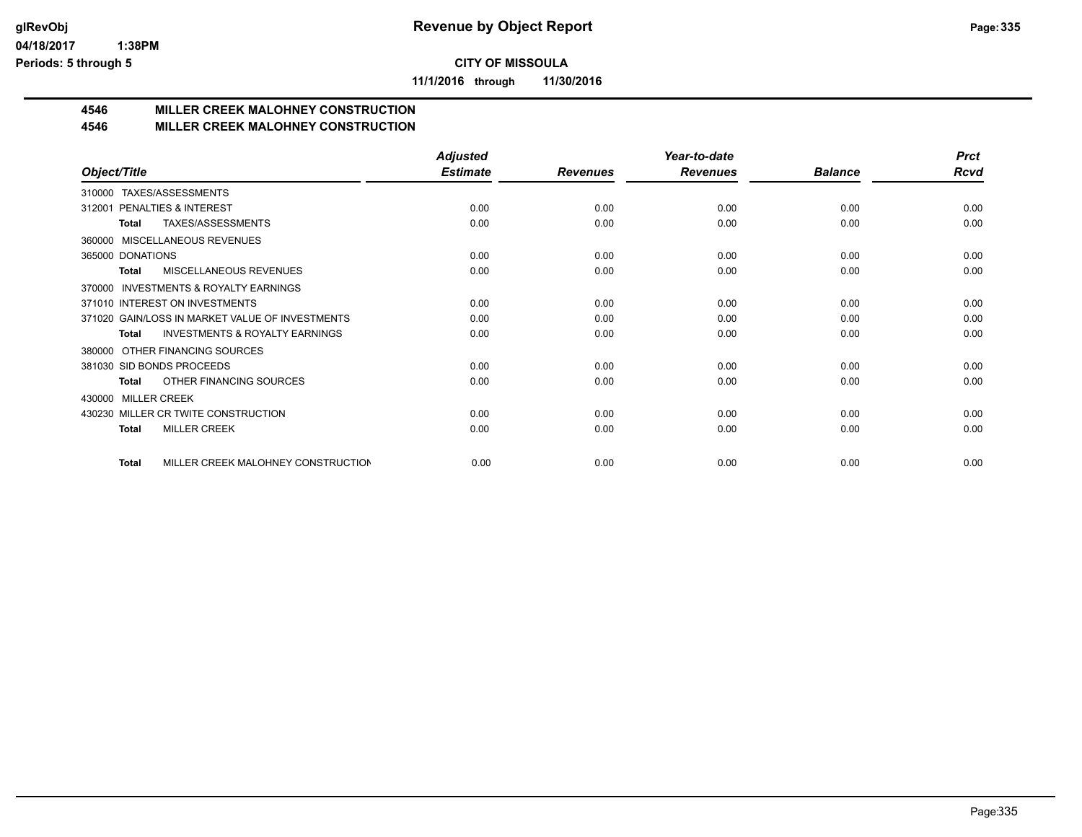**11/1/2016 through 11/30/2016**

#### **4546 MILLER CREEK MALOHNEY CONSTRUCTION 4546 MILLER CREEK MALOHNEY CONSTRUCTION**

|                                                           | <b>Adjusted</b> |                 | Year-to-date    |                | <b>Prct</b> |
|-----------------------------------------------------------|-----------------|-----------------|-----------------|----------------|-------------|
| Object/Title                                              | <b>Estimate</b> | <b>Revenues</b> | <b>Revenues</b> | <b>Balance</b> | Rcvd        |
| TAXES/ASSESSMENTS<br>310000                               |                 |                 |                 |                |             |
| PENALTIES & INTEREST<br>312001                            | 0.00            | 0.00            | 0.00            | 0.00           | 0.00        |
| TAXES/ASSESSMENTS<br><b>Total</b>                         | 0.00            | 0.00            | 0.00            | 0.00           | 0.00        |
| MISCELLANEOUS REVENUES<br>360000                          |                 |                 |                 |                |             |
| 365000 DONATIONS                                          | 0.00            | 0.00            | 0.00            | 0.00           | 0.00        |
| <b>MISCELLANEOUS REVENUES</b><br><b>Total</b>             | 0.00            | 0.00            | 0.00            | 0.00           | 0.00        |
| <b>INVESTMENTS &amp; ROYALTY EARNINGS</b><br>370000       |                 |                 |                 |                |             |
| 371010 INTEREST ON INVESTMENTS                            | 0.00            | 0.00            | 0.00            | 0.00           | 0.00        |
| 371020 GAIN/LOSS IN MARKET VALUE OF INVESTMENTS           | 0.00            | 0.00            | 0.00            | 0.00           | 0.00        |
| <b>INVESTMENTS &amp; ROYALTY EARNINGS</b><br><b>Total</b> | 0.00            | 0.00            | 0.00            | 0.00           | 0.00        |
| OTHER FINANCING SOURCES<br>380000                         |                 |                 |                 |                |             |
| 381030 SID BONDS PROCEEDS                                 | 0.00            | 0.00            | 0.00            | 0.00           | 0.00        |
| OTHER FINANCING SOURCES<br>Total                          | 0.00            | 0.00            | 0.00            | 0.00           | 0.00        |
| <b>MILLER CREEK</b><br>430000                             |                 |                 |                 |                |             |
| 430230 MILLER CR TWITE CONSTRUCTION                       | 0.00            | 0.00            | 0.00            | 0.00           | 0.00        |
| <b>MILLER CREEK</b><br><b>Total</b>                       | 0.00            | 0.00            | 0.00            | 0.00           | 0.00        |
| MILLER CREEK MALOHNEY CONSTRUCTION<br><b>Total</b>        | 0.00            | 0.00            | 0.00            | 0.00           | 0.00        |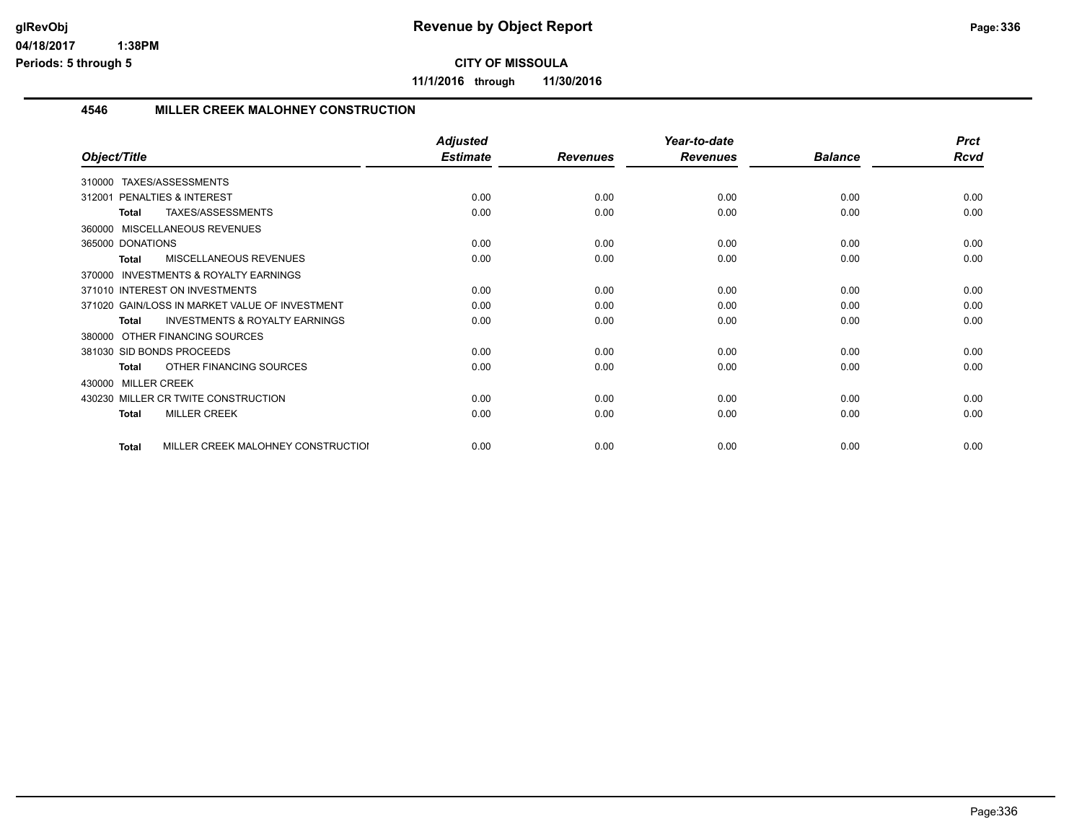**11/1/2016 through 11/30/2016**

#### **4546 MILLER CREEK MALOHNEY CONSTRUCTION**

|                                                           | <b>Adjusted</b> |                 | Year-to-date    |                | <b>Prct</b> |
|-----------------------------------------------------------|-----------------|-----------------|-----------------|----------------|-------------|
| Object/Title                                              | <b>Estimate</b> | <b>Revenues</b> | <b>Revenues</b> | <b>Balance</b> | <b>Rcvd</b> |
| TAXES/ASSESSMENTS<br>310000                               |                 |                 |                 |                |             |
| 312001 PENALTIES & INTEREST                               | 0.00            | 0.00            | 0.00            | 0.00           | 0.00        |
| TAXES/ASSESSMENTS<br><b>Total</b>                         | 0.00            | 0.00            | 0.00            | 0.00           | 0.00        |
| 360000 MISCELLANEOUS REVENUES                             |                 |                 |                 |                |             |
| 365000 DONATIONS                                          | 0.00            | 0.00            | 0.00            | 0.00           | 0.00        |
| <b>MISCELLANEOUS REVENUES</b><br><b>Total</b>             | 0.00            | 0.00            | 0.00            | 0.00           | 0.00        |
| <b>INVESTMENTS &amp; ROYALTY EARNINGS</b><br>370000       |                 |                 |                 |                |             |
| 371010 INTEREST ON INVESTMENTS                            | 0.00            | 0.00            | 0.00            | 0.00           | 0.00        |
| 371020 GAIN/LOSS IN MARKET VALUE OF INVESTMENT            | 0.00            | 0.00            | 0.00            | 0.00           | 0.00        |
| <b>INVESTMENTS &amp; ROYALTY EARNINGS</b><br><b>Total</b> | 0.00            | 0.00            | 0.00            | 0.00           | 0.00        |
| 380000 OTHER FINANCING SOURCES                            |                 |                 |                 |                |             |
| 381030 SID BONDS PROCEEDS                                 | 0.00            | 0.00            | 0.00            | 0.00           | 0.00        |
| OTHER FINANCING SOURCES<br><b>Total</b>                   | 0.00            | 0.00            | 0.00            | 0.00           | 0.00        |
| <b>MILLER CREEK</b><br>430000                             |                 |                 |                 |                |             |
| 430230 MILLER CR TWITE CONSTRUCTION                       | 0.00            | 0.00            | 0.00            | 0.00           | 0.00        |
| <b>MILLER CREEK</b><br><b>Total</b>                       | 0.00            | 0.00            | 0.00            | 0.00           | 0.00        |
| MILLER CREEK MALOHNEY CONSTRUCTIOI<br><b>Total</b>        | 0.00            | 0.00            | 0.00            | 0.00           | 0.00        |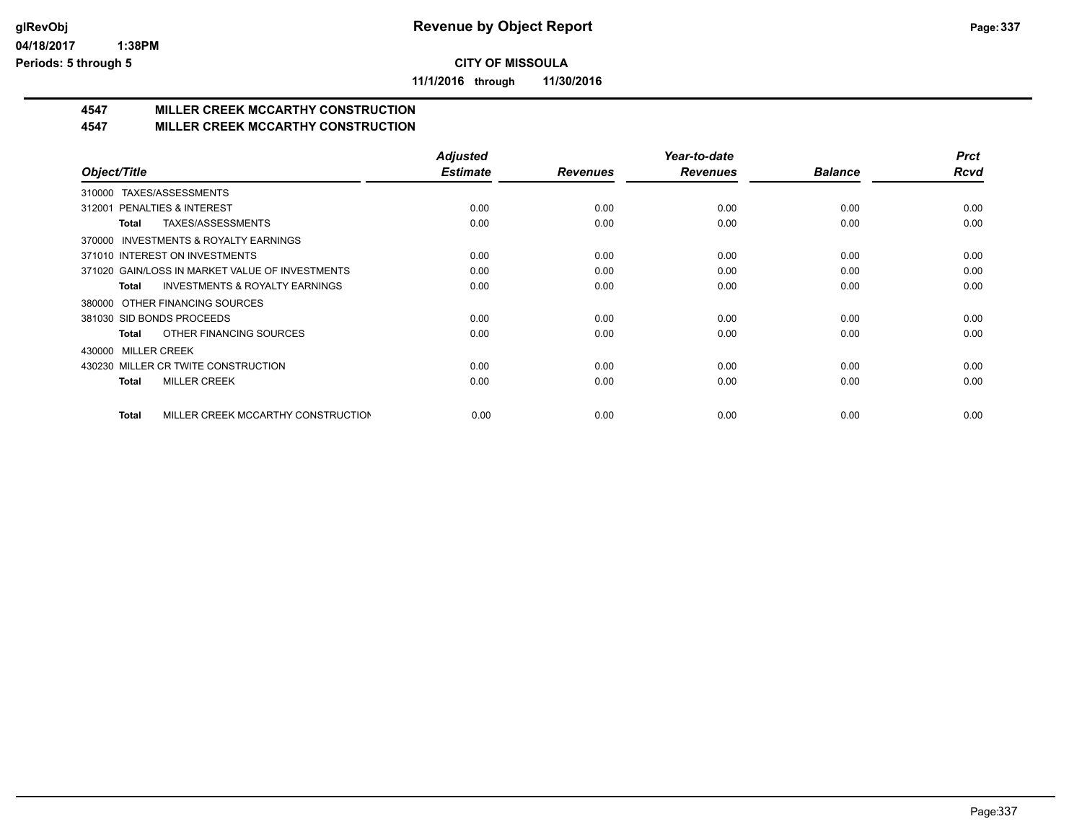**11/1/2016 through 11/30/2016**

#### **4547 MILLER CREEK MCCARTHY CONSTRUCTION 4547 MILLER CREEK MCCARTHY CONSTRUCTION**

|                                                     | <b>Adjusted</b> |                 | Year-to-date    |                | <b>Prct</b> |
|-----------------------------------------------------|-----------------|-----------------|-----------------|----------------|-------------|
| Object/Title                                        | <b>Estimate</b> | <b>Revenues</b> | <b>Revenues</b> | <b>Balance</b> | <b>Rcvd</b> |
| TAXES/ASSESSMENTS<br>310000                         |                 |                 |                 |                |             |
| <b>PENALTIES &amp; INTEREST</b><br>312001           | 0.00            | 0.00            | 0.00            | 0.00           | 0.00        |
| TAXES/ASSESSMENTS<br>Total                          | 0.00            | 0.00            | 0.00            | 0.00           | 0.00        |
| <b>INVESTMENTS &amp; ROYALTY EARNINGS</b><br>370000 |                 |                 |                 |                |             |
| 371010 INTEREST ON INVESTMENTS                      | 0.00            | 0.00            | 0.00            | 0.00           | 0.00        |
| 371020 GAIN/LOSS IN MARKET VALUE OF INVESTMENTS     | 0.00            | 0.00            | 0.00            | 0.00           | 0.00        |
| <b>INVESTMENTS &amp; ROYALTY EARNINGS</b><br>Total  | 0.00            | 0.00            | 0.00            | 0.00           | 0.00        |
| OTHER FINANCING SOURCES<br>380000                   |                 |                 |                 |                |             |
| 381030 SID BONDS PROCEEDS                           | 0.00            | 0.00            | 0.00            | 0.00           | 0.00        |
| OTHER FINANCING SOURCES<br>Total                    | 0.00            | 0.00            | 0.00            | 0.00           | 0.00        |
| <b>MILLER CREEK</b><br>430000                       |                 |                 |                 |                |             |
| 430230 MILLER CR TWITE CONSTRUCTION                 | 0.00            | 0.00            | 0.00            | 0.00           | 0.00        |
| <b>MILLER CREEK</b><br>Total                        | 0.00            | 0.00            | 0.00            | 0.00           | 0.00        |
|                                                     |                 |                 |                 |                |             |
| MILLER CREEK MCCARTHY CONSTRUCTION<br>Total         | 0.00            | 0.00            | 0.00            | 0.00           | 0.00        |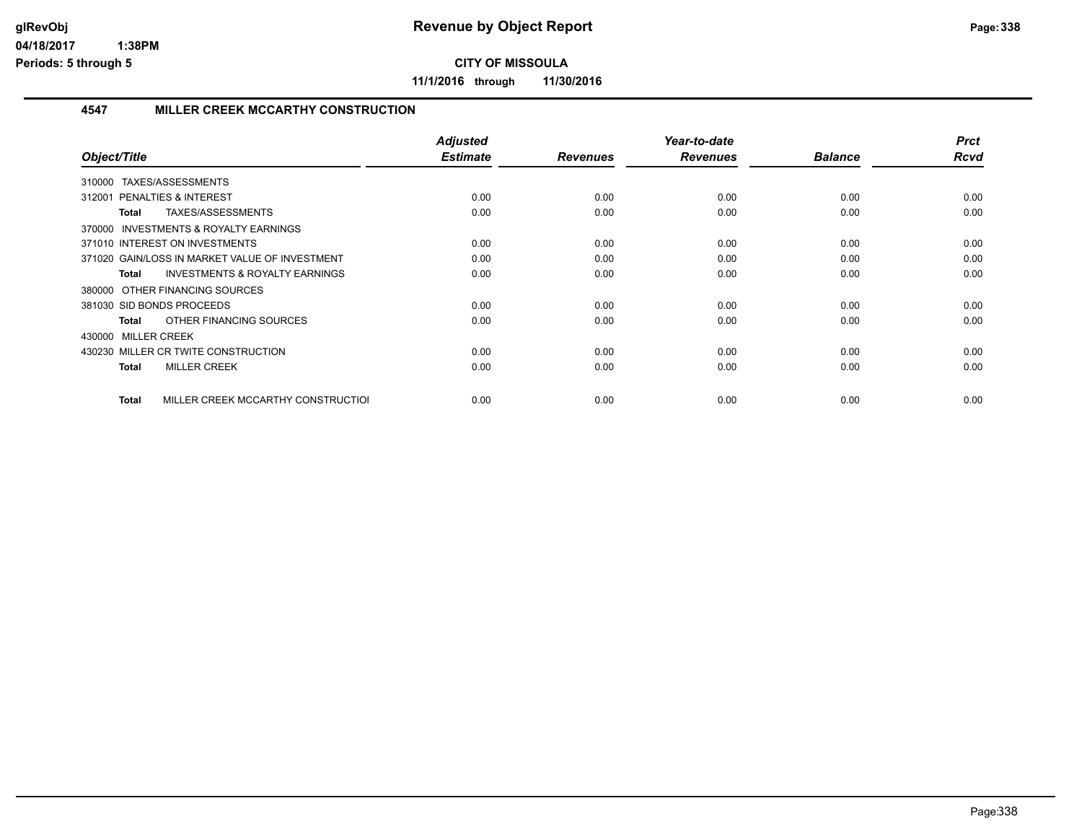**11/1/2016 through 11/30/2016**

#### **4547 MILLER CREEK MCCARTHY CONSTRUCTION**

| Object/Title                                              | <b>Adjusted</b><br><b>Estimate</b> | <b>Revenues</b> | Year-to-date<br><b>Revenues</b> | <b>Balance</b> | <b>Prct</b><br><b>Rcvd</b> |
|-----------------------------------------------------------|------------------------------------|-----------------|---------------------------------|----------------|----------------------------|
| TAXES/ASSESSMENTS<br>310000                               |                                    |                 |                                 |                |                            |
| 312001 PENALTIES & INTEREST                               | 0.00                               | 0.00            | 0.00                            | 0.00           | 0.00                       |
| TAXES/ASSESSMENTS<br><b>Total</b>                         | 0.00                               | 0.00            | 0.00                            | 0.00           | 0.00                       |
| INVESTMENTS & ROYALTY EARNINGS<br>370000                  |                                    |                 |                                 |                |                            |
| 371010 INTEREST ON INVESTMENTS                            | 0.00                               | 0.00            | 0.00                            | 0.00           | 0.00                       |
| 371020 GAIN/LOSS IN MARKET VALUE OF INVESTMENT            | 0.00                               | 0.00            | 0.00                            | 0.00           | 0.00                       |
| <b>INVESTMENTS &amp; ROYALTY EARNINGS</b><br><b>Total</b> | 0.00                               | 0.00            | 0.00                            | 0.00           | 0.00                       |
| 380000 OTHER FINANCING SOURCES                            |                                    |                 |                                 |                |                            |
| 381030 SID BONDS PROCEEDS                                 | 0.00                               | 0.00            | 0.00                            | 0.00           | 0.00                       |
| OTHER FINANCING SOURCES<br><b>Total</b>                   | 0.00                               | 0.00            | 0.00                            | 0.00           | 0.00                       |
| 430000 MILLER CREEK                                       |                                    |                 |                                 |                |                            |
| 430230 MILLER CR TWITE CONSTRUCTION                       | 0.00                               | 0.00            | 0.00                            | 0.00           | 0.00                       |
| <b>MILLER CREEK</b><br><b>Total</b>                       | 0.00                               | 0.00            | 0.00                            | 0.00           | 0.00                       |
| MILLER CREEK MCCARTHY CONSTRUCTIOL<br><b>Total</b>        | 0.00                               | 0.00            | 0.00                            | 0.00           | 0.00                       |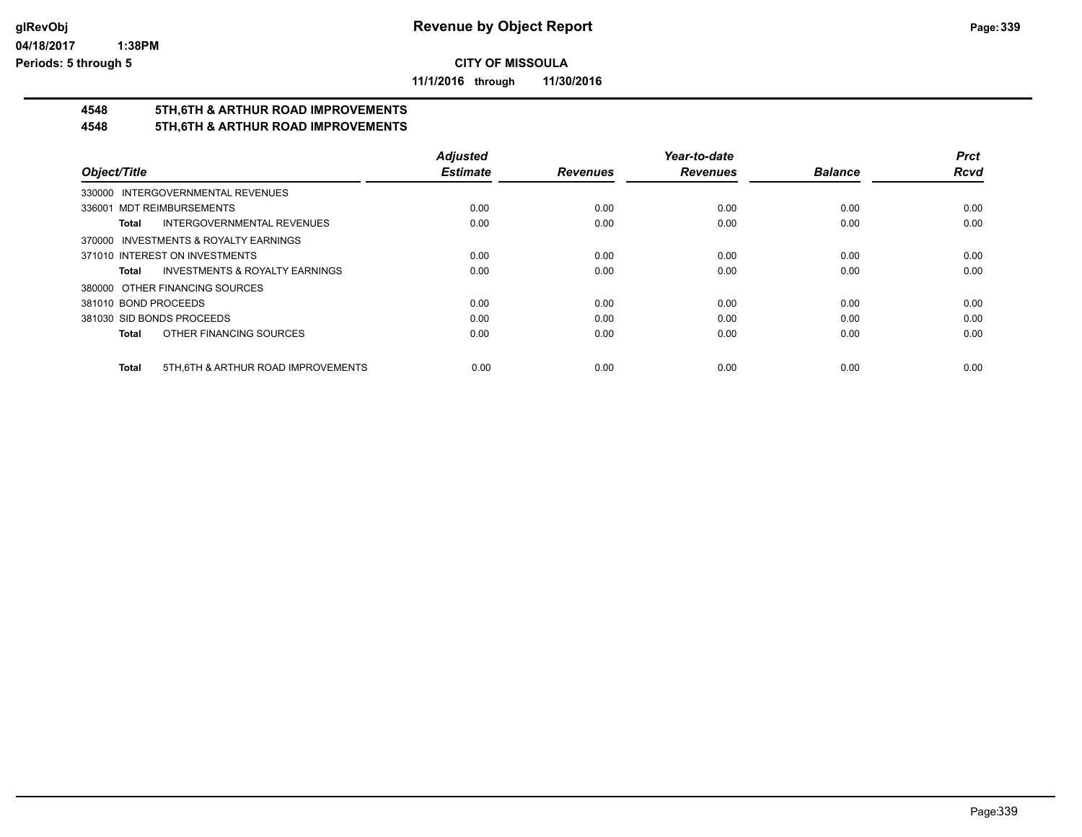**11/1/2016 through 11/30/2016**

#### **4548 5TH,6TH & ARTHUR ROAD IMPROVEMENTS 4548 5TH,6TH & ARTHUR ROAD IMPROVEMENTS**

|                                                     | <b>Adjusted</b> |                 | Year-to-date    |                | <b>Prct</b> |
|-----------------------------------------------------|-----------------|-----------------|-----------------|----------------|-------------|
| Object/Title                                        | <b>Estimate</b> | <b>Revenues</b> | <b>Revenues</b> | <b>Balance</b> | <b>Rcvd</b> |
| 330000 INTERGOVERNMENTAL REVENUES                   |                 |                 |                 |                |             |
| 336001 MDT REIMBURSEMENTS                           | 0.00            | 0.00            | 0.00            | 0.00           | 0.00        |
| INTERGOVERNMENTAL REVENUES<br>Total                 | 0.00            | 0.00            | 0.00            | 0.00           | 0.00        |
| INVESTMENTS & ROYALTY EARNINGS<br>370000            |                 |                 |                 |                |             |
| 371010 INTEREST ON INVESTMENTS                      | 0.00            | 0.00            | 0.00            | 0.00           | 0.00        |
| <b>INVESTMENTS &amp; ROYALTY EARNINGS</b><br>Total  | 0.00            | 0.00            | 0.00            | 0.00           | 0.00        |
| OTHER FINANCING SOURCES<br>380000                   |                 |                 |                 |                |             |
| 381010 BOND PROCEEDS                                | 0.00            | 0.00            | 0.00            | 0.00           | 0.00        |
| 381030 SID BONDS PROCEEDS                           | 0.00            | 0.00            | 0.00            | 0.00           | 0.00        |
| OTHER FINANCING SOURCES<br>Total                    | 0.00            | 0.00            | 0.00            | 0.00           | 0.00        |
| 5TH, 6TH & ARTHUR ROAD IMPROVEMENTS<br><b>Total</b> | 0.00            | 0.00            | 0.00            | 0.00           | 0.00        |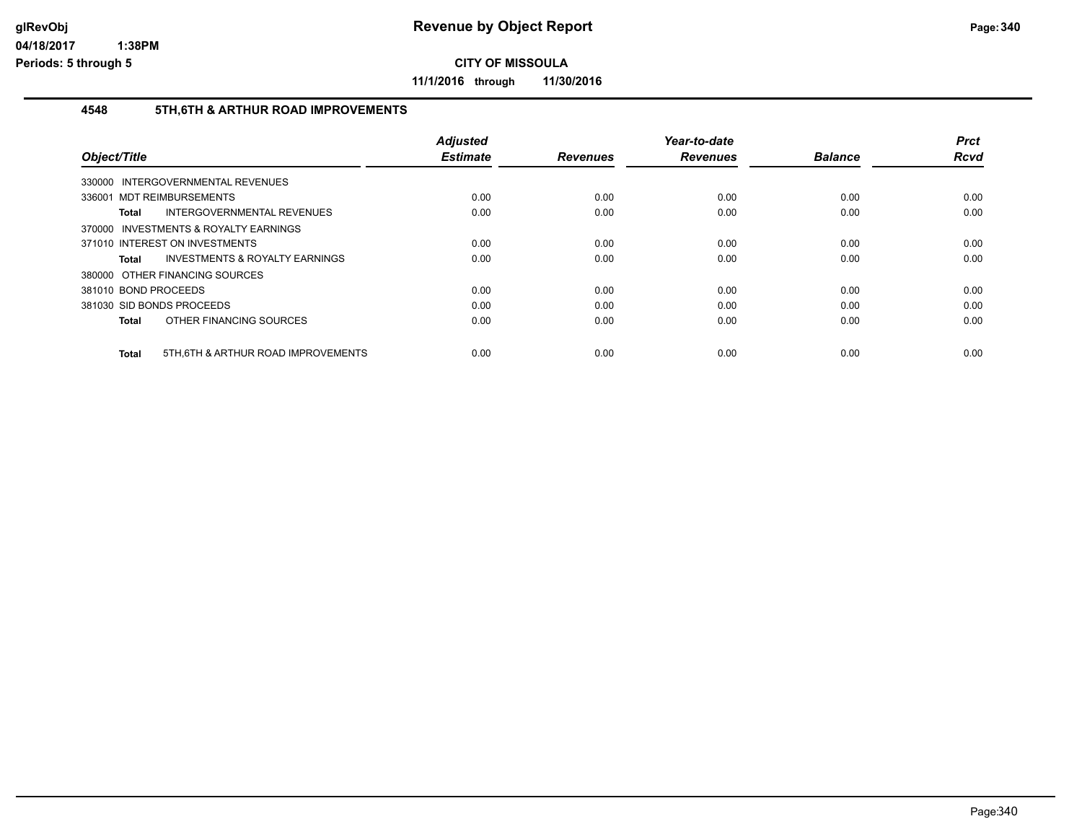**11/1/2016 through 11/30/2016**

#### **4548 5TH,6TH & ARTHUR ROAD IMPROVEMENTS**

|                                                     | <b>Adjusted</b> |                 | Year-to-date    |                | <b>Prct</b> |
|-----------------------------------------------------|-----------------|-----------------|-----------------|----------------|-------------|
| Object/Title                                        | <b>Estimate</b> | <b>Revenues</b> | <b>Revenues</b> | <b>Balance</b> | <b>Rcvd</b> |
| 330000 INTERGOVERNMENTAL REVENUES                   |                 |                 |                 |                |             |
| 336001 MDT REIMBURSEMENTS                           | 0.00            | 0.00            | 0.00            | 0.00           | 0.00        |
| INTERGOVERNMENTAL REVENUES<br><b>Total</b>          | 0.00            | 0.00            | 0.00            | 0.00           | 0.00        |
| 370000 INVESTMENTS & ROYALTY EARNINGS               |                 |                 |                 |                |             |
| 371010 INTEREST ON INVESTMENTS                      | 0.00            | 0.00            | 0.00            | 0.00           | 0.00        |
| <b>INVESTMENTS &amp; ROYALTY EARNINGS</b><br>Total  | 0.00            | 0.00            | 0.00            | 0.00           | 0.00        |
| 380000 OTHER FINANCING SOURCES                      |                 |                 |                 |                |             |
| 381010 BOND PROCEEDS                                | 0.00            | 0.00            | 0.00            | 0.00           | 0.00        |
| 381030 SID BONDS PROCEEDS                           | 0.00            | 0.00            | 0.00            | 0.00           | 0.00        |
| OTHER FINANCING SOURCES<br><b>Total</b>             | 0.00            | 0.00            | 0.00            | 0.00           | 0.00        |
| 5TH, 6TH & ARTHUR ROAD IMPROVEMENTS<br><b>Total</b> | 0.00            | 0.00            | 0.00            | 0.00           | 0.00        |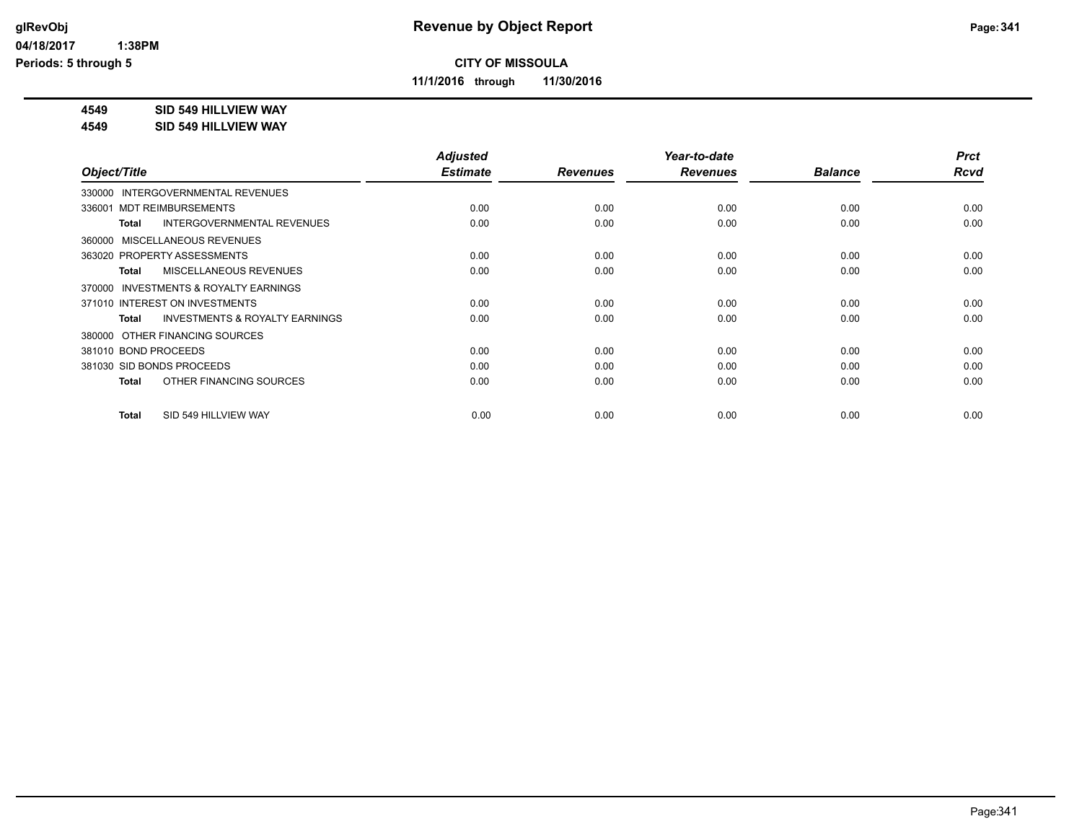**11/1/2016 through 11/30/2016**

**4549 SID 549 HILLVIEW WAY**

| SID 549 HILLVIEW WAY<br>4549 |  |
|------------------------------|--|
|------------------------------|--|

|                                                    | <b>Adjusted</b> |                 | Year-to-date    |                | <b>Prct</b> |
|----------------------------------------------------|-----------------|-----------------|-----------------|----------------|-------------|
| Object/Title                                       | <b>Estimate</b> | <b>Revenues</b> | <b>Revenues</b> | <b>Balance</b> | <b>Rcvd</b> |
| 330000 INTERGOVERNMENTAL REVENUES                  |                 |                 |                 |                |             |
| 336001 MDT REIMBURSEMENTS                          | 0.00            | 0.00            | 0.00            | 0.00           | 0.00        |
| <b>INTERGOVERNMENTAL REVENUES</b><br><b>Total</b>  | 0.00            | 0.00            | 0.00            | 0.00           | 0.00        |
| 360000 MISCELLANEOUS REVENUES                      |                 |                 |                 |                |             |
| 363020 PROPERTY ASSESSMENTS                        | 0.00            | 0.00            | 0.00            | 0.00           | 0.00        |
| MISCELLANEOUS REVENUES<br><b>Total</b>             | 0.00            | 0.00            | 0.00            | 0.00           | 0.00        |
| 370000 INVESTMENTS & ROYALTY EARNINGS              |                 |                 |                 |                |             |
| 371010 INTEREST ON INVESTMENTS                     | 0.00            | 0.00            | 0.00            | 0.00           | 0.00        |
| <b>INVESTMENTS &amp; ROYALTY EARNINGS</b><br>Total | 0.00            | 0.00            | 0.00            | 0.00           | 0.00        |
| 380000 OTHER FINANCING SOURCES                     |                 |                 |                 |                |             |
| 381010 BOND PROCEEDS                               | 0.00            | 0.00            | 0.00            | 0.00           | 0.00        |
| 381030 SID BONDS PROCEEDS                          | 0.00            | 0.00            | 0.00            | 0.00           | 0.00        |
| OTHER FINANCING SOURCES<br><b>Total</b>            | 0.00            | 0.00            | 0.00            | 0.00           | 0.00        |
| SID 549 HILLVIEW WAY<br><b>Total</b>               | 0.00            | 0.00            | 0.00            | 0.00           | 0.00        |
|                                                    |                 |                 |                 |                |             |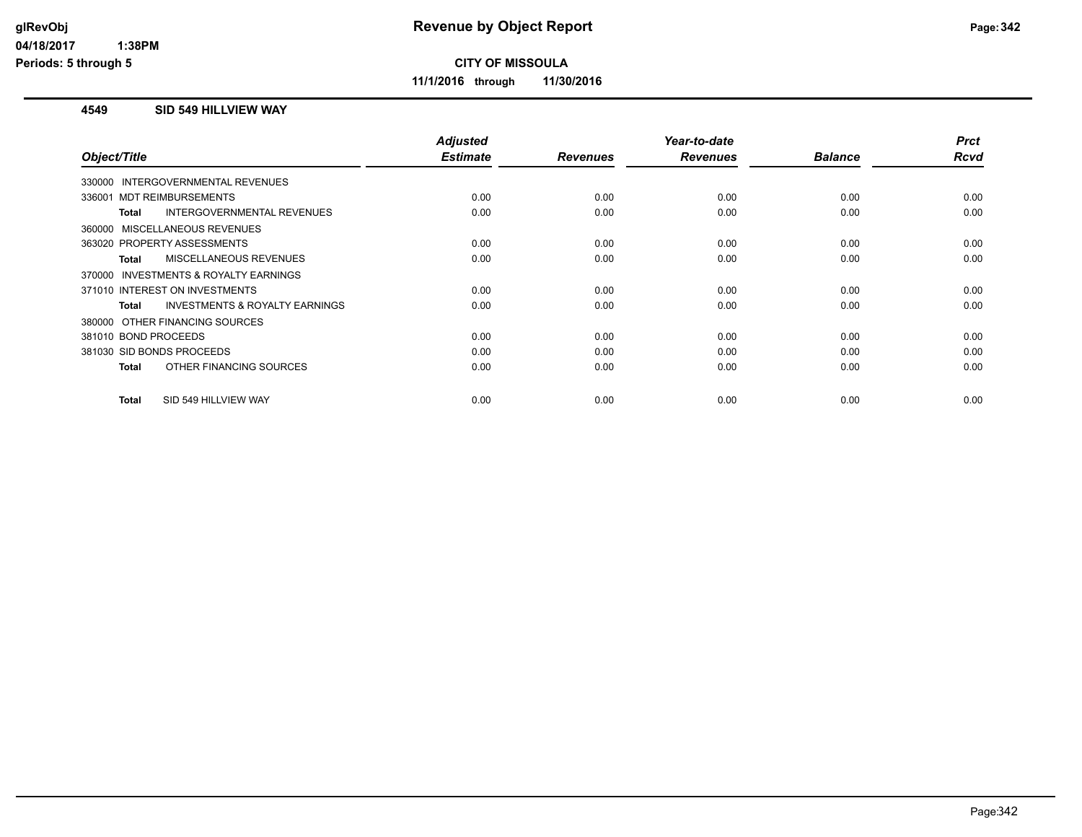**11/1/2016 through 11/30/2016**

#### **4549 SID 549 HILLVIEW WAY**

| Object/Title                                   | <b>Adjusted</b><br><b>Estimate</b> | <b>Revenues</b> | Year-to-date<br><b>Revenues</b> | <b>Balance</b> | <b>Prct</b><br><b>Rcvd</b> |
|------------------------------------------------|------------------------------------|-----------------|---------------------------------|----------------|----------------------------|
|                                                |                                    |                 |                                 |                |                            |
| <b>INTERGOVERNMENTAL REVENUES</b><br>330000    |                                    |                 |                                 |                |                            |
| 336001 MDT REIMBURSEMENTS                      | 0.00                               | 0.00            | 0.00                            | 0.00           | 0.00                       |
| INTERGOVERNMENTAL REVENUES<br><b>Total</b>     | 0.00                               | 0.00            | 0.00                            | 0.00           | 0.00                       |
| MISCELLANEOUS REVENUES<br>360000               |                                    |                 |                                 |                |                            |
| 363020 PROPERTY ASSESSMENTS                    | 0.00                               | 0.00            | 0.00                            | 0.00           | 0.00                       |
| <b>MISCELLANEOUS REVENUES</b><br>Total         | 0.00                               | 0.00            | 0.00                            | 0.00           | 0.00                       |
| INVESTMENTS & ROYALTY EARNINGS<br>370000       |                                    |                 |                                 |                |                            |
| 371010 INTEREST ON INVESTMENTS                 | 0.00                               | 0.00            | 0.00                            | 0.00           | 0.00                       |
| INVESTMENTS & ROYALTY EARNINGS<br><b>Total</b> | 0.00                               | 0.00            | 0.00                            | 0.00           | 0.00                       |
| 380000 OTHER FINANCING SOURCES                 |                                    |                 |                                 |                |                            |
| 381010 BOND PROCEEDS                           | 0.00                               | 0.00            | 0.00                            | 0.00           | 0.00                       |
| 381030 SID BONDS PROCEEDS                      | 0.00                               | 0.00            | 0.00                            | 0.00           | 0.00                       |
| OTHER FINANCING SOURCES<br><b>Total</b>        | 0.00                               | 0.00            | 0.00                            | 0.00           | 0.00                       |
|                                                |                                    |                 |                                 |                |                            |
| SID 549 HILLVIEW WAY<br><b>Total</b>           | 0.00                               | 0.00            | 0.00                            | 0.00           | 0.00                       |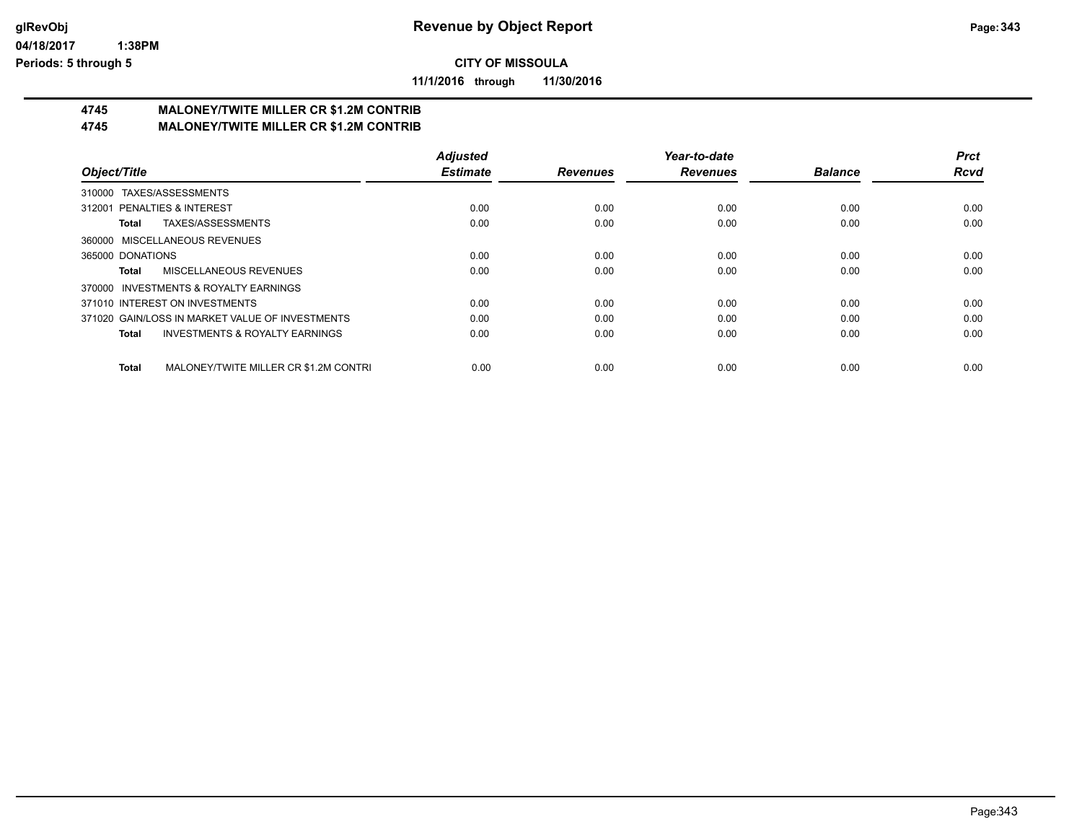**11/1/2016 through 11/30/2016**

#### **4745 MALONEY/TWITE MILLER CR \$1.2M CONTRIB 4745 MALONEY/TWITE MILLER CR \$1.2M CONTRIB**

|                                                       | <b>Adjusted</b> |                 | Year-to-date    |                | <b>Prct</b> |
|-------------------------------------------------------|-----------------|-----------------|-----------------|----------------|-------------|
| Object/Title                                          | <b>Estimate</b> | <b>Revenues</b> | <b>Revenues</b> | <b>Balance</b> | <b>Rcvd</b> |
| TAXES/ASSESSMENTS<br>310000                           |                 |                 |                 |                |             |
| PENALTIES & INTEREST<br>312001                        | 0.00            | 0.00            | 0.00            | 0.00           | 0.00        |
| TAXES/ASSESSMENTS<br>Total                            | 0.00            | 0.00            | 0.00            | 0.00           | 0.00        |
| MISCELLANEOUS REVENUES<br>360000                      |                 |                 |                 |                |             |
| 365000 DONATIONS                                      | 0.00            | 0.00            | 0.00            | 0.00           | 0.00        |
| MISCELLANEOUS REVENUES<br>Total                       | 0.00            | 0.00            | 0.00            | 0.00           | 0.00        |
| 370000 INVESTMENTS & ROYALTY EARNINGS                 |                 |                 |                 |                |             |
| 371010 INTEREST ON INVESTMENTS                        | 0.00            | 0.00            | 0.00            | 0.00           | 0.00        |
| 371020 GAIN/LOSS IN MARKET VALUE OF INVESTMENTS       | 0.00            | 0.00            | 0.00            | 0.00           | 0.00        |
| INVESTMENTS & ROYALTY EARNINGS<br><b>Total</b>        | 0.00            | 0.00            | 0.00            | 0.00           | 0.00        |
| MALONEY/TWITE MILLER CR \$1.2M CONTRI<br><b>Total</b> | 0.00            | 0.00            | 0.00            | 0.00           | 0.00        |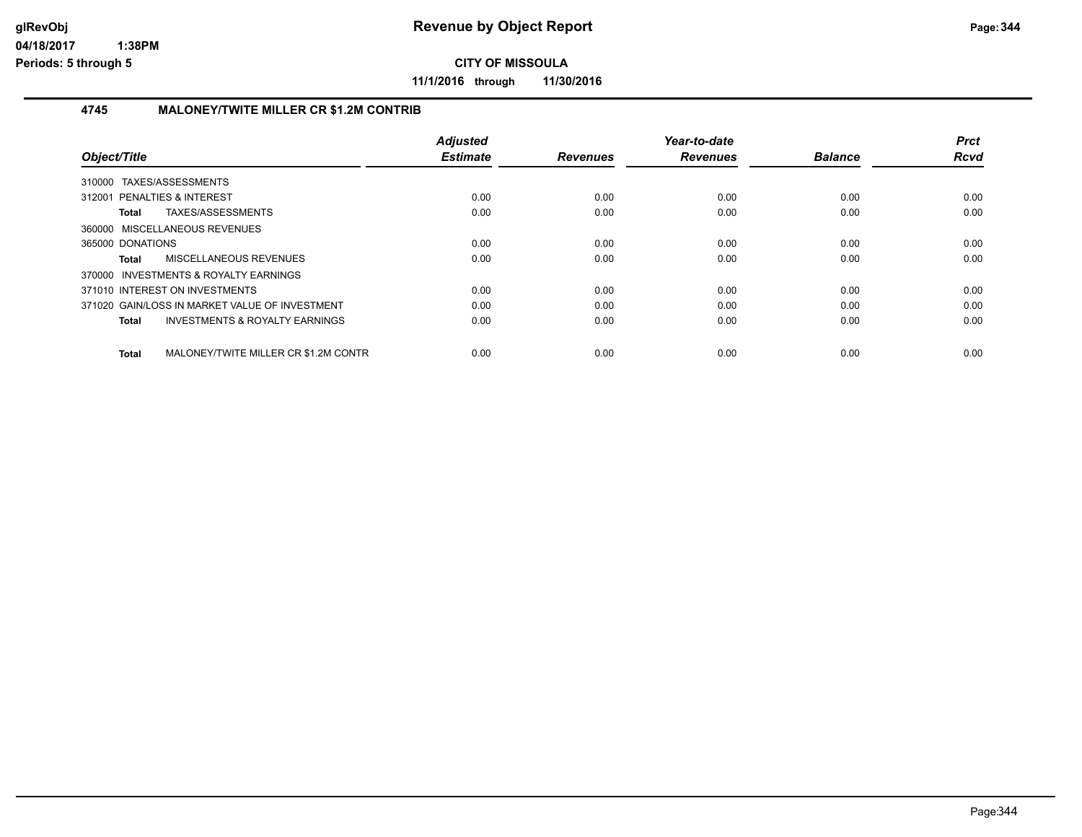**11/1/2016 through 11/30/2016**

#### **4745 MALONEY/TWITE MILLER CR \$1.2M CONTRIB**

|                                                      | <b>Adjusted</b> |                 | Year-to-date    |                | <b>Prct</b> |
|------------------------------------------------------|-----------------|-----------------|-----------------|----------------|-------------|
| Object/Title                                         | <b>Estimate</b> | <b>Revenues</b> | <b>Revenues</b> | <b>Balance</b> | <b>Rcvd</b> |
| 310000 TAXES/ASSESSMENTS                             |                 |                 |                 |                |             |
| 312001 PENALTIES & INTEREST                          | 0.00            | 0.00            | 0.00            | 0.00           | 0.00        |
| TAXES/ASSESSMENTS<br><b>Total</b>                    | 0.00            | 0.00            | 0.00            | 0.00           | 0.00        |
| 360000 MISCELLANEOUS REVENUES                        |                 |                 |                 |                |             |
| 365000 DONATIONS                                     | 0.00            | 0.00            | 0.00            | 0.00           | 0.00        |
| MISCELLANEOUS REVENUES<br>Total                      | 0.00            | 0.00            | 0.00            | 0.00           | 0.00        |
| 370000 INVESTMENTS & ROYALTY EARNINGS                |                 |                 |                 |                |             |
| 371010 INTEREST ON INVESTMENTS                       | 0.00            | 0.00            | 0.00            | 0.00           | 0.00        |
| 371020 GAIN/LOSS IN MARKET VALUE OF INVESTMENT       | 0.00            | 0.00            | 0.00            | 0.00           | 0.00        |
| <b>INVESTMENTS &amp; ROYALTY EARNINGS</b><br>Total   | 0.00            | 0.00            | 0.00            | 0.00           | 0.00        |
| MALONEY/TWITE MILLER CR \$1.2M CONTR<br><b>Total</b> | 0.00            | 0.00            | 0.00            | 0.00           | 0.00        |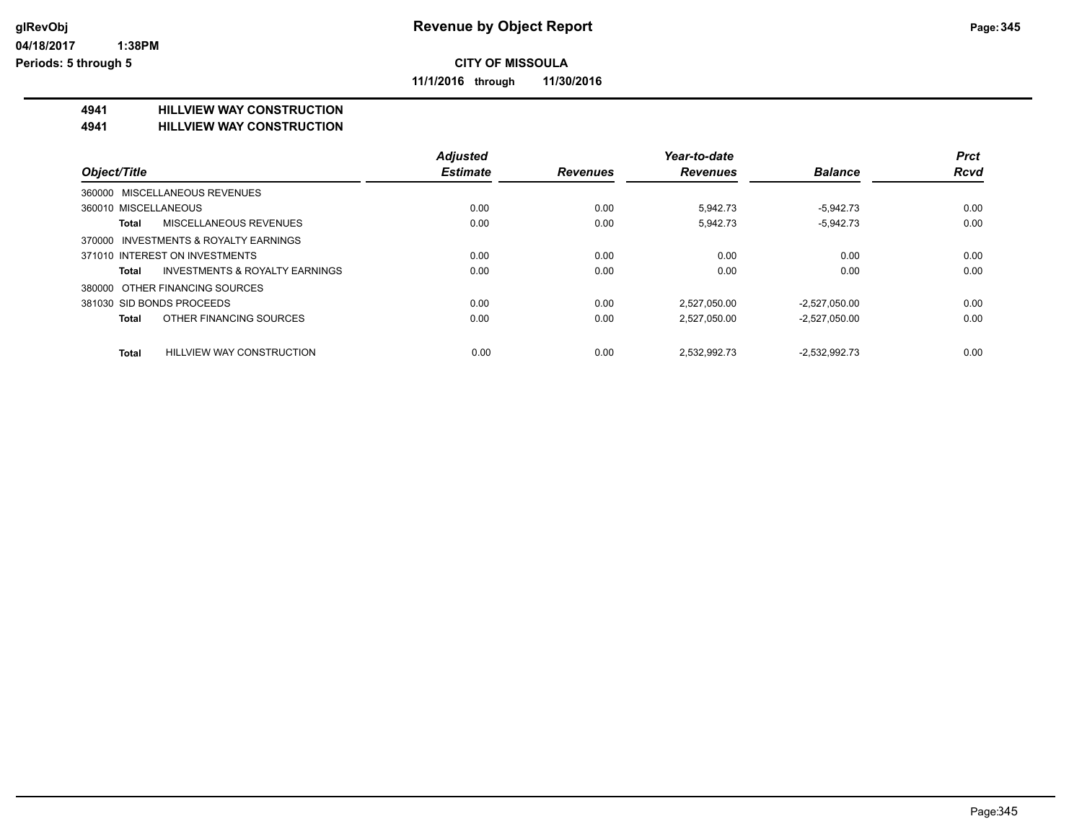**11/1/2016 through 11/30/2016**

**4941 HILLVIEW WAY CONSTRUCTION**

| 4941 | <b>HILLVIEW WAY CONSTRUCTION</b> |
|------|----------------------------------|
|      |                                  |

|                                         | <b>Adjusted</b> |                 | Year-to-date    |                 | <b>Prct</b> |
|-----------------------------------------|-----------------|-----------------|-----------------|-----------------|-------------|
| Object/Title                            | <b>Estimate</b> | <b>Revenues</b> | <b>Revenues</b> | <b>Balance</b>  | Rcvd        |
| 360000 MISCELLANEOUS REVENUES           |                 |                 |                 |                 |             |
| 360010 MISCELLANEOUS                    | 0.00            | 0.00            | 5.942.73        | $-5.942.73$     | 0.00        |
| MISCELLANEOUS REVENUES<br>Total         | 0.00            | 0.00            | 5.942.73        | $-5.942.73$     | 0.00        |
| 370000 INVESTMENTS & ROYALTY EARNINGS   |                 |                 |                 |                 |             |
| 371010 INTEREST ON INVESTMENTS          | 0.00            | 0.00            | 0.00            | 0.00            | 0.00        |
| INVESTMENTS & ROYALTY EARNINGS<br>Total | 0.00            | 0.00            | 0.00            | 0.00            | 0.00        |
| 380000 OTHER FINANCING SOURCES          |                 |                 |                 |                 |             |
| 381030 SID BONDS PROCEEDS               | 0.00            | 0.00            | 2,527,050.00    | $-2,527,050.00$ | 0.00        |
| OTHER FINANCING SOURCES<br><b>Total</b> | 0.00            | 0.00            | 2.527.050.00    | $-2.527.050.00$ | 0.00        |
|                                         |                 |                 |                 |                 |             |
| HILLVIEW WAY CONSTRUCTION<br>Total      | 0.00            | 0.00            | 2.532.992.73    | $-2.532.992.73$ | 0.00        |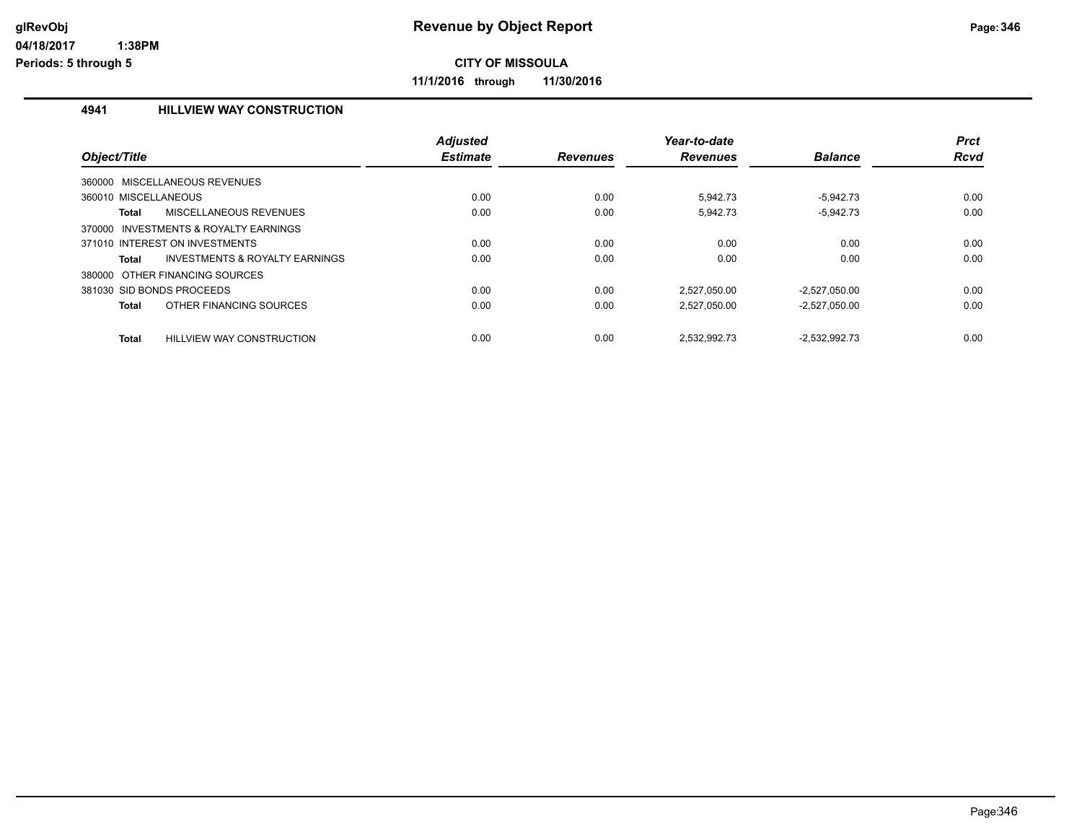**11/1/2016 through 11/30/2016**

#### **4941 HILLVIEW WAY CONSTRUCTION**

|                                                           | <b>Adjusted</b><br><b>Estimate</b> |                 | Year-to-date    |                 | <b>Prct</b><br><b>Rcvd</b> |
|-----------------------------------------------------------|------------------------------------|-----------------|-----------------|-----------------|----------------------------|
| Object/Title                                              |                                    | <b>Revenues</b> | <b>Revenues</b> | <b>Balance</b>  |                            |
| MISCELLANEOUS REVENUES<br>360000                          |                                    |                 |                 |                 |                            |
| 360010 MISCELLANEOUS                                      | 0.00                               | 0.00            | 5.942.73        | $-5.942.73$     | 0.00                       |
| MISCELLANEOUS REVENUES<br>Total                           | 0.00                               | 0.00            | 5.942.73        | $-5.942.73$     | 0.00                       |
| INVESTMENTS & ROYALTY EARNINGS<br>370000                  |                                    |                 |                 |                 |                            |
| 371010 INTEREST ON INVESTMENTS                            | 0.00                               | 0.00            | 0.00            | 0.00            | 0.00                       |
| <b>INVESTMENTS &amp; ROYALTY EARNINGS</b><br><b>Total</b> | 0.00                               | 0.00            | 0.00            | 0.00            | 0.00                       |
| OTHER FINANCING SOURCES<br>380000                         |                                    |                 |                 |                 |                            |
| 381030 SID BONDS PROCEEDS                                 | 0.00                               | 0.00            | 2.527.050.00    | $-2.527.050.00$ | 0.00                       |
| OTHER FINANCING SOURCES<br><b>Total</b>                   | 0.00                               | 0.00            | 2.527.050.00    | $-2,527,050.00$ | 0.00                       |
| <b>HILLVIEW WAY CONSTRUCTION</b><br><b>Total</b>          | 0.00                               | 0.00            | 2.532.992.73    | -2.532.992.73   | 0.00                       |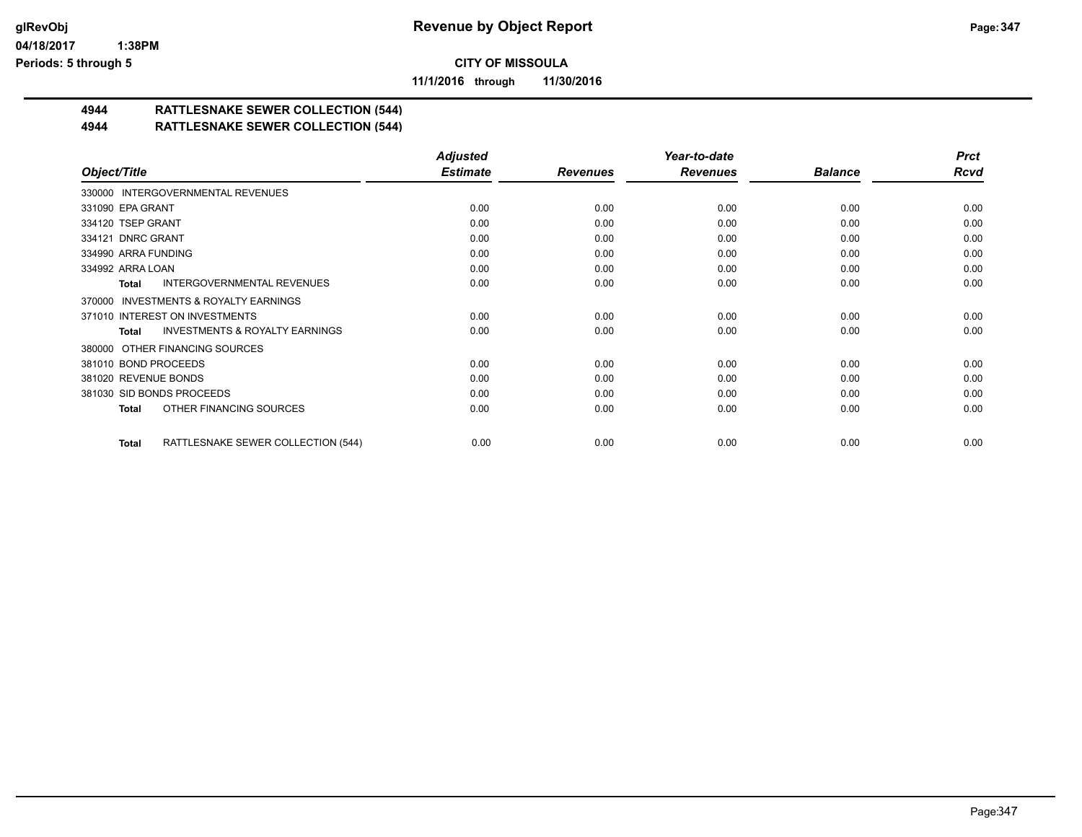**11/1/2016 through 11/30/2016**

#### **4944 RATTLESNAKE SEWER COLLECTION (544) 4944 RATTLESNAKE SEWER COLLECTION (544)**

|                                                     | <b>Adjusted</b> |                 | Year-to-date    |                | <b>Prct</b> |
|-----------------------------------------------------|-----------------|-----------------|-----------------|----------------|-------------|
| Object/Title                                        | <b>Estimate</b> | <b>Revenues</b> | <b>Revenues</b> | <b>Balance</b> | Rcvd        |
| 330000 INTERGOVERNMENTAL REVENUES                   |                 |                 |                 |                |             |
| 331090 EPA GRANT                                    | 0.00            | 0.00            | 0.00            | 0.00           | 0.00        |
| 334120 TSEP GRANT                                   | 0.00            | 0.00            | 0.00            | 0.00           | 0.00        |
| 334121 DNRC GRANT                                   | 0.00            | 0.00            | 0.00            | 0.00           | 0.00        |
| 334990 ARRA FUNDING                                 | 0.00            | 0.00            | 0.00            | 0.00           | 0.00        |
| 334992 ARRA LOAN                                    | 0.00            | 0.00            | 0.00            | 0.00           | 0.00        |
| INTERGOVERNMENTAL REVENUES<br>Total                 | 0.00            | 0.00            | 0.00            | 0.00           | 0.00        |
| <b>INVESTMENTS &amp; ROYALTY EARNINGS</b><br>370000 |                 |                 |                 |                |             |
| 371010 INTEREST ON INVESTMENTS                      | 0.00            | 0.00            | 0.00            | 0.00           | 0.00        |
| <b>INVESTMENTS &amp; ROYALTY EARNINGS</b><br>Total  | 0.00            | 0.00            | 0.00            | 0.00           | 0.00        |
| 380000 OTHER FINANCING SOURCES                      |                 |                 |                 |                |             |
| 381010 BOND PROCEEDS                                | 0.00            | 0.00            | 0.00            | 0.00           | 0.00        |
| 381020 REVENUE BONDS                                | 0.00            | 0.00            | 0.00            | 0.00           | 0.00        |
| 381030 SID BONDS PROCEEDS                           | 0.00            | 0.00            | 0.00            | 0.00           | 0.00        |
| OTHER FINANCING SOURCES<br>Total                    | 0.00            | 0.00            | 0.00            | 0.00           | 0.00        |
| RATTLESNAKE SEWER COLLECTION (544)<br>Total         | 0.00            | 0.00            | 0.00            | 0.00           | 0.00        |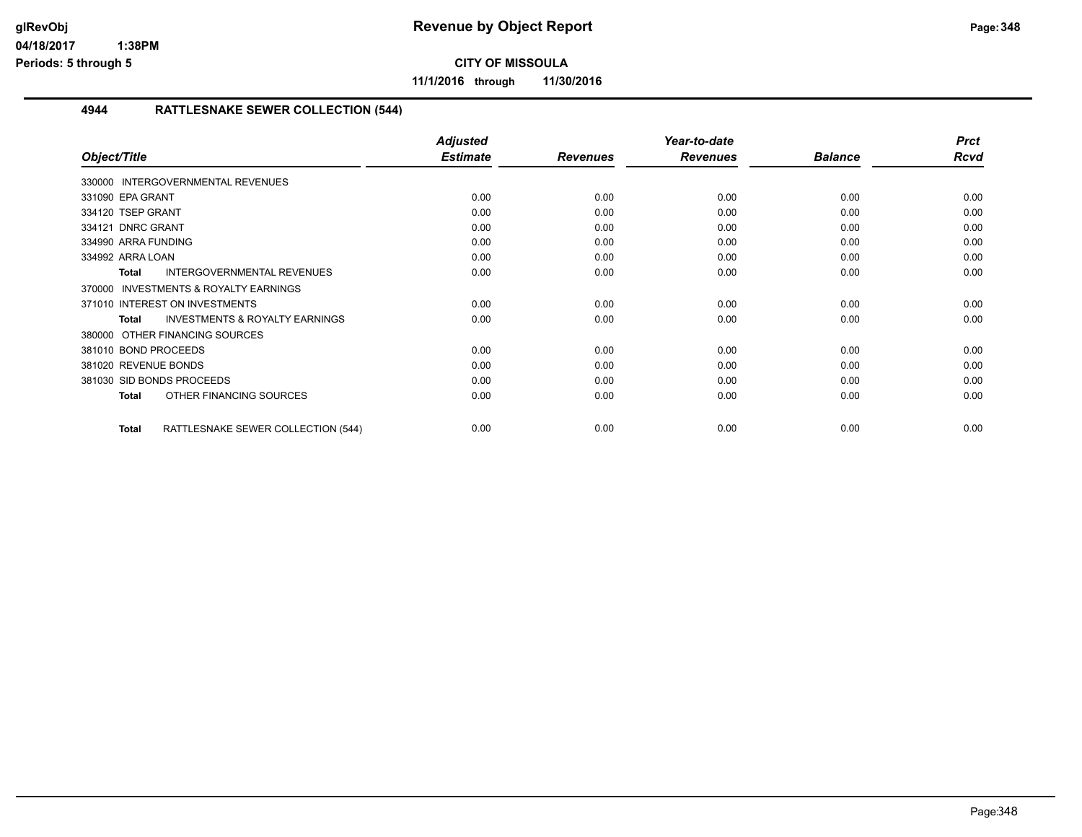**11/1/2016 through 11/30/2016**

#### **4944 RATTLESNAKE SEWER COLLECTION (544)**

|                                                     | <b>Adjusted</b> |                 | Year-to-date    |                | <b>Prct</b> |
|-----------------------------------------------------|-----------------|-----------------|-----------------|----------------|-------------|
| Object/Title                                        | <b>Estimate</b> | <b>Revenues</b> | <b>Revenues</b> | <b>Balance</b> | <b>Rcvd</b> |
| 330000 INTERGOVERNMENTAL REVENUES                   |                 |                 |                 |                |             |
| 331090 EPA GRANT                                    | 0.00            | 0.00            | 0.00            | 0.00           | 0.00        |
| 334120 TSEP GRANT                                   | 0.00            | 0.00            | 0.00            | 0.00           | 0.00        |
| 334121 DNRC GRANT                                   | 0.00            | 0.00            | 0.00            | 0.00           | 0.00        |
| 334990 ARRA FUNDING                                 | 0.00            | 0.00            | 0.00            | 0.00           | 0.00        |
| 334992 ARRA LOAN                                    | 0.00            | 0.00            | 0.00            | 0.00           | 0.00        |
| <b>INTERGOVERNMENTAL REVENUES</b><br><b>Total</b>   | 0.00            | 0.00            | 0.00            | 0.00           | 0.00        |
| <b>INVESTMENTS &amp; ROYALTY EARNINGS</b><br>370000 |                 |                 |                 |                |             |
| 371010 INTEREST ON INVESTMENTS                      | 0.00            | 0.00            | 0.00            | 0.00           | 0.00        |
| <b>INVESTMENTS &amp; ROYALTY EARNINGS</b><br>Total  | 0.00            | 0.00            | 0.00            | 0.00           | 0.00        |
| 380000 OTHER FINANCING SOURCES                      |                 |                 |                 |                |             |
| 381010 BOND PROCEEDS                                | 0.00            | 0.00            | 0.00            | 0.00           | 0.00        |
| 381020 REVENUE BONDS                                | 0.00            | 0.00            | 0.00            | 0.00           | 0.00        |
| 381030 SID BONDS PROCEEDS                           | 0.00            | 0.00            | 0.00            | 0.00           | 0.00        |
| OTHER FINANCING SOURCES<br>Total                    | 0.00            | 0.00            | 0.00            | 0.00           | 0.00        |
|                                                     |                 |                 |                 |                |             |
| RATTLESNAKE SEWER COLLECTION (544)<br>Total         | 0.00            | 0.00            | 0.00            | 0.00           | 0.00        |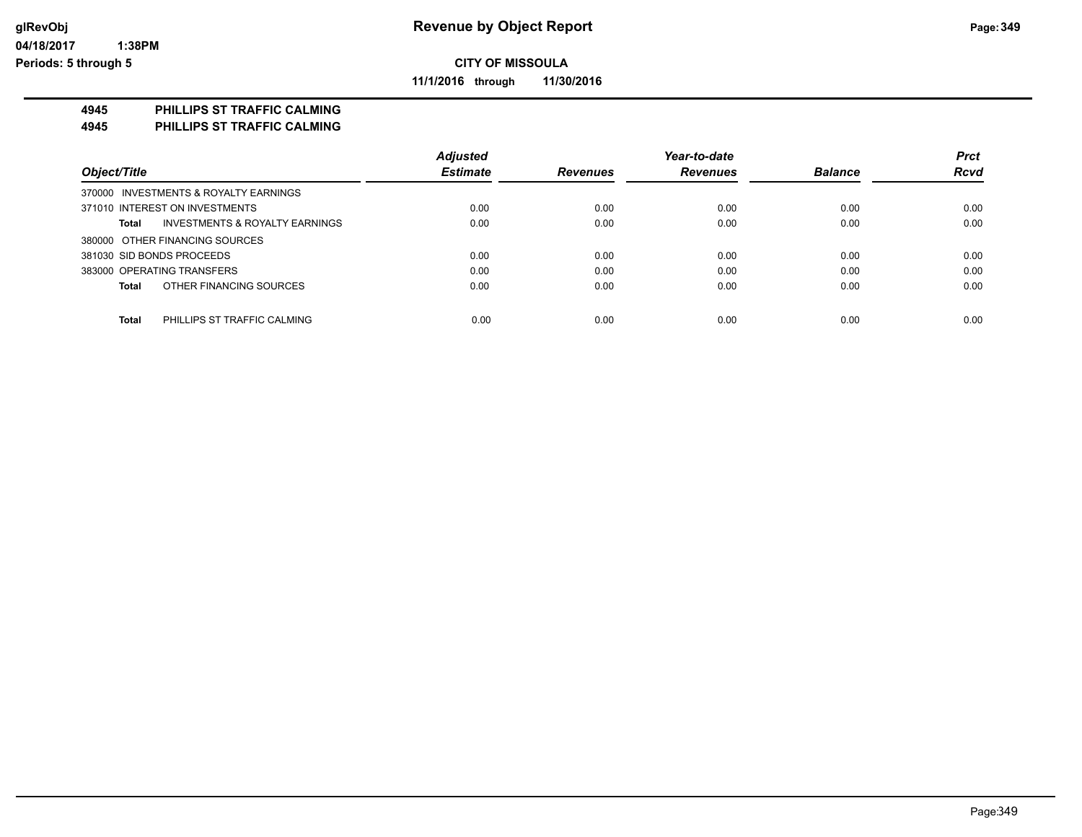**11/1/2016 through 11/30/2016**

**4945 PHILLIPS ST TRAFFIC CALMING**

**4945 PHILLIPS ST TRAFFIC CALMING**

|                                                           | <b>Adjusted</b> |                 | Year-to-date    |                | <b>Prct</b> |
|-----------------------------------------------------------|-----------------|-----------------|-----------------|----------------|-------------|
| Object/Title                                              | <b>Estimate</b> | <b>Revenues</b> | <b>Revenues</b> | <b>Balance</b> | <b>Rcvd</b> |
| 370000 INVESTMENTS & ROYALTY EARNINGS                     |                 |                 |                 |                |             |
| 371010 INTEREST ON INVESTMENTS                            | 0.00            | 0.00            | 0.00            | 0.00           | 0.00        |
| <b>INVESTMENTS &amp; ROYALTY EARNINGS</b><br><b>Total</b> | 0.00            | 0.00            | 0.00            | 0.00           | 0.00        |
| 380000 OTHER FINANCING SOURCES                            |                 |                 |                 |                |             |
| 381030 SID BONDS PROCEEDS                                 | 0.00            | 0.00            | 0.00            | 0.00           | 0.00        |
| 383000 OPERATING TRANSFERS                                | 0.00            | 0.00            | 0.00            | 0.00           | 0.00        |
| OTHER FINANCING SOURCES<br><b>Total</b>                   | 0.00            | 0.00            | 0.00            | 0.00           | 0.00        |
|                                                           |                 |                 |                 |                |             |
| <b>Total</b><br>PHILLIPS ST TRAFFIC CALMING               | 0.00            | 0.00            | 0.00            | 0.00           | 0.00        |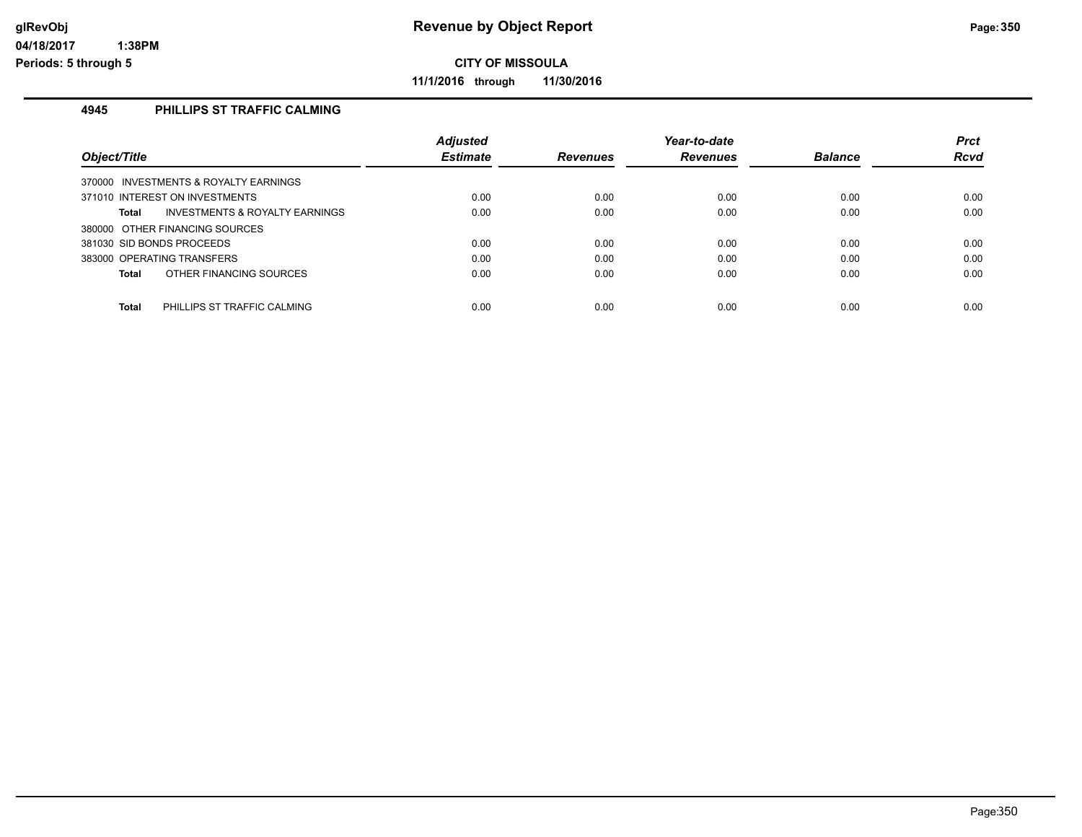**11/1/2016 through 11/30/2016**

#### **4945 PHILLIPS ST TRAFFIC CALMING**

|                                                | <b>Adjusted</b> |                 | Year-to-date    |                | <b>Prct</b> |
|------------------------------------------------|-----------------|-----------------|-----------------|----------------|-------------|
| Object/Title                                   | <b>Estimate</b> | <b>Revenues</b> | <b>Revenues</b> | <b>Balance</b> | <b>Rcvd</b> |
| 370000 INVESTMENTS & ROYALTY EARNINGS          |                 |                 |                 |                |             |
| 371010 INTEREST ON INVESTMENTS                 | 0.00            | 0.00            | 0.00            | 0.00           | 0.00        |
| INVESTMENTS & ROYALTY EARNINGS<br><b>Total</b> | 0.00            | 0.00            | 0.00            | 0.00           | 0.00        |
| 380000 OTHER FINANCING SOURCES                 |                 |                 |                 |                |             |
| 381030 SID BONDS PROCEEDS                      | 0.00            | 0.00            | 0.00            | 0.00           | 0.00        |
| 383000 OPERATING TRANSFERS                     | 0.00            | 0.00            | 0.00            | 0.00           | 0.00        |
| OTHER FINANCING SOURCES<br>Total               | 0.00            | 0.00            | 0.00            | 0.00           | 0.00        |
|                                                |                 |                 |                 |                |             |
| Total<br>PHILLIPS ST TRAFFIC CALMING           | 0.00            | 0.00            | 0.00            | 0.00           | 0.00        |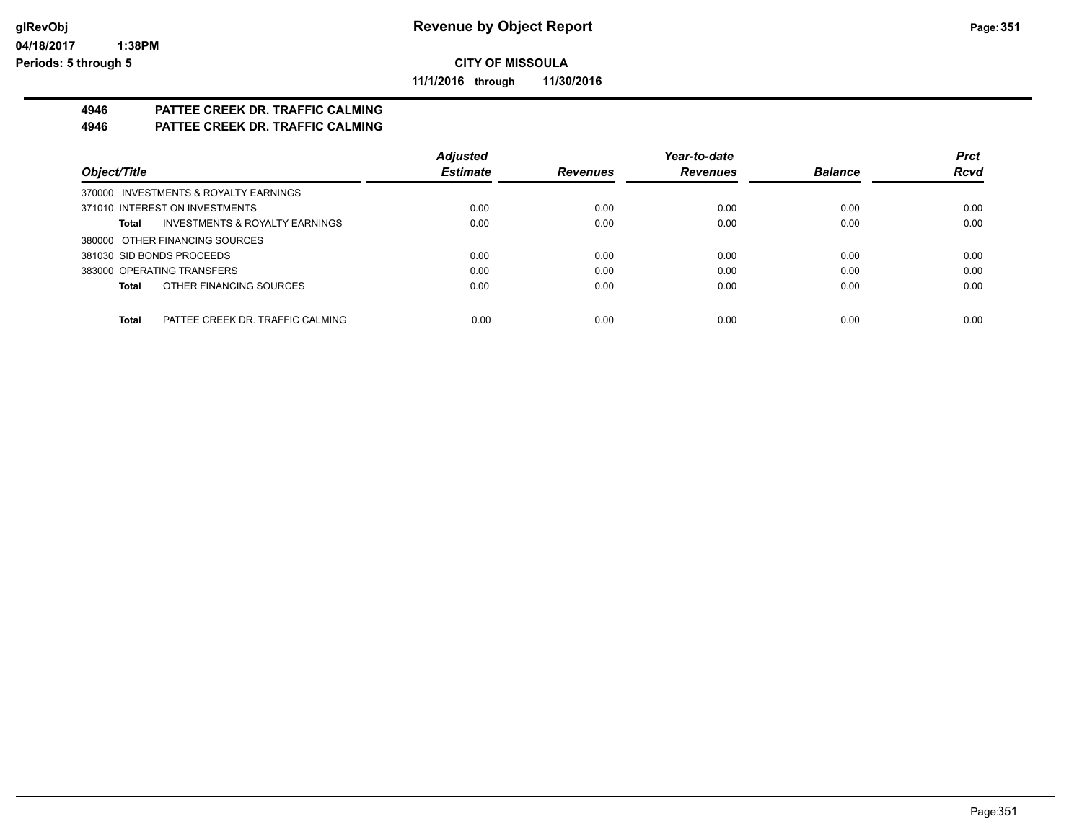**11/1/2016 through 11/30/2016**

#### **4946 PATTEE CREEK DR. TRAFFIC CALMING 4946 PATTEE CREEK DR. TRAFFIC CALMING**

|                                                  | <b>Adjusted</b> |                 | Year-to-date    |                | <b>Prct</b> |
|--------------------------------------------------|-----------------|-----------------|-----------------|----------------|-------------|
| Object/Title                                     | <b>Estimate</b> | <b>Revenues</b> | <b>Revenues</b> | <b>Balance</b> | <b>Rcvd</b> |
| 370000 INVESTMENTS & ROYALTY EARNINGS            |                 |                 |                 |                |             |
| 371010 INTEREST ON INVESTMENTS                   | 0.00            | 0.00            | 0.00            | 0.00           | 0.00        |
| INVESTMENTS & ROYALTY EARNINGS<br>Total          | 0.00            | 0.00            | 0.00            | 0.00           | 0.00        |
| 380000 OTHER FINANCING SOURCES                   |                 |                 |                 |                |             |
| 381030 SID BONDS PROCEEDS                        | 0.00            | 0.00            | 0.00            | 0.00           | 0.00        |
| 383000 OPERATING TRANSFERS                       | 0.00            | 0.00            | 0.00            | 0.00           | 0.00        |
| OTHER FINANCING SOURCES<br>Total                 | 0.00            | 0.00            | 0.00            | 0.00           | 0.00        |
|                                                  |                 |                 |                 |                |             |
| <b>Total</b><br>PATTEE CREEK DR. TRAFFIC CALMING | 0.00            | 0.00            | 0.00            | 0.00           | 0.00        |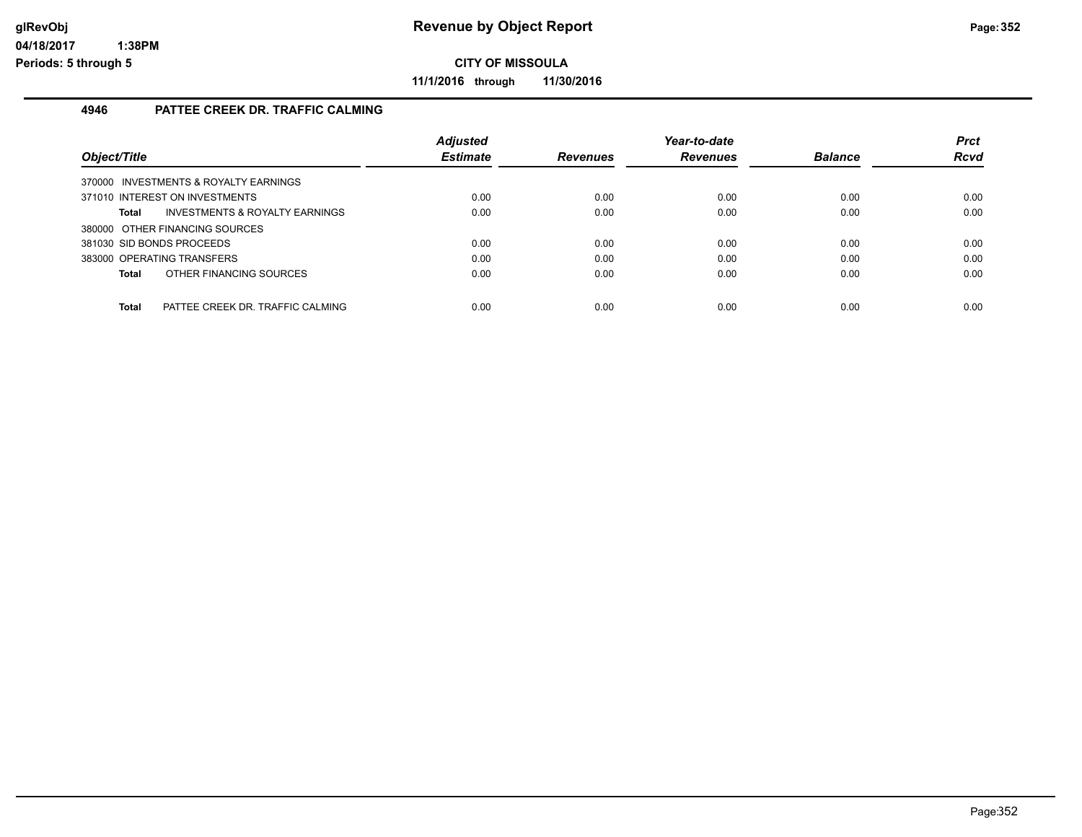**11/1/2016 through 11/30/2016**

#### **4946 PATTEE CREEK DR. TRAFFIC CALMING**

| Object/Title              |                                       | <b>Adjusted</b><br><b>Estimate</b> | <b>Revenues</b> | Year-to-date<br><b>Revenues</b> | <b>Balance</b> | <b>Prct</b><br><b>Rcvd</b> |
|---------------------------|---------------------------------------|------------------------------------|-----------------|---------------------------------|----------------|----------------------------|
|                           | 370000 INVESTMENTS & ROYALTY EARNINGS |                                    |                 |                                 |                |                            |
|                           | 371010 INTEREST ON INVESTMENTS        | 0.00                               | 0.00            | 0.00                            | 0.00           | 0.00                       |
| Total                     | INVESTMENTS & ROYALTY EARNINGS        | 0.00                               | 0.00            | 0.00                            | 0.00           | 0.00                       |
|                           | 380000 OTHER FINANCING SOURCES        |                                    |                 |                                 |                |                            |
| 381030 SID BONDS PROCEEDS |                                       | 0.00                               | 0.00            | 0.00                            | 0.00           | 0.00                       |
|                           | 383000 OPERATING TRANSFERS            | 0.00                               | 0.00            | 0.00                            | 0.00           | 0.00                       |
| Total                     | OTHER FINANCING SOURCES               | 0.00                               | 0.00            | 0.00                            | 0.00           | 0.00                       |
| <b>Total</b>              | PATTEE CREEK DR. TRAFFIC CALMING      | 0.00                               | 0.00            | 0.00                            | 0.00           | 0.00                       |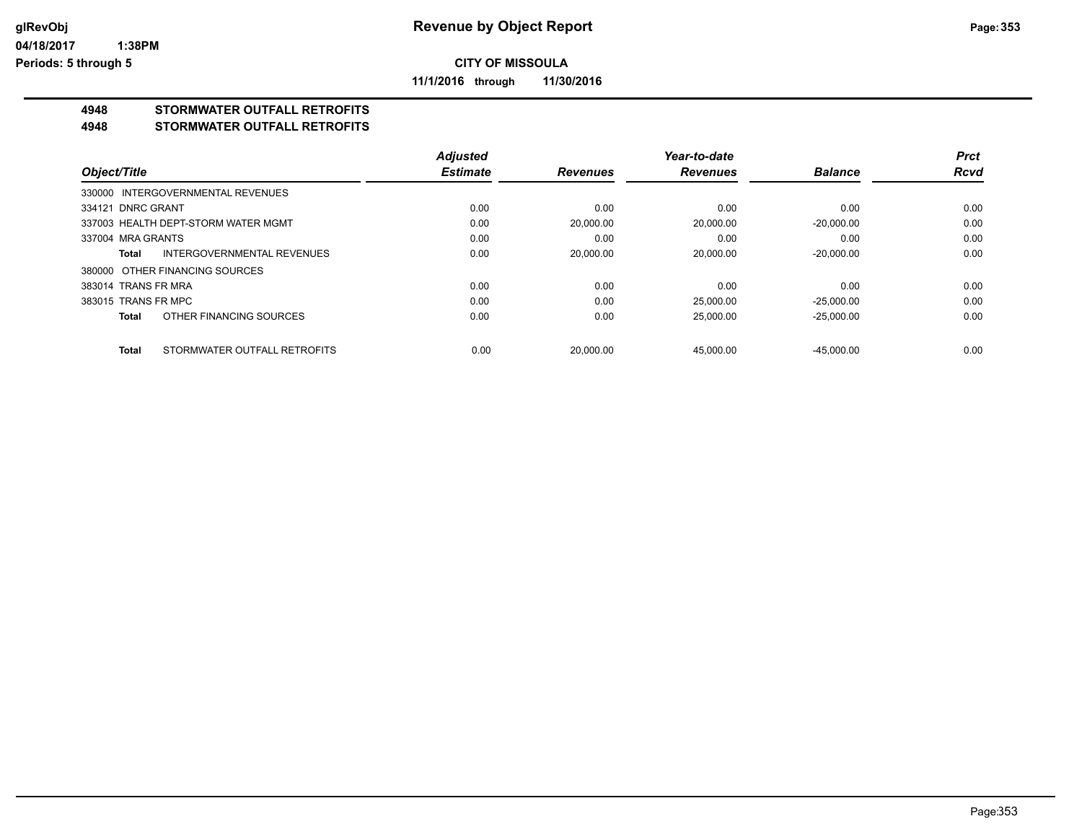**11/1/2016 through 11/30/2016**

#### **4948 STORMWATER OUTFALL RETROFITS 4948 STORMWATER OUTFALL RETROFITS**

| Object/Title                          | <b>Adjusted</b><br><b>Estimate</b> | <b>Revenues</b> | Year-to-date<br><b>Revenues</b> | <b>Balance</b> | <b>Prct</b><br><b>Rcvd</b> |
|---------------------------------------|------------------------------------|-----------------|---------------------------------|----------------|----------------------------|
|                                       |                                    |                 |                                 |                |                            |
| 330000 INTERGOVERNMENTAL REVENUES     |                                    |                 |                                 |                |                            |
| 334121 DNRC GRANT                     | 0.00                               | 0.00            | 0.00                            | 0.00           | 0.00                       |
| 337003 HEALTH DEPT-STORM WATER MGMT   | 0.00                               | 20,000.00       | 20,000.00                       | $-20,000.00$   | 0.00                       |
| 337004 MRA GRANTS                     | 0.00                               | 0.00            | 0.00                            | 0.00           | 0.00                       |
| INTERGOVERNMENTAL REVENUES<br>Total   | 0.00                               | 20.000.00       | 20.000.00                       | $-20,000.00$   | 0.00                       |
| 380000 OTHER FINANCING SOURCES        |                                    |                 |                                 |                |                            |
| 383014 TRANS FR MRA                   | 0.00                               | 0.00            | 0.00                            | 0.00           | 0.00                       |
| 383015 TRANS FR MPC                   | 0.00                               | 0.00            | 25.000.00                       | $-25.000.00$   | 0.00                       |
| OTHER FINANCING SOURCES<br>Total      | 0.00                               | 0.00            | 25,000.00                       | $-25,000.00$   | 0.00                       |
|                                       |                                    |                 |                                 |                |                            |
| STORMWATER OUTFALL RETROFITS<br>Total | 0.00                               | 20.000.00       | 45.000.00                       | $-45.000.00$   | 0.00                       |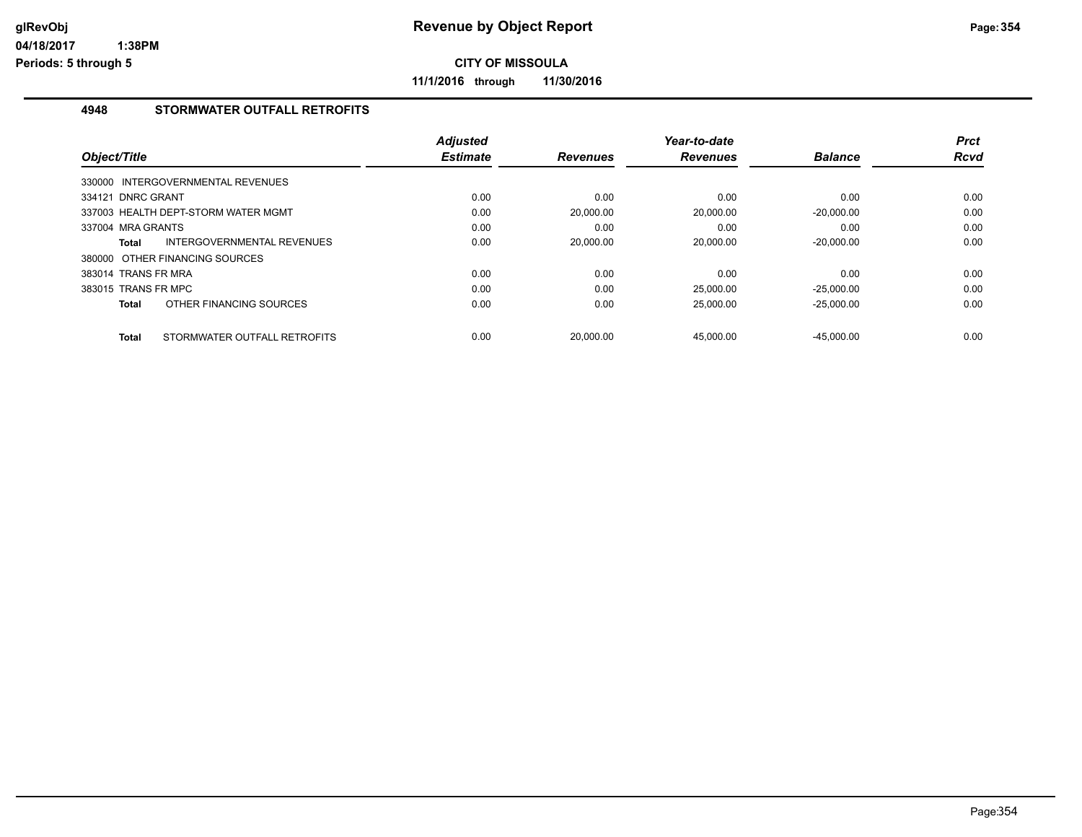**11/1/2016 through 11/30/2016**

#### **4948 STORMWATER OUTFALL RETROFITS**

| Object/Title        |                                     | <b>Adjusted</b><br><b>Estimate</b> | <b>Revenues</b> | Year-to-date<br><b>Revenues</b> | <b>Balance</b> | <b>Prct</b><br>Rcvd |
|---------------------|-------------------------------------|------------------------------------|-----------------|---------------------------------|----------------|---------------------|
|                     | 330000 INTERGOVERNMENTAL REVENUES   |                                    |                 |                                 |                |                     |
| 334121 DNRC GRANT   |                                     | 0.00                               | 0.00            | 0.00                            | 0.00           | 0.00                |
|                     | 337003 HEALTH DEPT-STORM WATER MGMT | 0.00                               | 20.000.00       | 20.000.00                       | $-20,000.00$   | 0.00                |
| 337004 MRA GRANTS   |                                     | 0.00                               | 0.00            | 0.00                            | 0.00           | 0.00                |
| Total               | INTERGOVERNMENTAL REVENUES          | 0.00                               | 20,000.00       | 20,000.00                       | $-20,000.00$   | 0.00                |
|                     | 380000 OTHER FINANCING SOURCES      |                                    |                 |                                 |                |                     |
| 383014 TRANS FR MRA |                                     | 0.00                               | 0.00            | 0.00                            | 0.00           | 0.00                |
| 383015 TRANS FR MPC |                                     | 0.00                               | 0.00            | 25.000.00                       | $-25.000.00$   | 0.00                |
| <b>Total</b>        | OTHER FINANCING SOURCES             | 0.00                               | 0.00            | 25.000.00                       | $-25.000.00$   | 0.00                |
| <b>Total</b>        | STORMWATER OUTFALL RETROFITS        | 0.00                               | 20.000.00       | 45.000.00                       | $-45.000.00$   | 0.00                |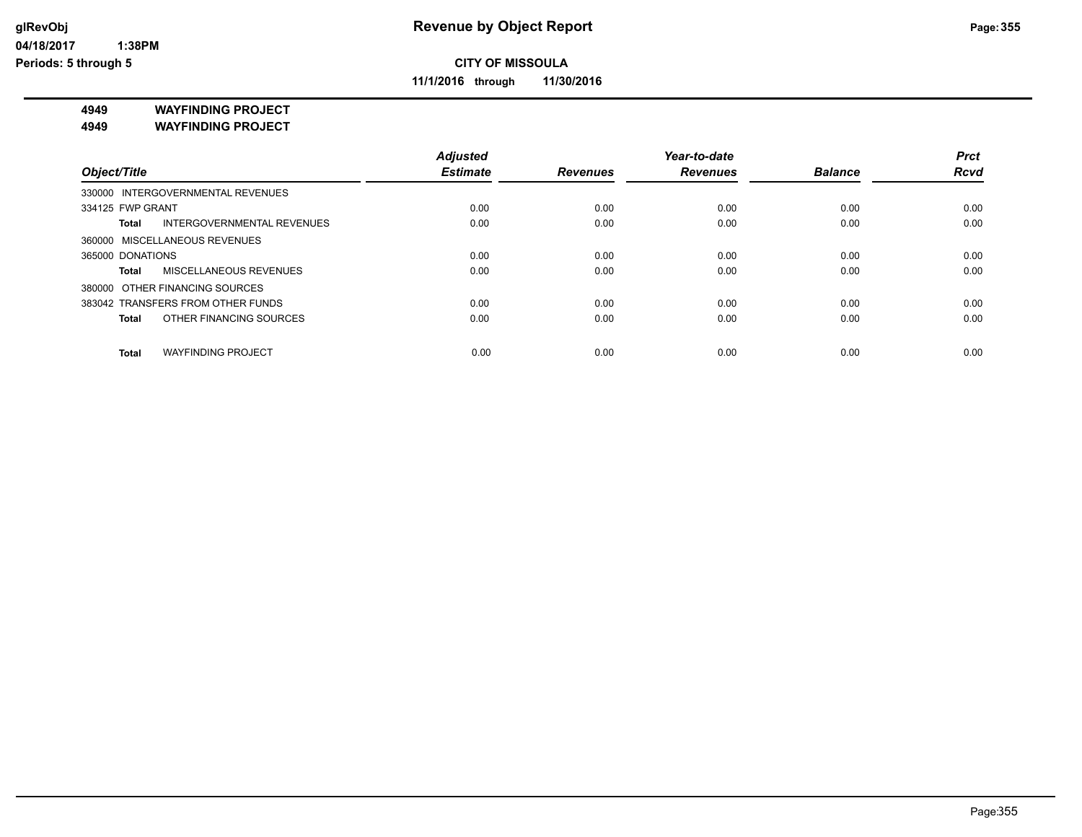**11/1/2016 through 11/30/2016**

**4949 WAYFINDING PROJECT 4949 WAYFINDING PROJECT**

|                                            | <b>Adjusted</b> |                 | Year-to-date    |                | <b>Prct</b> |
|--------------------------------------------|-----------------|-----------------|-----------------|----------------|-------------|
| Object/Title                               | <b>Estimate</b> | <b>Revenues</b> | <b>Revenues</b> | <b>Balance</b> | <b>Rcvd</b> |
| 330000 INTERGOVERNMENTAL REVENUES          |                 |                 |                 |                |             |
| 334125 FWP GRANT                           | 0.00            | 0.00            | 0.00            | 0.00           | 0.00        |
| <b>INTERGOVERNMENTAL REVENUES</b><br>Total | 0.00            | 0.00            | 0.00            | 0.00           | 0.00        |
| 360000 MISCELLANEOUS REVENUES              |                 |                 |                 |                |             |
| 365000 DONATIONS                           | 0.00            | 0.00            | 0.00            | 0.00           | 0.00        |
| <b>MISCELLANEOUS REVENUES</b><br>Total     | 0.00            | 0.00            | 0.00            | 0.00           | 0.00        |
| 380000 OTHER FINANCING SOURCES             |                 |                 |                 |                |             |
| 383042 TRANSFERS FROM OTHER FUNDS          | 0.00            | 0.00            | 0.00            | 0.00           | 0.00        |
| OTHER FINANCING SOURCES<br><b>Total</b>    | 0.00            | 0.00            | 0.00            | 0.00           | 0.00        |
|                                            |                 |                 |                 |                |             |
| <b>WAYFINDING PROJECT</b><br><b>Total</b>  | 0.00            | 0.00            | 0.00            | 0.00           | 0.00        |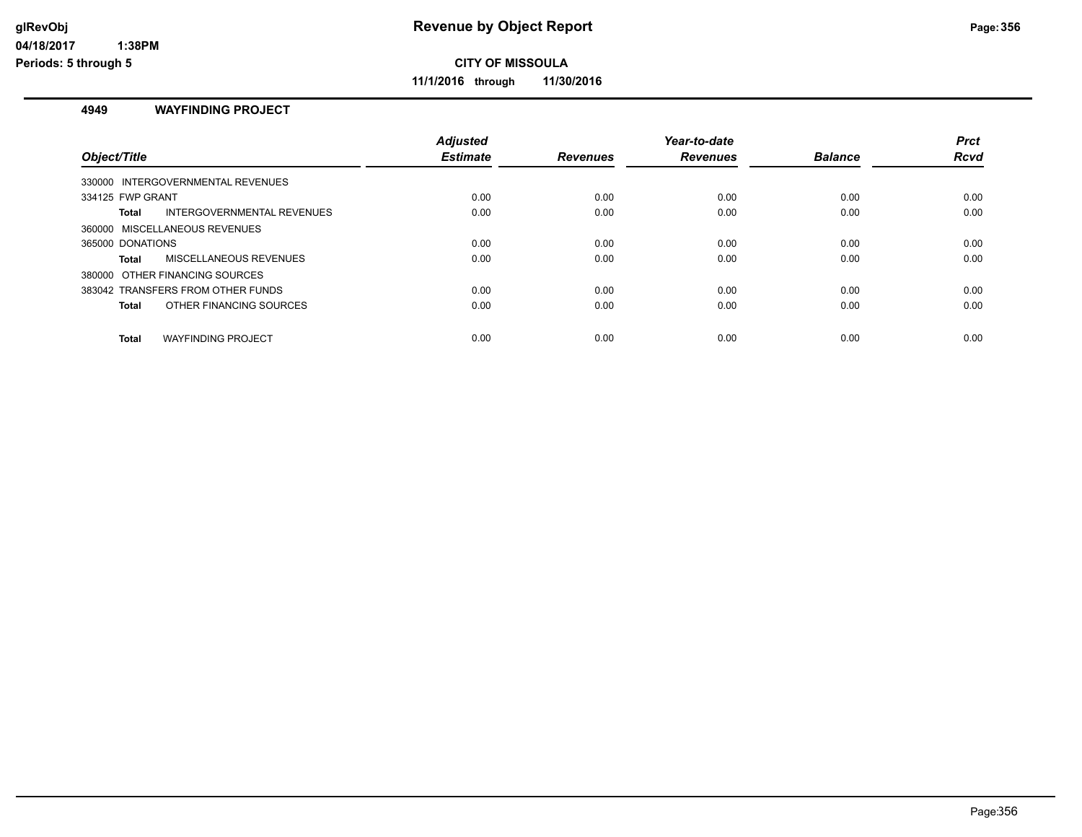**11/1/2016 through 11/30/2016**

#### **4949 WAYFINDING PROJECT**

| Object/Title                              | Adjusted<br><b>Estimate</b> | <b>Revenues</b> | Year-to-date<br><b>Revenues</b> | <b>Balance</b> | <b>Prct</b><br><b>Rcvd</b> |
|-------------------------------------------|-----------------------------|-----------------|---------------------------------|----------------|----------------------------|
| 330000 INTERGOVERNMENTAL REVENUES         |                             |                 |                                 |                |                            |
| 334125 FWP GRANT                          | 0.00                        | 0.00            | 0.00                            | 0.00           | 0.00                       |
| INTERGOVERNMENTAL REVENUES<br>Total       | 0.00                        | 0.00            | 0.00                            | 0.00           | 0.00                       |
| 360000 MISCELLANEOUS REVENUES             |                             |                 |                                 |                |                            |
| 365000 DONATIONS                          | 0.00                        | 0.00            | 0.00                            | 0.00           | 0.00                       |
| <b>MISCELLANEOUS REVENUES</b><br>Total    | 0.00                        | 0.00            | 0.00                            | 0.00           | 0.00                       |
| 380000 OTHER FINANCING SOURCES            |                             |                 |                                 |                |                            |
| 383042 TRANSFERS FROM OTHER FUNDS         | 0.00                        | 0.00            | 0.00                            | 0.00           | 0.00                       |
| OTHER FINANCING SOURCES<br>Total          | 0.00                        | 0.00            | 0.00                            | 0.00           | 0.00                       |
| <b>WAYFINDING PROJECT</b><br><b>Total</b> | 0.00                        | 0.00            | 0.00                            | 0.00           | 0.00                       |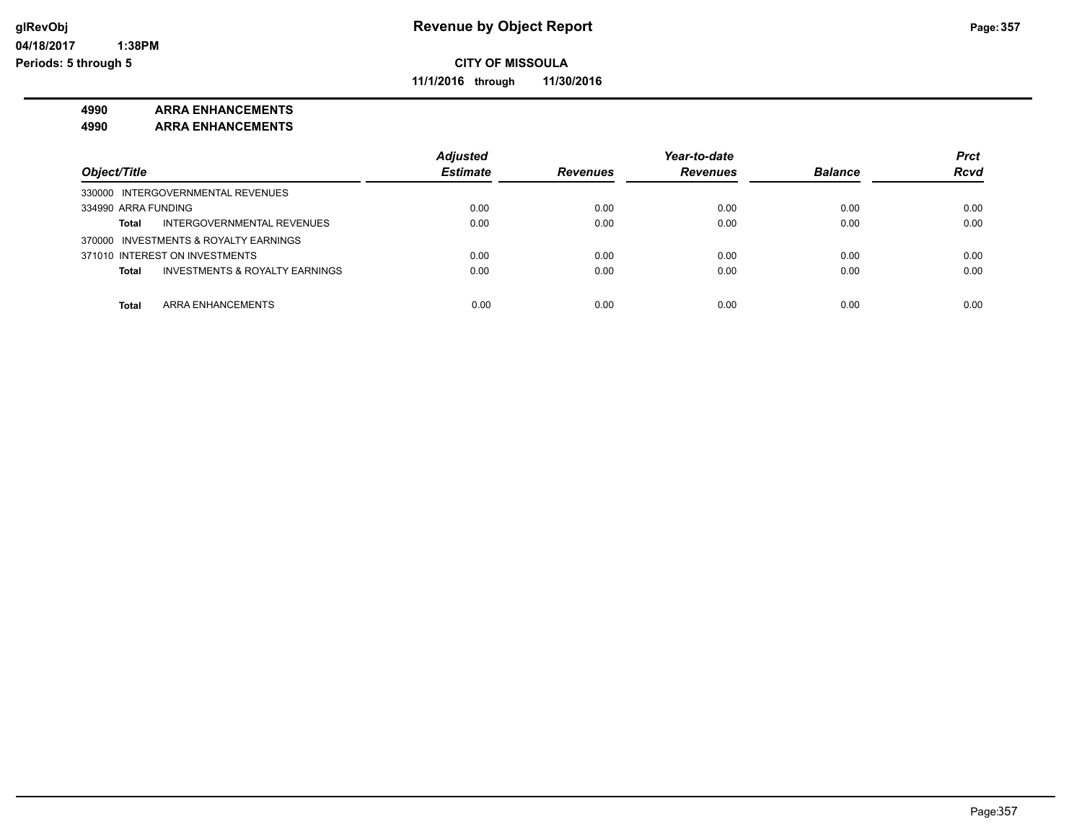**11/1/2016 through 11/30/2016**

**4990 ARRA ENHANCEMENTS 4990 ARRA ENHANCEMENTS**

| Object/Title                            | <b>Adjusted</b><br><b>Estimate</b> | <b>Revenues</b> | Year-to-date<br><b>Revenues</b> | <b>Balance</b> | <b>Prct</b><br><b>Rcvd</b> |
|-----------------------------------------|------------------------------------|-----------------|---------------------------------|----------------|----------------------------|
| 330000 INTERGOVERNMENTAL REVENUES       |                                    |                 |                                 |                |                            |
| 334990 ARRA FUNDING                     | 0.00                               | 0.00            | 0.00                            | 0.00           | 0.00                       |
| INTERGOVERNMENTAL REVENUES<br>Total     | 0.00                               | 0.00            | 0.00                            | 0.00           | 0.00                       |
| 370000 INVESTMENTS & ROYALTY EARNINGS   |                                    |                 |                                 |                |                            |
| 371010 INTEREST ON INVESTMENTS          | 0.00                               | 0.00            | 0.00                            | 0.00           | 0.00                       |
| INVESTMENTS & ROYALTY EARNINGS<br>Total | 0.00                               | 0.00            | 0.00                            | 0.00           | 0.00                       |
|                                         |                                    |                 |                                 |                |                            |
| <b>Total</b><br>ARRA ENHANCEMENTS       | 0.00                               | 0.00            | 0.00                            | 0.00           | 0.00                       |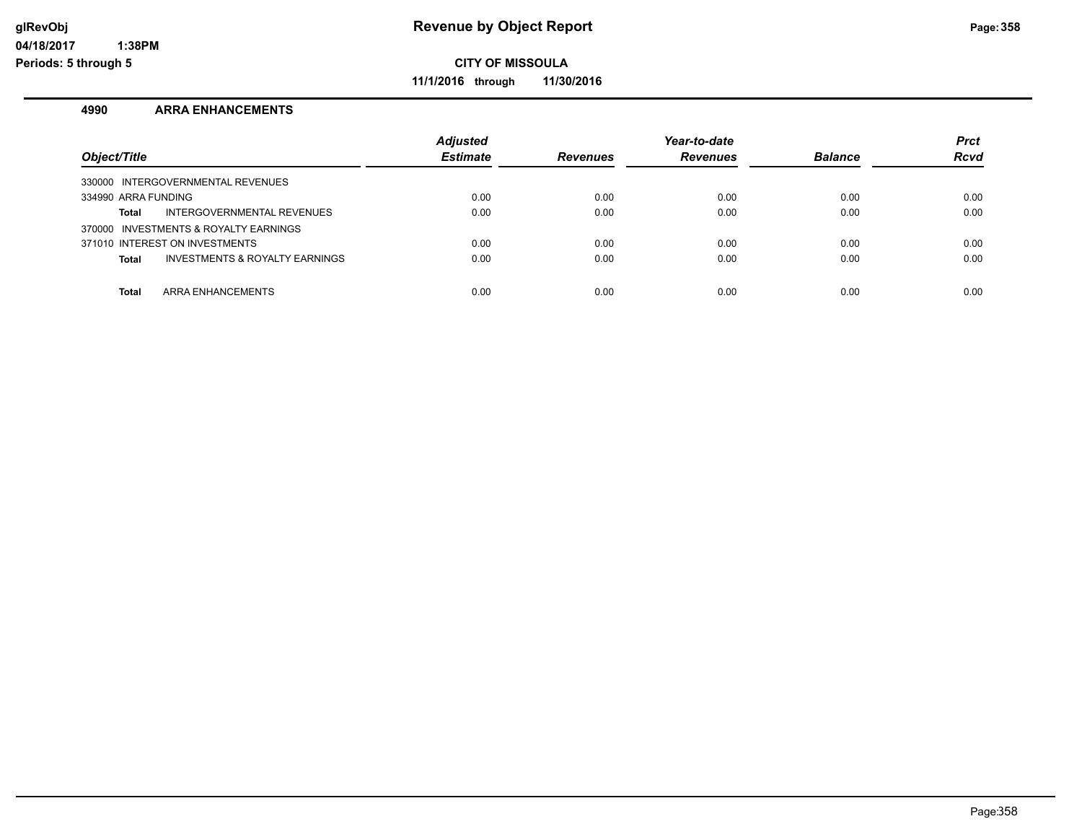**11/1/2016 through 11/30/2016**

#### **4990 ARRA ENHANCEMENTS**

| Object/Title                                       | <b>Adjusted</b><br><b>Estimate</b> | <b>Revenues</b> | Year-to-date<br><b>Revenues</b> | <b>Balance</b> | <b>Prct</b><br><b>Rcvd</b> |
|----------------------------------------------------|------------------------------------|-----------------|---------------------------------|----------------|----------------------------|
| 330000 INTERGOVERNMENTAL REVENUES                  |                                    |                 |                                 |                |                            |
| 334990 ARRA FUNDING                                | 0.00                               | 0.00            | 0.00                            | 0.00           | 0.00                       |
| INTERGOVERNMENTAL REVENUES<br>Total                | 0.00                               | 0.00            | 0.00                            | 0.00           | 0.00                       |
| 370000 INVESTMENTS & ROYALTY EARNINGS              |                                    |                 |                                 |                |                            |
| 371010 INTEREST ON INVESTMENTS                     | 0.00                               | 0.00            | 0.00                            | 0.00           | 0.00                       |
| <b>INVESTMENTS &amp; ROYALTY EARNINGS</b><br>Total | 0.00                               | 0.00            | 0.00                            | 0.00           | 0.00                       |
| Total<br>ARRA ENHANCEMENTS                         | 0.00                               | 0.00            | 0.00                            | 0.00           | 0.00                       |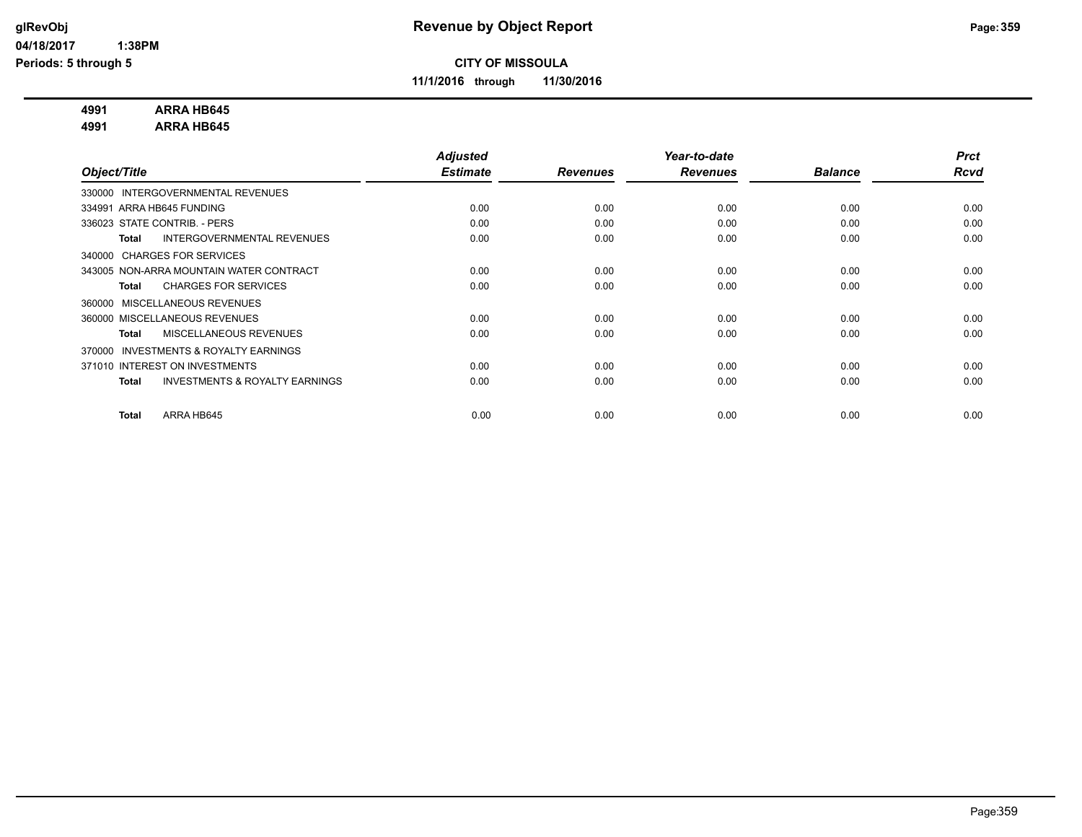**11/1/2016 through 11/30/2016**

## **4991 ARRA HB645**

**4991 ARRA HB645**

|                                                           | <b>Adjusted</b> |                 | Year-to-date    |                | <b>Prct</b> |
|-----------------------------------------------------------|-----------------|-----------------|-----------------|----------------|-------------|
| Object/Title                                              | <b>Estimate</b> | <b>Revenues</b> | <b>Revenues</b> | <b>Balance</b> | <b>Rcvd</b> |
| 330000 INTERGOVERNMENTAL REVENUES                         |                 |                 |                 |                |             |
| 334991 ARRA HB645 FUNDING                                 | 0.00            | 0.00            | 0.00            | 0.00           | 0.00        |
| 336023 STATE CONTRIB. - PERS                              | 0.00            | 0.00            | 0.00            | 0.00           | 0.00        |
| <b>INTERGOVERNMENTAL REVENUES</b><br>Total                | 0.00            | 0.00            | 0.00            | 0.00           | 0.00        |
| 340000 CHARGES FOR SERVICES                               |                 |                 |                 |                |             |
| 343005 NON-ARRA MOUNTAIN WATER CONTRACT                   | 0.00            | 0.00            | 0.00            | 0.00           | 0.00        |
| <b>CHARGES FOR SERVICES</b><br><b>Total</b>               | 0.00            | 0.00            | 0.00            | 0.00           | 0.00        |
| 360000 MISCELLANEOUS REVENUES                             |                 |                 |                 |                |             |
| 360000 MISCELLANEOUS REVENUES                             | 0.00            | 0.00            | 0.00            | 0.00           | 0.00        |
| MISCELLANEOUS REVENUES<br><b>Total</b>                    | 0.00            | 0.00            | 0.00            | 0.00           | 0.00        |
| 370000 INVESTMENTS & ROYALTY EARNINGS                     |                 |                 |                 |                |             |
| 371010 INTEREST ON INVESTMENTS                            | 0.00            | 0.00            | 0.00            | 0.00           | 0.00        |
| <b>INVESTMENTS &amp; ROYALTY EARNINGS</b><br><b>Total</b> | 0.00            | 0.00            | 0.00            | 0.00           | 0.00        |
|                                                           |                 |                 |                 |                |             |
| ARRA HB645<br><b>Total</b>                                | 0.00            | 0.00            | 0.00            | 0.00           | 0.00        |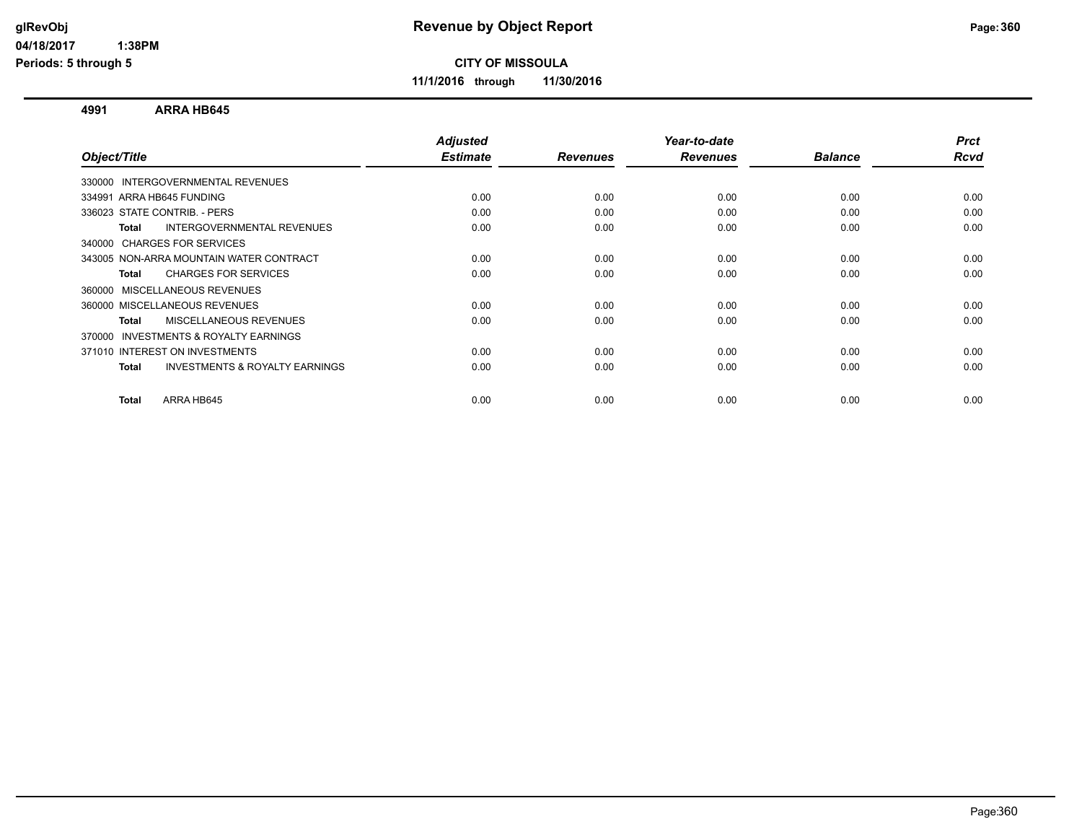**11/1/2016 through 11/30/2016**

#### **4991 ARRA HB645**

| Object/Title                                        | <b>Adjusted</b><br><b>Estimate</b> | <b>Revenues</b> | Year-to-date<br><b>Revenues</b> | <b>Balance</b> | <b>Prct</b><br><b>Rcvd</b> |
|-----------------------------------------------------|------------------------------------|-----------------|---------------------------------|----------------|----------------------------|
|                                                     |                                    |                 |                                 |                |                            |
| 330000 INTERGOVERNMENTAL REVENUES                   |                                    |                 |                                 |                |                            |
| 334991 ARRA HB645 FUNDING                           | 0.00                               | 0.00            | 0.00                            | 0.00           | 0.00                       |
| 336023 STATE CONTRIB. - PERS                        | 0.00                               | 0.00            | 0.00                            | 0.00           | 0.00                       |
| <b>INTERGOVERNMENTAL REVENUES</b><br>Total          | 0.00                               | 0.00            | 0.00                            | 0.00           | 0.00                       |
| 340000 CHARGES FOR SERVICES                         |                                    |                 |                                 |                |                            |
| 343005 NON-ARRA MOUNTAIN WATER CONTRACT             | 0.00                               | 0.00            | 0.00                            | 0.00           | 0.00                       |
| <b>CHARGES FOR SERVICES</b><br>Total                | 0.00                               | 0.00            | 0.00                            | 0.00           | 0.00                       |
| 360000 MISCELLANEOUS REVENUES                       |                                    |                 |                                 |                |                            |
| 360000 MISCELLANEOUS REVENUES                       | 0.00                               | 0.00            | 0.00                            | 0.00           | 0.00                       |
| <b>MISCELLANEOUS REVENUES</b><br>Total              | 0.00                               | 0.00            | 0.00                            | 0.00           | 0.00                       |
| <b>INVESTMENTS &amp; ROYALTY EARNINGS</b><br>370000 |                                    |                 |                                 |                |                            |
| 371010 INTEREST ON INVESTMENTS                      | 0.00                               | 0.00            | 0.00                            | 0.00           | 0.00                       |
| <b>INVESTMENTS &amp; ROYALTY EARNINGS</b><br>Total  | 0.00                               | 0.00            | 0.00                            | 0.00           | 0.00                       |
|                                                     |                                    |                 |                                 |                |                            |
| ARRA HB645<br><b>Total</b>                          | 0.00                               | 0.00            | 0.00                            | 0.00           | 0.00                       |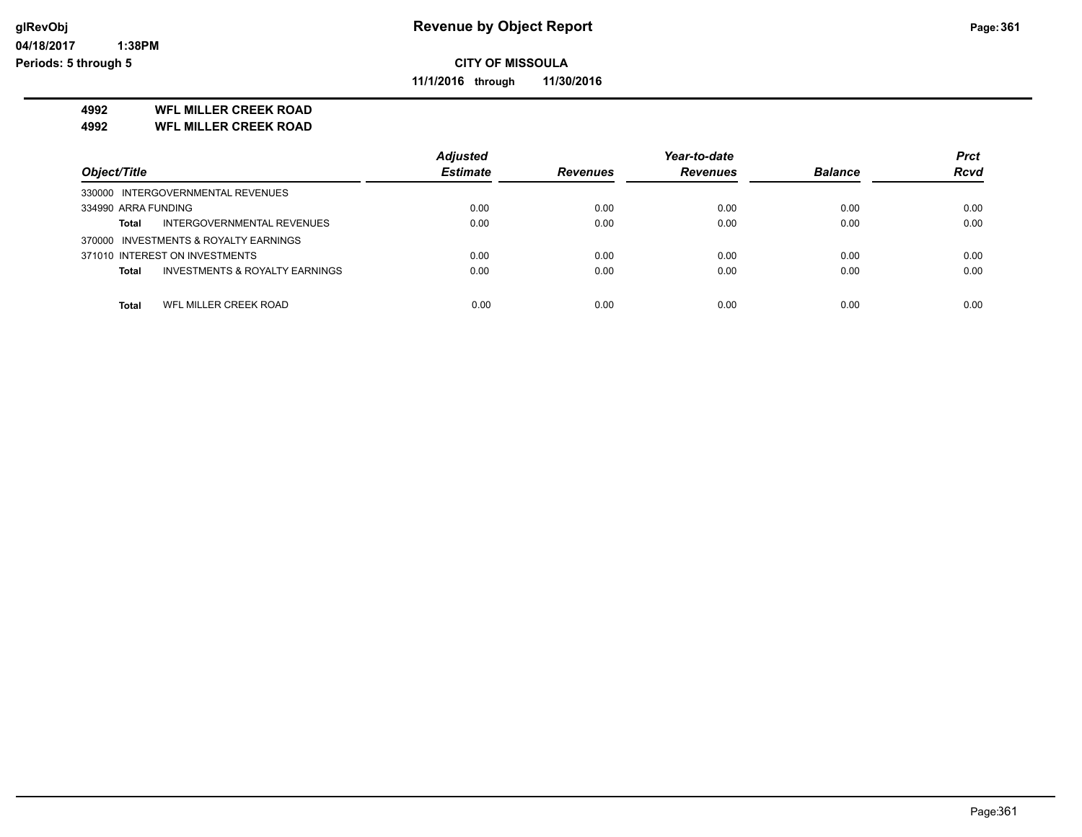**11/1/2016 through 11/30/2016**

**4992 WFL MILLER CREEK ROAD**

**4992 WFL MILLER CREEK ROAD**

|                                         | <b>Adiusted</b> |                 | Year-to-date    |                | <b>Prct</b> |
|-----------------------------------------|-----------------|-----------------|-----------------|----------------|-------------|
| Object/Title                            | <b>Estimate</b> | <b>Revenues</b> | <b>Revenues</b> | <b>Balance</b> | <b>Rcvd</b> |
| 330000 INTERGOVERNMENTAL REVENUES       |                 |                 |                 |                |             |
| 334990 ARRA FUNDING                     | 0.00            | 0.00            | 0.00            | 0.00           | 0.00        |
| INTERGOVERNMENTAL REVENUES<br>Total     | 0.00            | 0.00            | 0.00            | 0.00           | 0.00        |
| 370000 INVESTMENTS & ROYALTY EARNINGS   |                 |                 |                 |                |             |
| 371010 INTEREST ON INVESTMENTS          | 0.00            | 0.00            | 0.00            | 0.00           | 0.00        |
| INVESTMENTS & ROYALTY EARNINGS<br>Total | 0.00            | 0.00            | 0.00            | 0.00           | 0.00        |
|                                         |                 |                 |                 |                |             |
| <b>Total</b><br>WFL MILLER CREEK ROAD   | 0.00            | 0.00            | 0.00            | 0.00           | 0.00        |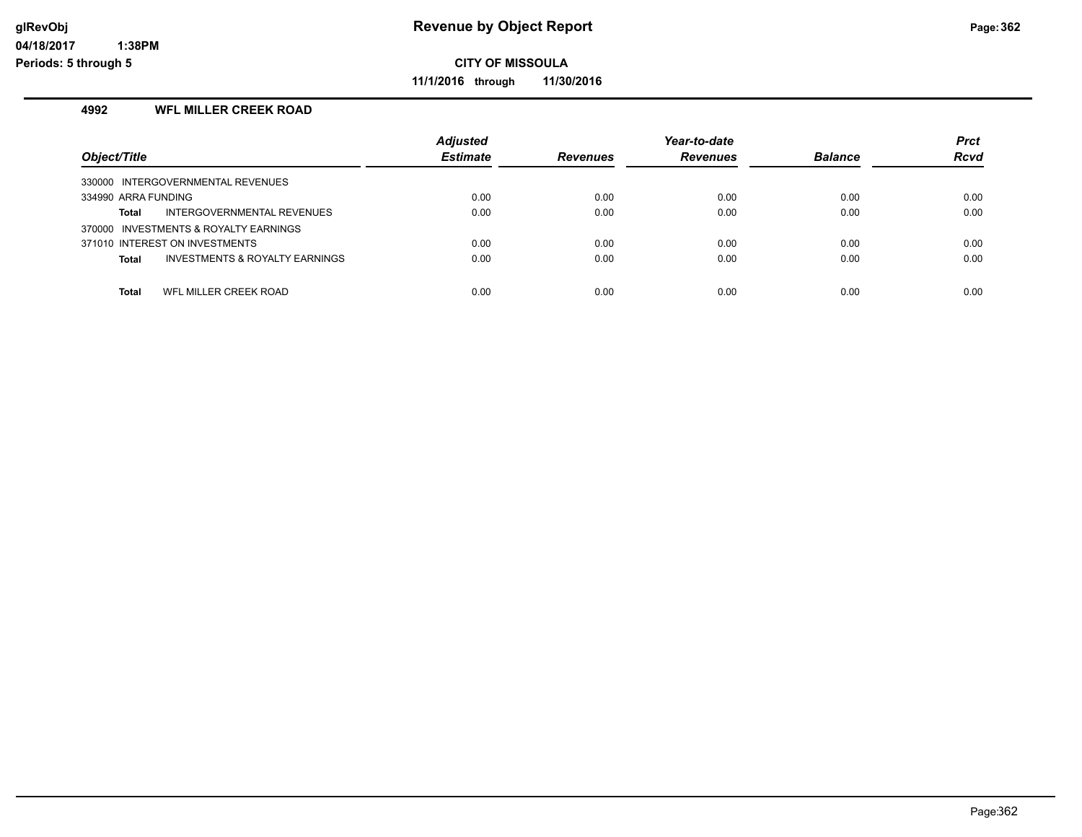**11/1/2016 through 11/30/2016**

#### **4992 WFL MILLER CREEK ROAD**

|                                                | <b>Adjusted</b> |                 | Year-to-date    |                |             |
|------------------------------------------------|-----------------|-----------------|-----------------|----------------|-------------|
| Object/Title                                   | <b>Estimate</b> | <b>Revenues</b> | <b>Revenues</b> | <b>Balance</b> | <b>Rcvd</b> |
| 330000 INTERGOVERNMENTAL REVENUES              |                 |                 |                 |                |             |
| 334990 ARRA FUNDING                            | 0.00            | 0.00            | 0.00            | 0.00           | 0.00        |
| INTERGOVERNMENTAL REVENUES<br>Total            | 0.00            | 0.00            | 0.00            | 0.00           | 0.00        |
| 370000 INVESTMENTS & ROYALTY EARNINGS          |                 |                 |                 |                |             |
| 371010 INTEREST ON INVESTMENTS                 | 0.00            | 0.00            | 0.00            | 0.00           | 0.00        |
| INVESTMENTS & ROYALTY EARNINGS<br><b>Total</b> | 0.00            | 0.00            | 0.00            | 0.00           | 0.00        |
| WFL MILLER CREEK ROAD<br>Total                 | 0.00            | 0.00            | 0.00            | 0.00           | 0.00        |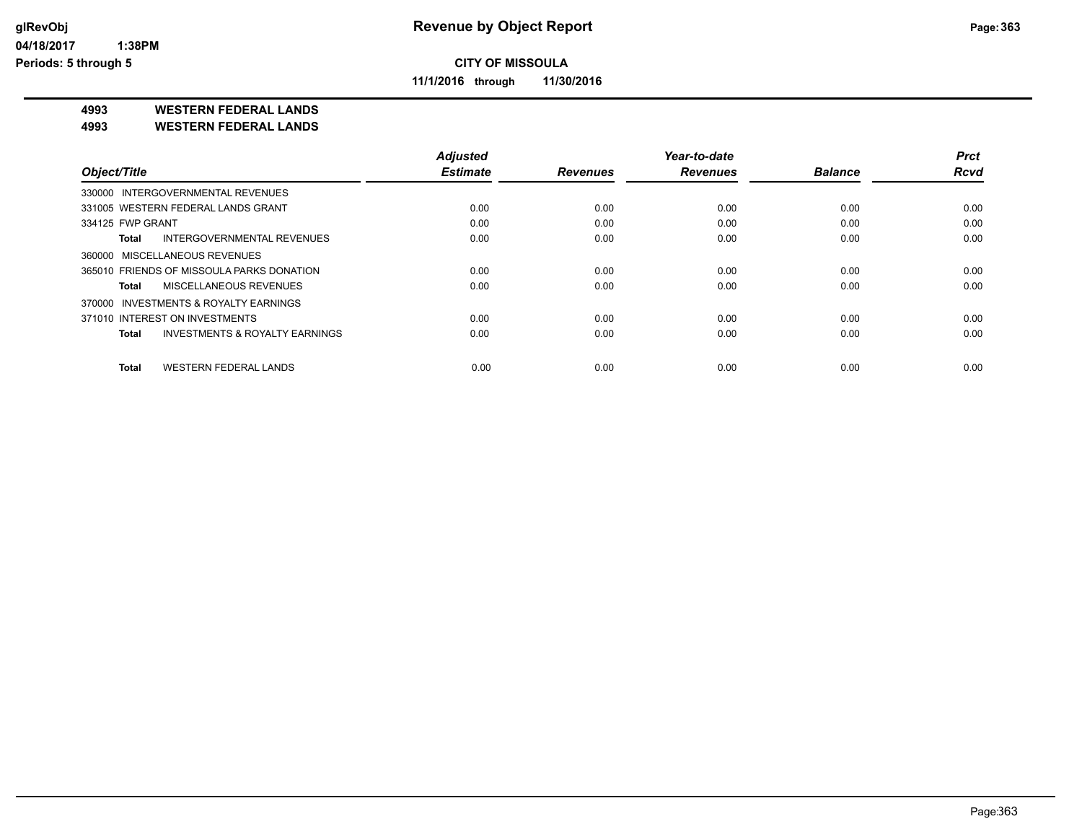**11/1/2016 through 11/30/2016**

**4993 WESTERN FEDERAL LANDS 4993 WESTERN FEDERAL LANDS**

|                                                    | <b>Adjusted</b> |                 | Year-to-date    |                | <b>Prct</b> |
|----------------------------------------------------|-----------------|-----------------|-----------------|----------------|-------------|
| Object/Title                                       | <b>Estimate</b> | <b>Revenues</b> | <b>Revenues</b> | <b>Balance</b> | <b>Rcvd</b> |
| 330000 INTERGOVERNMENTAL REVENUES                  |                 |                 |                 |                |             |
| 331005 WESTERN FEDERAL LANDS GRANT                 | 0.00            | 0.00            | 0.00            | 0.00           | 0.00        |
| 334125 FWP GRANT                                   | 0.00            | 0.00            | 0.00            | 0.00           | 0.00        |
| INTERGOVERNMENTAL REVENUES<br>Total                | 0.00            | 0.00            | 0.00            | 0.00           | 0.00        |
| 360000 MISCELLANEOUS REVENUES                      |                 |                 |                 |                |             |
| 365010 FRIENDS OF MISSOULA PARKS DONATION          | 0.00            | 0.00            | 0.00            | 0.00           | 0.00        |
| MISCELLANEOUS REVENUES<br>Total                    | 0.00            | 0.00            | 0.00            | 0.00           | 0.00        |
| 370000 INVESTMENTS & ROYALTY EARNINGS              |                 |                 |                 |                |             |
| 371010 INTEREST ON INVESTMENTS                     | 0.00            | 0.00            | 0.00            | 0.00           | 0.00        |
| <b>INVESTMENTS &amp; ROYALTY EARNINGS</b><br>Total | 0.00            | 0.00            | 0.00            | 0.00           | 0.00        |
| <b>WESTERN FEDERAL LANDS</b><br><b>Total</b>       | 0.00            | 0.00            | 0.00            | 0.00           | 0.00        |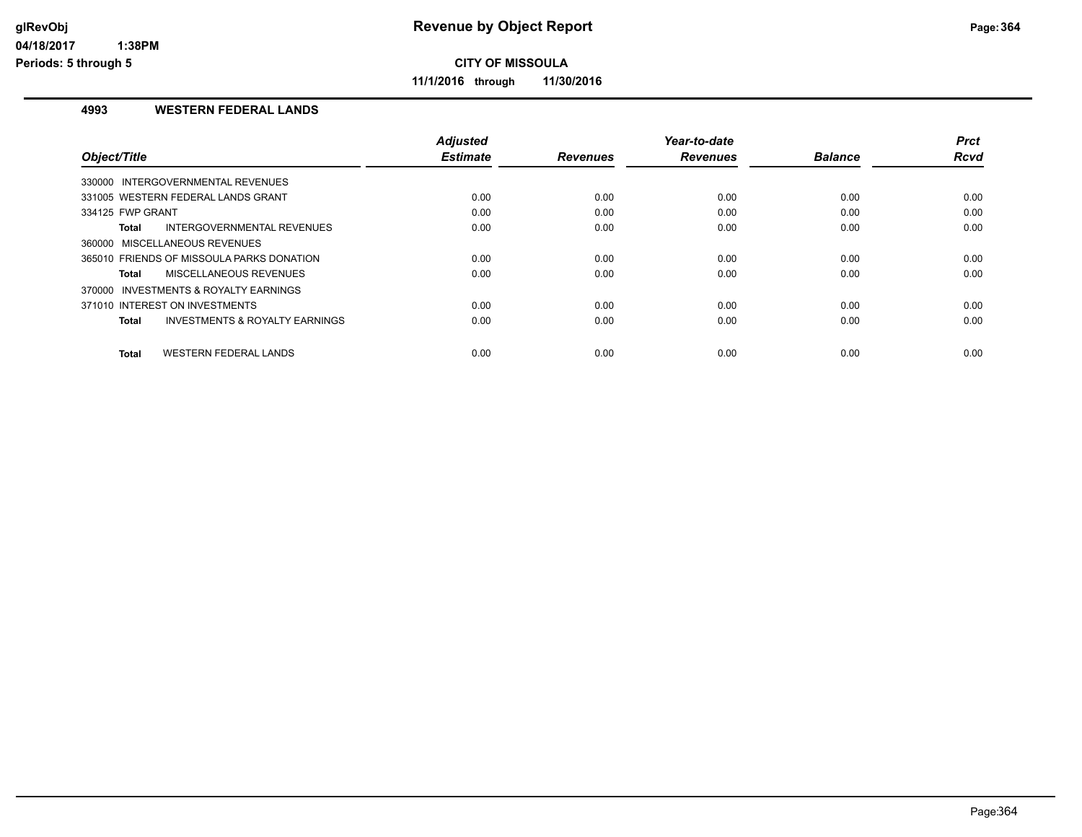**11/1/2016 through 11/30/2016**

#### **4993 WESTERN FEDERAL LANDS**

|                                                    | <b>Adjusted</b> |                 | Year-to-date    |                | <b>Prct</b> |
|----------------------------------------------------|-----------------|-----------------|-----------------|----------------|-------------|
| Object/Title                                       | <b>Estimate</b> | <b>Revenues</b> | <b>Revenues</b> | <b>Balance</b> | <b>Rcvd</b> |
| 330000 INTERGOVERNMENTAL REVENUES                  |                 |                 |                 |                |             |
| 331005 WESTERN FEDERAL LANDS GRANT                 | 0.00            | 0.00            | 0.00            | 0.00           | 0.00        |
| 334125 FWP GRANT                                   | 0.00            | 0.00            | 0.00            | 0.00           | 0.00        |
| INTERGOVERNMENTAL REVENUES<br>Total                | 0.00            | 0.00            | 0.00            | 0.00           | 0.00        |
| 360000 MISCELLANEOUS REVENUES                      |                 |                 |                 |                |             |
| 365010 FRIENDS OF MISSOULA PARKS DONATION          | 0.00            | 0.00            | 0.00            | 0.00           | 0.00        |
| MISCELLANEOUS REVENUES<br>Total                    | 0.00            | 0.00            | 0.00            | 0.00           | 0.00        |
| 370000 INVESTMENTS & ROYALTY EARNINGS              |                 |                 |                 |                |             |
| 371010 INTEREST ON INVESTMENTS                     | 0.00            | 0.00            | 0.00            | 0.00           | 0.00        |
| <b>INVESTMENTS &amp; ROYALTY EARNINGS</b><br>Total | 0.00            | 0.00            | 0.00            | 0.00           | 0.00        |
| <b>WESTERN FEDERAL LANDS</b><br><b>Total</b>       | 0.00            | 0.00            | 0.00            | 0.00           | 0.00        |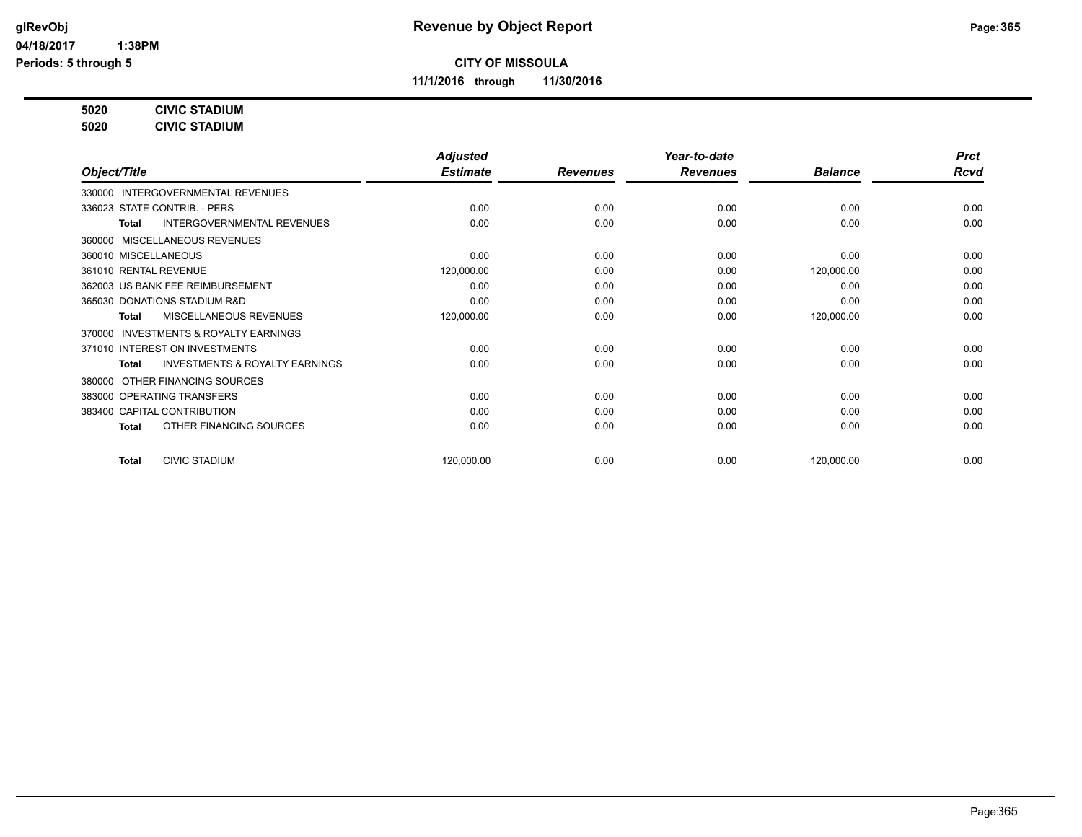**11/1/2016 through 11/30/2016**

**5020 CIVIC STADIUM 5020 CIVIC STADIUM**

|                                                           | <b>Adjusted</b> |                 | Year-to-date    |                | <b>Prct</b> |
|-----------------------------------------------------------|-----------------|-----------------|-----------------|----------------|-------------|
| Object/Title                                              | <b>Estimate</b> | <b>Revenues</b> | <b>Revenues</b> | <b>Balance</b> | <b>Rcvd</b> |
| <b>INTERGOVERNMENTAL REVENUES</b><br>330000               |                 |                 |                 |                |             |
| 336023 STATE CONTRIB. - PERS                              | 0.00            | 0.00            | 0.00            | 0.00           | 0.00        |
| INTERGOVERNMENTAL REVENUES<br><b>Total</b>                | 0.00            | 0.00            | 0.00            | 0.00           | 0.00        |
| MISCELLANEOUS REVENUES<br>360000                          |                 |                 |                 |                |             |
| 360010 MISCELLANEOUS                                      | 0.00            | 0.00            | 0.00            | 0.00           | 0.00        |
| 361010 RENTAL REVENUE                                     | 120,000.00      | 0.00            | 0.00            | 120,000.00     | 0.00        |
| 362003 US BANK FEE REIMBURSEMENT                          | 0.00            | 0.00            | 0.00            | 0.00           | 0.00        |
| 365030 DONATIONS STADIUM R&D                              | 0.00            | 0.00            | 0.00            | 0.00           | 0.00        |
| <b>MISCELLANEOUS REVENUES</b><br><b>Total</b>             | 120,000.00      | 0.00            | 0.00            | 120,000.00     | 0.00        |
| <b>INVESTMENTS &amp; ROYALTY EARNINGS</b><br>370000       |                 |                 |                 |                |             |
| 371010 INTEREST ON INVESTMENTS                            | 0.00            | 0.00            | 0.00            | 0.00           | 0.00        |
| <b>INVESTMENTS &amp; ROYALTY EARNINGS</b><br><b>Total</b> | 0.00            | 0.00            | 0.00            | 0.00           | 0.00        |
| OTHER FINANCING SOURCES<br>380000                         |                 |                 |                 |                |             |
| 383000 OPERATING TRANSFERS                                | 0.00            | 0.00            | 0.00            | 0.00           | 0.00        |
| 383400 CAPITAL CONTRIBUTION                               | 0.00            | 0.00            | 0.00            | 0.00           | 0.00        |
| OTHER FINANCING SOURCES<br><b>Total</b>                   | 0.00            | 0.00            | 0.00            | 0.00           | 0.00        |
| <b>CIVIC STADIUM</b><br><b>Total</b>                      | 120,000.00      | 0.00            | 0.00            | 120,000.00     | 0.00        |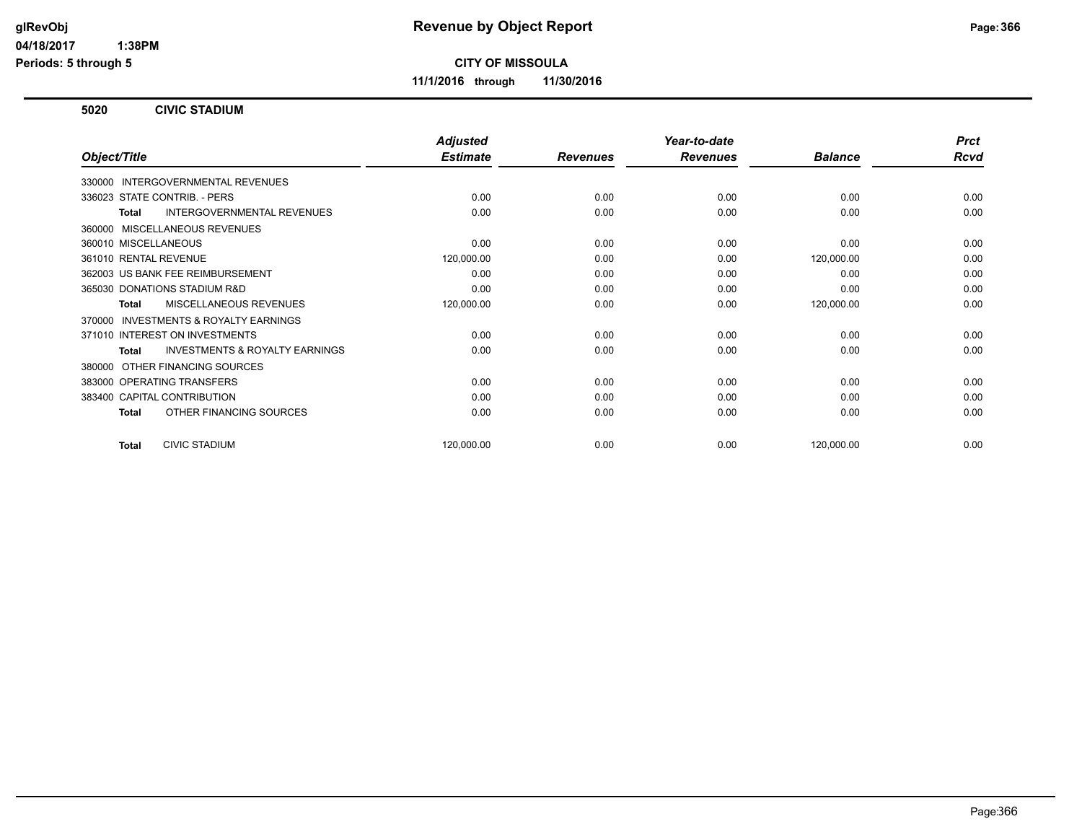**11/1/2016 through 11/30/2016**

#### **5020 CIVIC STADIUM**

|                                                     | <b>Adjusted</b> |                 | Year-to-date    |                | <b>Prct</b> |
|-----------------------------------------------------|-----------------|-----------------|-----------------|----------------|-------------|
| Object/Title                                        | <b>Estimate</b> | <b>Revenues</b> | <b>Revenues</b> | <b>Balance</b> | <b>Rcvd</b> |
| INTERGOVERNMENTAL REVENUES<br>330000                |                 |                 |                 |                |             |
| 336023 STATE CONTRIB. - PERS                        | 0.00            | 0.00            | 0.00            | 0.00           | 0.00        |
| <b>INTERGOVERNMENTAL REVENUES</b><br><b>Total</b>   | 0.00            | 0.00            | 0.00            | 0.00           | 0.00        |
| 360000 MISCELLANEOUS REVENUES                       |                 |                 |                 |                |             |
| 360010 MISCELLANEOUS                                | 0.00            | 0.00            | 0.00            | 0.00           | 0.00        |
| 361010 RENTAL REVENUE                               | 120,000.00      | 0.00            | 0.00            | 120,000.00     | 0.00        |
| 362003 US BANK FEE REIMBURSEMENT                    | 0.00            | 0.00            | 0.00            | 0.00           | 0.00        |
| 365030 DONATIONS STADIUM R&D                        | 0.00            | 0.00            | 0.00            | 0.00           | 0.00        |
| <b>MISCELLANEOUS REVENUES</b><br>Total              | 120,000.00      | 0.00            | 0.00            | 120,000.00     | 0.00        |
| <b>INVESTMENTS &amp; ROYALTY EARNINGS</b><br>370000 |                 |                 |                 |                |             |
| 371010 INTEREST ON INVESTMENTS                      | 0.00            | 0.00            | 0.00            | 0.00           | 0.00        |
| <b>INVESTMENTS &amp; ROYALTY EARNINGS</b><br>Total  | 0.00            | 0.00            | 0.00            | 0.00           | 0.00        |
| OTHER FINANCING SOURCES<br>380000                   |                 |                 |                 |                |             |
| 383000 OPERATING TRANSFERS                          | 0.00            | 0.00            | 0.00            | 0.00           | 0.00        |
| 383400 CAPITAL CONTRIBUTION                         | 0.00            | 0.00            | 0.00            | 0.00           | 0.00        |
| OTHER FINANCING SOURCES<br><b>Total</b>             | 0.00            | 0.00            | 0.00            | 0.00           | 0.00        |
| <b>CIVIC STADIUM</b><br><b>Total</b>                | 120,000.00      | 0.00            | 0.00            | 120,000.00     | 0.00        |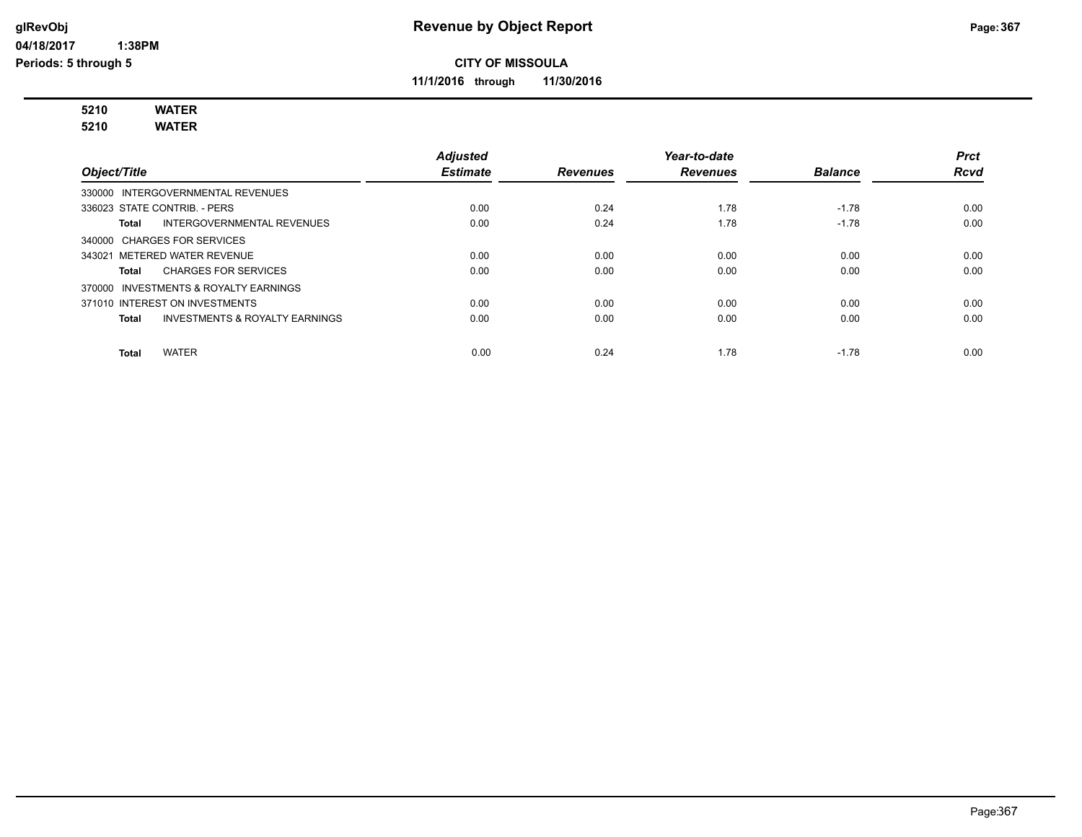### **CITY OF MISSOULA 11/1/2016 through 11/30/2016**

**5210 WATER**

**5210 WATER**

|                                            | <b>Adjusted</b> |                 | Year-to-date    |                | <b>Prct</b> |
|--------------------------------------------|-----------------|-----------------|-----------------|----------------|-------------|
| Object/Title                               | <b>Estimate</b> | <b>Revenues</b> | <b>Revenues</b> | <b>Balance</b> | <b>Rcvd</b> |
| 330000 INTERGOVERNMENTAL REVENUES          |                 |                 |                 |                |             |
| 336023 STATE CONTRIB. - PERS               | 0.00            | 0.24            | 1.78            | $-1.78$        | 0.00        |
| <b>INTERGOVERNMENTAL REVENUES</b><br>Total | 0.00            | 0.24            | 1.78            | $-1.78$        | 0.00        |
| 340000 CHARGES FOR SERVICES                |                 |                 |                 |                |             |
| 343021 METERED WATER REVENUE               | 0.00            | 0.00            | 0.00            | 0.00           | 0.00        |
| <b>CHARGES FOR SERVICES</b><br>Total       | 0.00            | 0.00            | 0.00            | 0.00           | 0.00        |
| 370000 INVESTMENTS & ROYALTY EARNINGS      |                 |                 |                 |                |             |
| 371010 INTEREST ON INVESTMENTS             | 0.00            | 0.00            | 0.00            | 0.00           | 0.00        |
| INVESTMENTS & ROYALTY EARNINGS<br>Total    | 0.00            | 0.00            | 0.00            | 0.00           | 0.00        |
|                                            |                 |                 |                 |                |             |
| <b>WATER</b><br>Total                      | 0.00            | 0.24            | 1.78            | $-1.78$        | 0.00        |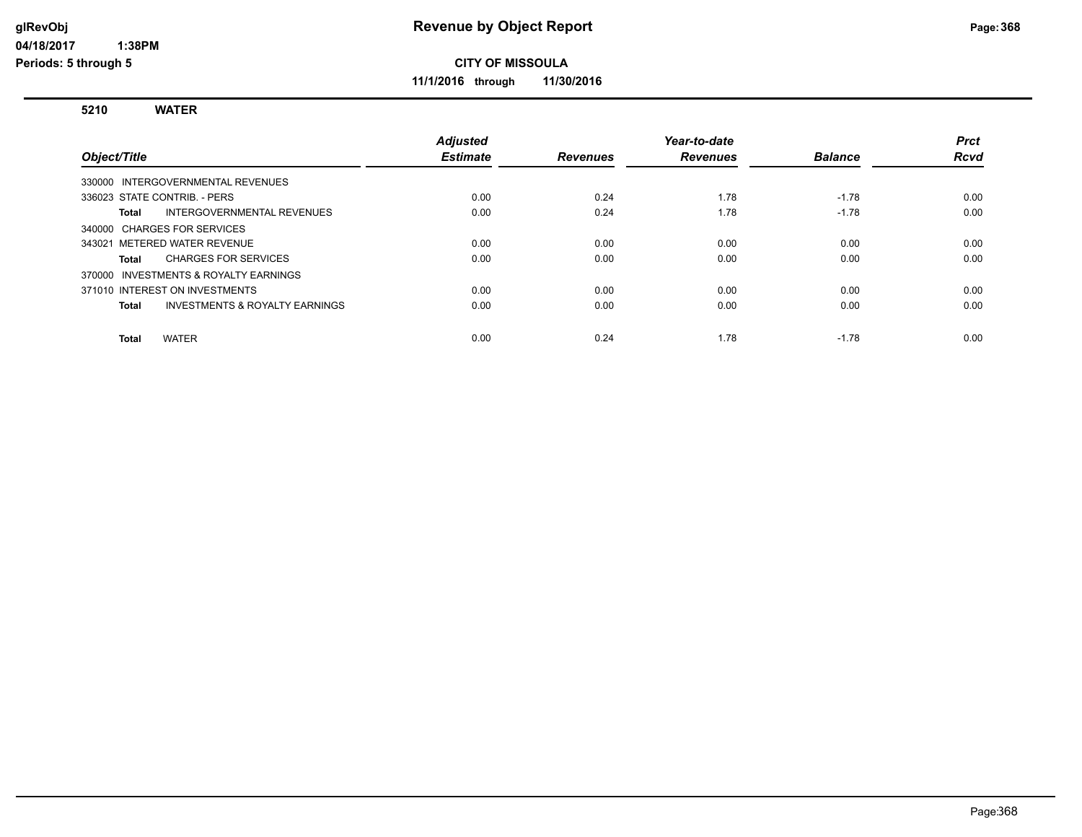**11/1/2016 through 11/30/2016**

#### **5210 WATER**

| Object/Title                            | Adjusted<br><b>Estimate</b> | <b>Revenues</b> | Year-to-date<br><b>Revenues</b> | <b>Balance</b> | <b>Prct</b><br><b>Rcvd</b> |
|-----------------------------------------|-----------------------------|-----------------|---------------------------------|----------------|----------------------------|
| 330000 INTERGOVERNMENTAL REVENUES       |                             |                 |                                 |                |                            |
| 336023 STATE CONTRIB. - PERS            | 0.00                        | 0.24            | 1.78                            | $-1.78$        | 0.00                       |
| INTERGOVERNMENTAL REVENUES<br>Total     | 0.00                        | 0.24            | 1.78                            | $-1.78$        | 0.00                       |
| 340000 CHARGES FOR SERVICES             |                             |                 |                                 |                |                            |
| 343021 METERED WATER REVENUE            | 0.00                        | 0.00            | 0.00                            | 0.00           | 0.00                       |
| <b>CHARGES FOR SERVICES</b><br>Total    | 0.00                        | 0.00            | 0.00                            | 0.00           | 0.00                       |
| 370000 INVESTMENTS & ROYALTY EARNINGS   |                             |                 |                                 |                |                            |
| 371010 INTEREST ON INVESTMENTS          | 0.00                        | 0.00            | 0.00                            | 0.00           | 0.00                       |
| INVESTMENTS & ROYALTY EARNINGS<br>Total | 0.00                        | 0.00            | 0.00                            | 0.00           | 0.00                       |
| <b>WATER</b><br><b>Total</b>            | 0.00                        | 0.24            | 1.78                            | $-1.78$        | 0.00                       |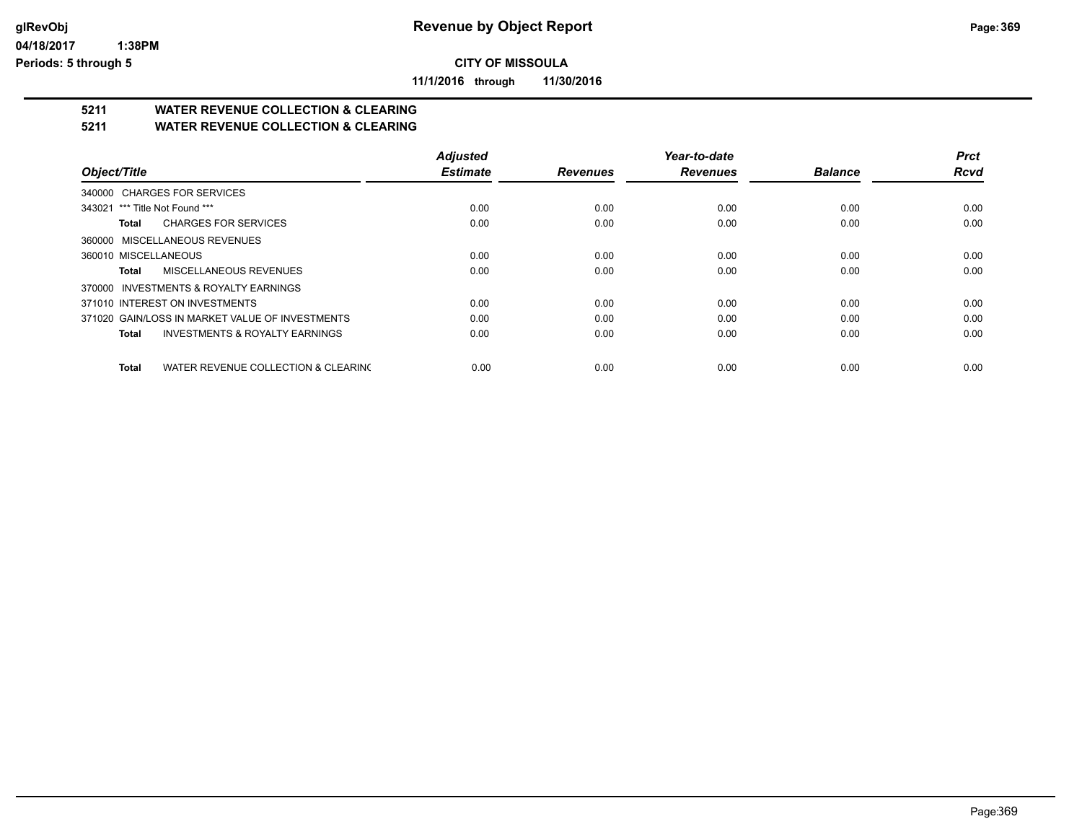**11/1/2016 through 11/30/2016**

#### **5211 WATER REVENUE COLLECTION & CLEARING 5211 WATER REVENUE COLLECTION & CLEARING**

|                                                    | <b>Adjusted</b> |                 | Year-to-date    |                | <b>Prct</b> |
|----------------------------------------------------|-----------------|-----------------|-----------------|----------------|-------------|
| Object/Title                                       | <b>Estimate</b> | <b>Revenues</b> | <b>Revenues</b> | <b>Balance</b> | <b>Rcvd</b> |
| 340000 CHARGES FOR SERVICES                        |                 |                 |                 |                |             |
| 343021 *** Title Not Found ***                     | 0.00            | 0.00            | 0.00            | 0.00           | 0.00        |
| <b>CHARGES FOR SERVICES</b><br>Total               | 0.00            | 0.00            | 0.00            | 0.00           | 0.00        |
| MISCELLANEOUS REVENUES<br>360000                   |                 |                 |                 |                |             |
| 360010 MISCELLANEOUS                               | 0.00            | 0.00            | 0.00            | 0.00           | 0.00        |
| <b>MISCELLANEOUS REVENUES</b><br>Total             | 0.00            | 0.00            | 0.00            | 0.00           | 0.00        |
| INVESTMENTS & ROYALTY EARNINGS<br>370000           |                 |                 |                 |                |             |
| 371010 INTEREST ON INVESTMENTS                     | 0.00            | 0.00            | 0.00            | 0.00           | 0.00        |
| 371020 GAIN/LOSS IN MARKET VALUE OF INVESTMENTS    | 0.00            | 0.00            | 0.00            | 0.00           | 0.00        |
| <b>INVESTMENTS &amp; ROYALTY EARNINGS</b><br>Total | 0.00            | 0.00            | 0.00            | 0.00           | 0.00        |
| WATER REVENUE COLLECTION & CLEARING<br>Total       | 0.00            | 0.00            | 0.00            | 0.00           | 0.00        |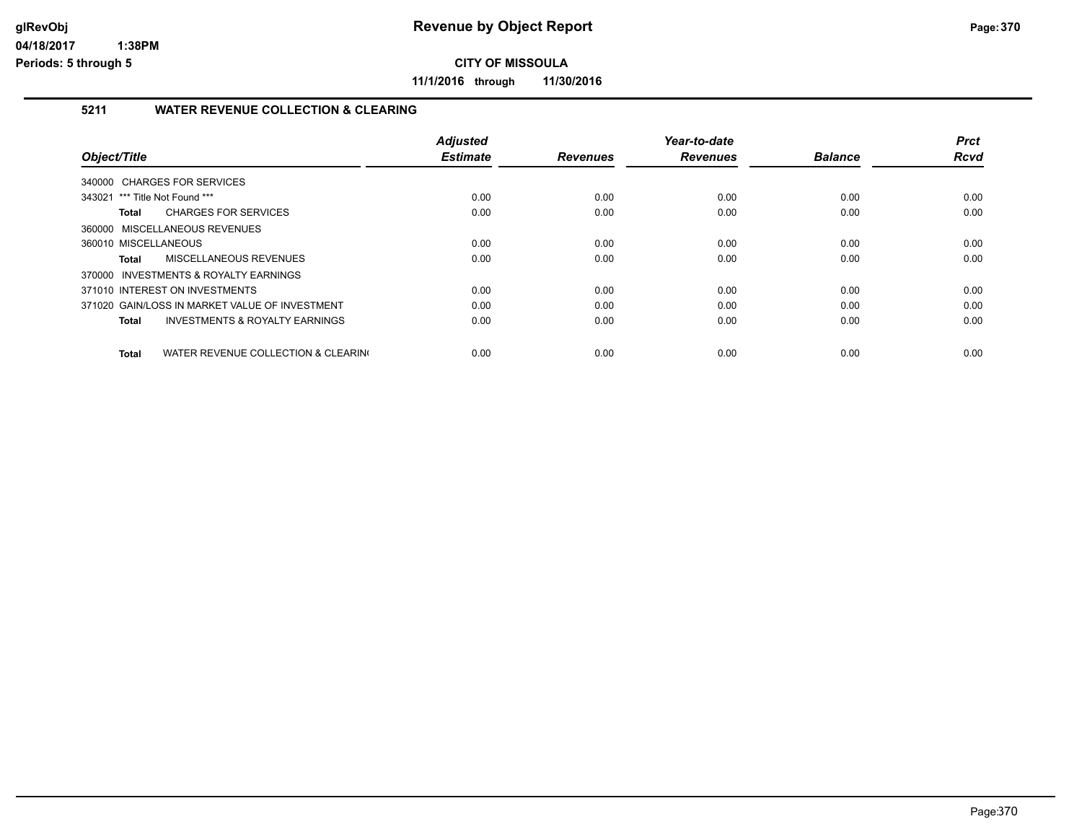**11/1/2016 through 11/30/2016**

#### **5211 WATER REVENUE COLLECTION & CLEARING**

|                                                     | <b>Adjusted</b> |                 | Year-to-date    |                | <b>Prct</b> |
|-----------------------------------------------------|-----------------|-----------------|-----------------|----------------|-------------|
| Object/Title                                        | <b>Estimate</b> | <b>Revenues</b> | <b>Revenues</b> | <b>Balance</b> | <b>Rcvd</b> |
| 340000 CHARGES FOR SERVICES                         |                 |                 |                 |                |             |
| 343021 *** Title Not Found ***                      | 0.00            | 0.00            | 0.00            | 0.00           | 0.00        |
| <b>CHARGES FOR SERVICES</b><br><b>Total</b>         | 0.00            | 0.00            | 0.00            | 0.00           | 0.00        |
| 360000 MISCELLANEOUS REVENUES                       |                 |                 |                 |                |             |
| 360010 MISCELLANEOUS                                | 0.00            | 0.00            | 0.00            | 0.00           | 0.00        |
| <b>MISCELLANEOUS REVENUES</b><br>Total              | 0.00            | 0.00            | 0.00            | 0.00           | 0.00        |
| 370000 INVESTMENTS & ROYALTY EARNINGS               |                 |                 |                 |                |             |
| 371010 INTEREST ON INVESTMENTS                      | 0.00            | 0.00            | 0.00            | 0.00           | 0.00        |
| 371020 GAIN/LOSS IN MARKET VALUE OF INVESTMENT      | 0.00            | 0.00            | 0.00            | 0.00           | 0.00        |
| <b>INVESTMENTS &amp; ROYALTY EARNINGS</b><br>Total  | 0.00            | 0.00            | 0.00            | 0.00           | 0.00        |
| WATER REVENUE COLLECTION & CLEARING<br><b>Total</b> | 0.00            | 0.00            | 0.00            | 0.00           | 0.00        |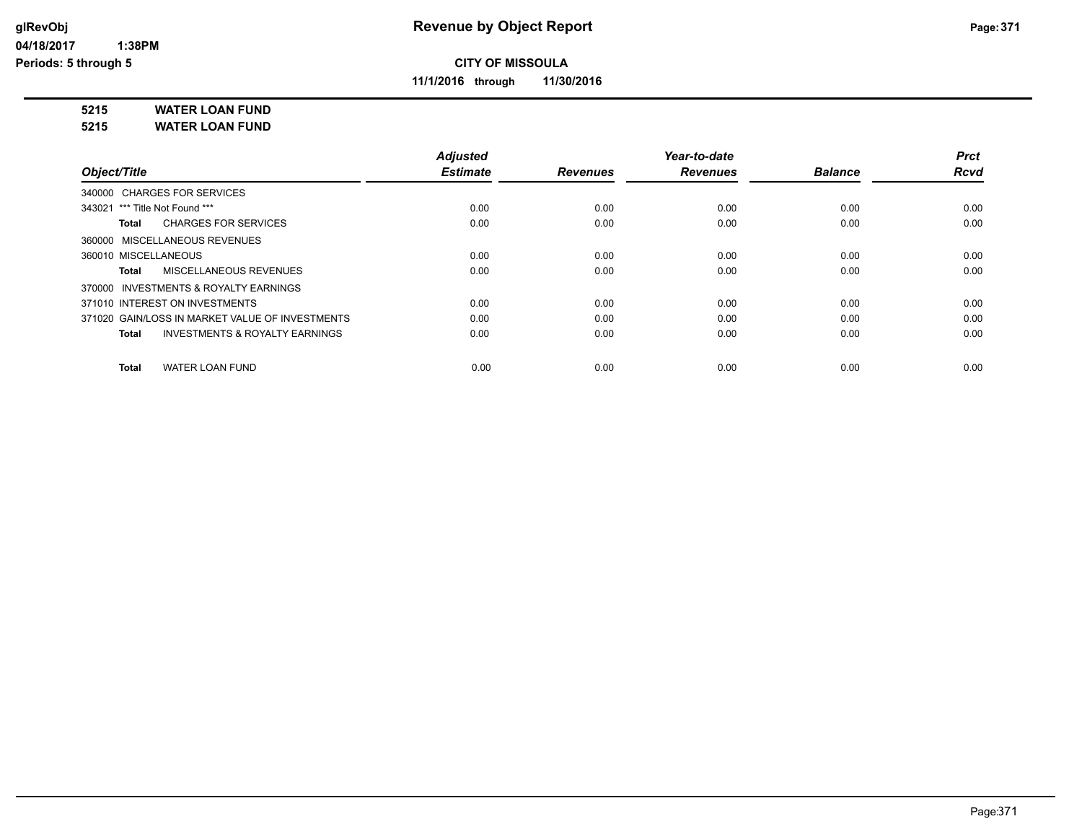**CITY OF MISSOULA 11/1/2016 through 11/30/2016**

**5215 WATER LOAN FUND**

**5215 WATER LOAN FUND**

|                                                    | <b>Adjusted</b> |                 | Year-to-date    |                | <b>Prct</b> |
|----------------------------------------------------|-----------------|-----------------|-----------------|----------------|-------------|
| Object/Title                                       | <b>Estimate</b> | <b>Revenues</b> | <b>Revenues</b> | <b>Balance</b> | <b>Rcvd</b> |
| 340000 CHARGES FOR SERVICES                        |                 |                 |                 |                |             |
| 343021 *** Title Not Found ***                     | 0.00            | 0.00            | 0.00            | 0.00           | 0.00        |
| <b>CHARGES FOR SERVICES</b><br>Total               | 0.00            | 0.00            | 0.00            | 0.00           | 0.00        |
| 360000 MISCELLANEOUS REVENUES                      |                 |                 |                 |                |             |
| 360010 MISCELLANEOUS                               | 0.00            | 0.00            | 0.00            | 0.00           | 0.00        |
| <b>MISCELLANEOUS REVENUES</b><br>Total             | 0.00            | 0.00            | 0.00            | 0.00           | 0.00        |
| 370000 INVESTMENTS & ROYALTY EARNINGS              |                 |                 |                 |                |             |
| 371010 INTEREST ON INVESTMENTS                     | 0.00            | 0.00            | 0.00            | 0.00           | 0.00        |
| 371020 GAIN/LOSS IN MARKET VALUE OF INVESTMENTS    | 0.00            | 0.00            | 0.00            | 0.00           | 0.00        |
| <b>INVESTMENTS &amp; ROYALTY EARNINGS</b><br>Total | 0.00            | 0.00            | 0.00            | 0.00           | 0.00        |
| <b>WATER LOAN FUND</b><br><b>Total</b>             | 0.00            | 0.00            | 0.00            | 0.00           | 0.00        |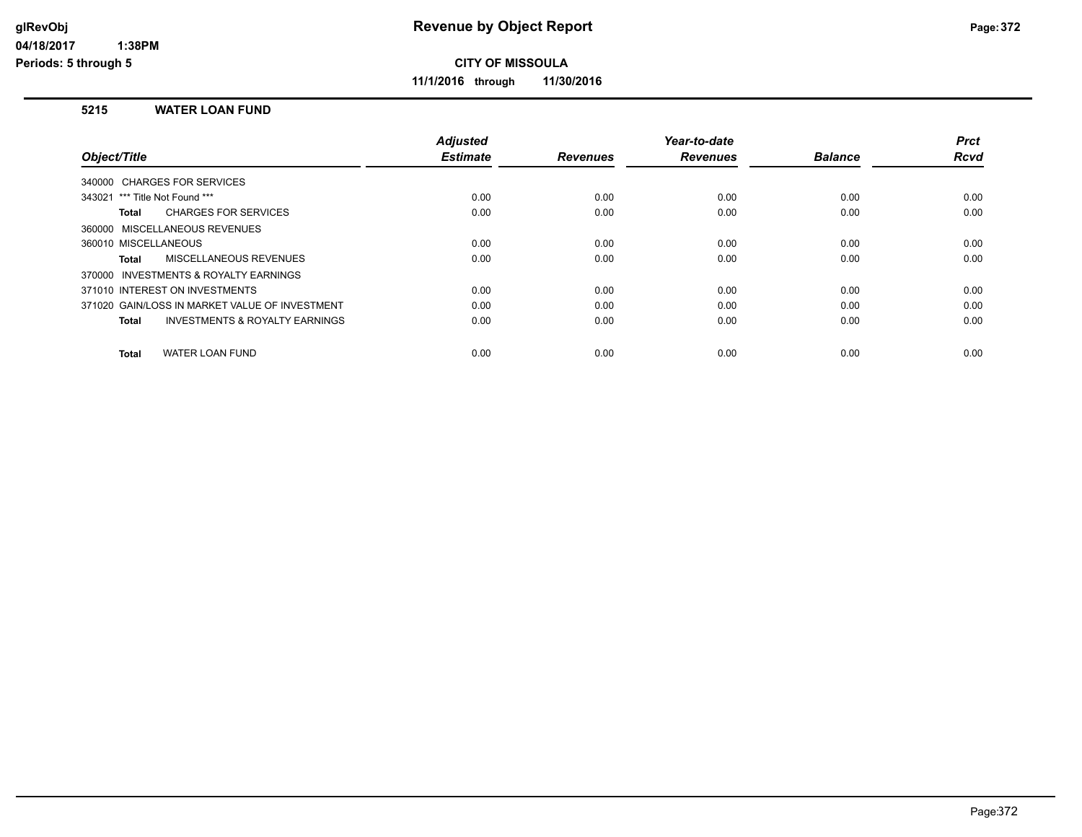**11/1/2016 through 11/30/2016**

#### **5215 WATER LOAN FUND**

|                                                | <b>Adjusted</b> |                 | Year-to-date    |                | <b>Prct</b> |
|------------------------------------------------|-----------------|-----------------|-----------------|----------------|-------------|
| Object/Title                                   | <b>Estimate</b> | <b>Revenues</b> | <b>Revenues</b> | <b>Balance</b> | <b>Rcvd</b> |
| <b>CHARGES FOR SERVICES</b><br>340000          |                 |                 |                 |                |             |
| 343021 *** Title Not Found ***                 | 0.00            | 0.00            | 0.00            | 0.00           | 0.00        |
| <b>CHARGES FOR SERVICES</b><br><b>Total</b>    | 0.00            | 0.00            | 0.00            | 0.00           | 0.00        |
| 360000 MISCELLANEOUS REVENUES                  |                 |                 |                 |                |             |
| 360010 MISCELLANEOUS                           | 0.00            | 0.00            | 0.00            | 0.00           | 0.00        |
| MISCELLANEOUS REVENUES<br>Total                | 0.00            | 0.00            | 0.00            | 0.00           | 0.00        |
| 370000 INVESTMENTS & ROYALTY EARNINGS          |                 |                 |                 |                |             |
| 371010 INTEREST ON INVESTMENTS                 | 0.00            | 0.00            | 0.00            | 0.00           | 0.00        |
| 371020 GAIN/LOSS IN MARKET VALUE OF INVESTMENT | 0.00            | 0.00            | 0.00            | 0.00           | 0.00        |
| INVESTMENTS & ROYALTY EARNINGS<br><b>Total</b> | 0.00            | 0.00            | 0.00            | 0.00           | 0.00        |
| <b>WATER LOAN FUND</b><br><b>Total</b>         | 0.00            | 0.00            | 0.00            | 0.00           | 0.00        |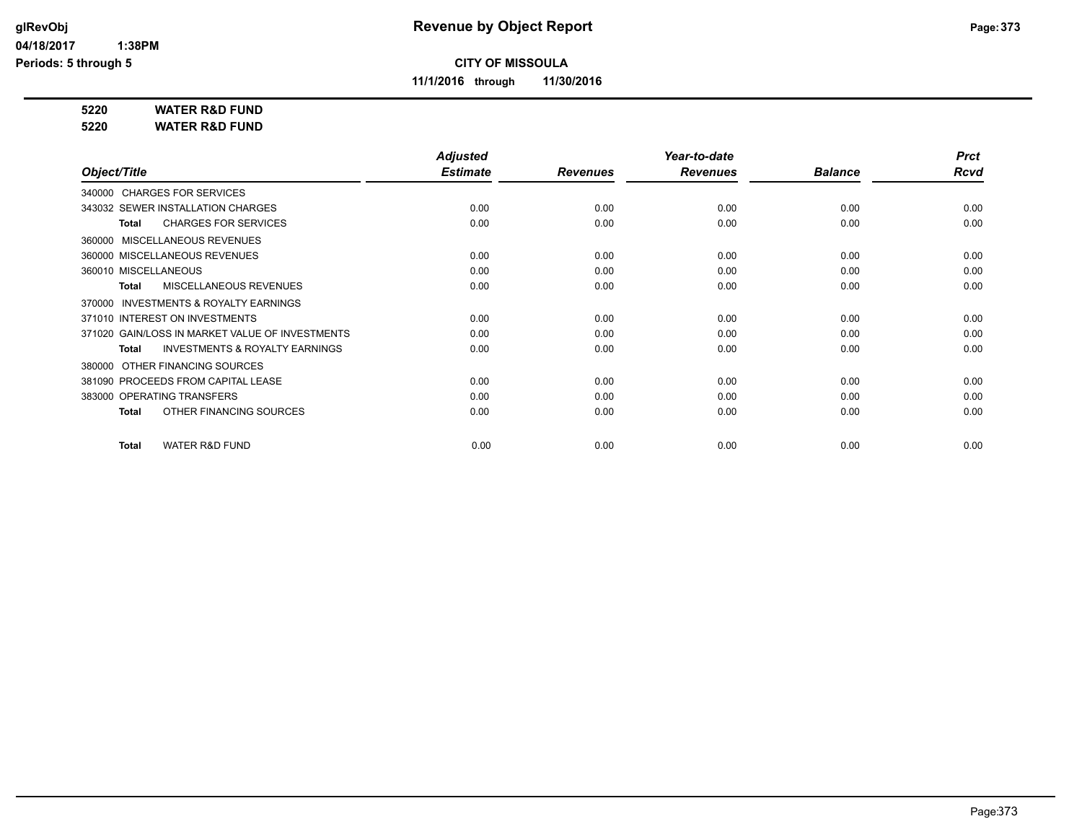**11/1/2016 through 11/30/2016**

**5220 WATER R&D FUND 5220 WATER R&D FUND**

|                                                           | <b>Adjusted</b> |                 | Year-to-date    |                | <b>Prct</b> |
|-----------------------------------------------------------|-----------------|-----------------|-----------------|----------------|-------------|
| Object/Title                                              | <b>Estimate</b> | <b>Revenues</b> | <b>Revenues</b> | <b>Balance</b> | <b>Rcvd</b> |
| <b>CHARGES FOR SERVICES</b><br>340000                     |                 |                 |                 |                |             |
| 343032 SEWER INSTALLATION CHARGES                         | 0.00            | 0.00            | 0.00            | 0.00           | 0.00        |
| <b>CHARGES FOR SERVICES</b><br><b>Total</b>               | 0.00            | 0.00            | 0.00            | 0.00           | 0.00        |
| <b>MISCELLANEOUS REVENUES</b><br>360000                   |                 |                 |                 |                |             |
| 360000 MISCELLANEOUS REVENUES                             | 0.00            | 0.00            | 0.00            | 0.00           | 0.00        |
| 360010 MISCELLANEOUS                                      | 0.00            | 0.00            | 0.00            | 0.00           | 0.00        |
| MISCELLANEOUS REVENUES<br><b>Total</b>                    | 0.00            | 0.00            | 0.00            | 0.00           | 0.00        |
| <b>INVESTMENTS &amp; ROYALTY EARNINGS</b><br>370000       |                 |                 |                 |                |             |
| 371010 INTEREST ON INVESTMENTS                            | 0.00            | 0.00            | 0.00            | 0.00           | 0.00        |
| 371020 GAIN/LOSS IN MARKET VALUE OF INVESTMENTS           | 0.00            | 0.00            | 0.00            | 0.00           | 0.00        |
| <b>INVESTMENTS &amp; ROYALTY EARNINGS</b><br><b>Total</b> | 0.00            | 0.00            | 0.00            | 0.00           | 0.00        |
| OTHER FINANCING SOURCES<br>380000                         |                 |                 |                 |                |             |
| 381090 PROCEEDS FROM CAPITAL LEASE                        | 0.00            | 0.00            | 0.00            | 0.00           | 0.00        |
| 383000 OPERATING TRANSFERS                                | 0.00            | 0.00            | 0.00            | 0.00           | 0.00        |
| OTHER FINANCING SOURCES<br><b>Total</b>                   | 0.00            | 0.00            | 0.00            | 0.00           | 0.00        |
|                                                           |                 |                 |                 |                |             |
| <b>WATER R&amp;D FUND</b><br>Total                        | 0.00            | 0.00            | 0.00            | 0.00           | 0.00        |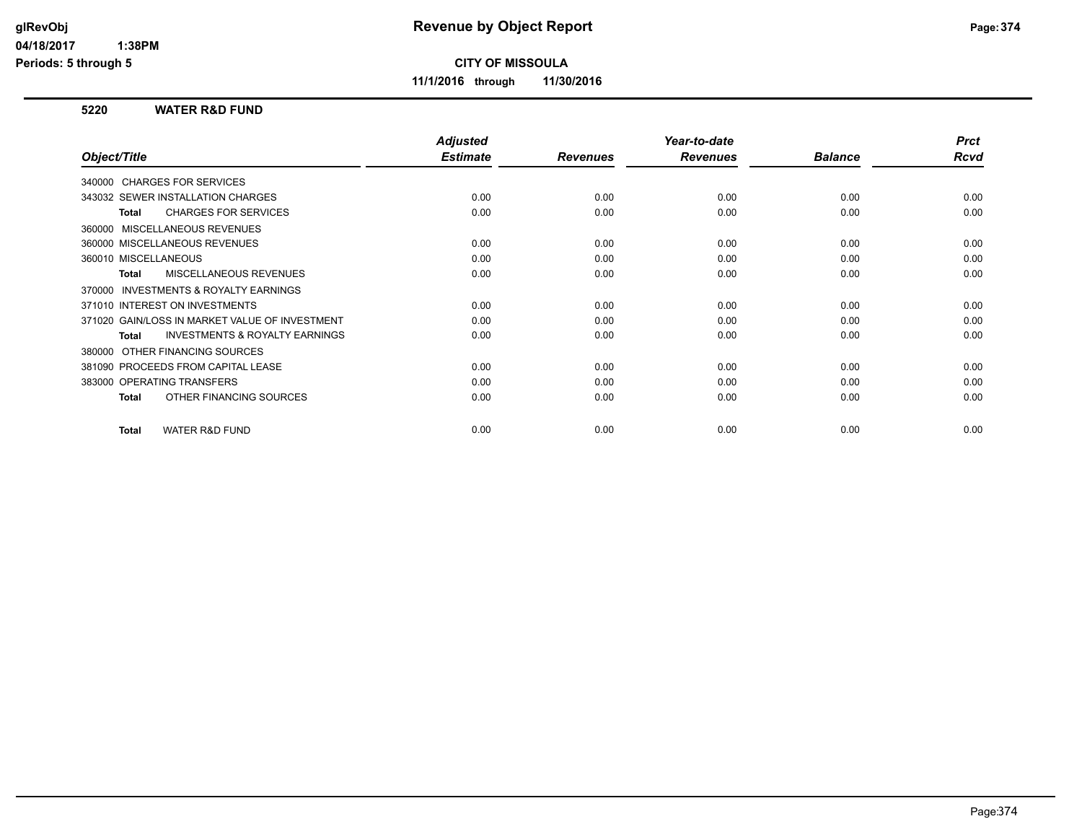**11/1/2016 through 11/30/2016**

#### **5220 WATER R&D FUND**

|                                                     | <b>Adjusted</b> |                 | Year-to-date    |                | <b>Prct</b> |
|-----------------------------------------------------|-----------------|-----------------|-----------------|----------------|-------------|
| Object/Title                                        | <b>Estimate</b> | <b>Revenues</b> | <b>Revenues</b> | <b>Balance</b> | <b>Rcvd</b> |
| 340000 CHARGES FOR SERVICES                         |                 |                 |                 |                |             |
| 343032 SEWER INSTALLATION CHARGES                   | 0.00            | 0.00            | 0.00            | 0.00           | 0.00        |
| <b>CHARGES FOR SERVICES</b><br>Total                | 0.00            | 0.00            | 0.00            | 0.00           | 0.00        |
| 360000 MISCELLANEOUS REVENUES                       |                 |                 |                 |                |             |
| 360000 MISCELLANEOUS REVENUES                       | 0.00            | 0.00            | 0.00            | 0.00           | 0.00        |
| 360010 MISCELLANEOUS                                | 0.00            | 0.00            | 0.00            | 0.00           | 0.00        |
| <b>MISCELLANEOUS REVENUES</b><br><b>Total</b>       | 0.00            | 0.00            | 0.00            | 0.00           | 0.00        |
| <b>INVESTMENTS &amp; ROYALTY EARNINGS</b><br>370000 |                 |                 |                 |                |             |
| 371010 INTEREST ON INVESTMENTS                      | 0.00            | 0.00            | 0.00            | 0.00           | 0.00        |
| 371020 GAIN/LOSS IN MARKET VALUE OF INVESTMENT      | 0.00            | 0.00            | 0.00            | 0.00           | 0.00        |
| <b>INVESTMENTS &amp; ROYALTY EARNINGS</b><br>Total  | 0.00            | 0.00            | 0.00            | 0.00           | 0.00        |
| 380000 OTHER FINANCING SOURCES                      |                 |                 |                 |                |             |
| 381090 PROCEEDS FROM CAPITAL LEASE                  | 0.00            | 0.00            | 0.00            | 0.00           | 0.00        |
| 383000 OPERATING TRANSFERS                          | 0.00            | 0.00            | 0.00            | 0.00           | 0.00        |
| OTHER FINANCING SOURCES<br><b>Total</b>             | 0.00            | 0.00            | 0.00            | 0.00           | 0.00        |
|                                                     |                 |                 |                 |                |             |
| <b>WATER R&amp;D FUND</b><br><b>Total</b>           | 0.00            | 0.00            | 0.00            | 0.00           | 0.00        |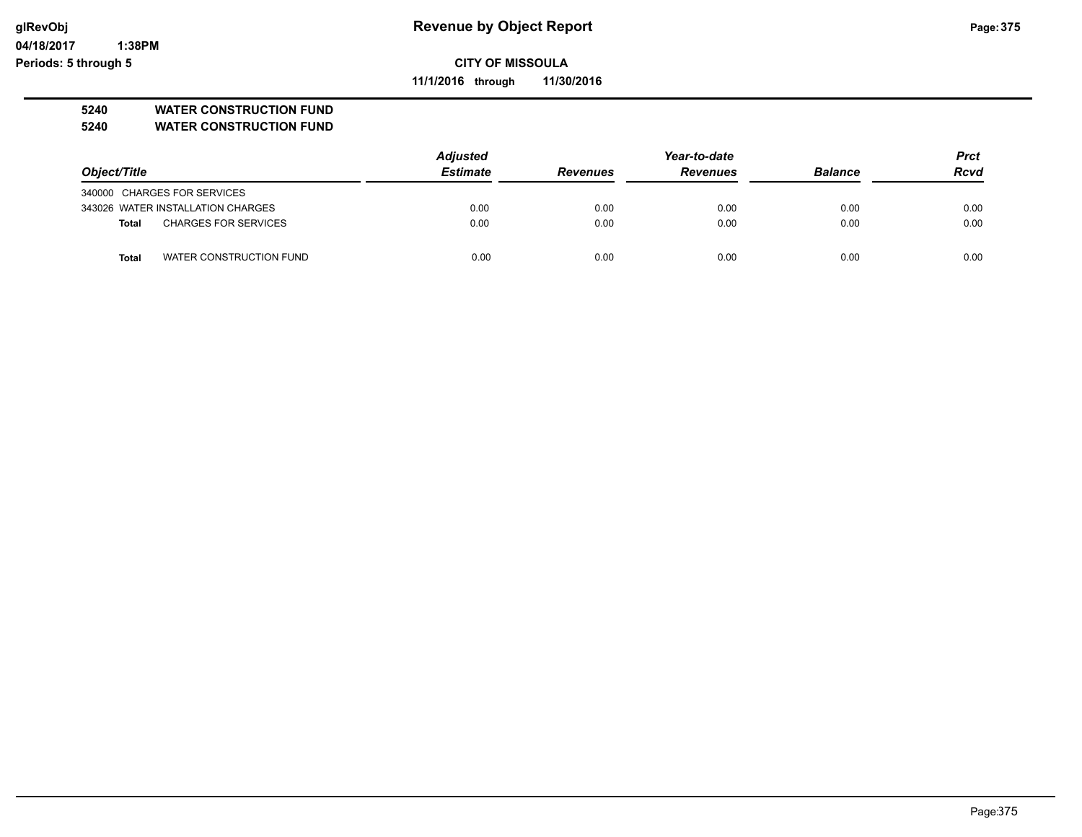**11/1/2016 through 11/30/2016**

**5240 WATER CONSTRUCTION FUND 5240 WATER CONSTRUCTION FUND**

|              |                                   | <b>Adjusted</b> |                 | Year-to-date    |                | <b>Prct</b> |
|--------------|-----------------------------------|-----------------|-----------------|-----------------|----------------|-------------|
| Object/Title |                                   | <b>Estimate</b> | <b>Revenues</b> | <b>Revenues</b> | <b>Balance</b> | <b>Rcvd</b> |
|              | 340000 CHARGES FOR SERVICES       |                 |                 |                 |                |             |
|              | 343026 WATER INSTALLATION CHARGES | 0.00            | 0.00            | 0.00            | 0.00           | 0.00        |
| Total        | <b>CHARGES FOR SERVICES</b>       | 0.00            | 0.00            | 0.00            | 0.00           | 0.00        |
| Total        | WATER CONSTRUCTION FUND           | 0.00            | 0.00            | 0.00            | 0.00           | 0.00        |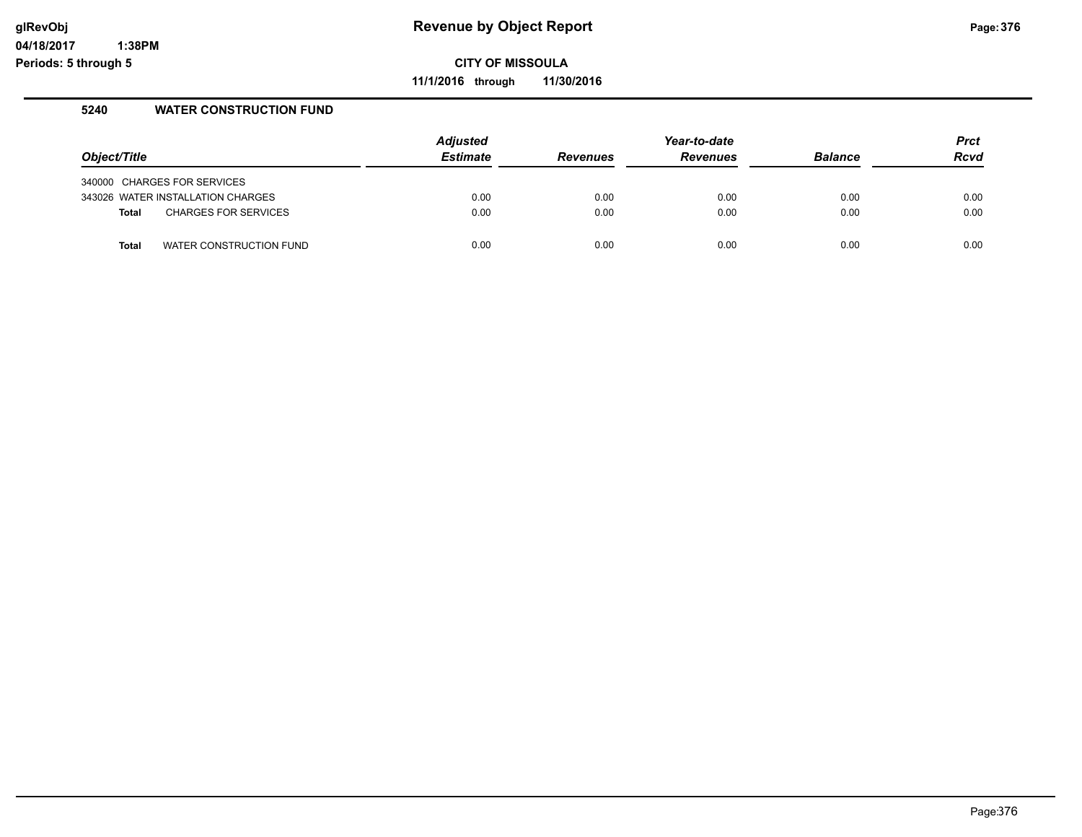**11/1/2016 through 11/30/2016**

#### **5240 WATER CONSTRUCTION FUND**

|              |                                   | <b>Adjusted</b> |                 | Year-to-date    |                | <b>Prct</b> |
|--------------|-----------------------------------|-----------------|-----------------|-----------------|----------------|-------------|
| Object/Title |                                   | <b>Estimate</b> | <b>Revenues</b> | <b>Revenues</b> | <b>Balance</b> | <b>Rcvd</b> |
|              | 340000 CHARGES FOR SERVICES       |                 |                 |                 |                |             |
|              | 343026 WATER INSTALLATION CHARGES | 0.00            | 0.00            | 0.00            | 0.00           | 0.00        |
| <b>Total</b> | <b>CHARGES FOR SERVICES</b>       | 0.00            | 0.00            | 0.00            | 0.00           | 0.00        |
| Total        | WATER CONSTRUCTION FUND           | 0.00            | 0.00            | 0.00            | 0.00           | 0.00        |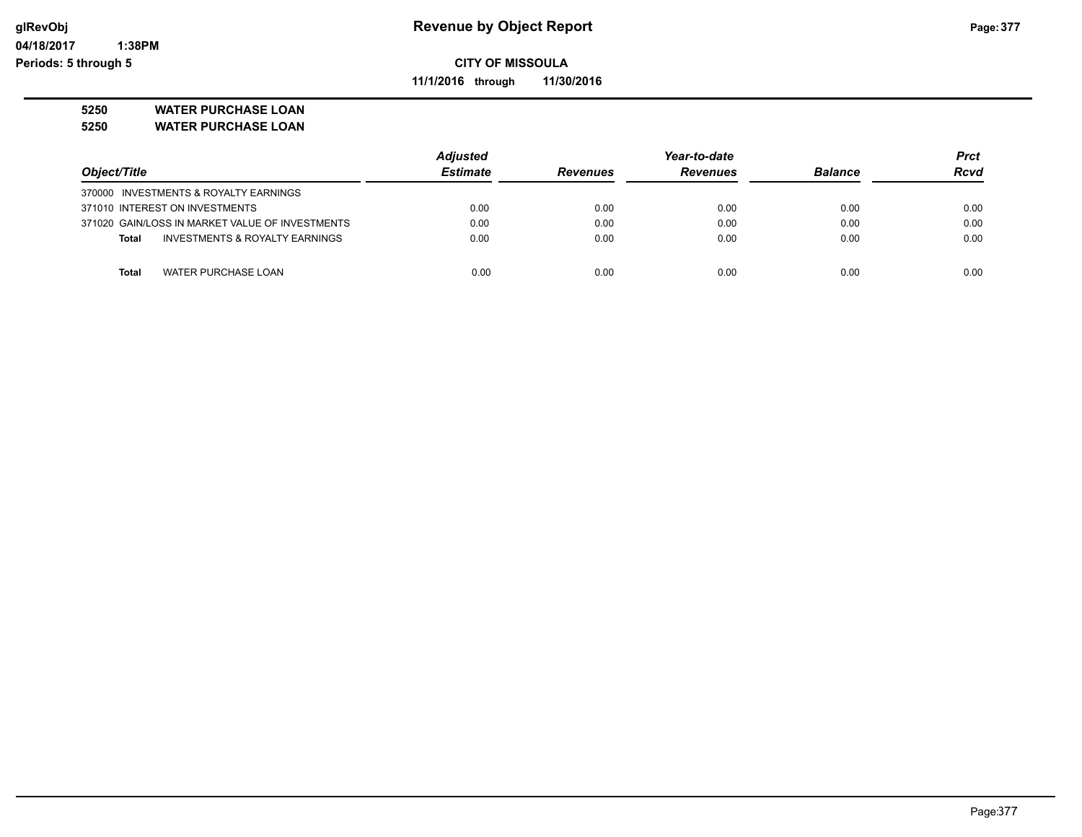**11/1/2016 through 11/30/2016**

**5250 WATER PURCHASE LOAN 5250 WATER PURCHASE LOAN**

|                                                 | <b>Adjusted</b> |                 |                 | Prct           |             |
|-------------------------------------------------|-----------------|-----------------|-----------------|----------------|-------------|
| Object/Title                                    | <b>Estimate</b> | <b>Revenues</b> | <b>Revenues</b> | <b>Balance</b> | <b>Rcvd</b> |
| 370000 INVESTMENTS & ROYALTY EARNINGS           |                 |                 |                 |                |             |
| 371010 INTEREST ON INVESTMENTS                  | 0.00            | 0.00            | 0.00            | 0.00           | 0.00        |
| 371020 GAIN/LOSS IN MARKET VALUE OF INVESTMENTS | 0.00            | 0.00            | 0.00            | 0.00           | 0.00        |
| INVESTMENTS & ROYALTY EARNINGS<br><b>Total</b>  | 0.00            | 0.00            | 0.00            | 0.00           | 0.00        |
|                                                 |                 |                 |                 |                |             |
| WATER PURCHASE LOAN<br>Total                    | 0.00            | 0.00            | 0.00            | 0.00           | 0.00        |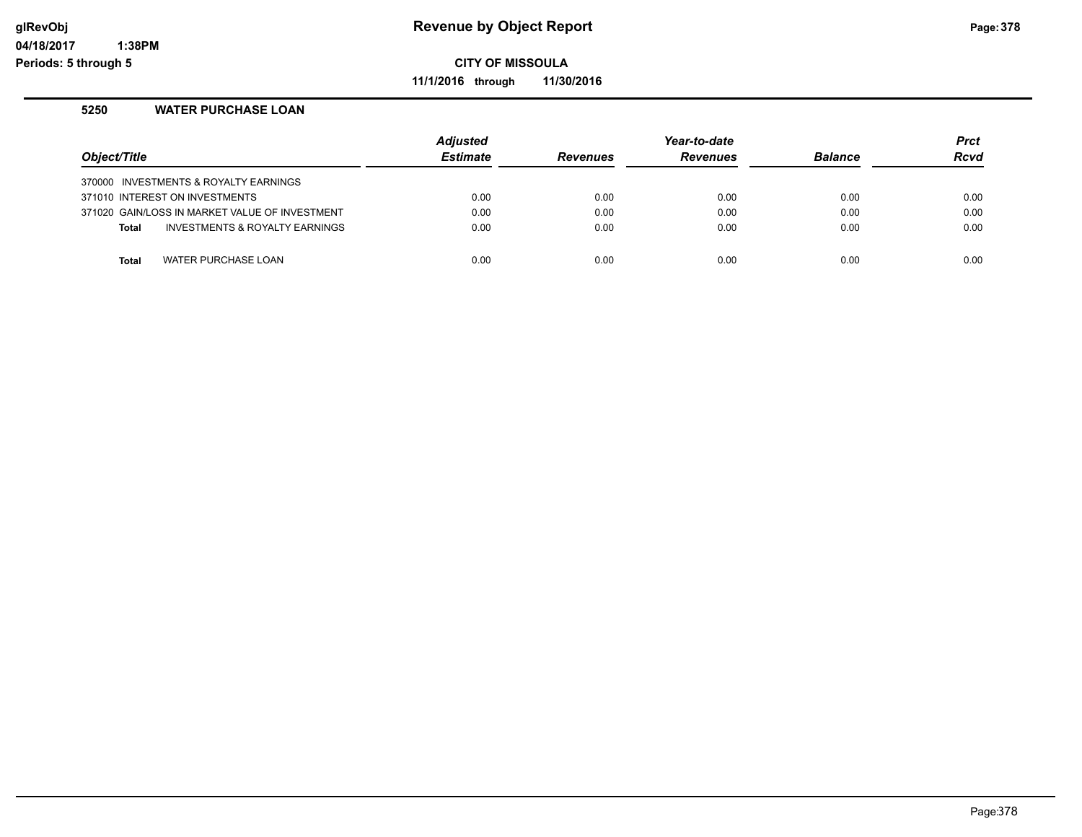**11/1/2016 through 11/30/2016**

#### **5250 WATER PURCHASE LOAN**

|                                                    | <b>Adjusted</b> |                 | Year-to-date    |                | <b>Prct</b> |
|----------------------------------------------------|-----------------|-----------------|-----------------|----------------|-------------|
| Object/Title                                       | <b>Estimate</b> | <b>Revenues</b> | <b>Revenues</b> | <b>Balance</b> | <b>Rcvd</b> |
| INVESTMENTS & ROYALTY EARNINGS<br>370000           |                 |                 |                 |                |             |
| 371010 INTEREST ON INVESTMENTS                     | 0.00            | 0.00            | 0.00            | 0.00           | 0.00        |
| 371020 GAIN/LOSS IN MARKET VALUE OF INVESTMENT     | 0.00            | 0.00            | 0.00            | 0.00           | 0.00        |
| <b>INVESTMENTS &amp; ROYALTY EARNINGS</b><br>Total | 0.00            | 0.00            | 0.00            | 0.00           | 0.00        |
| Total<br><b>WATER PURCHASE LOAN</b>                | 0.00            | 0.00            | 0.00            | 0.00           | 0.00        |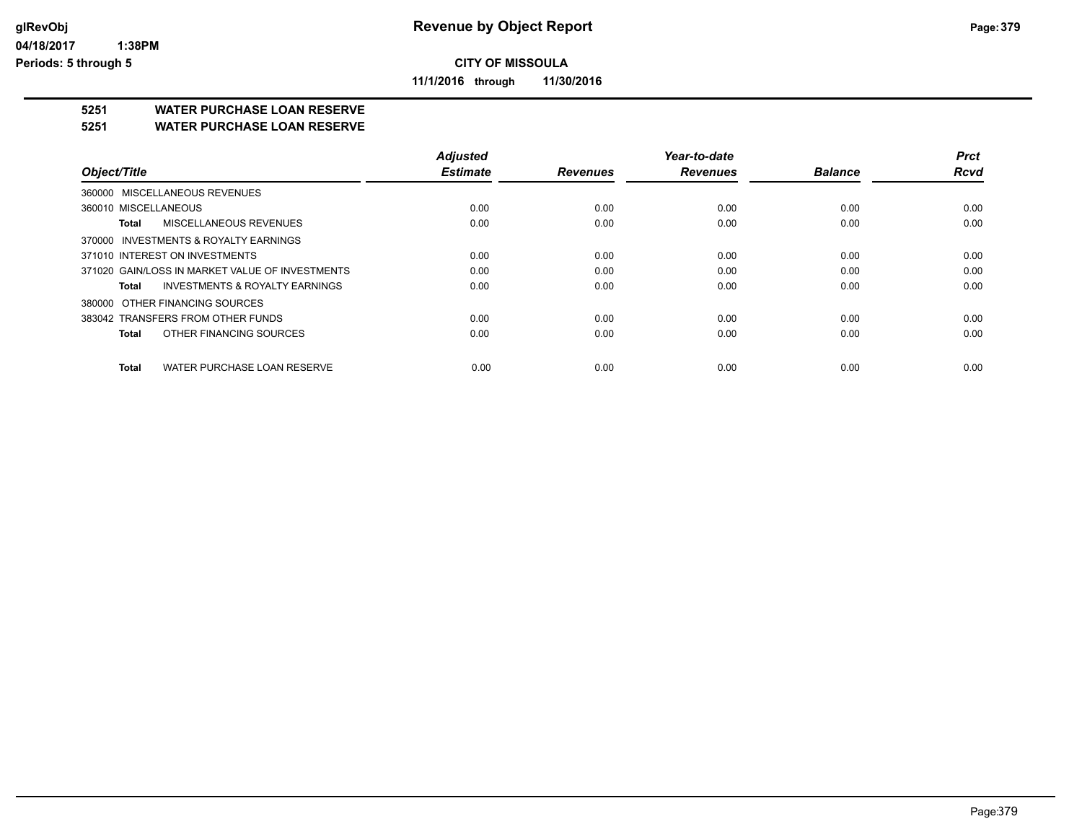**11/1/2016 through 11/30/2016**

# **5251 WATER PURCHASE LOAN RESERVE**

## **5251 WATER PURCHASE LOAN RESERVE**

|                                                    | <b>Adjusted</b> |                 | Year-to-date    |                | <b>Prct</b> |
|----------------------------------------------------|-----------------|-----------------|-----------------|----------------|-------------|
| Object/Title                                       | <b>Estimate</b> | <b>Revenues</b> | <b>Revenues</b> | <b>Balance</b> | Rcvd        |
| 360000 MISCELLANEOUS REVENUES                      |                 |                 |                 |                |             |
| 360010 MISCELLANEOUS                               | 0.00            | 0.00            | 0.00            | 0.00           | 0.00        |
| MISCELLANEOUS REVENUES<br>Total                    | 0.00            | 0.00            | 0.00            | 0.00           | 0.00        |
| 370000 INVESTMENTS & ROYALTY EARNINGS              |                 |                 |                 |                |             |
| 371010 INTEREST ON INVESTMENTS                     | 0.00            | 0.00            | 0.00            | 0.00           | 0.00        |
| 371020 GAIN/LOSS IN MARKET VALUE OF INVESTMENTS    | 0.00            | 0.00            | 0.00            | 0.00           | 0.00        |
| <b>INVESTMENTS &amp; ROYALTY EARNINGS</b><br>Total | 0.00            | 0.00            | 0.00            | 0.00           | 0.00        |
| 380000 OTHER FINANCING SOURCES                     |                 |                 |                 |                |             |
| 383042 TRANSFERS FROM OTHER FUNDS                  | 0.00            | 0.00            | 0.00            | 0.00           | 0.00        |
| OTHER FINANCING SOURCES<br>Total                   | 0.00            | 0.00            | 0.00            | 0.00           | 0.00        |
| WATER PURCHASE LOAN RESERVE<br><b>Total</b>        | 0.00            | 0.00            | 0.00            | 0.00           | 0.00        |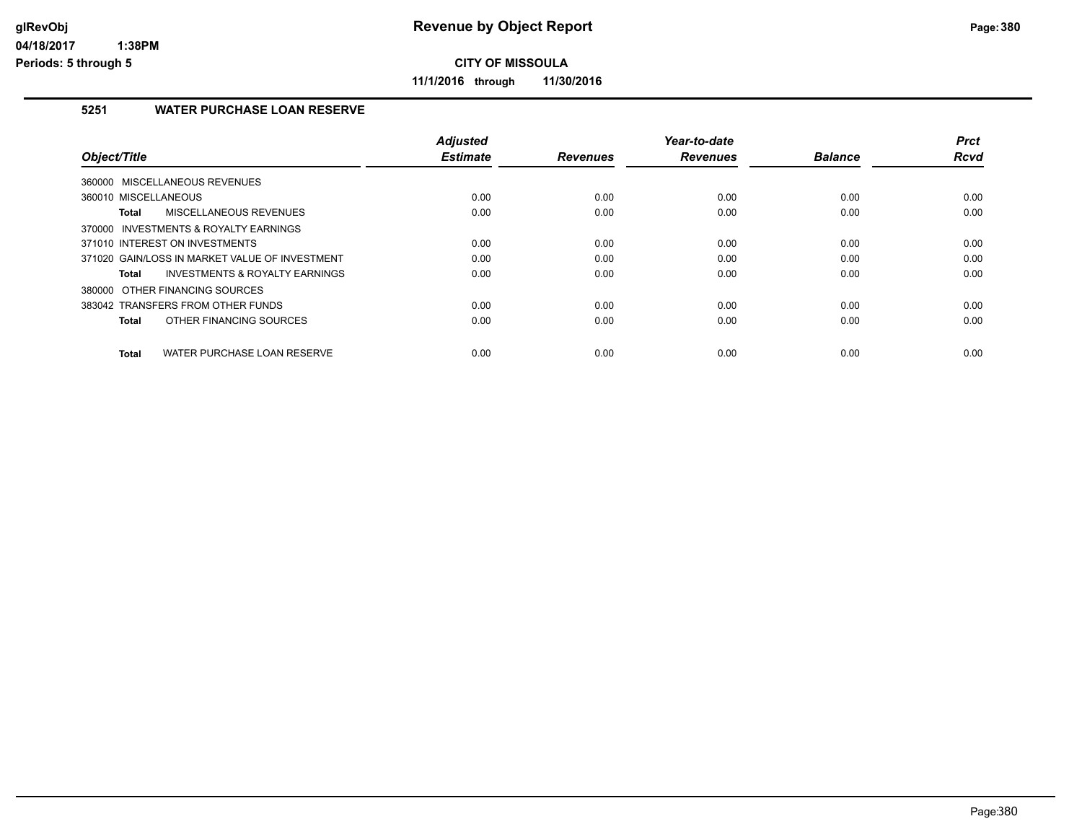**11/1/2016 through 11/30/2016**

#### **5251 WATER PURCHASE LOAN RESERVE**

| Object/Title                                       | <b>Adjusted</b><br><b>Estimate</b> | <b>Revenues</b> | Year-to-date<br><b>Revenues</b> | <b>Balance</b> | <b>Prct</b><br><b>Rcvd</b> |
|----------------------------------------------------|------------------------------------|-----------------|---------------------------------|----------------|----------------------------|
|                                                    |                                    |                 |                                 |                |                            |
| 360000 MISCELLANEOUS REVENUES                      |                                    |                 |                                 |                |                            |
| 360010 MISCELLANEOUS                               | 0.00                               | 0.00            | 0.00                            | 0.00           | 0.00                       |
| MISCELLANEOUS REVENUES<br>Total                    | 0.00                               | 0.00            | 0.00                            | 0.00           | 0.00                       |
| INVESTMENTS & ROYALTY EARNINGS<br>370000           |                                    |                 |                                 |                |                            |
| 371010 INTEREST ON INVESTMENTS                     | 0.00                               | 0.00            | 0.00                            | 0.00           | 0.00                       |
| 371020 GAIN/LOSS IN MARKET VALUE OF INVESTMENT     | 0.00                               | 0.00            | 0.00                            | 0.00           | 0.00                       |
| <b>INVESTMENTS &amp; ROYALTY EARNINGS</b><br>Total | 0.00                               | 0.00            | 0.00                            | 0.00           | 0.00                       |
| 380000 OTHER FINANCING SOURCES                     |                                    |                 |                                 |                |                            |
| 383042 TRANSFERS FROM OTHER FUNDS                  | 0.00                               | 0.00            | 0.00                            | 0.00           | 0.00                       |
| OTHER FINANCING SOURCES<br>Total                   | 0.00                               | 0.00            | 0.00                            | 0.00           | 0.00                       |
| <b>Total</b><br>WATER PURCHASE LOAN RESERVE        | 0.00                               | 0.00            | 0.00                            | 0.00           | 0.00                       |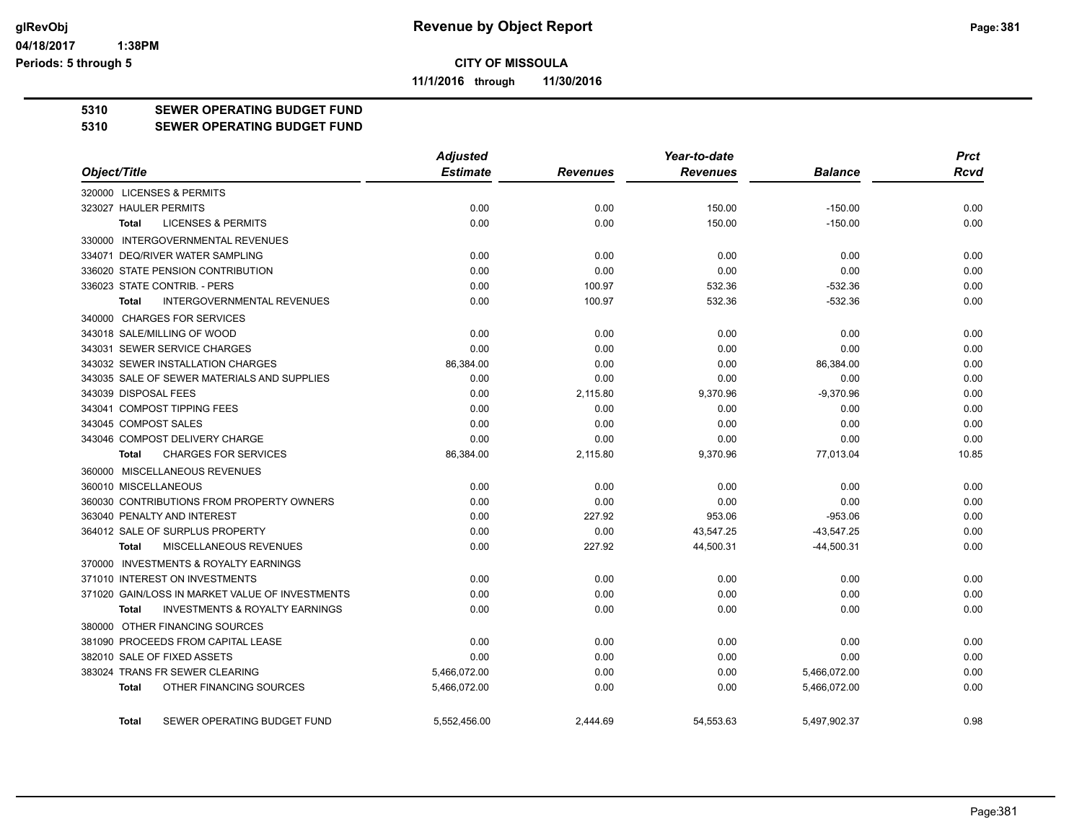**11/1/2016 through 11/30/2016**

## **5310 SEWER OPERATING BUDGET FUND**

**5310 SEWER OPERATING BUDGET FUND**

|                                                           | <b>Adjusted</b> |                 | Year-to-date    | <b>Prct</b>    |             |
|-----------------------------------------------------------|-----------------|-----------------|-----------------|----------------|-------------|
| Object/Title                                              | <b>Estimate</b> | <b>Revenues</b> | <b>Revenues</b> | <b>Balance</b> | <b>Rcvd</b> |
| 320000 LICENSES & PERMITS                                 |                 |                 |                 |                |             |
| 323027 HAULER PERMITS                                     | 0.00            | 0.00            | 150.00          | $-150.00$      | 0.00        |
| <b>LICENSES &amp; PERMITS</b><br><b>Total</b>             | 0.00            | 0.00            | 150.00          | $-150.00$      | 0.00        |
| 330000 INTERGOVERNMENTAL REVENUES                         |                 |                 |                 |                |             |
| 334071 DEQ/RIVER WATER SAMPLING                           | 0.00            | 0.00            | 0.00            | 0.00           | 0.00        |
| 336020 STATE PENSION CONTRIBUTION                         | 0.00            | 0.00            | 0.00            | 0.00           | 0.00        |
| 336023 STATE CONTRIB. - PERS                              | 0.00            | 100.97          | 532.36          | $-532.36$      | 0.00        |
| <b>INTERGOVERNMENTAL REVENUES</b><br><b>Total</b>         | 0.00            | 100.97          | 532.36          | $-532.36$      | 0.00        |
| 340000 CHARGES FOR SERVICES                               |                 |                 |                 |                |             |
| 343018 SALE/MILLING OF WOOD                               | 0.00            | 0.00            | 0.00            | 0.00           | 0.00        |
| 343031 SEWER SERVICE CHARGES                              | 0.00            | 0.00            | 0.00            | 0.00           | 0.00        |
| 343032 SEWER INSTALLATION CHARGES                         | 86,384.00       | 0.00            | 0.00            | 86,384.00      | 0.00        |
| 343035 SALE OF SEWER MATERIALS AND SUPPLIES               | 0.00            | 0.00            | 0.00            | 0.00           | 0.00        |
| 343039 DISPOSAL FEES                                      | 0.00            | 2,115.80        | 9,370.96        | $-9,370.96$    | 0.00        |
| 343041 COMPOST TIPPING FEES                               | 0.00            | 0.00            | 0.00            | 0.00           | 0.00        |
| 343045 COMPOST SALES                                      | 0.00            | 0.00            | 0.00            | 0.00           | 0.00        |
| 343046 COMPOST DELIVERY CHARGE                            | 0.00            | 0.00            | 0.00            | 0.00           | 0.00        |
| <b>CHARGES FOR SERVICES</b><br>Total                      | 86,384.00       | 2,115.80        | 9,370.96        | 77,013.04      | 10.85       |
| 360000 MISCELLANEOUS REVENUES                             |                 |                 |                 |                |             |
| 360010 MISCELLANEOUS                                      | 0.00            | 0.00            | 0.00            | 0.00           | 0.00        |
| 360030 CONTRIBUTIONS FROM PROPERTY OWNERS                 | 0.00            | 0.00            | 0.00            | 0.00           | 0.00        |
| 363040 PENALTY AND INTEREST                               | 0.00            | 227.92          | 953.06          | $-953.06$      | 0.00        |
| 364012 SALE OF SURPLUS PROPERTY                           | 0.00            | 0.00            | 43,547.25       | $-43,547.25$   | 0.00        |
| MISCELLANEOUS REVENUES<br>Total                           | 0.00            | 227.92          | 44,500.31       | $-44,500.31$   | 0.00        |
| 370000 INVESTMENTS & ROYALTY EARNINGS                     |                 |                 |                 |                |             |
| 371010 INTEREST ON INVESTMENTS                            | 0.00            | 0.00            | 0.00            | 0.00           | 0.00        |
| 371020 GAIN/LOSS IN MARKET VALUE OF INVESTMENTS           | 0.00            | 0.00            | 0.00            | 0.00           | 0.00        |
| <b>INVESTMENTS &amp; ROYALTY EARNINGS</b><br><b>Total</b> | 0.00            | 0.00            | 0.00            | 0.00           | 0.00        |
| 380000 OTHER FINANCING SOURCES                            |                 |                 |                 |                |             |
| 381090 PROCEEDS FROM CAPITAL LEASE                        | 0.00            | 0.00            | 0.00            | 0.00           | 0.00        |
| 382010 SALE OF FIXED ASSETS                               | 0.00            | 0.00            | 0.00            | 0.00           | 0.00        |
| 383024 TRANS FR SEWER CLEARING                            | 5,466,072.00    | 0.00            | 0.00            | 5,466,072.00   | 0.00        |
| OTHER FINANCING SOURCES<br><b>Total</b>                   | 5,466,072.00    | 0.00            | 0.00            | 5,466,072.00   | 0.00        |
| SEWER OPERATING BUDGET FUND<br>Total                      | 5,552,456.00    | 2,444.69        | 54,553.63       | 5,497,902.37   | 0.98        |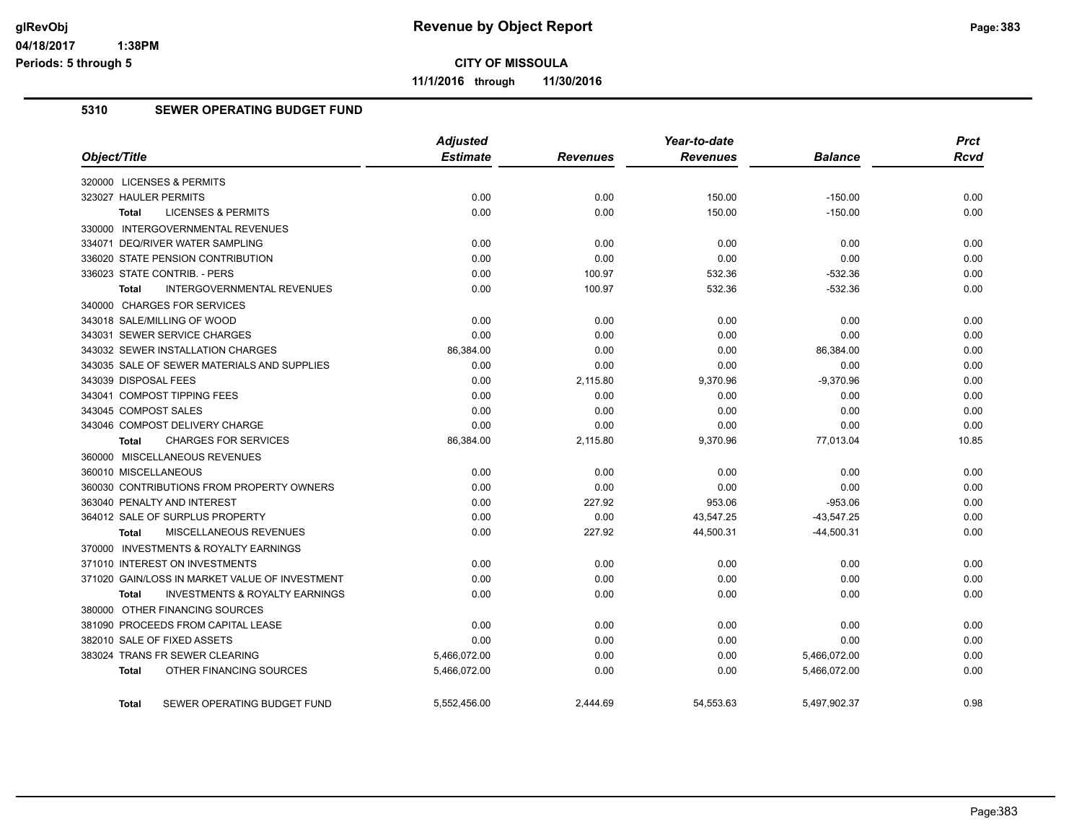**11/1/2016 through 11/30/2016**

#### **5310 SEWER OPERATING BUDGET FUND**

|                                                           | <b>Adjusted</b> |                 | Year-to-date    |                |             |
|-----------------------------------------------------------|-----------------|-----------------|-----------------|----------------|-------------|
| Object/Title                                              | <b>Estimate</b> | <b>Revenues</b> | <b>Revenues</b> | <b>Balance</b> | <b>Rcvd</b> |
| 320000 LICENSES & PERMITS                                 |                 |                 |                 |                |             |
| 323027 HAULER PERMITS                                     | 0.00            | 0.00            | 150.00          | $-150.00$      | 0.00        |
| <b>LICENSES &amp; PERMITS</b><br><b>Total</b>             | 0.00            | 0.00            | 150.00          | $-150.00$      | 0.00        |
| 330000 INTERGOVERNMENTAL REVENUES                         |                 |                 |                 |                |             |
| 334071 DEQ/RIVER WATER SAMPLING                           | 0.00            | 0.00            | 0.00            | 0.00           | 0.00        |
| 336020 STATE PENSION CONTRIBUTION                         | 0.00            | 0.00            | 0.00            | 0.00           | 0.00        |
| 336023 STATE CONTRIB. - PERS                              | 0.00            | 100.97          | 532.36          | $-532.36$      | 0.00        |
| INTERGOVERNMENTAL REVENUES<br><b>Total</b>                | 0.00            | 100.97          | 532.36          | $-532.36$      | 0.00        |
| 340000 CHARGES FOR SERVICES                               |                 |                 |                 |                |             |
| 343018 SALE/MILLING OF WOOD                               | 0.00            | 0.00            | 0.00            | 0.00           | 0.00        |
| 343031 SEWER SERVICE CHARGES                              | 0.00            | 0.00            | 0.00            | 0.00           | 0.00        |
| 343032 SEWER INSTALLATION CHARGES                         | 86,384.00       | 0.00            | 0.00            | 86,384.00      | 0.00        |
| 343035 SALE OF SEWER MATERIALS AND SUPPLIES               | 0.00            | 0.00            | 0.00            | 0.00           | 0.00        |
| 343039 DISPOSAL FEES                                      | 0.00            | 2,115.80        | 9,370.96        | $-9,370.96$    | 0.00        |
| 343041 COMPOST TIPPING FEES                               | 0.00            | 0.00            | 0.00            | 0.00           | 0.00        |
| 343045 COMPOST SALES                                      | 0.00            | 0.00            | 0.00            | 0.00           | 0.00        |
| 343046 COMPOST DELIVERY CHARGE                            | 0.00            | 0.00            | 0.00            | 0.00           | 0.00        |
| <b>CHARGES FOR SERVICES</b><br>Total                      | 86,384.00       | 2,115.80        | 9,370.96        | 77,013.04      | 10.85       |
| 360000 MISCELLANEOUS REVENUES                             |                 |                 |                 |                |             |
| 360010 MISCELLANEOUS                                      | 0.00            | 0.00            | 0.00            | 0.00           | 0.00        |
| 360030 CONTRIBUTIONS FROM PROPERTY OWNERS                 | 0.00            | 0.00            | 0.00            | 0.00           | 0.00        |
| 363040 PENALTY AND INTEREST                               | 0.00            | 227.92          | 953.06          | $-953.06$      | 0.00        |
| 364012 SALE OF SURPLUS PROPERTY                           | 0.00            | 0.00            | 43,547.25       | $-43,547.25$   | 0.00        |
| MISCELLANEOUS REVENUES<br><b>Total</b>                    | 0.00            | 227.92          | 44,500.31       | $-44,500.31$   | 0.00        |
| 370000 INVESTMENTS & ROYALTY EARNINGS                     |                 |                 |                 |                |             |
| 371010 INTEREST ON INVESTMENTS                            | 0.00            | 0.00            | 0.00            | 0.00           | 0.00        |
| 371020 GAIN/LOSS IN MARKET VALUE OF INVESTMENT            | 0.00            | 0.00            | 0.00            | 0.00           | 0.00        |
| <b>INVESTMENTS &amp; ROYALTY EARNINGS</b><br><b>Total</b> | 0.00            | 0.00            | 0.00            | 0.00           | 0.00        |
| 380000 OTHER FINANCING SOURCES                            |                 |                 |                 |                |             |
| 381090 PROCEEDS FROM CAPITAL LEASE                        | 0.00            | 0.00            | 0.00            | 0.00           | 0.00        |
| 382010 SALE OF FIXED ASSETS                               | 0.00            | 0.00            | 0.00            | 0.00           | 0.00        |
| 383024 TRANS FR SEWER CLEARING                            | 5,466,072.00    | 0.00            | 0.00            | 5,466,072.00   | 0.00        |
| OTHER FINANCING SOURCES<br><b>Total</b>                   | 5,466,072.00    | 0.00            | 0.00            | 5,466,072.00   | 0.00        |
| SEWER OPERATING BUDGET FUND<br><b>Total</b>               | 5,552,456.00    | 2.444.69        | 54,553.63       | 5,497,902.37   | 0.98        |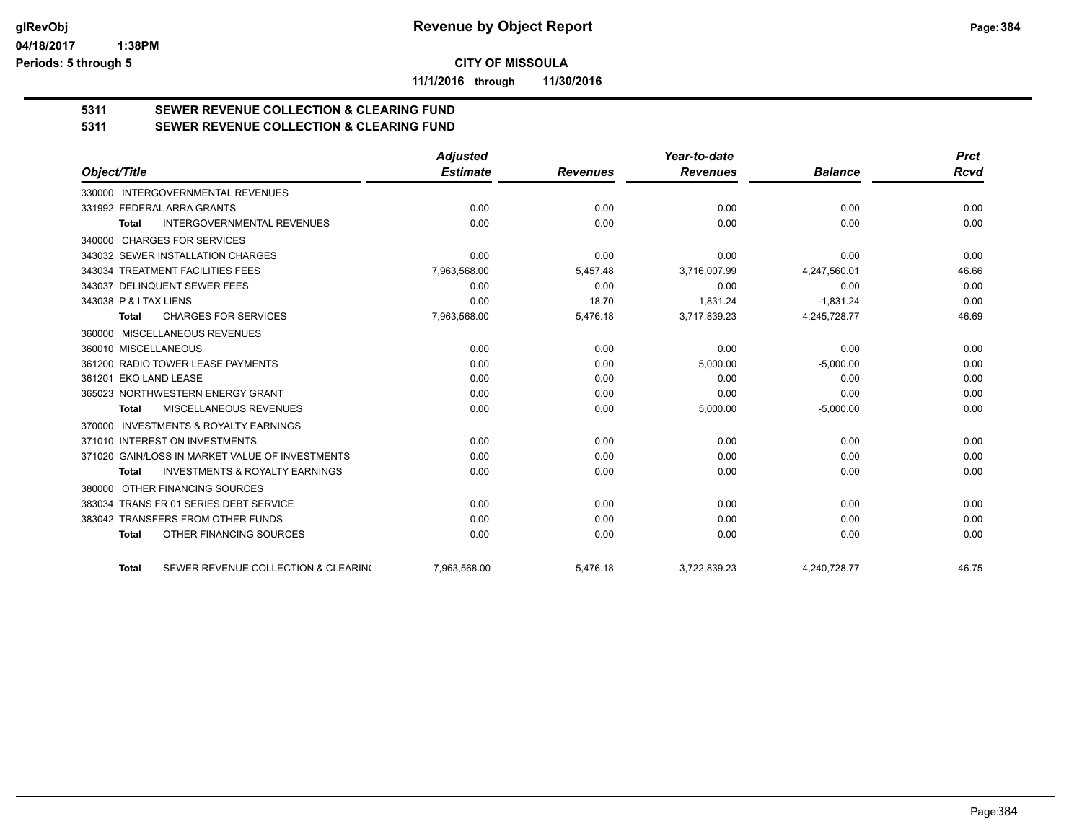**11/1/2016 through 11/30/2016**

#### **5311 SEWER REVENUE COLLECTION & CLEARING FUND 5311 SEWER REVENUE COLLECTION & CLEARING FUND**

|                                                     | <b>Adjusted</b> |                 | Year-to-date    |                | <b>Prct</b> |
|-----------------------------------------------------|-----------------|-----------------|-----------------|----------------|-------------|
| Object/Title                                        | <b>Estimate</b> | <b>Revenues</b> | <b>Revenues</b> | <b>Balance</b> | Rcvd        |
| 330000 INTERGOVERNMENTAL REVENUES                   |                 |                 |                 |                |             |
| 331992 FEDERAL ARRA GRANTS                          | 0.00            | 0.00            | 0.00            | 0.00           | 0.00        |
| <b>INTERGOVERNMENTAL REVENUES</b><br><b>Total</b>   | 0.00            | 0.00            | 0.00            | 0.00           | 0.00        |
| <b>CHARGES FOR SERVICES</b><br>340000               |                 |                 |                 |                |             |
| 343032 SEWER INSTALLATION CHARGES                   | 0.00            | 0.00            | 0.00            | 0.00           | 0.00        |
| 343034 TREATMENT FACILITIES FEES                    | 7,963,568.00    | 5,457.48        | 3,716,007.99    | 4,247,560.01   | 46.66       |
| 343037 DELINQUENT SEWER FEES                        | 0.00            | 0.00            | 0.00            | 0.00           | 0.00        |
| 343038 P & I TAX LIENS                              | 0.00            | 18.70           | 1,831.24        | $-1,831.24$    | 0.00        |
| <b>CHARGES FOR SERVICES</b><br><b>Total</b>         | 7,963,568.00    | 5,476.18        | 3,717,839.23    | 4,245,728.77   | 46.69       |
| MISCELLANEOUS REVENUES<br>360000                    |                 |                 |                 |                |             |
| 360010 MISCELLANEOUS                                | 0.00            | 0.00            | 0.00            | 0.00           | 0.00        |
| 361200 RADIO TOWER LEASE PAYMENTS                   | 0.00            | 0.00            | 5,000.00        | $-5,000.00$    | 0.00        |
| 361201 EKO LAND LEASE                               | 0.00            | 0.00            | 0.00            | 0.00           | 0.00        |
| 365023 NORTHWESTERN ENERGY GRANT                    | 0.00            | 0.00            | 0.00            | 0.00           | 0.00        |
| MISCELLANEOUS REVENUES<br><b>Total</b>              | 0.00            | 0.00            | 5,000.00        | $-5,000.00$    | 0.00        |
| <b>INVESTMENTS &amp; ROYALTY EARNINGS</b><br>370000 |                 |                 |                 |                |             |
| 371010 INTEREST ON INVESTMENTS                      | 0.00            | 0.00            | 0.00            | 0.00           | 0.00        |
| 371020 GAIN/LOSS IN MARKET VALUE OF INVESTMENTS     | 0.00            | 0.00            | 0.00            | 0.00           | 0.00        |
| <b>INVESTMENTS &amp; ROYALTY EARNINGS</b><br>Total  | 0.00            | 0.00            | 0.00            | 0.00           | 0.00        |
| OTHER FINANCING SOURCES<br>380000                   |                 |                 |                 |                |             |
| TRANS FR 01 SERIES DEBT SERVICE<br>383034           | 0.00            | 0.00            | 0.00            | 0.00           | 0.00        |
| 383042 TRANSFERS FROM OTHER FUNDS                   | 0.00            | 0.00            | 0.00            | 0.00           | 0.00        |
| OTHER FINANCING SOURCES<br><b>Total</b>             | 0.00            | 0.00            | 0.00            | 0.00           | 0.00        |
|                                                     |                 |                 |                 |                |             |
| SEWER REVENUE COLLECTION & CLEARING<br><b>Total</b> | 7,963,568.00    | 5.476.18        | 3,722,839.23    | 4,240,728.77   | 46.75       |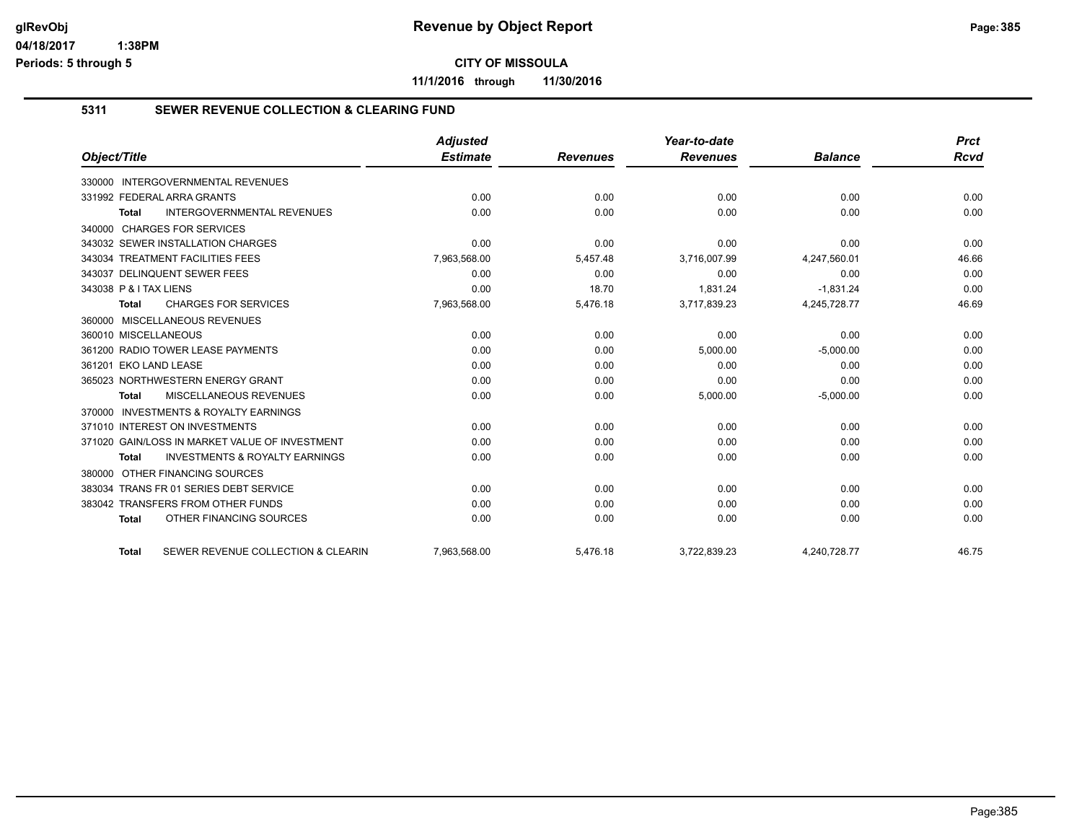**11/1/2016 through 11/30/2016**

#### **5311 SEWER REVENUE COLLECTION & CLEARING FUND**

|                                                           | <b>Adjusted</b> |                 | Year-to-date    |                | <b>Prct</b> |
|-----------------------------------------------------------|-----------------|-----------------|-----------------|----------------|-------------|
| Object/Title                                              | <b>Estimate</b> | <b>Revenues</b> | <b>Revenues</b> | <b>Balance</b> | <b>Rcvd</b> |
| <b>INTERGOVERNMENTAL REVENUES</b><br>330000               |                 |                 |                 |                |             |
| 331992 FEDERAL ARRA GRANTS                                | 0.00            | 0.00            | 0.00            | 0.00           | 0.00        |
| <b>INTERGOVERNMENTAL REVENUES</b><br><b>Total</b>         | 0.00            | 0.00            | 0.00            | 0.00           | 0.00        |
| 340000 CHARGES FOR SERVICES                               |                 |                 |                 |                |             |
| 343032 SEWER INSTALLATION CHARGES                         | 0.00            | 0.00            | 0.00            | 0.00           | 0.00        |
| 343034 TREATMENT FACILITIES FEES                          | 7,963,568.00    | 5,457.48        | 3,716,007.99    | 4,247,560.01   | 46.66       |
| 343037 DELINQUENT SEWER FEES                              | 0.00            | 0.00            | 0.00            | 0.00           | 0.00        |
| 343038 P & I TAX LIENS                                    | 0.00            | 18.70           | 1.831.24        | $-1,831.24$    | 0.00        |
| <b>CHARGES FOR SERVICES</b><br><b>Total</b>               | 7,963,568.00    | 5,476.18        | 3,717,839.23    | 4,245,728.77   | 46.69       |
| 360000 MISCELLANEOUS REVENUES                             |                 |                 |                 |                |             |
| 360010 MISCELLANEOUS                                      | 0.00            | 0.00            | 0.00            | 0.00           | 0.00        |
| 361200 RADIO TOWER LEASE PAYMENTS                         | 0.00            | 0.00            | 5,000.00        | $-5,000.00$    | 0.00        |
| 361201 EKO LAND LEASE                                     | 0.00            | 0.00            | 0.00            | 0.00           | 0.00        |
| 365023 NORTHWESTERN ENERGY GRANT                          | 0.00            | 0.00            | 0.00            | 0.00           | 0.00        |
| MISCELLANEOUS REVENUES<br><b>Total</b>                    | 0.00            | 0.00            | 5,000.00        | $-5,000.00$    | 0.00        |
| 370000 INVESTMENTS & ROYALTY EARNINGS                     |                 |                 |                 |                |             |
| 371010 INTEREST ON INVESTMENTS                            | 0.00            | 0.00            | 0.00            | 0.00           | 0.00        |
| 371020 GAIN/LOSS IN MARKET VALUE OF INVESTMENT            | 0.00            | 0.00            | 0.00            | 0.00           | 0.00        |
| <b>INVESTMENTS &amp; ROYALTY EARNINGS</b><br><b>Total</b> | 0.00            | 0.00            | 0.00            | 0.00           | 0.00        |
| OTHER FINANCING SOURCES<br>380000                         |                 |                 |                 |                |             |
| 383034 TRANS FR 01 SERIES DEBT SERVICE                    | 0.00            | 0.00            | 0.00            | 0.00           | 0.00        |
| 383042 TRANSFERS FROM OTHER FUNDS                         | 0.00            | 0.00            | 0.00            | 0.00           | 0.00        |
| OTHER FINANCING SOURCES<br><b>Total</b>                   | 0.00            | 0.00            | 0.00            | 0.00           | 0.00        |
| SEWER REVENUE COLLECTION & CLEARIN<br><b>Total</b>        | 7,963,568.00    | 5,476.18        | 3,722,839.23    | 4,240,728.77   | 46.75       |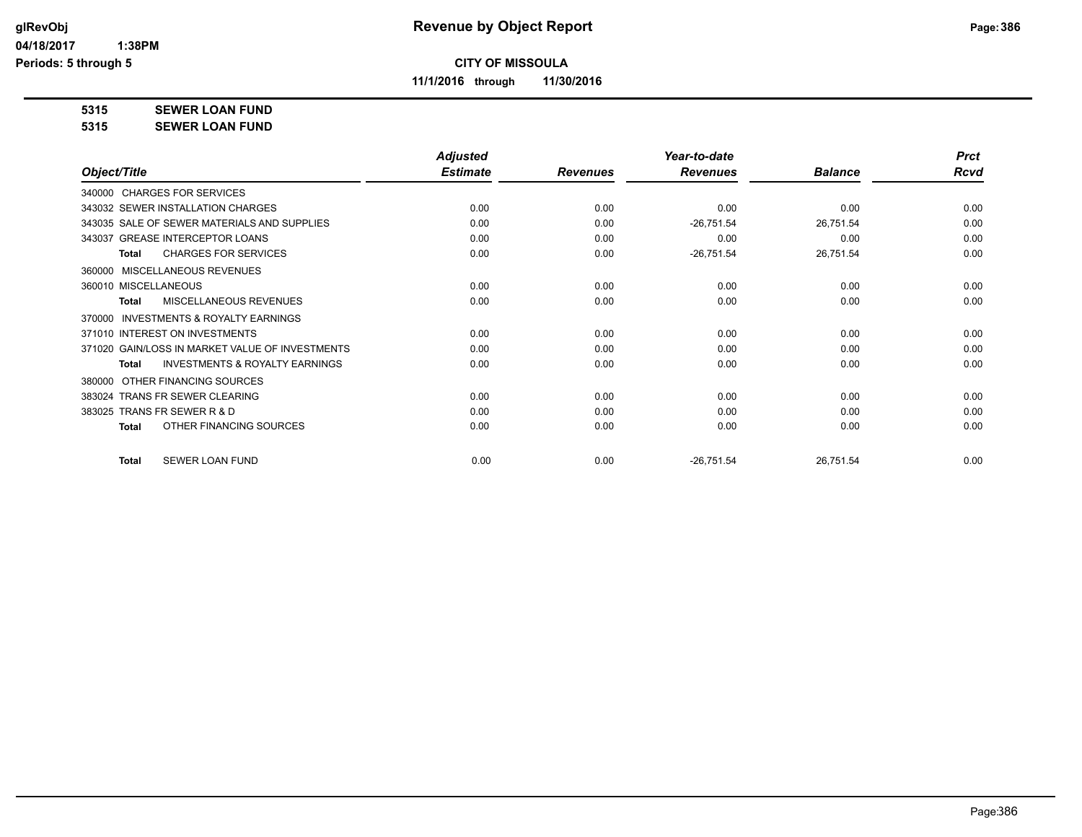**11/1/2016 through 11/30/2016**

**5315 SEWER LOAN FUND**

| 5315 | <b>SEWER LOAN FUND</b> |
|------|------------------------|
|      |                        |

|                                                           | <b>Adjusted</b> |                 | Year-to-date    |                | <b>Prct</b> |
|-----------------------------------------------------------|-----------------|-----------------|-----------------|----------------|-------------|
| Object/Title                                              | <b>Estimate</b> | <b>Revenues</b> | <b>Revenues</b> | <b>Balance</b> | Rcvd        |
| 340000 CHARGES FOR SERVICES                               |                 |                 |                 |                |             |
| 343032 SEWER INSTALLATION CHARGES                         | 0.00            | 0.00            | 0.00            | 0.00           | 0.00        |
| 343035 SALE OF SEWER MATERIALS AND SUPPLIES               | 0.00            | 0.00            | $-26,751.54$    | 26,751.54      | 0.00        |
| 343037 GREASE INTERCEPTOR LOANS                           | 0.00            | 0.00            | 0.00            | 0.00           | 0.00        |
| <b>CHARGES FOR SERVICES</b><br><b>Total</b>               | 0.00            | 0.00            | $-26,751.54$    | 26,751.54      | 0.00        |
| MISCELLANEOUS REVENUES<br>360000                          |                 |                 |                 |                |             |
| 360010 MISCELLANEOUS                                      | 0.00            | 0.00            | 0.00            | 0.00           | 0.00        |
| MISCELLANEOUS REVENUES<br><b>Total</b>                    | 0.00            | 0.00            | 0.00            | 0.00           | 0.00        |
| <b>INVESTMENTS &amp; ROYALTY EARNINGS</b><br>370000       |                 |                 |                 |                |             |
| 371010 INTEREST ON INVESTMENTS                            | 0.00            | 0.00            | 0.00            | 0.00           | 0.00        |
| 371020 GAIN/LOSS IN MARKET VALUE OF INVESTMENTS           | 0.00            | 0.00            | 0.00            | 0.00           | 0.00        |
| <b>INVESTMENTS &amp; ROYALTY EARNINGS</b><br><b>Total</b> | 0.00            | 0.00            | 0.00            | 0.00           | 0.00        |
| OTHER FINANCING SOURCES<br>380000                         |                 |                 |                 |                |             |
| 383024 TRANS FR SEWER CLEARING                            | 0.00            | 0.00            | 0.00            | 0.00           | 0.00        |
| 383025 TRANS FR SEWER R & D                               | 0.00            | 0.00            | 0.00            | 0.00           | 0.00        |
| OTHER FINANCING SOURCES<br><b>Total</b>                   | 0.00            | 0.00            | 0.00            | 0.00           | 0.00        |
|                                                           |                 |                 |                 |                |             |
| SEWER LOAN FUND<br><b>Total</b>                           | 0.00            | 0.00            | $-26,751.54$    | 26,751.54      | 0.00        |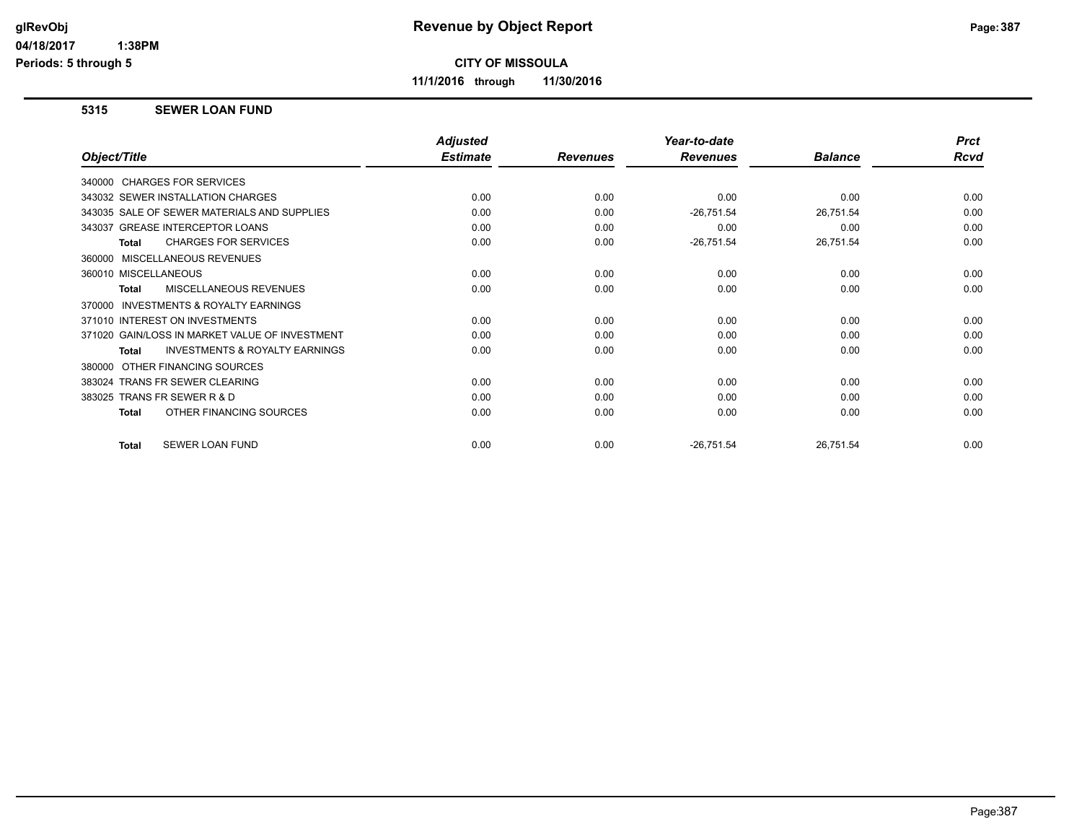**11/1/2016 through 11/30/2016**

#### **5315 SEWER LOAN FUND**

|                                                           | <b>Adjusted</b> |                 | Year-to-date    |                | <b>Prct</b> |
|-----------------------------------------------------------|-----------------|-----------------|-----------------|----------------|-------------|
| Object/Title                                              | <b>Estimate</b> | <b>Revenues</b> | <b>Revenues</b> | <b>Balance</b> | <b>Rcvd</b> |
| 340000 CHARGES FOR SERVICES                               |                 |                 |                 |                |             |
| 343032 SEWER INSTALLATION CHARGES                         | 0.00            | 0.00            | 0.00            | 0.00           | 0.00        |
| 343035 SALE OF SEWER MATERIALS AND SUPPLIES               | 0.00            | 0.00            | $-26,751.54$    | 26,751.54      | 0.00        |
| 343037 GREASE INTERCEPTOR LOANS                           | 0.00            | 0.00            | 0.00            | 0.00           | 0.00        |
| <b>CHARGES FOR SERVICES</b><br>Total                      | 0.00            | 0.00            | $-26,751.54$    | 26,751.54      | 0.00        |
| MISCELLANEOUS REVENUES<br>360000                          |                 |                 |                 |                |             |
| 360010 MISCELLANEOUS                                      | 0.00            | 0.00            | 0.00            | 0.00           | 0.00        |
| <b>MISCELLANEOUS REVENUES</b><br><b>Total</b>             | 0.00            | 0.00            | 0.00            | 0.00           | 0.00        |
| <b>INVESTMENTS &amp; ROYALTY EARNINGS</b><br>370000       |                 |                 |                 |                |             |
| 371010 INTEREST ON INVESTMENTS                            | 0.00            | 0.00            | 0.00            | 0.00           | 0.00        |
| 371020 GAIN/LOSS IN MARKET VALUE OF INVESTMENT            | 0.00            | 0.00            | 0.00            | 0.00           | 0.00        |
| <b>INVESTMENTS &amp; ROYALTY EARNINGS</b><br><b>Total</b> | 0.00            | 0.00            | 0.00            | 0.00           | 0.00        |
| OTHER FINANCING SOURCES<br>380000                         |                 |                 |                 |                |             |
| 383024 TRANS FR SEWER CLEARING                            | 0.00            | 0.00            | 0.00            | 0.00           | 0.00        |
| 383025 TRANS FR SEWER R & D                               | 0.00            | 0.00            | 0.00            | 0.00           | 0.00        |
| OTHER FINANCING SOURCES<br>Total                          | 0.00            | 0.00            | 0.00            | 0.00           | 0.00        |
| SEWER LOAN FUND<br><b>Total</b>                           | 0.00            | 0.00            | $-26,751.54$    | 26,751.54      | 0.00        |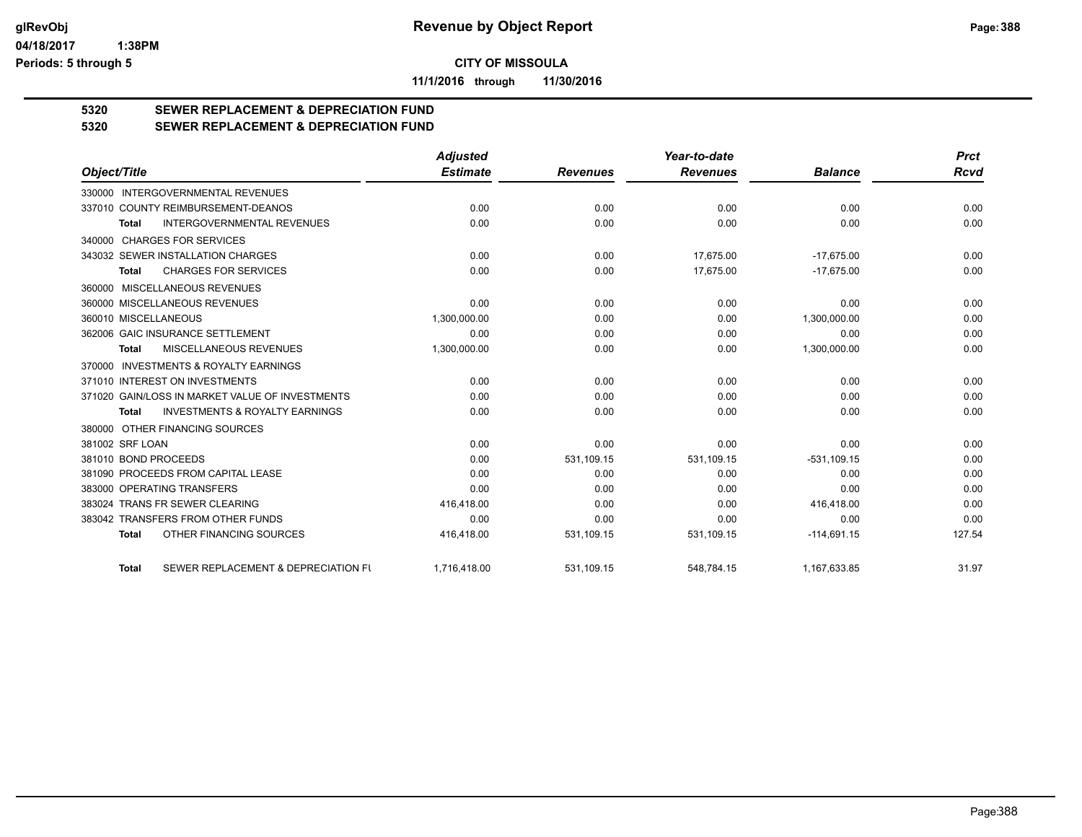**11/1/2016 through 11/30/2016**

#### **5320 SEWER REPLACEMENT & DEPRECIATION FUND 5320 SEWER REPLACEMENT & DEPRECIATION FUND**

|                                                           | <b>Adjusted</b> |                 | Year-to-date    |                | <b>Prct</b> |
|-----------------------------------------------------------|-----------------|-----------------|-----------------|----------------|-------------|
| Object/Title                                              | <b>Estimate</b> | <b>Revenues</b> | <b>Revenues</b> | <b>Balance</b> | <b>Rcvd</b> |
| INTERGOVERNMENTAL REVENUES<br>330000                      |                 |                 |                 |                |             |
| 337010 COUNTY REIMBURSEMENT-DEANOS                        | 0.00            | 0.00            | 0.00            | 0.00           | 0.00        |
| <b>INTERGOVERNMENTAL REVENUES</b><br><b>Total</b>         | 0.00            | 0.00            | 0.00            | 0.00           | 0.00        |
| <b>CHARGES FOR SERVICES</b><br>340000                     |                 |                 |                 |                |             |
| 343032 SEWER INSTALLATION CHARGES                         | 0.00            | 0.00            | 17,675.00       | $-17,675.00$   | 0.00        |
| <b>CHARGES FOR SERVICES</b><br><b>Total</b>               | 0.00            | 0.00            | 17,675.00       | $-17,675.00$   | 0.00        |
| MISCELLANEOUS REVENUES<br>360000                          |                 |                 |                 |                |             |
| 360000 MISCELLANEOUS REVENUES                             | 0.00            | 0.00            | 0.00            | 0.00           | 0.00        |
| 360010 MISCELLANEOUS                                      | 1,300,000.00    | 0.00            | 0.00            | 1,300,000.00   | 0.00        |
| 362006 GAIC INSURANCE SETTLEMENT                          | 0.00            | 0.00            | 0.00            | 0.00           | 0.00        |
| MISCELLANEOUS REVENUES<br><b>Total</b>                    | 1,300,000.00    | 0.00            | 0.00            | 1,300,000.00   | 0.00        |
| <b>INVESTMENTS &amp; ROYALTY EARNINGS</b><br>370000       |                 |                 |                 |                |             |
| 371010 INTEREST ON INVESTMENTS                            | 0.00            | 0.00            | 0.00            | 0.00           | 0.00        |
| 371020 GAIN/LOSS IN MARKET VALUE OF INVESTMENTS           | 0.00            | 0.00            | 0.00            | 0.00           | 0.00        |
| <b>INVESTMENTS &amp; ROYALTY EARNINGS</b><br><b>Total</b> | 0.00            | 0.00            | 0.00            | 0.00           | 0.00        |
| OTHER FINANCING SOURCES<br>380000                         |                 |                 |                 |                |             |
| 381002 SRF LOAN                                           | 0.00            | 0.00            | 0.00            | 0.00           | 0.00        |
| 381010 BOND PROCEEDS                                      | 0.00            | 531,109.15      | 531,109.15      | $-531,109.15$  | 0.00        |
| 381090 PROCEEDS FROM CAPITAL LEASE                        | 0.00            | 0.00            | 0.00            | 0.00           | 0.00        |
| 383000 OPERATING TRANSFERS                                | 0.00            | 0.00            | 0.00            | 0.00           | 0.00        |
| 383024 TRANS FR SEWER CLEARING                            | 416,418.00      | 0.00            | 0.00            | 416,418.00     | 0.00        |
| 383042 TRANSFERS FROM OTHER FUNDS                         | 0.00            | 0.00            | 0.00            | 0.00           | 0.00        |
| OTHER FINANCING SOURCES<br><b>Total</b>                   | 416,418.00      | 531,109.15      | 531,109.15      | $-114,691.15$  | 127.54      |
| SEWER REPLACEMENT & DEPRECIATION FU<br><b>Total</b>       | 1,716,418.00    | 531,109.15      | 548,784.15      | 1,167,633.85   | 31.97       |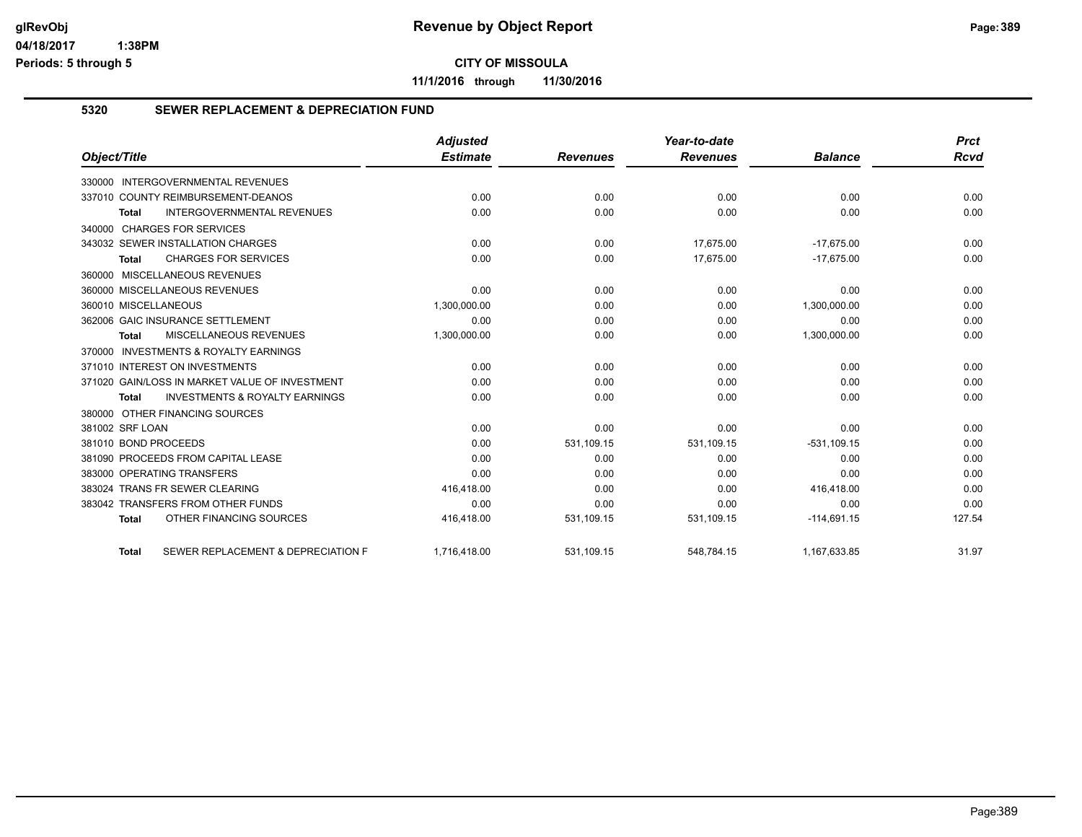**11/1/2016 through 11/30/2016**

#### **5320 SEWER REPLACEMENT & DEPRECIATION FUND**

|                                                           | <b>Adjusted</b> |                 | Year-to-date    |                | <b>Prct</b> |
|-----------------------------------------------------------|-----------------|-----------------|-----------------|----------------|-------------|
| Object/Title                                              | <b>Estimate</b> | <b>Revenues</b> | <b>Revenues</b> | <b>Balance</b> | <b>Rcvd</b> |
| <b>INTERGOVERNMENTAL REVENUES</b><br>330000               |                 |                 |                 |                |             |
| 337010 COUNTY REIMBURSEMENT-DEANOS                        | 0.00            | 0.00            | 0.00            | 0.00           | 0.00        |
| <b>INTERGOVERNMENTAL REVENUES</b><br><b>Total</b>         | 0.00            | 0.00            | 0.00            | 0.00           | 0.00        |
| 340000 CHARGES FOR SERVICES                               |                 |                 |                 |                |             |
| 343032 SEWER INSTALLATION CHARGES                         | 0.00            | 0.00            | 17.675.00       | $-17.675.00$   | 0.00        |
| <b>CHARGES FOR SERVICES</b><br><b>Total</b>               | 0.00            | 0.00            | 17,675.00       | $-17,675.00$   | 0.00        |
| 360000 MISCELLANEOUS REVENUES                             |                 |                 |                 |                |             |
| 360000 MISCELLANEOUS REVENUES                             | 0.00            | 0.00            | 0.00            | 0.00           | 0.00        |
| 360010 MISCELLANEOUS                                      | 1,300,000.00    | 0.00            | 0.00            | 1,300,000.00   | 0.00        |
| 362006 GAIC INSURANCE SETTLEMENT                          | 0.00            | 0.00            | 0.00            | 0.00           | 0.00        |
| MISCELLANEOUS REVENUES<br>Total                           | 1,300,000.00    | 0.00            | 0.00            | 1,300,000.00   | 0.00        |
| <b>INVESTMENTS &amp; ROYALTY EARNINGS</b><br>370000       |                 |                 |                 |                |             |
| 371010 INTEREST ON INVESTMENTS                            | 0.00            | 0.00            | 0.00            | 0.00           | 0.00        |
| 371020 GAIN/LOSS IN MARKET VALUE OF INVESTMENT            | 0.00            | 0.00            | 0.00            | 0.00           | 0.00        |
| <b>INVESTMENTS &amp; ROYALTY EARNINGS</b><br><b>Total</b> | 0.00            | 0.00            | 0.00            | 0.00           | 0.00        |
| 380000 OTHER FINANCING SOURCES                            |                 |                 |                 |                |             |
| 381002 SRF LOAN                                           | 0.00            | 0.00            | 0.00            | 0.00           | 0.00        |
| 381010 BOND PROCEEDS                                      | 0.00            | 531,109.15      | 531,109.15      | $-531,109.15$  | 0.00        |
| 381090 PROCEEDS FROM CAPITAL LEASE                        | 0.00            | 0.00            | 0.00            | 0.00           | 0.00        |
| 383000 OPERATING TRANSFERS                                | 0.00            | 0.00            | 0.00            | 0.00           | 0.00        |
| 383024 TRANS FR SEWER CLEARING                            | 416,418.00      | 0.00            | 0.00            | 416,418.00     | 0.00        |
| 383042 TRANSFERS FROM OTHER FUNDS                         | 0.00            | 0.00            | 0.00            | 0.00           | 0.00        |
| OTHER FINANCING SOURCES<br><b>Total</b>                   | 416,418.00      | 531,109.15      | 531,109.15      | $-114,691.15$  | 127.54      |
| SEWER REPLACEMENT & DEPRECIATION F<br><b>Total</b>        | 1,716,418.00    | 531,109.15      | 548,784.15      | 1,167,633.85   | 31.97       |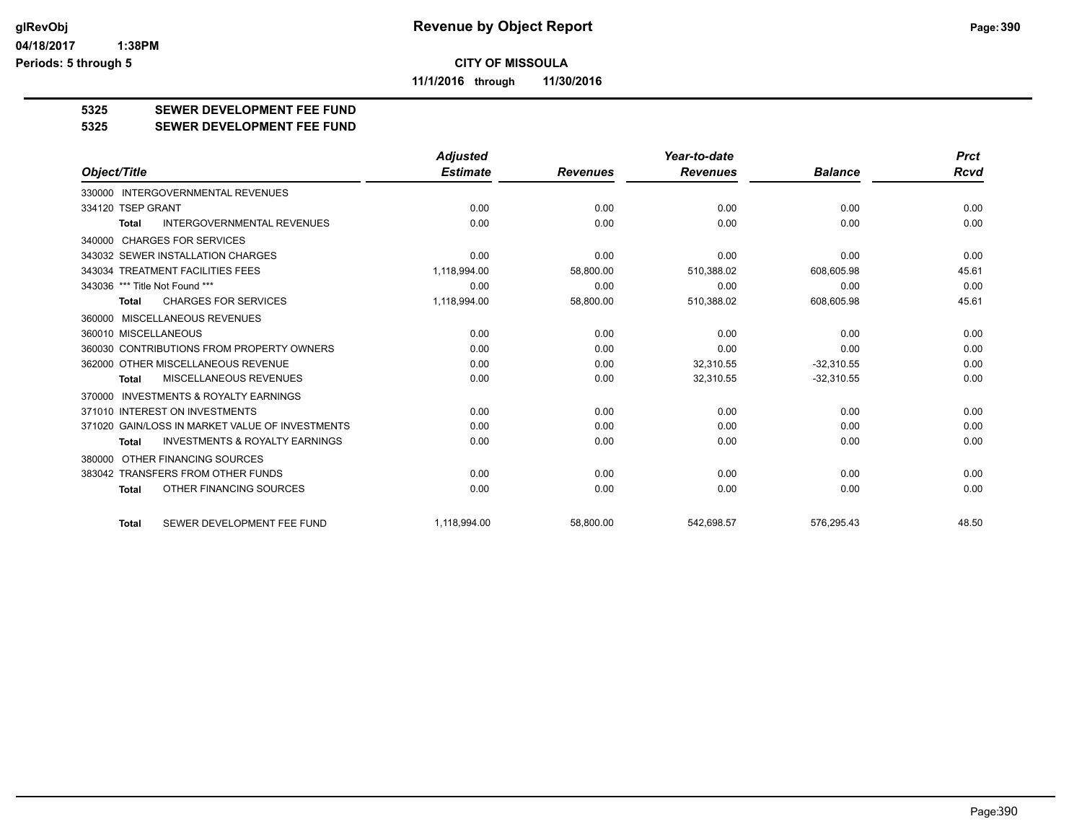**11/1/2016 through 11/30/2016**

## **5325 SEWER DEVELOPMENT FEE FUND**

**5325 SEWER DEVELOPMENT FEE FUND**

|                                                           | <b>Adjusted</b> |                 | Year-to-date    |                | <b>Prct</b> |
|-----------------------------------------------------------|-----------------|-----------------|-----------------|----------------|-------------|
| Object/Title                                              | <b>Estimate</b> | <b>Revenues</b> | <b>Revenues</b> | <b>Balance</b> | Rcvd        |
| 330000 INTERGOVERNMENTAL REVENUES                         |                 |                 |                 |                |             |
| 334120 TSEP GRANT                                         | 0.00            | 0.00            | 0.00            | 0.00           | 0.00        |
| <b>INTERGOVERNMENTAL REVENUES</b><br><b>Total</b>         | 0.00            | 0.00            | 0.00            | 0.00           | 0.00        |
| 340000 CHARGES FOR SERVICES                               |                 |                 |                 |                |             |
| 343032 SEWER INSTALLATION CHARGES                         | 0.00            | 0.00            | 0.00            | 0.00           | 0.00        |
| 343034 TREATMENT FACILITIES FEES                          | 1,118,994.00    | 58,800.00       | 510,388.02      | 608,605.98     | 45.61       |
| 343036 *** Title Not Found ***                            | 0.00            | 0.00            | 0.00            | 0.00           | 0.00        |
| <b>CHARGES FOR SERVICES</b><br><b>Total</b>               | 1,118,994.00    | 58,800.00       | 510,388.02      | 608,605.98     | 45.61       |
| 360000 MISCELLANEOUS REVENUES                             |                 |                 |                 |                |             |
| 360010 MISCELLANEOUS                                      | 0.00            | 0.00            | 0.00            | 0.00           | 0.00        |
| 360030 CONTRIBUTIONS FROM PROPERTY OWNERS                 | 0.00            | 0.00            | 0.00            | 0.00           | 0.00        |
| 362000 OTHER MISCELLANEOUS REVENUE                        | 0.00            | 0.00            | 32,310.55       | $-32,310.55$   | 0.00        |
| <b>MISCELLANEOUS REVENUES</b><br>Total                    | 0.00            | 0.00            | 32,310.55       | $-32,310.55$   | 0.00        |
| 370000 INVESTMENTS & ROYALTY EARNINGS                     |                 |                 |                 |                |             |
| 371010 INTEREST ON INVESTMENTS                            | 0.00            | 0.00            | 0.00            | 0.00           | 0.00        |
| 371020 GAIN/LOSS IN MARKET VALUE OF INVESTMENTS           | 0.00            | 0.00            | 0.00            | 0.00           | 0.00        |
| <b>INVESTMENTS &amp; ROYALTY EARNINGS</b><br><b>Total</b> | 0.00            | 0.00            | 0.00            | 0.00           | 0.00        |
| 380000 OTHER FINANCING SOURCES                            |                 |                 |                 |                |             |
| 383042 TRANSFERS FROM OTHER FUNDS                         | 0.00            | 0.00            | 0.00            | 0.00           | 0.00        |
| OTHER FINANCING SOURCES<br><b>Total</b>                   | 0.00            | 0.00            | 0.00            | 0.00           | 0.00        |
| SEWER DEVELOPMENT FEE FUND<br><b>Total</b>                | 1,118,994.00    | 58,800.00       | 542,698.57      | 576,295.43     | 48.50       |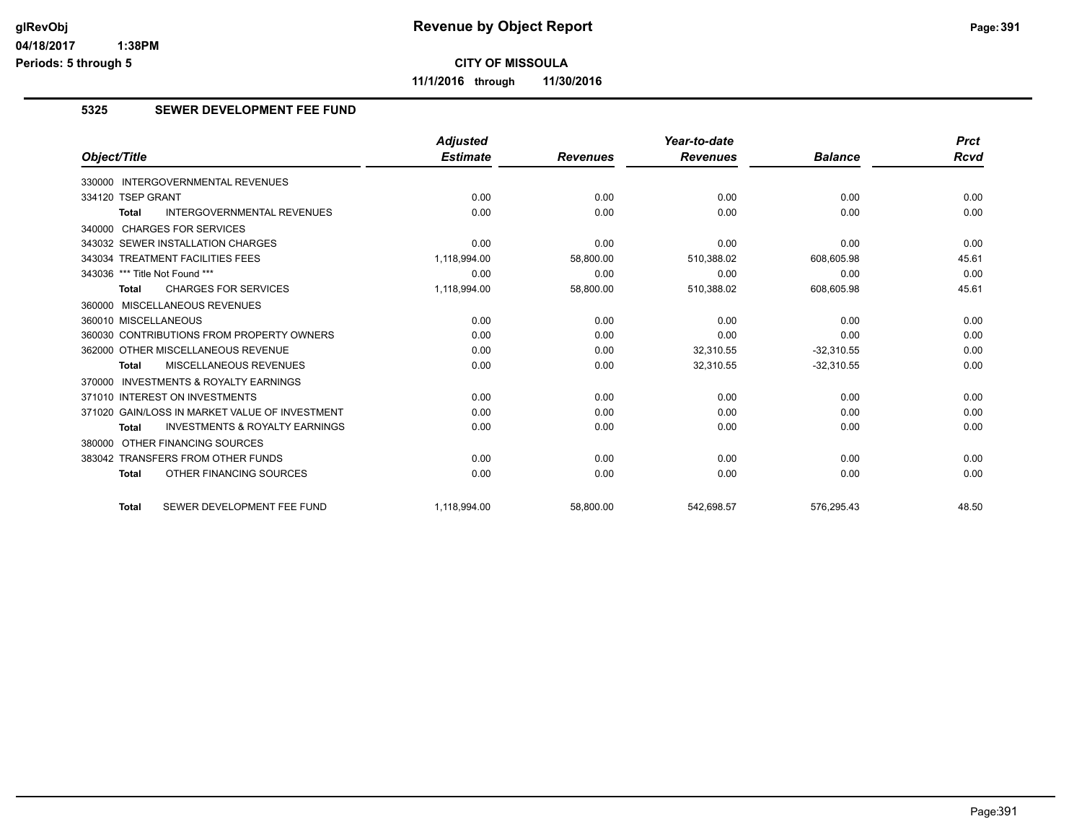**11/1/2016 through 11/30/2016**

#### **5325 SEWER DEVELOPMENT FEE FUND**

|                                                           | <b>Adjusted</b> |                 | Year-to-date    |                | <b>Prct</b> |
|-----------------------------------------------------------|-----------------|-----------------|-----------------|----------------|-------------|
| Object/Title                                              | <b>Estimate</b> | <b>Revenues</b> | <b>Revenues</b> | <b>Balance</b> | Rcvd        |
| 330000 INTERGOVERNMENTAL REVENUES                         |                 |                 |                 |                |             |
| 334120 TSEP GRANT                                         | 0.00            | 0.00            | 0.00            | 0.00           | 0.00        |
| <b>INTERGOVERNMENTAL REVENUES</b><br><b>Total</b>         | 0.00            | 0.00            | 0.00            | 0.00           | 0.00        |
| 340000 CHARGES FOR SERVICES                               |                 |                 |                 |                |             |
| 343032 SEWER INSTALLATION CHARGES                         | 0.00            | 0.00            | 0.00            | 0.00           | 0.00        |
| 343034 TREATMENT FACILITIES FEES                          | 1,118,994.00    | 58,800.00       | 510,388.02      | 608,605.98     | 45.61       |
| 343036 *** Title Not Found ***                            | 0.00            | 0.00            | 0.00            | 0.00           | 0.00        |
| <b>CHARGES FOR SERVICES</b><br><b>Total</b>               | 1,118,994.00    | 58,800.00       | 510,388.02      | 608,605.98     | 45.61       |
| 360000 MISCELLANEOUS REVENUES                             |                 |                 |                 |                |             |
| 360010 MISCELLANEOUS                                      | 0.00            | 0.00            | 0.00            | 0.00           | 0.00        |
| 360030 CONTRIBUTIONS FROM PROPERTY OWNERS                 | 0.00            | 0.00            | 0.00            | 0.00           | 0.00        |
| 362000 OTHER MISCELLANEOUS REVENUE                        | 0.00            | 0.00            | 32.310.55       | $-32,310.55$   | 0.00        |
| MISCELLANEOUS REVENUES<br><b>Total</b>                    | 0.00            | 0.00            | 32,310.55       | $-32,310.55$   | 0.00        |
| 370000 INVESTMENTS & ROYALTY EARNINGS                     |                 |                 |                 |                |             |
| 371010 INTEREST ON INVESTMENTS                            | 0.00            | 0.00            | 0.00            | 0.00           | 0.00        |
| 371020 GAIN/LOSS IN MARKET VALUE OF INVESTMENT            | 0.00            | 0.00            | 0.00            | 0.00           | 0.00        |
| <b>INVESTMENTS &amp; ROYALTY EARNINGS</b><br><b>Total</b> | 0.00            | 0.00            | 0.00            | 0.00           | 0.00        |
| 380000 OTHER FINANCING SOURCES                            |                 |                 |                 |                |             |
| 383042 TRANSFERS FROM OTHER FUNDS                         | 0.00            | 0.00            | 0.00            | 0.00           | 0.00        |
| OTHER FINANCING SOURCES<br><b>Total</b>                   | 0.00            | 0.00            | 0.00            | 0.00           | 0.00        |
| SEWER DEVELOPMENT FEE FUND<br><b>Total</b>                | 1,118,994.00    | 58.800.00       | 542.698.57      | 576.295.43     | 48.50       |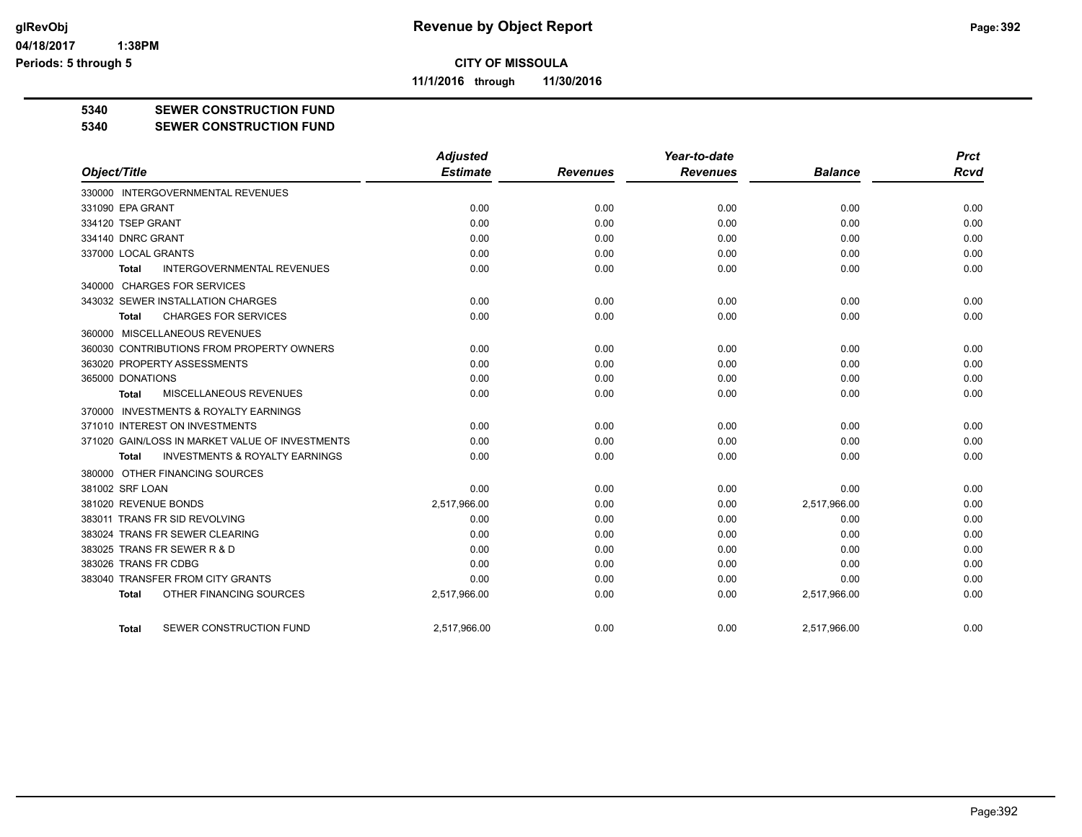**11/1/2016 through 11/30/2016**

**5340 SEWER CONSTRUCTION FUND**

**5340 SEWER CONSTRUCTION FUND**

|                                                    | <b>Adjusted</b> |                 | Year-to-date    |                | <b>Prct</b> |
|----------------------------------------------------|-----------------|-----------------|-----------------|----------------|-------------|
| Object/Title                                       | <b>Estimate</b> | <b>Revenues</b> | <b>Revenues</b> | <b>Balance</b> | <b>Rcvd</b> |
| 330000 INTERGOVERNMENTAL REVENUES                  |                 |                 |                 |                |             |
| 331090 EPA GRANT                                   | 0.00            | 0.00            | 0.00            | 0.00           | 0.00        |
| 334120 TSEP GRANT                                  | 0.00            | 0.00            | 0.00            | 0.00           | 0.00        |
| 334140 DNRC GRANT                                  | 0.00            | 0.00            | 0.00            | 0.00           | 0.00        |
| 337000 LOCAL GRANTS                                | 0.00            | 0.00            | 0.00            | 0.00           | 0.00        |
| <b>INTERGOVERNMENTAL REVENUES</b><br>Total         | 0.00            | 0.00            | 0.00            | 0.00           | 0.00        |
| 340000 CHARGES FOR SERVICES                        |                 |                 |                 |                |             |
| 343032 SEWER INSTALLATION CHARGES                  | 0.00            | 0.00            | 0.00            | 0.00           | 0.00        |
| <b>CHARGES FOR SERVICES</b><br>Total               | 0.00            | 0.00            | 0.00            | 0.00           | 0.00        |
| 360000 MISCELLANEOUS REVENUES                      |                 |                 |                 |                |             |
| 360030 CONTRIBUTIONS FROM PROPERTY OWNERS          | 0.00            | 0.00            | 0.00            | 0.00           | 0.00        |
| 363020 PROPERTY ASSESSMENTS                        | 0.00            | 0.00            | 0.00            | 0.00           | 0.00        |
| 365000 DONATIONS                                   | 0.00            | 0.00            | 0.00            | 0.00           | 0.00        |
| MISCELLANEOUS REVENUES<br><b>Total</b>             | 0.00            | 0.00            | 0.00            | 0.00           | 0.00        |
| 370000 INVESTMENTS & ROYALTY EARNINGS              |                 |                 |                 |                |             |
| 371010 INTEREST ON INVESTMENTS                     | 0.00            | 0.00            | 0.00            | 0.00           | 0.00        |
| 371020 GAIN/LOSS IN MARKET VALUE OF INVESTMENTS    | 0.00            | 0.00            | 0.00            | 0.00           | 0.00        |
| <b>INVESTMENTS &amp; ROYALTY EARNINGS</b><br>Total | 0.00            | 0.00            | 0.00            | 0.00           | 0.00        |
| 380000 OTHER FINANCING SOURCES                     |                 |                 |                 |                |             |
| 381002 SRF LOAN                                    | 0.00            | 0.00            | 0.00            | 0.00           | 0.00        |
| 381020 REVENUE BONDS                               | 2,517,966.00    | 0.00            | 0.00            | 2,517,966.00   | 0.00        |
| 383011 TRANS FR SID REVOLVING                      | 0.00            | 0.00            | 0.00            | 0.00           | 0.00        |
| 383024 TRANS FR SEWER CLEARING                     | 0.00            | 0.00            | 0.00            | 0.00           | 0.00        |
| 383025 TRANS FR SEWER R & D                        | 0.00            | 0.00            | 0.00            | 0.00           | 0.00        |
| 383026 TRANS FR CDBG                               | 0.00            | 0.00            | 0.00            | 0.00           | 0.00        |
| 383040 TRANSFER FROM CITY GRANTS                   | 0.00            | 0.00            | 0.00            | 0.00           | 0.00        |
| OTHER FINANCING SOURCES<br><b>Total</b>            | 2,517,966.00    | 0.00            | 0.00            | 2,517,966.00   | 0.00        |
| SEWER CONSTRUCTION FUND<br><b>Total</b>            | 2,517,966.00    | 0.00            | 0.00            | 2,517,966.00   | 0.00        |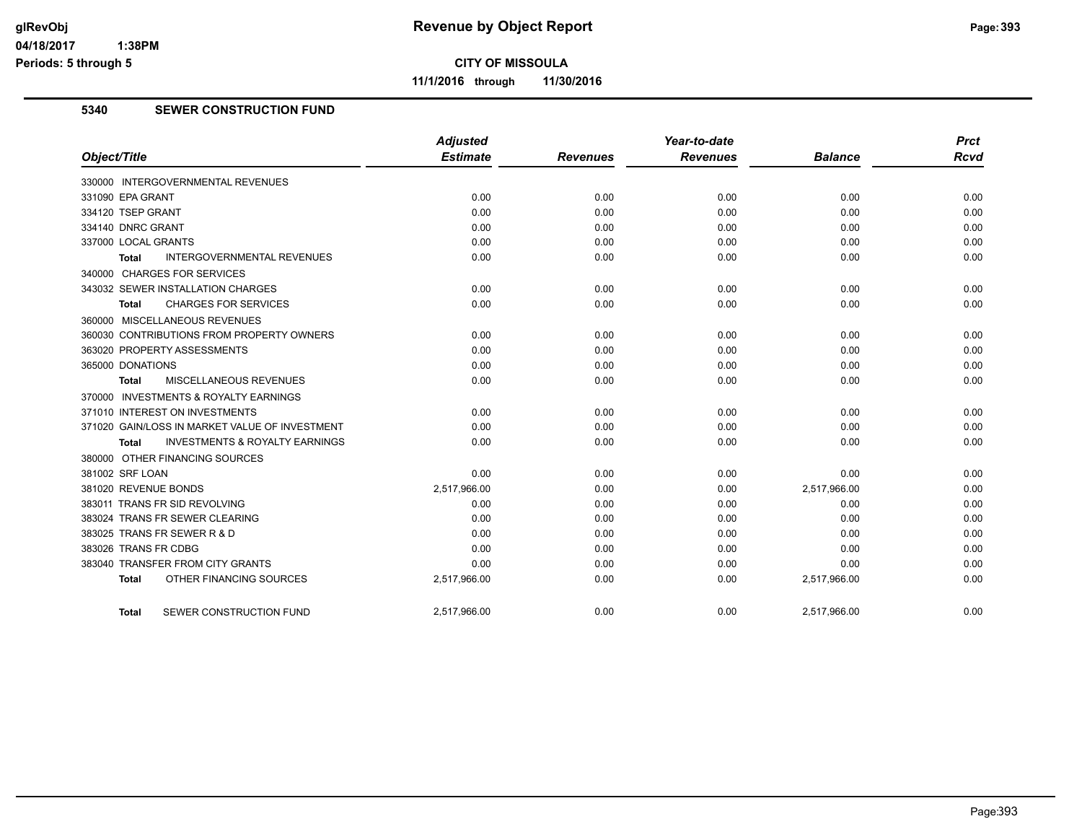**11/1/2016 through 11/30/2016**

#### **5340 SEWER CONSTRUCTION FUND**

|                                                    | <b>Adjusted</b> |                 | Year-to-date    |                | <b>Prct</b> |
|----------------------------------------------------|-----------------|-----------------|-----------------|----------------|-------------|
| Object/Title                                       | <b>Estimate</b> | <b>Revenues</b> | <b>Revenues</b> | <b>Balance</b> | <b>Rcvd</b> |
| 330000 INTERGOVERNMENTAL REVENUES                  |                 |                 |                 |                |             |
| 331090 EPA GRANT                                   | 0.00            | 0.00            | 0.00            | 0.00           | 0.00        |
| 334120 TSEP GRANT                                  | 0.00            | 0.00            | 0.00            | 0.00           | 0.00        |
| 334140 DNRC GRANT                                  | 0.00            | 0.00            | 0.00            | 0.00           | 0.00        |
| 337000 LOCAL GRANTS                                | 0.00            | 0.00            | 0.00            | 0.00           | 0.00        |
| <b>INTERGOVERNMENTAL REVENUES</b><br>Total         | 0.00            | 0.00            | 0.00            | 0.00           | 0.00        |
| 340000 CHARGES FOR SERVICES                        |                 |                 |                 |                |             |
| 343032 SEWER INSTALLATION CHARGES                  | 0.00            | 0.00            | 0.00            | 0.00           | 0.00        |
| <b>CHARGES FOR SERVICES</b><br><b>Total</b>        | 0.00            | 0.00            | 0.00            | 0.00           | 0.00        |
| 360000 MISCELLANEOUS REVENUES                      |                 |                 |                 |                |             |
| 360030 CONTRIBUTIONS FROM PROPERTY OWNERS          | 0.00            | 0.00            | 0.00            | 0.00           | 0.00        |
| 363020 PROPERTY ASSESSMENTS                        | 0.00            | 0.00            | 0.00            | 0.00           | 0.00        |
| 365000 DONATIONS                                   | 0.00            | 0.00            | 0.00            | 0.00           | 0.00        |
| MISCELLANEOUS REVENUES<br>Total                    | 0.00            | 0.00            | 0.00            | 0.00           | 0.00        |
| 370000 INVESTMENTS & ROYALTY EARNINGS              |                 |                 |                 |                |             |
| 371010 INTEREST ON INVESTMENTS                     | 0.00            | 0.00            | 0.00            | 0.00           | 0.00        |
| 371020 GAIN/LOSS IN MARKET VALUE OF INVESTMENT     | 0.00            | 0.00            | 0.00            | 0.00           | 0.00        |
| <b>INVESTMENTS &amp; ROYALTY EARNINGS</b><br>Total | 0.00            | 0.00            | 0.00            | 0.00           | 0.00        |
| 380000 OTHER FINANCING SOURCES                     |                 |                 |                 |                |             |
| 381002 SRF LOAN                                    | 0.00            | 0.00            | 0.00            | 0.00           | 0.00        |
| 381020 REVENUE BONDS                               | 2,517,966.00    | 0.00            | 0.00            | 2,517,966.00   | 0.00        |
| 383011 TRANS FR SID REVOLVING                      | 0.00            | 0.00            | 0.00            | 0.00           | 0.00        |
| 383024 TRANS FR SEWER CLEARING                     | 0.00            | 0.00            | 0.00            | 0.00           | 0.00        |
| 383025 TRANS FR SEWER R & D                        | 0.00            | 0.00            | 0.00            | 0.00           | 0.00        |
| 383026 TRANS FR CDBG                               | 0.00            | 0.00            | 0.00            | 0.00           | 0.00        |
| 383040 TRANSFER FROM CITY GRANTS                   | 0.00            | 0.00            | 0.00            | 0.00           | 0.00        |
| OTHER FINANCING SOURCES<br><b>Total</b>            | 2,517,966.00    | 0.00            | 0.00            | 2,517,966.00   | 0.00        |
| SEWER CONSTRUCTION FUND<br><b>Total</b>            | 2,517,966.00    | 0.00            | 0.00            | 2,517,966.00   | 0.00        |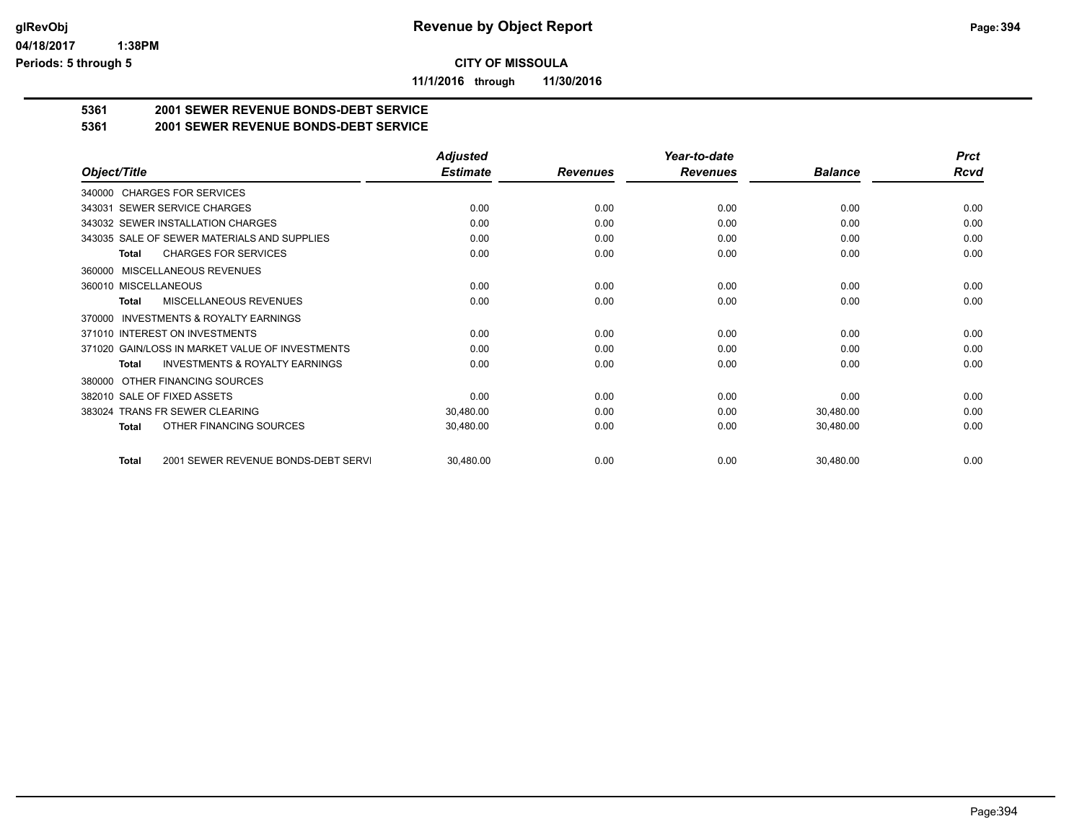**11/1/2016 through 11/30/2016**

# **5361 2001 SEWER REVENUE BONDS-DEBT SERVICE**

## **5361 2001 SEWER REVENUE BONDS-DEBT SERVICE**

|                                                     | <b>Adjusted</b> |                 | Year-to-date    |                | <b>Prct</b> |
|-----------------------------------------------------|-----------------|-----------------|-----------------|----------------|-------------|
| Object/Title                                        | <b>Estimate</b> | <b>Revenues</b> | <b>Revenues</b> | <b>Balance</b> | Rcvd        |
| 340000 CHARGES FOR SERVICES                         |                 |                 |                 |                |             |
| <b>SEWER SERVICE CHARGES</b><br>343031              | 0.00            | 0.00            | 0.00            | 0.00           | 0.00        |
| 343032 SEWER INSTALLATION CHARGES                   | 0.00            | 0.00            | 0.00            | 0.00           | 0.00        |
| 343035 SALE OF SEWER MATERIALS AND SUPPLIES         | 0.00            | 0.00            | 0.00            | 0.00           | 0.00        |
| <b>CHARGES FOR SERVICES</b><br><b>Total</b>         | 0.00            | 0.00            | 0.00            | 0.00           | 0.00        |
| 360000 MISCELLANEOUS REVENUES                       |                 |                 |                 |                |             |
| 360010 MISCELLANEOUS                                | 0.00            | 0.00            | 0.00            | 0.00           | 0.00        |
| MISCELLANEOUS REVENUES<br>Total                     | 0.00            | 0.00            | 0.00            | 0.00           | 0.00        |
| <b>INVESTMENTS &amp; ROYALTY EARNINGS</b><br>370000 |                 |                 |                 |                |             |
| 371010 INTEREST ON INVESTMENTS                      | 0.00            | 0.00            | 0.00            | 0.00           | 0.00        |
| 371020 GAIN/LOSS IN MARKET VALUE OF INVESTMENTS     | 0.00            | 0.00            | 0.00            | 0.00           | 0.00        |
| <b>INVESTMENTS &amp; ROYALTY EARNINGS</b><br>Total  | 0.00            | 0.00            | 0.00            | 0.00           | 0.00        |
| OTHER FINANCING SOURCES<br>380000                   |                 |                 |                 |                |             |
| 382010 SALE OF FIXED ASSETS                         | 0.00            | 0.00            | 0.00            | 0.00           | 0.00        |
| 383024 TRANS FR SEWER CLEARING                      | 30,480.00       | 0.00            | 0.00            | 30,480.00      | 0.00        |
| OTHER FINANCING SOURCES<br><b>Total</b>             | 30,480.00       | 0.00            | 0.00            | 30,480.00      | 0.00        |
|                                                     |                 |                 |                 |                |             |
| 2001 SEWER REVENUE BONDS-DEBT SERVI<br><b>Total</b> | 30,480.00       | 0.00            | 0.00            | 30,480.00      | 0.00        |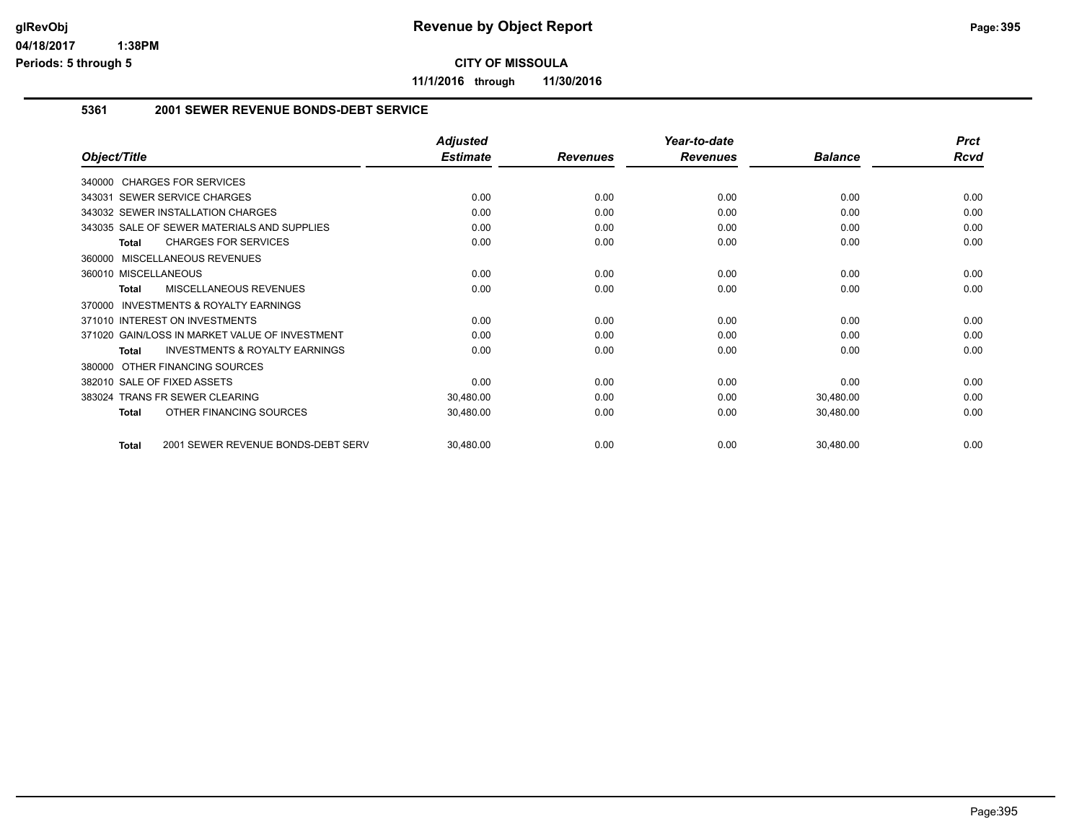**11/1/2016 through 11/30/2016**

#### **5361 2001 SEWER REVENUE BONDS-DEBT SERVICE**

|                                                    | <b>Adjusted</b> |                 | Year-to-date    |                | <b>Prct</b> |
|----------------------------------------------------|-----------------|-----------------|-----------------|----------------|-------------|
| Object/Title                                       | <b>Estimate</b> | <b>Revenues</b> | <b>Revenues</b> | <b>Balance</b> | <b>Rcvd</b> |
| <b>CHARGES FOR SERVICES</b><br>340000              |                 |                 |                 |                |             |
| 343031 SEWER SERVICE CHARGES                       | 0.00            | 0.00            | 0.00            | 0.00           | 0.00        |
| 343032 SEWER INSTALLATION CHARGES                  | 0.00            | 0.00            | 0.00            | 0.00           | 0.00        |
| 343035 SALE OF SEWER MATERIALS AND SUPPLIES        | 0.00            | 0.00            | 0.00            | 0.00           | 0.00        |
| <b>CHARGES FOR SERVICES</b><br><b>Total</b>        | 0.00            | 0.00            | 0.00            | 0.00           | 0.00        |
| MISCELLANEOUS REVENUES<br>360000                   |                 |                 |                 |                |             |
| 360010 MISCELLANEOUS                               | 0.00            | 0.00            | 0.00            | 0.00           | 0.00        |
| <b>MISCELLANEOUS REVENUES</b><br><b>Total</b>      | 0.00            | 0.00            | 0.00            | 0.00           | 0.00        |
| INVESTMENTS & ROYALTY EARNINGS<br>370000           |                 |                 |                 |                |             |
| 371010 INTEREST ON INVESTMENTS                     | 0.00            | 0.00            | 0.00            | 0.00           | 0.00        |
| 371020 GAIN/LOSS IN MARKET VALUE OF INVESTMENT     | 0.00            | 0.00            | 0.00            | 0.00           | 0.00        |
| <b>INVESTMENTS &amp; ROYALTY EARNINGS</b><br>Total | 0.00            | 0.00            | 0.00            | 0.00           | 0.00        |
| OTHER FINANCING SOURCES<br>380000                  |                 |                 |                 |                |             |
| 382010 SALE OF FIXED ASSETS                        | 0.00            | 0.00            | 0.00            | 0.00           | 0.00        |
| 383024 TRANS FR SEWER CLEARING                     | 30,480.00       | 0.00            | 0.00            | 30,480.00      | 0.00        |
| OTHER FINANCING SOURCES<br><b>Total</b>            | 30,480.00       | 0.00            | 0.00            | 30,480.00      | 0.00        |
| 2001 SEWER REVENUE BONDS-DEBT SERV<br><b>Total</b> | 30,480.00       | 0.00            | 0.00            | 30,480.00      | 0.00        |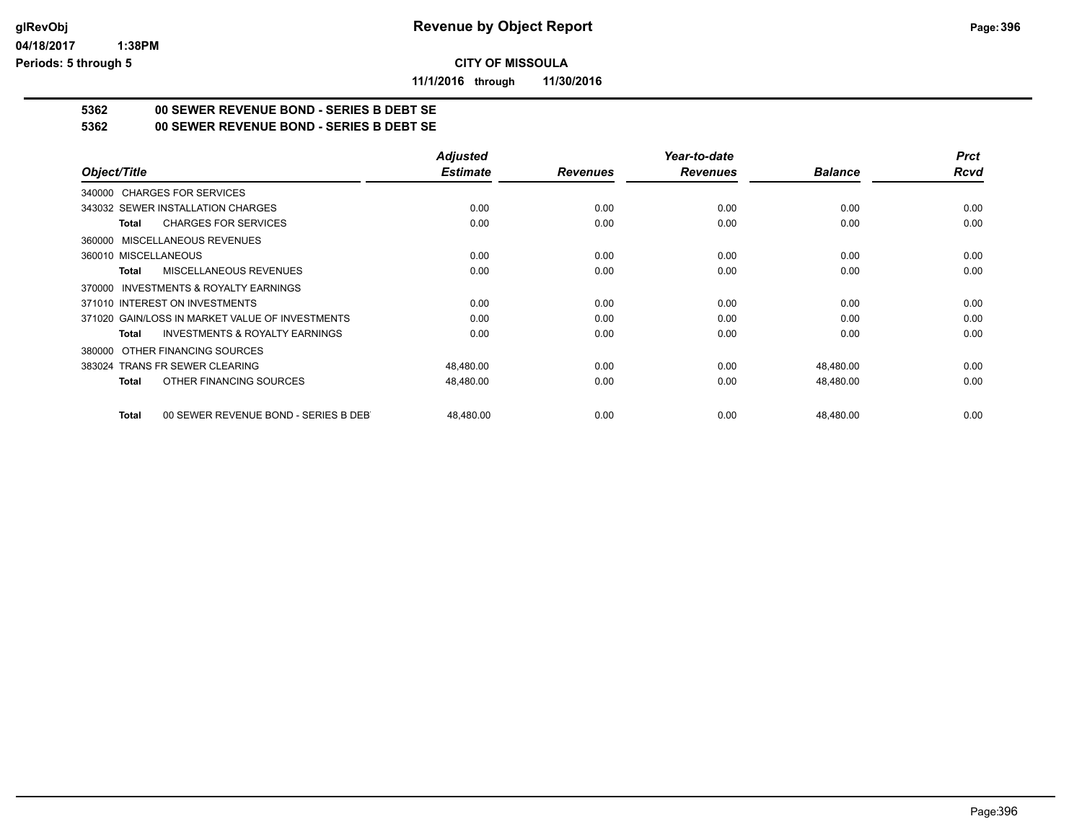**11/1/2016 through 11/30/2016**

#### **5362 00 SEWER REVENUE BOND - SERIES B DEBT SE 5362 00 SEWER REVENUE BOND - SERIES B DEBT SE**

|                                                    | <b>Adjusted</b> |                 | Year-to-date    |                | <b>Prct</b> |
|----------------------------------------------------|-----------------|-----------------|-----------------|----------------|-------------|
| Object/Title                                       | <b>Estimate</b> | <b>Revenues</b> | <b>Revenues</b> | <b>Balance</b> | Rcvd        |
| 340000 CHARGES FOR SERVICES                        |                 |                 |                 |                |             |
| 343032 SEWER INSTALLATION CHARGES                  | 0.00            | 0.00            | 0.00            | 0.00           | 0.00        |
| <b>CHARGES FOR SERVICES</b><br><b>Total</b>        | 0.00            | 0.00            | 0.00            | 0.00           | 0.00        |
| MISCELLANEOUS REVENUES<br>360000                   |                 |                 |                 |                |             |
| 360010 MISCELLANEOUS                               | 0.00            | 0.00            | 0.00            | 0.00           | 0.00        |
| <b>MISCELLANEOUS REVENUES</b><br>Total             | 0.00            | 0.00            | 0.00            | 0.00           | 0.00        |
| INVESTMENTS & ROYALTY EARNINGS<br>370000           |                 |                 |                 |                |             |
| 371010 INTEREST ON INVESTMENTS                     | 0.00            | 0.00            | 0.00            | 0.00           | 0.00        |
| 371020 GAIN/LOSS IN MARKET VALUE OF INVESTMENTS    | 0.00            | 0.00            | 0.00            | 0.00           | 0.00        |
| <b>INVESTMENTS &amp; ROYALTY EARNINGS</b><br>Total | 0.00            | 0.00            | 0.00            | 0.00           | 0.00        |
| OTHER FINANCING SOURCES<br>380000                  |                 |                 |                 |                |             |
| 383024 TRANS FR SEWER CLEARING                     | 48,480.00       | 0.00            | 0.00            | 48,480.00      | 0.00        |
| OTHER FINANCING SOURCES<br>Total                   | 48,480.00       | 0.00            | 0.00            | 48,480.00      | 0.00        |
| 00 SEWER REVENUE BOND - SERIES B DEB               | 48,480.00       | 0.00            | 0.00            | 48,480.00      | 0.00        |
| <b>Total</b>                                       |                 |                 |                 |                |             |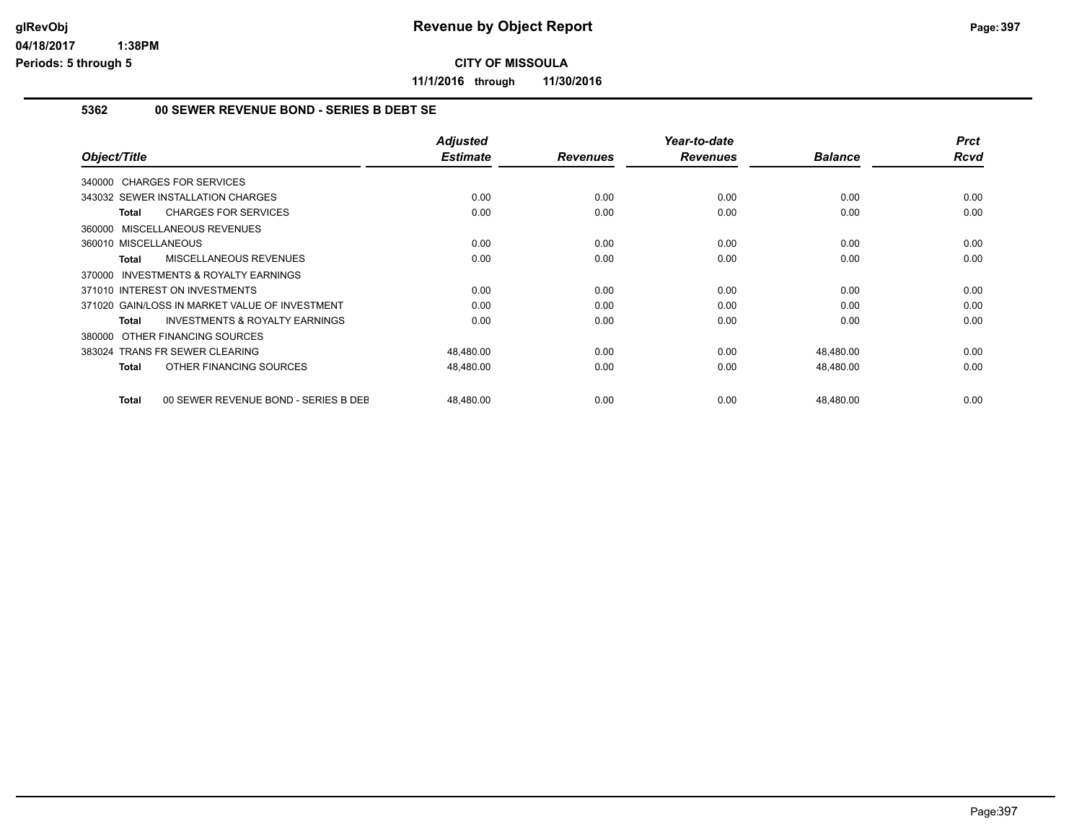**11/1/2016 through 11/30/2016**

### **5362 00 SEWER REVENUE BOND - SERIES B DEBT SE**

|                                                      | <b>Adjusted</b> |                 | Year-to-date    |                | <b>Prct</b> |
|------------------------------------------------------|-----------------|-----------------|-----------------|----------------|-------------|
| Object/Title                                         | <b>Estimate</b> | <b>Revenues</b> | <b>Revenues</b> | <b>Balance</b> | <b>Rcvd</b> |
| 340000 CHARGES FOR SERVICES                          |                 |                 |                 |                |             |
| 343032 SEWER INSTALLATION CHARGES                    | 0.00            | 0.00            | 0.00            | 0.00           | 0.00        |
| <b>CHARGES FOR SERVICES</b><br>Total                 | 0.00            | 0.00            | 0.00            | 0.00           | 0.00        |
| 360000 MISCELLANEOUS REVENUES                        |                 |                 |                 |                |             |
| 360010 MISCELLANEOUS                                 | 0.00            | 0.00            | 0.00            | 0.00           | 0.00        |
| MISCELLANEOUS REVENUES<br>Total                      | 0.00            | 0.00            | 0.00            | 0.00           | 0.00        |
| <b>INVESTMENTS &amp; ROYALTY EARNINGS</b><br>370000  |                 |                 |                 |                |             |
| 371010 INTEREST ON INVESTMENTS                       | 0.00            | 0.00            | 0.00            | 0.00           | 0.00        |
| 371020 GAIN/LOSS IN MARKET VALUE OF INVESTMENT       | 0.00            | 0.00            | 0.00            | 0.00           | 0.00        |
| <b>INVESTMENTS &amp; ROYALTY EARNINGS</b><br>Total   | 0.00            | 0.00            | 0.00            | 0.00           | 0.00        |
| OTHER FINANCING SOURCES<br>380000                    |                 |                 |                 |                |             |
| 383024 TRANS FR SEWER CLEARING                       | 48,480.00       | 0.00            | 0.00            | 48,480.00      | 0.00        |
| OTHER FINANCING SOURCES<br>Total                     | 48,480.00       | 0.00            | 0.00            | 48,480.00      | 0.00        |
|                                                      |                 |                 |                 |                |             |
| 00 SEWER REVENUE BOND - SERIES B DEE<br><b>Total</b> | 48,480.00       | 0.00            | 0.00            | 48,480.00      | 0.00        |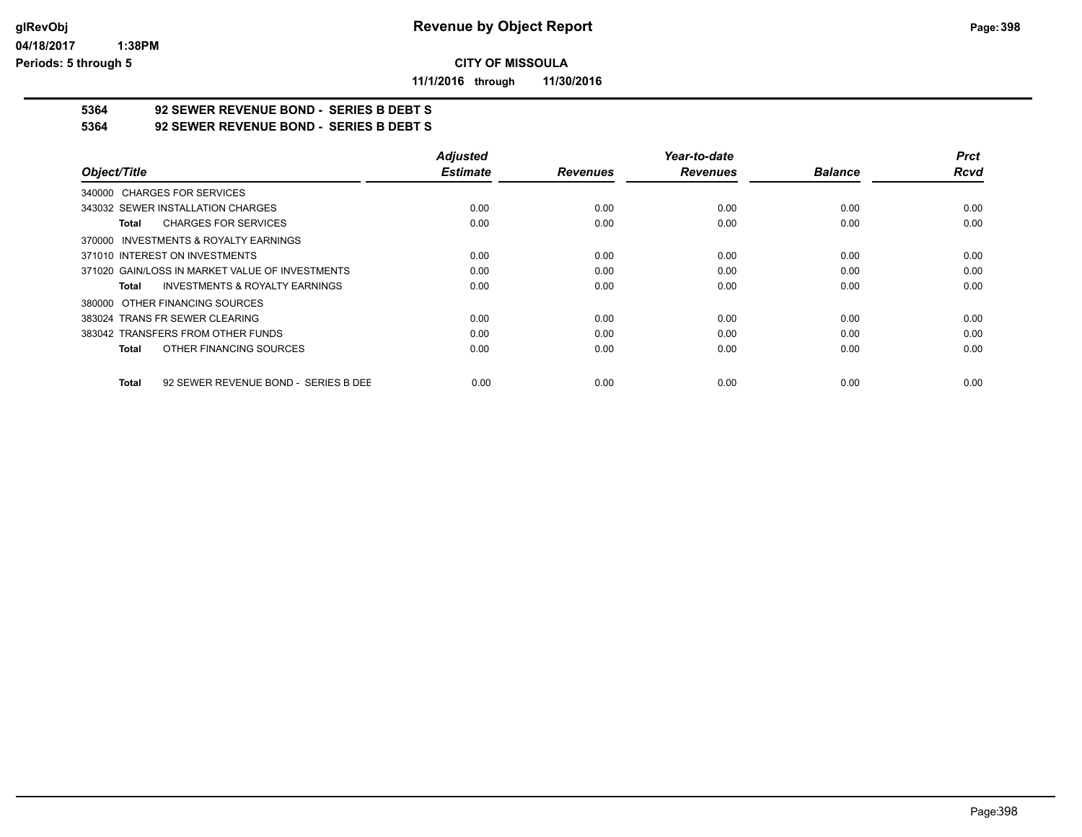**11/1/2016 through 11/30/2016**

### **5364 92 SEWER REVENUE BOND - SERIES B DEBT S 5364 92 SEWER REVENUE BOND - SERIES B DEBT S**

|                                                      | <b>Adjusted</b> |                 | Year-to-date    |                | <b>Prct</b> |
|------------------------------------------------------|-----------------|-----------------|-----------------|----------------|-------------|
| Object/Title                                         | <b>Estimate</b> | <b>Revenues</b> | <b>Revenues</b> | <b>Balance</b> | Rcvd        |
| 340000 CHARGES FOR SERVICES                          |                 |                 |                 |                |             |
| 343032 SEWER INSTALLATION CHARGES                    | 0.00            | 0.00            | 0.00            | 0.00           | 0.00        |
| <b>CHARGES FOR SERVICES</b><br>Total                 | 0.00            | 0.00            | 0.00            | 0.00           | 0.00        |
| 370000 INVESTMENTS & ROYALTY EARNINGS                |                 |                 |                 |                |             |
| 371010 INTEREST ON INVESTMENTS                       | 0.00            | 0.00            | 0.00            | 0.00           | 0.00        |
| 371020 GAIN/LOSS IN MARKET VALUE OF INVESTMENTS      | 0.00            | 0.00            | 0.00            | 0.00           | 0.00        |
| <b>INVESTMENTS &amp; ROYALTY EARNINGS</b><br>Total   | 0.00            | 0.00            | 0.00            | 0.00           | 0.00        |
| 380000 OTHER FINANCING SOURCES                       |                 |                 |                 |                |             |
| 383024 TRANS FR SEWER CLEARING                       | 0.00            | 0.00            | 0.00            | 0.00           | 0.00        |
| 383042 TRANSFERS FROM OTHER FUNDS                    | 0.00            | 0.00            | 0.00            | 0.00           | 0.00        |
| OTHER FINANCING SOURCES<br>Total                     | 0.00            | 0.00            | 0.00            | 0.00           | 0.00        |
| 92 SEWER REVENUE BOND - SERIES B DEE<br><b>Total</b> | 0.00            | 0.00            | 0.00            | 0.00           | 0.00        |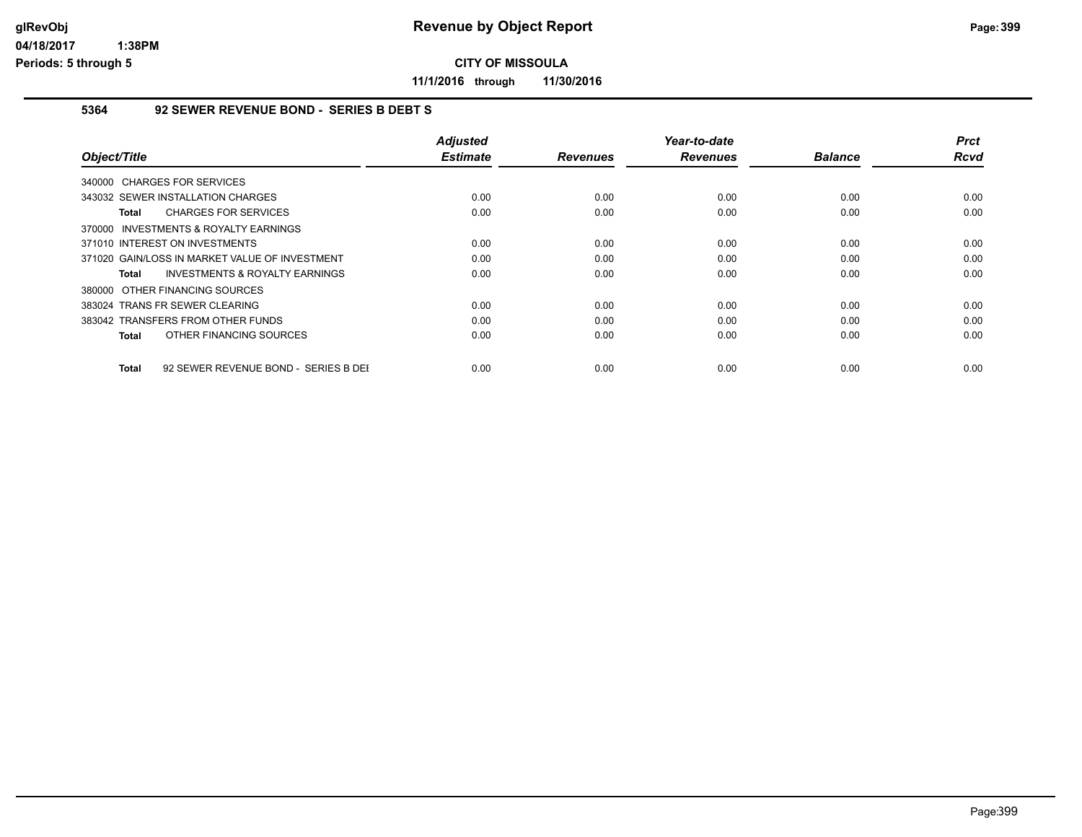**11/1/2016 through 11/30/2016**

### **5364 92 SEWER REVENUE BOND - SERIES B DEBT S**

| Object/Title                                         | <b>Adjusted</b><br><b>Estimate</b> | <b>Revenues</b> | Year-to-date<br><b>Revenues</b> | <b>Balance</b> | <b>Prct</b><br><b>Rcvd</b> |
|------------------------------------------------------|------------------------------------|-----------------|---------------------------------|----------------|----------------------------|
| 340000 CHARGES FOR SERVICES                          |                                    |                 |                                 |                |                            |
| 343032 SEWER INSTALLATION CHARGES                    | 0.00                               | 0.00            | 0.00                            | 0.00           | 0.00                       |
| <b>CHARGES FOR SERVICES</b><br><b>Total</b>          | 0.00                               | 0.00            | 0.00                            | 0.00           | 0.00                       |
| 370000 INVESTMENTS & ROYALTY EARNINGS                |                                    |                 |                                 |                |                            |
| 371010 INTEREST ON INVESTMENTS                       | 0.00                               | 0.00            | 0.00                            | 0.00           | 0.00                       |
| 371020 GAIN/LOSS IN MARKET VALUE OF INVESTMENT       | 0.00                               | 0.00            | 0.00                            | 0.00           | 0.00                       |
| <b>INVESTMENTS &amp; ROYALTY EARNINGS</b><br>Total   | 0.00                               | 0.00            | 0.00                            | 0.00           | 0.00                       |
| 380000 OTHER FINANCING SOURCES                       |                                    |                 |                                 |                |                            |
| 383024 TRANS FR SEWER CLEARING                       | 0.00                               | 0.00            | 0.00                            | 0.00           | 0.00                       |
| 383042 TRANSFERS FROM OTHER FUNDS                    | 0.00                               | 0.00            | 0.00                            | 0.00           | 0.00                       |
| OTHER FINANCING SOURCES<br><b>Total</b>              | 0.00                               | 0.00            | 0.00                            | 0.00           | 0.00                       |
| 92 SEWER REVENUE BOND - SERIES B DEI<br><b>Total</b> | 0.00                               | 0.00            | 0.00                            | 0.00           | 0.00                       |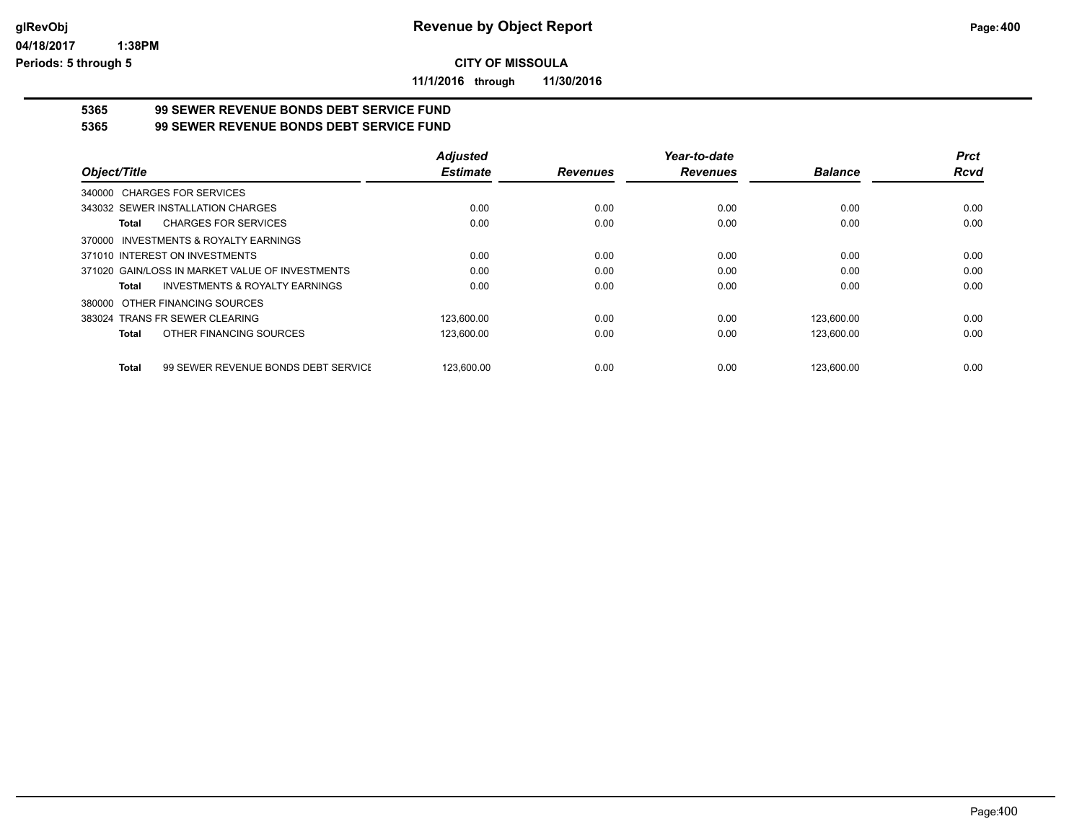**11/1/2016 through 11/30/2016**

#### **5365 99 SEWER REVENUE BONDS DEBT SERVICE FUND 5365 99 SEWER REVENUE BONDS DEBT SERVICE FUND**

|                                                     | <b>Adjusted</b> |                 | Year-to-date    |                | <b>Prct</b> |
|-----------------------------------------------------|-----------------|-----------------|-----------------|----------------|-------------|
| Object/Title                                        | <b>Estimate</b> | <b>Revenues</b> | <b>Revenues</b> | <b>Balance</b> | <b>Rcvd</b> |
| <b>CHARGES FOR SERVICES</b><br>340000               |                 |                 |                 |                |             |
| 343032 SEWER INSTALLATION CHARGES                   | 0.00            | 0.00            | 0.00            | 0.00           | 0.00        |
| <b>CHARGES FOR SERVICES</b><br>Total                | 0.00            | 0.00            | 0.00            | 0.00           | 0.00        |
| <b>INVESTMENTS &amp; ROYALTY EARNINGS</b><br>370000 |                 |                 |                 |                |             |
| 371010 INTEREST ON INVESTMENTS                      | 0.00            | 0.00            | 0.00            | 0.00           | 0.00        |
| 371020 GAIN/LOSS IN MARKET VALUE OF INVESTMENTS     | 0.00            | 0.00            | 0.00            | 0.00           | 0.00        |
| <b>INVESTMENTS &amp; ROYALTY EARNINGS</b><br>Total  | 0.00            | 0.00            | 0.00            | 0.00           | 0.00        |
| OTHER FINANCING SOURCES<br>380000                   |                 |                 |                 |                |             |
| 383024 TRANS FR SEWER CLEARING                      | 123,600.00      | 0.00            | 0.00            | 123,600.00     | 0.00        |
| OTHER FINANCING SOURCES<br>Total                    | 123,600.00      | 0.00            | 0.00            | 123,600.00     | 0.00        |
| 99 SEWER REVENUE BONDS DEBT SERVICE<br><b>Total</b> | 123.600.00      | 0.00            | 0.00            | 123.600.00     | 0.00        |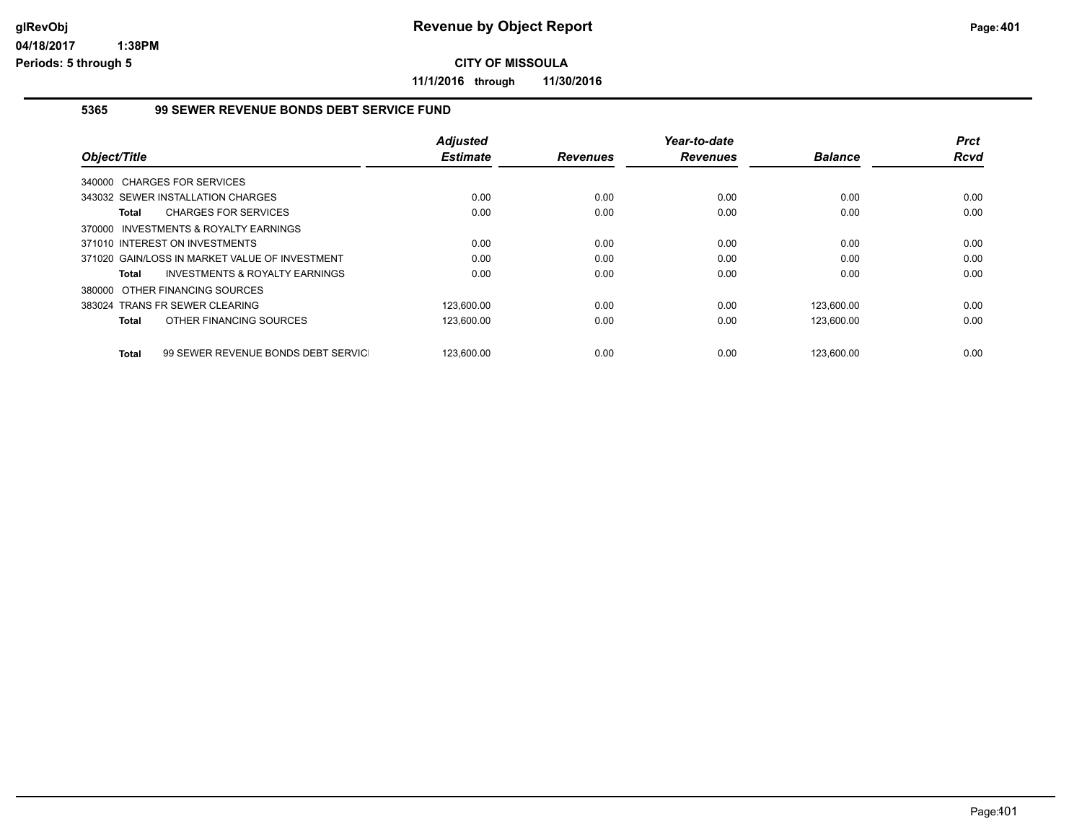**11/1/2016 through 11/30/2016**

#### **5365 99 SEWER REVENUE BONDS DEBT SERVICE FUND**

| Object/Title                                              | <b>Adjusted</b><br><b>Estimate</b> | <b>Revenues</b> | Year-to-date<br><b>Revenues</b> | <b>Balance</b> | <b>Prct</b><br><b>Rcvd</b> |
|-----------------------------------------------------------|------------------------------------|-----------------|---------------------------------|----------------|----------------------------|
| <b>CHARGES FOR SERVICES</b><br>340000                     |                                    |                 |                                 |                |                            |
| 343032 SEWER INSTALLATION CHARGES                         | 0.00                               | 0.00            | 0.00                            | 0.00           | 0.00                       |
| <b>CHARGES FOR SERVICES</b><br><b>Total</b>               | 0.00                               | 0.00            | 0.00                            | 0.00           | 0.00                       |
| INVESTMENTS & ROYALTY EARNINGS<br>370000                  |                                    |                 |                                 |                |                            |
| 371010 INTEREST ON INVESTMENTS                            | 0.00                               | 0.00            | 0.00                            | 0.00           | 0.00                       |
| 371020 GAIN/LOSS IN MARKET VALUE OF INVESTMENT            | 0.00                               | 0.00            | 0.00                            | 0.00           | 0.00                       |
| <b>INVESTMENTS &amp; ROYALTY EARNINGS</b><br><b>Total</b> | 0.00                               | 0.00            | 0.00                            | 0.00           | 0.00                       |
| 380000 OTHER FINANCING SOURCES                            |                                    |                 |                                 |                |                            |
| 383024 TRANS FR SEWER CLEARING                            | 123,600.00                         | 0.00            | 0.00                            | 123,600.00     | 0.00                       |
| OTHER FINANCING SOURCES<br><b>Total</b>                   | 123,600.00                         | 0.00            | 0.00                            | 123,600.00     | 0.00                       |
| 99 SEWER REVENUE BONDS DEBT SERVIC<br><b>Total</b>        | 123.600.00                         | 0.00            | 0.00                            | 123.600.00     | 0.00                       |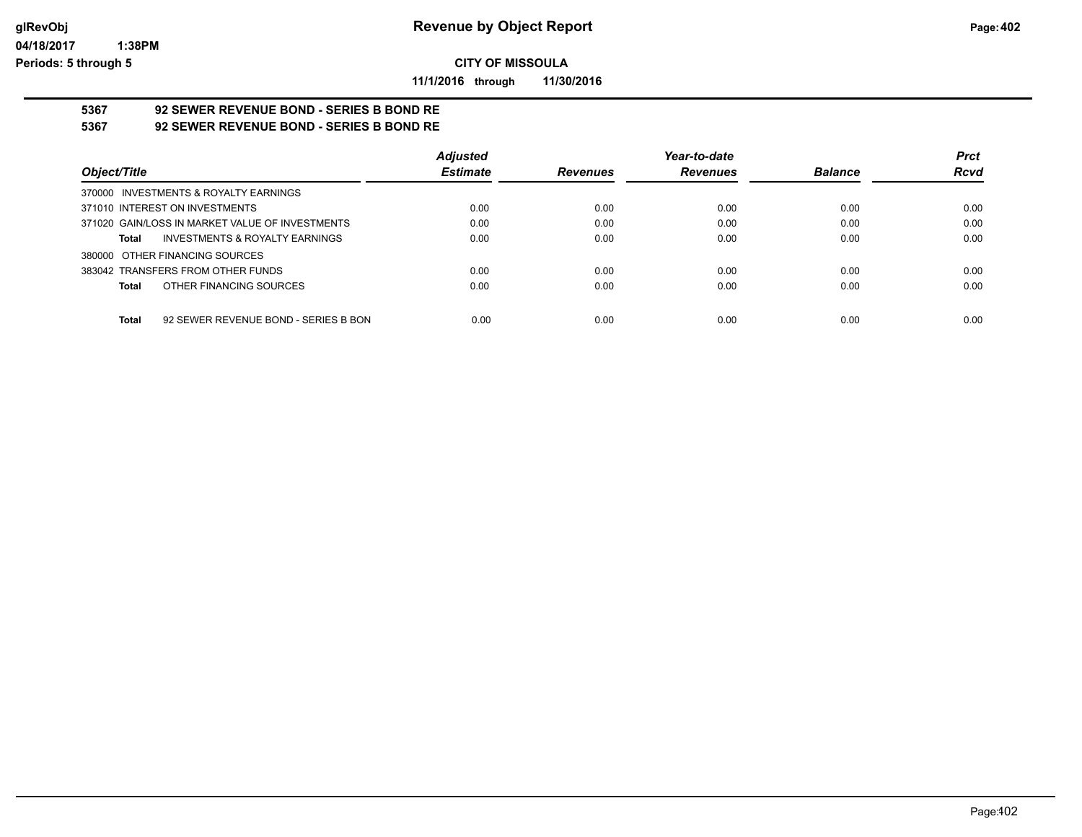**11/1/2016 through 11/30/2016**

#### **5367 92 SEWER REVENUE BOND - SERIES B BOND RE 5367 92 SEWER REVENUE BOND - SERIES B BOND RE**

|                                                      | <b>Adiusted</b> |                 | Year-to-date    |                | <b>Prct</b> |
|------------------------------------------------------|-----------------|-----------------|-----------------|----------------|-------------|
| Object/Title                                         | <b>Estimate</b> | <b>Revenues</b> | <b>Revenues</b> | <b>Balance</b> | <b>Rcvd</b> |
| 370000 INVESTMENTS & ROYALTY EARNINGS                |                 |                 |                 |                |             |
| 371010 INTEREST ON INVESTMENTS                       | 0.00            | 0.00            | 0.00            | 0.00           | 0.00        |
| 371020 GAIN/LOSS IN MARKET VALUE OF INVESTMENTS      | 0.00            | 0.00            | 0.00            | 0.00           | 0.00        |
| <b>INVESTMENTS &amp; ROYALTY EARNINGS</b><br>Total   | 0.00            | 0.00            | 0.00            | 0.00           | 0.00        |
| 380000 OTHER FINANCING SOURCES                       |                 |                 |                 |                |             |
| 383042 TRANSFERS FROM OTHER FUNDS                    | 0.00            | 0.00            | 0.00            | 0.00           | 0.00        |
| OTHER FINANCING SOURCES<br>Total                     | 0.00            | 0.00            | 0.00            | 0.00           | 0.00        |
|                                                      |                 |                 |                 |                |             |
| <b>Total</b><br>92 SEWER REVENUE BOND - SERIES B BON | 0.00            | 0.00            | 0.00            | 0.00           | 0.00        |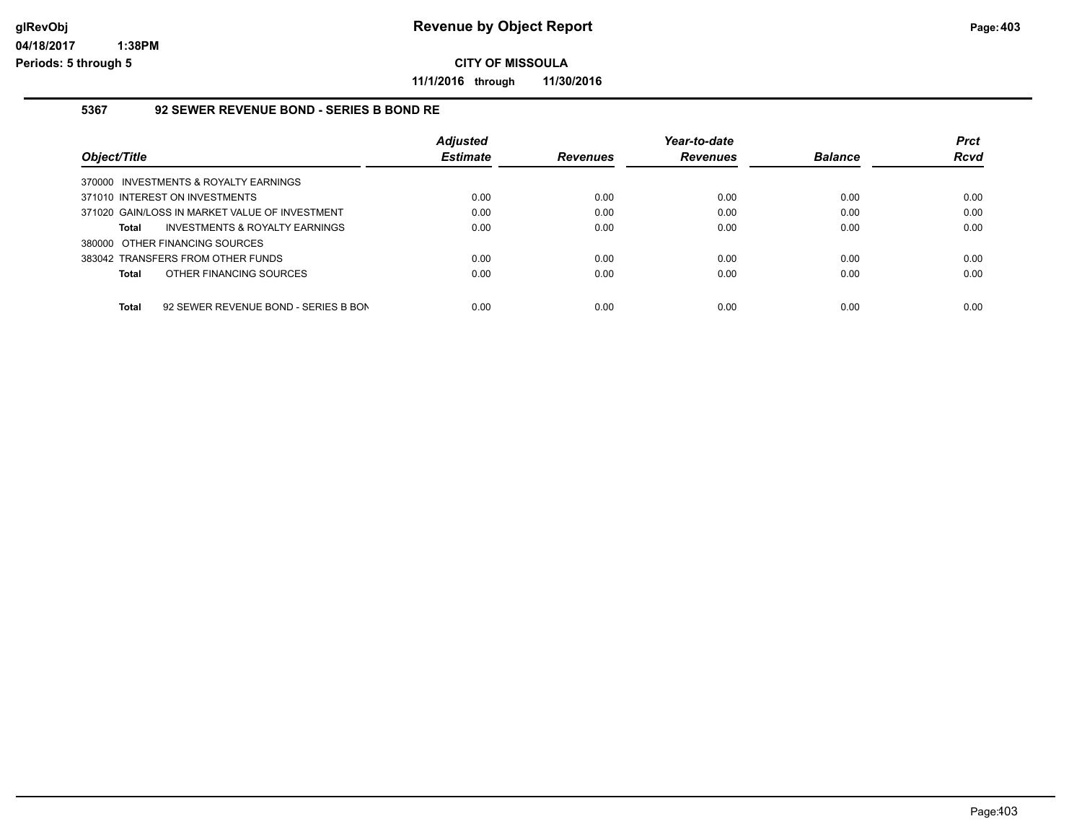**11/1/2016 through 11/30/2016**

#### **5367 92 SEWER REVENUE BOND - SERIES B BOND RE**

| Object/Title                                         | <b>Adjusted</b><br><b>Estimate</b> | <b>Revenues</b> | Year-to-date<br><b>Revenues</b> | <b>Balance</b> | <b>Prct</b><br><b>Rcvd</b> |
|------------------------------------------------------|------------------------------------|-----------------|---------------------------------|----------------|----------------------------|
| 370000 INVESTMENTS & ROYALTY EARNINGS                |                                    |                 |                                 |                |                            |
| 371010 INTEREST ON INVESTMENTS                       | 0.00                               | 0.00            | 0.00                            | 0.00           | 0.00                       |
| 371020 GAIN/LOSS IN MARKET VALUE OF INVESTMENT       | 0.00                               | 0.00            | 0.00                            | 0.00           | 0.00                       |
| Total<br>INVESTMENTS & ROYALTY EARNINGS              | 0.00                               | 0.00            | 0.00                            | 0.00           | 0.00                       |
| 380000 OTHER FINANCING SOURCES                       |                                    |                 |                                 |                |                            |
| 383042 TRANSFERS FROM OTHER FUNDS                    | 0.00                               | 0.00            | 0.00                            | 0.00           | 0.00                       |
| OTHER FINANCING SOURCES<br>Total                     | 0.00                               | 0.00            | 0.00                            | 0.00           | 0.00                       |
|                                                      |                                    |                 |                                 |                |                            |
| <b>Total</b><br>92 SEWER REVENUE BOND - SERIES B BON | 0.00                               | 0.00            | 0.00                            | 0.00           | 0.00                       |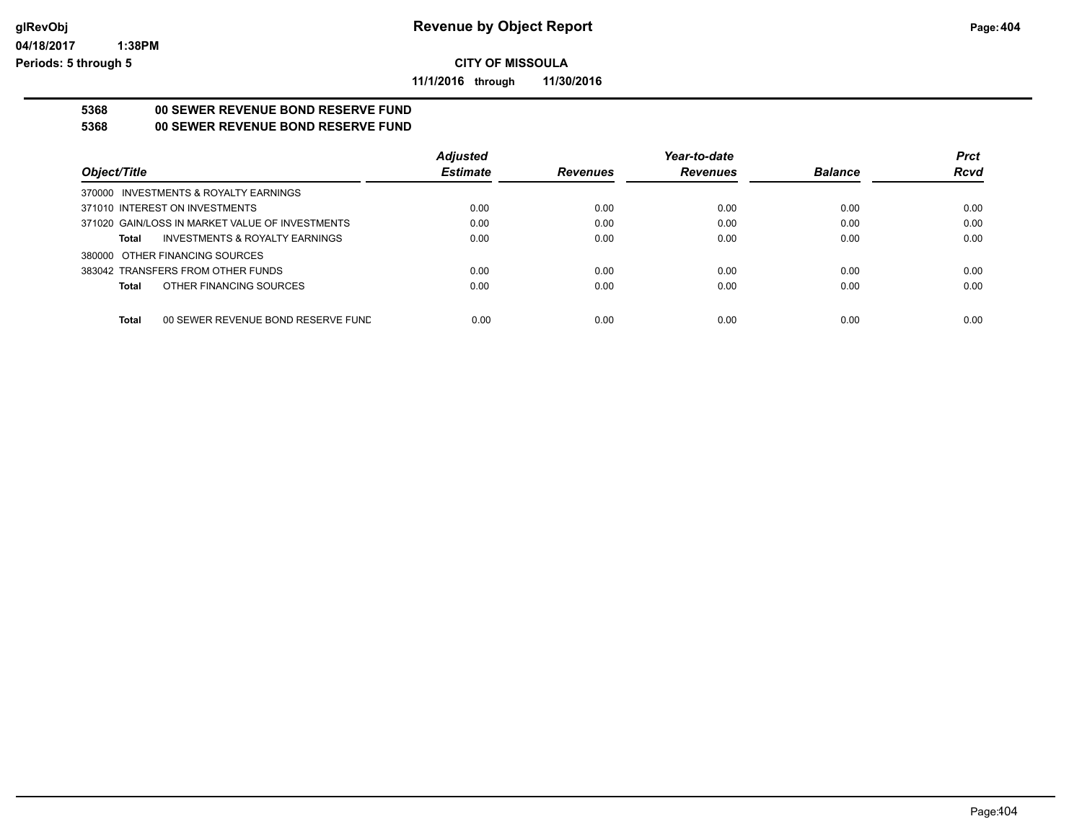**11/1/2016 through 11/30/2016**

### **5368 00 SEWER REVENUE BOND RESERVE FUND 5368 00 SEWER REVENUE BOND RESERVE FUND**

|                                                    | <b>Adiusted</b> |                 | Year-to-date    |                | <b>Prct</b> |
|----------------------------------------------------|-----------------|-----------------|-----------------|----------------|-------------|
| Object/Title                                       | <b>Estimate</b> | <b>Revenues</b> | <b>Revenues</b> | <b>Balance</b> | <b>Rcvd</b> |
| 370000 INVESTMENTS & ROYALTY EARNINGS              |                 |                 |                 |                |             |
| 371010 INTEREST ON INVESTMENTS                     | 0.00            | 0.00            | 0.00            | 0.00           | 0.00        |
| 371020 GAIN/LOSS IN MARKET VALUE OF INVESTMENTS    | 0.00            | 0.00            | 0.00            | 0.00           | 0.00        |
| INVESTMENTS & ROYALTY EARNINGS<br>Total            | 0.00            | 0.00            | 0.00            | 0.00           | 0.00        |
| 380000 OTHER FINANCING SOURCES                     |                 |                 |                 |                |             |
| 383042 TRANSFERS FROM OTHER FUNDS                  | 0.00            | 0.00            | 0.00            | 0.00           | 0.00        |
| OTHER FINANCING SOURCES<br>Total                   | 0.00            | 0.00            | 0.00            | 0.00           | 0.00        |
|                                                    |                 |                 |                 |                |             |
| 00 SEWER REVENUE BOND RESERVE FUND<br><b>Total</b> | 0.00            | 0.00            | 0.00            | 0.00           | 0.00        |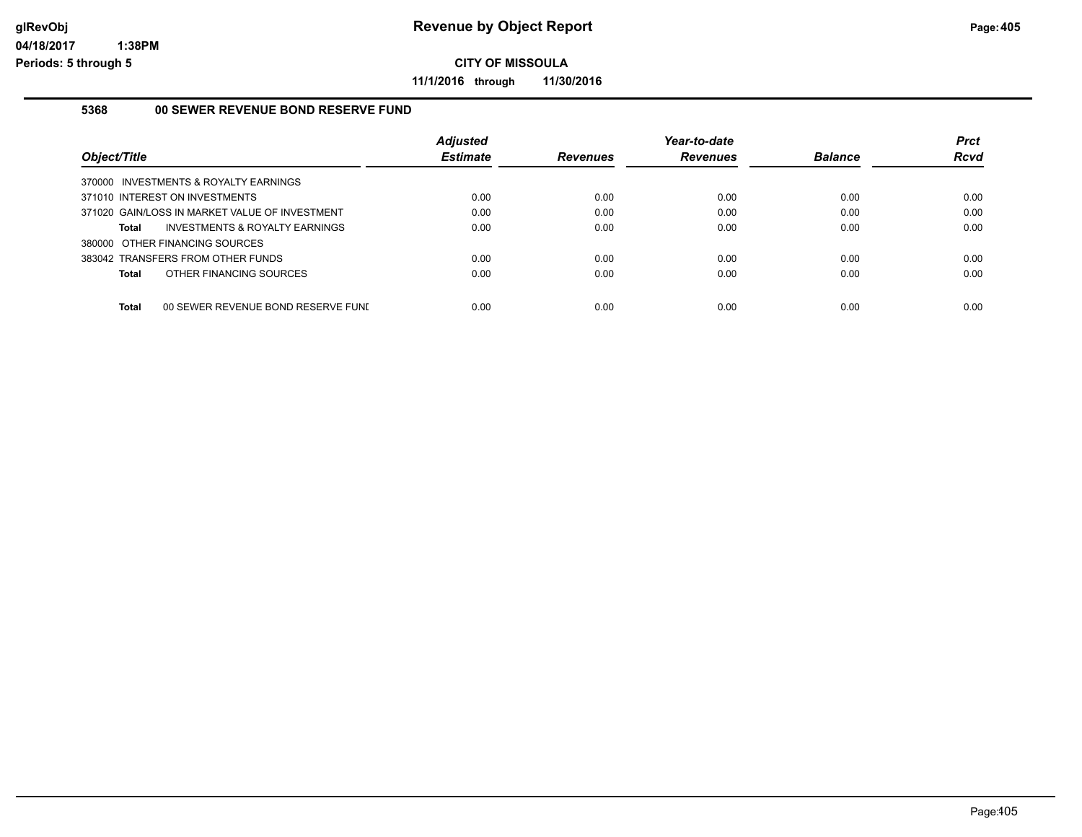**11/1/2016 through 11/30/2016**

#### **5368 00 SEWER REVENUE BOND RESERVE FUND**

| Object/Title                                       | <b>Adjusted</b><br><b>Estimate</b> | <b>Revenues</b> | Year-to-date<br><b>Revenues</b> | <b>Balance</b> | <b>Prct</b><br><b>Rcvd</b> |
|----------------------------------------------------|------------------------------------|-----------------|---------------------------------|----------------|----------------------------|
| 370000 INVESTMENTS & ROYALTY EARNINGS              |                                    |                 |                                 |                |                            |
| 371010 INTEREST ON INVESTMENTS                     | 0.00                               | 0.00            | 0.00                            | 0.00           | 0.00                       |
| 371020 GAIN/LOSS IN MARKET VALUE OF INVESTMENT     | 0.00                               | 0.00            | 0.00                            | 0.00           | 0.00                       |
| Total<br>INVESTMENTS & ROYALTY EARNINGS            | 0.00                               | 0.00            | 0.00                            | 0.00           | 0.00                       |
| 380000 OTHER FINANCING SOURCES                     |                                    |                 |                                 |                |                            |
| 383042 TRANSFERS FROM OTHER FUNDS                  | 0.00                               | 0.00            | 0.00                            | 0.00           | 0.00                       |
| OTHER FINANCING SOURCES<br>Total                   | 0.00                               | 0.00            | 0.00                            | 0.00           | 0.00                       |
|                                                    |                                    |                 |                                 |                |                            |
| <b>Total</b><br>00 SEWER REVENUE BOND RESERVE FUNI | 0.00                               | 0.00            | 0.00                            | 0.00           | 0.00                       |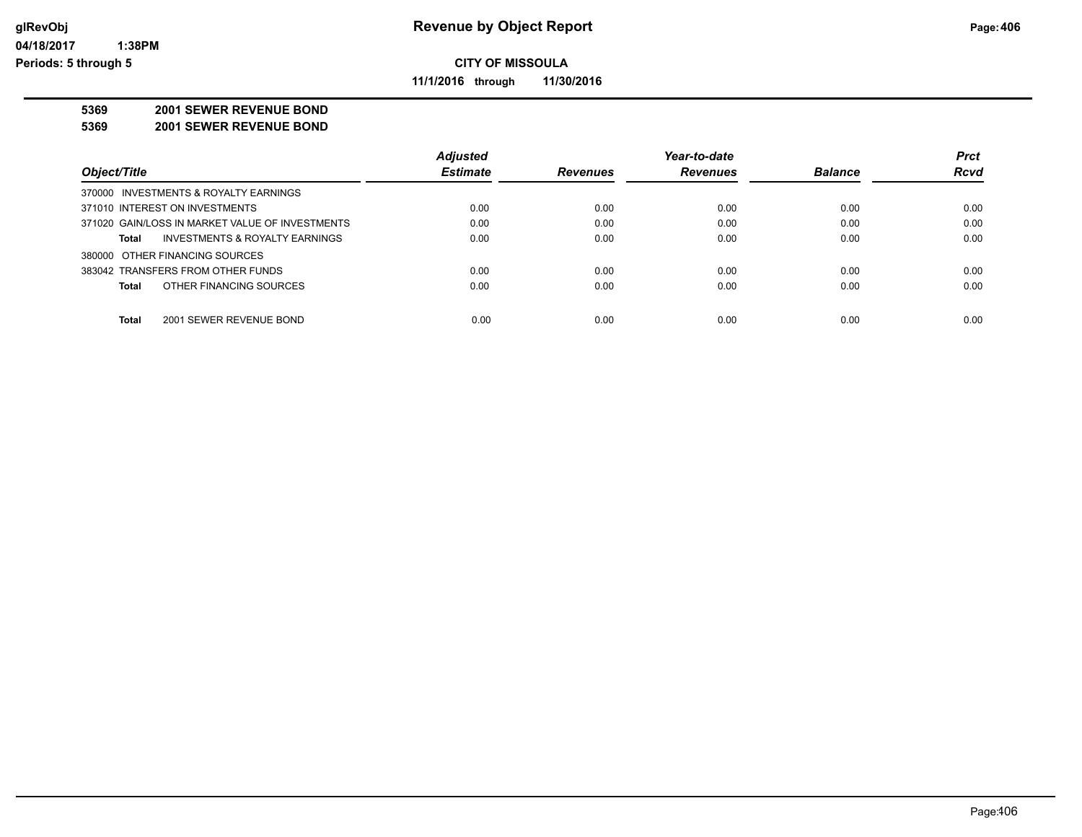**11/1/2016 through 11/30/2016**

**5369 2001 SEWER REVENUE BOND**

**5369 2001 SEWER REVENUE BOND**

|                                                 | <b>Adjusted</b> |                 | Year-to-date    |                | <b>Prct</b> |
|-------------------------------------------------|-----------------|-----------------|-----------------|----------------|-------------|
| Object/Title                                    | <b>Estimate</b> | <b>Revenues</b> | <b>Revenues</b> | <b>Balance</b> | <b>Rcvd</b> |
| 370000 INVESTMENTS & ROYALTY EARNINGS           |                 |                 |                 |                |             |
| 371010 INTEREST ON INVESTMENTS                  | 0.00            | 0.00            | 0.00            | 0.00           | 0.00        |
| 371020 GAIN/LOSS IN MARKET VALUE OF INVESTMENTS | 0.00            | 0.00            | 0.00            | 0.00           | 0.00        |
| INVESTMENTS & ROYALTY EARNINGS<br>Total         | 0.00            | 0.00            | 0.00            | 0.00           | 0.00        |
| 380000 OTHER FINANCING SOURCES                  |                 |                 |                 |                |             |
| 383042 TRANSFERS FROM OTHER FUNDS               | 0.00            | 0.00            | 0.00            | 0.00           | 0.00        |
| OTHER FINANCING SOURCES<br>Total                | 0.00            | 0.00            | 0.00            | 0.00           | 0.00        |
| <b>Total</b><br>2001 SEWER REVENUE BOND         | 0.00            | 0.00            | 0.00            | 0.00           | 0.00        |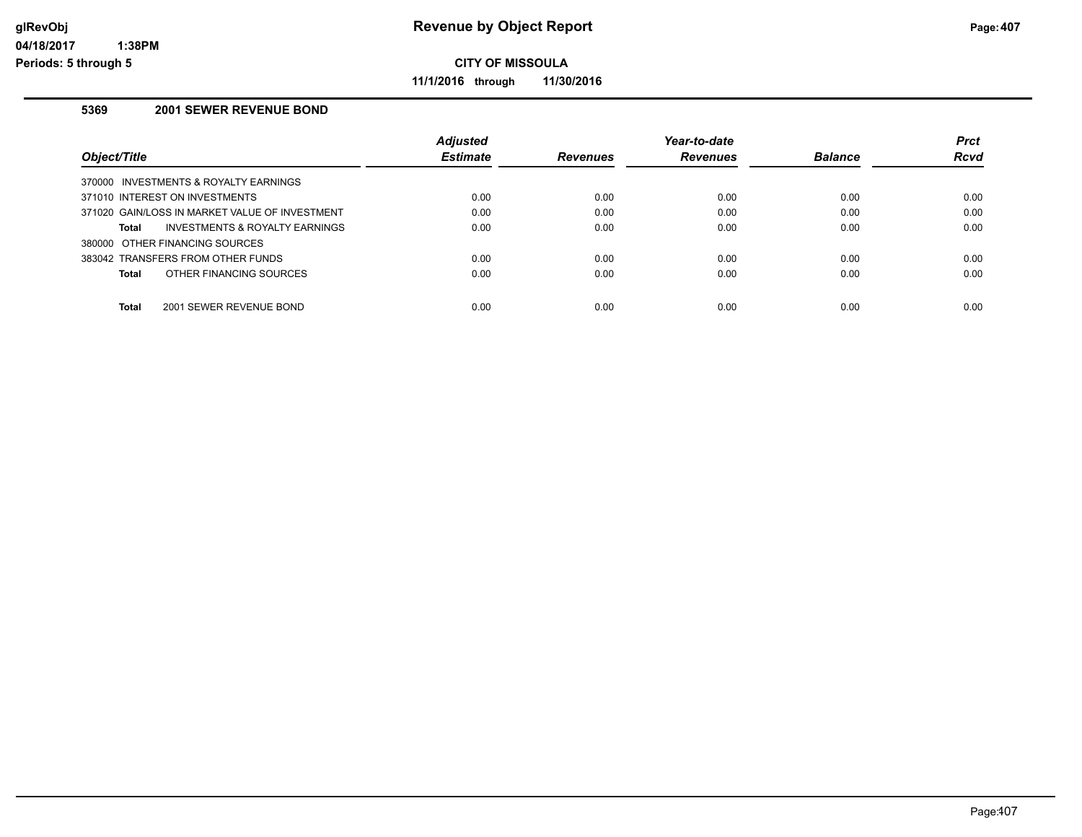**11/1/2016 through 11/30/2016**

#### **5369 2001 SEWER REVENUE BOND**

| Object/Title                                   | <b>Adjusted</b><br><b>Estimate</b> | <b>Revenues</b> | Year-to-date<br><b>Revenues</b> | <b>Balance</b> | <b>Prct</b><br><b>Rcvd</b> |
|------------------------------------------------|------------------------------------|-----------------|---------------------------------|----------------|----------------------------|
|                                                |                                    |                 |                                 |                |                            |
| 370000 INVESTMENTS & ROYALTY EARNINGS          |                                    |                 |                                 |                |                            |
| 371010 INTEREST ON INVESTMENTS                 | 0.00                               | 0.00            | 0.00                            | 0.00           | 0.00                       |
| 371020 GAIN/LOSS IN MARKET VALUE OF INVESTMENT | 0.00                               | 0.00            | 0.00                            | 0.00           | 0.00                       |
| Total<br>INVESTMENTS & ROYALTY EARNINGS        | 0.00                               | 0.00            | 0.00                            | 0.00           | 0.00                       |
| 380000 OTHER FINANCING SOURCES                 |                                    |                 |                                 |                |                            |
| 383042 TRANSFERS FROM OTHER FUNDS              | 0.00                               | 0.00            | 0.00                            | 0.00           | 0.00                       |
| OTHER FINANCING SOURCES<br>Total               | 0.00                               | 0.00            | 0.00                            | 0.00           | 0.00                       |
|                                                |                                    |                 |                                 |                |                            |
| Total<br>2001 SEWER REVENUE BOND               | 0.00                               | 0.00            | 0.00                            | 0.00           | 0.00                       |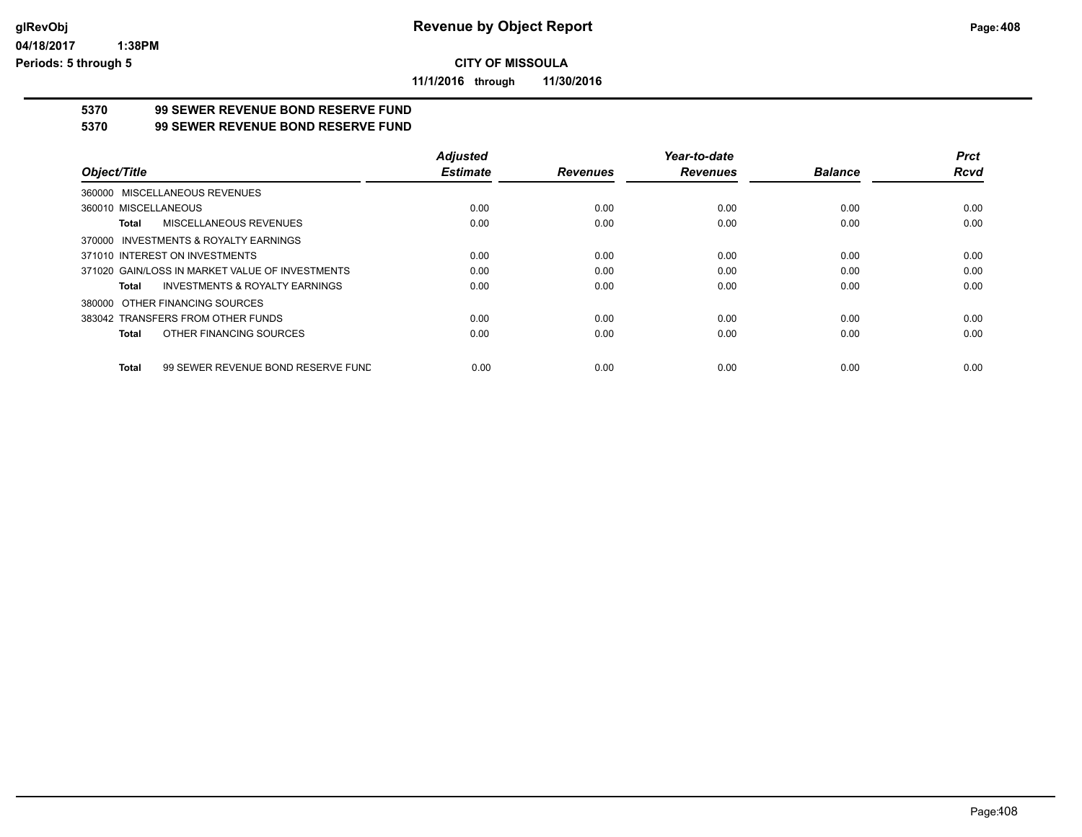**11/1/2016 through 11/30/2016**

### **5370 99 SEWER REVENUE BOND RESERVE FUND 5370 99 SEWER REVENUE BOND RESERVE FUND**

| Object/Title                                       | <b>Adjusted</b><br><b>Estimate</b> | <b>Revenues</b> | Year-to-date<br><b>Revenues</b> | <b>Balance</b> | <b>Prct</b><br><b>Rcvd</b> |
|----------------------------------------------------|------------------------------------|-----------------|---------------------------------|----------------|----------------------------|
| 360000 MISCELLANEOUS REVENUES                      |                                    |                 |                                 |                |                            |
| 360010 MISCELLANEOUS                               | 0.00                               | 0.00            | 0.00                            | 0.00           | 0.00                       |
| MISCELLANEOUS REVENUES<br>Total                    | 0.00                               | 0.00            | 0.00                            | 0.00           | 0.00                       |
| 370000 INVESTMENTS & ROYALTY EARNINGS              |                                    |                 |                                 |                |                            |
| 371010 INTEREST ON INVESTMENTS                     | 0.00                               | 0.00            | 0.00                            | 0.00           | 0.00                       |
| 371020 GAIN/LOSS IN MARKET VALUE OF INVESTMENTS    | 0.00                               | 0.00            | 0.00                            | 0.00           | 0.00                       |
| <b>INVESTMENTS &amp; ROYALTY EARNINGS</b><br>Total | 0.00                               | 0.00            | 0.00                            | 0.00           | 0.00                       |
| 380000 OTHER FINANCING SOURCES                     |                                    |                 |                                 |                |                            |
| 383042 TRANSFERS FROM OTHER FUNDS                  | 0.00                               | 0.00            | 0.00                            | 0.00           | 0.00                       |
| OTHER FINANCING SOURCES<br>Total                   | 0.00                               | 0.00            | 0.00                            | 0.00           | 0.00                       |
| 99 SEWER REVENUE BOND RESERVE FUND<br><b>Total</b> | 0.00                               | 0.00            | 0.00                            | 0.00           | 0.00                       |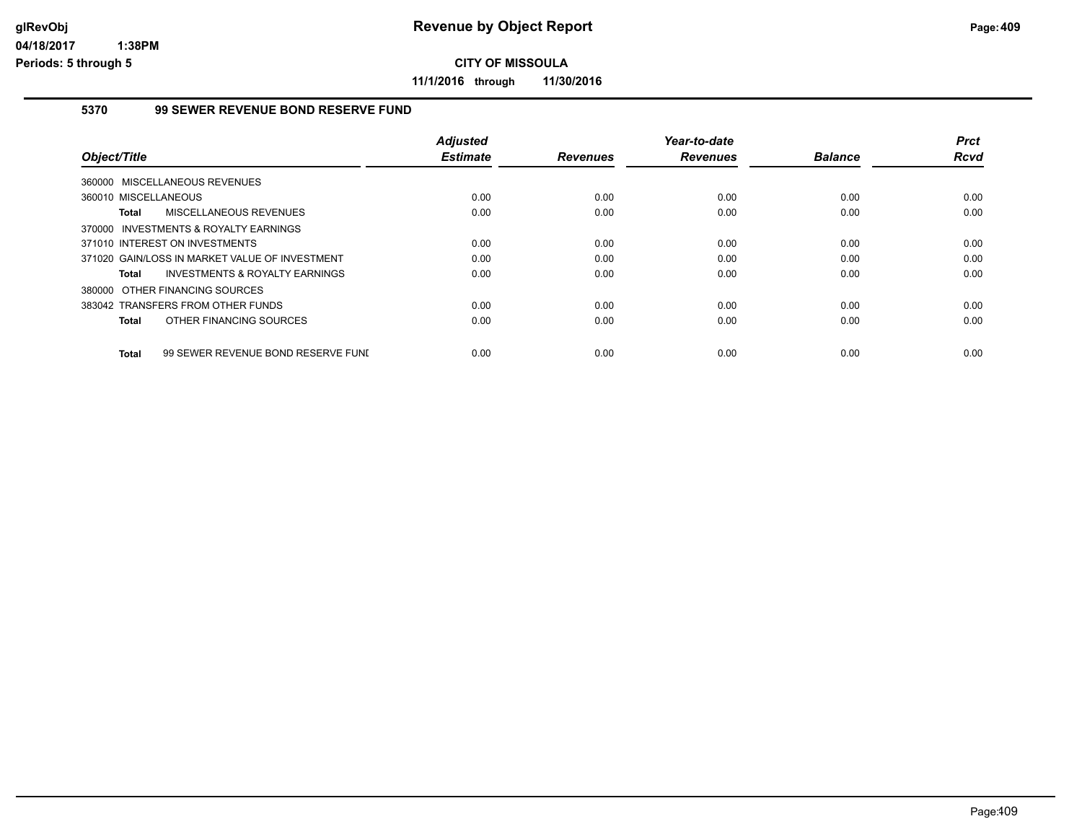**11/1/2016 through 11/30/2016**

#### **5370 99 SEWER REVENUE BOND RESERVE FUND**

| Object/Title                                       | <b>Adjusted</b><br><b>Estimate</b> | <b>Revenues</b> | Year-to-date<br><b>Revenues</b> | <b>Balance</b> | <b>Prct</b><br><b>Rcvd</b> |
|----------------------------------------------------|------------------------------------|-----------------|---------------------------------|----------------|----------------------------|
|                                                    |                                    |                 |                                 |                |                            |
| 360000 MISCELLANEOUS REVENUES                      |                                    |                 |                                 |                |                            |
| 360010 MISCELLANEOUS                               | 0.00                               | 0.00            | 0.00                            | 0.00           | 0.00                       |
| MISCELLANEOUS REVENUES<br>Total                    | 0.00                               | 0.00            | 0.00                            | 0.00           | 0.00                       |
| 370000 INVESTMENTS & ROYALTY EARNINGS              |                                    |                 |                                 |                |                            |
| 371010 INTEREST ON INVESTMENTS                     | 0.00                               | 0.00            | 0.00                            | 0.00           | 0.00                       |
| 371020 GAIN/LOSS IN MARKET VALUE OF INVESTMENT     | 0.00                               | 0.00            | 0.00                            | 0.00           | 0.00                       |
| INVESTMENTS & ROYALTY EARNINGS<br>Total            | 0.00                               | 0.00            | 0.00                            | 0.00           | 0.00                       |
| 380000 OTHER FINANCING SOURCES                     |                                    |                 |                                 |                |                            |
| 383042 TRANSFERS FROM OTHER FUNDS                  | 0.00                               | 0.00            | 0.00                            | 0.00           | 0.00                       |
| OTHER FINANCING SOURCES<br>Total                   | 0.00                               | 0.00            | 0.00                            | 0.00           | 0.00                       |
| 99 SEWER REVENUE BOND RESERVE FUNI<br><b>Total</b> | 0.00                               | 0.00            | 0.00                            | 0.00           | 0.00                       |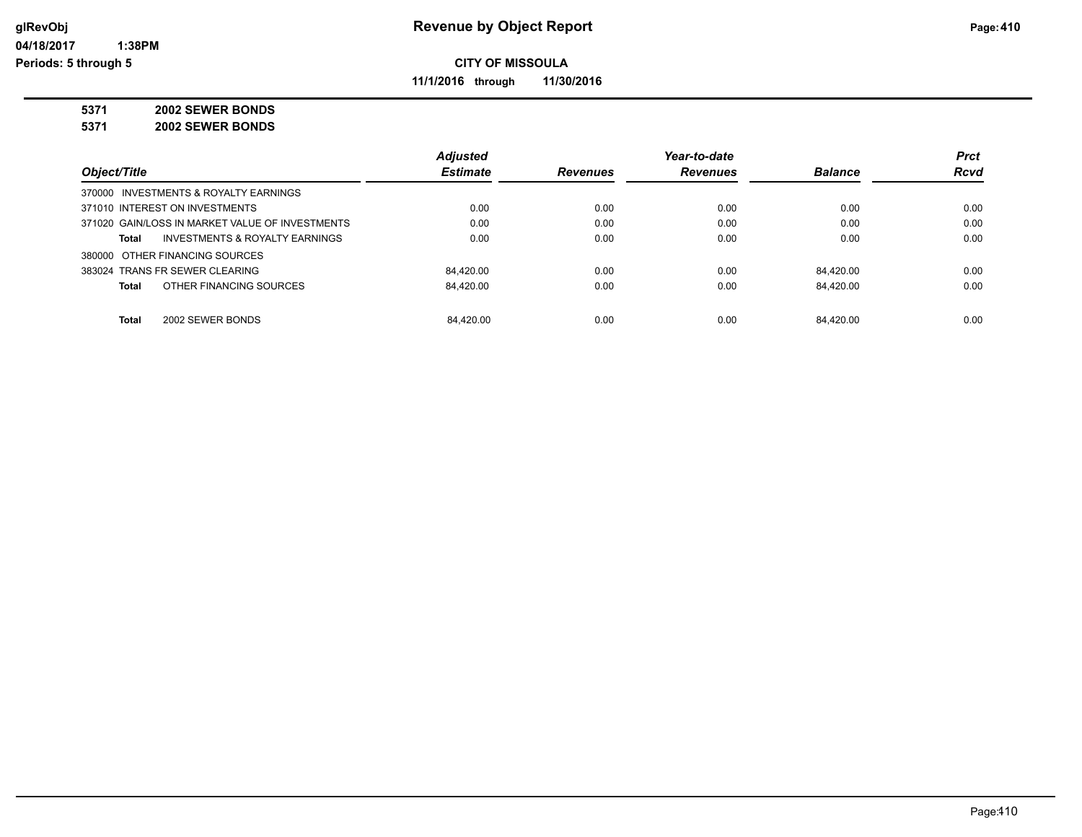**11/1/2016 through 11/30/2016**

**5371 2002 SEWER BONDS**

**5371 2002 SEWER BONDS**

|                                                 | <b>Adjusted</b> |                 | Year-to-date    |                | <b>Prct</b> |
|-------------------------------------------------|-----------------|-----------------|-----------------|----------------|-------------|
| Object/Title                                    | <b>Estimate</b> | <b>Revenues</b> | <b>Revenues</b> | <b>Balance</b> | <b>Rcvd</b> |
| 370000 INVESTMENTS & ROYALTY EARNINGS           |                 |                 |                 |                |             |
| 371010 INTEREST ON INVESTMENTS                  | 0.00            | 0.00            | 0.00            | 0.00           | 0.00        |
| 371020 GAIN/LOSS IN MARKET VALUE OF INVESTMENTS | 0.00            | 0.00            | 0.00            | 0.00           | 0.00        |
| INVESTMENTS & ROYALTY EARNINGS<br>Total         | 0.00            | 0.00            | 0.00            | 0.00           | 0.00        |
| 380000 OTHER FINANCING SOURCES                  |                 |                 |                 |                |             |
| 383024 TRANS FR SEWER CLEARING                  | 84.420.00       | 0.00            | 0.00            | 84.420.00      | 0.00        |
| OTHER FINANCING SOURCES<br>Total                | 84.420.00       | 0.00            | 0.00            | 84.420.00      | 0.00        |
| <b>Total</b><br>2002 SEWER BONDS                | 84.420.00       | 0.00            | 0.00            | 84.420.00      | 0.00        |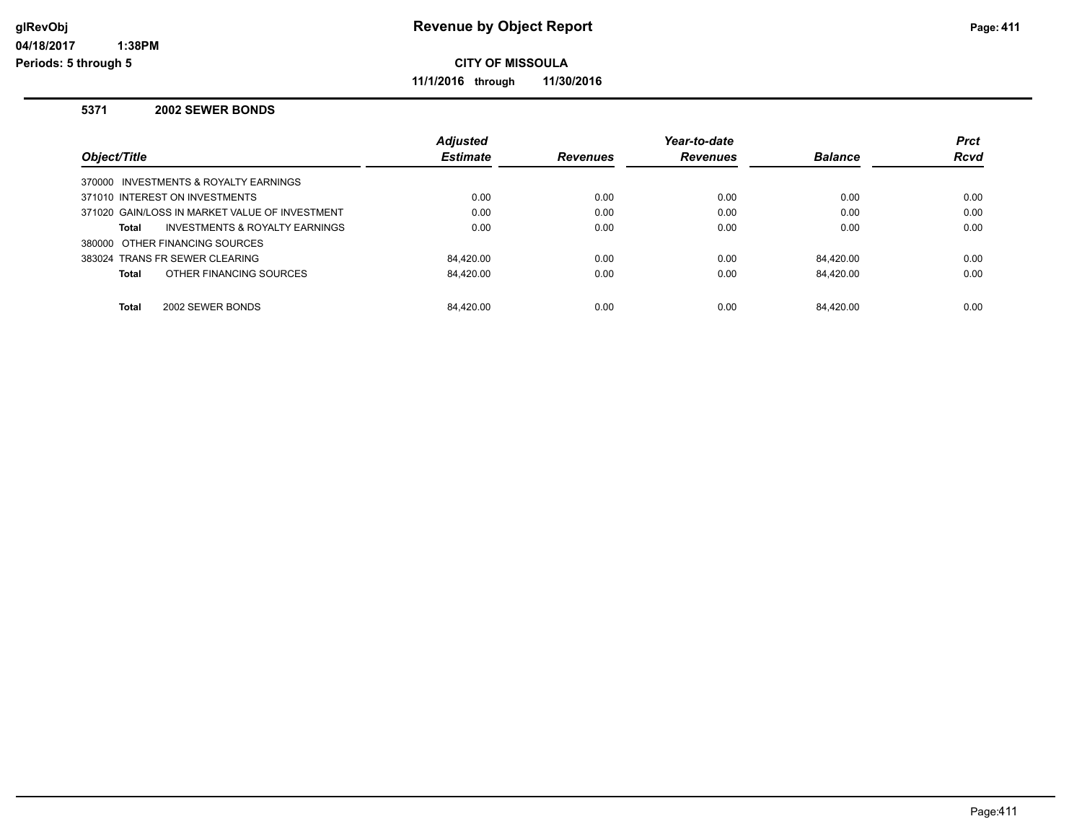**11/1/2016 through 11/30/2016**

#### **5371 2002 SEWER BONDS**

|                                                | <b>Adjusted</b> |                 | Year-to-date    |                | <b>Prct</b> |
|------------------------------------------------|-----------------|-----------------|-----------------|----------------|-------------|
| Object/Title                                   | <b>Estimate</b> | <b>Revenues</b> | <b>Revenues</b> | <b>Balance</b> | <b>Rcvd</b> |
| 370000 INVESTMENTS & ROYALTY EARNINGS          |                 |                 |                 |                |             |
| 371010 INTEREST ON INVESTMENTS                 | 0.00            | 0.00            | 0.00            | 0.00           | 0.00        |
| 371020 GAIN/LOSS IN MARKET VALUE OF INVESTMENT | 0.00            | 0.00            | 0.00            | 0.00           | 0.00        |
| INVESTMENTS & ROYALTY EARNINGS<br>Total        | 0.00            | 0.00            | 0.00            | 0.00           | 0.00        |
| 380000 OTHER FINANCING SOURCES                 |                 |                 |                 |                |             |
| 383024 TRANS FR SEWER CLEARING                 | 84.420.00       | 0.00            | 0.00            | 84.420.00      | 0.00        |
| OTHER FINANCING SOURCES<br>Total               | 84.420.00       | 0.00            | 0.00            | 84.420.00      | 0.00        |
|                                                |                 |                 |                 |                |             |
| Total<br>2002 SEWER BONDS                      | 84.420.00       | 0.00            | 0.00            | 84.420.00      | 0.00        |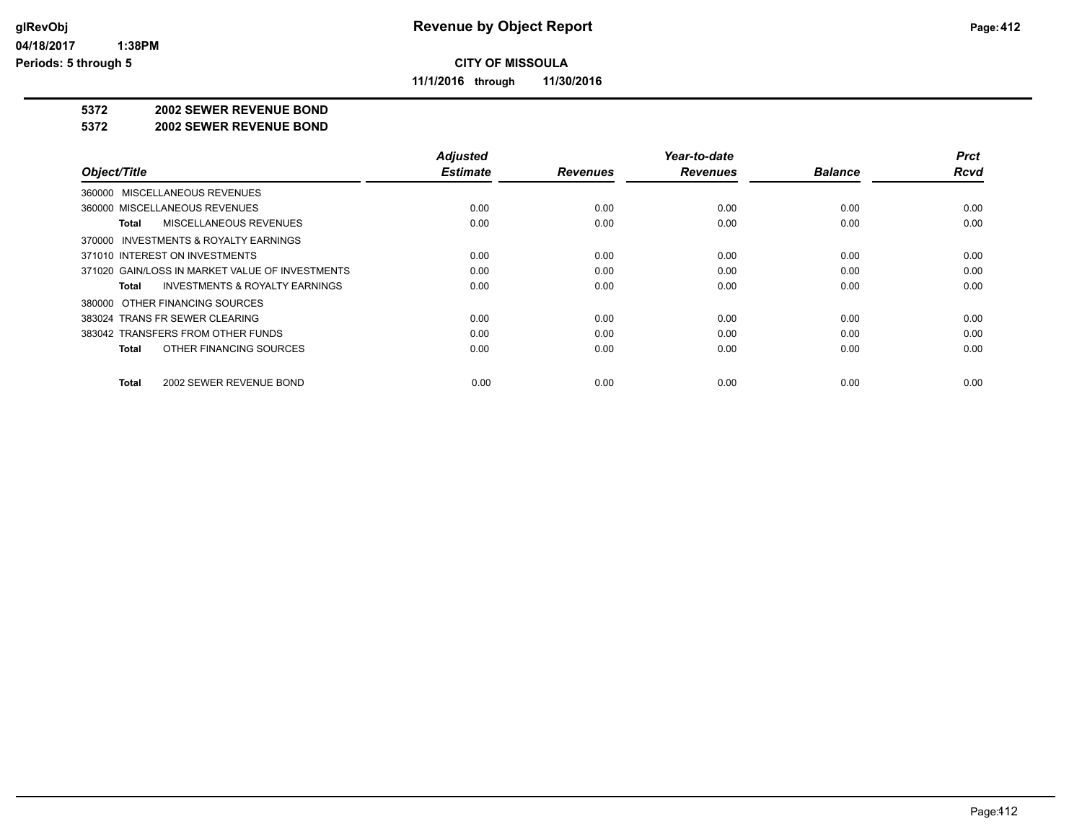**11/1/2016 through 11/30/2016**

**5372 2002 SEWER REVENUE BOND**

**5372 2002 SEWER REVENUE BOND**

|                                                    | <b>Adjusted</b> |                 | Year-to-date    |                | <b>Prct</b> |
|----------------------------------------------------|-----------------|-----------------|-----------------|----------------|-------------|
| Object/Title                                       | <b>Estimate</b> | <b>Revenues</b> | <b>Revenues</b> | <b>Balance</b> | <b>Rcvd</b> |
| 360000 MISCELLANEOUS REVENUES                      |                 |                 |                 |                |             |
| 360000 MISCELLANEOUS REVENUES                      | 0.00            | 0.00            | 0.00            | 0.00           | 0.00        |
| MISCELLANEOUS REVENUES<br>Total                    | 0.00            | 0.00            | 0.00            | 0.00           | 0.00        |
| 370000 INVESTMENTS & ROYALTY EARNINGS              |                 |                 |                 |                |             |
| 371010 INTEREST ON INVESTMENTS                     | 0.00            | 0.00            | 0.00            | 0.00           | 0.00        |
| 371020 GAIN/LOSS IN MARKET VALUE OF INVESTMENTS    | 0.00            | 0.00            | 0.00            | 0.00           | 0.00        |
| <b>INVESTMENTS &amp; ROYALTY EARNINGS</b><br>Total | 0.00            | 0.00            | 0.00            | 0.00           | 0.00        |
| 380000 OTHER FINANCING SOURCES                     |                 |                 |                 |                |             |
| 383024 TRANS FR SEWER CLEARING                     | 0.00            | 0.00            | 0.00            | 0.00           | 0.00        |
| 383042 TRANSFERS FROM OTHER FUNDS                  | 0.00            | 0.00            | 0.00            | 0.00           | 0.00        |
| OTHER FINANCING SOURCES<br>Total                   | 0.00            | 0.00            | 0.00            | 0.00           | 0.00        |
| 2002 SEWER REVENUE BOND<br><b>Total</b>            | 0.00            | 0.00            | 0.00            | 0.00           | 0.00        |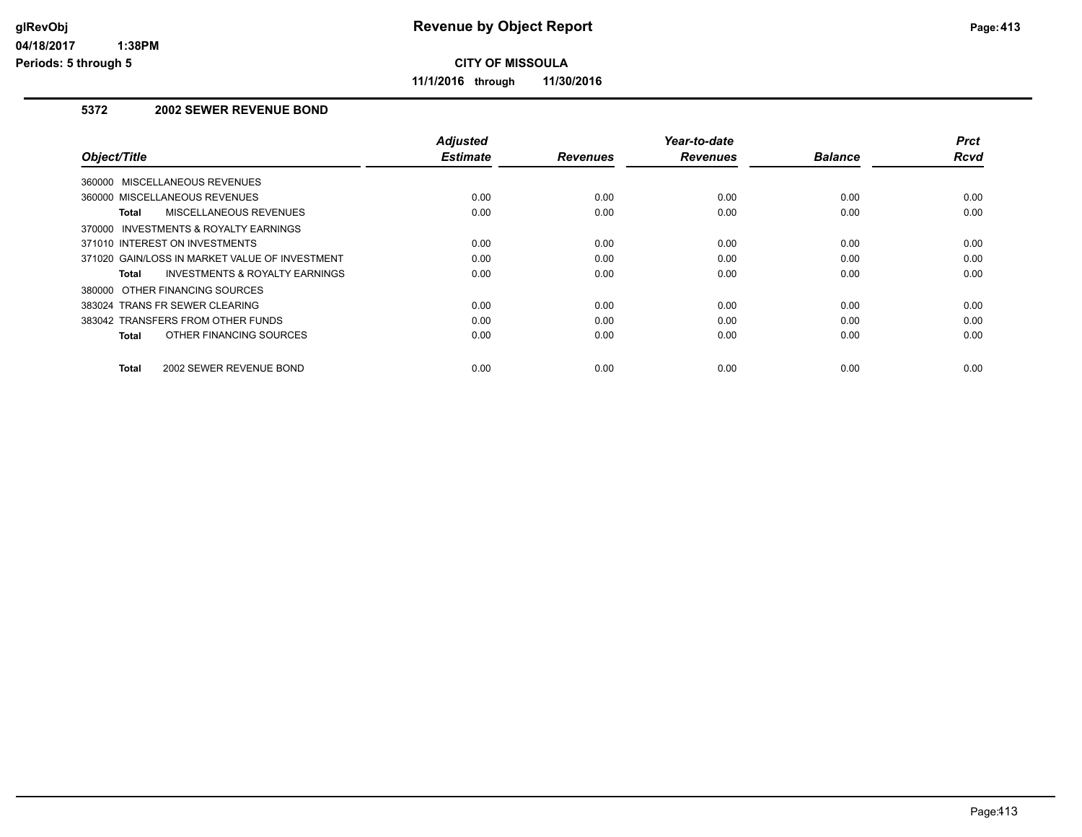**11/1/2016 through 11/30/2016**

#### **5372 2002 SEWER REVENUE BOND**

| Object/Title                                        | <b>Adjusted</b><br><b>Estimate</b> | <b>Revenues</b> | Year-to-date<br><b>Revenues</b> | <b>Balance</b> | <b>Prct</b><br>Rcvd |
|-----------------------------------------------------|------------------------------------|-----------------|---------------------------------|----------------|---------------------|
|                                                     |                                    |                 |                                 |                |                     |
| MISCELLANEOUS REVENUES<br>360000                    |                                    |                 |                                 |                |                     |
| 360000 MISCELLANEOUS REVENUES                       | 0.00                               | 0.00            | 0.00                            | 0.00           | 0.00                |
| MISCELLANEOUS REVENUES<br>Total                     | 0.00                               | 0.00            | 0.00                            | 0.00           | 0.00                |
| <b>INVESTMENTS &amp; ROYALTY EARNINGS</b><br>370000 |                                    |                 |                                 |                |                     |
| 371010 INTEREST ON INVESTMENTS                      | 0.00                               | 0.00            | 0.00                            | 0.00           | 0.00                |
| 371020 GAIN/LOSS IN MARKET VALUE OF INVESTMENT      | 0.00                               | 0.00            | 0.00                            | 0.00           | 0.00                |
| <b>INVESTMENTS &amp; ROYALTY EARNINGS</b><br>Total  | 0.00                               | 0.00            | 0.00                            | 0.00           | 0.00                |
| OTHER FINANCING SOURCES<br>380000                   |                                    |                 |                                 |                |                     |
| 383024 TRANS FR SEWER CLEARING                      | 0.00                               | 0.00            | 0.00                            | 0.00           | 0.00                |
| 383042 TRANSFERS FROM OTHER FUNDS                   | 0.00                               | 0.00            | 0.00                            | 0.00           | 0.00                |
| OTHER FINANCING SOURCES<br>Total                    | 0.00                               | 0.00            | 0.00                            | 0.00           | 0.00                |
| 2002 SEWER REVENUE BOND<br><b>Total</b>             | 0.00                               | 0.00            | 0.00                            | 0.00           | 0.00                |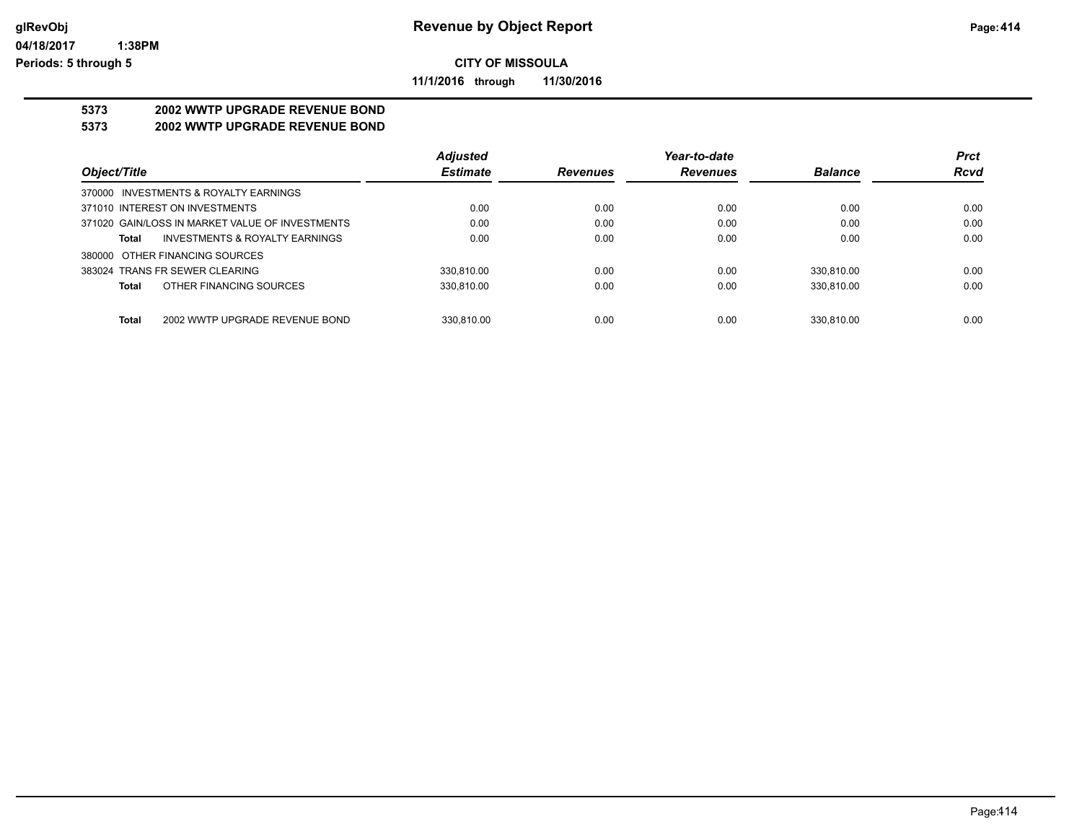**11/1/2016 through 11/30/2016**

### **5373 2002 WWTP UPGRADE REVENUE BOND 5373 2002 WWTP UPGRADE REVENUE BOND**

|                                                 | <b>Adiusted</b> |                 | Year-to-date    |                | <b>Prct</b> |
|-------------------------------------------------|-----------------|-----------------|-----------------|----------------|-------------|
| Object/Title                                    | <b>Estimate</b> | <b>Revenues</b> | <b>Revenues</b> | <b>Balance</b> | <b>Rcvd</b> |
| 370000 INVESTMENTS & ROYALTY EARNINGS           |                 |                 |                 |                |             |
| 371010 INTEREST ON INVESTMENTS                  | 0.00            | 0.00            | 0.00            | 0.00           | 0.00        |
| 371020 GAIN/LOSS IN MARKET VALUE OF INVESTMENTS | 0.00            | 0.00            | 0.00            | 0.00           | 0.00        |
| INVESTMENTS & ROYALTY EARNINGS<br>Total         | 0.00            | 0.00            | 0.00            | 0.00           | 0.00        |
| 380000 OTHER FINANCING SOURCES                  |                 |                 |                 |                |             |
| 383024 TRANS FR SEWER CLEARING                  | 330.810.00      | 0.00            | 0.00            | 330.810.00     | 0.00        |
| OTHER FINANCING SOURCES<br>Total                | 330.810.00      | 0.00            | 0.00            | 330.810.00     | 0.00        |
|                                                 |                 |                 |                 |                |             |
| 2002 WWTP UPGRADE REVENUE BOND<br><b>Total</b>  | 330.810.00      | 0.00            | 0.00            | 330.810.00     | 0.00        |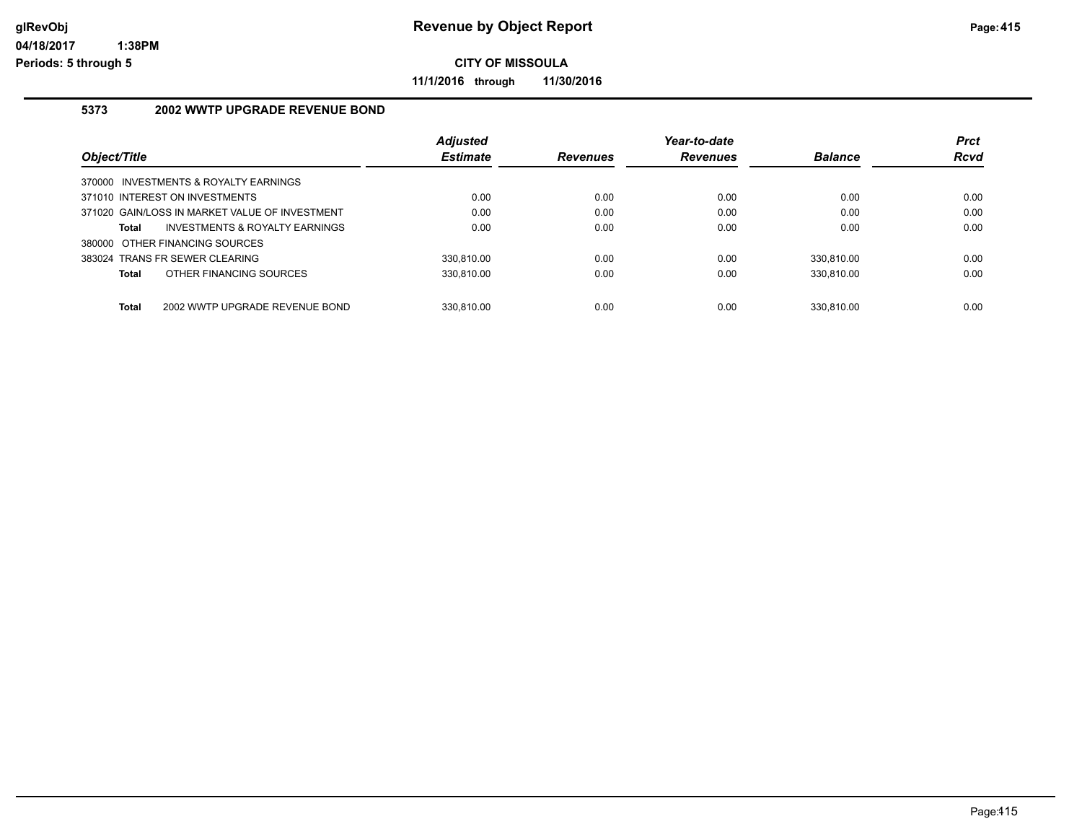**11/1/2016 through 11/30/2016**

#### **5373 2002 WWTP UPGRADE REVENUE BOND**

|                                |                                                | <b>Adjusted</b> |                 | Year-to-date    |                | <b>Prct</b> |
|--------------------------------|------------------------------------------------|-----------------|-----------------|-----------------|----------------|-------------|
| Object/Title                   |                                                | <b>Estimate</b> | <b>Revenues</b> | <b>Revenues</b> | <b>Balance</b> | <b>Rcvd</b> |
|                                | 370000 INVESTMENTS & ROYALTY EARNINGS          |                 |                 |                 |                |             |
| 371010 INTEREST ON INVESTMENTS |                                                | 0.00            | 0.00            | 0.00            | 0.00           | 0.00        |
|                                | 371020 GAIN/LOSS IN MARKET VALUE OF INVESTMENT | 0.00            | 0.00            | 0.00            | 0.00           | 0.00        |
| Total                          | INVESTMENTS & ROYALTY EARNINGS                 | 0.00            | 0.00            | 0.00            | 0.00           | 0.00        |
|                                | 380000 OTHER FINANCING SOURCES                 |                 |                 |                 |                |             |
|                                | 383024 TRANS FR SEWER CLEARING                 | 330.810.00      | 0.00            | 0.00            | 330.810.00     | 0.00        |
| Total                          | OTHER FINANCING SOURCES                        | 330.810.00      | 0.00            | 0.00            | 330.810.00     | 0.00        |
|                                |                                                |                 |                 |                 |                |             |
| <b>Total</b>                   | 2002 WWTP UPGRADE REVENUE BOND                 | 330.810.00      | 0.00            | 0.00            | 330.810.00     | 0.00        |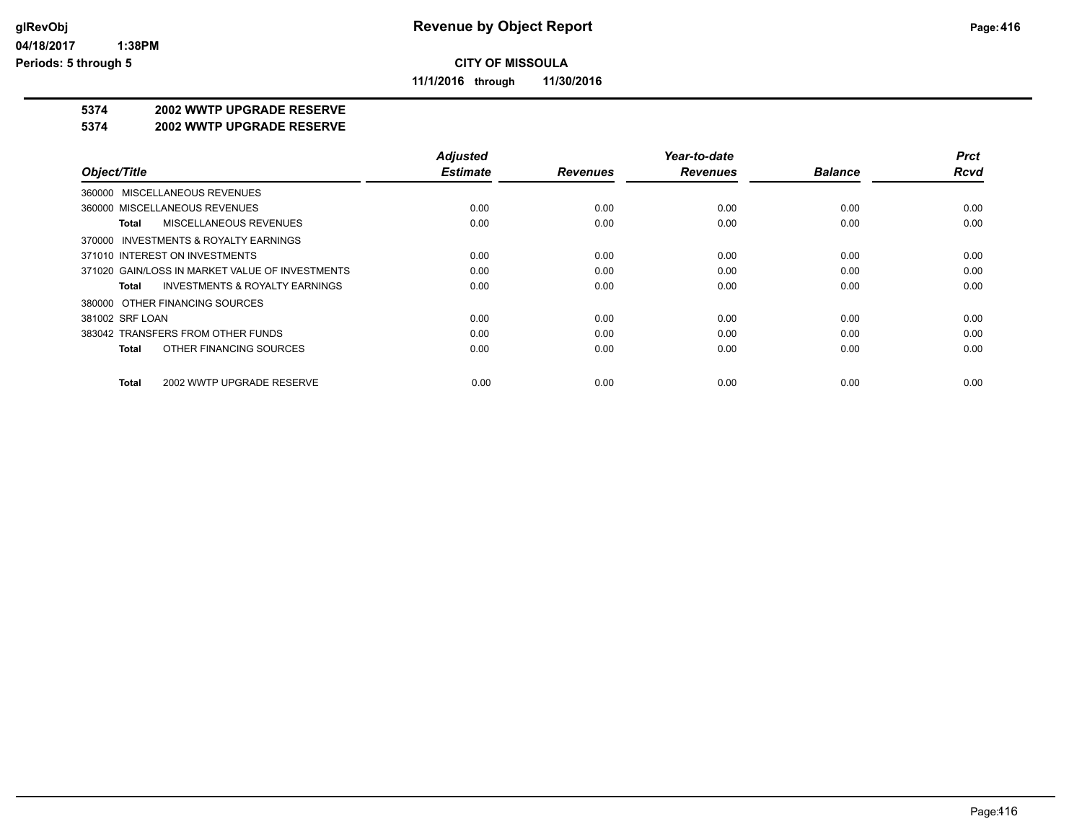**11/1/2016 through 11/30/2016**

**5374 2002 WWTP UPGRADE RESERVE**

**5374 2002 WWTP UPGRADE RESERVE**

|                                                    | <b>Adjusted</b> |                 | Year-to-date    |                | <b>Prct</b> |
|----------------------------------------------------|-----------------|-----------------|-----------------|----------------|-------------|
| Object/Title                                       | <b>Estimate</b> | <b>Revenues</b> | <b>Revenues</b> | <b>Balance</b> | Rcvd        |
| 360000 MISCELLANEOUS REVENUES                      |                 |                 |                 |                |             |
| 360000 MISCELLANEOUS REVENUES                      | 0.00            | 0.00            | 0.00            | 0.00           | 0.00        |
| <b>MISCELLANEOUS REVENUES</b><br>Total             | 0.00            | 0.00            | 0.00            | 0.00           | 0.00        |
| 370000 INVESTMENTS & ROYALTY EARNINGS              |                 |                 |                 |                |             |
| 371010 INTEREST ON INVESTMENTS                     | 0.00            | 0.00            | 0.00            | 0.00           | 0.00        |
| 371020 GAIN/LOSS IN MARKET VALUE OF INVESTMENTS    | 0.00            | 0.00            | 0.00            | 0.00           | 0.00        |
| <b>INVESTMENTS &amp; ROYALTY EARNINGS</b><br>Total | 0.00            | 0.00            | 0.00            | 0.00           | 0.00        |
| 380000 OTHER FINANCING SOURCES                     |                 |                 |                 |                |             |
| 381002 SRF LOAN                                    | 0.00            | 0.00            | 0.00            | 0.00           | 0.00        |
| 383042 TRANSFERS FROM OTHER FUNDS                  | 0.00            | 0.00            | 0.00            | 0.00           | 0.00        |
| OTHER FINANCING SOURCES<br>Total                   | 0.00            | 0.00            | 0.00            | 0.00           | 0.00        |
| 2002 WWTP UPGRADE RESERVE<br><b>Total</b>          | 0.00            | 0.00            | 0.00            | 0.00           | 0.00        |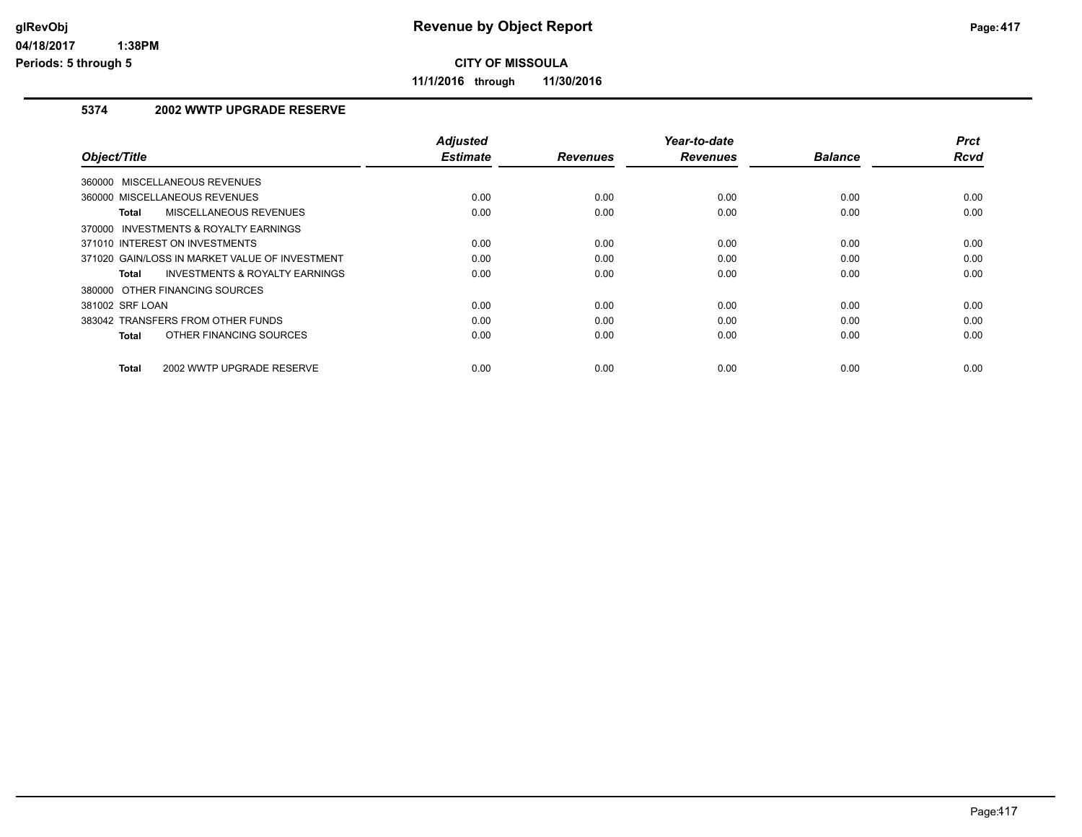**11/1/2016 through 11/30/2016**

#### **5374 2002 WWTP UPGRADE RESERVE**

| Object/Title                                        | <b>Adjusted</b><br><b>Estimate</b> | <b>Revenues</b> | Year-to-date<br><b>Revenues</b> | <b>Balance</b> | <b>Prct</b><br>Rcvd |
|-----------------------------------------------------|------------------------------------|-----------------|---------------------------------|----------------|---------------------|
| MISCELLANEOUS REVENUES<br>360000                    |                                    |                 |                                 |                |                     |
| 360000 MISCELLANEOUS REVENUES                       | 0.00                               | 0.00            | 0.00                            | 0.00           | 0.00                |
| MISCELLANEOUS REVENUES<br>Total                     | 0.00                               | 0.00            | 0.00                            | 0.00           | 0.00                |
| <b>INVESTMENTS &amp; ROYALTY EARNINGS</b><br>370000 |                                    |                 |                                 |                |                     |
| 371010 INTEREST ON INVESTMENTS                      | 0.00                               | 0.00            | 0.00                            | 0.00           | 0.00                |
| 371020 GAIN/LOSS IN MARKET VALUE OF INVESTMENT      | 0.00                               | 0.00            | 0.00                            | 0.00           | 0.00                |
| <b>INVESTMENTS &amp; ROYALTY EARNINGS</b><br>Total  | 0.00                               | 0.00            | 0.00                            | 0.00           | 0.00                |
| 380000 OTHER FINANCING SOURCES                      |                                    |                 |                                 |                |                     |
| 381002 SRF LOAN                                     | 0.00                               | 0.00            | 0.00                            | 0.00           | 0.00                |
| 383042 TRANSFERS FROM OTHER FUNDS                   | 0.00                               | 0.00            | 0.00                            | 0.00           | 0.00                |
| OTHER FINANCING SOURCES<br><b>Total</b>             | 0.00                               | 0.00            | 0.00                            | 0.00           | 0.00                |
| <b>Total</b><br>2002 WWTP UPGRADE RESERVE           | 0.00                               | 0.00            | 0.00                            | 0.00           | 0.00                |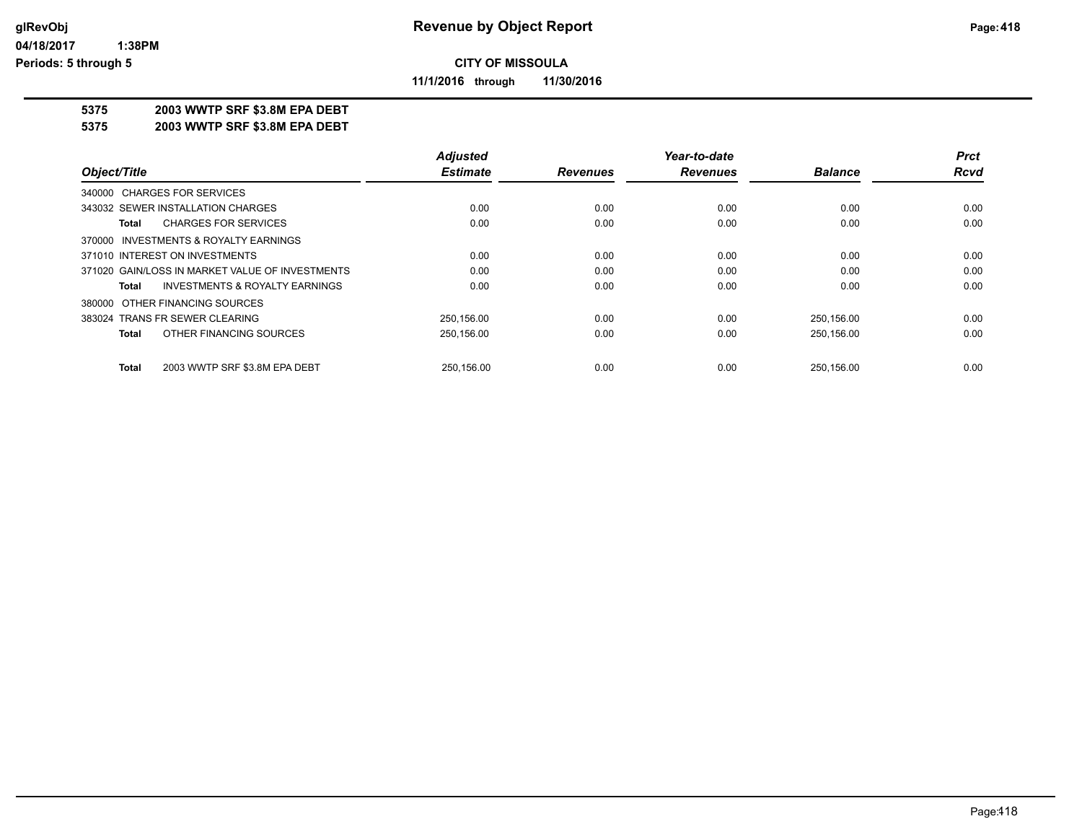**11/1/2016 through 11/30/2016**

**5375 2003 WWTP SRF \$3.8M EPA DEBT**

**5375 2003 WWTP SRF \$3.8M EPA DEBT**

|                                                    | <b>Adjusted</b> |                 | Year-to-date    |                | <b>Prct</b> |
|----------------------------------------------------|-----------------|-----------------|-----------------|----------------|-------------|
| Object/Title                                       | <b>Estimate</b> | <b>Revenues</b> | <b>Revenues</b> | <b>Balance</b> | <b>Rcvd</b> |
| 340000 CHARGES FOR SERVICES                        |                 |                 |                 |                |             |
| 343032 SEWER INSTALLATION CHARGES                  | 0.00            | 0.00            | 0.00            | 0.00           | 0.00        |
| <b>CHARGES FOR SERVICES</b><br>Total               | 0.00            | 0.00            | 0.00            | 0.00           | 0.00        |
| 370000 INVESTMENTS & ROYALTY EARNINGS              |                 |                 |                 |                |             |
| 371010 INTEREST ON INVESTMENTS                     | 0.00            | 0.00            | 0.00            | 0.00           | 0.00        |
| 371020 GAIN/LOSS IN MARKET VALUE OF INVESTMENTS    | 0.00            | 0.00            | 0.00            | 0.00           | 0.00        |
| <b>INVESTMENTS &amp; ROYALTY EARNINGS</b><br>Total | 0.00            | 0.00            | 0.00            | 0.00           | 0.00        |
| 380000 OTHER FINANCING SOURCES                     |                 |                 |                 |                |             |
| 383024 TRANS FR SEWER CLEARING                     | 250.156.00      | 0.00            | 0.00            | 250.156.00     | 0.00        |
| OTHER FINANCING SOURCES<br>Total                   | 250,156.00      | 0.00            | 0.00            | 250,156.00     | 0.00        |
| 2003 WWTP SRF \$3.8M EPA DEBT<br>Total             | 250.156.00      | 0.00            | 0.00            | 250.156.00     | 0.00        |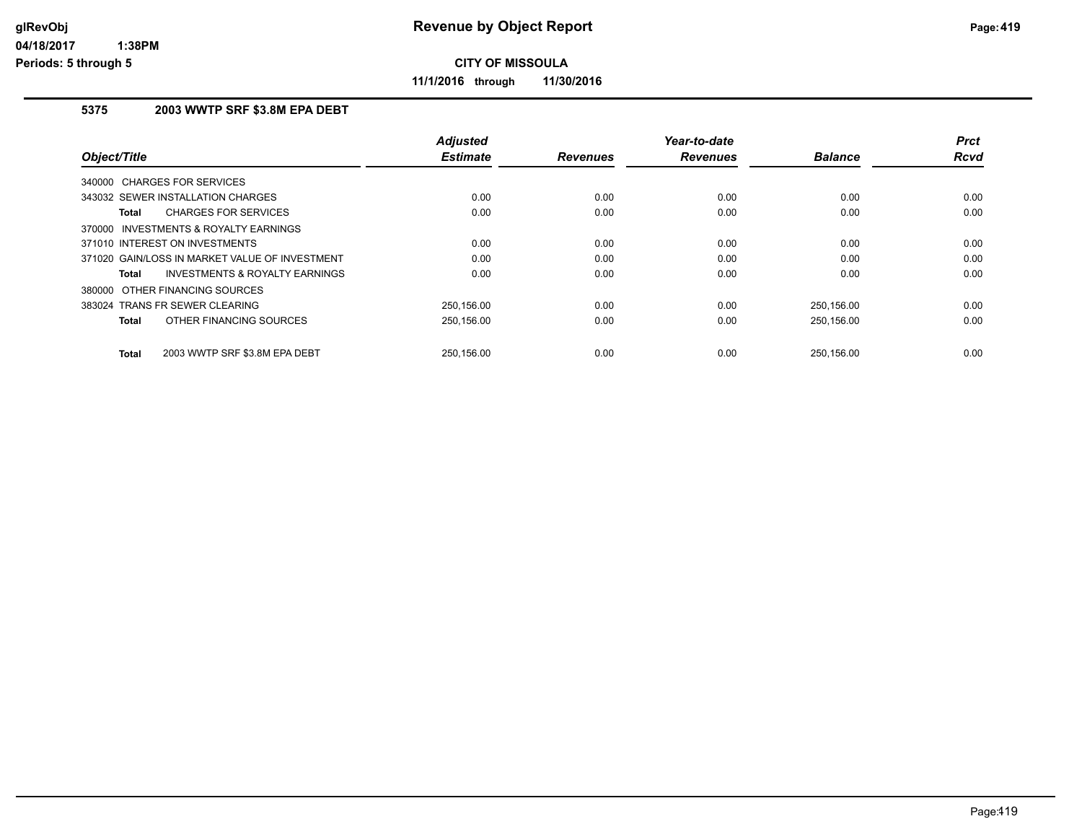**11/1/2016 through 11/30/2016**

#### **5375 2003 WWTP SRF \$3.8M EPA DEBT**

|                                                | <b>Adjusted</b> |                 | Year-to-date    |                | <b>Prct</b> |
|------------------------------------------------|-----------------|-----------------|-----------------|----------------|-------------|
| Object/Title                                   | <b>Estimate</b> | <b>Revenues</b> | <b>Revenues</b> | <b>Balance</b> | <b>Rcvd</b> |
| <b>CHARGES FOR SERVICES</b><br>340000          |                 |                 |                 |                |             |
| 343032 SEWER INSTALLATION CHARGES              | 0.00            | 0.00            | 0.00            | 0.00           | 0.00        |
| <b>CHARGES FOR SERVICES</b><br>Total           | 0.00            | 0.00            | 0.00            | 0.00           | 0.00        |
| INVESTMENTS & ROYALTY EARNINGS<br>370000       |                 |                 |                 |                |             |
| 371010 INTEREST ON INVESTMENTS                 | 0.00            | 0.00            | 0.00            | 0.00           | 0.00        |
| 371020 GAIN/LOSS IN MARKET VALUE OF INVESTMENT | 0.00            | 0.00            | 0.00            | 0.00           | 0.00        |
| INVESTMENTS & ROYALTY EARNINGS<br><b>Total</b> | 0.00            | 0.00            | 0.00            | 0.00           | 0.00        |
| OTHER FINANCING SOURCES<br>380000              |                 |                 |                 |                |             |
| 383024 TRANS FR SEWER CLEARING                 | 250,156.00      | 0.00            | 0.00            | 250,156.00     | 0.00        |
| OTHER FINANCING SOURCES<br><b>Total</b>        | 250,156.00      | 0.00            | 0.00            | 250,156.00     | 0.00        |
| 2003 WWTP SRF \$3.8M EPA DEBT<br><b>Total</b>  | 250,156.00      | 0.00            | 0.00            | 250,156.00     | 0.00        |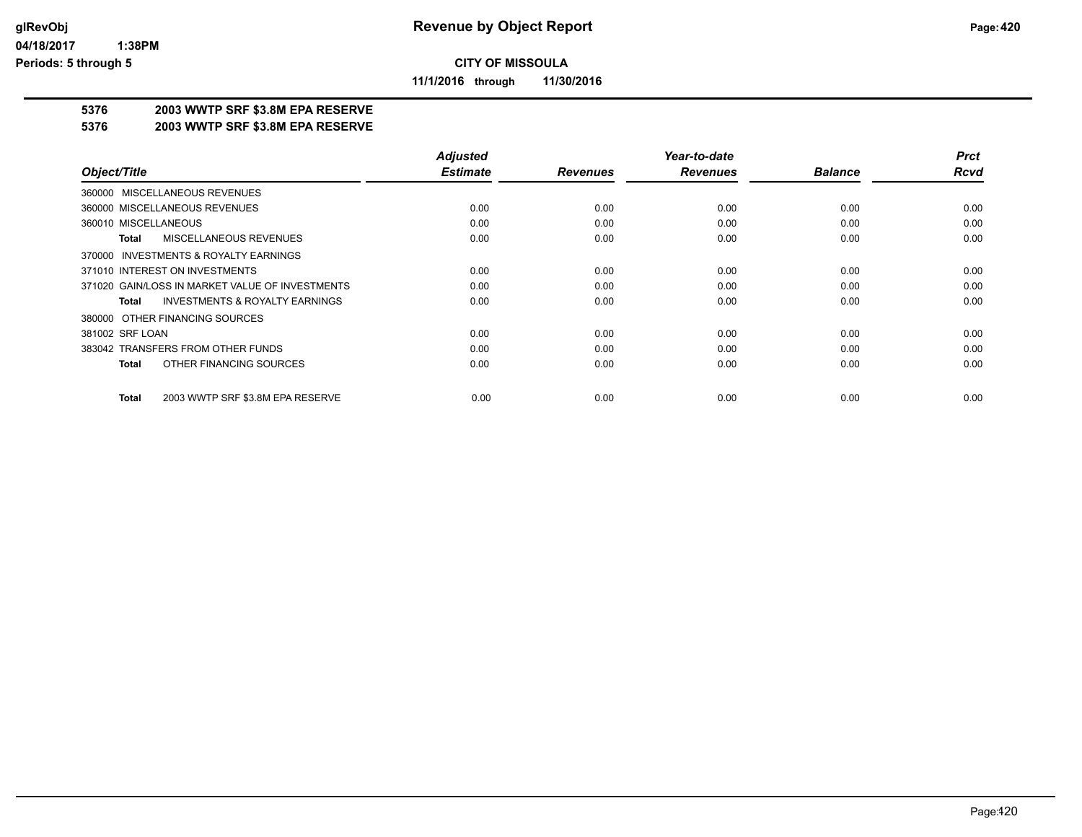**11/1/2016 through 11/30/2016**

**5376 2003 WWTP SRF \$3.8M EPA RESERVE**

**5376 2003 WWTP SRF \$3.8M EPA RESERVE**

|                                                    | <b>Adjusted</b> |                 | Year-to-date    |                | <b>Prct</b> |
|----------------------------------------------------|-----------------|-----------------|-----------------|----------------|-------------|
| Object/Title                                       | <b>Estimate</b> | <b>Revenues</b> | <b>Revenues</b> | <b>Balance</b> | <b>Rcvd</b> |
| 360000 MISCELLANEOUS REVENUES                      |                 |                 |                 |                |             |
| 360000 MISCELLANEOUS REVENUES                      | 0.00            | 0.00            | 0.00            | 0.00           | 0.00        |
| 360010 MISCELLANEOUS                               | 0.00            | 0.00            | 0.00            | 0.00           | 0.00        |
| <b>MISCELLANEOUS REVENUES</b><br>Total             | 0.00            | 0.00            | 0.00            | 0.00           | 0.00        |
| 370000 INVESTMENTS & ROYALTY EARNINGS              |                 |                 |                 |                |             |
| 371010 INTEREST ON INVESTMENTS                     | 0.00            | 0.00            | 0.00            | 0.00           | 0.00        |
| 371020 GAIN/LOSS IN MARKET VALUE OF INVESTMENTS    | 0.00            | 0.00            | 0.00            | 0.00           | 0.00        |
| <b>INVESTMENTS &amp; ROYALTY EARNINGS</b><br>Total | 0.00            | 0.00            | 0.00            | 0.00           | 0.00        |
| 380000 OTHER FINANCING SOURCES                     |                 |                 |                 |                |             |
| 381002 SRF LOAN                                    | 0.00            | 0.00            | 0.00            | 0.00           | 0.00        |
| 383042 TRANSFERS FROM OTHER FUNDS                  | 0.00            | 0.00            | 0.00            | 0.00           | 0.00        |
| OTHER FINANCING SOURCES<br>Total                   | 0.00            | 0.00            | 0.00            | 0.00           | 0.00        |
| 2003 WWTP SRF \$3.8M EPA RESERVE<br>Total          | 0.00            | 0.00            | 0.00            | 0.00           | 0.00        |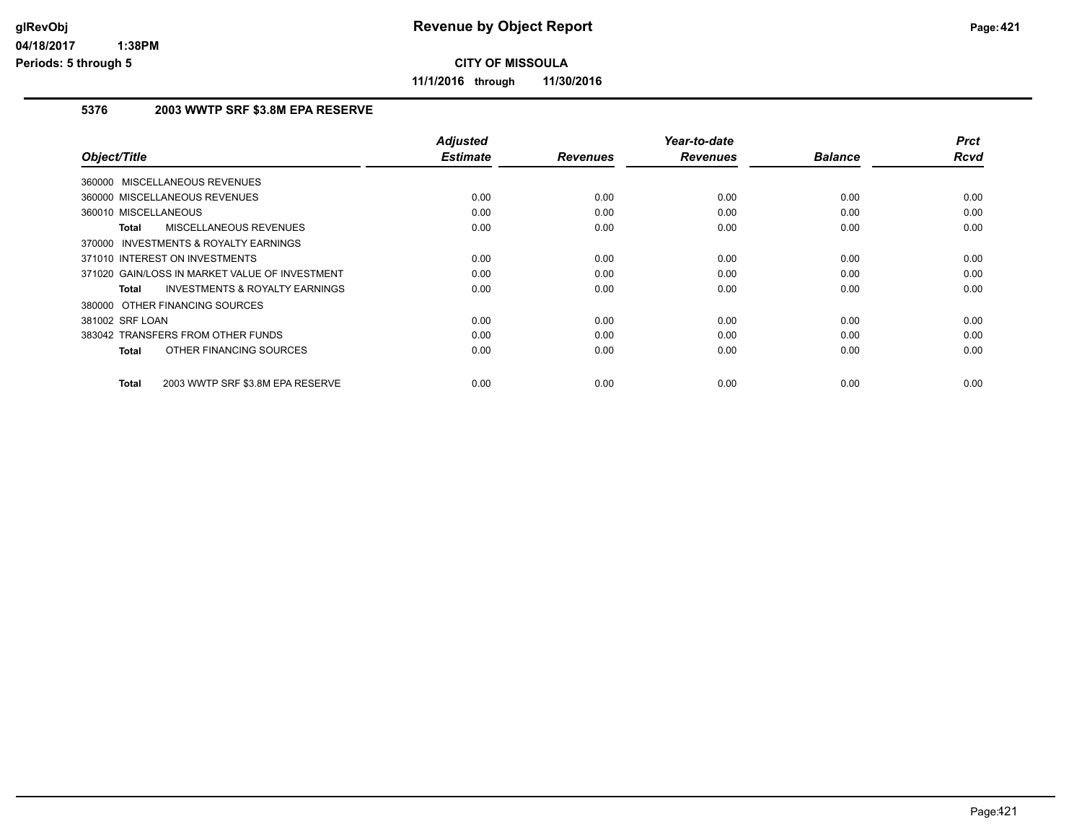**11/1/2016 through 11/30/2016**

#### **5376 2003 WWTP SRF \$3.8M EPA RESERVE**

|                                                    | <b>Adjusted</b> |                 | Year-to-date    |                | <b>Prct</b> |
|----------------------------------------------------|-----------------|-----------------|-----------------|----------------|-------------|
| Object/Title                                       | <b>Estimate</b> | <b>Revenues</b> | <b>Revenues</b> | <b>Balance</b> | <b>Rcvd</b> |
| 360000 MISCELLANEOUS REVENUES                      |                 |                 |                 |                |             |
| 360000 MISCELLANEOUS REVENUES                      | 0.00            | 0.00            | 0.00            | 0.00           | 0.00        |
| 360010 MISCELLANEOUS                               | 0.00            | 0.00            | 0.00            | 0.00           | 0.00        |
| MISCELLANEOUS REVENUES<br>Total                    | 0.00            | 0.00            | 0.00            | 0.00           | 0.00        |
| 370000 INVESTMENTS & ROYALTY EARNINGS              |                 |                 |                 |                |             |
| 371010 INTEREST ON INVESTMENTS                     | 0.00            | 0.00            | 0.00            | 0.00           | 0.00        |
| 371020 GAIN/LOSS IN MARKET VALUE OF INVESTMENT     | 0.00            | 0.00            | 0.00            | 0.00           | 0.00        |
| <b>INVESTMENTS &amp; ROYALTY EARNINGS</b><br>Total | 0.00            | 0.00            | 0.00            | 0.00           | 0.00        |
| 380000 OTHER FINANCING SOURCES                     |                 |                 |                 |                |             |
| 381002 SRF LOAN                                    | 0.00            | 0.00            | 0.00            | 0.00           | 0.00        |
| 383042 TRANSFERS FROM OTHER FUNDS                  | 0.00            | 0.00            | 0.00            | 0.00           | 0.00        |
| OTHER FINANCING SOURCES<br><b>Total</b>            | 0.00            | 0.00            | 0.00            | 0.00           | 0.00        |
|                                                    |                 |                 |                 |                |             |
| 2003 WWTP SRF \$3.8M EPA RESERVE<br><b>Total</b>   | 0.00            | 0.00            | 0.00            | 0.00           | 0.00        |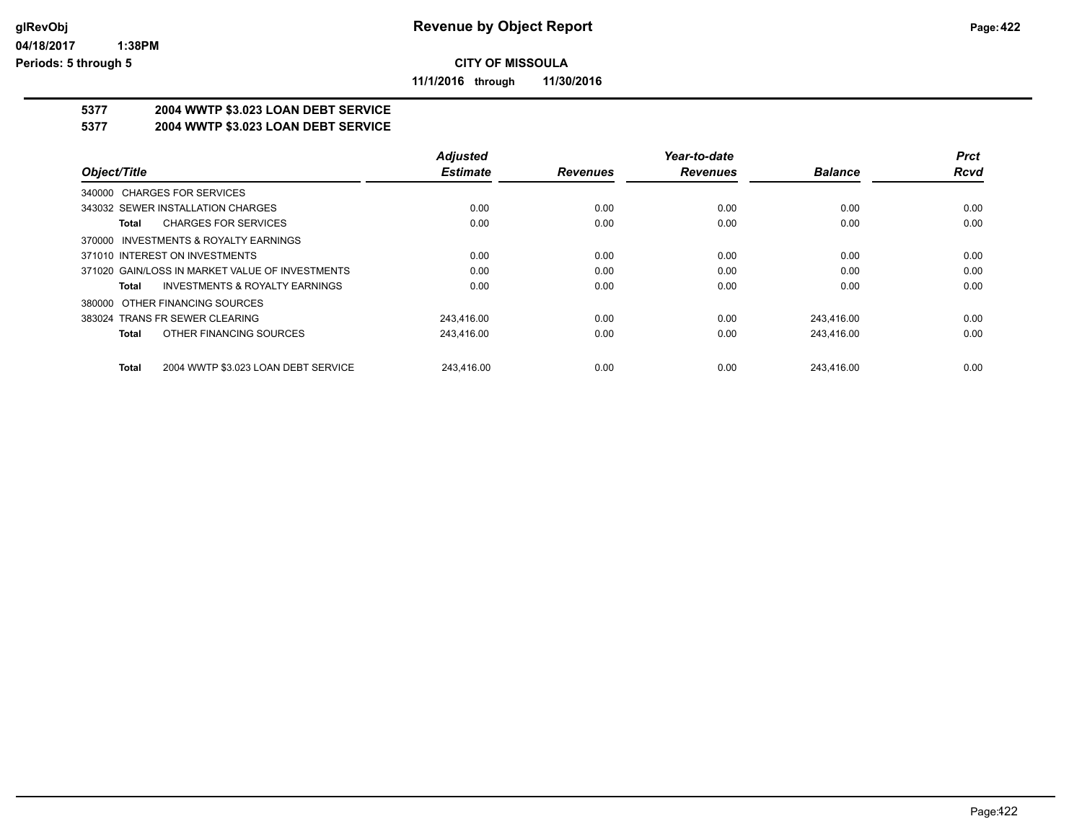**11/1/2016 through 11/30/2016**

### **5377 2004 WWTP \$3.023 LOAN DEBT SERVICE 5377 2004 WWTP \$3.023 LOAN DEBT SERVICE**

|                                                     | <b>Adjusted</b> |                 | Year-to-date    |                | <b>Prct</b> |
|-----------------------------------------------------|-----------------|-----------------|-----------------|----------------|-------------|
| Object/Title                                        | <b>Estimate</b> | <b>Revenues</b> | <b>Revenues</b> | <b>Balance</b> | <b>Rcvd</b> |
| 340000 CHARGES FOR SERVICES                         |                 |                 |                 |                |             |
| 343032 SEWER INSTALLATION CHARGES                   | 0.00            | 0.00            | 0.00            | 0.00           | 0.00        |
| <b>CHARGES FOR SERVICES</b><br>Total                | 0.00            | 0.00            | 0.00            | 0.00           | 0.00        |
| <b>INVESTMENTS &amp; ROYALTY EARNINGS</b><br>370000 |                 |                 |                 |                |             |
| 371010 INTEREST ON INVESTMENTS                      | 0.00            | 0.00            | 0.00            | 0.00           | 0.00        |
| 371020 GAIN/LOSS IN MARKET VALUE OF INVESTMENTS     | 0.00            | 0.00            | 0.00            | 0.00           | 0.00        |
| <b>INVESTMENTS &amp; ROYALTY EARNINGS</b><br>Total  | 0.00            | 0.00            | 0.00            | 0.00           | 0.00        |
| OTHER FINANCING SOURCES<br>380000                   |                 |                 |                 |                |             |
| 383024 TRANS FR SEWER CLEARING                      | 243.416.00      | 0.00            | 0.00            | 243,416.00     | 0.00        |
| OTHER FINANCING SOURCES<br>Total                    | 243.416.00      | 0.00            | 0.00            | 243,416.00     | 0.00        |
| 2004 WWTP \$3.023 LOAN DEBT SERVICE<br>Total        | 243.416.00      | 0.00            | 0.00            | 243.416.00     | 0.00        |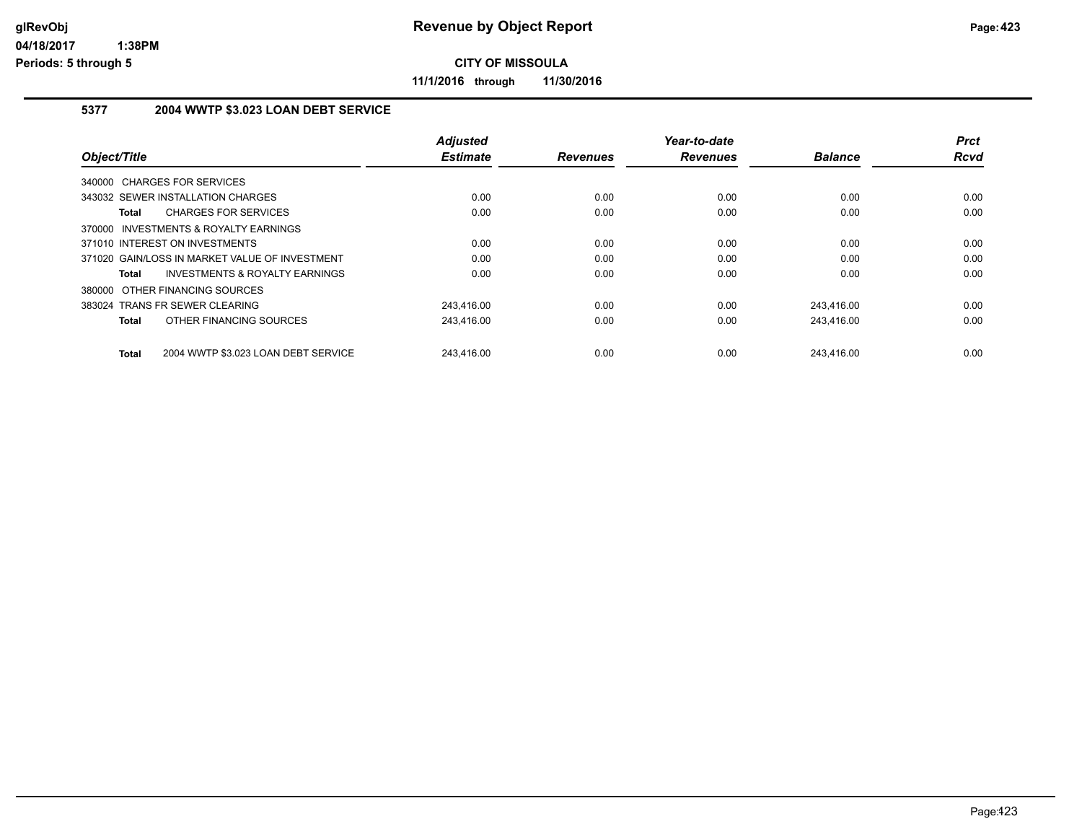**11/1/2016 through 11/30/2016**

#### **5377 2004 WWTP \$3.023 LOAN DEBT SERVICE**

| Object/Title                                              | <b>Adjusted</b><br><b>Estimate</b> | <b>Revenues</b> | Year-to-date<br><b>Revenues</b> | <b>Balance</b> | <b>Prct</b><br><b>Rcvd</b> |
|-----------------------------------------------------------|------------------------------------|-----------------|---------------------------------|----------------|----------------------------|
|                                                           |                                    |                 |                                 |                |                            |
| <b>CHARGES FOR SERVICES</b><br>340000                     |                                    |                 |                                 |                |                            |
| 343032 SEWER INSTALLATION CHARGES                         | 0.00                               | 0.00            | 0.00                            | 0.00           | 0.00                       |
| <b>CHARGES FOR SERVICES</b><br><b>Total</b>               | 0.00                               | 0.00            | 0.00                            | 0.00           | 0.00                       |
| <b>INVESTMENTS &amp; ROYALTY EARNINGS</b><br>370000       |                                    |                 |                                 |                |                            |
| 371010 INTEREST ON INVESTMENTS                            | 0.00                               | 0.00            | 0.00                            | 0.00           | 0.00                       |
| 371020 GAIN/LOSS IN MARKET VALUE OF INVESTMENT            | 0.00                               | 0.00            | 0.00                            | 0.00           | 0.00                       |
| <b>INVESTMENTS &amp; ROYALTY EARNINGS</b><br><b>Total</b> | 0.00                               | 0.00            | 0.00                            | 0.00           | 0.00                       |
| OTHER FINANCING SOURCES<br>380000                         |                                    |                 |                                 |                |                            |
| 383024 TRANS FR SEWER CLEARING                            | 243.416.00                         | 0.00            | 0.00                            | 243.416.00     | 0.00                       |
| OTHER FINANCING SOURCES<br><b>Total</b>                   | 243.416.00                         | 0.00            | 0.00                            | 243.416.00     | 0.00                       |
| <b>Total</b><br>2004 WWTP \$3.023 LOAN DEBT SERVICE       | 243.416.00                         | 0.00            | 0.00                            | 243.416.00     | 0.00                       |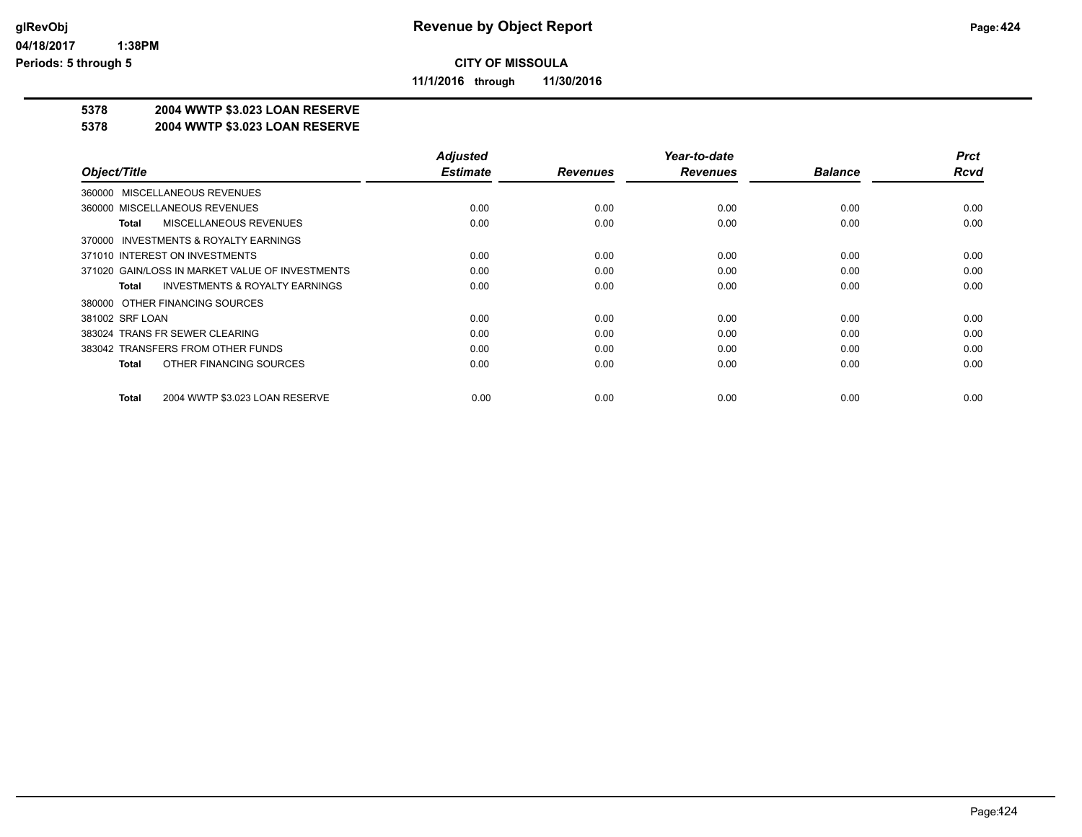**11/1/2016 through 11/30/2016**

# **5378 2004 WWTP \$3.023 LOAN RESERVE**

# **5378 2004 WWTP \$3.023 LOAN RESERVE**

|                                                    | <b>Adjusted</b> |                 | Year-to-date    |                | <b>Prct</b> |
|----------------------------------------------------|-----------------|-----------------|-----------------|----------------|-------------|
| Object/Title                                       | <b>Estimate</b> | <b>Revenues</b> | <b>Revenues</b> | <b>Balance</b> | <b>Rcvd</b> |
| MISCELLANEOUS REVENUES<br>360000                   |                 |                 |                 |                |             |
| 360000 MISCELLANEOUS REVENUES                      | 0.00            | 0.00            | 0.00            | 0.00           | 0.00        |
| <b>MISCELLANEOUS REVENUES</b><br>Total             | 0.00            | 0.00            | 0.00            | 0.00           | 0.00        |
| 370000 INVESTMENTS & ROYALTY EARNINGS              |                 |                 |                 |                |             |
| 371010 INTEREST ON INVESTMENTS                     | 0.00            | 0.00            | 0.00            | 0.00           | 0.00        |
| 371020 GAIN/LOSS IN MARKET VALUE OF INVESTMENTS    | 0.00            | 0.00            | 0.00            | 0.00           | 0.00        |
| <b>INVESTMENTS &amp; ROYALTY EARNINGS</b><br>Total | 0.00            | 0.00            | 0.00            | 0.00           | 0.00        |
| 380000 OTHER FINANCING SOURCES                     |                 |                 |                 |                |             |
| 381002 SRF LOAN                                    | 0.00            | 0.00            | 0.00            | 0.00           | 0.00        |
| 383024 TRANS FR SEWER CLEARING                     | 0.00            | 0.00            | 0.00            | 0.00           | 0.00        |
| 383042 TRANSFERS FROM OTHER FUNDS                  | 0.00            | 0.00            | 0.00            | 0.00           | 0.00        |
| OTHER FINANCING SOURCES<br>Total                   | 0.00            | 0.00            | 0.00            | 0.00           | 0.00        |
| 2004 WWTP \$3.023 LOAN RESERVE<br><b>Total</b>     | 0.00            | 0.00            | 0.00            | 0.00           | 0.00        |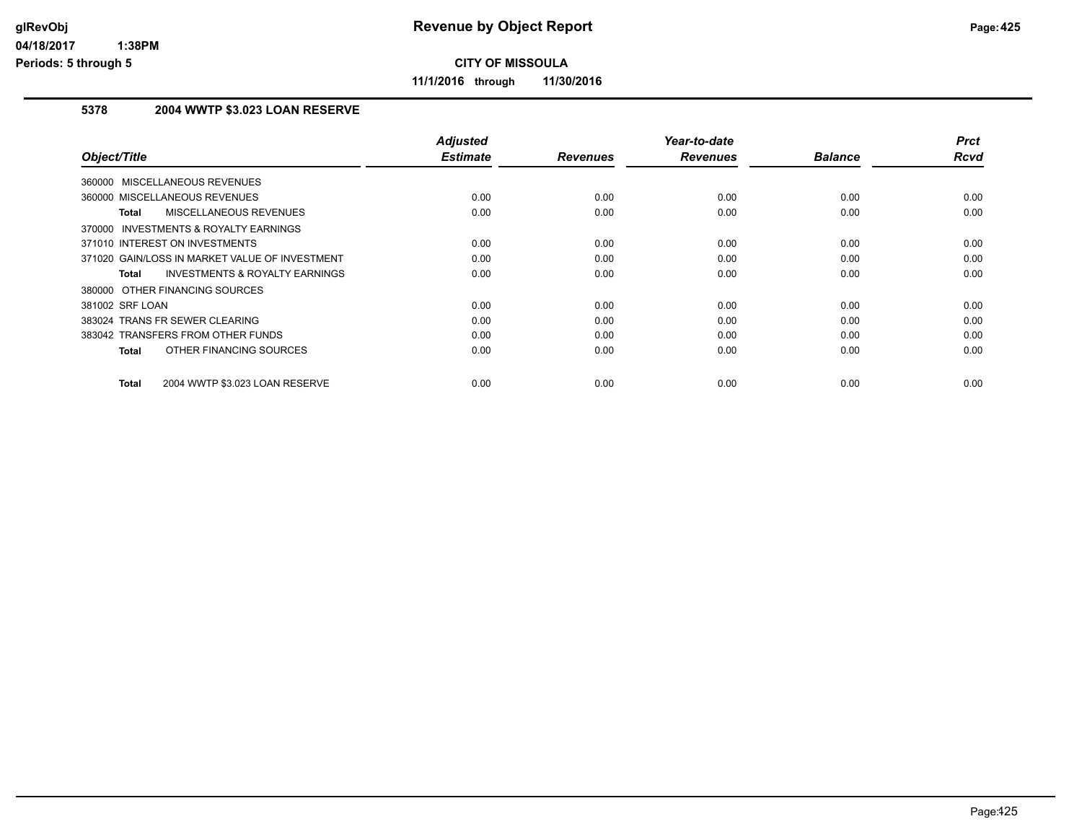**11/1/2016 through 11/30/2016**

#### **5378 2004 WWTP \$3.023 LOAN RESERVE**

| Object/Title                                              | <b>Adjusted</b><br><b>Estimate</b> | <b>Revenues</b> | Year-to-date<br><b>Revenues</b> | <b>Balance</b> | <b>Prct</b><br><b>Rcvd</b> |
|-----------------------------------------------------------|------------------------------------|-----------------|---------------------------------|----------------|----------------------------|
| <b>MISCELLANEOUS REVENUES</b><br>360000                   |                                    |                 |                                 |                |                            |
| 360000 MISCELLANEOUS REVENUES                             | 0.00                               | 0.00            | 0.00                            | 0.00           | 0.00                       |
| MISCELLANEOUS REVENUES<br><b>Total</b>                    | 0.00                               | 0.00            | 0.00                            | 0.00           | 0.00                       |
| <b>INVESTMENTS &amp; ROYALTY EARNINGS</b><br>370000       |                                    |                 |                                 |                |                            |
| 371010 INTEREST ON INVESTMENTS                            | 0.00                               | 0.00            | 0.00                            | 0.00           | 0.00                       |
| 371020 GAIN/LOSS IN MARKET VALUE OF INVESTMENT            | 0.00                               | 0.00            | 0.00                            | 0.00           | 0.00                       |
| <b>INVESTMENTS &amp; ROYALTY EARNINGS</b><br><b>Total</b> | 0.00                               | 0.00            | 0.00                            | 0.00           | 0.00                       |
| 380000 OTHER FINANCING SOURCES                            |                                    |                 |                                 |                |                            |
| 381002 SRF LOAN                                           | 0.00                               | 0.00            | 0.00                            | 0.00           | 0.00                       |
| 383024 TRANS FR SEWER CLEARING                            | 0.00                               | 0.00            | 0.00                            | 0.00           | 0.00                       |
| 383042 TRANSFERS FROM OTHER FUNDS                         | 0.00                               | 0.00            | 0.00                            | 0.00           | 0.00                       |
| OTHER FINANCING SOURCES<br><b>Total</b>                   | 0.00                               | 0.00            | 0.00                            | 0.00           | 0.00                       |
|                                                           |                                    |                 |                                 |                |                            |
| 2004 WWTP \$3.023 LOAN RESERVE<br><b>Total</b>            | 0.00                               | 0.00            | 0.00                            | 0.00           | 0.00                       |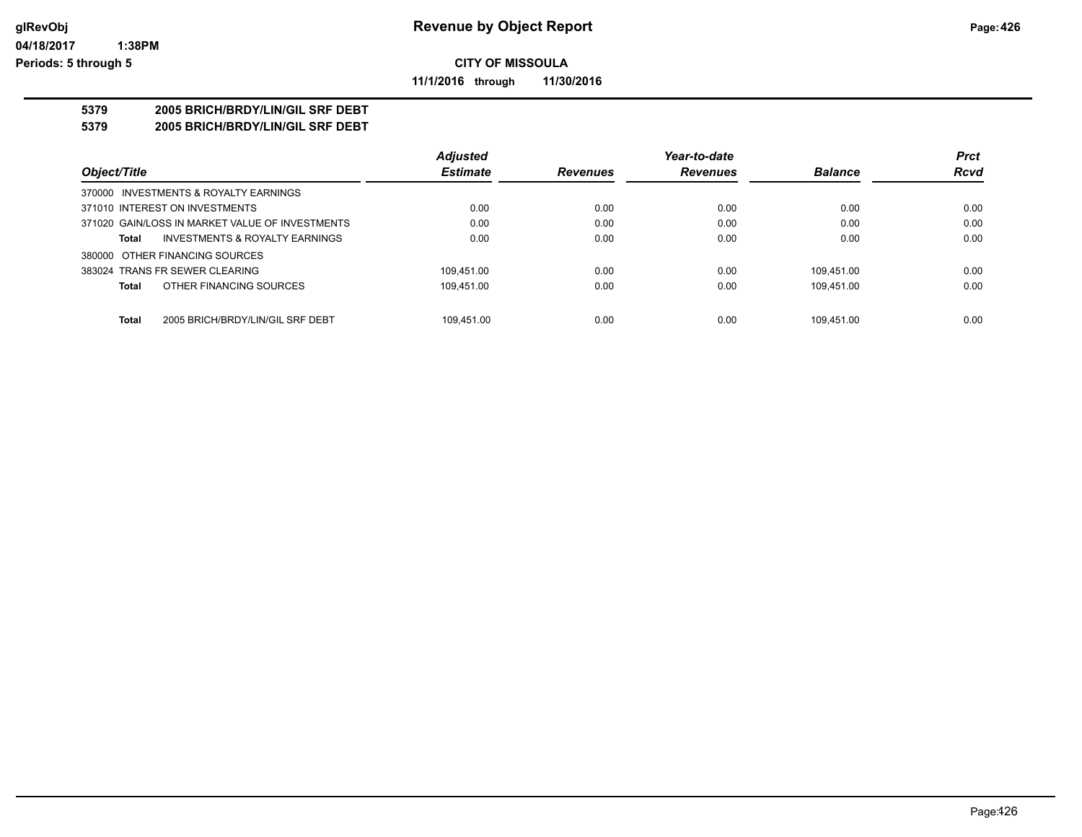**11/1/2016 through 11/30/2016**

### **5379 2005 BRICH/BRDY/LIN/GIL SRF DEBT 5379 2005 BRICH/BRDY/LIN/GIL SRF DEBT**

|                                                  | <b>Adjusted</b> |                 | Year-to-date    |                | <b>Prct</b> |
|--------------------------------------------------|-----------------|-----------------|-----------------|----------------|-------------|
| Object/Title                                     | <b>Estimate</b> | <b>Revenues</b> | <b>Revenues</b> | <b>Balance</b> | <b>Rcvd</b> |
| 370000 INVESTMENTS & ROYALTY EARNINGS            |                 |                 |                 |                |             |
| 371010 INTEREST ON INVESTMENTS                   | 0.00            | 0.00            | 0.00            | 0.00           | 0.00        |
| 371020 GAIN/LOSS IN MARKET VALUE OF INVESTMENTS  | 0.00            | 0.00            | 0.00            | 0.00           | 0.00        |
| INVESTMENTS & ROYALTY EARNINGS<br>Total          | 0.00            | 0.00            | 0.00            | 0.00           | 0.00        |
| 380000 OTHER FINANCING SOURCES                   |                 |                 |                 |                |             |
| 383024 TRANS FR SEWER CLEARING                   | 109.451.00      | 0.00            | 0.00            | 109.451.00     | 0.00        |
| OTHER FINANCING SOURCES<br><b>Total</b>          | 109.451.00      | 0.00            | 0.00            | 109.451.00     | 0.00        |
| 2005 BRICH/BRDY/LIN/GIL SRF DEBT<br><b>Total</b> | 109.451.00      | 0.00            | 0.00            | 109.451.00     | 0.00        |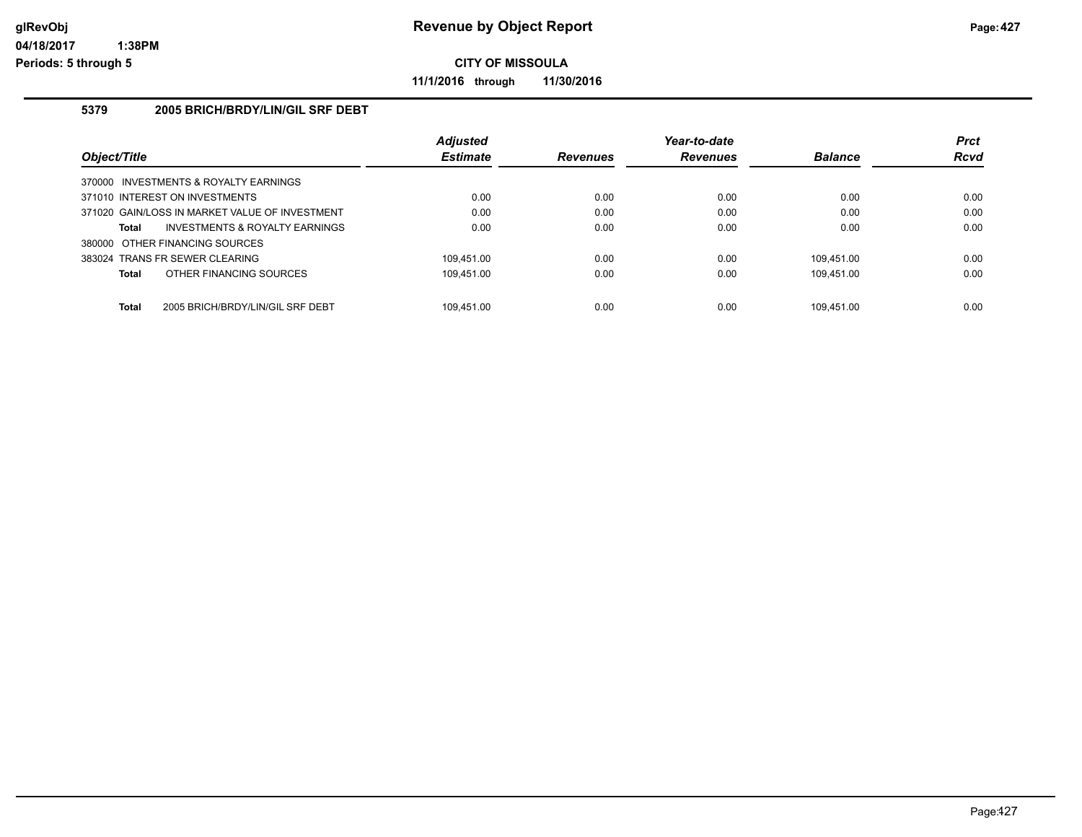**11/1/2016 through 11/30/2016**

#### **5379 2005 BRICH/BRDY/LIN/GIL SRF DEBT**

|                                                  | <b>Adjusted</b> |                 | Year-to-date    |                | <b>Prct</b> |
|--------------------------------------------------|-----------------|-----------------|-----------------|----------------|-------------|
| Object/Title                                     | <b>Estimate</b> | <b>Revenues</b> | <b>Revenues</b> | <b>Balance</b> | <b>Rcvd</b> |
| 370000 INVESTMENTS & ROYALTY EARNINGS            |                 |                 |                 |                |             |
| 371010 INTEREST ON INVESTMENTS                   | 0.00            | 0.00            | 0.00            | 0.00           | 0.00        |
| 371020 GAIN/LOSS IN MARKET VALUE OF INVESTMENT   | 0.00            | 0.00            | 0.00            | 0.00           | 0.00        |
| Total<br>INVESTMENTS & ROYALTY EARNINGS          | 0.00            | 0.00            | 0.00            | 0.00           | 0.00        |
| 380000 OTHER FINANCING SOURCES                   |                 |                 |                 |                |             |
| 383024 TRANS FR SEWER CLEARING                   | 109.451.00      | 0.00            | 0.00            | 109.451.00     | 0.00        |
| OTHER FINANCING SOURCES<br>Total                 | 109.451.00      | 0.00            | 0.00            | 109.451.00     | 0.00        |
|                                                  |                 |                 |                 |                |             |
| <b>Total</b><br>2005 BRICH/BRDY/LIN/GIL SRF DEBT | 109.451.00      | 0.00            | 0.00            | 109.451.00     | 0.00        |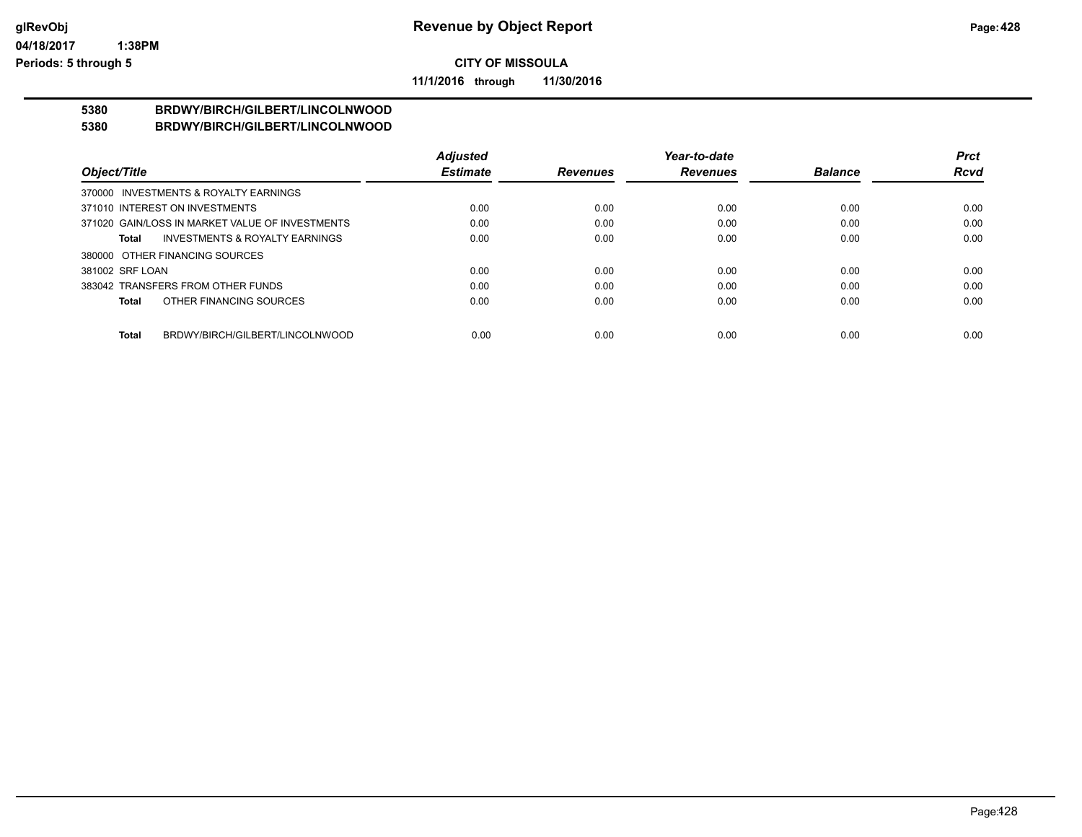**11/1/2016 through 11/30/2016**

### **5380 BRDWY/BIRCH/GILBERT/LINCOLNWOOD 5380 BRDWY/BIRCH/GILBERT/LINCOLNWOOD**

|                                                    | <b>Adjusted</b> |                 | Year-to-date    |                | <b>Prct</b> |
|----------------------------------------------------|-----------------|-----------------|-----------------|----------------|-------------|
| Object/Title                                       | <b>Estimate</b> | <b>Revenues</b> | <b>Revenues</b> | <b>Balance</b> | <b>Rcvd</b> |
| 370000 INVESTMENTS & ROYALTY EARNINGS              |                 |                 |                 |                |             |
| 371010 INTEREST ON INVESTMENTS                     | 0.00            | 0.00            | 0.00            | 0.00           | 0.00        |
| 371020 GAIN/LOSS IN MARKET VALUE OF INVESTMENTS    | 0.00            | 0.00            | 0.00            | 0.00           | 0.00        |
| <b>INVESTMENTS &amp; ROYALTY EARNINGS</b><br>Total | 0.00            | 0.00            | 0.00            | 0.00           | 0.00        |
| 380000 OTHER FINANCING SOURCES                     |                 |                 |                 |                |             |
| 381002 SRF LOAN                                    | 0.00            | 0.00            | 0.00            | 0.00           | 0.00        |
| 383042 TRANSFERS FROM OTHER FUNDS                  | 0.00            | 0.00            | 0.00            | 0.00           | 0.00        |
| OTHER FINANCING SOURCES<br>Total                   | 0.00            | 0.00            | 0.00            | 0.00           | 0.00        |
|                                                    |                 |                 |                 |                |             |
| BRDWY/BIRCH/GILBERT/LINCOLNWOOD<br><b>Total</b>    | 0.00            | 0.00            | 0.00            | 0.00           | 0.00        |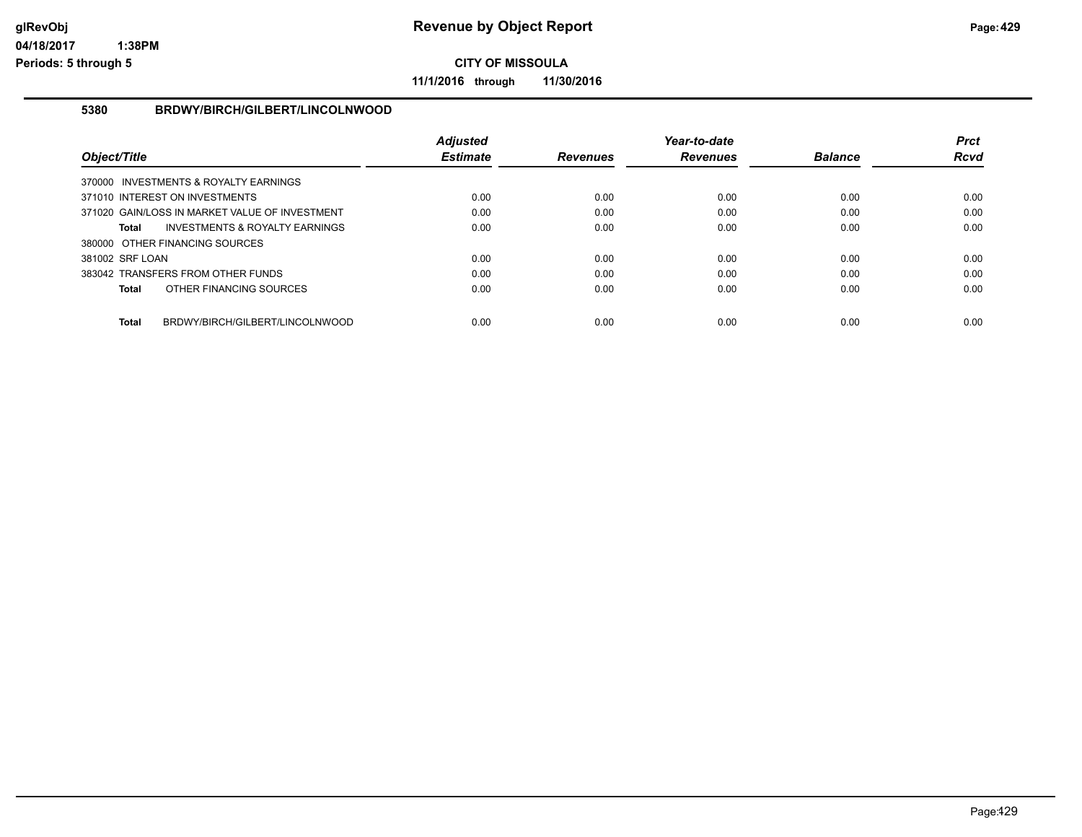**11/1/2016 through 11/30/2016**

#### **5380 BRDWY/BIRCH/GILBERT/LINCOLNWOOD**

|                                                 | <b>Adiusted</b> |                 | Year-to-date    |                | <b>Prct</b> |
|-------------------------------------------------|-----------------|-----------------|-----------------|----------------|-------------|
| Object/Title                                    | <b>Estimate</b> | <b>Revenues</b> | <b>Revenues</b> | <b>Balance</b> | <b>Rcvd</b> |
| 370000 INVESTMENTS & ROYALTY EARNINGS           |                 |                 |                 |                |             |
| 371010 INTEREST ON INVESTMENTS                  | 0.00            | 0.00            | 0.00            | 0.00           | 0.00        |
| 371020 GAIN/LOSS IN MARKET VALUE OF INVESTMENT  | 0.00            | 0.00            | 0.00            | 0.00           | 0.00        |
| INVESTMENTS & ROYALTY EARNINGS<br>Total         | 0.00            | 0.00            | 0.00            | 0.00           | 0.00        |
| 380000 OTHER FINANCING SOURCES                  |                 |                 |                 |                |             |
| 381002 SRF LOAN                                 | 0.00            | 0.00            | 0.00            | 0.00           | 0.00        |
| 383042 TRANSFERS FROM OTHER FUNDS               | 0.00            | 0.00            | 0.00            | 0.00           | 0.00        |
| OTHER FINANCING SOURCES<br>Total                | 0.00            | 0.00            | 0.00            | 0.00           | 0.00        |
| BRDWY/BIRCH/GILBERT/LINCOLNWOOD<br><b>Total</b> | 0.00            | 0.00            | 0.00            | 0.00           | 0.00        |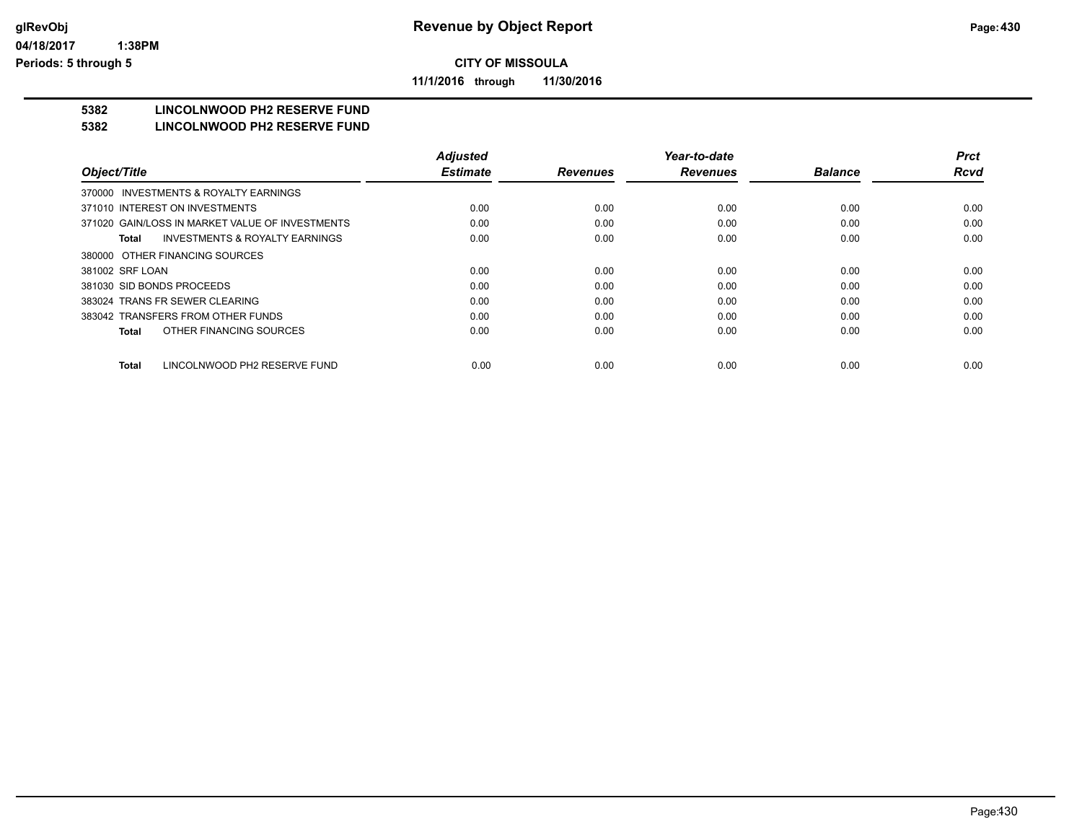**11/1/2016 through 11/30/2016**

### **5382 LINCOLNWOOD PH2 RESERVE FUND 5382 LINCOLNWOOD PH2 RESERVE FUND**

|                                                    | <b>Adjusted</b> |                 | Year-to-date    |                | <b>Prct</b> |
|----------------------------------------------------|-----------------|-----------------|-----------------|----------------|-------------|
| Object/Title                                       | <b>Estimate</b> | <b>Revenues</b> | <b>Revenues</b> | <b>Balance</b> | <b>Rcvd</b> |
| INVESTMENTS & ROYALTY EARNINGS<br>370000           |                 |                 |                 |                |             |
| 371010 INTEREST ON INVESTMENTS                     | 0.00            | 0.00            | 0.00            | 0.00           | 0.00        |
| 371020 GAIN/LOSS IN MARKET VALUE OF INVESTMENTS    | 0.00            | 0.00            | 0.00            | 0.00           | 0.00        |
| <b>INVESTMENTS &amp; ROYALTY EARNINGS</b><br>Total | 0.00            | 0.00            | 0.00            | 0.00           | 0.00        |
| 380000 OTHER FINANCING SOURCES                     |                 |                 |                 |                |             |
| 381002 SRF LOAN                                    | 0.00            | 0.00            | 0.00            | 0.00           | 0.00        |
| 381030 SID BONDS PROCEEDS                          | 0.00            | 0.00            | 0.00            | 0.00           | 0.00        |
| 383024 TRANS FR SEWER CLEARING                     | 0.00            | 0.00            | 0.00            | 0.00           | 0.00        |
| 383042 TRANSFERS FROM OTHER FUNDS                  | 0.00            | 0.00            | 0.00            | 0.00           | 0.00        |
| OTHER FINANCING SOURCES<br>Total                   | 0.00            | 0.00            | 0.00            | 0.00           | 0.00        |
| LINCOLNWOOD PH2 RESERVE FUND<br><b>Total</b>       | 0.00            | 0.00            | 0.00            | 0.00           | 0.00        |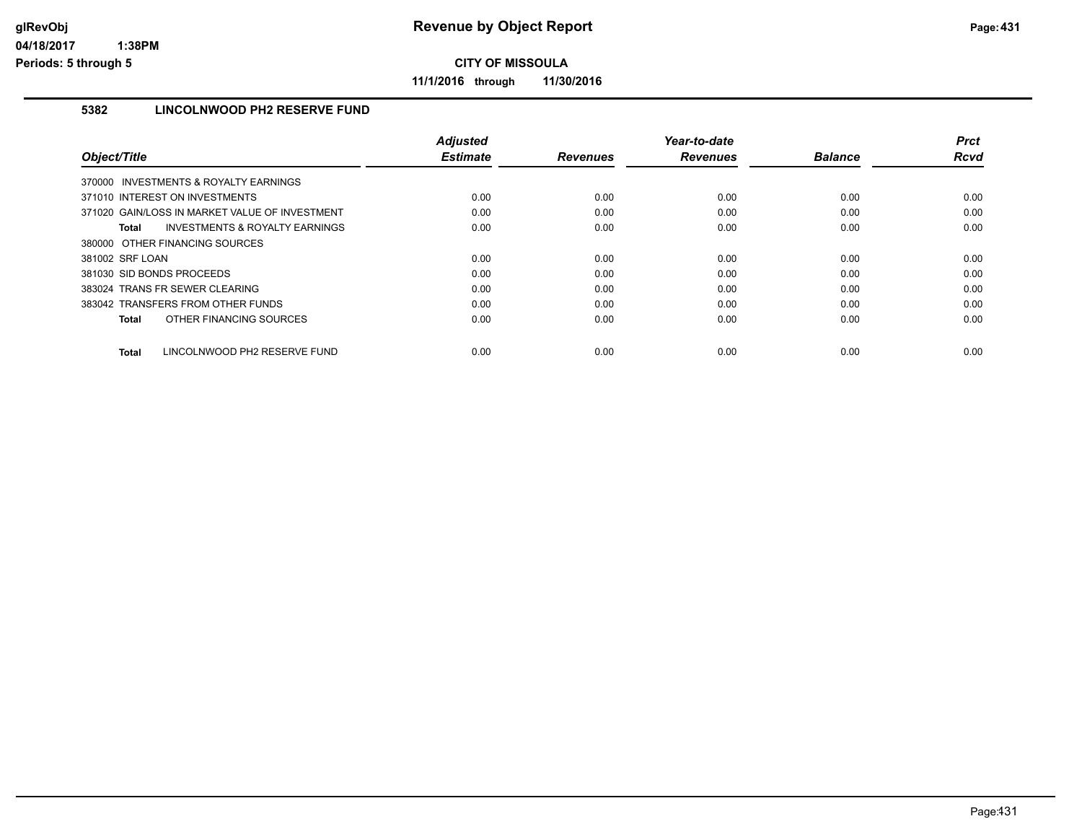**11/1/2016 through 11/30/2016**

### **5382 LINCOLNWOOD PH2 RESERVE FUND**

|                                                | <b>Adjusted</b> |                 | Year-to-date    |                | <b>Prct</b> |
|------------------------------------------------|-----------------|-----------------|-----------------|----------------|-------------|
| Object/Title                                   | <b>Estimate</b> | <b>Revenues</b> | <b>Revenues</b> | <b>Balance</b> | Rcvd        |
| 370000 INVESTMENTS & ROYALTY EARNINGS          |                 |                 |                 |                |             |
| 371010 INTEREST ON INVESTMENTS                 | 0.00            | 0.00            | 0.00            | 0.00           | 0.00        |
| 371020 GAIN/LOSS IN MARKET VALUE OF INVESTMENT | 0.00            | 0.00            | 0.00            | 0.00           | 0.00        |
| INVESTMENTS & ROYALTY EARNINGS<br>Total        | 0.00            | 0.00            | 0.00            | 0.00           | 0.00        |
| 380000 OTHER FINANCING SOURCES                 |                 |                 |                 |                |             |
| 381002 SRF LOAN                                | 0.00            | 0.00            | 0.00            | 0.00           | 0.00        |
| 381030 SID BONDS PROCEEDS                      | 0.00            | 0.00            | 0.00            | 0.00           | 0.00        |
| 383024 TRANS FR SEWER CLEARING                 | 0.00            | 0.00            | 0.00            | 0.00           | 0.00        |
| 383042 TRANSFERS FROM OTHER FUNDS              | 0.00            | 0.00            | 0.00            | 0.00           | 0.00        |
| OTHER FINANCING SOURCES<br>Total               | 0.00            | 0.00            | 0.00            | 0.00           | 0.00        |
| LINCOLNWOOD PH2 RESERVE FUND<br><b>Total</b>   | 0.00            | 0.00            | 0.00            | 0.00           | 0.00        |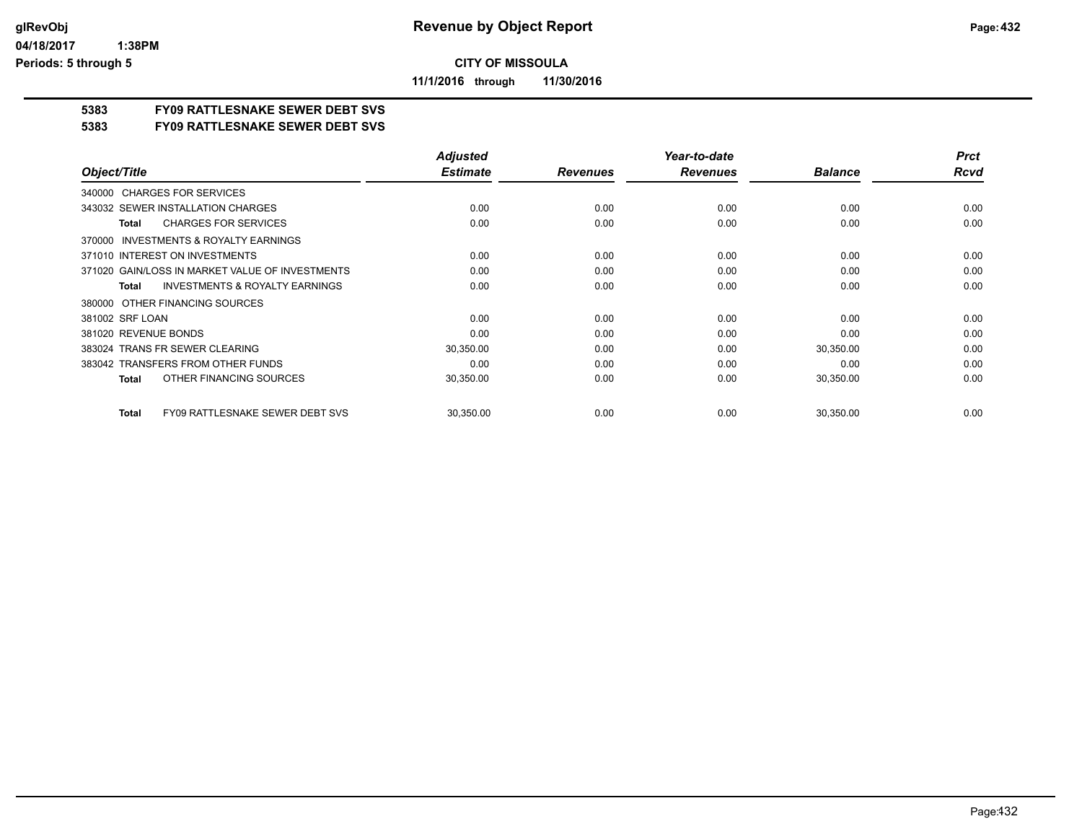*Prct Rcvd*

# **CITY OF MISSOULA**

**11/1/2016 through 11/30/2016**

#### **5383 FY09 RATTLESNAKE SEWER DEBT SVS 5383 FY09 RATTLESNAKE SEWER DEBT SVS**

*Object/Title Adjusted Estimate Revenues Year-to-date Revenues Balance* 340000 CHARGES FOR SERVICES 343032 SEWER INSTALLATION CHARGES 0.00 0.00 0.00 0.00 0.00 **Total** CHARGES FOR SERVICES 0.00 0.00 0.00 0.00 0.00 370000 INVESTMENTS & ROYALTY EARNINGS 371010 INTEREST ON INVESTMENTS 0.00 0.00 0.00 0.00 0.00 371020 GAIN/LOSS IN MARKET VALUE OF INVESTMENTS  $0.00$   $0.00$   $0.00$   $0.00$   $0.00$   $0.00$   $0.00$   $0.00$   $0.00$   $0.00$ **Total** INVESTMENTS & ROYALTY EARNINGS 0.00 0.00 0.00 0.00 0.00 380000 OTHER FINANCING SOURCES 381002 SRF LOAN 0.00 0.00 0.00 0.00 0.00 381020 REVENUE BONDS 0.00 0.00 0.00 0.00 0.00 383024 TRANS FR SEWER CLEARING 30,350.00 0.00 0.00 30,350.00 0.00 383042 TRANSFERS FROM OTHER FUNDS 0.00 0.00 0.00 0.00 0.00 **Total** OTHER FINANCING SOURCES 30,350.00 0.00 0.00 30,350.00 0.00 **Total** FY09 RATTLESNAKE SEWER DEBT SVS 30,350.00 0.00 0.00 30,350.00 0.00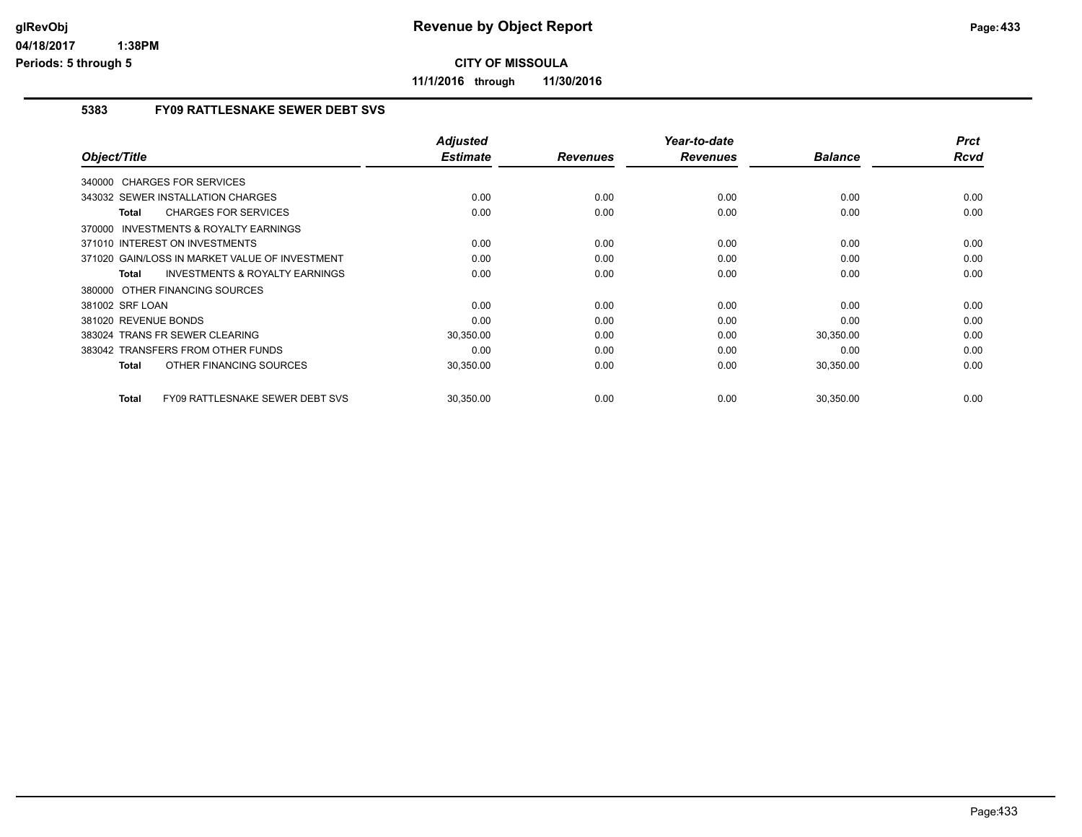**11/1/2016 through 11/30/2016**

#### **5383 FY09 RATTLESNAKE SEWER DEBT SVS**

| Object/Title                                              | <b>Adjusted</b><br><b>Estimate</b> | <b>Revenues</b> | Year-to-date<br><b>Revenues</b> | <b>Balance</b> | <b>Prct</b><br><b>Rcvd</b> |
|-----------------------------------------------------------|------------------------------------|-----------------|---------------------------------|----------------|----------------------------|
| 340000 CHARGES FOR SERVICES                               |                                    |                 |                                 |                |                            |
| 343032 SEWER INSTALLATION CHARGES                         | 0.00                               | 0.00            | 0.00                            | 0.00           | 0.00                       |
| <b>CHARGES FOR SERVICES</b><br>Total                      | 0.00                               | 0.00            | 0.00                            | 0.00           | 0.00                       |
| <b>INVESTMENTS &amp; ROYALTY EARNINGS</b><br>370000       |                                    |                 |                                 |                |                            |
| 371010 INTEREST ON INVESTMENTS                            | 0.00                               | 0.00            | 0.00                            | 0.00           | 0.00                       |
| 371020 GAIN/LOSS IN MARKET VALUE OF INVESTMENT            | 0.00                               | 0.00            | 0.00                            | 0.00           | 0.00                       |
| <b>INVESTMENTS &amp; ROYALTY EARNINGS</b><br><b>Total</b> | 0.00                               | 0.00            | 0.00                            | 0.00           | 0.00                       |
| 380000 OTHER FINANCING SOURCES                            |                                    |                 |                                 |                |                            |
| 381002 SRF LOAN                                           | 0.00                               | 0.00            | 0.00                            | 0.00           | 0.00                       |
| 381020 REVENUE BONDS                                      | 0.00                               | 0.00            | 0.00                            | 0.00           | 0.00                       |
| 383024 TRANS FR SEWER CLEARING                            | 30,350.00                          | 0.00            | 0.00                            | 30,350.00      | 0.00                       |
| 383042 TRANSFERS FROM OTHER FUNDS                         | 0.00                               | 0.00            | 0.00                            | 0.00           | 0.00                       |
| OTHER FINANCING SOURCES<br><b>Total</b>                   | 30,350.00                          | 0.00            | 0.00                            | 30,350.00      | 0.00                       |
| FY09 RATTLESNAKE SEWER DEBT SVS<br><b>Total</b>           | 30,350.00                          | 0.00            | 0.00                            | 30,350.00      | 0.00                       |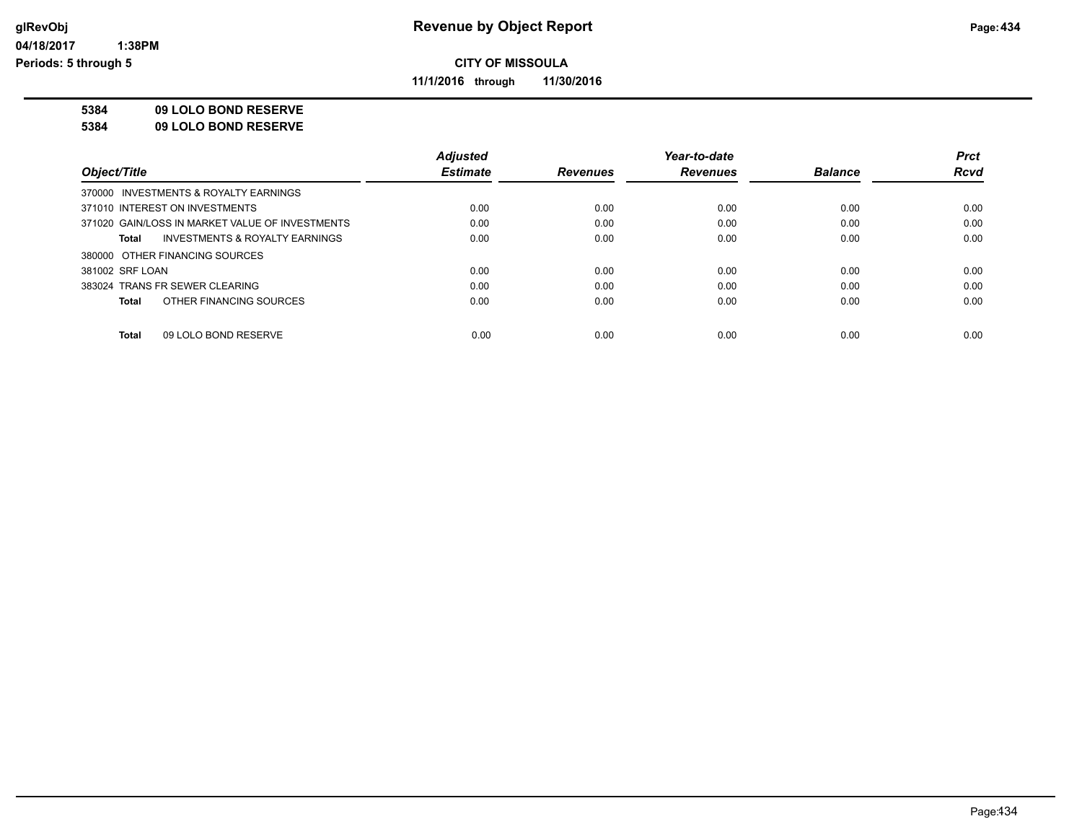**11/1/2016 through 11/30/2016**

**5384 09 LOLO BOND RESERVE 5384 09 LOLO BOND RESERVE**

|                                                 | <b>Adjusted</b> |                 | Year-to-date    |                | <b>Prct</b> |
|-------------------------------------------------|-----------------|-----------------|-----------------|----------------|-------------|
| Object/Title                                    | <b>Estimate</b> | <b>Revenues</b> | <b>Revenues</b> | <b>Balance</b> | <b>Rcvd</b> |
| 370000 INVESTMENTS & ROYALTY EARNINGS           |                 |                 |                 |                |             |
| 371010 INTEREST ON INVESTMENTS                  | 0.00            | 0.00            | 0.00            | 0.00           | 0.00        |
| 371020 GAIN/LOSS IN MARKET VALUE OF INVESTMENTS | 0.00            | 0.00            | 0.00            | 0.00           | 0.00        |
| INVESTMENTS & ROYALTY EARNINGS<br>Total         | 0.00            | 0.00            | 0.00            | 0.00           | 0.00        |
| 380000 OTHER FINANCING SOURCES                  |                 |                 |                 |                |             |
| 381002 SRF LOAN                                 | 0.00            | 0.00            | 0.00            | 0.00           | 0.00        |
| 383024 TRANS FR SEWER CLEARING                  | 0.00            | 0.00            | 0.00            | 0.00           | 0.00        |
| OTHER FINANCING SOURCES<br>Total                | 0.00            | 0.00            | 0.00            | 0.00           | 0.00        |
| 09 LOLO BOND RESERVE<br><b>Total</b>            | 0.00            | 0.00            | 0.00            | 0.00           | 0.00        |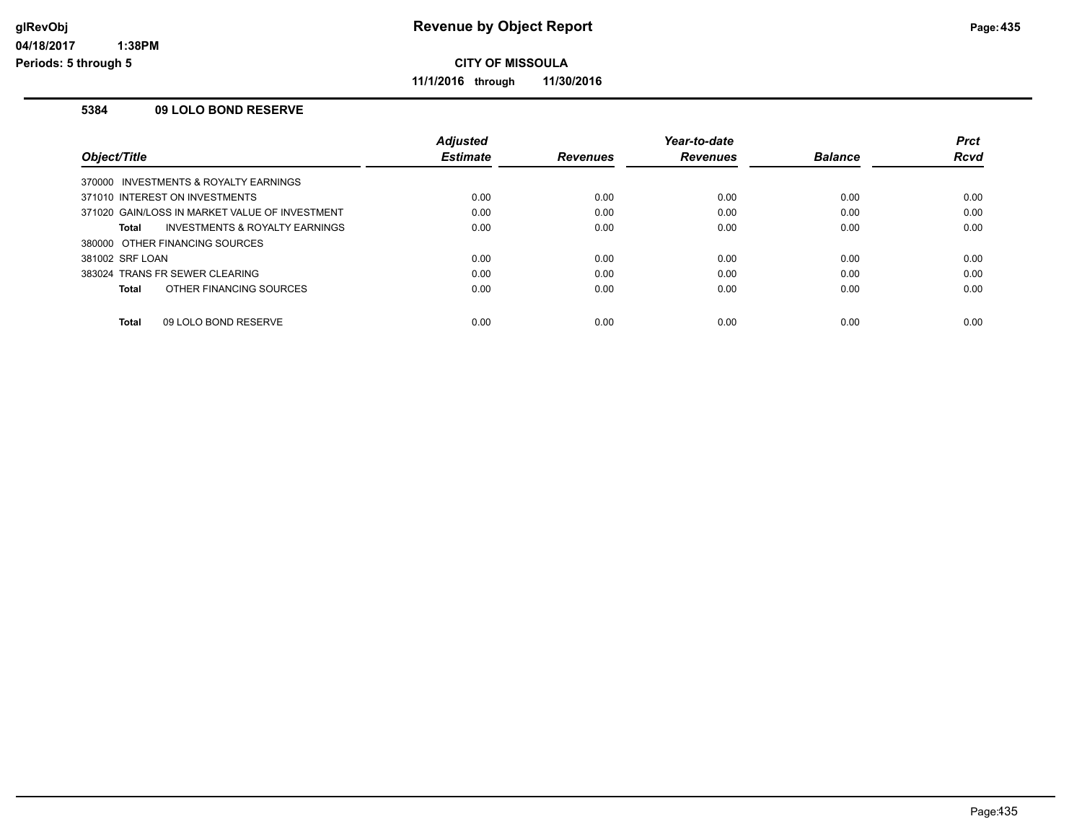**11/1/2016 through 11/30/2016**

#### **5384 09 LOLO BOND RESERVE**

|                                                | <b>Adiusted</b> |                 | Year-to-date    |                | <b>Prct</b> |
|------------------------------------------------|-----------------|-----------------|-----------------|----------------|-------------|
| Object/Title                                   | <b>Estimate</b> | <b>Revenues</b> | <b>Revenues</b> | <b>Balance</b> | <b>Rcvd</b> |
| 370000 INVESTMENTS & ROYALTY EARNINGS          |                 |                 |                 |                |             |
| 371010 INTEREST ON INVESTMENTS                 | 0.00            | 0.00            | 0.00            | 0.00           | 0.00        |
| 371020 GAIN/LOSS IN MARKET VALUE OF INVESTMENT | 0.00            | 0.00            | 0.00            | 0.00           | 0.00        |
| INVESTMENTS & ROYALTY EARNINGS<br>Total        | 0.00            | 0.00            | 0.00            | 0.00           | 0.00        |
| 380000 OTHER FINANCING SOURCES                 |                 |                 |                 |                |             |
| 381002 SRF LOAN                                | 0.00            | 0.00            | 0.00            | 0.00           | 0.00        |
| 383024 TRANS FR SEWER CLEARING                 | 0.00            | 0.00            | 0.00            | 0.00           | 0.00        |
| OTHER FINANCING SOURCES<br>Total               | 0.00            | 0.00            | 0.00            | 0.00           | 0.00        |
|                                                |                 |                 |                 |                |             |
| 09 LOLO BOND RESERVE<br>Total                  | 0.00            | 0.00            | 0.00            | 0.00           | 0.00        |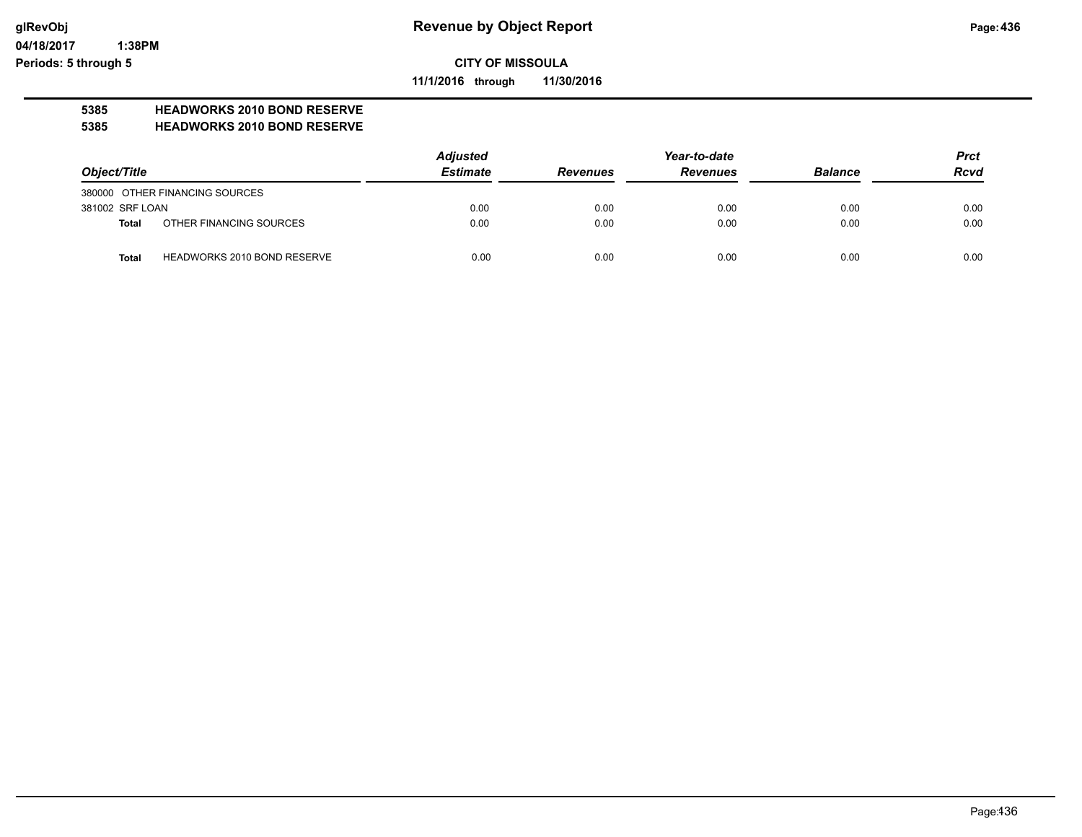**11/1/2016 through 11/30/2016**

**5385 HEADWORKS 2010 BOND RESERVE 5385 HEADWORKS 2010 BOND RESERVE**

|                 |                                    | <b>Adjusted</b> |                 | Year-to-date    |                | <b>Prct</b> |
|-----------------|------------------------------------|-----------------|-----------------|-----------------|----------------|-------------|
| Object/Title    |                                    | <b>Estimate</b> | <b>Revenues</b> | <b>Revenues</b> | <b>Balance</b> | <b>Rcvd</b> |
|                 | 380000 OTHER FINANCING SOURCES     |                 |                 |                 |                |             |
| 381002 SRF LOAN |                                    | 0.00            | 0.00            | 0.00            | 0.00           | 0.00        |
| Total           | OTHER FINANCING SOURCES            | 0.00            | 0.00            | 0.00            | 0.00           | 0.00        |
| <b>Total</b>    | <b>HEADWORKS 2010 BOND RESERVE</b> | 0.00            | 0.00            | 0.00            | 0.00           | 0.00        |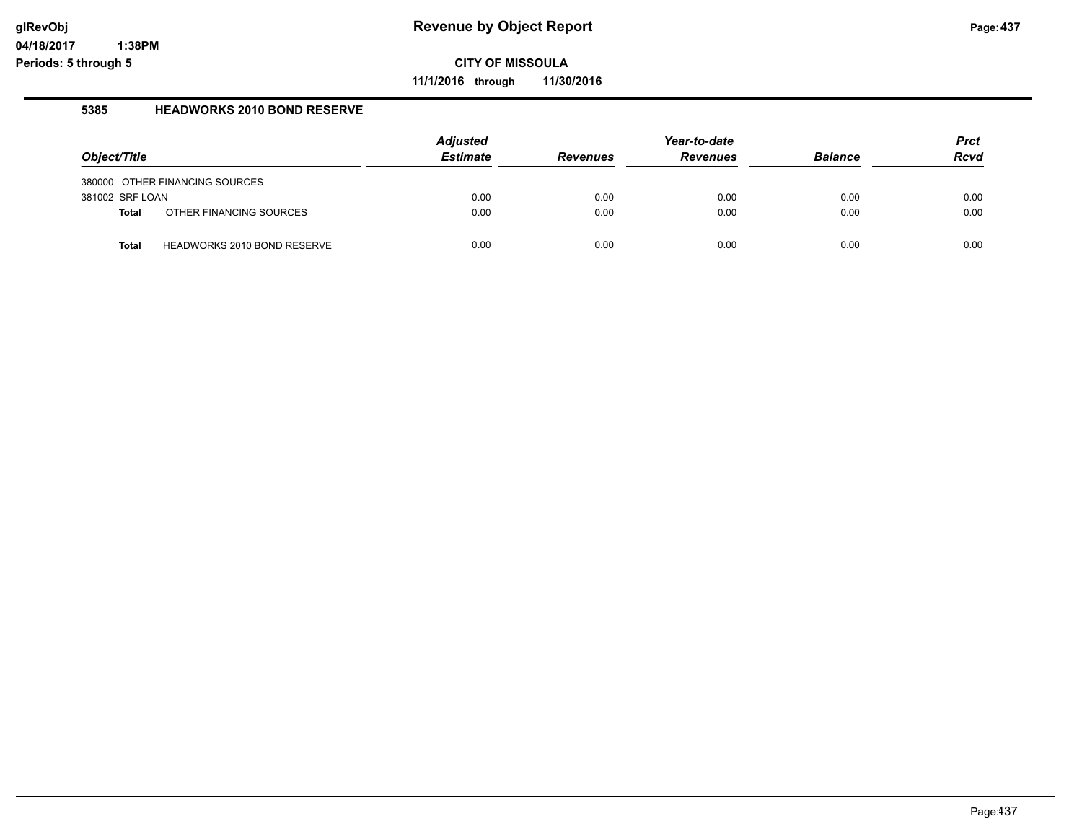**11/1/2016 through 11/30/2016**

#### **5385 HEADWORKS 2010 BOND RESERVE**

|                 |                                    | <b>Adjusted</b> |                 | Year-to-date    |                | <b>Prct</b> |
|-----------------|------------------------------------|-----------------|-----------------|-----------------|----------------|-------------|
| Object/Title    |                                    | <b>Estimate</b> | <b>Revenues</b> | <b>Revenues</b> | <b>Balance</b> | <b>Rcvd</b> |
|                 | 380000 OTHER FINANCING SOURCES     |                 |                 |                 |                |             |
| 381002 SRF LOAN |                                    | 0.00            | 0.00            | 0.00            | 0.00           | 0.00        |
| <b>Total</b>    | OTHER FINANCING SOURCES            | 0.00            | 0.00            | 0.00            | 0.00           | 0.00        |
| Total           | <b>HEADWORKS 2010 BOND RESERVE</b> | 0.00            | 0.00            | 0.00            | 0.00           | 0.00        |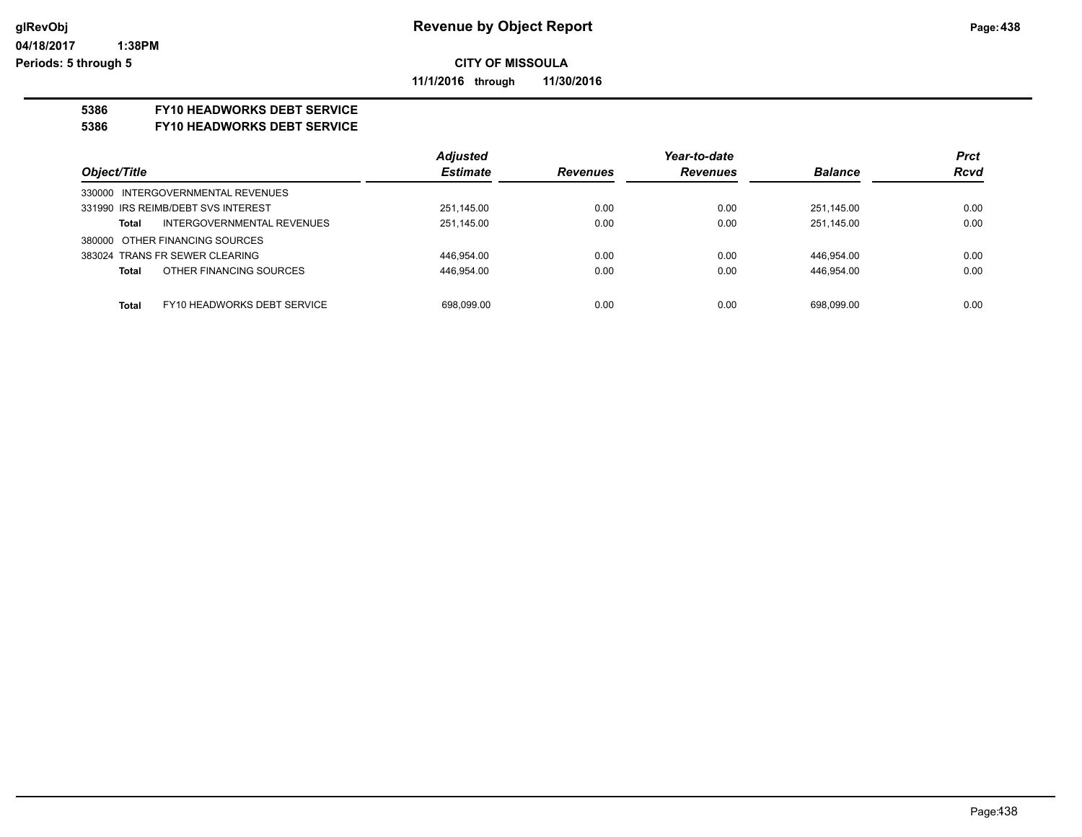**11/1/2016 through 11/30/2016**

**5386 FY10 HEADWORKS DEBT SERVICE 5386 FY10 HEADWORKS DEBT SERVICE**

|                                      | <b>Adjusted</b> |                 | Year-to-date    |                | <b>Prct</b> |
|--------------------------------------|-----------------|-----------------|-----------------|----------------|-------------|
| Object/Title                         | <b>Estimate</b> | <b>Revenues</b> | <b>Revenues</b> | <b>Balance</b> | <b>Rcvd</b> |
| 330000 INTERGOVERNMENTAL REVENUES    |                 |                 |                 |                |             |
| 331990 IRS REIMB/DEBT SVS INTEREST   | 251,145.00      | 0.00            | 0.00            | 251,145.00     | 0.00        |
| INTERGOVERNMENTAL REVENUES<br>Total  | 251,145.00      | 0.00            | 0.00            | 251,145.00     | 0.00        |
| 380000 OTHER FINANCING SOURCES       |                 |                 |                 |                |             |
| 383024 TRANS FR SEWER CLEARING       | 446.954.00      | 0.00            | 0.00            | 446.954.00     | 0.00        |
| OTHER FINANCING SOURCES<br>Total     | 446,954.00      | 0.00            | 0.00            | 446,954.00     | 0.00        |
|                                      |                 |                 |                 |                |             |
| FY10 HEADWORKS DEBT SERVICE<br>Total | 698.099.00      | 0.00            | 0.00            | 698.099.00     | 0.00        |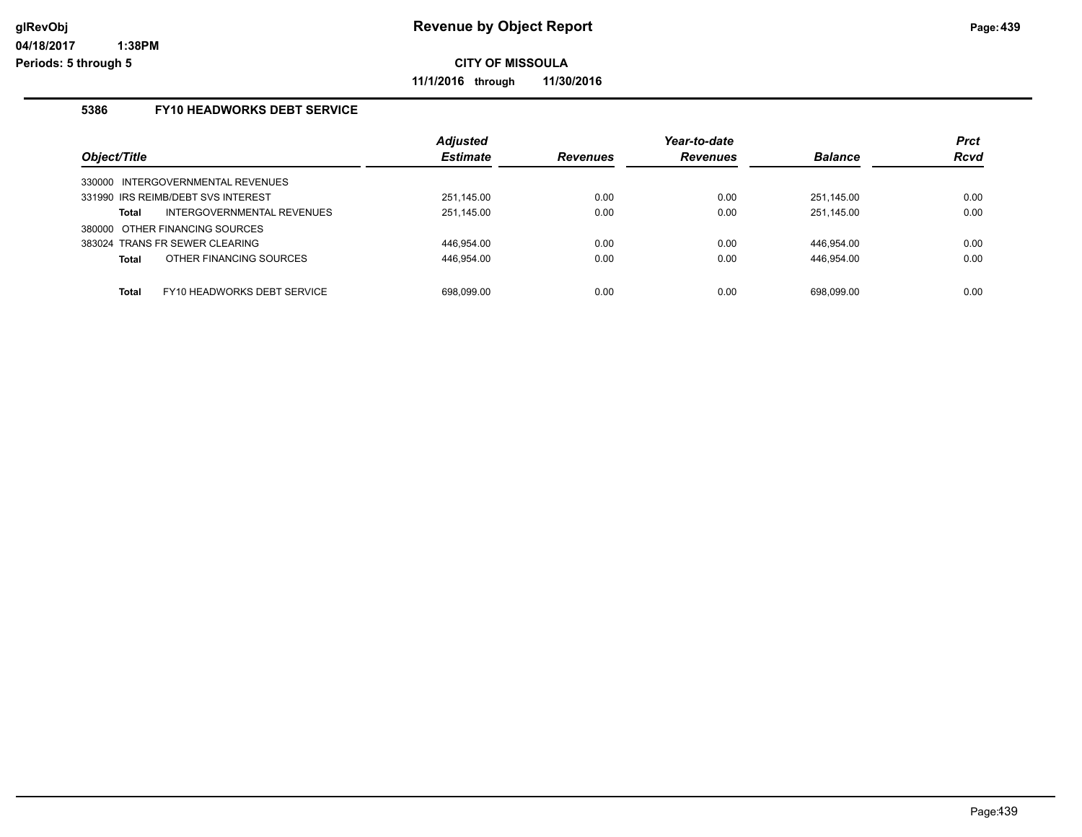**11/1/2016 through 11/30/2016**

#### **5386 FY10 HEADWORKS DEBT SERVICE**

|                                             | <b>Adjusted</b> |                 | Year-to-date    |                | <b>Prct</b> |
|---------------------------------------------|-----------------|-----------------|-----------------|----------------|-------------|
| Object/Title                                | <b>Estimate</b> | <b>Revenues</b> | <b>Revenues</b> | <b>Balance</b> | <b>Rcvd</b> |
| 330000 INTERGOVERNMENTAL REVENUES           |                 |                 |                 |                |             |
| 331990 IRS REIMB/DEBT SVS INTEREST          | 251,145.00      | 0.00            | 0.00            | 251.145.00     | 0.00        |
| INTERGOVERNMENTAL REVENUES<br>Total         | 251,145.00      | 0.00            | 0.00            | 251,145.00     | 0.00        |
| 380000 OTHER FINANCING SOURCES              |                 |                 |                 |                |             |
| 383024 TRANS FR SEWER CLEARING              | 446.954.00      | 0.00            | 0.00            | 446.954.00     | 0.00        |
| OTHER FINANCING SOURCES<br>Total            | 446,954.00      | 0.00            | 0.00            | 446,954.00     | 0.00        |
|                                             |                 |                 |                 |                |             |
| <b>Total</b><br>FY10 HEADWORKS DEBT SERVICE | 698.099.00      | 0.00            | 0.00            | 698,099.00     | 0.00        |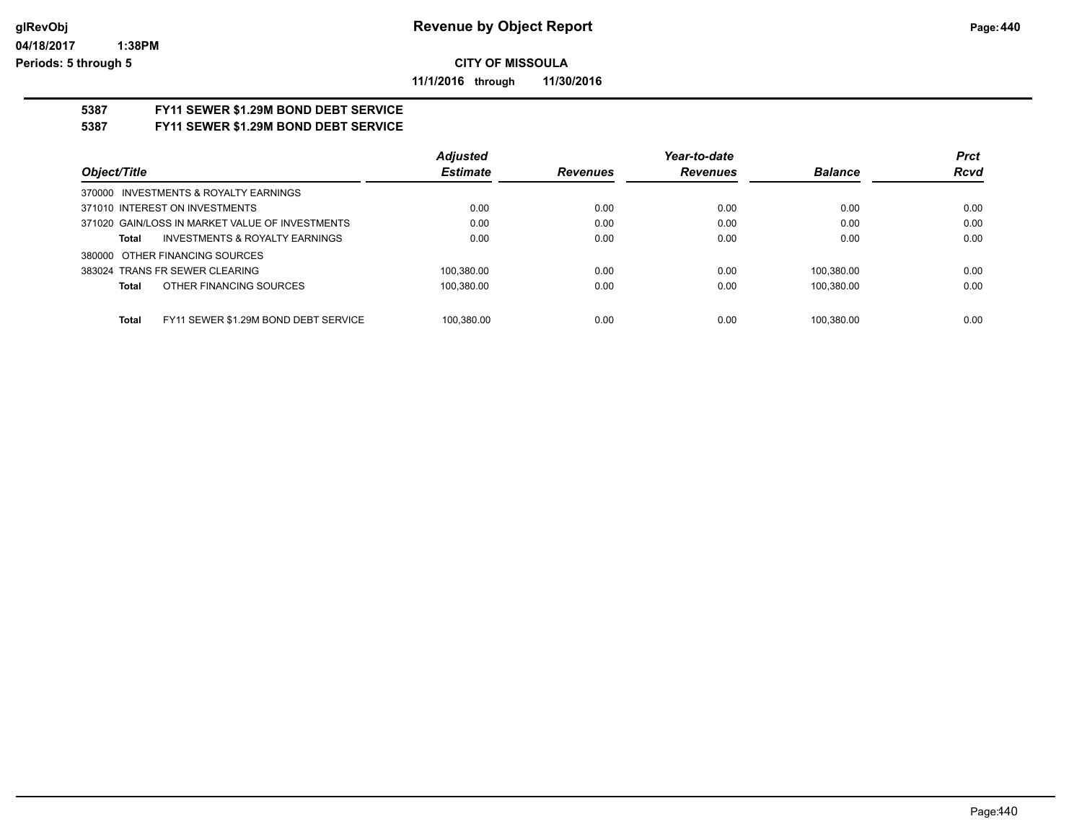**11/1/2016 through 11/30/2016**

#### **5387 FY11 SEWER \$1.29M BOND DEBT SERVICE 5387 FY11 SEWER \$1.29M BOND DEBT SERVICE**

|                                                      | <b>Adjusted</b> |                 | Year-to-date    |                | <b>Prct</b> |
|------------------------------------------------------|-----------------|-----------------|-----------------|----------------|-------------|
| Object/Title                                         | <b>Estimate</b> | <b>Revenues</b> | <b>Revenues</b> | <b>Balance</b> | <b>Rcvd</b> |
| 370000 INVESTMENTS & ROYALTY EARNINGS                |                 |                 |                 |                |             |
| 371010 INTEREST ON INVESTMENTS                       | 0.00            | 0.00            | 0.00            | 0.00           | 0.00        |
| 371020 GAIN/LOSS IN MARKET VALUE OF INVESTMENTS      | 0.00            | 0.00            | 0.00            | 0.00           | 0.00        |
| INVESTMENTS & ROYALTY EARNINGS<br>Total              | 0.00            | 0.00            | 0.00            | 0.00           | 0.00        |
| 380000 OTHER FINANCING SOURCES                       |                 |                 |                 |                |             |
| 383024 TRANS FR SEWER CLEARING                       | 100.380.00      | 0.00            | 0.00            | 100.380.00     | 0.00        |
| OTHER FINANCING SOURCES<br>Total                     | 100,380.00      | 0.00            | 0.00            | 100.380.00     | 0.00        |
|                                                      |                 |                 |                 |                |             |
| <b>Total</b><br>FY11 SEWER \$1.29M BOND DEBT SERVICE | 100.380.00      | 0.00            | 0.00            | 100.380.00     | 0.00        |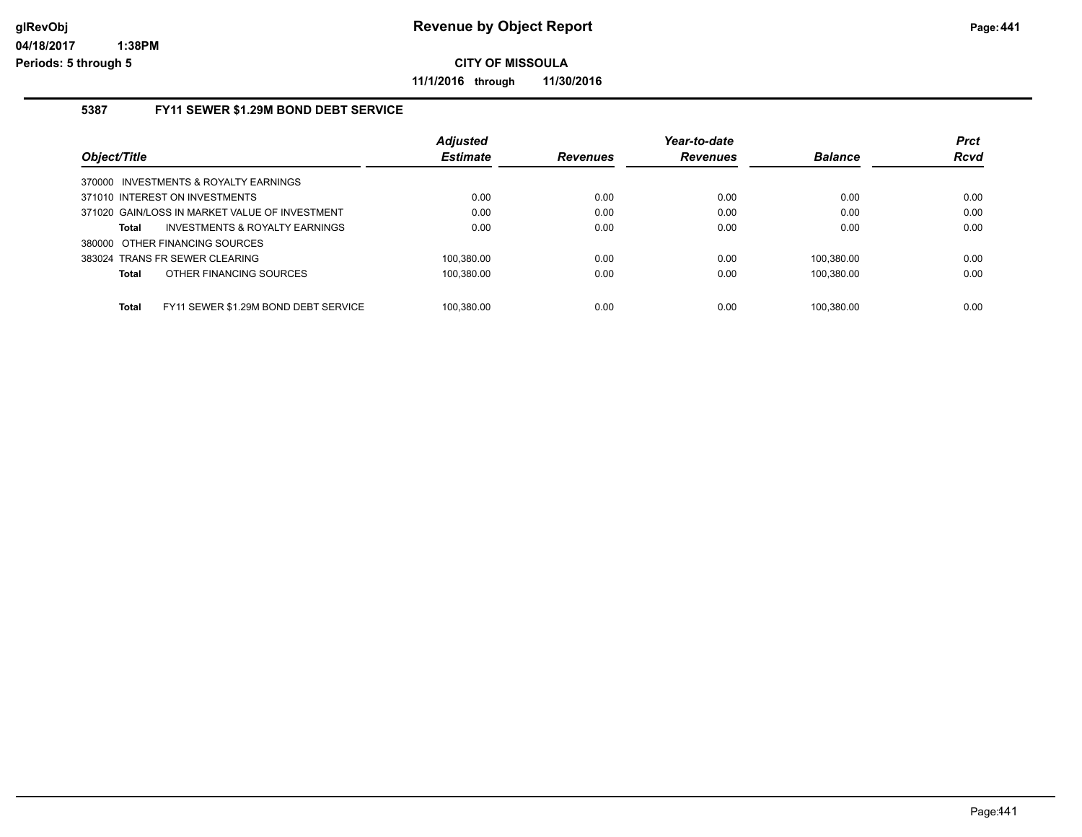**11/1/2016 through 11/30/2016**

#### **5387 FY11 SEWER \$1.29M BOND DEBT SERVICE**

| Object/Title                                         | <b>Adjusted</b><br><b>Estimate</b> | <b>Revenues</b> | Year-to-date<br><b>Revenues</b> | <b>Balance</b> | <b>Prct</b><br><b>Rcvd</b> |
|------------------------------------------------------|------------------------------------|-----------------|---------------------------------|----------------|----------------------------|
|                                                      |                                    |                 |                                 |                |                            |
| 370000 INVESTMENTS & ROYALTY EARNINGS                |                                    |                 |                                 |                |                            |
| 371010 INTEREST ON INVESTMENTS                       | 0.00                               | 0.00            | 0.00                            | 0.00           | 0.00                       |
| 371020 GAIN/LOSS IN MARKET VALUE OF INVESTMENT       | 0.00                               | 0.00            | 0.00                            | 0.00           | 0.00                       |
| Total<br>INVESTMENTS & ROYALTY EARNINGS              | 0.00                               | 0.00            | 0.00                            | 0.00           | 0.00                       |
| 380000 OTHER FINANCING SOURCES                       |                                    |                 |                                 |                |                            |
| 383024 TRANS FR SEWER CLEARING                       | 100.380.00                         | 0.00            | 0.00                            | 100.380.00     | 0.00                       |
| OTHER FINANCING SOURCES<br>Total                     | 100.380.00                         | 0.00            | 0.00                            | 100.380.00     | 0.00                       |
|                                                      |                                    |                 |                                 |                |                            |
| <b>Total</b><br>FY11 SEWER \$1.29M BOND DEBT SERVICE | 100.380.00                         | 0.00            | 0.00                            | 100.380.00     | 0.00                       |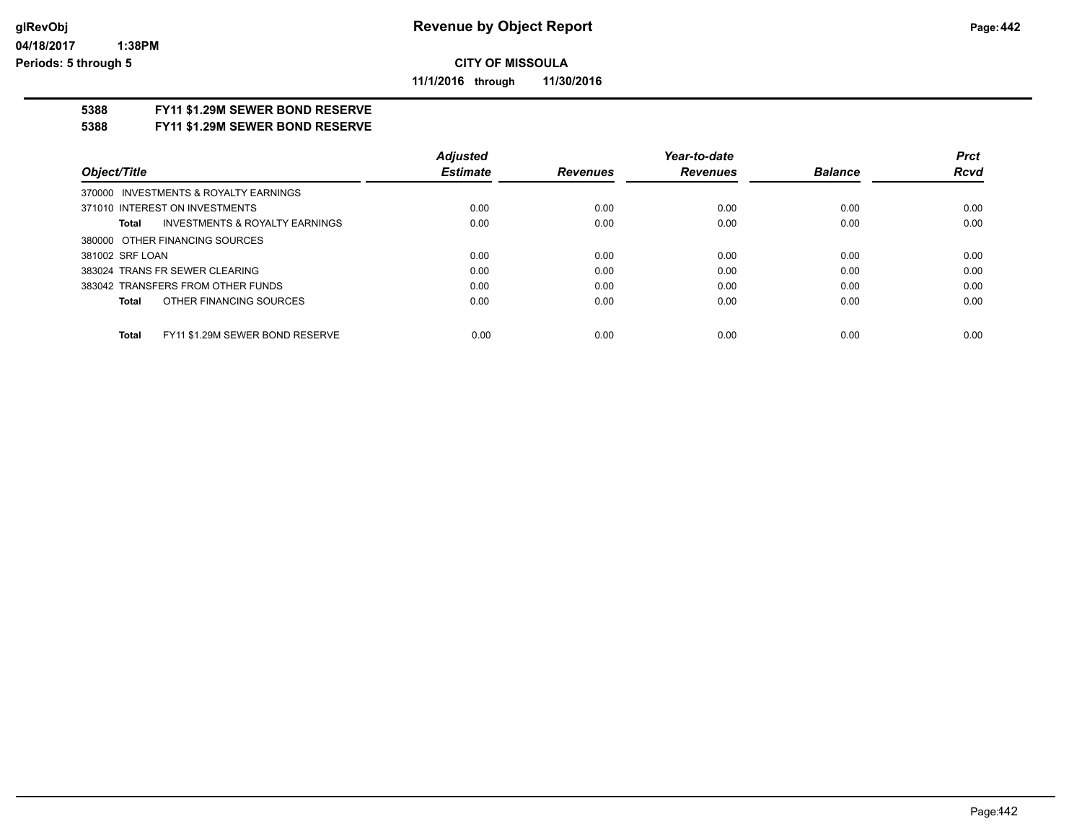**11/1/2016 through 11/30/2016**

#### **5388 FY11 \$1.29M SEWER BOND RESERVE 5388 FY11 \$1.29M SEWER BOND RESERVE**

|                                          | <b>Adjusted</b> |                 | Year-to-date    |                | <b>Prct</b> |
|------------------------------------------|-----------------|-----------------|-----------------|----------------|-------------|
| Object/Title                             | <b>Estimate</b> | <b>Revenues</b> | <b>Revenues</b> | <b>Balance</b> | Rcvd        |
| 370000 INVESTMENTS & ROYALTY EARNINGS    |                 |                 |                 |                |             |
| 371010 INTEREST ON INVESTMENTS           | 0.00            | 0.00            | 0.00            | 0.00           | 0.00        |
| INVESTMENTS & ROYALTY EARNINGS<br>Total  | 0.00            | 0.00            | 0.00            | 0.00           | 0.00        |
| 380000 OTHER FINANCING SOURCES           |                 |                 |                 |                |             |
| 381002 SRF LOAN                          | 0.00            | 0.00            | 0.00            | 0.00           | 0.00        |
| 383024 TRANS FR SEWER CLEARING           | 0.00            | 0.00            | 0.00            | 0.00           | 0.00        |
| 383042 TRANSFERS FROM OTHER FUNDS        | 0.00            | 0.00            | 0.00            | 0.00           | 0.00        |
| OTHER FINANCING SOURCES<br>Total         | 0.00            | 0.00            | 0.00            | 0.00           | 0.00        |
|                                          |                 |                 |                 |                |             |
| FY11 \$1.29M SEWER BOND RESERVE<br>Total | 0.00            | 0.00            | 0.00            | 0.00           | 0.00        |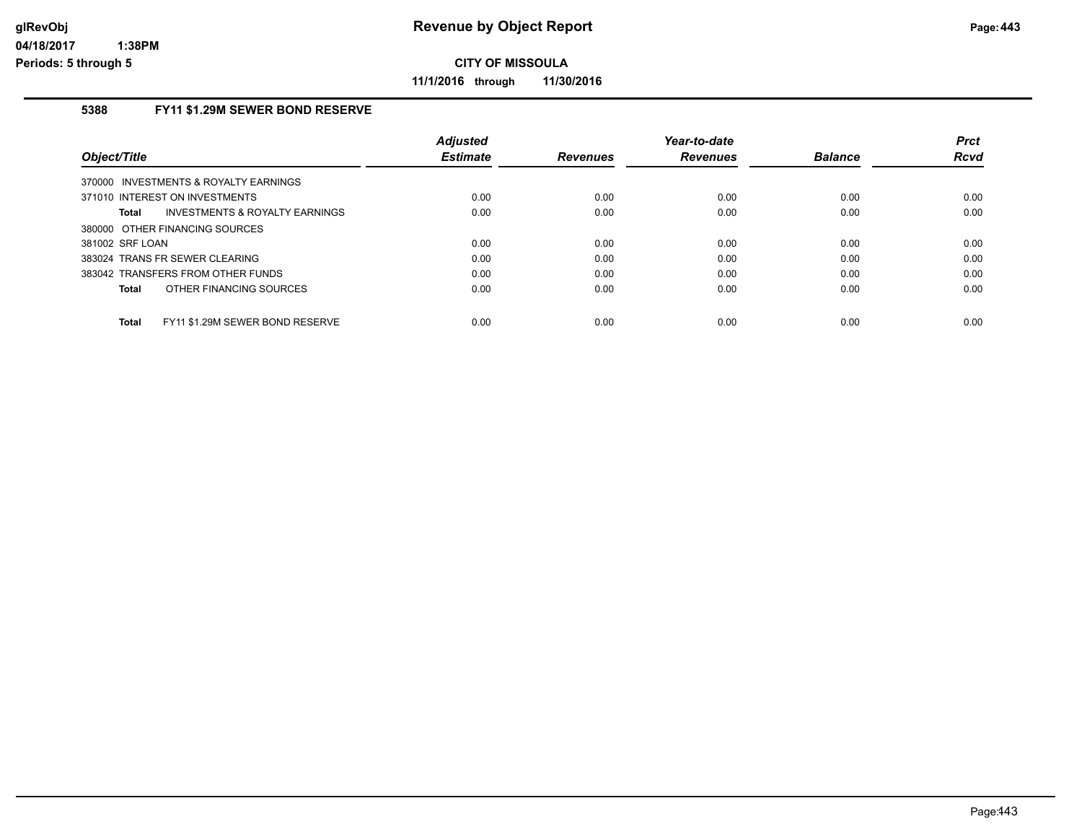**11/1/2016 through 11/30/2016**

#### **5388 FY11 \$1.29M SEWER BOND RESERVE**

|                                                 | <b>Adiusted</b> |                 | Year-to-date    |                | <b>Prct</b> |
|-------------------------------------------------|-----------------|-----------------|-----------------|----------------|-------------|
| Object/Title                                    | <b>Estimate</b> | <b>Revenues</b> | <b>Revenues</b> | <b>Balance</b> | <b>Rcvd</b> |
| 370000 INVESTMENTS & ROYALTY EARNINGS           |                 |                 |                 |                |             |
| 371010 INTEREST ON INVESTMENTS                  | 0.00            | 0.00            | 0.00            | 0.00           | 0.00        |
| INVESTMENTS & ROYALTY EARNINGS<br>Total         | 0.00            | 0.00            | 0.00            | 0.00           | 0.00        |
| 380000 OTHER FINANCING SOURCES                  |                 |                 |                 |                |             |
| 381002 SRF LOAN                                 | 0.00            | 0.00            | 0.00            | 0.00           | 0.00        |
| 383024 TRANS FR SEWER CLEARING                  | 0.00            | 0.00            | 0.00            | 0.00           | 0.00        |
| 383042 TRANSFERS FROM OTHER FUNDS               | 0.00            | 0.00            | 0.00            | 0.00           | 0.00        |
| OTHER FINANCING SOURCES<br>Total                | 0.00            | 0.00            | 0.00            | 0.00           | 0.00        |
| FY11 \$1.29M SEWER BOND RESERVE<br><b>Total</b> | 0.00            | 0.00            | 0.00            | 0.00           | 0.00        |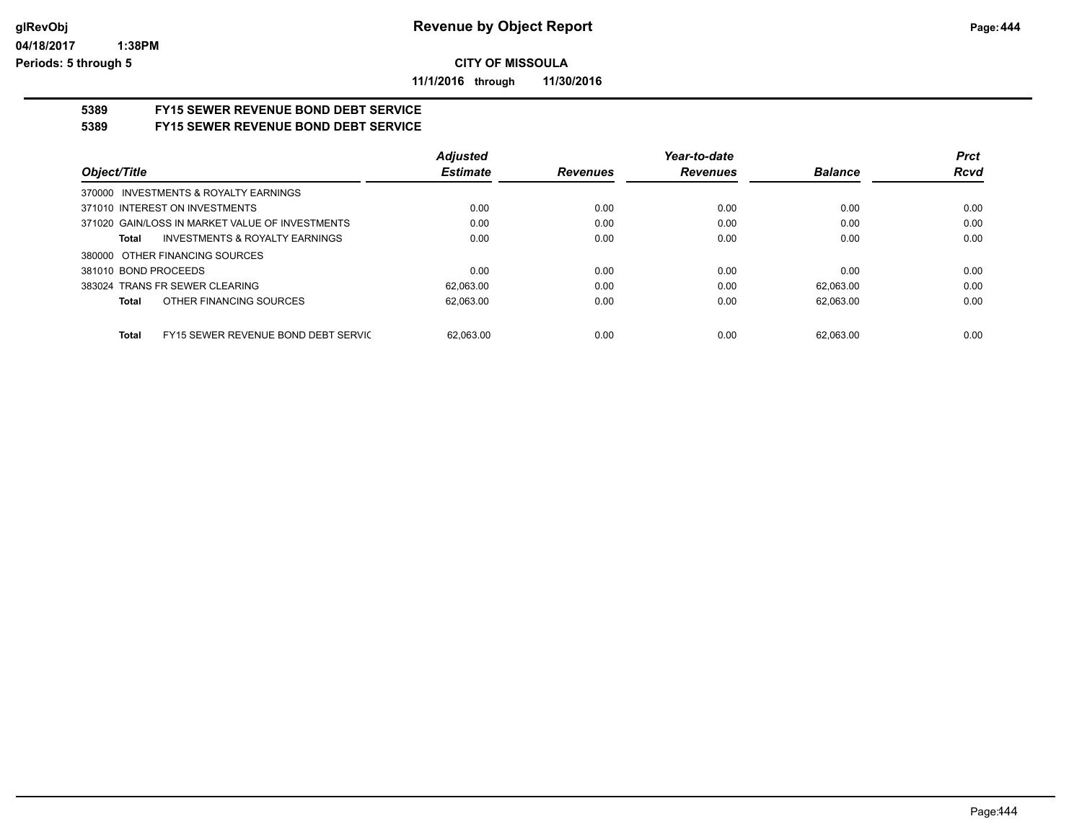**11/1/2016 through 11/30/2016**

#### **5389 FY15 SEWER REVENUE BOND DEBT SERVICE 5389 FY15 SEWER REVENUE BOND DEBT SERVICE**

|                                          |                                                 | <b>Adjusted</b> |                 | Year-to-date    |                | <b>Prct</b> |
|------------------------------------------|-------------------------------------------------|-----------------|-----------------|-----------------|----------------|-------------|
| Object/Title                             |                                                 | <b>Estimate</b> | <b>Revenues</b> | <b>Revenues</b> | <b>Balance</b> | <b>Rcvd</b> |
| INVESTMENTS & ROYALTY EARNINGS<br>370000 |                                                 |                 |                 |                 |                |             |
| 371010 INTEREST ON INVESTMENTS           |                                                 | 0.00            | 0.00            | 0.00            | 0.00           | 0.00        |
|                                          | 371020 GAIN/LOSS IN MARKET VALUE OF INVESTMENTS | 0.00            | 0.00            | 0.00            | 0.00           | 0.00        |
| Total                                    | INVESTMENTS & ROYALTY EARNINGS                  | 0.00            | 0.00            | 0.00            | 0.00           | 0.00        |
| 380000 OTHER FINANCING SOURCES           |                                                 |                 |                 |                 |                |             |
| 381010 BOND PROCEEDS                     |                                                 | 0.00            | 0.00            | 0.00            | 0.00           | 0.00        |
| 383024 TRANS FR SEWER CLEARING           |                                                 | 62,063.00       | 0.00            | 0.00            | 62.063.00      | 0.00        |
| Total                                    | OTHER FINANCING SOURCES                         | 62,063.00       | 0.00            | 0.00            | 62,063.00      | 0.00        |
|                                          |                                                 |                 |                 |                 |                |             |
| <b>Total</b>                             | FY15 SEWER REVENUE BOND DEBT SERVIC             | 62.063.00       | 0.00            | 0.00            | 62.063.00      | 0.00        |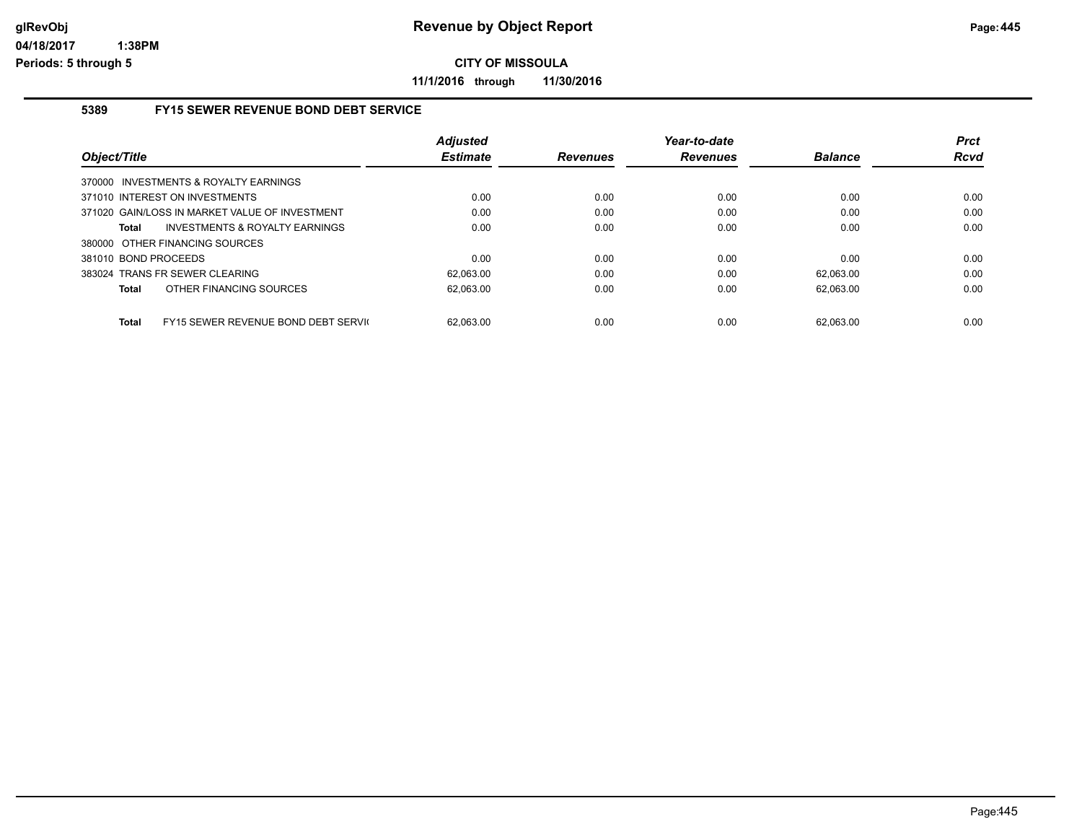**11/1/2016 through 11/30/2016**

#### **5389 FY15 SEWER REVENUE BOND DEBT SERVICE**

|                      |                                                | <b>Adiusted</b> |                 | Year-to-date    |                | <b>Prct</b> |
|----------------------|------------------------------------------------|-----------------|-----------------|-----------------|----------------|-------------|
| Object/Title         |                                                | <b>Estimate</b> | <b>Revenues</b> | <b>Revenues</b> | <b>Balance</b> | Rcvd        |
|                      | 370000 INVESTMENTS & ROYALTY EARNINGS          |                 |                 |                 |                |             |
|                      | 371010 INTEREST ON INVESTMENTS                 | 0.00            | 0.00            | 0.00            | 0.00           | 0.00        |
|                      | 371020 GAIN/LOSS IN MARKET VALUE OF INVESTMENT | 0.00            | 0.00            | 0.00            | 0.00           | 0.00        |
| Total                | <b>INVESTMENTS &amp; ROYALTY EARNINGS</b>      | 0.00            | 0.00            | 0.00            | 0.00           | 0.00        |
|                      | 380000 OTHER FINANCING SOURCES                 |                 |                 |                 |                |             |
| 381010 BOND PROCEEDS |                                                | 0.00            | 0.00            | 0.00            | 0.00           | 0.00        |
|                      | 383024 TRANS FR SEWER CLEARING                 | 62.063.00       | 0.00            | 0.00            | 62.063.00      | 0.00        |
| Total                | OTHER FINANCING SOURCES                        | 62.063.00       | 0.00            | 0.00            | 62.063.00      | 0.00        |
| <b>Total</b>         | <b>FY15 SEWER REVENUE BOND DEBT SERVICE</b>    | 62.063.00       | 0.00            | 0.00            | 62.063.00      | 0.00        |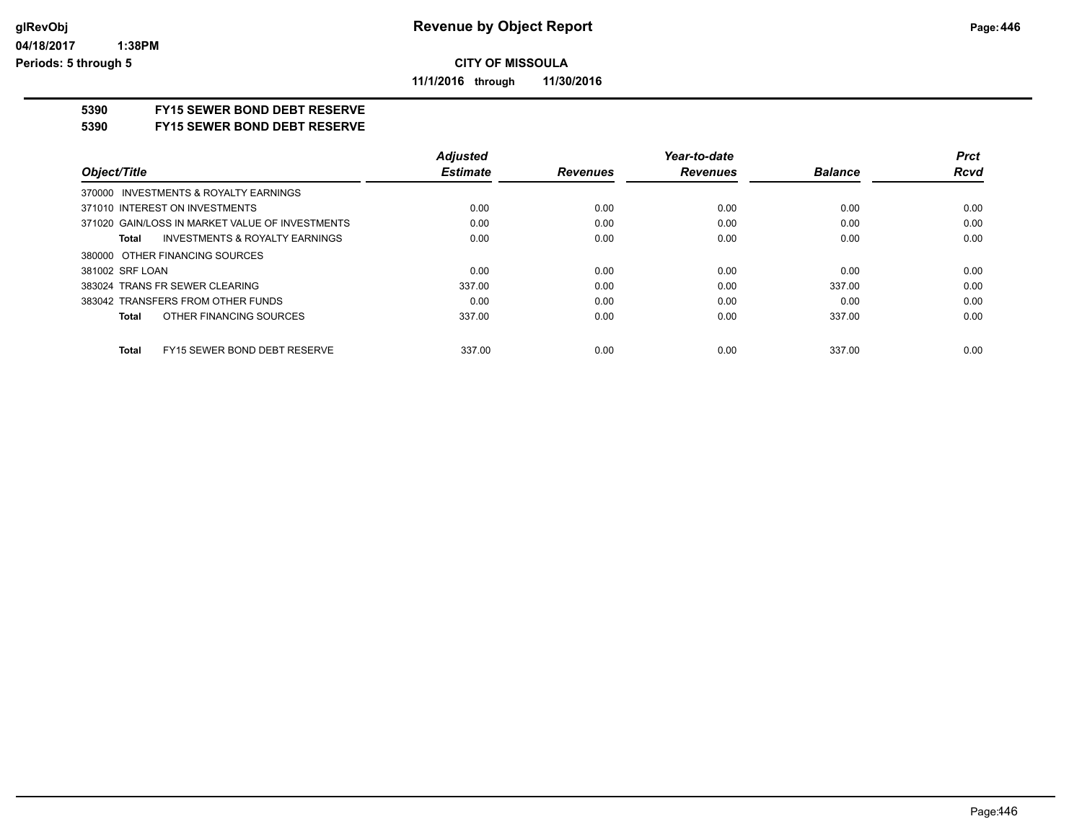**11/1/2016 through 11/30/2016**

#### **5390 FY15 SEWER BOND DEBT RESERVE 5390 FY15 SEWER BOND DEBT RESERVE**

|                                                    | <b>Adjusted</b> |                 | Year-to-date    |                | <b>Prct</b> |
|----------------------------------------------------|-----------------|-----------------|-----------------|----------------|-------------|
| Object/Title                                       | <b>Estimate</b> | <b>Revenues</b> | <b>Revenues</b> | <b>Balance</b> | <b>Rcvd</b> |
| 370000 INVESTMENTS & ROYALTY EARNINGS              |                 |                 |                 |                |             |
| 371010 INTEREST ON INVESTMENTS                     | 0.00            | 0.00            | 0.00            | 0.00           | 0.00        |
| 371020 GAIN/LOSS IN MARKET VALUE OF INVESTMENTS    | 0.00            | 0.00            | 0.00            | 0.00           | 0.00        |
| <b>INVESTMENTS &amp; ROYALTY EARNINGS</b><br>Total | 0.00            | 0.00            | 0.00            | 0.00           | 0.00        |
| 380000 OTHER FINANCING SOURCES                     |                 |                 |                 |                |             |
| 381002 SRF LOAN                                    | 0.00            | 0.00            | 0.00            | 0.00           | 0.00        |
| 383024 TRANS FR SEWER CLEARING                     | 337.00          | 0.00            | 0.00            | 337.00         | 0.00        |
| 383042 TRANSFERS FROM OTHER FUNDS                  | 0.00            | 0.00            | 0.00            | 0.00           | 0.00        |
| OTHER FINANCING SOURCES<br>Total                   | 337.00          | 0.00            | 0.00            | 337.00         | 0.00        |
|                                                    |                 |                 |                 |                |             |
| FY15 SEWER BOND DEBT RESERVE<br><b>Total</b>       | 337.00          | 0.00            | 0.00            | 337.00         | 0.00        |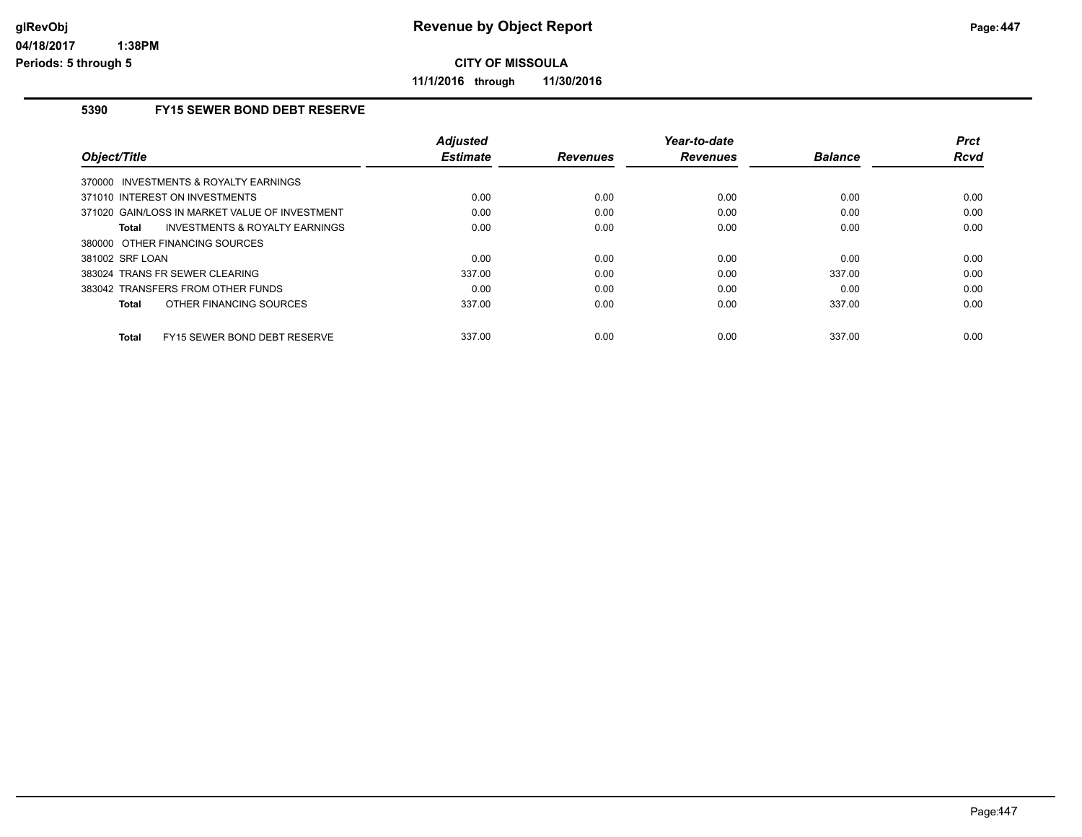**11/1/2016 through 11/30/2016**

#### **5390 FY15 SEWER BOND DEBT RESERVE**

| Object/Title                                        | <b>Adjusted</b><br><b>Estimate</b> | <b>Revenues</b> | Year-to-date<br><b>Revenues</b> | <b>Balance</b> | <b>Prct</b><br><b>Rcvd</b> |
|-----------------------------------------------------|------------------------------------|-----------------|---------------------------------|----------------|----------------------------|
| 370000 INVESTMENTS & ROYALTY EARNINGS               |                                    |                 |                                 |                |                            |
| 371010 INTEREST ON INVESTMENTS                      | 0.00                               | 0.00            | 0.00                            | 0.00           | 0.00                       |
| 371020 GAIN/LOSS IN MARKET VALUE OF INVESTMENT      | 0.00                               | 0.00            | 0.00                            | 0.00           | 0.00                       |
| INVESTMENTS & ROYALTY EARNINGS<br>Total             | 0.00                               | 0.00            | 0.00                            | 0.00           | 0.00                       |
| 380000 OTHER FINANCING SOURCES                      |                                    |                 |                                 |                |                            |
| 381002 SRF LOAN                                     | 0.00                               | 0.00            | 0.00                            | 0.00           | 0.00                       |
| 383024 TRANS FR SEWER CLEARING                      | 337.00                             | 0.00            | 0.00                            | 337.00         | 0.00                       |
| 383042 TRANSFERS FROM OTHER FUNDS                   | 0.00                               | 0.00            | 0.00                            | 0.00           | 0.00                       |
| OTHER FINANCING SOURCES<br>Total                    | 337.00                             | 0.00            | 0.00                            | 337.00         | 0.00                       |
| <b>FY15 SEWER BOND DEBT RESERVE</b><br><b>Total</b> | 337.00                             | 0.00            | 0.00                            | 337.00         | 0.00                       |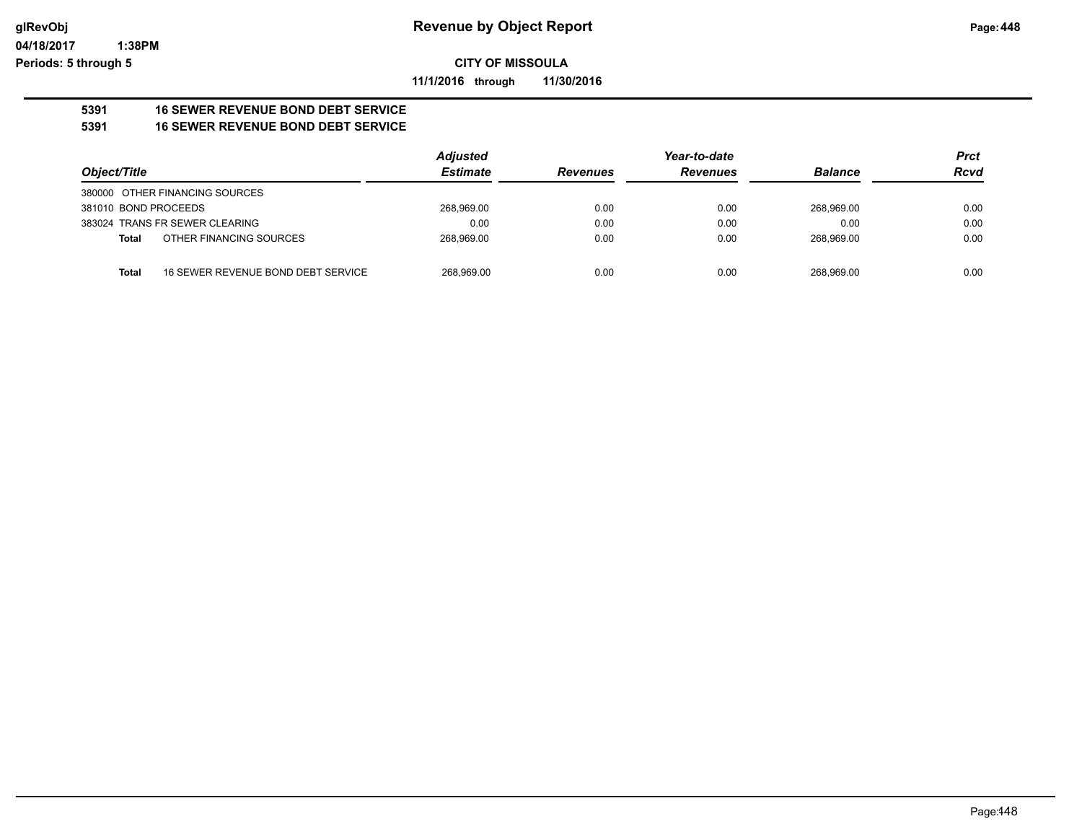**11/1/2016 through 11/30/2016**

#### **5391 16 SEWER REVENUE BOND DEBT SERVICE 5391 16 SEWER REVENUE BOND DEBT SERVICE**

|                      |                                    | <b>Adjusted</b> |                 | Year-to-date    |                | <b>Prct</b> |
|----------------------|------------------------------------|-----------------|-----------------|-----------------|----------------|-------------|
| Object/Title         |                                    | <b>Estimate</b> | <b>Revenues</b> | <b>Revenues</b> | <b>Balance</b> | <b>Rcvd</b> |
|                      | 380000 OTHER FINANCING SOURCES     |                 |                 |                 |                |             |
| 381010 BOND PROCEEDS |                                    | 268.969.00      | 0.00            | 0.00            | 268.969.00     | 0.00        |
|                      | 383024 TRANS FR SEWER CLEARING     | 0.00            | 0.00            | 0.00            | 0.00           | 0.00        |
| <b>Total</b>         | OTHER FINANCING SOURCES            | 268.969.00      | 0.00            | 0.00            | 268.969.00     | 0.00        |
|                      |                                    |                 |                 |                 |                |             |
| <b>Total</b>         | 16 SEWER REVENUE BOND DEBT SERVICE | 268.969.00      | 0.00            | 0.00            | 268.969.00     | 0.00        |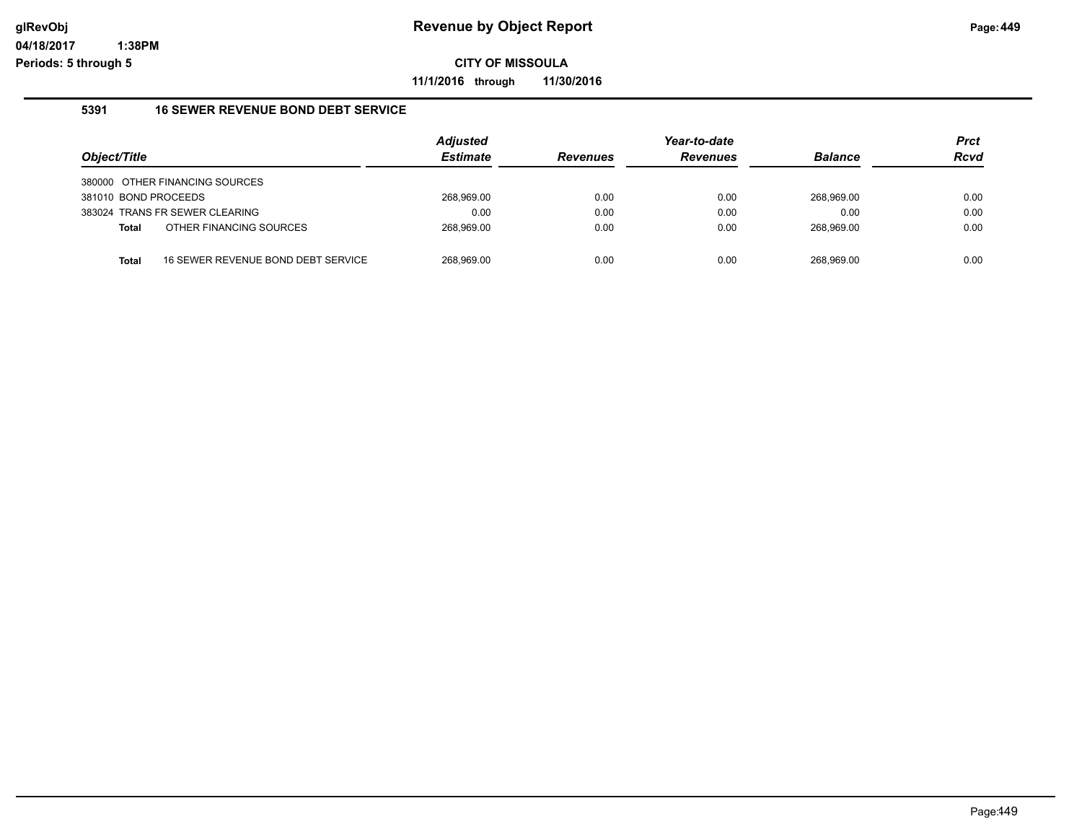**11/1/2016 through 11/30/2016**

#### **5391 16 SEWER REVENUE BOND DEBT SERVICE**

|                      |                                    | Adjusted        | Year-to-date    |                 |                | <b>Prct</b> |
|----------------------|------------------------------------|-----------------|-----------------|-----------------|----------------|-------------|
| Object/Title         |                                    | <b>Estimate</b> | <b>Revenues</b> | <b>Revenues</b> | <b>Balance</b> | <b>Rcvd</b> |
|                      | 380000 OTHER FINANCING SOURCES     |                 |                 |                 |                |             |
| 381010 BOND PROCEEDS |                                    | 268.969.00      | 0.00            | 0.00            | 268.969.00     | 0.00        |
|                      | 383024 TRANS FR SEWER CLEARING     | 0.00            | 0.00            | 0.00            | 0.00           | 0.00        |
| <b>Total</b>         | OTHER FINANCING SOURCES            | 268,969.00      | 0.00            | 0.00            | 268.969.00     | 0.00        |
| Total                | 16 SEWER REVENUE BOND DEBT SERVICE | 268.969.00      | 0.00            | 0.00            | 268.969.00     | 0.00        |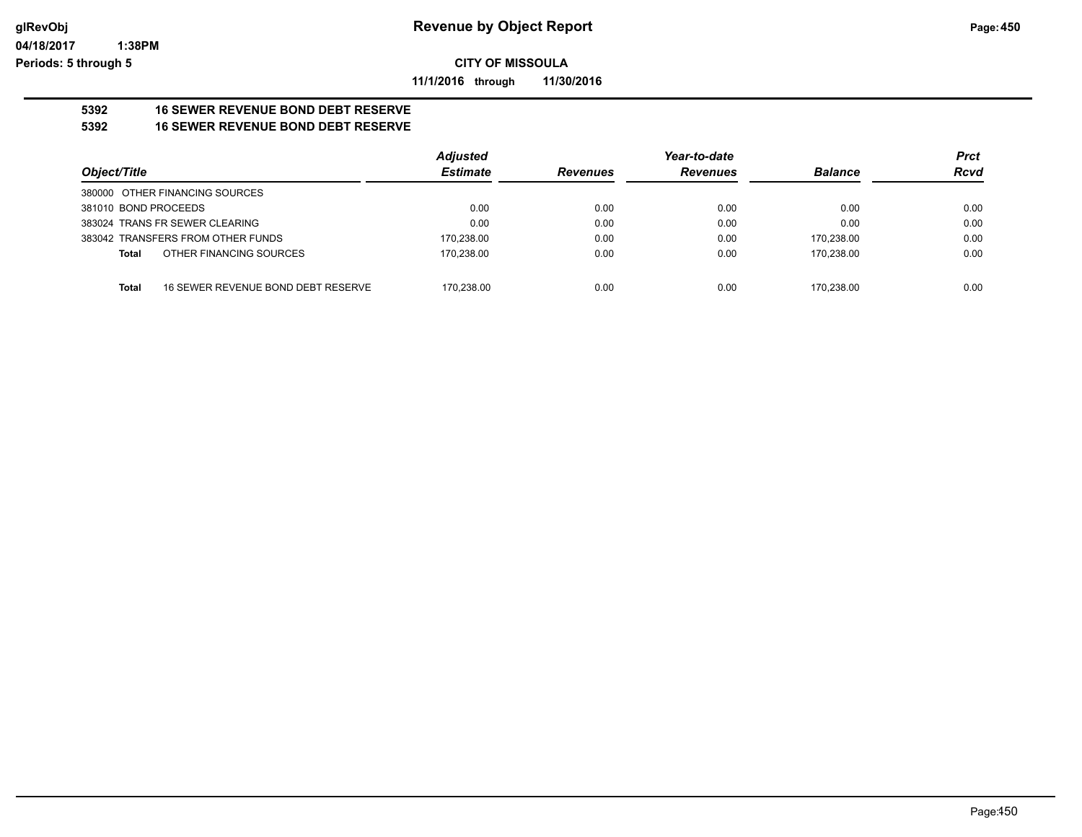**11/1/2016 through 11/30/2016**

#### **5392 16 SEWER REVENUE BOND DEBT RESERVE 5392 16 SEWER REVENUE BOND DEBT RESERVE**

| Object/Title                                       | <b>Adjusted</b><br><b>Estimate</b> | <b>Revenues</b> | Year-to-date<br><b>Revenues</b> | <b>Balance</b> | <b>Prct</b><br><b>Rcvd</b> |
|----------------------------------------------------|------------------------------------|-----------------|---------------------------------|----------------|----------------------------|
| 380000 OTHER FINANCING SOURCES                     |                                    |                 |                                 |                |                            |
| 381010 BOND PROCEEDS                               | 0.00                               | 0.00            | 0.00                            | 0.00           | 0.00                       |
| 383024 TRANS FR SEWER CLEARING                     | 0.00                               | 0.00            | 0.00                            | 0.00           | 0.00                       |
| 383042 TRANSFERS FROM OTHER FUNDS                  | 170.238.00                         | 0.00            | 0.00                            | 170.238.00     | 0.00                       |
| OTHER FINANCING SOURCES<br>Total                   | 170.238.00                         | 0.00            | 0.00                            | 170.238.00     | 0.00                       |
|                                                    |                                    |                 |                                 |                |                            |
| 16 SEWER REVENUE BOND DEBT RESERVE<br><b>Total</b> | 170.238.00                         | 0.00            | 0.00                            | 170.238.00     | 0.00                       |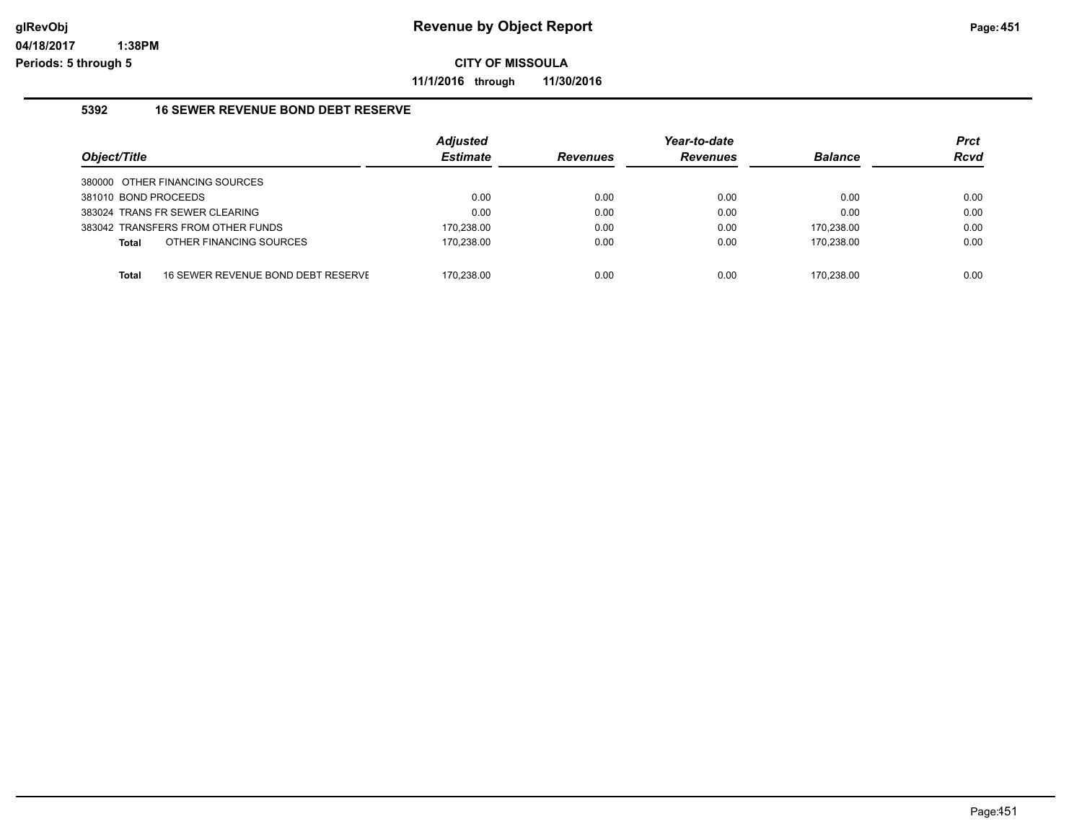**11/1/2016 through 11/30/2016**

#### **5392 16 SEWER REVENUE BOND DEBT RESERVE**

| Object/Title                                       | <b>Adjusted</b><br><b>Estimate</b> | <b>Revenues</b> | Year-to-date<br><b>Revenues</b> | <b>Balance</b> | <b>Prct</b><br><b>Rcvd</b> |
|----------------------------------------------------|------------------------------------|-----------------|---------------------------------|----------------|----------------------------|
| 380000 OTHER FINANCING SOURCES                     |                                    |                 |                                 |                |                            |
| 381010 BOND PROCEEDS                               | 0.00                               | 0.00            | 0.00                            | 0.00           | 0.00                       |
| 383024 TRANS FR SEWER CLEARING                     | 0.00                               | 0.00            | 0.00                            | 0.00           | 0.00                       |
| 383042 TRANSFERS FROM OTHER FUNDS                  | 170.238.00                         | 0.00            | 0.00                            | 170.238.00     | 0.00                       |
| OTHER FINANCING SOURCES<br><b>Total</b>            | 170.238.00                         | 0.00            | 0.00                            | 170.238.00     | 0.00                       |
| <b>Total</b><br>16 SEWER REVENUE BOND DEBT RESERVE | 170.238.00                         | 0.00            | 0.00                            | 170.238.00     | 0.00                       |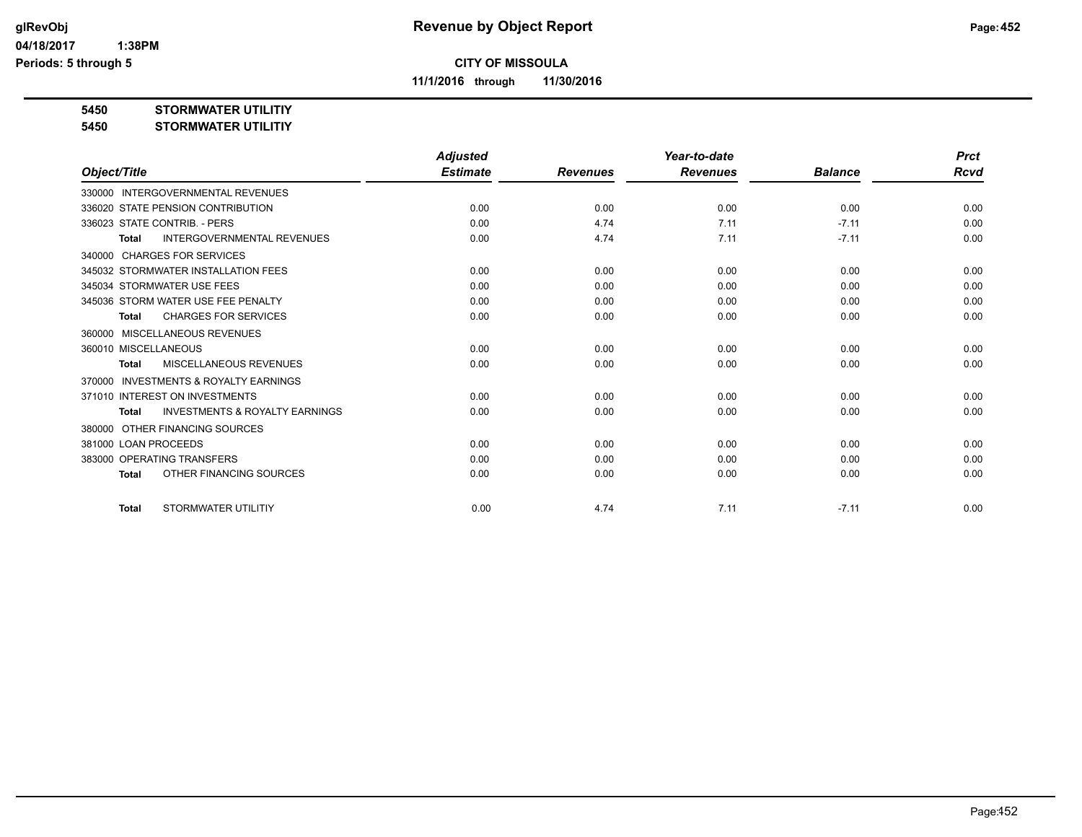**11/1/2016 through 11/30/2016**

**5450 STORMWATER UTILITIY**

| 5450 | <b>STORMWATER UTILITIY</b> |
|------|----------------------------|
|      |                            |

|                                                           | <b>Adjusted</b> |                 | Year-to-date    |                | <b>Prct</b> |
|-----------------------------------------------------------|-----------------|-----------------|-----------------|----------------|-------------|
| Object/Title                                              | <b>Estimate</b> | <b>Revenues</b> | <b>Revenues</b> | <b>Balance</b> | <b>Rcvd</b> |
| 330000 INTERGOVERNMENTAL REVENUES                         |                 |                 |                 |                |             |
| 336020 STATE PENSION CONTRIBUTION                         | 0.00            | 0.00            | 0.00            | 0.00           | 0.00        |
| 336023 STATE CONTRIB. - PERS                              | 0.00            | 4.74            | 7.11            | $-7.11$        | 0.00        |
| <b>INTERGOVERNMENTAL REVENUES</b><br><b>Total</b>         | 0.00            | 4.74            | 7.11            | $-7.11$        | 0.00        |
| 340000 CHARGES FOR SERVICES                               |                 |                 |                 |                |             |
| 345032 STORMWATER INSTALLATION FEES                       | 0.00            | 0.00            | 0.00            | 0.00           | 0.00        |
| 345034 STORMWATER USE FEES                                | 0.00            | 0.00            | 0.00            | 0.00           | 0.00        |
| 345036 STORM WATER USE FEE PENALTY                        | 0.00            | 0.00            | 0.00            | 0.00           | 0.00        |
| <b>CHARGES FOR SERVICES</b><br><b>Total</b>               | 0.00            | 0.00            | 0.00            | 0.00           | 0.00        |
| MISCELLANEOUS REVENUES<br>360000                          |                 |                 |                 |                |             |
| 360010 MISCELLANEOUS                                      | 0.00            | 0.00            | 0.00            | 0.00           | 0.00        |
| MISCELLANEOUS REVENUES<br><b>Total</b>                    | 0.00            | 0.00            | 0.00            | 0.00           | 0.00        |
| <b>INVESTMENTS &amp; ROYALTY EARNINGS</b><br>370000       |                 |                 |                 |                |             |
| 371010 INTEREST ON INVESTMENTS                            | 0.00            | 0.00            | 0.00            | 0.00           | 0.00        |
| <b>INVESTMENTS &amp; ROYALTY EARNINGS</b><br><b>Total</b> | 0.00            | 0.00            | 0.00            | 0.00           | 0.00        |
| 380000 OTHER FINANCING SOURCES                            |                 |                 |                 |                |             |
| 381000 LOAN PROCEEDS                                      | 0.00            | 0.00            | 0.00            | 0.00           | 0.00        |
| 383000 OPERATING TRANSFERS                                | 0.00            | 0.00            | 0.00            | 0.00           | 0.00        |
| OTHER FINANCING SOURCES<br><b>Total</b>                   | 0.00            | 0.00            | 0.00            | 0.00           | 0.00        |
|                                                           |                 |                 |                 |                |             |
| STORMWATER UTILITIY<br><b>Total</b>                       | 0.00            | 4.74            | 7.11            | $-7.11$        | 0.00        |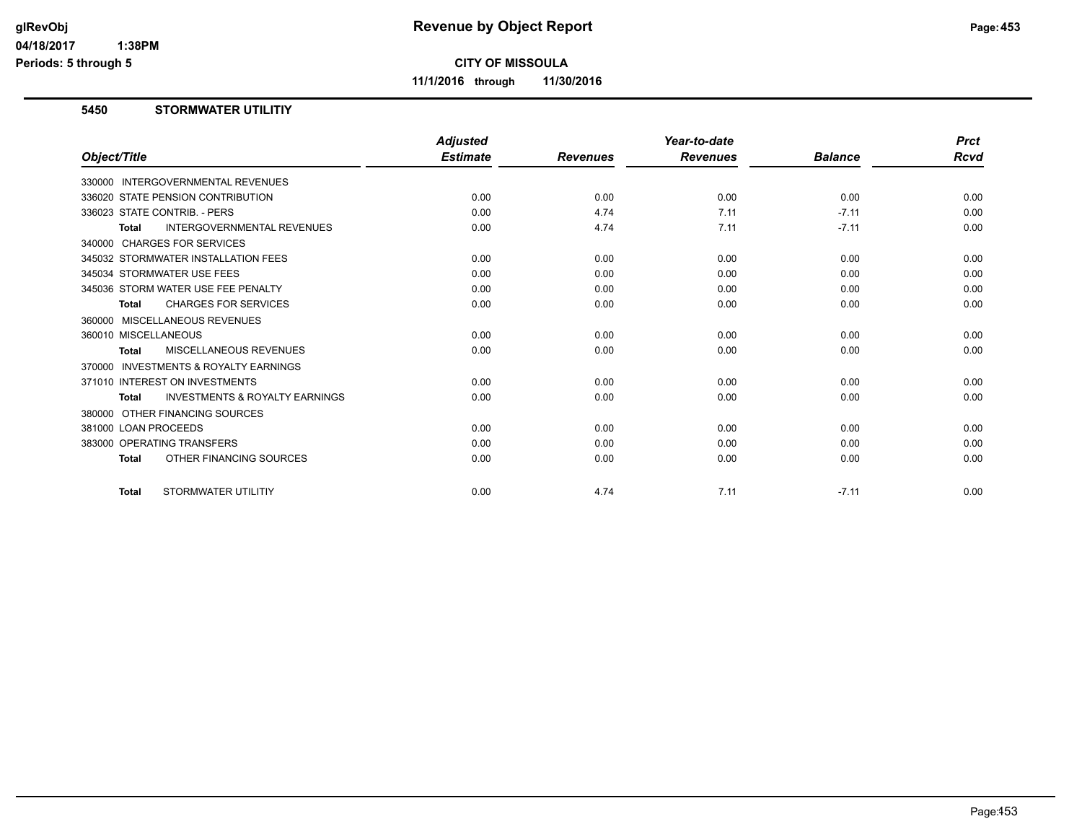**11/1/2016 through 11/30/2016**

#### **5450 STORMWATER UTILITIY**

|                                                           | <b>Adjusted</b> |                 | Year-to-date    |                | <b>Prct</b> |
|-----------------------------------------------------------|-----------------|-----------------|-----------------|----------------|-------------|
| Object/Title                                              | <b>Estimate</b> | <b>Revenues</b> | <b>Revenues</b> | <b>Balance</b> | <b>Rcvd</b> |
| 330000 INTERGOVERNMENTAL REVENUES                         |                 |                 |                 |                |             |
| 336020 STATE PENSION CONTRIBUTION                         | 0.00            | 0.00            | 0.00            | 0.00           | 0.00        |
| 336023 STATE CONTRIB. - PERS                              | 0.00            | 4.74            | 7.11            | $-7.11$        | 0.00        |
| <b>INTERGOVERNMENTAL REVENUES</b><br><b>Total</b>         | 0.00            | 4.74            | 7.11            | $-7.11$        | 0.00        |
| 340000 CHARGES FOR SERVICES                               |                 |                 |                 |                |             |
| 345032 STORMWATER INSTALLATION FEES                       | 0.00            | 0.00            | 0.00            | 0.00           | 0.00        |
| 345034 STORMWATER USE FEES                                | 0.00            | 0.00            | 0.00            | 0.00           | 0.00        |
| 345036 STORM WATER USE FEE PENALTY                        | 0.00            | 0.00            | 0.00            | 0.00           | 0.00        |
| <b>CHARGES FOR SERVICES</b><br><b>Total</b>               | 0.00            | 0.00            | 0.00            | 0.00           | 0.00        |
| 360000 MISCELLANEOUS REVENUES                             |                 |                 |                 |                |             |
| 360010 MISCELLANEOUS                                      | 0.00            | 0.00            | 0.00            | 0.00           | 0.00        |
| MISCELLANEOUS REVENUES<br><b>Total</b>                    | 0.00            | 0.00            | 0.00            | 0.00           | 0.00        |
| <b>INVESTMENTS &amp; ROYALTY EARNINGS</b><br>370000       |                 |                 |                 |                |             |
| 371010 INTEREST ON INVESTMENTS                            | 0.00            | 0.00            | 0.00            | 0.00           | 0.00        |
| <b>INVESTMENTS &amp; ROYALTY EARNINGS</b><br><b>Total</b> | 0.00            | 0.00            | 0.00            | 0.00           | 0.00        |
| 380000 OTHER FINANCING SOURCES                            |                 |                 |                 |                |             |
| 381000 LOAN PROCEEDS                                      | 0.00            | 0.00            | 0.00            | 0.00           | 0.00        |
| 383000 OPERATING TRANSFERS                                | 0.00            | 0.00            | 0.00            | 0.00           | 0.00        |
| OTHER FINANCING SOURCES<br><b>Total</b>                   | 0.00            | 0.00            | 0.00            | 0.00           | 0.00        |
| STORMWATER UTILITIY<br><b>Total</b>                       | 0.00            | 4.74            | 7.11            | $-7.11$        | 0.00        |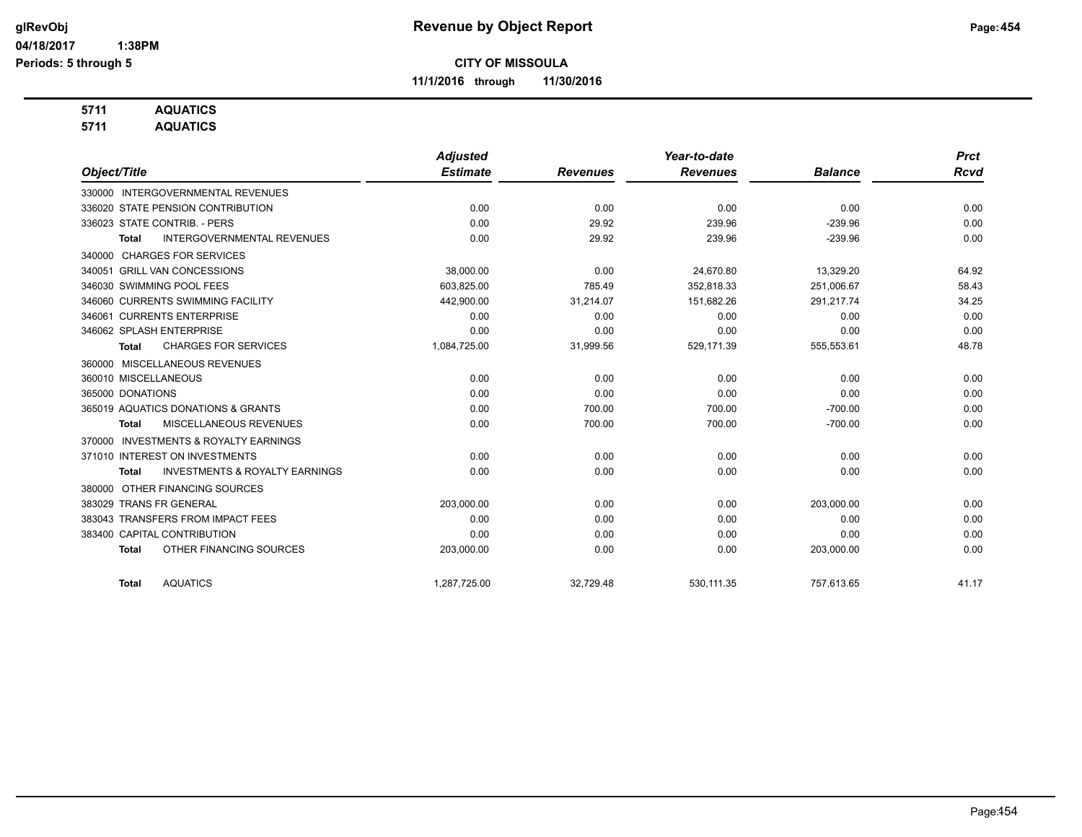**CITY OF MISSOULA 11/1/2016 through 11/30/2016**

## **5711 AQUATICS**

**5711 AQUATICS**

|                                                           | <b>Adjusted</b> |                 | Year-to-date    |                | <b>Prct</b> |
|-----------------------------------------------------------|-----------------|-----------------|-----------------|----------------|-------------|
| Object/Title                                              | <b>Estimate</b> | <b>Revenues</b> | <b>Revenues</b> | <b>Balance</b> | <b>Rcvd</b> |
| 330000 INTERGOVERNMENTAL REVENUES                         |                 |                 |                 |                |             |
| 336020 STATE PENSION CONTRIBUTION                         | 0.00            | 0.00            | 0.00            | 0.00           | 0.00        |
| 336023 STATE CONTRIB. - PERS                              | 0.00            | 29.92           | 239.96          | $-239.96$      | 0.00        |
| <b>INTERGOVERNMENTAL REVENUES</b><br><b>Total</b>         | 0.00            | 29.92           | 239.96          | $-239.96$      | 0.00        |
| 340000 CHARGES FOR SERVICES                               |                 |                 |                 |                |             |
| 340051 GRILL VAN CONCESSIONS                              | 38,000.00       | 0.00            | 24.670.80       | 13,329.20      | 64.92       |
| 346030 SWIMMING POOL FEES                                 | 603,825.00      | 785.49          | 352.818.33      | 251,006.67     | 58.43       |
| 346060 CURRENTS SWIMMING FACILITY                         | 442,900.00      | 31,214.07       | 151,682.26      | 291,217.74     | 34.25       |
| 346061 CURRENTS ENTERPRISE                                | 0.00            | 0.00            | 0.00            | 0.00           | 0.00        |
| 346062 SPLASH ENTERPRISE                                  | 0.00            | 0.00            | 0.00            | 0.00           | 0.00        |
| <b>CHARGES FOR SERVICES</b><br><b>Total</b>               | 1,084,725.00    | 31,999.56       | 529,171.39      | 555,553.61     | 48.78       |
| 360000 MISCELLANEOUS REVENUES                             |                 |                 |                 |                |             |
| 360010 MISCELLANEOUS                                      | 0.00            | 0.00            | 0.00            | 0.00           | 0.00        |
| 365000 DONATIONS                                          | 0.00            | 0.00            | 0.00            | 0.00           | 0.00        |
| 365019 AQUATICS DONATIONS & GRANTS                        | 0.00            | 700.00          | 700.00          | $-700.00$      | 0.00        |
| MISCELLANEOUS REVENUES<br><b>Total</b>                    | 0.00            | 700.00          | 700.00          | $-700.00$      | 0.00        |
| 370000 INVESTMENTS & ROYALTY EARNINGS                     |                 |                 |                 |                |             |
| 371010 INTEREST ON INVESTMENTS                            | 0.00            | 0.00            | 0.00            | 0.00           | 0.00        |
| <b>INVESTMENTS &amp; ROYALTY EARNINGS</b><br><b>Total</b> | 0.00            | 0.00            | 0.00            | 0.00           | 0.00        |
| OTHER FINANCING SOURCES<br>380000                         |                 |                 |                 |                |             |
| 383029 TRANS FR GENERAL                                   | 203,000.00      | 0.00            | 0.00            | 203,000.00     | 0.00        |
| 383043 TRANSFERS FROM IMPACT FEES                         | 0.00            | 0.00            | 0.00            | 0.00           | 0.00        |
| 383400 CAPITAL CONTRIBUTION                               | 0.00            | 0.00            | 0.00            | 0.00           | 0.00        |
| OTHER FINANCING SOURCES<br><b>Total</b>                   | 203,000.00      | 0.00            | 0.00            | 203,000.00     | 0.00        |
| <b>AQUATICS</b><br><b>Total</b>                           | 1,287,725.00    | 32,729.48       | 530, 111.35     | 757,613.65     | 41.17       |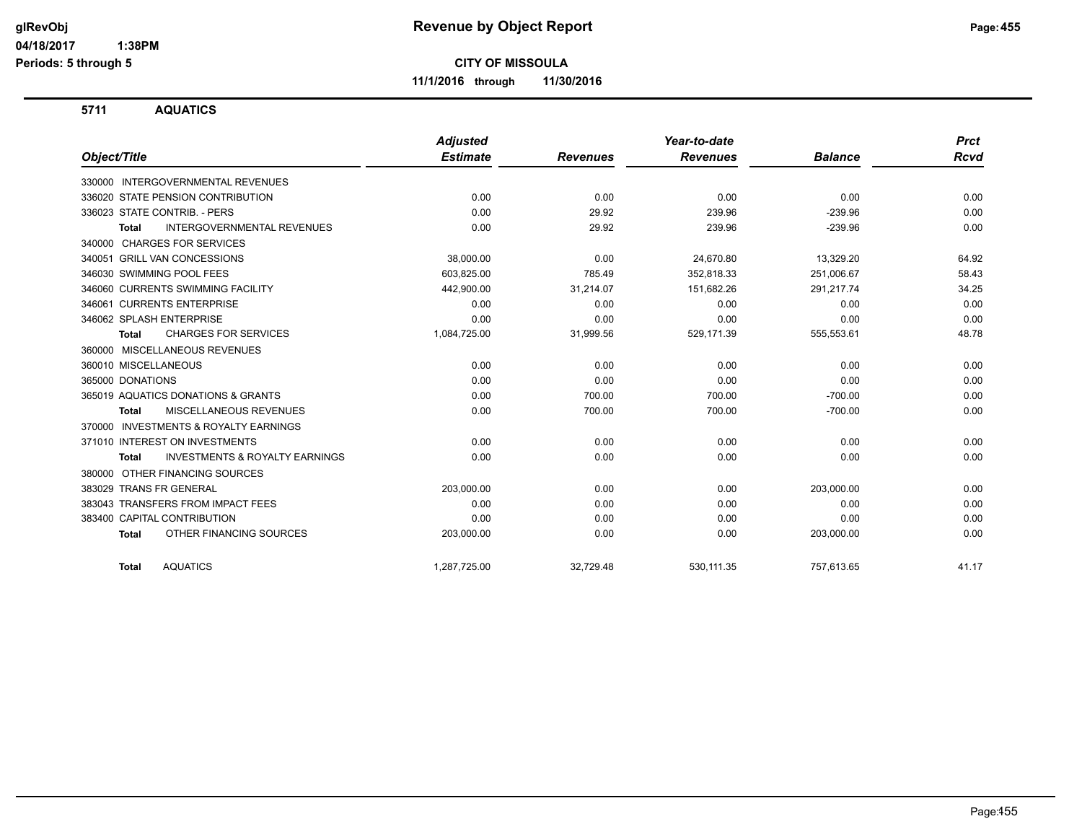**11/1/2016 through 11/30/2016**

#### **5711 AQUATICS**

|                                                    | <b>Adjusted</b> |                 | Year-to-date    |                | <b>Prct</b> |
|----------------------------------------------------|-----------------|-----------------|-----------------|----------------|-------------|
| Object/Title                                       | <b>Estimate</b> | <b>Revenues</b> | <b>Revenues</b> | <b>Balance</b> | <b>Rcvd</b> |
| 330000 INTERGOVERNMENTAL REVENUES                  |                 |                 |                 |                |             |
| 336020 STATE PENSION CONTRIBUTION                  | 0.00            | 0.00            | 0.00            | 0.00           | 0.00        |
| 336023 STATE CONTRIB. - PERS                       | 0.00            | 29.92           | 239.96          | $-239.96$      | 0.00        |
| INTERGOVERNMENTAL REVENUES<br><b>Total</b>         | 0.00            | 29.92           | 239.96          | $-239.96$      | 0.00        |
| 340000 CHARGES FOR SERVICES                        |                 |                 |                 |                |             |
| 340051 GRILL VAN CONCESSIONS                       | 38.000.00       | 0.00            | 24.670.80       | 13.329.20      | 64.92       |
| 346030 SWIMMING POOL FEES                          | 603,825.00      | 785.49          | 352,818.33      | 251,006.67     | 58.43       |
| 346060 CURRENTS SWIMMING FACILITY                  | 442,900.00      | 31.214.07       | 151,682.26      | 291,217.74     | 34.25       |
| 346061 CURRENTS ENTERPRISE                         | 0.00            | 0.00            | 0.00            | 0.00           | 0.00        |
| 346062 SPLASH ENTERPRISE                           | 0.00            | 0.00            | 0.00            | 0.00           | 0.00        |
| <b>CHARGES FOR SERVICES</b><br><b>Total</b>        | 1,084,725.00    | 31,999.56       | 529,171.39      | 555,553.61     | 48.78       |
| 360000 MISCELLANEOUS REVENUES                      |                 |                 |                 |                |             |
| 360010 MISCELLANEOUS                               | 0.00            | 0.00            | 0.00            | 0.00           | 0.00        |
| 365000 DONATIONS                                   | 0.00            | 0.00            | 0.00            | 0.00           | 0.00        |
| 365019 AQUATICS DONATIONS & GRANTS                 | 0.00            | 700.00          | 700.00          | $-700.00$      | 0.00        |
| MISCELLANEOUS REVENUES<br>Total                    | 0.00            | 700.00          | 700.00          | $-700.00$      | 0.00        |
| 370000 INVESTMENTS & ROYALTY EARNINGS              |                 |                 |                 |                |             |
| 371010 INTEREST ON INVESTMENTS                     | 0.00            | 0.00            | 0.00            | 0.00           | 0.00        |
| <b>INVESTMENTS &amp; ROYALTY EARNINGS</b><br>Total | 0.00            | 0.00            | 0.00            | 0.00           | 0.00        |
| 380000 OTHER FINANCING SOURCES                     |                 |                 |                 |                |             |
| 383029 TRANS FR GENERAL                            | 203,000.00      | 0.00            | 0.00            | 203,000.00     | 0.00        |
| 383043 TRANSFERS FROM IMPACT FEES                  | 0.00            | 0.00            | 0.00            | 0.00           | 0.00        |
| 383400 CAPITAL CONTRIBUTION                        | 0.00            | 0.00            | 0.00            | 0.00           | 0.00        |
| OTHER FINANCING SOURCES<br><b>Total</b>            | 203,000.00      | 0.00            | 0.00            | 203,000.00     | 0.00        |
| <b>AQUATICS</b><br><b>Total</b>                    | 1,287,725.00    | 32,729.48       | 530,111.35      | 757,613.65     | 41.17       |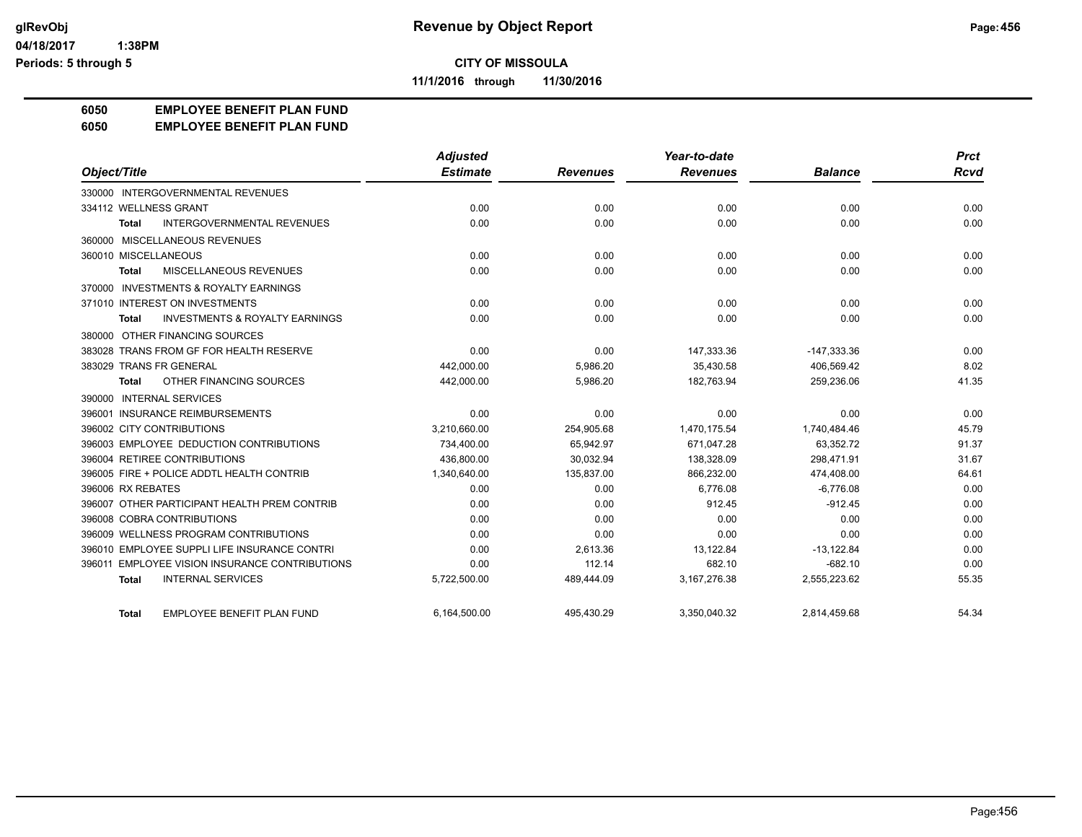**11/1/2016 through 11/30/2016**

## **6050 EMPLOYEE BENEFIT PLAN FUND**

**6050 EMPLOYEE BENEFIT PLAN FUND**

|                                                           | <b>Adjusted</b> |                 | Year-to-date    |                | <b>Prct</b> |
|-----------------------------------------------------------|-----------------|-----------------|-----------------|----------------|-------------|
| Object/Title                                              | <b>Estimate</b> | <b>Revenues</b> | <b>Revenues</b> | <b>Balance</b> | <b>Rcvd</b> |
| 330000 INTERGOVERNMENTAL REVENUES                         |                 |                 |                 |                |             |
| 334112 WELLNESS GRANT                                     | 0.00            | 0.00            | 0.00            | 0.00           | 0.00        |
| <b>INTERGOVERNMENTAL REVENUES</b><br><b>Total</b>         | 0.00            | 0.00            | 0.00            | 0.00           | 0.00        |
| 360000 MISCELLANEOUS REVENUES                             |                 |                 |                 |                |             |
| 360010 MISCELLANEOUS                                      | 0.00            | 0.00            | 0.00            | 0.00           | 0.00        |
| MISCELLANEOUS REVENUES<br><b>Total</b>                    | 0.00            | 0.00            | 0.00            | 0.00           | 0.00        |
| 370000 INVESTMENTS & ROYALTY EARNINGS                     |                 |                 |                 |                |             |
| 371010 INTEREST ON INVESTMENTS                            | 0.00            | 0.00            | 0.00            | 0.00           | 0.00        |
| <b>INVESTMENTS &amp; ROYALTY EARNINGS</b><br><b>Total</b> | 0.00            | 0.00            | 0.00            | 0.00           | 0.00        |
| 380000 OTHER FINANCING SOURCES                            |                 |                 |                 |                |             |
| 383028 TRANS FROM GF FOR HEALTH RESERVE                   | 0.00            | 0.00            | 147,333.36      | $-147,333.36$  | 0.00        |
| 383029 TRANS FR GENERAL                                   | 442,000.00      | 5,986.20        | 35,430.58       | 406,569.42     | 8.02        |
| OTHER FINANCING SOURCES<br><b>Total</b>                   | 442,000.00      | 5,986.20        | 182,763.94      | 259,236.06     | 41.35       |
| 390000 INTERNAL SERVICES                                  |                 |                 |                 |                |             |
| 396001 INSURANCE REIMBURSEMENTS                           | 0.00            | 0.00            | 0.00            | 0.00           | 0.00        |
| 396002 CITY CONTRIBUTIONS                                 | 3,210,660.00    | 254,905.68      | 1,470,175.54    | 1,740,484.46   | 45.79       |
| 396003 EMPLOYEE DEDUCTION CONTRIBUTIONS                   | 734.400.00      | 65.942.97       | 671.047.28      | 63.352.72      | 91.37       |
| 396004 RETIREE CONTRIBUTIONS                              | 436,800.00      | 30,032.94       | 138,328.09      | 298,471.91     | 31.67       |
| 396005 FIRE + POLICE ADDTL HEALTH CONTRIB                 | 1,340,640.00    | 135,837.00      | 866,232.00      | 474,408.00     | 64.61       |
| 396006 RX REBATES                                         | 0.00            | 0.00            | 6.776.08        | $-6.776.08$    | 0.00        |
| 396007 OTHER PARTICIPANT HEALTH PREM CONTRIB              | 0.00            | 0.00            | 912.45          | $-912.45$      | 0.00        |
| 396008 COBRA CONTRIBUTIONS                                | 0.00            | 0.00            | 0.00            | 0.00           | 0.00        |
| 396009 WELLNESS PROGRAM CONTRIBUTIONS                     | 0.00            | 0.00            | 0.00            | 0.00           | 0.00        |
| 396010 EMPLOYEE SUPPLI LIFE INSURANCE CONTRI              | 0.00            | 2.613.36        | 13,122.84       | $-13,122.84$   | 0.00        |
| EMPLOYEE VISION INSURANCE CONTRIBUTIONS<br>396011         | 0.00            | 112.14          | 682.10          | $-682.10$      | 0.00        |
| <b>INTERNAL SERVICES</b><br><b>Total</b>                  | 5,722,500.00    | 489,444.09      | 3, 167, 276. 38 | 2,555,223.62   | 55.35       |
| <b>EMPLOYEE BENEFIT PLAN FUND</b><br><b>Total</b>         | 6,164,500.00    | 495,430.29      | 3,350,040.32    | 2,814,459.68   | 54.34       |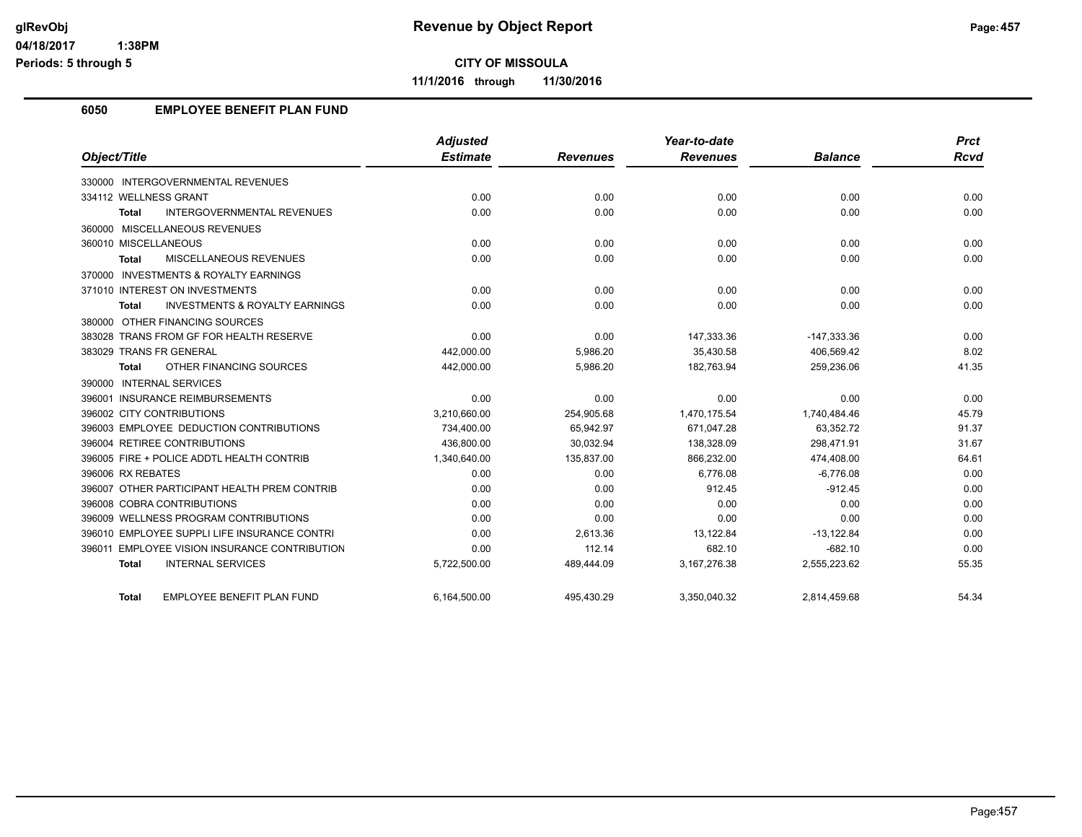**11/1/2016 through 11/30/2016**

#### **6050 EMPLOYEE BENEFIT PLAN FUND**

|                                                    | <b>Adjusted</b> |                 | Year-to-date    |                | <b>Prct</b> |
|----------------------------------------------------|-----------------|-----------------|-----------------|----------------|-------------|
| Object/Title                                       | <b>Estimate</b> | <b>Revenues</b> | <b>Revenues</b> | <b>Balance</b> | Rcvd        |
| 330000 INTERGOVERNMENTAL REVENUES                  |                 |                 |                 |                |             |
| 334112 WELLNESS GRANT                              | 0.00            | 0.00            | 0.00            | 0.00           | 0.00        |
| <b>INTERGOVERNMENTAL REVENUES</b><br><b>Total</b>  | 0.00            | 0.00            | 0.00            | 0.00           | 0.00        |
| 360000 MISCELLANEOUS REVENUES                      |                 |                 |                 |                |             |
| 360010 MISCELLANEOUS                               | 0.00            | 0.00            | 0.00            | 0.00           | 0.00        |
| MISCELLANEOUS REVENUES<br><b>Total</b>             | 0.00            | 0.00            | 0.00            | 0.00           | 0.00        |
| 370000 INVESTMENTS & ROYALTY EARNINGS              |                 |                 |                 |                |             |
| 371010 INTEREST ON INVESTMENTS                     | 0.00            | 0.00            | 0.00            | 0.00           | 0.00        |
| <b>INVESTMENTS &amp; ROYALTY EARNINGS</b><br>Total | 0.00            | 0.00            | 0.00            | 0.00           | 0.00        |
| 380000 OTHER FINANCING SOURCES                     |                 |                 |                 |                |             |
| 383028 TRANS FROM GF FOR HEALTH RESERVE            | 0.00            | 0.00            | 147,333.36      | $-147,333.36$  | 0.00        |
| 383029 TRANS FR GENERAL                            | 442.000.00      | 5,986.20        | 35,430.58       | 406.569.42     | 8.02        |
| OTHER FINANCING SOURCES<br>Total                   | 442,000.00      | 5,986.20        | 182,763.94      | 259,236.06     | 41.35       |
| 390000 INTERNAL SERVICES                           |                 |                 |                 |                |             |
| 396001 INSURANCE REIMBURSEMENTS                    | 0.00            | 0.00            | 0.00            | 0.00           | 0.00        |
| 396002 CITY CONTRIBUTIONS                          | 3,210,660.00    | 254,905.68      | 1,470,175.54    | 1,740,484.46   | 45.79       |
| 396003 EMPLOYEE DEDUCTION CONTRIBUTIONS            | 734,400.00      | 65,942.97       | 671,047.28      | 63,352.72      | 91.37       |
| 396004 RETIREE CONTRIBUTIONS                       | 436,800.00      | 30.032.94       | 138,328.09      | 298,471.91     | 31.67       |
| 396005 FIRE + POLICE ADDTL HEALTH CONTRIB          | 1,340,640.00    | 135,837.00      | 866,232.00      | 474.408.00     | 64.61       |
| 396006 RX REBATES                                  | 0.00            | 0.00            | 6,776.08        | $-6,776.08$    | 0.00        |
| 396007 OTHER PARTICIPANT HEALTH PREM CONTRIB       | 0.00            | 0.00            | 912.45          | $-912.45$      | 0.00        |
| 396008 COBRA CONTRIBUTIONS                         | 0.00            | 0.00            | 0.00            | 0.00           | 0.00        |
| 396009 WELLNESS PROGRAM CONTRIBUTIONS              | 0.00            | 0.00            | 0.00            | 0.00           | 0.00        |
| 396010 EMPLOYEE SUPPLI LIFE INSURANCE CONTRI       | 0.00            | 2,613.36        | 13,122.84       | $-13,122.84$   | 0.00        |
| 396011 EMPLOYEE VISION INSURANCE CONTRIBUTION      | 0.00            | 112.14          | 682.10          | $-682.10$      | 0.00        |
| <b>INTERNAL SERVICES</b><br><b>Total</b>           | 5,722,500.00    | 489,444.09      | 3, 167, 276. 38 | 2,555,223.62   | 55.35       |
| <b>EMPLOYEE BENEFIT PLAN FUND</b><br>Total         | 6,164,500.00    | 495,430.29      | 3,350,040.32    | 2,814,459.68   | 54.34       |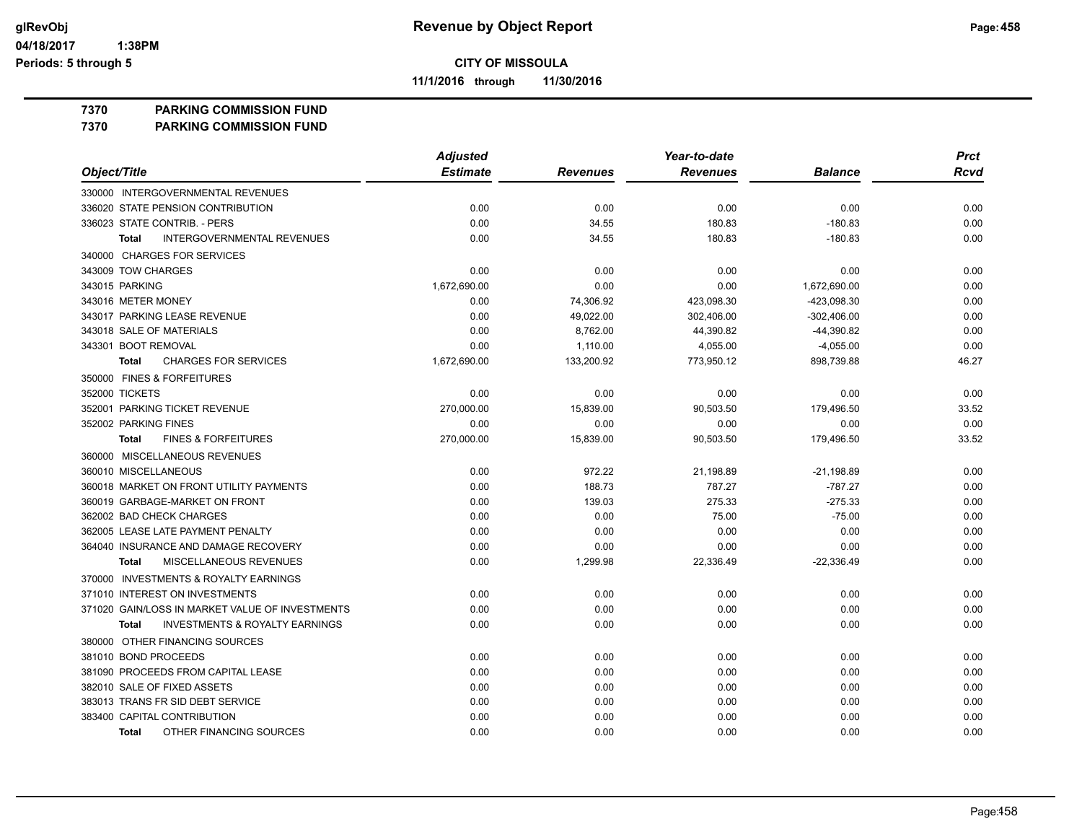**11/1/2016 through 11/30/2016**

**7370 PARKING COMMISSION FUND**

| <b>PARKING COMMISSION FUND</b><br>7370 |  |
|----------------------------------------|--|
|----------------------------------------|--|

|                                                    | <b>Adjusted</b> |                 | Year-to-date    |                | <b>Prct</b> |
|----------------------------------------------------|-----------------|-----------------|-----------------|----------------|-------------|
| Object/Title                                       | <b>Estimate</b> | <b>Revenues</b> | <b>Revenues</b> | <b>Balance</b> | <b>Rcvd</b> |
| 330000 INTERGOVERNMENTAL REVENUES                  |                 |                 |                 |                |             |
| 336020 STATE PENSION CONTRIBUTION                  | 0.00            | 0.00            | 0.00            | 0.00           | 0.00        |
| 336023 STATE CONTRIB. - PERS                       | 0.00            | 34.55           | 180.83          | $-180.83$      | 0.00        |
| <b>INTERGOVERNMENTAL REVENUES</b><br>Total         | 0.00            | 34.55           | 180.83          | $-180.83$      | 0.00        |
| 340000 CHARGES FOR SERVICES                        |                 |                 |                 |                |             |
| 343009 TOW CHARGES                                 | 0.00            | 0.00            | 0.00            | 0.00           | 0.00        |
| 343015 PARKING                                     | 1,672,690.00    | 0.00            | 0.00            | 1,672,690.00   | 0.00        |
| 343016 METER MONEY                                 | 0.00            | 74,306.92       | 423,098.30      | -423,098.30    | 0.00        |
| 343017 PARKING LEASE REVENUE                       | 0.00            | 49,022.00       | 302,406.00      | $-302,406.00$  | 0.00        |
| 343018 SALE OF MATERIALS                           | 0.00            | 8,762.00        | 44,390.82       | $-44,390.82$   | 0.00        |
| 343301 BOOT REMOVAL                                | 0.00            | 1,110.00        | 4,055.00        | $-4,055.00$    | 0.00        |
| <b>CHARGES FOR SERVICES</b><br><b>Total</b>        | 1,672,690.00    | 133,200.92      | 773,950.12      | 898,739.88     | 46.27       |
| 350000 FINES & FORFEITURES                         |                 |                 |                 |                |             |
| 352000 TICKETS                                     | 0.00            | 0.00            | 0.00            | 0.00           | 0.00        |
| 352001 PARKING TICKET REVENUE                      | 270,000.00      | 15,839.00       | 90,503.50       | 179,496.50     | 33.52       |
| 352002 PARKING FINES                               | 0.00            | 0.00            | 0.00            | 0.00           | 0.00        |
| <b>FINES &amp; FORFEITURES</b><br><b>Total</b>     | 270,000.00      | 15,839.00       | 90,503.50       | 179,496.50     | 33.52       |
| 360000 MISCELLANEOUS REVENUES                      |                 |                 |                 |                |             |
| 360010 MISCELLANEOUS                               | 0.00            | 972.22          | 21,198.89       | $-21,198.89$   | 0.00        |
| 360018 MARKET ON FRONT UTILITY PAYMENTS            | 0.00            | 188.73          | 787.27          | $-787.27$      | 0.00        |
| 360019 GARBAGE-MARKET ON FRONT                     | 0.00            | 139.03          | 275.33          | $-275.33$      | 0.00        |
| 362002 BAD CHECK CHARGES                           | 0.00            | 0.00            | 75.00           | $-75.00$       | 0.00        |
| 362005 LEASE LATE PAYMENT PENALTY                  | 0.00            | 0.00            | 0.00            | 0.00           | 0.00        |
| 364040 INSURANCE AND DAMAGE RECOVERY               | 0.00            | 0.00            | 0.00            | 0.00           | 0.00        |
| MISCELLANEOUS REVENUES<br>Total                    | 0.00            | 1,299.98        | 22,336.49       | $-22,336.49$   | 0.00        |
| 370000 INVESTMENTS & ROYALTY EARNINGS              |                 |                 |                 |                |             |
| 371010 INTEREST ON INVESTMENTS                     | 0.00            | 0.00            | 0.00            | 0.00           | 0.00        |
| 371020 GAIN/LOSS IN MARKET VALUE OF INVESTMENTS    | 0.00            | 0.00            | 0.00            | 0.00           | 0.00        |
| <b>INVESTMENTS &amp; ROYALTY EARNINGS</b><br>Total | 0.00            | 0.00            | 0.00            | 0.00           | 0.00        |
| 380000 OTHER FINANCING SOURCES                     |                 |                 |                 |                |             |
| 381010 BOND PROCEEDS                               | 0.00            | 0.00            | 0.00            | 0.00           | 0.00        |
| 381090 PROCEEDS FROM CAPITAL LEASE                 | 0.00            | 0.00            | 0.00            | 0.00           | 0.00        |
| 382010 SALE OF FIXED ASSETS                        | 0.00            | 0.00            | 0.00            | 0.00           | 0.00        |
| 383013 TRANS FR SID DEBT SERVICE                   | 0.00            | 0.00            | 0.00            | 0.00           | 0.00        |
| 383400 CAPITAL CONTRIBUTION                        | 0.00            | 0.00            | 0.00            | 0.00           | 0.00        |
| OTHER FINANCING SOURCES<br><b>Total</b>            | 0.00            | 0.00            | 0.00            | 0.00           | 0.00        |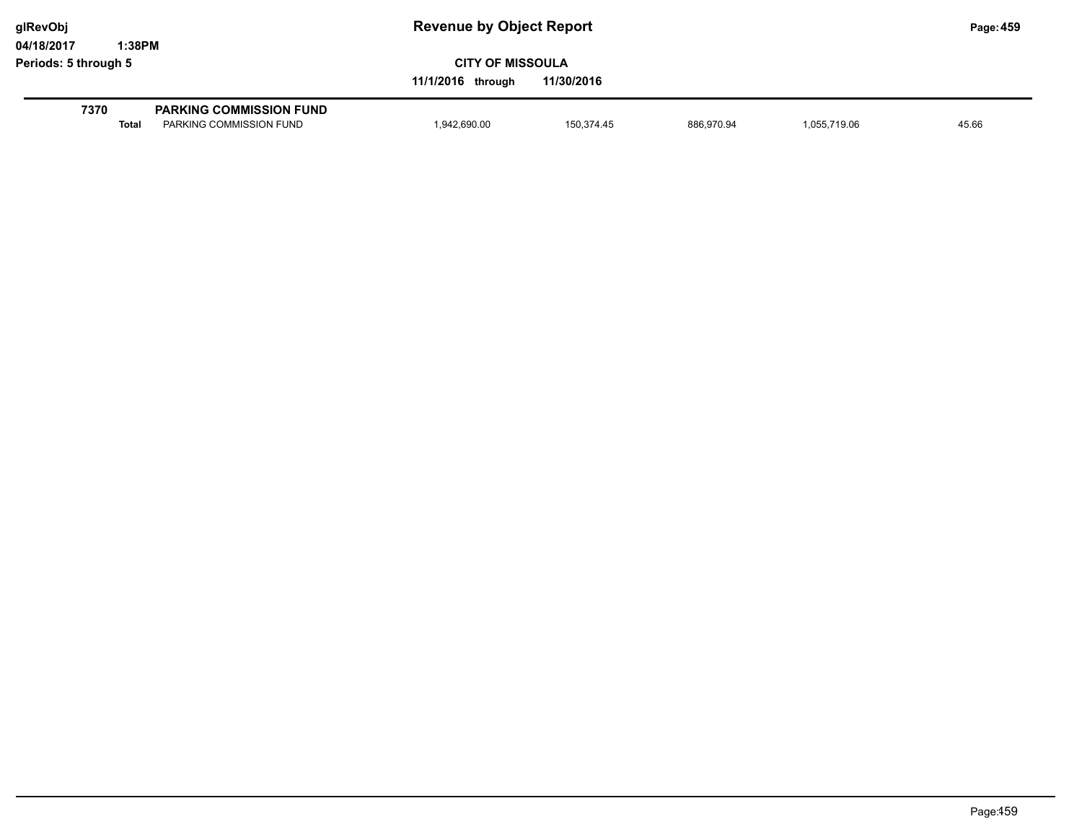**04/18/2017 1:38PM Periods: 5 through 5**

**glRevObj Revenue by Object Report Page:459** 

**CITY OF MISSOULA**

**11/1/2016 through 11/30/2016**

| 7370  | FUNF<br><b>OMMISSION</b><br>KING.<br><b>PARK</b>            |             |           |            |                |       |
|-------|-------------------------------------------------------------|-------------|-----------|------------|----------------|-------|
| Total | <b>SION FUND</b><br>$\cap$ OMMISS $\mathfrak{g}$<br>PARKING | .942.690.00 | 50.374.45 | 886.970.94 | 5.719.0<br>055 | 45.66 |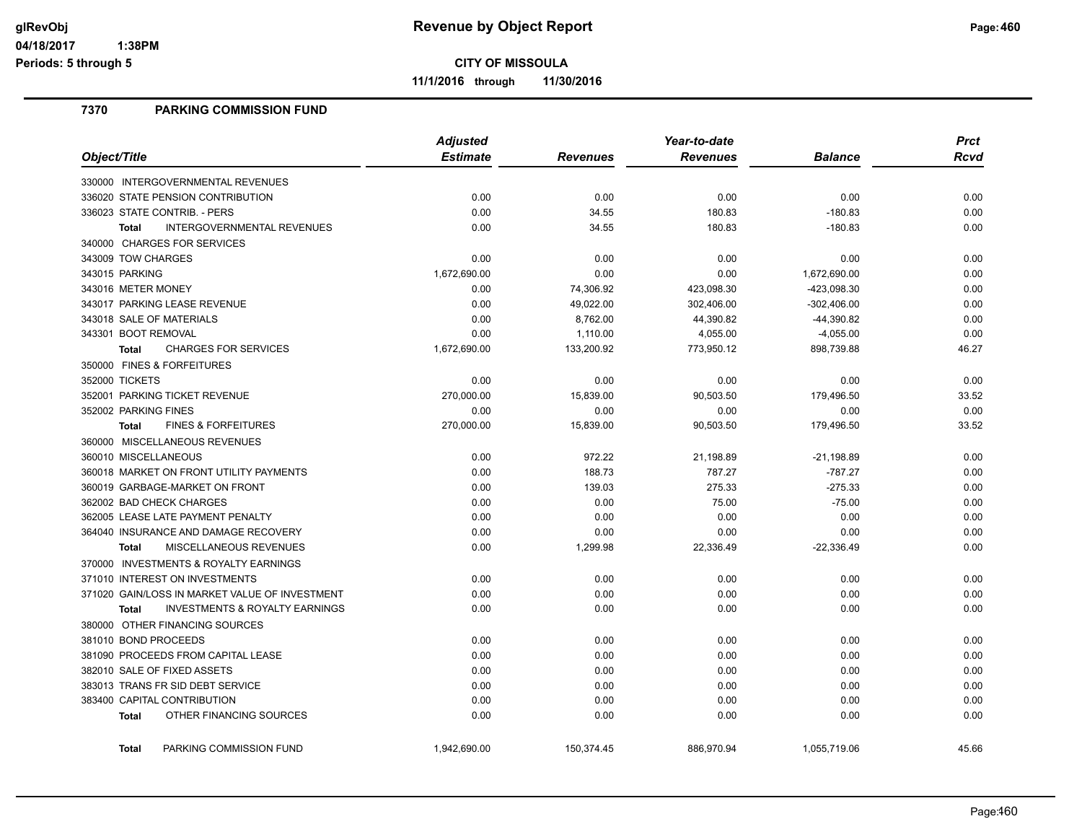**11/1/2016 through 11/30/2016**

#### **7370 PARKING COMMISSION FUND**

|                                                           | <b>Adjusted</b> |                 | Year-to-date    |                | <b>Prct</b> |
|-----------------------------------------------------------|-----------------|-----------------|-----------------|----------------|-------------|
| Object/Title                                              | <b>Estimate</b> | <b>Revenues</b> | <b>Revenues</b> | <b>Balance</b> | Rcvd        |
| 330000 INTERGOVERNMENTAL REVENUES                         |                 |                 |                 |                |             |
| 336020 STATE PENSION CONTRIBUTION                         | 0.00            | 0.00            | 0.00            | 0.00           | 0.00        |
| 336023 STATE CONTRIB. - PERS                              | 0.00            | 34.55           | 180.83          | $-180.83$      | 0.00        |
| <b>INTERGOVERNMENTAL REVENUES</b><br><b>Total</b>         | 0.00            | 34.55           | 180.83          | $-180.83$      | 0.00        |
| 340000 CHARGES FOR SERVICES                               |                 |                 |                 |                |             |
| 343009 TOW CHARGES                                        | 0.00            | 0.00            | 0.00            | 0.00           | 0.00        |
| 343015 PARKING                                            | 1,672,690.00    | 0.00            | 0.00            | 1,672,690.00   | 0.00        |
| 343016 METER MONEY                                        | 0.00            | 74,306.92       | 423,098.30      | -423,098.30    | 0.00        |
| 343017 PARKING LEASE REVENUE                              | 0.00            | 49,022.00       | 302,406.00      | $-302,406.00$  | 0.00        |
| 343018 SALE OF MATERIALS                                  | 0.00            | 8,762.00        | 44,390.82       | $-44,390.82$   | 0.00        |
| 343301 BOOT REMOVAL                                       | 0.00            | 1,110.00        | 4,055.00        | $-4,055.00$    | 0.00        |
| <b>CHARGES FOR SERVICES</b><br><b>Total</b>               | 1,672,690.00    | 133,200.92      | 773,950.12      | 898,739.88     | 46.27       |
| 350000 FINES & FORFEITURES                                |                 |                 |                 |                |             |
| 352000 TICKETS                                            | 0.00            | 0.00            | 0.00            | 0.00           | 0.00        |
| 352001 PARKING TICKET REVENUE                             | 270,000.00      | 15,839.00       | 90.503.50       | 179.496.50     | 33.52       |
| 352002 PARKING FINES                                      | 0.00            | 0.00            | 0.00            | 0.00           | 0.00        |
| <b>FINES &amp; FORFEITURES</b><br><b>Total</b>            | 270,000.00      | 15,839.00       | 90,503.50       | 179,496.50     | 33.52       |
| 360000 MISCELLANEOUS REVENUES                             |                 |                 |                 |                |             |
| 360010 MISCELLANEOUS                                      | 0.00            | 972.22          | 21,198.89       | $-21,198.89$   | 0.00        |
| 360018 MARKET ON FRONT UTILITY PAYMENTS                   | 0.00            | 188.73          | 787.27          | $-787.27$      | 0.00        |
| 360019 GARBAGE-MARKET ON FRONT                            | 0.00            | 139.03          | 275.33          | $-275.33$      | 0.00        |
| 362002 BAD CHECK CHARGES                                  | 0.00            | 0.00            | 75.00           | $-75.00$       | 0.00        |
| 362005 LEASE LATE PAYMENT PENALTY                         | 0.00            | 0.00            | 0.00            | 0.00           | 0.00        |
| 364040 INSURANCE AND DAMAGE RECOVERY                      | 0.00            | 0.00            | 0.00            | 0.00           | 0.00        |
| MISCELLANEOUS REVENUES<br>Total                           | 0.00            | 1,299.98        | 22,336.49       | $-22,336.49$   | 0.00        |
| 370000 INVESTMENTS & ROYALTY EARNINGS                     |                 |                 |                 |                |             |
| 371010 INTEREST ON INVESTMENTS                            | 0.00            | 0.00            | 0.00            | 0.00           | 0.00        |
| 371020 GAIN/LOSS IN MARKET VALUE OF INVESTMENT            | 0.00            | 0.00            | 0.00            | 0.00           | 0.00        |
| <b>INVESTMENTS &amp; ROYALTY EARNINGS</b><br><b>Total</b> | 0.00            | 0.00            | 0.00            | 0.00           | 0.00        |
| 380000 OTHER FINANCING SOURCES                            |                 |                 |                 |                |             |
| 381010 BOND PROCEEDS                                      | 0.00            | 0.00            | 0.00            | 0.00           | 0.00        |
| 381090 PROCEEDS FROM CAPITAL LEASE                        | 0.00            | 0.00            | 0.00            | 0.00           | 0.00        |
| 382010 SALE OF FIXED ASSETS                               | 0.00            | 0.00            | 0.00            | 0.00           | 0.00        |
| 383013 TRANS FR SID DEBT SERVICE                          | 0.00            | 0.00            | 0.00            | 0.00           | 0.00        |
| 383400 CAPITAL CONTRIBUTION                               | 0.00            | 0.00            | 0.00            | 0.00           | 0.00        |
| OTHER FINANCING SOURCES<br><b>Total</b>                   | 0.00            | 0.00            | 0.00            | 0.00           | 0.00        |
| PARKING COMMISSION FUND<br>Total                          | 1.942.690.00    | 150,374.45      | 886.970.94      | 1,055,719.06   | 45.66       |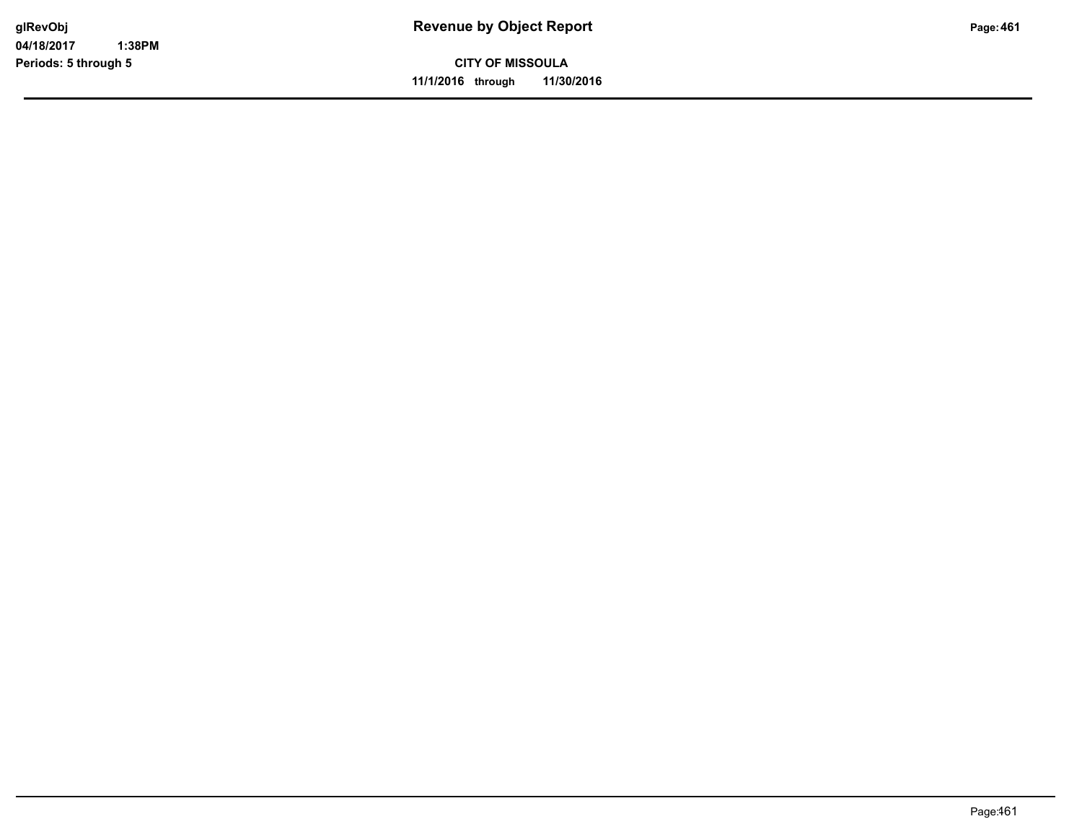**CITY OF MISSOULA 11/1/2016 through 11/30/2016**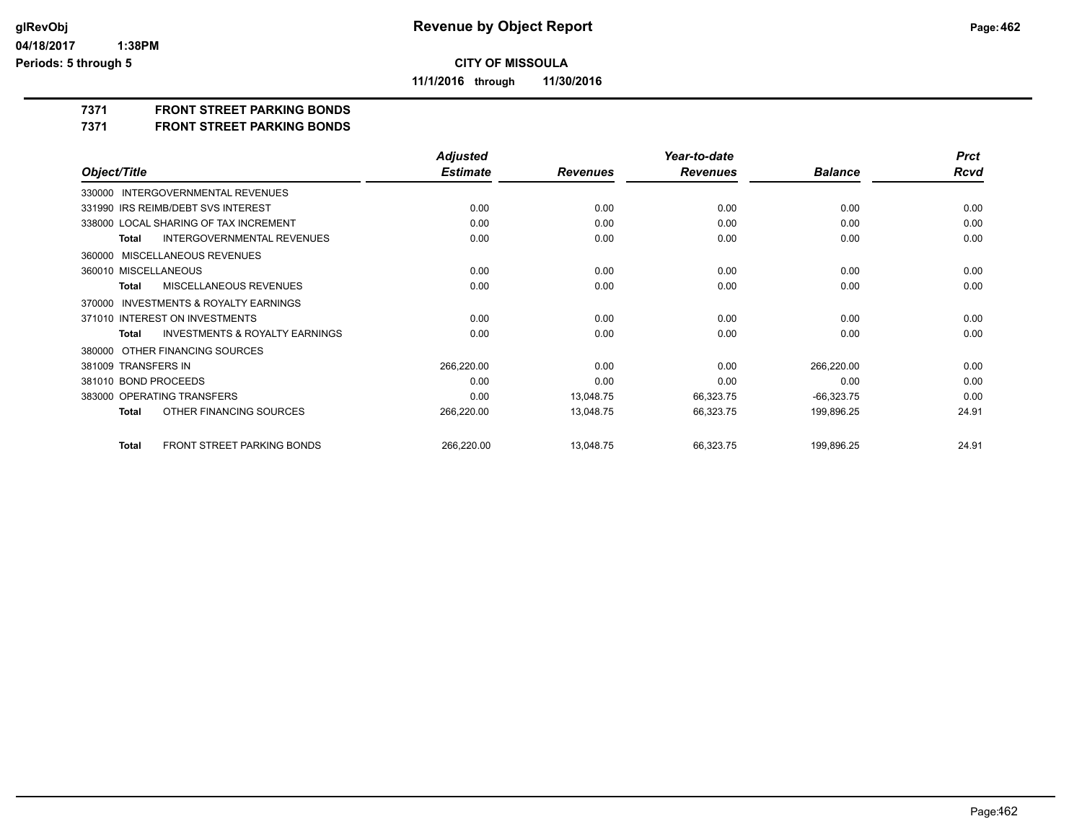**11/1/2016 through 11/30/2016**

**7371 FRONT STREET PARKING BONDS**

**7371 FRONT STREET PARKING BONDS**

|                                                     | <b>Adjusted</b> |                 | Year-to-date    |                | <b>Prct</b> |
|-----------------------------------------------------|-----------------|-----------------|-----------------|----------------|-------------|
| Object/Title                                        | <b>Estimate</b> | <b>Revenues</b> | <b>Revenues</b> | <b>Balance</b> | <b>Rcvd</b> |
| 330000 INTERGOVERNMENTAL REVENUES                   |                 |                 |                 |                |             |
| 331990 IRS REIMB/DEBT SVS INTEREST                  | 0.00            | 0.00            | 0.00            | 0.00           | 0.00        |
| 338000 LOCAL SHARING OF TAX INCREMENT               | 0.00            | 0.00            | 0.00            | 0.00           | 0.00        |
| INTERGOVERNMENTAL REVENUES<br><b>Total</b>          | 0.00            | 0.00            | 0.00            | 0.00           | 0.00        |
| <b>MISCELLANEOUS REVENUES</b><br>360000             |                 |                 |                 |                |             |
| 360010 MISCELLANEOUS                                | 0.00            | 0.00            | 0.00            | 0.00           | 0.00        |
| MISCELLANEOUS REVENUES<br>Total                     | 0.00            | 0.00            | 0.00            | 0.00           | 0.00        |
| <b>INVESTMENTS &amp; ROYALTY EARNINGS</b><br>370000 |                 |                 |                 |                |             |
| 371010 INTEREST ON INVESTMENTS                      | 0.00            | 0.00            | 0.00            | 0.00           | 0.00        |
| <b>INVESTMENTS &amp; ROYALTY EARNINGS</b><br>Total  | 0.00            | 0.00            | 0.00            | 0.00           | 0.00        |
| OTHER FINANCING SOURCES<br>380000                   |                 |                 |                 |                |             |
| 381009 TRANSFERS IN                                 | 266,220.00      | 0.00            | 0.00            | 266,220.00     | 0.00        |
| 381010 BOND PROCEEDS                                | 0.00            | 0.00            | 0.00            | 0.00           | 0.00        |
| 383000 OPERATING TRANSFERS                          | 0.00            | 13,048.75       | 66,323.75       | $-66,323.75$   | 0.00        |
| OTHER FINANCING SOURCES<br><b>Total</b>             | 266,220.00      | 13,048.75       | 66,323.75       | 199,896.25     | 24.91       |
| FRONT STREET PARKING BONDS<br><b>Total</b>          | 266,220.00      | 13,048.75       | 66,323.75       | 199,896.25     | 24.91       |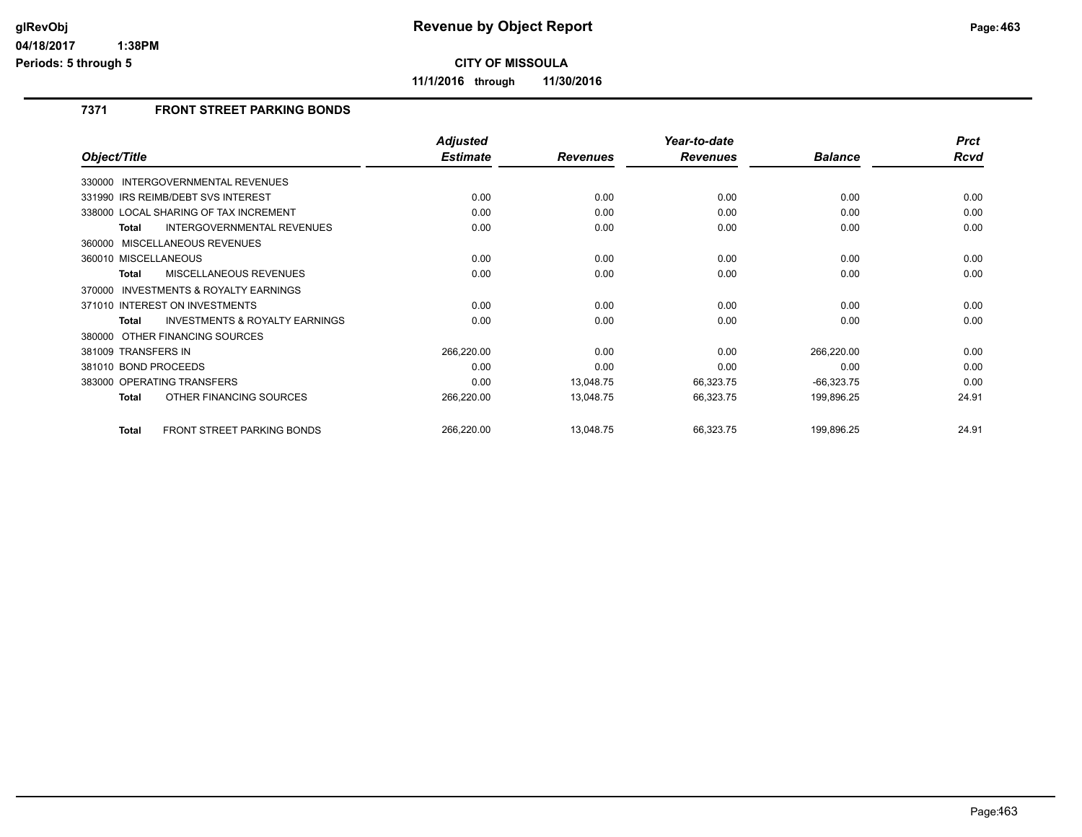**11/1/2016 through 11/30/2016**

#### **7371 FRONT STREET PARKING BONDS**

|                                                           | <b>Adjusted</b> |                 | Year-to-date    |                | <b>Prct</b> |
|-----------------------------------------------------------|-----------------|-----------------|-----------------|----------------|-------------|
| Object/Title                                              | <b>Estimate</b> | <b>Revenues</b> | <b>Revenues</b> | <b>Balance</b> | <b>Rcvd</b> |
| <b>INTERGOVERNMENTAL REVENUES</b><br>330000               |                 |                 |                 |                |             |
| 331990 IRS REIMB/DEBT SVS INTEREST                        | 0.00            | 0.00            | 0.00            | 0.00           | 0.00        |
| 338000 LOCAL SHARING OF TAX INCREMENT                     | 0.00            | 0.00            | 0.00            | 0.00           | 0.00        |
| <b>INTERGOVERNMENTAL REVENUES</b><br><b>Total</b>         | 0.00            | 0.00            | 0.00            | 0.00           | 0.00        |
| <b>MISCELLANEOUS REVENUES</b><br>360000                   |                 |                 |                 |                |             |
| 360010 MISCELLANEOUS                                      | 0.00            | 0.00            | 0.00            | 0.00           | 0.00        |
| MISCELLANEOUS REVENUES<br><b>Total</b>                    | 0.00            | 0.00            | 0.00            | 0.00           | 0.00        |
| <b>INVESTMENTS &amp; ROYALTY EARNINGS</b><br>370000       |                 |                 |                 |                |             |
| 371010 INTEREST ON INVESTMENTS                            | 0.00            | 0.00            | 0.00            | 0.00           | 0.00        |
| <b>INVESTMENTS &amp; ROYALTY EARNINGS</b><br><b>Total</b> | 0.00            | 0.00            | 0.00            | 0.00           | 0.00        |
| 380000 OTHER FINANCING SOURCES                            |                 |                 |                 |                |             |
| 381009 TRANSFERS IN                                       | 266,220.00      | 0.00            | 0.00            | 266,220.00     | 0.00        |
| 381010 BOND PROCEEDS                                      | 0.00            | 0.00            | 0.00            | 0.00           | 0.00        |
| 383000 OPERATING TRANSFERS                                | 0.00            | 13,048.75       | 66,323.75       | $-66,323.75$   | 0.00        |
| OTHER FINANCING SOURCES<br>Total                          | 266,220.00      | 13,048.75       | 66,323.75       | 199,896.25     | 24.91       |
| <b>FRONT STREET PARKING BONDS</b><br><b>Total</b>         | 266,220.00      | 13,048.75       | 66,323.75       | 199,896.25     | 24.91       |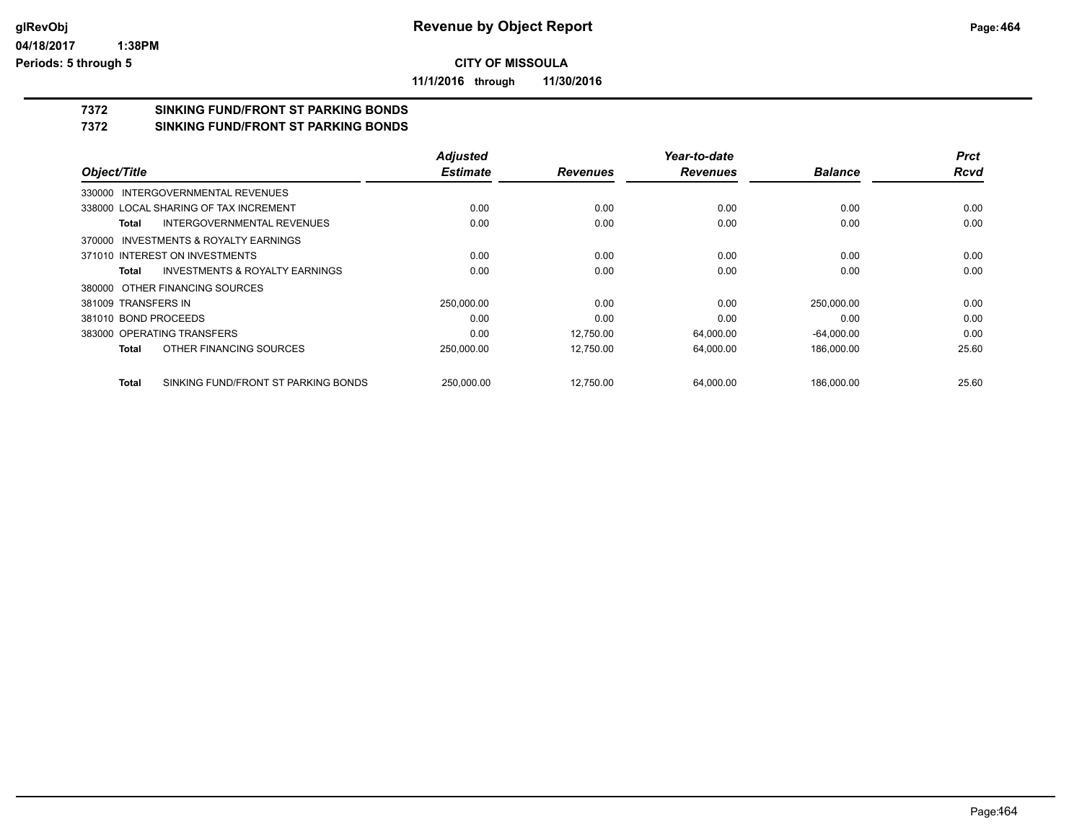**11/1/2016 through 11/30/2016**

#### **7372 SINKING FUND/FRONT ST PARKING BONDS 7372 SINKING FUND/FRONT ST PARKING BONDS**

|                      |                                           | <b>Adjusted</b> |                 | Year-to-date    |                | <b>Prct</b> |
|----------------------|-------------------------------------------|-----------------|-----------------|-----------------|----------------|-------------|
| Object/Title         |                                           | <b>Estimate</b> | <b>Revenues</b> | <b>Revenues</b> | <b>Balance</b> | <b>Rcvd</b> |
|                      | 330000 INTERGOVERNMENTAL REVENUES         |                 |                 |                 |                |             |
|                      | 338000 LOCAL SHARING OF TAX INCREMENT     | 0.00            | 0.00            | 0.00            | 0.00           | 0.00        |
| <b>Total</b>         | INTERGOVERNMENTAL REVENUES                | 0.00            | 0.00            | 0.00            | 0.00           | 0.00        |
| 370000               | <b>INVESTMENTS &amp; ROYALTY EARNINGS</b> |                 |                 |                 |                |             |
|                      | 371010 INTEREST ON INVESTMENTS            | 0.00            | 0.00            | 0.00            | 0.00           | 0.00        |
| Total                | <b>INVESTMENTS &amp; ROYALTY EARNINGS</b> | 0.00            | 0.00            | 0.00            | 0.00           | 0.00        |
| 380000               | OTHER FINANCING SOURCES                   |                 |                 |                 |                |             |
| 381009 TRANSFERS IN  |                                           | 250,000.00      | 0.00            | 0.00            | 250,000,00     | 0.00        |
| 381010 BOND PROCEEDS |                                           | 0.00            | 0.00            | 0.00            | 0.00           | 0.00        |
|                      | 383000 OPERATING TRANSFERS                | 0.00            | 12,750.00       | 64,000.00       | $-64,000.00$   | 0.00        |
| <b>Total</b>         | OTHER FINANCING SOURCES                   | 250,000.00      | 12,750.00       | 64,000.00       | 186,000.00     | 25.60       |
| <b>Total</b>         | SINKING FUND/FRONT ST PARKING BONDS       | 250.000.00      | 12.750.00       | 64.000.00       | 186.000.00     | 25.60       |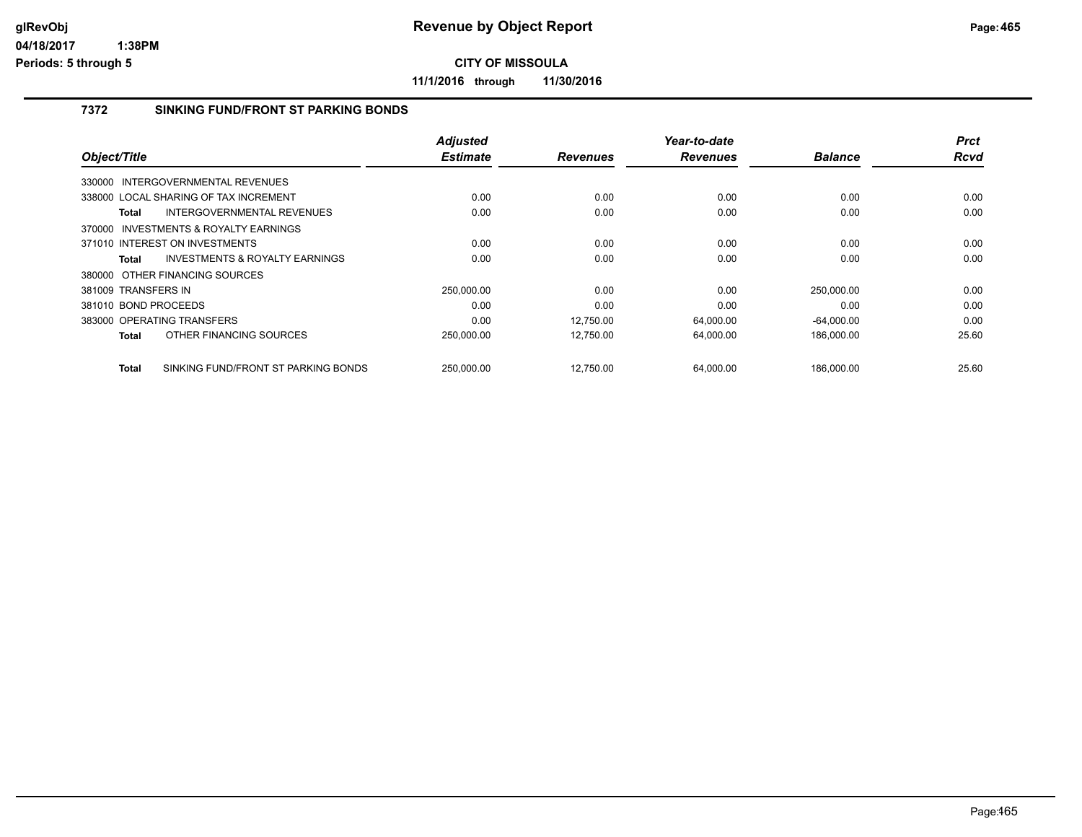**11/1/2016 through 11/30/2016**

#### **7372 SINKING FUND/FRONT ST PARKING BONDS**

|                                                     | <b>Adjusted</b> |                 | Year-to-date    |                | <b>Prct</b> |
|-----------------------------------------------------|-----------------|-----------------|-----------------|----------------|-------------|
| Object/Title                                        | <b>Estimate</b> | <b>Revenues</b> | <b>Revenues</b> | <b>Balance</b> | <b>Rcvd</b> |
| INTERGOVERNMENTAL REVENUES<br>330000                |                 |                 |                 |                |             |
| 338000 LOCAL SHARING OF TAX INCREMENT               | 0.00            | 0.00            | 0.00            | 0.00           | 0.00        |
| INTERGOVERNMENTAL REVENUES<br>Total                 | 0.00            | 0.00            | 0.00            | 0.00           | 0.00        |
| INVESTMENTS & ROYALTY EARNINGS<br>370000            |                 |                 |                 |                |             |
| 371010 INTEREST ON INVESTMENTS                      | 0.00            | 0.00            | 0.00            | 0.00           | 0.00        |
| INVESTMENTS & ROYALTY EARNINGS<br>Total             | 0.00            | 0.00            | 0.00            | 0.00           | 0.00        |
| 380000 OTHER FINANCING SOURCES                      |                 |                 |                 |                |             |
| 381009 TRANSFERS IN                                 | 250,000,00      | 0.00            | 0.00            | 250,000.00     | 0.00        |
| 381010 BOND PROCEEDS                                | 0.00            | 0.00            | 0.00            | 0.00           | 0.00        |
| 383000 OPERATING TRANSFERS                          | 0.00            | 12,750.00       | 64,000.00       | $-64,000.00$   | 0.00        |
| OTHER FINANCING SOURCES<br>Total                    | 250,000.00      | 12,750.00       | 64,000.00       | 186,000.00     | 25.60       |
| SINKING FUND/FRONT ST PARKING BONDS<br><b>Total</b> | 250,000.00      | 12,750.00       | 64,000.00       | 186,000.00     | 25.60       |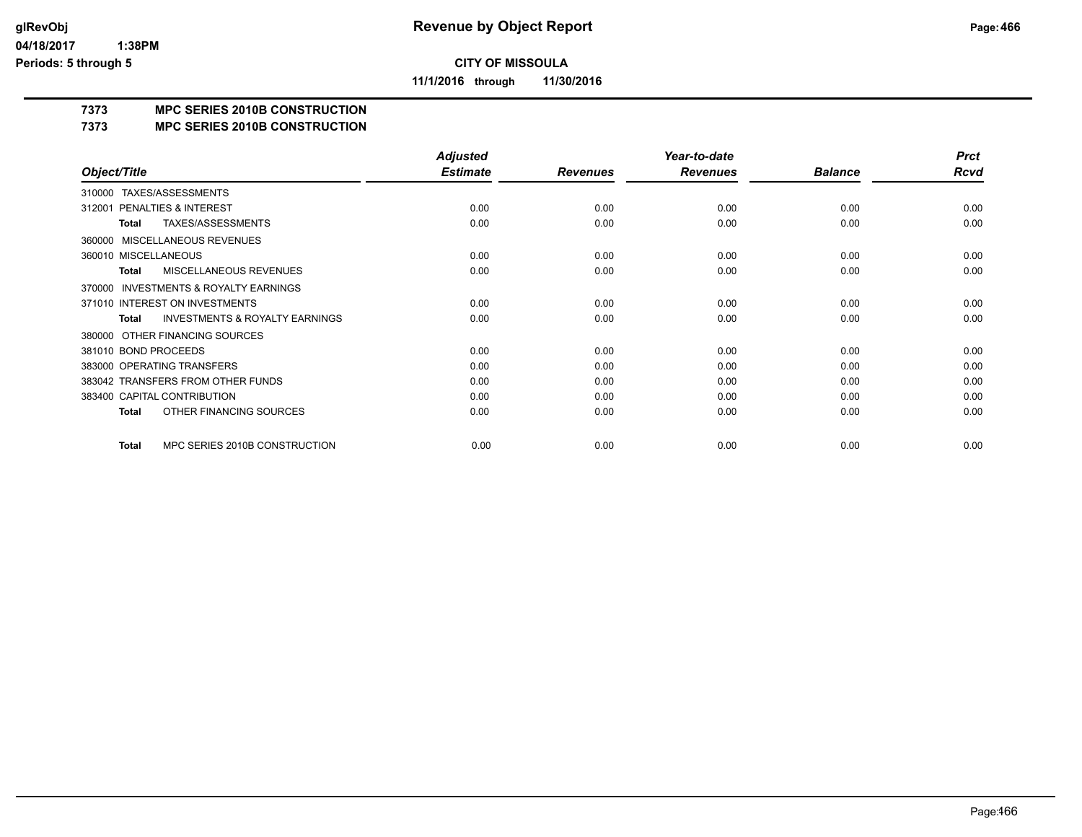**11/1/2016 through 11/30/2016**

## **7373 MPC SERIES 2010B CONSTRUCTION**

**7373 MPC SERIES 2010B CONSTRUCTION**

|                                                     | <b>Adjusted</b> |                 | Year-to-date    |                | <b>Prct</b> |
|-----------------------------------------------------|-----------------|-----------------|-----------------|----------------|-------------|
| Object/Title                                        | <b>Estimate</b> | <b>Revenues</b> | <b>Revenues</b> | <b>Balance</b> | <b>Rcvd</b> |
| TAXES/ASSESSMENTS<br>310000                         |                 |                 |                 |                |             |
| 312001 PENALTIES & INTEREST                         | 0.00            | 0.00            | 0.00            | 0.00           | 0.00        |
| TAXES/ASSESSMENTS<br>Total                          | 0.00            | 0.00            | 0.00            | 0.00           | 0.00        |
| MISCELLANEOUS REVENUES<br>360000                    |                 |                 |                 |                |             |
| 360010 MISCELLANEOUS                                | 0.00            | 0.00            | 0.00            | 0.00           | 0.00        |
| MISCELLANEOUS REVENUES<br><b>Total</b>              | 0.00            | 0.00            | 0.00            | 0.00           | 0.00        |
| <b>INVESTMENTS &amp; ROYALTY EARNINGS</b><br>370000 |                 |                 |                 |                |             |
| 371010 INTEREST ON INVESTMENTS                      | 0.00            | 0.00            | 0.00            | 0.00           | 0.00        |
| <b>INVESTMENTS &amp; ROYALTY EARNINGS</b><br>Total  | 0.00            | 0.00            | 0.00            | 0.00           | 0.00        |
| 380000 OTHER FINANCING SOURCES                      |                 |                 |                 |                |             |
| 381010 BOND PROCEEDS                                | 0.00            | 0.00            | 0.00            | 0.00           | 0.00        |
| 383000 OPERATING TRANSFERS                          | 0.00            | 0.00            | 0.00            | 0.00           | 0.00        |
| 383042 TRANSFERS FROM OTHER FUNDS                   | 0.00            | 0.00            | 0.00            | 0.00           | 0.00        |
| 383400 CAPITAL CONTRIBUTION                         | 0.00            | 0.00            | 0.00            | 0.00           | 0.00        |
| OTHER FINANCING SOURCES<br><b>Total</b>             | 0.00            | 0.00            | 0.00            | 0.00           | 0.00        |
|                                                     |                 |                 |                 |                |             |
| MPC SERIES 2010B CONSTRUCTION<br><b>Total</b>       | 0.00            | 0.00            | 0.00            | 0.00           | 0.00        |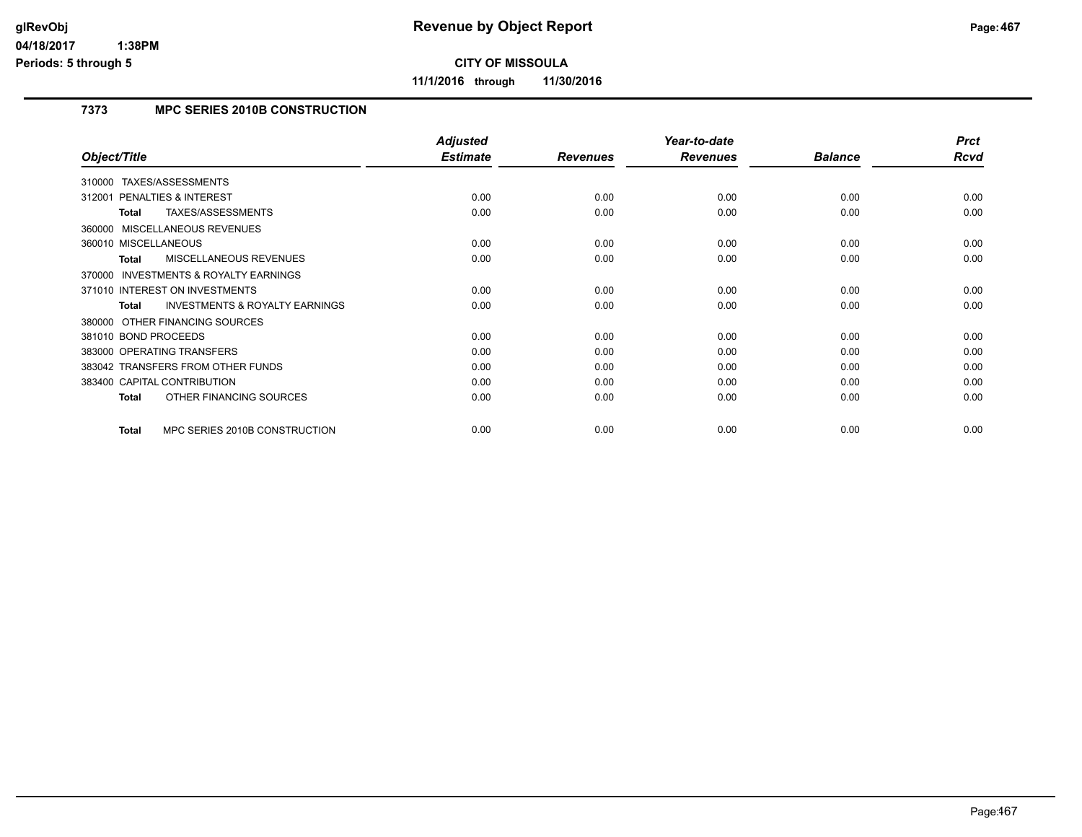**11/1/2016 through 11/30/2016**

#### **7373 MPC SERIES 2010B CONSTRUCTION**

|                                                           | <b>Adjusted</b> |                 | Year-to-date    |                | <b>Prct</b> |
|-----------------------------------------------------------|-----------------|-----------------|-----------------|----------------|-------------|
| Object/Title                                              | <b>Estimate</b> | <b>Revenues</b> | <b>Revenues</b> | <b>Balance</b> | <b>Rcvd</b> |
| 310000 TAXES/ASSESSMENTS                                  |                 |                 |                 |                |             |
| 312001 PENALTIES & INTEREST                               | 0.00            | 0.00            | 0.00            | 0.00           | 0.00        |
| TAXES/ASSESSMENTS<br><b>Total</b>                         | 0.00            | 0.00            | 0.00            | 0.00           | 0.00        |
| 360000 MISCELLANEOUS REVENUES                             |                 |                 |                 |                |             |
| 360010 MISCELLANEOUS                                      | 0.00            | 0.00            | 0.00            | 0.00           | 0.00        |
| <b>MISCELLANEOUS REVENUES</b><br>Total                    | 0.00            | 0.00            | 0.00            | 0.00           | 0.00        |
| <b>INVESTMENTS &amp; ROYALTY EARNINGS</b><br>370000       |                 |                 |                 |                |             |
| 371010 INTEREST ON INVESTMENTS                            | 0.00            | 0.00            | 0.00            | 0.00           | 0.00        |
| <b>INVESTMENTS &amp; ROYALTY EARNINGS</b><br><b>Total</b> | 0.00            | 0.00            | 0.00            | 0.00           | 0.00        |
| 380000 OTHER FINANCING SOURCES                            |                 |                 |                 |                |             |
| 381010 BOND PROCEEDS                                      | 0.00            | 0.00            | 0.00            | 0.00           | 0.00        |
| 383000 OPERATING TRANSFERS                                | 0.00            | 0.00            | 0.00            | 0.00           | 0.00        |
| 383042 TRANSFERS FROM OTHER FUNDS                         | 0.00            | 0.00            | 0.00            | 0.00           | 0.00        |
| 383400 CAPITAL CONTRIBUTION                               | 0.00            | 0.00            | 0.00            | 0.00           | 0.00        |
| OTHER FINANCING SOURCES<br>Total                          | 0.00            | 0.00            | 0.00            | 0.00           | 0.00        |
| MPC SERIES 2010B CONSTRUCTION<br>Total                    | 0.00            | 0.00            | 0.00            | 0.00           | 0.00        |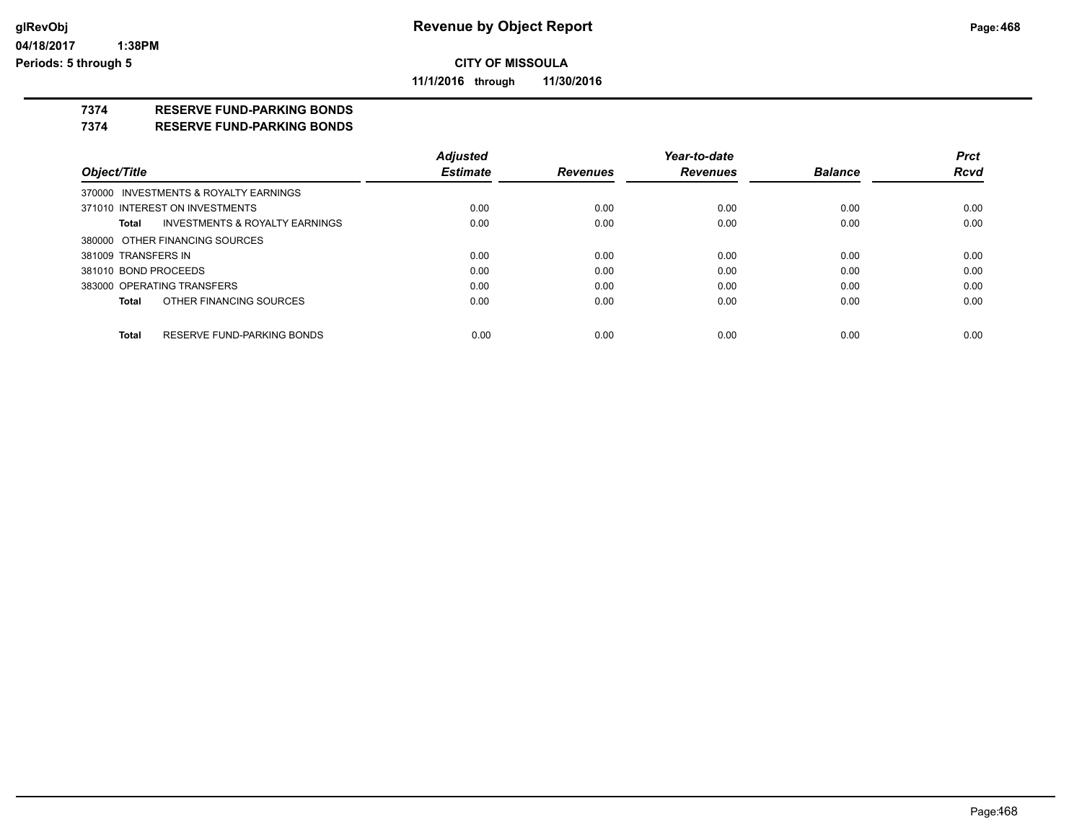**11/1/2016 through 11/30/2016**

# **7374 RESERVE FUND-PARKING BONDS**

## **7374 RESERVE FUND-PARKING BONDS**

|                                                    | <b>Adjusted</b> |                 | Year-to-date    |                | <b>Prct</b> |
|----------------------------------------------------|-----------------|-----------------|-----------------|----------------|-------------|
| Object/Title                                       | <b>Estimate</b> | <b>Revenues</b> | <b>Revenues</b> | <b>Balance</b> | <b>Rcvd</b> |
| 370000 INVESTMENTS & ROYALTY EARNINGS              |                 |                 |                 |                |             |
| 371010 INTEREST ON INVESTMENTS                     | 0.00            | 0.00            | 0.00            | 0.00           | 0.00        |
| <b>INVESTMENTS &amp; ROYALTY EARNINGS</b><br>Total | 0.00            | 0.00            | 0.00            | 0.00           | 0.00        |
| 380000 OTHER FINANCING SOURCES                     |                 |                 |                 |                |             |
| 381009 TRANSFERS IN                                | 0.00            | 0.00            | 0.00            | 0.00           | 0.00        |
| 381010 BOND PROCEEDS                               | 0.00            | 0.00            | 0.00            | 0.00           | 0.00        |
| 383000 OPERATING TRANSFERS                         | 0.00            | 0.00            | 0.00            | 0.00           | 0.00        |
| OTHER FINANCING SOURCES<br>Total                   | 0.00            | 0.00            | 0.00            | 0.00           | 0.00        |
|                                                    |                 |                 |                 |                | 0.00        |
| RESERVE FUND-PARKING BONDS<br>Total                | 0.00            | 0.00            | 0.00            | 0.00           |             |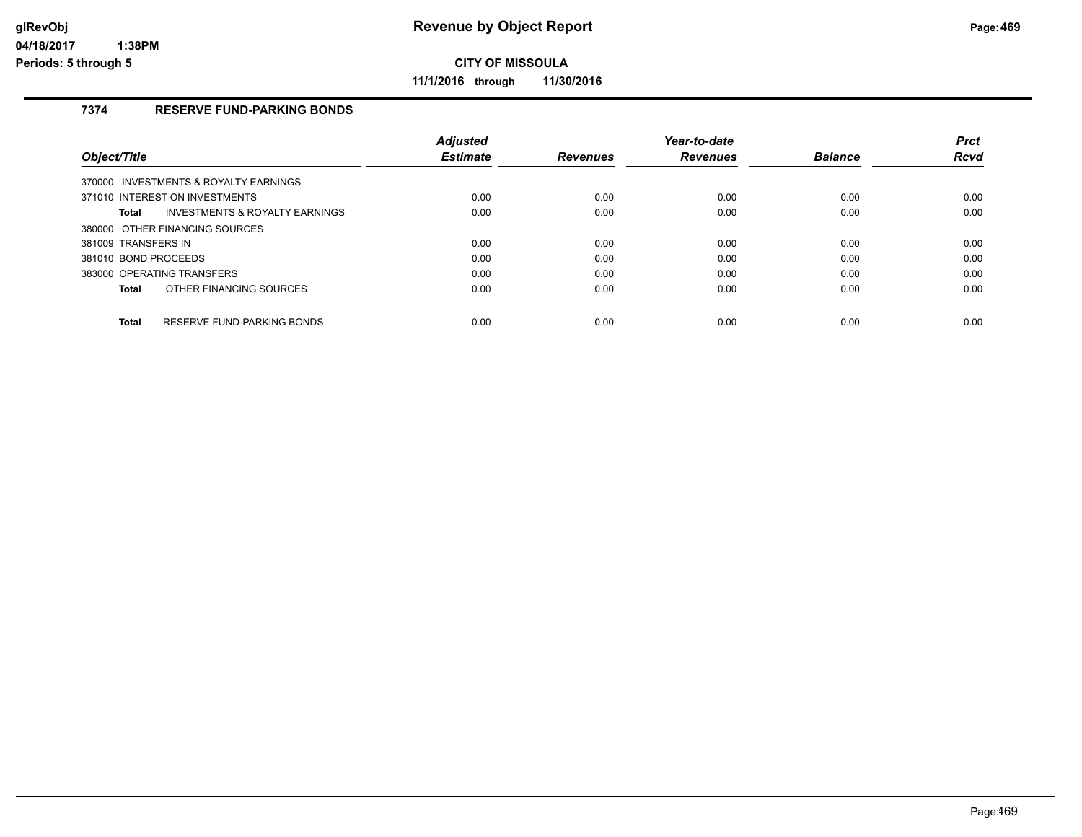**11/1/2016 through 11/30/2016**

#### **7374 RESERVE FUND-PARKING BONDS**

|                                            | <b>Adjusted</b> |                 | Year-to-date    |                | <b>Prct</b> |
|--------------------------------------------|-----------------|-----------------|-----------------|----------------|-------------|
| Object/Title                               | <b>Estimate</b> | <b>Revenues</b> | <b>Revenues</b> | <b>Balance</b> | <b>Rcvd</b> |
| INVESTMENTS & ROYALTY EARNINGS<br>370000   |                 |                 |                 |                |             |
| 371010 INTEREST ON INVESTMENTS             | 0.00            | 0.00            | 0.00            | 0.00           | 0.00        |
| INVESTMENTS & ROYALTY EARNINGS<br>Total    | 0.00            | 0.00            | 0.00            | 0.00           | 0.00        |
| 380000 OTHER FINANCING SOURCES             |                 |                 |                 |                |             |
| 381009 TRANSFERS IN                        | 0.00            | 0.00            | 0.00            | 0.00           | 0.00        |
| 381010 BOND PROCEEDS                       | 0.00            | 0.00            | 0.00            | 0.00           | 0.00        |
| 383000 OPERATING TRANSFERS                 | 0.00            | 0.00            | 0.00            | 0.00           | 0.00        |
| <b>Total</b><br>OTHER FINANCING SOURCES    | 0.00            | 0.00            | 0.00            | 0.00           | 0.00        |
| RESERVE FUND-PARKING BONDS<br><b>Total</b> | 0.00            | 0.00            | 0.00            | 0.00           | 0.00        |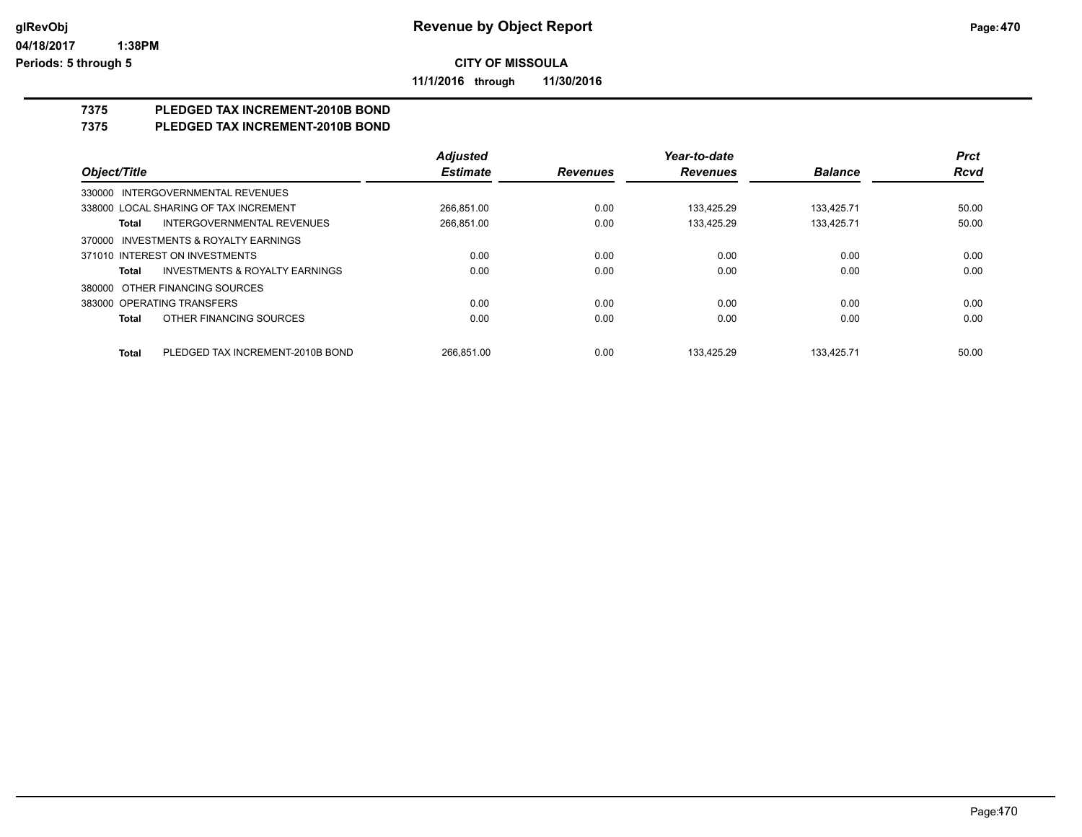**11/1/2016 through 11/30/2016**

#### **7375 PLEDGED TAX INCREMENT-2010B BOND 7375 PLEDGED TAX INCREMENT-2010B BOND**

|                                                  | <b>Adjusted</b> |                 | Year-to-date    |                | <b>Prct</b> |
|--------------------------------------------------|-----------------|-----------------|-----------------|----------------|-------------|
| Object/Title                                     | <b>Estimate</b> | <b>Revenues</b> | <b>Revenues</b> | <b>Balance</b> | <b>Rcvd</b> |
| 330000 INTERGOVERNMENTAL REVENUES                |                 |                 |                 |                |             |
| 338000 LOCAL SHARING OF TAX INCREMENT            | 266.851.00      | 0.00            | 133.425.29      | 133.425.71     | 50.00       |
| INTERGOVERNMENTAL REVENUES<br>Total              | 266,851.00      | 0.00            | 133,425.29      | 133,425.71     | 50.00       |
| 370000 INVESTMENTS & ROYALTY EARNINGS            |                 |                 |                 |                |             |
| 371010 INTEREST ON INVESTMENTS                   | 0.00            | 0.00            | 0.00            | 0.00           | 0.00        |
| INVESTMENTS & ROYALTY EARNINGS<br>Total          | 0.00            | 0.00            | 0.00            | 0.00           | 0.00        |
| 380000 OTHER FINANCING SOURCES                   |                 |                 |                 |                |             |
| 383000 OPERATING TRANSFERS                       | 0.00            | 0.00            | 0.00            | 0.00           | 0.00        |
| OTHER FINANCING SOURCES<br>Total                 | 0.00            | 0.00            | 0.00            | 0.00           | 0.00        |
|                                                  |                 |                 |                 |                |             |
| PLEDGED TAX INCREMENT-2010B BOND<br><b>Total</b> | 266.851.00      | 0.00            | 133.425.29      | 133.425.71     | 50.00       |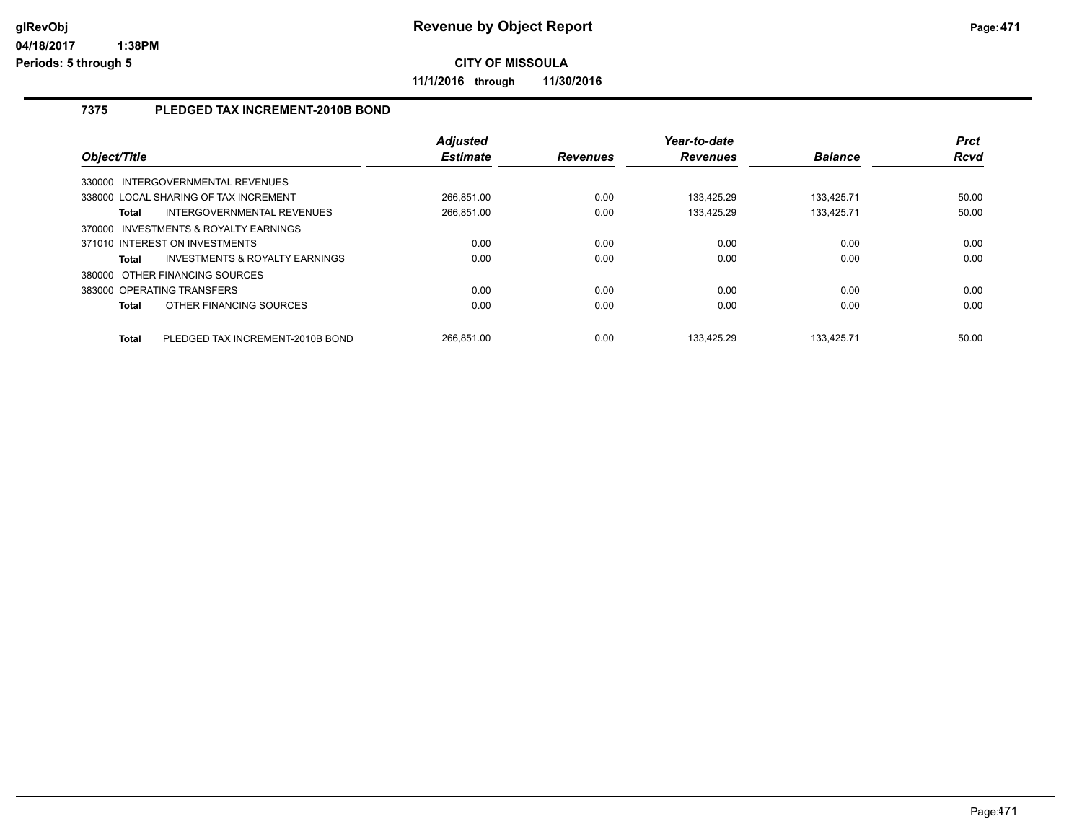**11/1/2016 through 11/30/2016**

#### **7375 PLEDGED TAX INCREMENT-2010B BOND**

| Object/Title                                     | <b>Adjusted</b><br><b>Estimate</b> | <b>Revenues</b> | Year-to-date<br><b>Revenues</b> | <b>Balance</b> | <b>Prct</b><br>Rcvd |
|--------------------------------------------------|------------------------------------|-----------------|---------------------------------|----------------|---------------------|
| 330000 INTERGOVERNMENTAL REVENUES                |                                    |                 |                                 |                |                     |
| 338000 LOCAL SHARING OF TAX INCREMENT            | 266.851.00                         | 0.00            | 133.425.29                      | 133.425.71     | 50.00               |
| INTERGOVERNMENTAL REVENUES<br>Total              | 266,851.00                         | 0.00            | 133.425.29                      | 133.425.71     | 50.00               |
| 370000 INVESTMENTS & ROYALTY EARNINGS            |                                    |                 |                                 |                |                     |
| 371010 INTEREST ON INVESTMENTS                   | 0.00                               | 0.00            | 0.00                            | 0.00           | 0.00                |
| INVESTMENTS & ROYALTY EARNINGS<br>Total          | 0.00                               | 0.00            | 0.00                            | 0.00           | 0.00                |
| 380000 OTHER FINANCING SOURCES                   |                                    |                 |                                 |                |                     |
| 383000 OPERATING TRANSFERS                       | 0.00                               | 0.00            | 0.00                            | 0.00           | 0.00                |
| OTHER FINANCING SOURCES<br>Total                 | 0.00                               | 0.00            | 0.00                            | 0.00           | 0.00                |
| PLEDGED TAX INCREMENT-2010B BOND<br><b>Total</b> | 266.851.00                         | 0.00            | 133.425.29                      | 133.425.71     | 50.00               |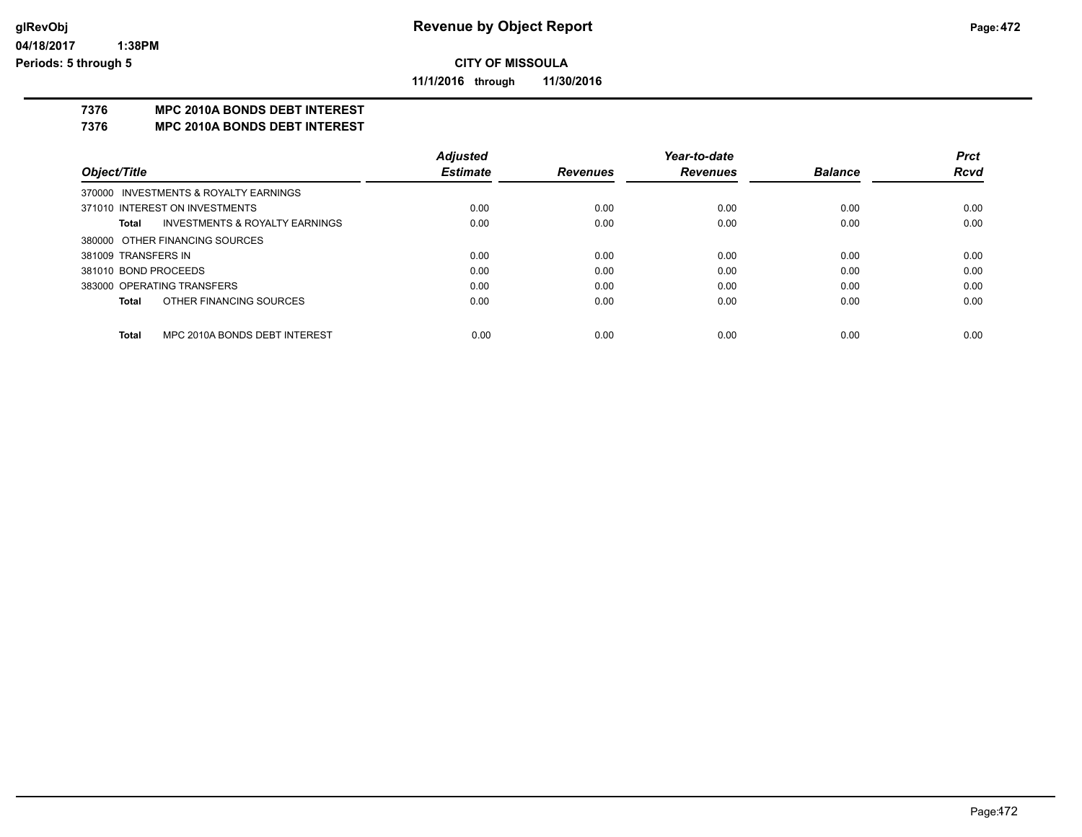**11/1/2016 through 11/30/2016**

#### **7376 MPC 2010A BONDS DEBT INTEREST 7376 MPC 2010A BONDS DEBT INTEREST**

|                                         | <b>Adjusted</b> |                 | Year-to-date    |                | <b>Prct</b> |
|-----------------------------------------|-----------------|-----------------|-----------------|----------------|-------------|
| Object/Title                            | <b>Estimate</b> | <b>Revenues</b> | <b>Revenues</b> | <b>Balance</b> | <b>Rcvd</b> |
| 370000 INVESTMENTS & ROYALTY EARNINGS   |                 |                 |                 |                |             |
| 371010 INTEREST ON INVESTMENTS          | 0.00            | 0.00            | 0.00            | 0.00           | 0.00        |
| INVESTMENTS & ROYALTY EARNINGS<br>Total | 0.00            | 0.00            | 0.00            | 0.00           | 0.00        |
| 380000 OTHER FINANCING SOURCES          |                 |                 |                 |                |             |
| 381009 TRANSFERS IN                     | 0.00            | 0.00            | 0.00            | 0.00           | 0.00        |
| 381010 BOND PROCEEDS                    | 0.00            | 0.00            | 0.00            | 0.00           | 0.00        |
| 383000 OPERATING TRANSFERS              | 0.00            | 0.00            | 0.00            | 0.00           | 0.00        |
| OTHER FINANCING SOURCES<br>Total        | 0.00            | 0.00            | 0.00            | 0.00           | 0.00        |
| MPC 2010A BONDS DEBT INTEREST<br>Total  | 0.00            | 0.00            | 0.00            | 0.00           | 0.00        |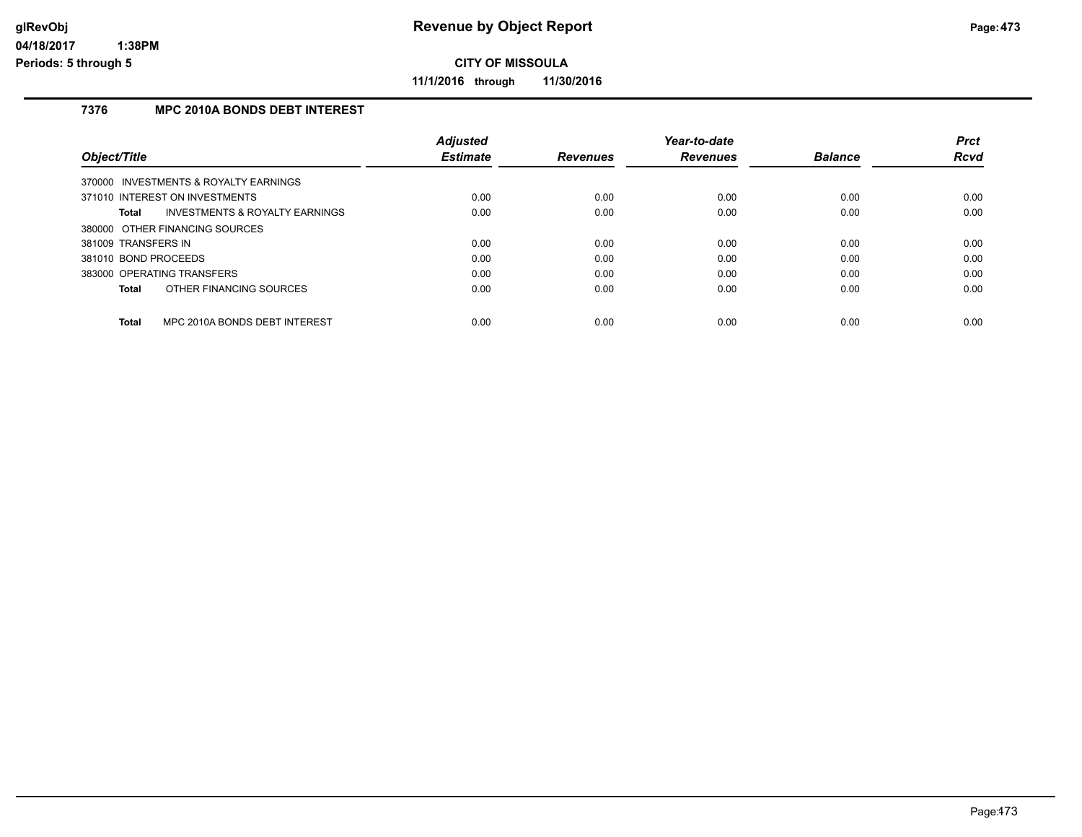**11/1/2016 through 11/30/2016**

#### **7376 MPC 2010A BONDS DEBT INTEREST**

|                                               | <b>Adiusted</b> |                 | Year-to-date    |                | <b>Prct</b> |
|-----------------------------------------------|-----------------|-----------------|-----------------|----------------|-------------|
| Object/Title                                  | <b>Estimate</b> | <b>Revenues</b> | <b>Revenues</b> | <b>Balance</b> | <b>Rcvd</b> |
| 370000 INVESTMENTS & ROYALTY EARNINGS         |                 |                 |                 |                |             |
| 371010 INTEREST ON INVESTMENTS                | 0.00            | 0.00            | 0.00            | 0.00           | 0.00        |
| INVESTMENTS & ROYALTY EARNINGS<br>Total       | 0.00            | 0.00            | 0.00            | 0.00           | 0.00        |
| 380000 OTHER FINANCING SOURCES                |                 |                 |                 |                |             |
| 381009 TRANSFERS IN                           | 0.00            | 0.00            | 0.00            | 0.00           | 0.00        |
| 381010 BOND PROCEEDS                          | 0.00            | 0.00            | 0.00            | 0.00           | 0.00        |
| 383000 OPERATING TRANSFERS                    | 0.00            | 0.00            | 0.00            | 0.00           | 0.00        |
| OTHER FINANCING SOURCES<br><b>Total</b>       | 0.00            | 0.00            | 0.00            | 0.00           | 0.00        |
|                                               |                 |                 |                 |                |             |
| MPC 2010A BONDS DEBT INTEREST<br><b>Total</b> | 0.00            | 0.00            | 0.00            | 0.00           | 0.00        |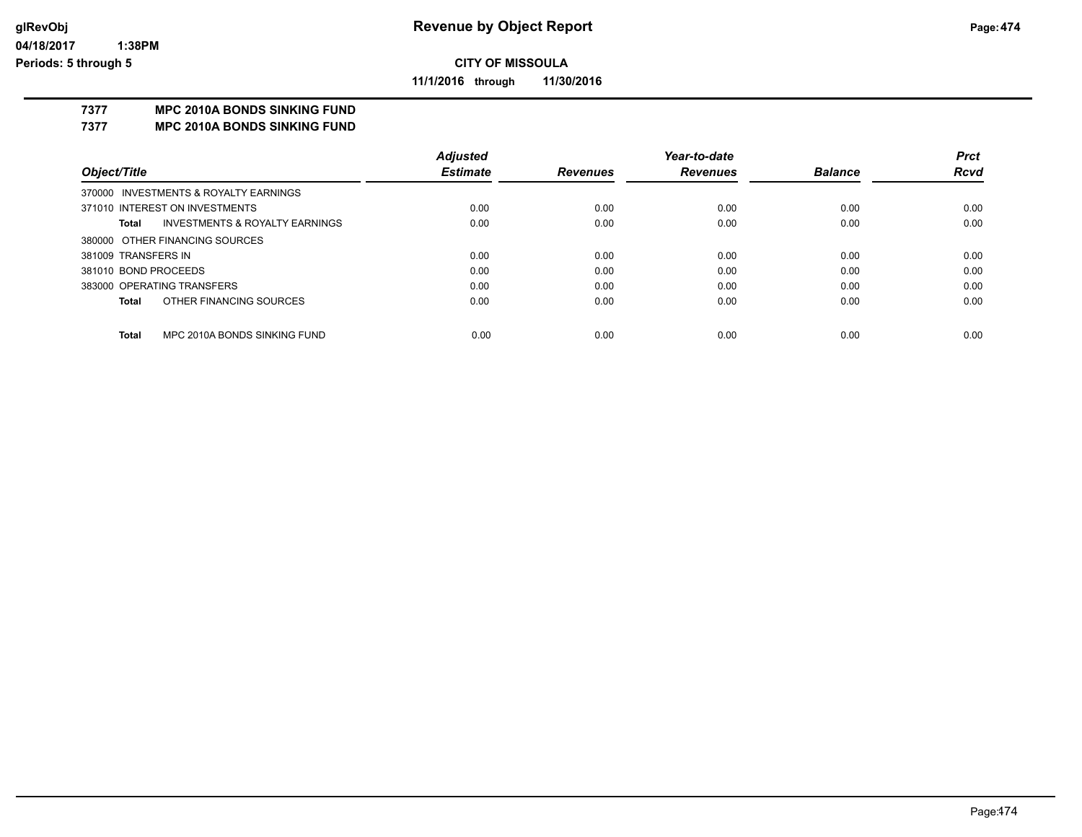**11/1/2016 through 11/30/2016**

**7377 MPC 2010A BONDS SINKING FUND 7377 MPC 2010A BONDS SINKING FUND**

|                                                     | <b>Adjusted</b> |                 | Year-to-date    |                | <b>Prct</b> |
|-----------------------------------------------------|-----------------|-----------------|-----------------|----------------|-------------|
| <i><b>Object/Title</b></i>                          | <b>Estimate</b> | <b>Revenues</b> | <b>Revenues</b> | <b>Balance</b> | <b>Rcvd</b> |
| <b>INVESTMENTS &amp; ROYALTY EARNINGS</b><br>370000 |                 |                 |                 |                |             |
| 371010 INTEREST ON INVESTMENTS                      | 0.00            | 0.00            | 0.00            | 0.00           | 0.00        |
| INVESTMENTS & ROYALTY EARNINGS<br>Total             | 0.00            | 0.00            | 0.00            | 0.00           | 0.00        |
| 380000 OTHER FINANCING SOURCES                      |                 |                 |                 |                |             |
| 381009 TRANSFERS IN                                 | 0.00            | 0.00            | 0.00            | 0.00           | 0.00        |
| 381010 BOND PROCEEDS                                | 0.00            | 0.00            | 0.00            | 0.00           | 0.00        |
| 383000 OPERATING TRANSFERS                          | 0.00            | 0.00            | 0.00            | 0.00           | 0.00        |
| OTHER FINANCING SOURCES<br>Total                    | 0.00            | 0.00            | 0.00            | 0.00           | 0.00        |
| <b>Total</b><br>MPC 2010A BONDS SINKING FUND        | 0.00            | 0.00            | 0.00            | 0.00           | 0.00        |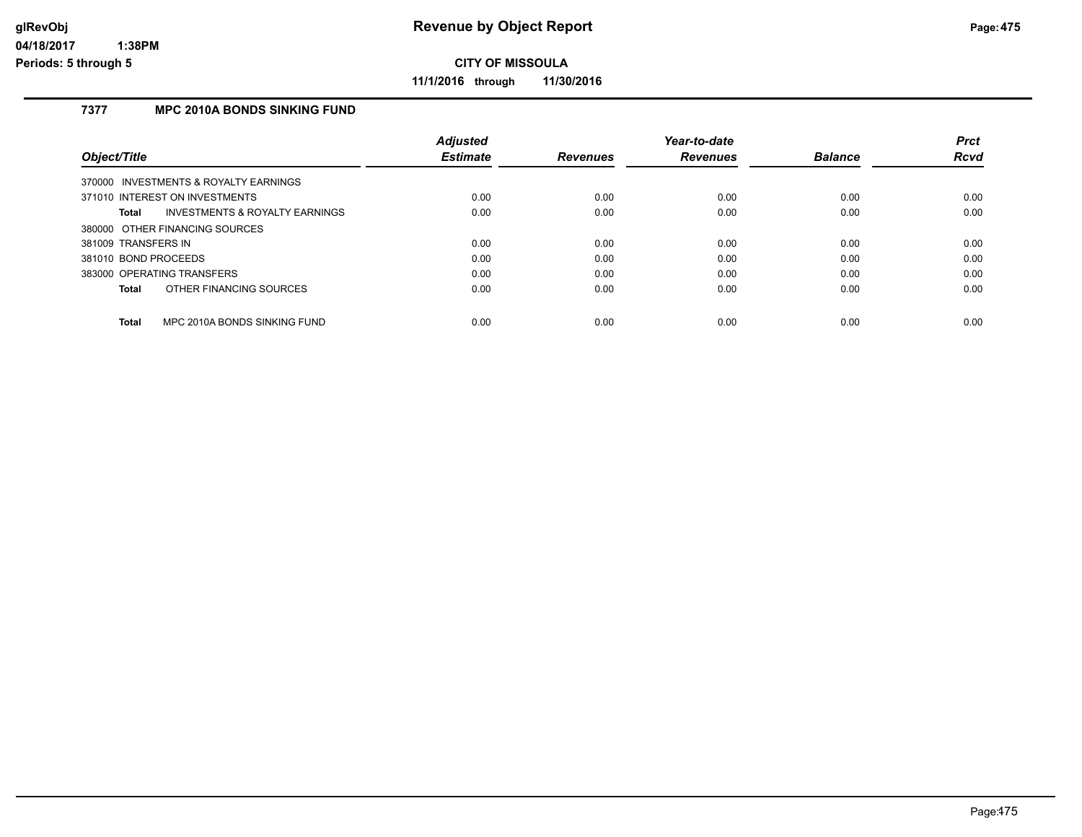**11/1/2016 through 11/30/2016**

#### **7377 MPC 2010A BONDS SINKING FUND**

|                                              | <b>Adjusted</b> |                 | Year-to-date    |                | <b>Prct</b> |
|----------------------------------------------|-----------------|-----------------|-----------------|----------------|-------------|
| Object/Title                                 | <b>Estimate</b> | <b>Revenues</b> | <b>Revenues</b> | <b>Balance</b> | <b>Rcvd</b> |
| INVESTMENTS & ROYALTY EARNINGS<br>370000     |                 |                 |                 |                |             |
| 371010 INTEREST ON INVESTMENTS               | 0.00            | 0.00            | 0.00            | 0.00           | 0.00        |
| INVESTMENTS & ROYALTY EARNINGS<br>Total      | 0.00            | 0.00            | 0.00            | 0.00           | 0.00        |
| 380000 OTHER FINANCING SOURCES               |                 |                 |                 |                |             |
| 381009 TRANSFERS IN                          | 0.00            | 0.00            | 0.00            | 0.00           | 0.00        |
| 381010 BOND PROCEEDS                         | 0.00            | 0.00            | 0.00            | 0.00           | 0.00        |
| 383000 OPERATING TRANSFERS                   | 0.00            | 0.00            | 0.00            | 0.00           | 0.00        |
| <b>Total</b><br>OTHER FINANCING SOURCES      | 0.00            | 0.00            | 0.00            | 0.00           | 0.00        |
| MPC 2010A BONDS SINKING FUND<br><b>Total</b> | 0.00            | 0.00            | 0.00            | 0.00           | 0.00        |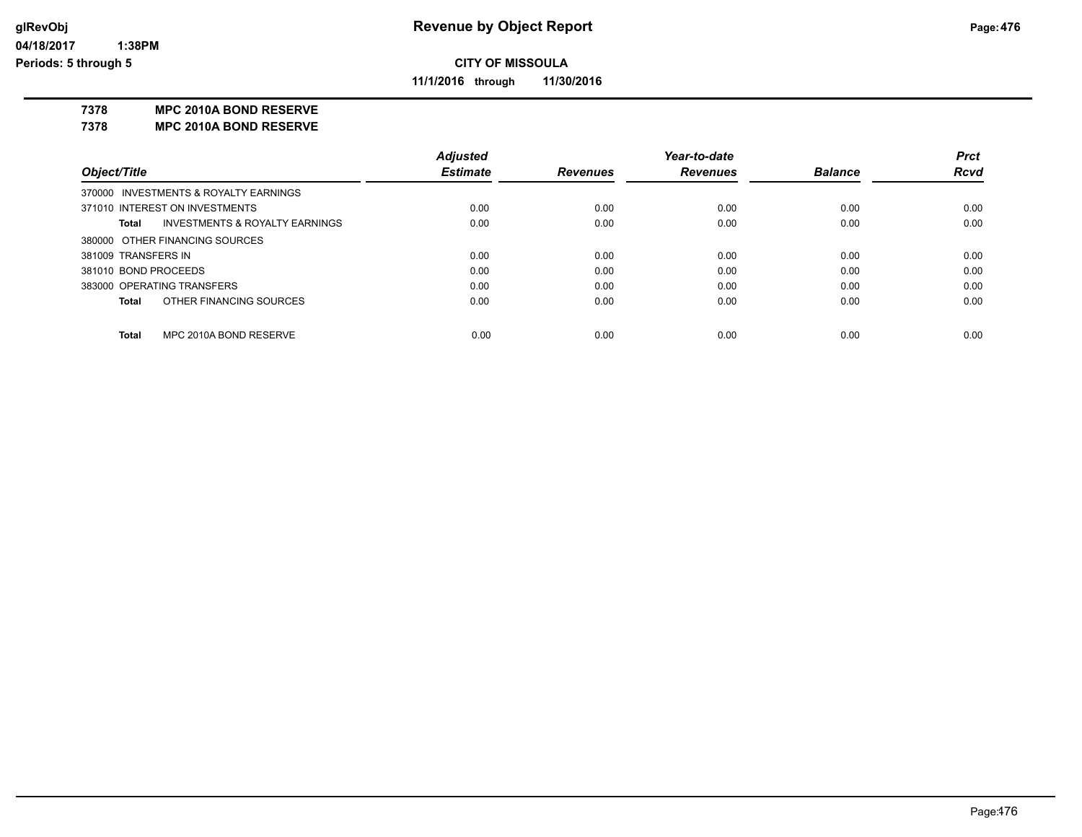# **CITY OF MISSOULA**

**11/1/2016 through 11/30/2016**

**7378 MPC 2010A BOND RESERVE 7378 MPC 2010A BOND RESERVE**

| , , , o             | <b>INFU ZUI UA DUI DI RESERVE</b>         |                 |                 |                 |                |             |
|---------------------|-------------------------------------------|-----------------|-----------------|-----------------|----------------|-------------|
|                     |                                           | <b>Adjusted</b> |                 | Year-to-date    |                | <b>Prct</b> |
| Object/Title        |                                           | <b>Estimate</b> | <b>Revenues</b> | <b>Revenues</b> | <b>Balance</b> | <b>Rcvd</b> |
|                     | 370000 INVESTMENTS & ROYALTY EARNINGS     |                 |                 |                 |                |             |
|                     | 371010 INTEREST ON INVESTMENTS            | 0.00            | 0.00            | 0.00            | 0.00           | 0.00        |
| Total               | <b>INVESTMENTS &amp; ROYALTY EARNINGS</b> | 0.00            | 0.00            | 0.00            | 0.00           | 0.00        |
|                     | 380000 OTHER FINANCING SOURCES            |                 |                 |                 |                |             |
| 381009 TRANSFERS IN |                                           | 0.00            | 0.00            | 0.00            | 0.00           | 0.00        |
|                     | 381010 BOND PROCEEDS                      | 0.00            | 0.00            | 0.00            | 0.00           | 0.00        |
|                     | 383000 OPERATING TRANSFERS                | 0.00            | 0.00            | 0.00            | 0.00           | 0.00        |
| <b>Total</b>        | OTHER FINANCING SOURCES                   | 0.00            | 0.00            | 0.00            | 0.00           | 0.00        |
| <b>Total</b>        | MPC 2010A BOND RESERVE                    | 0.00            | 0.00            | 0.00            | 0.00           | 0.00        |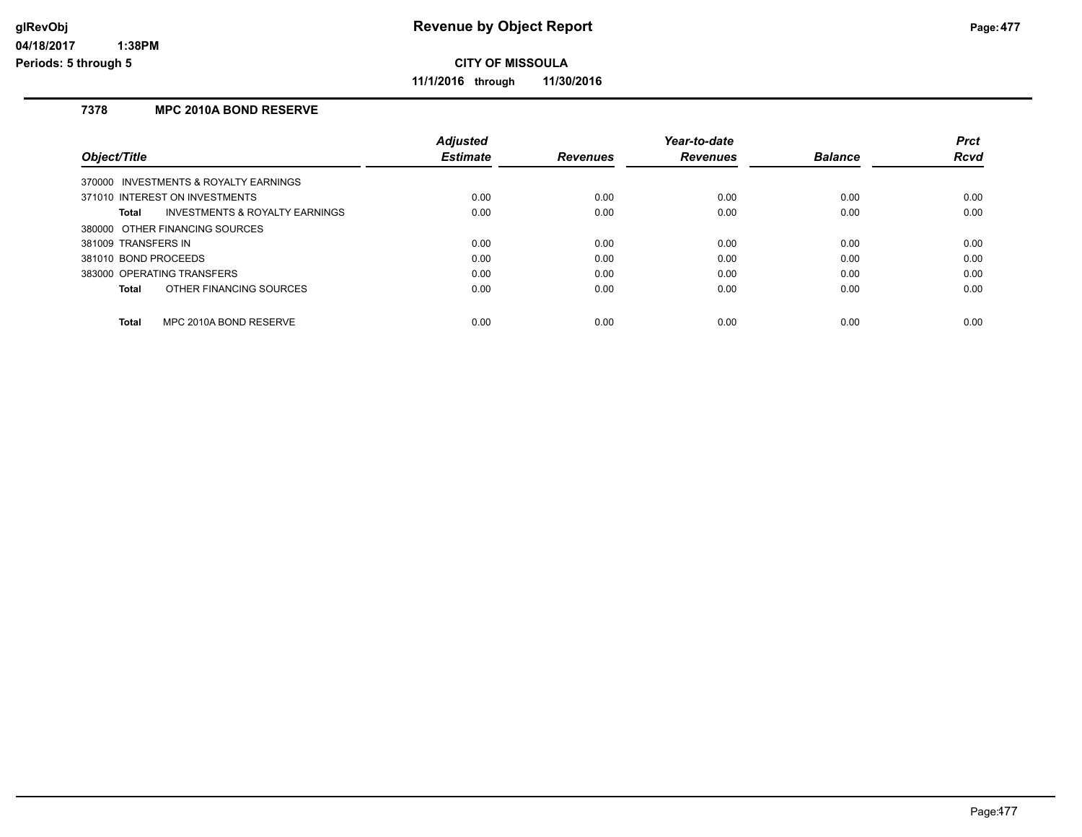**11/1/2016 through 11/30/2016**

#### **7378 MPC 2010A BOND RESERVE**

|                                         | <b>Adiusted</b> |                 | Year-to-date    |                | <b>Prct</b> |
|-----------------------------------------|-----------------|-----------------|-----------------|----------------|-------------|
| Object/Title                            | <b>Estimate</b> | <b>Revenues</b> | <b>Revenues</b> | <b>Balance</b> | <b>Rcvd</b> |
| 370000 INVESTMENTS & ROYALTY EARNINGS   |                 |                 |                 |                |             |
| 371010 INTEREST ON INVESTMENTS          | 0.00            | 0.00            | 0.00            | 0.00           | 0.00        |
| INVESTMENTS & ROYALTY EARNINGS<br>Total | 0.00            | 0.00            | 0.00            | 0.00           | 0.00        |
| 380000 OTHER FINANCING SOURCES          |                 |                 |                 |                |             |
| 381009 TRANSFERS IN                     | 0.00            | 0.00            | 0.00            | 0.00           | 0.00        |
| 381010 BOND PROCEEDS                    | 0.00            | 0.00            | 0.00            | 0.00           | 0.00        |
| 383000 OPERATING TRANSFERS              | 0.00            | 0.00            | 0.00            | 0.00           | 0.00        |
| OTHER FINANCING SOURCES<br>Total        | 0.00            | 0.00            | 0.00            | 0.00           | 0.00        |
| MPC 2010A BOND RESERVE<br>Total         | 0.00            | 0.00            | 0.00            | 0.00           | 0.00        |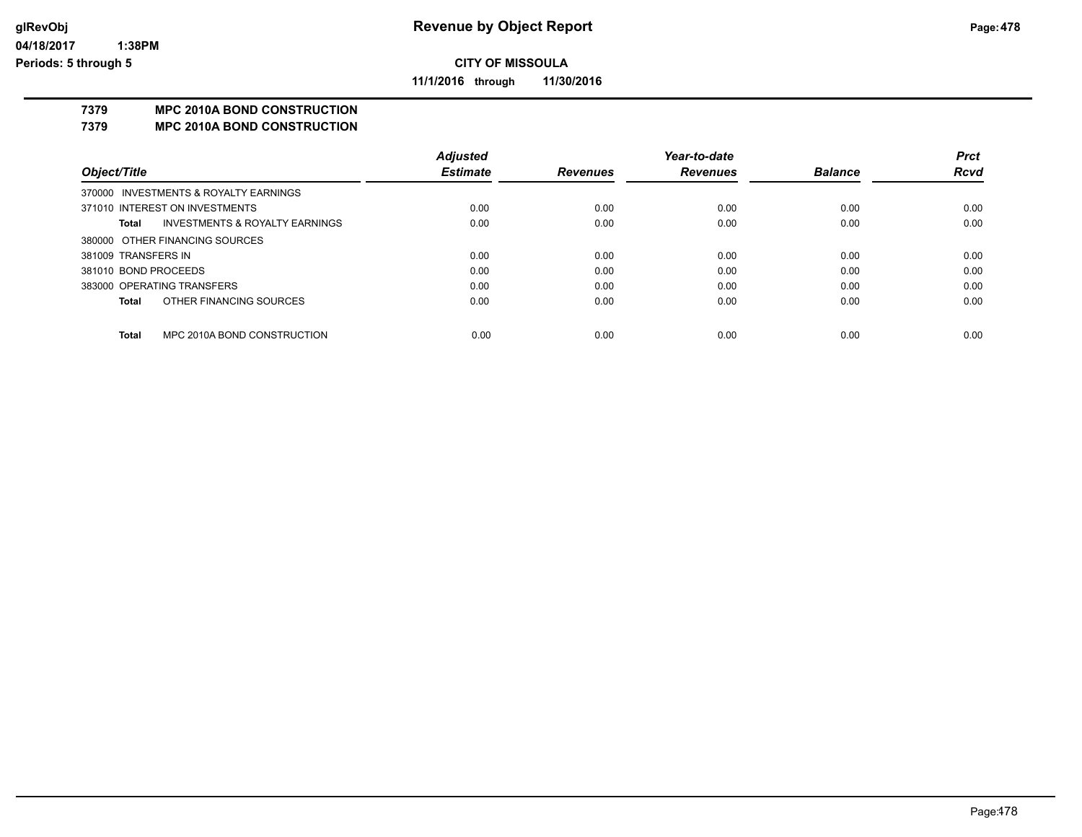**11/1/2016 through 11/30/2016**

# **7379 MPC 2010A BOND CONSTRUCTION**

## **7379 MPC 2010A BOND CONSTRUCTION**

|                                         | <b>Adjusted</b> |                 | Year-to-date    |                | <b>Prct</b> |
|-----------------------------------------|-----------------|-----------------|-----------------|----------------|-------------|
| Object/Title                            | <b>Estimate</b> | <b>Revenues</b> | <b>Revenues</b> | <b>Balance</b> | <b>Rcvd</b> |
| 370000 INVESTMENTS & ROYALTY EARNINGS   |                 |                 |                 |                |             |
| 371010 INTEREST ON INVESTMENTS          | 0.00            | 0.00            | 0.00            | 0.00           | 0.00        |
| INVESTMENTS & ROYALTY EARNINGS<br>Total | 0.00            | 0.00            | 0.00            | 0.00           | 0.00        |
| 380000 OTHER FINANCING SOURCES          |                 |                 |                 |                |             |
| 381009 TRANSFERS IN                     | 0.00            | 0.00            | 0.00            | 0.00           | 0.00        |
| 381010 BOND PROCEEDS                    | 0.00            | 0.00            | 0.00            | 0.00           | 0.00        |
| 383000 OPERATING TRANSFERS              | 0.00            | 0.00            | 0.00            | 0.00           | 0.00        |
| OTHER FINANCING SOURCES<br>Total        | 0.00            | 0.00            | 0.00            | 0.00           | 0.00        |
| MPC 2010A BOND CONSTRUCTION<br>Total    | 0.00            | 0.00            | 0.00            | 0.00           | 0.00        |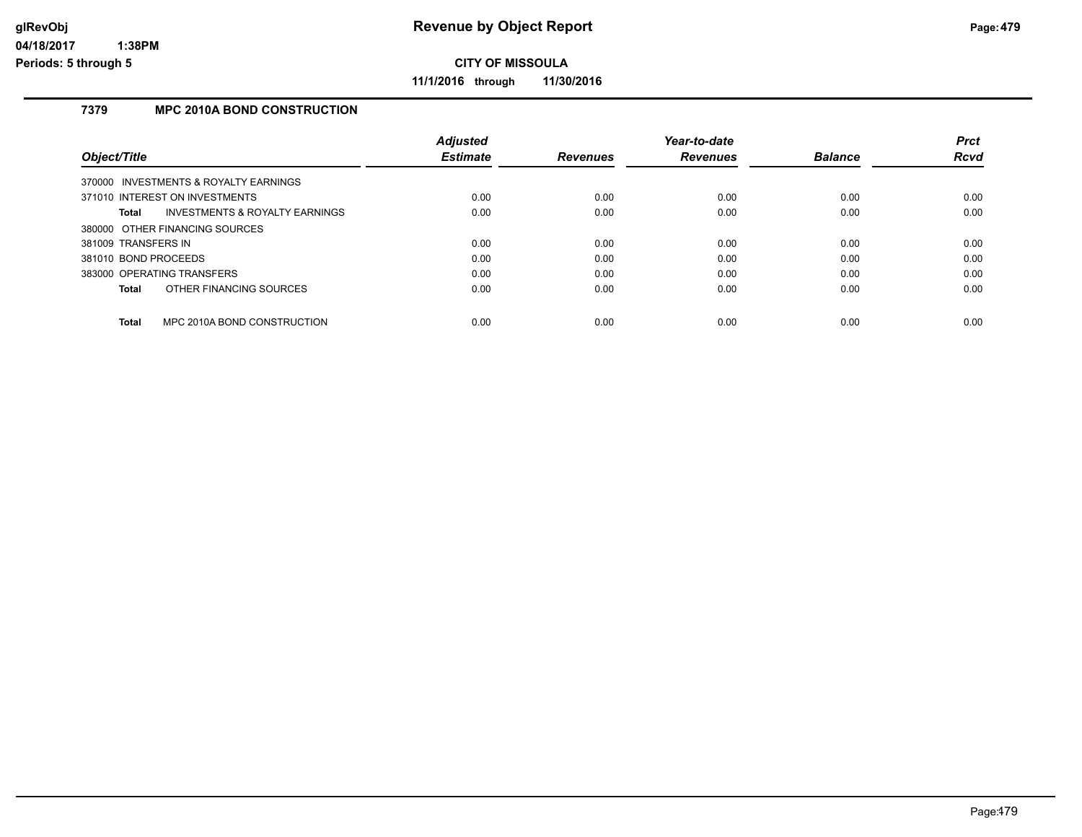**11/1/2016 through 11/30/2016**

#### **7379 MPC 2010A BOND CONSTRUCTION**

|                                             | <b>Adiusted</b> |                 | Year-to-date    |                | <b>Prct</b> |
|---------------------------------------------|-----------------|-----------------|-----------------|----------------|-------------|
| Object/Title                                | <b>Estimate</b> | <b>Revenues</b> | <b>Revenues</b> | <b>Balance</b> | <b>Rcvd</b> |
| 370000 INVESTMENTS & ROYALTY EARNINGS       |                 |                 |                 |                |             |
| 371010 INTEREST ON INVESTMENTS              | 0.00            | 0.00            | 0.00            | 0.00           | 0.00        |
| INVESTMENTS & ROYALTY EARNINGS<br>Total     | 0.00            | 0.00            | 0.00            | 0.00           | 0.00        |
| 380000 OTHER FINANCING SOURCES              |                 |                 |                 |                |             |
| 381009 TRANSFERS IN                         | 0.00            | 0.00            | 0.00            | 0.00           | 0.00        |
| 381010 BOND PROCEEDS                        | 0.00            | 0.00            | 0.00            | 0.00           | 0.00        |
| 383000 OPERATING TRANSFERS                  | 0.00            | 0.00            | 0.00            | 0.00           | 0.00        |
| <b>Total</b><br>OTHER FINANCING SOURCES     | 0.00            | 0.00            | 0.00            | 0.00           | 0.00        |
| MPC 2010A BOND CONSTRUCTION<br><b>Total</b> | 0.00            | 0.00            | 0.00            | 0.00           | 0.00        |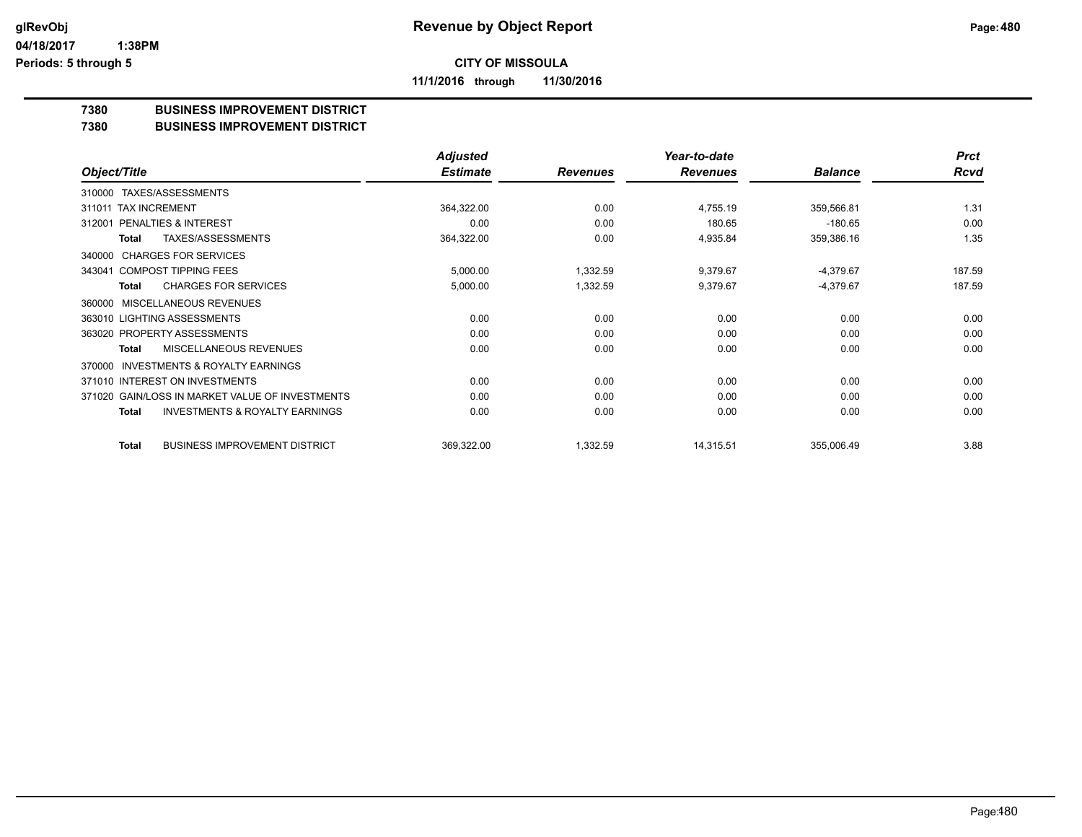**11/1/2016 through 11/30/2016**

# **7380 BUSINESS IMPROVEMENT DISTRICT**

### **7380 BUSINESS IMPROVEMENT DISTRICT**

|                                                           | <b>Adjusted</b> |                 | Year-to-date    |                | <b>Prct</b> |
|-----------------------------------------------------------|-----------------|-----------------|-----------------|----------------|-------------|
| Object/Title                                              | <b>Estimate</b> | <b>Revenues</b> | <b>Revenues</b> | <b>Balance</b> | <b>Rcvd</b> |
| TAXES/ASSESSMENTS<br>310000                               |                 |                 |                 |                |             |
| <b>TAX INCREMENT</b><br>311011                            | 364,322.00      | 0.00            | 4,755.19        | 359,566.81     | 1.31        |
| <b>PENALTIES &amp; INTEREST</b><br>312001                 | 0.00            | 0.00            | 180.65          | $-180.65$      | 0.00        |
| TAXES/ASSESSMENTS<br><b>Total</b>                         | 364,322.00      | 0.00            | 4,935.84        | 359,386.16     | 1.35        |
| <b>CHARGES FOR SERVICES</b><br>340000                     |                 |                 |                 |                |             |
| <b>COMPOST TIPPING FEES</b><br>343041                     | 5,000.00        | 1,332.59        | 9,379.67        | $-4,379.67$    | 187.59      |
| <b>CHARGES FOR SERVICES</b><br><b>Total</b>               | 5,000.00        | 1,332.59        | 9,379.67        | $-4,379.67$    | 187.59      |
| <b>MISCELLANEOUS REVENUES</b><br>360000                   |                 |                 |                 |                |             |
| 363010 LIGHTING ASSESSMENTS                               | 0.00            | 0.00            | 0.00            | 0.00           | 0.00        |
| 363020 PROPERTY ASSESSMENTS                               | 0.00            | 0.00            | 0.00            | 0.00           | 0.00        |
| MISCELLANEOUS REVENUES<br><b>Total</b>                    | 0.00            | 0.00            | 0.00            | 0.00           | 0.00        |
| <b>INVESTMENTS &amp; ROYALTY EARNINGS</b><br>370000       |                 |                 |                 |                |             |
| 371010 INTEREST ON INVESTMENTS                            | 0.00            | 0.00            | 0.00            | 0.00           | 0.00        |
| 371020 GAIN/LOSS IN MARKET VALUE OF INVESTMENTS           | 0.00            | 0.00            | 0.00            | 0.00           | 0.00        |
| <b>INVESTMENTS &amp; ROYALTY EARNINGS</b><br><b>Total</b> | 0.00            | 0.00            | 0.00            | 0.00           | 0.00        |
| <b>BUSINESS IMPROVEMENT DISTRICT</b><br>Total             | 369,322.00      | 1,332.59        | 14,315.51       | 355,006.49     | 3.88        |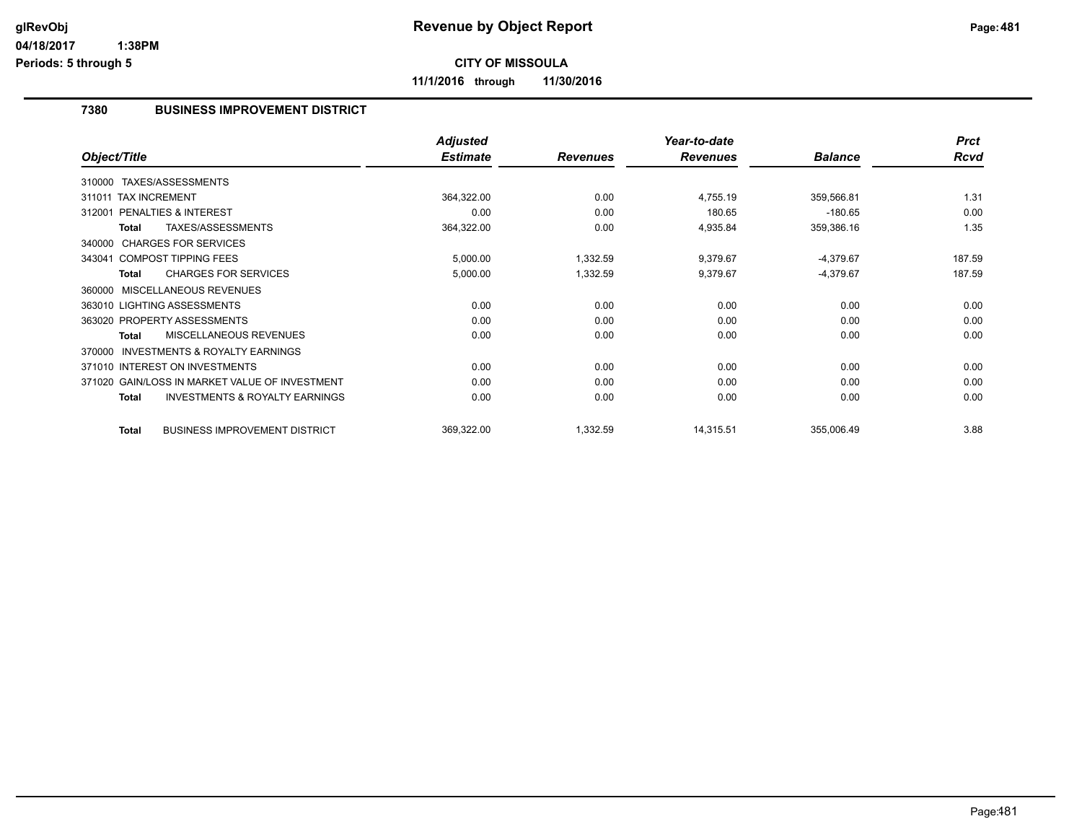**11/1/2016 through 11/30/2016**

#### **7380 BUSINESS IMPROVEMENT DISTRICT**

|                                                      | <b>Adjusted</b> |                 | Year-to-date    |                | <b>Prct</b> |
|------------------------------------------------------|-----------------|-----------------|-----------------|----------------|-------------|
| Object/Title                                         | <b>Estimate</b> | <b>Revenues</b> | <b>Revenues</b> | <b>Balance</b> | <b>Rcvd</b> |
| 310000 TAXES/ASSESSMENTS                             |                 |                 |                 |                |             |
| <b>TAX INCREMENT</b><br>311011                       | 364,322.00      | 0.00            | 4,755.19        | 359,566.81     | 1.31        |
| <b>PENALTIES &amp; INTEREST</b><br>312001            | 0.00            | 0.00            | 180.65          | $-180.65$      | 0.00        |
| TAXES/ASSESSMENTS<br>Total                           | 364,322.00      | 0.00            | 4,935.84        | 359,386.16     | 1.35        |
| 340000 CHARGES FOR SERVICES                          |                 |                 |                 |                |             |
| <b>COMPOST TIPPING FEES</b><br>343041                | 5,000.00        | 1,332.59        | 9,379.67        | $-4,379.67$    | 187.59      |
| <b>CHARGES FOR SERVICES</b><br>Total                 | 5,000.00        | 1,332.59        | 9,379.67        | $-4,379.67$    | 187.59      |
| MISCELLANEOUS REVENUES<br>360000                     |                 |                 |                 |                |             |
| 363010 LIGHTING ASSESSMENTS                          | 0.00            | 0.00            | 0.00            | 0.00           | 0.00        |
| 363020 PROPERTY ASSESSMENTS                          | 0.00            | 0.00            | 0.00            | 0.00           | 0.00        |
| MISCELLANEOUS REVENUES<br>Total                      | 0.00            | 0.00            | 0.00            | 0.00           | 0.00        |
| <b>INVESTMENTS &amp; ROYALTY EARNINGS</b><br>370000  |                 |                 |                 |                |             |
| 371010 INTEREST ON INVESTMENTS                       | 0.00            | 0.00            | 0.00            | 0.00           | 0.00        |
| 371020 GAIN/LOSS IN MARKET VALUE OF INVESTMENT       | 0.00            | 0.00            | 0.00            | 0.00           | 0.00        |
| <b>INVESTMENTS &amp; ROYALTY EARNINGS</b><br>Total   | 0.00            | 0.00            | 0.00            | 0.00           | 0.00        |
| <b>BUSINESS IMPROVEMENT DISTRICT</b><br><b>Total</b> | 369,322.00      | 1,332.59        | 14,315.51       | 355,006.49     | 3.88        |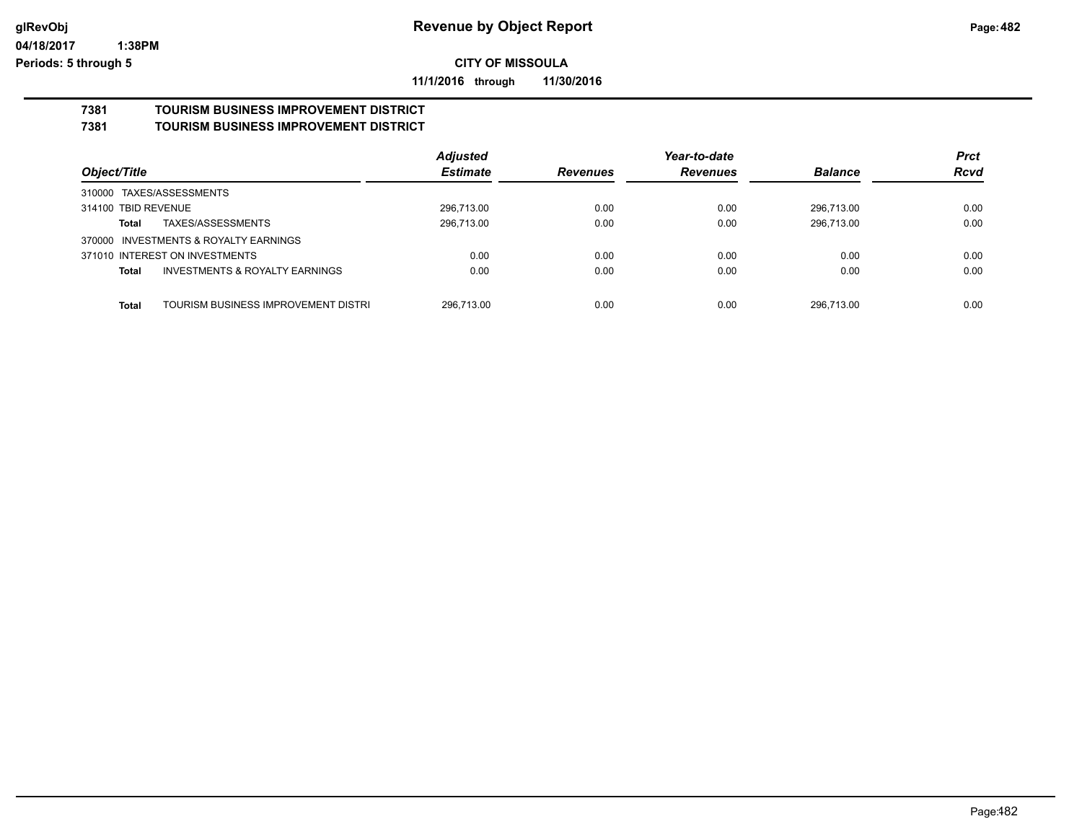**11/1/2016 through 11/30/2016**

#### **7381 TOURISM BUSINESS IMPROVEMENT DISTRICT 7381 TOURISM BUSINESS IMPROVEMENT DISTRICT**

|                                                    | <b>Adjusted</b> |                 | Year-to-date    | <b>Prct</b>    |             |
|----------------------------------------------------|-----------------|-----------------|-----------------|----------------|-------------|
| Object/Title                                       | <b>Estimate</b> | <b>Revenues</b> | <b>Revenues</b> | <b>Balance</b> | <b>Rcvd</b> |
| 310000 TAXES/ASSESSMENTS                           |                 |                 |                 |                |             |
| 314100 TBID REVENUE                                | 296,713.00      | 0.00            | 0.00            | 296.713.00     | 0.00        |
| TAXES/ASSESSMENTS<br>Total                         | 296,713.00      | 0.00            | 0.00            | 296,713.00     | 0.00        |
| 370000 INVESTMENTS & ROYALTY EARNINGS              |                 |                 |                 |                |             |
| 371010 INTEREST ON INVESTMENTS                     | 0.00            | 0.00            | 0.00            | 0.00           | 0.00        |
| <b>INVESTMENTS &amp; ROYALTY EARNINGS</b><br>Total | 0.00            | 0.00            | 0.00            | 0.00           | 0.00        |
| TOURISM BUSINESS IMPROVEMENT DISTRI<br>Total       | 296.713.00      | 0.00            | 0.00            | 296.713.00     | 0.00        |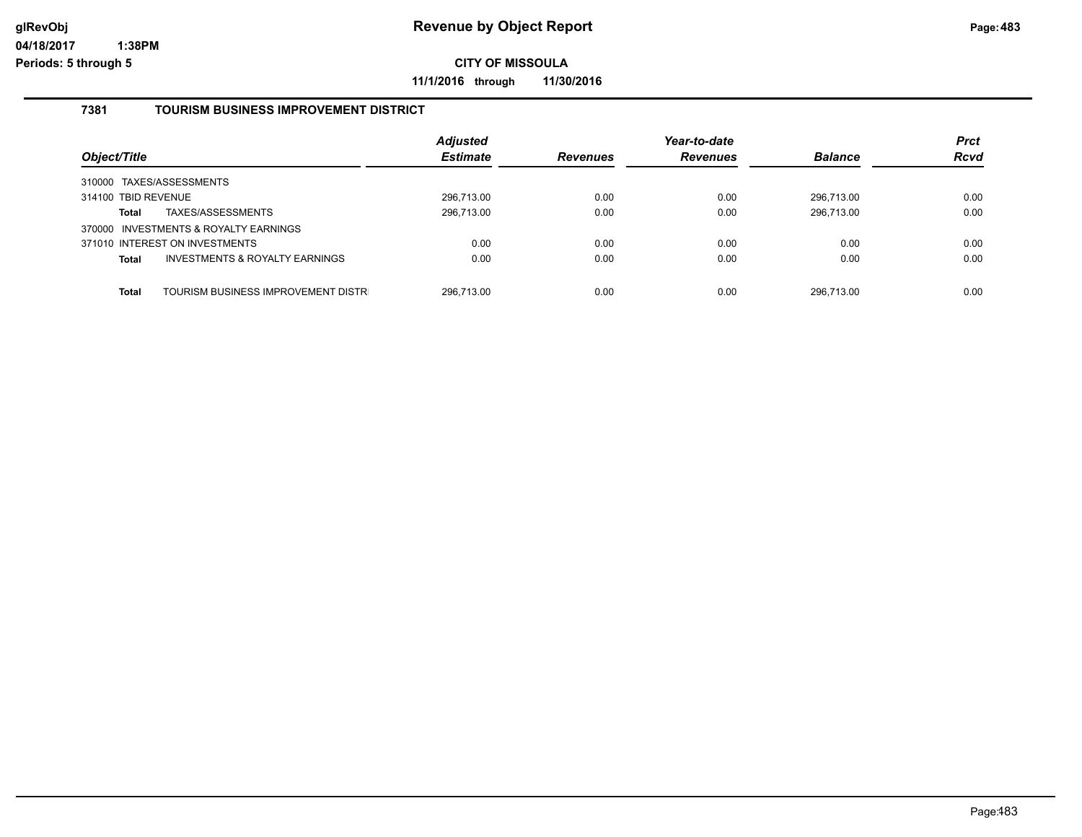**11/1/2016 through 11/30/2016**

#### **7381 TOURISM BUSINESS IMPROVEMENT DISTRICT**

| Object/Title                   |                                           | <b>Adjusted</b><br><b>Estimate</b> | <b>Revenues</b> | Year-to-date<br><b>Revenues</b> | <b>Balance</b> | <b>Prct</b><br><b>Rcvd</b> |
|--------------------------------|-------------------------------------------|------------------------------------|-----------------|---------------------------------|----------------|----------------------------|
|                                |                                           |                                    |                 |                                 |                |                            |
| 310000 TAXES/ASSESSMENTS       |                                           |                                    |                 |                                 |                |                            |
| 314100 TBID REVENUE            |                                           | 296,713.00                         | 0.00            | 0.00                            | 296,713.00     | 0.00                       |
| Total                          | TAXES/ASSESSMENTS                         | 296,713.00                         | 0.00            | 0.00                            | 296.713.00     | 0.00                       |
|                                | 370000 INVESTMENTS & ROYALTY EARNINGS     |                                    |                 |                                 |                |                            |
| 371010 INTEREST ON INVESTMENTS |                                           | 0.00                               | 0.00            | 0.00                            | 0.00           | 0.00                       |
| Total                          | <b>INVESTMENTS &amp; ROYALTY EARNINGS</b> | 0.00                               | 0.00            | 0.00                            | 0.00           | 0.00                       |
|                                |                                           |                                    |                 |                                 |                |                            |
| <b>Total</b>                   | TOURISM BUSINESS IMPROVEMENT DISTR        | 296.713.00                         | 0.00            | 0.00                            | 296.713.00     | 0.00                       |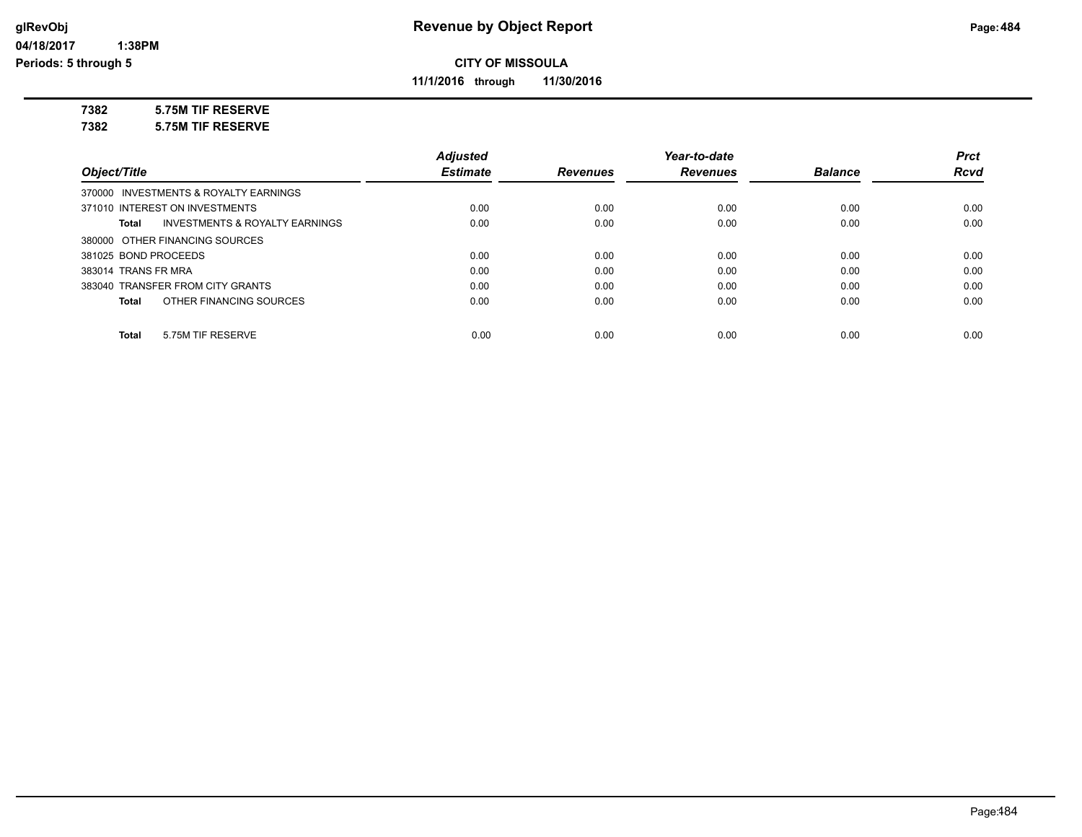**11/1/2016 through 11/30/2016**

**7382 5.75M TIF RESERVE 7382 5.75M TIF RESERVE**

|                                         | <b>Adjusted</b> |                 | Year-to-date    |                | <b>Prct</b> |
|-----------------------------------------|-----------------|-----------------|-----------------|----------------|-------------|
| Object/Title                            | <b>Estimate</b> | <b>Revenues</b> | <b>Revenues</b> | <b>Balance</b> | <b>Rcvd</b> |
| 370000 INVESTMENTS & ROYALTY EARNINGS   |                 |                 |                 |                |             |
| 371010 INTEREST ON INVESTMENTS          | 0.00            | 0.00            | 0.00            | 0.00           | 0.00        |
| INVESTMENTS & ROYALTY EARNINGS<br>Total | 0.00            | 0.00            | 0.00            | 0.00           | 0.00        |
| 380000 OTHER FINANCING SOURCES          |                 |                 |                 |                |             |
| 381025 BOND PROCEEDS                    | 0.00            | 0.00            | 0.00            | 0.00           | 0.00        |
| 383014 TRANS FR MRA                     | 0.00            | 0.00            | 0.00            | 0.00           | 0.00        |
| 383040 TRANSFER FROM CITY GRANTS        | 0.00            | 0.00            | 0.00            | 0.00           | 0.00        |
| OTHER FINANCING SOURCES<br>Total        | 0.00            | 0.00            | 0.00            | 0.00           | 0.00        |
|                                         |                 |                 |                 |                |             |
| 5.75M TIF RESERVE<br><b>Total</b>       | 0.00            | 0.00            | 0.00            | 0.00           | 0.00        |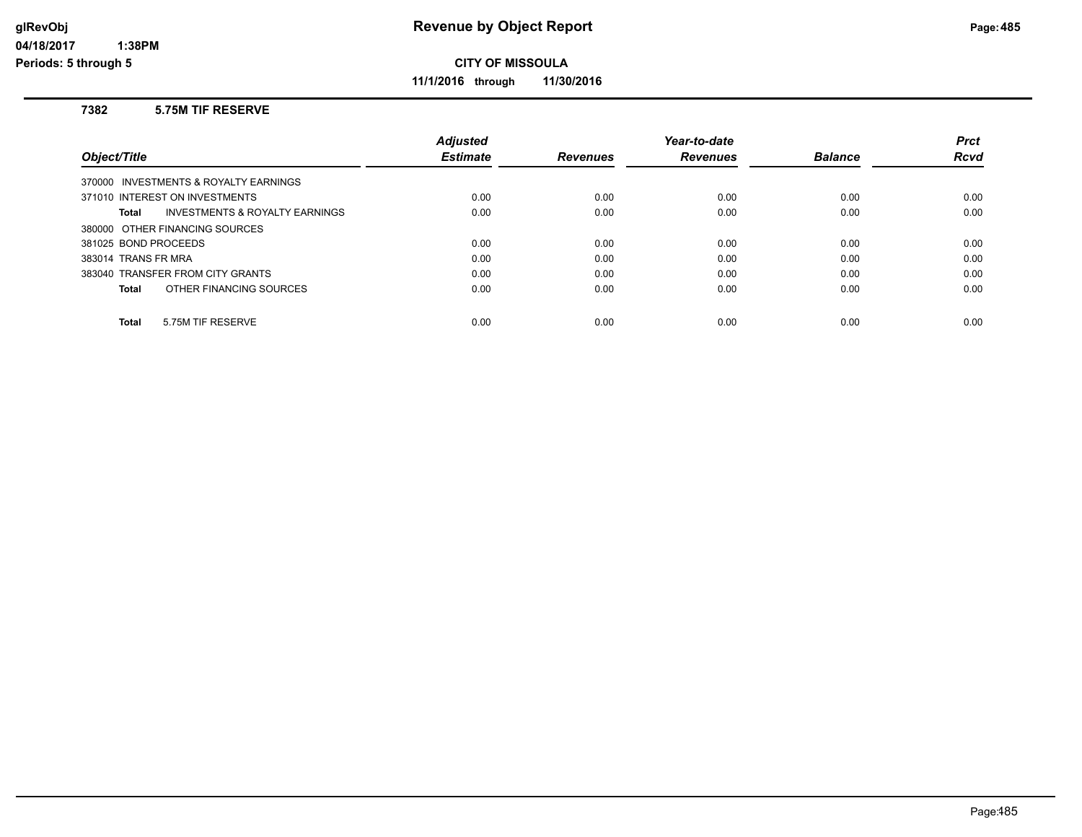**11/1/2016 through 11/30/2016**

#### **7382 5.75M TIF RESERVE**

|                                         | <b>Adiusted</b> |                 | Year-to-date    |                | <b>Prct</b> |
|-----------------------------------------|-----------------|-----------------|-----------------|----------------|-------------|
| Object/Title                            | <b>Estimate</b> | <b>Revenues</b> | <b>Revenues</b> | <b>Balance</b> | <b>Rcvd</b> |
| 370000 INVESTMENTS & ROYALTY EARNINGS   |                 |                 |                 |                |             |
| 371010 INTEREST ON INVESTMENTS          | 0.00            | 0.00            | 0.00            | 0.00           | 0.00        |
| INVESTMENTS & ROYALTY EARNINGS<br>Total | 0.00            | 0.00            | 0.00            | 0.00           | 0.00        |
| 380000 OTHER FINANCING SOURCES          |                 |                 |                 |                |             |
| 381025 BOND PROCEEDS                    | 0.00            | 0.00            | 0.00            | 0.00           | 0.00        |
| 383014 TRANS FR MRA                     | 0.00            | 0.00            | 0.00            | 0.00           | 0.00        |
| 383040 TRANSFER FROM CITY GRANTS        | 0.00            | 0.00            | 0.00            | 0.00           | 0.00        |
| OTHER FINANCING SOURCES<br><b>Total</b> | 0.00            | 0.00            | 0.00            | 0.00           | 0.00        |
|                                         |                 |                 |                 |                |             |
| 5.75M TIF RESERVE<br><b>Total</b>       | 0.00            | 0.00            | 0.00            | 0.00           | 0.00        |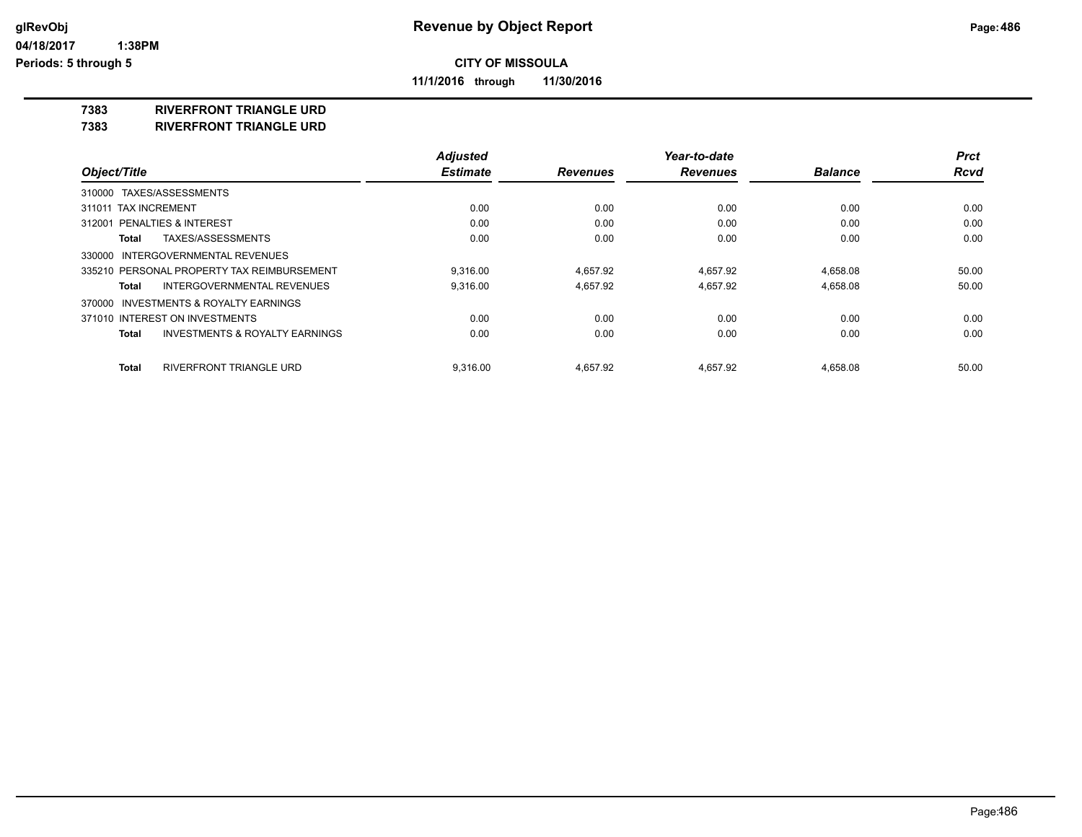**11/1/2016 through 11/30/2016**

**7383 RIVERFRONT TRIANGLE URD**

**7383 RIVERFRONT TRIANGLE URD**

|                                                    | <b>Adjusted</b> |                 | Year-to-date    |                | <b>Prct</b> |
|----------------------------------------------------|-----------------|-----------------|-----------------|----------------|-------------|
| Object/Title                                       | <b>Estimate</b> | <b>Revenues</b> | <b>Revenues</b> | <b>Balance</b> | <b>Rcvd</b> |
| 310000 TAXES/ASSESSMENTS                           |                 |                 |                 |                |             |
| 311011 TAX INCREMENT                               | 0.00            | 0.00            | 0.00            | 0.00           | 0.00        |
| 312001 PENALTIES & INTEREST                        | 0.00            | 0.00            | 0.00            | 0.00           | 0.00        |
| TAXES/ASSESSMENTS<br>Total                         | 0.00            | 0.00            | 0.00            | 0.00           | 0.00        |
| 330000 INTERGOVERNMENTAL REVENUES                  |                 |                 |                 |                |             |
| 335210 PERSONAL PROPERTY TAX REIMBURSEMENT         | 9.316.00        | 4,657.92        | 4,657.92        | 4,658.08       | 50.00       |
| <b>INTERGOVERNMENTAL REVENUES</b><br>Total         | 9.316.00        | 4,657.92        | 4,657.92        | 4,658.08       | 50.00       |
| 370000 INVESTMENTS & ROYALTY EARNINGS              |                 |                 |                 |                |             |
| 371010 INTEREST ON INVESTMENTS                     | 0.00            | 0.00            | 0.00            | 0.00           | 0.00        |
| <b>INVESTMENTS &amp; ROYALTY EARNINGS</b><br>Total | 0.00            | 0.00            | 0.00            | 0.00           | 0.00        |
| <b>RIVERFRONT TRIANGLE URD</b><br>Total            | 9.316.00        | 4,657.92        | 4,657.92        | 4,658.08       | 50.00       |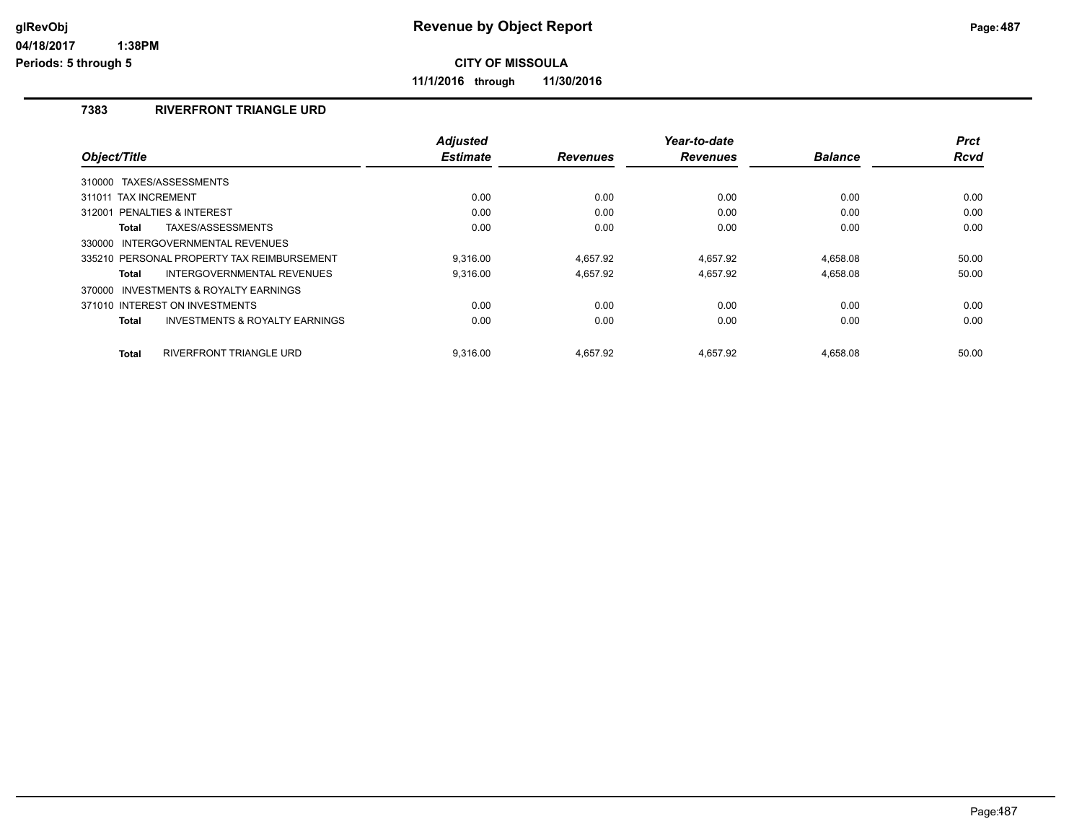**11/1/2016 through 11/30/2016**

#### **7383 RIVERFRONT TRIANGLE URD**

|                                                           | <b>Adjusted</b> |                 | Year-to-date    |                | <b>Prct</b> |
|-----------------------------------------------------------|-----------------|-----------------|-----------------|----------------|-------------|
| Object/Title                                              | <b>Estimate</b> | <b>Revenues</b> | <b>Revenues</b> | <b>Balance</b> | <b>Rcvd</b> |
| TAXES/ASSESSMENTS<br>310000                               |                 |                 |                 |                |             |
| 311011 TAX INCREMENT                                      | 0.00            | 0.00            | 0.00            | 0.00           | 0.00        |
| 312001 PENALTIES & INTEREST                               | 0.00            | 0.00            | 0.00            | 0.00           | 0.00        |
| TAXES/ASSESSMENTS<br><b>Total</b>                         | 0.00            | 0.00            | 0.00            | 0.00           | 0.00        |
| INTERGOVERNMENTAL REVENUES<br>330000                      |                 |                 |                 |                |             |
| 335210 PERSONAL PROPERTY TAX REIMBURSEMENT                | 9.316.00        | 4.657.92        | 4.657.92        | 4,658.08       | 50.00       |
| INTERGOVERNMENTAL REVENUES<br><b>Total</b>                | 9,316.00        | 4,657.92        | 4,657.92        | 4,658.08       | 50.00       |
| 370000 INVESTMENTS & ROYALTY EARNINGS                     |                 |                 |                 |                |             |
| 371010 INTEREST ON INVESTMENTS                            | 0.00            | 0.00            | 0.00            | 0.00           | 0.00        |
| <b>INVESTMENTS &amp; ROYALTY EARNINGS</b><br><b>Total</b> | 0.00            | 0.00            | 0.00            | 0.00           | 0.00        |
| RIVERFRONT TRIANGLE URD<br><b>Total</b>                   | 9,316.00        | 4.657.92        | 4,657.92        | 4,658.08       | 50.00       |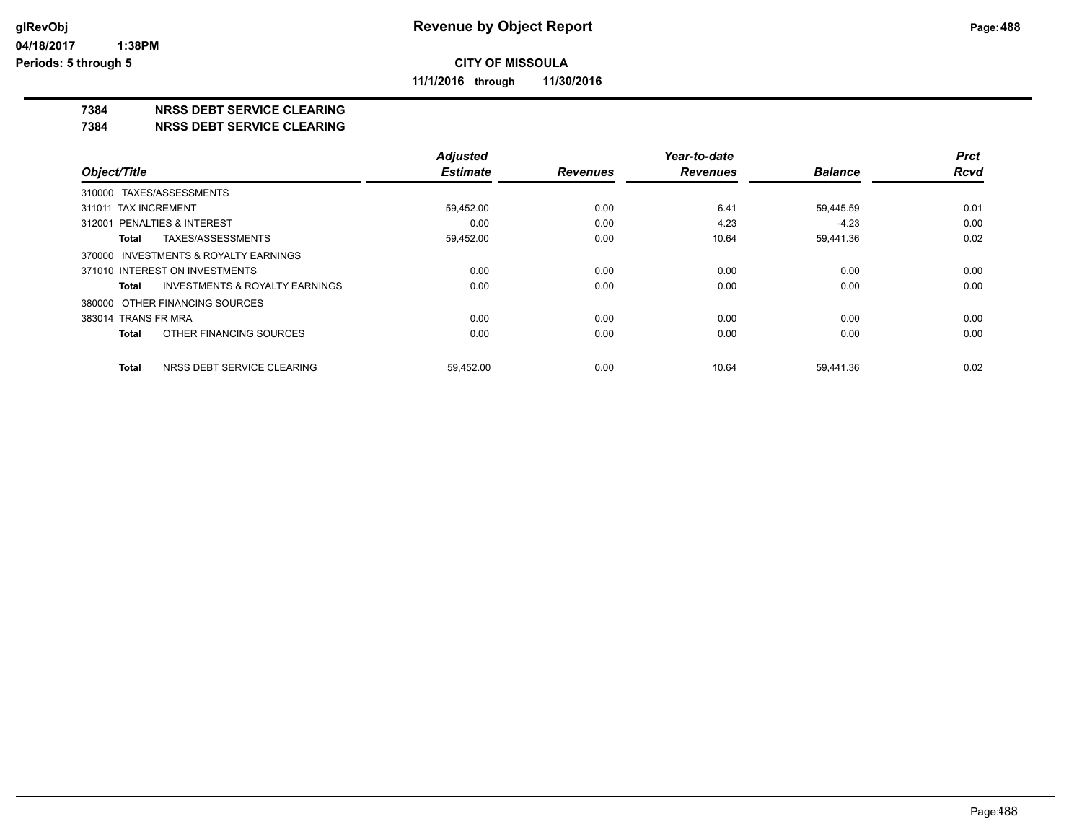**11/1/2016 through 11/30/2016**

**7384 NRSS DEBT SERVICE CLEARING**

**7384 NRSS DEBT SERVICE CLEARING**

|                                                    | <b>Adjusted</b> |                 | Year-to-date    |                | <b>Prct</b> |
|----------------------------------------------------|-----------------|-----------------|-----------------|----------------|-------------|
| Object/Title                                       | <b>Estimate</b> | <b>Revenues</b> | <b>Revenues</b> | <b>Balance</b> | <b>Rcvd</b> |
| 310000 TAXES/ASSESSMENTS                           |                 |                 |                 |                |             |
| 311011 TAX INCREMENT                               | 59,452.00       | 0.00            | 6.41            | 59,445.59      | 0.01        |
| 312001 PENALTIES & INTEREST                        | 0.00            | 0.00            | 4.23            | $-4.23$        | 0.00        |
| TAXES/ASSESSMENTS<br>Total                         | 59,452.00       | 0.00            | 10.64           | 59,441.36      | 0.02        |
| 370000 INVESTMENTS & ROYALTY EARNINGS              |                 |                 |                 |                |             |
| 371010 INTEREST ON INVESTMENTS                     | 0.00            | 0.00            | 0.00            | 0.00           | 0.00        |
| <b>INVESTMENTS &amp; ROYALTY EARNINGS</b><br>Total | 0.00            | 0.00            | 0.00            | 0.00           | 0.00        |
| 380000 OTHER FINANCING SOURCES                     |                 |                 |                 |                |             |
| 383014 TRANS FR MRA                                | 0.00            | 0.00            | 0.00            | 0.00           | 0.00        |
| OTHER FINANCING SOURCES<br>Total                   | 0.00            | 0.00            | 0.00            | 0.00           | 0.00        |
| NRSS DEBT SERVICE CLEARING<br>Total                | 59,452.00       | 0.00            | 10.64           | 59,441.36      | 0.02        |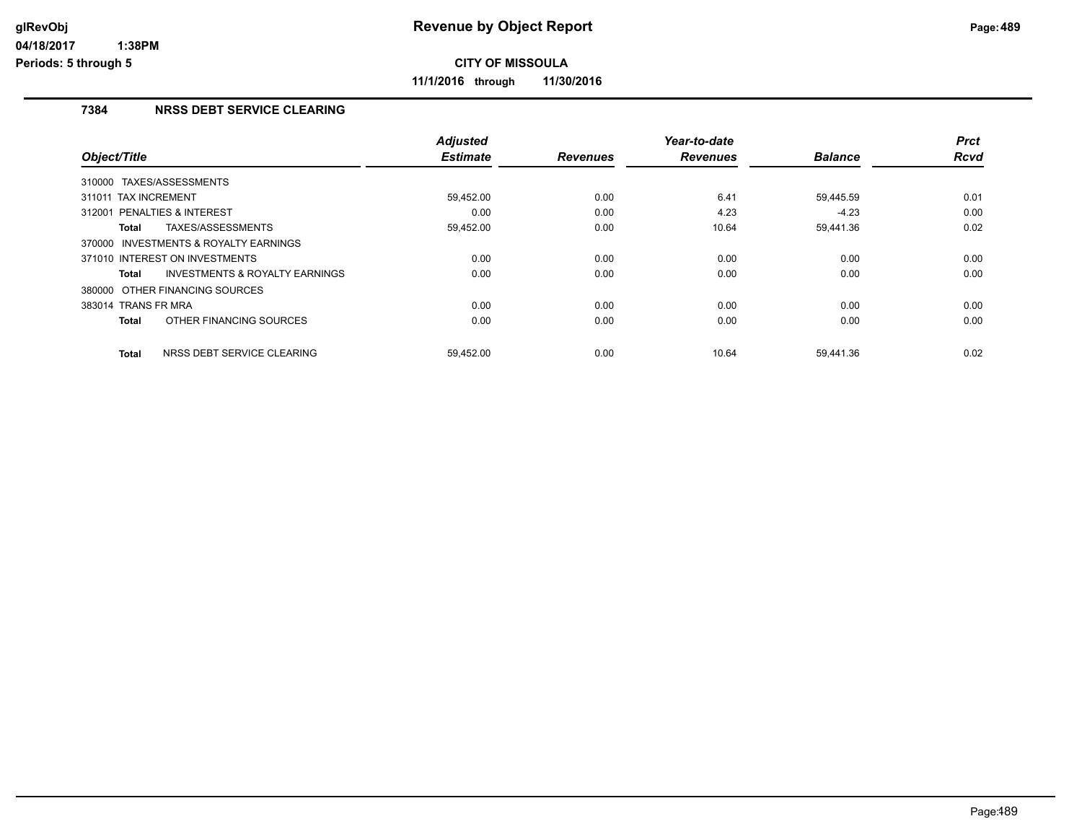**11/1/2016 through 11/30/2016**

#### **7384 NRSS DEBT SERVICE CLEARING**

|                                                    | <b>Adjusted</b> |                 | Year-to-date    |                | <b>Prct</b> |
|----------------------------------------------------|-----------------|-----------------|-----------------|----------------|-------------|
| Object/Title                                       | <b>Estimate</b> | <b>Revenues</b> | <b>Revenues</b> | <b>Balance</b> | <b>Rcvd</b> |
| 310000 TAXES/ASSESSMENTS                           |                 |                 |                 |                |             |
| 311011 TAX INCREMENT                               | 59,452.00       | 0.00            | 6.41            | 59,445.59      | 0.01        |
| PENALTIES & INTEREST<br>312001                     | 0.00            | 0.00            | 4.23            | $-4.23$        | 0.00        |
| TAXES/ASSESSMENTS<br>Total                         | 59,452.00       | 0.00            | 10.64           | 59,441.36      | 0.02        |
| 370000 INVESTMENTS & ROYALTY EARNINGS              |                 |                 |                 |                |             |
| 371010 INTEREST ON INVESTMENTS                     | 0.00            | 0.00            | 0.00            | 0.00           | 0.00        |
| <b>INVESTMENTS &amp; ROYALTY EARNINGS</b><br>Total | 0.00            | 0.00            | 0.00            | 0.00           | 0.00        |
| 380000 OTHER FINANCING SOURCES                     |                 |                 |                 |                |             |
| 383014 TRANS FR MRA                                | 0.00            | 0.00            | 0.00            | 0.00           | 0.00        |
| OTHER FINANCING SOURCES<br>Total                   | 0.00            | 0.00            | 0.00            | 0.00           | 0.00        |
| NRSS DEBT SERVICE CLEARING<br><b>Total</b>         | 59,452.00       | 0.00            | 10.64           | 59,441.36      | 0.02        |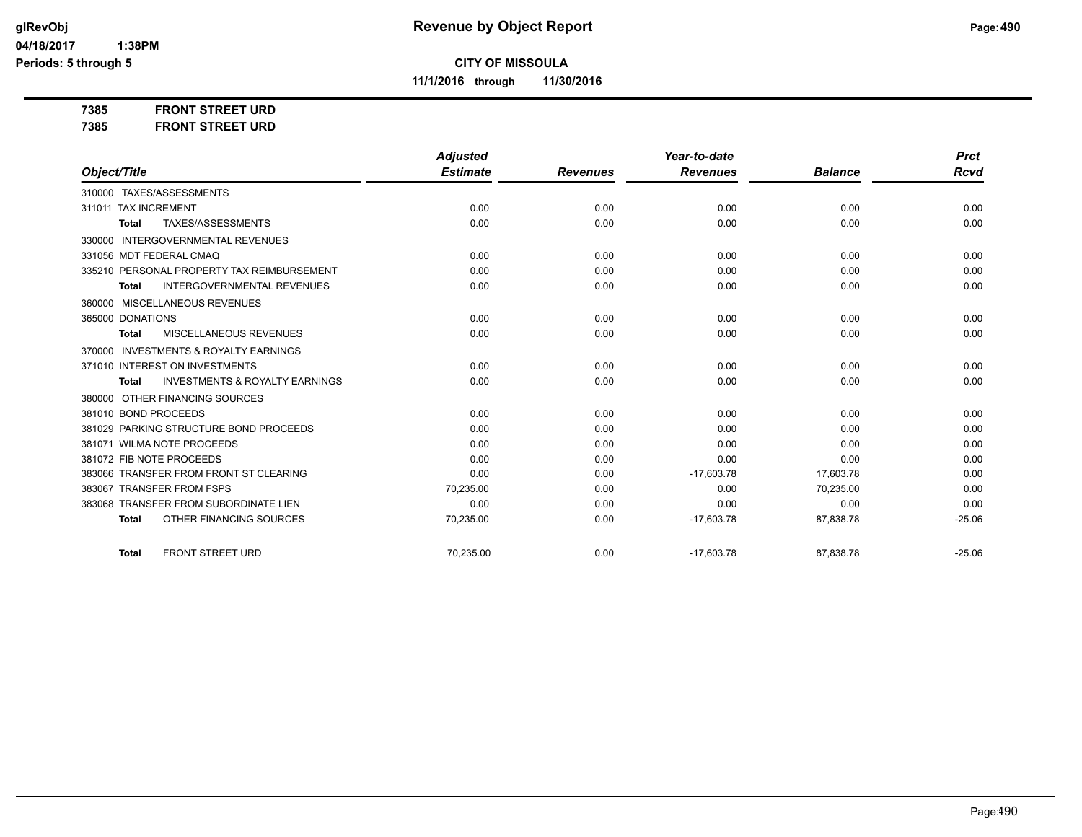**11/1/2016 through 11/30/2016**

**7385 FRONT STREET URD 7385 FRONT STREET URD**

|                                                     | <b>Adjusted</b> |                 | Year-to-date    |                | <b>Prct</b> |
|-----------------------------------------------------|-----------------|-----------------|-----------------|----------------|-------------|
| Object/Title                                        | <b>Estimate</b> | <b>Revenues</b> | <b>Revenues</b> | <b>Balance</b> | <b>Rcvd</b> |
| 310000 TAXES/ASSESSMENTS                            |                 |                 |                 |                |             |
| 311011 TAX INCREMENT                                | 0.00            | 0.00            | 0.00            | 0.00           | 0.00        |
| TAXES/ASSESSMENTS<br>Total                          | 0.00            | 0.00            | 0.00            | 0.00           | 0.00        |
| <b>INTERGOVERNMENTAL REVENUES</b><br>330000         |                 |                 |                 |                |             |
| 331056 MDT FEDERAL CMAQ                             | 0.00            | 0.00            | 0.00            | 0.00           | 0.00        |
| 335210 PERSONAL PROPERTY TAX REIMBURSEMENT          | 0.00            | 0.00            | 0.00            | 0.00           | 0.00        |
| <b>INTERGOVERNMENTAL REVENUES</b><br><b>Total</b>   | 0.00            | 0.00            | 0.00            | 0.00           | 0.00        |
| MISCELLANEOUS REVENUES<br>360000                    |                 |                 |                 |                |             |
| 365000 DONATIONS                                    | 0.00            | 0.00            | 0.00            | 0.00           | 0.00        |
| <b>MISCELLANEOUS REVENUES</b><br>Total              | 0.00            | 0.00            | 0.00            | 0.00           | 0.00        |
| <b>INVESTMENTS &amp; ROYALTY EARNINGS</b><br>370000 |                 |                 |                 |                |             |
| 371010 INTEREST ON INVESTMENTS                      | 0.00            | 0.00            | 0.00            | 0.00           | 0.00        |
| <b>INVESTMENTS &amp; ROYALTY EARNINGS</b><br>Total  | 0.00            | 0.00            | 0.00            | 0.00           | 0.00        |
| OTHER FINANCING SOURCES<br>380000                   |                 |                 |                 |                |             |
| 381010 BOND PROCEEDS                                | 0.00            | 0.00            | 0.00            | 0.00           | 0.00        |
| 381029 PARKING STRUCTURE BOND PROCEEDS              | 0.00            | 0.00            | 0.00            | 0.00           | 0.00        |
| 381071 WILMA NOTE PROCEEDS                          | 0.00            | 0.00            | 0.00            | 0.00           | 0.00        |
| 381072 FIB NOTE PROCEEDS                            | 0.00            | 0.00            | 0.00            | 0.00           | 0.00        |
| 383066 TRANSFER FROM FRONT ST CLEARING              | 0.00            | 0.00            | $-17,603.78$    | 17,603.78      | 0.00        |
| 383067 TRANSFER FROM FSPS                           | 70,235.00       | 0.00            | 0.00            | 70,235.00      | 0.00        |
| 383068 TRANSFER FROM SUBORDINATE LIEN               | 0.00            | 0.00            | 0.00            | 0.00           | 0.00        |
| OTHER FINANCING SOURCES<br><b>Total</b>             | 70,235.00       | 0.00            | $-17,603.78$    | 87,838.78      | $-25.06$    |
|                                                     |                 |                 |                 |                |             |
| <b>FRONT STREET URD</b><br><b>Total</b>             | 70,235.00       | 0.00            | $-17,603.78$    | 87,838.78      | $-25.06$    |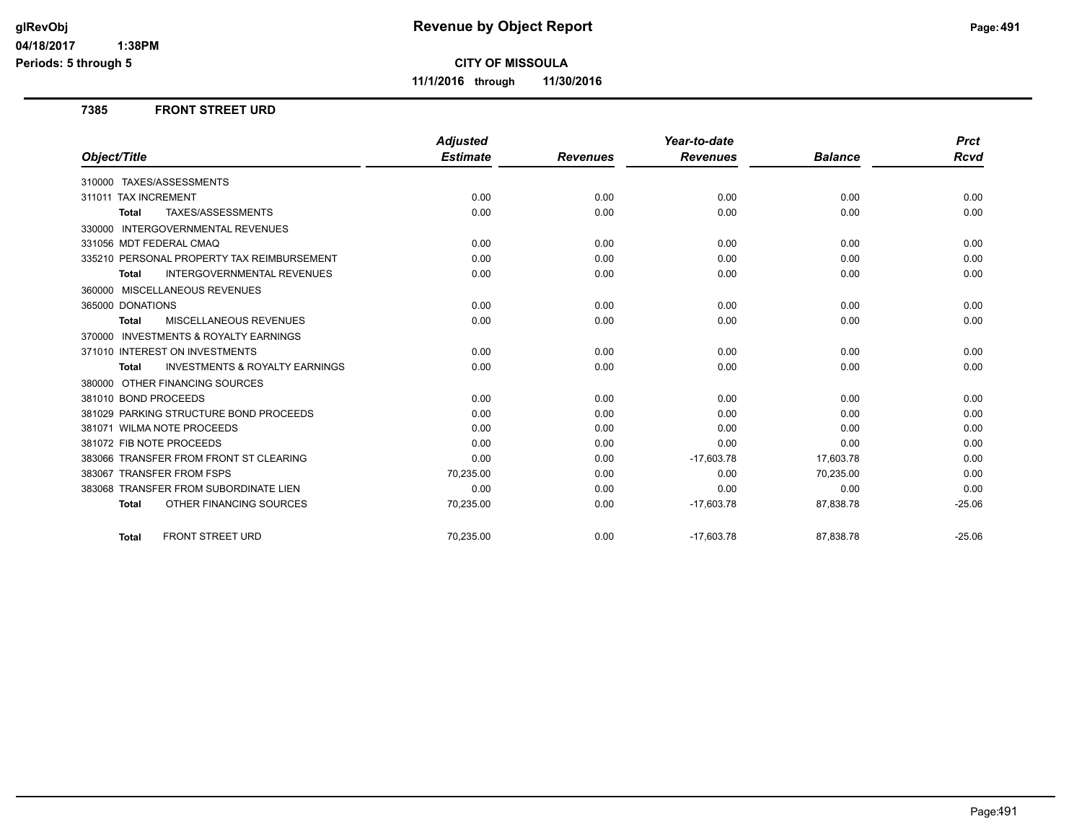**11/1/2016 through 11/30/2016**

#### **7385 FRONT STREET URD**

|                                                    | <b>Adjusted</b> |                 | Year-to-date    |                | <b>Prct</b> |
|----------------------------------------------------|-----------------|-----------------|-----------------|----------------|-------------|
| Object/Title                                       | <b>Estimate</b> | <b>Revenues</b> | <b>Revenues</b> | <b>Balance</b> | Rcvd        |
| 310000 TAXES/ASSESSMENTS                           |                 |                 |                 |                |             |
| 311011 TAX INCREMENT                               | 0.00            | 0.00            | 0.00            | 0.00           | 0.00        |
| TAXES/ASSESSMENTS<br>Total                         | 0.00            | 0.00            | 0.00            | 0.00           | 0.00        |
| 330000 INTERGOVERNMENTAL REVENUES                  |                 |                 |                 |                |             |
| 331056 MDT FEDERAL CMAQ                            | 0.00            | 0.00            | 0.00            | 0.00           | 0.00        |
| 335210 PERSONAL PROPERTY TAX REIMBURSEMENT         | 0.00            | 0.00            | 0.00            | 0.00           | 0.00        |
| <b>INTERGOVERNMENTAL REVENUES</b><br><b>Total</b>  | 0.00            | 0.00            | 0.00            | 0.00           | 0.00        |
| 360000 MISCELLANEOUS REVENUES                      |                 |                 |                 |                |             |
| 365000 DONATIONS                                   | 0.00            | 0.00            | 0.00            | 0.00           | 0.00        |
| MISCELLANEOUS REVENUES<br><b>Total</b>             | 0.00            | 0.00            | 0.00            | 0.00           | 0.00        |
| 370000 INVESTMENTS & ROYALTY EARNINGS              |                 |                 |                 |                |             |
| 371010 INTEREST ON INVESTMENTS                     | 0.00            | 0.00            | 0.00            | 0.00           | 0.00        |
| <b>INVESTMENTS &amp; ROYALTY EARNINGS</b><br>Total | 0.00            | 0.00            | 0.00            | 0.00           | 0.00        |
| 380000 OTHER FINANCING SOURCES                     |                 |                 |                 |                |             |
| 381010 BOND PROCEEDS                               | 0.00            | 0.00            | 0.00            | 0.00           | 0.00        |
| 381029 PARKING STRUCTURE BOND PROCEEDS             | 0.00            | 0.00            | 0.00            | 0.00           | 0.00        |
| 381071 WILMA NOTE PROCEEDS                         | 0.00            | 0.00            | 0.00            | 0.00           | 0.00        |
| 381072 FIB NOTE PROCEEDS                           | 0.00            | 0.00            | 0.00            | 0.00           | 0.00        |
| 383066 TRANSFER FROM FRONT ST CLEARING             | 0.00            | 0.00            | $-17,603.78$    | 17,603.78      | 0.00        |
| 383067 TRANSFER FROM FSPS                          | 70,235.00       | 0.00            | 0.00            | 70,235.00      | 0.00        |
| 383068 TRANSFER FROM SUBORDINATE LIEN              | 0.00            | 0.00            | 0.00            | 0.00           | 0.00        |
| OTHER FINANCING SOURCES<br><b>Total</b>            | 70,235.00       | 0.00            | $-17,603.78$    | 87,838.78      | $-25.06$    |
| <b>FRONT STREET URD</b><br>Total                   | 70.235.00       | 0.00            | $-17.603.78$    | 87.838.78      | $-25.06$    |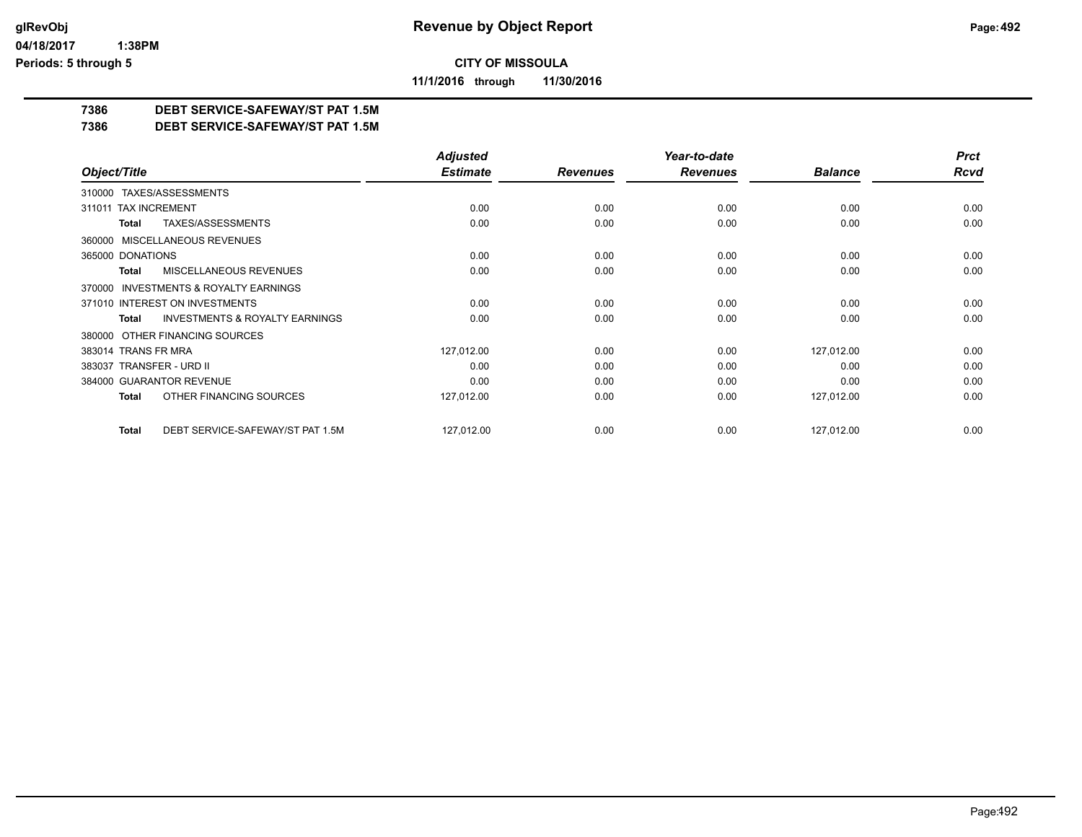**11/1/2016 through 11/30/2016**

#### **7386 DEBT SERVICE-SAFEWAY/ST PAT 1.5M 7386 DEBT SERVICE-SAFEWAY/ST PAT 1.5M**

*Object/Title Adjusted Estimate Revenues Year-to-date Revenues Balance Prct Rcvd* 310000 TAXES/ASSESSMENTS  $0.00 \hspace{1.5cm} 0.00 \hspace{3.5cm} 0.00 \hspace{1.5cm} 0.00 \hspace{1.5cm} 0.00 \hspace{1.5cm} 0.00 \hspace{1.5cm} 0.00 \hspace{1.5cm} 0.00 \hspace{1.5cm} 0.00 \hspace{1.5cm} 0.00 \hspace{1.5cm} 0.00 \hspace{1.5cm} 0.00 \hspace{1.5cm} 0.00 \hspace{1.5cm} 0.00 \hspace{1.5cm} 0.00 \hspace{1.5cm} 0.00 \hspace{1.5$ **Total** TAXES/ASSESSMENTS 0.00 0.00 0.00 0.00 0.00 360000 MISCELLANEOUS REVENUES 365000 DONATIONS 0.00 0.00 0.00 0.00 0.00 **Total** MISCELLANEOUS REVENUES 0.00 0.00 0.00 0.00 0.00 370000 INVESTMENTS & ROYALTY EARNINGS 371010 INTEREST ON INVESTMENTS 0.00 0.00 0.00 0.00 0.00 **Total** INVESTMENTS & ROYALTY EARNINGS 0.00 0.00 0.00 0.00 0.00 380000 OTHER FINANCING SOURCES 383014 TRANS FR MRA 127,012.00 0.00 0.00 127,012.00 0.00 383037 TRANSFER - URD II 0.00 0.00 0.00 0.00 0.00 384000 GUARANTOR REVENUE 0.00 0.00 0.00 0.00 0.00 **Total OTHER FINANCING SOURCES** 127,012.00 0.00 0.00 0.00 0.00 127,012.00 0.00 0.00 **Total** DEBT SERVICE-SAFEWAY/ST PAT 1.5M 127,012.00 0.00 0.00 127,012.00 0.00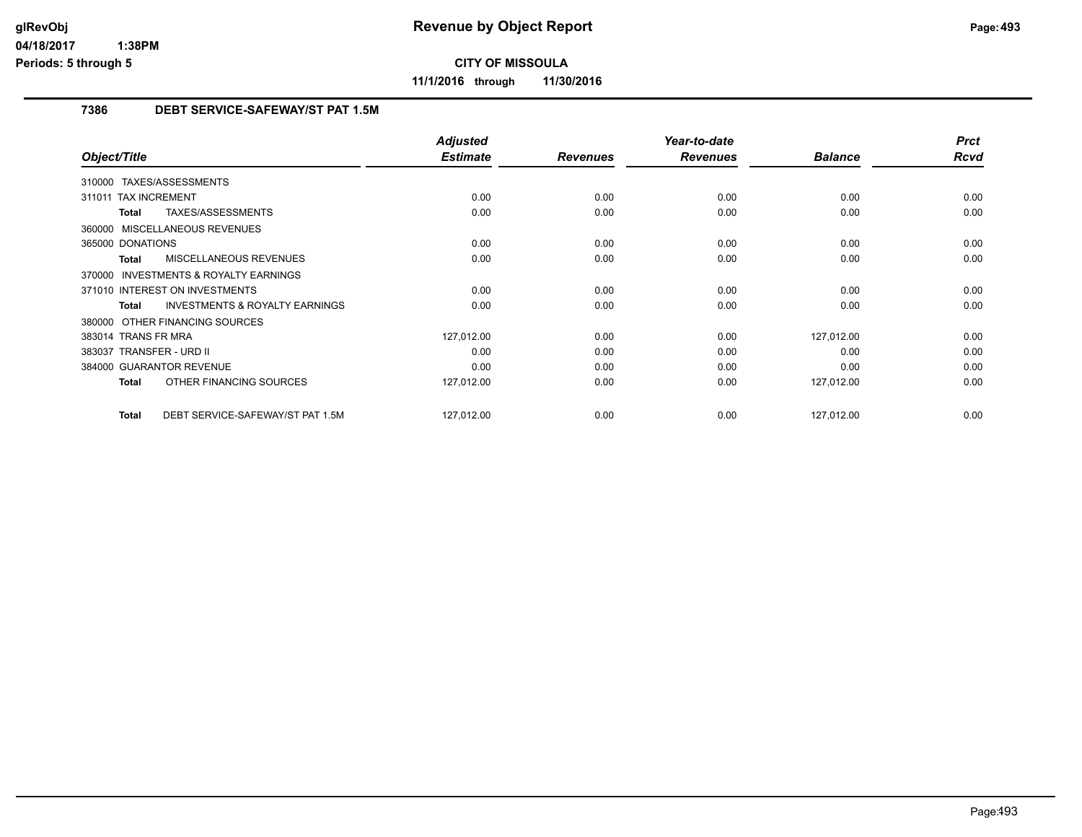**11/1/2016 through 11/30/2016**

#### **7386 DEBT SERVICE-SAFEWAY/ST PAT 1.5M**

|                                                           | <b>Adjusted</b> |                 | Year-to-date    |                | <b>Prct</b> |
|-----------------------------------------------------------|-----------------|-----------------|-----------------|----------------|-------------|
| Object/Title                                              | <b>Estimate</b> | <b>Revenues</b> | <b>Revenues</b> | <b>Balance</b> | <b>Rcvd</b> |
| 310000 TAXES/ASSESSMENTS                                  |                 |                 |                 |                |             |
| 311011 TAX INCREMENT                                      | 0.00            | 0.00            | 0.00            | 0.00           | 0.00        |
| TAXES/ASSESSMENTS<br><b>Total</b>                         | 0.00            | 0.00            | 0.00            | 0.00           | 0.00        |
| 360000 MISCELLANEOUS REVENUES                             |                 |                 |                 |                |             |
| 365000 DONATIONS                                          | 0.00            | 0.00            | 0.00            | 0.00           | 0.00        |
| <b>MISCELLANEOUS REVENUES</b><br><b>Total</b>             | 0.00            | 0.00            | 0.00            | 0.00           | 0.00        |
| <b>INVESTMENTS &amp; ROYALTY EARNINGS</b><br>370000       |                 |                 |                 |                |             |
| 371010 INTEREST ON INVESTMENTS                            | 0.00            | 0.00            | 0.00            | 0.00           | 0.00        |
| <b>INVESTMENTS &amp; ROYALTY EARNINGS</b><br><b>Total</b> | 0.00            | 0.00            | 0.00            | 0.00           | 0.00        |
| 380000 OTHER FINANCING SOURCES                            |                 |                 |                 |                |             |
| 383014 TRANS FR MRA                                       | 127,012.00      | 0.00            | 0.00            | 127,012.00     | 0.00        |
| 383037 TRANSFER - URD II                                  | 0.00            | 0.00            | 0.00            | 0.00           | 0.00        |
| 384000 GUARANTOR REVENUE                                  | 0.00            | 0.00            | 0.00            | 0.00           | 0.00        |
| OTHER FINANCING SOURCES<br><b>Total</b>                   | 127,012.00      | 0.00            | 0.00            | 127,012.00     | 0.00        |
| DEBT SERVICE-SAFEWAY/ST PAT 1.5M<br><b>Total</b>          | 127,012.00      | 0.00            | 0.00            | 127,012.00     | 0.00        |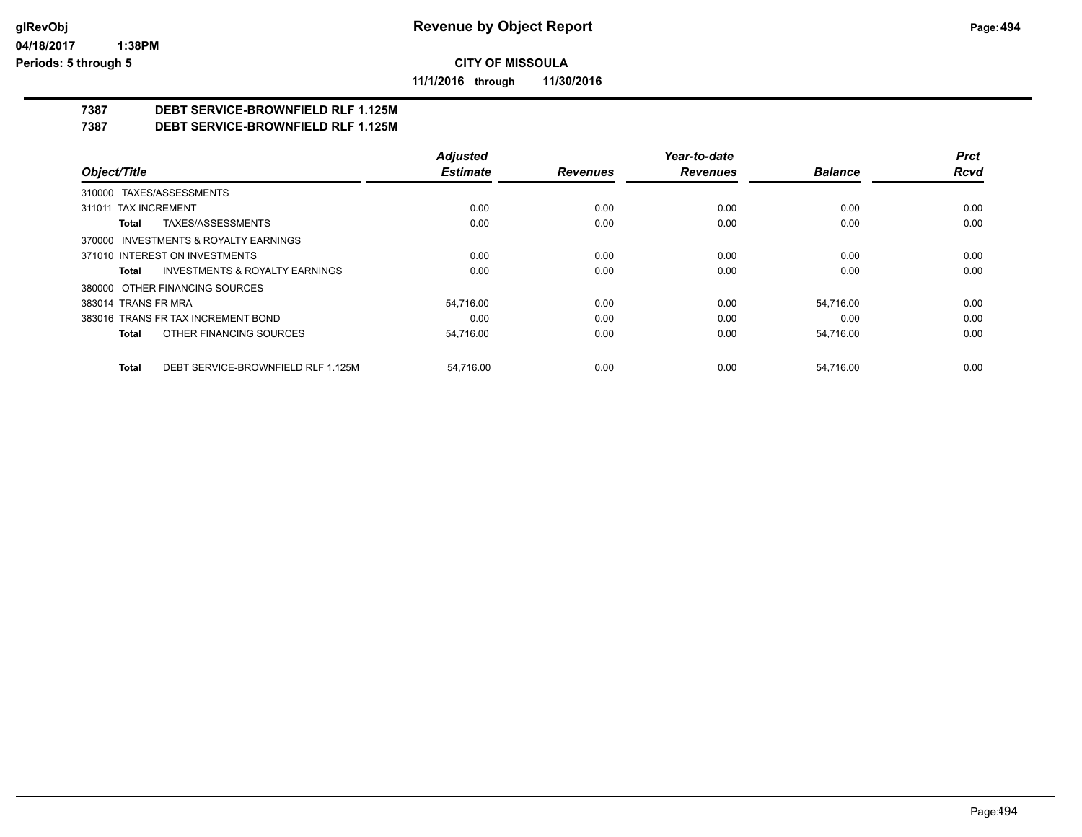**11/1/2016 through 11/30/2016**

#### **7387 DEBT SERVICE-BROWNFIELD RLF 1.125M 7387 DEBT SERVICE-BROWNFIELD RLF 1.125M**

|                                                     | <b>Adjusted</b> |                 | Year-to-date    |                | <b>Prct</b> |
|-----------------------------------------------------|-----------------|-----------------|-----------------|----------------|-------------|
| Object/Title                                        | <b>Estimate</b> | <b>Revenues</b> | <b>Revenues</b> | <b>Balance</b> | <b>Rcvd</b> |
| 310000 TAXES/ASSESSMENTS                            |                 |                 |                 |                |             |
| 311011 TAX INCREMENT                                | 0.00            | 0.00            | 0.00            | 0.00           | 0.00        |
| TAXES/ASSESSMENTS<br>Total                          | 0.00            | 0.00            | 0.00            | 0.00           | 0.00        |
| <b>INVESTMENTS &amp; ROYALTY EARNINGS</b><br>370000 |                 |                 |                 |                |             |
| 371010 INTEREST ON INVESTMENTS                      | 0.00            | 0.00            | 0.00            | 0.00           | 0.00        |
| <b>INVESTMENTS &amp; ROYALTY EARNINGS</b><br>Total  | 0.00            | 0.00            | 0.00            | 0.00           | 0.00        |
| OTHER FINANCING SOURCES<br>380000                   |                 |                 |                 |                |             |
| 383014 TRANS FR MRA                                 | 54,716.00       | 0.00            | 0.00            | 54,716.00      | 0.00        |
| 383016 TRANS FR TAX INCREMENT BOND                  | 0.00            | 0.00            | 0.00            | 0.00           | 0.00        |
| OTHER FINANCING SOURCES<br>Total                    | 54,716.00       | 0.00            | 0.00            | 54,716.00      | 0.00        |
| DEBT SERVICE-BROWNFIELD RLF 1.125M<br><b>Total</b>  | 54,716.00       | 0.00            | 0.00            | 54.716.00      | 0.00        |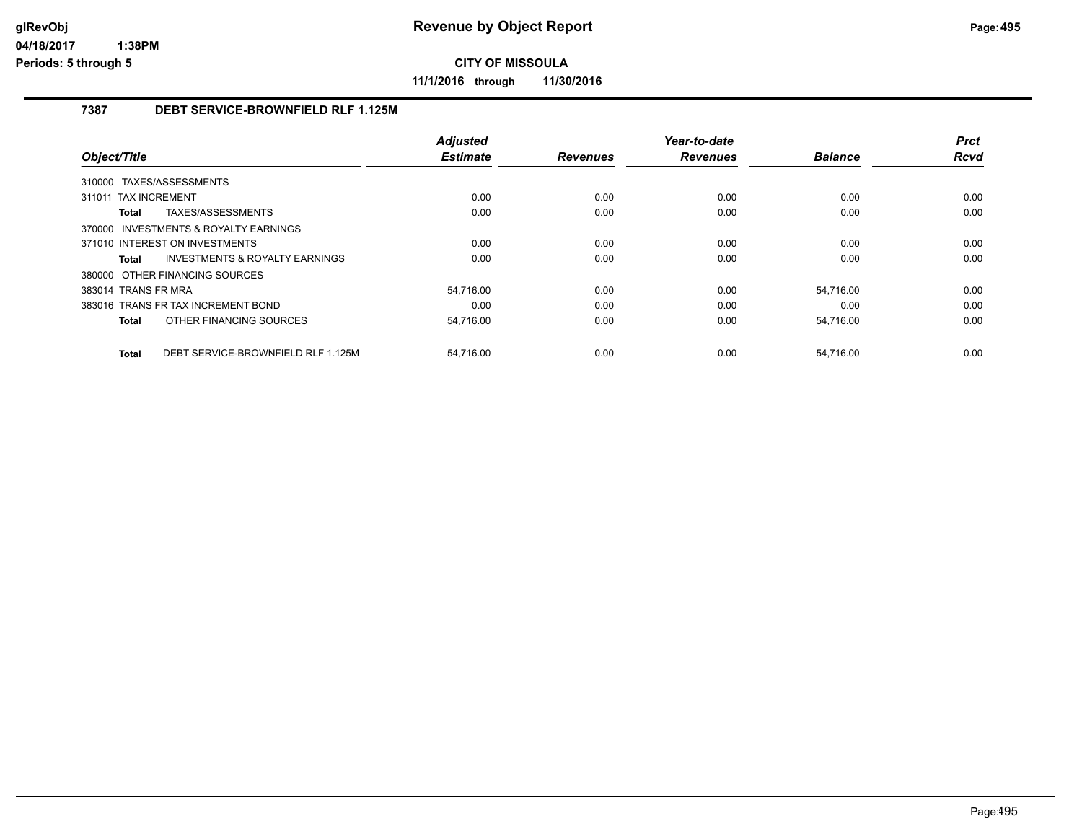**11/1/2016 through 11/30/2016**

#### **7387 DEBT SERVICE-BROWNFIELD RLF 1.125M**

| Object/Title                                       | <b>Adjusted</b><br><b>Estimate</b> | <b>Revenues</b> | Year-to-date<br><b>Revenues</b> | <b>Balance</b> | <b>Prct</b><br><b>Rcvd</b> |
|----------------------------------------------------|------------------------------------|-----------------|---------------------------------|----------------|----------------------------|
| TAXES/ASSESSMENTS<br>310000                        |                                    |                 |                                 |                |                            |
| 311011 TAX INCREMENT                               | 0.00                               | 0.00            | 0.00                            | 0.00           | 0.00                       |
| TAXES/ASSESSMENTS<br>Total                         | 0.00                               | 0.00            | 0.00                            | 0.00           | 0.00                       |
| 370000 INVESTMENTS & ROYALTY EARNINGS              |                                    |                 |                                 |                |                            |
| 371010 INTEREST ON INVESTMENTS                     | 0.00                               | 0.00            | 0.00                            | 0.00           | 0.00                       |
| <b>INVESTMENTS &amp; ROYALTY EARNINGS</b><br>Total | 0.00                               | 0.00            | 0.00                            | 0.00           | 0.00                       |
| 380000 OTHER FINANCING SOURCES                     |                                    |                 |                                 |                |                            |
| 383014 TRANS FR MRA                                | 54,716.00                          | 0.00            | 0.00                            | 54.716.00      | 0.00                       |
| 383016 TRANS FR TAX INCREMENT BOND                 | 0.00                               | 0.00            | 0.00                            | 0.00           | 0.00                       |
| OTHER FINANCING SOURCES<br><b>Total</b>            | 54,716.00                          | 0.00            | 0.00                            | 54,716.00      | 0.00                       |
| DEBT SERVICE-BROWNFIELD RLF 1.125M<br><b>Total</b> | 54.716.00                          | 0.00            | 0.00                            | 54.716.00      | 0.00                       |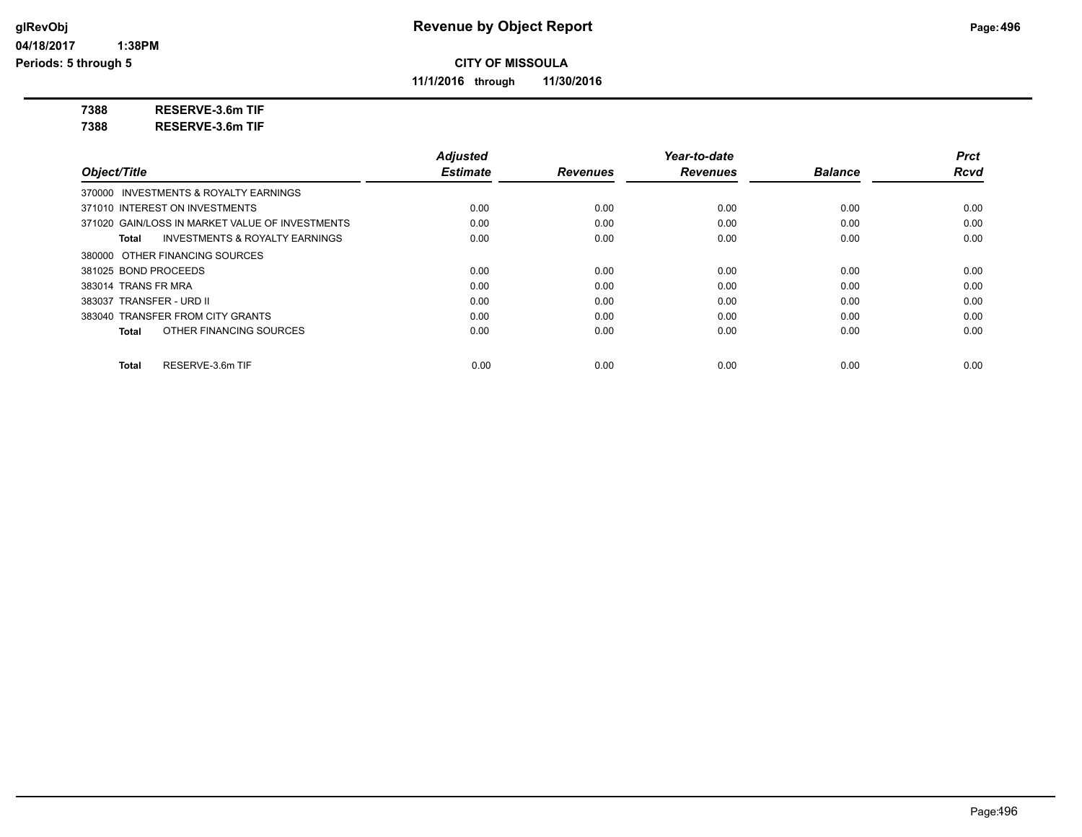**11/1/2016 through 11/30/2016**

**7388 RESERVE-3.6m TIF 7388 RESERVE-3.6m TIF**

|                                                    | <b>Adjusted</b> |                 | Year-to-date    |                | <b>Prct</b> |
|----------------------------------------------------|-----------------|-----------------|-----------------|----------------|-------------|
| Object/Title                                       | <b>Estimate</b> | <b>Revenues</b> | <b>Revenues</b> | <b>Balance</b> | Rcvd        |
| 370000 INVESTMENTS & ROYALTY EARNINGS              |                 |                 |                 |                |             |
| 371010 INTEREST ON INVESTMENTS                     | 0.00            | 0.00            | 0.00            | 0.00           | 0.00        |
| 371020 GAIN/LOSS IN MARKET VALUE OF INVESTMENTS    | 0.00            | 0.00            | 0.00            | 0.00           | 0.00        |
| <b>INVESTMENTS &amp; ROYALTY EARNINGS</b><br>Total | 0.00            | 0.00            | 0.00            | 0.00           | 0.00        |
| 380000 OTHER FINANCING SOURCES                     |                 |                 |                 |                |             |
| 381025 BOND PROCEEDS                               | 0.00            | 0.00            | 0.00            | 0.00           | 0.00        |
| 383014 TRANS FR MRA                                | 0.00            | 0.00            | 0.00            | 0.00           | 0.00        |
| 383037 TRANSFER - URD II                           | 0.00            | 0.00            | 0.00            | 0.00           | 0.00        |
| 383040 TRANSFER FROM CITY GRANTS                   | 0.00            | 0.00            | 0.00            | 0.00           | 0.00        |
| OTHER FINANCING SOURCES<br>Total                   | 0.00            | 0.00            | 0.00            | 0.00           | 0.00        |
|                                                    |                 |                 |                 |                |             |
| RESERVE-3.6m TIF<br><b>Total</b>                   | 0.00            | 0.00            | 0.00            | 0.00           | 0.00        |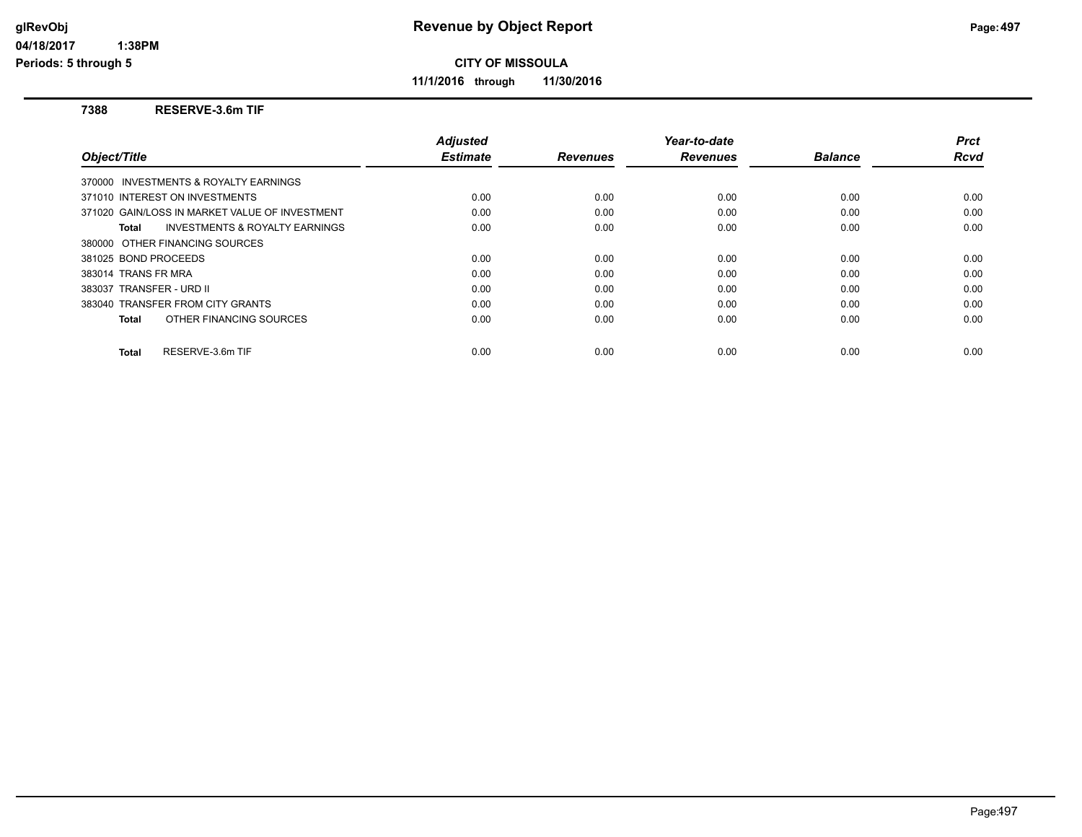**11/1/2016 through 11/30/2016**

#### **7388 RESERVE-3.6m TIF**

|                                                    | <b>Adjusted</b> |                 | Year-to-date    |                | <b>Prct</b> |
|----------------------------------------------------|-----------------|-----------------|-----------------|----------------|-------------|
| Object/Title                                       | <b>Estimate</b> | <b>Revenues</b> | <b>Revenues</b> | <b>Balance</b> | <b>Rcvd</b> |
| INVESTMENTS & ROYALTY EARNINGS<br>370000           |                 |                 |                 |                |             |
| 371010 INTEREST ON INVESTMENTS                     | 0.00            | 0.00            | 0.00            | 0.00           | 0.00        |
| 371020 GAIN/LOSS IN MARKET VALUE OF INVESTMENT     | 0.00            | 0.00            | 0.00            | 0.00           | 0.00        |
| <b>INVESTMENTS &amp; ROYALTY EARNINGS</b><br>Total | 0.00            | 0.00            | 0.00            | 0.00           | 0.00        |
| 380000 OTHER FINANCING SOURCES                     |                 |                 |                 |                |             |
| 381025 BOND PROCEEDS                               | 0.00            | 0.00            | 0.00            | 0.00           | 0.00        |
| 383014 TRANS FR MRA                                | 0.00            | 0.00            | 0.00            | 0.00           | 0.00        |
| 383037 TRANSFER - URD II                           | 0.00            | 0.00            | 0.00            | 0.00           | 0.00        |
| 383040 TRANSFER FROM CITY GRANTS                   | 0.00            | 0.00            | 0.00            | 0.00           | 0.00        |
| OTHER FINANCING SOURCES<br>Total                   | 0.00            | 0.00            | 0.00            | 0.00           | 0.00        |
| RESERVE-3.6m TIF<br><b>Total</b>                   | 0.00            | 0.00            | 0.00            | 0.00           | 0.00        |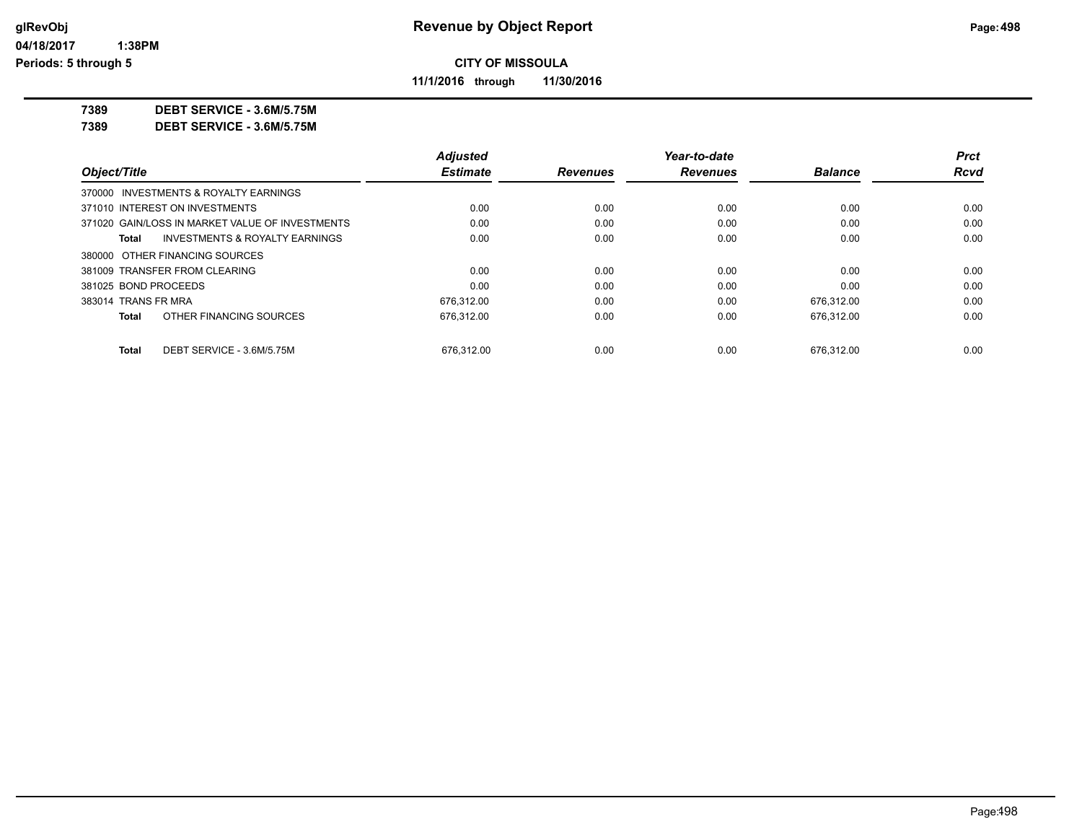**11/1/2016 through 11/30/2016**

**7389 DEBT SERVICE - 3.6M/5.75M 7389 DEBT SERVICE - 3.6M/5.75M**

|                                                    | <b>Adjusted</b> |                 | Year-to-date    |                | <b>Prct</b> |
|----------------------------------------------------|-----------------|-----------------|-----------------|----------------|-------------|
| Object/Title                                       | <b>Estimate</b> | <b>Revenues</b> | <b>Revenues</b> | <b>Balance</b> | <b>Rcvd</b> |
| 370000 INVESTMENTS & ROYALTY EARNINGS              |                 |                 |                 |                |             |
| 371010 INTEREST ON INVESTMENTS                     | 0.00            | 0.00            | 0.00            | 0.00           | 0.00        |
| 371020 GAIN/LOSS IN MARKET VALUE OF INVESTMENTS    | 0.00            | 0.00            | 0.00            | 0.00           | 0.00        |
| <b>INVESTMENTS &amp; ROYALTY EARNINGS</b><br>Total | 0.00            | 0.00            | 0.00            | 0.00           | 0.00        |
| 380000 OTHER FINANCING SOURCES                     |                 |                 |                 |                |             |
| 381009 TRANSFER FROM CLEARING                      | 0.00            | 0.00            | 0.00            | 0.00           | 0.00        |
| 381025 BOND PROCEEDS                               | 0.00            | 0.00            | 0.00            | 0.00           | 0.00        |
| 383014 TRANS FR MRA                                | 676.312.00      | 0.00            | 0.00            | 676.312.00     | 0.00        |
| OTHER FINANCING SOURCES<br>Total                   | 676.312.00      | 0.00            | 0.00            | 676.312.00     | 0.00        |
|                                                    |                 |                 |                 |                |             |
| DEBT SERVICE - 3.6M/5.75M<br>Total                 | 676.312.00      | 0.00            | 0.00            | 676.312.00     | 0.00        |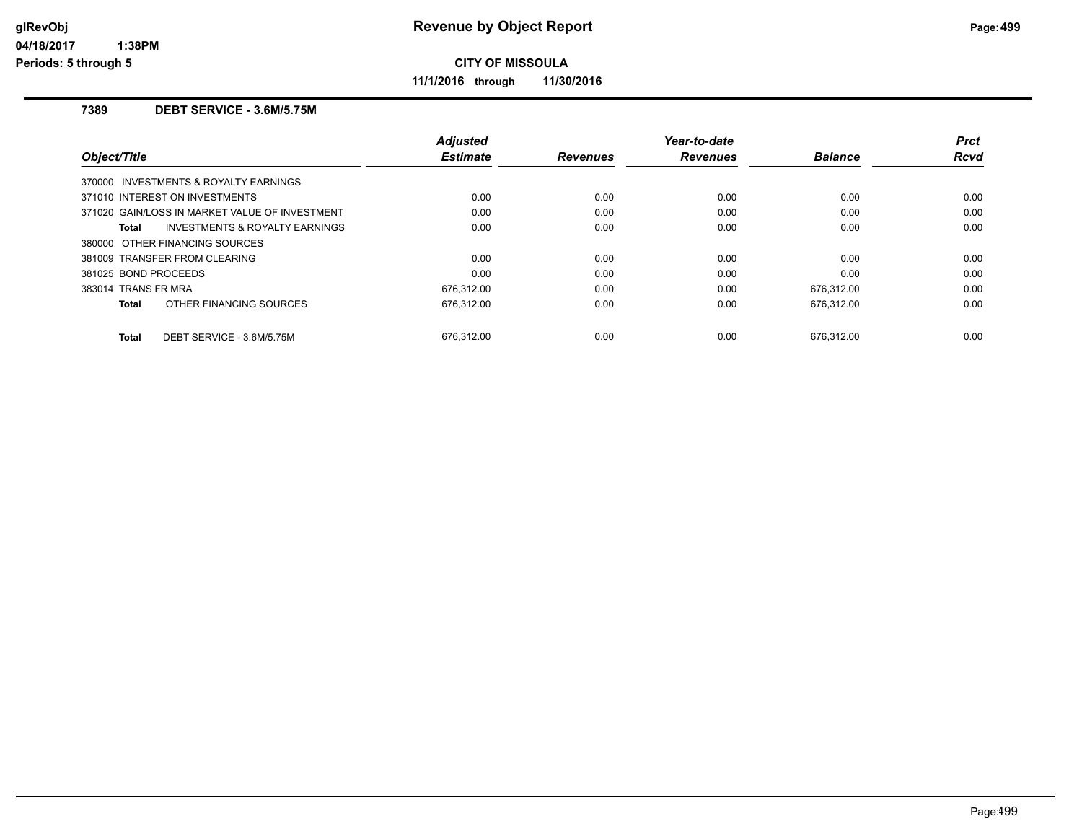**11/1/2016 through 11/30/2016**

#### **7389 DEBT SERVICE - 3.6M/5.75M**

| Object/Title                                   | <b>Adjusted</b><br><b>Estimate</b> | <b>Revenues</b> | Year-to-date<br><b>Revenues</b> | <b>Balance</b> | <b>Prct</b><br><b>Rcvd</b> |
|------------------------------------------------|------------------------------------|-----------------|---------------------------------|----------------|----------------------------|
|                                                |                                    |                 |                                 |                |                            |
| 370000 INVESTMENTS & ROYALTY EARNINGS          |                                    |                 |                                 |                |                            |
| 371010 INTEREST ON INVESTMENTS                 | 0.00                               | 0.00            | 0.00                            | 0.00           | 0.00                       |
| 371020 GAIN/LOSS IN MARKET VALUE OF INVESTMENT | 0.00                               | 0.00            | 0.00                            | 0.00           | 0.00                       |
| INVESTMENTS & ROYALTY EARNINGS<br>Total        | 0.00                               | 0.00            | 0.00                            | 0.00           | 0.00                       |
| 380000 OTHER FINANCING SOURCES                 |                                    |                 |                                 |                |                            |
| 381009 TRANSFER FROM CLEARING                  | 0.00                               | 0.00            | 0.00                            | 0.00           | 0.00                       |
| 381025 BOND PROCEEDS                           | 0.00                               | 0.00            | 0.00                            | 0.00           | 0.00                       |
| 383014 TRANS FR MRA                            | 676.312.00                         | 0.00            | 0.00                            | 676.312.00     | 0.00                       |
| OTHER FINANCING SOURCES<br><b>Total</b>        | 676.312.00                         | 0.00            | 0.00                            | 676.312.00     | 0.00                       |
|                                                |                                    |                 |                                 |                |                            |
| <b>Total</b><br>DEBT SERVICE - 3.6M/5.75M      | 676.312.00                         | 0.00            | 0.00                            | 676.312.00     | 0.00                       |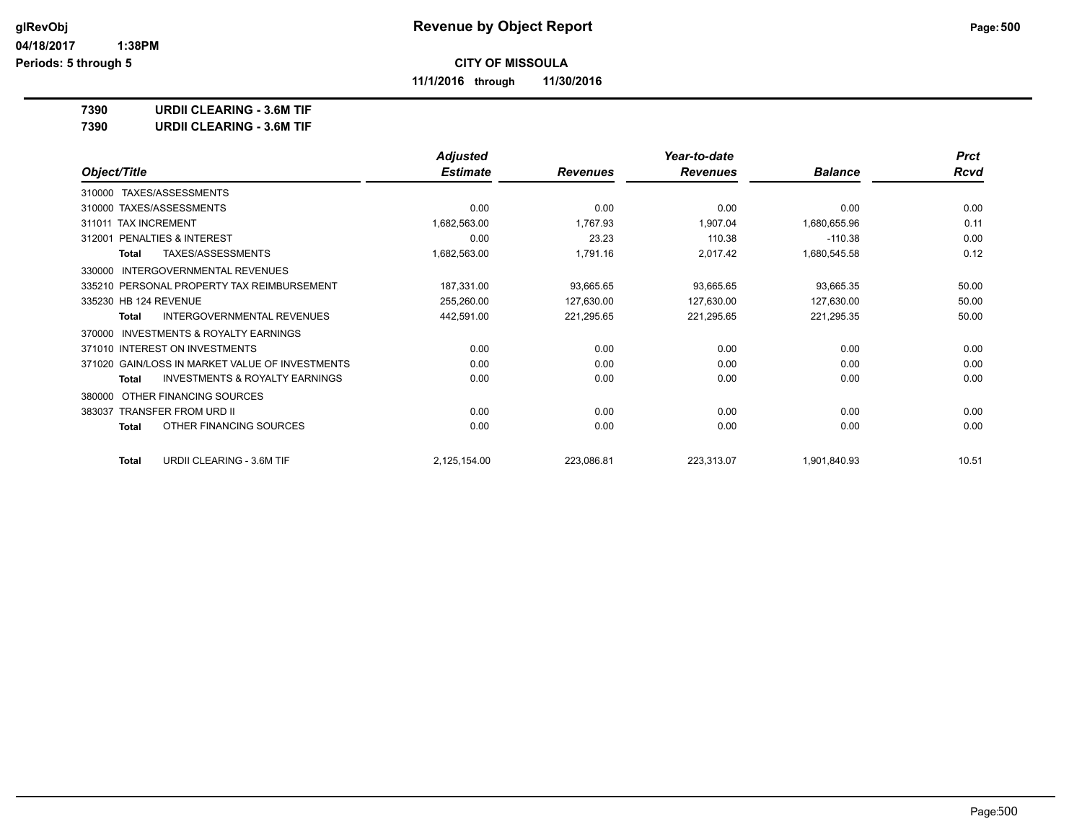**11/1/2016 through 11/30/2016**

**7390 URDII CLEARING - 3.6M TIF**

**7390 URDII CLEARING - 3.6M TIF**

|                                                           | <b>Adjusted</b> |                 | Year-to-date    |                | <b>Prct</b> |
|-----------------------------------------------------------|-----------------|-----------------|-----------------|----------------|-------------|
| Object/Title                                              | <b>Estimate</b> | <b>Revenues</b> | <b>Revenues</b> | <b>Balance</b> | <b>Rcvd</b> |
| 310000 TAXES/ASSESSMENTS                                  |                 |                 |                 |                |             |
| 310000 TAXES/ASSESSMENTS                                  | 0.00            | 0.00            | 0.00            | 0.00           | 0.00        |
| 311011 TAX INCREMENT                                      | 1,682,563.00    | 1,767.93        | 1,907.04        | 1,680,655.96   | 0.11        |
| <b>PENALTIES &amp; INTEREST</b><br>312001                 | 0.00            | 23.23           | 110.38          | $-110.38$      | 0.00        |
| TAXES/ASSESSMENTS<br>Total                                | 1,682,563.00    | 1,791.16        | 2,017.42        | 1,680,545.58   | 0.12        |
| INTERGOVERNMENTAL REVENUES<br>330000                      |                 |                 |                 |                |             |
| 335210 PERSONAL PROPERTY TAX REIMBURSEMENT                | 187,331.00      | 93,665.65       | 93,665.65       | 93,665.35      | 50.00       |
| 335230 HB 124 REVENUE                                     | 255,260.00      | 127,630.00      | 127,630.00      | 127,630.00     | 50.00       |
| INTERGOVERNMENTAL REVENUES<br><b>Total</b>                | 442,591.00      | 221,295.65      | 221,295.65      | 221,295.35     | 50.00       |
| <b>INVESTMENTS &amp; ROYALTY EARNINGS</b><br>370000       |                 |                 |                 |                |             |
| 371010 INTEREST ON INVESTMENTS                            | 0.00            | 0.00            | 0.00            | 0.00           | 0.00        |
| 371020 GAIN/LOSS IN MARKET VALUE OF INVESTMENTS           | 0.00            | 0.00            | 0.00            | 0.00           | 0.00        |
| <b>INVESTMENTS &amp; ROYALTY EARNINGS</b><br><b>Total</b> | 0.00            | 0.00            | 0.00            | 0.00           | 0.00        |
| OTHER FINANCING SOURCES<br>380000                         |                 |                 |                 |                |             |
| <b>TRANSFER FROM URD II</b><br>383037                     | 0.00            | 0.00            | 0.00            | 0.00           | 0.00        |
| OTHER FINANCING SOURCES<br>Total                          | 0.00            | 0.00            | 0.00            | 0.00           | 0.00        |
| URDII CLEARING - 3.6M TIF<br><b>Total</b>                 | 2,125,154.00    | 223,086.81      | 223,313.07      | 1,901,840.93   | 10.51       |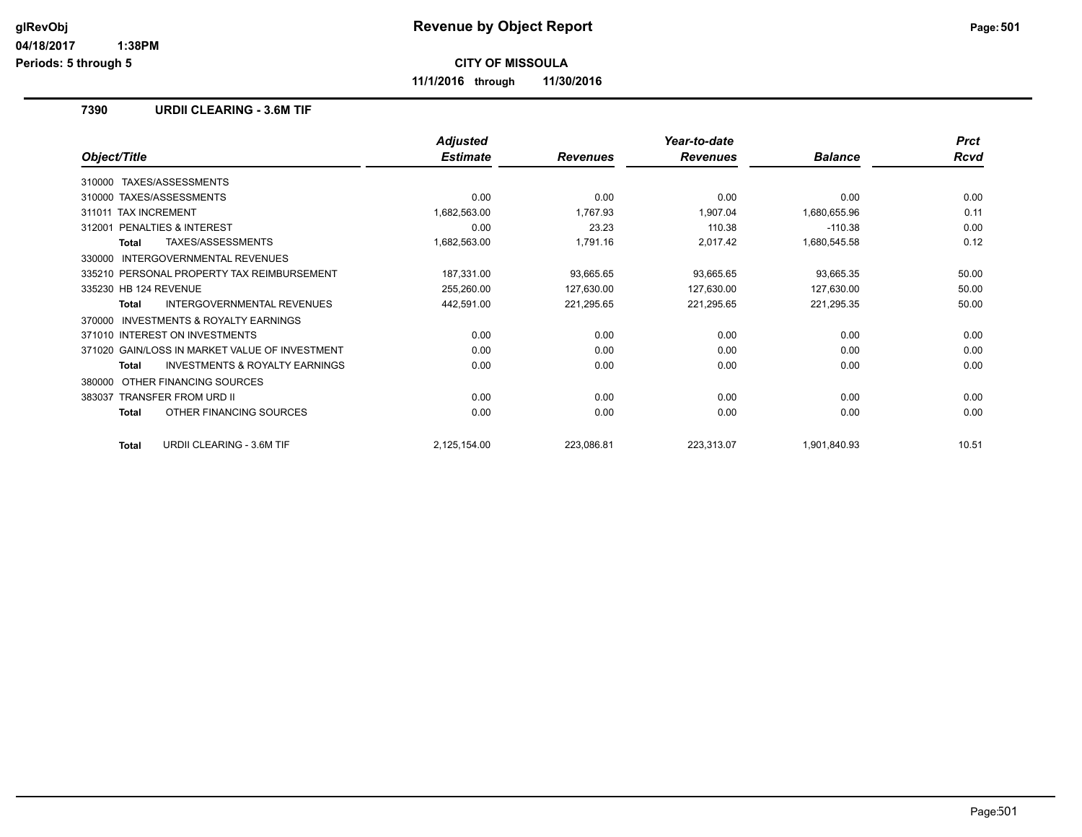**11/1/2016 through 11/30/2016**

#### **7390 URDII CLEARING - 3.6M TIF**

|                                                           | <b>Adjusted</b> |                 | Year-to-date    |                | <b>Prct</b> |
|-----------------------------------------------------------|-----------------|-----------------|-----------------|----------------|-------------|
| Object/Title                                              | <b>Estimate</b> | <b>Revenues</b> | <b>Revenues</b> | <b>Balance</b> | <b>Rcvd</b> |
| TAXES/ASSESSMENTS<br>310000                               |                 |                 |                 |                |             |
| 310000 TAXES/ASSESSMENTS                                  | 0.00            | 0.00            | 0.00            | 0.00           | 0.00        |
| 311011 TAX INCREMENT                                      | 1,682,563.00    | 1,767.93        | 1,907.04        | 1,680,655.96   | 0.11        |
| 312001 PENALTIES & INTEREST                               | 0.00            | 23.23           | 110.38          | $-110.38$      | 0.00        |
| TAXES/ASSESSMENTS<br>Total                                | 1,682,563.00    | 1,791.16        | 2,017.42        | 1,680,545.58   | 0.12        |
| <b>INTERGOVERNMENTAL REVENUES</b><br>330000               |                 |                 |                 |                |             |
| 335210 PERSONAL PROPERTY TAX REIMBURSEMENT                | 187,331.00      | 93,665.65       | 93,665.65       | 93,665.35      | 50.00       |
| 335230 HB 124 REVENUE                                     | 255,260.00      | 127,630.00      | 127,630.00      | 127,630.00     | 50.00       |
| <b>INTERGOVERNMENTAL REVENUES</b><br>Total                | 442,591.00      | 221,295.65      | 221,295.65      | 221,295.35     | 50.00       |
| <b>INVESTMENTS &amp; ROYALTY EARNINGS</b><br>370000       |                 |                 |                 |                |             |
| 371010 INTEREST ON INVESTMENTS                            | 0.00            | 0.00            | 0.00            | 0.00           | 0.00        |
| 371020 GAIN/LOSS IN MARKET VALUE OF INVESTMENT            | 0.00            | 0.00            | 0.00            | 0.00           | 0.00        |
| <b>INVESTMENTS &amp; ROYALTY EARNINGS</b><br><b>Total</b> | 0.00            | 0.00            | 0.00            | 0.00           | 0.00        |
| OTHER FINANCING SOURCES<br>380000                         |                 |                 |                 |                |             |
| 383037 TRANSFER FROM URD II                               | 0.00            | 0.00            | 0.00            | 0.00           | 0.00        |
| OTHER FINANCING SOURCES<br><b>Total</b>                   | 0.00            | 0.00            | 0.00            | 0.00           | 0.00        |
| URDII CLEARING - 3.6M TIF<br><b>Total</b>                 | 2,125,154.00    | 223,086.81      | 223,313.07      | 1,901,840.93   | 10.51       |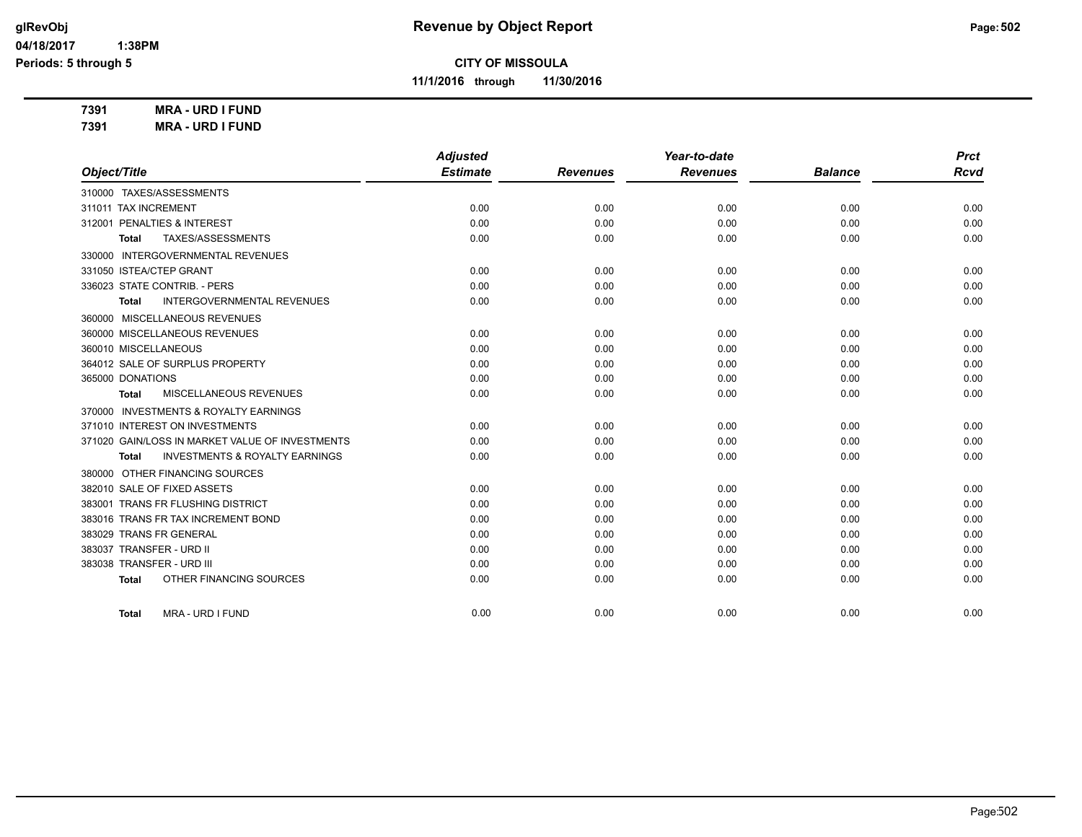**11/1/2016 through 11/30/2016**

**7391 MRA - URD I FUND 7391 MRA - URD I FUND**

|                                                    | <b>Adjusted</b> |                 | Year-to-date    |                | <b>Prct</b> |
|----------------------------------------------------|-----------------|-----------------|-----------------|----------------|-------------|
| Object/Title                                       | <b>Estimate</b> | <b>Revenues</b> | <b>Revenues</b> | <b>Balance</b> | <b>Rcvd</b> |
| 310000 TAXES/ASSESSMENTS                           |                 |                 |                 |                |             |
| 311011 TAX INCREMENT                               | 0.00            | 0.00            | 0.00            | 0.00           | 0.00        |
| 312001 PENALTIES & INTEREST                        | 0.00            | 0.00            | 0.00            | 0.00           | 0.00        |
| TAXES/ASSESSMENTS<br><b>Total</b>                  | 0.00            | 0.00            | 0.00            | 0.00           | 0.00        |
| 330000 INTERGOVERNMENTAL REVENUES                  |                 |                 |                 |                |             |
| 331050 ISTEA/CTEP GRANT                            | 0.00            | 0.00            | 0.00            | 0.00           | 0.00        |
| 336023 STATE CONTRIB. - PERS                       | 0.00            | 0.00            | 0.00            | 0.00           | 0.00        |
| <b>INTERGOVERNMENTAL REVENUES</b><br>Total         | 0.00            | 0.00            | 0.00            | 0.00           | 0.00        |
| 360000 MISCELLANEOUS REVENUES                      |                 |                 |                 |                |             |
| 360000 MISCELLANEOUS REVENUES                      | 0.00            | 0.00            | 0.00            | 0.00           | 0.00        |
| 360010 MISCELLANEOUS                               | 0.00            | 0.00            | 0.00            | 0.00           | 0.00        |
| 364012 SALE OF SURPLUS PROPERTY                    | 0.00            | 0.00            | 0.00            | 0.00           | 0.00        |
| 365000 DONATIONS                                   | 0.00            | 0.00            | 0.00            | 0.00           | 0.00        |
| MISCELLANEOUS REVENUES<br>Total                    | 0.00            | 0.00            | 0.00            | 0.00           | 0.00        |
| 370000 INVESTMENTS & ROYALTY EARNINGS              |                 |                 |                 |                |             |
| 371010 INTEREST ON INVESTMENTS                     | 0.00            | 0.00            | 0.00            | 0.00           | 0.00        |
| 371020 GAIN/LOSS IN MARKET VALUE OF INVESTMENTS    | 0.00            | 0.00            | 0.00            | 0.00           | 0.00        |
| <b>INVESTMENTS &amp; ROYALTY EARNINGS</b><br>Total | 0.00            | 0.00            | 0.00            | 0.00           | 0.00        |
| 380000 OTHER FINANCING SOURCES                     |                 |                 |                 |                |             |
| 382010 SALE OF FIXED ASSETS                        | 0.00            | 0.00            | 0.00            | 0.00           | 0.00        |
| 383001 TRANS FR FLUSHING DISTRICT                  | 0.00            | 0.00            | 0.00            | 0.00           | 0.00        |
| 383016 TRANS FR TAX INCREMENT BOND                 | 0.00            | 0.00            | 0.00            | 0.00           | 0.00        |
| 383029 TRANS FR GENERAL                            | 0.00            | 0.00            | 0.00            | 0.00           | 0.00        |
| 383037 TRANSFER - URD II                           | 0.00            | 0.00            | 0.00            | 0.00           | 0.00        |
| 383038 TRANSFER - URD III                          | 0.00            | 0.00            | 0.00            | 0.00           | 0.00        |
| OTHER FINANCING SOURCES<br><b>Total</b>            | 0.00            | 0.00            | 0.00            | 0.00           | 0.00        |
|                                                    |                 |                 |                 |                |             |
| <b>MRA - URD I FUND</b><br>Total                   | 0.00            | 0.00            | 0.00            | 0.00           | 0.00        |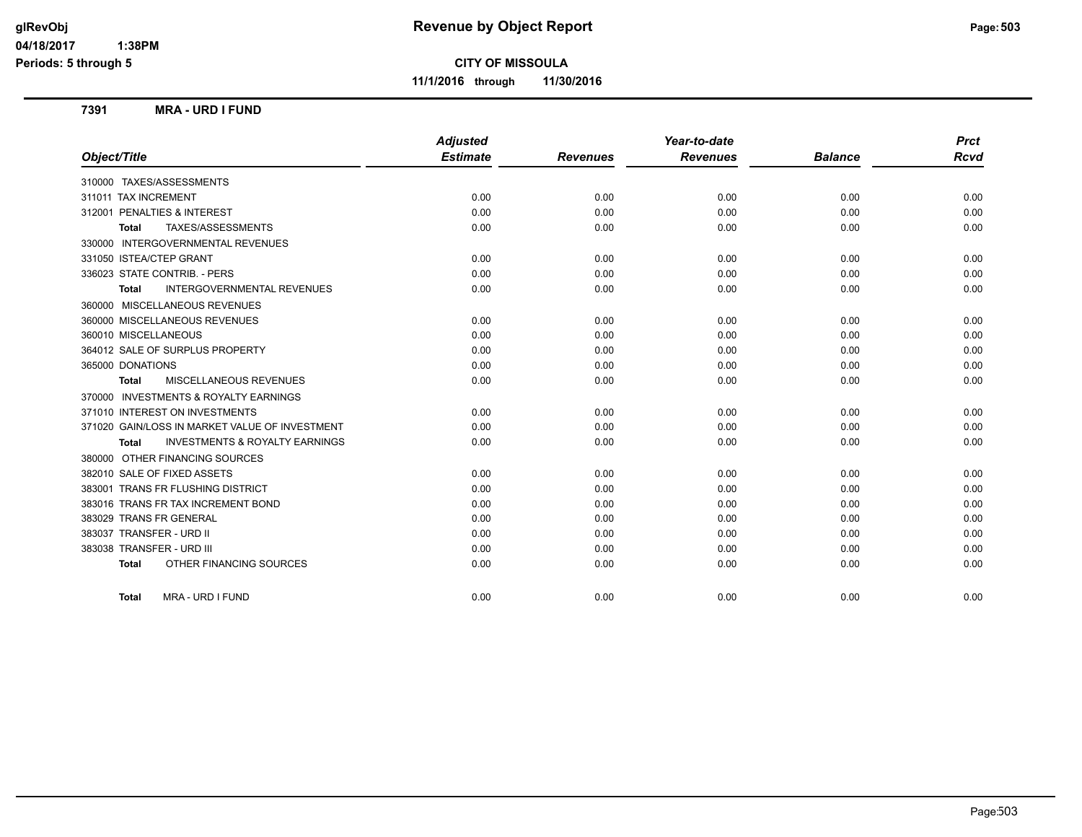**11/1/2016 through 11/30/2016**

#### **7391 MRA - URD I FUND**

|                                                    | <b>Adjusted</b> |                 | Year-to-date    |                | <b>Prct</b> |
|----------------------------------------------------|-----------------|-----------------|-----------------|----------------|-------------|
| Object/Title                                       | <b>Estimate</b> | <b>Revenues</b> | <b>Revenues</b> | <b>Balance</b> | <b>Rcvd</b> |
| 310000 TAXES/ASSESSMENTS                           |                 |                 |                 |                |             |
| 311011 TAX INCREMENT                               | 0.00            | 0.00            | 0.00            | 0.00           | 0.00        |
| 312001 PENALTIES & INTEREST                        | 0.00            | 0.00            | 0.00            | 0.00           | 0.00        |
| TAXES/ASSESSMENTS<br><b>Total</b>                  | 0.00            | 0.00            | 0.00            | 0.00           | 0.00        |
| 330000 INTERGOVERNMENTAL REVENUES                  |                 |                 |                 |                |             |
| 331050 ISTEA/CTEP GRANT                            | 0.00            | 0.00            | 0.00            | 0.00           | 0.00        |
| 336023 STATE CONTRIB. - PERS                       | 0.00            | 0.00            | 0.00            | 0.00           | 0.00        |
| <b>INTERGOVERNMENTAL REVENUES</b><br><b>Total</b>  | 0.00            | 0.00            | 0.00            | 0.00           | 0.00        |
| 360000 MISCELLANEOUS REVENUES                      |                 |                 |                 |                |             |
| 360000 MISCELLANEOUS REVENUES                      | 0.00            | 0.00            | 0.00            | 0.00           | 0.00        |
| 360010 MISCELLANEOUS                               | 0.00            | 0.00            | 0.00            | 0.00           | 0.00        |
| 364012 SALE OF SURPLUS PROPERTY                    | 0.00            | 0.00            | 0.00            | 0.00           | 0.00        |
| 365000 DONATIONS                                   | 0.00            | 0.00            | 0.00            | 0.00           | 0.00        |
| MISCELLANEOUS REVENUES<br><b>Total</b>             | 0.00            | 0.00            | 0.00            | 0.00           | 0.00        |
| 370000 INVESTMENTS & ROYALTY EARNINGS              |                 |                 |                 |                |             |
| 371010 INTEREST ON INVESTMENTS                     | 0.00            | 0.00            | 0.00            | 0.00           | 0.00        |
| 371020 GAIN/LOSS IN MARKET VALUE OF INVESTMENT     | 0.00            | 0.00            | 0.00            | 0.00           | 0.00        |
| <b>INVESTMENTS &amp; ROYALTY EARNINGS</b><br>Total | 0.00            | 0.00            | 0.00            | 0.00           | 0.00        |
| 380000 OTHER FINANCING SOURCES                     |                 |                 |                 |                |             |
| 382010 SALE OF FIXED ASSETS                        | 0.00            | 0.00            | 0.00            | 0.00           | 0.00        |
| 383001 TRANS FR FLUSHING DISTRICT                  | 0.00            | 0.00            | 0.00            | 0.00           | 0.00        |
| 383016 TRANS FR TAX INCREMENT BOND                 | 0.00            | 0.00            | 0.00            | 0.00           | 0.00        |
| 383029 TRANS FR GENERAL                            | 0.00            | 0.00            | 0.00            | 0.00           | 0.00        |
| 383037 TRANSFER - URD II                           | 0.00            | 0.00            | 0.00            | 0.00           | 0.00        |
| 383038 TRANSFER - URD III                          | 0.00            | 0.00            | 0.00            | 0.00           | 0.00        |
| OTHER FINANCING SOURCES<br><b>Total</b>            | 0.00            | 0.00            | 0.00            | 0.00           | 0.00        |
| <b>MRA - URD I FUND</b><br><b>Total</b>            | 0.00            | 0.00            | 0.00            | 0.00           | 0.00        |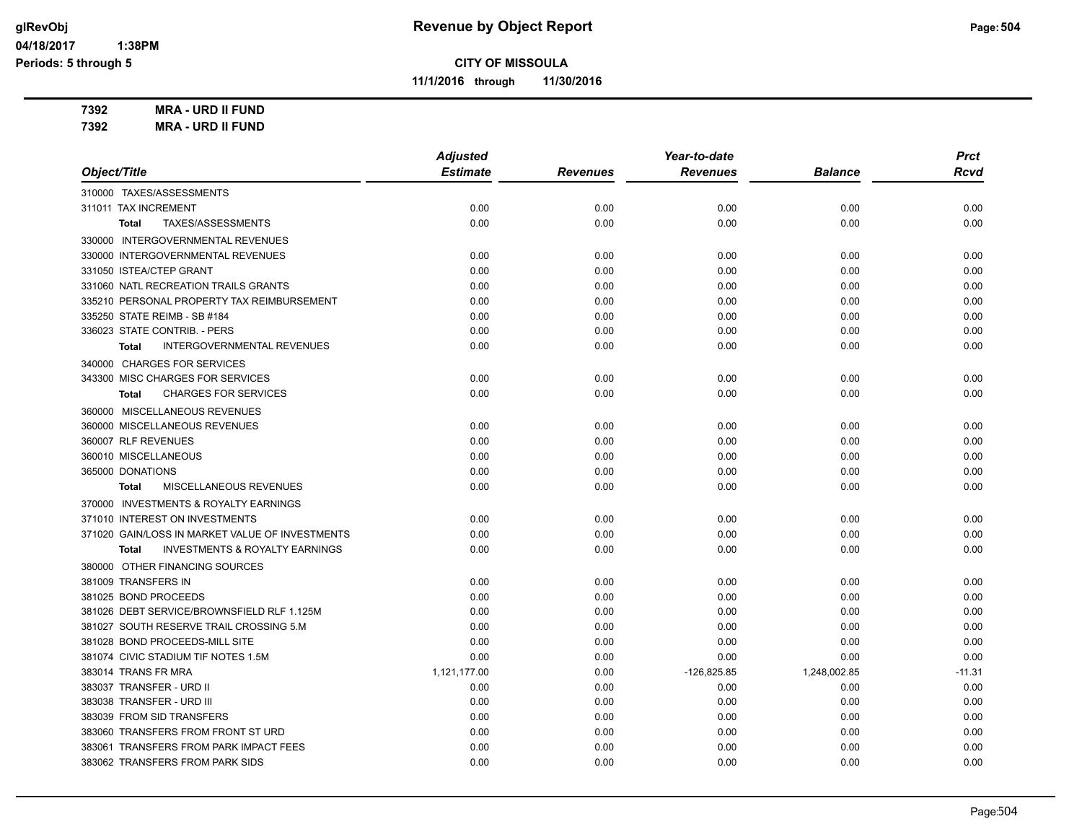**11/1/2016 through 11/30/2016**

**7392 MRA - URD II FUND**

| <b>MRA - URD II FUND</b><br>7392 |
|----------------------------------|
|----------------------------------|

|                                                    | <b>Adjusted</b> |                 | Year-to-date    |                | <b>Prct</b> |
|----------------------------------------------------|-----------------|-----------------|-----------------|----------------|-------------|
| Object/Title                                       | <b>Estimate</b> | <b>Revenues</b> | <b>Revenues</b> | <b>Balance</b> | <b>Rcvd</b> |
| 310000 TAXES/ASSESSMENTS                           |                 |                 |                 |                |             |
| 311011 TAX INCREMENT                               | 0.00            | 0.00            | 0.00            | 0.00           | 0.00        |
| TAXES/ASSESSMENTS<br>Total                         | 0.00            | 0.00            | 0.00            | 0.00           | 0.00        |
| 330000 INTERGOVERNMENTAL REVENUES                  |                 |                 |                 |                |             |
| 330000 INTERGOVERNMENTAL REVENUES                  | 0.00            | 0.00            | 0.00            | 0.00           | 0.00        |
| 331050 ISTEA/CTEP GRANT                            | 0.00            | 0.00            | 0.00            | 0.00           | 0.00        |
| 331060 NATL RECREATION TRAILS GRANTS               | 0.00            | 0.00            | 0.00            | 0.00           | 0.00        |
| 335210 PERSONAL PROPERTY TAX REIMBURSEMENT         | 0.00            | 0.00            | 0.00            | 0.00           | 0.00        |
| 335250 STATE REIMB - SB #184                       | 0.00            | 0.00            | 0.00            | 0.00           | 0.00        |
| 336023 STATE CONTRIB. - PERS                       | 0.00            | 0.00            | 0.00            | 0.00           | 0.00        |
| INTERGOVERNMENTAL REVENUES<br><b>Total</b>         | 0.00            | 0.00            | 0.00            | 0.00           | 0.00        |
| 340000 CHARGES FOR SERVICES                        |                 |                 |                 |                |             |
| 343300 MISC CHARGES FOR SERVICES                   | 0.00            | 0.00            | 0.00            | 0.00           | 0.00        |
| <b>CHARGES FOR SERVICES</b><br><b>Total</b>        | 0.00            | 0.00            | 0.00            | 0.00           | 0.00        |
| 360000 MISCELLANEOUS REVENUES                      |                 |                 |                 |                |             |
| 360000 MISCELLANEOUS REVENUES                      | 0.00            | 0.00            | 0.00            | 0.00           | 0.00        |
| 360007 RLF REVENUES                                | 0.00            | 0.00            | 0.00            | 0.00           | 0.00        |
| 360010 MISCELLANEOUS                               | 0.00            | 0.00            | 0.00            | 0.00           | 0.00        |
| 365000 DONATIONS                                   | 0.00            | 0.00            | 0.00            | 0.00           | 0.00        |
| MISCELLANEOUS REVENUES<br>Total                    | 0.00            | 0.00            | 0.00            | 0.00           | 0.00        |
| 370000 INVESTMENTS & ROYALTY EARNINGS              |                 |                 |                 |                |             |
| 371010 INTEREST ON INVESTMENTS                     | 0.00            | 0.00            | 0.00            | 0.00           | 0.00        |
| 371020 GAIN/LOSS IN MARKET VALUE OF INVESTMENTS    | 0.00            | 0.00            | 0.00            | 0.00           | 0.00        |
| <b>INVESTMENTS &amp; ROYALTY EARNINGS</b><br>Total | 0.00            | 0.00            | 0.00            | 0.00           | 0.00        |
| 380000 OTHER FINANCING SOURCES                     |                 |                 |                 |                |             |
| 381009 TRANSFERS IN                                | 0.00            | 0.00            | 0.00            | 0.00           | 0.00        |
| 381025 BOND PROCEEDS                               | 0.00            | 0.00            | 0.00            | 0.00           | 0.00        |
| 381026 DEBT SERVICE/BROWNSFIELD RLF 1.125M         | 0.00            | 0.00            | 0.00            | 0.00           | 0.00        |
| 381027 SOUTH RESERVE TRAIL CROSSING 5.M            | 0.00            | 0.00            | 0.00            | 0.00           | 0.00        |
| 381028 BOND PROCEEDS-MILL SITE                     | 0.00            | 0.00            | 0.00            | 0.00           | 0.00        |
| 381074 CIVIC STADIUM TIF NOTES 1.5M                | 0.00            | 0.00            | 0.00            | 0.00           | 0.00        |
| 383014 TRANS FR MRA                                | 1,121,177.00    | 0.00            | $-126,825.85$   | 1,248,002.85   | $-11.31$    |
| 383037 TRANSFER - URD II                           | 0.00            | 0.00            | 0.00            | 0.00           | 0.00        |
| 383038 TRANSFER - URD III                          | 0.00            | 0.00            | 0.00            | 0.00           | 0.00        |
| 383039 FROM SID TRANSFERS                          | 0.00            | 0.00            | 0.00            | 0.00           | 0.00        |
| 383060 TRANSFERS FROM FRONT ST URD                 | 0.00            | 0.00            | 0.00            | 0.00           | 0.00        |
| 383061 TRANSFERS FROM PARK IMPACT FEES             | 0.00            | 0.00            | 0.00            | 0.00           | 0.00        |
| 383062 TRANSFERS FROM PARK SIDS                    | 0.00            | 0.00            | 0.00            | 0.00           | 0.00        |
|                                                    |                 |                 |                 |                |             |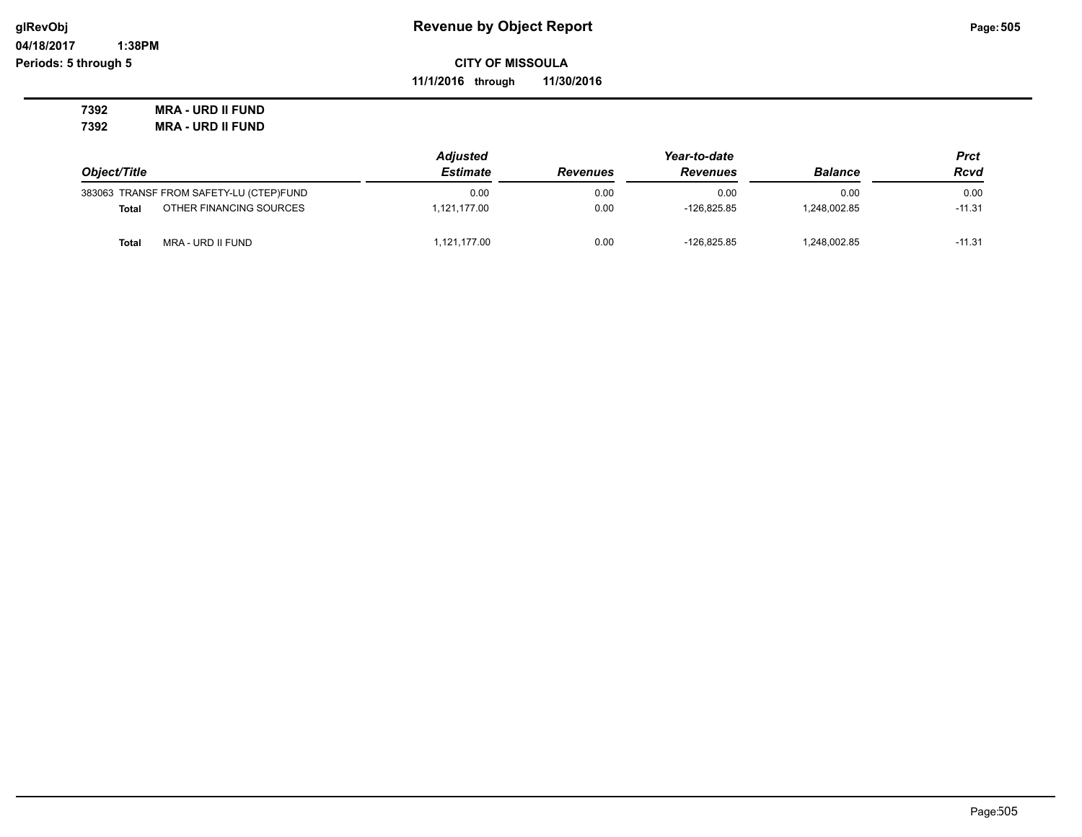**04/18/2017 1:38PM Periods: 5 through 5**

### **CITY OF MISSOULA 11/1/2016 through 11/30/2016**

**7392 MRA - URD II FUND 7392 MRA - URD II FUND**

|                                         | <b>Adjusted</b> |                 | Year-to-date    |                | <b>Prct</b> |
|-----------------------------------------|-----------------|-----------------|-----------------|----------------|-------------|
| Object/Title                            | <b>Estimate</b> | <b>Revenues</b> | <b>Revenues</b> | <b>Balance</b> | <b>Rcvd</b> |
| 383063 TRANSF FROM SAFETY-LU (CTEP)FUND | 0.00            | 0.00            | 0.00            | 0.00           | 0.00        |
| OTHER FINANCING SOURCES<br><b>Total</b> | 1.121.177.00    | 0.00            | $-126.825.85$   | 1.248.002.85   | $-11.31$    |
| MRA - URD II FUND<br>Total              | 1,121,177.00    | 0.00            | $-126.825.85$   | 1,248,002.85   | $-11.31$    |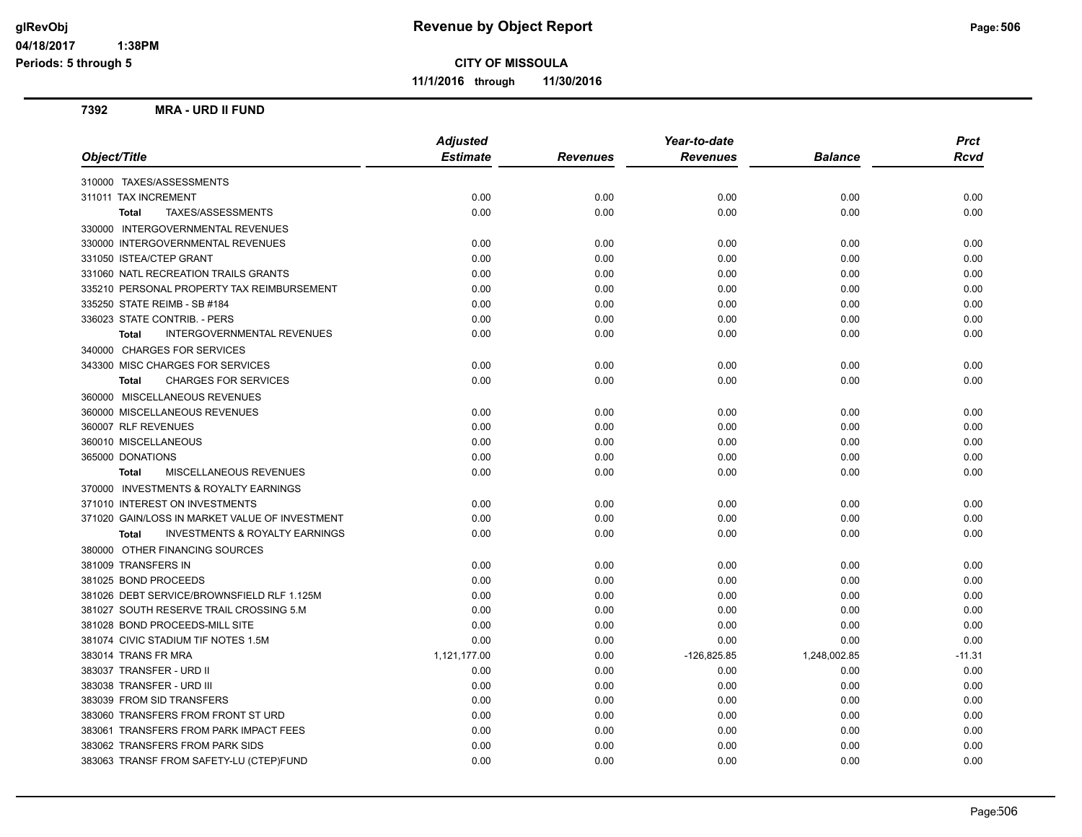**11/1/2016 through 11/30/2016**

### **7392 MRA - URD II FUND**

| <b>Adjusted</b><br><b>Estimate</b><br>Object/Title<br><b>Revenues</b><br><b>Revenues</b><br><b>Balance</b><br>310000 TAXES/ASSESSMENTS<br>311011 TAX INCREMENT<br>0.00<br>0.00<br>0.00<br>0.00<br>0.00<br>0.00<br>0.00<br>0.00<br>TAXES/ASSESSMENTS<br><b>Total</b> |                                   |  |  |             |
|---------------------------------------------------------------------------------------------------------------------------------------------------------------------------------------------------------------------------------------------------------------------|-----------------------------------|--|--|-------------|
|                                                                                                                                                                                                                                                                     |                                   |  |  | <b>Rcvd</b> |
|                                                                                                                                                                                                                                                                     |                                   |  |  |             |
|                                                                                                                                                                                                                                                                     |                                   |  |  | 0.00        |
|                                                                                                                                                                                                                                                                     |                                   |  |  | 0.00        |
|                                                                                                                                                                                                                                                                     | 330000 INTERGOVERNMENTAL REVENUES |  |  |             |
| 330000 INTERGOVERNMENTAL REVENUES<br>0.00<br>0.00<br>0.00<br>0.00                                                                                                                                                                                                   |                                   |  |  | 0.00        |
| 331050 ISTEA/CTEP GRANT<br>0.00<br>0.00<br>0.00<br>0.00                                                                                                                                                                                                             |                                   |  |  | 0.00        |
| 331060 NATL RECREATION TRAILS GRANTS<br>0.00<br>0.00<br>0.00<br>0.00                                                                                                                                                                                                |                                   |  |  | 0.00        |
| 335210 PERSONAL PROPERTY TAX REIMBURSEMENT<br>0.00<br>0.00<br>0.00<br>0.00                                                                                                                                                                                          |                                   |  |  | 0.00        |
| 335250 STATE REIMB - SB #184<br>0.00<br>0.00<br>0.00<br>0.00                                                                                                                                                                                                        |                                   |  |  | 0.00        |
| 336023 STATE CONTRIB. - PERS<br>0.00<br>0.00<br>0.00<br>0.00                                                                                                                                                                                                        |                                   |  |  | 0.00        |
| <b>INTERGOVERNMENTAL REVENUES</b><br>0.00<br>0.00<br>0.00<br>0.00<br><b>Total</b>                                                                                                                                                                                   |                                   |  |  | 0.00        |
| 340000 CHARGES FOR SERVICES                                                                                                                                                                                                                                         |                                   |  |  |             |
| 343300 MISC CHARGES FOR SERVICES<br>0.00<br>0.00<br>0.00<br>0.00                                                                                                                                                                                                    |                                   |  |  | 0.00        |
| <b>CHARGES FOR SERVICES</b><br>0.00<br>0.00<br>0.00<br>0.00<br><b>Total</b>                                                                                                                                                                                         |                                   |  |  | 0.00        |
| 360000 MISCELLANEOUS REVENUES                                                                                                                                                                                                                                       |                                   |  |  |             |
| 360000 MISCELLANEOUS REVENUES<br>0.00<br>0.00<br>0.00<br>0.00                                                                                                                                                                                                       |                                   |  |  | 0.00        |
| 360007 RLF REVENUES<br>0.00<br>0.00<br>0.00<br>0.00                                                                                                                                                                                                                 |                                   |  |  | 0.00        |
| 360010 MISCELLANEOUS<br>0.00<br>0.00<br>0.00<br>0.00                                                                                                                                                                                                                |                                   |  |  | 0.00        |
| 365000 DONATIONS<br>0.00<br>0.00<br>0.00<br>0.00                                                                                                                                                                                                                    |                                   |  |  | 0.00        |
| MISCELLANEOUS REVENUES<br>0.00<br>0.00<br>0.00<br>0.00<br><b>Total</b>                                                                                                                                                                                              |                                   |  |  | 0.00        |
| 370000 INVESTMENTS & ROYALTY EARNINGS                                                                                                                                                                                                                               |                                   |  |  |             |
| 371010 INTEREST ON INVESTMENTS<br>0.00<br>0.00<br>0.00<br>0.00                                                                                                                                                                                                      |                                   |  |  | 0.00        |
| 0.00<br>0.00<br>0.00<br>371020 GAIN/LOSS IN MARKET VALUE OF INVESTMENT<br>0.00                                                                                                                                                                                      |                                   |  |  | 0.00        |
| <b>INVESTMENTS &amp; ROYALTY EARNINGS</b><br>0.00<br>0.00<br>0.00<br>0.00<br><b>Total</b>                                                                                                                                                                           |                                   |  |  | 0.00        |
| 380000 OTHER FINANCING SOURCES                                                                                                                                                                                                                                      |                                   |  |  |             |
| 381009 TRANSFERS IN<br>0.00<br>0.00<br>0.00<br>0.00                                                                                                                                                                                                                 |                                   |  |  | 0.00        |
| 381025 BOND PROCEEDS<br>0.00<br>0.00<br>0.00<br>0.00                                                                                                                                                                                                                |                                   |  |  | 0.00        |
| 381026 DEBT SERVICE/BROWNSFIELD RLF 1.125M<br>0.00<br>0.00<br>0.00<br>0.00                                                                                                                                                                                          |                                   |  |  | 0.00        |
| 381027 SOUTH RESERVE TRAIL CROSSING 5.M<br>0.00<br>0.00<br>0.00<br>0.00                                                                                                                                                                                             |                                   |  |  | 0.00        |
| 381028 BOND PROCEEDS-MILL SITE<br>0.00<br>0.00<br>0.00<br>0.00                                                                                                                                                                                                      |                                   |  |  | 0.00        |
| 381074 CIVIC STADIUM TIF NOTES 1.5M<br>0.00<br>0.00<br>0.00<br>0.00                                                                                                                                                                                                 |                                   |  |  | 0.00        |
| 1,121,177.00<br>$-126,825.85$<br>1,248,002.85<br>383014 TRANS FR MRA<br>0.00                                                                                                                                                                                        |                                   |  |  | $-11.31$    |
| 383037 TRANSFER - URD II<br>0.00<br>0.00<br>0.00<br>0.00                                                                                                                                                                                                            |                                   |  |  | 0.00        |
| 383038 TRANSFER - URD III<br>0.00<br>0.00<br>0.00<br>0.00                                                                                                                                                                                                           |                                   |  |  | 0.00        |
| 383039 FROM SID TRANSFERS<br>0.00<br>0.00<br>0.00<br>0.00                                                                                                                                                                                                           |                                   |  |  | 0.00        |
| 383060 TRANSFERS FROM FRONT ST URD<br>0.00<br>0.00<br>0.00<br>0.00                                                                                                                                                                                                  |                                   |  |  | 0.00        |
| 383061 TRANSFERS FROM PARK IMPACT FEES<br>0.00<br>0.00<br>0.00<br>0.00                                                                                                                                                                                              |                                   |  |  | 0.00        |
| 383062 TRANSFERS FROM PARK SIDS<br>0.00<br>0.00<br>0.00<br>0.00                                                                                                                                                                                                     |                                   |  |  | 0.00        |
| 383063 TRANSF FROM SAFETY-LU (CTEP)FUND<br>0.00<br>0.00<br>0.00<br>0.00                                                                                                                                                                                             |                                   |  |  | 0.00        |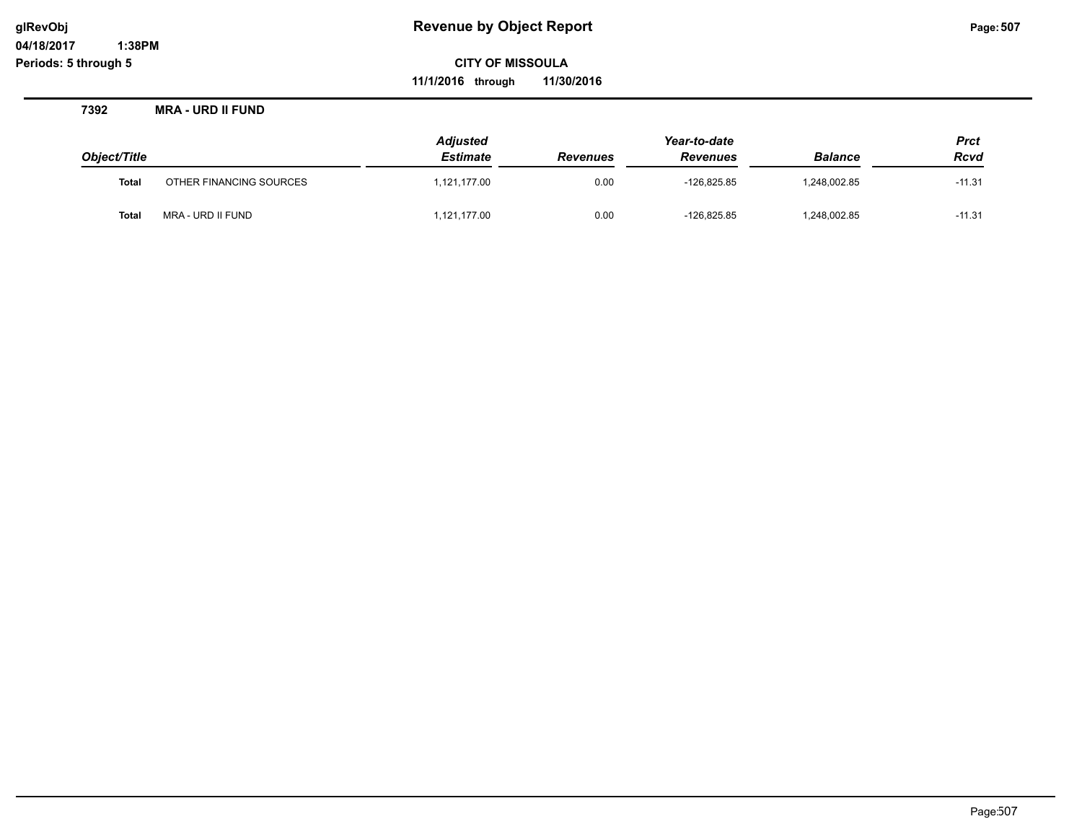**04/18/2017 1:38PM Periods: 5 through 5**

**CITY OF MISSOULA 11/1/2016 through 11/30/2016**

**7392 MRA - URD II FUND**

|              |                         | <b>Adjusted</b> |                 | Year-to-date    |                |          |
|--------------|-------------------------|-----------------|-----------------|-----------------|----------------|----------|
| Object/Title |                         | <b>Estimate</b> | <b>Revenues</b> | <b>Revenues</b> | <b>Balance</b> | Rcvd     |
| <b>Total</b> | OTHER FINANCING SOURCES | 1.121.177.00    | 0.00            | $-126.825.85$   | 1.248.002.85   | $-11.31$ |
| <b>Total</b> | MRA - URD II FUND       | 1,121,177.00    | 0.00            | $-126.825.85$   | 1,248,002.85   | $-11.31$ |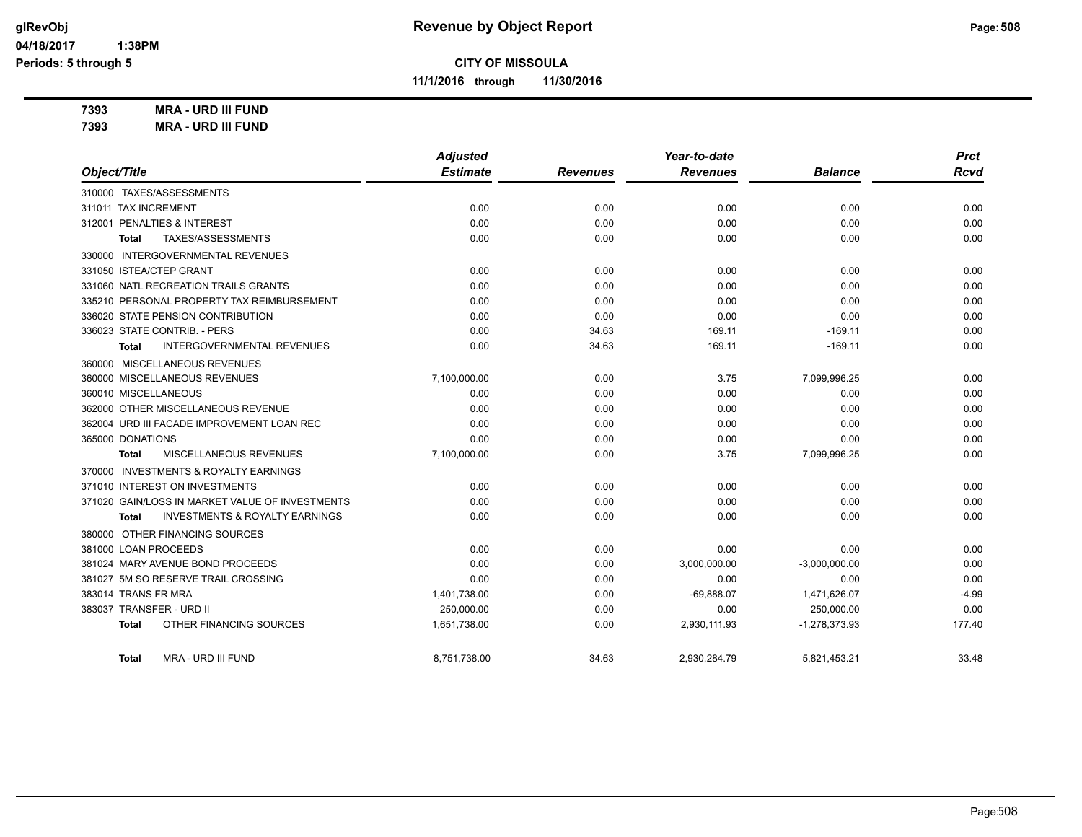**11/1/2016 through 11/30/2016**

**7393 MRA - URD III FUND 7393 MRA - URD III FUND**

|                                                    | <b>Adjusted</b> |                 | Year-to-date    |                 | <b>Prct</b> |
|----------------------------------------------------|-----------------|-----------------|-----------------|-----------------|-------------|
| Object/Title                                       | <b>Estimate</b> | <b>Revenues</b> | <b>Revenues</b> | <b>Balance</b>  | <b>Rcvd</b> |
| 310000 TAXES/ASSESSMENTS                           |                 |                 |                 |                 |             |
| 311011 TAX INCREMENT                               | 0.00            | 0.00            | 0.00            | 0.00            | 0.00        |
| 312001 PENALTIES & INTEREST                        | 0.00            | 0.00            | 0.00            | 0.00            | 0.00        |
| TAXES/ASSESSMENTS<br>Total                         | 0.00            | 0.00            | 0.00            | 0.00            | 0.00        |
| 330000 INTERGOVERNMENTAL REVENUES                  |                 |                 |                 |                 |             |
| 331050 ISTEA/CTEP GRANT                            | 0.00            | 0.00            | 0.00            | 0.00            | 0.00        |
| 331060 NATL RECREATION TRAILS GRANTS               | 0.00            | 0.00            | 0.00            | 0.00            | 0.00        |
| 335210 PERSONAL PROPERTY TAX REIMBURSEMENT         | 0.00            | 0.00            | 0.00            | 0.00            | 0.00        |
| 336020 STATE PENSION CONTRIBUTION                  | 0.00            | 0.00            | 0.00            | 0.00            | 0.00        |
| 336023 STATE CONTRIB. - PERS                       | 0.00            | 34.63           | 169.11          | $-169.11$       | 0.00        |
| <b>INTERGOVERNMENTAL REVENUES</b><br><b>Total</b>  | 0.00            | 34.63           | 169.11          | $-169.11$       | 0.00        |
| 360000 MISCELLANEOUS REVENUES                      |                 |                 |                 |                 |             |
| 360000 MISCELLANEOUS REVENUES                      | 7,100,000.00    | 0.00            | 3.75            | 7,099,996.25    | 0.00        |
| 360010 MISCELLANEOUS                               | 0.00            | 0.00            | 0.00            | 0.00            | 0.00        |
| 362000 OTHER MISCELLANEOUS REVENUE                 | 0.00            | 0.00            | 0.00            | 0.00            | 0.00        |
| 362004 URD III FACADE IMPROVEMENT LOAN REC         | 0.00            | 0.00            | 0.00            | 0.00            | 0.00        |
| 365000 DONATIONS                                   | 0.00            | 0.00            | 0.00            | 0.00            | 0.00        |
| MISCELLANEOUS REVENUES<br>Total                    | 7,100,000.00    | 0.00            | 3.75            | 7,099,996.25    | 0.00        |
| 370000 INVESTMENTS & ROYALTY EARNINGS              |                 |                 |                 |                 |             |
| 371010 INTEREST ON INVESTMENTS                     | 0.00            | 0.00            | 0.00            | 0.00            | 0.00        |
| 371020 GAIN/LOSS IN MARKET VALUE OF INVESTMENTS    | 0.00            | 0.00            | 0.00            | 0.00            | 0.00        |
| <b>INVESTMENTS &amp; ROYALTY EARNINGS</b><br>Total | 0.00            | 0.00            | 0.00            | 0.00            | 0.00        |
| 380000 OTHER FINANCING SOURCES                     |                 |                 |                 |                 |             |
| 381000 LOAN PROCEEDS                               | 0.00            | 0.00            | 0.00            | 0.00            | 0.00        |
| 381024 MARY AVENUE BOND PROCEEDS                   | 0.00            | 0.00            | 3,000,000.00    | $-3,000,000.00$ | 0.00        |
| 381027 5M SO RESERVE TRAIL CROSSING                | 0.00            | 0.00            | 0.00            | 0.00            | 0.00        |
| 383014 TRANS FR MRA                                | 1,401,738.00    | 0.00            | $-69,888.07$    | 1,471,626.07    | $-4.99$     |
| 383037 TRANSFER - URD II                           | 250,000.00      | 0.00            | 0.00            | 250,000.00      | 0.00        |
| OTHER FINANCING SOURCES<br>Total                   | 1,651,738.00    | 0.00            | 2,930,111.93    | $-1,278,373.93$ | 177.40      |
| MRA - URD III FUND<br>Total                        | 8,751,738.00    | 34.63           | 2,930,284.79    | 5,821,453.21    | 33.48       |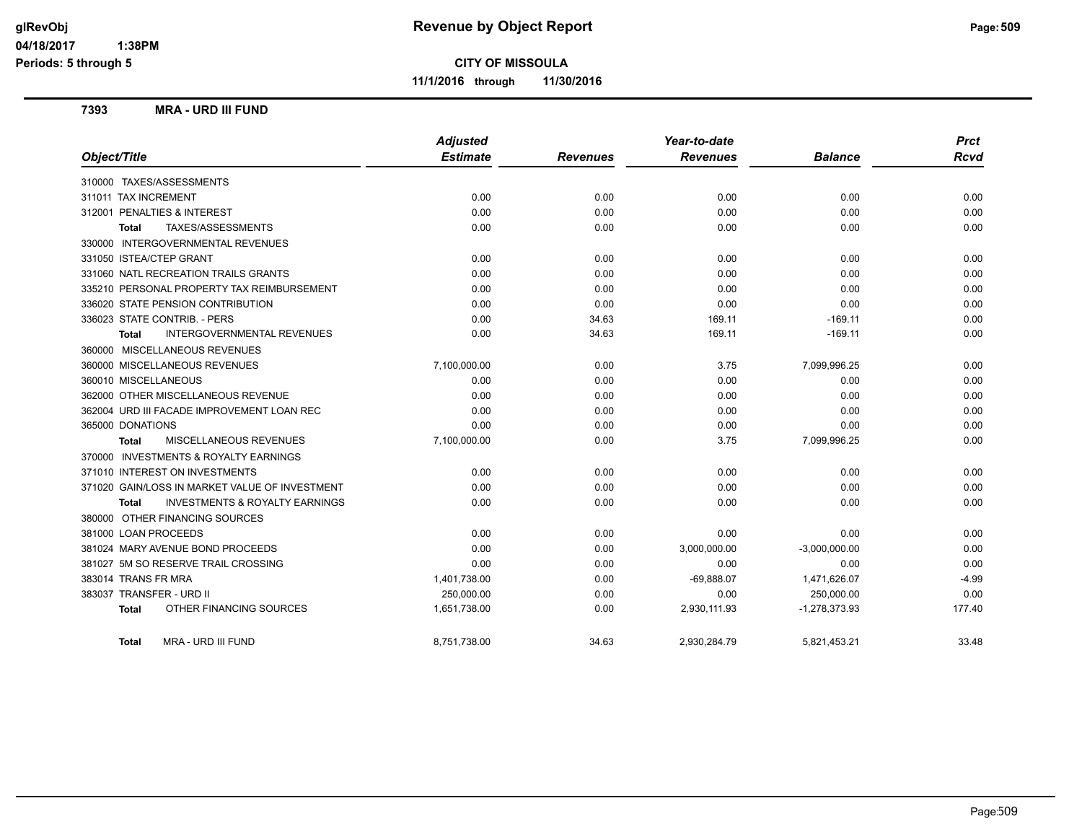**11/1/2016 through 11/30/2016**

### **7393 MRA - URD III FUND**

|                                                    | <b>Adjusted</b> |                 | Year-to-date    |                 | <b>Prct</b> |
|----------------------------------------------------|-----------------|-----------------|-----------------|-----------------|-------------|
| Object/Title                                       | <b>Estimate</b> | <b>Revenues</b> | <b>Revenues</b> | <b>Balance</b>  | <b>Rcvd</b> |
| 310000 TAXES/ASSESSMENTS                           |                 |                 |                 |                 |             |
| 311011 TAX INCREMENT                               | 0.00            | 0.00            | 0.00            | 0.00            | 0.00        |
| 312001 PENALTIES & INTEREST                        | 0.00            | 0.00            | 0.00            | 0.00            | 0.00        |
| TAXES/ASSESSMENTS<br><b>Total</b>                  | 0.00            | 0.00            | 0.00            | 0.00            | 0.00        |
| 330000 INTERGOVERNMENTAL REVENUES                  |                 |                 |                 |                 |             |
| 331050 ISTEA/CTEP GRANT                            | 0.00            | 0.00            | 0.00            | 0.00            | 0.00        |
| 331060 NATL RECREATION TRAILS GRANTS               | 0.00            | 0.00            | 0.00            | 0.00            | 0.00        |
| 335210 PERSONAL PROPERTY TAX REIMBURSEMENT         | 0.00            | 0.00            | 0.00            | 0.00            | 0.00        |
| 336020 STATE PENSION CONTRIBUTION                  | 0.00            | 0.00            | 0.00            | 0.00            | 0.00        |
| 336023 STATE CONTRIB. - PERS                       | 0.00            | 34.63           | 169.11          | $-169.11$       | 0.00        |
| Total<br><b>INTERGOVERNMENTAL REVENUES</b>         | 0.00            | 34.63           | 169.11          | $-169.11$       | 0.00        |
| 360000 MISCELLANEOUS REVENUES                      |                 |                 |                 |                 |             |
| 360000 MISCELLANEOUS REVENUES                      | 7,100,000.00    | 0.00            | 3.75            | 7,099,996.25    | 0.00        |
| 360010 MISCELLANEOUS                               | 0.00            | 0.00            | 0.00            | 0.00            | 0.00        |
| 362000 OTHER MISCELLANEOUS REVENUE                 | 0.00            | 0.00            | 0.00            | 0.00            | 0.00        |
| 362004 URD III FACADE IMPROVEMENT LOAN REC         | 0.00            | 0.00            | 0.00            | 0.00            | 0.00        |
| 365000 DONATIONS                                   | 0.00            | 0.00            | 0.00            | 0.00            | 0.00        |
| MISCELLANEOUS REVENUES<br><b>Total</b>             | 7,100,000.00    | 0.00            | 3.75            | 7,099,996.25    | 0.00        |
| 370000 INVESTMENTS & ROYALTY EARNINGS              |                 |                 |                 |                 |             |
| 371010 INTEREST ON INVESTMENTS                     | 0.00            | 0.00            | 0.00            | 0.00            | 0.00        |
| 371020 GAIN/LOSS IN MARKET VALUE OF INVESTMENT     | 0.00            | 0.00            | 0.00            | 0.00            | 0.00        |
| <b>INVESTMENTS &amp; ROYALTY EARNINGS</b><br>Total | 0.00            | 0.00            | 0.00            | 0.00            | 0.00        |
| 380000 OTHER FINANCING SOURCES                     |                 |                 |                 |                 |             |
| 381000 LOAN PROCEEDS                               | 0.00            | 0.00            | 0.00            | 0.00            | 0.00        |
| 381024 MARY AVENUE BOND PROCEEDS                   | 0.00            | 0.00            | 3,000,000.00    | $-3,000,000.00$ | 0.00        |
| 381027 5M SO RESERVE TRAIL CROSSING                | 0.00            | 0.00            | 0.00            | 0.00            | 0.00        |
| 383014 TRANS FR MRA                                | 1,401,738.00    | 0.00            | $-69,888.07$    | 1,471,626.07    | $-4.99$     |
| 383037 TRANSFER - URD II                           | 250,000.00      | 0.00            | 0.00            | 250,000.00      | 0.00        |
| OTHER FINANCING SOURCES<br><b>Total</b>            | 1,651,738.00    | 0.00            | 2,930,111.93    | $-1,278,373.93$ | 177.40      |
| <b>MRA - URD III FUND</b><br><b>Total</b>          | 8.751.738.00    | 34.63           | 2.930.284.79    | 5.821.453.21    | 33.48       |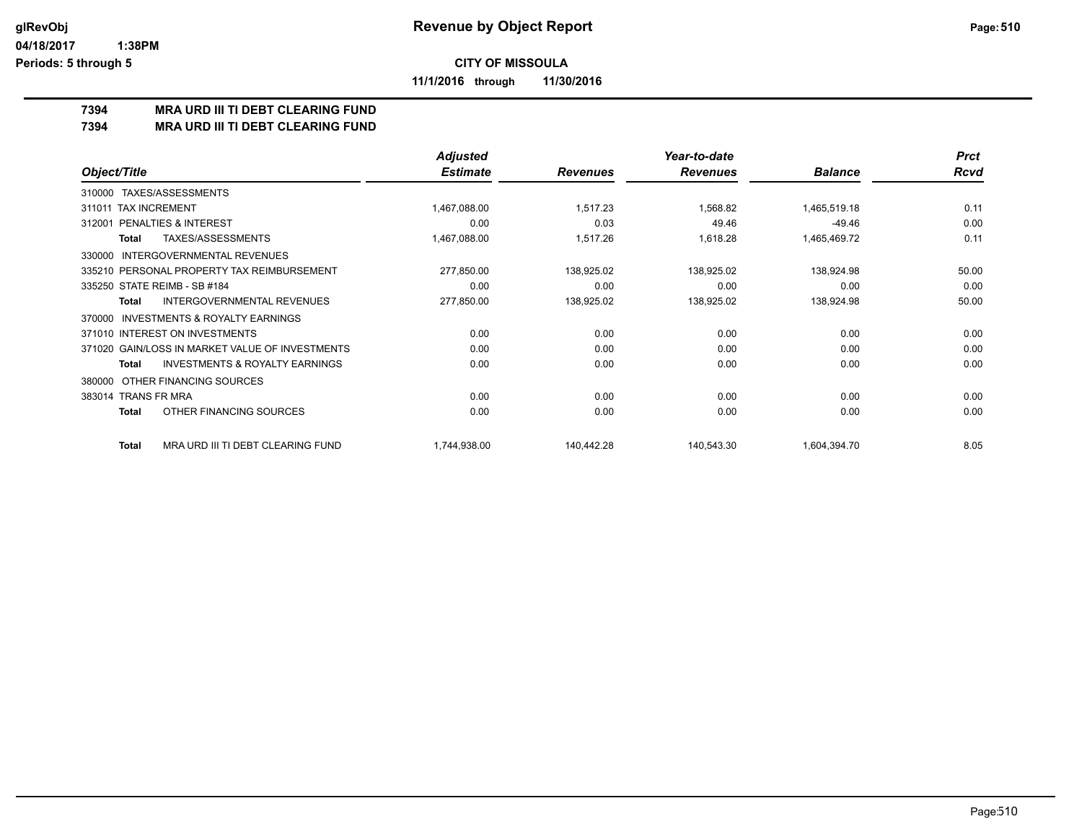**11/1/2016 through 11/30/2016**

### **7394 MRA URD III TI DEBT CLEARING FUND 7394 MRA URD III TI DEBT CLEARING FUND**

|                                                           | <b>Adjusted</b> |                 | Year-to-date    |                | <b>Prct</b> |
|-----------------------------------------------------------|-----------------|-----------------|-----------------|----------------|-------------|
| Object/Title                                              | <b>Estimate</b> | <b>Revenues</b> | <b>Revenues</b> | <b>Balance</b> | Rcvd        |
| 310000 TAXES/ASSESSMENTS                                  |                 |                 |                 |                |             |
| <b>TAX INCREMENT</b><br>311011                            | 1,467,088.00    | 1,517.23        | 1,568.82        | 1,465,519.18   | 0.11        |
| PENALTIES & INTEREST<br>312001                            | 0.00            | 0.03            | 49.46           | $-49.46$       | 0.00        |
| TAXES/ASSESSMENTS<br><b>Total</b>                         | 1,467,088.00    | 1,517.26        | 1,618.28        | 1,465,469.72   | 0.11        |
| <b>INTERGOVERNMENTAL REVENUES</b><br>330000               |                 |                 |                 |                |             |
| 335210 PERSONAL PROPERTY TAX REIMBURSEMENT                | 277,850.00      | 138,925.02      | 138,925.02      | 138,924.98     | 50.00       |
| 335250 STATE REIMB - SB #184                              | 0.00            | 0.00            | 0.00            | 0.00           | 0.00        |
| INTERGOVERNMENTAL REVENUES<br>Total                       | 277,850.00      | 138,925.02      | 138,925.02      | 138,924.98     | 50.00       |
| <b>INVESTMENTS &amp; ROYALTY EARNINGS</b><br>370000       |                 |                 |                 |                |             |
| 371010 INTEREST ON INVESTMENTS                            | 0.00            | 0.00            | 0.00            | 0.00           | 0.00        |
| 371020 GAIN/LOSS IN MARKET VALUE OF INVESTMENTS           | 0.00            | 0.00            | 0.00            | 0.00           | 0.00        |
| <b>INVESTMENTS &amp; ROYALTY EARNINGS</b><br><b>Total</b> | 0.00            | 0.00            | 0.00            | 0.00           | 0.00        |
| OTHER FINANCING SOURCES<br>380000                         |                 |                 |                 |                |             |
| 383014 TRANS FR MRA                                       | 0.00            | 0.00            | 0.00            | 0.00           | 0.00        |
| OTHER FINANCING SOURCES<br><b>Total</b>                   | 0.00            | 0.00            | 0.00            | 0.00           | 0.00        |
| MRA URD III TI DEBT CLEARING FUND<br><b>Total</b>         | 1,744,938.00    | 140,442.28      | 140,543.30      | 1,604,394.70   | 8.05        |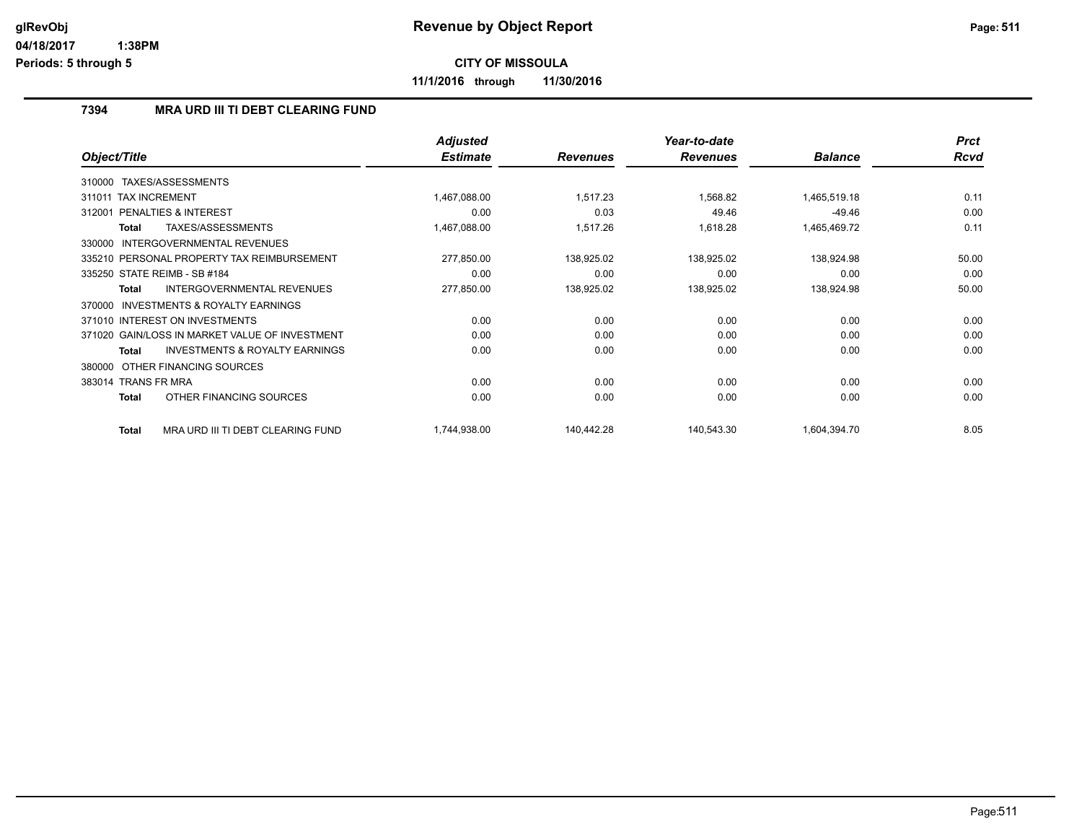**11/1/2016 through 11/30/2016**

### **7394 MRA URD III TI DEBT CLEARING FUND**

|                                                    | <b>Adjusted</b> |                 | Year-to-date    |                | <b>Prct</b> |
|----------------------------------------------------|-----------------|-----------------|-----------------|----------------|-------------|
| Object/Title                                       | <b>Estimate</b> | <b>Revenues</b> | <b>Revenues</b> | <b>Balance</b> | <b>Rcvd</b> |
| TAXES/ASSESSMENTS<br>310000                        |                 |                 |                 |                |             |
| 311011 TAX INCREMENT                               | 1,467,088.00    | 1.517.23        | 1,568.82        | 1,465,519.18   | 0.11        |
| 312001 PENALTIES & INTEREST                        | 0.00            | 0.03            | 49.46           | $-49.46$       | 0.00        |
| TAXES/ASSESSMENTS<br>Total                         | 1,467,088.00    | 1,517.26        | 1,618.28        | 1,465,469.72   | 0.11        |
| <b>INTERGOVERNMENTAL REVENUES</b><br>330000        |                 |                 |                 |                |             |
| 335210 PERSONAL PROPERTY TAX REIMBURSEMENT         | 277,850.00      | 138,925.02      | 138,925.02      | 138,924.98     | 50.00       |
| 335250 STATE REIMB - SB #184                       | 0.00            | 0.00            | 0.00            | 0.00           | 0.00        |
| <b>Total</b><br><b>INTERGOVERNMENTAL REVENUES</b>  | 277,850.00      | 138,925.02      | 138,925.02      | 138,924.98     | 50.00       |
| INVESTMENTS & ROYALTY EARNINGS<br>370000           |                 |                 |                 |                |             |
| 371010 INTEREST ON INVESTMENTS                     | 0.00            | 0.00            | 0.00            | 0.00           | 0.00        |
| 371020 GAIN/LOSS IN MARKET VALUE OF INVESTMENT     | 0.00            | 0.00            | 0.00            | 0.00           | 0.00        |
| <b>INVESTMENTS &amp; ROYALTY EARNINGS</b><br>Total | 0.00            | 0.00            | 0.00            | 0.00           | 0.00        |
| OTHER FINANCING SOURCES<br>380000                  |                 |                 |                 |                |             |
| 383014 TRANS FR MRA                                | 0.00            | 0.00            | 0.00            | 0.00           | 0.00        |
| OTHER FINANCING SOURCES<br><b>Total</b>            | 0.00            | 0.00            | 0.00            | 0.00           | 0.00        |
| MRA URD III TI DEBT CLEARING FUND<br>Total         | 1,744,938.00    | 140,442.28      | 140,543.30      | 1,604,394.70   | 8.05        |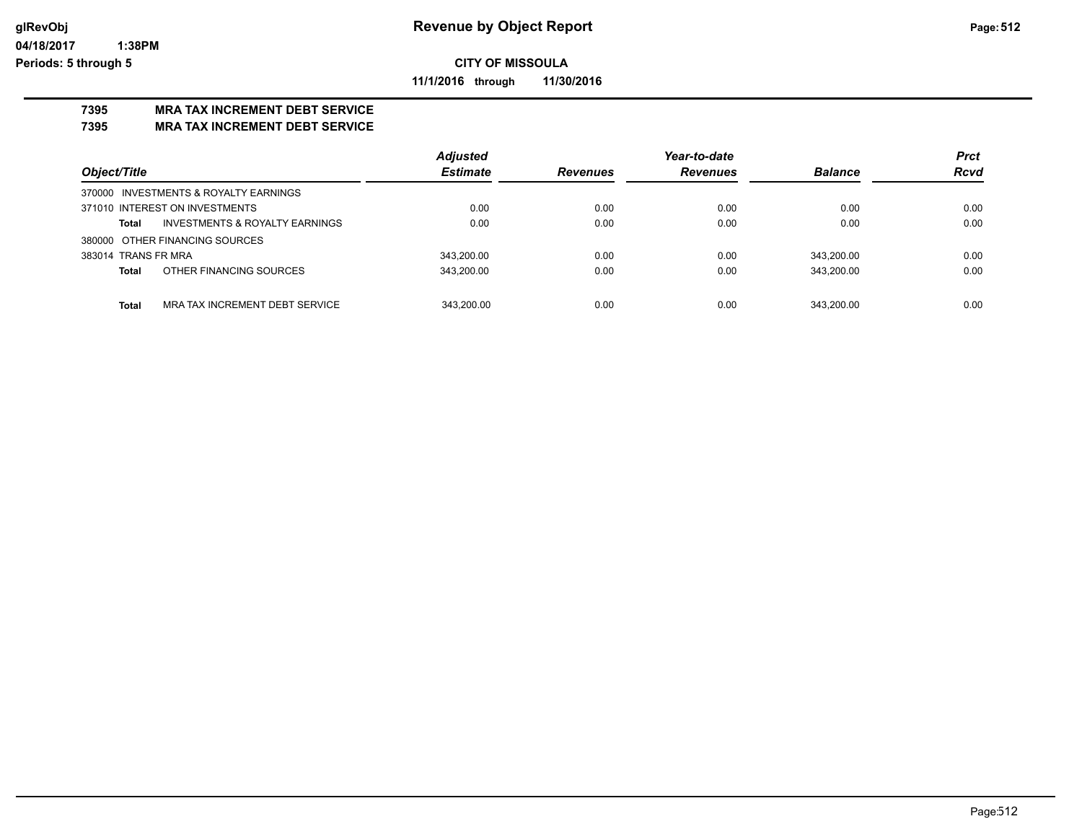**11/1/2016 through 11/30/2016**

### **7395 MRA TAX INCREMENT DEBT SERVICE 7395 MRA TAX INCREMENT DEBT SERVICE**

| Object/Title                                   | <b>Adjusted</b><br><b>Estimate</b> | <b>Revenues</b> | Year-to-date<br><b>Revenues</b> | <b>Balance</b> | <b>Prct</b><br><b>Rcvd</b> |
|------------------------------------------------|------------------------------------|-----------------|---------------------------------|----------------|----------------------------|
| 370000 INVESTMENTS & ROYALTY EARNINGS          |                                    |                 |                                 |                |                            |
| 371010 INTEREST ON INVESTMENTS                 | 0.00                               | 0.00            | 0.00                            | 0.00           | 0.00                       |
| INVESTMENTS & ROYALTY EARNINGS<br>Total        | 0.00                               | 0.00            | 0.00                            | 0.00           | 0.00                       |
| 380000 OTHER FINANCING SOURCES                 |                                    |                 |                                 |                |                            |
| 383014 TRANS FR MRA                            | 343,200.00                         | 0.00            | 0.00                            | 343.200.00     | 0.00                       |
| OTHER FINANCING SOURCES<br>Total               | 343,200.00                         | 0.00            | 0.00                            | 343.200.00     | 0.00                       |
|                                                |                                    |                 |                                 |                |                            |
| <b>Total</b><br>MRA TAX INCREMENT DEBT SERVICE | 343.200.00                         | 0.00            | 0.00                            | 343.200.00     | 0.00                       |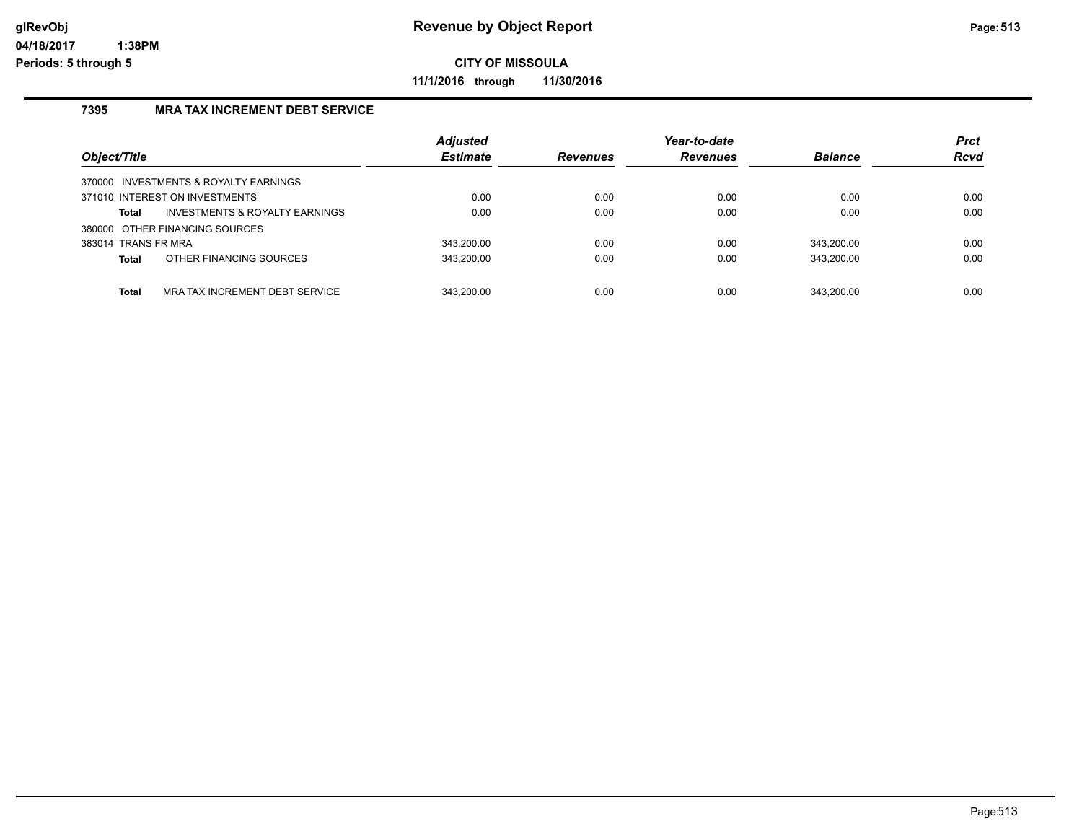**11/1/2016 through 11/30/2016**

### **7395 MRA TAX INCREMENT DEBT SERVICE**

|                     |                                       | <b>Adjusted</b> |                 | Year-to-date    |                | <b>Prct</b> |
|---------------------|---------------------------------------|-----------------|-----------------|-----------------|----------------|-------------|
| Object/Title        |                                       | <b>Estimate</b> | <b>Revenues</b> | <b>Revenues</b> | <b>Balance</b> | <b>Rcvd</b> |
|                     | 370000 INVESTMENTS & ROYALTY EARNINGS |                 |                 |                 |                |             |
|                     | 371010 INTEREST ON INVESTMENTS        | 0.00            | 0.00            | 0.00            | 0.00           | 0.00        |
| Total               | INVESTMENTS & ROYALTY EARNINGS        | 0.00            | 0.00            | 0.00            | 0.00           | 0.00        |
|                     | 380000 OTHER FINANCING SOURCES        |                 |                 |                 |                |             |
| 383014 TRANS FR MRA |                                       | 343,200.00      | 0.00            | 0.00            | 343,200.00     | 0.00        |
| <b>Total</b>        | OTHER FINANCING SOURCES               | 343,200.00      | 0.00            | 0.00            | 343,200.00     | 0.00        |
| <b>Total</b>        | MRA TAX INCREMENT DEBT SERVICE        | 343.200.00      | 0.00            | 0.00            | 343.200.00     | 0.00        |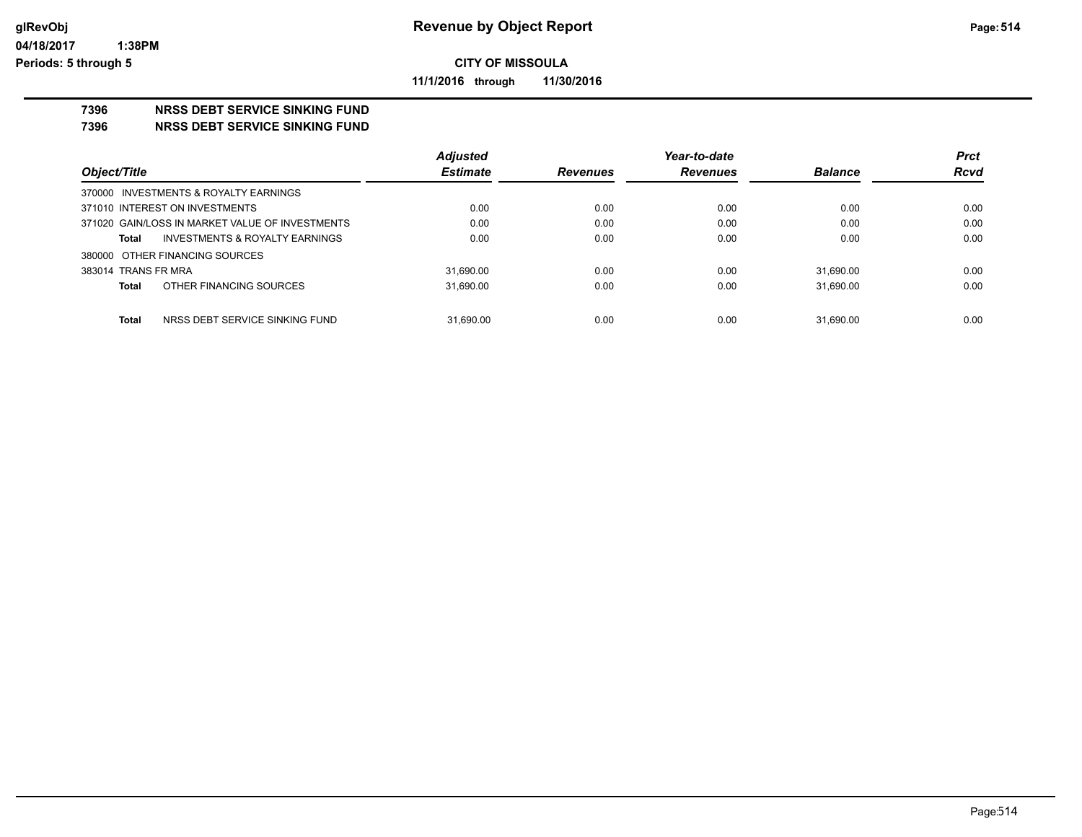**11/1/2016 through 11/30/2016**

**7396 NRSS DEBT SERVICE SINKING FUND 7396 NRSS DEBT SERVICE SINKING FUND**

|                                                 | <b>Adjusted</b> |                 | Year-to-date    |                | <b>Prct</b> |
|-------------------------------------------------|-----------------|-----------------|-----------------|----------------|-------------|
| Object/Title                                    | <b>Estimate</b> | <b>Revenues</b> | <b>Revenues</b> | <b>Balance</b> | <b>Rcvd</b> |
| 370000 INVESTMENTS & ROYALTY EARNINGS           |                 |                 |                 |                |             |
| 371010 INTEREST ON INVESTMENTS                  | 0.00            | 0.00            | 0.00            | 0.00           | 0.00        |
| 371020 GAIN/LOSS IN MARKET VALUE OF INVESTMENTS | 0.00            | 0.00            | 0.00            | 0.00           | 0.00        |
| INVESTMENTS & ROYALTY EARNINGS<br>Total         | 0.00            | 0.00            | 0.00            | 0.00           | 0.00        |
| 380000 OTHER FINANCING SOURCES                  |                 |                 |                 |                |             |
| 383014 TRANS FR MRA                             | 31.690.00       | 0.00            | 0.00            | 31.690.00      | 0.00        |
| OTHER FINANCING SOURCES<br><b>Total</b>         | 31,690.00       | 0.00            | 0.00            | 31.690.00      | 0.00        |
|                                                 |                 |                 |                 |                |             |
| <b>Total</b><br>NRSS DEBT SERVICE SINKING FUND  | 31.690.00       | 0.00            | 0.00            | 31.690.00      | 0.00        |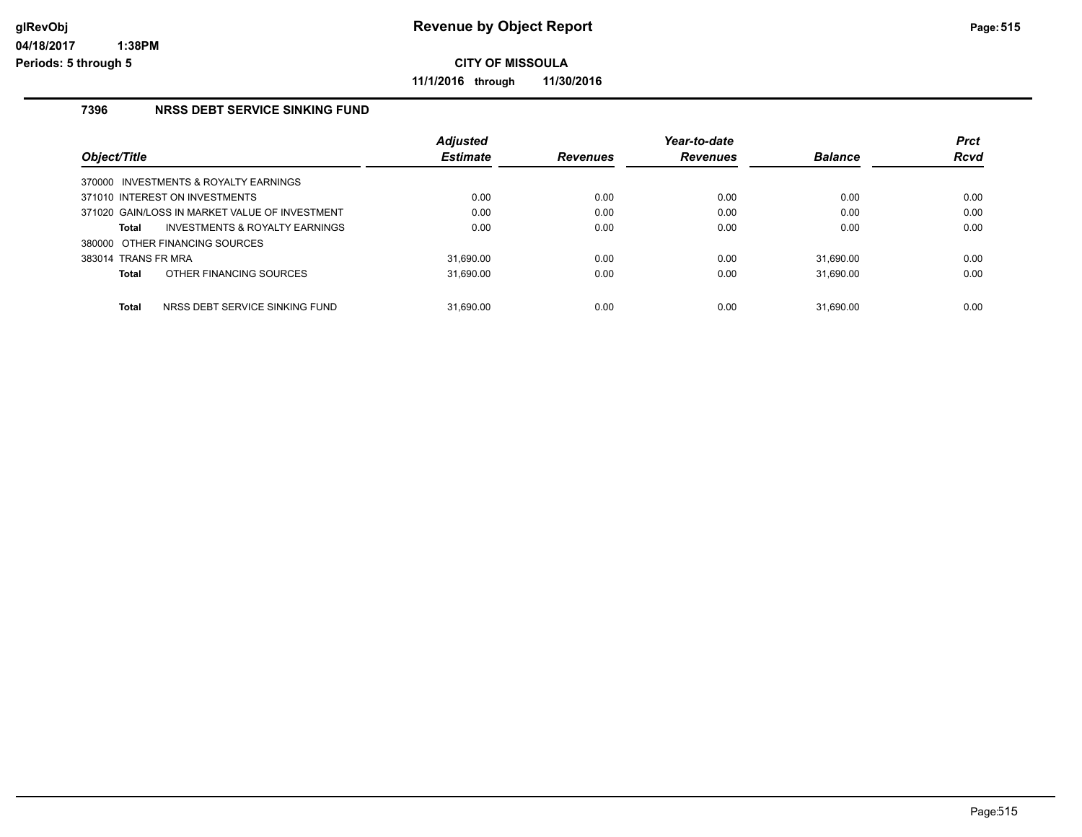**11/1/2016 through 11/30/2016**

### **7396 NRSS DEBT SERVICE SINKING FUND**

|                     |                                                | <b>Adjusted</b> |                 | Year-to-date    |                | <b>Prct</b> |
|---------------------|------------------------------------------------|-----------------|-----------------|-----------------|----------------|-------------|
| Object/Title        |                                                | <b>Estimate</b> | <b>Revenues</b> | <b>Revenues</b> | <b>Balance</b> | <b>Rcvd</b> |
|                     | 370000 INVESTMENTS & ROYALTY EARNINGS          |                 |                 |                 |                |             |
|                     | 371010 INTEREST ON INVESTMENTS                 | 0.00            | 0.00            | 0.00            | 0.00           | 0.00        |
|                     | 371020 GAIN/LOSS IN MARKET VALUE OF INVESTMENT | 0.00            | 0.00            | 0.00            | 0.00           | 0.00        |
| Total               | <b>INVESTMENTS &amp; ROYALTY EARNINGS</b>      | 0.00            | 0.00            | 0.00            | 0.00           | 0.00        |
|                     | 380000 OTHER FINANCING SOURCES                 |                 |                 |                 |                |             |
| 383014 TRANS FR MRA |                                                | 31.690.00       | 0.00            | 0.00            | 31.690.00      | 0.00        |
| Total               | OTHER FINANCING SOURCES                        | 31.690.00       | 0.00            | 0.00            | 31.690.00      | 0.00        |
| Total               | NRSS DEBT SERVICE SINKING FUND                 | 31.690.00       | 0.00            | 0.00            | 31.690.00      | 0.00        |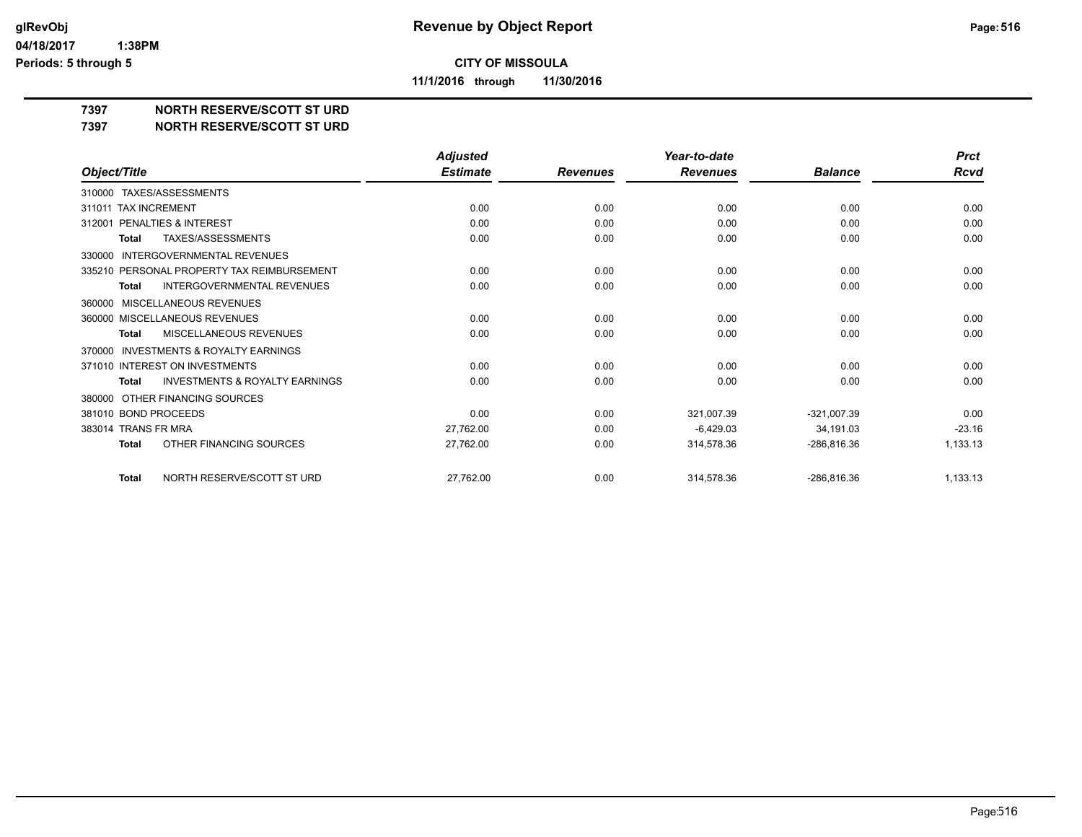**11/1/2016 through 11/30/2016**

**7397 NORTH RESERVE/SCOTT ST URD**

**7397 NORTH RESERVE/SCOTT ST URD**

|                                                           | <b>Adjusted</b> |                 | Year-to-date    |                | <b>Prct</b> |
|-----------------------------------------------------------|-----------------|-----------------|-----------------|----------------|-------------|
| Object/Title                                              | <b>Estimate</b> | <b>Revenues</b> | <b>Revenues</b> | <b>Balance</b> | <b>Rcvd</b> |
| TAXES/ASSESSMENTS<br>310000                               |                 |                 |                 |                |             |
| 311011 TAX INCREMENT                                      | 0.00            | 0.00            | 0.00            | 0.00           | 0.00        |
| PENALTIES & INTEREST<br>312001                            | 0.00            | 0.00            | 0.00            | 0.00           | 0.00        |
| TAXES/ASSESSMENTS<br><b>Total</b>                         | 0.00            | 0.00            | 0.00            | 0.00           | 0.00        |
| <b>INTERGOVERNMENTAL REVENUES</b><br>330000               |                 |                 |                 |                |             |
| 335210 PERSONAL PROPERTY TAX REIMBURSEMENT                | 0.00            | 0.00            | 0.00            | 0.00           | 0.00        |
| <b>INTERGOVERNMENTAL REVENUES</b><br>Total                | 0.00            | 0.00            | 0.00            | 0.00           | 0.00        |
| MISCELLANEOUS REVENUES<br>360000                          |                 |                 |                 |                |             |
| 360000 MISCELLANEOUS REVENUES                             | 0.00            | 0.00            | 0.00            | 0.00           | 0.00        |
| MISCELLANEOUS REVENUES<br><b>Total</b>                    | 0.00            | 0.00            | 0.00            | 0.00           | 0.00        |
| <b>INVESTMENTS &amp; ROYALTY EARNINGS</b><br>370000       |                 |                 |                 |                |             |
| 371010 INTEREST ON INVESTMENTS                            | 0.00            | 0.00            | 0.00            | 0.00           | 0.00        |
| <b>INVESTMENTS &amp; ROYALTY EARNINGS</b><br><b>Total</b> | 0.00            | 0.00            | 0.00            | 0.00           | 0.00        |
| OTHER FINANCING SOURCES<br>380000                         |                 |                 |                 |                |             |
| 381010 BOND PROCEEDS                                      | 0.00            | 0.00            | 321,007.39      | $-321,007.39$  | 0.00        |
| 383014 TRANS FR MRA                                       | 27,762.00       | 0.00            | $-6,429.03$     | 34,191.03      | $-23.16$    |
| OTHER FINANCING SOURCES<br><b>Total</b>                   | 27,762.00       | 0.00            | 314,578.36      | $-286,816.36$  | 1,133.13    |
| NORTH RESERVE/SCOTT ST URD<br><b>Total</b>                | 27,762.00       | 0.00            | 314,578.36      | $-286,816.36$  | 1,133.13    |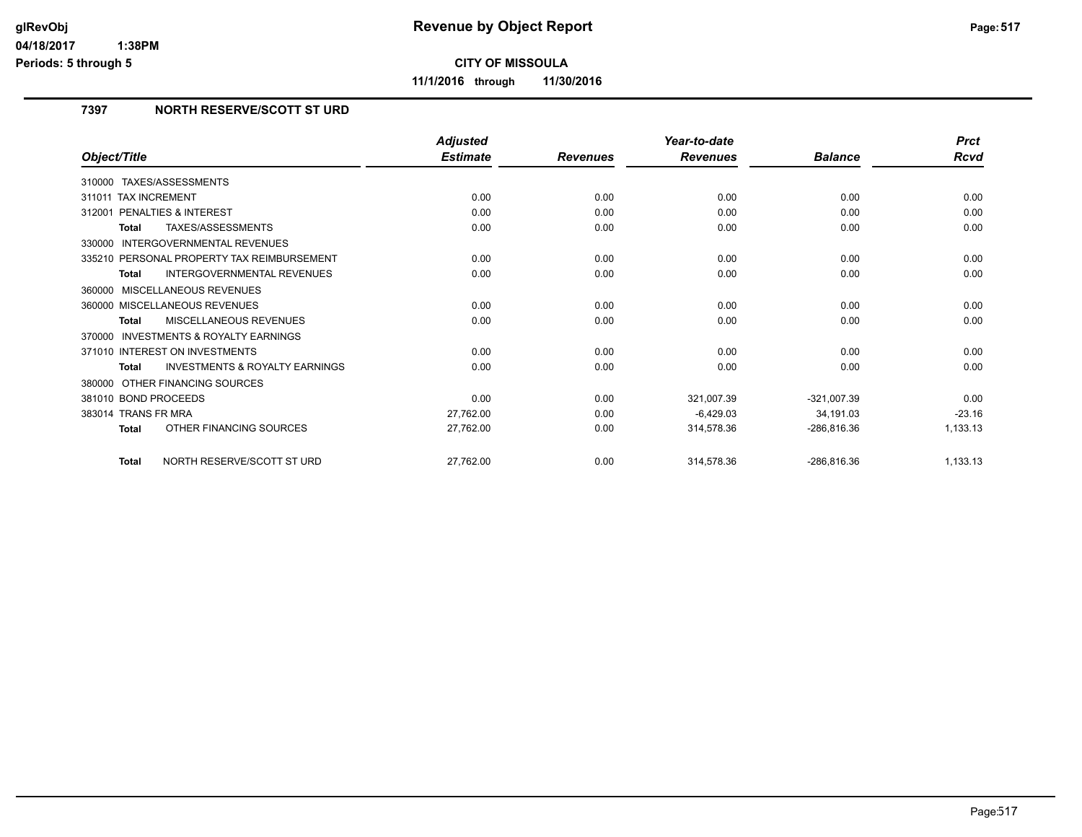**11/1/2016 through 11/30/2016**

### **7397 NORTH RESERVE/SCOTT ST URD**

|                                                    | <b>Adjusted</b> |                 | Year-to-date    |                | <b>Prct</b> |  |
|----------------------------------------------------|-----------------|-----------------|-----------------|----------------|-------------|--|
| Object/Title                                       | <b>Estimate</b> | <b>Revenues</b> | <b>Revenues</b> | <b>Balance</b> | <b>Rcvd</b> |  |
| 310000 TAXES/ASSESSMENTS                           |                 |                 |                 |                |             |  |
| 311011 TAX INCREMENT                               | 0.00            | 0.00            | 0.00            | 0.00           | 0.00        |  |
| 312001 PENALTIES & INTEREST                        | 0.00            | 0.00            | 0.00            | 0.00           | 0.00        |  |
| TAXES/ASSESSMENTS<br><b>Total</b>                  | 0.00            | 0.00            | 0.00            | 0.00           | 0.00        |  |
| <b>INTERGOVERNMENTAL REVENUES</b><br>330000        |                 |                 |                 |                |             |  |
| 335210 PERSONAL PROPERTY TAX REIMBURSEMENT         | 0.00            | 0.00            | 0.00            | 0.00           | 0.00        |  |
| <b>INTERGOVERNMENTAL REVENUES</b><br><b>Total</b>  | 0.00            | 0.00            | 0.00            | 0.00           | 0.00        |  |
| 360000 MISCELLANEOUS REVENUES                      |                 |                 |                 |                |             |  |
| 360000 MISCELLANEOUS REVENUES                      | 0.00            | 0.00            | 0.00            | 0.00           | 0.00        |  |
| MISCELLANEOUS REVENUES<br><b>Total</b>             | 0.00            | 0.00            | 0.00            | 0.00           | 0.00        |  |
| 370000 INVESTMENTS & ROYALTY EARNINGS              |                 |                 |                 |                |             |  |
| 371010 INTEREST ON INVESTMENTS                     | 0.00            | 0.00            | 0.00            | 0.00           | 0.00        |  |
| <b>INVESTMENTS &amp; ROYALTY EARNINGS</b><br>Total | 0.00            | 0.00            | 0.00            | 0.00           | 0.00        |  |
| OTHER FINANCING SOURCES<br>380000                  |                 |                 |                 |                |             |  |
| 381010 BOND PROCEEDS                               | 0.00            | 0.00            | 321,007.39      | $-321,007.39$  | 0.00        |  |
| 383014 TRANS FR MRA                                | 27,762.00       | 0.00            | $-6.429.03$     | 34,191.03      | $-23.16$    |  |
| OTHER FINANCING SOURCES<br><b>Total</b>            | 27,762.00       | 0.00            | 314,578.36      | -286,816.36    | 1,133.13    |  |
| NORTH RESERVE/SCOTT ST URD<br><b>Total</b>         | 27,762.00       | 0.00            | 314,578.36      | $-286,816.36$  | 1,133.13    |  |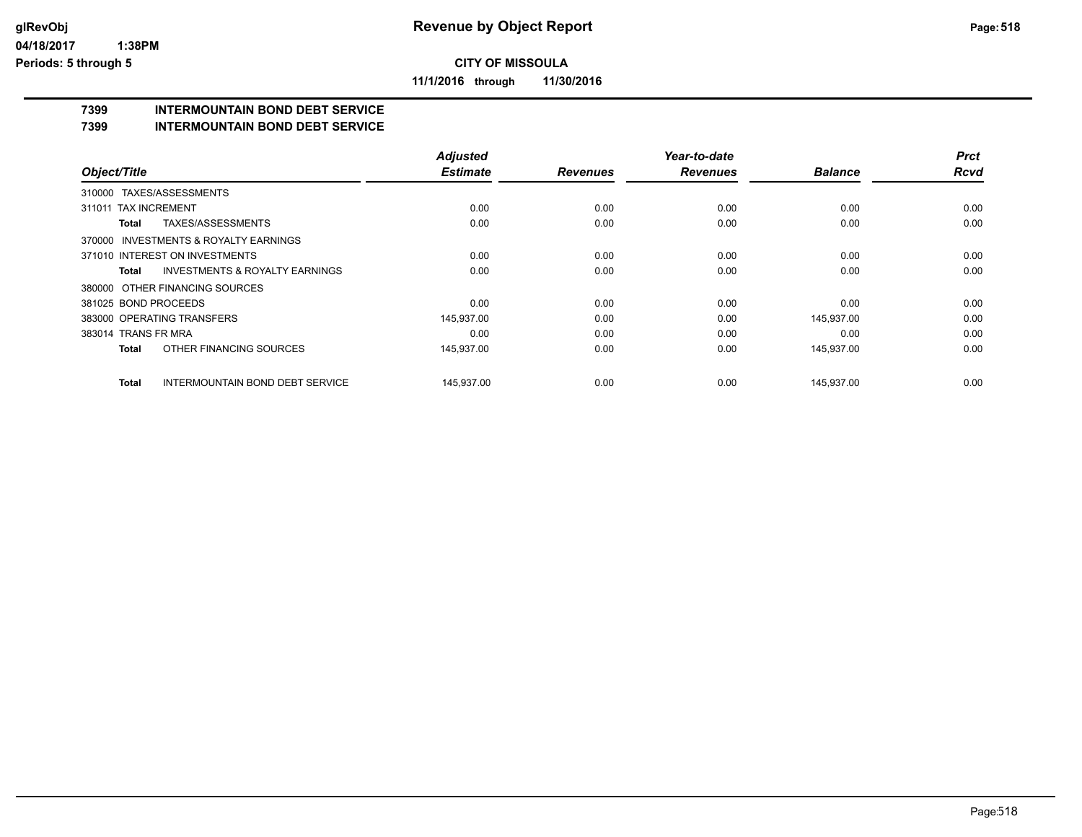**11/1/2016 through 11/30/2016**

### **7399 INTERMOUNTAIN BOND DEBT SERVICE 7399 INTERMOUNTAIN BOND DEBT SERVICE**

|                                |                                           | <b>Adjusted</b> |                 | Year-to-date    |                | <b>Prct</b> |
|--------------------------------|-------------------------------------------|-----------------|-----------------|-----------------|----------------|-------------|
| Object/Title                   |                                           | <b>Estimate</b> | <b>Revenues</b> | <b>Revenues</b> | <b>Balance</b> | <b>Rcvd</b> |
| 310000 TAXES/ASSESSMENTS       |                                           |                 |                 |                 |                |             |
| 311011 TAX INCREMENT           |                                           | 0.00            | 0.00            | 0.00            | 0.00           | 0.00        |
| Total                          | TAXES/ASSESSMENTS                         | 0.00            | 0.00            | 0.00            | 0.00           | 0.00        |
| 370000                         | <b>INVESTMENTS &amp; ROYALTY EARNINGS</b> |                 |                 |                 |                |             |
| 371010 INTEREST ON INVESTMENTS |                                           | 0.00            | 0.00            | 0.00            | 0.00           | 0.00        |
| Total                          | INVESTMENTS & ROYALTY EARNINGS            | 0.00            | 0.00            | 0.00            | 0.00           | 0.00        |
| 380000 OTHER FINANCING SOURCES |                                           |                 |                 |                 |                |             |
| 381025 BOND PROCEEDS           |                                           | 0.00            | 0.00            | 0.00            | 0.00           | 0.00        |
| 383000 OPERATING TRANSFERS     |                                           | 145,937.00      | 0.00            | 0.00            | 145,937.00     | 0.00        |
| 383014 TRANS FR MRA            |                                           | 0.00            | 0.00            | 0.00            | 0.00           | 0.00        |
| Total                          | OTHER FINANCING SOURCES                   | 145,937.00      | 0.00            | 0.00            | 145,937.00     | 0.00        |
| <b>Total</b>                   | INTERMOUNTAIN BOND DEBT SERVICE           | 145,937.00      | 0.00            | 0.00            | 145,937.00     | 0.00        |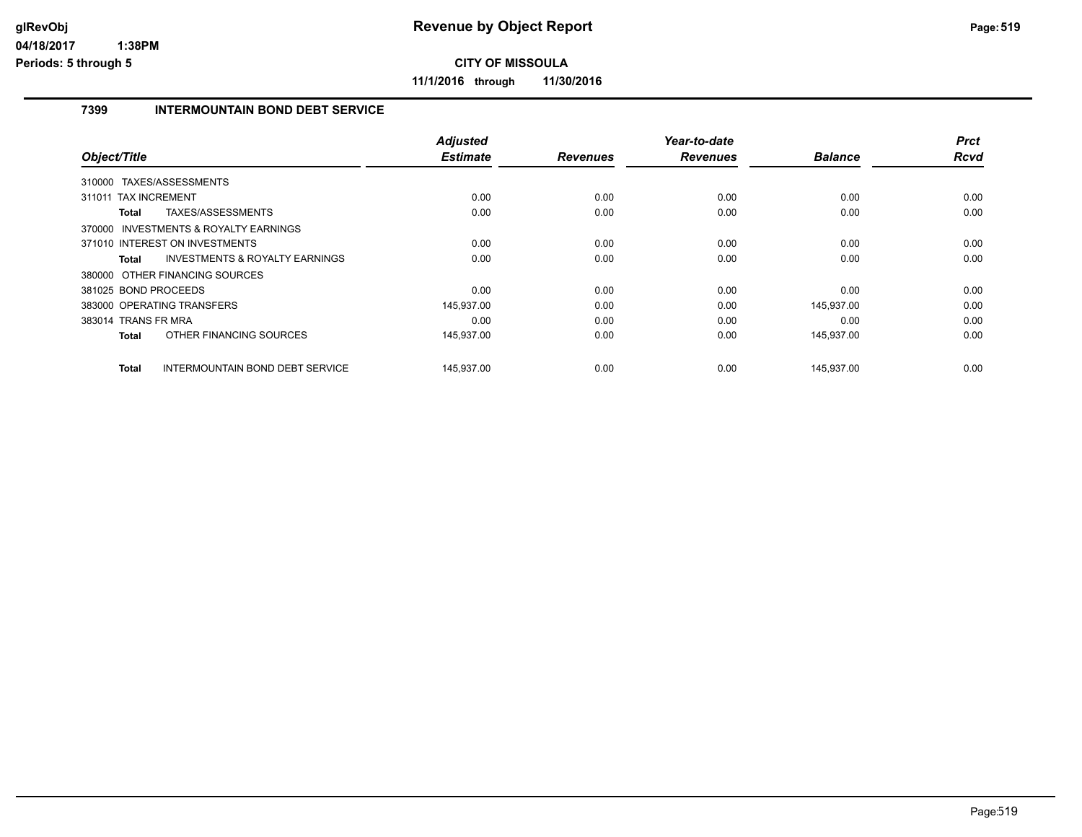**11/1/2016 through 11/30/2016**

### **7399 INTERMOUNTAIN BOND DEBT SERVICE**

| Object/Title                                       | <b>Adjusted</b><br><b>Estimate</b> | <b>Revenues</b> | Year-to-date<br><b>Revenues</b> | <b>Balance</b> | <b>Prct</b><br><b>Rcvd</b> |
|----------------------------------------------------|------------------------------------|-----------------|---------------------------------|----------------|----------------------------|
|                                                    |                                    |                 |                                 |                |                            |
| 310000 TAXES/ASSESSMENTS                           |                                    |                 |                                 |                |                            |
| <b>TAX INCREMENT</b><br>311011                     | 0.00                               | 0.00            | 0.00                            | 0.00           | 0.00                       |
| TAXES/ASSESSMENTS<br><b>Total</b>                  | 0.00                               | 0.00            | 0.00                            | 0.00           | 0.00                       |
| 370000 INVESTMENTS & ROYALTY EARNINGS              |                                    |                 |                                 |                |                            |
| 371010 INTEREST ON INVESTMENTS                     | 0.00                               | 0.00            | 0.00                            | 0.00           | 0.00                       |
| <b>INVESTMENTS &amp; ROYALTY EARNINGS</b><br>Total | 0.00                               | 0.00            | 0.00                            | 0.00           | 0.00                       |
| 380000 OTHER FINANCING SOURCES                     |                                    |                 |                                 |                |                            |
| 381025 BOND PROCEEDS                               | 0.00                               | 0.00            | 0.00                            | 0.00           | 0.00                       |
| 383000 OPERATING TRANSFERS                         | 145,937.00                         | 0.00            | 0.00                            | 145,937.00     | 0.00                       |
| 383014 TRANS FR MRA                                | 0.00                               | 0.00            | 0.00                            | 0.00           | 0.00                       |
| OTHER FINANCING SOURCES<br><b>Total</b>            | 145,937.00                         | 0.00            | 0.00                            | 145,937.00     | 0.00                       |
| <b>Total</b><br>INTERMOUNTAIN BOND DEBT SERVICE    | 145,937.00                         | 0.00            | 0.00                            | 145,937.00     | 0.00                       |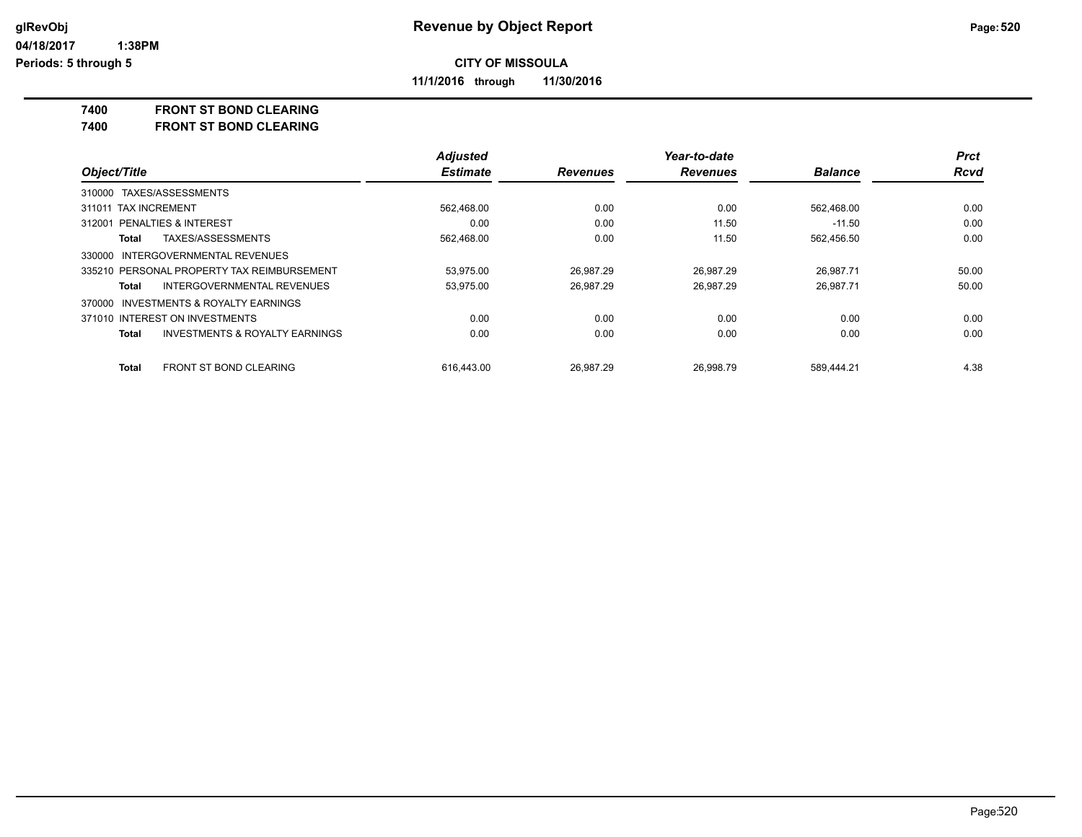**11/1/2016 through 11/30/2016**

**7400 FRONT ST BOND CLEARING 7400 FRONT ST BOND CLEARING**

|                                            | <b>Adjusted</b> |                 | Year-to-date    |                | <b>Prct</b> |
|--------------------------------------------|-----------------|-----------------|-----------------|----------------|-------------|
| Object/Title                               | <b>Estimate</b> | <b>Revenues</b> | <b>Revenues</b> | <b>Balance</b> | <b>Rcvd</b> |
| TAXES/ASSESSMENTS<br>310000                |                 |                 |                 |                |             |
| 311011 TAX INCREMENT                       | 562,468.00      | 0.00            | 0.00            | 562,468.00     | 0.00        |
| 312001 PENALTIES & INTEREST                | 0.00            | 0.00            | 11.50           | $-11.50$       | 0.00        |
| TAXES/ASSESSMENTS<br>Total                 | 562.468.00      | 0.00            | 11.50           | 562,456.50     | 0.00        |
| 330000 INTERGOVERNMENTAL REVENUES          |                 |                 |                 |                |             |
| 335210 PERSONAL PROPERTY TAX REIMBURSEMENT | 53,975.00       | 26.987.29       | 26.987.29       | 26,987.71      | 50.00       |
| INTERGOVERNMENTAL REVENUES<br>Total        | 53,975.00       | 26,987.29       | 26,987.29       | 26,987.71      | 50.00       |
| INVESTMENTS & ROYALTY EARNINGS<br>370000   |                 |                 |                 |                |             |
| 371010 INTEREST ON INVESTMENTS             | 0.00            | 0.00            | 0.00            | 0.00           | 0.00        |
| INVESTMENTS & ROYALTY EARNINGS<br>Total    | 0.00            | 0.00            | 0.00            | 0.00           | 0.00        |
| <b>FRONT ST BOND CLEARING</b><br>Total     | 616.443.00      | 26.987.29       | 26.998.79       | 589.444.21     | 4.38        |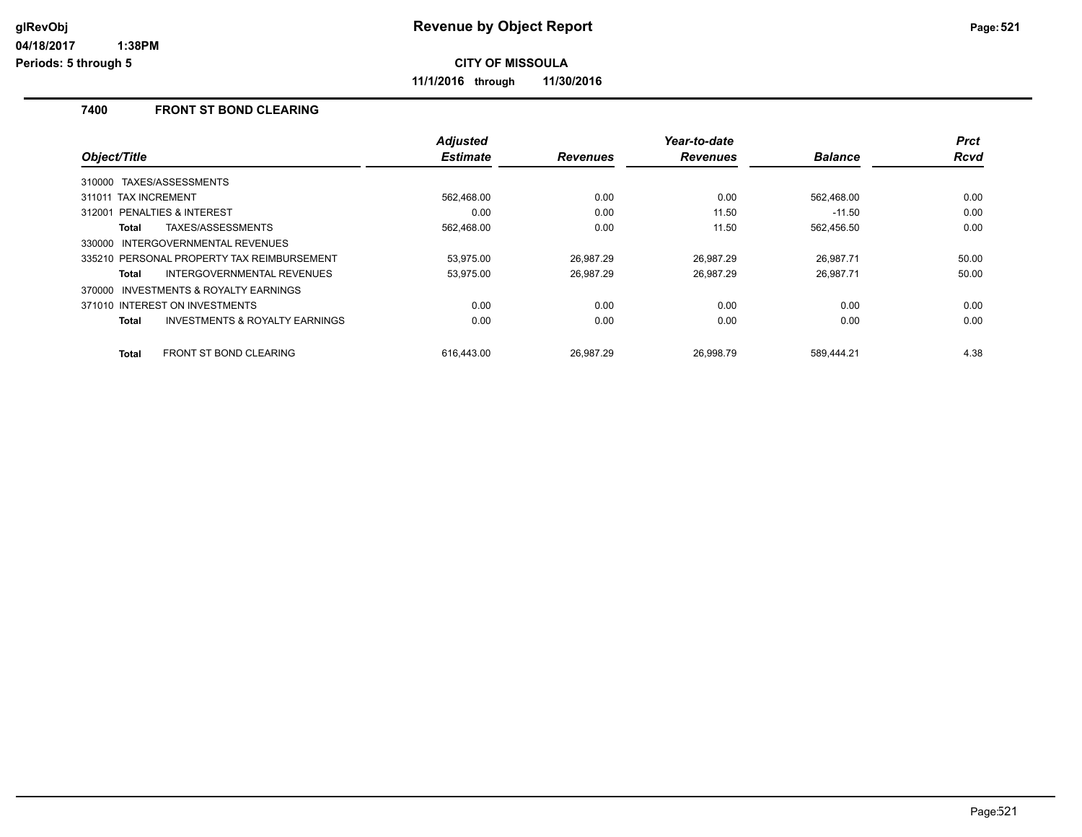**11/1/2016 through 11/30/2016**

### **7400 FRONT ST BOND CLEARING**

|                                                           | <b>Adjusted</b> |                 | Year-to-date    |                | <b>Prct</b> |
|-----------------------------------------------------------|-----------------|-----------------|-----------------|----------------|-------------|
| Object/Title                                              | <b>Estimate</b> | <b>Revenues</b> | <b>Revenues</b> | <b>Balance</b> | <b>Rcvd</b> |
| TAXES/ASSESSMENTS<br>310000                               |                 |                 |                 |                |             |
| 311011 TAX INCREMENT                                      | 562,468.00      | 0.00            | 0.00            | 562,468.00     | 0.00        |
| PENALTIES & INTEREST<br>312001                            | 0.00            | 0.00            | 11.50           | $-11.50$       | 0.00        |
| TAXES/ASSESSMENTS<br><b>Total</b>                         | 562,468.00      | 0.00            | 11.50           | 562,456.50     | 0.00        |
| INTERGOVERNMENTAL REVENUES<br>330000                      |                 |                 |                 |                |             |
| 335210 PERSONAL PROPERTY TAX REIMBURSEMENT                | 53.975.00       | 26.987.29       | 26.987.29       | 26.987.71      | 50.00       |
| INTERGOVERNMENTAL REVENUES<br>Total                       | 53.975.00       | 26.987.29       | 26.987.29       | 26.987.71      | 50.00       |
| INVESTMENTS & ROYALTY EARNINGS<br>370000                  |                 |                 |                 |                |             |
| 371010 INTEREST ON INVESTMENTS                            | 0.00            | 0.00            | 0.00            | 0.00           | 0.00        |
| <b>INVESTMENTS &amp; ROYALTY EARNINGS</b><br><b>Total</b> | 0.00            | 0.00            | 0.00            | 0.00           | 0.00        |
| <b>FRONT ST BOND CLEARING</b><br><b>Total</b>             | 616.443.00      | 26.987.29       | 26.998.79       | 589.444.21     | 4.38        |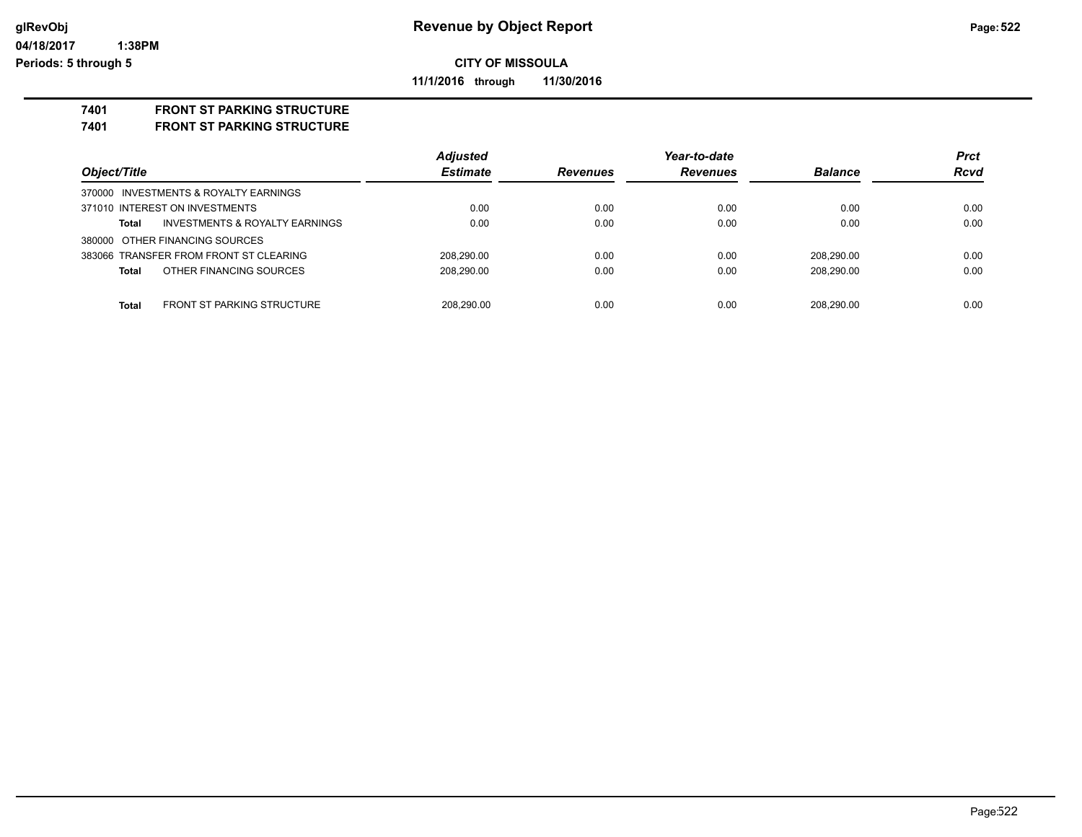**11/1/2016 through 11/30/2016**

**7401 FRONT ST PARKING STRUCTURE 7401 FRONT ST PARKING STRUCTURE**

|                                                    | <b>Adjusted</b> |                 | Year-to-date    |                | <b>Prct</b> |
|----------------------------------------------------|-----------------|-----------------|-----------------|----------------|-------------|
| Object/Title                                       | <b>Estimate</b> | <b>Revenues</b> | <b>Revenues</b> | <b>Balance</b> | <b>Rcvd</b> |
| 370000 INVESTMENTS & ROYALTY EARNINGS              |                 |                 |                 |                |             |
| 371010 INTEREST ON INVESTMENTS                     | 0.00            | 0.00            | 0.00            | 0.00           | 0.00        |
| <b>INVESTMENTS &amp; ROYALTY EARNINGS</b><br>Total | 0.00            | 0.00            | 0.00            | 0.00           | 0.00        |
| 380000 OTHER FINANCING SOURCES                     |                 |                 |                 |                |             |
| 383066 TRANSFER FROM FRONT ST CLEARING             | 208.290.00      | 0.00            | 0.00            | 208.290.00     | 0.00        |
| OTHER FINANCING SOURCES<br>Total                   | 208.290.00      | 0.00            | 0.00            | 208.290.00     | 0.00        |
|                                                    |                 |                 |                 |                |             |
| <b>FRONT ST PARKING STRUCTURE</b><br><b>Total</b>  | 208.290.00      | 0.00            | 0.00            | 208.290.00     | 0.00        |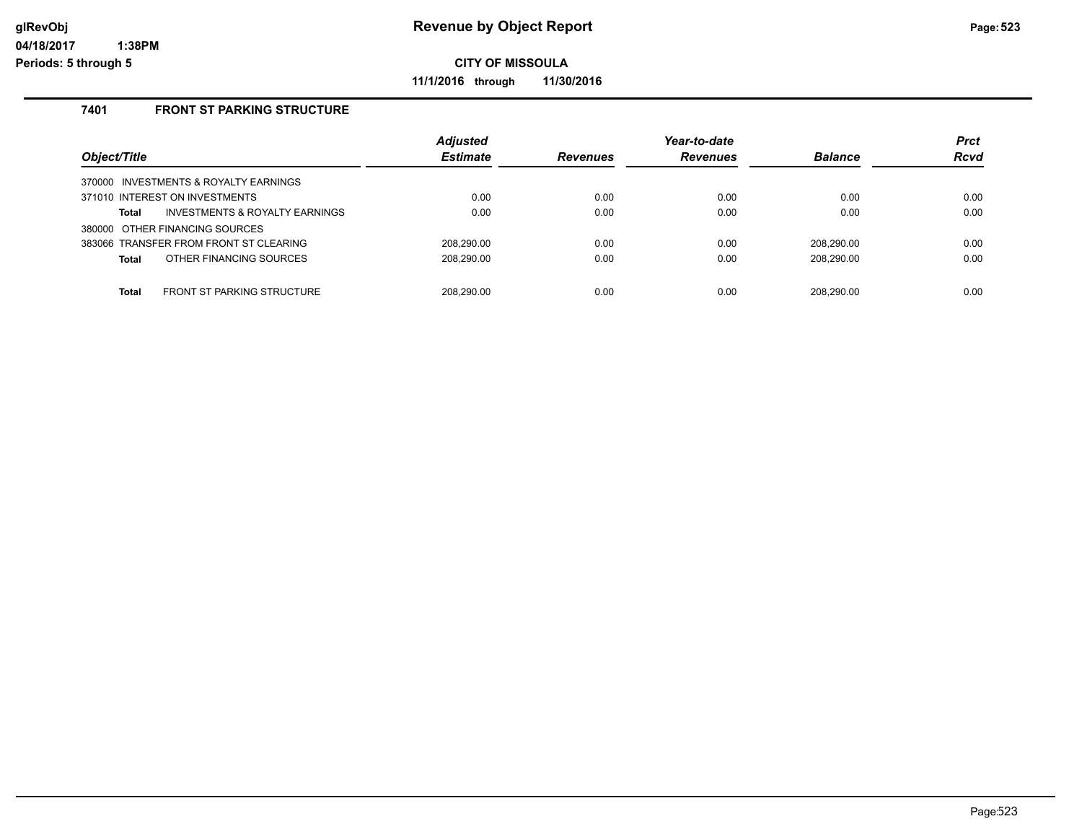**11/1/2016 through 11/30/2016**

### **7401 FRONT ST PARKING STRUCTURE**

|                                |                                        | <b>Adjusted</b> |                 | Year-to-date    |                | <b>Prct</b> |
|--------------------------------|----------------------------------------|-----------------|-----------------|-----------------|----------------|-------------|
| Object/Title                   |                                        | <b>Estimate</b> | <b>Revenues</b> | <b>Revenues</b> | <b>Balance</b> | <b>Rcvd</b> |
|                                | 370000 INVESTMENTS & ROYALTY EARNINGS  |                 |                 |                 |                |             |
| 371010 INTEREST ON INVESTMENTS |                                        | 0.00            | 0.00            | 0.00            | 0.00           | 0.00        |
| Total                          | INVESTMENTS & ROYALTY EARNINGS         | 0.00            | 0.00            | 0.00            | 0.00           | 0.00        |
| 380000 OTHER FINANCING SOURCES |                                        |                 |                 |                 |                |             |
|                                | 383066 TRANSFER FROM FRONT ST CLEARING | 208.290.00      | 0.00            | 0.00            | 208.290.00     | 0.00        |
| Total                          | OTHER FINANCING SOURCES                | 208,290.00      | 0.00            | 0.00            | 208.290.00     | 0.00        |
| <b>Total</b>                   | FRONT ST PARKING STRUCTURE             | 208.290.00      | 0.00            | 0.00            | 208.290.00     | 0.00        |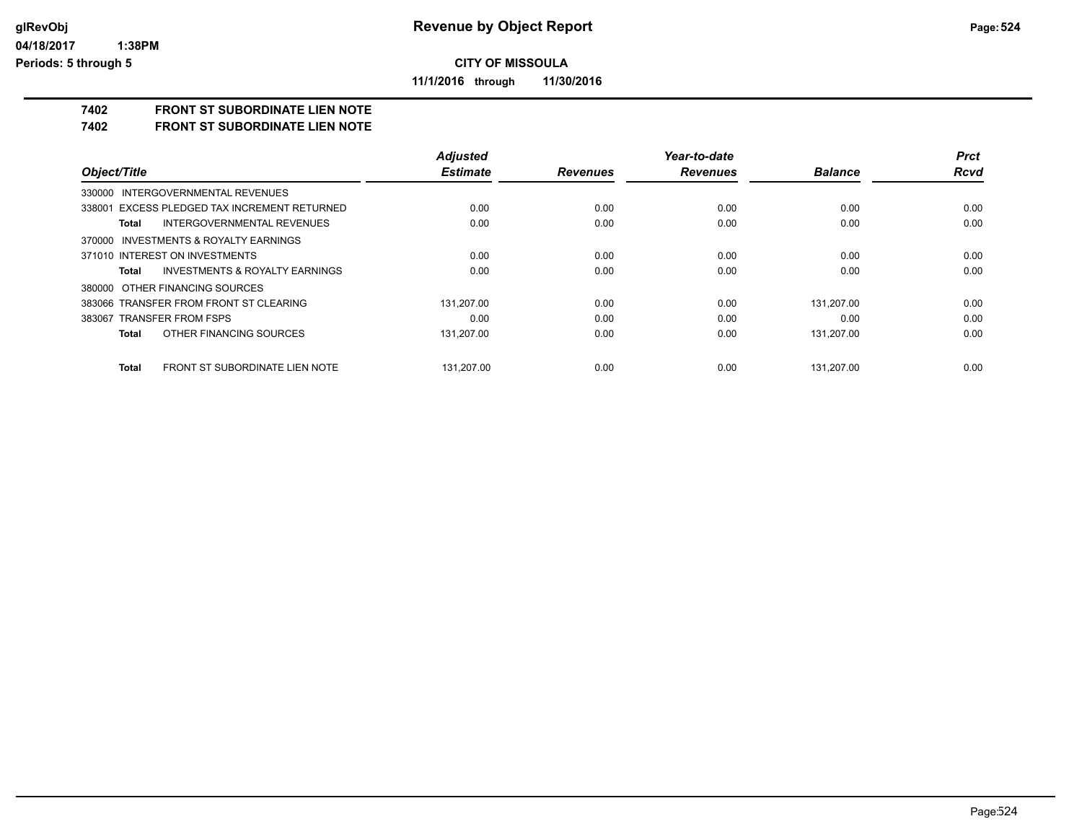**11/1/2016 through 11/30/2016**

### **7402 FRONT ST SUBORDINATE LIEN NOTE 7402 FRONT ST SUBORDINATE LIEN NOTE**

|                                                       | <b>Adjusted</b> |                 | Year-to-date    |                | <b>Prct</b> |
|-------------------------------------------------------|-----------------|-----------------|-----------------|----------------|-------------|
| Object/Title                                          | <b>Estimate</b> | <b>Revenues</b> | <b>Revenues</b> | <b>Balance</b> | <b>Rcvd</b> |
| INTERGOVERNMENTAL REVENUES<br>330000                  |                 |                 |                 |                |             |
| 338001 EXCESS PLEDGED TAX INCREMENT RETURNED          | 0.00            | 0.00            | 0.00            | 0.00           | 0.00        |
| <b>INTERGOVERNMENTAL REVENUES</b><br>Total            | 0.00            | 0.00            | 0.00            | 0.00           | 0.00        |
| 370000 INVESTMENTS & ROYALTY EARNINGS                 |                 |                 |                 |                |             |
| 371010 INTEREST ON INVESTMENTS                        | 0.00            | 0.00            | 0.00            | 0.00           | 0.00        |
| <b>INVESTMENTS &amp; ROYALTY EARNINGS</b><br>Total    | 0.00            | 0.00            | 0.00            | 0.00           | 0.00        |
| 380000 OTHER FINANCING SOURCES                        |                 |                 |                 |                |             |
| 383066 TRANSFER FROM FRONT ST CLEARING                | 131.207.00      | 0.00            | 0.00            | 131.207.00     | 0.00        |
| 383067 TRANSFER FROM FSPS                             | 0.00            | 0.00            | 0.00            | 0.00           | 0.00        |
| OTHER FINANCING SOURCES<br>Total                      | 131,207.00      | 0.00            | 0.00            | 131,207.00     | 0.00        |
| <b>FRONT ST SUBORDINATE LIEN NOTE</b><br><b>Total</b> | 131,207.00      | 0.00            | 0.00            | 131,207.00     | 0.00        |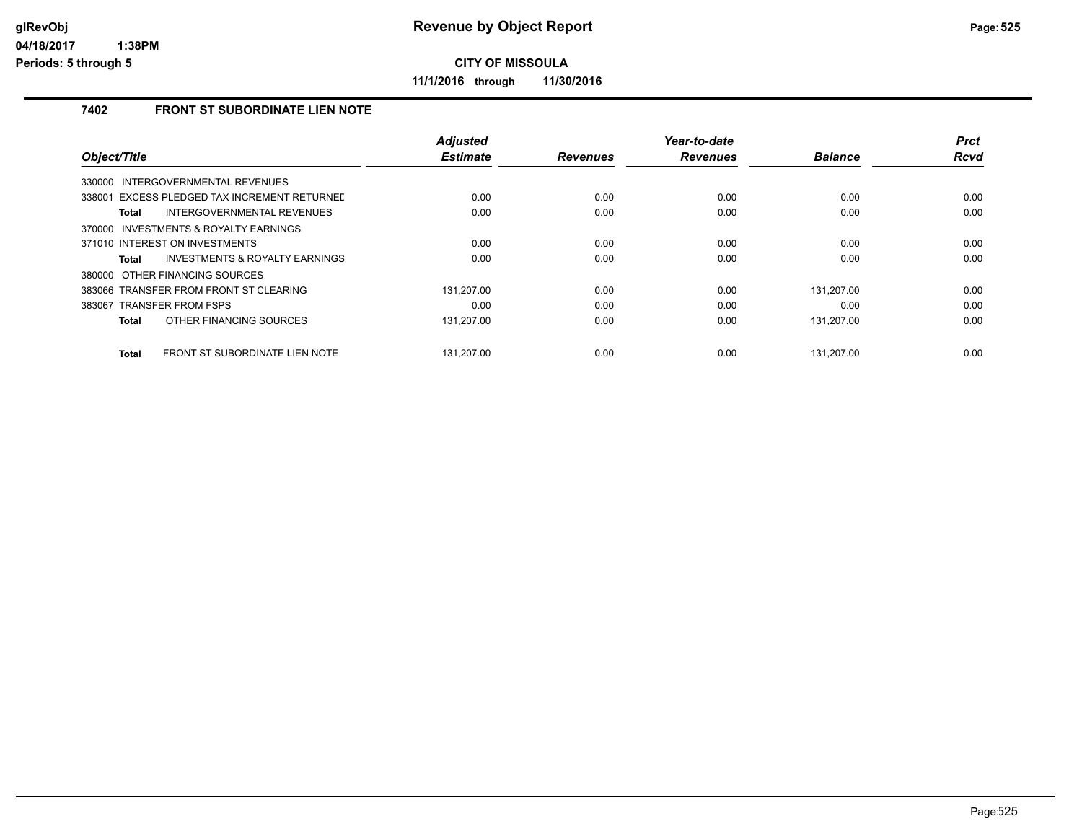**11/1/2016 through 11/30/2016**

### **7402 FRONT ST SUBORDINATE LIEN NOTE**

|              |                                              | <b>Adjusted</b> |                 | Year-to-date    |                | <b>Prct</b> |
|--------------|----------------------------------------------|-----------------|-----------------|-----------------|----------------|-------------|
| Object/Title |                                              | <b>Estimate</b> | <b>Revenues</b> | <b>Revenues</b> | <b>Balance</b> | <b>Rcvd</b> |
| 330000       | INTERGOVERNMENTAL REVENUES                   |                 |                 |                 |                |             |
|              | 338001 EXCESS PLEDGED TAX INCREMENT RETURNED | 0.00            | 0.00            | 0.00            | 0.00           | 0.00        |
| Total        | INTERGOVERNMENTAL REVENUES                   | 0.00            | 0.00            | 0.00            | 0.00           | 0.00        |
| 370000       | INVESTMENTS & ROYALTY EARNINGS               |                 |                 |                 |                |             |
|              | 371010 INTEREST ON INVESTMENTS               | 0.00            | 0.00            | 0.00            | 0.00           | 0.00        |
| Total        | INVESTMENTS & ROYALTY EARNINGS               | 0.00            | 0.00            | 0.00            | 0.00           | 0.00        |
|              | 380000 OTHER FINANCING SOURCES               |                 |                 |                 |                |             |
|              | 383066 TRANSFER FROM FRONT ST CLEARING       | 131,207.00      | 0.00            | 0.00            | 131,207.00     | 0.00        |
|              | 383067 TRANSFER FROM FSPS                    | 0.00            | 0.00            | 0.00            | 0.00           | 0.00        |
| Total        | OTHER FINANCING SOURCES                      | 131.207.00      | 0.00            | 0.00            | 131.207.00     | 0.00        |
| <b>Total</b> | <b>FRONT ST SUBORDINATE LIEN NOTE</b>        | 131.207.00      | 0.00            | 0.00            | 131.207.00     | 0.00        |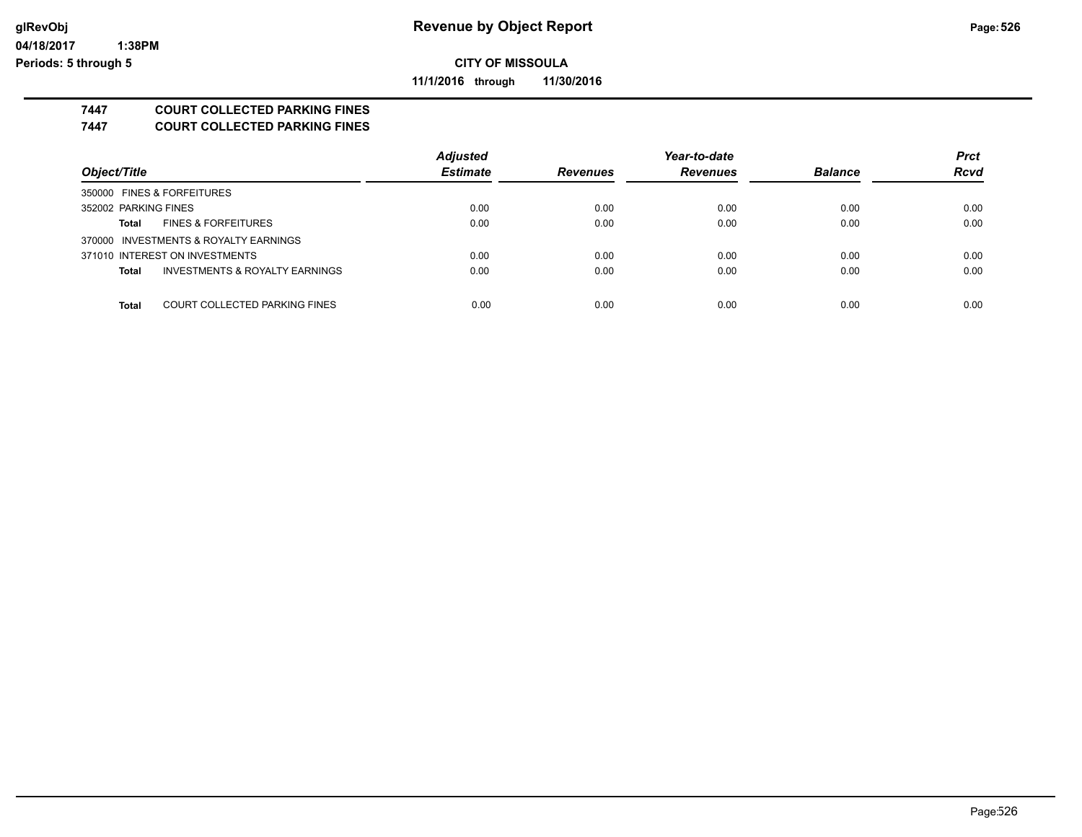**11/1/2016 through 11/30/2016**

### **7447 COURT COLLECTED PARKING FINES 7447 COURT COLLECTED PARKING FINES**

| Object/Title                            | <b>Adjusted</b><br><b>Estimate</b> | <b>Revenues</b> | Year-to-date<br><b>Revenues</b> | <b>Balance</b> | <b>Prct</b><br><b>Rcvd</b> |
|-----------------------------------------|------------------------------------|-----------------|---------------------------------|----------------|----------------------------|
| 350000 FINES & FORFEITURES              |                                    |                 |                                 |                |                            |
| 352002 PARKING FINES                    | 0.00                               | 0.00            | 0.00                            | 0.00           | 0.00                       |
| <b>FINES &amp; FORFEITURES</b><br>Total | 0.00                               | 0.00            | 0.00                            | 0.00           | 0.00                       |
| 370000 INVESTMENTS & ROYALTY EARNINGS   |                                    |                 |                                 |                |                            |
| 371010 INTEREST ON INVESTMENTS          | 0.00                               | 0.00            | 0.00                            | 0.00           | 0.00                       |
| INVESTMENTS & ROYALTY EARNINGS<br>Total | 0.00                               | 0.00            | 0.00                            | 0.00           | 0.00                       |
|                                         |                                    |                 |                                 |                |                            |
| COURT COLLECTED PARKING FINES<br>Total  | 0.00                               | 0.00            | 0.00                            | 0.00           | 0.00                       |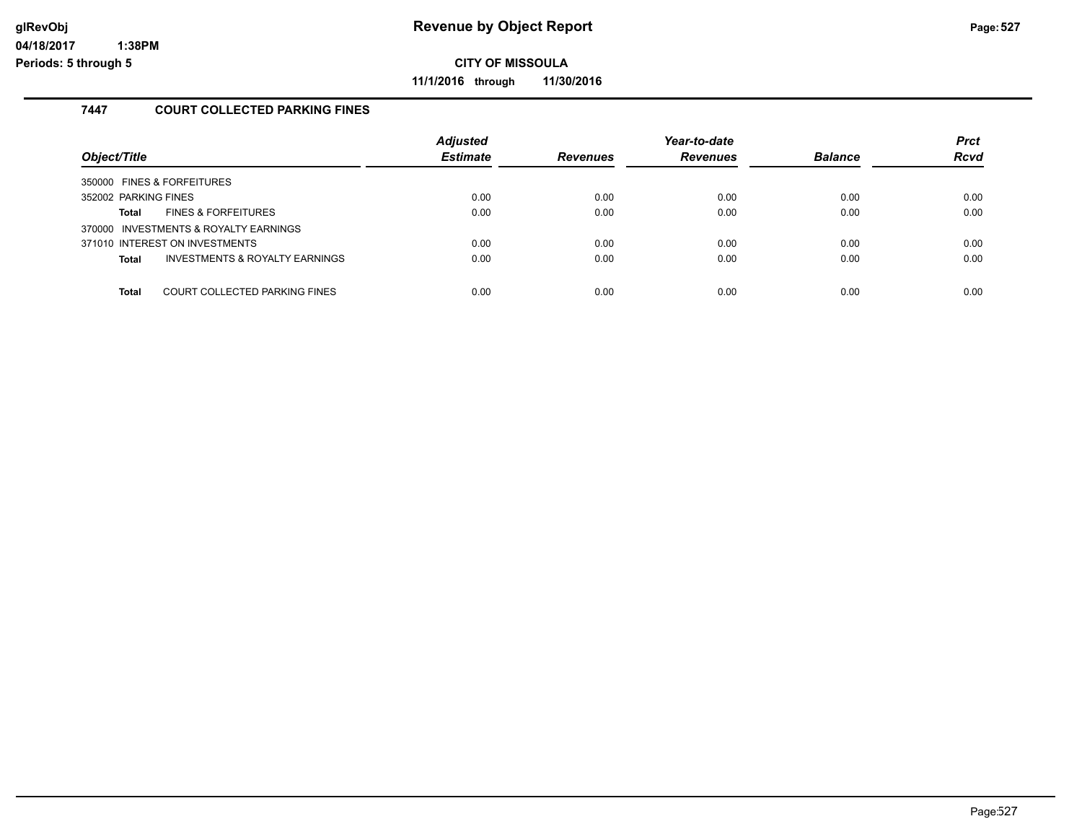**11/1/2016 through 11/30/2016**

### **7447 COURT COLLECTED PARKING FINES**

|                            |                                           | <b>Adjusted</b> |                 | Year-to-date    |                | <b>Prct</b> |
|----------------------------|-------------------------------------------|-----------------|-----------------|-----------------|----------------|-------------|
| Object/Title               |                                           | <b>Estimate</b> | <b>Revenues</b> | <b>Revenues</b> | <b>Balance</b> | <b>Rcvd</b> |
| 350000 FINES & FORFEITURES |                                           |                 |                 |                 |                |             |
| 352002 PARKING FINES       |                                           | 0.00            | 0.00            | 0.00            | 0.00           | 0.00        |
| Total                      | <b>FINES &amp; FORFEITURES</b>            | 0.00            | 0.00            | 0.00            | 0.00           | 0.00        |
|                            | 370000 INVESTMENTS & ROYALTY EARNINGS     |                 |                 |                 |                |             |
|                            | 371010 INTEREST ON INVESTMENTS            | 0.00            | 0.00            | 0.00            | 0.00           | 0.00        |
| Total                      | <b>INVESTMENTS &amp; ROYALTY EARNINGS</b> | 0.00            | 0.00            | 0.00            | 0.00           | 0.00        |
| <b>Total</b>               | COURT COLLECTED PARKING FINES             | 0.00            | 0.00            | 0.00            | 0.00           | 0.00        |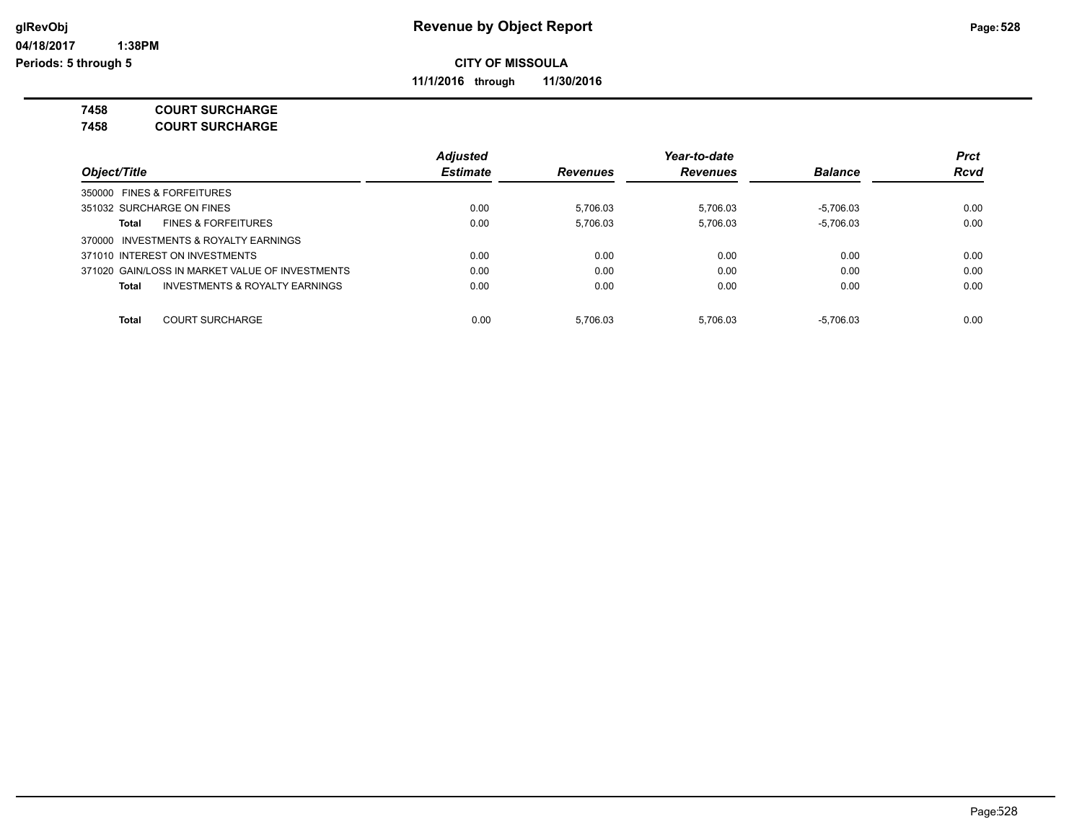**11/1/2016 through 11/30/2016**

**7458 COURT SURCHARGE**

| <b>COURT SURCHARGE</b><br>7458 |
|--------------------------------|
|--------------------------------|

|                                                 | <b>Adjusted</b> |                 | Year-to-date    |                | <b>Prct</b> |
|-------------------------------------------------|-----------------|-----------------|-----------------|----------------|-------------|
| Object/Title                                    | <b>Estimate</b> | <b>Revenues</b> | <b>Revenues</b> | <b>Balance</b> | Rcvd        |
| 350000 FINES & FORFEITURES                      |                 |                 |                 |                |             |
| 351032 SURCHARGE ON FINES                       | 0.00            | 5.706.03        | 5.706.03        | $-5.706.03$    | 0.00        |
| <b>FINES &amp; FORFEITURES</b><br>Total         | 0.00            | 5.706.03        | 5.706.03        | $-5.706.03$    | 0.00        |
| 370000 INVESTMENTS & ROYALTY EARNINGS           |                 |                 |                 |                |             |
| 371010 INTEREST ON INVESTMENTS                  | 0.00            | 0.00            | 0.00            | 0.00           | 0.00        |
| 371020 GAIN/LOSS IN MARKET VALUE OF INVESTMENTS | 0.00            | 0.00            | 0.00            | 0.00           | 0.00        |
| INVESTMENTS & ROYALTY EARNINGS<br>Total         | 0.00            | 0.00            | 0.00            | 0.00           | 0.00        |
| <b>COURT SURCHARGE</b><br><b>Total</b>          | 0.00            | 5.706.03        | 5.706.03        | $-5.706.03$    | 0.00        |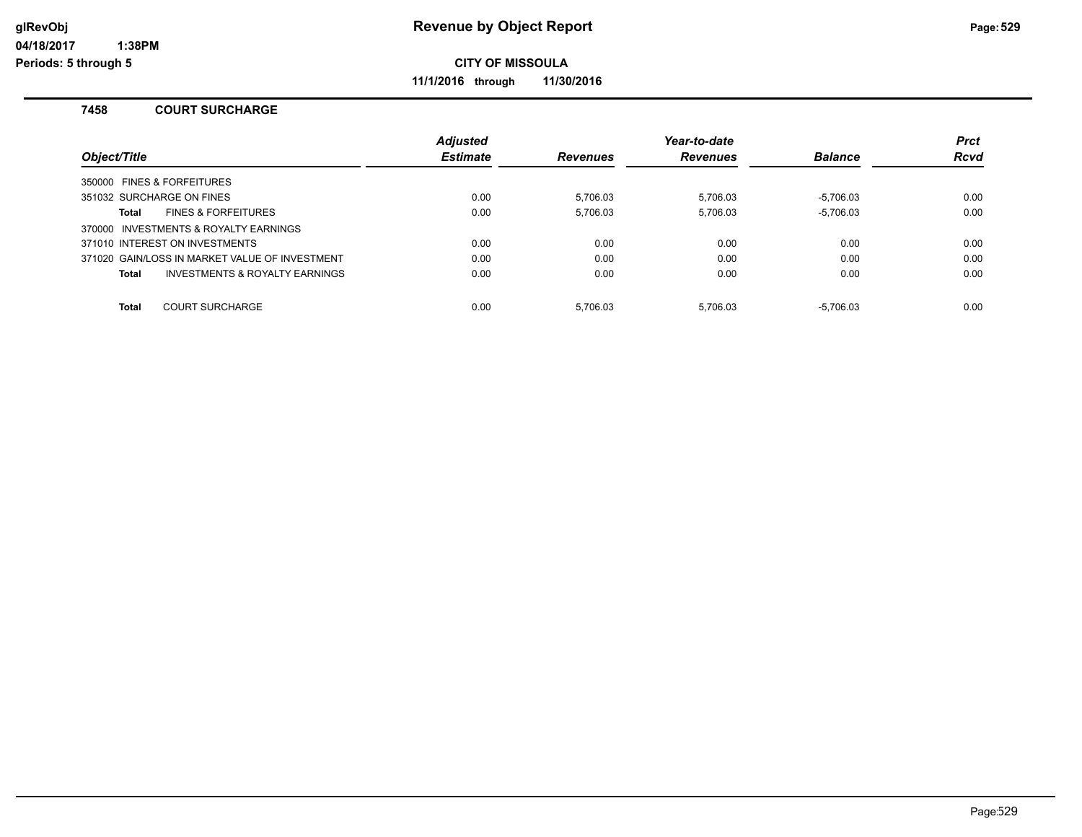**11/1/2016 through 11/30/2016**

### **7458 COURT SURCHARGE**

| Object/Title                                   | <b>Adjusted</b><br><b>Estimate</b> | <b>Revenues</b> | Year-to-date<br><b>Revenues</b> | <b>Balance</b> | <b>Prct</b><br><b>Rcvd</b> |
|------------------------------------------------|------------------------------------|-----------------|---------------------------------|----------------|----------------------------|
|                                                |                                    |                 |                                 |                |                            |
| 350000 FINES & FORFEITURES                     |                                    |                 |                                 |                |                            |
| 351032 SURCHARGE ON FINES                      | 0.00                               | 5.706.03        | 5.706.03                        | $-5.706.03$    | 0.00                       |
| <b>FINES &amp; FORFEITURES</b><br>Total        | 0.00                               | 5,706.03        | 5,706.03                        | $-5,706.03$    | 0.00                       |
| 370000 INVESTMENTS & ROYALTY EARNINGS          |                                    |                 |                                 |                |                            |
| 371010 INTEREST ON INVESTMENTS                 | 0.00                               | 0.00            | 0.00                            | 0.00           | 0.00                       |
| 371020 GAIN/LOSS IN MARKET VALUE OF INVESTMENT | 0.00                               | 0.00            | 0.00                            | 0.00           | 0.00                       |
| INVESTMENTS & ROYALTY EARNINGS<br>Total        | 0.00                               | 0.00            | 0.00                            | 0.00           | 0.00                       |
|                                                |                                    |                 |                                 |                |                            |
| Total<br><b>COURT SURCHARGE</b>                | 0.00                               | 5.706.03        | 5.706.03                        | $-5.706.03$    | 0.00                       |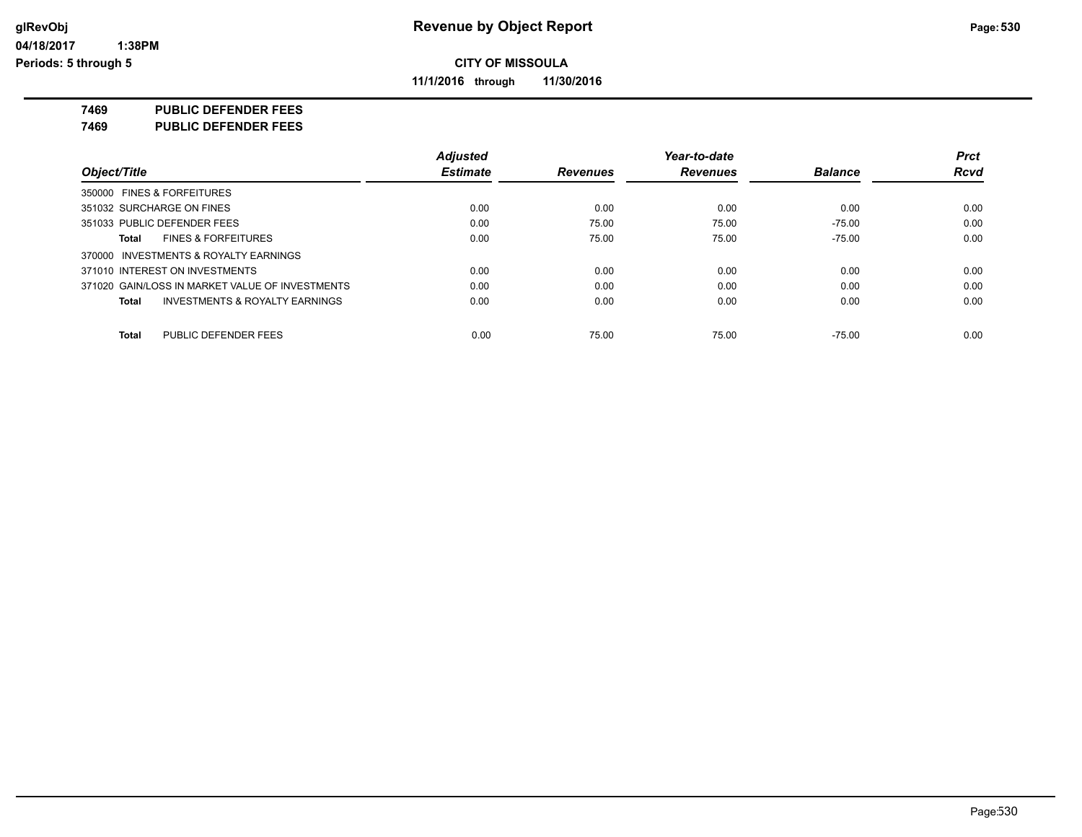**11/1/2016 through 11/30/2016**

**7469 PUBLIC DEFENDER FEES 7469 PUBLIC DEFENDER FEES**

|                                                 | <b>Adjusted</b> |                 | Year-to-date    |                | <b>Prct</b> |
|-------------------------------------------------|-----------------|-----------------|-----------------|----------------|-------------|
| Object/Title                                    | <b>Estimate</b> | <b>Revenues</b> | <b>Revenues</b> | <b>Balance</b> | <b>Rcvd</b> |
| 350000 FINES & FORFEITURES                      |                 |                 |                 |                |             |
| 351032 SURCHARGE ON FINES                       | 0.00            | 0.00            | 0.00            | 0.00           | 0.00        |
| 351033 PUBLIC DEFENDER FEES                     | 0.00            | 75.00           | 75.00           | -75.00         | 0.00        |
| <b>FINES &amp; FORFEITURES</b><br>Total         | 0.00            | 75.00           | 75.00           | $-75.00$       | 0.00        |
| 370000 INVESTMENTS & ROYALTY EARNINGS           |                 |                 |                 |                |             |
| 371010 INTEREST ON INVESTMENTS                  | 0.00            | 0.00            | 0.00            | 0.00           | 0.00        |
| 371020 GAIN/LOSS IN MARKET VALUE OF INVESTMENTS | 0.00            | 0.00            | 0.00            | 0.00           | 0.00        |
| INVESTMENTS & ROYALTY EARNINGS<br>Total         | 0.00            | 0.00            | 0.00            | 0.00           | 0.00        |
| PUBLIC DEFENDER FEES<br>Total                   | 0.00            | 75.00           | 75.00           | $-75.00$       | 0.00        |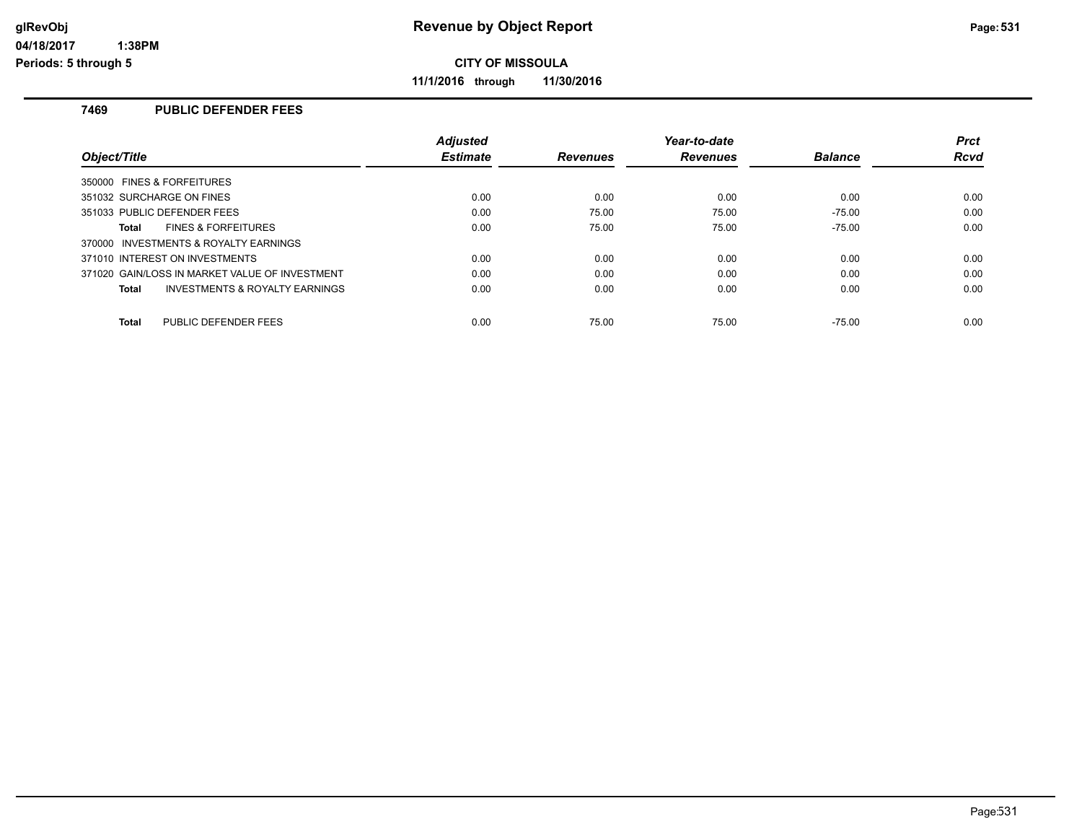**11/1/2016 through 11/30/2016**

### **7469 PUBLIC DEFENDER FEES**

|                                                | <b>Adjusted</b> |                 | Year-to-date    |                | <b>Prct</b> |
|------------------------------------------------|-----------------|-----------------|-----------------|----------------|-------------|
| <i><b>Object/Title</b></i>                     | <b>Estimate</b> | <b>Revenues</b> | <b>Revenues</b> | <b>Balance</b> | <b>Rcvd</b> |
| 350000 FINES & FORFEITURES                     |                 |                 |                 |                |             |
| 351032 SURCHARGE ON FINES                      | 0.00            | 0.00            | 0.00            | 0.00           | 0.00        |
| 351033 PUBLIC DEFENDER FEES                    | 0.00            | 75.00           | 75.00           | $-75.00$       | 0.00        |
| <b>FINES &amp; FORFEITURES</b><br><b>Total</b> | 0.00            | 75.00           | 75.00           | $-75.00$       | 0.00        |
| 370000 INVESTMENTS & ROYALTY EARNINGS          |                 |                 |                 |                |             |
| 371010 INTEREST ON INVESTMENTS                 | 0.00            | 0.00            | 0.00            | 0.00           | 0.00        |
| 371020 GAIN/LOSS IN MARKET VALUE OF INVESTMENT | 0.00            | 0.00            | 0.00            | 0.00           | 0.00        |
| INVESTMENTS & ROYALTY EARNINGS<br><b>Total</b> | 0.00            | 0.00            | 0.00            | 0.00           | 0.00        |
| PUBLIC DEFENDER FEES<br><b>Total</b>           | 0.00            | 75.00           | 75.00           | $-75.00$       | 0.00        |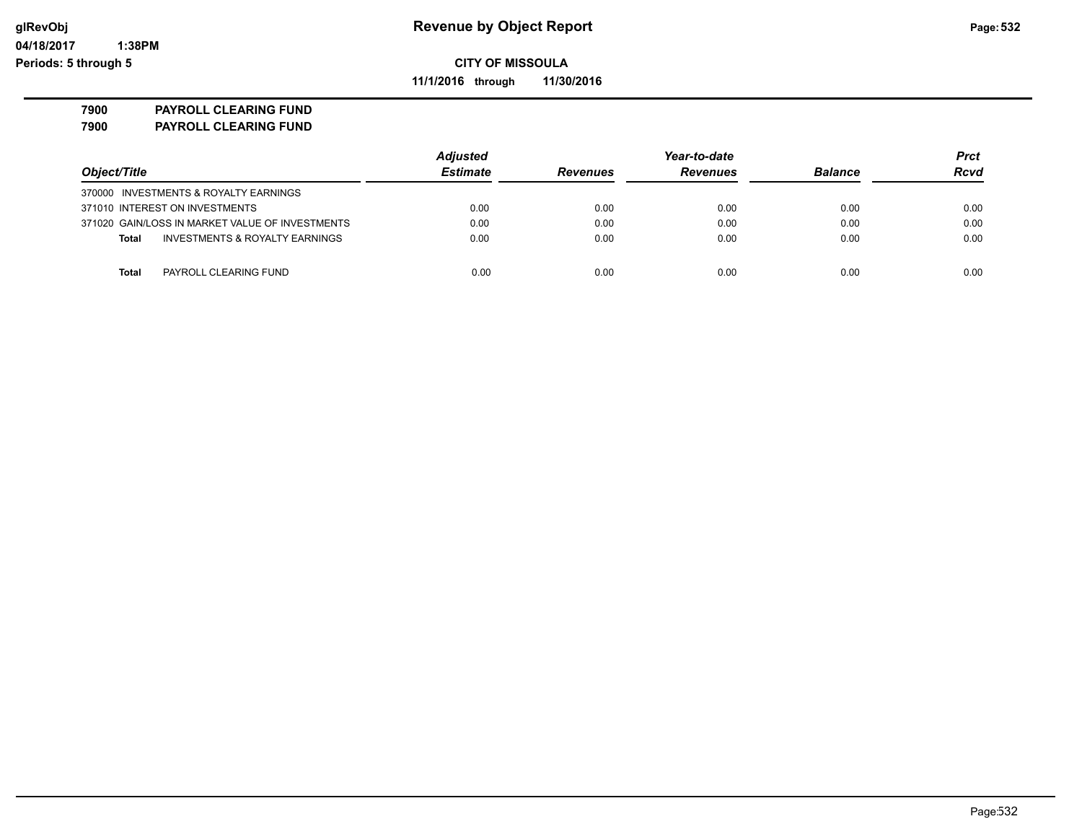**11/1/2016 through 11/30/2016**

**7900 PAYROLL CLEARING FUND 7900 PAYROLL CLEARING FUND**

|                                                 | <b>Adjusted</b> |                 | Year-to-date    |                | <b>Prct</b> |
|-------------------------------------------------|-----------------|-----------------|-----------------|----------------|-------------|
| Object/Title                                    | <b>Estimate</b> | <b>Revenues</b> | <b>Revenues</b> | <b>Balance</b> | <b>Rcvd</b> |
| 370000 INVESTMENTS & ROYALTY EARNINGS           |                 |                 |                 |                |             |
| 371010 INTEREST ON INVESTMENTS                  | 0.00            | 0.00            | 0.00            | 0.00           | 0.00        |
| 371020 GAIN/LOSS IN MARKET VALUE OF INVESTMENTS | 0.00            | 0.00            | 0.00            | 0.00           | 0.00        |
| INVESTMENTS & ROYALTY EARNINGS<br><b>Total</b>  | 0.00            | 0.00            | 0.00            | 0.00           | 0.00        |
|                                                 |                 |                 |                 |                |             |
| PAYROLL CLEARING FUND<br>Total                  | 0.00            | 0.00            | 0.00            | 0.00           | 0.00        |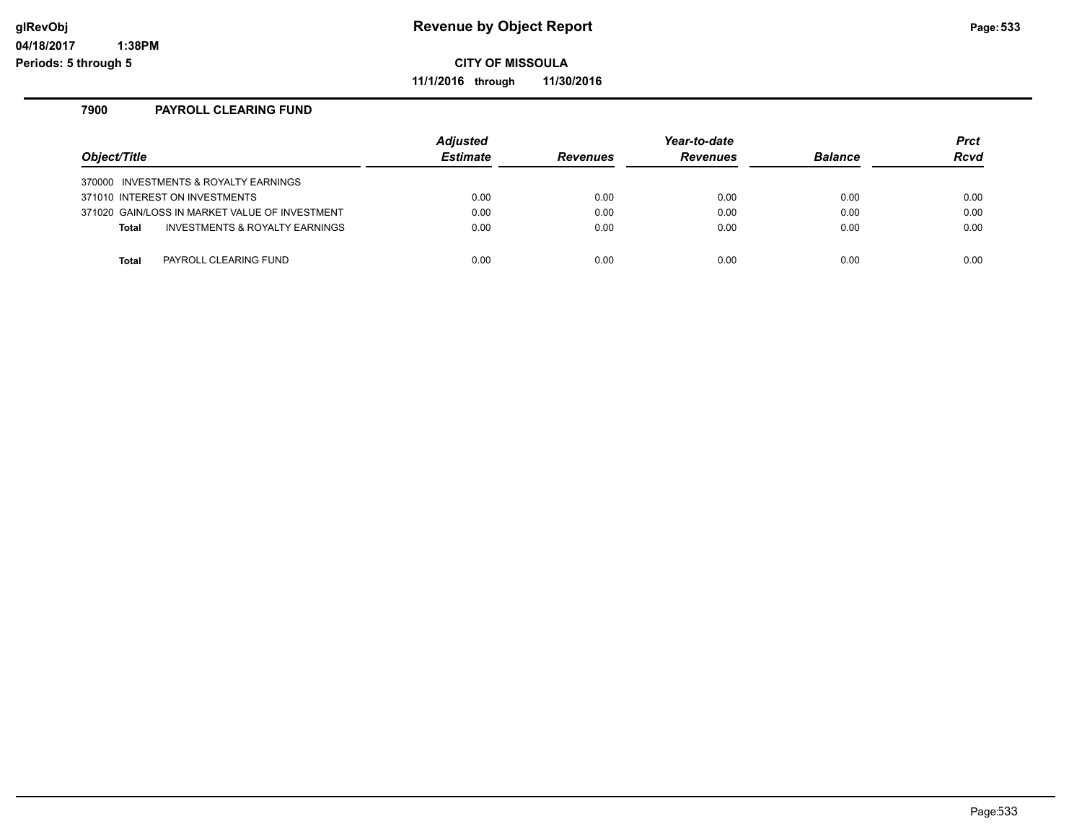**11/1/2016 through 11/30/2016**

### **7900 PAYROLL CLEARING FUND**

|                                                           | <b>Adjusted</b> |                 | Year-to-date    |                | <b>Prct</b> |
|-----------------------------------------------------------|-----------------|-----------------|-----------------|----------------|-------------|
| Object/Title                                              | <b>Estimate</b> | <b>Revenues</b> | <b>Revenues</b> | <b>Balance</b> | <b>Rcvd</b> |
| 370000 INVESTMENTS & ROYALTY EARNINGS                     |                 |                 |                 |                |             |
| 371010 INTEREST ON INVESTMENTS                            | 0.00            | 0.00            | 0.00            | 0.00           | 0.00        |
| 371020 GAIN/LOSS IN MARKET VALUE OF INVESTMENT            | 0.00            | 0.00            | 0.00            | 0.00           | 0.00        |
| <b>INVESTMENTS &amp; ROYALTY EARNINGS</b><br><b>Total</b> | 0.00            | 0.00            | 0.00            | 0.00           | 0.00        |
| Total<br>PAYROLL CLEARING FUND                            | 0.00            | 0.00            | 0.00            | 0.00           | 0.00        |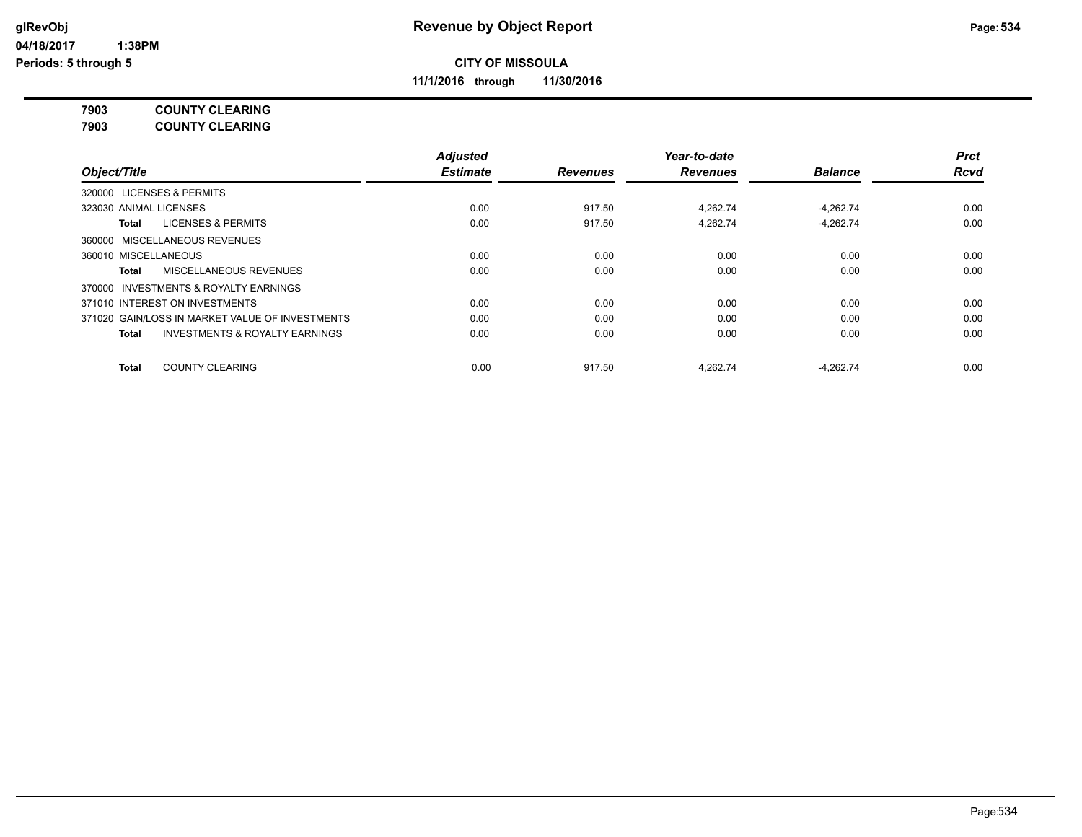**CITY OF MISSOULA 11/1/2016 through 11/30/2016**

**7903 COUNTY CLEARING**

**7903 COUNTY CLEARING**

|                                                    | <b>Adjusted</b> |                 | Year-to-date    |                | <b>Prct</b> |
|----------------------------------------------------|-----------------|-----------------|-----------------|----------------|-------------|
| Object/Title                                       | <b>Estimate</b> | <b>Revenues</b> | <b>Revenues</b> | <b>Balance</b> | <b>Rcvd</b> |
| 320000 LICENSES & PERMITS                          |                 |                 |                 |                |             |
| 323030 ANIMAL LICENSES                             | 0.00            | 917.50          | 4.262.74        | $-4,262.74$    | 0.00        |
| LICENSES & PERMITS<br>Total                        | 0.00            | 917.50          | 4,262.74        | $-4,262.74$    | 0.00        |
| 360000 MISCELLANEOUS REVENUES                      |                 |                 |                 |                |             |
| 360010 MISCELLANEOUS                               | 0.00            | 0.00            | 0.00            | 0.00           | 0.00        |
| MISCELLANEOUS REVENUES<br>Total                    | 0.00            | 0.00            | 0.00            | 0.00           | 0.00        |
| 370000 INVESTMENTS & ROYALTY EARNINGS              |                 |                 |                 |                |             |
| 371010 INTEREST ON INVESTMENTS                     | 0.00            | 0.00            | 0.00            | 0.00           | 0.00        |
| 371020 GAIN/LOSS IN MARKET VALUE OF INVESTMENTS    | 0.00            | 0.00            | 0.00            | 0.00           | 0.00        |
| <b>INVESTMENTS &amp; ROYALTY EARNINGS</b><br>Total | 0.00            | 0.00            | 0.00            | 0.00           | 0.00        |
| <b>COUNTY CLEARING</b><br><b>Total</b>             | 0.00            | 917.50          | 4.262.74        | $-4,262.74$    | 0.00        |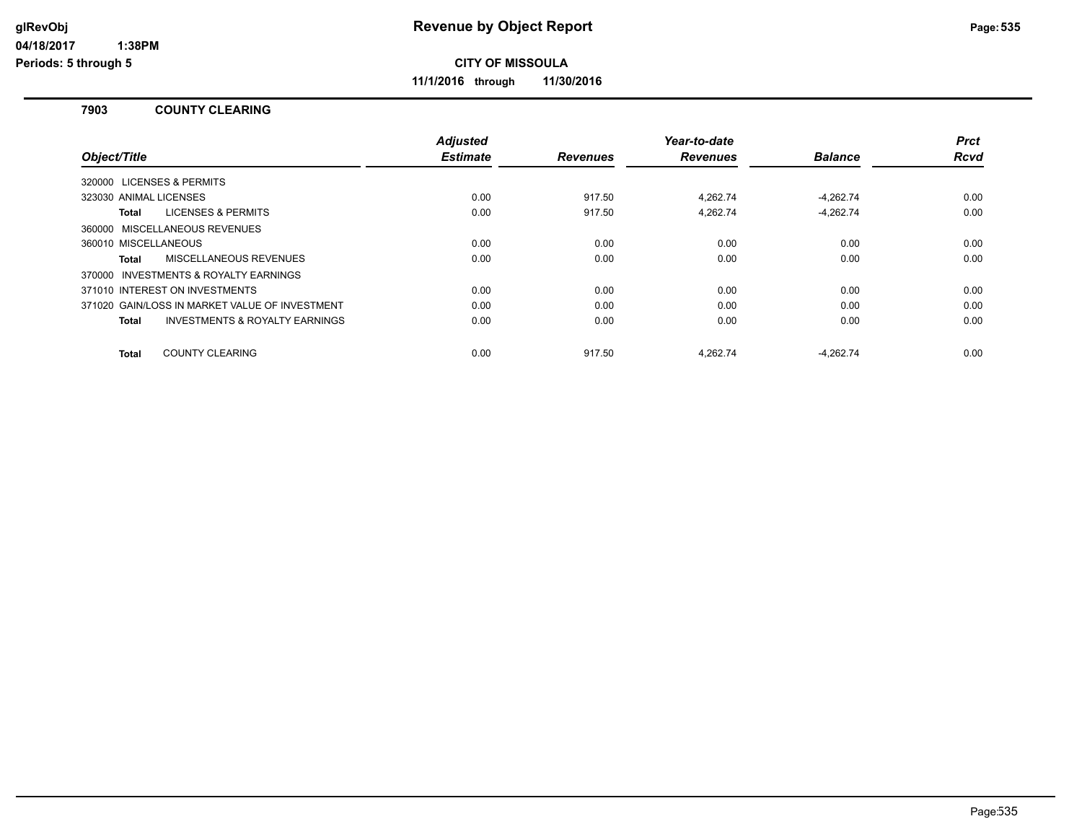**11/1/2016 through 11/30/2016**

### **7903 COUNTY CLEARING**

|                                                           | <b>Adjusted</b> |                 | Year-to-date    |                | <b>Prct</b> |
|-----------------------------------------------------------|-----------------|-----------------|-----------------|----------------|-------------|
| Object/Title                                              | <b>Estimate</b> | <b>Revenues</b> | <b>Revenues</b> | <b>Balance</b> | <b>Rcvd</b> |
| 320000 LICENSES & PERMITS                                 |                 |                 |                 |                |             |
| 323030 ANIMAL LICENSES                                    | 0.00            | 917.50          | 4.262.74        | $-4.262.74$    | 0.00        |
| <b>LICENSES &amp; PERMITS</b><br><b>Total</b>             | 0.00            | 917.50          | 4.262.74        | $-4,262.74$    | 0.00        |
| 360000 MISCELLANEOUS REVENUES                             |                 |                 |                 |                |             |
| 360010 MISCELLANEOUS                                      | 0.00            | 0.00            | 0.00            | 0.00           | 0.00        |
| MISCELLANEOUS REVENUES<br>Total                           | 0.00            | 0.00            | 0.00            | 0.00           | 0.00        |
| 370000 INVESTMENTS & ROYALTY EARNINGS                     |                 |                 |                 |                |             |
| 371010 INTEREST ON INVESTMENTS                            | 0.00            | 0.00            | 0.00            | 0.00           | 0.00        |
| 371020 GAIN/LOSS IN MARKET VALUE OF INVESTMENT            | 0.00            | 0.00            | 0.00            | 0.00           | 0.00        |
| <b>INVESTMENTS &amp; ROYALTY EARNINGS</b><br><b>Total</b> | 0.00            | 0.00            | 0.00            | 0.00           | 0.00        |
| <b>Total</b><br><b>COUNTY CLEARING</b>                    | 0.00            | 917.50          | 4.262.74        | $-4,262.74$    | 0.00        |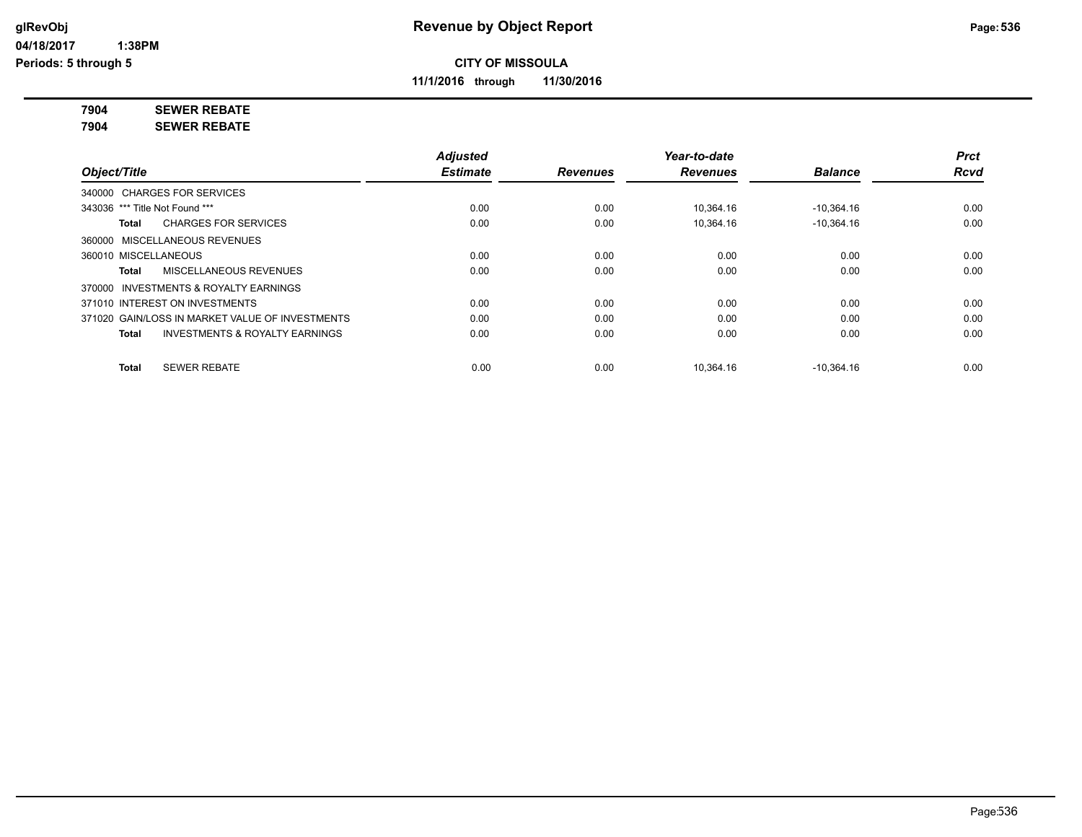**11/1/2016 through 11/30/2016**

**7904 SEWER REBATE 7904 SEWER REBATE**

|                                                 | <b>Adjusted</b> |                 | Year-to-date    |                | <b>Prct</b> |
|-------------------------------------------------|-----------------|-----------------|-----------------|----------------|-------------|
| Object/Title                                    | <b>Estimate</b> | <b>Revenues</b> | <b>Revenues</b> | <b>Balance</b> | Rcvd        |
| 340000 CHARGES FOR SERVICES                     |                 |                 |                 |                |             |
| 343036 *** Title Not Found ***                  | 0.00            | 0.00            | 10.364.16       | $-10,364.16$   | 0.00        |
| <b>CHARGES FOR SERVICES</b><br>Total            | 0.00            | 0.00            | 10,364.16       | $-10,364.16$   | 0.00        |
| 360000 MISCELLANEOUS REVENUES                   |                 |                 |                 |                |             |
| 360010 MISCELLANEOUS                            | 0.00            | 0.00            | 0.00            | 0.00           | 0.00        |
| MISCELLANEOUS REVENUES<br>Total                 | 0.00            | 0.00            | 0.00            | 0.00           | 0.00        |
| 370000 INVESTMENTS & ROYALTY EARNINGS           |                 |                 |                 |                |             |
| 371010 INTEREST ON INVESTMENTS                  | 0.00            | 0.00            | 0.00            | 0.00           | 0.00        |
| 371020 GAIN/LOSS IN MARKET VALUE OF INVESTMENTS | 0.00            | 0.00            | 0.00            | 0.00           | 0.00        |
| INVESTMENTS & ROYALTY EARNINGS<br>Total         | 0.00            | 0.00            | 0.00            | 0.00           | 0.00        |
| <b>SEWER REBATE</b><br>Total                    | 0.00            | 0.00            | 10.364.16       | $-10.364.16$   | 0.00        |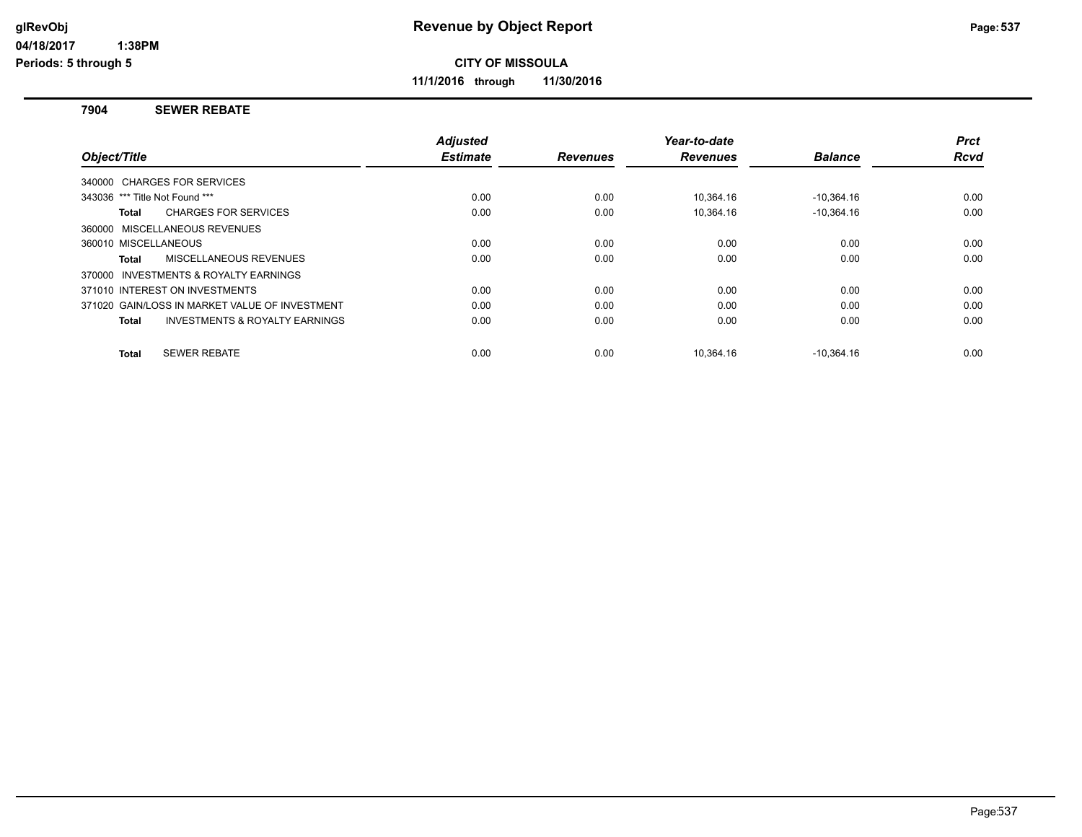**11/1/2016 through 11/30/2016**

### **7904 SEWER REBATE**

|                                                | <b>Adjusted</b> |                 | Year-to-date    |                | <b>Prct</b> |
|------------------------------------------------|-----------------|-----------------|-----------------|----------------|-------------|
| Object/Title                                   | <b>Estimate</b> | <b>Revenues</b> | <b>Revenues</b> | <b>Balance</b> | <b>Rcvd</b> |
| 340000 CHARGES FOR SERVICES                    |                 |                 |                 |                |             |
| 343036 *** Title Not Found ***                 | 0.00            | 0.00            | 10.364.16       | $-10.364.16$   | 0.00        |
| <b>CHARGES FOR SERVICES</b><br><b>Total</b>    | 0.00            | 0.00            | 10,364.16       | $-10,364.16$   | 0.00        |
| 360000 MISCELLANEOUS REVENUES                  |                 |                 |                 |                |             |
| 360010 MISCELLANEOUS                           | 0.00            | 0.00            | 0.00            | 0.00           | 0.00        |
| MISCELLANEOUS REVENUES<br>Total                | 0.00            | 0.00            | 0.00            | 0.00           | 0.00        |
| 370000 INVESTMENTS & ROYALTY EARNINGS          |                 |                 |                 |                |             |
| 371010 INTEREST ON INVESTMENTS                 | 0.00            | 0.00            | 0.00            | 0.00           | 0.00        |
| 371020 GAIN/LOSS IN MARKET VALUE OF INVESTMENT | 0.00            | 0.00            | 0.00            | 0.00           | 0.00        |
| INVESTMENTS & ROYALTY EARNINGS<br><b>Total</b> | 0.00            | 0.00            | 0.00            | 0.00           | 0.00        |
| <b>SEWER REBATE</b><br><b>Total</b>            | 0.00            | 0.00            | 10.364.16       | $-10.364.16$   | 0.00        |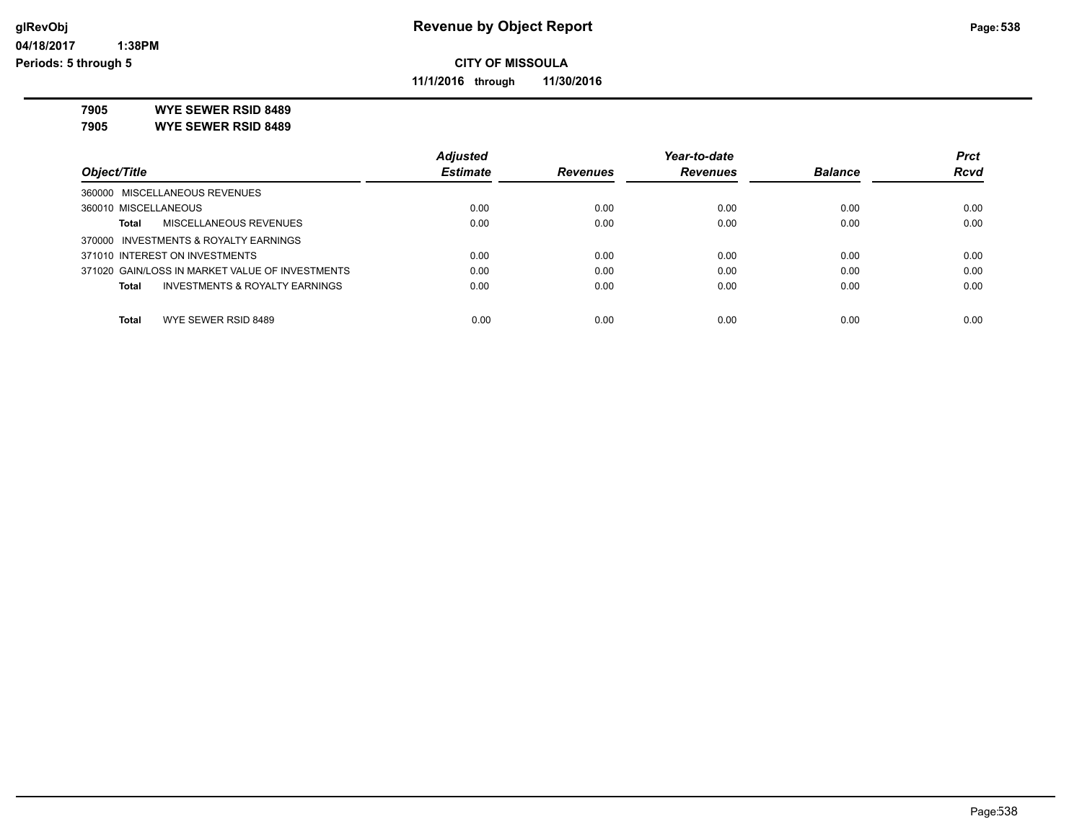**11/1/2016 through 11/30/2016**

**7905 WYE SEWER RSID 8489**

**7905 WYE SEWER RSID 8489**

|                                                 | <b>Adjusted</b>      |                 | Year-to-date    |                | <b>Prct</b> |
|-------------------------------------------------|----------------------|-----------------|-----------------|----------------|-------------|
| Object/Title                                    | <b>Estimate</b>      | <b>Revenues</b> | <b>Revenues</b> | <b>Balance</b> | <b>Rcvd</b> |
| 360000 MISCELLANEOUS REVENUES                   | 0.00<br>0.00<br>0.00 |                 |                 |                |             |
| 360010 MISCELLANEOUS                            |                      | 0.00            | 0.00            |                |             |
| MISCELLANEOUS REVENUES<br>Total                 | 0.00                 | 0.00            | 0.00            | 0.00           | 0.00        |
| 370000 INVESTMENTS & ROYALTY EARNINGS           |                      | 0.00            | 0.00            | 0.00           | 0.00        |
| 371010 INTEREST ON INVESTMENTS                  | 0.00                 |                 |                 |                |             |
| 371020 GAIN/LOSS IN MARKET VALUE OF INVESTMENTS | 0.00                 | 0.00            | 0.00            | 0.00           | 0.00        |
| INVESTMENTS & ROYALTY EARNINGS<br>Total         | 0.00                 | 0.00            | 0.00            | 0.00           | 0.00        |
| WYE SEWER RSID 8489<br><b>Total</b>             | 0.00                 | 0.00            | 0.00            | 0.00           | 0.00        |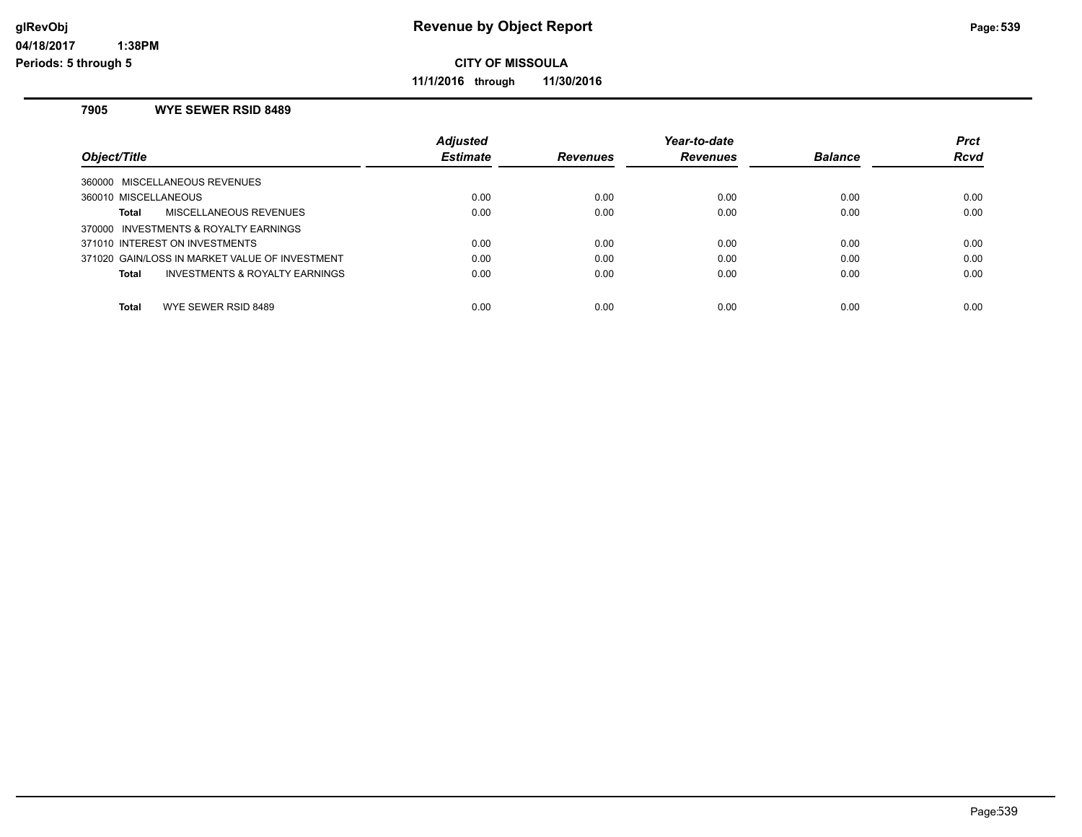**11/1/2016 through 11/30/2016**

### **7905 WYE SEWER RSID 8489**

| Object/Title                                       | <b>Adjusted</b><br><b>Estimate</b> | <b>Revenues</b> | Year-to-date<br><b>Revenues</b> | <b>Balance</b> | <b>Prct</b><br><b>Rcvd</b> |
|----------------------------------------------------|------------------------------------|-----------------|---------------------------------|----------------|----------------------------|
|                                                    |                                    |                 |                                 |                |                            |
| 360000 MISCELLANEOUS REVENUES                      |                                    |                 |                                 |                |                            |
| 360010 MISCELLANEOUS                               | 0.00                               | 0.00            | 0.00                            | 0.00           | 0.00                       |
| MISCELLANEOUS REVENUES<br>Total                    | 0.00                               | 0.00            | 0.00                            | 0.00           | 0.00                       |
| 370000 INVESTMENTS & ROYALTY EARNINGS              |                                    |                 |                                 |                |                            |
| 371010 INTEREST ON INVESTMENTS                     | 0.00                               | 0.00            | 0.00                            | 0.00           | 0.00                       |
| 371020 GAIN/LOSS IN MARKET VALUE OF INVESTMENT     | 0.00                               | 0.00            | 0.00                            | 0.00           | 0.00                       |
| <b>INVESTMENTS &amp; ROYALTY EARNINGS</b><br>Total | 0.00                               | 0.00            | 0.00                            | 0.00           | 0.00                       |
| Total<br>WYE SEWER RSID 8489                       | 0.00                               | 0.00            | 0.00                            | 0.00           | 0.00                       |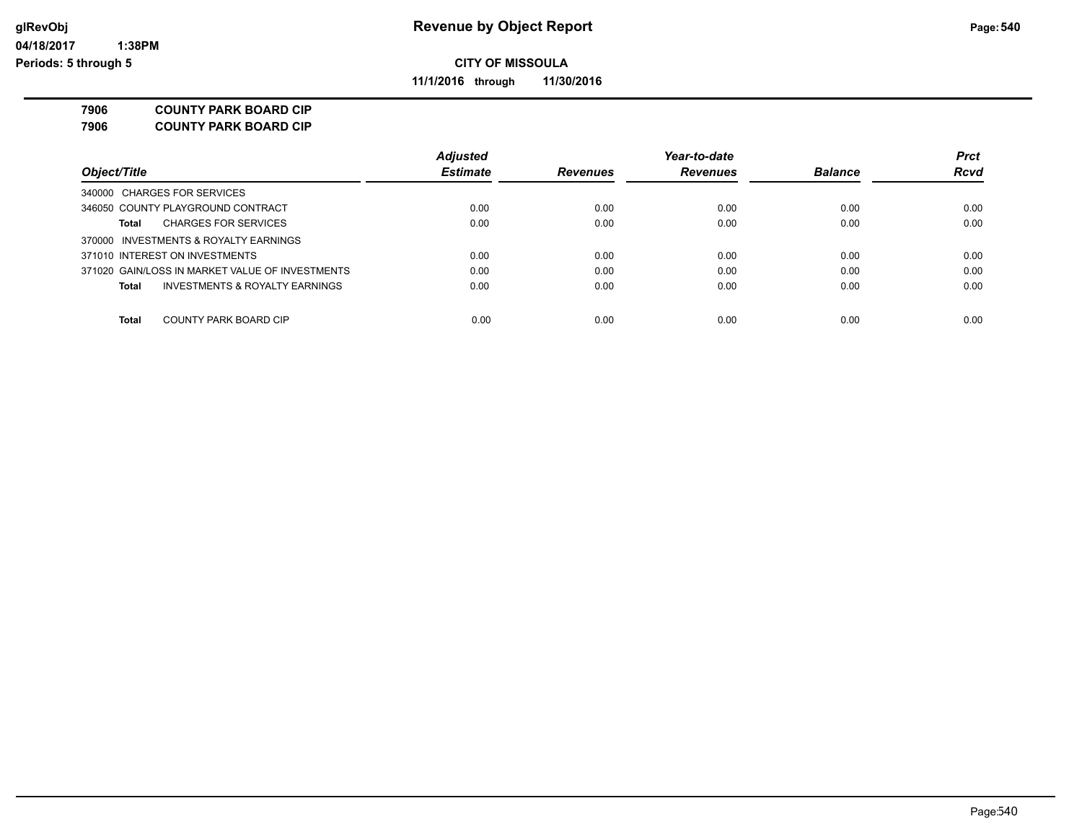**11/1/2016 through 11/30/2016**

**7906 COUNTY PARK BOARD CIP**

**7906 COUNTY PARK BOARD CIP**

|                                                 | <b>Adjusted</b> |                 | Year-to-date    |                | <b>Prct</b> |
|-------------------------------------------------|-----------------|-----------------|-----------------|----------------|-------------|
| Object/Title                                    | <b>Estimate</b> | <b>Revenues</b> | <b>Revenues</b> | <b>Balance</b> | Rcvd        |
| 340000 CHARGES FOR SERVICES                     |                 |                 |                 |                |             |
| 346050 COUNTY PLAYGROUND CONTRACT               | 0.00            | 0.00            | 0.00            | 0.00           | 0.00        |
| <b>CHARGES FOR SERVICES</b><br>Total            | 0.00            | 0.00            | 0.00            | 0.00           | 0.00        |
| 370000 INVESTMENTS & ROYALTY EARNINGS           |                 |                 |                 |                |             |
| 371010 INTEREST ON INVESTMENTS                  | 0.00            | 0.00            | 0.00            | 0.00           | 0.00        |
| 371020 GAIN/LOSS IN MARKET VALUE OF INVESTMENTS | 0.00            | 0.00            | 0.00            | 0.00           | 0.00        |
| INVESTMENTS & ROYALTY EARNINGS<br>Total         | 0.00            | 0.00            | 0.00            | 0.00           | 0.00        |
|                                                 |                 |                 |                 |                |             |
| <b>Total</b><br>COUNTY PARK BOARD CIP           | 0.00            | 0.00            | 0.00            | 0.00           | 0.00        |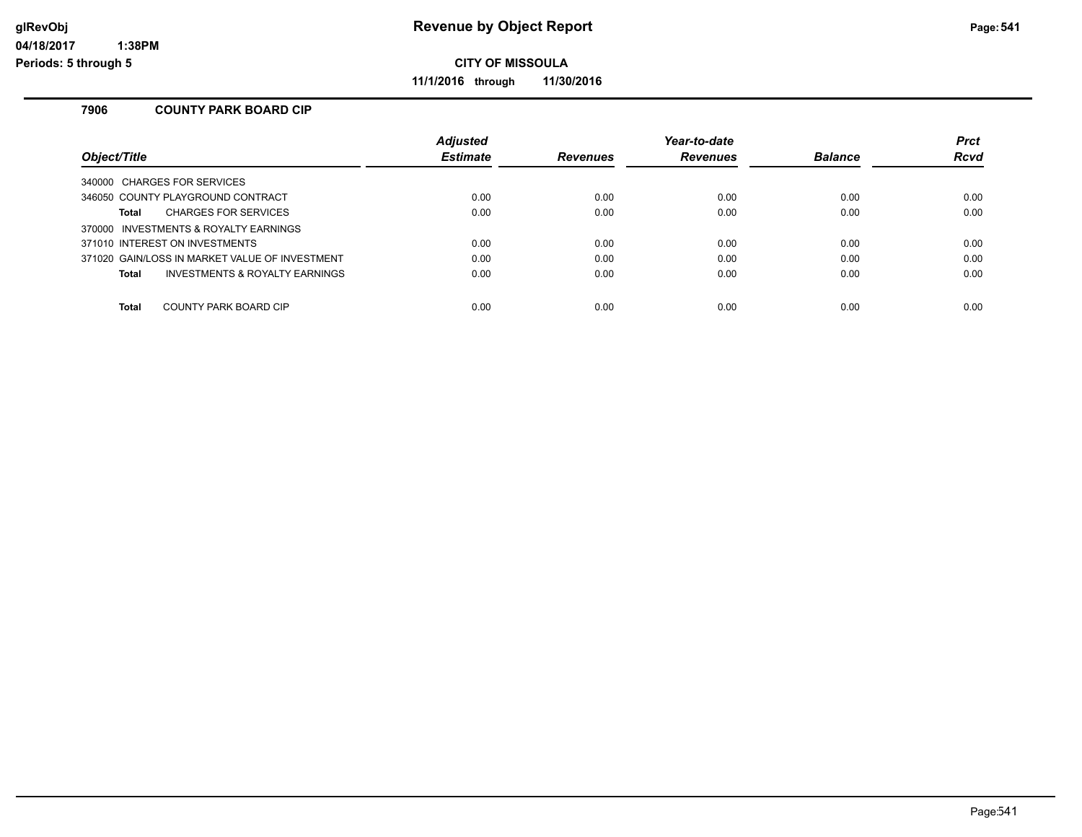**11/1/2016 through 11/30/2016**

#### **7906 COUNTY PARK BOARD CIP**

|                                                | <b>Adjusted</b><br><b>Estimate</b> |                 | Year-to-date    | <b>Balance</b> | <b>Prct</b> |
|------------------------------------------------|------------------------------------|-----------------|-----------------|----------------|-------------|
| Object/Title                                   |                                    | <b>Revenues</b> | <b>Revenues</b> |                | Rcvd        |
| 340000 CHARGES FOR SERVICES                    |                                    |                 |                 |                |             |
| 346050 COUNTY PLAYGROUND CONTRACT              | 0.00                               | 0.00            | 0.00            | 0.00           | 0.00        |
| <b>CHARGES FOR SERVICES</b><br>Total           | 0.00                               | 0.00            | 0.00            | 0.00           | 0.00        |
| 370000 INVESTMENTS & ROYALTY EARNINGS          |                                    |                 |                 |                |             |
| 371010 INTEREST ON INVESTMENTS                 | 0.00                               | 0.00            | 0.00            | 0.00           | 0.00        |
| 371020 GAIN/LOSS IN MARKET VALUE OF INVESTMENT | 0.00                               | 0.00            | 0.00            | 0.00           | 0.00        |
| INVESTMENTS & ROYALTY EARNINGS<br>Total        | 0.00                               | 0.00            | 0.00            | 0.00           | 0.00        |
|                                                |                                    |                 |                 |                |             |
| Total<br>COUNTY PARK BOARD CIP                 | 0.00                               | 0.00            | 0.00            | 0.00           | 0.00        |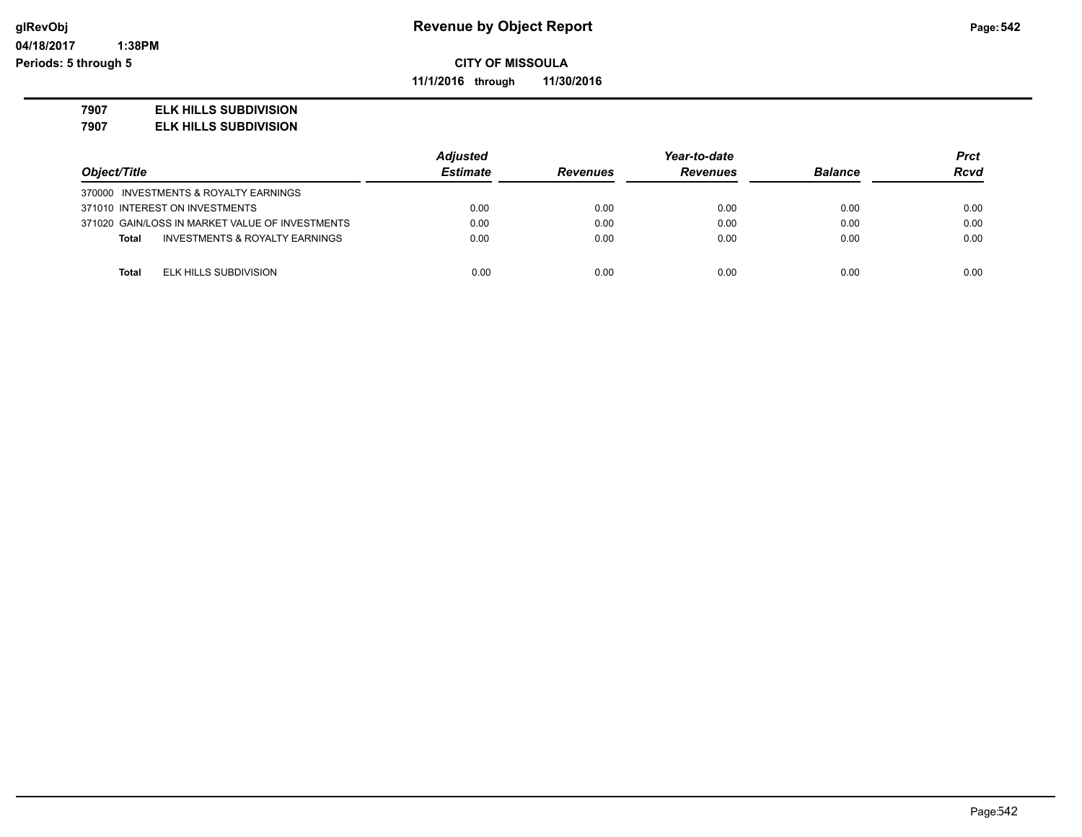**11/1/2016 through 11/30/2016**

**7907 ELK HILLS SUBDIVISION 7907 ELK HILLS SUBDIVISION**

|                                                 | <b>Adjusted</b> |                 | Year-to-date    |                |             |
|-------------------------------------------------|-----------------|-----------------|-----------------|----------------|-------------|
| Object/Title                                    | <b>Estimate</b> | <b>Revenues</b> | <b>Revenues</b> | <b>Balance</b> | <b>Rcvd</b> |
| 370000 INVESTMENTS & ROYALTY EARNINGS           |                 |                 |                 |                |             |
| 371010 INTEREST ON INVESTMENTS                  | 0.00            | 0.00            | 0.00            | 0.00           | 0.00        |
| 371020 GAIN/LOSS IN MARKET VALUE OF INVESTMENTS | 0.00            | 0.00            | 0.00            | 0.00           | 0.00        |
| INVESTMENTS & ROYALTY EARNINGS<br>Total         | 0.00            | 0.00            | 0.00            | 0.00           | 0.00        |
|                                                 |                 |                 |                 |                |             |
| <b>ELK HILLS SUBDIVISION</b><br>Total           | 0.00            | 0.00            | 0.00            | 0.00           | 0.00        |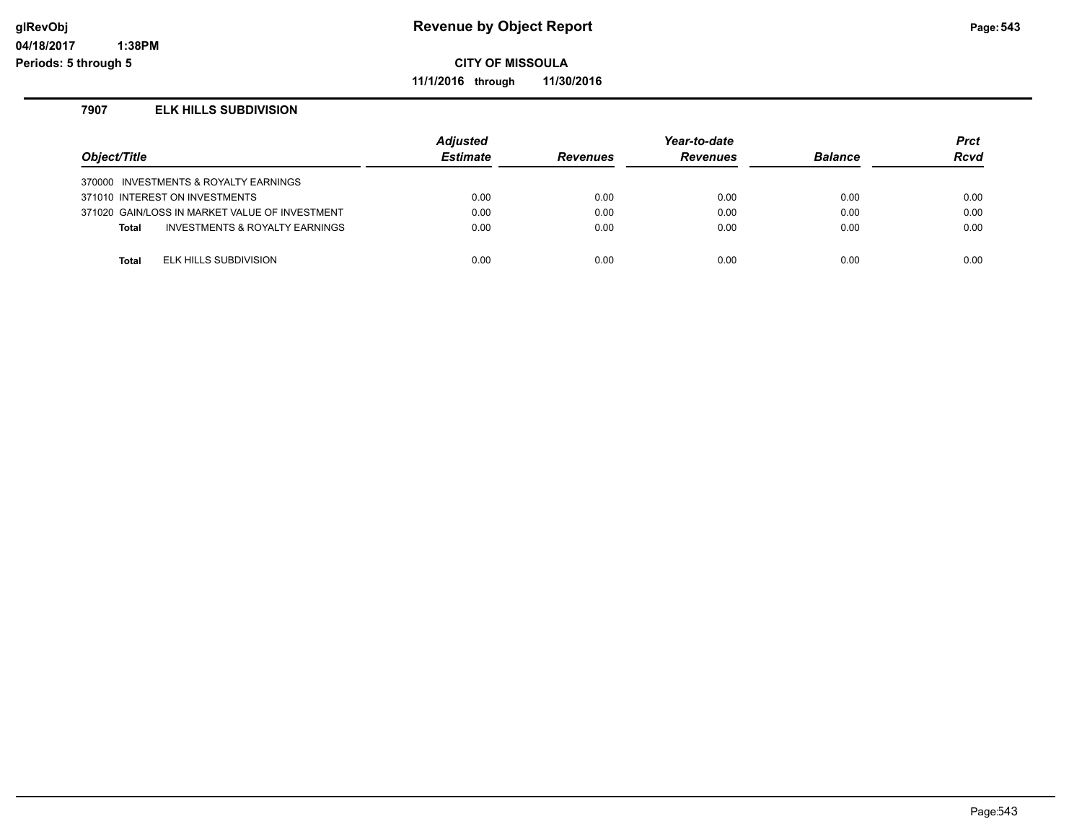**11/1/2016 through 11/30/2016**

#### **7907 ELK HILLS SUBDIVISION**

|                                                    | <b>Adjusted</b> | Year-to-date    |                 |                | <b>Prct</b> |
|----------------------------------------------------|-----------------|-----------------|-----------------|----------------|-------------|
| Object/Title                                       | <b>Estimate</b> | <b>Revenues</b> | <b>Revenues</b> | <b>Balance</b> | <b>Rcvd</b> |
| 370000 INVESTMENTS & ROYALTY EARNINGS              |                 |                 |                 |                |             |
| 371010 INTEREST ON INVESTMENTS                     | 0.00            | 0.00            | 0.00            | 0.00           | 0.00        |
| 371020 GAIN/LOSS IN MARKET VALUE OF INVESTMENT     | 0.00            | 0.00            | 0.00            | 0.00           | 0.00        |
| <b>INVESTMENTS &amp; ROYALTY EARNINGS</b><br>Total | 0.00            | 0.00            | 0.00            | 0.00           | 0.00        |
|                                                    |                 |                 |                 |                |             |
| <b>Total</b><br>ELK HILLS SUBDIVISION              | 0.00            | 0.00            | 0.00            | 0.00           | 0.00        |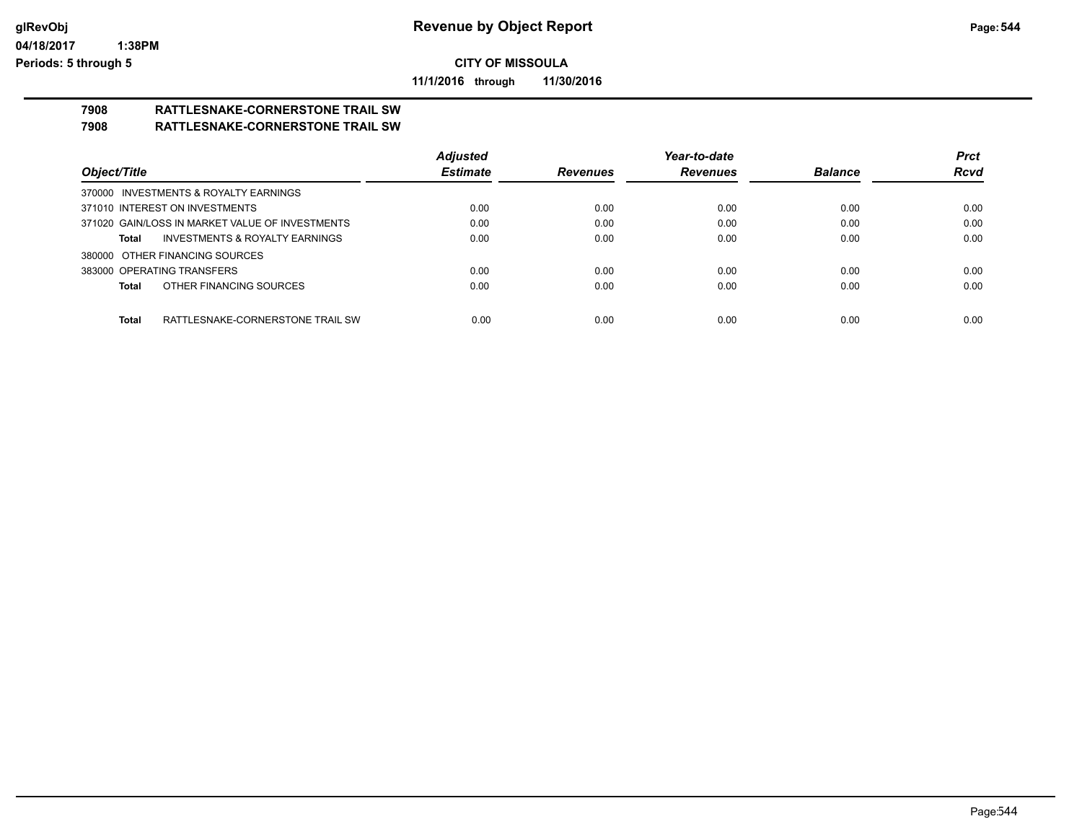**11/1/2016 through 11/30/2016**

#### **7908 RATTLESNAKE-CORNERSTONE TRAIL SW 7908 RATTLESNAKE-CORNERSTONE TRAIL SW**

|                                                 | <b>Adiusted</b> |                 | Year-to-date    |                | <b>Prct</b> |
|-------------------------------------------------|-----------------|-----------------|-----------------|----------------|-------------|
| Object/Title                                    | <b>Estimate</b> | <b>Revenues</b> | <b>Revenues</b> | <b>Balance</b> | <b>Rcvd</b> |
| 370000 INVESTMENTS & ROYALTY EARNINGS           |                 |                 |                 |                |             |
| 371010 INTEREST ON INVESTMENTS                  | 0.00            | 0.00            | 0.00            | 0.00           | 0.00        |
| 371020 GAIN/LOSS IN MARKET VALUE OF INVESTMENTS | 0.00            | 0.00            | 0.00            | 0.00           | 0.00        |
| INVESTMENTS & ROYALTY EARNINGS<br>Total         | 0.00            | 0.00            | 0.00            | 0.00           | 0.00        |
| 380000 OTHER FINANCING SOURCES                  |                 |                 |                 |                |             |
| 383000 OPERATING TRANSFERS                      | 0.00            | 0.00            | 0.00            | 0.00           | 0.00        |
| OTHER FINANCING SOURCES<br><b>Total</b>         | 0.00            | 0.00            | 0.00            | 0.00           | 0.00        |
|                                                 |                 |                 |                 |                |             |
| Total<br>RATTLESNAKE-CORNERSTONE TRAIL SW       | 0.00            | 0.00            | 0.00            | 0.00           | 0.00        |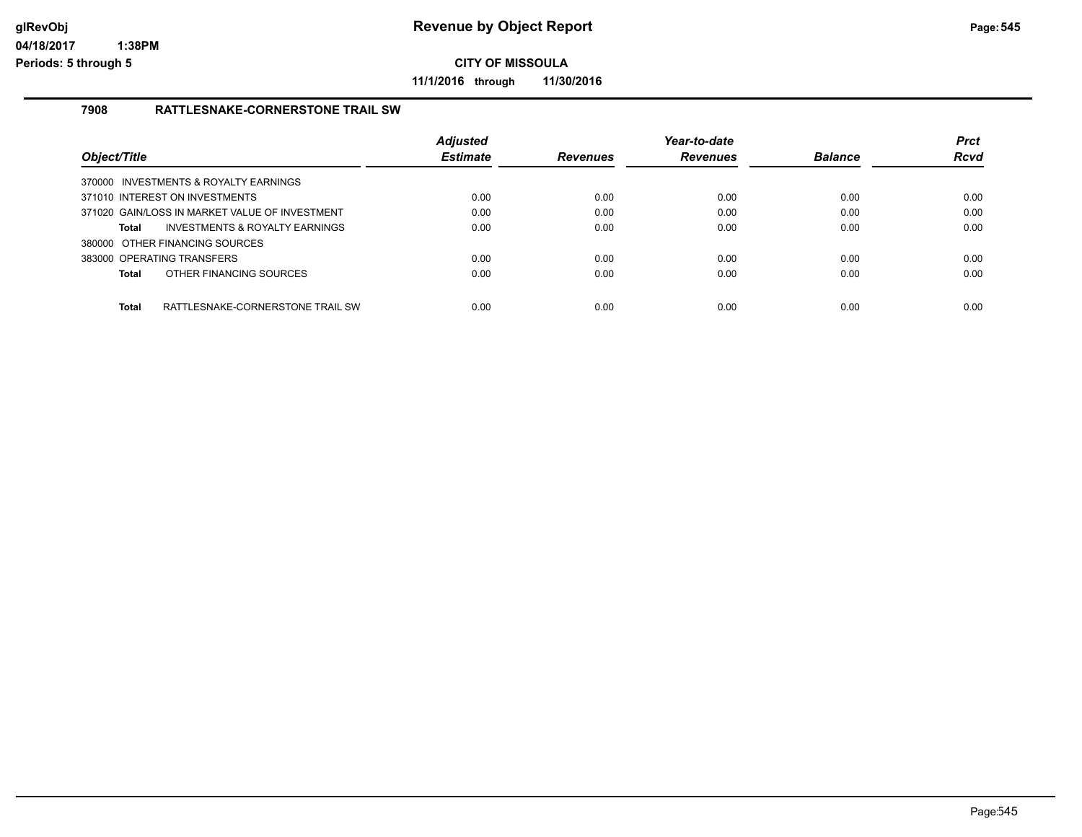**11/1/2016 through 11/30/2016**

#### **7908 RATTLESNAKE-CORNERSTONE TRAIL SW**

| Obiect/Title                                   | <b>Adjusted</b><br><b>Estimate</b> | <b>Revenues</b> | Year-to-date<br><b>Revenues</b> | <b>Balance</b> | <b>Prct</b><br><b>Rcvd</b> |
|------------------------------------------------|------------------------------------|-----------------|---------------------------------|----------------|----------------------------|
|                                                |                                    |                 |                                 |                |                            |
| 370000 INVESTMENTS & ROYALTY EARNINGS          |                                    |                 |                                 |                |                            |
| 371010 INTEREST ON INVESTMENTS                 | 0.00                               | 0.00            | 0.00                            | 0.00           | 0.00                       |
| 371020 GAIN/LOSS IN MARKET VALUE OF INVESTMENT | 0.00                               | 0.00            | 0.00                            | 0.00           | 0.00                       |
| Total<br>INVESTMENTS & ROYALTY EARNINGS        | 0.00                               | 0.00            | 0.00                            | 0.00           | 0.00                       |
| 380000 OTHER FINANCING SOURCES                 |                                    |                 |                                 |                |                            |
| 383000 OPERATING TRANSFERS                     | 0.00                               | 0.00            | 0.00                            | 0.00           | 0.00                       |
| OTHER FINANCING SOURCES<br>Total               | 0.00                               | 0.00            | 0.00                            | 0.00           | 0.00                       |
|                                                |                                    |                 |                                 |                |                            |
| Total<br>RATTLESNAKE-CORNERSTONE TRAIL SW      | 0.00                               | 0.00            | 0.00                            | 0.00           | 0.00                       |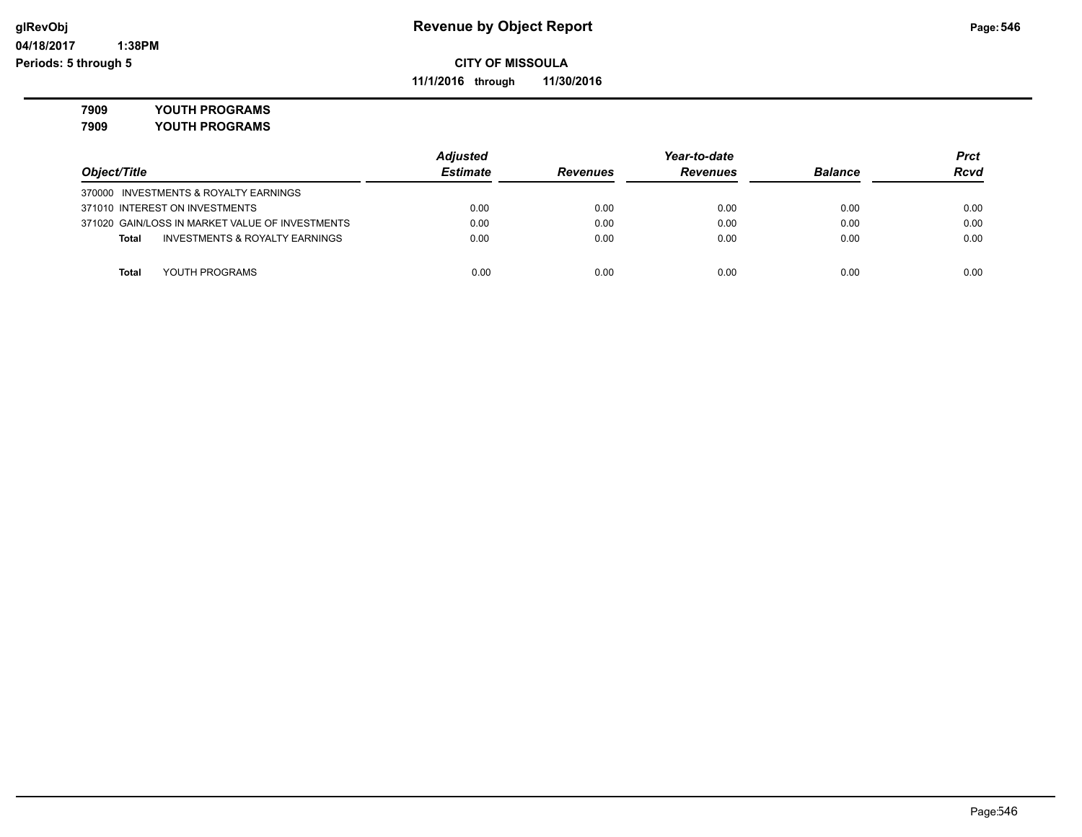**7909 YOUTH PROGRAMS**

**7909 YOUTH PROGRAMS**

|                                                 | <b>Adjusted</b> |                 | Year-to-date    |                |             |
|-------------------------------------------------|-----------------|-----------------|-----------------|----------------|-------------|
| Object/Title                                    | <b>Estimate</b> | <b>Revenues</b> | <b>Revenues</b> | <b>Balance</b> | <b>Rcvd</b> |
| 370000 INVESTMENTS & ROYALTY EARNINGS           |                 |                 |                 |                |             |
| 371010 INTEREST ON INVESTMENTS                  | 0.00            | 0.00            | 0.00            | 0.00           | 0.00        |
| 371020 GAIN/LOSS IN MARKET VALUE OF INVESTMENTS | 0.00            | 0.00            | 0.00            | 0.00           | 0.00        |
| INVESTMENTS & ROYALTY EARNINGS<br>Total         | 0.00            | 0.00            | 0.00            | 0.00           | 0.00        |
| YOUTH PROGRAMS<br><b>Total</b>                  | 0.00            | 0.00            | 0.00            | 0.00           | 0.00        |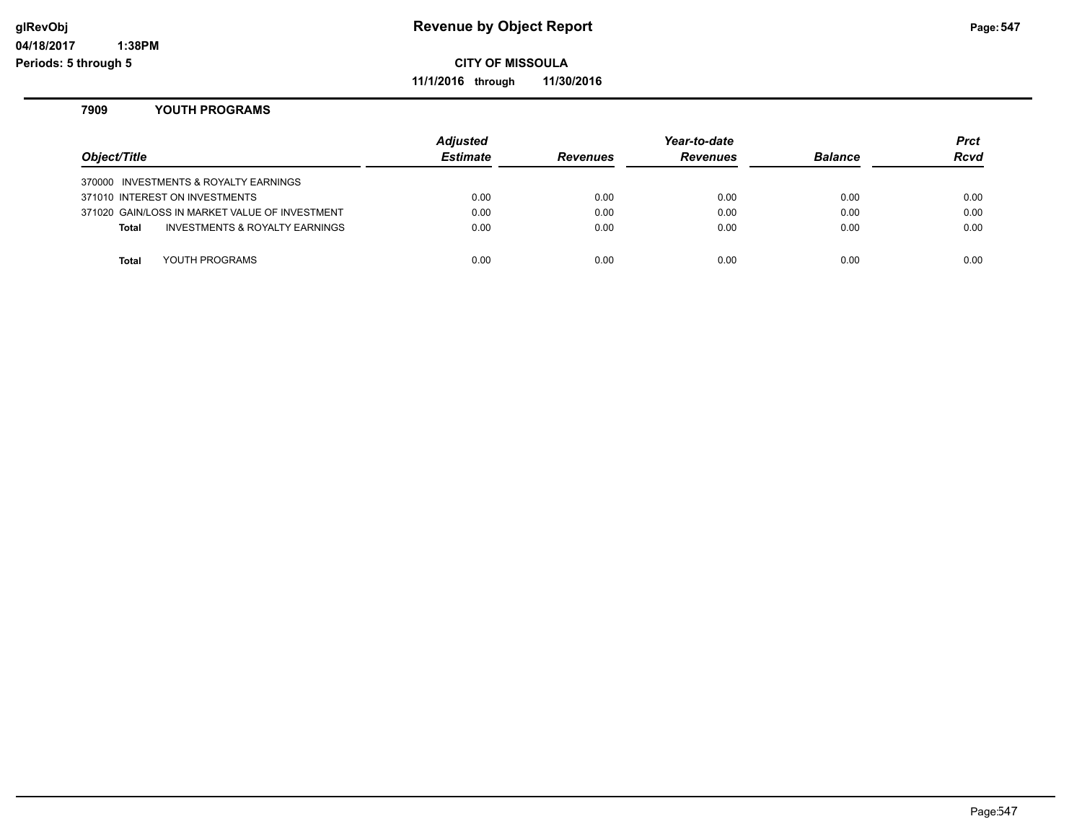**11/1/2016 through 11/30/2016**

#### **7909 YOUTH PROGRAMS**

|                                                           | <b>Adjusted</b> |                 | Year-to-date    |                |             |  |
|-----------------------------------------------------------|-----------------|-----------------|-----------------|----------------|-------------|--|
| Object/Title                                              | <b>Estimate</b> | <b>Revenues</b> | <b>Revenues</b> | <b>Balance</b> | <b>Rcvd</b> |  |
| 370000 INVESTMENTS & ROYALTY EARNINGS                     |                 |                 |                 |                |             |  |
| 371010 INTEREST ON INVESTMENTS                            | 0.00            | 0.00            | 0.00            | 0.00           | 0.00        |  |
| 371020 GAIN/LOSS IN MARKET VALUE OF INVESTMENT            | 0.00            | 0.00            | 0.00            | 0.00           | 0.00        |  |
| <b>INVESTMENTS &amp; ROYALTY EARNINGS</b><br><b>Total</b> | 0.00            | 0.00            | 0.00            | 0.00           | 0.00        |  |
|                                                           |                 |                 |                 |                |             |  |
| YOUTH PROGRAMS<br><b>Total</b>                            | 0.00            | 0.00            | 0.00            | 0.00           | 0.00        |  |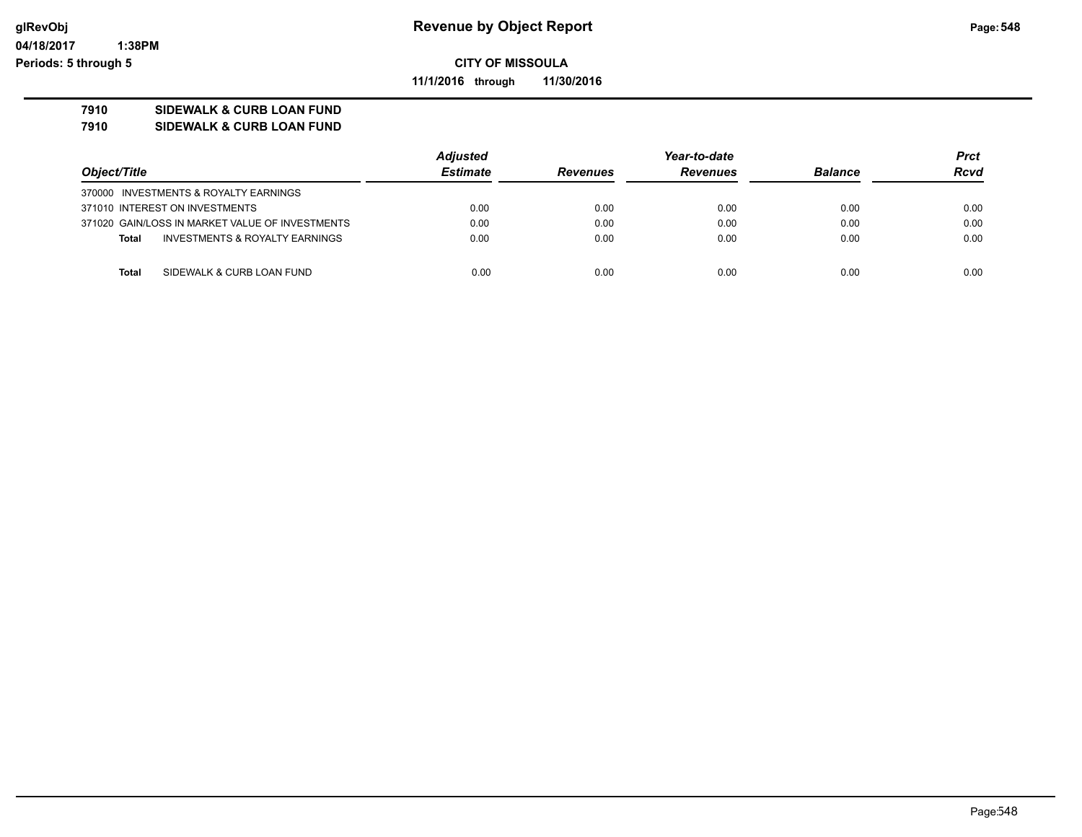**11/1/2016 through 11/30/2016**

**7910 SIDEWALK & CURB LOAN FUND 7910 SIDEWALK & CURB LOAN FUND**

|              |                                                 | <b>Adjusted</b> |                 | Year-to-date    |                | <b>Prct</b> |
|--------------|-------------------------------------------------|-----------------|-----------------|-----------------|----------------|-------------|
| Object/Title |                                                 | <b>Estimate</b> | <b>Revenues</b> | <b>Revenues</b> | <b>Balance</b> | <b>Rcvd</b> |
|              | 370000 INVESTMENTS & ROYALTY EARNINGS           |                 |                 |                 |                |             |
|              | 371010 INTEREST ON INVESTMENTS                  | 0.00            | 0.00            | 0.00            | 0.00           | 0.00        |
|              | 371020 GAIN/LOSS IN MARKET VALUE OF INVESTMENTS | 0.00            | 0.00            | 0.00            | 0.00           | 0.00        |
| Total        | INVESTMENTS & ROYALTY EARNINGS                  | 0.00            | 0.00            | 0.00            | 0.00           | 0.00        |
|              |                                                 |                 |                 |                 |                |             |
| Total        | SIDEWALK & CURB LOAN FUND                       | 0.00            | 0.00            | 0.00            | 0.00           | 0.00        |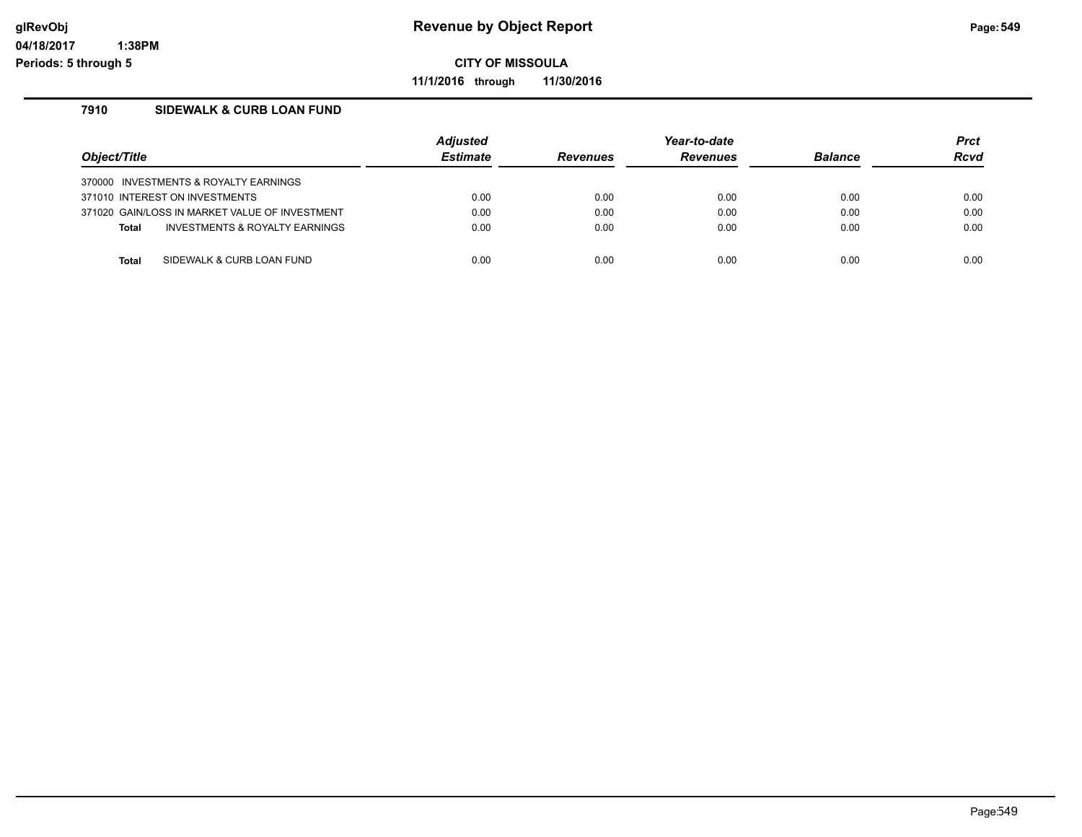**11/1/2016 through 11/30/2016**

#### **7910 SIDEWALK & CURB LOAN FUND**

|                                                           | <b>Adjusted</b> | Year-to-date    |                 |                | <b>Prct</b> |
|-----------------------------------------------------------|-----------------|-----------------|-----------------|----------------|-------------|
| Object/Title                                              | <b>Estimate</b> | <b>Revenues</b> | <b>Revenues</b> | <b>Balance</b> | <b>Rcvd</b> |
| 370000 INVESTMENTS & ROYALTY EARNINGS                     |                 |                 |                 |                |             |
| 371010 INTEREST ON INVESTMENTS                            | 0.00            | 0.00            | 0.00            | 0.00           | 0.00        |
| 371020 GAIN/LOSS IN MARKET VALUE OF INVESTMENT            | 0.00            | 0.00            | 0.00            | 0.00           | 0.00        |
| <b>INVESTMENTS &amp; ROYALTY EARNINGS</b><br><b>Total</b> | 0.00            | 0.00            | 0.00            | 0.00           | 0.00        |
| <b>Total</b><br>SIDEWALK & CURB LOAN FUND                 | 0.00            | 0.00            | 0.00            | 0.00           | 0.00        |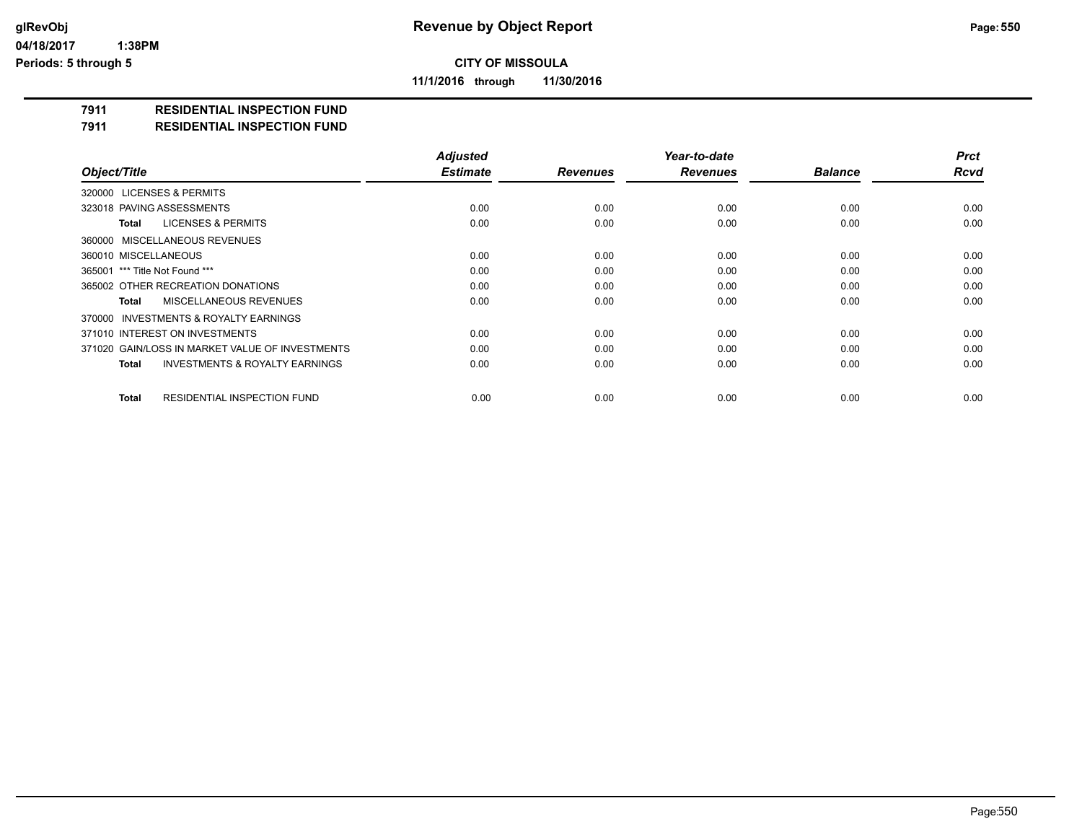**11/1/2016 through 11/30/2016**

**7911 RESIDENTIAL INSPECTION FUND**

**7911 RESIDENTIAL INSPECTION FUND**

|                                                    | <b>Adjusted</b> |                 | Year-to-date    |                | <b>Prct</b> |
|----------------------------------------------------|-----------------|-----------------|-----------------|----------------|-------------|
| Object/Title                                       | <b>Estimate</b> | <b>Revenues</b> | <b>Revenues</b> | <b>Balance</b> | <b>Rcvd</b> |
| 320000 LICENSES & PERMITS                          |                 |                 |                 |                |             |
| 323018 PAVING ASSESSMENTS                          | 0.00            | 0.00            | 0.00            | 0.00           | 0.00        |
| <b>LICENSES &amp; PERMITS</b><br>Total             | 0.00            | 0.00            | 0.00            | 0.00           | 0.00        |
| 360000 MISCELLANEOUS REVENUES                      |                 |                 |                 |                |             |
| 360010 MISCELLANEOUS                               | 0.00            | 0.00            | 0.00            | 0.00           | 0.00        |
| 365001 *** Title Not Found ***                     | 0.00            | 0.00            | 0.00            | 0.00           | 0.00        |
| 365002 OTHER RECREATION DONATIONS                  | 0.00            | 0.00            | 0.00            | 0.00           | 0.00        |
| MISCELLANEOUS REVENUES<br>Total                    | 0.00            | 0.00            | 0.00            | 0.00           | 0.00        |
| 370000 INVESTMENTS & ROYALTY EARNINGS              |                 |                 |                 |                |             |
| 371010 INTEREST ON INVESTMENTS                     | 0.00            | 0.00            | 0.00            | 0.00           | 0.00        |
| 371020 GAIN/LOSS IN MARKET VALUE OF INVESTMENTS    | 0.00            | 0.00            | 0.00            | 0.00           | 0.00        |
| <b>INVESTMENTS &amp; ROYALTY EARNINGS</b><br>Total | 0.00            | 0.00            | 0.00            | 0.00           | 0.00        |
| <b>RESIDENTIAL INSPECTION FUND</b><br>Total        | 0.00            | 0.00            | 0.00            | 0.00           | 0.00        |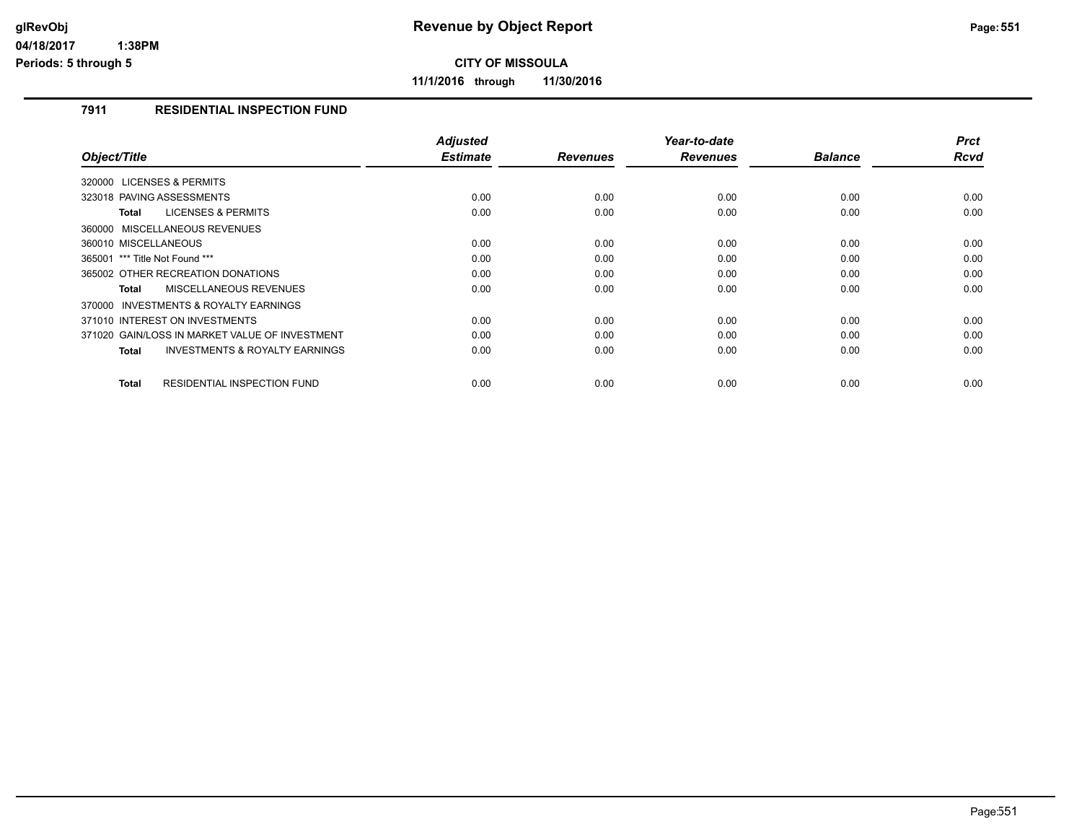**11/1/2016 through 11/30/2016**

#### **7911 RESIDENTIAL INSPECTION FUND**

|                                                           | <b>Adjusted</b> |                 | Year-to-date    |                | <b>Prct</b> |
|-----------------------------------------------------------|-----------------|-----------------|-----------------|----------------|-------------|
| Object/Title                                              | <b>Estimate</b> | <b>Revenues</b> | <b>Revenues</b> | <b>Balance</b> | Rcvd        |
| 320000 LICENSES & PERMITS                                 |                 |                 |                 |                |             |
| 323018 PAVING ASSESSMENTS                                 | 0.00            | 0.00            | 0.00            | 0.00           | 0.00        |
| <b>LICENSES &amp; PERMITS</b><br>Total                    | 0.00            | 0.00            | 0.00            | 0.00           | 0.00        |
| 360000 MISCELLANEOUS REVENUES                             |                 |                 |                 |                |             |
| 360010 MISCELLANEOUS                                      | 0.00            | 0.00            | 0.00            | 0.00           | 0.00        |
| 365001 *** Title Not Found ***                            | 0.00            | 0.00            | 0.00            | 0.00           | 0.00        |
| 365002 OTHER RECREATION DONATIONS                         | 0.00            | 0.00            | 0.00            | 0.00           | 0.00        |
| MISCELLANEOUS REVENUES<br>Total                           | 0.00            | 0.00            | 0.00            | 0.00           | 0.00        |
| 370000 INVESTMENTS & ROYALTY EARNINGS                     |                 |                 |                 |                |             |
| 371010 INTEREST ON INVESTMENTS                            | 0.00            | 0.00            | 0.00            | 0.00           | 0.00        |
| 371020 GAIN/LOSS IN MARKET VALUE OF INVESTMENT            | 0.00            | 0.00            | 0.00            | 0.00           | 0.00        |
| <b>Total</b><br><b>INVESTMENTS &amp; ROYALTY EARNINGS</b> | 0.00            | 0.00            | 0.00            | 0.00           | 0.00        |
|                                                           |                 |                 |                 |                |             |
| <b>RESIDENTIAL INSPECTION FUND</b><br><b>Total</b>        | 0.00            | 0.00            | 0.00            | 0.00           | 0.00        |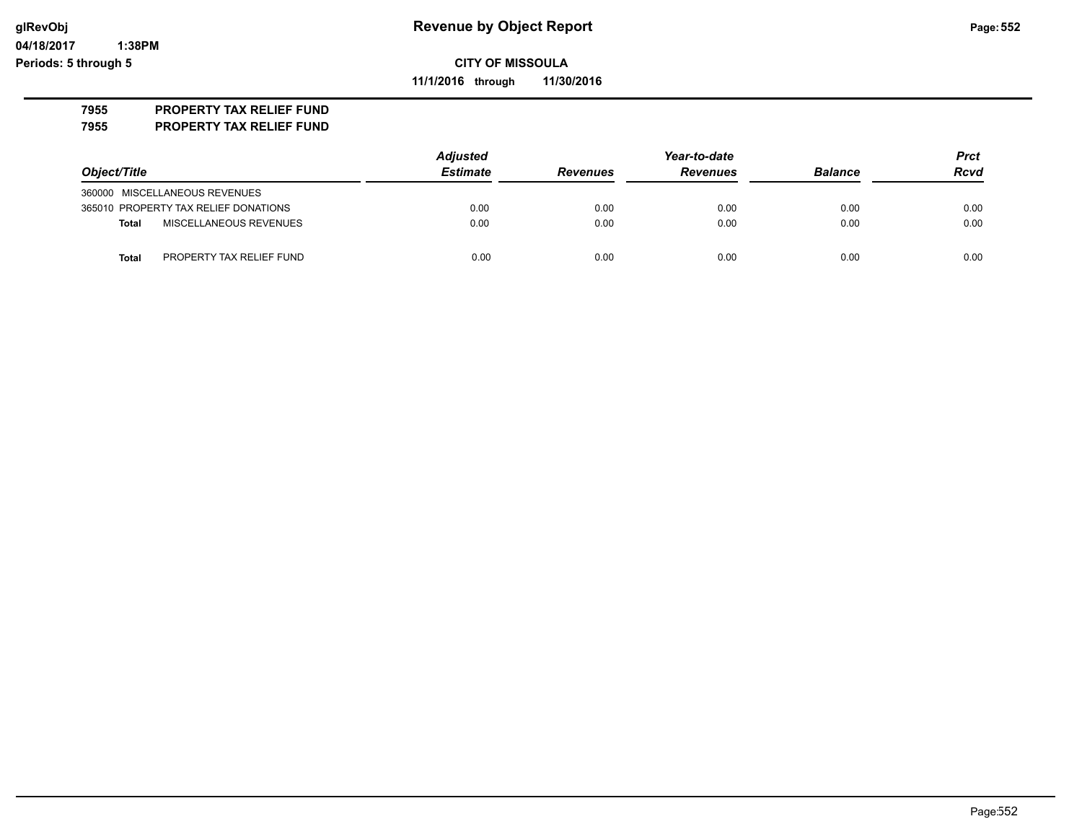**11/1/2016 through 11/30/2016**

**7955 PROPERTY TAX RELIEF FUND 7955 PROPERTY TAX RELIEF FUND**

|                                      | <b>Adjusted</b> |                 | <b>Prct</b>     |                |             |
|--------------------------------------|-----------------|-----------------|-----------------|----------------|-------------|
| Object/Title                         | <b>Estimate</b> | <b>Revenues</b> | <b>Revenues</b> | <b>Balance</b> | <b>Rcvd</b> |
| 360000 MISCELLANEOUS REVENUES        |                 |                 |                 |                |             |
| 365010 PROPERTY TAX RELIEF DONATIONS | 0.00            | 0.00            | 0.00            | 0.00           | 0.00        |
| MISCELLANEOUS REVENUES<br>Total      | 0.00            | 0.00            | 0.00            | 0.00           | 0.00        |
| PROPERTY TAX RELIEF FUND<br>Total    | 0.00            | 0.00            | 0.00            | 0.00           | 0.00        |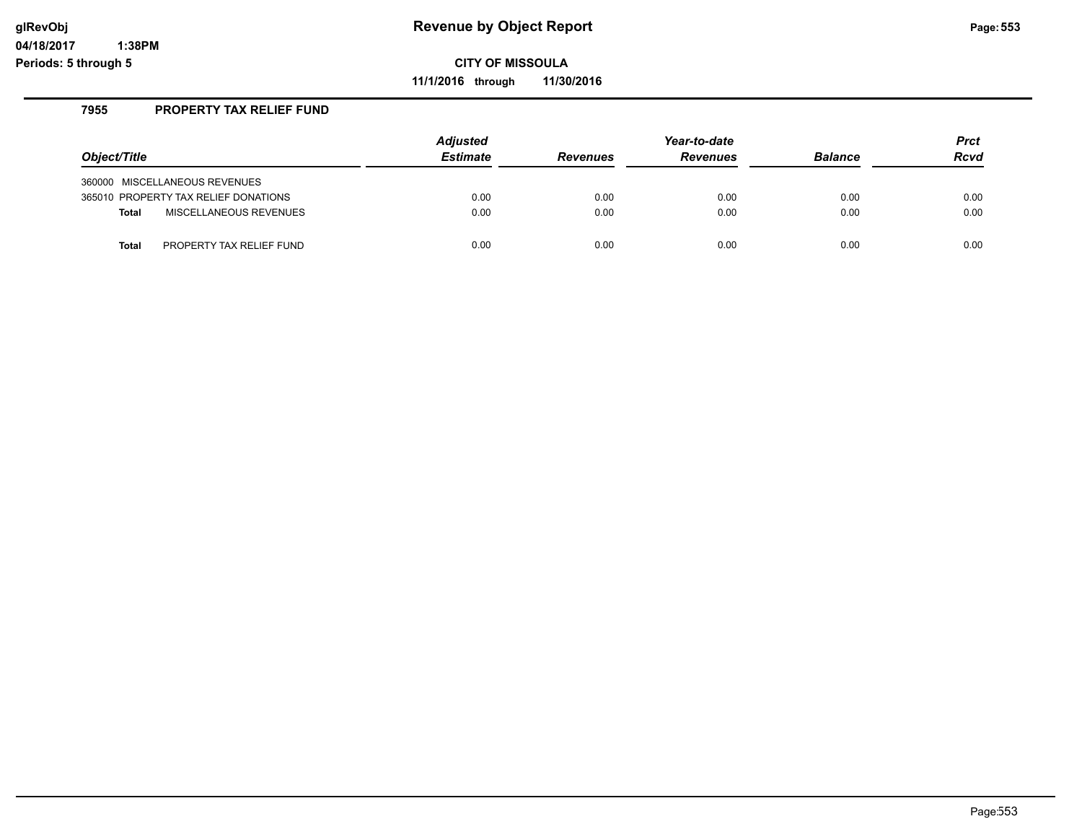**11/1/2016 through 11/30/2016**

#### **7955 PROPERTY TAX RELIEF FUND**

|                                          | <b>Adjusted</b> |                 |                 | <b>Prct</b>    |             |
|------------------------------------------|-----------------|-----------------|-----------------|----------------|-------------|
| Object/Title                             | <b>Estimate</b> | <b>Revenues</b> | <b>Revenues</b> | <b>Balance</b> | <b>Rcvd</b> |
| 360000 MISCELLANEOUS REVENUES            |                 |                 |                 |                |             |
| 365010 PROPERTY TAX RELIEF DONATIONS     | 0.00            | 0.00            | 0.00            | 0.00           | 0.00        |
| MISCELLANEOUS REVENUES<br><b>Total</b>   | 0.00            | 0.00            | 0.00            | 0.00           | 0.00        |
| <b>Total</b><br>PROPERTY TAX RELIEF FUND | 0.00            | 0.00            | 0.00            | 0.00           | 0.00        |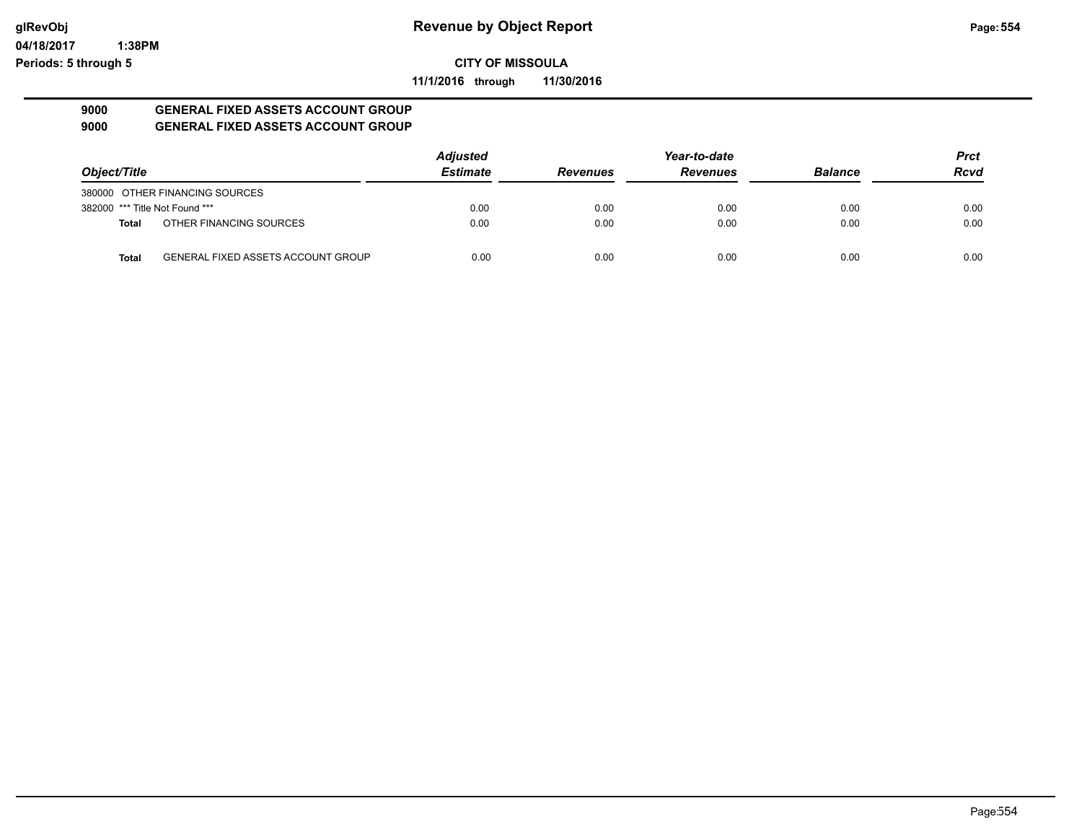**11/1/2016 through 11/30/2016**

#### **9000 GENERAL FIXED ASSETS ACCOUNT GROUP 9000 GENERAL FIXED ASSETS ACCOUNT GROUP**

|                                |                                           | <b>Adjusted</b> |                 | Year-to-date    |                | <b>Prct</b> |
|--------------------------------|-------------------------------------------|-----------------|-----------------|-----------------|----------------|-------------|
| Object/Title                   |                                           | <b>Estimate</b> | <b>Revenues</b> | <b>Revenues</b> | <b>Balance</b> | <b>Rcvd</b> |
|                                | 380000 OTHER FINANCING SOURCES            |                 |                 |                 |                |             |
| 382000 *** Title Not Found *** |                                           | 0.00            | 0.00            | 0.00            | 0.00           | 0.00        |
| Total                          | OTHER FINANCING SOURCES                   | 0.00            | 0.00            | 0.00            | 0.00           | 0.00        |
| Total                          | <b>GENERAL FIXED ASSETS ACCOUNT GROUP</b> | 0.00            | 0.00            | 0.00            | 0.00           | 0.00        |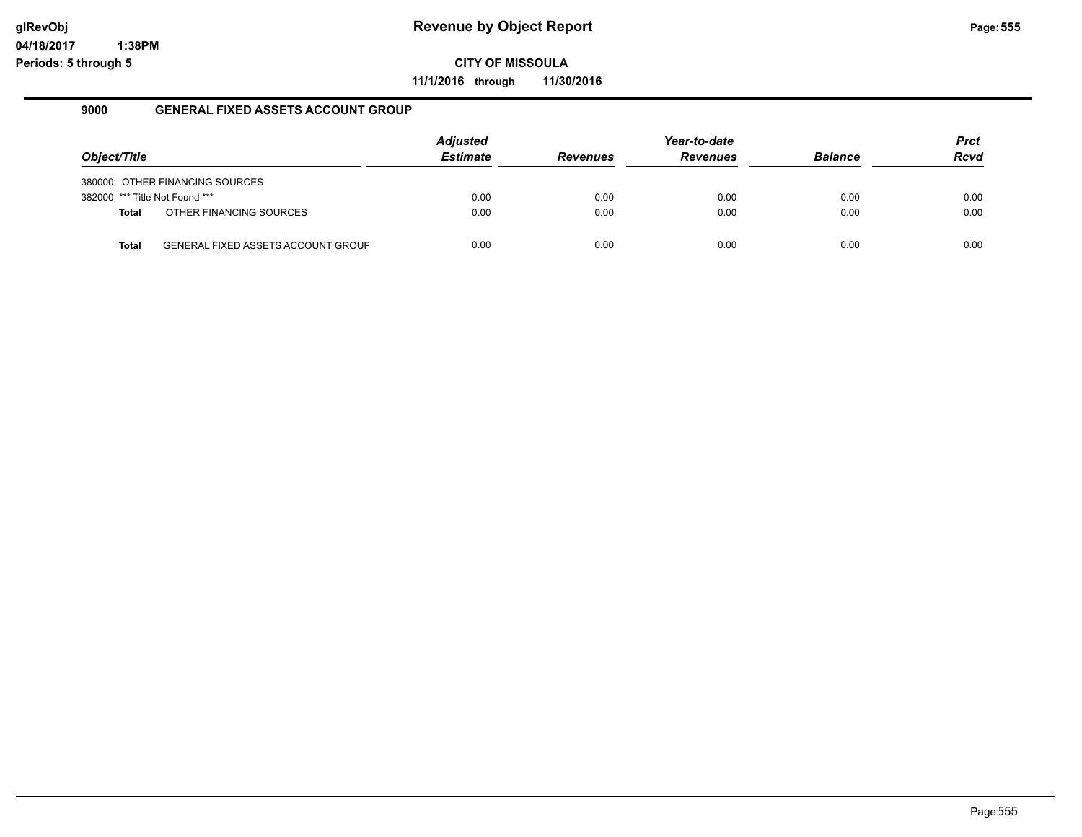**11/1/2016 through 11/30/2016**

#### **9000 GENERAL FIXED ASSETS ACCOUNT GROUP**

|                                |                                           | <b>Adjusted</b> |                 | Year-to-date    |                | <b>Prct</b> |
|--------------------------------|-------------------------------------------|-----------------|-----------------|-----------------|----------------|-------------|
| Object/Title                   |                                           | <b>Estimate</b> | <b>Revenues</b> | <b>Revenues</b> | <b>Balance</b> | <b>Rcvd</b> |
|                                | 380000 OTHER FINANCING SOURCES            |                 |                 |                 |                |             |
| 382000 *** Title Not Found *** |                                           | 0.00            | 0.00            | 0.00            | 0.00           | 0.00        |
| <b>Total</b>                   | OTHER FINANCING SOURCES                   | 0.00            | 0.00            | 0.00            | 0.00           | 0.00        |
| Total                          | <b>GENERAL FIXED ASSETS ACCOUNT GROUF</b> | 0.00            | 0.00            | 0.00            | 0.00           | 0.00        |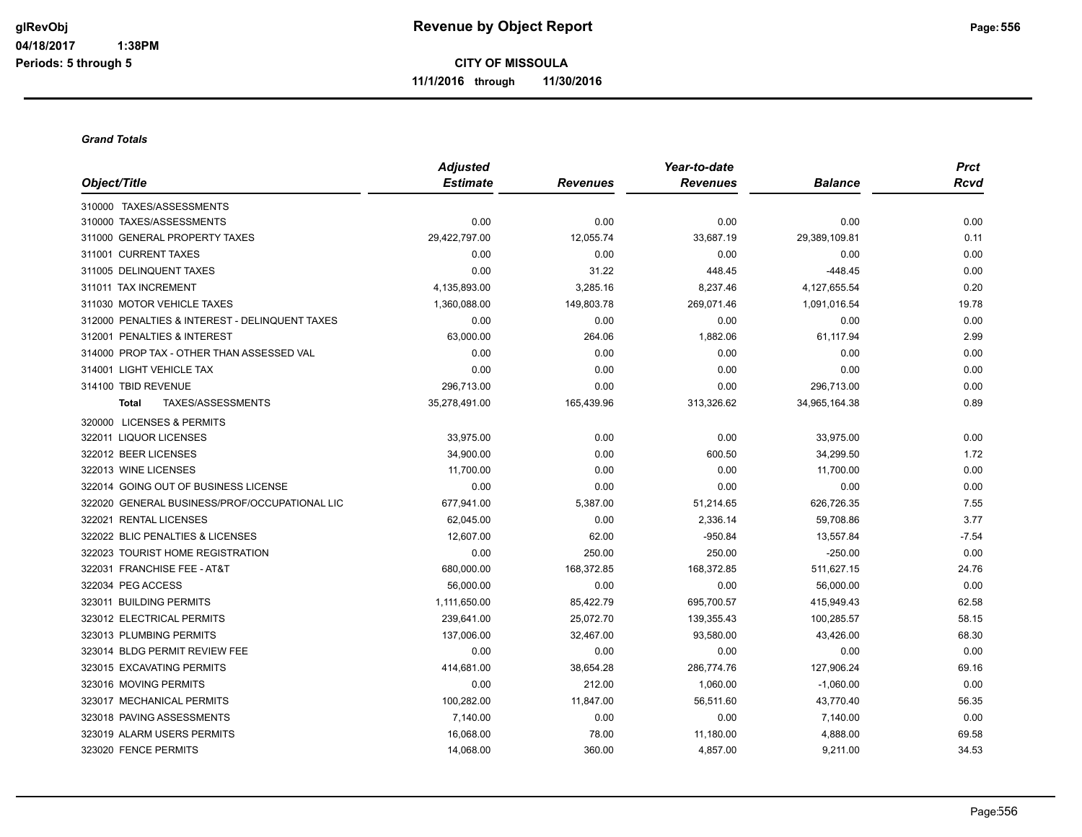#### *Grand Totals*

| Object/Title                                   | <b>Adjusted</b><br><b>Estimate</b> | <b>Revenues</b> | Year-to-date<br><b>Revenues</b> | <b>Balance</b> | <b>Prct</b><br><b>Rcvd</b> |
|------------------------------------------------|------------------------------------|-----------------|---------------------------------|----------------|----------------------------|
|                                                |                                    |                 |                                 |                |                            |
| 310000 TAXES/ASSESSMENTS                       |                                    |                 |                                 |                |                            |
| 310000 TAXES/ASSESSMENTS                       | 0.00                               | 0.00            | 0.00                            | 0.00           | 0.00                       |
| 311000 GENERAL PROPERTY TAXES                  | 29,422,797.00                      | 12,055.74       | 33,687.19                       | 29,389,109.81  | 0.11                       |
| 311001 CURRENT TAXES                           | 0.00                               | 0.00            | 0.00                            | 0.00           | 0.00                       |
| 311005 DELINQUENT TAXES                        | 0.00                               | 31.22           | 448.45                          | $-448.45$      | 0.00                       |
| 311011 TAX INCREMENT                           | 4,135,893.00                       | 3,285.16        | 8,237.46                        | 4,127,655.54   | 0.20                       |
| 311030 MOTOR VEHICLE TAXES                     | 1,360,088.00                       | 149,803.78      | 269,071.46                      | 1,091,016.54   | 19.78                      |
| 312000 PENALTIES & INTEREST - DELINQUENT TAXES | 0.00                               | 0.00            | 0.00                            | 0.00           | 0.00                       |
| 312001 PENALTIES & INTEREST                    | 63,000.00                          | 264.06          | 1,882.06                        | 61,117.94      | 2.99                       |
| 314000 PROP TAX - OTHER THAN ASSESSED VAL      | 0.00                               | 0.00            | 0.00                            | 0.00           | 0.00                       |
| 314001 LIGHT VEHICLE TAX                       | 0.00                               | 0.00            | 0.00                            | 0.00           | 0.00                       |
| 314100 TBID REVENUE                            | 296,713.00                         | 0.00            | 0.00                            | 296,713.00     | 0.00                       |
| TAXES/ASSESSMENTS<br><b>Total</b>              | 35,278,491.00                      | 165,439.96      | 313,326.62                      | 34,965,164.38  | 0.89                       |
| 320000 LICENSES & PERMITS                      |                                    |                 |                                 |                |                            |
| 322011 LIQUOR LICENSES                         | 33,975.00                          | 0.00            | 0.00                            | 33,975.00      | 0.00                       |
| 322012 BEER LICENSES                           | 34,900.00                          | 0.00            | 600.50                          | 34,299.50      | 1.72                       |
| 322013 WINE LICENSES                           | 11,700.00                          | 0.00            | 0.00                            | 11,700.00      | 0.00                       |
| 322014 GOING OUT OF BUSINESS LICENSE           | 0.00                               | 0.00            | 0.00                            | 0.00           | 0.00                       |
| 322020 GENERAL BUSINESS/PROF/OCCUPATIONAL LIC  | 677,941.00                         | 5,387.00        | 51,214.65                       | 626,726.35     | 7.55                       |
| 322021 RENTAL LICENSES                         | 62,045.00                          | 0.00            | 2,336.14                        | 59,708.86      | 3.77                       |
| 322022 BLIC PENALTIES & LICENSES               | 12,607.00                          | 62.00           | $-950.84$                       | 13,557.84      | $-7.54$                    |
| 322023 TOURIST HOME REGISTRATION               | 0.00                               | 250.00          | 250.00                          | $-250.00$      | 0.00                       |
| 322031 FRANCHISE FEE - AT&T                    | 680,000.00                         | 168,372.85      | 168,372.85                      | 511,627.15     | 24.76                      |
| 322034 PEG ACCESS                              | 56.000.00                          | 0.00            | 0.00                            | 56,000.00      | 0.00                       |
| 323011 BUILDING PERMITS                        | 1,111,650.00                       | 85,422.79       | 695,700.57                      | 415,949.43     | 62.58                      |
| 323012 ELECTRICAL PERMITS                      | 239,641.00                         | 25,072.70       | 139,355.43                      | 100,285.57     | 58.15                      |
| 323013 PLUMBING PERMITS                        | 137,006.00                         | 32,467.00       | 93,580.00                       | 43,426.00      | 68.30                      |
| 323014 BLDG PERMIT REVIEW FEE                  | 0.00                               | 0.00            | 0.00                            | 0.00           | 0.00                       |
| 323015 EXCAVATING PERMITS                      | 414,681.00                         | 38,654.28       | 286,774.76                      | 127,906.24     | 69.16                      |
| 323016 MOVING PERMITS                          | 0.00                               | 212.00          | 1,060.00                        | $-1,060.00$    | 0.00                       |
| 323017 MECHANICAL PERMITS                      | 100,282.00                         | 11,847.00       | 56,511.60                       | 43,770.40      | 56.35                      |
| 323018 PAVING ASSESSMENTS                      | 7,140.00                           | 0.00            | 0.00                            | 7,140.00       | 0.00                       |
| 323019 ALARM USERS PERMITS                     | 16,068.00                          | 78.00           | 11,180.00                       | 4,888.00       | 69.58                      |
| 323020 FENCE PERMITS                           | 14,068.00                          | 360.00          | 4,857.00                        | 9,211.00       | 34.53                      |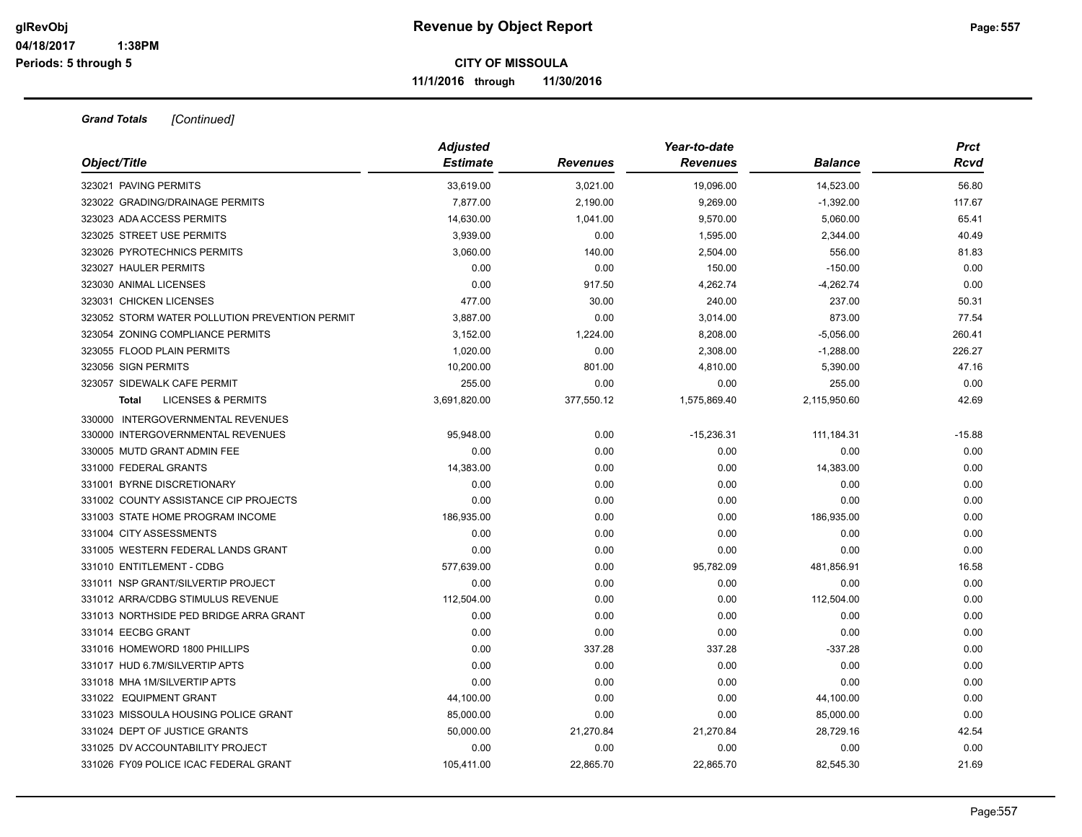| Object/Title                                   | <b>Adjusted</b><br><b>Estimate</b> | <b>Revenues</b> | Year-to-date<br><b>Revenues</b> | <b>Balance</b> | Prct<br><b>Rcvd</b> |
|------------------------------------------------|------------------------------------|-----------------|---------------------------------|----------------|---------------------|
| 323021 PAVING PERMITS                          | 33.619.00                          | 3,021.00        | 19,096.00                       | 14,523.00      | 56.80               |
| 323022 GRADING/DRAINAGE PERMITS                | 7,877.00                           | 2,190.00        | 9,269.00                        | $-1,392.00$    | 117.67              |
| 323023 ADA ACCESS PERMITS                      | 14,630.00                          | 1,041.00        | 9,570.00                        | 5,060.00       | 65.41               |
| 323025 STREET USE PERMITS                      | 3,939.00                           | 0.00            | 1,595.00                        | 2,344.00       | 40.49               |
| 323026 PYROTECHNICS PERMITS                    | 3,060.00                           | 140.00          | 2,504.00                        | 556.00         | 81.83               |
| 323027 HAULER PERMITS                          | 0.00                               | 0.00            | 150.00                          | $-150.00$      | 0.00                |
| 323030 ANIMAL LICENSES                         | 0.00                               | 917.50          | 4,262.74                        | $-4,262.74$    | 0.00                |
| 323031 CHICKEN LICENSES                        | 477.00                             | 30.00           | 240.00                          | 237.00         | 50.31               |
| 323052 STORM WATER POLLUTION PREVENTION PERMIT | 3,887.00                           | 0.00            | 3,014.00                        | 873.00         | 77.54               |
| 323054 ZONING COMPLIANCE PERMITS               | 3,152.00                           | 1,224.00        | 8,208.00                        | $-5,056.00$    | 260.41              |
| 323055 FLOOD PLAIN PERMITS                     | 1,020.00                           | 0.00            | 2,308.00                        | $-1,288.00$    | 226.27              |
| 323056 SIGN PERMITS                            | 10,200.00                          | 801.00          | 4,810.00                        | 5,390.00       | 47.16               |
| 323057 SIDEWALK CAFE PERMIT                    | 255.00                             | 0.00            | 0.00                            | 255.00         | 0.00                |
| <b>LICENSES &amp; PERMITS</b><br>Total         | 3,691,820.00                       | 377,550.12      | 1,575,869.40                    | 2,115,950.60   | 42.69               |
| 330000 INTERGOVERNMENTAL REVENUES              |                                    |                 |                                 |                |                     |
| 330000 INTERGOVERNMENTAL REVENUES              | 95,948.00                          | 0.00            | $-15,236.31$                    | 111,184.31     | $-15.88$            |
| 330005 MUTD GRANT ADMIN FEE                    | 0.00                               | 0.00            | 0.00                            | 0.00           | 0.00                |
| 331000 FEDERAL GRANTS                          | 14,383.00                          | 0.00            | 0.00                            | 14,383.00      | 0.00                |
| 331001 BYRNE DISCRETIONARY                     | 0.00                               | 0.00            | 0.00                            | 0.00           | 0.00                |
| 331002 COUNTY ASSISTANCE CIP PROJECTS          | 0.00                               | 0.00            | 0.00                            | 0.00           | 0.00                |
| 331003 STATE HOME PROGRAM INCOME               | 186,935.00                         | 0.00            | 0.00                            | 186,935.00     | 0.00                |
| 331004 CITY ASSESSMENTS                        | 0.00                               | 0.00            | 0.00                            | 0.00           | 0.00                |
| 331005 WESTERN FEDERAL LANDS GRANT             | 0.00                               | 0.00            | 0.00                            | 0.00           | 0.00                |
| 331010 ENTITLEMENT - CDBG                      | 577,639.00                         | 0.00            | 95,782.09                       | 481,856.91     | 16.58               |
| 331011 NSP GRANT/SILVERTIP PROJECT             | 0.00                               | 0.00            | 0.00                            | 0.00           | 0.00                |
| 331012 ARRA/CDBG STIMULUS REVENUE              | 112,504.00                         | 0.00            | 0.00                            | 112,504.00     | 0.00                |
| 331013 NORTHSIDE PED BRIDGE ARRA GRANT         | 0.00                               | 0.00            | 0.00                            | 0.00           | 0.00                |
| 331014 EECBG GRANT                             | 0.00                               | 0.00            | 0.00                            | 0.00           | 0.00                |
| 331016 HOMEWORD 1800 PHILLIPS                  | 0.00                               | 337.28          | 337.28                          | $-337.28$      | 0.00                |
| 331017 HUD 6.7M/SILVERTIP APTS                 | 0.00                               | 0.00            | 0.00                            | 0.00           | 0.00                |
| 331018 MHA 1M/SILVERTIP APTS                   | 0.00                               | 0.00            | 0.00                            | 0.00           | 0.00                |
| 331022 EQUIPMENT GRANT                         | 44,100.00                          | 0.00            | 0.00                            | 44,100.00      | 0.00                |
| 331023 MISSOULA HOUSING POLICE GRANT           | 85,000.00                          | 0.00            | 0.00                            | 85,000.00      | 0.00                |
| 331024 DEPT OF JUSTICE GRANTS                  | 50,000.00                          | 21,270.84       | 21,270.84                       | 28,729.16      | 42.54               |
| 331025 DV ACCOUNTABILITY PROJECT               | 0.00                               | 0.00            | 0.00                            | 0.00           | 0.00                |
| 331026 FY09 POLICE ICAC FEDERAL GRANT          | 105.411.00                         | 22,865.70       | 22.865.70                       | 82.545.30      | 21.69               |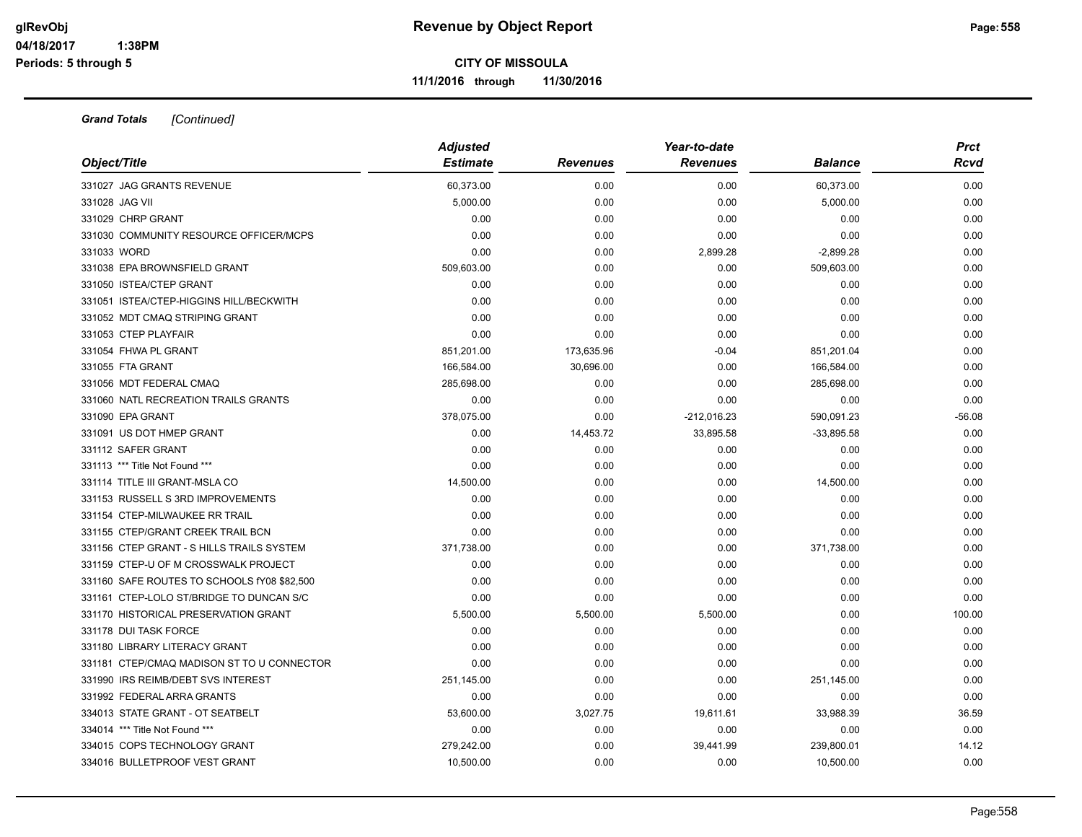|                                             | <b>Adjusted</b> |                 | Year-to-date    |                | <b>Prct</b> |  |
|---------------------------------------------|-----------------|-----------------|-----------------|----------------|-------------|--|
| Object/Title                                | <b>Estimate</b> | <b>Revenues</b> | <b>Revenues</b> | <b>Balance</b> | <b>Rcvd</b> |  |
| 331027 JAG GRANTS REVENUE                   | 60,373.00       | 0.00            | 0.00            | 60,373.00      | 0.00        |  |
| 331028 JAG VII                              | 5,000.00        | 0.00            | 0.00            | 5,000.00       | 0.00        |  |
| 331029 CHRP GRANT                           | 0.00            | 0.00            | 0.00            | 0.00           | 0.00        |  |
| 331030 COMMUNITY RESOURCE OFFICER/MCPS      | 0.00            | 0.00            | 0.00            | 0.00           | 0.00        |  |
| 331033 WORD                                 | 0.00            | 0.00            | 2,899.28        | $-2,899.28$    | 0.00        |  |
| 331038 EPA BROWNSFIELD GRANT                | 509,603.00      | 0.00            | 0.00            | 509,603.00     | 0.00        |  |
| 331050 ISTEA/CTEP GRANT                     | 0.00            | 0.00            | 0.00            | 0.00           | 0.00        |  |
| 331051 ISTEA/CTEP-HIGGINS HILL/BECKWITH     | 0.00            | 0.00            | 0.00            | 0.00           | 0.00        |  |
| 331052 MDT CMAQ STRIPING GRANT              | 0.00            | 0.00            | 0.00            | 0.00           | 0.00        |  |
| 331053 CTEP PLAYFAIR                        | 0.00            | 0.00            | 0.00            | 0.00           | 0.00        |  |
| 331054 FHWA PL GRANT                        | 851,201.00      | 173,635.96      | $-0.04$         | 851,201.04     | 0.00        |  |
| 331055 FTA GRANT                            | 166,584.00      | 30,696.00       | 0.00            | 166,584.00     | 0.00        |  |
| 331056 MDT FEDERAL CMAQ                     | 285,698.00      | 0.00            | 0.00            | 285,698.00     | 0.00        |  |
| 331060 NATL RECREATION TRAILS GRANTS        | 0.00            | 0.00            | 0.00            | 0.00           | 0.00        |  |
| 331090 EPA GRANT                            | 378,075.00      | 0.00            | $-212,016.23$   | 590,091.23     | $-56.08$    |  |
| 331091 US DOT HMEP GRANT                    | 0.00            | 14,453.72       | 33,895.58       | $-33,895.58$   | 0.00        |  |
| 331112 SAFER GRANT                          | 0.00            | 0.00            | 0.00            | 0.00           | 0.00        |  |
| 331113 *** Title Not Found ***              | 0.00            | 0.00            | 0.00            | 0.00           | 0.00        |  |
| 331114 TITLE III GRANT-MSLA CO              | 14,500.00       | 0.00            | 0.00            | 14,500.00      | 0.00        |  |
| 331153 RUSSELL S 3RD IMPROVEMENTS           | 0.00            | 0.00            | 0.00            | 0.00           | 0.00        |  |
| 331154 CTEP-MILWAUKEE RR TRAIL              | 0.00            | 0.00            | 0.00            | 0.00           | 0.00        |  |
| 331155 CTEP/GRANT CREEK TRAIL BCN           | 0.00            | 0.00            | 0.00            | 0.00           | 0.00        |  |
| 331156 CTEP GRANT - S HILLS TRAILS SYSTEM   | 371,738.00      | 0.00            | 0.00            | 371,738.00     | 0.00        |  |
| 331159 CTEP-U OF M CROSSWALK PROJECT        | 0.00            | 0.00            | 0.00            | 0.00           | 0.00        |  |
| 331160 SAFE ROUTES TO SCHOOLS fY08 \$82,500 | 0.00            | 0.00            | 0.00            | 0.00           | 0.00        |  |
| 331161 CTEP-LOLO ST/BRIDGE TO DUNCAN S/C    | 0.00            | 0.00            | 0.00            | 0.00           | 0.00        |  |
| 331170 HISTORICAL PRESERVATION GRANT        | 5,500.00        | 5,500.00        | 5,500.00        | 0.00           | 100.00      |  |
| 331178 DUI TASK FORCE                       | 0.00            | 0.00            | 0.00            | 0.00           | 0.00        |  |
| 331180 LIBRARY LITERACY GRANT               | 0.00            | 0.00            | 0.00            | 0.00           | 0.00        |  |
| 331181 CTEP/CMAQ MADISON ST TO U CONNECTOR  | 0.00            | 0.00            | 0.00            | 0.00           | 0.00        |  |
| 331990 IRS REIMB/DEBT SVS INTEREST          | 251,145.00      | 0.00            | 0.00            | 251,145.00     | 0.00        |  |
| 331992 FEDERAL ARRA GRANTS                  | 0.00            | 0.00            | 0.00            | 0.00           | 0.00        |  |
| 334013 STATE GRANT - OT SEATBELT            | 53,600.00       | 3,027.75        | 19,611.61       | 33,988.39      | 36.59       |  |
| 334014 *** Title Not Found ***              | 0.00            | 0.00            | 0.00            | 0.00           | 0.00        |  |
| 334015 COPS TECHNOLOGY GRANT                | 279,242.00      | 0.00            | 39,441.99       | 239,800.01     | 14.12       |  |
| 334016 BULLETPROOF VEST GRANT               | 10,500.00       | 0.00            | 0.00            | 10,500.00      | 0.00        |  |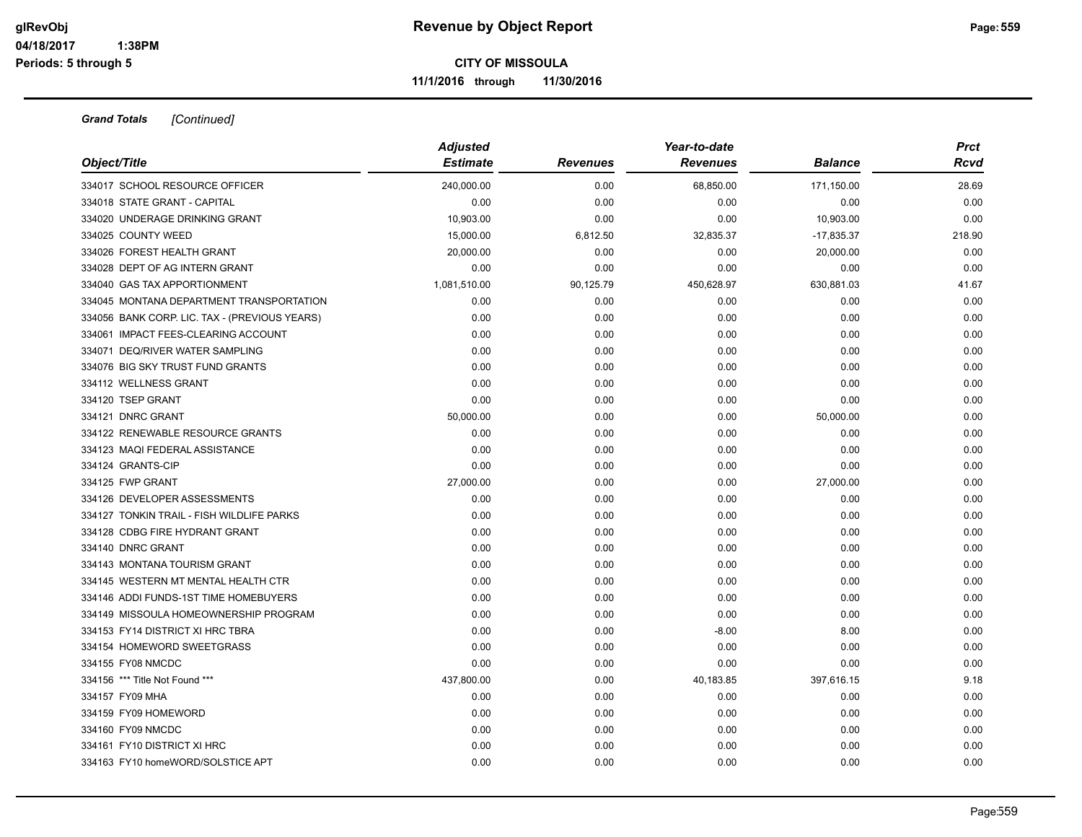| Object/Title                                  | <b>Adjusted</b><br><b>Estimate</b> | <b>Revenues</b> | Year-to-date<br><b>Revenues</b> | <b>Balance</b> | <b>Prct</b><br><b>Rcvd</b> |
|-----------------------------------------------|------------------------------------|-----------------|---------------------------------|----------------|----------------------------|
|                                               |                                    |                 |                                 |                |                            |
| 334017 SCHOOL RESOURCE OFFICER                | 240.000.00                         | 0.00            | 68,850.00                       | 171,150.00     | 28.69                      |
| 334018 STATE GRANT - CAPITAL                  | 0.00                               | 0.00            | 0.00                            | 0.00           | 0.00                       |
| 334020 UNDERAGE DRINKING GRANT                | 10,903.00                          | 0.00            | 0.00                            | 10,903.00      | 0.00                       |
| 334025 COUNTY WEED                            | 15,000.00                          | 6,812.50        | 32,835.37                       | $-17,835.37$   | 218.90                     |
| 334026 FOREST HEALTH GRANT                    | 20,000.00                          | 0.00            | 0.00                            | 20,000.00      | 0.00                       |
| 334028 DEPT OF AG INTERN GRANT                | 0.00                               | 0.00            | 0.00                            | 0.00           | 0.00                       |
| 334040 GAS TAX APPORTIONMENT                  | 1,081,510.00                       | 90,125.79       | 450,628.97                      | 630,881.03     | 41.67                      |
| 334045 MONTANA DEPARTMENT TRANSPORTATION      | 0.00                               | 0.00            | 0.00                            | 0.00           | 0.00                       |
| 334056 BANK CORP. LIC. TAX - (PREVIOUS YEARS) | 0.00                               | 0.00            | 0.00                            | 0.00           | 0.00                       |
| 334061 IMPACT FEES-CLEARING ACCOUNT           | 0.00                               | 0.00            | 0.00                            | 0.00           | 0.00                       |
| 334071 DEQ/RIVER WATER SAMPLING               | 0.00                               | 0.00            | 0.00                            | 0.00           | 0.00                       |
| 334076 BIG SKY TRUST FUND GRANTS              | 0.00                               | 0.00            | 0.00                            | 0.00           | 0.00                       |
| 334112 WELLNESS GRANT                         | 0.00                               | 0.00            | 0.00                            | 0.00           | 0.00                       |
| 334120 TSEP GRANT                             | 0.00                               | 0.00            | 0.00                            | 0.00           | 0.00                       |
| 334121 DNRC GRANT                             | 50,000.00                          | 0.00            | 0.00                            | 50,000.00      | 0.00                       |
| 334122 RENEWABLE RESOURCE GRANTS              | 0.00                               | 0.00            | 0.00                            | 0.00           | 0.00                       |
| 334123 MAQI FEDERAL ASSISTANCE                | 0.00                               | 0.00            | 0.00                            | 0.00           | 0.00                       |
| 334124 GRANTS-CIP                             | 0.00                               | 0.00            | 0.00                            | 0.00           | 0.00                       |
| 334125 FWP GRANT                              | 27,000.00                          | 0.00            | 0.00                            | 27,000.00      | 0.00                       |
| 334126 DEVELOPER ASSESSMENTS                  | 0.00                               | 0.00            | 0.00                            | 0.00           | 0.00                       |
| 334127 TONKIN TRAIL - FISH WILDLIFE PARKS     | 0.00                               | 0.00            | 0.00                            | 0.00           | 0.00                       |
| 334128 CDBG FIRE HYDRANT GRANT                | 0.00                               | 0.00            | 0.00                            | 0.00           | 0.00                       |
| 334140 DNRC GRANT                             | 0.00                               | 0.00            | 0.00                            | 0.00           | 0.00                       |
| 334143 MONTANA TOURISM GRANT                  | 0.00                               | 0.00            | 0.00                            | 0.00           | 0.00                       |
| 334145 WESTERN MT MENTAL HEALTH CTR           | 0.00                               | 0.00            | 0.00                            | 0.00           | 0.00                       |
| 334146 ADDI FUNDS-1ST TIME HOMEBUYERS         | 0.00                               | 0.00            | 0.00                            | 0.00           | 0.00                       |
| 334149 MISSOULA HOMEOWNERSHIP PROGRAM         | 0.00                               | 0.00            | 0.00                            | 0.00           | 0.00                       |
| 334153 FY14 DISTRICT XI HRC TBRA              | 0.00                               | 0.00            | $-8.00$                         | 8.00           | 0.00                       |
| 334154 HOMEWORD SWEETGRASS                    | 0.00                               | 0.00            | 0.00                            | 0.00           | 0.00                       |
| 334155 FY08 NMCDC                             | 0.00                               | 0.00            | 0.00                            | 0.00           | 0.00                       |
| 334156 *** Title Not Found ***                | 437,800.00                         | 0.00            | 40,183.85                       | 397,616.15     | 9.18                       |
| 334157 FY09 MHA                               | 0.00                               | 0.00            | 0.00                            | 0.00           | 0.00                       |
| 334159 FY09 HOMEWORD                          | 0.00                               | 0.00            | 0.00                            | 0.00           | 0.00                       |
| 334160 FY09 NMCDC                             | 0.00                               | 0.00            | 0.00                            | 0.00           | 0.00                       |
| 334161 FY10 DISTRICT XI HRC                   | 0.00                               | 0.00            | 0.00                            | 0.00           | 0.00                       |
| 334163 FY10 homeWORD/SOLSTICE APT             | 0.00                               | 0.00            | 0.00                            | 0.00           | 0.00                       |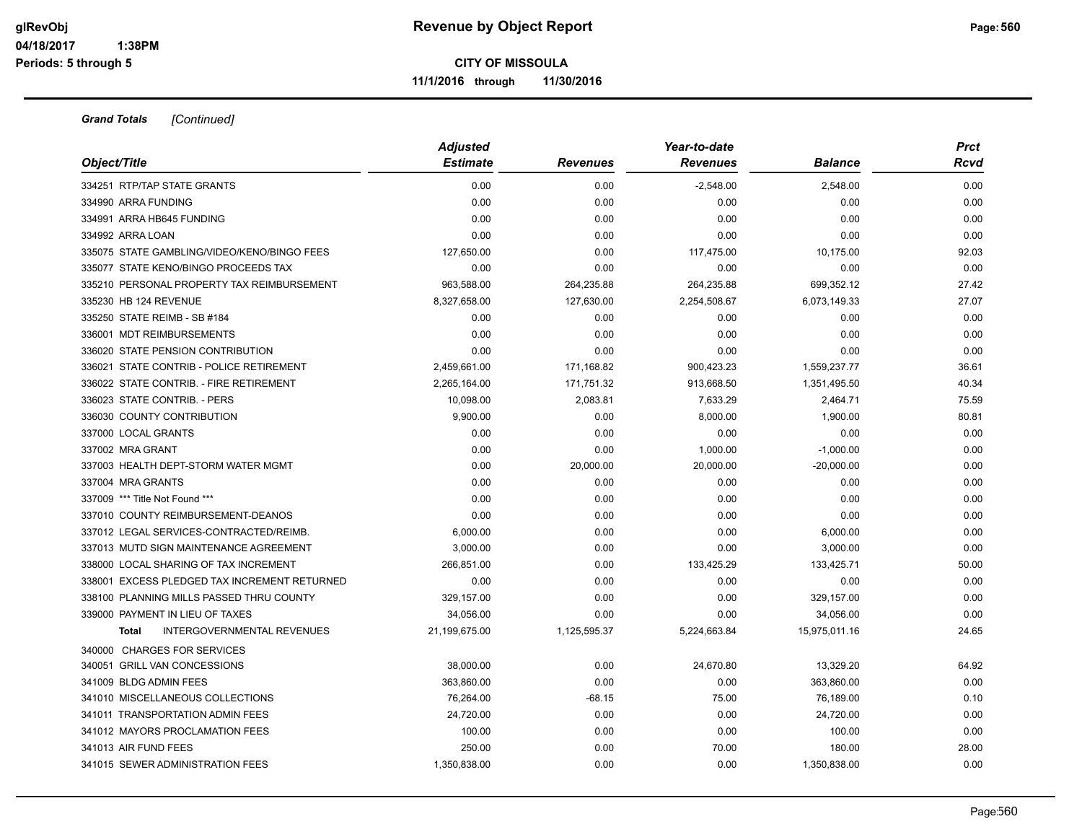| Object/Title                                      | <b>Adjusted</b><br><b>Estimate</b> | <b>Revenues</b> | Year-to-date<br><b>Revenues</b> | <b>Balance</b> | <b>Prct</b><br><b>Rcvd</b> |
|---------------------------------------------------|------------------------------------|-----------------|---------------------------------|----------------|----------------------------|
| 334251 RTP/TAP STATE GRANTS                       | 0.00                               | 0.00            | $-2,548.00$                     | 2,548.00       | 0.00                       |
| 334990 ARRA FUNDING                               | 0.00                               | 0.00            | 0.00                            | 0.00           | 0.00                       |
| 334991 ARRA HB645 FUNDING                         | 0.00                               | 0.00            | 0.00                            | 0.00           | 0.00                       |
| 334992 ARRA LOAN                                  | 0.00                               | 0.00            | 0.00                            | 0.00           | 0.00                       |
| 335075 STATE GAMBLING/VIDEO/KENO/BINGO FEES       | 127,650.00                         | 0.00            | 117,475.00                      | 10,175.00      | 92.03                      |
| 335077 STATE KENO/BINGO PROCEEDS TAX              | 0.00                               | 0.00            | 0.00                            | 0.00           | 0.00                       |
| 335210 PERSONAL PROPERTY TAX REIMBURSEMENT        | 963,588.00                         | 264,235.88      | 264,235.88                      | 699,352.12     | 27.42                      |
| 335230 HB 124 REVENUE                             | 8,327,658.00                       | 127,630.00      | 2,254,508.67                    | 6,073,149.33   | 27.07                      |
| 335250 STATE REIMB - SB #184                      | 0.00                               | 0.00            | 0.00                            | 0.00           | 0.00                       |
| 336001 MDT REIMBURSEMENTS                         | 0.00                               | 0.00            | 0.00                            | 0.00           | 0.00                       |
| 336020 STATE PENSION CONTRIBUTION                 | 0.00                               | 0.00            | 0.00                            | 0.00           | 0.00                       |
| 336021 STATE CONTRIB - POLICE RETIREMENT          | 2,459,661.00                       | 171,168.82      | 900,423.23                      | 1,559,237.77   | 36.61                      |
| 336022 STATE CONTRIB. - FIRE RETIREMENT           | 2,265,164.00                       | 171,751.32      | 913,668.50                      | 1,351,495.50   | 40.34                      |
| 336023 STATE CONTRIB. - PERS                      | 10,098.00                          | 2,083.81        | 7,633.29                        | 2,464.71       | 75.59                      |
| 336030 COUNTY CONTRIBUTION                        | 9,900.00                           | 0.00            | 8,000.00                        | 1,900.00       | 80.81                      |
| 337000 LOCAL GRANTS                               | 0.00                               | 0.00            | 0.00                            | 0.00           | 0.00                       |
| 337002 MRA GRANT                                  | 0.00                               | 0.00            | 1,000.00                        | $-1,000.00$    | 0.00                       |
| 337003 HEALTH DEPT-STORM WATER MGMT               | 0.00                               | 20,000.00       | 20,000.00                       | $-20,000.00$   | 0.00                       |
| 337004 MRA GRANTS                                 | 0.00                               | 0.00            | 0.00                            | 0.00           | 0.00                       |
| 337009 *** Title Not Found ***                    | 0.00                               | 0.00            | 0.00                            | 0.00           | 0.00                       |
| 337010 COUNTY REIMBURSEMENT-DEANOS                | 0.00                               | 0.00            | 0.00                            | 0.00           | 0.00                       |
| 337012 LEGAL SERVICES-CONTRACTED/REIMB.           | 6,000.00                           | 0.00            | 0.00                            | 6,000.00       | 0.00                       |
| 337013 MUTD SIGN MAINTENANCE AGREEMENT            | 3,000.00                           | 0.00            | 0.00                            | 3,000.00       | 0.00                       |
| 338000 LOCAL SHARING OF TAX INCREMENT             | 266,851.00                         | 0.00            | 133,425.29                      | 133,425.71     | 50.00                      |
| 338001 EXCESS PLEDGED TAX INCREMENT RETURNED      | 0.00                               | 0.00            | 0.00                            | 0.00           | 0.00                       |
| 338100 PLANNING MILLS PASSED THRU COUNTY          | 329,157.00                         | 0.00            | 0.00                            | 329,157.00     | 0.00                       |
| 339000 PAYMENT IN LIEU OF TAXES                   | 34,056.00                          | 0.00            | 0.00                            | 34,056.00      | 0.00                       |
| <b>INTERGOVERNMENTAL REVENUES</b><br><b>Total</b> | 21,199,675.00                      | 1,125,595.37    | 5,224,663.84                    | 15,975,011.16  | 24.65                      |
| 340000 CHARGES FOR SERVICES                       |                                    |                 |                                 |                |                            |
| 340051 GRILL VAN CONCESSIONS                      | 38,000.00                          | 0.00            | 24,670.80                       | 13,329.20      | 64.92                      |
| 341009 BLDG ADMIN FEES                            | 363,860.00                         | 0.00            | 0.00                            | 363,860.00     | 0.00                       |
| 341010 MISCELLANEOUS COLLECTIONS                  | 76,264.00                          | $-68.15$        | 75.00                           | 76,189.00      | 0.10                       |
| 341011 TRANSPORTATION ADMIN FEES                  | 24,720.00                          | 0.00            | 0.00                            | 24,720.00      | 0.00                       |
| 341012 MAYORS PROCLAMATION FEES                   | 100.00                             | 0.00            | 0.00                            | 100.00         | 0.00                       |
| 341013 AIR FUND FEES                              | 250.00                             | 0.00            | 70.00                           | 180.00         | 28.00                      |
| 341015 SEWER ADMINISTRATION FEES                  | 1,350,838.00                       | 0.00            | 0.00                            | 1,350,838.00   | 0.00                       |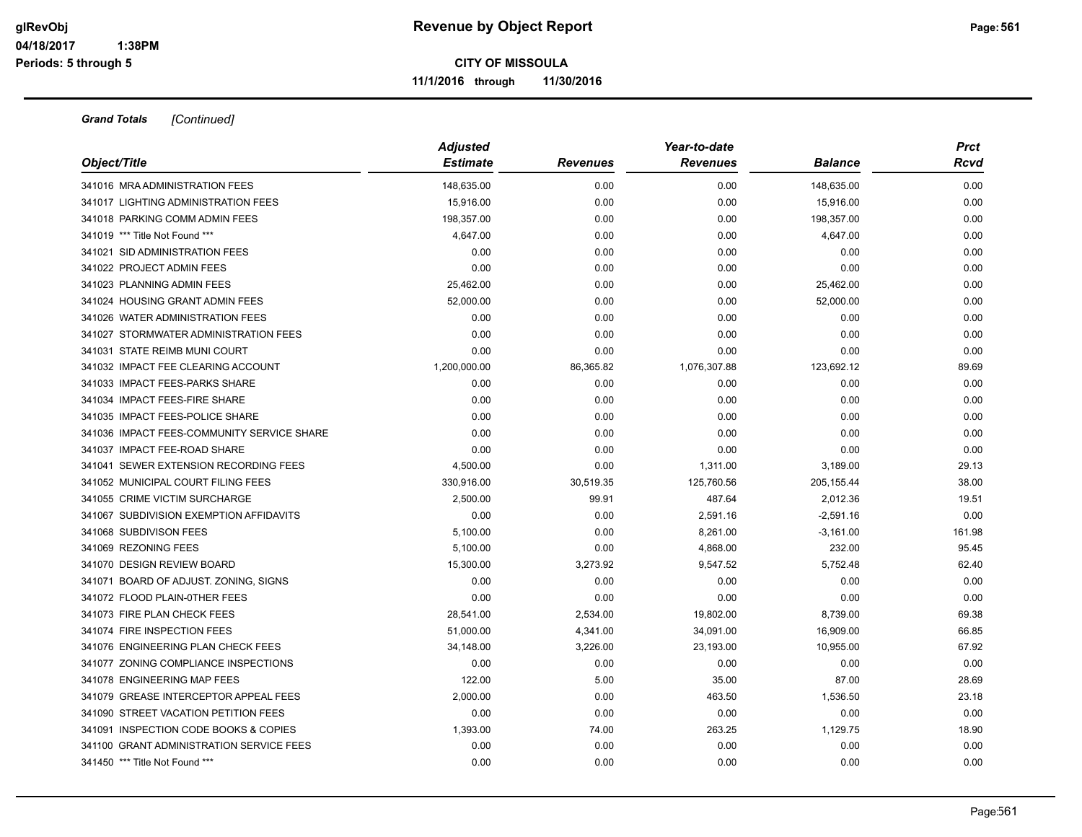|                                            | <b>Adjusted</b> |                 | Year-to-date    |                | Prct        |
|--------------------------------------------|-----------------|-----------------|-----------------|----------------|-------------|
| Object/Title                               | <b>Estimate</b> | <b>Revenues</b> | <b>Revenues</b> | <b>Balance</b> | <b>Rcvd</b> |
| 341016 MRA ADMINISTRATION FEES             | 148,635.00      | 0.00            | 0.00            | 148,635.00     | 0.00        |
| 341017 LIGHTING ADMINISTRATION FEES        | 15,916.00       | 0.00            | 0.00            | 15,916.00      | 0.00        |
| 341018 PARKING COMM ADMIN FEES             | 198,357.00      | 0.00            | 0.00            | 198,357.00     | 0.00        |
| 341019 *** Title Not Found ***             | 4,647.00        | 0.00            | 0.00            | 4,647.00       | 0.00        |
| 341021 SID ADMINISTRATION FEES             | 0.00            | 0.00            | 0.00            | 0.00           | 0.00        |
| 341022 PROJECT ADMIN FEES                  | 0.00            | 0.00            | 0.00            | 0.00           | 0.00        |
| 341023 PLANNING ADMIN FEES                 | 25,462.00       | 0.00            | 0.00            | 25,462.00      | 0.00        |
| 341024 HOUSING GRANT ADMIN FEES            | 52,000.00       | 0.00            | 0.00            | 52,000.00      | 0.00        |
| 341026 WATER ADMINISTRATION FEES           | 0.00            | 0.00            | 0.00            | 0.00           | 0.00        |
| 341027 STORMWATER ADMINISTRATION FEES      | 0.00            | 0.00            | 0.00            | 0.00           | 0.00        |
| 341031 STATE REIMB MUNI COURT              | 0.00            | 0.00            | 0.00            | 0.00           | 0.00        |
| 341032 IMPACT FEE CLEARING ACCOUNT         | 1,200,000.00    | 86,365.82       | 1,076,307.88    | 123,692.12     | 89.69       |
| 341033 IMPACT FEES-PARKS SHARE             | 0.00            | 0.00            | 0.00            | 0.00           | 0.00        |
| 341034 IMPACT FEES-FIRE SHARE              | 0.00            | 0.00            | 0.00            | 0.00           | 0.00        |
| 341035 IMPACT FEES-POLICE SHARE            | 0.00            | 0.00            | 0.00            | 0.00           | 0.00        |
| 341036 IMPACT FEES-COMMUNITY SERVICE SHARE | 0.00            | 0.00            | 0.00            | 0.00           | 0.00        |
| 341037 IMPACT FEE-ROAD SHARE               | 0.00            | 0.00            | 0.00            | 0.00           | 0.00        |
| 341041 SEWER EXTENSION RECORDING FEES      | 4,500.00        | 0.00            | 1,311.00        | 3,189.00       | 29.13       |
| 341052 MUNICIPAL COURT FILING FEES         | 330,916.00      | 30,519.35       | 125,760.56      | 205, 155.44    | 38.00       |
| 341055 CRIME VICTIM SURCHARGE              | 2,500.00        | 99.91           | 487.64          | 2,012.36       | 19.51       |
| 341067 SUBDIVISION EXEMPTION AFFIDAVITS    | 0.00            | 0.00            | 2,591.16        | $-2,591.16$    | 0.00        |
| 341068 SUBDIVISON FEES                     | 5,100.00        | 0.00            | 8,261.00        | $-3,161.00$    | 161.98      |
| 341069 REZONING FEES                       | 5,100.00        | 0.00            | 4,868.00        | 232.00         | 95.45       |
| 341070 DESIGN REVIEW BOARD                 | 15,300.00       | 3,273.92        | 9,547.52        | 5,752.48       | 62.40       |
| 341071 BOARD OF ADJUST. ZONING, SIGNS      | 0.00            | 0.00            | 0.00            | 0.00           | 0.00        |
| 341072 FLOOD PLAIN-0THER FEES              | 0.00            | 0.00            | 0.00            | 0.00           | 0.00        |
| 341073 FIRE PLAN CHECK FEES                | 28,541.00       | 2,534.00        | 19,802.00       | 8,739.00       | 69.38       |
| 341074 FIRE INSPECTION FEES                | 51,000.00       | 4,341.00        | 34,091.00       | 16,909.00      | 66.85       |
| 341076 ENGINEERING PLAN CHECK FEES         | 34,148.00       | 3,226.00        | 23,193.00       | 10,955.00      | 67.92       |
| 341077 ZONING COMPLIANCE INSPECTIONS       | 0.00            | 0.00            | 0.00            | 0.00           | 0.00        |
| 341078 ENGINEERING MAP FEES                | 122.00          | 5.00            | 35.00           | 87.00          | 28.69       |
| 341079 GREASE INTERCEPTOR APPEAL FEES      | 2,000.00        | 0.00            | 463.50          | 1,536.50       | 23.18       |
| 341090 STREET VACATION PETITION FEES       | 0.00            | 0.00            | 0.00            | 0.00           | 0.00        |
| 341091 INSPECTION CODE BOOKS & COPIES      | 1,393.00        | 74.00           | 263.25          | 1,129.75       | 18.90       |
| 341100 GRANT ADMINISTRATION SERVICE FEES   | 0.00            | 0.00            | 0.00            | 0.00           | 0.00        |
| 341450 *** Title Not Found ***             | 0.00            | 0.00            | 0.00            | 0.00           | 0.00        |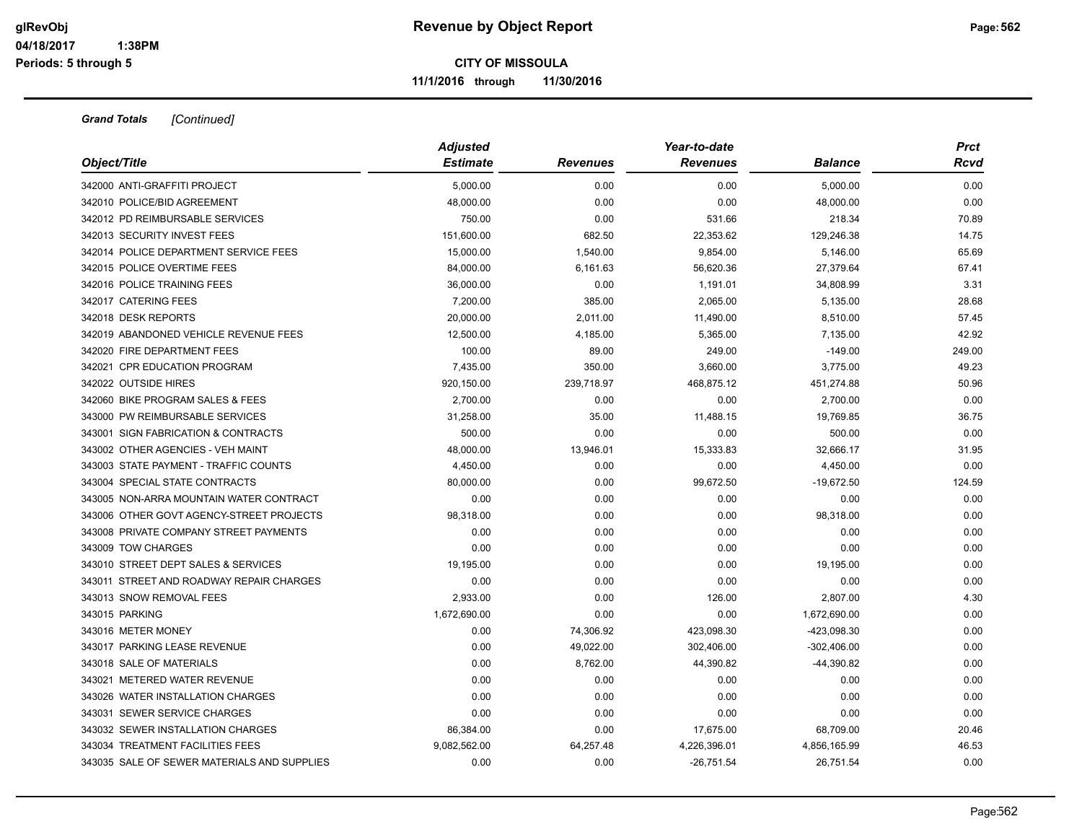| Object/Title                                | <b>Adjusted</b><br><b>Estimate</b> | <b>Revenues</b> | Year-to-date<br><b>Revenues</b> | <b>Balance</b> | <b>Prct</b><br><b>Rcvd</b> |
|---------------------------------------------|------------------------------------|-----------------|---------------------------------|----------------|----------------------------|
|                                             |                                    |                 |                                 |                |                            |
| 342000 ANTI-GRAFFITI PROJECT                | 5,000.00                           | 0.00            | 0.00                            | 5,000.00       | 0.00                       |
| 342010 POLICE/BID AGREEMENT                 | 48,000.00                          | 0.00            | 0.00                            | 48,000.00      | 0.00                       |
| 342012 PD REIMBURSABLE SERVICES             | 750.00                             | 0.00            | 531.66                          | 218.34         | 70.89                      |
| 342013 SECURITY INVEST FEES                 | 151,600.00                         | 682.50          | 22,353.62                       | 129,246.38     | 14.75                      |
| 342014 POLICE DEPARTMENT SERVICE FEES       | 15,000.00                          | 1,540.00        | 9,854.00                        | 5,146.00       | 65.69                      |
| 342015 POLICE OVERTIME FEES                 | 84,000.00                          | 6,161.63        | 56,620.36                       | 27,379.64      | 67.41                      |
| 342016 POLICE TRAINING FEES                 | 36,000.00                          | 0.00            | 1,191.01                        | 34,808.99      | 3.31                       |
| 342017 CATERING FEES                        | 7,200.00                           | 385.00          | 2,065.00                        | 5,135.00       | 28.68                      |
| 342018 DESK REPORTS                         | 20,000.00                          | 2,011.00        | 11,490.00                       | 8,510.00       | 57.45                      |
| 342019 ABANDONED VEHICLE REVENUE FEES       | 12,500.00                          | 4,185.00        | 5,365.00                        | 7,135.00       | 42.92                      |
| 342020 FIRE DEPARTMENT FEES                 | 100.00                             | 89.00           | 249.00                          | $-149.00$      | 249.00                     |
| 342021 CPR EDUCATION PROGRAM                | 7,435.00                           | 350.00          | 3,660.00                        | 3,775.00       | 49.23                      |
| 342022 OUTSIDE HIRES                        | 920,150.00                         | 239,718.97      | 468,875.12                      | 451,274.88     | 50.96                      |
| 342060 BIKE PROGRAM SALES & FEES            | 2,700.00                           | 0.00            | 0.00                            | 2,700.00       | 0.00                       |
| 343000 PW REIMBURSABLE SERVICES             | 31,258.00                          | 35.00           | 11,488.15                       | 19,769.85      | 36.75                      |
| 343001 SIGN FABRICATION & CONTRACTS         | 500.00                             | 0.00            | 0.00                            | 500.00         | 0.00                       |
| 343002 OTHER AGENCIES - VEH MAINT           | 48,000.00                          | 13,946.01       | 15,333.83                       | 32,666.17      | 31.95                      |
| 343003 STATE PAYMENT - TRAFFIC COUNTS       | 4,450.00                           | 0.00            | 0.00                            | 4,450.00       | 0.00                       |
| 343004 SPECIAL STATE CONTRACTS              | 80,000.00                          | 0.00            | 99,672.50                       | $-19,672.50$   | 124.59                     |
| 343005 NON-ARRA MOUNTAIN WATER CONTRACT     | 0.00                               | 0.00            | 0.00                            | 0.00           | 0.00                       |
| 343006 OTHER GOVT AGENCY-STREET PROJECTS    | 98,318.00                          | 0.00            | 0.00                            | 98,318.00      | 0.00                       |
| 343008 PRIVATE COMPANY STREET PAYMENTS      | 0.00                               | 0.00            | 0.00                            | 0.00           | 0.00                       |
| 343009 TOW CHARGES                          | 0.00                               | 0.00            | 0.00                            | 0.00           | 0.00                       |
| 343010 STREET DEPT SALES & SERVICES         | 19,195.00                          | 0.00            | 0.00                            | 19,195.00      | 0.00                       |
| 343011 STREET AND ROADWAY REPAIR CHARGES    | 0.00                               | 0.00            | 0.00                            | 0.00           | 0.00                       |
| 343013 SNOW REMOVAL FEES                    | 2,933.00                           | 0.00            | 126.00                          | 2,807.00       | 4.30                       |
| 343015 PARKING                              | 1,672,690.00                       | 0.00            | 0.00                            | 1,672,690.00   | 0.00                       |
| 343016 METER MONEY                          | 0.00                               | 74,306.92       | 423,098.30                      | -423,098.30    | 0.00                       |
| 343017 PARKING LEASE REVENUE                | 0.00                               | 49,022.00       | 302,406.00                      | $-302,406.00$  | 0.00                       |
| 343018 SALE OF MATERIALS                    | 0.00                               | 8,762.00        | 44,390.82                       | -44,390.82     | 0.00                       |
| 343021 METERED WATER REVENUE                | 0.00                               | 0.00            | 0.00                            | 0.00           | 0.00                       |
| 343026 WATER INSTALLATION CHARGES           | 0.00                               | 0.00            | 0.00                            | 0.00           | 0.00                       |
| 343031 SEWER SERVICE CHARGES                | 0.00                               | 0.00            | 0.00                            | 0.00           | 0.00                       |
| 343032 SEWER INSTALLATION CHARGES           | 86,384.00                          | 0.00            | 17,675.00                       | 68,709.00      | 20.46                      |
| 343034 TREATMENT FACILITIES FEES            | 9,082,562.00                       | 64,257.48       | 4,226,396.01                    | 4,856,165.99   | 46.53                      |
| 343035 SALE OF SEWER MATERIALS AND SUPPLIES | 0.00                               | 0.00            | $-26,751.54$                    | 26,751.54      | 0.00                       |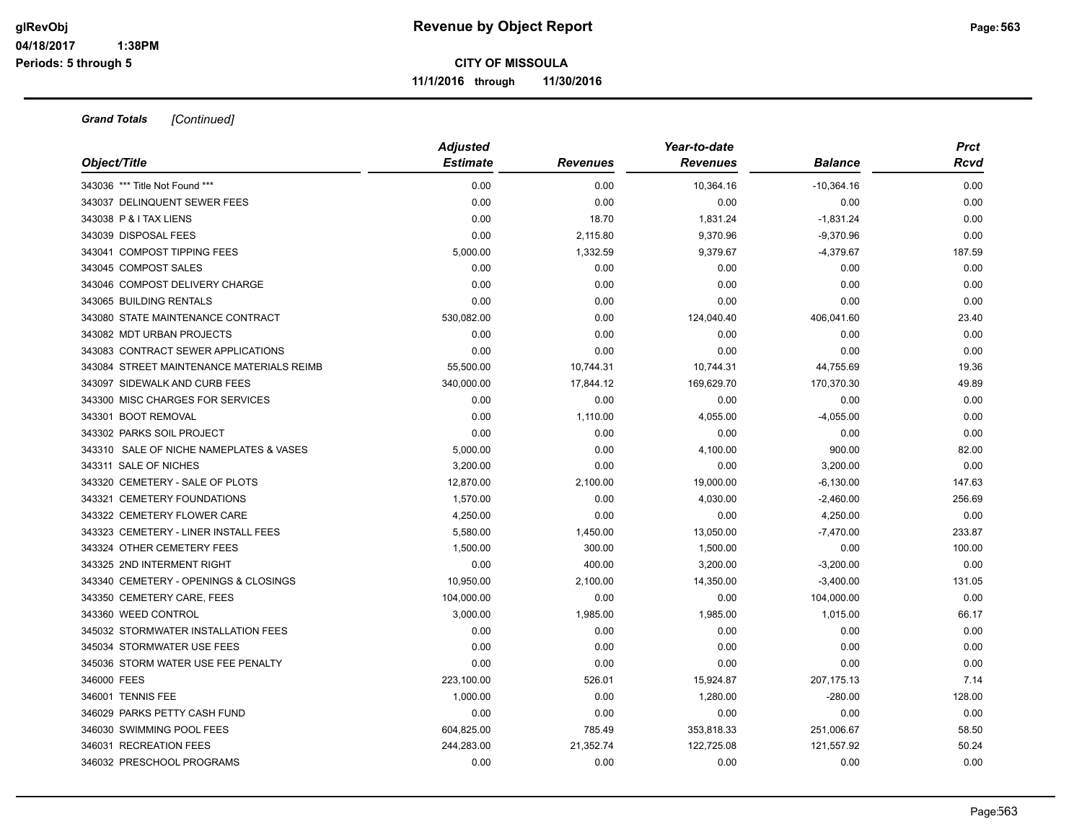| Object/Title                                        | <b>Adjusted</b><br><b>Estimate</b> | <b>Revenues</b> | Year-to-date<br><b>Revenues</b> | <b>Balance</b>       | <b>Prct</b><br><b>Rcvd</b> |
|-----------------------------------------------------|------------------------------------|-----------------|---------------------------------|----------------------|----------------------------|
| 343036 *** Title Not Found ***                      |                                    |                 |                                 |                      |                            |
| 343037 DELINQUENT SEWER FEES                        | 0.00<br>0.00                       | 0.00<br>0.00    | 10,364.16<br>0.00               | $-10,364.16$<br>0.00 | 0.00<br>0.00               |
| 343038 P & I TAX LIENS                              | 0.00                               | 18.70           | 1,831.24                        | $-1,831.24$          | 0.00                       |
| 343039 DISPOSAL FEES                                | 0.00                               | 2,115.80        | 9,370.96                        |                      | 0.00                       |
|                                                     |                                    |                 |                                 | $-9,370.96$          |                            |
| 343041 COMPOST TIPPING FEES<br>343045 COMPOST SALES | 5,000.00                           | 1,332.59        | 9,379.67                        | $-4,379.67$          | 187.59                     |
| 343046 COMPOST DELIVERY CHARGE                      | 0.00                               | 0.00            | 0.00                            | 0.00                 | 0.00                       |
|                                                     | 0.00                               | 0.00            | 0.00                            | 0.00                 | 0.00                       |
| 343065 BUILDING RENTALS                             | 0.00                               | 0.00            | 0.00                            | 0.00                 | 0.00                       |
| 343080 STATE MAINTENANCE CONTRACT                   | 530,082.00                         | 0.00            | 124,040.40                      | 406,041.60           | 23.40                      |
| 343082 MDT URBAN PROJECTS                           | 0.00                               | 0.00            | 0.00                            | 0.00                 | 0.00                       |
| 343083 CONTRACT SEWER APPLICATIONS                  | 0.00                               | 0.00            | 0.00                            | 0.00                 | 0.00                       |
| 343084 STREET MAINTENANCE MATERIALS REIMB           | 55,500.00                          | 10,744.31       | 10,744.31                       | 44,755.69            | 19.36                      |
| 343097 SIDEWALK AND CURB FEES                       | 340,000.00                         | 17,844.12       | 169,629.70                      | 170,370.30           | 49.89                      |
| 343300 MISC CHARGES FOR SERVICES                    | 0.00                               | 0.00            | 0.00                            | 0.00                 | 0.00                       |
| 343301 BOOT REMOVAL                                 | 0.00                               | 1,110.00        | 4,055.00                        | $-4,055.00$          | 0.00                       |
| 343302 PARKS SOIL PROJECT                           | 0.00                               | 0.00            | 0.00                            | 0.00                 | 0.00                       |
| 343310 SALE OF NICHE NAMEPLATES & VASES             | 5,000.00                           | 0.00            | 4,100.00                        | 900.00               | 82.00                      |
| 343311 SALE OF NICHES                               | 3,200.00                           | 0.00            | 0.00                            | 3,200.00             | 0.00                       |
| 343320 CEMETERY - SALE OF PLOTS                     | 12,870.00                          | 2,100.00        | 19,000.00                       | $-6,130.00$          | 147.63                     |
| 343321 CEMETERY FOUNDATIONS                         | 1.570.00                           | 0.00            | 4,030.00                        | $-2,460.00$          | 256.69                     |
| 343322 CEMETERY FLOWER CARE                         | 4,250.00                           | 0.00            | 0.00                            | 4,250.00             | 0.00                       |
| 343323 CEMETERY - LINER INSTALL FEES                | 5,580.00                           | 1,450.00        | 13,050.00                       | $-7,470.00$          | 233.87                     |
| 343324 OTHER CEMETERY FEES                          | 1,500.00                           | 300.00          | 1,500.00                        | 0.00                 | 100.00                     |
| 343325 2ND INTERMENT RIGHT                          | 0.00                               | 400.00          | 3,200.00                        | $-3,200.00$          | 0.00                       |
| 343340 CEMETERY - OPENINGS & CLOSINGS               | 10,950.00                          | 2,100.00        | 14,350.00                       | $-3,400.00$          | 131.05                     |
| 343350 CEMETERY CARE, FEES                          | 104,000.00                         | 0.00            | 0.00                            | 104,000.00           | 0.00                       |
| 343360 WEED CONTROL                                 | 3,000.00                           | 1,985.00        | 1,985.00                        | 1,015.00             | 66.17                      |
| 345032 STORMWATER INSTALLATION FEES                 | 0.00                               | 0.00            | 0.00                            | 0.00                 | 0.00                       |
| 345034 STORMWATER USE FEES                          | 0.00                               | 0.00            | 0.00                            | 0.00                 | 0.00                       |
| 345036 STORM WATER USE FEE PENALTY                  | 0.00                               | 0.00            | 0.00                            | 0.00                 | 0.00                       |
| 346000 FEES                                         | 223,100.00                         | 526.01          | 15,924.87                       | 207, 175. 13         | 7.14                       |
| 346001 TENNIS FEE                                   | 1,000.00                           | 0.00            | 1,280.00                        | $-280.00$            | 128.00                     |
| 346029 PARKS PETTY CASH FUND                        | 0.00                               | 0.00            | 0.00                            | 0.00                 | 0.00                       |
| 346030 SWIMMING POOL FEES                           | 604,825.00                         | 785.49          | 353,818.33                      | 251,006.67           | 58.50                      |
| 346031 RECREATION FEES                              | 244,283.00                         | 21,352.74       | 122,725.08                      | 121,557.92           | 50.24                      |
| 346032 PRESCHOOL PROGRAMS                           | 0.00                               | 0.00            | 0.00                            | 0.00                 | 0.00                       |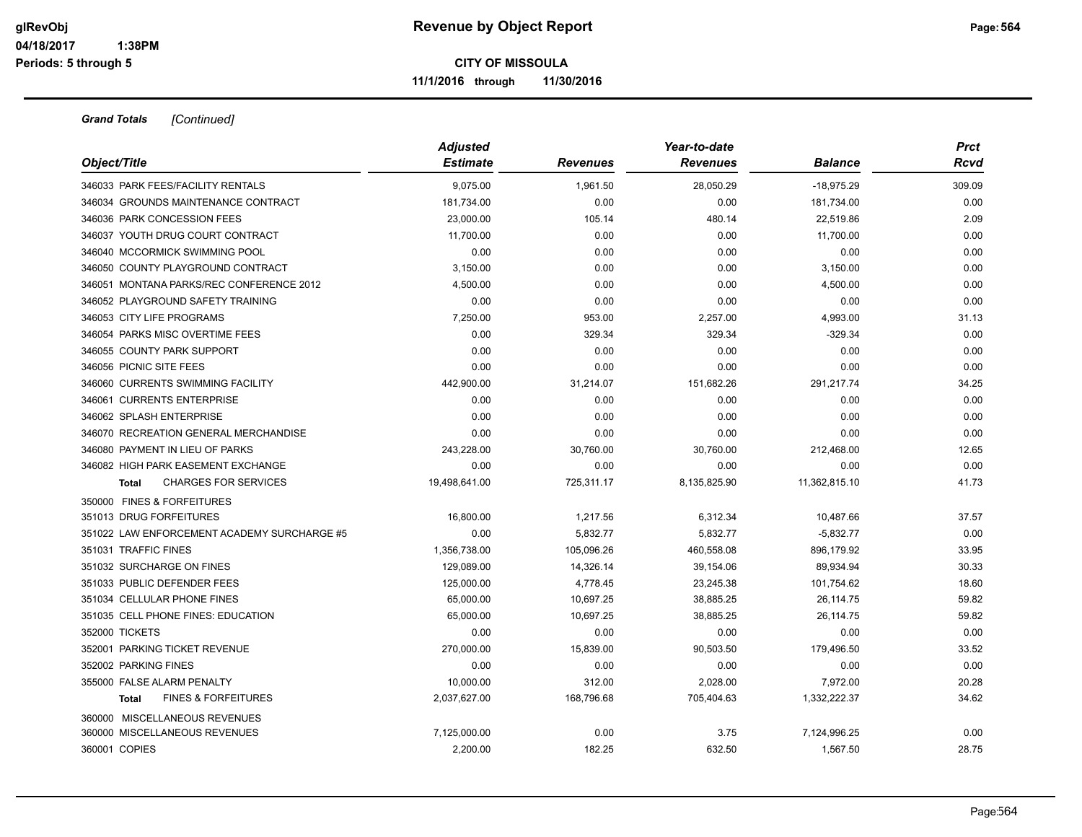| Object/Title                                   | <b>Adjusted</b><br><b>Estimate</b> | <b>Revenues</b> | Year-to-date<br><b>Revenues</b> | <b>Balance</b> | Prct<br><b>Rcvd</b> |
|------------------------------------------------|------------------------------------|-----------------|---------------------------------|----------------|---------------------|
|                                                |                                    |                 |                                 |                |                     |
| 346033 PARK FEES/FACILITY RENTALS              | 9,075.00                           | 1,961.50        | 28,050.29                       | $-18,975.29$   | 309.09              |
| 346034 GROUNDS MAINTENANCE CONTRACT            | 181,734.00                         | 0.00            | 0.00                            | 181,734.00     | 0.00                |
| 346036 PARK CONCESSION FEES                    | 23,000.00                          | 105.14          | 480.14                          | 22,519.86      | 2.09                |
| 346037 YOUTH DRUG COURT CONTRACT               | 11,700.00                          | 0.00            | 0.00                            | 11,700.00      | 0.00                |
| 346040 MCCORMICK SWIMMING POOL                 | 0.00                               | 0.00            | 0.00                            | 0.00           | 0.00                |
| 346050 COUNTY PLAYGROUND CONTRACT              | 3,150.00                           | 0.00            | 0.00                            | 3,150.00       | 0.00                |
| 346051 MONTANA PARKS/REC CONFERENCE 2012       | 4,500.00                           | 0.00            | 0.00                            | 4,500.00       | 0.00                |
| 346052 PLAYGROUND SAFETY TRAINING              | 0.00                               | 0.00            | 0.00                            | 0.00           | 0.00                |
| 346053 CITY LIFE PROGRAMS                      | 7,250.00                           | 953.00          | 2,257.00                        | 4,993.00       | 31.13               |
| 346054 PARKS MISC OVERTIME FEES                | 0.00                               | 329.34          | 329.34                          | $-329.34$      | 0.00                |
| 346055 COUNTY PARK SUPPORT                     | 0.00                               | 0.00            | 0.00                            | 0.00           | 0.00                |
| 346056 PICNIC SITE FEES                        | 0.00                               | 0.00            | 0.00                            | 0.00           | 0.00                |
| 346060 CURRENTS SWIMMING FACILITY              | 442,900.00                         | 31,214.07       | 151,682.26                      | 291,217.74     | 34.25               |
| 346061 CURRENTS ENTERPRISE                     | 0.00                               | 0.00            | 0.00                            | 0.00           | 0.00                |
| 346062 SPLASH ENTERPRISE                       | 0.00                               | 0.00            | 0.00                            | 0.00           | 0.00                |
| 346070 RECREATION GENERAL MERCHANDISE          | 0.00                               | 0.00            | 0.00                            | 0.00           | 0.00                |
| 346080 PAYMENT IN LIEU OF PARKS                | 243,228.00                         | 30,760.00       | 30,760.00                       | 212,468.00     | 12.65               |
| 346082 HIGH PARK EASEMENT EXCHANGE             | 0.00                               | 0.00            | 0.00                            | 0.00           | 0.00                |
| <b>CHARGES FOR SERVICES</b><br><b>Total</b>    | 19,498,641.00                      | 725,311.17      | 8,135,825.90                    | 11,362,815.10  | 41.73               |
| 350000 FINES & FORFEITURES                     |                                    |                 |                                 |                |                     |
| 351013 DRUG FORFEITURES                        | 16.800.00                          | 1,217.56        | 6,312.34                        | 10,487.66      | 37.57               |
| 351022 LAW ENFORCEMENT ACADEMY SURCHARGE #5    | 0.00                               | 5,832.77        | 5,832.77                        | $-5,832.77$    | 0.00                |
| 351031 TRAFFIC FINES                           | 1,356,738.00                       | 105,096.26      | 460,558.08                      | 896,179.92     | 33.95               |
| 351032 SURCHARGE ON FINES                      | 129,089.00                         | 14,326.14       | 39,154.06                       | 89,934.94      | 30.33               |
| 351033 PUBLIC DEFENDER FEES                    | 125,000.00                         | 4,778.45        | 23,245.38                       | 101,754.62     | 18.60               |
| 351034 CELLULAR PHONE FINES                    | 65,000.00                          | 10,697.25       | 38,885.25                       | 26,114.75      | 59.82               |
| 351035 CELL PHONE FINES: EDUCATION             | 65,000.00                          | 10,697.25       | 38,885.25                       | 26,114.75      | 59.82               |
| 352000 TICKETS                                 | 0.00                               | 0.00            | 0.00                            | 0.00           | 0.00                |
| 352001 PARKING TICKET REVENUE                  | 270,000.00                         | 15,839.00       | 90,503.50                       | 179,496.50     | 33.52               |
| 352002 PARKING FINES                           | 0.00                               | 0.00            | 0.00                            | 0.00           | 0.00                |
| 355000 FALSE ALARM PENALTY                     | 10,000.00                          | 312.00          | 2,028.00                        | 7,972.00       | 20.28               |
| <b>FINES &amp; FORFEITURES</b><br><b>Total</b> | 2,037,627.00                       | 168,796.68      | 705,404.63                      | 1,332,222.37   | 34.62               |
| 360000 MISCELLANEOUS REVENUES                  |                                    |                 |                                 |                |                     |
| 360000 MISCELLANEOUS REVENUES                  | 7,125,000.00                       | 0.00            | 3.75                            | 7,124,996.25   | 0.00                |
| 360001 COPIES                                  | 2.200.00                           | 182.25          | 632.50                          | 1.567.50       | 28.75               |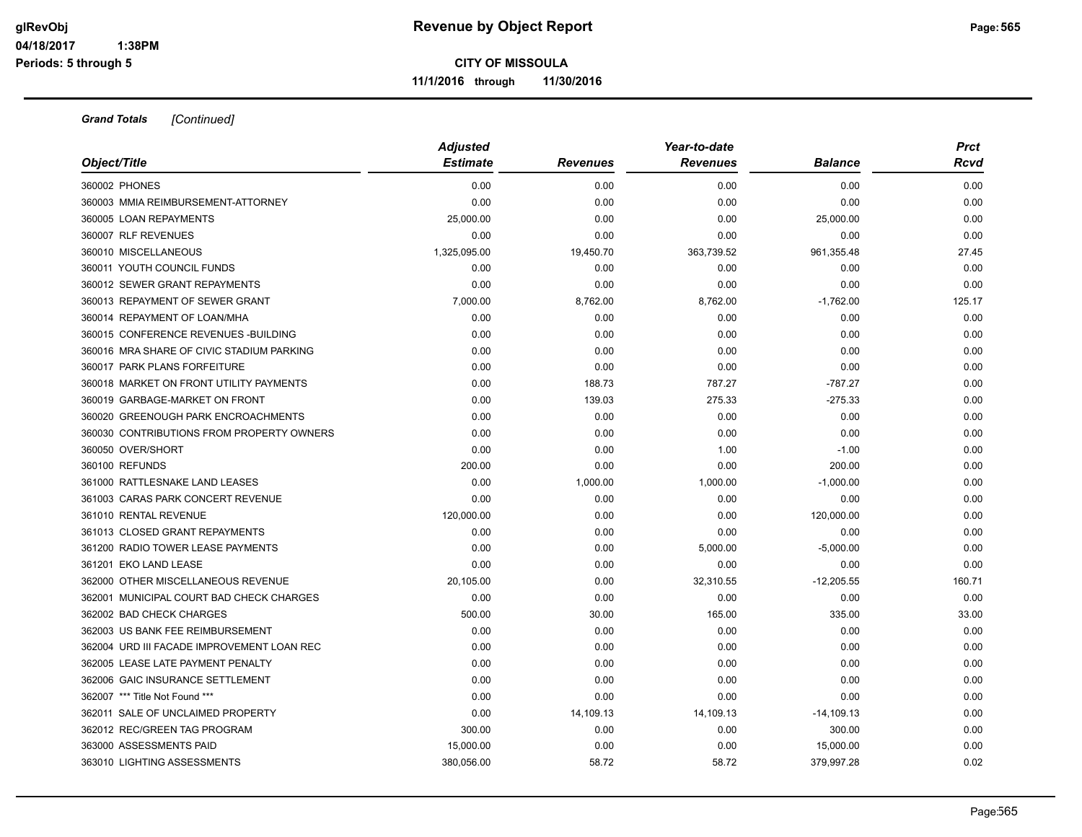|                                            | <b>Adjusted</b> |                 | Year-to-date    |                | <b>Prct</b> |
|--------------------------------------------|-----------------|-----------------|-----------------|----------------|-------------|
| Object/Title                               | <b>Estimate</b> | <b>Revenues</b> | <b>Revenues</b> | <b>Balance</b> | <b>Rcvd</b> |
| 360002 PHONES                              | 0.00            | 0.00            | 0.00            | 0.00           | 0.00        |
| 360003 MMIA REIMBURSEMENT-ATTORNEY         | 0.00            | 0.00            | 0.00            | 0.00           | 0.00        |
| 360005 LOAN REPAYMENTS                     | 25,000.00       | 0.00            | 0.00            | 25,000.00      | 0.00        |
| 360007 RLF REVENUES                        | 0.00            | 0.00            | 0.00            | 0.00           | 0.00        |
| 360010 MISCELLANEOUS                       | 1,325,095.00    | 19,450.70       | 363,739.52      | 961,355.48     | 27.45       |
| 360011 YOUTH COUNCIL FUNDS                 | 0.00            | 0.00            | 0.00            | 0.00           | 0.00        |
| 360012 SEWER GRANT REPAYMENTS              | 0.00            | 0.00            | 0.00            | 0.00           | 0.00        |
| 360013 REPAYMENT OF SEWER GRANT            | 7,000.00        | 8,762.00        | 8,762.00        | $-1,762.00$    | 125.17      |
| 360014 REPAYMENT OF LOAN/MHA               | 0.00            | 0.00            | 0.00            | 0.00           | 0.00        |
| 360015 CONFERENCE REVENUES - BUILDING      | 0.00            | 0.00            | 0.00            | 0.00           | 0.00        |
| 360016 MRA SHARE OF CIVIC STADIUM PARKING  | 0.00            | 0.00            | 0.00            | 0.00           | 0.00        |
| 360017 PARK PLANS FORFEITURE               | 0.00            | 0.00            | 0.00            | 0.00           | 0.00        |
| 360018 MARKET ON FRONT UTILITY PAYMENTS    | 0.00            | 188.73          | 787.27          | $-787.27$      | 0.00        |
| 360019 GARBAGE-MARKET ON FRONT             | 0.00            | 139.03          | 275.33          | $-275.33$      | 0.00        |
| 360020 GREENOUGH PARK ENCROACHMENTS        | 0.00            | 0.00            | 0.00            | 0.00           | 0.00        |
| 360030 CONTRIBUTIONS FROM PROPERTY OWNERS  | 0.00            | 0.00            | 0.00            | 0.00           | 0.00        |
| 360050 OVER/SHORT                          | 0.00            | 0.00            | 1.00            | $-1.00$        | 0.00        |
| 360100 REFUNDS                             | 200.00          | 0.00            | 0.00            | 200.00         | 0.00        |
| 361000 RATTLESNAKE LAND LEASES             | 0.00            | 1,000.00        | 1,000.00        | $-1,000.00$    | 0.00        |
| 361003 CARAS PARK CONCERT REVENUE          | 0.00            | 0.00            | 0.00            | 0.00           | 0.00        |
| 361010 RENTAL REVENUE                      | 120,000.00      | 0.00            | 0.00            | 120,000.00     | 0.00        |
| 361013 CLOSED GRANT REPAYMENTS             | 0.00            | 0.00            | 0.00            | 0.00           | 0.00        |
| 361200 RADIO TOWER LEASE PAYMENTS          | 0.00            | 0.00            | 5,000.00        | $-5,000.00$    | 0.00        |
| 361201 EKO LAND LEASE                      | 0.00            | 0.00            | 0.00            | 0.00           | 0.00        |
| 362000 OTHER MISCELLANEOUS REVENUE         | 20,105.00       | 0.00            | 32,310.55       | $-12,205.55$   | 160.71      |
| 362001 MUNICIPAL COURT BAD CHECK CHARGES   | 0.00            | 0.00            | 0.00            | 0.00           | 0.00        |
| 362002 BAD CHECK CHARGES                   | 500.00          | 30.00           | 165.00          | 335.00         | 33.00       |
| 362003 US BANK FEE REIMBURSEMENT           | 0.00            | 0.00            | 0.00            | 0.00           | 0.00        |
| 362004 URD III FACADE IMPROVEMENT LOAN REC | 0.00            | 0.00            | 0.00            | 0.00           | 0.00        |
| 362005 LEASE LATE PAYMENT PENALTY          | 0.00            | 0.00            | 0.00            | 0.00           | 0.00        |
| 362006 GAIC INSURANCE SETTLEMENT           | 0.00            | 0.00            | 0.00            | 0.00           | 0.00        |
| 362007 *** Title Not Found ***             | 0.00            | 0.00            | 0.00            | 0.00           | 0.00        |
| 362011 SALE OF UNCLAIMED PROPERTY          | 0.00            | 14,109.13       | 14,109.13       | $-14,109.13$   | 0.00        |
| 362012 REC/GREEN TAG PROGRAM               | 300.00          | 0.00            | 0.00            | 300.00         | 0.00        |
| 363000 ASSESSMENTS PAID                    | 15,000.00       | 0.00            | 0.00            | 15,000.00      | 0.00        |
| 363010 LIGHTING ASSESSMENTS                | 380,056.00      | 58.72           | 58.72           | 379,997.28     | 0.02        |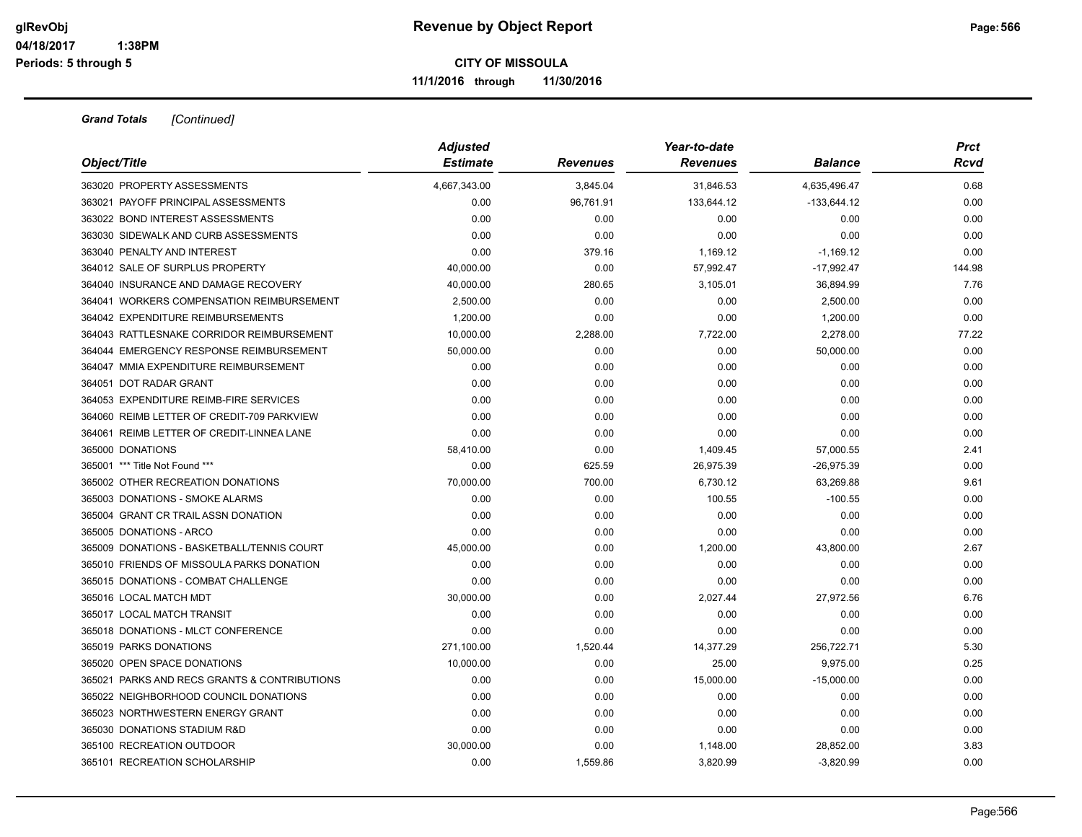| Object/Title                                 | <b>Adjusted</b><br><b>Estimate</b> | <b>Revenues</b> | Year-to-date<br><b>Revenues</b> | <b>Balance</b> | <b>Prct</b><br>Rcvd |
|----------------------------------------------|------------------------------------|-----------------|---------------------------------|----------------|---------------------|
| 363020 PROPERTY ASSESSMENTS                  | 4,667,343.00                       | 3,845.04        | 31,846.53                       | 4,635,496.47   | 0.68                |
| 363021 PAYOFF PRINCIPAL ASSESSMENTS          | 0.00                               | 96,761.91       | 133,644.12                      | $-133,644.12$  | 0.00                |
| 363022 BOND INTEREST ASSESSMENTS             | 0.00                               | 0.00            | 0.00                            | 0.00           | 0.00                |
| 363030 SIDEWALK AND CURB ASSESSMENTS         | 0.00                               | 0.00            | 0.00                            | 0.00           | 0.00                |
| 363040 PENALTY AND INTEREST                  | 0.00                               | 379.16          | 1,169.12                        | $-1,169.12$    | 0.00                |
| 364012 SALE OF SURPLUS PROPERTY              | 40,000.00                          | 0.00            | 57,992.47                       | $-17,992.47$   | 144.98              |
| 364040 INSURANCE AND DAMAGE RECOVERY         | 40,000.00                          | 280.65          | 3,105.01                        | 36,894.99      | 7.76                |
| 364041 WORKERS COMPENSATION REIMBURSEMENT    | 2,500.00                           | 0.00            | 0.00                            | 2,500.00       | 0.00                |
| 364042 EXPENDITURE REIMBURSEMENTS            | 1,200.00                           | 0.00            | 0.00                            | 1,200.00       | 0.00                |
| 364043 RATTLESNAKE CORRIDOR REIMBURSEMENT    | 10,000.00                          | 2,288.00        | 7,722.00                        | 2,278.00       | 77.22               |
| 364044 EMERGENCY RESPONSE REIMBURSEMENT      | 50,000.00                          | 0.00            | 0.00                            | 50,000.00      | 0.00                |
| 364047 MMIA EXPENDITURE REIMBURSEMENT        | 0.00                               | 0.00            | 0.00                            | 0.00           | 0.00                |
| 364051 DOT RADAR GRANT                       | 0.00                               | 0.00            | 0.00                            | 0.00           | 0.00                |
| 364053 EXPENDITURE REIMB-FIRE SERVICES       | 0.00                               | 0.00            | 0.00                            | 0.00           | 0.00                |
| 364060 REIMB LETTER OF CREDIT-709 PARKVIEW   | 0.00                               | 0.00            | 0.00                            | 0.00           | 0.00                |
| 364061 REIMB LETTER OF CREDIT-LINNEA LANE    | 0.00                               | 0.00            | 0.00                            | 0.00           | 0.00                |
| 365000 DONATIONS                             | 58,410.00                          | 0.00            | 1,409.45                        | 57,000.55      | 2.41                |
| 365001 *** Title Not Found ***               | 0.00                               | 625.59          | 26,975.39                       | $-26,975.39$   | 0.00                |
| 365002 OTHER RECREATION DONATIONS            | 70,000.00                          | 700.00          | 6,730.12                        | 63,269.88      | 9.61                |
| 365003 DONATIONS - SMOKE ALARMS              | 0.00                               | 0.00            | 100.55                          | $-100.55$      | 0.00                |
| 365004 GRANT CR TRAIL ASSN DONATION          | 0.00                               | 0.00            | 0.00                            | 0.00           | 0.00                |
| 365005 DONATIONS - ARCO                      | 0.00                               | 0.00            | 0.00                            | 0.00           | 0.00                |
| 365009 DONATIONS - BASKETBALL/TENNIS COURT   | 45,000.00                          | 0.00            | 1,200.00                        | 43,800.00      | 2.67                |
| 365010 FRIENDS OF MISSOULA PARKS DONATION    | 0.00                               | 0.00            | 0.00                            | 0.00           | 0.00                |
| 365015 DONATIONS - COMBAT CHALLENGE          | 0.00                               | 0.00            | 0.00                            | 0.00           | 0.00                |
| 365016 LOCAL MATCH MDT                       | 30,000.00                          | 0.00            | 2,027.44                        | 27,972.56      | 6.76                |
| 365017 LOCAL MATCH TRANSIT                   | 0.00                               | 0.00            | 0.00                            | 0.00           | 0.00                |
| 365018 DONATIONS - MLCT CONFERENCE           | 0.00                               | 0.00            | 0.00                            | 0.00           | 0.00                |
| 365019 PARKS DONATIONS                       | 271,100.00                         | 1,520.44        | 14,377.29                       | 256,722.71     | 5.30                |
| 365020 OPEN SPACE DONATIONS                  | 10,000.00                          | 0.00            | 25.00                           | 9,975.00       | 0.25                |
| 365021 PARKS AND RECS GRANTS & CONTRIBUTIONS | 0.00                               | 0.00            | 15,000.00                       | $-15,000.00$   | 0.00                |
| 365022 NEIGHBORHOOD COUNCIL DONATIONS        | 0.00                               | 0.00            | 0.00                            | 0.00           | 0.00                |
| 365023 NORTHWESTERN ENERGY GRANT             | 0.00                               | 0.00            | 0.00                            | 0.00           | 0.00                |
| 365030 DONATIONS STADIUM R&D                 | 0.00                               | 0.00            | 0.00                            | 0.00           | 0.00                |
| 365100 RECREATION OUTDOOR                    | 30,000.00                          | 0.00            | 1,148.00                        | 28,852.00      | 3.83                |
| 365101 RECREATION SCHOLARSHIP                | 0.00                               | 1,559.86        | 3,820.99                        | $-3,820.99$    | 0.00                |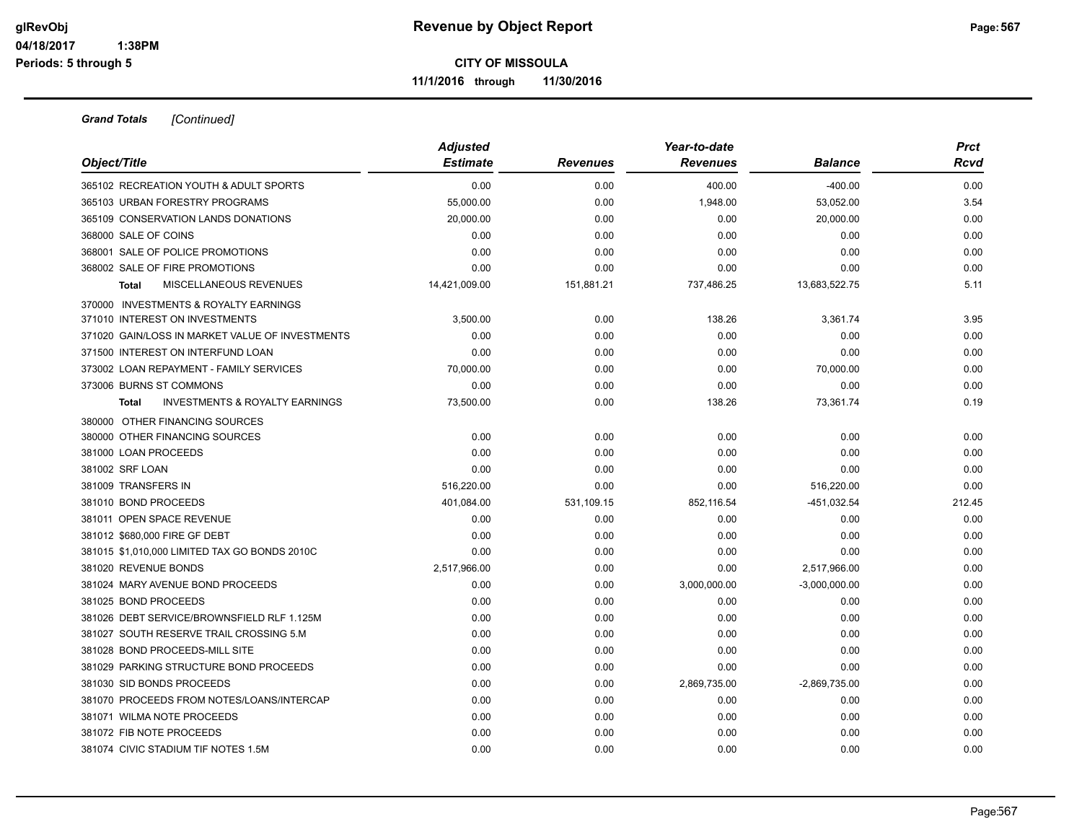|                                                           | <b>Adjusted</b> |                 | Year-to-date    |                 | <b>Prct</b> |
|-----------------------------------------------------------|-----------------|-----------------|-----------------|-----------------|-------------|
| Object/Title                                              | <b>Estimate</b> | <b>Revenues</b> | <b>Revenues</b> | <b>Balance</b>  | <b>Rcvd</b> |
| 365102 RECREATION YOUTH & ADULT SPORTS                    | 0.00            | 0.00            | 400.00          | $-400.00$       | 0.00        |
| 365103 URBAN FORESTRY PROGRAMS                            | 55,000.00       | 0.00            | 1,948.00        | 53,052.00       | 3.54        |
| 365109 CONSERVATION LANDS DONATIONS                       | 20,000.00       | 0.00            | 0.00            | 20,000.00       | 0.00        |
| 368000 SALE OF COINS                                      | 0.00            | 0.00            | 0.00            | 0.00            | 0.00        |
| 368001 SALE OF POLICE PROMOTIONS                          | 0.00            | 0.00            | 0.00            | 0.00            | 0.00        |
| 368002 SALE OF FIRE PROMOTIONS                            | 0.00            | 0.00            | 0.00            | 0.00            | 0.00        |
| MISCELLANEOUS REVENUES<br><b>Total</b>                    | 14,421,009.00   | 151,881.21      | 737,486.25      | 13,683,522.75   | 5.11        |
| 370000 INVESTMENTS & ROYALTY EARNINGS                     |                 |                 |                 |                 |             |
| 371010 INTEREST ON INVESTMENTS                            | 3,500.00        | 0.00            | 138.26          | 3,361.74        | 3.95        |
| 371020 GAIN/LOSS IN MARKET VALUE OF INVESTMENTS           | 0.00            | 0.00            | 0.00            | 0.00            | 0.00        |
| 371500 INTEREST ON INTERFUND LOAN                         | 0.00            | 0.00            | 0.00            | 0.00            | 0.00        |
| 373002 LOAN REPAYMENT - FAMILY SERVICES                   | 70,000.00       | 0.00            | 0.00            | 70,000.00       | 0.00        |
| 373006 BURNS ST COMMONS                                   | 0.00            | 0.00            | 0.00            | 0.00            | 0.00        |
| <b>INVESTMENTS &amp; ROYALTY EARNINGS</b><br><b>Total</b> | 73,500.00       | 0.00            | 138.26          | 73,361.74       | 0.19        |
| 380000 OTHER FINANCING SOURCES                            |                 |                 |                 |                 |             |
| 380000 OTHER FINANCING SOURCES                            | 0.00            | 0.00            | 0.00            | 0.00            | 0.00        |
| 381000 LOAN PROCEEDS                                      | 0.00            | 0.00            | 0.00            | 0.00            | 0.00        |
| 381002 SRF LOAN                                           | 0.00            | 0.00            | 0.00            | 0.00            | 0.00        |
| 381009 TRANSFERS IN                                       | 516,220.00      | 0.00            | 0.00            | 516,220.00      | 0.00        |
| 381010 BOND PROCEEDS                                      | 401,084.00      | 531,109.15      | 852,116.54      | -451,032.54     | 212.45      |
| 381011 OPEN SPACE REVENUE                                 | 0.00            | 0.00            | 0.00            | 0.00            | 0.00        |
| 381012 \$680,000 FIRE GF DEBT                             | 0.00            | 0.00            | 0.00            | 0.00            | 0.00        |
| 381015 \$1,010,000 LIMITED TAX GO BONDS 2010C             | 0.00            | 0.00            | 0.00            | 0.00            | 0.00        |
| 381020 REVENUE BONDS                                      | 2,517,966.00    | 0.00            | 0.00            | 2,517,966.00    | 0.00        |
| 381024 MARY AVENUE BOND PROCEEDS                          | 0.00            | 0.00            | 3,000,000.00    | $-3,000,000.00$ | 0.00        |
| 381025 BOND PROCEEDS                                      | 0.00            | 0.00            | 0.00            | 0.00            | 0.00        |
| 381026 DEBT SERVICE/BROWNSFIELD RLF 1.125M                | 0.00            | 0.00            | 0.00            | 0.00            | 0.00        |
| 381027 SOUTH RESERVE TRAIL CROSSING 5.M                   | 0.00            | 0.00            | 0.00            | 0.00            | 0.00        |
| 381028 BOND PROCEEDS-MILL SITE                            | 0.00            | 0.00            | 0.00            | 0.00            | 0.00        |
| 381029 PARKING STRUCTURE BOND PROCEEDS                    | 0.00            | 0.00            | 0.00            | 0.00            | 0.00        |
| 381030 SID BONDS PROCEEDS                                 | 0.00            | 0.00            | 2,869,735.00    | $-2,869,735.00$ | 0.00        |
| 381070 PROCEEDS FROM NOTES/LOANS/INTERCAP                 | 0.00            | 0.00            | 0.00            | 0.00            | 0.00        |
| 381071 WILMA NOTE PROCEEDS                                | 0.00            | 0.00            | 0.00            | 0.00            | 0.00        |
| 381072 FIB NOTE PROCEEDS                                  | 0.00            | 0.00            | 0.00            | 0.00            | 0.00        |
| 381074 CIVIC STADIUM TIF NOTES 1.5M                       | 0.00            | 0.00            | 0.00            | 0.00            | 0.00        |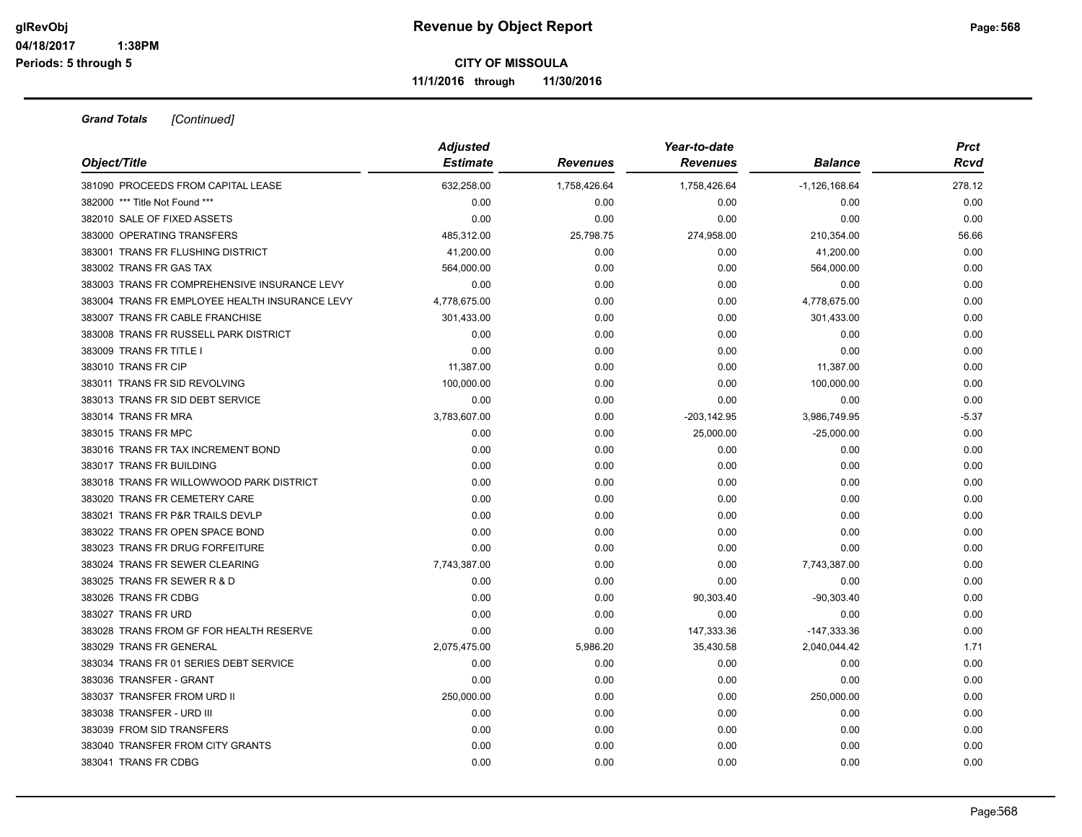|                                                | <b>Adjusted</b> |                 | Year-to-date    |                 | <b>Prct</b> |
|------------------------------------------------|-----------------|-----------------|-----------------|-----------------|-------------|
| Object/Title                                   | <b>Estimate</b> | <b>Revenues</b> | <b>Revenues</b> | <b>Balance</b>  | Rcvd        |
| 381090 PROCEEDS FROM CAPITAL LEASE             | 632.258.00      | 1,758,426.64    | 1,758,426.64    | $-1,126,168.64$ | 278.12      |
| 382000 *** Title Not Found ***                 | 0.00            | 0.00            | 0.00            | 0.00            | 0.00        |
| 382010 SALE OF FIXED ASSETS                    | 0.00            | 0.00            | 0.00            | 0.00            | 0.00        |
| 383000 OPERATING TRANSFERS                     | 485,312.00      | 25,798.75       | 274,958.00      | 210,354.00      | 56.66       |
| 383001 TRANS FR FLUSHING DISTRICT              | 41,200.00       | 0.00            | 0.00            | 41,200.00       | 0.00        |
| 383002 TRANS FR GAS TAX                        | 564,000.00      | 0.00            | 0.00            | 564,000.00      | 0.00        |
| 383003 TRANS FR COMPREHENSIVE INSURANCE LEVY   | 0.00            | 0.00            | 0.00            | 0.00            | 0.00        |
| 383004 TRANS FR EMPLOYEE HEALTH INSURANCE LEVY | 4,778,675.00    | 0.00            | 0.00            | 4,778,675.00    | 0.00        |
| 383007 TRANS FR CABLE FRANCHISE                | 301,433.00      | 0.00            | 0.00            | 301,433.00      | 0.00        |
| 383008 TRANS FR RUSSELL PARK DISTRICT          | 0.00            | 0.00            | 0.00            | 0.00            | 0.00        |
| 383009 TRANS FR TITLE I                        | 0.00            | 0.00            | 0.00            | 0.00            | 0.00        |
| 383010 TRANS FR CIP                            | 11,387.00       | 0.00            | 0.00            | 11,387.00       | 0.00        |
| 383011 TRANS FR SID REVOLVING                  | 100,000.00      | 0.00            | 0.00            | 100,000.00      | 0.00        |
| 383013 TRANS FR SID DEBT SERVICE               | 0.00            | 0.00            | 0.00            | 0.00            | 0.00        |
| 383014 TRANS FR MRA                            | 3,783,607.00    | 0.00            | $-203, 142.95$  | 3,986,749.95    | $-5.37$     |
| 383015 TRANS FR MPC                            | 0.00            | 0.00            | 25,000.00       | $-25,000.00$    | 0.00        |
| 383016 TRANS FR TAX INCREMENT BOND             | 0.00            | 0.00            | 0.00            | 0.00            | 0.00        |
| 383017 TRANS FR BUILDING                       | 0.00            | 0.00            | 0.00            | 0.00            | 0.00        |
| 383018 TRANS FR WILLOWWOOD PARK DISTRICT       | 0.00            | 0.00            | 0.00            | 0.00            | 0.00        |
| 383020 TRANS FR CEMETERY CARE                  | 0.00            | 0.00            | 0.00            | 0.00            | 0.00        |
| 383021 TRANS FR P&R TRAILS DEVLP               | 0.00            | 0.00            | 0.00            | 0.00            | 0.00        |
| 383022 TRANS FR OPEN SPACE BOND                | 0.00            | 0.00            | 0.00            | 0.00            | 0.00        |
| 383023 TRANS FR DRUG FORFEITURE                | 0.00            | 0.00            | 0.00            | 0.00            | 0.00        |
| 383024 TRANS FR SEWER CLEARING                 | 7,743,387.00    | 0.00            | 0.00            | 7,743,387.00    | 0.00        |
| 383025 TRANS FR SEWER R & D                    | 0.00            | 0.00            | 0.00            | 0.00            | 0.00        |
| 383026 TRANS FR CDBG                           | 0.00            | 0.00            | 90,303.40       | $-90,303.40$    | 0.00        |
| 383027 TRANS FR URD                            | 0.00            | 0.00            | 0.00            | 0.00            | 0.00        |
| 383028 TRANS FROM GF FOR HEALTH RESERVE        | 0.00            | 0.00            | 147,333.36      | $-147,333.36$   | 0.00        |
| 383029 TRANS FR GENERAL                        | 2,075,475.00    | 5,986.20        | 35,430.58       | 2,040,044.42    | 1.71        |
| 383034 TRANS FR 01 SERIES DEBT SERVICE         | 0.00            | 0.00            | 0.00            | 0.00            | 0.00        |
| 383036 TRANSFER - GRANT                        | 0.00            | 0.00            | 0.00            | 0.00            | 0.00        |
| 383037 TRANSFER FROM URD II                    | 250,000.00      | 0.00            | 0.00            | 250,000.00      | 0.00        |
| 383038 TRANSFER - URD III                      | 0.00            | 0.00            | 0.00            | 0.00            | 0.00        |
| 383039 FROM SID TRANSFERS                      | 0.00            | 0.00            | 0.00            | 0.00            | 0.00        |
| 383040 TRANSFER FROM CITY GRANTS               | 0.00            | 0.00            | 0.00            | 0.00            | 0.00        |
| 383041 TRANS FR CDBG                           | 0.00            | 0.00            | 0.00            | 0.00            | 0.00        |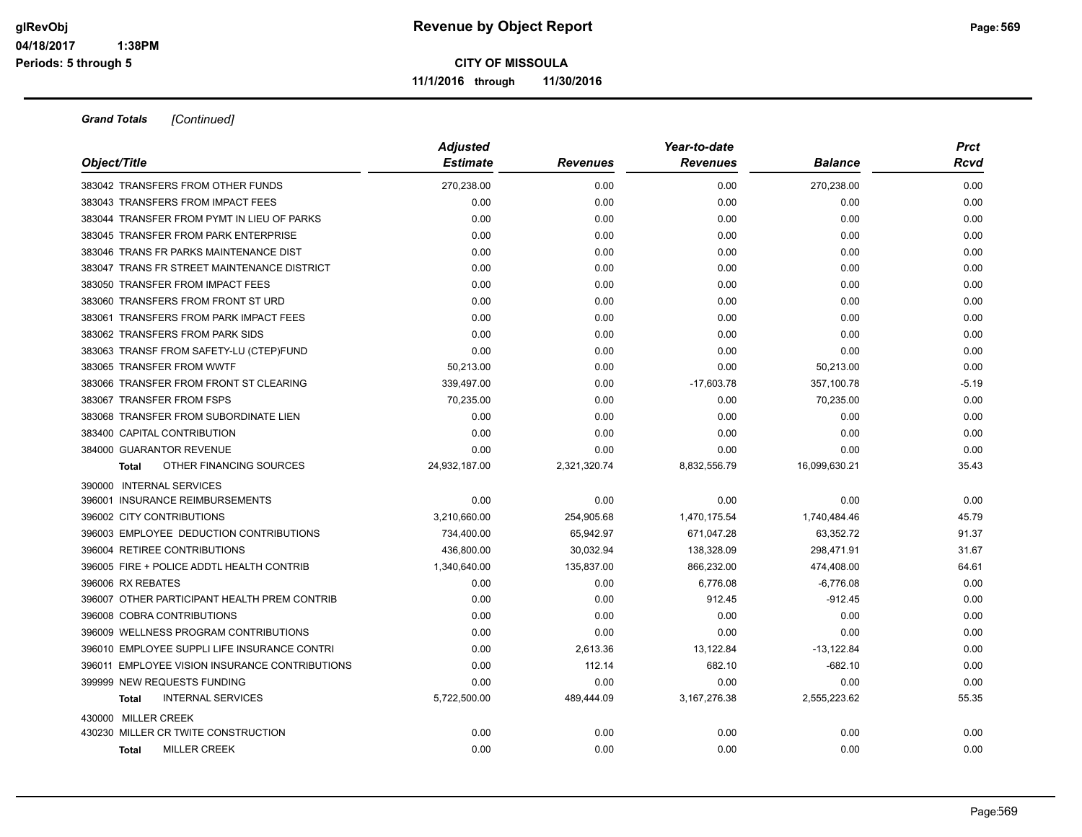|                                                | <b>Adjusted</b> |                 | Year-to-date    |                | Prct    |
|------------------------------------------------|-----------------|-----------------|-----------------|----------------|---------|
| Object/Title                                   | <b>Estimate</b> | <b>Revenues</b> | <b>Revenues</b> | <b>Balance</b> | Rcvd    |
| 383042 TRANSFERS FROM OTHER FUNDS              | 270,238.00      | 0.00            | 0.00            | 270,238.00     | 0.00    |
| 383043 TRANSFERS FROM IMPACT FEES              | 0.00            | 0.00            | 0.00            | 0.00           | 0.00    |
| 383044 TRANSFER FROM PYMT IN LIEU OF PARKS     | 0.00            | 0.00            | 0.00            | 0.00           | 0.00    |
| 383045 TRANSFER FROM PARK ENTERPRISE           | 0.00            | 0.00            | 0.00            | 0.00           | 0.00    |
| 383046 TRANS FR PARKS MAINTENANCE DIST         | 0.00            | 0.00            | 0.00            | 0.00           | 0.00    |
| 383047 TRANS FR STREET MAINTENANCE DISTRICT    | 0.00            | 0.00            | 0.00            | 0.00           | 0.00    |
| 383050 TRANSFER FROM IMPACT FEES               | 0.00            | 0.00            | 0.00            | 0.00           | 0.00    |
| 383060 TRANSFERS FROM FRONT ST URD             | 0.00            | 0.00            | 0.00            | 0.00           | 0.00    |
| 383061 TRANSFERS FROM PARK IMPACT FEES         | 0.00            | 0.00            | 0.00            | 0.00           | 0.00    |
| 383062 TRANSFERS FROM PARK SIDS                | 0.00            | 0.00            | 0.00            | 0.00           | 0.00    |
| 383063 TRANSF FROM SAFETY-LU (CTEP)FUND        | 0.00            | 0.00            | 0.00            | 0.00           | 0.00    |
| 383065 TRANSFER FROM WWTF                      | 50,213.00       | 0.00            | 0.00            | 50,213.00      | 0.00    |
| 383066 TRANSFER FROM FRONT ST CLEARING         | 339,497.00      | 0.00            | $-17,603.78$    | 357,100.78     | $-5.19$ |
| 383067 TRANSFER FROM FSPS                      | 70,235.00       | 0.00            | 0.00            | 70,235.00      | 0.00    |
| 383068 TRANSFER FROM SUBORDINATE LIEN          | 0.00            | 0.00            | 0.00            | 0.00           | 0.00    |
| 383400 CAPITAL CONTRIBUTION                    | 0.00            | 0.00            | 0.00            | 0.00           | 0.00    |
| 384000 GUARANTOR REVENUE                       | 0.00            | 0.00            | 0.00            | 0.00           | 0.00    |
| OTHER FINANCING SOURCES<br>Total               | 24,932,187.00   | 2,321,320.74    | 8,832,556.79    | 16,099,630.21  | 35.43   |
| 390000 INTERNAL SERVICES                       |                 |                 |                 |                |         |
| 396001 INSURANCE REIMBURSEMENTS                | 0.00            | 0.00            | 0.00            | 0.00           | 0.00    |
| 396002 CITY CONTRIBUTIONS                      | 3,210,660.00    | 254,905.68      | 1,470,175.54    | 1,740,484.46   | 45.79   |
| 396003 EMPLOYEE DEDUCTION CONTRIBUTIONS        | 734,400.00      | 65,942.97       | 671,047.28      | 63,352.72      | 91.37   |
| 396004 RETIREE CONTRIBUTIONS                   | 436,800.00      | 30,032.94       | 138,328.09      | 298,471.91     | 31.67   |
| 396005 FIRE + POLICE ADDTL HEALTH CONTRIB      | 1,340,640.00    | 135,837.00      | 866,232.00      | 474,408.00     | 64.61   |
| 396006 RX REBATES                              | 0.00            | 0.00            | 6,776.08        | $-6,776.08$    | 0.00    |
| 396007 OTHER PARTICIPANT HEALTH PREM CONTRIB   | 0.00            | 0.00            | 912.45          | $-912.45$      | 0.00    |
| 396008 COBRA CONTRIBUTIONS                     | 0.00            | 0.00            | 0.00            | 0.00           | 0.00    |
| 396009 WELLNESS PROGRAM CONTRIBUTIONS          | 0.00            | 0.00            | 0.00            | 0.00           | 0.00    |
| 396010 EMPLOYEE SUPPLI LIFE INSURANCE CONTRI   | 0.00            | 2,613.36        | 13,122.84       | $-13,122.84$   | 0.00    |
| 396011 EMPLOYEE VISION INSURANCE CONTRIBUTIONS | 0.00            | 112.14          | 682.10          | $-682.10$      | 0.00    |
| 399999 NEW REQUESTS FUNDING                    | 0.00            | 0.00            | 0.00            | 0.00           | 0.00    |
| <b>INTERNAL SERVICES</b><br><b>Total</b>       | 5,722,500.00    | 489,444.09      | 3, 167, 276. 38 | 2,555,223.62   | 55.35   |
| 430000 MILLER CREEK                            |                 |                 |                 |                |         |
| 430230 MILLER CR TWITE CONSTRUCTION            | 0.00            | 0.00            | 0.00            | 0.00           | 0.00    |
| <b>MILLER CREEK</b><br><b>Total</b>            | 0.00            | 0.00            | 0.00            | 0.00           | 0.00    |